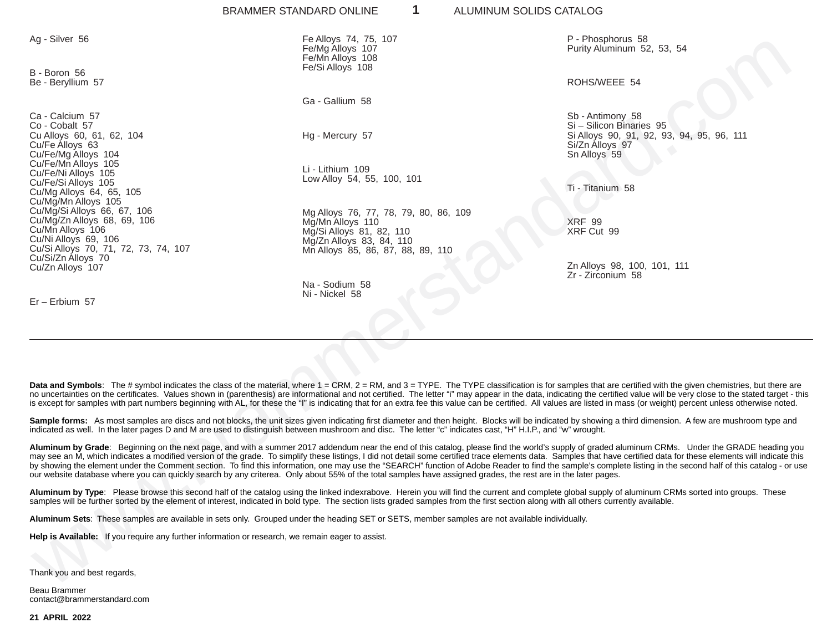|                                                                                                                                                                       | 1<br>BRAMMER STANDARD ONLINE                                                                                                                                                          | ALUMINUM SOLIDS CATALOG                                                                                                                                                                                                                                                                                                                                                                                                                                                                                                                                                                                                                                                  |
|-----------------------------------------------------------------------------------------------------------------------------------------------------------------------|---------------------------------------------------------------------------------------------------------------------------------------------------------------------------------------|--------------------------------------------------------------------------------------------------------------------------------------------------------------------------------------------------------------------------------------------------------------------------------------------------------------------------------------------------------------------------------------------------------------------------------------------------------------------------------------------------------------------------------------------------------------------------------------------------------------------------------------------------------------------------|
| Ag - Silver 56                                                                                                                                                        | Fe Alloys 74, 75, 107<br>Fe/Mg Alloys 107<br>Fe/Mn Alloys 108<br>Fe/Si Alloys 108                                                                                                     | P - Phosphorus 58<br>Purity Aluminum 52, 53, 54                                                                                                                                                                                                                                                                                                                                                                                                                                                                                                                                                                                                                          |
| B - Boron 56<br>Be - Beryllium 57                                                                                                                                     |                                                                                                                                                                                       | ROHS/WEEE 54                                                                                                                                                                                                                                                                                                                                                                                                                                                                                                                                                                                                                                                             |
|                                                                                                                                                                       | Ga - Gallium 58                                                                                                                                                                       |                                                                                                                                                                                                                                                                                                                                                                                                                                                                                                                                                                                                                                                                          |
| Ca - Calcium 57<br>Co - Cobalt 57<br>Cu Alloys 60, 61, 62, 104<br>Cu/Fe Alloys 63<br>Cu/Fe/Mg Alloys 104                                                              | Hg - Mercury 57                                                                                                                                                                       | Sb - Antimony 58<br>Si - Silicon Binaries 95<br>Si Alloys 90, 91, 92, 93, 94, 95, 96, 111<br>Si/Zn Alloys 97<br>Sn Alloys 59                                                                                                                                                                                                                                                                                                                                                                                                                                                                                                                                             |
| Cu/Fe/Mn Alloys 105<br>Cu/Fe/Ni Alloys 105<br>Cu/Fe/Si Alloys 105<br>Cu/Mg Alloys 64, 65, 105                                                                         | Li - Lithium 109<br>Low Alloy 54, 55, 100, 101                                                                                                                                        | Ti - Titanium 58                                                                                                                                                                                                                                                                                                                                                                                                                                                                                                                                                                                                                                                         |
| Cu/Mg/Mn Alloys 105<br>Cu/Mg/Si Alloys 66, 67, 106<br>Cu/Mg/Zn Alloys 68, 69, 106<br>Cu/Mn Alloys 106<br>Cu/Ni Alloys 69, 106<br>Cu/Si Alloys 70, 71, 72, 73, 74, 107 | Mg Alloys 76, 77, 78, 79, 80, 86, 109<br>Mg/Mn Alloys 110<br>Mg/Si Alloys 81, 82, 110<br>Mg/Zn Alloys 83, 84, 110<br>Mn Alloys 85, 86, 87, 88, 89, 110                                | <b>XRF 99</b><br>XRF Cut 99                                                                                                                                                                                                                                                                                                                                                                                                                                                                                                                                                                                                                                              |
| Cu/Si/Zn Alloys 70<br>Cu/Zn Alloys 107                                                                                                                                |                                                                                                                                                                                       | Zn Alloys 98, 100, 101, 111                                                                                                                                                                                                                                                                                                                                                                                                                                                                                                                                                                                                                                              |
|                                                                                                                                                                       | Na - Sodium 58                                                                                                                                                                        | Zr - Zirconium 58                                                                                                                                                                                                                                                                                                                                                                                                                                                                                                                                                                                                                                                        |
| $Er - Erbium 57$                                                                                                                                                      | Ni - Nickel 58                                                                                                                                                                        |                                                                                                                                                                                                                                                                                                                                                                                                                                                                                                                                                                                                                                                                          |
|                                                                                                                                                                       |                                                                                                                                                                                       |                                                                                                                                                                                                                                                                                                                                                                                                                                                                                                                                                                                                                                                                          |
|                                                                                                                                                                       |                                                                                                                                                                                       |                                                                                                                                                                                                                                                                                                                                                                                                                                                                                                                                                                                                                                                                          |
|                                                                                                                                                                       |                                                                                                                                                                                       |                                                                                                                                                                                                                                                                                                                                                                                                                                                                                                                                                                                                                                                                          |
|                                                                                                                                                                       |                                                                                                                                                                                       |                                                                                                                                                                                                                                                                                                                                                                                                                                                                                                                                                                                                                                                                          |
|                                                                                                                                                                       |                                                                                                                                                                                       | Data and Symbols: The # symbol indicates the class of the material, where 1 = CRM, 2 = RM, and 3 = TYPE. The TYPE classification is for samples that are certified with the given chemistries, but there and Symbols:<br>no uncertainties on the certificates. Values shown in (parenthesis) are informational and not certified. The letter "i" may appear in the data, indicating the certified value will be very close to the stated target<br>is except for samples with part numbers beginning with AL, for these the "I" is indicating that for an extra fee this value can be certified. All values are listed in mass (or weight) percent unless otherwise note |
|                                                                                                                                                                       | indicated as well. In the later pages D and M are used to distinguish between mushroom and disc. The letter "c" indicates cast, "H" H.I.P., and "w" wrought.                          | Sample forms: As most samples are discs and not blocks, the unit sizes given indicating first diameter and then height. Blocks will be indicated by showing a third dimension. A few are mushroom type an                                                                                                                                                                                                                                                                                                                                                                                                                                                                |
|                                                                                                                                                                       | our website database where you can quickly search by any criterea. Only about 55% of the total samples have assigned grades, the rest are in the later pages.                         | Aluminum by Grade: Beginning on the next page, and with a summer 2017 addendum near the end of this catalog, please find the world's supply of graded aluminum CRMs. Under the GRADE heading<br>may see an M, which indicates a modified version of the grade. To simplify these listings, I did not detail some certified trace elements data. Samples that have certified data for these elements will indicate i<br>by showing the element under the Comment section. To find this information, one may use the "SEARCH" function of Adobe Reader to find the sample's complete listing in the second half of this catalog - or                                       |
|                                                                                                                                                                       | samples will be further sorted by the element of interest, indicated in bold type. The section lists graded samples from the first section along with all others currently available. | Aluminum by Type: Please browse this second half of the catalog using the linked indexrabove. Herein you will find the current and complete global supply of aluminum CRMs sorted into groups. These                                                                                                                                                                                                                                                                                                                                                                                                                                                                     |
|                                                                                                                                                                       | Aluminum Sets: These samples are available in sets only. Grouped under the heading SET or SETS, member samples are not available individually.                                        |                                                                                                                                                                                                                                                                                                                                                                                                                                                                                                                                                                                                                                                                          |
| Help is Available: If you require any further information or research, we remain eager to assist.                                                                     |                                                                                                                                                                                       |                                                                                                                                                                                                                                                                                                                                                                                                                                                                                                                                                                                                                                                                          |
|                                                                                                                                                                       |                                                                                                                                                                                       |                                                                                                                                                                                                                                                                                                                                                                                                                                                                                                                                                                                                                                                                          |
| Thank you and best regards,                                                                                                                                           |                                                                                                                                                                                       |                                                                                                                                                                                                                                                                                                                                                                                                                                                                                                                                                                                                                                                                          |
|                                                                                                                                                                       |                                                                                                                                                                                       |                                                                                                                                                                                                                                                                                                                                                                                                                                                                                                                                                                                                                                                                          |

Beau Brammer contact@brammerstandard.com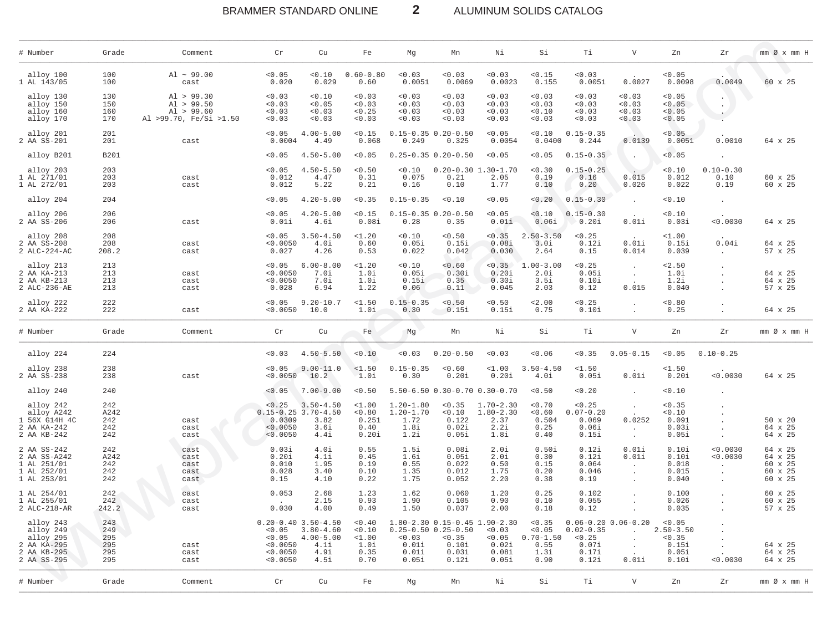### BRAMMER STANDARD ONLINE  $\overline{2}$ ALUMINUM SOLIDS CATALOG

| # Number                                                                         | Grade                                  | Comment                                                          | Cr                                       | Cu                                                                                        | Fe                                                | Mg                                                     | Mn                                                               | Νi                                                                           | Si                                                        | Τi                                                 | $\mathbf{V}$                              | Zn                                                         | Ζr                                           | $mm \oslash x$ $mm$ H                                      |
|----------------------------------------------------------------------------------|----------------------------------------|------------------------------------------------------------------|------------------------------------------|-------------------------------------------------------------------------------------------|---------------------------------------------------|--------------------------------------------------------|------------------------------------------------------------------|------------------------------------------------------------------------------|-----------------------------------------------------------|----------------------------------------------------|-------------------------------------------|------------------------------------------------------------|----------------------------------------------|------------------------------------------------------------|
| alloy 100<br>1 AL 143/05                                                         | 100<br>100                             | $Al \sim 99.00$<br>cast                                          | < 0.05<br>0.020                          | 0.10<br>0.029                                                                             | $0.60 - 0.80$<br>0.60                             | < 0.03<br>0.0051                                       | 0.03<br>0.0069                                                   | < 0.03<br>0.0023                                                             | < 0.15<br>0.155                                           | 0.03<br>0.0051                                     | 0.0027                                    | < 0.05<br>0.0098                                           | 0.0049                                       | 60 x 25                                                    |
| alloy 130<br>alloy 150<br>alloy 160<br>alloy 170                                 | 130<br>150<br>160<br>170               | Al > 99.30<br>Al > 99.50<br>Al > 99.60<br>Al >99.70, Fe/Si >1.50 | < 0.03<br>0.03<br>< 0.03<br>0.03         | 0.10<br>< 0.05<br>0.03<br>0.03                                                            | 0.03<br>0.03<br>< 0.25<br>0.03                    | 0.03<br>0.03<br>0.03<br>0.03                           | < 0.03<br>< 0.03<br>< 0.03<br>0.03                               | < 0.03<br>< 0.03<br>0.03<br>0.03                                             | < 0.03<br>< 0.03<br>0.10<br>< 0.03                        | 0.03<br>0.03<br>0.03<br>0.03                       | < 0.03<br>< 0.03<br>< 0.03<br>< 0.03      | < 0.05<br>< 0.05<br>< 0.05<br>0.05                         | $\cdot$                                      |                                                            |
| alloy 201<br>2 AA SS-201                                                         | 201<br>201                             | cast                                                             | < 0.05<br>0.0004                         | $4.00 - 5.00$<br>4.49                                                                     | < 0.15<br>0.068                                   | 0.249                                                  | $0.15 - 0.35 0.20 - 0.50$<br>0.325                               | < 0.05<br>0.0054                                                             | 0.10<br>0.0400                                            | $0.15 - 0.35$<br>0.244                             | 0.0139                                    | < 0.05<br>0.0051                                           | 0.0010                                       | 64 x 25                                                    |
| alloy B201                                                                       | <b>B201</b>                            |                                                                  | < 0.05                                   | $4.50 - 5.00$                                                                             | < 0.05                                            |                                                        | $0.25 - 0.35$ $0.20 - 0.50$                                      | < 0.05                                                                       | < 0.05                                                    | $0.15 - 0.35$                                      | $\ddot{\phantom{a}}$                      | < 0.05                                                     |                                              |                                                            |
| alloy 203<br>1 AL 271/01<br>1 AL 272/01                                          | 203<br>203<br>203                      | cast<br>cast                                                     | < 0.05<br>0.012<br>0.012                 | $4.50 - 5.50$<br>4.47<br>5.22                                                             | < 0.50<br>0.31<br>0.21                            | 0.10<br>0.075<br>0.16                                  | $0.20 - 0.30$<br>0.21<br>0.10                                    | $1.30 - 1.70$<br>2.05<br>1.77                                                | < 0.30<br>0.19<br>0.10                                    | $0.15 - 0.25$<br>0.16<br>0.20                      | 0.015<br>0.026                            | 0.10<br>0.012<br>0.022                                     | $0.10 - 0.30$<br>0.10<br>0.19                | 60 x 25<br>60 x 25                                         |
| alloy 204                                                                        | 204                                    |                                                                  | < 0.05                                   | $4.20 - 5.00$                                                                             | 0.35                                              | $0.15 - 0.35$                                          | < 0.10                                                           | < 0.05                                                                       | < 0.20                                                    | $0.15 - 0.30$                                      | $\ddot{\phantom{a}}$                      | 0.10                                                       | $\cdot$                                      |                                                            |
| alloy 206<br>2 AA SS-206                                                         | 206<br>206                             | cast                                                             | < 0.05<br>0.01i                          | $4.20 - 5.00$<br>4.6i                                                                     | < 0.15<br>0.08i                                   | 0.28                                                   | $0.15 - 0.35$ $0.20 - 0.50$<br>0.35                              | < 0.05<br>0.01i                                                              | 0.10<br>0.06i                                             | $0.15 - 0.30$<br>0.20i                             | 0.01i                                     | 0.10<br>0.03i                                              | < 0.0030                                     | 64 x 25                                                    |
| alloy 208<br>2 AA SS-208<br>2 ALC-224-AC                                         | 208<br>208<br>208.2                    | cast<br>cast                                                     | < 0.05<br>< 0.0050<br>0.027              | $3.50 - 4.50$<br>4.0i<br>4.26                                                             | $1.20$<br>0.60<br>0.53                            | 0.10<br>0.05i<br>0.022                                 | < 0.50<br>0.15i<br>0.042                                         | < 0.35<br>0.08i<br>0.030                                                     | $2.50 - 3.50$<br>3.0i<br>2.64                             | < 0.25<br>0.12i<br>0.15                            | 0.01i<br>0.014                            | $1.00$<br>0.15i<br>0.039                                   | 0.04i                                        | 64 x 25<br>57 x 25                                         |
| alloy 213<br>2 AA KA-213<br>2 AA KB-213<br>2 ALC-236-AE                          | 213<br>213<br>213<br>213               | cast<br>cast<br>cast                                             | < 0.05<br>< 0.0050<br>< 0.0050<br>0.028  | $6.00 - 8.00$<br>7.0i<br>7.Oi<br>6.94                                                     | <1.20<br>1.0i<br>1.0i<br>1.22                     | 0.10<br>0.05i<br>0.15i<br>0.06                         | 0.60<br>0.30i<br>0.35<br>0.11                                    | < 0.35<br>0.20i<br>0.30i<br>0.045                                            | $1.00 - 3.00$<br>2.0i<br>3.5i<br>2.03                     | < 0.25<br>0.05i<br>0.10i<br>0.12                   | $\ddot{\phantom{1}}$<br>0.015             | 2.50<br>1.0i<br>1.2i<br>0.040                              |                                              | 64 x 25<br>64 x 25<br>57 x 25                              |
| alloy 222<br>2 AA KA-222                                                         | 222<br>222                             | cast                                                             | < 0.05<br>< 0.0050                       | $9.20 - 10.7$<br>10.0                                                                     | $1.50$<br>1.0i                                    | $0.15 - 0.35$<br>0.30                                  | < 0.50<br>0.15i                                                  | < 0.50<br>0.15i                                                              | 2.00<br>0.75                                              | < 0.25<br>0.10i                                    | $\ddot{\phantom{a}}$                      | 0.80<br>0.25                                               |                                              | 64 x 25                                                    |
| # Number                                                                         | Grade                                  | Comment                                                          | Cr                                       | Cu                                                                                        | Fe                                                | Mg                                                     | Mn                                                               | Νi                                                                           | Si                                                        | Тi                                                 | $\mathbf v$                               | Zn                                                         | Zr                                           | $mm \oslash x$ $mm$ H                                      |
| alloy 224                                                                        | 224                                    |                                                                  | 0.03                                     | $4.50 - 5.50$                                                                             | 0.10                                              | 0.03                                                   | $0.20 - 0.50$                                                    | < 0.03                                                                       | < 0.06                                                    | < 0.35                                             | $0.05 - 0.15$                             | < 0.05                                                     | $0.10 - 0.25$                                |                                                            |
| alloy 238<br>2 AA SS-238                                                         | 238<br>238                             | cast                                                             | < 0.05<br>< 0.0050                       | $9.00 - 11.0$<br>10.2                                                                     | $1.50$<br>1.0i                                    | $0.15 - 0.35$<br>0.30                                  | 0.60<br>0.20i                                                    | $1.00$<br>0.20i                                                              | $3.50 - 4.50$<br>4.0i                                     | <1.50<br>0.05i                                     | 0.01i                                     | <1.50<br>0.20i                                             | < 0.0030                                     | 64 x 25                                                    |
| alloy 240                                                                        | 240                                    |                                                                  | < 0.05                                   | $7.00 - 9.00$                                                                             | < 0.50                                            |                                                        |                                                                  | 5.50-6.50 0.30-0.70 0.30-0.70                                                | < 0.50                                                    | 0.20                                               | $\ddot{\phantom{a}}$                      | 0.10                                                       |                                              |                                                            |
| alloy 242<br>alloy A242<br>1 56X G14H 4C<br>2 AA KA-242<br>2 AA KB-242           | 242<br>A242<br>242<br>242<br>242       | cast<br>cast<br>cast                                             | < 0.25<br>0.0309<br>< 0.0050<br>< 0.0050 | $3.50 - 4.50$<br>$0.15 - 0.25$ 3.70-4.50<br>3.82<br>3.6i<br>4.4i                          | $1.00$<br>< 0.80<br>0.251<br>0.40<br>0.20i        | $1.20 - 1.80$<br>$1.20 - 1.70$<br>1.72<br>1.8i<br>1.2i | < 0.35<br>0.10<br>0.122<br>0.02i<br>0.05i                        | $1.70 - 2.30$<br>$1.80 - 2.30$<br>2.37<br>2.2i<br>1.8i                       | < 0.70<br>< 0.60<br>0.504<br>0.25<br>0.40                 | < 0.25<br>$0.07 - 0.20$<br>0.069<br>0.06i<br>0.15i | 0.0252<br>$\ddot{\phantom{a}}$<br>$\cdot$ | < 0.35<br>0.10<br>0.091<br>0.03i<br>0.05i                  |                                              | $50 \times 20$<br>64 x 25<br>64 x 25                       |
| 2 AA SS-242<br>2 AA SS-A242<br>1 AL 251/01<br>1 AL 252/01<br>1 AL 253/01         | 242<br>A242<br>242<br>242<br>242       | cast<br>cast<br>cast<br>cast<br>cast                             | 0.03i<br>0.20i<br>0.010<br>0.028<br>0.15 | 4.0i<br>4.1i<br>1.95<br>3.40<br>4.10                                                      | 0.55<br>0.45<br>0.19<br>0.10<br>0.22              | 1.5i<br>1.6i<br>0.55<br>1.35<br>1.75                   | 0.08i<br>0.05i<br>0.022<br>0.012<br>0.052                        | 2.0i<br>2.0i<br>0.50<br>1.75<br>2.20                                         | 0.50i<br>0.30<br>0.15<br>0.20<br>0.38                     | 0.12i<br>0.12i<br>0.064<br>0.046<br>0.19           | 0.01i<br>0.01i<br>$\sim$                  | 0.10i<br>0.10i<br>0.018<br>0.015<br>0.040                  | < 0.0030<br>< 0.0030<br>$\ddot{\phantom{0}}$ | 64 x 25<br>64 x 25<br>60 x 25<br>60 x 25<br>$60 \times 25$ |
| 1 AL 254/01<br>1 AL 255/01<br>2 ALC-218-AR                                       | 242<br>242<br>242.2                    | cast<br>cast<br>cast                                             | 0.053<br>0.030                           | 2.68<br>2.15<br>4.00                                                                      | 1.23<br>0.93<br>0.49                              | 1.62<br>1.90<br>1.50                                   | 0.060<br>0.105<br>0.037                                          | 1.20<br>0.90<br>2.00                                                         | 0.25<br>0.10<br>0.18                                      | 0.102<br>0.055<br>0.12                             |                                           | 0.100<br>0.026<br>0.035                                    |                                              | 60 x 25<br>60 x 25<br>57 x 25                              |
| alloy 243<br>alloy 249<br>alloy 295<br>2 AA KA-295<br>2 AA KB-295<br>2 AA SS-295 | 243<br>249<br>295<br>295<br>295<br>295 | cast<br>cast<br>cast                                             | < 0.0050<br>< 0.0050<br>< 0.0050         | $0.20 - 0.40$ 3.50-4.50<br>$< 0.05$ 3.80-4.60<br>$0.05$ 4.00-5.00<br>4.1i<br>4.9i<br>4.5i | < 0.40<br>< 0.10<br><1.00<br>1.0i<br>0.35<br>0.70 | < 0.03<br>0.01i<br>0.01i<br>0.05i                      | $0.25 - 0.50$ $0.25 - 0.50$<br>< 0.35<br>0.10i<br>0.03i<br>0.12i | 1.80-2.30 0.15-0.45 1.90-2.30<br>< 0.03<br>< 0.05<br>0.02i<br>0.08i<br>0.05i | < 0.35<br>< 0.05<br>$0.70 - 1.50$<br>0.55<br>1.3i<br>0.90 | $0.02 - 0.35$<br>< 0.25<br>0.07i<br>0.17i<br>0.12i | $0.06 - 0.20 0.06 - 0.20$<br>0.01i        | 0.05<br>$2.50 - 3.50$<br>< 0.35<br>0.15i<br>0.05i<br>0.10i | < 0.0030                                     | 64 x 25<br>64 x 25<br>64 x 25                              |
| # Number                                                                         | Grade                                  | Comment                                                          | Cr                                       | Cu                                                                                        | Fe                                                | Mg                                                     | Mn                                                               | Νi                                                                           | Si                                                        | Тi                                                 | $\boldsymbol{\nabla}$                     | Zn                                                         | Zr                                           | $mm \oslash x$ $mm$ H                                      |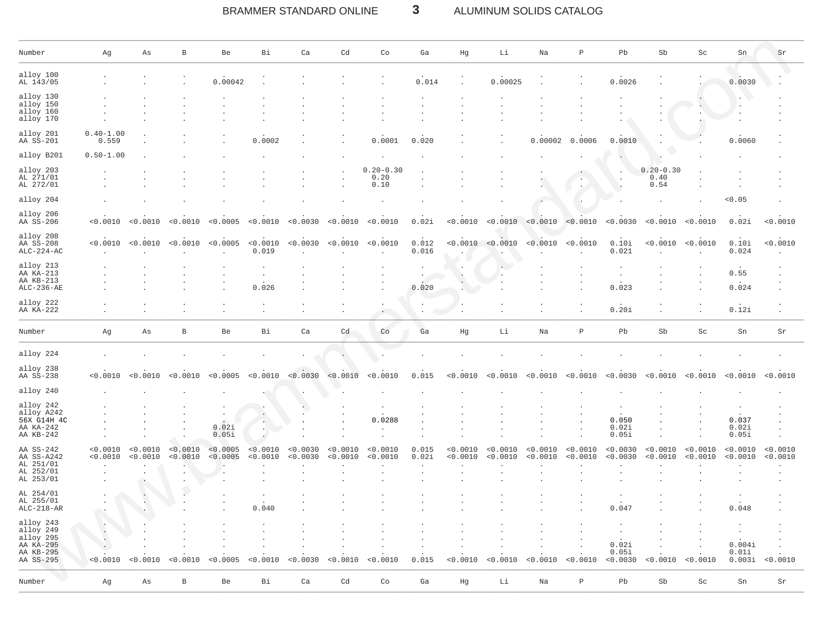#### BRAMMER STANDARD ONLINE  $\mathbf{3}$ ALUMINUM SOLIDS CATALOG

| Number                                                                     | Αg                     | As                   | $\, {\bf B}$         | Be                   | Вi                   | Ca                   | Cd                   | $\mathop{\rm Co}\nolimits$    | Ga                   | Hg                   | Li                   | $_{\rm Na}$          | $\, {\mathbb P}$     | Pb                         | Sb                            | $\operatorname{Sc}$  | Sn                        | Sr                   |
|----------------------------------------------------------------------------|------------------------|----------------------|----------------------|----------------------|----------------------|----------------------|----------------------|-------------------------------|----------------------|----------------------|----------------------|----------------------|----------------------|----------------------------|-------------------------------|----------------------|---------------------------|----------------------|
| alloy 100<br>AL 143/05                                                     |                        |                      |                      | 0.00042              |                      |                      |                      |                               | 0.014                |                      | 0.00025              |                      |                      | 0.0026                     |                               |                      | 0.0030                    |                      |
| alloy 130<br>alloy 150<br>alloy 160<br>alloy 170                           |                        |                      |                      |                      |                      |                      |                      |                               |                      |                      |                      |                      |                      |                            |                               |                      |                           |                      |
| alloy 201<br>AA SS-201                                                     | $0.40 - 1.00$<br>0.559 |                      |                      |                      | 0.0002               |                      |                      | 0.0001                        | 0.020                |                      |                      | 0.00002              | 0.0006               | 0.0010                     |                               |                      | 0.0060                    |                      |
| alloy B201                                                                 | $0.50 - 1.00$          |                      |                      |                      |                      |                      |                      |                               |                      |                      |                      |                      |                      |                            |                               |                      |                           |                      |
| alloy 203<br>AL 271/01<br>AL 272/01                                        |                        |                      |                      |                      |                      |                      |                      | $0.20 - 0.30$<br>0.20<br>0.10 |                      |                      |                      |                      |                      |                            | $0.20 - 0.30$<br>0.40<br>0.54 |                      |                           |                      |
| alloy 204                                                                  |                        |                      |                      |                      |                      |                      |                      |                               |                      |                      |                      |                      |                      |                            |                               |                      | < 0.05                    |                      |
| alloy 206<br>AA SS-206                                                     | < 0.0010               | < 0.0010             | < 0.0010             | < 0.0005             | < 0.0010             | < 0.0030             | < 0.0010             | < 0.0010                      | 0.02i                | < 0.0010             | < 0.0010             | < 0.0010             | < 0.0010             | < 0.0030                   | < 0.0010                      | < 0.0010             | 0.02i                     | < 0.0010             |
| alloy 208<br>AA SS-208<br>$ALC-224-AC$                                     | < 0.0010               | < 0.0010             | < 0.0010             | < 0.0005             | < 0.0010<br>0.019    | < 0.0030             | < 0.0010             | < 0.0010                      | 0.012<br>0.016       | < 0.0010             | < 0.0010             | < 0.0010             | < 0.0010             | 0.10i<br>0.021             | < 0.0010                      | < 0.0010             | 0.10i<br>0.024            | < 0.0010             |
| alloy 213<br>AA KA-213<br>AA KB-213<br>$ALC-236-AE$                        |                        |                      |                      |                      | $\cdot$<br>0.026     |                      |                      |                               | 0.020                |                      |                      |                      |                      | $\cdot$<br>0.023           |                               |                      | 0.55<br>0.024             |                      |
| alloy 222<br>AA KA-222                                                     |                        |                      |                      |                      |                      |                      |                      | $\bullet$ .                   | $\ddot{\phantom{a}}$ |                      |                      |                      | $\cdot$              | 0.20i                      |                               |                      | 0.12i                     |                      |
| Number                                                                     | Αg                     | As                   | $\, {\bf B}$         | Be                   | Bi                   | Ca                   | Cd                   | Co                            | Ga                   | Hg                   | Li                   | Na                   | $\, {\mathbb P}$     | Pb                         | Sb                            | Sc                   | Sn                        | Sr                   |
| alloy 224                                                                  |                        |                      |                      |                      |                      |                      |                      |                               |                      |                      |                      |                      |                      |                            |                               |                      |                           |                      |
| alloy 238<br>AA SS-238                                                     | < 0.0010               | < 0.0010             | < 0.0010             | < 0.0005             | < 0.0010             | < 0.0030             | < 0.0010             | < 0.0010                      | 0.015                | < 0.0010             | < 0.0010             | < 0.0010             | < 0.0010             | 0.0030                     | < 0.0010                      | < 0.0010             | < 0.0010                  | < 0.0010             |
| alloy 240                                                                  |                        |                      |                      |                      |                      |                      |                      |                               |                      |                      |                      |                      |                      |                            |                               |                      |                           |                      |
| alloy 242<br>alloy A242<br>56X G14H 4C<br>AA KA-242<br>AA KB-242           |                        |                      |                      | 0.02i<br>0.05i       | $\Delta$             |                      |                      | 0.0288                        |                      |                      |                      |                      |                      | 0.050<br>0.02i<br>0.05i    |                               |                      | 0.037<br>0.02i<br>0.05i   |                      |
| AA SS-242<br>AA SS-A242<br>AL 251/01<br>AL 252/01<br>AL 253/01             | < 0.0010<br>< 0.0010   | < 0.0010<br>< 0.0010 | < 0.0010<br>< 0.0010 | < 0.0005<br>< 0.0005 | < 0.0010<br>< 0.0010 | < 0.0030<br>< 0.0030 | < 0.0010<br>< 0.0010 | < 0.0010<br>< 0.0010          | 0.015<br>0.02i       | < 0.0010<br>< 0.0010 | < 0.0010<br>< 0.0010 | < 0.0010<br>< 0.0010 | < 0.0010<br>< 0.0010 | < 0.0030<br>< 0.0030       | < 0.0010<br>< 0.0010          | < 0.0010<br>< 0.0010 | < 0.0010<br>< 0.0010      | < 0.0010<br>< 0.0010 |
| AL 254/01<br>AL 255/01<br>$ALC-218-AR$                                     |                        |                      |                      |                      | 0.040                |                      |                      |                               |                      |                      |                      |                      |                      | 0.047                      |                               |                      | 0.048                     |                      |
| alloy 243<br>alloy 249<br>alloy 295<br>AA KA-295<br>AA KB-295<br>AA SS-295 | < 0.0010               | < 0.0010             | < 0.0010             | < 0.0005             | < 0.0010             | < 0.0030             | < 0.0010             | < 0.0010                      | 0.015                | < 0.0010             | < 0.0010             | < 0.0010             | < 0.0010             | 0.02i<br>0.05i<br>< 0.0030 | < 0.0010                      | < 0.0010             | 0.004i<br>0.01i<br>0.003i | < 0.0010             |
| Number                                                                     | Αg                     | As                   | $\, {\bf B}$         | Be                   | Bi                   | Ca                   | Cd                   | Co                            | Ga                   | Hg                   | Li                   | $_{\rm Na}$          | $\, {\bf P}$         | Pb                         | Sb                            | Sc                   | Sn                        | $\rm Sr$             |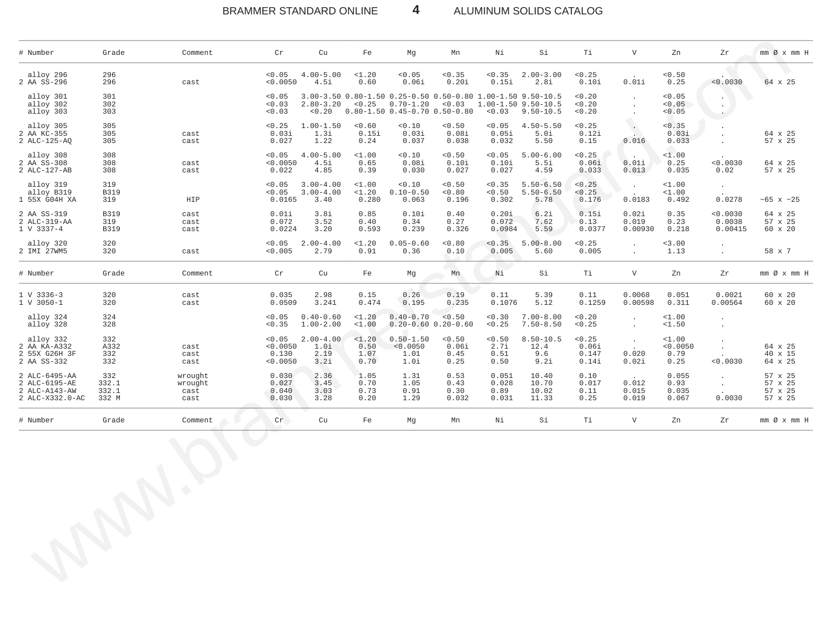#### BRAMMER STANDARD ONLINE 4 ALUMINUM SOLIDS CATALOG

| # Number                                                           | Grade                          | Comment                            | Cr                                      | Cu                                     | Fe                            | Mg                                                                                                                     | Mn                              | Νi                              | Si                                     | Тi                                | $\boldsymbol{\mathrm{V}}$                  | Zn                                 | Zr                                          | $mm \oslash x$ $mm$ H                    |
|--------------------------------------------------------------------|--------------------------------|------------------------------------|-----------------------------------------|----------------------------------------|-------------------------------|------------------------------------------------------------------------------------------------------------------------|---------------------------------|---------------------------------|----------------------------------------|-----------------------------------|--------------------------------------------|------------------------------------|---------------------------------------------|------------------------------------------|
| alloy 296<br>2 AA SS-296                                           | 296<br>296                     | cast                               | < 0.05<br>< 0.0050                      | $4.00 - 5.00$<br>4.5i                  | $1.20$<br>0.60                | < 0.05<br>0.06i                                                                                                        | < 0.35<br>0.20i                 | < 0.35<br>0.15i                 | $2.00 - 3.00$<br>2.8i                  | < 0.25<br>0.10i                   | 0.01i                                      | < 0.50<br>0.25                     | < 0.0030                                    | 64 x 25                                  |
| alloy 301<br>alloy 302<br>alloy 303                                | 301<br>302<br>303              |                                    | < 0.05<br>0.03<br>0.03                  | $2.80 - 3.20$                          | < 0.25                        | 3.00-3.50 0.80-1.50 0.25-0.50 0.50-0.80 1.00-1.50 9.50-10.5<br>$0.70 - 1.20$<br>$< 0.20$ 0.80-1.50 0.45-0.70 0.50-0.80 | < 0.03                          | < 0.03                          | 1.00-1.50 9.50-10.5<br>$9.50 - 10.5$   | < 0.20<br>< 0.20<br>< 0.20        | $\ddot{\phantom{a}}$<br>$\cdot$<br>$\cdot$ | 0.05<br>< 0.05<br>< 0.05           | $\cdot$<br>$\bullet$<br>$\sim$              |                                          |
| alloy 305<br>2 AA KC-355<br>2 ALC-125-AQ                           | 305<br>305<br>305              | cast<br>cast                       | < 0.25<br>0.03i<br>0.027                | $1.00 - 1.50$<br>1.3i<br>1.22          | < 0.60<br>0.15i<br>0.24       | < 0.10<br>0.03i<br>0.037                                                                                               | < 0.50<br>0.08i<br>0.038        | < 0.05<br>0.05i<br>0.032        | $4.50 - 5.50$<br>5.0i<br>5.50          | < 0.25<br>0.12i<br>0.15           | $\mathbb{R}^{\mathbb{N}}$<br>0.016         | < 0.35<br>0.03i<br>0.033           | $\cdot$<br>$\cdot$                          | 64 x 25<br>57 x 25                       |
| alloy 308<br>2 AA SS-308<br>2 ALC-127-AB                           | 308<br>308<br>308              | cast<br>cast                       | < 0.05<br>< 0.0050<br>0.022             | $4.00 - 5.00$<br>4.5i<br>4.85          | $1.00$<br>0.65<br>0.39        | < 0.10<br>0.08i<br>0.030                                                                                               | < 0.50<br>0.10i<br>0.027        | < 0.05<br>0.10i<br>0.027        | $5.00 - 6.00$<br>5.5i<br>4.59          | < 0.25<br>0.06i<br>0.033          | 0.01i<br>0.013                             | 1.00<br>0.25<br>0.035              | < 0.0030<br>0.02                            | 64 x 25<br>57 x 25                       |
| alloy 319<br>alloy B319<br>1 55X G04H XA                           | 319<br>B319<br>319             | HIP                                | < 0.05<br>< 0.05<br>0.0165              | $3.00 - 4.00$<br>$3.00 - 4.00$<br>3.40 | $1.00$<br>$1.20$<br>0.280     | < 0.10<br>$0.10 - 0.50$<br>0.063                                                                                       | < 0.50<br>0.80<br>0.196         | < 0.35<br>< 0.50<br>0.302       | $5.50 - 6.50$<br>$5.50 - 6.50$<br>5.78 | < 0.25<br>< 0.25<br>0.176         | $\sim$<br>$\cdot$<br>0.0183                | $1.00$<br>1.00<br>0.492            | $\sim$<br>0.0278                            | $~105 \times 25$                         |
| 2 AA SS-319<br>2 ALC-319-AA<br>1 V 3337-4                          | B319<br>319<br><b>B319</b>     | cast<br>cast<br>cast               | 0.01i<br>0.072<br>0.0224                | 3.8i<br>3.52<br>3.20                   | 0.85<br>0.40<br>0.593         | 0.10i<br>0.34<br>0.239                                                                                                 | 0.40<br>0.27<br>0.326           | 0.20i<br>0.072<br>0.0984        | 6.2i<br>7.62<br>5.59                   | 0.15i<br>0.13<br>0.0377           | 0.02i<br>0.019<br>0.00930                  | 0.35<br>0.23<br>0.218              | < 0.0030<br>0.0038<br>0.00415               | 64 x 25<br>57 x 25<br>60 x 20            |
| alloy 320<br>2 IMI 27WM5                                           | 320<br>320                     | cast                               | < 0.05<br>< 0.005                       | $2.00 - 4.00$<br>2.79                  | $1.20$<br>0.91                | $0.05 - 0.60$<br>0.36                                                                                                  | < 0.80<br>0.10                  | < 0.35<br>0.005                 | $5.00 - 8.00$<br>5.60                  | < 0.25<br>0.005                   | $\ddot{\phantom{a}}$<br>$\sim$             | 3.00<br>1.13                       | $\sim$<br>$\sim$                            | 58 x 7                                   |
| # Number                                                           | Grade                          | Comment                            | Cr                                      | Cu                                     | Fe                            | Mg                                                                                                                     | Mn                              | Ni                              | Si                                     | Тi                                | V                                          | Zn                                 | Zr                                          | $mm \oslash x$ $mm$ H                    |
| $1 V 3336-3$<br>1 V 3050-1                                         | 320<br>320                     | cast<br>cast                       | 0.035<br>0.0509                         | 2.98<br>3.241                          | 0.15<br>0.474                 | 0.26<br>0.195                                                                                                          | 0.19<br>0.235                   | 0.11<br>0.1076                  | 5.39<br>5.12                           | 0.11<br>0.1259                    | 0.0068<br>0.00598                          | 0.051<br>0.311                     | 0.0021<br>0.00564                           | 60 x 20<br>60 x 20                       |
| alloy 324<br>alloy 328                                             | 324<br>328                     |                                    | 0.05<br>< 0.35                          | $0.40 - 0.60$<br>$1.00 - 2.00$         | $1.20$<br>$1.00$              | $0.40 - 0.70$<br>$0.20 - 0.60$ $0.20 - 0.60$                                                                           | < 0.50                          | < 0.30<br>< 0.25                | $7.00 - 8.00$<br>$7.50 - 8.50$         | < 0.20<br>< 0.25                  | $\cdot$<br>$\cdot$                         | 1.00<br><1.50                      | $\sim$<br>$\bullet$                         |                                          |
| alloy 332<br>2 AA KA-A332<br>2 55X G26H 3F<br>2 AA SS-332          | 332<br>A332<br>332<br>332      | cast<br>cast<br>cast               | < 0.05<br>< 0.0050<br>0.130<br>< 0.0050 | $2.00 - 4.00$<br>1.0i<br>2.19<br>3.2i  | <1.20<br>0.50<br>1.07<br>0.70 | $0.50 - 1.50$<br>< 0.0050<br>1.01<br>1.0i                                                                              | < 0.50<br>0.06i<br>0.45<br>0.25 | < 0.50<br>2.7i<br>0.51<br>0.50  | $8.50 - 10.5$<br>12.4<br>9.6<br>9.2i   | < 0.25<br>0.06i<br>0.147<br>0.14i | $\sim$<br>$\sim$<br>0.020<br>0.02i         | $1.00$<br>< 0.0050<br>0.79<br>0.25 | $\cdot$<br>$\ddot{\phantom{a}}$<br>< 0.0030 | 64 x 25<br>40 x 15<br>64 x 25            |
| 2 ALC-6495-AA<br>2 ALC-6195-AE<br>2 ALC-A143-AW<br>2 ALC-X332.0-AC | 332<br>332.1<br>332.1<br>332 M | wrought<br>wrought<br>cast<br>cast | 0.030<br>0.027<br>0.040<br>0.030        | 2.36<br>3.45<br>3.03<br>3.28           | 1.05<br>0.70<br>0.73<br>0.20  | 1.31<br>1.05<br>0.91<br>1.29                                                                                           | 0.53<br>0.43<br>0.30<br>0.032   | 0.051<br>0.028<br>0.89<br>0.031 | 10.40<br>10.70<br>10.02<br>11.33       | 0.10<br>0.017<br>0.11<br>0.25     | $\sim$ $\sim$<br>0.012<br>0.015<br>0.019   | 0.055<br>0.93<br>0.035<br>0.067    | $\sim$<br>$\sim$<br>0.0030                  | 57 x 25<br>57 x 25<br>57 x 25<br>57 x 25 |
| # Number                                                           | Grade                          | Comment                            | Cr                                      | Cu                                     | Fe                            | Mg                                                                                                                     | Mn                              | Νi                              | Si                                     | Ti                                | $\mathbf V$                                | Zn                                 | Ζr                                          | $mm \oslash x$ $mm$ H                    |
|                                                                    |                                | $\bigodot$<br>$\sum$               |                                         |                                        |                               |                                                                                                                        |                                 |                                 |                                        |                                   |                                            |                                    |                                             |                                          |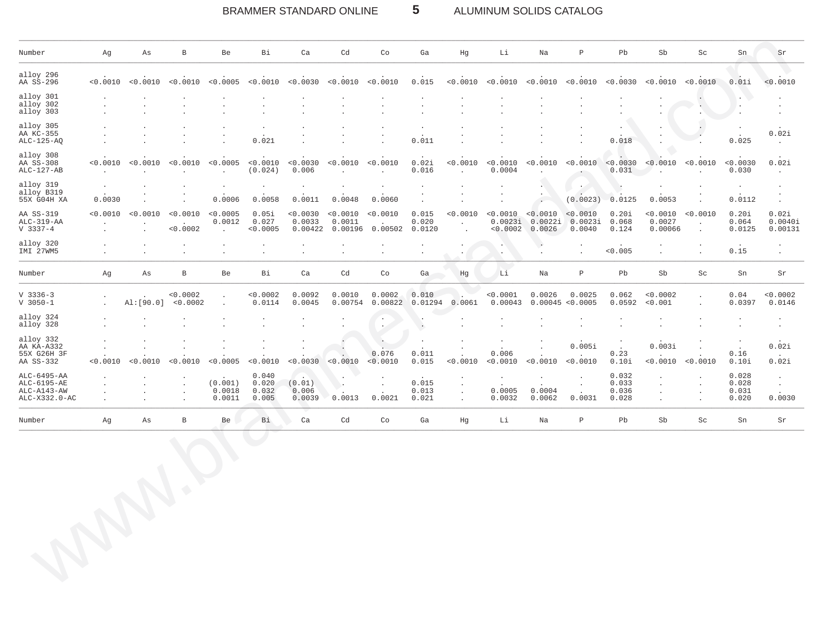$\sqrt{5}$ BRAMMER STANDARD ONLINE ALUMINUM SOLIDS CATALOG

| Number                                                       | Ag                              | Αs                                                    | $\, {\bf B}$                                 | Be                                       | Bi                               | Ca                                   | Cd                 | Co                             | Ga                       | Hg                                                          | Li                                            | Na                                                    | $\, {\bf P}$                           | Pb                               | Sb                                                  | $\operatorname{Sc}$                         | Sn                                        | Sr                                                      |
|--------------------------------------------------------------|---------------------------------|-------------------------------------------------------|----------------------------------------------|------------------------------------------|----------------------------------|--------------------------------------|--------------------|--------------------------------|--------------------------|-------------------------------------------------------------|-----------------------------------------------|-------------------------------------------------------|----------------------------------------|----------------------------------|-----------------------------------------------------|---------------------------------------------|-------------------------------------------|---------------------------------------------------------|
| alloy 296<br>AA SS-296                                       |                                 | < 0.0010 < 0.0010                                     | < 0.0010                                     | < 0.0005                                 | < 0.0010                         | < 0.0030                             | < 0.0010           | < 0.0010                       | 0.015                    | < 0.0010                                                    | < 0.0010                                      | < 0.0010                                              | < 0.0010                               | < 0.0030                         | < 0.0010                                            | < 0.0010                                    | 0.01i                                     | < 0.0010                                                |
| alloy 301<br>alloy 302<br>alloy 303                          | $\cdot$<br>$\cdot$<br>$\cdot$   | $\cdot$<br>$\blacksquare$                             | $\cdot$                                      | $\cdot$                                  | $\sim$<br>$\cdot$                | $\cdot$                              |                    | $\cdot$                        | $\cdot$                  | $\cdot$                                                     | $\Box$                                        | $\cdot$                                               | $\ddot{\phantom{a}}$                   | $\Box$                           | $\ddot{\phantom{0}}$                                | $\sim$                                      | $\cdot$<br>$\ddot{\phantom{a}}$           | $\bullet$<br>$\cdot$<br>$\cdot$                         |
| alloy 305<br>AA KC-355<br>$ALC-125-AQ$                       |                                 | $\cdot$<br>$\cdot$<br>$\lambda$                       |                                              | $\cdot$<br>$\cdot$                       | $\cdot$<br>$\sim$<br>0.021       |                                      |                    |                                | $\cdot$<br>0.011         |                                                             |                                               | $\blacksquare$                                        | $\bullet$                              | 0.018                            |                                                     |                                             | $\cdot$<br>0.025                          | 0.02i<br>$\sim$                                         |
| alloy 308<br>AA SS-308<br>$ALC-127-AB$                       | < 0.0010<br>$\mathbf{r}$        | < 0.0010<br>$\sim$                                    | < 0.0010<br>$\mathbf{r}$                     | < 0.0005<br>$\sim$                       | < 0.0010<br>(0.024)              | < 0.0030<br>0.006                    | < 0.0010           | < 0.0010<br>$\sim$             | 0.02i<br>0.016           | < 0.0010<br>$\sim$                                          | < 0.0010<br>0.0004                            | < 0.0010<br>$\mathbf{r}$                              | < 0.0010<br>$\sim$                     | < 0.0030<br>0.031                | < 0.0010<br>$\sim$                                  | < 0.0010<br>$\ddot{\phantom{a}}$            | 0.0030<br>0.030                           | 0.02i<br>$\sim$                                         |
| alloy 319<br>alloy B319<br>55X G04H XA                       | $\lambda$<br>$\sim$<br>0.0030   | $\cdot$<br>$\cdot$<br>$\ddot{\phantom{a}}$            | $\cdot$                                      | $\ddot{\phantom{a}}$<br>$\sim$<br>0.0006 | $\cdot$<br>0.0058                | $\cdot$<br>0.0011                    | 0.0048             | $\sim$<br>0.0060               |                          | $\ddot{\phantom{a}}$<br>$\cdot$                             | $\bullet$                                     | $\cdot$<br>$\blacksquare$<br>$\overline{\mathcal{L}}$ | $\cdot$<br>4<br>(0.0023)               | Ċ<br>0.0125                      | 0.0053                                              |                                             | $\cdot$<br>$\ddot{\phantom{a}}$<br>0.0112 | $\ddot{\phantom{a}}$<br>$\cdot$<br>$\ddot{\phantom{a}}$ |
| AA SS-319<br>$ALC-319-AA$<br>$V$ 3337-4                      | < 0.0010                        | < 0.0010<br>$\blacksquare$                            | < 0.0010<br>$\ddot{\phantom{a}}$<br>< 0.0002 | < 0.0005<br>0.0012<br>$\sim$             | 0.05i<br>0.027<br>< 0.0005       | 0.0030<br>0.0033<br>0.00422          | < 0.0010<br>0.0011 | < 0.0010<br>0.00196 0.00502    | 0.015<br>0.020<br>0.0120 | < 0.0010<br>$\ddot{\phantom{a}}$                            | < 0.0010<br>0.0023i<br>< 0.0002               | < 0.0010<br>0.0022i<br>0.0026                         | < 0.0010<br>0.0023i<br>0.0040          | 0.20i<br>0.068<br>0.124          | < 0.0010<br>0.0027<br>0.00066                       | < 0.0010<br>$\cdot$<br>$\ddot{\phantom{a}}$ | 0.20i<br>0.064<br>0.0125                  | 0.02i<br>0.0040i<br>0.00131                             |
| alloy 320<br>IMI 27WM5                                       | $\cdot$                         | $\cdot$<br>$\cdot$                                    | $\cdot$<br>$\cdot$                           | $\cdot$<br>$\bullet$                     | $\cdot$<br>$\cdot$               | $\cdot$<br>$\cdot$                   | $\cdot$            | $\cdot$                        | $\cdot$                  | $\cdot$                                                     | $\bullet$                                     | $\blacksquare$ .<br>$\cdot$                           | $\cdot$<br>$\ddot{\phantom{0}}$        | < 0.005                          | $\ddot{\phantom{a}}$                                |                                             | 0.15                                      |                                                         |
| Number                                                       | Ag                              | As                                                    | $\, {\bf B}$                                 | Be                                       | Bi                               | Ca                                   | Cd                 | Co                             | Ga                       | Hg                                                          | Li                                            | Na                                                    | $\, {\bf p}$                           | Pb                               | Sb                                                  | Sc                                          | Sn                                        | Sr                                                      |
| $V$ 3336-3<br>$V$ 3050-1                                     | $\cdot$<br>$\ddot{\phantom{a}}$ | Al: [90.0]                                            | < 0.0002<br>< 0.0002                         | $\bullet$<br>$\sim$                      | < 0.0002<br>0.0114               | 0.0092<br>0.0045                     | 0.0010<br>0.00754  | 0.0002<br>0.00822              | 0.010                    | $0.01294$ 0.0061                                            | < 0.0001<br>0.00043                           | 0.0026<br>0.00045                                     | 0.0025<br>< 0.0005                     | 0.062<br>0.0592                  | < 0.0002<br>< 0.001                                 | $\cdot$                                     | 0.04<br>0.0397                            | < 0.0002<br>0.0146                                      |
| alloy 324<br>alloy 328                                       | $\cdot$<br>$\cdot$              | $\cdot$                                               |                                              | $\cdot$                                  | $\ddot{\phantom{a}}$             |                                      |                    | $\bullet$<br>$\sim$            | $\sim$                   | $\sim$                                                      | $\bullet$                                     | $\cdot$                                               | $\sim$                                 | $\sim$                           | $\bullet$                                           | $\cdot$                                     | $\cdot$<br>$\cdot$                        | $\cdot$<br>$\cdot$                                      |
| alloy 332<br>AA KA-A332<br>55X G26H 3F<br>AA SS-332          | $\cdot$<br>< 0.0010             | $\mathcal{L}_{\mathcal{A}}$<br>< 0.0010               | $\cdot$<br>< 0.0010                          | $\epsilon$<br>< 0.0005                   | $\sim$<br>< 0.0010               | $\blacksquare$<br>< 0.0030           | < 0.0010           | 0.076<br>< 0.0010              | 0.011<br>0.015           | $\ddot{\phantom{a}}$<br>$\sim$<br>< 0.0010                  | $\blacksquare$<br>$\sim$<br>0.006<br>< 0.0010 | $\cdot$<br>< 0.0010                                   | 0.005i<br>$\sim$<br>< 0.0010           | $\sim$<br>0.23<br>0.10i          | 0.003i<br>$\sim$<br>< 0.0010                        | $\cdot$<br>< 0.0010                         | $\ddot{\phantom{a}}$<br>0.16<br>0.10i     | 0.02i<br>0.02i                                          |
| ALC-6495-AA<br>ALC-6195-AE<br>$ALC-Al43-AW$<br>ALC-X332.0-AC |                                 | $\cdot$<br>$\cdot$<br>$\cdot$<br>$\ddot{\phantom{a}}$ | $\cdot$<br>$\cdot$<br>$\cdot$<br>$\cdot$     | (0.001)<br>0.0018<br>0.0011              | 0.040<br>0.020<br>0.032<br>0.005 | $\cdot$<br>(0.01)<br>0.006<br>0.0039 | 0.0013             | $\ddot{\phantom{a}}$<br>0.0021 | 0.015<br>0.013<br>0.021  | $\cdot$<br>$\blacksquare$<br>$\mathcal{L}$<br>$\mathcal{L}$ | $\cdot$<br>0.0005<br>0.0032                   | $\cdot$<br>0.0004<br>0.0062                           | $\cdot$<br>$\cdot$<br>$\sim$<br>0.0031 | 0.032<br>0.033<br>0.036<br>0.028 | $\cdot$<br>$\Box$<br>$\Box$<br>$\ddot{\phantom{a}}$ | $\ddot{\phantom{a}}$                        | 0.028<br>0.028<br>0.031<br>0.020          | $\cdot$<br>$\sim$<br>0.0030                             |
| Number                                                       | Αg                              | Αs                                                    | $\, {\bf B}$                                 | Be                                       | Bi                               | Ca                                   | Cd                 | $\mathop{\rm Co}\nolimits$     | Ga                       | Hg                                                          | Li                                            | Na                                                    | $\, {\bf p}$                           | Pb                               | Sb                                                  | Sc                                          | Sn                                        | $\rm Sr$                                                |
|                                                              |                                 |                                                       |                                              |                                          |                                  |                                      |                    |                                |                          |                                                             |                                               |                                                       |                                        |                                  |                                                     |                                             |                                           |                                                         |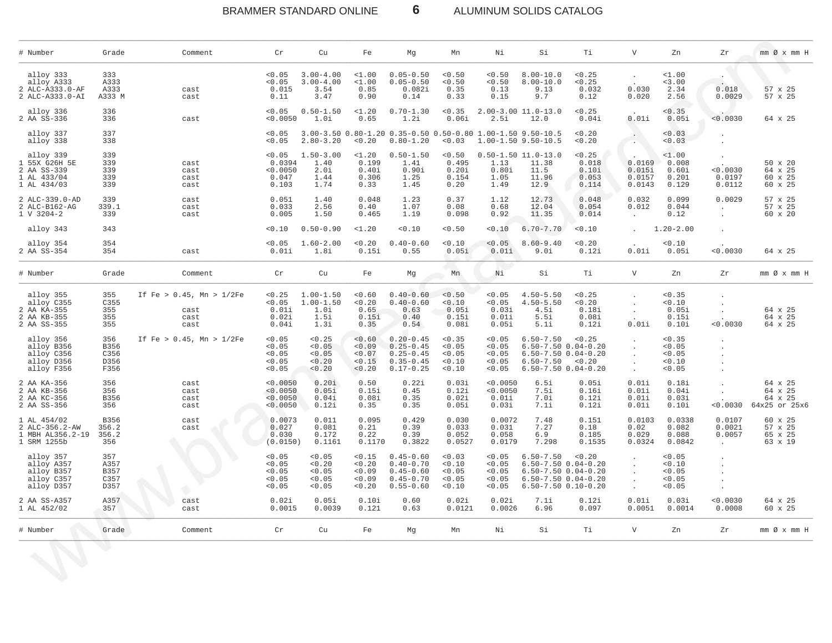# BRAMMER STANDARD ONLINE **6** ALUMINUM SOLIDS CATALOG

| # Number                                                                | Grade                               | Comment                                               | Cr                                             | Cu                                                     | Fe                                         | Мg                                                                                | Mn                                           | Νi                                             | Si                                                                                                                                        | Тi                                         | $\boldsymbol{\nabla}$                  | Zn                                           | Zr                                    | $mm \oslash x$ $mm$ H                          |
|-------------------------------------------------------------------------|-------------------------------------|-------------------------------------------------------|------------------------------------------------|--------------------------------------------------------|--------------------------------------------|-----------------------------------------------------------------------------------|----------------------------------------------|------------------------------------------------|-------------------------------------------------------------------------------------------------------------------------------------------|--------------------------------------------|----------------------------------------|----------------------------------------------|---------------------------------------|------------------------------------------------|
| alloy 333<br>alloy A333<br>2 ALC-A333.0-AF<br>2 ALC-A333.0-AI           | 333<br>A333<br>A333<br>A333 M       | cast<br>cast                                          | < 0.05<br>< 0.05<br>0.015<br>0.11              | $3.00 - 4.00$<br>$3.00 - 4.00$<br>3.54<br>3.47         | $1.00$<br>$1.00$<br>0.85<br>0.90           | $0.05 - 0.50$<br>$0.05 - 0.50$<br>0.082i<br>0.14                                  | < 0.50<br>< 0.50<br>0.35<br>0.33             | < 0.50<br>< 0.50<br>0.13<br>0.15               | $8.00 - 10.0$<br>$8.00 - 10.0$<br>9.13<br>9.7                                                                                             | < 0.25<br>< 0.25<br>0.032<br>0.12          | $\ddot{\phantom{0}}$<br>0.030<br>0.020 | $1.00$<br>< 3.00<br>2.34<br>2.56             | $\cdot$<br>$\cdot$<br>0.018<br>0.0029 | 57 x 25<br>57 x 25                             |
| alloy 336<br>2 AA SS-336                                                | 336<br>336                          | cast                                                  | < 0.05<br>< 0.0050                             | $0.50 - 1.50$<br>1.0i                                  | $1.20$<br>0.65                             | $0.70 - 1.30$<br>1.2i                                                             | < 0.35<br>0.06i                              | 2.5i                                           | $2.00 - 3.00$ 11.0-13.0<br>12.0                                                                                                           | < 0.25<br>0.04i                            | 0.01i                                  | 0.35<br>0.05i                                | < 0.0030                              | 64 x 25                                        |
| alloy 337<br>alloy 338                                                  | 337<br>338                          |                                                       | < 0.05<br>< 0.05                               | $2.80 - 3.20$                                          | < 0.20                                     | 3.00-3.50 0.80-1.20 0.35-0.50 0.50-0.80 1.00-1.50 9.50-10.5<br>$0.80 - 1.20$      | 0.03                                         |                                                | 1.00-1.50 9.50-10.5                                                                                                                       | 0.20<br>0.20                               | $\sim$                                 | 0.03<br>0.03                                 |                                       |                                                |
| alloy 339<br>1 55X G26H 5E<br>2 AA SS-339<br>1 AL 433/04<br>1 AL 434/03 | 339<br>339<br>339<br>339<br>339     | cast<br>cast<br>cast<br>cast                          | < 0.05<br>0.0394<br>< 0.0050<br>0.047<br>0.103 | $1.50 - 3.00$<br>1.40<br>2.0i<br>1.44<br>1.74          | $1.20$<br>0.199<br>0.40i<br>0.306<br>0.33  | $0.50 - 1.50$<br>1.41<br>0.90i<br>1.25<br>1.45                                    | < 0.50<br>0.495<br>0.20i<br>0.154<br>0.20    | 1.13<br>0.80i<br>1.05<br>1.49                  | $0.50 - 1.50$ 11.0-13.0<br>11.38<br>11.5<br>11.96<br>12.9                                                                                 | < 0.25<br>0.018<br>0.10i<br>0.053<br>0.114 | 0.0169<br>0.015i<br>0.0157<br>0.0143   | <1.00<br>0.008<br>0.60i<br>0.201<br>0.129    | 0.0030<br>0.0197<br>0.0112            | 50 x 20<br>64 x 25<br>60 x 25<br>60 x 25       |
| 2 ALC-339.0-AD<br>2 ALC-B162-AG<br>1 V 3204-2                           | 339<br>339.1<br>339                 | cast<br>cast<br>cast                                  | 0.051<br>0.033<br>0.005                        | 1.40<br>2.56<br>1.50                                   | 0.048<br>0.40<br>0.465                     | 1.23<br>1.07<br>1.19                                                              | 0.37<br>0.08<br>0.098                        | 1.12<br>0.68<br>0.92                           | 12.73<br>12.04<br>11.35                                                                                                                   | 0.048<br>0.054<br>0.014                    | 0.032<br>0.012<br>$\bullet$            | 0.099<br>0.044<br>0.12                       | 0.0029<br>$\cdot$                     | 57 x 25<br>57 x 25<br>60 x 20                  |
| alloy 343                                                               | 343                                 |                                                       | < 0.10                                         | $0.50 - 0.90$                                          | <1.20                                      | 0.10                                                                              | 0.50                                         | 0.10                                           | $6.70 - 7.70$                                                                                                                             | < 0.10                                     |                                        | $1.20 - 2.00$                                |                                       |                                                |
| alloy 354<br>2 AA SS-354                                                | 354<br>354                          | cast                                                  | < 0.05<br>0.01i                                | $1.60 - 2.00$<br>1.8i                                  | < 0.20<br>0.15i                            | $0.40 - 0.60$<br>0.55                                                             | 0.10<br>0.05i                                | < 0.05<br>0.01i                                | $8.60 - 9.40$<br>9.Oi                                                                                                                     | < 0.20<br>0.12i                            | 0.01i                                  | 0.10<br>0.05i                                | 0.0030                                | 64 x 25                                        |
| # Number                                                                | Grade                               | Comment                                               | Cr                                             | Cu                                                     | Fe                                         | Мg                                                                                | Mn                                           | Νi                                             | Si                                                                                                                                        | Тi                                         | $\mathbf {V}$                          | Zn                                           | Ζr                                    | mm Øx mm H                                     |
| alloy 355<br>alloy C355<br>2 AA KA-355<br>2 AA KB-355<br>2 AA SS-355    | 355<br>C355<br>355<br>355<br>355    | If Fe > $0.45$ , Mn > $1/2Fe$<br>cast<br>cast<br>cast | < 0.25<br>< 0.05<br>0.01i<br>0.02i<br>0.04i    | $1.00 - 1.50$<br>$1.00 - 1.50$<br>1.0i<br>1.5i<br>1.3i | 0.60<br>< 0.20<br>0.65<br>0.15i<br>0.35    | $0.40 - 0.60$<br>$0.40 - 0.60$<br>0.63<br>0.40<br>0.54                            | < 0.50<br>0.10<br>0.05i<br>0.15i<br>0.08i    | < 0.05<br>< 0.05<br>0.03i<br>0.01i<br>0.05i    | $4.50 - 5.50$<br>$4.50 - 5.50$<br>4.5i<br>5.5i<br>5.1i                                                                                    | < 0.25<br>0.20<br>0.18i<br>0.08i<br>0.12i  | $\ddot{\phantom{0}}$<br>0.01i          | < 0.35<br>0.10<br>0.05i<br>0.15i<br>0.10i    | 0.0030                                | 64 x 25<br>64 x 25<br>64 x 25                  |
| alloy 356<br>alloy B356<br>alloy C356<br>alloy D356<br>alloy F356       | 356<br>B356<br>C356<br>D356<br>F356 | If Fe > $0.45$ , Mn > $1/2Fe$                         | < 0.05<br>< 0.05<br>< 0.05<br>< 0.05<br>< 0.05 | < 0.25<br>< 0.05<br>0.05<br>0.20<br>< 0.20             | 0.60<br>0.09<br>< 0.07<br>< 0.15<br>0.20   | $0.20 - 0.45$<br>$0.25 - 0.45$<br>$0.25 - 0.45$<br>$0.35 - 0.45$<br>$0.17 - 0.25$ | 0.35<br>< 0.05<br>< 0.05<br>< 0.10<br>< 0.10 | < 0.05<br>< 0.05<br>< 0.05<br>< 0.05<br>< 0.05 | $6.50 - 7.50$<br>$6.50 - 7.50$ $0.04 - 0.20$<br>$6.50 - 7.50$ $0.04 - 0.20$<br>$6.50 - 7.50$<br>$6.50 - 7.50$ $0.04 - 0.20$               | < 0.25<br>< 0.20                           | $\cdot$                                | < 0.35<br>< 0.05<br>< 0.05<br>0.10<br>< 0.05 | $\cdot$                               |                                                |
| 2 AA KA-356<br>2 AA KB-356<br>2 AA KC-356<br>2 AA SS-356                | 356<br>356<br>B356<br>356           | cast<br>cast<br>cast<br>cast                          | < 0.0050<br>< 0.0050<br>< 0.0050<br>< 0.0050   | 0.20i<br>0.05i<br>0.04i<br>0.12i                       | 0.50<br>0.15i<br>0.08i<br>0.35             | 0.22i<br>0.45<br>0.35<br>0.35                                                     | 0.03i<br>0.12i<br>0.02i<br>0.05i             | < 0.0050<br>< 0.0050<br>0.01i<br>0.03i         | 6.5i<br>7.5i<br>7.Oi<br>7.1i                                                                                                              | 0.05i<br>0.16i<br>0.12i<br>0.12i           | 0.01i<br>0.01i<br>0.01i<br>0.01i       | 0.18i<br>0.04i<br>0.03i<br>0.10i             | < 0.0030                              | 64 x 25<br>64 x 25<br>64 x 25<br>64x25 or 25x6 |
| $1$ AL $454/02$<br>2 ALC-356.2-AW<br>1 MBH AL356.2-19<br>1 SRM 1255b    | B356<br>356.2<br>356.2<br>356       | cast<br>cast                                          | 0.0073<br>0.027<br>0.030<br>(0.0150)           | 0.011<br>0.081<br>0.172<br>0.1161                      | 0.095<br>0.21<br>0.22<br>0.1170            | 0.429<br>0.39<br>0.39<br>0.3822                                                   | 0.030<br>0.033<br>0.052<br>0.0527            | 0.0072<br>0.031<br>0.058<br>0.0179             | 7.48<br>7.27<br>6.9<br>7.298                                                                                                              | 0.151<br>0.18<br>0.185<br>0.1535           | 0.0103<br>0.02<br>0.029<br>0.0324      | 0.0338<br>0.082<br>0.088<br>0.0842           | 0.0107<br>0.0021<br>0.0057<br>$\sim$  | 60 x 25<br>57 x 25<br>65 x 25<br>63 x 19       |
| alloy 357<br>alloy A357<br>alloy B357<br>alloy C357<br>alloy D357       | 357<br>A357<br>B357<br>C357<br>D357 |                                                       | < 0.05<br>< 0.05<br>< 0.05<br>< 0.05<br>< 0.05 | < 0.05<br>< 0.20<br>< 0.05<br>< 0.05<br>0.05           | < 0.15<br>< 0.20<br>0.09<br>0.09<br>< 0.20 | $0.45 - 0.60$<br>$0.40 - 0.70$<br>$0.45 - 0.60$<br>$0.45 - 0.70$<br>$0.55 - 0.60$ | 0.03<br>0.10<br>< 0.05<br>< 0.05<br>0.10     | < 0.05<br>< 0.05<br>< 0.05<br>< 0.05<br>0.05   | $6.50 - 7.50$<br>$6.50 - 7.50$ $0.04 - 0.20$<br>$6.50 - 7.50$ $0.04 - 0.20$<br>$6.50 - 7.50$ $0.04 - 0.20$<br>$6.50 - 7.50$ $0.10 - 0.20$ | < 0.20                                     |                                        | < 0.05<br>0.10<br>< 0.05<br>< 0.05<br>< 0.05 |                                       |                                                |
| 2 AA SS-A357<br>1 AL 452/02                                             | A357<br>357                         | cast<br>cast                                          | 0.02i<br>0.0015                                | 0.05i<br>0.0039                                        | 0.10i<br>0.121                             | 0.60<br>0.63                                                                      | 0.02i<br>0.0121                              | 0.02i<br>0.0026                                | 7.1i<br>6.96                                                                                                                              | 0.12i<br>0.097                             | 0.01i<br>0.0051                        | 0.03i<br>0.0014                              | < 0.0030<br>0.0008                    | 64 x 25<br>60 x 25                             |
| # Number                                                                | Grade                               | Comment                                               | Cr                                             | Cu                                                     | Fe                                         | Mg                                                                                | Mn                                           | Νi                                             | Si                                                                                                                                        | Ti                                         | V                                      | Zn                                           | Ζr                                    |                                                |
|                                                                         | $\langle \rangle$                   |                                                       |                                                |                                                        |                                            |                                                                                   |                                              |                                                |                                                                                                                                           |                                            |                                        |                                              |                                       |                                                |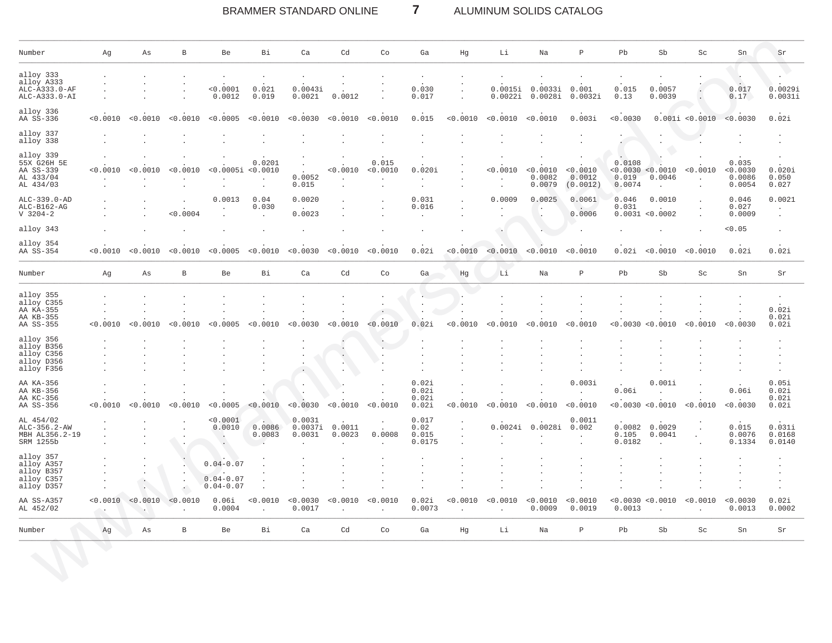### $\overline{7}$ BRAMMER STANDARD ONLINE ALUMINUM SOLIDS CATALOG

| Number                                                            | Αg                 | Αs                                           | $\, {\bf B}$ | Be                                              | Bi                                     | Ca                          | Cd                                     | Co                | Ga                               | Hg                       | Li                                                            | Na                           | $\, {\bf P}$                   | Pb                        | Sb                                          | $\operatorname{Sc}$      | Sn                                    | Sr                               |
|-------------------------------------------------------------------|--------------------|----------------------------------------------|--------------|-------------------------------------------------|----------------------------------------|-----------------------------|----------------------------------------|-------------------|----------------------------------|--------------------------|---------------------------------------------------------------|------------------------------|--------------------------------|---------------------------|---------------------------------------------|--------------------------|---------------------------------------|----------------------------------|
| alloy 333<br>alloy A333<br>ALC-A333.0-AF<br>ALC-A333.0-AI         |                    |                                              |              | $< 0.0001$<br>0.0012                            | $\ddot{\phantom{0}}$<br>0.021<br>0.019 | 0.0043i<br>0.0021           | 0.0012                                 |                   | 0.030<br>0.017                   | $\cdot$                  | 0.0015i<br>0.0022i                                            | 0.0033i<br>0.0028i           | 0.001<br>0.0032i               | 0.015<br>0.13             | 0.0057<br>0.0039                            |                          | $\cdot$<br>0.017<br>0.17              | 0.0029i<br>0.0031i               |
| alloy 336<br>AA SS-336                                            | < 0.0010           | < 0.0010                                     | < 0.0010     | < 0.0005                                        | < 0.0010                               | < 0.0030                    | < 0.0010                               | < 0.0010          | 0.015                            | < 0.0010                 | < 0.0010                                                      | < 0.0010                     | 0.003i                         | < 0.0030                  |                                             | 0.001i < 0.0010          | < 0.0030                              | 0.02i                            |
| alloy 337<br>alloy 338                                            |                    |                                              |              |                                                 |                                        |                             |                                        |                   |                                  |                          | ÷.                                                            |                              |                                |                           |                                             |                          |                                       |                                  |
| alloy 339<br>55X G26H 5E<br>AA SS-339<br>AL 433/04<br>AL 434/03   | < 0.0010           | < 0.0010                                     | < 0.0010     | < 0.0005i < 0.0010<br>$\cdot$                   | 0.0201<br>$\Box$<br>$\cdot$            | $\sim$<br>0.0052<br>0.015   | < 0.0010<br>$\sim$                     | 0.015<br>< 0.0010 | 0.020i<br>$\sim$                 |                          | $\ddot{\phantom{a}}$<br>< 0.0010<br>$\overline{a}$<br>$\cdot$ | < 0.0010<br>0.0082<br>0.0079 | < 0.0010<br>0.0012<br>(0.0012) | 0.0108<br>0.019<br>0.0074 | < 0.0030 < 0.0010<br>0.0046<br>$\mathbf{r}$ | < 0.0010<br>$\mathbf{r}$ | 0.035<br>< 0.0030<br>0.0086<br>0.0054 | 0.020i<br>0.050<br>0.027         |
| ALC-339.0-AD<br>$ALC-B162-AG$<br>$V$ 3204-2                       |                    |                                              | < 0.0004     | 0.0013                                          | 0.04<br>0.030<br>$\cdot$               | 0.0020<br>0.0023            |                                        |                   | 0.031<br>0.016                   |                          | 0.0009                                                        | 0.0025<br>$\cdot$            | 0.0061<br>0.0006               | 0.046<br>0.031            | 0.0010<br>0.0031 < 0.0002                   |                          | 0.046<br>0.027<br>0.0009              | 0.0021<br>$\cdot$                |
| alloy 343                                                         |                    |                                              |              |                                                 |                                        |                             |                                        |                   |                                  |                          |                                                               |                              |                                |                           |                                             |                          | < 0.05                                |                                  |
| alloy 354<br>AA SS-354                                            | < 0.0010           | < 0.0010                                     | < 0.0010     | < 0.0005                                        | < 0.0010                               | < 0.0030                    | < 0.0010                               | < 0.0010          | 0.02i                            | < 0.0010                 | < 0.0010                                                      | < 0.0010                     | < 0.0010                       | 0.02i                     | < 0.0010                                    | < 0.0010                 | 0.02i                                 | 0.02i                            |
| Number                                                            | Αg                 | As                                           | $\, {\bf B}$ | Be                                              | Bi                                     | Ca                          | Cd                                     | Co                | Ga                               | Hg                       | Li                                                            | Na                           | $\, {\bf P}$                   | Pb                        | Sb                                          | $\operatorname{Sc}$      | Sn                                    | Sr                               |
| alloy 355<br>alloy C355<br>AA KA-355<br>AA KB-355<br>AA SS-355    | < 0.0010           | < 0.0010                                     | < 0.0010     | < 0.0005                                        | $\ddot{\phantom{0}}$<br>< 0.0010       | $\cdot$<br>< 0.0030         | $\cdot$<br>< 0.0010                    | < 0.0010          | 0.02i                            | < 0.0010                 | < 0.0010                                                      | $\cdot$<br>< 0.0010          | < 0.0010                       | < 0.0030                  | < 0.0010                                    | < 0.0010                 | $\cdot$<br>< 0.0030                   | 0.02i<br>0.02i<br>0.02i          |
| alloy 356<br>alloy B356<br>alloy C356<br>alloy D356<br>alloy F356 |                    |                                              |              |                                                 |                                        |                             | $\blacksquare$<br>$\ddot{\phantom{a}}$ | $\cdot$           |                                  |                          |                                                               |                              |                                |                           |                                             |                          |                                       |                                  |
| AA KA-356<br>AA KB-356<br>AA KC-356<br>AA SS-356                  | < 0.0010           | < 0.0010                                     | < 0.0010     | < 0.0005                                        | < 0.0010                               | $\bullet$<br>0.0030         | 0.0010                                 | < 0.0010          | 0.02i<br>0.02i<br>0.02i<br>0.02i | $\mathbf{r}$<br>< 0.0010 | < 0.0010                                                      | < 0.0010                     | 0.003i<br>$\sim$<br>< 0.0010   | 0.06i                     | 0.001i<br>$\mathbf{r}$<br>< 0.0030 < 0.0010 | < 0.0010                 | 0.06i<br>< 0.0030                     | 0.05i<br>0.02i<br>0.02i<br>0.02i |
| AL 454/02<br>ALC-356.2-AW<br>MBH AL356.2-19<br>SRM 1255b          |                    |                                              |              | < 0.0001<br>0.0010<br>$\rightarrow$             | A.<br>0.0086<br>0.0083                 | 0.0031<br>0.0037i<br>0.0031 | 0.0011<br>0.0023                       | 0.0008            | 0.017<br>0.02<br>0.015<br>0.0175 |                          | 0.0024i                                                       | 0.0028i                      | 0.0011<br>0.002                | 0.0082<br>0.105<br>0.0182 | 0.0029<br>0.0041                            |                          | 0.015<br>0.0076<br>0.1334             | 0.031i<br>0.0168<br>0.0140       |
| alloy 357<br>alloy A357<br>alloy B357<br>alloy C357<br>alloy D357 |                    | $\ddot{\phantom{a}}$<br>$\ddot{\phantom{1}}$ |              | $0.04 - 0.07$<br>$0.04 - 0.07$<br>$0.04 - 0.07$ |                                        |                             |                                        |                   |                                  | $\bullet$                | $\ddot{\phantom{a}}$                                          | $\cdot$                      |                                |                           |                                             |                          |                                       |                                  |
| AA SS-A357<br>AL 452/02                                           | < 0.0010<br>$\sim$ | < 0.0010<br>$\cdot$                          | < 0.0010     | 0.06i<br>0.0004                                 | < 0.0010<br>$\cdot$                    | < 0.0030<br>0.0017          | < 0.0010<br>$\mathbf{r}$               | < 0.0010          | 0.02i<br>0.0073                  | < 0.0010<br>$\cdot$      | < 0.0010<br>$\cdot$                                           | < 0.0010<br>0.0009           | < 0.0010<br>0.0019             | 0.0013                    | < 0.0030 < 0.0010<br>$\ddot{\phantom{a}}$   | < 0.0010<br>$\sim$       | < 0.0030<br>0.0013                    | 0.02i<br>0.0002                  |
| Number                                                            | Ag                 | Αs                                           | B            | Be                                              | Bi                                     | Ca                          | Cd                                     | Co                | Ga                               | Hg                       | Li                                                            | Na                           | $\, {\bf p}$                   | Pb                        | Sb                                          | Sc                       | Sn                                    | Sr                               |
|                                                                   | s.                 |                                              |              |                                                 |                                        |                             |                                        |                   |                                  |                          |                                                               |                              |                                |                           |                                             |                          |                                       |                                  |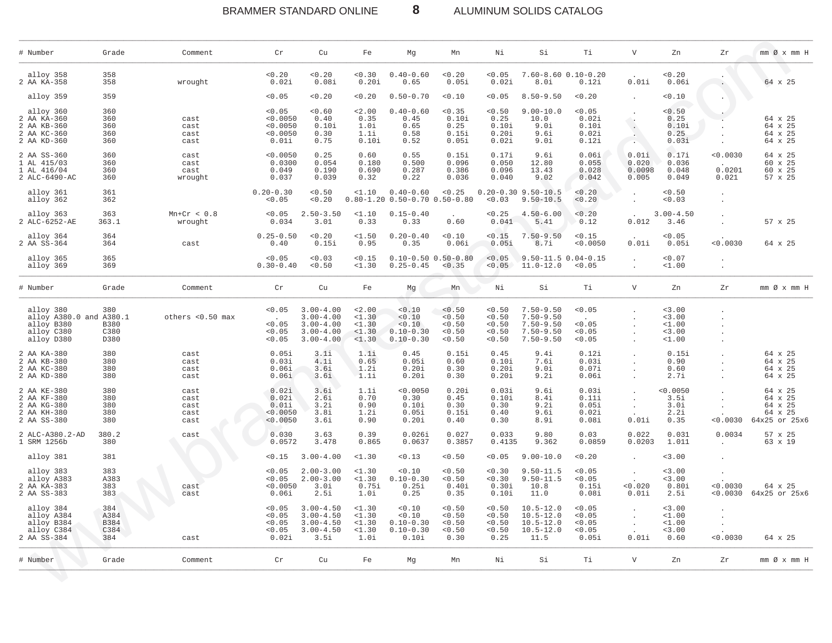BRAMMER STANDARD ONLINE **8** ALUMINUM SOLIDS CATALOG

| # Number                                                                       | Grade                              | Comment                              | Cr                                                  | Cu                                                                                | Fe                                            | Mg                                                         | Mn                                           | Νi                                             | Si                                                                                | Тi                                            | $\mathbf V$                       | Zn                                           | Zr                        | mm Ø x mm H                                               |
|--------------------------------------------------------------------------------|------------------------------------|--------------------------------------|-----------------------------------------------------|-----------------------------------------------------------------------------------|-----------------------------------------------|------------------------------------------------------------|----------------------------------------------|------------------------------------------------|-----------------------------------------------------------------------------------|-----------------------------------------------|-----------------------------------|----------------------------------------------|---------------------------|-----------------------------------------------------------|
| alloy 358<br>2 AA KA-358                                                       | 358<br>358                         | wrought                              | < 0.20<br>0.02i                                     | 0.20<br>0.08i                                                                     | 0.30<br>0.20i                                 | $0.40 - 0.60$<br>0.65                                      | < 0.20<br>0.05i                              | < 0.05<br>0.02i                                | $7.60 - 8.60 0.10 - 0.20$<br>8.Oi                                                 | 0.12i                                         | 0.01i                             | < 0.20<br>0.06i                              |                           | 64 x 25                                                   |
| alloy 359                                                                      | 359                                |                                      | < 0.05                                              | 0.20                                                                              | 0.20                                          | $0.50 - 0.70$                                              | < 0.10                                       | < 0.05                                         | $8.50 - 9.50$                                                                     | < 0.20                                        |                                   | 0.10                                         |                           |                                                           |
| alloy 360<br>2 AA KA-360<br>2 AA KB-360<br>2 AA KC-360<br>2 AA KD-360          | 360<br>360<br>360<br>360<br>360    | cast<br>cast<br>cast<br>cast         | < 0.05<br>< 0.0050<br>< 0.0050<br>< 0.0050<br>0.01i | 0.60<br>0.40<br>0.10i<br>0.30<br>0.75                                             | 2.00<br>0.35<br>1.0i<br>1.1i<br>0.10i         | $0.40 - 0.60$<br>0.45<br>0.65<br>0.58<br>0.52              | < 0.35<br>0.10i<br>0.25<br>0.15i<br>0.05i    | < 0.50<br>0.25<br>0.10i<br>0.20i<br>0.02i      | $9.00 - 10.0$<br>10.0<br>9.Oi<br>9.6i<br>9.Oi                                     | < 0.05<br>0.02i<br>0.10i<br>0.02i<br>0.12i    | $\sim$                            | < 0.50<br>0.25<br>0.10i<br>0.25<br>0.03i     |                           | 64 x 25<br>64 x 25<br>64 x 25<br>64 x 25                  |
| 2 AA SS-360<br>1 AL 415/03<br>1 AL 416/04<br>2 ALC-6490-AC                     | 360<br>360<br>360<br>360           | cast<br>cast<br>cast<br>wrought      | < 0.0050<br>0.0300<br>0.049<br>0.037                | 0.25<br>0.054<br>0.190<br>0.039                                                   | 0.60<br>0.180<br>0.690<br>0.32                | 0.55<br>0.500<br>0.287<br>0.22                             | 0.15i<br>0.096<br>0.386<br>0.036             | 0.17i<br>0.050<br>0.096<br>0.040               | 9.6i<br>12.80<br>13.43<br>9.02                                                    | 0.06i<br>0.055<br>0.028<br>0.042              | 0.01i<br>0.020<br>0.0098<br>0.005 | 0.17i<br>0.036<br>0.048<br>0.049             | 0.0030<br>0.0201<br>0.021 | 64 x 25<br>60 x 25<br>60 x 25<br>57 x 25                  |
| alloy 361<br>alloy 362                                                         | 361<br>362                         |                                      | $0.20 - 0.30$<br>< 0.05                             | < 0.50<br>0.20                                                                    | $1.10$                                        | $0.40 - 0.60$<br>$0.80 - 1.20$ $0.50 - 0.70$ $0.50 - 0.80$ | < 0.25                                       | < 0.03                                         | $0.20 - 0.30$ 9.50-10.5<br>$9.50 - 10.5$                                          | < 0.20<br>< 0.20                              |                                   | < 0.50<br>0.03                               |                           |                                                           |
| alloy 363<br>2 ALC-6252-AE                                                     | 363<br>363.1                       | $Mn+Cr < 0.8$<br>wrought             | < 0.05<br>0.034                                     | $2.50 - 3.50$<br>3.01                                                             | $1.10$<br>0.33                                | $0.15 - 0.40$<br>0.33                                      | 0.60                                         | < 0.25<br>0.041                                | $4.50 - 6.00$<br>5.41                                                             | < 0.20<br>0.12                                | 0.012                             | $3.00 - 4.50$<br>3.46                        |                           | 57 x 25                                                   |
| alloy 364<br>2 AA SS-364                                                       | 364<br>364                         | cast                                 | $0.25 - 0.50$<br>0.40                               | 0.20<br>0.15i                                                                     | $1.50$<br>0.95                                | $0.20 - 0.40$<br>0.35                                      | 0.10<br>0.06i                                | < 0.15<br>0.05i                                | $7.50 - 9.50$<br>8.7i                                                             | < 0.15<br>< 0.0050                            | 0.01i                             | < 0.05<br>0.05i                              | < 0.0030                  | 64 x 25                                                   |
| alloy 365<br>alloy 369                                                         | 365<br>369                         |                                      | < 0.05<br>$0.30 - 0.40$                             | 0.03<br>< 0.50                                                                    | < 0.15<br>$1.30$                              | $0.10 - 0.50 0.50 - 0.80$<br>$0.25 - 0.45$                 | < 0.35                                       | < 0.05<br>< 0.05                               | $9.50 - 11.5 0.04 - 0.15$<br>$11.0 - 12.0$                                        | < 0.05                                        |                                   | < 0.07<br>$1.00$                             |                           |                                                           |
| # Number                                                                       | Grade                              | Comment                              | Cr                                                  | Cu                                                                                | Fe                                            | Мg                                                         | Mn                                           | Νi                                             | Si                                                                                | Тi                                            | $\mathbf V$                       | Zn                                           | Zr                        | $mm \oslash x$ $mm$ H                                     |
| alloy 380<br>alloy A380.0 and A380.1<br>alloy B380<br>alloy C380<br>alloy D380 | 380<br><b>B380</b><br>C380<br>D380 | others <0.50 max                     | < 0.05<br>< 0.05<br>< 0.05<br>< 0.05                | $3.00 - 4.00$<br>$3.00 - 4.00$<br>$3.00 - 4.00$<br>$3.00 - 4.00$<br>$3.00 - 4.00$ | < 2.00<br>$1.30$<br><1.30<br>$1.30$<br>$1.30$ | 0.10<br>< 0.10<br>< 0.10<br>$0.10 - 0.30$<br>$0.10 - 0.30$ | < 0.50<br>< 0.50<br>0.50<br>< 0.50<br>< 0.50 | < 0.50<br>< 0.50<br>< 0.50<br>< 0.50<br>< 0.50 | $7.50 - 9.50$<br>$7.50 - 9.50$<br>$7.50 - 9.50$<br>$7.50 - 9.50$<br>$7.50 - 9.50$ | < 0.05<br>< 0.05<br>< 0.05<br>< 0.05          |                                   | $3.00$<br>< 3.00<br>$1.00$<br>3.00<br>$1.00$ |                           |                                                           |
| 2 AA KA-380<br>2 AA KB-380<br>2 AA KC-380<br>2 AA KD-380                       | 380<br>380<br>380<br>380           | cast<br>cast<br>cast<br>cast         | 0.05i<br>0.03i<br>0.06i<br>0.06i                    | 3.1i<br>4.1i<br>3.6i<br>3.6i                                                      | 1.1i<br>0.65<br>1.2i<br>1.1i                  | 0.45<br>0.05i<br>0.20i<br>0.20i                            | 0.15i<br>0.60<br>0.30<br>0.30                | 0.45<br>0.10i<br>0.20i<br>0.20i                | 9.4i<br>7.6i<br>9.Oi<br>9.2i                                                      | 0.12i<br>0.03i<br>0.07i<br>0.06i              | $\cdot$                           | 0.15i<br>0.90<br>0.60<br>2.7i                |                           | 64 x 25<br>64 x 25<br>64 x 25<br>64 x 25                  |
| 2 AA KE-380<br>2 AA KF-380<br>2 AA KG-380<br>2 AA KH-380<br>2 AA SS-380        | 380<br>380<br>380<br>380<br>380    | cast<br>cast<br>cast<br>cast<br>cast | 0.02i<br>0.02i<br>0.01i<br>< 0.0050<br>< 0.0050     | 3.6i<br>2.6i<br>3.2i<br>3.8i<br>3.6i                                              | 1.1i<br>0.70<br>0.90<br>1.2i<br>0.90          | < 0.0050<br>0.30<br>0.10i<br>0.05i<br>0.20i                | 0.20i<br>0.45<br>0.30<br>0.15i<br>0.40       | 0.03i<br>0.10i<br>0.30<br>0.40<br>0.30         | 9.6i<br>8.4i<br>9.2i<br>9.6i<br>8.9i                                              | 0.03i<br>0.11i<br>0.05i<br>0.02i<br>0.08i     | 0.01i                             | 0.0050<br>3.5i<br>3.0i<br>2.2i<br>0.35       | < 0.0030                  | 64 x 25<br>64 x 25<br>64 x 25<br>64 x 25<br>64x25 or 25x6 |
| 2 ALC-A380.2-AD<br>1 SRM 1256b                                                 | 380.2<br>380                       | cast                                 | 0.030<br>0.0572                                     | 3.63<br>3.478                                                                     | 0.39<br>0.865                                 | 0.026i<br>0.0637                                           | 0.027<br>0.3857                              | 0.033<br>0.4135                                | 9.80<br>9.362                                                                     | 0.03<br>0.0859                                | 0.022<br>0.0203                   | 0.031<br>1.011                               | 0.0034<br>$\sim$          | 57 x 25<br>63 x 19                                        |
| alloy 381                                                                      | 381                                |                                      | < 0.15                                              | $3.00 - 4.00$                                                                     | $1.30$                                        | 0.13                                                       | < 0.50                                       | < 0.05                                         | $9.00 - 10.0$                                                                     | < 0.20                                        | $\cdot$                           | < 3.00                                       |                           |                                                           |
| alloy 383<br>alloy A383<br>2 AA KA-383<br>2 AA SS-383                          | 383<br>A383<br>383<br>383          | cast<br>cast                         | < 0.05<br>< 0.05<br>< 0.0050<br>0.06i               | $2.00 - 3.00$<br>$2.00 - 3.00$<br>3.Oi<br>2.5i                                    | <1.30<br>$1.30$<br>0.75i<br>1.0i              | 0.10<br>$0.10 - 0.30$<br>0.25i<br>0.25                     | < 0.50<br>< 0.50<br>0.40i<br>0.35            | 0.30<br>0.30<br>0.30i<br>0.10i                 | $9.50 - 11.5$<br>$9.50 - 11.5$<br>10.8<br>11.0                                    | < 0.05<br>< 0.05<br>0.15i<br>0.08i            | $\sim$<br>0.020<br>0.01i          | < 3.00<br>< 3.00<br>0.80i<br>2.5i            | < 0.0030<br>< 0.0030      | 64 x 25<br>64x25 or 25x6                                  |
| alloy 384<br>alloy A384<br>alloy B384<br>alloy C384<br>2 AA SS-384             | 384<br>A384<br>B384<br>C384<br>384 | cast                                 | < 0.05<br>< 0.05<br>< 0.05<br>< 0.05<br>0.02i       | $3.00 - 4.50$<br>$3.00 - 4.50$<br>$3.00 - 4.50$<br>$3.00 - 4.50$<br>3.5i          | <1.30<br>$1.30$<br>$1.30$<br>$1.30$<br>1.0i   | < 0.10<br>0.10<br>$0.10 - 0.30$<br>$0.10 - 0.30$<br>0.10i  | < 0.50<br>< 0.50<br>< 0.50<br>< 0.50<br>0.30 | < 0.50<br>< 0.50<br>< 0.50<br>< 0.50<br>0.25   | $10.5 - 12.0$<br>$10.5 - 12.0$<br>$10.5 - 12.0$<br>$10.5 - 12.0$<br>11.5          | < 0.05<br>< 0.05<br>< 0.05<br>< 0.05<br>0.05i | 0.01i                             | < 3.00<br>$1.00$<br>$1.00$<br>< 3.00<br>0.60 | < 0.0030                  | 64 x 25                                                   |
| # Number                                                                       | Grade                              | Comment                              | $\operatorname{\sf Cr}$                             | Cu                                                                                | Fe                                            | Мg                                                         | Mn                                           | Νi                                             | Si                                                                                | Тi                                            | $\mathbf V$                       | Zn                                           | Zr                        | $mm \oslash x$ $mm$ H                                     |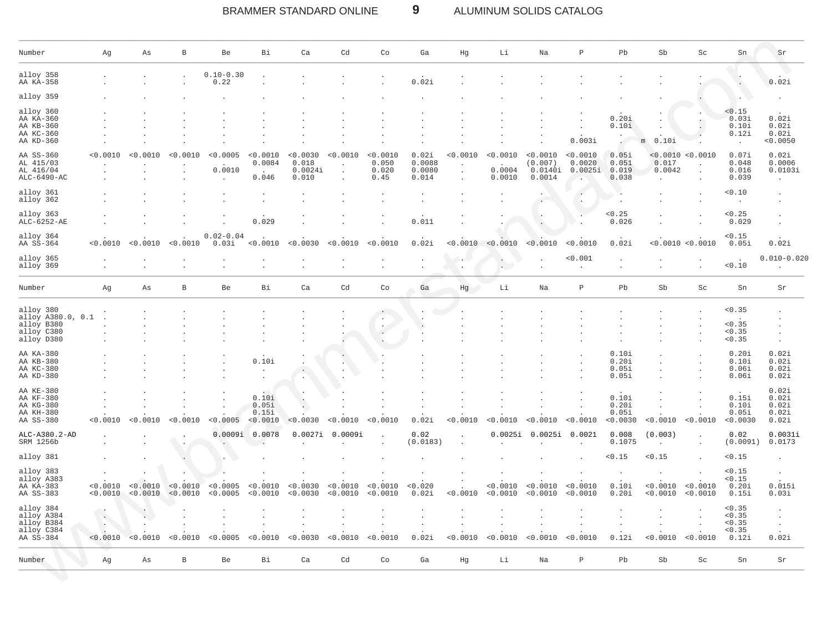#### BRAMMER STANDARD ONLINE  $9$ ALUMINUM SOLIDS CATALOG

| Number                                                                   | Αg                                                    | Αs                   | $\, {\bf B}$         | Be                     | Bi                                                  | Ca                                    | Cd                                  | Co                                                  | Ga                                 | Ηg       | Li                           | Na                                       | P                             | Pb                                | Sb                          | Sc                   | Sn                                            | Sr                                        |
|--------------------------------------------------------------------------|-------------------------------------------------------|----------------------|----------------------|------------------------|-----------------------------------------------------|---------------------------------------|-------------------------------------|-----------------------------------------------------|------------------------------------|----------|------------------------------|------------------------------------------|-------------------------------|-----------------------------------|-----------------------------|----------------------|-----------------------------------------------|-------------------------------------------|
| alloy 358<br>AA KA-358                                                   |                                                       |                      |                      | $0.10 - 0.30$<br>0.22  |                                                     |                                       |                                     |                                                     | 0.02i                              |          |                              |                                          |                               |                                   |                             |                      |                                               | 0.02i                                     |
| alloy 359                                                                |                                                       |                      |                      |                        |                                                     |                                       |                                     |                                                     |                                    |          |                              |                                          |                               |                                   |                             |                      |                                               |                                           |
| alloy 360<br>AA KA-360<br>AA KB-360<br>AA KC-360<br>AA KD-360            |                                                       |                      |                      |                        |                                                     |                                       |                                     |                                                     |                                    |          |                              |                                          | 0.003i                        | 0.20i<br>0.10i                    | 0.10i<br>m                  |                      | < 0.15<br>0.03i<br>0.10i<br>0.12i             | 0.02i<br>0.02i<br>0.02i<br>< 0.0050       |
| AA SS-360<br>AL 415/03<br>AL 416/04<br>ALC-6490-AC                       | < 0.0010                                              | < 0.0010             | < 0.0010             | < 0.0005<br>0.0010     | < 0.0010<br>0.0084<br>$\ddot{\phantom{a}}$<br>0.046 | < 0.0030<br>0.018<br>0.0024i<br>0.010 | < 0.0010<br>$\cdot$<br>$\mathbf{r}$ | < 0.0010<br>0.050<br>0.020<br>0.45                  | 0.02i<br>0.0088<br>0.0080<br>0.014 | < 0.0010 | < 0.0010<br>0.0004<br>0.0010 | < 0.0010<br>(0.007)<br>0.0140i<br>0.0014 | < 0.0010<br>0.0020<br>0.0025i | 0.05i<br>0.051<br>0.019<br>0.038  | < 0.0010<br>0.017<br>0.0042 | < 0.0010             | 0.07i<br>0.048<br>0.016<br>0.039              | 0.02i<br>0.0006<br>0.0103i                |
| alloy 361<br>alloy 362                                                   |                                                       |                      |                      |                        |                                                     |                                       |                                     |                                                     |                                    |          |                              |                                          |                               |                                   |                             |                      | < 0.10                                        |                                           |
| alloy 363<br>ALC-6252-AE                                                 |                                                       |                      |                      |                        | 0.029                                               |                                       |                                     |                                                     | 0.011                              |          |                              |                                          |                               | < 0.25<br>0.026                   |                             |                      | < 0.25<br>0.029                               |                                           |
| alloy 364<br>AA SS-364                                                   | < 0.0010                                              | < 0.0010             | < 0.0010             | $0.02 - 0.04$<br>0.03i | < 0.0010                                            | < 0.0030                              | < 0.0010                            | < 0.0010                                            | 0.02i                              | < 0.0010 | < 0.0010                     | < 0.0010                                 | < 0.0010                      | 0.02i                             |                             | < 0.0010 < 0.0010    | < 0.15<br>0.05i                               | 0.02i                                     |
| alloy 365<br>alloy 369                                                   |                                                       |                      |                      |                        |                                                     |                                       |                                     |                                                     |                                    |          | $\cdot$<br>$\mathbf{r}$      |                                          | < 0.001                       |                                   |                             |                      | $\cdot$<br>0.10                               | $0.010 - 0.020$                           |
| Number                                                                   | Ag                                                    | As                   | B                    | Be                     | Вi                                                  | Ca                                    | Cd                                  | Co                                                  | Ga                                 | Hg       | Li                           | Na                                       | Ρ                             | Pb                                | Sb                          | Sc                   | Sn                                            | Sr                                        |
| alloy 380<br>alloy A380.0, 0.1<br>alloy B380<br>alloy C380<br>alloy D380 |                                                       |                      |                      |                        |                                                     |                                       |                                     | $\cdot$<br>$\sim$<br>$\sim$<br>$\ddot{\phantom{a}}$ |                                    |          |                              |                                          |                               |                                   |                             |                      | < 0.35<br>< 0.35<br>< 0.35<br>< 0.35          |                                           |
| AA KA-380<br>AA KB-380<br>AA KC-380<br>AA KD-380                         |                                                       |                      |                      |                        | 0.10i                                               |                                       |                                     |                                                     |                                    |          |                              |                                          |                               | 0.10i<br>0.20i<br>0.05i<br>0.05i  |                             |                      | 0.20i<br>0.10i<br>0.06i<br>0.06i              | 0.02i<br>0.02i<br>0.02i<br>0.02i          |
| AA KE-380<br>AA KF-380<br>AA KG-380<br>AA KH-380<br>AA SS-380            | < 0.0010                                              | < 0.0010             | < 0.0010             | < 0.0005               | 0.10i<br>0.05i<br>0.15i<br>< 0.0010                 | < 0.0030                              | < 0.0010                            | < 0.0010                                            | 0.02i                              | < 0.0010 | < 0.0010                     | < 0.0010                                 | < 0.0010                      | 0.10i<br>0.20i<br>0.05i<br>0.0030 | < 0.0010                    | < 0.0010             | 0.15i<br>0.10i<br>0.05i<br>< 0.0030           | 0.02i<br>0.02i<br>0.02i<br>0.02i<br>0.02i |
| ALC-A380.2-AD<br>SRM 1256b                                               |                                                       |                      |                      | 0.0009i                | 0.0078                                              | 0.0027i                               | 0.0009i                             |                                                     | 0.02<br>(0.0183)                   |          | 0.0025i                      | 0.0025i                                  | 0.0021                        | 0.008<br>0.1075                   | (0.003)<br>$\mathbf{r}$     |                      | 0.02<br>(0.0091)                              | 0.0031i<br>0.0173                         |
| alloy 381                                                                |                                                       |                      |                      |                        |                                                     |                                       |                                     |                                                     |                                    |          |                              |                                          |                               | < 0.15                            | < 0.15                      |                      | < 0.15                                        |                                           |
| alloy 383<br>alloy A383<br>AA KA-383<br>AA SS-383                        | < 0.0010<br>< 0.0010                                  | < 0.0010<br>< 0.0010 | < 0.0010<br>< 0.0010 | < 0.0005<br>< 0.0005   | < 0.0010<br>< 0.0010                                | < 0.0030<br>< 0.0030                  | < 0.0010<br>< 0.0010                | < 0.0010<br>< 0.0010                                | < 0.020<br>0.02i                   | < 0.0010 | < 0.0010<br>< 0.0010         | < 0.0010<br>< 0.0010                     | < 0.0010<br>< 0.0010          | 0.10i<br>0.20i                    | < 0.0010<br>< 0.0010        | < 0.0010<br>< 0.0010 | < 0.15<br>< 0.15<br>0.20i<br>0.15i            | 0.015i<br>0.03i                           |
| alloy 384<br>alloy A384<br>alloy B384<br>alloy C384<br>AA SS-384         | $\langle \cdot \rangle$<br>$\blacksquare$<br>< 0.0010 | < 0.0010             | 0.0010               | < 0.0005               | < 0.0010                                            | < 0.0030                              | < 0.0010                            | < 0.0010                                            | 0.02i                              | < 0.0010 | < 0.0010                     | < 0.0010                                 | < 0.0010                      | 0.12i                             | < 0.0010                    | < 0.0010             | < 0.35<br>< 0.35<br>< 0.35<br>< 0.35<br>0.12i | $\cdot$<br>0.02i                          |
| Number                                                                   | Ag                                                    | Αs                   | $\, {\bf B}$         | Be                     | Bi                                                  | Ca                                    | Cd                                  | Co                                                  | Ga                                 | Hg       | Li                           | Na                                       | $\, {\bf p}$                  | Pb                                | Sb                          | Sc                   | Sn                                            | Sr                                        |

 $\sum_{i=1}^n$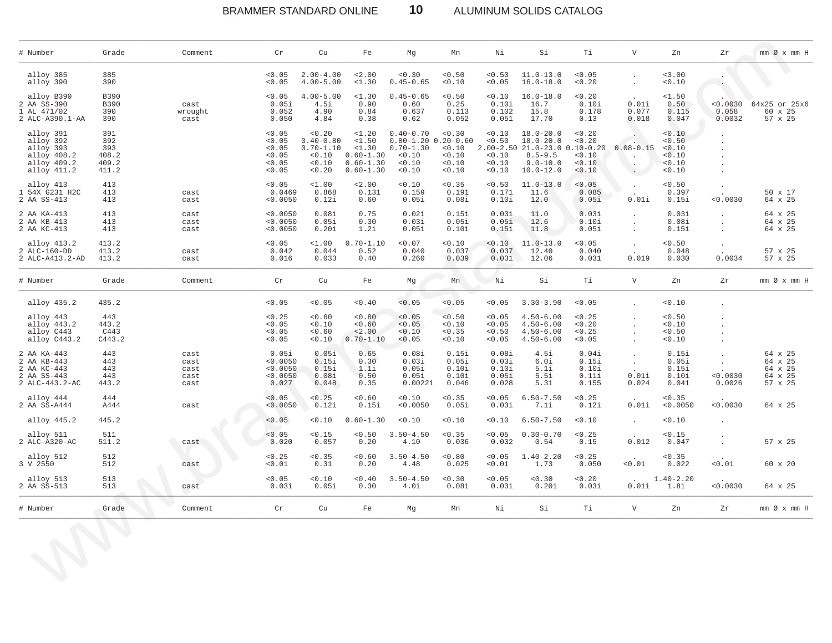BRAMMER STANDARD ONLINE **10** ALUMINUM SOLIDS CATALOG

| # Number                                                                         | Grade                                        | Comment                              | Cr                                                       | Cu                                                                   | Fe                                                                          | Mg                                                                            | Mn                                                        | Νi                                        | Si                                                                                                            | Тi                                                            | $\mathbf V$                   | Zn                                             | Zr                        | $mm \oslash x$ $mm$ H                               |
|----------------------------------------------------------------------------------|----------------------------------------------|--------------------------------------|----------------------------------------------------------|----------------------------------------------------------------------|-----------------------------------------------------------------------------|-------------------------------------------------------------------------------|-----------------------------------------------------------|-------------------------------------------|---------------------------------------------------------------------------------------------------------------|---------------------------------------------------------------|-------------------------------|------------------------------------------------|---------------------------|-----------------------------------------------------|
| alloy 385<br>alloy 390                                                           | 385<br>390                                   |                                      | < 0.05<br>< 0.05                                         | $2.00 - 4.00$<br>$4.00 - 5.00$                                       | < 2.00<br><1.30                                                             | 0.30<br>$0.45 - 0.65$                                                         | < 0.50<br>< 0.10                                          | < 0.50<br>< 0.05                          | $11.0 - 13.0$<br>$16.0 - 18.0$                                                                                | < 0.05<br>< 0.20                                              |                               | 3.00<br>0.10                                   | $\blacksquare$            |                                                     |
| alloy B390<br>2 AA SS-390<br>1 AL 471/02<br>2 ALC-A390.1-AA                      | <b>B390</b><br><b>B390</b><br>390<br>390     | cast<br>wrought<br>cast              | < 0.05<br>0.05i<br>0.052<br>0.050                        | $4.00 - 5.00$<br>4.5i<br>4.90<br>4.84                                | <1.30<br>0.90<br>0.84<br>0.38                                               | $0.45 - 0.65$<br>0.60<br>0.637<br>0.62                                        | < 0.50<br>0.25<br>0.113<br>0.052                          | 0.10<br>0.10i<br>0.102<br>0.051           | $16.0 - 18.0$<br>16.7<br>15.8<br>17.70                                                                        | < 0.20<br>0.10i<br>0.178<br>0.13                              | 0.01i<br>0.077<br>0.018       | <1.50<br>0.50<br>0.115<br>0.047                | 0.0030<br>0.058<br>0.0032 | 64x25 or 25x6<br>60 x 25<br>57 x 25                 |
| alloy 391<br>alloy 392<br>alloy 393<br>alloy 408.2<br>alloy 409.2<br>alloy 411.2 | 391<br>392<br>393<br>408.2<br>409.2<br>411.2 |                                      | < 0.05<br>< 0.05<br>< 0.05<br>< 0.05<br>< 0.05<br>< 0.05 | 0.20<br>$0.40 - 0.80$<br>$0.70 - 1.10$<br>< 0.10<br>< 0.10<br>< 0.20 | $1.20$<br><1.50<br><1.30<br>$0.60 - 1.30$<br>$0.60 - 1.30$<br>$0.60 - 1.30$ | $0.40 - 0.70$<br>$0.80 - 1.20$<br>$0.70 - 1.30$<br>< 0.10<br>< 0.10<br>< 0.10 | 0.30<br>$0.20 - 0.60$<br>0.10<br>0.10<br>< 0.10<br>< 0.10 | 0.10<br>< 0.50<br>0.10<br>0.10<br>0.10    | $18.0 - 20.0$<br>$18.0 - 20.0$<br>$2.00 - 2.50$ $21.0 - 23.0$<br>$8.5 - 9.5$<br>$9.0 - 10.0$<br>$10.0 - 12.0$ | < 0.20<br>< 0.20<br>$0.10 - 0.20$<br>0.10<br>< 0.10<br>< 0.10 | $0.08 - 0.15$<br>$\sim$       | < 0.10<br>0.50<br>0.10<br>0.10<br>0.10<br>0.10 |                           |                                                     |
| alloy 413<br>1 54X G231 H2C<br>2 AA SS-413                                       | 413<br>413<br>413                            | cast<br>cast                         | < 0.05<br>0.0469<br>< 0.0050                             | $1.00$<br>0.868<br>0.12i                                             | 2.00<br>0.131<br>0.60                                                       | < 0.10<br>0.159<br>0.05i                                                      | < 0.35<br>0.191<br>0.08i                                  | 0.50<br>0.171<br>0.10i                    | $11.0 - 13.0$<br>11.6<br>12.0                                                                                 | < 0.05<br>0.085<br>0.05i                                      | 0.01i                         | < 0.50<br>0.397<br>0.15i                       | < 0.0030                  | 50 x 17<br>64 x 25                                  |
| 2 AA KA-413<br>2 AA KB-413<br>2 AA KC-413                                        | 413<br>413<br>413                            | cast<br>cast<br>cast                 | < 0.0050<br>< 0.0050<br>< 0.0050                         | 0.08i<br>0.05i<br>0.20i                                              | 0.75<br>0.30<br>1.2i                                                        | 0.02i<br>0.03i<br>0.05i                                                       | 0.15i<br>0.05i<br>0.10i                                   | 0.03i<br>0.05i<br>0.15i                   | 11.0<br>12.6<br>11.8                                                                                          | 0.03i<br>0.10i<br>0.05i                                       |                               | 0.03i<br>0.08i<br>0.15i                        |                           | 64 x 25<br>64 x 25<br>64 x 25                       |
| alloy 413.2<br>2 ALC-160-DD<br>2 ALC-A413.2-AD                                   | 413.2<br>413.2<br>413.2                      | cast<br>cast                         | < 0.05<br>0.042<br>0.016                                 | $1.00$<br>0.044<br>0.033                                             | $0.70 - 1.10$<br>0.52<br>0.40                                               | < 0.07<br>0.040<br>0.260                                                      | < 0.10<br>0.037<br>0.039                                  | < 0.10<br>0.037<br>0.031                  | $11.0 - 13.0$<br>12.40<br>12.06                                                                               | 0.05<br>0.040<br>0.031                                        | $\ddot{\phantom{0}}$<br>0.019 | 0.50<br>0.048<br>0.030                         | $\cdot$<br>0.0034         | 57 x 25<br>57 x 25                                  |
| # Number                                                                         | Grade                                        | Comment                              | Cr                                                       | Cu                                                                   | Fe                                                                          | Mg                                                                            | Mn                                                        | Ni                                        | Si                                                                                                            | Тi                                                            | $\mathbf v$                   | Zn                                             | Ζr                        | $mm \oslash x$ $mm$ H                               |
| alloy 435.2                                                                      | 435.2                                        |                                      | < 0.05                                                   | < 0.05                                                               | 0.40                                                                        | < 0.05                                                                        | < 0.05                                                    | 0.05                                      | $3.30 - 3.90$                                                                                                 | < 0.05                                                        |                               | 0.10                                           |                           |                                                     |
| alloy 443<br>alloy 443.2<br>alloy C443<br>alloy C443.2                           | 443<br>443.2<br>C443<br>C443.2               |                                      | < 0.25<br>< 0.05<br>< 0.05<br>< 0.05                     | 0.60<br>< 0.10<br>0.60<br>0.10                                       | < 0.80<br>0.60<br>2.00<br>$0.70 - 1.10$                                     | 0.05<br>< 0.05<br>< 0.10<br>< 0.05                                            | < 0.50<br>0.10<br>< 0.35<br>0.10                          | < 0.05<br>0.05<br>0.50<br>0.05            | $4.50 - 6.00$<br>$4.50 - 6.00$<br>$4.50 - 6.00$<br>$4.50 - 6.00$                                              | < 0.25<br>0.20<br>< 0.25<br>< 0.05                            |                               | < 0.50<br>0.10<br>0.50<br>0.10                 |                           |                                                     |
| 2 AA KA-443<br>2 AA KB-443<br>2 AA KC-443<br>2 AA SS-443<br>2 ALC-443.2-AC       | 443<br>443<br>443<br>443<br>443.2            | cast<br>cast<br>cast<br>cast<br>cast | 0.05i<br>< 0.0050<br>0.0050<br>< 0.0050<br>0.027         | 0.05i<br>0.15i<br>0.15i<br>0.08i<br>0.048                            | 0.65<br>0.30<br>1.1i<br>0.50<br>0.35                                        | 0.08i<br>0.03i<br>0.05i<br>0.05i<br>0.0022i                                   | 0.15i<br>0.05i<br>0.10i<br>0.10i<br>0.046                 | 0.08i<br>0.03i<br>0.10i<br>0.05i<br>0.028 | 4.5i<br>6.Oi<br>5.1i<br>5.5i<br>5.31                                                                          | 0.04i<br>0.15i<br>0.10i<br>0.11i<br>0.155                     | 0.01i<br>0.024                | 0.15i<br>0.05i<br>0.15i<br>0.10i<br>0.041      | < 0.0030<br>0.0026        | 64 x 25<br>64 x 25<br>64 x 25<br>64 x 25<br>57 x 25 |
| alloy 444<br>2 AA SS-A444                                                        | 444<br>A444                                  | cast                                 | < 0.05<br>< 0.0050                                       | < 0.25<br>0.12i                                                      | 0.60<br>0.15i                                                               | 0.10<br>< 0.0050                                                              | < 0.35<br>0.05i                                           | 0.05<br>0.03i                             | $6.50 - 7.50$<br>7.1i                                                                                         | < 0.25<br>0.12i                                               | 0.01i                         | 0.35<br>< 0.0050                               | < 0.0030                  | 64 x 25                                             |
| alloy 445.2                                                                      | 445.2                                        |                                      | < 0.05                                                   | 0.10                                                                 | $0.60 - 1.30$                                                               | < 0.10                                                                        | < 0.10                                                    | 0.10                                      | $6.50 - 7.50$                                                                                                 | 0.10                                                          |                               | 0.10                                           |                           |                                                     |
| alloy 511<br>2 ALC-A320-AC                                                       | 511<br>511.2                                 | cast                                 | < 0.05<br>0.020                                          | < 0.15<br>0.057                                                      | < 0.50<br>0.20                                                              | $3.50 - 4.50$<br>4.10                                                         | < 0.35<br>0.036                                           | 0.05<br>0.032                             | $0.30 - 0.70$<br>0.54                                                                                         | < 0.25<br>0.15                                                | 0.012                         | 0.15<br>0.047                                  |                           | 57 x 25                                             |
| alloy 512<br>3 V 2550                                                            | 512<br>512                                   | cast                                 | < 0.25<br>0.01                                           | < 0.35<br>0.31                                                       | 0.60<br>0.20                                                                | $3.50 - 4.50$<br>4.48                                                         | < 0.80<br>0.025                                           | 0.05<br>0.01                              | $1.40 - 2.20$<br>1.73                                                                                         | < 0.25<br>0.050                                               | < 0.01                        | < 0.35<br>0.022                                | < 0.01                    | 60 x 20                                             |
| alloy 513<br>2 AA SS-513                                                         | 513<br>513                                   | cast                                 | 0.05<br>0.03i                                            | 0.10<br>0.05i                                                        | 0.40<br>0.30                                                                | $3.50 - 4.50$<br>4.Oi                                                         | 0.30<br>0.08i                                             | 0.05<br>0.03i                             | 0.30<br>0.20i                                                                                                 | 0.20<br>0.03i                                                 | 0.01i                         | $1.40 - 2.20$<br>1.8i                          | < 0.0030                  | 64 x 25                                             |
|                                                                                  | Grade                                        | Comment                              | Cr                                                       | Cu                                                                   | Fe                                                                          | Mg                                                                            | Mn                                                        | Νi                                        | Si                                                                                                            | Тi                                                            |                               | Zn                                             | Ζr                        | $mm \oslash x$ $mm$ $H$                             |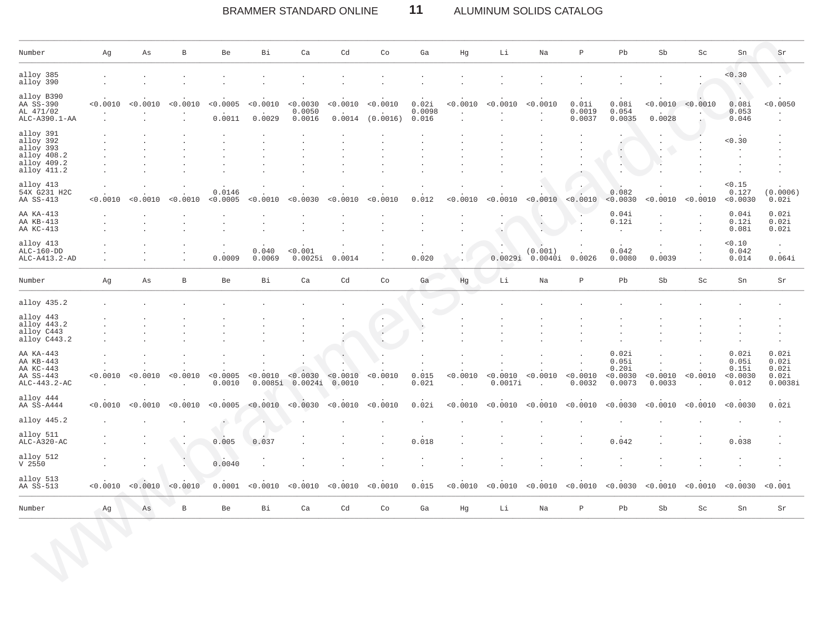### $11$ BRAMMER STANDARD ONLINE ALUMINUM SOLIDS CATALOG

| Number                                                                           | Αg       | Αs       | В            | Be                 | Bi                                           | Ca                                                      | Cd                                       | Co                   | Ga                       | Ηg                                          | Li                                         | Na                    | $\, {\bf P}$              | Pb                                            | ${\rm Sb}$                                 | Sc                  | ${\rm Sn}$                                       | Sr                                          |
|----------------------------------------------------------------------------------|----------|----------|--------------|--------------------|----------------------------------------------|---------------------------------------------------------|------------------------------------------|----------------------|--------------------------|---------------------------------------------|--------------------------------------------|-----------------------|---------------------------|-----------------------------------------------|--------------------------------------------|---------------------|--------------------------------------------------|---------------------------------------------|
| alloy 385<br>alloy 390                                                           |          |          |              |                    |                                              |                                                         |                                          |                      |                          |                                             |                                            |                       |                           |                                               |                                            | $\cdot$             | 0.30<br>$\cdot$                                  |                                             |
| alloy B390<br>AA SS-390<br>AL 471/02<br>ALC-A390.1-AA                            | < 0.0010 | < 0.0010 | < 0.0010     | < 0.0005<br>0.0011 | < 0.0010<br>0.0029                           | < 0.0030<br>0.0050<br>0.0016                            | < 0.0010<br>0.0014                       | < 0.0010<br>(0.0016) | 0.02i<br>0.0098<br>0.016 | < 0.0010<br>$\cdot$<br>$\ddot{\phantom{a}}$ | < 0.0010                                   | < 0.0010<br>$\lambda$ | 0.01i<br>0.0019<br>0.0037 | 0.08i<br>0.054<br>0.0035                      | < 0.0010<br>0.0028                         | < 0.0010            | 0.08i<br>0.053<br>0.046                          | < 0.0050                                    |
| alloy 391<br>alloy 392<br>alloy 393<br>alloy 408.2<br>alloy 409.2<br>alloy 411.2 |          |          |              | $\cdot$            | $\ddot{\phantom{0}}$<br>$\ddot{\phantom{0}}$ | $\ddot{\phantom{a}}$<br>$\cdot$<br>$\ddot{\phantom{a}}$ | $\cdot$<br>$\cdot$<br>$\cdot$<br>$\cdot$ |                      |                          |                                             | $\bullet$<br>$\cdot$<br>$\cdot$<br>$\cdot$ |                       |                           | $\cdot$<br>$\epsilon$                         | $\cdot$<br>$\cdot$                         |                     | 0.30<br>$\cdot$<br>$\cdot$<br>$\cdot$<br>$\cdot$ |                                             |
| alloy 413<br>54X G231 H2C<br>AA SS-413                                           | < 0.0010 | < 0.0010 | < 0.0010     | 0.0146<br>< 0.0005 | < 0.0010                                     | < 0.0030                                                | < 0.0010                                 | < 0.0010             | 0.012                    | < 0.0010                                    | < 0.0010                                   | < 0.0010              | < 0.0010                  | 0.082<br>< 0.0030                             | < 0.0010                                   | $\cdot$<br>< 0.0010 | < 0.15<br>0.127<br>< 0.0030                      | (0.0006)<br>0.02i                           |
| AA KA-413<br>AA KB-413<br>AA KC-413                                              |          |          |              | $\cdot$<br>$\cdot$ | $\ddot{\phantom{0}}$                         |                                                         | ÷.                                       |                      | $\sim$                   | $\mathbf{r}$                                | $\cdot$<br>$\Box$<br>$\ddot{\phantom{a}}$  | $\cdot$<br>V.         |                           | 0.04i<br>0.12i<br>$\ddot{\phantom{a}}$        |                                            | $\bullet$           | 0.04i<br>0.12i<br>0.08i                          | 0.02i<br>0.02i<br>0.02i                     |
| alloy 413<br>$ALC-160-DD$<br>ALC-A413.2-AD                                       |          |          |              | 0.0009             | 0.040<br>0.0069                              | < 0.001<br>0.0025i                                      | 0.0014                                   |                      | 0.020                    |                                             | 0.0029i                                    | (0.001)<br>0.0040i    | 0.0026                    | $\sim$<br>0.042<br>0.0080                     | 0.0039                                     | $\bullet$           | 0.10<br>0.042<br>0.014                           | $\cdot$<br>0.064i                           |
| Number                                                                           | Αg       | Αs       | $\, {\bf B}$ | Be                 | Bi                                           | Ca                                                      | Cd                                       | Co                   | Ga                       | Hg                                          | Li                                         | Na                    | $\, {\bf P}$              | Pb                                            | ${\rm Sb}$                                 | Sc                  | Sn                                               | Sr                                          |
| alloy 435.2                                                                      |          |          |              |                    |                                              |                                                         |                                          |                      |                          |                                             |                                            |                       |                           |                                               |                                            |                     |                                                  |                                             |
| alloy 443<br>alloy 443.2<br>alloy C443<br>alloy C443.2                           |          |          |              |                    |                                              |                                                         |                                          | $\cdot$              |                          |                                             |                                            |                       |                           |                                               |                                            |                     |                                                  | $\cdot$                                     |
| AA KA-443<br>AA KB-443<br>AA KC-443<br>AA SS-443<br>ALC-443.2-AC                 | < 0.0010 | < 0.0010 | < 0.0010     | < 0.0005<br>0.0010 | < 0.0010<br>0.0085i                          | 0.0030<br>0.0024i                                       | < 0.0010<br>0.0010                       | < 0.0010             | 0.015<br>0.021           | < 0.0010                                    | < 0.0010<br>0.0017i                        | < 0.0010              | < 0.0010<br>0.0032        | 0.02i<br>0.05i<br>0.20i<br>< 0.0030<br>0.0073 | $\ddot{\phantom{0}}$<br>< 0.0010<br>0.0033 | < 0.0010            | 0.02i<br>0.05i<br>0.15i<br>< 0.0030<br>0.012     | 0.02i<br>0.02i<br>0.02i<br>0.02i<br>0.0038i |
| alloy 444<br>AA SS-A444                                                          | < 0.0010 | < 0.0010 | < 0.0010     | < 0.0005           | < 0.0010                                     | < 0.0030                                                | < 0.0010                                 | < 0.0010             | 0.02i                    | < 0.0010                                    | < 0.0010                                   | < 0.0010              | < 0.0010                  | < 0.0030                                      | < 0.0010                                   | < 0.0010            | < 0.0030                                         | 0.02i                                       |
| alloy 445.2                                                                      |          |          |              | $\bullet$          |                                              |                                                         |                                          |                      |                          |                                             |                                            |                       |                           |                                               |                                            |                     |                                                  |                                             |
| alloy 511<br>$ALC- A320- AC$                                                     |          |          |              | 0.005              | 0.037                                        |                                                         |                                          |                      | 0.018                    |                                             |                                            |                       |                           | 0.042                                         |                                            |                     | 0.038                                            |                                             |
| alloy 512<br>$V$ 2550                                                            |          |          | $\cdot$      | 0.0040             |                                              |                                                         |                                          |                      |                          |                                             |                                            |                       |                           |                                               |                                            |                     |                                                  | $\cdot$<br>$\ddot{\phantom{0}}$             |
| alloy 513<br>AA SS-513                                                           | < 0.0010 | < 0.0010 | < 0.0010     | 0.0001             | < 0.0010                                     | < 0.0010                                                | < 0.0010                                 | < 0.0010             | 0.015                    | < 0.0010                                    | < 0.0010                                   | < 0.0010              | < 0.0010                  | < 0.0030                                      | < 0.0010                                   | < 0.0010            | < 0.0030                                         | < 0.001                                     |
| Number                                                                           | Αg       | As       | $\, {\bf B}$ | Be                 | Bi                                           | Ca                                                      | Cd                                       | Co                   | Ga                       | Hg                                          | Li                                         | Na                    | $\, {\bf P}$              | Pb                                            | ${\rm Sb}$                                 | Sc                  | ${\rm Sn}$                                       | $\rm Sr$                                    |
|                                                                                  |          |          |              |                    |                                              |                                                         |                                          |                      |                          |                                             |                                            |                       |                           |                                               |                                            |                     |                                                  |                                             |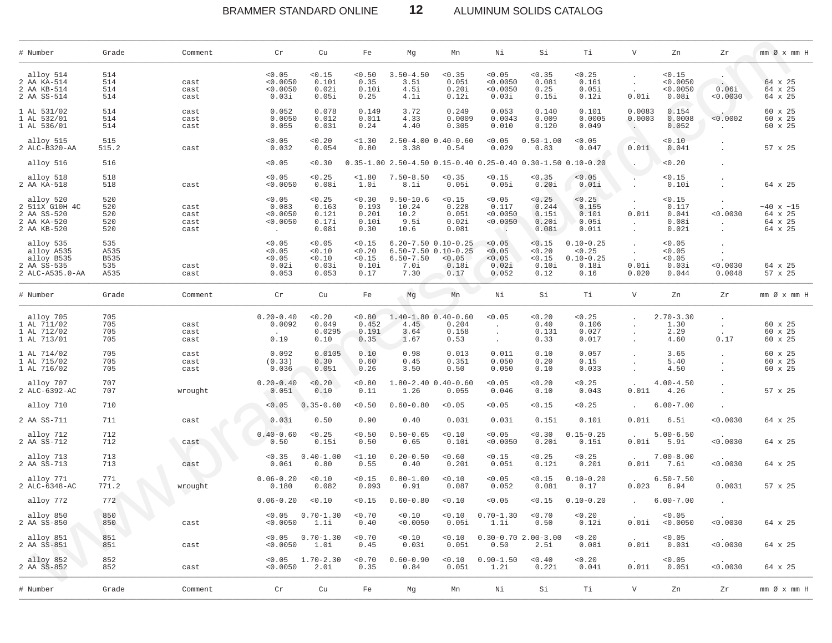# BRAMMER STANDARD ONLINE **12** ALUMINUM SOLIDS CATALOG

\_\_\_\_\_\_\_\_\_\_\_\_\_\_\_\_\_\_\_\_\_\_\_\_\_\_\_\_\_\_\_\_\_\_\_\_\_\_\_\_\_\_\_\_\_\_\_\_\_\_\_\_\_\_\_\_\_\_\_\_\_\_\_\_\_\_\_\_\_\_\_\_\_\_\_\_\_\_\_\_\_\_\_\_\_\_\_\_\_\_\_\_\_\_\_\_\_\_\_\_\_\_\_\_\_\_\_\_\_\_\_\_\_\_\_\_\_\_\_\_\_\_\_\_\_\_\_\_\_\_\_\_\_\_\_\_\_\_\_\_\_\_\_\_\_\_\_\_\_\_\_\_\_\_\_\_\_\_\_\_\_\_\_\_\_\_\_\_\_\_\_\_\_\_\_\_\_\_\_\_\_\_

| # Number                                                                 | Grade                                     | Comment                      | Cr                                                | Cu                                         | Fe                                          | Мg                                             | Mn                                                                                    | Νi                                                            | Si                                         | Тi                                                        | $\mathbf v$                                | Zn                                           | Ζr                               | mm Ø x mm H                                      |
|--------------------------------------------------------------------------|-------------------------------------------|------------------------------|---------------------------------------------------|--------------------------------------------|---------------------------------------------|------------------------------------------------|---------------------------------------------------------------------------------------|---------------------------------------------------------------|--------------------------------------------|-----------------------------------------------------------|--------------------------------------------|----------------------------------------------|----------------------------------|--------------------------------------------------|
| alloy 514<br>2 AA KA-514<br>2 AA KB-514<br>2 AA SS-514                   | 514<br>514<br>514<br>514                  | cast<br>cast<br>cast         | < 0.05<br>< 0.0050<br>< 0.0050<br>0.03i           | < 0.15<br>0.10i<br>0.02i<br>0.05i          | < 0.50<br>0.35<br>0.10i<br>0.25             | $3.50 - 4.50$<br>3.5i<br>4.5i<br>4.1i          | < 0.35<br>0.05i<br>0.20i<br>0.12i                                                     | < 0.05<br>< 0.0050<br>< 0.0050<br>0.03i                       | < 0.35<br>0.08i<br>0.25<br>0.15i           | < 0.25<br>0.16i<br>0.05i<br>0.12i                         | $\cdot$<br>0.01i                           | < 0.15<br>< 0.0050<br>0.0050<br>0.08i        | 0.06i<br>0.0030                  | 64 x 25<br>64 x 25<br>64 x 25                    |
| 1 AL 531/02<br>1 AL 532/01<br>1 AL 536/01                                | 514<br>514<br>514                         | cast<br>cast<br>cast         | 0.052<br>0.0050<br>0.055                          | 0.078<br>0.012<br>0.031                    | 0.149<br>0.011<br>0.24                      | 3.72<br>4.33<br>4.40                           | 0.249<br>0.0009<br>0.305                                                              | 0.053<br>0.0043<br>0.010                                      | 0.140<br>0.009<br>0.120                    | 0.101<br>0.0005<br>0.049                                  | 0.0083<br>0.0003<br>$\sim$                 | 0.154<br>0.0008<br>0.052                     | < 0.0002                         | 60 x 25<br>60 x 25<br>60 x 25                    |
| alloy 515<br>2 ALC-B320-AA                                               | 515<br>515.2                              | cast                         | < 0.05<br>0.032                                   | 0.20<br>0.054                              | $1.30$<br>0.80                              | 3.38                                           | $2.50 - 4.00$ $0.40 - 0.60$<br>0.54                                                   | < 0.05<br>0.029                                               | $0.50 - 1.00$<br>0.83                      | < 0.05<br>0.047                                           | 0.011                                      | 10.10<br>0.041                               |                                  | 57 x 25                                          |
| alloy 516                                                                | 516                                       |                              | < 0.05                                            | 0.30                                       |                                             |                                                |                                                                                       | $0.35-1.00$ 2.50-4.50 0.15-0.40 0.25-0.40 0.30-1.50 0.10-0.20 |                                            |                                                           | $\ddot{\phantom{0}}$                       | 0.20                                         |                                  |                                                  |
| alloy 518<br>2 AA KA-518                                                 | 518<br>518                                | cast                         | < 0.05<br>< 0.0050                                | < 0.25<br>0.08i                            | $1.80$<br>1.Oi                              | $7.50 - 8.50$<br>8.1i                          | < 0.35<br>0.05i                                                                       | < 0.15<br>0.05i                                               | 0.35<br>0.20i                              | < 0.05<br>0.01i                                           | $\ddot{\phantom{a}}$                       | < 0.15<br>0.10i                              |                                  | 64 x 25                                          |
| alloy 520<br>2 511X G10H 4C<br>2 AA SS-520<br>2 AA KA-520<br>2 AA KB-520 | 520<br>520<br>520<br>520<br>520           | cast<br>cast<br>cast<br>cast | < 0.05<br>0.083<br>< 0.0050<br>< 0.0050<br>$\sim$ | < 0.25<br>0.163<br>0.12i<br>0.17i<br>0.08i | 0.30<br>0.193<br>0.20i<br>0.10i<br>0.30     | $9.50 - 10.6$<br>10.24<br>10.2<br>9.5i<br>10.6 | < 0.15<br>0.228<br>0.05i<br>0.02i<br>0.08i                                            | < 0.05<br>0.117<br>< 0.0050<br>< 0.0050<br>$\sim$             | < 0.25<br>0.244<br>0.15i<br>0.20i<br>0.08i | < 0.25<br>0.155<br>0.10i<br>0.05i<br>0.01i                | $\bullet$<br>0.01i<br>$\ddot{\phantom{0}}$ | < 0.15<br>0.117<br>0.04i<br>0.08i<br>0.02i   | < 0.0030<br>$\ddot{\phantom{a}}$ | $~10 \times 15$<br>64 x 25<br>64 x 25<br>64 x 25 |
| alloy 535<br>alloy A535<br>alloy B535<br>2 AA SS-535<br>2 ALC-A535.0-AA  | 535<br>A535<br><b>B535</b><br>535<br>A535 | cast<br>cast                 | < 0.05<br>< 0.05<br>< 0.05<br>0.02i<br>0.053      | < 0.05<br>0.10<br>0.10<br>0.03i<br>0.053   | < 0.15<br>< 0.20<br>< 0.15<br>0.10i<br>0.17 | $6.50 - 7.50$<br>7.Oi<br>7.30                  | $6.20 - 7.50$ $0.10 - 0.25$<br>$6.50 - 7.50$ $0.10 - 0.25$<br>< 0.05<br>0.18i<br>0.17 | < 0.05<br>< 0.05<br>< 0.05<br>0.02i<br>0.052                  | < 0.15<br>0.20<br>< 0.15<br>0.10i<br>0.12  | $0.10 - 0.25$<br>< 0.25<br>$0.10 - 0.25$<br>0.18i<br>0.16 | 0.01i<br>0.020                             | < 0.05<br>< 0.05<br>< 0.05<br>0.03i<br>0.044 | 0.0030<br>0.0048                 | 64 x 25<br>57 x 25                               |
| # Number                                                                 | Grade                                     | Comment                      | Cr                                                | Cu                                         | Fe                                          | Mg                                             | Mn                                                                                    | Νi                                                            | Si                                         | Тi                                                        | $\mathbf V$                                | Zn                                           | Zr                               | $mm \oslash x$ $mm$ H                            |
| alloy 705<br>1 AL 711/02<br>1 AL 712/02<br>1 AL 713/01                   | 705<br>705<br>705<br>705                  | cast<br>cast<br>cast         | $0.20 - 0.40$<br>0.0092<br>0.19                   | 0.20<br>0.049<br>0.0295<br>0.10            | < 0.80<br>0.452<br>0.191<br>0.35            | 4.45<br>3.64<br>1.67                           | $1.40 - 1.80 0.40 - 0.60$<br>0.204<br>0.158<br>0.53                                   | 0.05<br>$\ddot{\phantom{a}}$<br>$\cdot$                       | 0.20<br>0.40<br>0.131<br>0.33              | < 0.25<br>0.106<br>0.027<br>0.017                         |                                            | $2.70 - 3.30$<br>1.30<br>2.29<br>4.60        | 0.17                             | 60 x 25<br>60 x 25<br>60 x 25                    |
| 1 AL 714/02<br>1 AL 715/02<br>1 AL 716/02                                | 705<br>705<br>705                         | cast<br>cast<br>cast         | 0.092<br>(0.33)<br>0.036                          | 0.0105<br>0.30<br>0.051                    | 0.10<br>0.60<br>0.26                        | 0.98<br>0.45<br>3.50                           | 0.013<br>0.351<br>0.50                                                                | 0.011<br>0.050<br>0.050                                       | 0.10<br>0.20<br>0.10                       | 0.057<br>0.15<br>0.033                                    |                                            | 3.65<br>5.40<br>4.50                         |                                  | 60 x 25<br>60 x 25<br>60 x 25                    |
| alloy 707<br>2 ALC-6392-AC                                               | 707<br>707                                | wrought                      | $0.20 - 0.40$<br>0.051                            | < 0.20<br>0.10                             | < 0.80<br>0.11                              | 1.26                                           | $1.80 - 2.40$ 0.40-0.60<br>0.055                                                      | < 0.05<br>0.046                                               | 0.20<br>0.10                               | < 0.25<br>0.043                                           | 0.011                                      | $4.00 - 4.50$<br>4.26                        |                                  | 57 x 25                                          |
| alloy 710                                                                | 710                                       |                              | < 0.05                                            | $0.35 - 0.60$                              | < 0.50                                      | $0.60 - 0.80$                                  | < 0.05                                                                                | < 0.05                                                        | < 0.15                                     | < 0.25                                                    |                                            | $6.00 - 7.00$                                |                                  |                                                  |
| 2 AA SS-711                                                              | 711                                       | cast                         | 0.03i                                             | 0.50                                       | 0.90                                        | 0.40                                           | 0.03i                                                                                 | 0.03i                                                         | 0.15i                                      | 0.10i                                                     | 0.01i                                      | 6.5i                                         | 0.0030                           | 64 x 25                                          |
| alloy 712<br>2 AA SS-712                                                 | 712<br>712                                | cast                         | $0.40 - 0.60$<br>0.50                             | < 0.25<br>0.15i                            | < 0.50<br>0.50                              | $0.50 - 0.65$<br>0.65                          | < 0.10<br>0.10i                                                                       | < 0.05<br>< 0.0050                                            | 0.30<br>0.20i                              | $0.15 - 0.25$<br>0.15i                                    | 0.01i                                      | $5.00 - 6.50$<br>5.9i                        | 0.0030                           | 64 x 25                                          |
| alloy 713<br>2 AA SS-713                                                 | 713<br>713                                | cast                         | < 0.35<br>0.06i                                   | $0.40 - 1.00$<br>0.80                      | <1.10<br>0.55                               | $0.20 - 0.50$<br>0.40                          | < 0.60<br>0.20i                                                                       | < 0.15<br>0.05i                                               | 0.25<br>0.12i                              | < 0.25<br>0.20i                                           | 0.01i                                      | $7.00 - 8.00$<br>7.6i                        | 0.0030                           | 64 x 25                                          |
| alloy 771<br>2 ALC-6348-AC                                               | 771<br>771.2                              | wrought                      | $0.06 - 0.20$<br>0.180                            | < 0.10<br>0.082                            | < 0.15<br>0.093                             | $0.80 - 1.00$<br>0.91                          | < 0.10<br>0.087                                                                       | < 0.05<br>0.052                                               | < 0.15<br>0.081                            | $0.10 - 0.20$<br>0.17                                     | 0.023                                      | $6.50 - 7.50$<br>6.94                        | 0.0031                           | 57 x 25                                          |
| alloy 772                                                                | 772                                       |                              | $0.06 - 0.20$                                     | 0.10                                       | < 0.15                                      | $0.60 - 0.80$                                  | 0.10                                                                                  | < 0.05                                                        | < 0.15                                     | $0.10 - 0.20$                                             |                                            | $6.00 - 7.00$                                |                                  |                                                  |
| alloy 850<br>2 AA SS-850                                                 | 850<br>850                                | cast                         | < 0.0050                                          | $< 0.05$ 0.70-1.30<br>1.1i                 | < 0.70<br>0.40                              | 0.10<br>< 0.0050                               | < 0.10<br>0.05i                                                                       | $0.70 - 1.30$<br>1.1i                                         | < 0.70<br>0.50                             | < 0.20<br>0.12i                                           | 0.01i                                      | < 0.05<br>< 0.0050                           | < 0.0030                         | 64 x 25                                          |
| alloy 851<br>2 AA SS-851                                                 | 851<br>851                                | cast                         | < 0.0050                                          | $< 0.05$ 0.70-1.30<br>1.0i                 | < 0.70<br>0.45                              | 0.10<br>0.03i                                  | < 0.10<br>0.05i                                                                       | $0.30 - 0.70$ 2.00-3.00<br>0.50                               | 2.5i                                       | < 0.20<br>0.08i                                           | 0.01i                                      | < 0.05<br>0.03i                              | < 0.0030                         | 64 x 25                                          |
| alloy 852<br>2 AA SS-852                                                 | 852<br>852                                | cast                         | < 0.05<br>< 0.0050                                | $1.70 - 2.30$<br>2.Oi                      | < 0.70<br>0.35                              | $0.60 - 0.90$<br>0.84                          | < 0.10<br>0.05i                                                                       | $0.90 - 1.50$<br>1.2i                                         | < 0.40<br>0.22i                            | 0.20<br>0.04i                                             | 0.01i                                      | < 0.05<br>0.05i                              | < 0.0030                         | 64 x 25                                          |
| # Number                                                                 | Grade                                     | Comment                      | Cr                                                | Cu                                         | Fe                                          | Mg                                             | Mn                                                                                    | Νi                                                            | Si                                         | Тi                                                        | V                                          | Zn                                           | Zr                               | $mm \oslash x$ $mm$ H                            |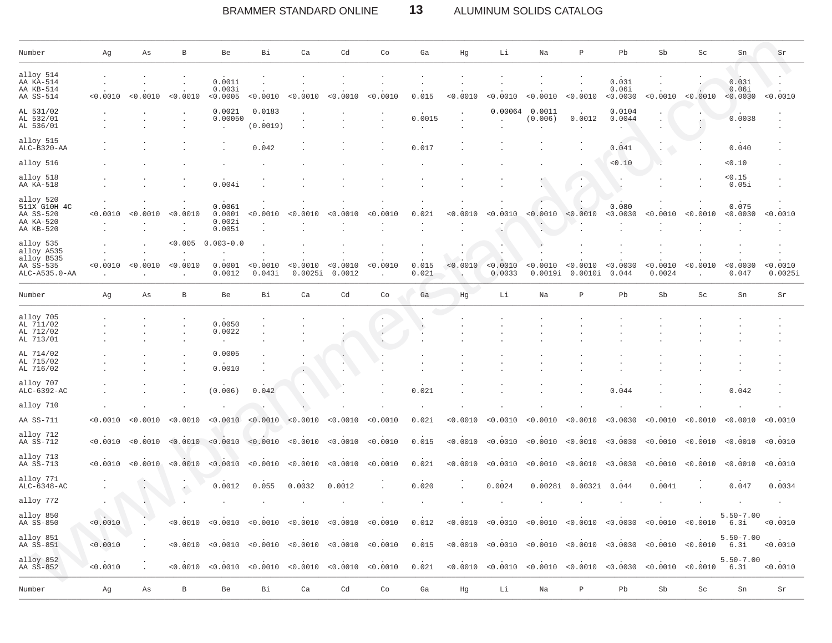#### BRAMMER STANDARD ONLINE  $13$ ALUMINUM SOLIDS CATALOG

| Number                                                              | Αg       | As                   | B                   | Be                                   | Вi                 | Ca                  | Cd                 | Co                                                                                                                                                                                                                                                        | Ga             | Hg       | Li                 | Na                  | Ρ                   | Pb                         | Sb                 | Sc       | Sn                         | Sr                  |
|---------------------------------------------------------------------|----------|----------------------|---------------------|--------------------------------------|--------------------|---------------------|--------------------|-----------------------------------------------------------------------------------------------------------------------------------------------------------------------------------------------------------------------------------------------------------|----------------|----------|--------------------|---------------------|---------------------|----------------------------|--------------------|----------|----------------------------|---------------------|
| alloy 514<br>AA KA-514<br>AA KB-514<br>AA SS-514                    | < 0.0010 | < 0.0010             | < 0.0010            | 0.001i<br>0.003i<br>< 0.0005         | < 0.0010           | < 0.0010            | < 0.0010           | < 0.0010                                                                                                                                                                                                                                                  | 0.015          | < 0.0010 | < 0.0010           | < 0.0010            | < 0.0010            | 0.03i<br>0.06i<br>< 0.0030 | < 0.0010           | < 0.0010 | 0.03i<br>0.06i<br>< 0.0030 | < 0.0010            |
| AL 531/02<br>AL 532/01<br>AL 536/01                                 |          |                      |                     | 0.0021<br>0.00050                    | 0.0183<br>(0.0019) |                     |                    |                                                                                                                                                                                                                                                           | 0.0015         |          | 0.00064            | 0.0011<br>(0.006)   | 0.0012              | 0.0104<br>0.0044           |                    |          | 0.0038                     |                     |
| alloy 515<br>ALC-B320-AA                                            |          |                      |                     |                                      | 0.042              |                     |                    |                                                                                                                                                                                                                                                           | 0.017          |          |                    |                     |                     | 0.041                      |                    |          | 0.040                      |                     |
| alloy 516                                                           |          |                      |                     |                                      |                    |                     |                    |                                                                                                                                                                                                                                                           |                |          |                    |                     |                     | 0.10                       |                    |          | 0.10                       |                     |
| alloy 518<br>AA KA-518                                              |          |                      |                     | 0.004i                               |                    |                     |                    |                                                                                                                                                                                                                                                           |                |          |                    |                     |                     |                            |                    |          | < 0.15<br>0.05i            |                     |
| alloy 520<br>511X G10H 4C<br>AA SS-520<br>AA KA-520<br>AA KB-520    | 0.0010   | < 0.0010             | < 0.0010            | 0.0061<br>0.0001<br>0.002i<br>0.005i | < 0.0010           | < 0.0010            | < 0.0010           | < 0.0010                                                                                                                                                                                                                                                  | 0.02i          | < 0.0010 | < 0.0010<br>۰.     | < 0.0010<br>V.      | < 0.0010            | 0.080<br>< 0.0030          | < 0.0010           | < 0.0010 | 0.075<br>< 0.0030          | < 0.0010            |
| alloy 535<br>alloy A535<br>alloy B535<br>AA SS-535<br>ALC-A535.0-AA | < 0.0010 | < 0.0010             | < 0.005<br>< 0.0010 | $0.003 - 0.0$<br>0.0001<br>0.0012    | < 0.0010<br>0.043i | < 0.0010<br>0.0025i | < 0.0010<br>0.0012 | < 0.0010                                                                                                                                                                                                                                                  | 0.015<br>0.021 | < 0.0010 | < 0.0010<br>0.0033 | < 0.0010<br>0.0019i | < 0.0010<br>0.0010i | < 0.0030<br>0.044          | < 0.0010<br>0.0024 | < 0.0010 | < 0.0030<br>0.047          | < 0.0010<br>0.0025i |
| Number                                                              | Αg       | As                   | B                   | Be                                   | Вi                 | Ca                  | Cd                 | Co                                                                                                                                                                                                                                                        | Ga             | Hg       | Li                 | Na                  | $\, {\bf P}$        | Pb                         | Sb                 | Sc       | Sn                         | Sr                  |
| alloy 705<br>AL 711/02<br>AL 712/02<br>AL 713/01                    |          |                      |                     | 0.0050<br>0.0022<br>$\cdot$          |                    |                     |                    |                                                                                                                                                                                                                                                           |                |          |                    |                     |                     |                            |                    |          |                            |                     |
| AL 714/02<br>AL 715/02<br>AL 716/02                                 |          |                      |                     | 0.0005<br>0.0010                     |                    |                     |                    |                                                                                                                                                                                                                                                           |                |          |                    |                     |                     |                            |                    |          |                            |                     |
| alloy 707<br>ALC-6392-AC                                            |          |                      |                     | (0.006)                              | 0.042              |                     |                    |                                                                                                                                                                                                                                                           | 0.021          |          |                    |                     |                     | 0.044                      |                    |          | 0.042                      |                     |
| alloy 710                                                           |          |                      |                     |                                      |                    |                     |                    |                                                                                                                                                                                                                                                           |                |          |                    |                     |                     |                            |                    |          |                            |                     |
| AA SS-711                                                           | < 0.0010 | < 0.0010             | < 0.0010            | < 0.0010                             | < 0.0010           | < 0.0010            | < 0.0010           | < 0.0010                                                                                                                                                                                                                                                  | 0.02i          | 0.0010   | < 0.0010           | < 0.0010            | < 0.0010            | < 0.0030                   | < 0.0010           | < 0.0010 | < 0.0010                   | < 0.0010            |
| alloy 712<br>AA SS-712                                              | < 0.0010 | < 0.0010             | < 0.0010            | < 0.0010                             | < 0.0010           | < 0.0010            | < 0.0010           | < 0.0010                                                                                                                                                                                                                                                  | 0.015          | < 0.0010 | < 0.0010           | < 0.0010            | 0.0010              | < 0.0030                   | < 0.0010           | < 0.0010 | < 0.0010                   | < 0.0010            |
| alloy 713<br>AA SS-713                                              | < 0.0010 | < 0.0010             | < 0.0010            | < 0.0010                             | < 0.0010           | < 0.0010            | < 0.0010           | < 0.0010                                                                                                                                                                                                                                                  | 0.02i          | < 0.0010 | < 0.0010           | < 0.0010            | < 0.0010            | < 0.0030                   | < 0.0010           | < 0.0010 | < 0.0010                   | < 0.0010            |
| alloy 771<br>$ALC-6348-AC$                                          |          |                      |                     | 0.0012                               | 0.055              | 0.0032              | 0.0012             |                                                                                                                                                                                                                                                           | 0.020          |          | 0.0024             | 0.0028i             | 0.0032i             | 0.044                      | 0.0041             |          | 0.047                      | 0.0034              |
| alloy 772                                                           |          |                      |                     |                                      |                    |                     |                    |                                                                                                                                                                                                                                                           |                |          |                    |                     |                     |                            |                    |          |                            |                     |
| alloy 850<br>AA SS-850                                              | < 0.0010 |                      |                     |                                      |                    |                     |                    | $(0.0010 - 0.0010 - 0.0010 - 0.0010 - 0.0010 - 0.0010 - 0.0010 - 0.0010 - 0.0010 - 0.0010 - 0.0010 - 0.0010 - 0.0010 - 0.0010 - 0.0010 - 0.0010 - 0.0010 - 0.0010 - 0.0010 - 0.0010 - 0.0010 - 0.0010 - 0.0010 - 0.0010 - 0.0010 - 0.0010 - 0.0010 - 0.0$ |                |          |                    |                     |                     |                            |                    |          | $5.50 - 7.00$              |                     |
| alloy 851<br>AA SS-851                                              | < 0.0010 | $\mathcal{L}$        |                     |                                      |                    |                     |                    | $(0.0010 - 0.0010 - 0.0010 - 0.0010 - 0.0010 - 0.0010 - 0.0010 - 0.0010 - 0.0010 - 0.0010 - 0.0010 - 0.0010 - 0.0010 - 0.0010 - 0.0010 - 0.0010 - 0.0010 - 0.0010 - 0.0010 - 0.0010 - 0.0010 - 0.0010 - 0.0010 - 0.0010 - 0.0010 - 0.0010 - 0.0010 - 0.0$ |                |          |                    |                     |                     |                            |                    |          | $5.50 - 7.00$              |                     |
| alloy 852<br>AA SS-852                                              | < 0.0010 | $\ddot{\phantom{a}}$ |                     |                                      |                    |                     |                    | $(0.0010 - 0.0010 - 0.0010 - 0.0010 - 0.0010 - 0.0010 - 0.021 - 0.0010 - 0.0010 - 0.0010 - 0.0010 - 0.0030 - 0.0010 - 0.0010 - 0.0010 - 0.0010 - 0.0010 - 0.0010 - 0.0010 - 0.0010 - 0.0010 - 0.0010 - 0.0010 - 0.0010 - 0.0010 - 0.0010 - 0.0010 - 0.00$ |                |          |                    |                     |                     |                            |                    |          | $5.50 - 7.00$              | < 0.0010            |
| Number                                                              | Αg       | As                   | $\, {\bf B}$        | Be                                   | Вi                 | Ca                  | Cd                 | Co                                                                                                                                                                                                                                                        | Ga             | Ηg       | Li                 | Na                  | $\, {\mathbb P}$    | Pb                         | Sb                 | Sc       | Sn                         | Sr                  |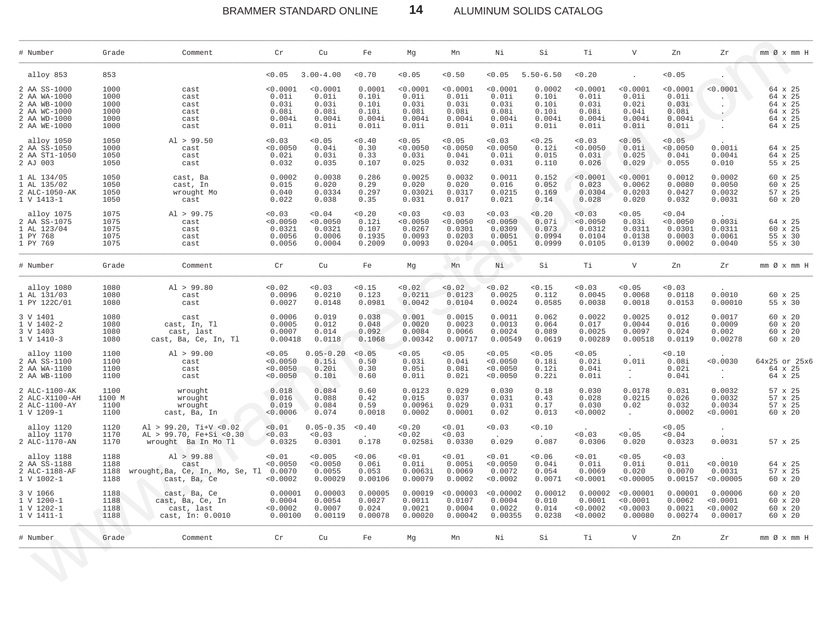BRAMMER STANDARD ONLINE

ALUMINUM SOLIDS CATALOG

| # Number                                                                                     | Grade                                        | Comment                                                                      | Cr                                                     | Cu                                                     | Fe                                                   | Mg                                                     | Mn                                                     | Νi                                                     | Si                                                   | Τi                                                     | V                                                      | Zn                                                     | Zr                                         | mm Ø x mm H                                                    |
|----------------------------------------------------------------------------------------------|----------------------------------------------|------------------------------------------------------------------------------|--------------------------------------------------------|--------------------------------------------------------|------------------------------------------------------|--------------------------------------------------------|--------------------------------------------------------|--------------------------------------------------------|------------------------------------------------------|--------------------------------------------------------|--------------------------------------------------------|--------------------------------------------------------|--------------------------------------------|----------------------------------------------------------------|
| alloy 853                                                                                    | 853                                          |                                                                              | < 0.05                                                 | $3.00 - 4.00$                                          | < 0.70                                               | < 0.05                                                 | < 0.50                                                 | < 0.05                                                 | $5.50 - 6.50$                                        | < 0.20                                                 |                                                        | < 0.05                                                 |                                            |                                                                |
| 2 AA SS-1000<br>2 AA WA-1000<br>2 AA WB-1000<br>2 AA WC-1000<br>2 AA WD-1000<br>2 AA WE-1000 | 1000<br>1000<br>1000<br>1000<br>1000<br>1000 | cast<br>cast<br>cast<br>cast<br>cast<br>cast                                 | < 0.0001<br>0.01i<br>0.03i<br>0.08i<br>0.004i<br>0.01i | < 0.0001<br>0.01i<br>0.03i<br>0.08i<br>0.004i<br>0.01i | 0.0001<br>0.10i<br>0.10i<br>0.10i<br>0.004i<br>0.01i | < 0.0001<br>0.01i<br>0.03i<br>0.08i<br>0.004i<br>0.01i | < 0.0001<br>0.01i<br>0.03i<br>0.08i<br>0.004i<br>0.01i | < 0.0001<br>0.01i<br>0.03i<br>0.08i<br>0.004i<br>0.01i | 0.0002<br>0.10i<br>0.10i<br>0.10i<br>0.004i<br>0.01i | < 0.0001<br>0.01i<br>0.03i<br>0.08i<br>0.004i<br>0.01i | < 0.0001<br>0.01i<br>0.02i<br>0.04i<br>0.004i<br>0.01i | < 0.0001<br>0.01i<br>0.03i<br>0.08i<br>0.004i<br>0.01i | < 0.0001                                   | 64 x 25<br>64 x 25<br>64 x 25<br>64 x 25<br>64 x 25<br>64 x 25 |
| alloy 1050<br>2 AA SS-1050<br>2 AA ST1-1050<br>2 AJ 003                                      | 1050<br>1000<br>1050<br>1050                 | Al > 99.50<br>cast<br>cast<br>cast                                           | 0.03<br>< 0.0050<br>0.02i<br>0.032                     | < 0.05<br>0.04i<br>0.03i<br>0.035                      | < 0.40<br>0.30<br>0.33<br>0.107                      | < 0.05<br>< 0.0050<br>0.03i<br>0.025                   | < 0.05<br>< 0.0050<br>0.04i<br>0.032                   | < 0.03<br>< 0.0050<br>0.01i<br>0.031                   | < 0.25<br>0.12i<br>0.015<br>0.110                    | < 0.03<br>< 0.0050<br>0.03i<br>0.026                   | < 0.05<br>0.01i<br>0.025<br>0.029                      | < 0.05<br>< 0.0050<br>0.04i<br>0.055                   | 0.001i<br>0.004i<br>0.010                  | 64 x 25<br>64 x 25<br>55 x 25                                  |
| 1 AL 134/05<br>1 AL 135/02<br>2 ALC-1050-AK<br>1 V 1413-1                                    | 1050<br>1050<br>1050<br>1050                 | cast, Ba<br>cast, In<br>wrought Mo<br>cast                                   | 0.0002<br>0.015<br>0.040<br>0.022                      | 0.0038<br>0.020<br>0.0334<br>0.038                     | 0.286<br>0.29<br>0.297<br>0.35                       | 0.0025<br>0.020<br>0.0302i<br>0.031                    | 0.0032<br>0.020<br>0.0317<br>0.017                     | 0.0011<br>0.016<br>0.0215<br>0.021                     | 0.152<br>0.052<br>0.169<br>0.14                      | < 0.0001<br>0.023<br>0.0304<br>0.028                   | < 0.0001<br>0.0062<br>0.0203<br>0.020                  | 0.0012<br>0.0080<br>0.0427<br>0.032                    | 0.0002<br>0.0050<br>0.0032<br>0.0031       | 60 x 25<br>60 x 25<br>57 x 25<br>60 x 20                       |
| alloy 1075<br>2 AA SS-1075<br>1 AL 123/04<br>1 PY 768<br>1 PY 769                            | 1075<br>1075<br>1075<br>1075<br>1075         | Al > 99.75<br>cast<br>cast<br>cast<br>cast                                   | 0.03<br>< 0.0050<br>0.0321<br>0.0056<br>0.0056         | 0.04<br>< 0.0050<br>0.0321<br>0.0006<br>0.0004         | < 0.20<br>0.12i<br>0.107<br>0.1935<br>0.2009         | 0.03<br>< 0.0050<br>0.0267<br>0.0093<br>0.0093         | 0.03<br>< 0.0050<br>0.0301<br>0.0203<br>0.0204         | < 0.03<br>< 0.0050<br>0.0309<br>0.0051<br>0.0051       | 0.20<br>0.07i<br>0.073<br>0.0994<br>0.0999           | < 0.03<br>< 0.0050<br>0.0312<br>0.0104<br>0.0105       | < 0.05<br>0.03i<br>0.0311<br>0.0138<br>0.0139          | 0.04<br>< 0.0050<br>0.0301<br>0.0003<br>0.0002         | 0.003i<br>0.0311<br>0.0061<br>0.0040       | 64 x 25<br>$60 \times 25$<br>55 x 30<br>55 x 30                |
| # Number                                                                                     | Grade                                        | Comment                                                                      | $\operatorname{Cr}$                                    | Cu                                                     | Fe                                                   | Mg                                                     | Mn                                                     | Ni                                                     | Si                                                   | Тi                                                     | $\mathbf v$                                            | Zn                                                     | Zr                                         | $mm \oslash x$ $mm$ H                                          |
| alloy 1080<br>1 AL 131/03<br>1 PY 122C/01                                                    | 1080<br>1080<br>1080                         | Al > 99.80<br>cast<br>cast                                                   | < 0.02<br>0.0096<br>0.0027                             | 0.03<br>0.0210<br>0.0148                               | < 0.15<br>0.123<br>0.0981                            | 0.02<br>0.0211<br>0.0042                               | < 0.02<br>0.0123<br>0.0104                             | < 0.02<br>0.0025<br>0.0024                             | < 0.15<br>0.112<br>0.0585                            | < 0.03<br>0.0045<br>0.0038                             | < 0.05<br>0.0068<br>0.0018                             | 0.03<br>0.0118<br>0.0153                               | 0.0010<br>0.00010                          | 60 x 25<br>55 x 30                                             |
| 3 V 1401<br>1 V 1402-2<br>3 V 1403<br>1 V 1410-3                                             | 1080<br>1080<br>1080<br>1080                 | cast<br>cast, In, Tl<br>cast, last<br>cast, Ba, Ce, In, Tl                   | 0.0006<br>0.0005<br>0.0007<br>0.00418                  | 0.019<br>0.012<br>0.014<br>0.0118                      | 0.038<br>0.048<br>0.092<br>0.1068                    | 0.001<br>0.0020<br>0.0084<br>0.00342                   | 0.0015<br>0.0023<br>0.0066<br>0.00717                  | 0.0011<br>0.0013<br>0.0024<br>0.00549                  | 0.062<br>0.064<br>0.089<br>0.0619                    | 0.0022<br>0.017<br>0.0025<br>0.00289                   | 0.0025<br>0.0044<br>0.0097<br>0.00518                  | 0.012<br>0.016<br>0.024<br>0.0119                      | 0.0017<br>0.0009<br>0.002<br>0.00278       | $60 \times 20$<br>$60 \times 20$<br>60 x 20<br>60 x 20         |
| alloy 1100<br>2 AA SS-1100<br>2 AA WA-1100<br>2 AA WB-1100                                   | 1100<br>1100<br>1100<br>1100                 | Al > 99.00<br>cast<br>cast<br>cast                                           | < 0.05<br>< 0.0050<br>< 0.0050<br>< 0.0050             | $0.05 - 0.20$<br>0.15i<br>0.20i<br>0.10i               | < 0.05<br>0.50<br>0.30<br>0.60                       | < 0.05<br>0.03i<br>0.05i<br>0.01i                      | < 0.05<br>0.04i<br>0.08i<br>0.02i                      | < 0.05<br>< 0.0050<br>< 0.0050<br>< 0.0050             | < 0.05<br>0.18i<br>0.12i<br>0.22i                    | < 0.05<br>0.02i<br>0.04i<br>0.01i                      | 0.01i<br>$\sim$<br>$\sim$                              | 0.10<br>0.08i<br>0.02i<br>0.04i                        | < 0.0030<br>$\sim$                         | 64x25 or 25x6<br>64 x 25<br>64 x 25                            |
| 2 ALC-1100-AK<br>2 ALC-X1100-AH<br>2 ALC-1100-AY<br>1 V 1209-1                               | 1100<br>1100 M<br>1100<br>1100               | wrought<br>wrought<br>wrought<br>cast, Ba, In                                | 0.018<br>0.016<br>0.019<br>< 0.0006                    | 0.084<br>0.088<br>0.084<br>0.074                       | 0.60<br>0.42<br>0.59<br>0.0018                       | 0.0123<br>0.015<br>0.0096i<br>0.0002                   | 0.029<br>0.037<br>0.029<br>0.0001                      | 0.030<br>0.031<br>0.031<br>0.02                        | 0.18<br>0.43<br>0.17<br>0.013                        | 0.030<br>0.028<br>0.030<br>< 0.0002                    | 0.0178<br>0.0215<br>0.02<br>$\ddot{\phantom{a}}$       | 0.031<br>0.026<br>0.032<br>0.0002                      | 0.0032<br>0.0032<br>0.0034<br>< 0.0001     | 57 x 25<br>57 x 25<br>57 x 25<br>$60 \times 20$                |
| alloy 1120<br>alloy 1170<br>2 ALC-1170-AN                                                    | 1120<br>1170<br>1170                         | Al > 99.20, Ti+V < $0.02$<br>AL > 99.70, Fe+Si <0.30<br>wrought Ba In Mo Tl  | < 0.01<br>< 0.03<br>0.0325                             | $0.05 - 0.35$<br>< 0.03<br>0.0301                      | < 0.40<br><b>Contract Contract</b><br>0.178          | < 0.20<br>< 0.02<br>0.0258i                            | < 0.01<br>< 0.03<br>0.0330                             | < 0.03<br>$\sim 10^{-11}$<br>0.029                     | < 0.10<br>$\sim$ $-$<br>0.087                        | < 0.03<br>0.0306                                       | < 0.05<br>0.020                                        | < 0.05<br>< 0.04<br>0.0323                             | $\sim$<br>0.0031                           | 57 x 25                                                        |
| alloy 1188<br>2 AA SS-1188<br>2 ALC-1188-AF<br>1 V 1002-1                                    | 1188<br>1188<br>1188<br>1188                 | Al > 99.88<br>cast<br>wrought, Ba, Ce, In, Mo, Se, Tl 0.0070<br>cast, Ba, Ce | < 0.01<br>< 0.0050<br>< 0.0002                         | < 0.005<br>< 0.0050<br>0.0055<br>0.00029               | 0.06<br>0.06i<br>0.053<br>0.00106                    | < 0.01<br>0.01i<br>0.0063i<br>0.00079                  | < 0.01<br>0.005i<br>0.0069<br>0.0002                   | < 0.01<br>< 0.0050<br>0.0072<br>< 0.0002               | 0.06<br>0.04i<br>0.054<br>0.0071                     | < 0.01<br>0.01i<br>0.0069<br>< 0.0001                  | < 0.05<br>0.01i<br>0.020<br>< 0.00005                  | < 0.03<br>0.01i<br>0.0070<br>0.00157                   | < 0.0010<br>0.0031<br>< 0.00005            | 64 x 25<br>57 x 25<br>60 x 20                                  |
| 3 V 1066<br>1 V 1200-1<br>1 V 1202-1<br>1 V 1411-1                                           | 1188<br>1188<br>1188<br>1188                 | cast, Ba, Ce<br>cast, Ba, Ce, In<br>cast, last<br>cast, In: 0.0010           | 0.00001<br>0.0004<br>< 0.0002<br>0.00100               | 0.00003<br>0.0054<br>0.0007<br>0.00119                 | 0.00005<br>0.0027<br>0.024<br>0.00078                | 0.00019<br>0.0011<br>0.0021<br>0.00020                 | < 0.00003<br>0.0107<br>0.0004<br>0.00042               | < 0.00002<br>0.0004<br>0.0022<br>0.00355               | 0.00012<br>0.010<br>0.014<br>0.0238                  | 0.00002<br>0.0001<br>< 0.0002<br>< 0.0002              | < 0.00001<br>< 0.0001<br>< 0.0003<br>0.00080           | 0.00001<br>0.0062<br>0.0021<br>0.00274                 | 0.00006<br>< 0.0001<br>< 0.0002<br>0.00017 | $60 \times 20$<br>60 x 20<br>$60 \times 20$<br>60 x 20         |
| # Number                                                                                     | Grade                                        | Comment                                                                      | Cr                                                     | Cu                                                     | Fe                                                   | Мg                                                     | Mn                                                     | Νi                                                     | Si                                                   | Тi                                                     | $\boldsymbol{\nabla}$                                  | Zn                                                     | Zr                                         | mm Ø x mm H                                                    |

 $14$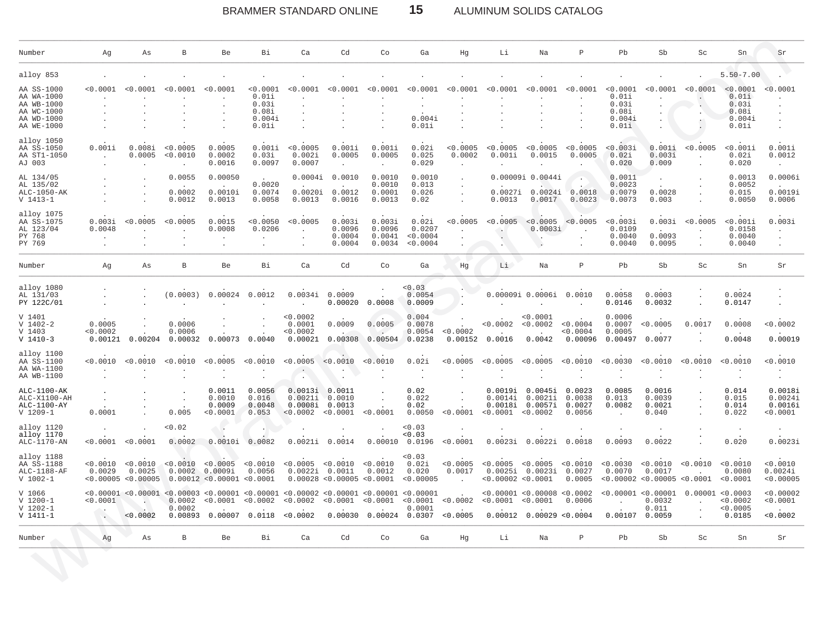# BRAMMER STANDARD ONLINE **15** ALUMINUM SOLIDS CATALOG

| Number                                                                           | Αg                            | Αs                                        | В                           | Be                                                | Вi                                                     | Ca                                                                                                                          | Cd                                               | Co                                   | Ga                                      | Ηg                              | Li                                                                                                                                                                                                                                    | Na                                            | $\mathbb P$                          | Pb                                                    | Sb                                                 | Sc       | Sn                                                     | Sr                                        |
|----------------------------------------------------------------------------------|-------------------------------|-------------------------------------------|-----------------------------|---------------------------------------------------|--------------------------------------------------------|-----------------------------------------------------------------------------------------------------------------------------|--------------------------------------------------|--------------------------------------|-----------------------------------------|---------------------------------|---------------------------------------------------------------------------------------------------------------------------------------------------------------------------------------------------------------------------------------|-----------------------------------------------|--------------------------------------|-------------------------------------------------------|----------------------------------------------------|----------|--------------------------------------------------------|-------------------------------------------|
| alloy 853                                                                        |                               |                                           |                             |                                                   |                                                        |                                                                                                                             |                                                  |                                      |                                         |                                 |                                                                                                                                                                                                                                       |                                               |                                      |                                                       |                                                    |          | $5.50 - 7.00$                                          |                                           |
| AA SS-1000<br>AA WA-1000<br>AA WB-1000<br>AA WC-1000<br>AA WD-1000<br>AA WE-1000 | < 0.0001                      | 0001 - 0                                  | < 0.0001                    | < 0.0001                                          | < 0.0001<br>0.01i<br>0.03i<br>0.08i<br>0.004i<br>0.01i | <0.0001                                                                                                                     |                                                  | <0.0003                              | <0.0001<br>0.004i<br>0.01i              | <0.0001                         | < 0.0001                                                                                                                                                                                                                              | <0.0001                                       | <0.0001                              | <0.0001<br>0.01i<br>0.03i<br>0.08i<br>0.004i<br>0.01i | <0.0001                                            | < 0.0001 | < 0.0001<br>0.01i<br>0.03i<br>0.08i<br>0.004i<br>0.01i | 0.0001                                    |
| alloy 1050<br>AA SS-1050<br>AA ST1-1050<br>AJ 003                                | 0.001i                        | 0.008i<br>0.0005                          | < 0.0005<br>< 0.0010        | 0.0005<br>0.0002<br>0.0016                        | 0.001i<br>0.03i<br>0.0097                              | < 0.0005<br>0.002i<br>0.0007                                                                                                | 0.001i<br>0.0005                                 | 0.001i<br>0.0005<br>$\cdot$          | 0.02i<br>0.025<br>0.029                 | < 0.0005<br>0.0002<br>$\bullet$ | < 0.0005<br>0.001i                                                                                                                                                                                                                    | < 0.0005<br>0.0015                            | < 0.0005<br>0.0005                   | < 0.003i<br>0.02i<br>0.020                            | 0.001i<br>0.003i<br>0.009                          | < 0.0005 | $0.001i$<br>0.02i<br>0.020                             | 0.001i<br>0.0012<br>$\blacksquare$        |
| AL 134/05<br>AL 135/02<br>ALC-1050-AK<br>$V 1413 - 1$                            |                               |                                           | 0.0055<br>0.0002<br>0.0012  | 0.00050<br>0.0010i<br>0.0013                      | 0.0020<br>0.0074<br>0.0058                             | 0.0004i<br>0.0020i<br>0.0013                                                                                                | 0.0010<br>0.0012<br>0.0016                       | 0.0010<br>0.0010<br>0.0001<br>0.0013 | 0.0010<br>0.013<br>0.026<br>0.02        |                                 | 0.0013                                                                                                                                                                                                                                | 0.00009i 0.0044i<br>0.0027i 0.0024i<br>0.0017 | 0.0018<br>0.0023                     | 0.0011<br>0.0023<br>0.0079<br>0.0073                  | 0.0028<br>0.003                                    |          | 0.0013<br>0.0052<br>0.015<br>0.0050                    | 0.0006i<br>0.0019i<br>0.0006              |
| alloy 1075<br>AA SS-1075<br>AL 123/04<br>PY 768<br>PY 769                        | 0.003i<br>0.0048              | 0.0005                                    | < 0.0005                    | 0.0015<br>0.0008                                  | < 0.0050<br>0.0206                                     | < 0.0005                                                                                                                    | 0.003i<br>0.0096<br>0.0004<br>0.0004             | 0.003i<br>0.0096<br>0.0041<br>0.0034 | 0.02i<br>0.0207<br>< 0.0004<br>< 0.0004 | 0.0005                          | < 0.0005                                                                                                                                                                                                                              | < 0.0005<br>0.0003i<br>$\ddot{\phantom{1}}$   | < 0.0005                             | < 0.003i<br>0.0109<br>0.0040<br>0.0040                | 0.003i<br>0.0093<br>0.0095                         | < 0.0005 | $0.001i$<br>0.0158<br>0.0040<br>0.0040                 | 0.003i                                    |
| Number                                                                           | Αg                            | Αs                                        | В                           | Be                                                | Вi                                                     | Ca                                                                                                                          | Cd                                               | Co                                   | Ga                                      | Ηg                              | Li                                                                                                                                                                                                                                    | Na                                            | $\mathbb P$                          | Pb                                                    | Sb                                                 | Sc       | Sn                                                     | Sr                                        |
| alloy 1080<br>AL 131/03<br>PY 122C/01                                            |                               |                                           | (0.0003)                    | 0.00024                                           | 0.0012                                                 | 0.0034i                                                                                                                     | 0.0009<br>0.00020                                | 0.0008                               | 0.03<br>0.0054<br>0.0009                |                                 | 0.00009i 0.0006i                                                                                                                                                                                                                      |                                               | 0.0010                               | 0.0058<br>0.0146                                      | 0.0003<br>0.0032                                   |          | 0.0024<br>0.0147                                       |                                           |
| V 1401<br>$V$ 1402-2<br>V 1403<br>$V$ 1410-3                                     | 0.0005<br>< 0.0002<br>0.00121 | 0.00204                                   | 0.0006<br>0.0006<br>0.00032 | 0.00073                                           | 0.0040                                                 | < 0.0002<br>0.0001<br><0.0002<br>0.00021                                                                                    | 0.0009<br>0.00308                                | 0.0005<br>0.00504                    | 0.004<br>0.0078<br>0.0054<br>0.0238     | < 0.0002<br>0.00152             | < 0.0002<br>0.0016                                                                                                                                                                                                                    | < 0.0001<br>< 0.0002<br>0.0042                | < 0.0004<br>0.0004<br>0.00096        | 0.0006<br>0.0007<br>0.0005<br>0.00497                 | < 0.0005<br>0.0077                                 | 0.0017   | 0.0008<br>0.0048                                       | < 0.0002<br>0.00019                       |
| alloy 1100<br>AA SS-1100<br>AA WA-1100<br>AA WB-1100                             | < 0.0010                      | 0.0010                                    | < 0.0010                    | < 0.0005                                          | < 0.0010                                               | < 0.0005                                                                                                                    | < 0.0010                                         | < 0.0010                             | 0.02i                                   | < 0.0005                        | < 0.0005                                                                                                                                                                                                                              | < 0.0005                                      | < 0.0010                             | < 0.0030                                              | < 0.0010                                           | < 0.0010 | < 0.0010                                               | < 0.0010                                  |
| ALC-1100-AK<br>ALC-X1100-AH<br>ALC-1100-AY<br>$V$ 1209-1                         | 0.0001                        |                                           | 0.005                       | 0.0011<br>0.0010<br>0.0009<br>0.0001              | 0.0056<br>0.016<br>0.0048<br>0.053                     | 0.0013i<br>0.0021i<br>0.0008i<br>< 0.0002                                                                                   | 0.0011<br>0.0010<br>0.0013<br>< 0.0001           | < 0.0001                             | 0.02<br>0.022<br>0.02<br>0.0050         | < 0.0001                        | 0.0019i<br>0.0014i<br>0.0018i<br>< 0.0001                                                                                                                                                                                             | 0.0045i<br>0.0021i<br>0.0057i<br>< 0.0002     | 0.0023<br>0.0038<br>0.0027<br>0.0056 | 0.0085<br>0.013<br>0.0082                             | 0.0016<br>0.0039<br>0.0021<br>0.040                |          | 0.014<br>0.015<br>0.014<br>0.022                       | 0.0018i<br>0.0024i<br>0.0016i<br>< 0.0001 |
| alloy 1120<br>alloy 1170<br>ALC-1170-AN                                          | < 0.0001                      | < 0.0001                                  | < 0.02<br>0.0002            | 0.0010i                                           | 0.0082                                                 | 0.0021i                                                                                                                     | 0.0014                                           | 0.00010                              | 0.03<br>< 0.03<br>0.0196                | < 0.0001                        | 0.0023i                                                                                                                                                                                                                               | 0.0022i                                       | 0.0018                               | 0.0093                                                | 0.0022                                             |          | 0.020                                                  | 0.0023i                                   |
| alloy 1188<br>AA SS-1188<br>ALC-1188-AF<br>$V 1002 - 1$                          | < 0.0010<br>0.0029            | < 0.0010<br>0.0025<br>< 0.00005 < 0.00005 | < 0.0010<br>0.0002          | < 0.0005<br>0.0009i<br>0.00012 < 0.00001 < 0.0001 | < 0.0010<br>0.0056                                     | < 0.0005<br>0.0022i                                                                                                         | < 0.0010<br>0.0011<br>0.00028 < 0.00005 < 0.0001 | < 0.0010<br>0.0012                   | 0.03<br>0.02i<br>0.020<br>< 0.00005     | < 0.0005<br>0.0017              | < 0.0005<br>0.0025i<br>< 0.00002 < 0.0001                                                                                                                                                                                             | < 0.0005<br>0.0023i                           | < 0.0010<br>0.0027<br>0.0005         | < 0.0030<br>0.0070                                    | < 0.0010<br>0.0017<br>< 0.00002 < 0.00005 < 0.0001 | < 0.0010 | < 0.0010<br>0.0080<br>< 0.0001                         | 0.0010<br>0.0024i<br>< 0.00005            |
| V 1066<br>$V$ 1200-1<br>V 1202-1<br>V 1411-1                                     | < 0.0001                      |                                           |                             | 0.0002 < 0.0001                                   | < 0.0002                                               | $0.00001$ <0.00001 <0.00003 <0.00001 <0.00001 <0.00002 <0.00001 <0.00001 <0.00001<br>< 0.0002 < 0.0001<br>$0.0002$ 0.0001 . |                                                  | < 0.0001 < 0.0001                    |                                         | < 0.0002                        | < 0.00001 < 0.00008 < 0.0002<br>< 0.0001 < 0.0001<br>$\sim$ . $\sim$ . $\sim$ 0.011<br>$0.0002$ $0.00893$ $0.00007$ $0.0118$ $0.0002$ $0.00030$ $0.00024$ $0.0307$ $0.0005$ $0.00012$ $0.00029$ $0.00029$ $0.0004$ $0.00107$ $0.0059$ |                                               | 0.0006                               |                                                       | < 0.00001 < 0.00001<br>0.0032                      |          | 0.00001 < 0.0003<br>0.0002<br>0.0005<br>0.0185         | < 0.00002<br>< 0.0001<br>< 0.0002         |
| Number                                                                           | Ag                            | As                                        | $\, {\bf B}$                | Be                                                | Bi                                                     | Ca                                                                                                                          | Cd                                               | Co                                   | Ga                                      | Hg                              | Li                                                                                                                                                                                                                                    | Na                                            | $\, {\bf P}$                         | Pb                                                    | Sb                                                 | Sc       | Sn                                                     | Sr                                        |
|                                                                                  |                               |                                           |                             |                                                   |                                                        |                                                                                                                             |                                                  |                                      |                                         |                                 |                                                                                                                                                                                                                                       |                                               |                                      |                                                       |                                                    |          |                                                        |                                           |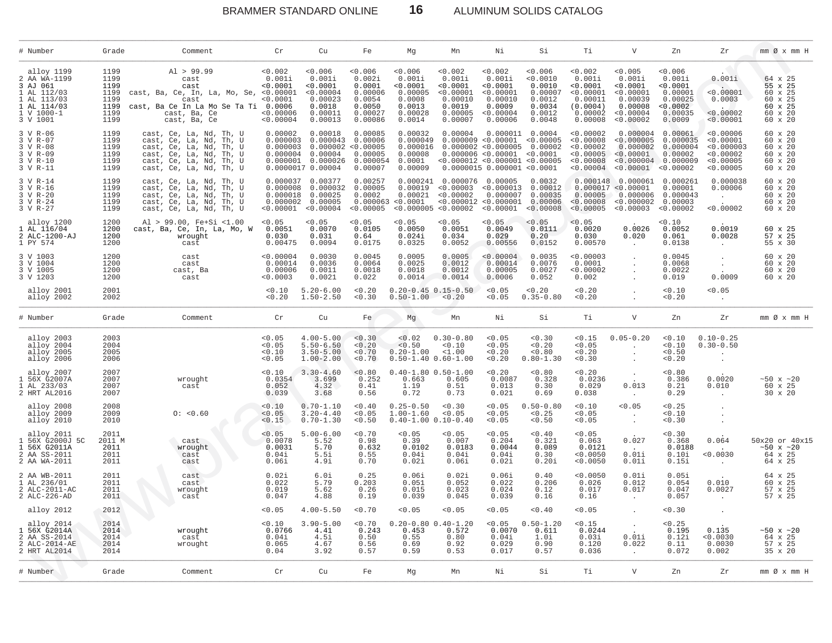$16\,$ BRAMMER STANDARD ONLINE

ALUMINUM SOLIDS CATALOG

| # Number                                                                                                      | Grade                                                        | Comment                                                                                                                                                        | Cr                                                                  | Cu                                                                                                         | Fe                                                                             | Мg                                                                              | Mn                                                                                                          | Νi                                                                                                                                                   | Si                                                                             | Τi                                                                                        | $\mathbf{V}$                                                                                              | Zn                                                                                 | Zr                                                                          | $mm \oslash x$ $mm$ H                                                     |
|---------------------------------------------------------------------------------------------------------------|--------------------------------------------------------------|----------------------------------------------------------------------------------------------------------------------------------------------------------------|---------------------------------------------------------------------|------------------------------------------------------------------------------------------------------------|--------------------------------------------------------------------------------|---------------------------------------------------------------------------------|-------------------------------------------------------------------------------------------------------------|------------------------------------------------------------------------------------------------------------------------------------------------------|--------------------------------------------------------------------------------|-------------------------------------------------------------------------------------------|-----------------------------------------------------------------------------------------------------------|------------------------------------------------------------------------------------|-----------------------------------------------------------------------------|---------------------------------------------------------------------------|
| alloy 1199<br>2 AA WA-1199<br>3 AJ 061<br>1 AL 112/03<br>1 AL 113/03<br>1 AL 114/03<br>1 V 1000-1<br>3 V 1001 | 1199<br>1199<br>1199<br>1199<br>1199<br>1199<br>1199<br>1199 | Al > 99.99<br>cast<br>cast<br>cast, Ba, Ce, In, La, Mo, Se, <0.00001<br>cast<br>cast, Ba Ce In La Mo Se Ta Ti 0.0006<br>cast, Ba, Ce<br>cast, Ba, Ce           | < 0.002<br>0.001i<br>< 0.0001<br>< 0.0001<br>< 0.00006<br>< 0.00004 | 0.006<br>0.001i<br>< 0.0001<br>< 0.00004<br>0.00023<br>0.0018<br>0.00011<br>0.00013                        | 0.006<br>0.002i<br>0.0001<br>0.00006<br>0.0054<br>0.0050<br>0.00027<br>0.00086 | 0.006<br>0.001i<br>< 0.0001<br>0.00005<br>0.0008<br>0.0013<br>0.00028<br>0.0014 | 0.002<br>0.001i<br>< 0.0001<br>< 0.00001<br>0.00010<br>0.0019<br>0.00005<br>0.00007                         | 0.002<br>0.001i<br>< 0.0001<br>< 0.00001<br>0.00010<br>0.0009<br>< 0.00004<br>0.00006                                                                | 0.006<br>< 0.0010<br>0.0010<br>0.00007<br>0.0012<br>0.0034<br>0.0012<br>0.0048 | 0.002<br>0.001i<br>< 0.0001<br>< 0.00001<br>0.00011<br>(0.0004)<br>$0.00002$<br>$0.00008$ | < 0.005<br>0.001i<br>< 0.0001<br>< 0.00001<br>0.00039<br>0.00008<br>< 0.00004<br>< 0.00002                | 0.006<br>0.001i<br>< 0.0001<br>0.00001<br>0.00025<br>< 0.0002<br>0.00035<br>0.0009 | 0.001i<br>< 0.00001<br>0.0003<br>< 0.00002<br>< 0.00001                     | 64 x 25<br>55 x 25<br>60 x 25<br>60 x 25<br>60 x 25<br>60 x 20<br>60 x 20 |
| 3 V R-06<br>3 V R-07<br>3 V R-08<br>3 V R-09<br>3 V R-10<br>3 V R-11                                          | 1199<br>1199<br>1199<br>1199<br>1199<br>1199                 | cast, Ce, La, Nd, Th, U<br>cast, Ce, La, Nd, Th, U<br>cast, Ce, La, Nd, Th, U<br>cast, Ce, La, Nd, Th, U<br>cast, Ce, La, Nd, Th, U<br>cast, Ce, La, Nd, Th, U | 0.00002<br>0.000003<br>0.000003<br>0.000004                         | 0.00018<br>0.000043<br>0.000002 < 0.00005<br>0.00004<br>0.000001 0.000026<br>0.0000017 0.00004             | 0.00085<br>0.00006<br>0.00005<br>0.000054<br>0.00007                           | 0.00032<br>0.000049<br>0.000016<br>0.00008<br>0.0001<br>0.00009                 | 0.00004                                                                                                     | 0.000009 < 0.00001 < 0.00005<br>0.000002 < 0.000005<br>0.000006 < 0.00001 < 0.0001<br>< 0.000012 < 0.000001 < 0.00005<br>0.0000015 0.000001 < 0.0001 | $0.000011$ $0.0004$<br>0.00002                                                 | < 0.00002<br>< 0.00008<br>< 0.00002<br>< 0.00005<br>< 0.00008<br>< 0.00004                | 0.000004<br>< 0.000005<br>0.000002<br>< 0.00001<br>$< 0.000004 \quad 0.000009$<br>$< 0.00001$ $< 0.00002$ | 0.00061<br>0.000035<br>0.000004<br>0.00002                                         | < 0.00006<br>< 0.00001<br>< 0.000003<br>< 0.00002<br>< 0.00005<br>< 0.00005 | 60 x 20<br>60 x 20<br>60 x 20<br>60 x 20<br>60 x 20<br>60 x 20            |
| 3 V R-14<br>3 V R-16<br>3 V R-20<br>3 V R-24<br>3 V R-27                                                      | 1199<br>1199<br>1199<br>1199<br>1199                         | cast, Ce, La, Nd, Th, U<br>cast, Ce, La, Nd, Th, U<br>cast, Ce, La, Nd, Th, U<br>cast, Ce, La, Nd, Th, U<br>cast, Ce, La, Nd, Th, U                            |                                                                     | 0.000037 0.00377<br>0.000008 0.000032<br>0.000018 0.00025<br>$0.000002$ 0.00005<br>$< 0.00001$ $< 0.00004$ | 0.00257<br>0.00005<br>0.0002<br>< 0.00005                                      | 0.000241<br>0.00021<br>0.000063 < 0.0001                                        | 0.000076 0.00005<br>0.00019 < 0.00003 < 0.000013<br>< 0.00002<br>$< 0.000005 < 0.00002 < 0.00001 < 0.00008$ | 0.000007                                                                                                                                             | 0.0032<br>0.00012<br>0.00035<br>$< 0.000012 < 0.000001$ 0.00006                | 0.00005<br>< 0.00008<br>< 0.00005                                                         | 0.000148 0.000061<br>0.000017 < 0.00001<br>0.000006<br>< 0.000002<br>$< 0.00003$ $< 0.00002$              | 0.000261<br>0.00001<br>0.000043<br>0.00003                                         | 0.000038<br>0.00006<br>< 0.00002                                            | 60 x 20<br>60 x 20<br>60 x 20<br>60 x 20<br>60 x 20                       |
| alloy 1200<br>1 AL 116/04<br>2 ALC-1200-AJ<br>1 PY 574                                                        | 1200<br>1200<br>1200<br>1200                                 | Al > 99.00, Fe+Si <1.00<br>cast, Ba, Ce, In, La, Mo, W<br>wrought<br>cast                                                                                      | < 0.05<br>0.0051<br>0.030<br>0.00475                                | < 0.05<br>0.0070<br>0.031<br>0.0094                                                                        | < 0.05<br>0.0105<br>0.64<br>0.0175                                             | < 0.05<br>0.0050<br>0.024i<br>0.0325                                            | < 0.05<br>0.0051<br>0.034<br>0.0052                                                                         | < 0.05<br>0.0049<br>0.029<br>0.00556                                                                                                                 | < 0.05<br>0.0111<br>0.20<br>0.0152                                             | < 0.05<br>0.0020<br>0.030<br>0.00570                                                      | 0.0026<br>0.020                                                                                           | < 0.10<br>0.0052<br>0.061<br>0.0138                                                | 0.0019<br>0.0028<br>$\cdot$                                                 | 60 x 25<br>57 x 25<br>55 x 30                                             |
| 3 V 1003<br>3 V 1004<br>3 V 1005<br>3 V 1203                                                                  | 1200<br>1200<br>1200<br>1200                                 | cast<br>cast<br>cast, Ba<br>cast                                                                                                                               | < 0.00004<br>0.00014<br>0.00006<br>< 0.0003                         | 0.0030<br>0.0036<br>0.0011<br>0.0021                                                                       | 0.0045<br>0.0064<br>0.0018<br>0.022                                            | 0.0005<br>0.0025<br>0.0018<br>0.0014                                            | 0.0005<br>0.0012<br>0.0012<br>0.0014                                                                        | < 0.00004<br>0.00014<br>0.00005<br>0.0006                                                                                                            | 0.0035<br>0.0076<br>0.0027<br>0.052                                            | < 0.00003<br>0.0001<br>< 0.00002<br>0.002                                                 |                                                                                                           | 0.0045<br>0.0068<br>0.0022<br>0.019                                                | $\sim$<br>0.0009                                                            | 60 x 20<br>60 x 20<br>60 x 20<br>60 x 20                                  |
| alloy 2001<br>alloy 2002                                                                                      | 2001<br>2002                                                 |                                                                                                                                                                | < 0.10<br>< 0.20                                                    | $5.20 - 6.00$<br>$1.50 - 2.50$                                                                             | < 0.20<br>< 0.30                                                               | $0.50 - 1.00 < 0.20$                                                            | $0.20 - 0.45$ 0.15-0.50                                                                                     | < 0.05<br>< 0.05                                                                                                                                     | < 0.20<br>$0.35 - 0.80$                                                        | < 0.20<br>< 0.20                                                                          |                                                                                                           | < 0.10<br>< 0.20                                                                   | < 0.05<br>$\ddot{\phantom{a}}$                                              |                                                                           |
| # Number                                                                                                      | Grade                                                        | Comment                                                                                                                                                        | Cr                                                                  | Cu                                                                                                         | Fe                                                                             | Mg                                                                              | Mn                                                                                                          | Νi                                                                                                                                                   | Si                                                                             | Τi                                                                                        | $\boldsymbol{\mathrm{V}}$                                                                                 | Zn                                                                                 | Ζr                                                                          | $mm \oslash x$ $mm$ H                                                     |
| alloy 2003<br>alloy 2004<br>alloy 2005<br>alloy 2006                                                          | 2003<br>2004<br>2005<br>2006                                 |                                                                                                                                                                | < 0.05<br>< 0.05<br>0.10<br>< 0.05                                  | $4.00 - 5.00$<br>$5.50 - 6.50$<br>$3.50 - 5.00$<br>$1.00 - 2.00$                                           | 0.30<br>0.20<br>< 0.70<br>< 0.70                                               | < 0.02<br>< 0.50<br>$0.20 - 1.00$                                               | $0.30 - 0.80$<br>0.10<br>$1.00$<br>$0.50 - 1.40 0.60 - 1.00$                                                | < 0.05<br>< 0.05<br>< 0.20<br>< 0.20                                                                                                                 | 0.30<br>< 0.20<br>< 0.80<br>$0.80 - 1.30$                                      | < 0.15<br>< 0.05<br>< 0.20<br>0.30                                                        | $0.05 - 0.20$                                                                                             | < 0.10<br>0.10<br>< 0.50<br>< 0.20                                                 | $0.10 - 0.25$<br>$0.30 - 0.50$                                              |                                                                           |
| alloy 2007<br>1 56X G2007A<br>1 AL 233/03<br>2 HRT AL2016                                                     | 2007<br>2007<br>2007<br>2007                                 | wrought<br>cast                                                                                                                                                | 0.10<br>0.0354<br>0.052<br>0.039                                    | $3.30 - 4.60$<br>3.699<br>4.32<br>3.68                                                                     | 0.80<br>0.252<br>0.41<br>0.56                                                  | 0.663<br>1.19<br>0.72                                                           | $0.40 - 1.80 0.50 - 1.00$<br>0.605<br>0.51<br>0.73                                                          | < 0.20<br>0.0087<br>0.013<br>0.021                                                                                                                   | < 0.80<br>0.328<br>0.30<br>0.69                                                | < 0.20<br>0.0236<br>0.029<br>0.038                                                        | $\ddot{\phantom{1}}$<br>0.013                                                                             | 0.80<br>0.386<br>0.21<br>0.29                                                      | 0.0020<br>0.010                                                             | ~10x ~120<br>60 x 25<br>30 x 20                                           |
| alloy 2008<br>alloy 2009<br>alloy 2010                                                                        | 2008<br>2009<br>2010                                         | 0: <0.60                                                                                                                                                       | < 0.10<br>< 0.05<br>< 0.15                                          | $0.70 - 1.10$<br>$3.20 - 4.40$<br>$0.70 - 1.30$                                                            | < 0.40<br>0.05<br>0.50                                                         | $0.25 - 0.50$<br>$1.00 - 1.60$<br>$0.40 - 1.00 0.10 - 0.40$                     | < 0.30<br>< 0.05                                                                                            | < 0.05<br>< 0.05<br>< 0.05                                                                                                                           | $0.50 - 0.80$<br>< 0.25<br>< 0.50                                              | < 0.10<br>0.05<br>0.05                                                                    | < 0.05<br>$\sim$                                                                                          | < 0.25<br>0.10<br>0.30                                                             |                                                                             |                                                                           |
| alloy 2011<br>1 56X G2000J 5C<br>1 56X G2011A<br>2 AA SS-2011<br>2 AA WA-2011                                 | 2011<br>2011 M<br>2011<br>2011<br>2011                       | cast<br>wrought<br>cast<br>cast                                                                                                                                | < 0.05<br>0.0078<br>0.0031<br>0.04i<br>0.06i                        | $5.00 - 6.00$<br>5.52<br>5.70<br>5.5i<br>4.9i                                                              | < 0.70<br>0.98<br>0.632<br>0.55<br>0.70                                        | < 0.05<br>0.39<br>0.0102<br>0.04i<br>0.02i                                      | < 0.05<br>0.007<br>0.0183<br>0.04i<br>0.06i                                                                 | < 0.05<br>0.204<br>0.0044<br>0.04i<br>0.02i                                                                                                          | < 0.40<br>0.321<br>0.089<br>0.30<br>0.20i                                      | < 0.05<br>0.063<br>0.0121<br>< 0.0050<br>< 0.0050                                         | 0.027<br>0.01i<br>0.01i                                                                                   | 0.30<br>0.368<br>0.0188<br>0.10i<br>0.15i                                          | 0.064<br>< 0.0030                                                           | 50x20 or 40x15<br>~10x ~120<br>64 x 25<br>64 x 25                         |
| 2 AA WB-2011<br>1 AL 236/01<br>2 ALC-2011-AC<br>2 ALC-226-AD                                                  | 2011<br>2011<br>2011<br>2011                                 | cast<br>cast<br>wrought<br>cast                                                                                                                                | 0.02i<br>0.022<br>0.019<br>0.047                                    | 6.0i<br>5.79<br>5.62<br>4.88                                                                               | 0.25<br>0.203<br>0.26<br>0.19                                                  | 0.06i<br>0.051<br>0.015<br>0.039                                                | 0.02i<br>0.052<br>0.023<br>0.045                                                                            | 0.06i<br>0.022<br>0.024<br>0.039                                                                                                                     | 0.40<br>0.206<br>0.12<br>0.16                                                  | < 0.0050<br>0.026<br>0.017<br>0.16                                                        | 0.01i<br>0.012<br>0.017                                                                                   | 0.05i<br>0.054<br>0.047<br>0.057                                                   | 0.010<br>0.0027<br>$\cdot$                                                  | 64 x 25<br>60 x 25<br>57 x 25<br>57 x 25                                  |
| alloy 2012                                                                                                    | 2012                                                         |                                                                                                                                                                | < 0.05                                                              | $4.00 - 5.50$                                                                                              | < 0.70                                                                         | < 0.05                                                                          | < 0.05                                                                                                      | < 0.05                                                                                                                                               | < 0.40                                                                         | < 0.05                                                                                    |                                                                                                           | 0.30                                                                               |                                                                             |                                                                           |
| alloy 2014<br>1 56X G2014A<br>2 AA SS-2014<br>2 ALC-2014-AE<br>2 HRT AL2014                                   | 2014<br>2014<br>2014<br>2014<br>2014                         | wrought<br>cast<br>wrought                                                                                                                                     | 0.10<br>0.0766<br>0.04i<br>0.065<br>0.04                            | $3.90 - 5.00$<br>4.41<br>4.5i<br>4.67<br>3.92                                                              | 0.70<br>0.243<br>0.50<br>0.56<br>0.57                                          | 0.453<br>0.55<br>0.69<br>0.59                                                   | $0.20 - 0.80 0.40 - 1.20$<br>0.572<br>0.80<br>0.92<br>0.53                                                  | < 0.05<br>0.0070<br>0.04i<br>0.029<br>0.017                                                                                                          | $0.50 - 1.20$<br>0.611<br>1.0i<br>0.90<br>0.57                                 | < 0.15<br>0.0244<br>0.03i<br>0.120<br>0.036                                               | $\cdot$<br>0.01i<br>0.022<br>$\sim$                                                                       | < 0.25<br>0.195<br>0.12i<br>0.11<br>0.072                                          | 0.135<br>< 0.0030<br>0.0030<br>0.002                                        | ~10x ~120<br>64 x 25<br>57 x 25<br>35 x 20                                |
| # Number                                                                                                      | Grade                                                        | Comment                                                                                                                                                        | Cr                                                                  | Cu                                                                                                         | Fe                                                                             | Мg                                                                              | Mn                                                                                                          | Νi                                                                                                                                                   | Si                                                                             | Тi                                                                                        | $\boldsymbol{\mathrm{V}}$                                                                                 | Zn                                                                                 | Zr                                                                          | $mm \oslash x$ $mm$ H                                                     |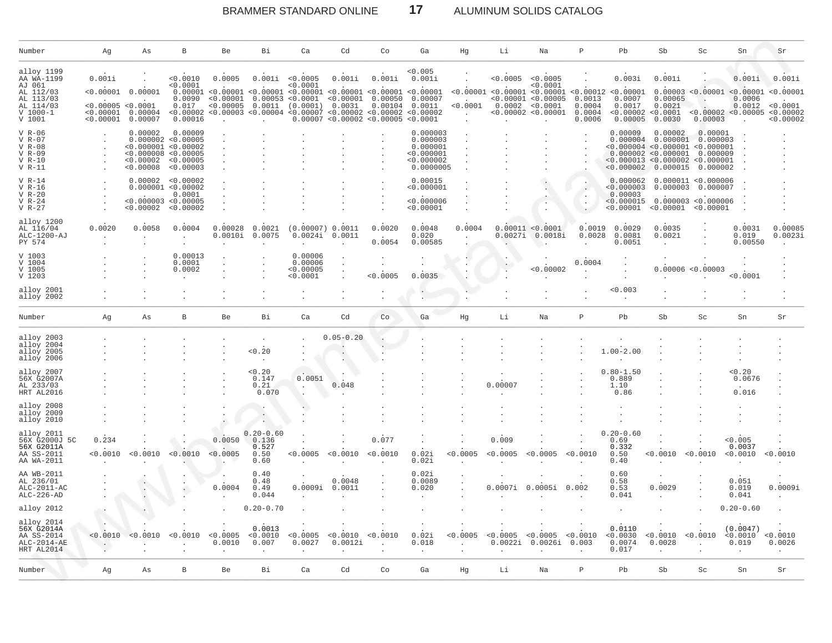### $17$ BRAMMER STANDARD ONLINE

# ALUMINUM SOLIDS CATALOG

| Number                                                                                              | Ag                                                                  | As                                                      | B                                                                               | <b>Be</b>           | Вi                                                                                                                                                                                                                                                    | Ca                                          | Cd                       | Сo                                      | Ga                                                                        | Hg                        | Li                                                                      | Na                                                                                  | P                                        | Pb                                             | Sb                                                                                                                                                     | Sc.                                         | Sn                                                | Sr                                                                                    |
|-----------------------------------------------------------------------------------------------------|---------------------------------------------------------------------|---------------------------------------------------------|---------------------------------------------------------------------------------|---------------------|-------------------------------------------------------------------------------------------------------------------------------------------------------------------------------------------------------------------------------------------------------|---------------------------------------------|--------------------------|-----------------------------------------|---------------------------------------------------------------------------|---------------------------|-------------------------------------------------------------------------|-------------------------------------------------------------------------------------|------------------------------------------|------------------------------------------------|--------------------------------------------------------------------------------------------------------------------------------------------------------|---------------------------------------------|---------------------------------------------------|---------------------------------------------------------------------------------------|
| alloy 1199<br>AA WA-1199<br>AJ 061<br>AL 112/03<br>AL 113/03<br>AL 114/03<br>$V 1000 - 1$<br>V 1001 | 0.001i<br>< 0.00001<br>< 0.00005 < 0.0001<br>< 0.00001<br>< 0.00001 | 0.00001<br>0.00004<br>0.00007                           | < 0.0010<br>< 0.0001<br>0.0090<br>0.017<br>< 0.00002<br>0.00016                 | 0.0005<br>< 0.00005 | 0.001i<br>$0.00001$ <0.00001 <0.00001 <0.00001 <0.00001 <0.00001 <0.00001<br>$< 0.00001$ 0.00053 <0.0001 <0.00001 0.00050 0.00007<br>$0.0011$ (0.0001)<br>$0.00003$ <0.00004 <0.00007 <0.00002 <0.00002 <0.00005<br>0.00007 <0.00002 <0.00005 <0.0001 | < 0.0005<br>< 0.0001                        | 0.001i<br>0.0031         | 0.001i                                  | < 0.005<br>0.001i<br>$0.00104$ $0.0011$                                   | < 0.0001<br>$\sim$        | < 0.0005<br>$< 0.00001$ $< 0.00001$ $< 0.00001$ $< 0.00012$ $< 0.00001$ | < 0.0005<br>0.0001<br>< 0.00001 < 0.00005<br>0.0002 < 0.0001<br>< 0.00002 < 0.00001 | 0.0013<br>0.0004<br>0.0004<br>0.0006     | 0.003i<br>0.0007<br>0.0017<br>0.00005          | 0.001i<br>0.00065<br>0.0021<br>< 0.00002 < 0.0001<br>0.0030                                                                                            | 0.00003                                     | 0.001i<br>0.0006<br>0.0012<br>< 0.00002 < 0.00005 | 0.001i<br>0.00003 < 0.00001 < 0.00001 < 0.00001<br>< 0.0001<br>< 0.00002<br>< 0.00002 |
| $V$ R-06<br>$V$ R-07<br>$V R-08$<br>$V$ R-09<br>$V R-10$<br>$V R-11$                                |                                                                     | 0.00002<br>< 0.000008 < 0.00005<br>< 0.00002<br>0.00008 | 0.00009<br>0.000002 < 0.00005<br>< 0.000001 < 0.00002<br>< 0.00005<br>< 0.00003 |                     |                                                                                                                                                                                                                                                       |                                             |                          |                                         | 0.000003<br>0.000003<br>0.000001<br>< 0.000001<br>< 0.000002<br>0.0000005 |                           |                                                                         |                                                                                     |                                          | 0.00009                                        | 0.00002<br>$0.000004$ 0.000001<br>< 0.000004 < 0.000001 < 0.000001<br>0.000002 < 0.000001<br>< 0.000013 < 0.000002 < 0.000001<br>$< 0.000002$ 0.000015 | 0.00001<br>0.000003<br>0.000009<br>0.000002 |                                                   |                                                                                       |
| $V R-14$<br>$V R-16$<br>$V R-20$<br>$V R-24$<br>$V$ R-27                                            |                                                                     | < 0.000003 < 0.00005<br>< 0.00002                       | 0.00002 < 0.00002<br>0.000001 < 0.00002<br>0.0001<br>< 0.00002                  |                     |                                                                                                                                                                                                                                                       |                                             |                          |                                         | 0.00015<br>< 0.000001<br>< 0.000006<br>< 0.00001                          |                           |                                                                         |                                                                                     | $\ddot{\phantom{a}}$                     | 0.000062<br>< 0.000003<br>0.00003<br>< 0.00001 | 0.000003<br>$< 0.000015$ 0.000003 <0.000006<br>< 0.00001 < 0.00001                                                                                     | 0.000011 < 0.000006<br>0.000007             |                                                   |                                                                                       |
| alloy 1200<br>AL 116/04<br>ALC-1200-AJ<br>PY 574                                                    | 0.0020                                                              | 0.0058                                                  | 0.0004                                                                          | 0.00028<br>0.0010i  | 0.0021<br>0.0075                                                                                                                                                                                                                                      | (0.00007) 0.0011                            | 0.0024i 0.0011           | 0.0020<br>0.0054                        | 0.0048<br>0.020<br>0.00585                                                | 0.0004                    |                                                                         | 0.00011 < 0.0001<br>$0.0027i$ $0.0018i$                                             | 0.0019<br>0.0028<br>$\ddot{\phantom{a}}$ | 0.0029<br>0.0081<br>0.0051                     | 0.0035<br>0.0021                                                                                                                                       |                                             | 0.0031<br>0.019<br>0.00550                        | 0.00085<br>0.0023i                                                                    |
| V 1003<br>V 1004<br>V 1005<br>V 1203                                                                |                                                                     |                                                         | 0.00013<br>0.0001<br>0.0002                                                     |                     |                                                                                                                                                                                                                                                       | 0.00006<br>0.00006<br>< 0.00005<br>< 0.0001 |                          | < 0.0005                                | 0.0035                                                                    |                           |                                                                         | < 0.00002                                                                           | 0.0004                                   |                                                |                                                                                                                                                        | 0.00006 < 0.00003                           | < 0.0001                                          |                                                                                       |
| alloy 2001<br>alloy 2002                                                                            |                                                                     |                                                         |                                                                                 |                     |                                                                                                                                                                                                                                                       |                                             |                          |                                         |                                                                           |                           |                                                                         |                                                                                     |                                          | < 0.003                                        |                                                                                                                                                        |                                             |                                                   |                                                                                       |
| Number                                                                                              | Αg                                                                  | As                                                      | B                                                                               | Be                  | Bi                                                                                                                                                                                                                                                    | Ca                                          | Cd                       | Co                                      | Ga                                                                        | Hg                        | Li                                                                      | Na                                                                                  | $\mathsf{P}$                             | Pb                                             | Sb                                                                                                                                                     | Sc                                          | Sn                                                | Sr                                                                                    |
| alloy 2003<br>alloy 2004<br>alloy 2005<br>alloy 2006                                                |                                                                     |                                                         |                                                                                 |                     | < 0.20                                                                                                                                                                                                                                                |                                             | $0.05 - 0.20$<br>$\cdot$ |                                         |                                                                           |                           |                                                                         |                                                                                     |                                          | $1.00 - 2.00$                                  |                                                                                                                                                        |                                             |                                                   |                                                                                       |
| alloy 2007<br>56X G2007A<br>AL 233/03<br>HRT AL2016                                                 |                                                                     |                                                         |                                                                                 |                     | 0.20<br>0.147<br>0.21<br>0.070                                                                                                                                                                                                                        | 0.0051<br>$\sim$                            | 0.048                    |                                         |                                                                           |                           | 0.00007                                                                 |                                                                                     |                                          | $0.80 - 1.50$<br>0.889<br>1.10<br>0.86         |                                                                                                                                                        |                                             | < 0.20<br>0.0676<br>0.016                         |                                                                                       |
| alloy 2008<br>alloy 2009<br>alloy 2010                                                              |                                                                     |                                                         |                                                                                 |                     |                                                                                                                                                                                                                                                       |                                             |                          |                                         |                                                                           |                           |                                                                         |                                                                                     |                                          |                                                |                                                                                                                                                        |                                             |                                                   |                                                                                       |
| alloy 2011<br>56X G2000J 5C<br>56X G2011A<br>AA SS-2011<br>AA WA-2011                               | 0.234<br>< 0.0010                                                   | < 0.0010                                                | 0.0010                                                                          | 0.0050<br>< 0.0005  | $0.20 - 0.60$<br>0.136<br>0.527<br>0.50<br>0.60                                                                                                                                                                                                       | <0.0005                                     | < 0.0010                 | 0.077<br>< 0.0010                       | 0.02i<br>0.02i                                                            | < 0.0005                  | 0.009<br>< 0.0005                                                       | < 0.0005                                                                            | < 0.0010                                 | $0.20 - 0.60$<br>0.69<br>0.332<br>0.50<br>0.40 | < 0.0010                                                                                                                                               | < 0.0010                                    | < 0.005<br>0.0037<br>< 0.0010<br>$\cdot$          | < 0.0010                                                                              |
| AA WB-2011<br>AL 236/01<br>ALC-2011-AC<br>$ALC-226-AD$                                              |                                                                     |                                                         |                                                                                 | 0.0004              | 0.40<br>0.48<br>0.49<br>0.044                                                                                                                                                                                                                         | 0.0009i                                     | 0.0048<br>0.0011         |                                         | 0.02i<br>0.0089<br>0.020                                                  |                           | 0.0007i                                                                 | 0.0005i                                                                             | 0.002                                    | 0.60<br>0.58<br>0.53<br>0.041                  | 0.0029                                                                                                                                                 |                                             | 0.051<br>0.019<br>0.041                           | 0.0009i                                                                               |
| alloy 2012                                                                                          |                                                                     |                                                         |                                                                                 |                     | $0.20 - 0.70$                                                                                                                                                                                                                                         |                                             |                          |                                         |                                                                           |                           |                                                                         |                                                                                     |                                          |                                                |                                                                                                                                                        |                                             | $0.20 - 0.60$                                     |                                                                                       |
| alloy 2014<br>56X G2014A<br>AA SS-2014<br>$ALC-2014-AE$<br>HRT AL2014                               | < 0.0010<br>$\cdot$                                                 | < 0.0010                                                | < 0.0010                                                                        | < 0.0005<br>0.0010  | 0.0013<br>< 0.0010<br>0.007                                                                                                                                                                                                                           | < 0.0005<br>0.0027                          | < 0.0010<br>0.0012i      | < 0.0010<br>$\mathcal{L}_{\mathcal{A}}$ | 0.02i<br>0.018<br>$\cdot$                                                 | < 0.0005<br>$\mathcal{L}$ | < 0.0005<br>0.0022i                                                     | < 0.0005<br>0.0026i                                                                 | < 0.0010<br>0.003                        | 0.0110<br>< 0.0030<br>0.0074<br>0.017          | < 0.0010<br>0.0028                                                                                                                                     | < 0.0010                                    | (0.0047)<br>< 0.0010<br>0.019                     | < 0.0010<br>0.0026                                                                    |
| Number                                                                                              | Ag                                                                  | As                                                      | $\, {\bf B}$                                                                    | <b>Be</b>           | Bi                                                                                                                                                                                                                                                    | Ca                                          | Cd                       | Co                                      | Ga                                                                        | Ηg                        | Li                                                                      | Na                                                                                  | $\mathsf{P}$                             | Pb                                             | Sb                                                                                                                                                     | Sc.                                         | Sn                                                | Sr                                                                                    |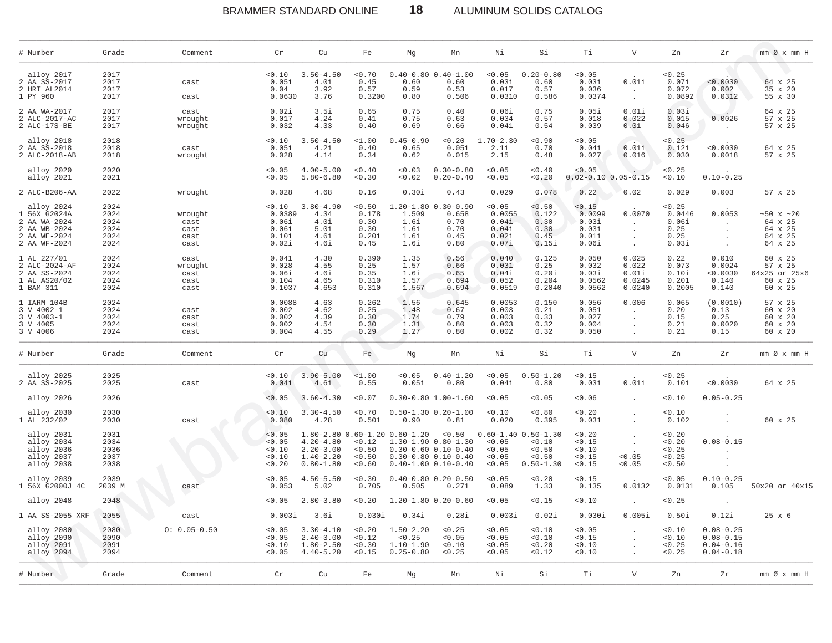# BRAMMER STANDARD ONLINE **18** ALUMINUM SOLIDS CATALOG

| # Number                                                                                   | Grade                                        | Comment                                 | Cr                                                   | Cu                                                               | Fe                                               | Мg                                                        | Mn                                                                                                                       | Νi                                                   | Si                                                                     | Тi                                                   | V                                             | Zn                                                 | Zr                                                               | mm Ø x mm H                                                 |
|--------------------------------------------------------------------------------------------|----------------------------------------------|-----------------------------------------|------------------------------------------------------|------------------------------------------------------------------|--------------------------------------------------|-----------------------------------------------------------|--------------------------------------------------------------------------------------------------------------------------|------------------------------------------------------|------------------------------------------------------------------------|------------------------------------------------------|-----------------------------------------------|----------------------------------------------------|------------------------------------------------------------------|-------------------------------------------------------------|
| alloy 2017                                                                                 | 2017                                         |                                         | 0.10                                                 | $3.50 - 4.50$                                                    | < 0.70                                           |                                                           | $0.40 - 0.80$ $0.40 - 1.00$                                                                                              | < 0.05                                               | $0.20 - 0.80$                                                          | < 0.05                                               |                                               | < 0.25                                             |                                                                  |                                                             |
| 2 AA SS-2017<br>2 HRT AL2014                                                               | 2017<br>2017                                 | cast                                    | 0.05i<br>0.04                                        | 4.0i<br>3.92                                                     | 0.45<br>0.57                                     | 0.60<br>0.59                                              | 0.60<br>0.53                                                                                                             | 0.03i<br>0.017                                       | 0.60<br>0.57                                                           | 0.03i<br>0.036                                       | 0.01i<br>$\cdot$                              | 0.07i<br>0.072                                     | < 0.0030<br>0.002                                                | 64 x 25<br>35 x 20                                          |
| 1 PY 960                                                                                   | 2017                                         | cast                                    | 0.0630                                               | 3.76                                                             | 0.3200                                           | 0.80                                                      | 0.506                                                                                                                    | 0.0310                                               | 0.586                                                                  | 0.0374                                               | $\sim$                                        | 0.0892                                             | 0.0312                                                           | 55 x 30                                                     |
| 2 AA WA-2017<br>2 ALC-2017-AC<br>2 ALC-17S-BE                                              | 2017<br>2017<br>2017                         | cast<br>wrought<br>wrought              | 0.02i<br>0.017<br>0.032                              | 3.5i<br>4.24<br>4.33                                             | 0.65<br>0.41<br>0.40                             | 0.75<br>0.75<br>0.69                                      | 0.40<br>0.63<br>0.66                                                                                                     | 0.06i<br>0.034<br>0.041                              | 0.75<br>0.57<br>0.54                                                   | 0.05i<br>0.018<br>0.039                              | 0.01i<br>0.022<br>0.01                        | 0.03i<br>0.015<br>0.046                            | 0.0026                                                           | 64 x 25<br>57 x 25<br>57 x 25                               |
| alloy 2018<br>2 AA SS-2018<br>2 ALC-2018-AB                                                | 2018<br>2018<br>2018                         | cast<br>wrought                         | 0.10<br>0.05i<br>0.028                               | $3.50 - 4.50$<br>4.2i<br>4.14                                    | <1.00<br>0.40<br>0.34                            | $0.45 - 0.90$<br>0.65<br>0.62                             | 0.20<br>0.05i<br>0.015                                                                                                   | $1.70 - 2.30$<br>2.1i<br>2.15                        | 0.90<br>0.70<br>0.48                                                   | < 0.05<br>0.04i<br>0.027                             | 0.01i<br>0.016                                | 0.25<br>0.12i<br>0.030                             | < 0.0030<br>0.0018                                               | 64 x 25<br>57 x 25                                          |
| alloy 2020<br>alloy 2021                                                                   | 2020<br>2021                                 |                                         | < 0.05<br>< 0.05                                     | $4.00 - 5.00$<br>$5.80 - 6.80$                                   | 0.40<br>0.30                                     | 0.03<br>0.02                                              | $0.30 - 0.80$<br>$0.20 - 0.40$                                                                                           | < 0.05<br>< 0.05                                     | 0.40<br>0.20                                                           | < 0.05<br>$0.02 - 0.10$ $0.05 - 0.15$                |                                               | < 0.25<br>0.10                                     | $0.10 - 0.25$                                                    |                                                             |
| 2 ALC-B206-AA                                                                              | 2022                                         | wrought                                 | 0.028                                                | 4.68                                                             | 0.16                                             | 0.30i                                                     | 0.43                                                                                                                     | 0.029                                                | 0.078                                                                  | 0.22                                                 | 0.02                                          | 0.029                                              | 0.003                                                            | 57 x 25                                                     |
| alloy 2024<br>1 56X G2024A<br>2 AA WA-2024<br>2 AA WB-2024<br>2 AA WE-2024<br>2 AA WF-2024 | 2024<br>2024<br>2024<br>2024<br>2024<br>2024 | wrought<br>cast<br>cast<br>cast<br>cast | < 0.10<br>0.0389<br>0.06i<br>0.06i<br>0.10i<br>0.02i | $3.80 - 4.90$<br>4.34<br>4.0i<br>5.0i<br>4.6i<br>4.6i            | < 0.50<br>0.178<br>0.30<br>0.30<br>0.20i<br>0.45 | 1.509<br>1.6i<br>1.6i<br>1.6i<br>1.6i                     | $1.20 - 1.80 0.30 - 0.90$<br>0.658<br>0.70<br>0.70<br>0.45<br>0.80                                                       | < 0.05<br>0.0055<br>0.04i<br>0.04i<br>0.02i<br>0.071 | 0.50<br>0.122<br>0.30<br>0.30<br>0.45<br>0.15i                         | < 0.15<br>0.0099<br>0.03i<br>0.03i<br>0.01i<br>0.06i | 0.0070<br>$\sim$                              | < 0.25<br>0.0446<br>0.06i<br>0.25<br>0.25<br>0.03i | 0.0053                                                           | $~10 \times 20$<br>64 x 25<br>64 x 25<br>64 x 25<br>64 x 25 |
| 1 AL 227/01<br>2 ALC-2024-AF<br>2 AA SS-2024<br>1 AL AS20/02<br>1 BAM 311                  | 2024<br>2024<br>2024<br>2024<br>2024         | cast<br>wrought<br>cast<br>cast<br>cast | 0.041<br>0.028<br>0.06i<br>0.104<br>0.1037           | 4.30<br>4.55<br>4.6i<br>4.65<br>4.653                            | 0.390<br>0.25<br>0.35<br>0.310<br>0.310          | 1.35<br>1.57<br>1.6i<br>1.57<br>1.567                     | 0.56<br>0.66<br>0.65<br>0.694<br>0.694                                                                                   | 0.040<br>0.031<br>0.04i<br>0.052<br>0.0519           | 0.125<br>0.25<br>0.20i<br>0.204<br>0.2040                              | 0.050<br>0.032<br>0.03i<br>0.0562<br>0.0562          | 0.025<br>0.022<br>0.01i<br>0.0245<br>0.0240   | 0.22<br>0.073<br>0.10i<br>0.201<br>0.2005          | 0.010<br>0.0024<br>< 0.0030<br>0.140<br>0.140                    | 60 x 25<br>57 x 25<br>64x25 or 25x6<br>60 x 25<br>60 x 25   |
| 1 IARM 104B<br>3 V 4002-1<br>3 V 4003-1<br>3 V 4005<br>3 V 4006                            | 2024<br>2024<br>2024<br>2024<br>2024         | cast<br>cast<br>cast<br>cast            | 0.0088<br>0.002<br>0.002<br>0.002<br>0.004           | 4.63<br>4.62<br>4.39<br>4.54<br>4.55                             | 0.262<br>0.25<br>0.30<br>0.30<br>0.29            | 1.56<br>1.48<br>1.74<br>1.31<br>1.27                      | 0.645<br>0.67<br>0.79<br>0.80<br>0.80                                                                                    | 0.0053<br>0.003<br>0.003<br>0.003<br>0.002           | 0.150<br>0.21<br>0.33<br>0.32<br>0.32                                  | 0.056<br>0.051<br>0.027<br>0.004<br>0.050            | 0.006<br>$\mathbf{r}$<br>$\ddot{\phantom{a}}$ | 0.065<br>0.20<br>0.15<br>0.21<br>0.21              | (0.0010)<br>0.13<br>0.25<br>0.0020<br>0.15                       | 57 x 25<br>60 x 20<br>60 x 20<br>60 x 20<br>60 x 20         |
| # Number                                                                                   | Grade                                        | Comment                                 | Cr                                                   | Cu                                                               | Fe                                               | Мg                                                        | Mn                                                                                                                       | Νi                                                   | Si                                                                     | Τi                                                   | $\mathbf V$                                   | Zn                                                 | Zr                                                               | mm Øx mm H                                                  |
| alloy 2025<br>2 AA SS-2025                                                                 | 2025<br>2025                                 | cast                                    | 0.10<br>0.04i                                        | $3.90 - 5.00$<br>4.6i                                            | <1.00<br>0.55                                    | 0.05<br>0.05i                                             | $0.40 - 1.20$<br>0.80                                                                                                    | < 0.05<br>0.04i                                      | $0.50 - 1.20$<br>0.80                                                  | < 0.15<br>0.03i                                      | 0.01i                                         | < 0.25<br>0.10i                                    | < 0.0030                                                         | 64 x 25                                                     |
| alloy 2026                                                                                 | 2026                                         |                                         | < 0.05                                               | $3.60 - 4.30$                                                    | < 0.07                                           |                                                           | $0.30 - 0.80$ 1.00-1.60                                                                                                  | < 0.05                                               | < 0.05                                                                 | < 0.06                                               |                                               | 0.10                                               | $0.05 - 0.25$                                                    |                                                             |
| alloy 2030<br>1 AL 232/02                                                                  | 2030<br>2030                                 | cast                                    | < 0.10<br>0.080                                      | $3.30 - 4.50$<br>4.28                                            | < 0.70<br>0.501                                  | 0.90                                                      | $0.50 - 1.30$ $0.20 - 1.00$<br>0.81                                                                                      | < 0.10<br>0.020                                      | < 0.80<br>0.395                                                        | < 0.20<br>0.031                                      | $\cdot$                                       | 0.10<br>0.102                                      |                                                                  | 60 x 25                                                     |
| alloy 2031<br>alloy 2034<br>alloy 2036<br>alloy 2037<br>alloy 2038                         | 2031<br>2034<br>2036<br>2037<br>2038         |                                         | < 0.05<br>< 0.05<br>0.10<br>0.10<br>< 0.20           | $4.20 - 4.80$<br>$2.20 - 3.00$<br>$1.40 - 2.20$<br>$0.80 - 1.80$ | < 0.12<br>< 0.50<br>< 0.50<br>0.60               | 1.80-2.80 0.60-1.20 0.60-1.20                             | < 0.50<br>1.30-1.90 0.80-1.30<br>$0.30 - 0.60$ $0.10 - 0.40$<br>$0.30 - 0.80$ $0.10 - 0.40$<br>$0.40 - 1.00 0.10 - 0.40$ | < 0.05<br>0.05<br>< 0.05<br>< 0.05                   | $0.60 - 1.40$ $0.50 - 1.30$<br>0.10<br>< 0.50<br>0.50<br>$0.50 - 1.30$ | 0.20<br>< 0.15<br>0.10<br>< 0.15<br>< 0.15           | < 0.05<br>< 0.05                              | 0.20<br>0.20<br>< 0.25<br>< 0.25<br>< 0.50         | $0.08 - 0.15$                                                    |                                                             |
| alloy 2039<br>1 56X G2000J 4C                                                              | 2039<br>2039 M                               | cast                                    | < 0.05<br>0.053                                      | $4.50 - 5.50$<br>5.02                                            | 0.30<br>0.705                                    | 0.505                                                     | $0.40 - 0.80$ $0.20 - 0.50$<br>0.271                                                                                     | < 0.05<br>0.089                                      | 0.20<br>1.33                                                           | < 0.15<br>0.135                                      | 0.0132                                        | < 0.05<br>0.0131                                   | $0.10 - 0.25$<br>0.105                                           | 50x20 or 40x15                                              |
| alloy 2048                                                                                 | 2048                                         |                                         | < 0.05                                               | $2.80 - 3.80$                                                    | < 0.20                                           |                                                           | $1.20 - 1.80 0.20 - 0.60$                                                                                                | < 0.05                                               | < 0.15                                                                 | 0.10                                                 |                                               | < 0.25                                             |                                                                  |                                                             |
| 1 AA SS-2055 XRF                                                                           | 2055                                         | cast                                    | 0.003i                                               | 3.6i                                                             | 0.030i                                           | 0.34i                                                     | 0.28i                                                                                                                    | 0.003i                                               | 0.02i                                                                  | 0.030i                                               | 0.005i                                        | 0.50i                                              | 0.12i                                                            | 25 x 6                                                      |
| alloy 2080<br>alloy 2090<br>alloy 2091<br>alloy 2094                                       | 2080<br>2090<br>2091<br>2094                 | $0: 0.05 - 0.50$                        | < 0.05<br>< 0.05<br>0.10<br>< 0.05                   | $3.30 - 4.10$<br>$2.40 - 3.00$<br>$1.80 - 2.50$<br>$4.40 - 5.20$ | < 0.20<br>< 0.12<br>0.30<br>< 0.15               | $1.50 - 2.20$<br>< 0.25<br>$1.10 - 1.90$<br>$0.25 - 0.80$ | < 0.25<br>< 0.05<br>0.10<br>< 0.25                                                                                       | 0.05<br>< 0.05<br>0.05<br>< 0.05                     | 0.10<br>0.10<br>0.20<br>< 0.12                                         | < 0.05<br>< 0.15<br>0.10<br>0.10                     | $\bullet$                                     | 0.10<br>0.10<br>< 0.25<br>< 0.25                   | $0.08 - 0.25$<br>$0.08 - 0.15$<br>$0.04 - 0.16$<br>$0.04 - 0.18$ |                                                             |
| # Number                                                                                   | Grade                                        | Comment                                 | Cr                                                   | Cu                                                               | Fe                                               | Mg                                                        | Mn                                                                                                                       | Νi                                                   | Si                                                                     | Тi                                                   | V                                             | Zn                                                 | Ζr                                                               | mm Ø x mm H                                                 |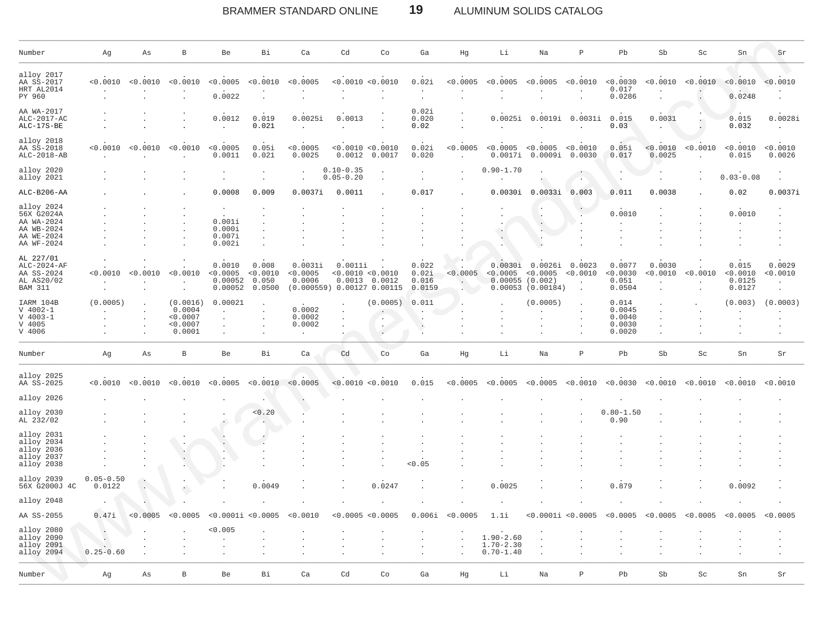#### BRAMMER STANDARD ONLINE 19 ALUMINUM SOLIDS CATALOG

| Number                                                                           | Αg                             | Αs       | В                                                    | Be                                       | Bi                                   | Ca                                    | Cd                             | Co                                                                   | Ga                                | Ηg       | Li                                              | Na                                                      | $\mathbb P$        | Pb                                            | Sb                 | Sc       | Sn                                    | Sr                 |
|----------------------------------------------------------------------------------|--------------------------------|----------|------------------------------------------------------|------------------------------------------|--------------------------------------|---------------------------------------|--------------------------------|----------------------------------------------------------------------|-----------------------------------|----------|-------------------------------------------------|---------------------------------------------------------|--------------------|-----------------------------------------------|--------------------|----------|---------------------------------------|--------------------|
| alloy 2017<br>AA SS-2017<br>HRT AL2014<br>PY 960                                 | < 0.0010                       | < 0.0010 | < 0.0010                                             | < 0.0005<br>0.0022                       | < 0.0010                             | < 0.0005                              |                                | < 0.0010 < 0.0010                                                    | 0.02i                             | < 0.0005 | < 0.0005                                        | < 0.0005                                                | < 0.0010           | < 0.0030<br>0.017<br>0.0286                   | < 0.0010           | < 0.0010 | < 0.0010<br>0.0248                    | < 0.0010           |
| AA WA-2017<br>$ALC-2017-AC$<br>ALC-17S-BE                                        |                                |          |                                                      | 0.0012                                   | 0.019<br>0.021                       | 0.0025i                               | 0.0013                         |                                                                      | 0.02i<br>0.020<br>0.02            |          | 0.0025i                                         | 0.0019i                                                 | 0.0031i            | 0.015<br>0.03                                 | 0.0031             |          | 0.015<br>0.032                        | 0.0028i            |
| alloy 2018<br>AA SS-2018<br>ALC-2018-AB                                          | < 0.0010                       | < 0.0010 | < 0.0010                                             | < 0.0005<br>0.0011                       | 0.05i<br>0.021                       | < 0.0005<br>0.0025                    | 0.0012                         | < 0.0010 < 0.0010<br>0.0017                                          | 0.02i<br>0.020                    | < 0.0005 | < 0.0005<br>0.0017i                             | < 0.0005<br>0.0009i                                     | < 0.0010<br>0.0030 | 0.05i<br>0.017                                | < 0.0010<br>0.0025 | < 0.0010 | < 0.0010<br>0.015                     | < 0.0010<br>0.0026 |
| alloy 2020<br>alloy 2021                                                         |                                |          |                                                      |                                          |                                      | ÷.                                    | $0.10 - 0.35$<br>$0.05 - 0.20$ | $\ddot{\phantom{a}}$                                                 |                                   |          | $0.90 - 1.70$                                   |                                                         |                    |                                               |                    |          | $0.03 - 0.08$                         |                    |
| ALC-B206-AA                                                                      |                                |          |                                                      | 0.0008                                   | 0.009                                | 0.0037i                               | 0.0011                         |                                                                      | 0.017                             |          | 0.0030i                                         | 0.0033i                                                 | 0.003              | 0.011                                         | 0.0038             |          | 0.02                                  | 0.0037i            |
| alloy 2024<br>56X G2024A<br>AA WA-2024<br>AA WB-2024<br>AA WE-2024<br>AA WF-2024 |                                |          |                                                      | 0.001i<br>0.000i<br>0.007i<br>0.002i     |                                      |                                       |                                |                                                                      |                                   |          |                                                 |                                                         |                    | 0.0010                                        |                    |          | 0.0010                                |                    |
| AL 227/01<br>ALC-2024-AF<br>AA SS-2024<br>AL AS20/02<br><b>BAM 311</b>           | < 0.0010                       | < 0.0010 | < 0.0010                                             | 0.0010<br>< 0.0005<br>0.00052<br>0.00052 | 0.008<br>< 0.0010<br>0.050<br>0.0500 | 0.0031i<br>< 0.0005<br>0.0006         | 0.0011i                        | < 0.0010 < 0.0010<br>$0.0013$ $0.0012$<br>(0.000559) 0.00127 0.00115 | 0.022<br>0.02i<br>0.016<br>0.0159 | < 0.0005 | 0.0030i<br>< 0.0005<br>$0.00055$ (0.002)        | $0.0026i$ $0.0023$<br>< 0.0005<br>$0.00053$ $(0.00184)$ | < 0.0010           | 0.0077<br>< 0.0030<br>0.051<br>0.0504         | 0.0030<br>< 0.0010 | < 0.0010 | 0.015<br>< 0.0010<br>0.0125<br>0.0127 | 0.0029<br>0.0010   |
| IARM 104B<br>$V 4002 - 1$<br>$V 4003 - 1$<br>V 4005<br>V 4006                    | (0.0005)                       |          | (0.0016)<br>0.0004<br>< 0.0007<br>< 0.0007<br>0.0001 | 0.00021                                  |                                      | 0.0002<br>0.0002<br>0.0002<br>$\cdot$ |                                | (0.0005)<br>$\cdot$<br>$\cdot$                                       | 0.011                             |          |                                                 | (0.0005)                                                |                    | 0.014<br>0.0045<br>0.0040<br>0.0030<br>0.0020 |                    |          | (0.003)                               | (0.0003)           |
| Number                                                                           | Αg                             | Αs       | В                                                    | Be                                       | Bi                                   | Ca                                    | Cd                             | Co                                                                   | Ga                                | Hg       | Li                                              | Na                                                      | $\mathbf{P}$       | Pb                                            | Sb                 | Sc       | Sn                                    | Sr                 |
| alloy 2025<br>AA SS-2025                                                         | < 0.0010                       | < 0.0010 | .0010<br>< 0                                         | < 0.0005                                 | < 0.0010                             | < 0.0005                              |                                | < 0.0010 < 0.0010                                                    | 0.015                             | < 0.0005 | < 0.0005                                        | < 0.0005                                                | < 0.0010           | < 0.0030                                      | < 0.0010           | < 0.0010 | < 0.0010                              | < 0.0010           |
| alloy 2026                                                                       |                                |          |                                                      |                                          |                                      |                                       |                                |                                                                      |                                   |          |                                                 |                                                         |                    |                                               |                    |          |                                       |                    |
| alloy 2030<br>AL 232/02                                                          |                                |          |                                                      |                                          | < 0.20                               |                                       |                                |                                                                      |                                   |          |                                                 |                                                         |                    | $0.80 - 1.50$<br>0.90                         |                    |          |                                       |                    |
| alloy 2031<br>alloy 2034<br>alloy 2036<br>alloy 2037<br>alloy 2038               |                                |          |                                                      |                                          |                                      |                                       |                                |                                                                      | < 0.05                            |          |                                                 |                                                         |                    |                                               |                    |          |                                       |                    |
| alloy 2039<br>56X G2000J 4C                                                      | $0.05 - 0.50$<br>0.0122        |          |                                                      |                                          | 0.0049                               |                                       |                                | 0.0247                                                               |                                   |          | 0.0025                                          |                                                         |                    | 0.879                                         |                    |          | 0.0092                                |                    |
| alloy 2048                                                                       |                                |          |                                                      |                                          |                                      |                                       |                                |                                                                      |                                   |          |                                                 |                                                         |                    |                                               |                    |          |                                       |                    |
| AA SS-2055                                                                       | 0.47i                          | < 0.0005 | <0.0005                                              | < 0.0001i                                | < 0.0005                             | .0010                                 | < 0.0005                       | < 0.0005                                                             | 0.006i                            | < 0.0005 | 1.1i                                            | <0.0001i <0.0005                                        |                    | < 0.0005                                      | < 0.0005           | < 0.0005 | < 0.0005                              | < 0.0005           |
| alloy 2080<br>alloy 2090<br>alloy 2091<br>alloy 2094                             | $\cdot$<br>v.<br>$0.25 - 0.60$ |          |                                                      | < 0.005                                  |                                      |                                       |                                |                                                                      |                                   |          | $1.90 - 2.60$<br>$1.70 - 2.30$<br>$0.70 - 1.40$ |                                                         |                    |                                               |                    |          |                                       |                    |
| Number                                                                           | Αg                             | Αs       | $\, {\bf B}$                                         | Be                                       | Bi                                   | Ca                                    | Cd                             | Co                                                                   | Ga                                | Hg       | Li                                              | Na                                                      | $\, {\bf p}$       | Pb                                            | Sb                 | Sc       | Sn                                    | Sr                 |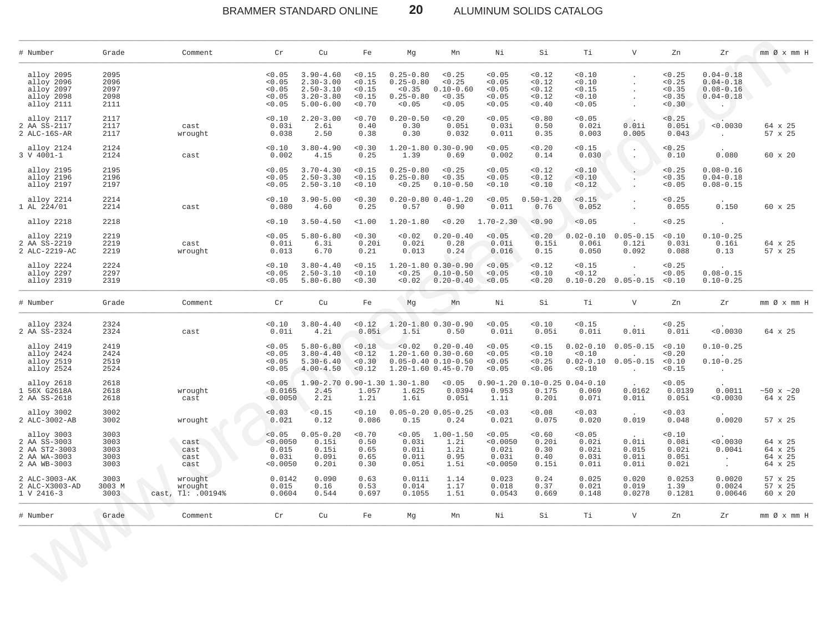BRAMMER STANDARD ONLINE **20** ALUMINUM SOLIDS CATALOG

\_\_\_\_\_\_\_\_\_\_\_\_\_\_\_\_\_\_\_\_\_\_\_\_\_\_\_\_\_\_\_\_\_\_\_\_\_\_\_\_\_\_\_\_\_\_\_\_\_\_\_\_\_\_\_\_\_\_\_\_\_\_\_\_\_\_\_\_\_\_\_\_\_\_\_\_\_\_\_\_\_\_\_\_\_\_\_\_\_\_\_\_\_\_\_\_\_\_\_\_\_\_\_\_\_\_\_\_\_\_\_\_\_\_\_\_\_\_\_\_\_\_\_\_\_\_\_\_\_\_\_\_\_\_\_\_\_\_\_\_\_\_\_\_\_\_\_\_\_\_\_\_\_\_\_\_\_\_\_\_\_\_\_\_\_\_\_\_\_\_\_\_\_\_\_\_\_\_\_\_\_\_

| # Number                                                                    | Grade                                | Comment                                 | $\operatorname{Cr}$                              | Cu                                                                                | Fe                                             | Mg                                                                                    | Mn                                                             | Ni                                               | Si                                             | Ti                                             | $\mathbf{V}$                                                                                                       | Zn                                             | Zr                                                               | mm Ø x mm H                              |
|-----------------------------------------------------------------------------|--------------------------------------|-----------------------------------------|--------------------------------------------------|-----------------------------------------------------------------------------------|------------------------------------------------|---------------------------------------------------------------------------------------|----------------------------------------------------------------|--------------------------------------------------|------------------------------------------------|------------------------------------------------|--------------------------------------------------------------------------------------------------------------------|------------------------------------------------|------------------------------------------------------------------|------------------------------------------|
| alloy 2095<br>alloy 2096<br>alloy 2097<br>alloy 2098<br>alloy 2111          | 2095<br>2096<br>2097<br>2098<br>2111 |                                         | < 0.05<br>< 0.05<br>< 0.05<br>< 0.05<br>< 0.05   | $3.90 - 4.60$<br>$2.30 - 3.00$<br>$2.50 - 3.10$<br>$3.20 - 3.80$<br>$5.00 - 6.00$ | < 0.15<br>< 0.15<br>< 0.15<br>< 0.15<br>< 0.70 | $0.25 - 0.80$<br>$0.25 - 0.80$<br>$0.25 - 0.80$<br>< 0.05                             | < 0.25<br>< 0.25<br>$< 0.35$ $0.10 - 0.60$<br>< 0.35<br>< 0.05 | < 0.05<br>< 0.05<br>< 0.05<br>< 0.05<br>< 0.05   | < 0.12<br>< 0.12<br>< 0.12<br>< 0.12<br>< 0.40 | < 0.10<br>< 0.10<br>< 0.15<br>< 0.10<br>< 0.05 | $\ddot{\phantom{0}}$<br>$\ddot{\phantom{0}}$<br>$\sim$                                                             | < 0.25<br>< 0.25<br>< 0.35<br>< 0.35<br>< 0.30 | $0.04 - 0.18$<br>$0.04 - 0.18$<br>$0.08 - 0.16$<br>$0.04 - 0.18$ | $\rightarrow$                            |
| alloy 2117<br>2 AA SS-2117<br>2 ALC-16S-AR                                  | 2117<br>2117<br>2117                 | cast<br>wrought                         | < 0.10<br>0.03i<br>0.038                         | $2.20 - 3.00$<br>2.6i<br>2.50                                                     | < 0.70<br>0.40<br>0.38                         | $0.20 - 0.50$<br>0.30<br>0.30                                                         | < 0.20<br>0.05i<br>0.032                                       | < 0.05<br>0.03i<br>0.011                         | < 0.80<br>0.50<br>0.35                         | < 0.05<br>0.02i<br>0.003                       | 0.01i<br>0.005                                                                                                     | < 0.25<br>0.05i<br>0.043                       | < 0.0030<br><b>Contract Contract</b>                             | 64 x 25<br>57 x 25                       |
| alloy 2124<br>3 V 4001-1                                                    | 2124<br>2124                         | cast                                    | < 0.10<br>0.002                                  | $3.80 - 4.90$<br>4.15                                                             | < 0.30<br>0.25                                 | 1.39                                                                                  | $1.20 - 1.80 0.30 - 0.90$<br>0.69                              | < 0.05<br>0.002                                  | < 0.20<br>0.14                                 | < 0.15<br>0.030                                | $\cdot$<br>$\mathcal{L}_{\mathcal{A}}$                                                                             | < 0.25<br>0.10                                 | 0.080                                                            | $60 \times 20$                           |
| alloy 2195<br>alloy 2196<br>alloy 2197                                      | 2195<br>2196<br>2197                 |                                         | < 0.05<br>< 0.05<br>< 0.05                       | $3.70 - 4.30$<br>$2.50 - 3.30$<br>$2.50 - 3.10$                                   | < 0.15<br>< 0.15<br>< 0.10                     | $0.25 - 0.80$<br>$0.25 - 0.80$<br>< 0.25                                              | < 0.25<br>< 0.35<br>$0.10 - 0.50$                              | < 0.05<br>< 0.05<br>< 0.10                       | < 0.12<br>< 0.12<br>< 0.10                     | < 0.10<br>< 0.10<br>< 0.12                     | $\mathcal{L}^{\mathcal{L}}$                                                                                        | < 0.25<br>< 0.35<br>< 0.05                     | $0.08 - 0.16$<br>$0.04 - 0.18$<br>$0.08 - 0.15$                  |                                          |
| alloy 2214<br>1 AL 224/01                                                   | 2214<br>2214                         | cast                                    | < 0.10<br>0.080                                  | $3.90 - 5.00$<br>4.60                                                             | < 0.30<br>0.25                                 | 0.57                                                                                  | $0.20 - 0.80$ $0.40 - 1.20$<br>0.90                            | < 0.05<br>0.011                                  | $0.50 - 1.20$<br>0.76                          | < 0.15<br>0.052                                |                                                                                                                    | < 0.25<br>0.055                                | 0.150                                                            | $60 \times 25$                           |
| alloy 2218                                                                  | 2218                                 |                                         | < 0.10                                           | $3.50 - 4.50$                                                                     | $1.00$                                         | $1.20 - 1.80$                                                                         | < 0.20                                                         | $1.70 - 2.30$                                    | < 0.90                                         | < 0.05                                         | $\ddot{\phantom{a}}$                                                                                               | < 0.25                                         | $\sim 10^{-11}$                                                  |                                          |
| alloy 2219<br>2 AA SS-2219<br>2 ALC-2219-AC                                 | 2219<br>2219<br>2219                 | cast<br>wrought                         | < 0.05<br>0.01i<br>0.013                         | $5.80 - 6.80$<br>6.3i<br>6.70                                                     | < 0.30<br>0.20i<br>0.21                        | < 0.02<br>0.02i<br>0.013                                                              | $0.20 - 0.40$<br>0.28<br>0.24                                  | < 0.05<br>0.01i<br>0.016                         | < 0.20<br>0.15i<br>0.15                        | 0.06i<br>0.050                                 | $0.02 - 0.10$ $0.05 - 0.15$<br>0.12i<br>0.092                                                                      | < 0.10<br>0.03i<br>0.088                       | $0.10 - 0.25$<br>0.16i<br>0.13                                   | 64 x 25<br>57 x 25                       |
| alloy 2224<br>alloy 2297<br>alloy 2319                                      | 2224<br>2297<br>2319                 |                                         | < 0.10<br>< 0.05<br>< 0.05                       | $3.80 - 4.40$<br>$2.50 - 3.10$<br>$5.80 - 6.80$                                   | < 0.15<br>< 0.10<br>< 0.30                     | < 0.25                                                                                | $1.20 - 1.80$ 0.30-0.90<br>$0.10 - 0.50$<br>$0.02$ $0.20-0.40$ | < 0.05<br>< 0.05<br>< 0.05                       | < 0.12<br>< 0.10<br>< 0.20                     | < 0.15<br>< 0.12                               | $0.10-0.20$ $0.05-0.15$ <0.10                                                                                      | < 0.25<br>< 0.05                               | $0.08 - 0.15$<br>$0.10 - 0.25$                                   |                                          |
| # Number                                                                    | Grade                                | Comment                                 | $\operatorname{Cr}$                              | Cu                                                                                | Fe                                             | Mg                                                                                    | Mn                                                             | Ni                                               | Si                                             | Ti                                             | V                                                                                                                  | Zn                                             | Zr                                                               | $mm \oslash x$ $mm$ H                    |
| alloy 2324<br>2 AA SS-2324                                                  | 2324<br>2324                         | cast                                    | < 0.10<br>0.01i                                  | $3.80 - 4.40$<br>4.2i                                                             | < 0.12<br>0.05i                                | 1.5i                                                                                  | $1.20 - 1.80$ $0.30 - 0.90$<br>0.50                            | < 0.05<br>0.01i                                  | < 0.10<br>0.05i                                | < 0.15<br>0.01i                                | 0.01i                                                                                                              | < 0.25<br>0.01i                                | < 0.0030                                                         | 64 x 25                                  |
| alloy 2419<br>alloy 2424<br>alloy 2519<br>alloy 2524                        | 2419<br>2424<br>2519<br>2524         |                                         | < 0.05<br>< 0.05<br>< 0.05<br>< 0.05             | $5.80 - 6.80$<br>$3.80 - 4.40$<br>$5.30 - 6.40$<br>$4.00 - 4.50$                  | < 0.18<br>< 0.12<br>< 0.30<br>< 0.12           | $0.05 - 0.40 0.10 - 0.50$<br>1.20-1.60 0.45-0.70                                      | $< 0.02$ $0.20 - 0.40$<br>$1.20 - 1.60$ 0.30-0.60              | < 0.05<br>< 0.05<br>< 0.05<br>< 0.05             | < 0.15<br>< 0.10<br>< 0.25<br>< 0.06           | < 0.10<br>< 0.10                               | $0.02 - 0.10$ $0.05 - 0.15$<br><b>Contract Contract Contract</b><br>$0.02 - 0.10$ $0.05 - 0.15$<br><b>Contract</b> | < 0.10<br>< 0.20<br>< 0.10<br>< 0.15           | $0.10 - 0.25$<br>$0.10 - 0.25$<br><b>Contractor</b>              |                                          |
| alloy 2618<br>1 56X G2618A<br>2 AA SS-2618                                  | 2618<br>2618<br>2618                 | wrought<br>cast                         | < 0.05<br>0.0165<br>< 0.0050                     | 2.45<br>2.2i                                                                      | 1.057<br>1.2i                                  | $1.90-2.70$ 0.90-1.30 1.30-1.80 < 0.05 0.90-1.20 0.10-0.25 0.04-0.10<br>1.625<br>1.6i | 0.0394<br>0.05i                                                | 0.953<br>1.1i                                    | 0.175<br>0.20i                                 | 0.069<br>0.07i                                 | 0.0162<br>0.01i                                                                                                    | < 0.05<br>0.0139<br>0.05i                      | 0.0011<br>< 0.0030                                               | ~10x~120<br>64 x 25                      |
| alloy 3002<br>2 ALC-3002-AB                                                 | 3002<br>3002                         | wrought                                 | < 0.03<br>0.021                                  | < 0.15<br>0.12                                                                    | < 0.10<br>0.086                                | 0.15                                                                                  | $0.05 - 0.20$ $0.05 - 0.25$<br>0.24                            | < 0.03<br>0.021                                  | < 0.08<br>0.075                                | < 0.03<br>0.020                                | 0.019                                                                                                              | < 0.03<br>0.048                                | 0.0020                                                           | 57 x 25                                  |
| alloy 3003<br>2 AA SS-3003<br>2 AA ST2-3003<br>2 AA WA-3003<br>2 AA WB-3003 | 3003<br>3003<br>3003<br>3003<br>3003 | cast<br>cast<br>cast<br>cast            | < 0.05<br>< 0.0050<br>0.015<br>0.03i<br>< 0.0050 | $0.05 - 0.20$<br>0.15i<br>0.15i<br>0.09i<br>0.20i                                 | < 0.70<br>0.50<br>0.65<br>0.65<br>0.30         | < 0.05<br>0.03i<br>0.01i<br>0.01i<br>0.05i                                            | $1.00 - 1.50$<br>1.2i<br>1.2i<br>0.95<br>1.5i                  | < 0.05<br>< 0.0050<br>0.02i<br>0.03i<br>< 0.0050 | < 0.60<br>0.20i<br>0.30<br>0.40<br>0.15i       | < 0.05<br>0.02i<br>0.02i<br>0.03i<br>0.01i     | 0.01i<br>0.015<br>0.01i<br>0.01i                                                                                   | < 0.10<br>0.08i<br>0.02i<br>0.05i<br>0.02i     | < 0.0030<br>0.004i<br><b>Contractor</b><br>$\sim 10^{-11}$       | 64 x 25<br>64 x 25<br>64 x 25<br>64 x 25 |
| 2 ALC-3003-AK<br>2 ALC-X3003-AD<br>$1 \, V \, 2416 - 3$                     | 3003<br>3003 M<br>3003               | wrought<br>wrought<br>cast, Tl: .00194% | 0.0142<br>0.015<br>0.0604                        | 0.090<br>0.16<br>0.544                                                            | 0.63<br>0.53<br>0.697                          | 0.011i<br>0.014<br>0.1055                                                             | 1.14<br>1.17<br>1.51                                           | 0.023<br>0.018<br>0.0543                         | 0.24<br>0.37<br>0.669                          | 0.025<br>0.021<br>0.148                        | 0.020<br>0.019<br>0.0278                                                                                           | 0.0253<br>1.39<br>0.1281                       | 0.0020<br>0.0024<br>0.00646                                      | 57 x 25<br>57 x 25<br>60 x 20            |
| # Number                                                                    | Grade                                | Comment                                 | Cr                                               | Cu                                                                                | Fe                                             | Mg                                                                                    | Mn                                                             | Νi                                               | Si                                             | Тi                                             | $\mathbf{V}$                                                                                                       | Zn                                             | Zr                                                               | $mm \oslash x$ $mm$ H                    |
|                                                                             | $\mathcal{A}$                        |                                         |                                                  |                                                                                   |                                                |                                                                                       |                                                                |                                                  |                                                |                                                |                                                                                                                    |                                                |                                                                  |                                          |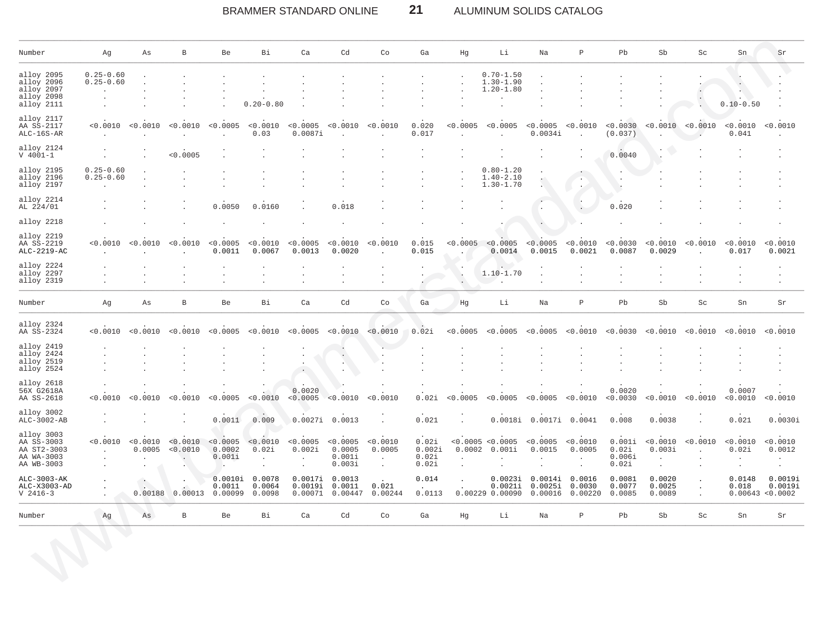# BRAMMER STANDARD ONLINE **21** ALUMINUM SOLIDS CATALOG

| Number                                                              | Αg                             | Αs                        | $\, {\bf B}$         | Be                           | Bi                             | Ca                                                | Cd                                     | Co                                         | Ga                                | Hg                                | Li                                              | Na                            | $\, {\bf P}$                  | Pb                                 | Sb                                       | Sc                | Sn                 | Sr                                       |
|---------------------------------------------------------------------|--------------------------------|---------------------------|----------------------|------------------------------|--------------------------------|---------------------------------------------------|----------------------------------------|--------------------------------------------|-----------------------------------|-----------------------------------|-------------------------------------------------|-------------------------------|-------------------------------|------------------------------------|------------------------------------------|-------------------|--------------------|------------------------------------------|
| alloy 2095<br>alloy 2096<br>alloy 2097<br>alloy 2098<br>alloy 2111  | $0.25 - 0.60$<br>$0.25 - 0.60$ |                           |                      |                              | $0.20 - 0.80$                  |                                                   |                                        |                                            |                                   |                                   | $0.70 - 1.50$<br>$1.30 - 1.90$<br>$1.20 - 1.80$ |                               |                               |                                    |                                          |                   | $0.10 - 0.50$      |                                          |
| alloy 2117<br>AA SS-2117<br>$ALC-16S-AR$                            | < 0.0010                       | < 0.0010                  | < 0.0010             | < 0.0005                     | < 0.0010<br>0.03               | < 0.0005<br>0.0087i                               | < 0.0010                               | < 0.0010                                   | 0.020<br>0.017                    | < 0.0005                          | < 0.0005                                        | < 0.0005<br>0.0034i           | < 0.0010                      | < 0.0030<br>(0.037)                |                                          | < 0.0010 < 0.0010 | < 0.0010<br>0.041  | < 0.0010                                 |
| alloy 2124<br>$V 4001 - 1$                                          |                                |                           | < 0.0005             |                              |                                |                                                   |                                        |                                            |                                   |                                   |                                                 |                               |                               | 0.0040                             |                                          |                   |                    |                                          |
| alloy 2195<br>alloy 2196<br>alloy 2197                              | $0.25 - 0.60$<br>$0.25 - 0.60$ |                           |                      |                              |                                |                                                   |                                        |                                            |                                   |                                   | $0.80 - 1.20$<br>$1.40 - 2.10$<br>$1.30 - 1.70$ |                               |                               |                                    |                                          |                   |                    |                                          |
| alloy 2214<br>AL 224/01                                             |                                |                           |                      | 0.0050                       | 0.0160                         |                                                   | 0.018                                  |                                            |                                   |                                   |                                                 |                               |                               | 0.020                              |                                          |                   |                    |                                          |
| alloy 2218                                                          |                                |                           |                      |                              |                                |                                                   |                                        |                                            |                                   |                                   |                                                 |                               |                               |                                    |                                          |                   |                    |                                          |
| alloy 2219<br>AA SS-2219<br>$ALC-2219-AC$                           | <0.0010                        | < 0.0010                  | < 0.0010             | < 0.0005<br>0.0011           | < 0.0010<br>0.0067             | < 0.0005<br>0.0013                                | < 0.0010<br>0.0020                     | < 0.0010                                   | 0.015<br>0.015                    | < 0.0005                          | < 0.0005<br>0.0014                              | < 0.0005<br>0.0015            | < 0.0010<br>0.0021            | < 0.0030<br>0.0087                 | < 0.0010<br>0.0029                       | < 0.0010          | < 0.0010<br>0.017  | 0.0010<br>0.0021                         |
| alloy 2224<br>alloy 2297<br>alloy 2319                              |                                |                           |                      |                              |                                |                                                   |                                        |                                            |                                   | $\bullet$<br>$\ddot{\phantom{a}}$ | $\ddot{\phantom{a}}$<br>$1.10 - 1.70$           |                               |                               |                                    |                                          |                   |                    |                                          |
| Number                                                              | Αg                             | Αs                        | В                    | Be                           | Bi                             | Ca                                                | Cd                                     | Co                                         | Ga                                | Hg                                | Li                                              | Na                            | Ρ                             | Pb                                 | Sb                                       | Sc                | Sn                 | Sr                                       |
| alloy 2324<br>AA SS-2324                                            | < 0.0010                       | < 0.0010                  | < 0.0010             | < 0.0005                     | < 0.0010                       | < 0.0005                                          | < 0.0010                               | < 0.0010                                   | 0.02i                             | < 0.0005                          | < 0.0005                                        | < 0.0005                      | < 0.0010                      | 0.0030                             | < 0.0010                                 | < 0.0010          | < 0.0010           | < 0.0010                                 |
| alloy 2419<br>alloy 2424<br>alloy 2519<br>alloy 2524                |                                |                           |                      |                              |                                |                                                   |                                        |                                            |                                   |                                   |                                                 |                               |                               |                                    |                                          |                   |                    |                                          |
| alloy 2618<br>56X G2618A<br>AA SS-2618                              | <0.0010                        | 0.0010                    | 0.0010               | 0.0005                       | < 0.0010                       | 0.0020<br>< 0.0005                                | < 0.0010                               | < 0.0010                                   | 0.02i                             | 0.0005                            | < 0.0005                                        | < 0.0005                      | < 0.0010                      | 0.0020<br>< 0.0030                 | < 0.0010                                 | < 0.0010          | 0.0007<br>< 0.0010 | < 0.0010                                 |
| alloy 3002<br>ALC-3002-AB                                           |                                |                           |                      | 0.0011                       | 0.009                          |                                                   | 0.0027i 0.0013                         |                                            | 0.021                             |                                   | 0.0018i                                         | 0.0017i 0.0041                |                               | 0.008                              | 0.0038                                   |                   | 0.021              | 0.0030i                                  |
| alloy 3003<br>AA SS-3003<br>AA ST2-3003<br>AA WA-3003<br>AA WB-3003 | < 0.0010                       | < 0.0010<br>0.0005        | < 0.0010<br>< 0.0010 | < 0.0005<br>0.0002<br>0.001i | < 0.0010<br>0.02i<br>$\bullet$ | < 0.0005<br>0.002i<br>$\bullet$<br>$\blacksquare$ | < 0.0005<br>0.0005<br>0.001i<br>0.003i | < 0.0010<br>0.0005<br>$\cdot$<br>$\bullet$ | 0.02i<br>0.002i<br>0.02i<br>0.02i | 0.0002                            | < 0.0005 < 0.0005<br>0.001i<br>$\bullet$        | < 0.0005<br>0.0015            | < 0.0010<br>0.0005<br>$\cdot$ | 0.001i<br>0.02i<br>0.006i<br>0.02i | < 0.0010<br>0.003i<br>$\cdot$<br>$\cdot$ | < 0.0010          | < 0.0010<br>0.02i  | < 0.0010<br>0.0012<br>$\cdot$<br>$\cdot$ |
| ALC-3003-AK<br>ALC-X3003-AD<br>$V$ 2416-3                           |                                | $\blacksquare$<br>0.00188 | 0.00013              | 0.0010i<br>0.0011<br>0.00099 | 0.0078<br>0.0064<br>0.0098     | 0.0017i<br>0.0019i<br>0.00071                     | 0.0013<br>0.0011<br>0.00447            | 0.021<br>0.00244                           | 0.014<br>0.0113                   | $\mathbf{r}$                      | 0.0023i<br>0.0021i<br>0.00229 0.00090           | 0.0014i<br>0.0025i<br>0.00016 | 0.0016<br>0.0030<br>0.00220   | 0.0081<br>0.0077<br>0.0085         | 0.0020<br>0.0025<br>0.0089               |                   | 0.0148<br>0.018    | 0.0019i<br>0.0019i<br>0.00643 < 0.0002   |
|                                                                     | Αg                             | As                        | $\, {\bf B}$         | Be                           | Вi                             | Ca                                                | Cd                                     | Co                                         | Ga                                | Hg                                | Li                                              | Na                            | Ρ                             | Pb                                 | Sb                                       | Sc                | Sn                 | Sr                                       |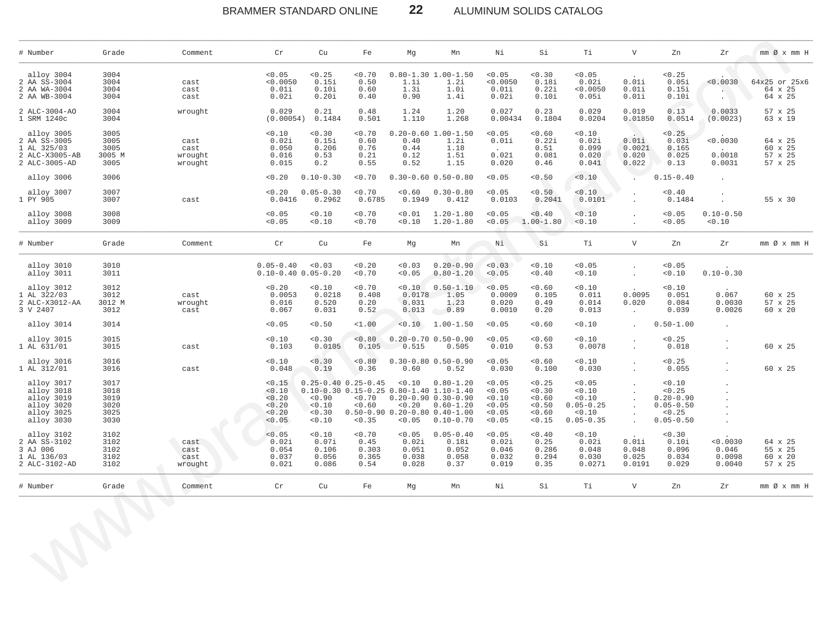### $22$ BRAMMER STANDARD ONLINE ALUMINUM SOLIDS CATALOG

| # Number                                                                         | Grade                                        | Comment                            | $\operatorname{\sf Cr}$                                  | Cu                                                                                                                     | Fe                                       | Mg                                         | Mn                                                                                                                  | Νi                                                   | Si                                                       | Тi                                                                     | $\mathbf{V}$                                 | Zn                                                                            | Zr                                    | mm Ø x mm H                              |
|----------------------------------------------------------------------------------|----------------------------------------------|------------------------------------|----------------------------------------------------------|------------------------------------------------------------------------------------------------------------------------|------------------------------------------|--------------------------------------------|---------------------------------------------------------------------------------------------------------------------|------------------------------------------------------|----------------------------------------------------------|------------------------------------------------------------------------|----------------------------------------------|-------------------------------------------------------------------------------|---------------------------------------|------------------------------------------|
| alloy 3004<br>2 AA SS-3004<br>2 AA WA-3004<br>2 AA WB-3004                       | 3004<br>3004<br>3004<br>3004                 | cast<br>cast<br>cast               | < 0.05<br>< 0.0050<br>0.01i<br>0.02i                     | < 0.25<br>0.15i<br>0.10i<br>0.20i                                                                                      | 0.70<br>0.50<br>0.60<br>0.40             | 1.1i<br>1.3i<br>0.90                       | $0.80 - 1.30$ 1.00-1.50<br>1.2i<br>1.0i<br>1.4i                                                                     | < 0.05<br>< 0.0050<br>0.01i<br>0.02i                 | < 0.30<br>0.18i<br>0.22i<br>0.10i                        | < 0.05<br>0.02i<br>< 0.0050<br>0.05i                                   | 0.01i<br>0.01i<br>0.01i                      | < 0.25<br>0.05i<br>0.15i<br>0.10i                                             | < 0.0030                              | 64x25 or 25x6<br>64 x 25<br>64 x 25      |
| 2 ALC-3004-AO<br>1 SRM 1240c                                                     | 3004<br>3004                                 | wrought                            | 0.029<br>(0.00054)                                       | 0.21<br>0.1484                                                                                                         | 0.48<br>0.501                            | 1.24<br>1.110                              | 1.20<br>1.268                                                                                                       | 0.027<br>0.00434                                     | 0.23<br>0.1804                                           | 0.029<br>0.0204                                                        | 0.019<br>0.01850                             | 0.13<br>0.0514                                                                | 0.0033<br>(0.0023)                    | 57 x 25<br>63 x 19                       |
| alloy 3005<br>2 AA SS-3005<br>1 AL 325/03<br>2 ALC-X3005-AB<br>2 ALC-3005-AD     | 3005<br>3005<br>3005<br>3005 M<br>3005       | cast<br>cast<br>wrought<br>wrought | < 0.10<br>0.02i<br>0.050<br>0.016<br>0.015               | < 0.30<br>0.15i<br>0.206<br>0.53<br>0.2                                                                                | < 0.70<br>0.60<br>0.76<br>0.21<br>0.55   | 0.40<br>0.44<br>0.12<br>0.52               | $0.20 - 0.60$ 1.00-1.50<br>1.2i<br>1.18<br>1.51<br>1.15                                                             | < 0.05<br>0.01i<br>0.021<br>0.020                    | < 0.60<br>0.22i<br>0.51<br>0.081<br>0.46                 | < 0.10<br>0.02i<br>0.099<br>0.020<br>0.041                             | 0.01i<br>0.0021<br>0.020<br>0.022            | < 0.25<br>0.03i<br>0.165<br>0.025<br>0.13                                     | < 0.0030<br>0.0018<br>0.0031          | 64 x 25<br>60 x 25<br>57 x 25<br>57 x 25 |
| alloy 3006                                                                       | 3006                                         |                                    | 0.20                                                     | $0.10 - 0.30$                                                                                                          | < 0.70                                   |                                            | $0.30 - 0.60$ $0.50 - 0.80$                                                                                         | < 0.05                                               | < 0.50                                                   | < 0.10                                                                 |                                              | $0.15 - 0.40$                                                                 |                                       |                                          |
| alloy 3007<br>1 PY 905                                                           | 3007<br>3007                                 | cast                               | < 0.20<br>0.0416                                         | $0.05 - 0.30$<br>0.2962                                                                                                | < 0.70<br>0.6785                         | < 0.60<br>0.1949                           | $0.30 - 0.80$<br>0.412                                                                                              | < 0.05<br>0.0103                                     | < 0.50<br>0.2041                                         | < 0.10<br>0.0101                                                       |                                              | < 0.40<br>0.1484                                                              |                                       | 55 x 30                                  |
| alloy 3008<br>alloy 3009                                                         | 3008<br>3009                                 |                                    | < 0.05<br>< 0.05                                         | < 0.10<br>< 0.10                                                                                                       | < 0.70<br>< 0.70                         | < 0.01<br>< 0.10                           | $1.20 - 1.80$<br>$1.20 - 1.80$                                                                                      | < 0.05<br>< 0.05                                     | < 0.40<br>$1.00 - 1.80$                                  | 0.10<br>< 0.10                                                         |                                              | < 0.05<br>< 0.05                                                              | $0.10 - 0.50$<br>0.10                 |                                          |
| # Number                                                                         | Grade                                        | Comment                            | Cr                                                       | Cu                                                                                                                     | Fe                                       | Mg                                         | Mn                                                                                                                  | Ni                                                   | Si                                                       | Тi                                                                     | $\mathbf{V}$                                 | Zn                                                                            | Zr                                    | $mm \oslash x$ $mm$ H                    |
| alloy 3010<br>alloy 3011                                                         | 3010<br>3011                                 |                                    | $0.05 - 0.40$                                            | < 0.03<br>$0.10 - 0.40 0.05 - 0.20$                                                                                    | 0.20<br>< 0.70                           | < 0.03<br>< 0.05                           | $0.20 - 0.90$<br>$0.80 - 1.20$                                                                                      | < 0.03<br>< 0.05                                     | < 0.10<br>< 0.40                                         | < 0.05<br>0.10                                                         |                                              | < 0.05<br>< 0.10                                                              | $0.10 - 0.30$                         |                                          |
| alloy 3012<br>AL 322/03<br>1<br>2 ALC-X3012-AA<br>3 V 2407                       | 3012<br>3012<br>3012 M<br>3012               | cast<br>wrought<br>cast            | < 0.20<br>0.0053<br>0.016<br>0.067                       | < 0.10<br>0.0218<br>0.520<br>0.031                                                                                     | < 0.70<br>0.408<br>0.20<br>0.52          | < 0.10<br>0.0178<br>0.031<br>0.013         | $0.50 - 1.10$<br>1.05<br>1.23<br>0.89                                                                               | < 0.05<br>0.0009<br>0.020<br>0.0010                  | < 0.60<br>0.105<br>0.49<br>0.20                          | < 0.10<br>0.011<br>0.014<br>0.013                                      | 0.0095<br>0.020<br>$\epsilon$                | < 0.10<br>0.051<br>0.084<br>0.039                                             | 0.067<br>0.0030<br>0.0026             | 60 x 25<br>57 x 25<br>60 x 20            |
| alloy 3014                                                                       | 3014                                         |                                    | < 0.05                                                   | < 0.50                                                                                                                 | <1.00                                    |                                            | $< 0.10 1.00 - 1.50$                                                                                                | < 0.05                                               | < 0.60                                                   | 0.10                                                                   |                                              | $0.50 - 1.00$                                                                 | $\sim$                                |                                          |
| alloy 3015<br>1 AL 631/01                                                        | 3015<br>3015                                 | cast                               | < 0.10<br>0.103                                          | < 0.30<br>0.0105                                                                                                       | < 0.80<br>0.105                          | 0.515                                      | $0.20 - 0.70$ $0.50 - 0.90$<br>0.505                                                                                | < 0.05<br>0.010                                      | < 0.60<br>0.53                                           | < 0.10<br>0.0078                                                       |                                              | < 0.25<br>0.018                                                               |                                       | 60 x 25                                  |
| alloy 3016<br>1 AL 312/01                                                        | 3016<br>3016                                 | cast                               | 0.10<br>0.048                                            | < 0.30<br>0.19                                                                                                         | < 0.80<br>0.36                           | 0.60                                       | $0.30 - 0.80 0.50 - 0.90$<br>0.52                                                                                   | < 0.05<br>0.030                                      | < 0.60<br>0.100                                          | 0.10<br>0.030                                                          |                                              | < 0.25<br>0.055                                                               |                                       | 60 x 25                                  |
| alloy 3017<br>alloy 3018<br>alloy 3019<br>alloy 3020<br>alloy 3025<br>alloy 3030 | 3017<br>3018<br>3019<br>3020<br>3025<br>3030 |                                    | < 0.15<br>< 0.10<br>< 0.20<br>< 0.20<br>< 0.20<br>< 0.05 | $0.25 - 0.40$ $0.25 - 0.45$<br>$0.10-0.30$ $0.15-0.25$ $0.80-1.40$ $1.10-1.40$<br>< 0.90<br>< 0.10<br>< 0.30<br>< 0.10 | < 0.70<br>< 0.60<br>< 0.35               | < 0.10<br>< 0.20<br>< 0.05                 | $0.80 - 1.20$<br>$0.20 - 0.90 0.30 - 0.90$<br>$0.60 - 1.20$<br>$0.50-0.90$ $0.20-0.80$ $0.40-1.00$<br>$0.10 - 0.70$ | < 0.05<br>< 0.05<br>0.10<br>0.05<br>< 0.05<br>< 0.05 | < 0.25<br>< 0.30<br>< 0.60<br>< 0.50<br>< 0.60<br>< 0.15 | < 0.05<br>< 0.10<br>< 0.10<br>$0.05 - 0.25$<br>< 0.10<br>$0.05 - 0.35$ | $\ddot{\phantom{a}}$<br>$\ddot{\phantom{a}}$ | < 0.10<br>< 0.25<br>$0.20 - 0.90$<br>$0.05 - 0.50$<br>< 0.25<br>$0.05 - 0.50$ |                                       |                                          |
| alloy 3102<br>2 AA SS-3102<br>3 AJ 006<br>1 AL 136/03<br>2 ALC-3102-AD           | 3102<br>3102<br>3102<br>3102<br>3102         | cast<br>cast<br>cast<br>wrought    | < 0.05<br>0.02i<br>0.054<br>0.037<br>0.021               | < 0.10<br>0.07i<br>0.106<br>0.056<br>0.086                                                                             | < 0.70<br>0.45<br>0.303<br>0.365<br>0.54 | < 0.05<br>0.02i<br>0.051<br>0.038<br>0.028 | $0.05 - 0.40$<br>0.18i<br>0.052<br>0.058<br>0.37                                                                    | < 0.05<br>0.02i<br>0.046<br>0.032<br>0.019           | < 0.40<br>0.25<br>0.286<br>0.294<br>0.35                 | < 0.10<br>0.02i<br>0.048<br>0.030<br>0.0271                            | 0.01i<br>0.048<br>0.025<br>0.0191            | < 0.30<br>0.10i<br>0.096<br>0.034<br>0.029                                    | < 0.0030<br>0.046<br>0.0098<br>0.0040 | 64 x 25<br>55 x 25<br>60 x 20<br>57 x 25 |
| # Number                                                                         | Grade                                        | Comment                            | Cr                                                       | Cu                                                                                                                     | Fe                                       | Mg                                         | Mn                                                                                                                  | Νi                                                   | Si                                                       | Тi                                                                     | $\mathbf V$                                  | Zn                                                                            | Zr                                    | $mm \oslash x$ $mm$ H                    |
| RB                                                                               |                                              |                                    |                                                          |                                                                                                                        |                                          |                                            |                                                                                                                     |                                                      |                                                          |                                                                        |                                              |                                                                               |                                       |                                          |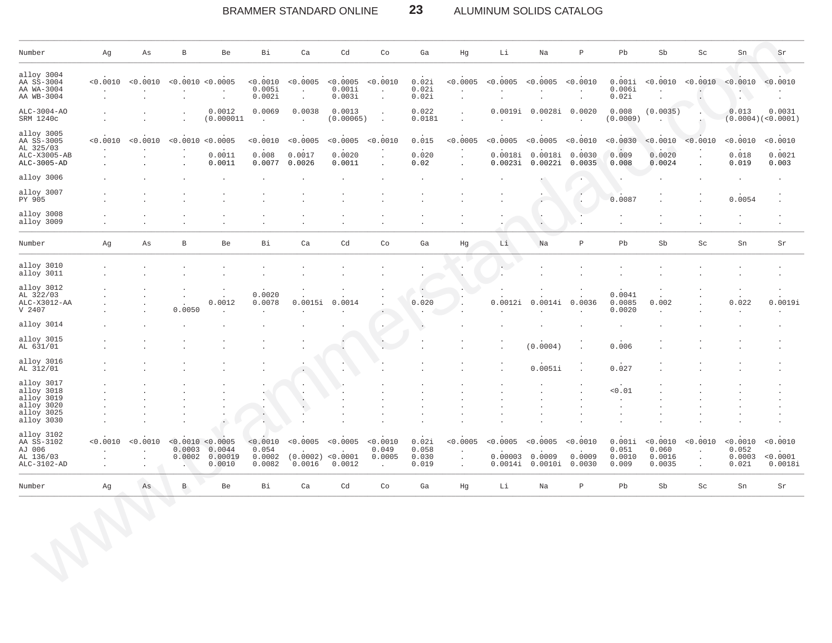### 23 BRAMMER STANDARD ONLINE ALUMINUM SOLIDS CATALOG

| Number                                                         | Ag                                               | Αs                             | $\, {\bf B}$                          | Be                                                          | Bi                                    | Ca                                      | Cd                                    | Co                                                  | Ga                               | Hg                                        | Li                   | Na                                                       | $\mathbf{P}$         | ${\tt Pb}$                         | Sb                                           | Sc                                        | ${\rm Sn}$                           | Sr                                      |
|----------------------------------------------------------------|--------------------------------------------------|--------------------------------|---------------------------------------|-------------------------------------------------------------|---------------------------------------|-----------------------------------------|---------------------------------------|-----------------------------------------------------|----------------------------------|-------------------------------------------|----------------------|----------------------------------------------------------|----------------------|------------------------------------|----------------------------------------------|-------------------------------------------|--------------------------------------|-----------------------------------------|
| alloy 3004<br>AA SS-3004<br>AA WA-3004<br>AA WB-3004           | < 0.0010                                         | < 0.0010<br>$\cdot$            | < 0.0010 < 0.0005                     | $\cdot$                                                     | < 0.0010<br>0.005i<br>0.002i          | < 0.0005<br>$\cdot$<br>$\cdot$          | < 0.0005 < 0.0010<br>0.001i<br>0.003i | $\cdot$<br>$\cdot$                                  | 0.02i<br>0.02i<br>0.02i          | < 0.0005<br>$\blacksquare$<br>$\cdot$     | $\cdot$<br>$\bullet$ | $< 0.0005$ $< 0.0005$ $< 0.0010$<br>$\cdot$<br>$\cdot$   | $\cdot$<br>$\cdot$   | 0.001i<br>0.006i<br>0.02i          | $\cdot$                                      | $< 0.0010$ $< 0.0010$ $< 0.0010$          | $\mathbf{L}$<br>$\blacksquare$       | < 0.0010                                |
| ALC-3004-AO<br>SRM 1240c                                       |                                                  |                                |                                       | 0.0012<br>(0.000011                                         | 0.0069<br>$\sim$                      | 0.0038<br>$\ddot{\phantom{a}}$          | 0.0013<br>(0.00065)                   | $\ddot{\phantom{a}}$<br>$\overline{a}$              | 0.022<br>0.0181                  | $\blacksquare$<br>$\mathbf{r}$            | $\mathbf{r}$         | 0.0019i 0.0028i 0.0020                                   | $\ddot{\phantom{a}}$ | 0.008<br>(0.0009)                  | (0.0035)                                     |                                           | 0.013                                | 0.0031<br>(0.0004)( <sub>0.0001</sub> ) |
| alloy 3005<br>AA SS-3005<br>AL 325/03                          | < 0.0010<br>n.                                   | < 0.0010                       | < 0.0010                              | < 0.0005<br>$\sim$                                          | < 0.0010                              | < 0.0005                                | < 0.0005                              | < 0.0010                                            | 0.015<br>$\sim$                  | < 0.0005<br>$\cdot$                       | < 0.0005             | < 0.0005                                                 | < 0.0010             | < 0.0030                           | < 0.0010<br>$\sim$                           | < 0.0010<br>$\bullet$                     | < 0.0010<br>$\ddot{\phantom{a}}$     | < 0.0010                                |
| ALC-X3005-AB<br>ALC-3005-AD                                    |                                                  |                                |                                       | 0.0011<br>0.0011                                            | 0.008<br>0.0077                       | 0.0017<br>0.0026                        | 0.0020<br>0.0011                      | $\cdot$                                             | 0.020<br>0.02                    | $\cdot$<br>$\ddot{\phantom{a}}$           |                      | 0.0018i 0.0018i<br>0.0023i 0.0022i 0.0035                | 0.0030               | 0.009<br>0.008                     | 0.0020<br>0.0024                             | $\ddot{\phantom{a}}$                      | 0.018<br>0.019                       | 0.0021<br>0.003                         |
| alloy 3006                                                     |                                                  |                                |                                       |                                                             |                                       |                                         |                                       |                                                     |                                  |                                           |                      |                                                          |                      |                                    |                                              |                                           | $\cdot$                              |                                         |
| alloy 3007<br>PY 905                                           |                                                  |                                |                                       |                                                             |                                       |                                         |                                       |                                                     |                                  |                                           |                      | $\cdot$                                                  |                      | 0.0087                             |                                              |                                           | 0.0054                               |                                         |
| alloy 3008<br>alloy 3009                                       |                                                  |                                |                                       |                                                             |                                       |                                         |                                       |                                                     |                                  |                                           | $\blacksquare$       | $\cdot$                                                  |                      | $\cdot$<br>$\cdot$                 | $\ddot{\phantom{0}}$<br>$\ddot{\phantom{0}}$ |                                           | $\cdot$<br>$\cdot$                   | $\cdot$                                 |
| Number                                                         | Ag                                               | Αs                             | $\, {\bf B}$                          | Be                                                          | Вi                                    | Ca                                      | Cd                                    | Co                                                  | Ga                               | Ηg                                        | Li                   | Na                                                       | $\mathbf{P}$         | Pb                                 | Sb                                           | Sc                                        | ${\rm Sn}$                           | Sr                                      |
| alloy 3010<br>alloy 3011                                       |                                                  |                                |                                       |                                                             |                                       |                                         |                                       |                                                     |                                  | $\bullet$                                 | $\sim$ $-$           | $\lambda$                                                |                      |                                    |                                              |                                           |                                      |                                         |
| alloy 3012<br>AL 322/03                                        |                                                  |                                | $\cdot$                               | $\cdot$                                                     | 0.0020                                |                                         |                                       |                                                     | $\left( \cdot \right)$           |                                           |                      |                                                          |                      | 0.0041                             |                                              |                                           |                                      |                                         |
| ALC-X3012-AA<br>V 2407                                         |                                                  | $\cdot$<br>$\cdot$             | 0.0050                                | 0.0012                                                      | 0.0078<br>$\sim$                      | 0.0015i                                 | 0.0014                                |                                                     | 0.020<br>$\sim$                  |                                           | 0.0012i<br>$\bullet$ | 0.0014i                                                  | 0.0036<br>$\lambda$  | 0.0085<br>0.0020                   | 0.002<br>$\cdot$                             |                                           | 0.022<br>$\cdot$                     | 0.0019i                                 |
| alloy 3014                                                     |                                                  |                                |                                       |                                                             |                                       |                                         |                                       |                                                     | $\cdot$                          |                                           |                      |                                                          | $\cdot$              | $\cdot$                            |                                              |                                           |                                      |                                         |
| alloy 3015<br>AL 631/01                                        |                                                  |                                |                                       |                                                             |                                       |                                         |                                       | $\cdot$                                             |                                  |                                           | $\cdot$<br>$\cdot$   | (0.0004)                                                 | $\cdot$              | 0.006                              |                                              |                                           |                                      |                                         |
| alloy 3016<br>AL 312/01                                        |                                                  |                                |                                       |                                                             |                                       |                                         |                                       |                                                     |                                  |                                           | $\bullet$            | 0.0051i                                                  |                      | 0.027                              |                                              |                                           |                                      |                                         |
| alloy 3017<br>alloy 3018                                       |                                                  |                                |                                       |                                                             |                                       |                                         |                                       |                                                     |                                  |                                           |                      | $\lambda$                                                |                      | 0.01                               |                                              |                                           |                                      |                                         |
| alloy 3019<br>alloy 3020                                       |                                                  |                                |                                       |                                                             |                                       |                                         |                                       |                                                     |                                  |                                           |                      |                                                          |                      | $\mathbf{r}$                       |                                              |                                           |                                      |                                         |
| alloy 3025<br>alloy 3030                                       |                                                  |                                |                                       | $\bullet$                                                   | $\cdot$                               |                                         |                                       |                                                     |                                  |                                           |                      | $\cdot$                                                  |                      |                                    |                                              |                                           |                                      |                                         |
| alloy 3102<br>AA SS-3102<br>AJ 006<br>AL 136/03<br>ALC-3102-AD | < 0.0010<br>$\cdot$<br>$\cdot$<br>$\blacksquare$ | < 0.0010<br>$\cdot$<br>$\cdot$ | 0.0003<br>$\mathcal{L}_{\mathcal{A}}$ | < 0.0010 < 0.0005<br>0.0044<br>$0.0002$ $0.00019$<br>0.0010 | < 0.0010<br>0.054<br>0.0002<br>0.0082 | < 0.0005<br>(0.0002) < 0.0001<br>0.0016 | < 0.0005<br>0.0012                    | < 0.0010<br>0.049<br>0.0005<br>$\ddot{\phantom{a}}$ | 0.02i<br>0.058<br>0.030<br>0.019 | < 0.0005<br>$\cdot$<br>$\cdot$<br>$\cdot$ | < 0.0005             | < 0.0005<br>$0.00003$ 0.0009<br>$0.0014i$ 0.0010i 0.0030 | < 0.0010<br>0.0009   | 0.001i<br>0.051<br>0.0010<br>0.009 | < 0.0010<br>0.060<br>0.0016<br>0.0035        | < 0.0010<br>$\cdot$<br>$\cdot$<br>$\cdot$ | < 0.0010<br>0.052<br>0.0003<br>0.021 | < 0.0010<br>< 0.0001<br>0.0018i         |
| Number                                                         | Ag                                               | As                             | $\, {\bf B}$                          | Be                                                          | Bi                                    | Ca                                      | Cd                                    | $\rm{Co}$                                           | Ga                               | Hg                                        | Li                   | Na                                                       | $\, {\bf P}$         | Pb                                 | Sb                                           | $\operatorname{Sc}$                       | ${\rm Sn}$                           | Sr                                      |
|                                                                |                                                  |                                | $\langle \rangle$                     |                                                             |                                       |                                         |                                       |                                                     |                                  |                                           |                      |                                                          |                      |                                    |                                              |                                           |                                      |                                         |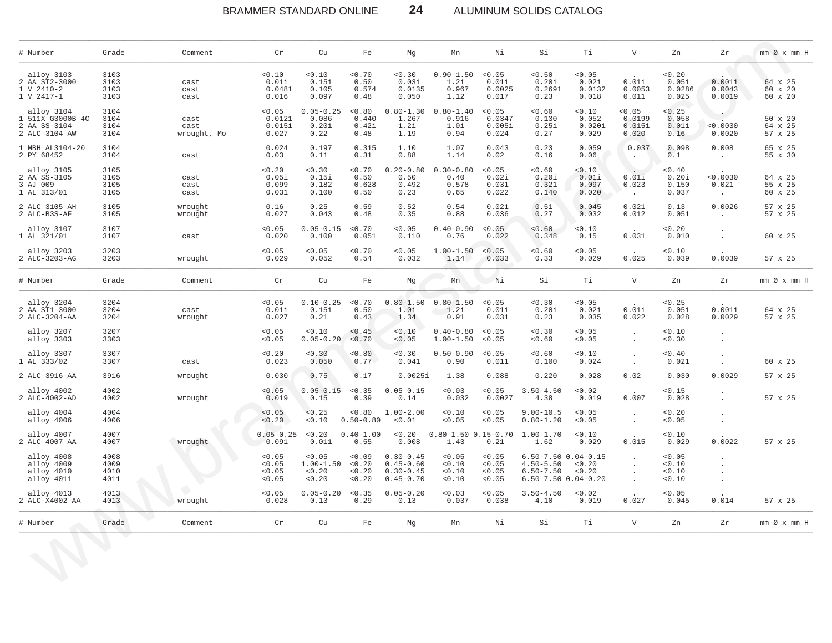BRAMMER STANDARD ONLINE

ALUMINUM SOLIDS CATALOG

| # Number                                                        | Grade                        | Comment                     | Cr                                   | Cu                                          | Fe                                 | Mg                                                               | Mn                                     | Νi                                   | Si                                                                                       | Тi                                 | $\mathbf{V}$                        | Zn                                | Zr                             | $mm \oslash x$ $mm$ H                |
|-----------------------------------------------------------------|------------------------------|-----------------------------|--------------------------------------|---------------------------------------------|------------------------------------|------------------------------------------------------------------|----------------------------------------|--------------------------------------|------------------------------------------------------------------------------------------|------------------------------------|-------------------------------------|-----------------------------------|--------------------------------|--------------------------------------|
| alloy 3103<br>2 AA ST2-3000<br>1 V 2410-2<br>1 V 2417-1         | 3103<br>3103<br>3103<br>3103 | cast<br>cast<br>cast        | 0.10<br>0.01i<br>0.0481<br>0.016     | 0.10<br>0.15i<br>0.105<br>0.097             | 0.70<br>0.50<br>0.574<br>0.48      | < 0.30<br>0.03i<br>0.0135<br>0.050                               | $0.90 - 1.50$<br>1.2i<br>0.967<br>1.12 | < 0.05<br>0.01i<br>0.0025<br>0.017   | < 0.50<br>0.20i<br>0.2691<br>0.23                                                        | < 0.05<br>0.02i<br>0.0132<br>0.018 | 0.01i<br>0.0053<br>0.011            | 0.20<br>0.05i<br>0.0286<br>0.025  | 0.001i<br>0.0043<br>0.0019     | 64 x 25<br>60 x 20<br>$60 \times 20$ |
| alloy 3104<br>1 511X G3000B 4C<br>2 AA SS-3104<br>2 ALC-3104-AW | 3104<br>3104<br>3104<br>3104 | cast<br>cast<br>wrought, Mo | < 0.05<br>0.0121<br>0.015i<br>0.027  | $0.05 - 0.25$<br>0.086<br>0.20i<br>0.22     | < 0.80<br>0.440<br>0.42i<br>0.48   | $0.80 - 1.30$<br>1.267<br>1.2i<br>1.19                           | $0.80 - 1.40$<br>0.916<br>1.0i<br>0.94 | < 0.05<br>0.0347<br>0.005i<br>0.024  | 0.60<br>0.130<br>0.25i<br>0.27                                                           | < 0.10<br>0.052<br>0.020i<br>0.029 | < 0.05<br>0.0199<br>0.015i<br>0.020 | < 0.25<br>0.058<br>0.01i<br>0.16  | < 0.0030<br>0.0020             | 50 x 20<br>64 x 25<br>57 x 25        |
| 1 MBH AL3104-20<br>2 PY 68452                                   | 3104<br>3104                 | cast                        | 0.024<br>0.03                        | 0.197<br>0.11                               | 0.315<br>0.31                      | 1.10<br>0.88                                                     | 1.07<br>1.14                           | 0.043<br>0.02                        | 0.23<br>0.16                                                                             | 0.059<br>0.06                      | 0.037<br>$\cdot$                    | 0.098<br>0.1                      | 0.008<br>$\sim$                | 65 x 25<br>55 x 30                   |
| alloy 3105<br>2 AA SS-3105<br>3 AJ 009<br>1 AL 313/01           | 3105<br>3105<br>3105<br>3105 | cast<br>cast<br>cast        | < 0.20<br>0.05i<br>0.099<br>0.031    | 0.30<br>0.15i<br>0.182<br>0.100             | < 0.70<br>0.50<br>0.628<br>0.50    | $0.20 - 0.80$<br>0.50<br>0.492<br>0.23                           | $0.30 - 0.80$<br>0.40<br>0.578<br>0.65 | < 0.05<br>0.02i<br>0.031<br>0.022    | < 0.60<br>0.20i<br>0.321<br>0.140                                                        | < 0.10<br>0.01i<br>0.097<br>0.020  | 0.01i<br>0.023<br>$\cdot$           | < 0.40<br>0.20i<br>0.150<br>0.037 | < 0.0030<br>0.021<br>$\sim$    | 64 x 25<br>55 x 25<br>60 x 25        |
| 2 ALC-3105-AH<br>2 ALC-B3S-AF                                   | 3105<br>3105                 | wrought<br>wrought          | 0.16<br>0.027                        | 0.25<br>0.043                               | 0.59<br>0.48                       | 0.52<br>0.35                                                     | 0.54<br>0.88                           | 0.021<br>0.036                       | 0.51<br>0.27                                                                             | 0.045<br>0.032                     | 0.021<br>0.012                      | 0.13<br>0.051                     | 0.0026<br>$\sim$               | 57 x 25<br>57 x 25                   |
| alloy 3107<br>1 AL 321/01                                       | 3107<br>3107                 | cast                        | < 0.05<br>0.020                      | $0.05 - 0.15$<br>0.100                      | < 0.70<br>0.051                    | < 0.05<br>0.110                                                  | $0.40 - 0.90$<br>0.76                  | < 0.05<br>0.022                      | < 0.60<br>0.348                                                                          | < 0.10<br>0.15                     | 0.031                               | < 0.20<br>0.010                   | $\ddot{\phantom{a}}$<br>$\sim$ | 60 x 25                              |
| alloy 3203<br>2 ALC-3203-AG                                     | 3203<br>3203                 | wrought                     | < 0.05<br>0.029                      | < 0.05<br>0.052                             | 0.70<br>0.54                       | < 0.05<br>0.032                                                  | $1.00 - 1.50$<br>1.14                  | < 0.05<br>0.033                      | 0.60<br>0.33                                                                             | < 0.05<br>0.029                    | 0.025                               | 0.10<br>0.039                     | 0.0039                         | 57 x 25                              |
| # Number                                                        | Grade                        | Comment                     | Cr                                   | Cu                                          | Fe                                 | Mq                                                               | Mn                                     | Ni                                   | Si                                                                                       | Τi                                 | $\mathbf V$                         | Zn                                | Zr                             | mm Ø x mm H                          |
| alloy 3204<br>2 AA ST1-3000<br>2 ALC-3204-AA                    | 3204<br>3204<br>3204         | cast<br>wrought             | < 0.05<br>0.01i<br>0.027             | $0.10 - 0.25$<br>0.15i<br>0.21              | < 0.70<br>0.50<br>0.43             | $0.80 - 1.50$<br>1.0i<br>1.34                                    | $0.80 - 1.50$<br>1.2i<br>0.91          | < 0.05<br>0.01i<br>0.031             | 0.30<br>0.20i<br>0.23                                                                    | < 0.05<br>0.02i<br>0.035           | 0.01i<br>0.022                      | < 0.25<br>0.05i<br>0.028          | 0.001i<br>0.0029               | 64 x 25<br>57 x 25                   |
| alloy 3207<br>alloy 3303                                        | 3207<br>3303                 |                             | < 0.05<br>< 0.05                     | < 0.10<br>$0.05 - 0.20$                     | < 0.45<br>< 0.70                   | < 0.10<br>< 0.05                                                 | $0.40 - 0.80$<br>$1.00 - 1.50$         | < 0.05<br>< 0.05                     | < 0.30<br>< 0.60                                                                         | < 0.05<br>< 0.05                   |                                     | < 0.10<br>< 0.30                  |                                |                                      |
| alloy 3307<br>1 AL 333/02                                       | 3307<br>3307                 | cast                        | < 0.20<br>0.023                      | 0.30<br>0.050                               | 0.80<br>0.77                       | < 0.30<br>0.041                                                  | $0.50 - 0.90$<br>0.90                  | < 0.05<br>0.011                      | < 0.60<br>0.100                                                                          | < 0.10<br>0.024                    | $\ddot{\phantom{a}}$<br>$\Box$      | < 0.40<br>0.021                   |                                | 60 x 25                              |
| 2 ALC-3916-AA                                                   | 3916                         | wrought                     | 0.030                                | 0.75                                        | 0.17                               | 0.0025i                                                          | 1.38                                   | 0.088                                | 0.220                                                                                    | 0.028                              | 0.02                                | 0.030                             | 0.0029                         | 57 x 25                              |
| alloy 4002<br>2 ALC-4002-AD                                     | 4002<br>4002                 | wrought                     | < 0.05<br>0.019                      | $0.05 - 0.15$<br>0.15                       | < 0.35<br>0.39                     | $0.05 - 0.15$<br>0.14                                            | < 0.03<br>0.032                        | < 0.05<br>0.0027                     | $3.50 - 4.50$<br>4.38                                                                    | < 0.02<br>0.019                    | 0.007                               | < 0.15<br>0.028                   |                                | 57 x 25                              |
| alloy 4004<br>alloy 4006                                        | 4004<br>4006                 |                             | < 0.05<br>< 0.20                     | < 0.25<br>0.10                              | $0.8 - 0$<br>$0.50 - 0.80$         | $1.00 - 2.00$<br>< 0.01                                          | < 0.10<br>< 0.05                       | < 0.05<br>0.05                       | $9.00 - 10.5$<br>$0.80 - 1.20$                                                           | < 0.05<br>< 0.05                   | $\cdot$<br>$\bullet$                | 0.20<br>< 0.05                    | ٠.                             |                                      |
| alloy 4007<br>2 ALC-4007-AA                                     | 4007<br>4007                 | wrought                     | $0.05 - 0.25$<br>0.091               | < 0.20<br>0.011                             | $0.40 - 1.00$<br>0.55              | 0.20<br>0.008                                                    | $0.80 - 1.50$ $0.15 - 0.70$<br>1.43    | 0.21                                 | $1.00 - 1.70$<br>1.62                                                                    | < 0.10<br>0.029                    | 0.015                               | 0.10<br>0.029                     | 0.0022                         | 57 x 25                              |
| alloy 4008<br>alloy 4009<br>alloy 4010<br>alloy 4011            | 4008<br>4009<br>4010<br>4011 |                             | < 0.05<br>< 0.05<br>< 0.05<br>< 0.05 | < 0.05<br>$1.00 - 1.50$<br>< 0.20<br>< 0.20 | < 0.09<br>< 0.20<br>0.20<br>< 0.20 | $0.30 - 0.45$<br>$0.45 - 0.60$<br>$0.30 - 0.45$<br>$0.45 - 0.70$ | < 0.05<br>< 0.10<br>< 0.10<br>< 0.10   | < 0.05<br>< 0.05<br>< 0.05<br>< 0.05 | $6.50 - 7.50$ $0.04 - 0.15$<br>$4.50 - 5.50$<br>$6.50 - 7.50$<br>$6.50 - 7.50$ 0.04-0.20 | < 0.20<br>< 0.20                   | $\cdot$<br>$\cdot$<br>$\cdot$       | < 0.05<br>0.10<br>< 0.10<br>0.10  | $\cdot$<br>$\cdot$<br>$\cdot$  |                                      |
| alloy 4013<br>2 ALC-X4002-AA                                    | 4013<br>4013                 | wrought                     | < 0.05<br>0.028                      | $0.05 - 0.20$<br>0.13                       | < 0.35<br>0.29                     | $0.05 - 0.20$<br>0.13                                            | < 0.03<br>0.037                        | < 0.05<br>0.038                      | $3.50 - 4.50$<br>4.10                                                                    | < 0.02<br>0.019                    | 0.027                               | < 0.05<br>0.045                   | 0.014                          | 57 x 25                              |
| # Number                                                        | Grade                        | Comment                     | $\operatorname{\sf Cr}$              | Cu                                          | Fe                                 | Mg                                                               | Mn                                     | Νi                                   | Si                                                                                       | Τi                                 | $\mathbf V$                         | Zn                                | Zr                             | $mm$ Ø $x$ $mm$ H                    |
|                                                                 |                              |                             |                                      |                                             |                                    |                                                                  |                                        |                                      |                                                                                          |                                    |                                     |                                   |                                |                                      |

 $24$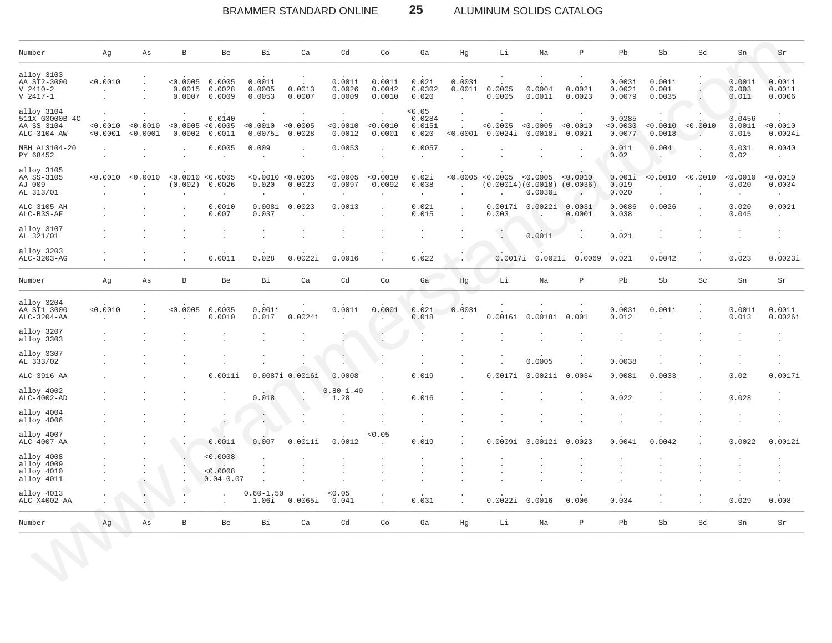### $25\phantom{.0}$ BRAMMER STANDARD ONLINE ALUMINUM SOLIDS CATALOG

| Number                                                    | Αg                    | Αs                              | В                                      | Be                                    | Bi                                    | Ca                             | Cd                            | Co                                                   | Ga                                                | Hg                                                       | Li                                      | Na                  | $\, {\bf P}$                   | Pb                         | Sb                        | Sc                                           | Sn                                        | Sr                            |
|-----------------------------------------------------------|-----------------------|---------------------------------|----------------------------------------|---------------------------------------|---------------------------------------|--------------------------------|-------------------------------|------------------------------------------------------|---------------------------------------------------|----------------------------------------------------------|-----------------------------------------|---------------------|--------------------------------|----------------------------|---------------------------|----------------------------------------------|-------------------------------------------|-------------------------------|
| alloy 3103<br>AA ST2-3000<br>$V$ 2410-2<br>$V 2417 - 1$   | < 0.0010<br>$\bullet$ | $\cdot$<br>$\cdot$<br>$\bullet$ | < 0.0005<br>0.0015<br>0.0007           | 0.0005<br>0.0028<br>0.0009            | 0.001i<br>0.0005<br>0.0053            | 0.0013<br>0.0007               | 0.001i<br>0.0026<br>0.0009    | 0.001i<br>0.0042<br>0.0010                           | 0.02i<br>0.0302<br>0.020                          | 0.003i<br>0.0011<br>$\ddot{\phantom{a}}$                 | 0.0005<br>0.0005                        | 0.0004<br>0.0011    | 0.0021<br>0.0023               | 0.003i<br>0.0021<br>0.0079 | 0.001i<br>0.001<br>0.0035 | $\ddot{\phantom{a}}$<br>$\ddot{\phantom{a}}$ | 0.001i<br>0.003<br>0.011                  | 0.001i<br>0.0011<br>0.0006    |
| alloy 3104<br>511X G3000B 4C<br>AA SS-3104<br>ALC-3104-AW | < 0.0010<br>< 0.0001  | < 0.0010<br>< 0.0001            | < 0.0005 < 0.0005<br>0.0002            | 0.0140<br>0.0011                      | < 0.0010<br>0.0075i                   | $\cdot$<br>< 0.0005<br>0.0028  | $\cdot$<br>< 0.0010<br>0.0012 | $\cdot$<br>< 0.0010<br>0.0001                        | < 0.05<br>0.0284<br>0.015i<br>0.020               | $\ddot{\phantom{a}}$<br>$\cdot$<br>< 0.0001              | < 0.0005<br>0.0024i                     | < 0.0005<br>0.0018i | < 0.0010<br>0.0021             | 0.0285<br>0.0030<br>0.0077 | 0.0018                    | < 0.0010 < 0.0010<br>$\cdot$                 | 0.0456<br>0.001i<br>0.015                 | < 0.0010<br>0.0024i           |
| MBH AL3104-20<br>PY 68452                                 | $\cdot$               | $\cdot$<br>$\cdot$              | $\cdot$                                | 0.0005                                | 0.009                                 | $\blacksquare$<br>$\cdot$      | 0.0053<br>$\cdot$             | $\ddot{\phantom{a}}$<br>$\cdot$                      | 0.0057<br>$\bullet$                               | $\ddot{\phantom{a}}$                                     |                                         |                     |                                | 0.011<br>0.02              | 0.004<br>۰.               |                                              | 0.031<br>0.02                             | 0.0040<br>$\cdot$             |
| alloy 3105<br>AA SS-3105<br>AJ 009<br>AL 313/01           | < 0.0010              | < 0.0010<br>$\Delta$<br>$\cdot$ | < 0.0010 < 0.0005<br>(0.002)<br>$\sim$ | 0.0026<br>$\sim$                      | < 0.0010 < 0.0005<br>0.020<br>$\cdot$ | 0.0023<br>$\ddot{\phantom{a}}$ | < 0.0005<br>0.0097<br>$\cdot$ | < 0.0010<br>0.0092<br>$\ddot{\phantom{a}}$           | 0.02i<br>0.038<br>$\ddot{\phantom{a}}$            | < 0.0005<br>$\ddot{\phantom{a}}$<br>$\ddot{\phantom{a}}$ | < 0.0005<br>(0.00014)(0.0018)<br>$\sim$ | < 0.0005<br>0.0030i | < 0.0010<br>(0.0036)<br>$\sim$ | 0.001i<br>0.019<br>0.020   | < 0.0010<br>$\cdot$<br>÷. | < 0.0010                                     | < 0.0010<br>0.020<br>$\ddot{\phantom{0}}$ | < 0.0010<br>0.0034<br>$\cdot$ |
| ALC-3105-AH<br>ALC-B3S-AF                                 |                       |                                 |                                        | 0.0010<br>0.007                       | 0.0081<br>0.037                       | 0.0023<br>$\sim$               | 0.0013<br>$\sim$              | $\overline{\phantom{a}}$<br>$\overline{\phantom{a}}$ | 0.021<br>0.015                                    | $\ddot{\phantom{a}}$<br>$\sim$                           | 0.0017i<br>0.003                        | 0.0022i             | 0.0031<br>0.0001               | 0.0086<br>0.038            | 0.0026<br>$\overline{a}$  | $\sim$                                       | 0.020<br>0.045                            | 0.0021<br>$\sim$              |
| alloy 3107<br>AL 321/01                                   |                       |                                 |                                        |                                       |                                       |                                |                               |                                                      | $\cdot$                                           |                                                          | o.                                      | 0.0011              |                                | 0.021                      |                           |                                              |                                           |                               |
| alloy 3203<br>ALC-3203-AG                                 |                       |                                 |                                        | 0.0011                                | 0.028                                 | 0.0022i                        | 0.0016                        |                                                      | 0.022                                             |                                                          | 0.0017i                                 | 0.0021i             | 0.0069                         | 0.021                      | 0.0042                    |                                              | 0.023                                     | 0.0023i                       |
| Number                                                    | Αg                    | As                              | $\, {\bf B}$                           | Be                                    | Bi                                    | Ca                             | Cd                            | Co                                                   | Ga                                                | Hg                                                       | Li                                      | Na                  | $\, {\bf P}$                   | Pb                         | Sb                        | Sc                                           | Sn                                        | $\rm Sr$                      |
| alloy 3204<br>AA ST1-3000<br>ALC-3204-AA                  | 0.0010                | $\cdot$<br>$\cdot$              | < 0.0005<br>$\ddot{\phantom{a}}$       | 0.0005<br>0.0010                      | 0.001i<br>0.017                       | 0.0024i                        | 0.001i                        | 0.0001<br>٠.                                         | 0.02i<br>0.018                                    | 0.003i                                                   | 0.0016i                                 | 0.0018i             | 0.001                          | 0.003i<br>0.012            | 0.001i                    | $\cdot$<br>$\ddot{\phantom{0}}$              | 0.001i<br>0.013                           | 0.001i<br>0.0026i             |
| alloy 3207<br>alloy 3303                                  |                       |                                 |                                        |                                       |                                       |                                | $\cdot$                       | $\cdot$                                              | $\cdot$<br>$\mathbf{r}$                           |                                                          |                                         |                     | $\cdot$                        | $\bullet$                  |                           |                                              |                                           |                               |
| alloy 3307<br>AL 333/02                                   |                       |                                 |                                        |                                       |                                       |                                | $\cdot$                       |                                                      | $\cdot$<br>$\cdot$                                |                                                          |                                         | 0.0005              |                                | 0.0038                     |                           |                                              | $\cdot$                                   | $\cdot$                       |
| ALC-3916-AA                                               |                       |                                 |                                        | 0.0011i                               | 0.0087i                               | 0.0016i                        | 0.0008                        |                                                      | 0.019                                             |                                                          | 0.0017i                                 | 0.0021i             | 0.0034                         | 0.0081                     | 0.0033                    |                                              | 0.02                                      | 0.0017i                       |
| alloy 4002<br>ALC-4002-AD                                 |                       |                                 |                                        |                                       | 0.018                                 | $\cdot$<br>$\Delta$            | $0.80 - 1.40$<br>1.28         |                                                      | 0.016                                             |                                                          |                                         |                     |                                | 0.022                      |                           |                                              | 0.028                                     |                               |
| alloy 4004<br>alloy 4006                                  |                       |                                 |                                        | $\ddot{\phantom{0}}$                  | $\cdot$                               |                                | $\cdot$                       |                                                      | $\bullet$<br>$\Box$                               |                                                          |                                         |                     |                                |                            |                           |                                              | $\cdot$                                   |                               |
| alloy 4007<br>ALC-4007-AA                                 |                       |                                 |                                        | 0.0011                                | 0.007                                 | 0.0011i                        | 0.0012                        | 0.05                                                 | 0.019                                             |                                                          | 0.0009i                                 | .0012i<br>$\Omega$  | 0.0023                         | 0.0041                     | 0.0042                    |                                              | 0.0022                                    | 0.0012i                       |
| alloy 4008<br>alloy 4009<br>alloy 4010<br>alloy 4011      |                       |                                 | $\ddot{\phantom{a}}$                   | < 0.0008<br>< 0.0008<br>$0.04 - 0.07$ |                                       |                                |                               |                                                      | $\bullet$<br>$\sim$<br>$\epsilon$<br>$\mathbf{r}$ |                                                          |                                         |                     |                                | ٠<br>÷                     |                           |                                              | $\cdot$<br>$\overline{\phantom{a}}$       |                               |
| alloy 4013<br>ALC-X4002-AA                                |                       | $\hat{\Gamma}$                  |                                        |                                       | $0.60 - 1.50$<br>1.06i                | 0.0065i                        | < 0.05<br>0.041               | $\ddot{\phantom{0}}$                                 | 0.031                                             |                                                          | 0.0022i                                 | 0.0016              | 0.006                          | 0.034                      |                           |                                              | 0.029                                     | 0.008                         |
| Number                                                    | Ag                    | As                              | $\, {\bf B}$                           | Be                                    | Bi                                    | Ca                             | Cd                            | Co                                                   | Ga                                                | Hg                                                       | Li                                      | Na                  | $\, {\bf P}$                   | Pb                         | Sb                        | Sc                                           | Sn                                        | Sr                            |
|                                                           |                       |                                 |                                        |                                       |                                       |                                |                               |                                                      |                                                   |                                                          |                                         |                     |                                |                            |                           |                                              |                                           |                               |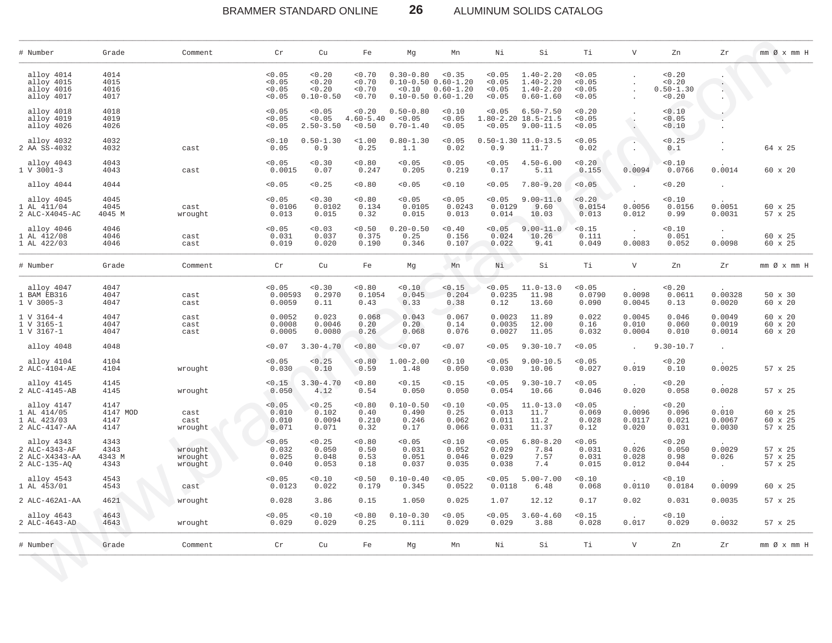# BRAMMER STANDARD ONLINE **26** ALUMINUM SOLIDS CATALOG

| # Number                                                      | Grade                            | Comment                       | Cr                                   | Cu                                          | Fe                               | Mg                                                                                    | Mn                              | Νi                                   | Si                                                               | Тi                                   | $\boldsymbol{\mathrm{V}}$ | Zn                                      | Zr                         | $mm \oslash x$ $mm$ H         |
|---------------------------------------------------------------|----------------------------------|-------------------------------|--------------------------------------|---------------------------------------------|----------------------------------|---------------------------------------------------------------------------------------|---------------------------------|--------------------------------------|------------------------------------------------------------------|--------------------------------------|---------------------------|-----------------------------------------|----------------------------|-------------------------------|
| alloy 4014<br>alloy 4015<br>alloy 4016<br>alloy 4017          | 4014<br>4015<br>4016<br>4017     |                               | < 0.05<br>< 0.05<br>< 0.05<br>< 0.05 | < 0.20<br>< 0.20<br>< 0.20<br>$0.10 - 0.50$ | 0.70<br>0.70<br>< 0.70<br>< 0.70 | $0.30 - 0.80$<br>$0.10 - 0.50$ $0.60 - 1.20$<br>< 0.10<br>$0.10 - 0.50$ $0.60 - 1.20$ | < 0.35<br>$0.60 - 1.20$         | < 0.05<br>< 0.05<br>< 0.05<br>< 0.05 | $1.40 - 2.20$<br>$1.40 - 2.20$<br>$1.40 - 2.20$<br>$0.60 - 1.60$ | < 0.05<br>< 0.05<br>< 0.05<br>< 0.05 |                           | < 0.20<br>0.20<br>$0.50 - 1.30$<br>0.20 |                            |                               |
| alloy 4018<br>alloy 4019<br>alloy 4026                        | 4018<br>4019<br>4026             |                               | < 0.05<br>< 0.05<br>< 0.05           | < 0.05<br>< 0.05<br>$2.50 - 3.50$           | 0.20<br>$4.60 - 5.40$<br>< 0.50  | $0.50 - 0.80$<br>< 0.05<br>$0.70 - 1.40$                                              | 0.10<br>0.05<br>< 0.05          | < 0.05<br>< 0.05                     | $6.50 - 7.50$<br>$1.80 - 2.20$ $18.5 - 21.5$<br>$9.00 - 11.5$    | < 0.20<br>< 0.05<br>0.05             |                           | 0.10<br>0.05<br>0.10                    |                            |                               |
| alloy 4032<br>2 AA SS-4032                                    | 4032<br>4032                     | cast                          | < 0.10<br>0.05                       | $0.50 - 1.30$<br>0.9                        | 1.00<br>0.25                     | $0.80 - 1.30$<br>1.1                                                                  | < 0.05<br>0.02                  | 0.9                                  | $0.50 - 1.30 11.0 - 13.5$<br>11.7                                | < 0.05<br>0.02                       | $\cdot$ .                 | < 0.25<br>0.1                           |                            | 64 x 25                       |
| alloy 4043<br>$1 V 3001 - 3$                                  | 4043<br>4043                     | cast                          | < 0.05<br>0.0015                     | < 0.30<br>0.07                              | 0.80<br>0.247                    | < 0.05<br>0.205                                                                       | < 0.05<br>0.219                 | 0.05<br>0.17                         | $4.50 - 6.00$<br>5.11                                            | 0.20<br>0.155                        | 0.0094                    | 0.10<br>0.0766                          | 0.0014                     | 60 x 20                       |
| alloy 4044                                                    | 4044                             |                               | < 0.05                               | < 0.25                                      | 0.80                             | < 0.05                                                                                | 0.10                            | < 0.05                               | $7.80 - 9.20$                                                    | < 0.05                               |                           | 0.20                                    |                            |                               |
| alloy 4045<br>1 AL 411/04<br>2 ALC-X4045-AC                   | 4045<br>4045<br>4045 M           | cast<br>wrought               | < 0.05<br>0.0106<br>0.013            | 0.30<br>0.0102<br>0.015                     | < 0.80<br>0.134<br>0.32          | < 0.05<br>0.0105<br>0.015                                                             | 0.05<br>0.0243<br>0.013         | 0.05<br>0.0129<br>0.014              | $9.00 - 11.0$<br>9.60<br>10.03                                   | < 0.20<br>0.0154<br>0.013            | 0.0056<br>0.012           | 0.10<br>0.0156<br>0.99                  | 0.0051<br>0.0031           | 60 x 25<br>57 x 25            |
| alloy 4046<br>1 AL 412/08<br>1 AL 422/03                      | 4046<br>4046<br>4046             | cast<br>cast                  | < 0.05<br>0.031<br>0.019             | < 0.03<br>0.037<br>0.020                    | 0.50<br>0.375<br>0.190           | $0.20 - 0.50$<br>0.25<br>0.346                                                        | 0.40<br>0.156<br>0.107          | < 0.05<br>0.024<br>0.022             | $9.00 - 11.0$<br>10.26<br>9.41                                   | < 0.15<br>0.111<br>0.049             | 0.0083                    | 0.10<br>0.051<br>0.052                  | 0.0098                     | 60 x 25<br>60 x 25            |
| # Number                                                      | Grade                            | Comment                       | Cr                                   | Cu                                          | Fe                               | Mg                                                                                    | Mn                              | Ni                                   | Si                                                               | Тi                                   | $\mathbf v$               | Zn                                      | Ζr                         | $mm \oslash x$ $mm$ H         |
| alloy 4047<br>1 BAM EB316<br>1 V 3005-3                       | 4047<br>4047<br>4047             | cast<br>cast                  | < 0.05<br>0.00593<br>0.0059          | 0.30<br>0.2970<br>0.11                      | 0.80<br>0.1054<br>0.43           | < 0.10<br>0.045<br>0.33                                                               | < 0.15<br>0.204<br>0.38         | 0.05<br>0.0235<br>0.12               | $11.0 - 13.0$<br>11.98<br>13.60                                  | 0.05<br>0.0790<br>0.090              | 0.0098<br>0.0045          | 0.20<br>0.0611<br>0.13                  | 0.00328<br>0.0020          | 50 x 30<br>60 x 20            |
| 1 V 3164-4<br>1 V 3165-1<br>1 V 3167-1                        | 4047<br>4047<br>4047             | cast<br>cast<br>cast          | 0.0052<br>0.0008<br>0.0005           | 0.023<br>0.0046<br>0.0080                   | 0.068<br>0.20<br>0.26            | 0.043<br>0.20<br>0.068                                                                | 0.067<br>0.14<br>0.076          | 0.0023<br>0.0035<br>0.0027           | 11.89<br>12.00<br>11.05                                          | 0.022<br>0.16<br>0.032               | 0.0045<br>0.010<br>0.0004 | 0.046<br>0.060<br>0.010                 | 0.0049<br>0.0019<br>0.0014 | 60 x 20<br>60 x 20<br>60 x 20 |
| alloy 4048                                                    | 4048                             |                               | < 0.07                               | $3.30 - 4.70$                               | < 0.80                           | < 0.07                                                                                | < 0.07                          | < 0.05                               | $9.30 - 10.7$                                                    | 0.05                                 |                           | $9.30 - 10.7$                           | $\cdot$                    |                               |
| alloy 4104<br>2 ALC-4104-AE                                   | 4104<br>4104                     | wrought                       | < 0.05<br>0.030                      | < 0.25<br>0.10                              | < 0.80<br>0.59                   | $1.00 - 2.00$<br>1.48                                                                 | 0.10<br>0.050                   | < 0.05<br>0.030                      | $9.00 - 10.5$<br>10.06                                           | < 0.05<br>0.027                      | 0.019                     | 0.20<br>0.10                            | 0.0025                     | 57 x 25                       |
| alloy 4145<br>2 ALC-4145-AB                                   | 4145<br>4145                     | wrought                       | < 0.15<br>0.050                      | $3.30 - 4.70$<br>4.12                       | 0.80<br>0.54                     | < 0.15<br>0.050                                                                       | < 0.15<br>0.050                 | < 0.05<br>0.054                      | $9.30 - 10.7$<br>10.66                                           | < 0.05<br>0.046                      | 0.020                     | 0.20<br>0.058                           | 0.0028                     | 57 x 25                       |
| alloy 4147<br>1 AL 414/05<br>1 AL 423/03<br>2 ALC-4147-AA     | 4147<br>4147 MOD<br>4147<br>4147 | cast<br>cast<br>wrought       | < 0.05<br>0.010<br>0.010<br>0.071    | < 0.25<br>0.102<br>0.0094<br>0.071          | 0.80<br>0.40<br>0.210<br>0.32    | $0.10 - 0.50$<br>0.490<br>0.246<br>0.17                                               | 0.10<br>0.25<br>0.062<br>0.066  | < 0.05<br>0.013<br>0.011<br>0.031    | $11.0 - 13.0$<br>11.7<br>11.2<br>11.37                           | < 0.05<br>0.069<br>0.028<br>0.12     | 0.0096<br>0.0117<br>0.020 | 0.20<br>0.096<br>0.021<br>0.031         | 0.010<br>0.0067<br>0.0030  | 60 x 25<br>60 x 25<br>57 x 25 |
| alloy 4343<br>2 ALC-4343-AF<br>2 ALC-X4343-AA<br>2 ALC-135-AQ | 4343<br>4343<br>4343 M<br>4343   | wrought<br>wrought<br>wrought | < 0.05<br>0.032<br>0.025<br>0.040    | < 0.25<br>0.050<br>0.048<br>0.053           | 0.80<br>0.50<br>0.53<br>0.18     | < 0.05<br>0.031<br>0.051<br>0.037                                                     | 0.10<br>0.052<br>0.046<br>0.035 | < 0.05<br>0.029<br>0.029<br>0.038    | $6.80 - 8.20$<br>7.84<br>7.57<br>7.4                             | 0.05<br>0.031<br>0.031<br>0.015      | 0.026<br>0.028<br>0.012   | 0.20<br>0.050<br>0.98<br>0.044          | 0.0029<br>0.026<br>$\sim$  | 57 x 25<br>57 x 25<br>57 x 25 |
| alloy 4543<br>1 AL 453/01                                     | 4543<br>4543                     | cast                          | < 0.05<br>0.0123                     | < 0.10<br>0.022                             | < 0.50<br>0.179                  | $0.10 - 0.40$<br>0.345                                                                | < 0.05<br>0.0522                | < 0.05<br>0.0118                     | $5.00 - 7.00$<br>6.48                                            | 0.10<br>0.068                        | 0.0110                    | 0.10<br>0.0184                          | 0.0099                     | 60 x 25                       |
| 2 ALC-462A1-AA                                                | 4621                             | wrought                       | 0.028                                | 3.86                                        | 0.15                             | 1.050                                                                                 | 0.025                           | 1.07                                 | 12.12                                                            | 0.17                                 | 0.02                      | 0.031                                   | 0.0035                     | 57 x 25                       |
| alloy 4643<br>2 ALC-4643-AD                                   | 4643<br>4643                     | wrought                       | < 0.05<br>0.029                      | 0.10<br>0.029                               | < 0.80<br>0.25                   | $0.10 - 0.30$<br>0.11i                                                                | < 0.05<br>0.029                 | < 0.05<br>0.029                      | $3.60 - 4.60$<br>3.88                                            | < 0.15<br>0.028                      | 0.017                     | 0.10<br>0.029                           | 0.0032                     | 57 x 25                       |
| # Number                                                      | Grade                            | Comment                       | Cr                                   | Cu                                          | Fe                               | Mg                                                                                    | Mn                              | Νi                                   | Si                                                               | Тi                                   | V                         | Zn                                      | Zr                         | $mm \oslash x$ $mm$ H         |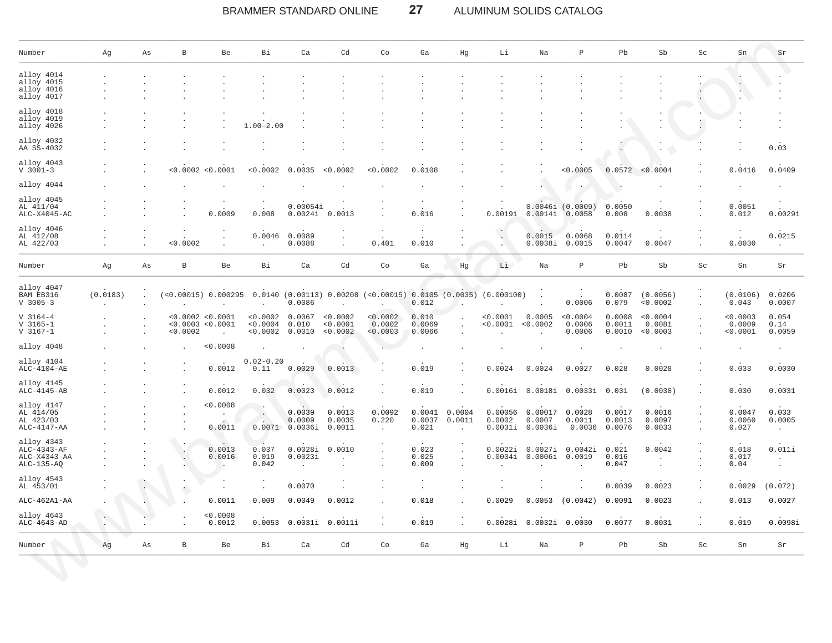### BRAMMER STANDARD ONLINE **27** ALUMINUM SOLIDS CATALOG

| Number                                                    | Αg       | Αs | B                                                  | Be                          | Bi                             | Ca                                       | Cd                             | Co                             | Ga                        | Hg               | Li                           | Na                           | $\, {\bf P}$                                                   | Pb                         | Sb                             | Sc | Sn                             | Sr                         |
|-----------------------------------------------------------|----------|----|----------------------------------------------------|-----------------------------|--------------------------------|------------------------------------------|--------------------------------|--------------------------------|---------------------------|------------------|------------------------------|------------------------------|----------------------------------------------------------------|----------------------------|--------------------------------|----|--------------------------------|----------------------------|
| alloy 4014                                                |          |    |                                                    |                             |                                |                                          |                                |                                |                           |                  |                              |                              |                                                                |                            |                                |    |                                |                            |
| alloy 4015<br>alloy 4016<br>alloy 4017                    |          |    |                                                    |                             |                                |                                          |                                |                                |                           |                  |                              |                              |                                                                |                            |                                |    |                                |                            |
| alloy 4018<br>alloy 4019<br>alloy 4026                    |          |    |                                                    |                             | $1.00 - 2.00$                  |                                          |                                |                                |                           |                  |                              |                              |                                                                |                            |                                |    |                                |                            |
| alloy 4032<br>AA SS-4032                                  |          |    |                                                    |                             |                                |                                          |                                |                                |                           |                  |                              |                              |                                                                |                            |                                |    |                                | 0.03                       |
| alloy 4043<br>$V$ 3001-3                                  |          |    | <0.0002 <0.0001                                    |                             | < 0.0002                       | 0.0035                                   | < 0.0002                       | 0.0002                         | 0.0108                    |                  |                              |                              | < 0.0005                                                       | 0.0572                     | < 0.0004                       |    | 0.0416                         | 0.0409                     |
| alloy 4044                                                |          |    |                                                    |                             |                                |                                          |                                |                                |                           |                  |                              |                              |                                                                |                            |                                |    |                                |                            |
| alloy 4045<br>AL 411/04<br>ALC-X4045-AC                   |          |    |                                                    | 0.0009                      | 0.008                          | 0.00054i<br>0.0024i                      | 0.0013                         |                                | 0.016                     |                  | 0.0019i                      | 0.0014i                      | $0.0046i$ $(0.0009)$<br>0.0058                                 | 0.0050<br>0.008            | 0.0038                         |    | 0.0051<br>0.012                | 0.0029i                    |
| alloy 4046<br>AL 412/08<br>AL 422/03                      |          |    | 0.0002                                             |                             | 0.0046                         | 0.0089<br>0.0088                         |                                | 0.401                          | 0.010                     |                  |                              | 0.0015<br>0.0038i            | 0.0068<br>0.0015                                               | 0.0114<br>0.0047           | 0.0047                         |    | 0.0030                         | 0.0215<br>$\mathbf{r}$     |
| Number                                                    | Αg       | Αs | В                                                  | Be                          | Bi                             | Ca                                       | Cd                             | Co                             | Ga                        | Hg               | Li                           | Na                           | $\, {\bf p}$                                                   | Pb                         | Sb                             | Sc | Sn                             | Sr                         |
| alloy 4047<br>BAM EB316<br>$V$ 3005-3                     | (0.0183) |    |                                                    | $( < 0.00015)$ 0.000295     |                                | $0.0140$ $(0.00113)$ $0.00208$<br>0.0086 |                                | (0.00015) 0.0105 (0.0035)      | 0.012                     |                  | (0.000100)                   |                              | 0.0006                                                         | 0.0087<br>0.079            | (0.0056)<br>< 0.0002           |    | (0.0106)<br>0.043              | 0.0206<br>0.0007           |
| $V$ 3164-4<br>$V$ 3165-1<br>$V$ 3167-1                    |          |    | < 0.0002 < 0.0001<br>< 0.0003 < 0.0001<br>< 0.0002 | $\mathbf{r}$                | < 0.0002<br>0.0004<br>< 0.0002 | 0.0067<br>0.010<br>0.0010                | 0.0002<br>< 0.0001<br>< 0.0002 | < 0.0002<br>0.0002<br>< 0.0003 | 0.010<br>0.0069<br>0.0066 |                  | < 0.0001<br>0.0001           | 0.0005<br>< 0.0002           | < 0.0004<br>0.0006<br>0.0006                                   | 0.0008<br>0.0011<br>0.0010 | < 0.0004<br>0.0081<br>< 0.0003 |    | < 0.0003<br>0.0009<br>< 0.0001 | 0.054<br>0.14<br>0.0059    |
| alloy 4048                                                |          |    |                                                    | < 0.0008                    |                                |                                          |                                |                                |                           |                  |                              |                              |                                                                |                            |                                |    |                                |                            |
| alloy 4104<br>ALC-4104-AE                                 |          |    |                                                    | 0.0012                      | $0.02 - 0.20$<br>0.11          | 0.0029                                   | 0.0013                         |                                | 0.019                     |                  | 0.0024                       | 0.0024                       | 0.0027                                                         | 0.028                      | 0.0028                         |    | 0.033                          | 0.0030                     |
| alloy 4145<br>ALC-4145-AB                                 |          |    |                                                    | 0.0012                      | 0.032                          | 0.0023                                   | 0.0012                         |                                | 0.019                     |                  | 0.0016i                      | 0.0018i                      | 0.0033i 0.031                                                  |                            | (0.0038)                       |    | 0.030                          | 0.0031                     |
| alloy 4147<br>AL 414/05<br>AL 423/03<br>ALC-4147-AA       |          |    |                                                    | < 0.0008<br>0.0011          | ٠.<br>0.0071                   | 0.0039<br>0.0009<br>0.0036i              | 0.0013<br>0.0035<br>0.0011     | 0.0092<br>0.220                | 0.0041<br>0.0037<br>0.021 | 0.0004<br>0.0011 | 0.00056<br>0.0002<br>0.0031i | 0.00017<br>0.0007<br>0.0036i | 0.0028<br>0.0011<br>0.0036                                     | 0.0017<br>0.0013<br>0.0076 | 0.0016<br>0.0097<br>0.0033     |    | 0.0047<br>0.0060<br>0.027      | 0.033<br>0.0005<br>$\cdot$ |
| alloy 4343<br>ALC-4343-AF<br>ALC-X4343-AA<br>$ALC-135-AQ$ |          |    |                                                    | $\cdot$<br>0.0013<br>0.0016 | 0.037<br>0.019<br>0.042        | 0.0028i<br>0.0023i                       | 0.0010                         |                                | 0.023<br>0.025<br>0.009   |                  | 0.0022i<br>0.0004i           | 0.0027i<br>0.0006i           | 0.0042i<br>0.0019                                              | 0.021<br>0.016<br>0.047    | 0.0042                         |    | 0.018<br>0.017<br>0.04         | 0.011i                     |
| alloy 4543<br>AL 453/01                                   |          |    |                                                    |                             |                                | 0.0070                                   |                                |                                |                           |                  |                              |                              |                                                                | 0.0039                     | 0.0023                         |    | 0.0029                         | (0.072)                    |
| $ALC-462A1-AA$                                            |          |    |                                                    | 0.0011                      | 0.009                          | 0.0049                                   | 0.0012                         |                                | 0.018                     |                  | 0.0029                       | 0.0053                       | (0.0042)                                                       | 0.0091                     | 0.0023                         |    | 0.013                          | 0.0027                     |
| alloy 4643<br>ALC-4643-AD                                 |          |    |                                                    | $^{<0.0008}_{0.0012}$       |                                | $0.0053 \quad 0.0031i \quad 0.0011i$     |                                | ÷                              | $0.\overline{019}$        | ÷                |                              |                              | $0.00281 \quad 0.00321 \quad 0.0030 \quad 0.0077 \quad 0.0031$ |                            |                                | ÷  | 0.019                          | 0.0098i                    |
| Number                                                    | Ag       | As | $\, {\bf B}$                                       | Be                          | Bi                             | $ca$                                     | Cd                             | Co                             | $\mbox{\bf Ga}$           | Hg               | Li                           | Na                           | $\, {\bf P}$                                                   | Pb                         | Sb                             | Sc | Sn                             | Sr                         |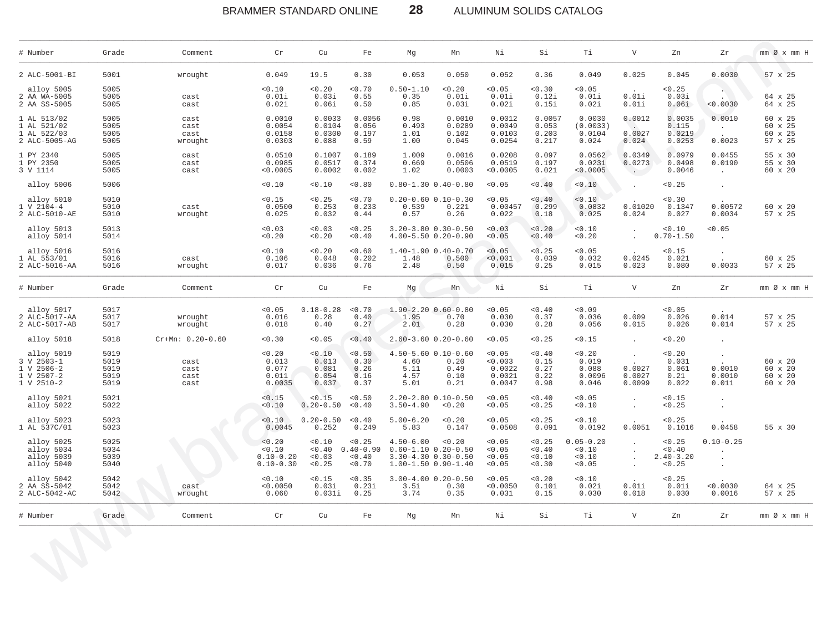BRAMMER STANDARD ONLINE

ALUMINUM SOLIDS CATALOG

| $\mathbf{V}$<br>Τi<br>Zn                                                                                                                                                                       | Zr<br>mm Ø x mm H                                                               |
|------------------------------------------------------------------------------------------------------------------------------------------------------------------------------------------------|---------------------------------------------------------------------------------|
| 0.025<br>0.049<br>0.045                                                                                                                                                                        | 0.0030<br>57 x 25                                                               |
| < 0.05<br>< 0.25<br>0.01i<br>0.01i<br>0.03i<br>0.02i<br>0.01i<br>0.06i                                                                                                                         | 64 x 25<br>< 0.0030<br>64 x 25                                                  |
| 0.0012<br>0.0030<br>0.0035<br>(0.0033)<br>0.115<br>$\sim$<br>0.0027<br>0.0219<br>0.0104<br>0.024<br>0.024<br>0.0253                                                                            | 0.0010<br>60 x 25<br>60 x 25<br>$\sim 10^{-11}$<br>60 x 25<br>0.0023<br>57 x 25 |
| 0.0349<br>0.0562<br>0.0979<br>0.0231<br>0.0273<br>0.0498<br>< 0.0005<br>0.0046<br>$\sim$ $\sim$                                                                                                | 0.0455<br>55 x 30<br>0.0190<br>55 x 30<br>60 x 20<br>$\sim$                     |
| < 0.10<br>< 0.25<br>$\cdot$<br>$\ddot{\phantom{a}}$                                                                                                                                            |                                                                                 |
| < 0.10<br>0.30<br>0.0832<br>0.01020<br>0.1347<br>0.024<br>0.025<br>0.027                                                                                                                       | 0.00572<br>60 x 20<br>0.0034<br>57 x 25                                         |
| < 0.10<br>0.10<br>$0.70 - 1.50$<br>< 0.20<br>$\ddot{\phantom{a}}$<br>$\ddot{\phantom{a}}$                                                                                                      | < 0.05                                                                          |
| < 0.05<br>0.15<br>$\cdot$<br>0.0245<br>0.032<br>0.021<br>0.023<br>0.015<br>0.080                                                                                                               | 60 x 25<br>0.0033<br>57 x 25                                                    |
| $\mathbf V$<br>Тi<br>Zn                                                                                                                                                                        | Zr<br>$mm \oslash x$ $mm$ H                                                     |
| < 0.09<br>< 0.05<br>0.036<br>0.009<br>0.026<br>0.056<br>0.015<br>0.026                                                                                                                         | 0.014<br>57 x 25<br>0.014<br>57 x 25                                            |
| < 0.15<br>< 0.20<br>$\sim$<br>$\sim$                                                                                                                                                           |                                                                                 |
| < 0.20<br>< 0.20<br>$\sim$<br>$\sim$<br>0.019<br>0.031<br>0.0027<br>0.088<br>0.061<br>0.0096<br>0.0027<br>0.21<br>0.046<br>0.0099<br>0.022                                                     | 60 x 20<br>0.0010<br>60 x 20<br>0.0010<br>60 x 20<br>0.011<br>60 x 20           |
| < 0.15<br>< 0.05<br>$\ddot{\phantom{a}}$<br>< 0.25<br>< 0.10<br>$\cdot$<br>$\cdot$                                                                                                             |                                                                                 |
| < 0.10<br>< 0.25<br>0.0192<br>0.0051<br>0.1016                                                                                                                                                 | 0.0458<br>55 x 30                                                               |
| $0.05 - 0.20$<br>< 0.25<br>$\sim$<br>< 0.10<br>< 0.40<br>$\sim$<br>$\ddot{\phantom{a}}$<br>$2.40 - 3.20$<br>< 0.10<br>$\ddot{\phantom{a}}$<br>$\cdot$<br>< 0.25<br>< 0.05<br>$\sim$<br>$\cdot$ | $0.10 - 0.25$                                                                   |
| < 0.10<br>< 0.25<br>0.01i<br>0.01i<br>0.02i<br>0.030<br>0.018<br>0.030                                                                                                                         | < 0.0030<br>64 x 25<br>57 x 25<br>0.0016                                        |
| Τi<br>$\mathbf V$<br>Zn                                                                                                                                                                        | Zr<br>$mm \oslash x$ $mm$ H                                                     |
| 0.10i<br>0.15<br>Si                                                                                                                                                                            |                                                                                 |

**28**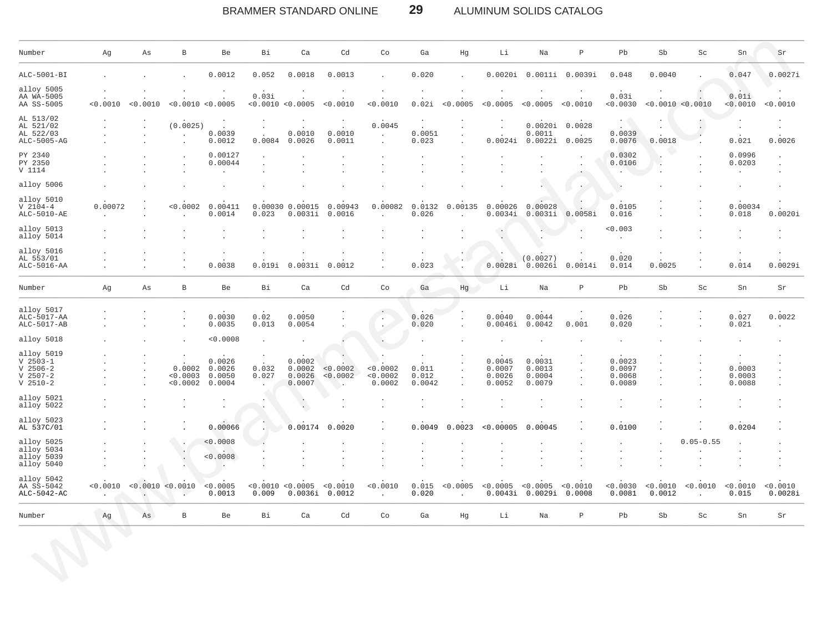### **29** BRAMMER STANDARD ONLINE ALUMINUM SOLIDS CATALOG

| Number                                                             | Αg                              | Αs                        | В                              | Be                                      | Bi                                         | Ca                                   | Cd                                    | Co                              | Ga                                   | Hg                        | Li                                   | Na                                                | $\, {\bf P}$    | Pb                                   | ${\rm Sb}$         | Sc                              | ${\rm Sn}$                                   | Sr                                         |
|--------------------------------------------------------------------|---------------------------------|---------------------------|--------------------------------|-----------------------------------------|--------------------------------------------|--------------------------------------|---------------------------------------|---------------------------------|--------------------------------------|---------------------------|--------------------------------------|---------------------------------------------------|-----------------|--------------------------------------|--------------------|---------------------------------|----------------------------------------------|--------------------------------------------|
| ALC-5001-BI                                                        |                                 |                           |                                | 0.0012                                  | 0.052                                      | 0.0018                               | 0.0013                                | $\cdot$                         | 0.020                                |                           | 0.0020i                              |                                                   | 0.0011i 0.0039i | 0.048                                | 0.0040             |                                 | 0.047                                        | 0.0027i                                    |
| alloy 5005<br>AA WA-5005<br>AA SS-5005                             | < 0.0010                        | $\cdot$<br>< 0.0010       | $\cdot$                        | $\bullet$<br>< 0.0010 < 0.0005          | 0.03i                                      | $\cdot$<br>< 0.0010 < 0.0005         | $\cdot$<br>< 0.0010                   | $\cdot$<br>< 0.0010             | $\bullet$<br>0.02i                   | $\cdot$<br>< 0.0005       | < 0.0005                             | < 0.0005 < 0.0010                                 |                 | 0.03i<br>< 0.0030                    | < 0.0010 < 0.0010  |                                 | V)<br>0.01i<br>< 0.0010                      | < 0.0010                                   |
| AL 513/02<br>AL 521/02<br>AL 522/03<br>ALC-5005-AG                 |                                 | $\blacksquare$<br>$\cdot$ | (0.0025)<br>$\bullet$          | $\bullet$<br>$\sim$<br>0.0039<br>0.0012 | $\cdot$<br>$\cdot$<br>0.0084               | $\cdot$<br>0.0010<br>0.0026          | $\cdot$<br>$\sim$<br>0.0010<br>0.0011 | 0.0045<br>$\cdot$<br>$\epsilon$ | $\cdot$<br>$\sim$<br>0.0051<br>0.023 | $\cdot$                   | 0.0024i                              | 0.0020i 0.0028<br>0.0011<br>0.0022i               | 0.0025          | $\sim$<br>0.0039<br>0.0076           | 0.0018             | $\blacksquare$<br>٠.<br>$\cdot$ | $\cdot$<br>0.021                             | $\cdot$<br>$\cdot$<br>0.0026               |
| PY 2340<br>PY 2350<br>V 1114                                       |                                 |                           | $\cdot$<br>$\cdot$             | 0.00127<br>0.00044<br>$\Box$            | $\cdot$<br>$\cdot$<br>$\ddot{\phantom{a}}$ | $\cdot$<br>$\cdot$                   | $\cdot$                               | $\cdot$<br>$\cdot$<br>$\cdot$   |                                      |                           |                                      |                                                   | $\bullet$       | 0.0302<br>0.0106                     | $\epsilon$         |                                 | 0.0996<br>0.0203<br>$\cdot$                  | $\cdot$<br>$\ddot{\phantom{a}}$<br>$\cdot$ |
| alloy 5006                                                         |                                 |                           |                                |                                         |                                            |                                      |                                       |                                 |                                      |                           |                                      |                                                   |                 |                                      |                    |                                 | $\cdot$                                      |                                            |
| alloy 5010<br>$V 2104-4$<br>ALC-5010-AE                            | 0.00072<br>$\ddot{\phantom{a}}$ |                           | < 0.0002<br>$\mathbf{r}$       | 0.00411<br>0.0014                       | 0.023                                      | 0.00030 0.00015<br>0.0031i           | 0.00943<br>0.0016                     | 0.00082<br>$\sim$               | 0.0132<br>0.026                      | 0.00135<br>$\sim$         | 0.00026<br>0.0034i                   | 0.00028<br>0.0031i                                | 0.0058i         | 0.0105<br>0.016                      |                    |                                 | 0.00034<br>0.018                             | 0.0020i                                    |
| alloy 5013<br>alloy 5014                                           |                                 |                           |                                | $\cdot$                                 |                                            | $\cdot$                              | $\cdot$                               | $\cdot$                         | $\ddot{\phantom{a}}$                 | $\sim$                    | $\cdot$                              |                                                   |                 | 0.003<br>$\sim$                      |                    |                                 | $\cdot$                                      | $\cdot$                                    |
| alloy 5016<br>AL 553/01<br>ALC-5016-AA                             | $\Delta$                        |                           |                                | $\epsilon$<br>0.0038                    | 0.019i                                     | 0.0031i                              | 0.0012                                | $\cdot$<br>$\sim$               | $\cdot$<br>$\sim$<br>0.023           | $\ddot{\phantom{1}}$      | $\rightarrow$                        | (0.0027)<br>$0.0028i$ $0.0026i$                   | 0.0014i         | 0.020<br>0.014                       | 0.0025             |                                 | $\cdot$<br>0.014                             | $\cdot$<br>0.0029i                         |
| Number                                                             | Ag                              | Αs                        | $\,$ B                         | Be                                      | Bi                                         | Ca                                   | Cd                                    | Co                              | Ga                                   | Hg                        | Li                                   | Na                                                | $\, {\bf P}$    | Pb                                   | Sb                 | Sc                              | Sn                                           | Sr                                         |
| alloy 5017<br>$ALC-5017-AA$<br>ALC-5017-AB                         |                                 |                           |                                | 0.0030<br>0.0035                        | 0.02<br>0.013                              | 0.0050<br>0.0054                     |                                       | $\sim$<br>$\ddot{\phantom{a}}$  | 0.026<br>0.020                       |                           | 0.0040<br>0.0046i                    | 0.0044<br>0.0042                                  | 0.001           | 0.026<br>0.020                       |                    |                                 | 0.027<br>0.021                               | 0.0022<br>$\cdot$                          |
| alloy 5018                                                         |                                 |                           |                                | < 0.0008                                | $\cdot$                                    |                                      |                                       | $\,$ .                          |                                      |                           |                                      |                                                   |                 |                                      |                    |                                 |                                              |                                            |
| alloy 5019<br>$V$ 2503-1<br>$V$ 2506-2<br>$V$ 2507-2<br>$V 2510-2$ |                                 | $\cdot$<br>$\cdot$        | 0.0002<br>< 0.0003<br>< 0.0002 | 0.0026<br>0.0026<br>0.0050<br>0.0004    | 0.032<br>0.027                             | 0.0002<br>0.0002<br>0.0026<br>0.0007 | < 0.0002<br>< 0.0002<br>- 11          | < 0.0002<br>< 0.0002<br>0.0002  | 0.011<br>0.012<br>0.0042             | $\cdot$<br>$\sim$         | 0.0045<br>0.0007<br>0.0026<br>0.0052 | 0.0031<br>0.0013<br>0.0004<br>0.0079              |                 | 0.0023<br>0.0097<br>0.0068<br>0.0089 |                    |                                 | 0.0003<br>0.0003<br>0.0088                   |                                            |
| alloy 5021<br>alloy 5022                                           |                                 |                           |                                | $\cdot$<br>$\epsilon$                   |                                            | $\langle \cdot \rangle$              |                                       |                                 | $\cdot$                              | $\sim$                    |                                      |                                                   |                 | $\mathbf{r}$                         |                    |                                 | $\cdot$<br>$\cdot$                           |                                            |
| alloy 5023<br>AL 537C/01                                           | $\ddot{\phantom{a}}$            |                           |                                | 0.00066                                 |                                            | 0.00174                              | 0.0020                                |                                 | 0.0049                               | 0.0023                    | < 0.00005                            | 0.00045                                           |                 | 0.0100                               |                    |                                 | 0.0204                                       |                                            |
| alloy 5025<br>alloy 5034<br>alloy 5039<br>alloy 5040               |                                 | $\cdot$                   | $\cdot$<br>$\sim$              | < 0.0008<br>< 0.0008                    |                                            |                                      | $\cdot$                               | $\cdot$<br>$\cdot$              | $\cdot$<br>$\cdot$                   | $\blacksquare$<br>$\cdot$ |                                      |                                                   |                 | $\cdot$                              |                    | $0.05 - 0.55$<br>$\cdot$        | $\lambda$<br>$\ddot{\phantom{a}}$<br>$\cdot$ | $\cdot$<br>$\cdot$                         |
| alloy 5042<br>AA SS-5042<br>$ALC-5042-AC$                          | < 0.0010<br>$\sim$              | $\blacksquare$            | < 0.0010 < 0.0010<br>¥.        | < 0.0005<br>0.0013                      | < 0.0010<br>0.009                          | < 0.0005<br>0.0036i                  | < 0.0010<br>0.0012                    | < 0.0010<br>$\sim$              | 0.015<br>0.020                       | < 0.0005<br>$\mathbf{r}$  | < 0.0005                             | < 0.0005 < 0.0010<br>$0.0043i$ $0.0029i$ $0.0008$ |                 | < 0.0030<br>0.0081                   | < 0.0010<br>0.0012 | < 0.0010<br>$\blacksquare$      | < 0.0010<br>0.015                            | < 0.0010<br>0.0028i                        |
| Number                                                             | Ag                              | Αs                        | $\, {\bf B}$                   | Be                                      | Bi                                         | Ca                                   | Cd                                    | Co                              | Ga                                   | Hg                        | Li                                   | Na                                                | $\, {\bf P}$    | ${\tt Pb}$                           | ${\rm Sb}$         | Sc                              | ${\rm Sn}$                                   | Sr                                         |
|                                                                    |                                 |                           |                                |                                         |                                            |                                      |                                       |                                 |                                      |                           |                                      |                                                   |                 |                                      |                    |                                 |                                              |                                            |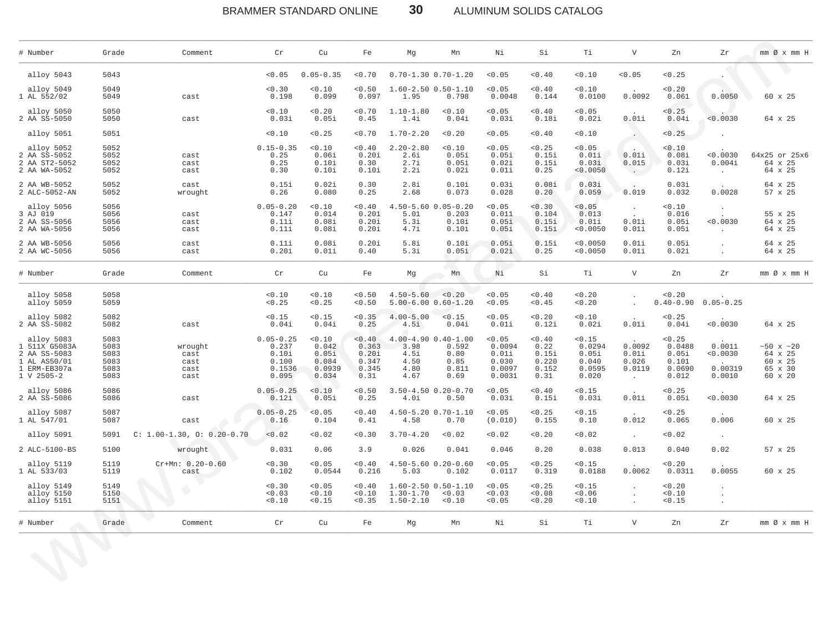BRAMMER STANDARD ONLINE **30** ALUMINUM SOLIDS CATALOG

\_\_\_\_\_\_\_\_\_\_\_\_\_\_\_\_\_\_\_\_\_\_\_\_\_\_\_\_\_\_\_\_\_\_\_\_\_\_\_\_\_\_\_\_\_\_\_\_\_\_\_\_\_\_\_\_\_\_\_\_\_\_\_\_\_\_\_\_\_\_\_\_\_\_\_\_\_\_\_\_\_\_\_\_\_\_\_\_\_\_\_\_\_\_\_\_\_\_\_\_\_\_\_\_\_\_\_\_\_\_\_\_\_\_\_\_\_\_\_\_\_\_\_\_\_\_\_\_\_\_\_\_\_\_\_\_\_\_\_\_\_\_\_\_\_\_\_\_\_\_\_\_\_\_\_\_\_\_\_\_\_\_\_\_\_\_\_\_\_\_\_\_\_\_\_\_\_\_\_\_\_\_

| # Number                                                                                            | Grade                                        | Comment                                 | Cr                                                          | Cu                                                   | Fe                                                 | Mg                                    | Mn                                                                  | Νi                                                     | Si                                                | Тi                                                    | $\mathbf{V}$                                 | Zn                                                    | Zr                                      | $mm \oslash x$ $mm$ H                                 |
|-----------------------------------------------------------------------------------------------------|----------------------------------------------|-----------------------------------------|-------------------------------------------------------------|------------------------------------------------------|----------------------------------------------------|---------------------------------------|---------------------------------------------------------------------|--------------------------------------------------------|---------------------------------------------------|-------------------------------------------------------|----------------------------------------------|-------------------------------------------------------|-----------------------------------------|-------------------------------------------------------|
| alloy 5043                                                                                          | 5043                                         |                                         | < 0.05                                                      | $0.05 - 0.35$                                        | < 0.70                                             |                                       | $0.70 - 1.30 0.70 - 1.20$                                           | < 0.05                                                 | < 0.40                                            | < 0.10                                                | < 0.05                                       | < 0.25                                                |                                         | o N                                                   |
| alloy 5049<br>1 AL 552/02                                                                           | 5049<br>5049                                 | cast                                    | < 0.30<br>0.198                                             | < 0.10<br>0.099                                      | < 0.50<br>0.097                                    | 1.95                                  | $1.60 - 2.50 0.50 - 1.10$<br>0.798                                  | < 0.05<br>0.0048                                       | < 0.40<br>0.144                                   | < 0.10<br>0.0100                                      | 0.0092                                       | < 0.20<br>0.061                                       | 0.0050                                  | 60 x 25                                               |
| alloy 5050<br>2 AA SS-5050                                                                          | 5050<br>5050                                 | cast                                    | < 0.10<br>0.03i                                             | < 0.20<br>0.05i                                      | < 0.70<br>0.45                                     | $1.10 - 1.80$<br>1.4i                 | < 0.10<br>0.04i                                                     | < 0.05<br>0.03i                                        | < 0.40<br>0.18i                                   | < 0.05<br>0.02i                                       | 0.01i                                        | < 0.25<br>0.04i                                       | 0.0030                                  | 64 x 25                                               |
| alloy 5051                                                                                          | 5051                                         |                                         | < 0.10                                                      | < 0.25                                               | < 0.70                                             | $1.70 - 2.20$                         | < 0.20                                                              | < 0.05                                                 | < 0.40                                            | < 0.10                                                |                                              | < 0.25                                                |                                         |                                                       |
| alloy 5052<br>2 AA SS-5052<br>2 AA ST2-5052<br>2 AA WA-5052                                         | 5052<br>5052<br>5052<br>5052                 | cast<br>cast<br>cast                    | $0.15 - 0.35$<br>0.25<br>0.25<br>0.30                       | < 0.10<br>0.06i<br>0.10i<br>0.10i                    | $< 0$ . $40\,$<br>0.20i<br>0.30<br>0.10i           | $2.20 - 2.80$<br>2.6i<br>2.7i<br>2.2i | < 0.10<br>0.05i<br>0.05i<br>0.02i                                   | < 0.05<br>0.05i<br>0.02i<br>0.01i                      | < 0.25<br>0.15i<br>0.15i<br>0.25                  | < 0.05<br>0.01i<br>0.03i<br>< 0.0050                  | $\sim$<br>0.01i<br>0.015<br>$\sim$ $-$       | < 0.10<br>0.08i<br>0.03i<br>0.12i                     | < 0.0030<br>0.004i<br>$\sim 100$        | 64x25 or 25x6<br>64 x 25<br>64 x 25                   |
| 2 AA WB-5052<br>2 ALC-5052-AN                                                                       | 5052<br>5052                                 | cast<br>wrought                         | 0.15i<br>0.26                                               | 0.02i<br>0.080                                       | 0.30<br>0.25                                       | 2.8i<br>2.68                          | 0.10i<br>0.073                                                      | 0.03i<br>0.028                                         | 0.08i<br>0.20                                     | 0.03i<br>0.059                                        | 0.019                                        | 0.03i<br>0.032                                        | 0.0028                                  | 64 x 25<br>57 x 25                                    |
| alloy 5056<br>3 AJ 019<br>2 AA SS-5056<br>2 AA WA-5056                                              | 5056<br>5056<br>5056<br>5056                 | cast<br>cast<br>cast                    | $0.05 - 0.20$<br>0.147<br>0.11i<br>0.11i                    | < 0.10<br>0.014<br>0.08i<br>0.08i                    | < 0.40<br>0.201<br>0.20i<br>0.20i                  | 5.01<br>5.3i<br>4.7i                  | 4.50-5.60 0.05-0.20<br>0.203<br>0.10i<br>0.10i                      | < 0.05<br>0.011<br>0.05i<br>0.05i                      | < 0.30<br>0.104<br>0.15i<br>0.15i                 | < 0.05<br>0.013<br>0.01i<br>< 0.0050                  | 0.01i<br>0.01i                               | < 0.10<br>0.016<br>0.05i<br>0.05i                     | < 0.0030<br>$\sim 100$                  | 55 x 25<br>64 x 25<br>64 x 25                         |
| 2 AA WB-5056<br>2 AA WC-5056                                                                        | 5056<br>5056                                 | cast<br>cast                            | 0.11i<br>0.20i                                              | 0.08i<br>0.01i                                       | 0.20i<br>0.40                                      | 5.8i<br>5.3i                          | 0.10i<br>0.05i                                                      | 0.05i<br>0.02i                                         | 0.15i<br>0.25                                     | < 0.0050<br>< 0.0050                                  | 0.01i<br>0.01i                               | 0.05i<br>0.02i                                        | $\cdot$                                 | 64 x 25<br>64 x 25                                    |
| # Number                                                                                            | Grade                                        | Comment                                 | Cr                                                          | Cu                                                   | Fe                                                 | Mg                                    | Mn                                                                  | Νi                                                     | Si                                                | Ti                                                    | $\mathbf{V}$                                 | Zn                                                    | Zr                                      | $mm \oslash x$ $mm$ H                                 |
| alloy 5058<br>alloy 5059                                                                            | 5058<br>5059                                 |                                         | < 0.10<br>< 0.25                                            | < 0.10<br>< 0.25                                     | < 0.50<br>< 0.50                                   | $4.50 - 5.60 < 0.20$                  | $5.00 - 6.00 0.60 - 1.20$                                           | 0.05<br>< 0.05                                         | < 0.40<br>< 0.45                                  | < 0.20<br>< 0.20                                      |                                              | < 0.20<br>$0.40 - 0.90$                               | $0.05 - 0.25$                           |                                                       |
| alloy 5082<br>2 AA SS-5082                                                                          | 5082<br>5082                                 | cast                                    | < 0.15<br>0.04i                                             | < 0.15<br>0.04i                                      | < 0.35<br>0.25                                     | $4.00 - 5.00$<br>4.5i                 | < 0.15<br>0.04i                                                     | < 0.05<br>0.01i                                        | < 0.20<br>0.12i                                   | < 0.10<br>0.02i                                       | 0.01i                                        | < 0.25<br>0.04i                                       | < 0.0030                                | 64 x 25                                               |
| alloy 5083<br>1 511X G5083A<br>2 AA SS-5083<br>1 AL AS50/01<br>1 ERM-EB307a<br>$1 \, V \, 2505 - 2$ | 5083<br>5083<br>5083<br>5083<br>5083<br>5083 | wrought<br>cast<br>cast<br>cast<br>cast | $0.05 - 0.25$<br>0.237<br>0.10i<br>0.100<br>0.1536<br>0.095 | < 0.10<br>0.042<br>0.05i<br>0.084<br>0.0939<br>0.034 | < 0.40<br>0.363<br>0.20i<br>0.347<br>0.345<br>0.31 | 3.98<br>4.5i<br>4.50<br>4.80<br>4.67  | $4.00 - 4.90 0.40 - 1.00$<br>0.592<br>0.80<br>0.85<br>0.811<br>0.69 | < 0.05<br>0.0094<br>0.01i<br>0.030<br>0.0097<br>0.0031 | < 0.40<br>0.22<br>0.15i<br>0.220<br>0.152<br>0.31 | < 0.15<br>0.0294<br>0.05i<br>0.040<br>0.0595<br>0.020 | 0.0092<br>0.01i<br>0.026<br>0.0119<br>$\sim$ | < 0.25<br>0.0488<br>0.05i<br>0.101<br>0.0690<br>0.012 | 0.0011<br>< 0.0030<br>0.00319<br>0.0010 | ~10x ~120<br>64 x 25<br>60 x 25<br>65 x 30<br>60 x 20 |
| alloy 5086<br>2 AA SS-5086                                                                          | 5086<br>5086                                 | cast                                    | $0.05 - 0.25$<br>0.12i                                      | < 0.10<br>0.05i                                      | < 0.50<br>0.25                                     | 4.0i                                  | $3.50 - 4.50$ 0.20-0.70<br>0.50                                     | < 0.05<br>0.03i                                        | < 0.40<br>0.15i                                   | < 0.15<br>0.03i                                       | 0.01i                                        | < 0.25<br>0.05i                                       | 0.0030                                  | 64 x 25                                               |
| alloy 5087<br>1 AL 547/01                                                                           | 5087<br>5087                                 | cast                                    | $0.05 - 0.25$<br>0.16                                       | < 0.05<br>0.104                                      | < 0.40<br>0.41                                     | 4.58                                  | $4.50 - 5.20$ $0.70 - 1.10$<br>0.70                                 | < 0.05<br>(0.010)                                      | < 0.25<br>0.155                                   | < 0.15<br>0.10                                        | 0.012                                        | < 0.25<br>0.065                                       | 0.006                                   | 60 x 25                                               |
| alloy 5091                                                                                          | 5091                                         | $C: 1.00-1.30, 0: 0.20-0.70$            | < 0.02                                                      | < 0.02                                               | < 0.30                                             | $3.70 - 4.20$                         | < 0.02                                                              | 0.02                                                   | < 0.20                                            | < 0.02                                                | $\sim$                                       | < 0.02                                                | $\ddot{\phantom{a}}$                    |                                                       |
| 2 ALC-5100-BS                                                                                       | 5100                                         | wrought                                 | 0.031                                                       | 0.06                                                 | 3.9                                                | 0.026                                 | 0.041                                                               | 0.046                                                  | 0.20                                              | 0.038                                                 | 0.013                                        | 0.040                                                 | 0.02                                    | 57 x 25                                               |
| alloy 5119<br>1 AL 533/03                                                                           | 5119<br>5119                                 | $Cr+Mn: 0.20-0.60$<br>cast              | < 0.30<br>0.102                                             | < 0.05<br>0.0544                                     | < 0.40<br>0.216                                    | 5.03                                  | $4.50 - 5.60$ $0.20 - 0.60$<br>0.102                                | < 0.05<br>0.0117                                       | < 0.25<br>0.319                                   | < 0.15<br>0.0188                                      | 0.0062                                       | < 0.20<br>0.0311                                      | 0.0055                                  | 60 x 25                                               |
| alloy 5149<br>alloy 5150<br>alloy 5151                                                              | 5149<br>5150<br>5151                         |                                         | < 0.30<br>< 0.03<br>< 0.10                                  | < 0.05<br>< 0.10<br>< 0.15                           | < 0.40<br>< 0.10<br>< 0.35                         | $1.30 - 1.70$<br>$1.50 - 2.10$        | $1.60 - 2.50 0.50 - 1.10$<br>< 0.03<br>< 0.10                       | < 0.05<br>0.03<br>< 0.05                               | < 0.25<br>< 0.08<br>< 0.20                        | < 0.15<br>< 0.06<br>< 0.10                            | $\blacksquare$                               | < 0.20<br>< 0.10<br>< 0.15                            | $\cdot$<br>$\cdot$<br>$\cdot$           |                                                       |
| # Number                                                                                            | Grade                                        | e e<br>Comment                          | $\operatorname{Cr}$                                         | Cu                                                   | Fe                                                 | Mg                                    | Mn                                                                  | Νi                                                     | Si                                                | Тi                                                    | $\mathbf{V}$                                 | Zn                                                    | Ζr                                      | $mm \oslash x$ $mm$ H                                 |
|                                                                                                     |                                              |                                         |                                                             |                                                      |                                                    |                                       |                                                                     |                                                        |                                                   |                                                       |                                              |                                                       |                                         |                                                       |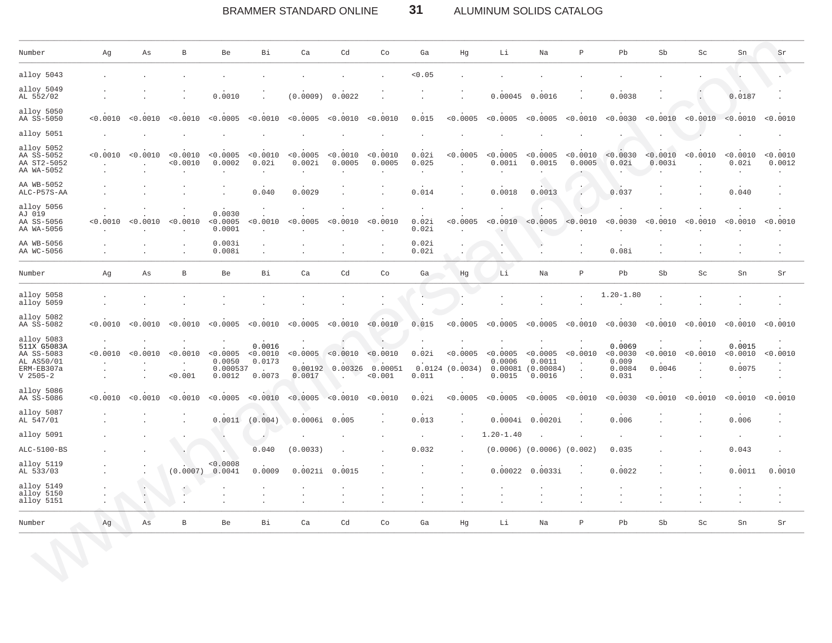### $31$ BRAMMER STANDARD ONLINE ALUMINUM SOLIDS CATALOG

| Number                                                                            | Αg                       | As                                     | B                            | Be                           | Bi                                     | Ca                              | Cd                 | Co                             | Ga                        | Hg                                          | Li                                   | Na                                                    | $\, {\mathbb P}$     | Pb                                             | Sb                                 | $\operatorname{Sc}$ | Sn                                      | Sr                               |
|-----------------------------------------------------------------------------------|--------------------------|----------------------------------------|------------------------------|------------------------------|----------------------------------------|---------------------------------|--------------------|--------------------------------|---------------------------|---------------------------------------------|--------------------------------------|-------------------------------------------------------|----------------------|------------------------------------------------|------------------------------------|---------------------|-----------------------------------------|----------------------------------|
| alloy 5043                                                                        |                          |                                        |                              |                              |                                        |                                 |                    |                                | < 0.05                    |                                             |                                      |                                                       |                      |                                                |                                    |                     |                                         |                                  |
| alloy 5049<br>AL 552/02                                                           |                          |                                        |                              | 0.0010                       |                                        | (0.0009)                        | 0.0022             |                                |                           | $\bullet$                                   | 0.00045                              | 0.0016                                                |                      | 0.0038                                         |                                    |                     | 0.0187                                  |                                  |
| alloy 5050<br>AA SS-5050                                                          | < 0.0010                 | < 0.0010                               | < 0.0010                     | < 0.0005                     | < 0.0010                               | < 0.0005                        | < 0.0010           | < 0.0010                       | 0.015                     | < 0.0005                                    | < 0.0005                             | < 0.0005                                              | < 0.0010             | < 0.0030                                       | < 0.0010                           | < 0.0010            | < 0.0010                                | < 0.0010                         |
| alloy 5051                                                                        |                          |                                        |                              |                              |                                        |                                 |                    |                                |                           |                                             |                                      |                                                       |                      |                                                |                                    |                     |                                         |                                  |
| alloy 5052<br>AA SS-5052<br>AA ST2-5052<br>AA WA-5052                             | < 0.0010<br>$\cdot$      | < 0.0010<br>$\cdot$                    | < 0.0010<br>< 0.0010         | < 0.0005<br>0.0002           | < 0.0010<br>0.02i<br>$\cdot$           | < 0.0005<br>0.002i<br>$\cdot$   | < 0.0010<br>0.0005 | < 0.0010<br>0.0005             | 0.02i<br>0.025<br>$\cdot$ | < 0.0005<br>$\ddot{\phantom{a}}$            | < 0.0005<br>0.001i<br>$\cdot$        | < 0.0005<br>0.0015<br>$\cdot$                         | < 0.0010<br>0.0005   | < 0.0030<br>0.02i                              | < 0.0010<br>0.003i                 | < 0.0010            | < 0.0010<br>0.02i<br>$\cdot$            | < 0.0010<br>0.0012<br>$\cdot$    |
| AA WB-5052<br>ALC-P57S-AA                                                         |                          |                                        |                              |                              | 0.040                                  | 0.0029                          |                    |                                | 0.014                     |                                             | 0.0018                               | 0.0013                                                | $\ddot{\phantom{a}}$ | 0.037                                          |                                    |                     | 0.040                                   |                                  |
| alloy 5056<br>AJ 019<br>AA SS-5056<br>AA WA-5056                                  | < 0.0010<br>$\sim$       | < 0.0010<br>$\sim$                     | < 0.0010                     | 0.0030<br>< 0.0005<br>0.0001 | < 0.0010<br>$\sim$                     | < 0.0005                        | < 0.0010           | < 0.0010<br>$\sim$             | $\cdot$<br>0.02i<br>0.02i | $\ddot{\phantom{a}}$<br>< 0.0005            | $\ddot{\phantom{1}}$<br>< 0.0010     | $\cdot$<br>< 0.0005                                   | < 0.0010             | < 0.0030                                       | < 0.0010                           | < 0.0010            | $\cdot$<br>< 0.0010                     | $\ddot{\phantom{a}}$<br>< 0.0010 |
| AA WB-5056<br>AA WC-5056                                                          |                          |                                        |                              | 0.003i<br>0.008i             | $\mathbf{r}$<br>$\cdot$                |                                 |                    |                                | 0.02i<br>0.02i            |                                             | $\mathbf{r}$<br>$\ddot{\phantom{a}}$ | $\overline{\phantom{a}}$                              |                      | 0.08i                                          |                                    |                     | $\lambda$<br>$\cdot$                    |                                  |
| Number                                                                            | Ag                       | As                                     | $\, {\bf B}$                 | Be                           | Bi                                     | Ca                              | Cd                 | Co                             | Ga                        | Hg                                          | Li                                   | Na                                                    | $\, {\bf P}$         | Pb                                             | Sb                                 | Sc                  | Sn                                      | Sr                               |
| alloy 5058<br>alloy 5059                                                          |                          |                                        |                              |                              |                                        |                                 |                    |                                |                           |                                             |                                      |                                                       |                      | $1.20 - 1.80$                                  |                                    |                     |                                         |                                  |
| alloy 5082<br>AA SS-5082                                                          | < 0.0010                 | < 0.0010                               | < 0.0010                     | < 0.0005                     | < 0.0010                               | < 0.0005 < 0.0010               |                    | < 0.0010                       | 0.015                     | < 0.0005                                    | < 0.0005                             | < 0.0005                                              | < 0.0010             | < 0.0030                                       | < 0.0010                           | < 0.0010            | < 0.0010                                | < 0.0010                         |
| alloy 5083<br>511X G5083A<br>AA SS-5083<br>AL AS50/01<br>ERM-EB307a<br>$V$ 2505-2 | < 0.0010<br>$\mathbf{r}$ | < 0.0010<br>$\mathbf{r}$               | < 0.0010 < 0.0005<br>< 0.001 | 0.0050<br>0.000537<br>0.0012 | 0.0016<br>< 0.0010<br>0.0173<br>0.0073 | $< 0.0005$ $< 0.0010$<br>0.0017 | 0.00192 0.00326    | < 0.0010<br>0.00051<br>< 0.001 | 0.02i<br>0.011            | < 0.0005<br>0.0124 (0.0034)<br>$\mathbf{r}$ | < 0.0005<br>0.0006<br>0.0015         | < 0.0005<br>0.0011<br>$0.00081$ $(0.00084)$<br>0.0016 | < 0.0010<br>$\sim$   | 0.0069<br>< 0.0030<br>0.009<br>0.0084<br>0.031 | < 0.0010<br>0.0046<br>$\mathbf{r}$ | < 0.0010            | 0.0015<br>< 0.0010<br>0.0075<br>$\cdot$ | < 0.0010                         |
| alloy 5086<br>AA SS-5086                                                          | < 0.0010                 | < 0.0010                               | < 0.0010                     | < 0.0005                     | < 0.0010                               | < 0.0005                        | < 0.0010           | < 0.0010                       | 0.02i                     | < 0.0005                                    | < 0.0005                             | < 0.0005                                              | < 0.0010             | < 0.0030                                       | < 0.0010                           | < 0.0010            | < 0.0010                                | < 0.0010                         |
| alloy 5087<br>AL 547/01                                                           |                          |                                        |                              | 0.0011                       | (0.004)                                | 0.0006i                         | 0.005              |                                | 0.013                     |                                             | 0.0004i                              | 0.0020i                                               |                      | 0.006                                          |                                    |                     | 0.006                                   |                                  |
| alloy 5091                                                                        |                          |                                        |                              |                              | $\epsilon$                             |                                 |                    |                                |                           |                                             | $1.20 - 1.40$                        |                                                       |                      |                                                |                                    |                     |                                         |                                  |
| ALC-5100-BS                                                                       |                          |                                        |                              |                              | 0.040                                  | (0.0033)                        |                    |                                | 0.032                     |                                             |                                      | $(0.0006)$ $(0.0006)$ $(0.002)$                       |                      | 0.035                                          |                                    |                     | 0.043                                   |                                  |
| alloy 5119<br>AL 533/03                                                           |                          |                                        | (0.0007)                     | < 0.0008<br>0.0041           | 0.0009                                 | 0.0021i                         | 0.0015             |                                |                           |                                             | 0.00022                              | 0.0033i                                               |                      | 0.0022                                         |                                    |                     | 0.0011                                  | 0.0010                           |
| alloy 5149<br>alloy 5150<br>alloy 5151                                            | $\cdot$<br>$\sim$        | $\bullet$ .<br>$\Box$<br>$\mathcal{L}$ |                              |                              |                                        |                                 |                    |                                |                           |                                             | $\bullet$<br>$\cdot$<br>$\cdot$      | $\cdot$<br>$\lambda$                                  |                      | $\mathbf{r}$                                   |                                    |                     | $\cdot$<br>$\cdot$                      | $\cdot$<br>$\cdot$               |
| Number                                                                            | Ag                       | As                                     | В                            | Be                           | Bi                                     | Ca                              | Cd                 | Co                             | Ga                        | Hg                                          | Li                                   | Na                                                    | $\, {\mathbb P}$     | Pb                                             | Sb                                 | Sc                  | Sn                                      | Sr                               |
|                                                                                   |                          |                                        |                              |                              |                                        |                                 |                    |                                |                           |                                             |                                      |                                                       |                      |                                                |                                    |                     |                                         |                                  |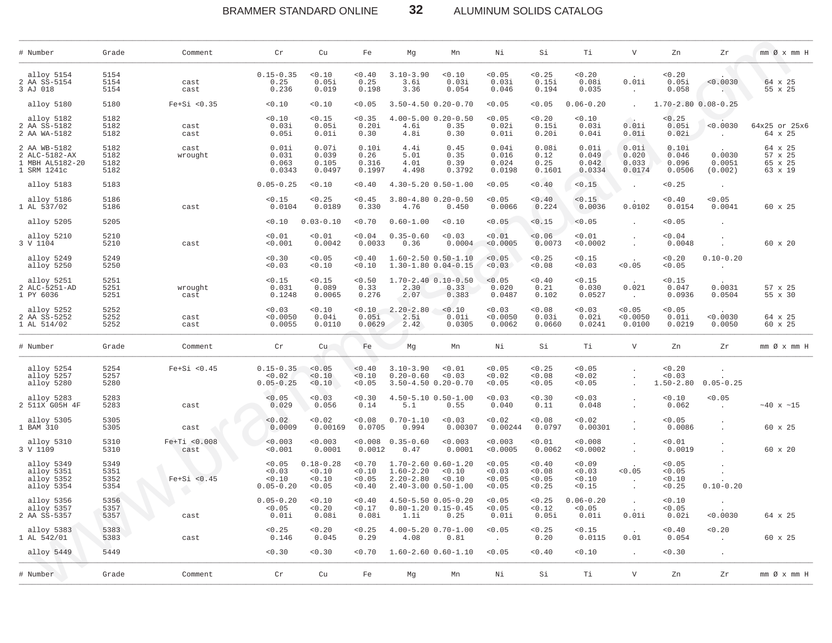BRAMMER STANDARD ONLINE **32** ALUMINUM SOLIDS CATALOG

| # Number                                                        | Grade                        | Comment              | Cr                                        | Cu                                        | Fe                                   | Мg                                                                                   | Mn                             | Νi                                   | Si                                   | Тi                                 | $\mathbf V$                       | Zn                                | Zr                                    | $mm \oslash x$ $mm$ H                    |
|-----------------------------------------------------------------|------------------------------|----------------------|-------------------------------------------|-------------------------------------------|--------------------------------------|--------------------------------------------------------------------------------------|--------------------------------|--------------------------------------|--------------------------------------|------------------------------------|-----------------------------------|-----------------------------------|---------------------------------------|------------------------------------------|
| alloy 5154<br>2 AA SS-5154<br>3 AJ 018                          | 5154<br>5154<br>5154         | cast<br>cast         | $0.15 - 0.35$<br>0.25<br>0.236            | < 0.10<br>0.05i<br>0.019                  | < 0.40<br>0.25<br>0.198              | $3.10 - 3.90$<br>3.6i<br>3.36                                                        | < 0.10<br>0.03i<br>0.054       | < 0.05<br>0.03i<br>0.046             | < 0.25<br>0.15i<br>0.194             | 0.20<br>0.08i<br>0.035             | 0.01i<br>$\cdot$                  | 0.20<br>0.05i<br>0.058            | < 0.0030                              | 64 x 25<br>55 x 25                       |
| alloy 5180                                                      | 5180                         | $Fe+Si < 0.35$       | 0.10                                      | 0.10                                      | < 0.05                               | $3.50 - 4.50$ 0.20-0.70                                                              |                                | < 0.05                               | < 0.05                               | $0.06 - 0.20$                      | $\sim$                            | 1.70-2.80 0.08-0.25               |                                       |                                          |
| alloy 5182<br>2 AA SS-5182<br>2 AA WA-5182                      | 5182<br>5182<br>5182         | cast<br>cast         | 0.10<br>0.03i<br>0.05i                    | 0.15<br>0.05i<br>0.01i                    | < 0.35<br>0.20i<br>0.30              | $4.00 - 5.00$ $0.20 - 0.50$<br>4.6i<br>4.8i                                          | 0.35<br>0.30                   | < 0.05<br>0.02i<br>0.01i             | 0.20<br>0.15i<br>0.20i               | < 0.10<br>0.03i<br>0.04i           | $\sim$<br>0.01i<br>0.01i          | < 0.25<br>0.05i<br>0.02i          | < 0.0030                              | 64x25 or 25x6<br>64 x 25                 |
| 2 AA WB-5182<br>2 ALC-5182-AX<br>1 MBH AL5182-20<br>1 SRM 1241c | 5182<br>5182<br>5182<br>5182 | cast<br>wrought      | 0.01i<br>0.031<br>0.063<br>0.0343         | 0.07i<br>0.039<br>0.105<br>0.0497         | 0.10i<br>0.26<br>0.316<br>0.1997     | 4.4i<br>5.01<br>4.01<br>4.498                                                        | 0.45<br>0.35<br>0.39<br>0.3792 | 0.04i<br>0.016<br>0.024<br>0.0198    | 0.08i<br>0.12<br>0.25<br>0.1601      | 0.01i<br>0.049<br>0.042<br>0.0334  | 0.01i<br>0.020<br>0.033<br>0.0174 | 0.10i<br>0.046<br>0.096<br>0.0506 | 0.0030<br>0.0051<br>(0.002)           | 64 x 25<br>57 x 25<br>65 x 25<br>63 x 19 |
| alloy 5183                                                      | 5183                         |                      | $0.05 - 0.25$                             | < 0.10                                    | < 0.40                               | $4.30 - 5.20$ $0.50 - 1.00$                                                          |                                | < 0.05                               | 0.40                                 | < 0.15                             | $\cdot$                           | < 0.25                            | $\ddot{\phantom{a}}$                  |                                          |
| alloy 5186<br>1 AL 537/02                                       | 5186<br>5186                 | cast                 | < 0.15<br>0.0104                          | < 0.25<br>0.0189                          | < 0.45<br>0.330                      | $3.80 - 4.80$ 0.20-0.50<br>4.76                                                      | 0.450                          | < 0.05<br>0.0066                     | 0.40<br>0.224                        | < 0.15<br>0.0036                   | 0.0102                            | 0.40<br>0.0154                    | 0.05<br>0.0041                        | 60 x 25                                  |
| alloy 5205                                                      | 5205                         |                      | 0.10                                      | $0.03 - 0.10$                             | < 0.70                               | $0.60 - 1.00$                                                                        | 0.10                           | < 0.05                               | < 0.15                               | < 0.05                             |                                   | < 0.05                            |                                       |                                          |
| alloy 5210<br>3 V 1104                                          | 5210<br>5210                 | cast                 | < 0.01<br>0.001                           | < 0.01<br>0.0042                          | 0.04<br>0.0033                       | $0.35 - 0.60$<br>0.36                                                                | < 0.03<br>0.0004               | < 0.01<br>< 0.0005                   | < 0.06<br>0.0073                     | < 0.01<br>< 0.0002                 | $\cdot$                           | 0.04<br>0.0048                    |                                       | 60 x 20                                  |
| alloy 5249<br>alloy 5250                                        | 5249<br>5250                 |                      | 0.30<br>0.03                              | < 0.05<br>0.10                            | < 0.40<br>< 0.10                     | $1.60 - 2.50$ $0.50 - 1.10$<br>$1.30 - 1.80 0.04 - 0.15$                             |                                | < 0.05<br>< 0.03                     | < 0.25<br>0.08                       | < 0.15<br>< 0.03                   | < 0.05                            | 0.20<br>< 0.05                    | $0.10 - 0.20$<br>$\ddot{\phantom{a}}$ |                                          |
| alloy 5251<br>2 ALC-5251-AD<br>1 PY 6036                        | 5251<br>5251<br>5251         | wrought<br>cast      | < 0.15<br>0.031<br>0.1248                 | < 0.15<br>0.089<br>0.0065                 | < 0.50<br>0.33<br>0.276              | $1.70 - 2.40 - 0.10 - 0.50$<br>2.30<br>2.07                                          | 0.33<br>0.383                  | < 0.05<br>0.020<br>0.0487            | 0.40<br>0.21<br>0.102                | < 0.15<br>0.030<br>0.0527          | 0.021<br>$\sim$ 10 $\sim$         | < 0.15<br>0.047<br>0.0936         | 0.0031<br>0.0504                      | 57 x 25<br>55 x 30                       |
| alloy 5252<br>2 AA SS-5252<br>1 AL 514/02                       | 5252<br>5252<br>5252         | cast<br>cast         | 0.03<br>< 0.0050<br>0.0055                | 0.10<br>0.04i<br>0.0110                   | < 0.10<br>0.05i<br>0.0629            | $2.20 - 2.80$<br>2.5i<br>2.42                                                        | 0.10<br>0.01i<br>0.0305        | < 0.03<br>< 0.0050<br>0.0062         | 0.08<br>0.03i<br>0.0660              | < 0.03<br>0.02i<br>0.0241          | < 0.05<br>< 0.0050<br>0.0100      | 0.05<br>0.01i<br>0.0219           | < 0.0030<br>0.0050                    | 64 x 25<br>60 x 25                       |
| # Number                                                        | Grade                        | Comment              | Cr                                        | Cu                                        | Fe                                   | Mg                                                                                   | Mn                             | Νi                                   | Si                                   | Тi                                 | $\mathbf v$                       | Zn                                | Zr                                    | $mm \oslash x$ $mm$ H                    |
| alloy 5254<br>alloy 5257<br>alloy 5280                          | 5254<br>5257<br>5280         | $Fe+Si < 0.45$       | $0.15 - 0.35$<br>< 0.02<br>$0.05 - 0.25$  | < 0.05<br>0.10<br>< 0.10                  | 0.40<br>< 0.10<br>< 0.05             | $3.10 - 3.90$<br>$0.20 - 0.60$<br>$3.50 - 4.50$ 0.20-0.70                            | < 0.01<br>0.03                 | < 0.05<br>< 0.02<br>< 0.05           | < 0.25<br>0.08<br>< 0.05             | < 0.05<br>< 0.02<br>< 0.05         |                                   | < 0.20<br>0.03<br>$1.50 - 2.80$   | $0.05 - 0.25$                         |                                          |
| alloy 5283<br>2 511X G05H 4F                                    | 5283<br>5283                 | cast                 | < 0.05<br>0.029                           | 0.03<br>0.056                             | 0.30<br>0.14                         | $4.50 - 5.10$ $0.50 - 1.00$<br>5.1                                                   | 0.55                           | < 0.03<br>0.040                      | 0.30<br>0.11                         | < 0.03<br>0.048                    |                                   | 0.10<br>0.062                     | < 0.05<br>$\sim$                      | $~10 \times 15$                          |
| alloy 5305<br>1 BAM 310                                         | 5305<br>5305                 | cast                 | < 0.02<br>0.0009                          | 0.02<br>0.00169                           | 0.08<br>0.0705                       | $0.70 - 1.10$<br>0.994                                                               | 0.03<br>0.00307                | < 0.02<br>0.00244                    | 0.08<br>0.0797                       | < 0.02<br>0.00301                  | $\cdot$                           | < 0.05<br>0.0086                  |                                       | 60 x 25                                  |
| alloy 5310<br>3 V 1109                                          | 5310<br>5310                 | Fe+Ti <0.008<br>cast | < 0.003<br>< 0.001                        | < 0.003<br>0.0001                         | < 0.008<br>0.0012                    | $0.35 - 0.60$<br>0.47                                                                | < 0.003<br>0.0001              | < 0.003<br>< 0.0005                  | 0.01<br>0.0062                       | < 0.008<br>< 0.0002                | $\ddot{\phantom{a}}$              | < 0.01<br>0.0019                  |                                       | 60 x 20                                  |
| alloy 5349<br>alloy 5351<br>alloy 5352<br>alloy 5354            | 5349<br>5351<br>5352<br>5354 | $Fe+Si 0.45$         | < 0.05<br>< 0.03<br>0.10<br>$0.05 - 0.20$ | $0.18 - 0.28$<br>< 0.10<br>0.10<br>< 0.05 | < 0.70<br>< 0.10<br>< 0.05<br>< 0.40 | 1.70-2.60 0.60-1.20<br>$1.60 - 2.20$<br>$2.20 - 2.80$<br>$2.40 - 3.00$ $0.50 - 1.00$ | < 0.10<br>0.10                 | < 0.05<br>< 0.03<br>< 0.05<br>< 0.05 | < 0.40<br>< 0.08<br>< 0.05<br>< 0.25 | 0.09<br>< 0.03<br>< 0.10<br>< 0.15 | < 0.05                            | 0.05<br>0.05<br>0.10<br>< 0.25    | $0.10 - 0.20$                         |                                          |
| alloy 5356<br>alloy 5357<br>2 AA SS-5357                        | 5356<br>5357<br>5357         | cast                 | $0.05 - 0.20$<br>0.05<br>0.01i            | < 0.10<br>0.20<br>0.08i                   | < 0.40<br>< 0.17<br>0.08i            | $4.50 - 5.50$ 0.05-0.20<br>1.1i                                                      | 0.80-1.20 0.15-0.45<br>0.25    | < 0.05<br>0.05<br>0.01i              | < 0.25<br>$0.12$<br>0.05i            | $0.06 - 0.20$<br>0.05<br>0.01i     | <b>Contract Contract</b><br>0.01i | 0.10<br>0.05<br>0.02i             | < 0.0030                              | 64 x 25                                  |
| alloy 5383<br>1 AL 542/01                                       | 5383<br>5383                 | cast                 | < 0.25<br>0.146                           | 0.20<br>0.045                             | < 0.25<br>0.29                       | $4.00 - 5.20$ $0.70 - 1.00$<br>4.08                                                  | 0.81                           | < 0.05<br>$\sim$                     | < 0.25<br>0.20                       | < 0.15<br>0.0115                   | 0.01                              | 0.40<br>0.054                     | < 0.20<br>$\sim$                      | 60 x 25                                  |
| alloy 5449                                                      | 5449                         |                      | 0.30                                      | 0.30                                      | < 0.70                               | $1.60 - 2.60$ $0.60 - 1.10$                                                          |                                | < 0.05                               | < 0.40                               | < 0.10                             | $\sim$                            | 0.30                              | $\blacksquare$                        |                                          |
| # Number                                                        | Grade                        | Comment              | Cr                                        | Cu                                        | Fe                                   | Mg                                                                                   | Mn                             | Νi                                   | Si                                   | Тi                                 | $\mathbf V$                       | Zn                                | Zr                                    | $mm \oslash x$ $mm$ H                    |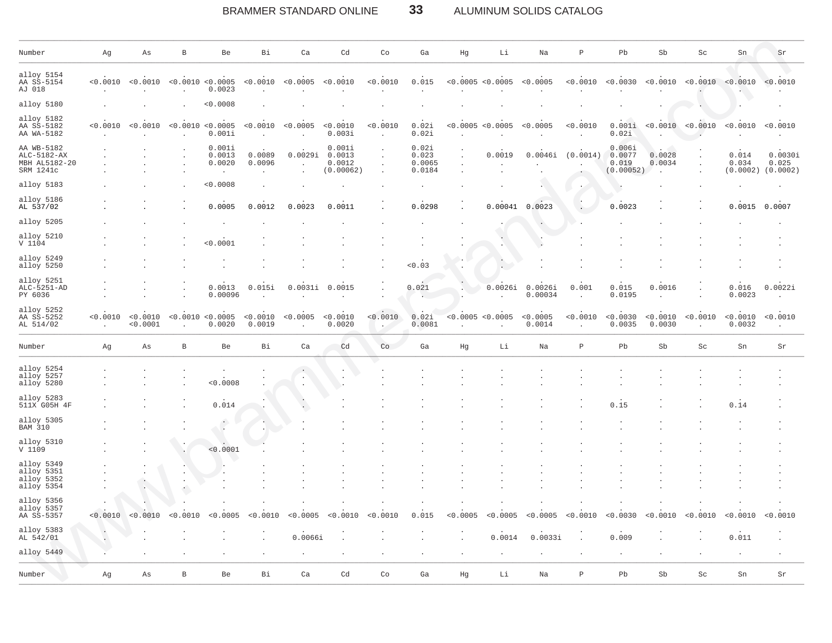#### BRAMMER STANDARD ONLINE 33 ALUMINUM SOLIDS CATALOG

| Number                                                  | Αg       | As                   | B                     | Be                                    | Bi                 | Ca                       | Cd                                      | Co                 | Ga                                 | Hg        | Li                                  | Na                 | $\, {\bf P}$ | Pb                                     | Sb                 | Sc                  | Sn                         | Sr                           |
|---------------------------------------------------------|----------|----------------------|-----------------------|---------------------------------------|--------------------|--------------------------|-----------------------------------------|--------------------|------------------------------------|-----------|-------------------------------------|--------------------|--------------|----------------------------------------|--------------------|---------------------|----------------------------|------------------------------|
| alloy 5154<br>AA SS-5154<br>AJ 018                      | < 0.0010 | < 0.0010             |                       | < 0.0010 < 0.0005<br>0.0023           | < 0.0010           | < 0.0005                 | < 0.0010                                | < 0.0010           | 0.015                              |           | < 0.0005 < 0.0005                   | < 0.0005           | < 0.0010     | < 0.0030                               | < 0.0010           | < 0.0010            | < 0.0010                   | < 0.0010                     |
| alloy 5180                                              |          |                      |                       | < 0.0008                              |                    |                          |                                         |                    |                                    |           |                                     |                    |              |                                        |                    |                     |                            |                              |
| alloy 5182<br>AA SS-5182<br>AA WA-5182                  | < 0.0010 | < 0.0010             |                       | < 0.0010 < 0.0005<br>0.001i           | < 0.0010           | < 0.0005<br>$\mathbf{r}$ | < 0.0010<br>0.003i                      | < 0.0010<br>$\sim$ | 0.02i<br>0.02i                     |           | < 0.0005 < 0.0005                   | < 0.0005           | < 0.0010     | 0.001i<br>0.02i                        |                    | < 0.0010 < 0.0010   | < 0.0010                   | < 0.0010                     |
| AA WB-5182<br>ALC-5182-AX<br>MBH AL5182-20<br>SRM 1241c |          |                      |                       | 0.001i<br>0.0013<br>0.0020<br>$\cdot$ | 0.0089<br>0.0096   | 0.0029i                  | 0.001i<br>0.0013<br>0.0012<br>(0.00062) |                    | 0.02i<br>0.023<br>0.0065<br>0.0184 |           | 0.0019                              | 0.0046i            | (0.0014)     | 0.006i<br>0.0077<br>0.019<br>(0.00052) | 0.0028<br>0.0034   |                     | 0.014<br>0.034<br>(0.0002) | 0.0030i<br>0.025<br>(0.0002) |
| alloy 5183                                              |          |                      |                       | < 0.0008                              |                    |                          |                                         |                    |                                    |           |                                     |                    |              |                                        |                    |                     |                            |                              |
| alloy 5186<br>AL 537/02                                 |          |                      |                       | 0.0005                                | 0.0012             | 0.0023                   | 0.0011                                  |                    | 0.0298                             |           | 0.00041                             | 0.0023             |              | 0.0023                                 |                    |                     | 0.0015                     | 0.0007                       |
| alloy 5205                                              |          |                      |                       |                                       |                    |                          |                                         |                    |                                    |           |                                     |                    |              |                                        |                    |                     |                            |                              |
| alloy 5210<br>V 1104                                    |          |                      |                       | < 0.0001                              |                    |                          |                                         |                    |                                    |           |                                     |                    |              |                                        |                    |                     |                            |                              |
| alloy 5249<br>alloy 5250                                |          |                      |                       |                                       |                    |                          |                                         |                    | < 0.03                             |           | $\cdot$<br>$\overline{\phantom{a}}$ |                    |              |                                        |                    |                     |                            |                              |
| alloy 5251<br>ALC-5251-AD<br>PY 6036                    |          |                      |                       | 0.0013<br>0.00096                     | 0.015i             | 0.0031i                  | 0.0015                                  |                    | 0.021                              |           | 0.0026i                             | 0.0026i<br>0.00034 | 0.001        | 0.015<br>0.0195                        | 0.0016             |                     | 0.016<br>0.0023            | 0.0022i                      |
| alloy 5252<br>AA SS-5252<br>AL 514/02                   | < 0.0010 | < 0.0010<br>< 0.0001 |                       | < 0.0010 < 0.0005<br>0.0020           | < 0.0010<br>0.0019 | < 0.0005                 | < 0.0010<br>0.0020                      | < 0.0010           | 0.02i<br>0.0081                    |           | < 0.0005 < 0.0005                   | < 0.0005<br>0.0014 | < 0.0010     | < 0.0030<br>0.0035                     | < 0.0010<br>0.0030 | < 0.0010            | < 0.0010<br>0.0032         | < 0.0010                     |
| Number                                                  | Αg       | As                   | $\, {\bf B}$          | Be                                    | Bi                 | Ca                       | Cd                                      | Co                 | Ga                                 | Hg        | Li                                  | Na                 | $\, {\bf P}$ | Pb                                     | Sb                 | $\operatorname{Sc}$ | Sn                         | Sr                           |
| alloy 5254<br>alloy 5257<br>alloy 5280                  |          |                      |                       | 0.0008                                |                    |                          |                                         |                    |                                    |           |                                     |                    |              |                                        |                    |                     |                            |                              |
| alloy 5283<br>511X G05H 4F                              |          |                      |                       | 0.014                                 |                    |                          |                                         |                    |                                    |           |                                     |                    |              | 0.15                                   |                    |                     | 0.14                       |                              |
| alloy 5305<br><b>BAM 310</b>                            |          |                      |                       | $\ddot{\phantom{0}}$                  |                    |                          |                                         |                    |                                    |           |                                     |                    |              |                                        |                    |                     |                            |                              |
| alloy 5310<br>V 1109                                    |          |                      |                       | 0.0001                                |                    |                          |                                         |                    |                                    |           |                                     |                    |              |                                        |                    |                     |                            |                              |
| alloy 5349<br>alloy 5351<br>alloy 5352<br>alloy 5354    |          |                      |                       |                                       |                    |                          |                                         |                    |                                    |           |                                     |                    |              |                                        |                    |                     |                            |                              |
| alloy 5356<br>alloy 5357<br>AA SS-5357                  | < 0.0010 | < 0.0010             | 0010<br>$\leq$ $\cap$ | <0 0005                               | < 0.0010           | < 0.0005                 | < 0.0010                                | < 0.0010           | 0.015                              | < 0.0005  | < 0.0005                            | < 0.0005           | < 0.0010     | < 0.0030                               | < 0.0010           | < 0.0010            | < 0.0010                   | < 0.0010                     |
| alloy 5383<br>AL 542/01                                 | $\cdot$  |                      |                       |                                       |                    | 0.0066i                  |                                         |                    |                                    | $\bullet$ | 0.0014                              | 0.0033i            |              | 0.009                                  |                    |                     | 0.011                      |                              |
| alloy 5449                                              |          |                      |                       |                                       |                    | $\cdot$                  |                                         |                    |                                    |           | $\cdot$                             |                    |              |                                        |                    |                     |                            |                              |
| Number                                                  | Αg       | As                   | $\, {\bf B}$          | Be                                    | Bi                 | Ca                       | Cd                                      | Co                 | Ga                                 | Hg        | Li                                  | Na                 | $\mathbb P$  | Pb                                     | Sb                 | Sc                  | Sn                         | Sr                           |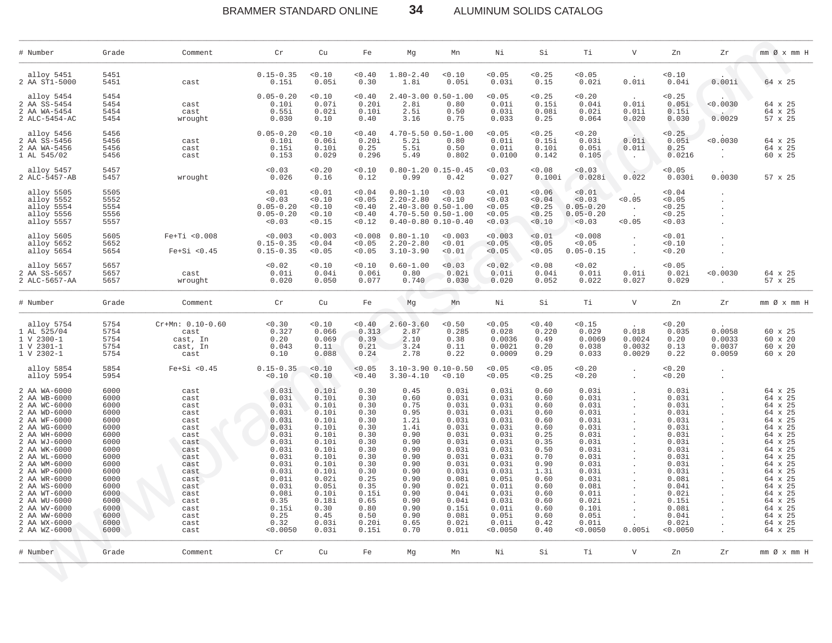# BRAMMER STANDARD ONLINE **34** ALUMINUM SOLIDS CATALOG

| # Number                                                                                                                                                                                                                                                                                                                     | Grade                                                                                                                                                        | Comment                                                                                                                                                      | Cr                                                                                                                                                                               | Cu                                                                                                                                                                             | Fe                                                                                                                                                              | Мg                                                                                                                                                           | Mn                                                                                                                                                                               | Νi                                                                                                                                                                                  | Si                                                                                                                                                           | Тi                                                                                                                                                                                  | V                                   | Zn                                                                                                                                                                                  | Zr                                   | mm Øx mm H                                                                                                                                                                                                               |
|------------------------------------------------------------------------------------------------------------------------------------------------------------------------------------------------------------------------------------------------------------------------------------------------------------------------------|--------------------------------------------------------------------------------------------------------------------------------------------------------------|--------------------------------------------------------------------------------------------------------------------------------------------------------------|----------------------------------------------------------------------------------------------------------------------------------------------------------------------------------|--------------------------------------------------------------------------------------------------------------------------------------------------------------------------------|-----------------------------------------------------------------------------------------------------------------------------------------------------------------|--------------------------------------------------------------------------------------------------------------------------------------------------------------|----------------------------------------------------------------------------------------------------------------------------------------------------------------------------------|-------------------------------------------------------------------------------------------------------------------------------------------------------------------------------------|--------------------------------------------------------------------------------------------------------------------------------------------------------------|-------------------------------------------------------------------------------------------------------------------------------------------------------------------------------------|-------------------------------------|-------------------------------------------------------------------------------------------------------------------------------------------------------------------------------------|--------------------------------------|--------------------------------------------------------------------------------------------------------------------------------------------------------------------------------------------------------------------------|
| alloy 5451<br>2 AA ST1-5000                                                                                                                                                                                                                                                                                                  | 5451<br>5451                                                                                                                                                 | cast                                                                                                                                                         | $0.15 - 0.35$<br>0.15i                                                                                                                                                           | < 0.10<br>0.05i                                                                                                                                                                | 0.40<br>0.30                                                                                                                                                    | $1.80 - 2.40$<br>1.8i                                                                                                                                        | < 0.10<br>0.05i                                                                                                                                                                  | < 0.05<br>0.03i                                                                                                                                                                     | 0.25<br>0.15                                                                                                                                                 | < 0.05<br>0.02i                                                                                                                                                                     | 0.01i                               | 0.10<br>0.04i                                                                                                                                                                       | 0.001i                               | 64 x 25                                                                                                                                                                                                                  |
| alloy 5454<br>2 AA SS-5454<br>2 AA WA-5454<br>2 ALC-5454-AC                                                                                                                                                                                                                                                                  | 5454<br>5454<br>5454<br>5454                                                                                                                                 | cast<br>cast<br>wrought                                                                                                                                      | $0.05 - 0.20$<br>0.10i<br>0.55i<br>0.030                                                                                                                                         | 0.10<br>0.07i<br>0.02i<br>0.10                                                                                                                                                 | 0.40<br>0.20i<br>0.10i<br>0.40                                                                                                                                  | $2.40 - 3.00$<br>2.8i<br>2.5i<br>3.16                                                                                                                        | $0.50 - 1.00$<br>0.80<br>0.50<br>0.75                                                                                                                                            | < 0.05<br>0.01i<br>0.03i<br>0.033                                                                                                                                                   | < 0.25<br>0.15i<br>0.08i<br>0.25                                                                                                                             | 0.20<br>0.04i<br>0.02i<br>0.064                                                                                                                                                     | 0.01i<br>0.01i<br>0.020             | < 0.25<br>0.05i<br>0.15i<br>0.030                                                                                                                                                   | < 0.0030<br>0.0029                   | 64 x 25<br>64 x 25<br>57 x 25                                                                                                                                                                                            |
| alloy 5456<br>2 AA SS-5456<br>2 AA WA-5456<br>1 AL 545/02                                                                                                                                                                                                                                                                    | 5456<br>5456<br>5456<br>5456                                                                                                                                 | cast<br>cast<br>cast                                                                                                                                         | $0.05 - 0.20$<br>0.10i<br>0.15i<br>0.153                                                                                                                                         | 0.10<br>0.06i<br>0.10i<br>0.029                                                                                                                                                | 0.40<br>0.20i<br>0.25<br>0.296                                                                                                                                  | $4.70 - 5.50$<br>5.2i<br>5.5i<br>5.49                                                                                                                        | $0.50 - 1.00$<br>0.80<br>0.50<br>0.802                                                                                                                                           | < 0.05<br>0.01i<br>0.01i<br>0.0100                                                                                                                                                  | < 0.25<br>0.15i<br>0.10i<br>0.142                                                                                                                            | 0.20<br>0.03i<br>0.05i<br>0.105                                                                                                                                                     | 0.01i<br>0.01i<br>$\cdot$           | < 0.25<br>0.05i<br>0.25<br>0.0216                                                                                                                                                   | < 0.0030                             | 64 x 25<br>64 x 25<br>60 x 25                                                                                                                                                                                            |
| alloy 5457<br>2 ALC-5457-AB                                                                                                                                                                                                                                                                                                  | 5457<br>5457                                                                                                                                                 | wrought                                                                                                                                                      | < 0.03<br>0.026                                                                                                                                                                  | 0.20<br>0.16                                                                                                                                                                   | 0.10<br>0.12                                                                                                                                                    | 0.99                                                                                                                                                         | $0.80 - 1.20$ $0.15 - 0.45$<br>0.42                                                                                                                                              | 0.03<br>0.027                                                                                                                                                                       | 0.08<br>0.100i                                                                                                                                               | < 0.03<br>0.028i                                                                                                                                                                    | 0.022                               | < 0.05<br>0.030i                                                                                                                                                                    | 0.0030                               | 57 x 25                                                                                                                                                                                                                  |
| alloy 5505<br>alloy 5552<br>alloy 5554<br>alloy 5556<br>alloy 5557                                                                                                                                                                                                                                                           | 5505<br>5552<br>5554<br>5556<br>5557                                                                                                                         |                                                                                                                                                              | 0.01<br>0.03<br>$0.05 - 0.20$<br>$0.05 - 0.20$<br>< 0.03                                                                                                                         | < 0.01<br>0.10<br>< 0.10<br>< 0.10<br>< 0.15                                                                                                                                   | 0.04<br>< 0.05<br>0.40<br>0.40<br>< 0.12                                                                                                                        | $0.80 - 1.10$<br>$2.20 - 2.80$                                                                                                                               | 0.03<br>0.10<br>$2.40 - 3.00$ $0.50 - 1.00$<br>$4.70 - 5.50$ $0.50 - 1.00$<br>$0.40 - 0.80$ $0.10 - 0.40$                                                                        | 0.01<br>0.03<br>< 0.05<br>0.05<br>< 0.03                                                                                                                                            | 0.06<br>0.04<br>< 0.25<br>< 0.25<br>0.10                                                                                                                     | < 0.01<br>< 0.03<br>$0.05 - 0.20$<br>$0.05 - 0.20$<br>< 0.03                                                                                                                        | 0.05<br>< 0.05                      | < 0.04<br>< 0.05<br>< 0.25<br>< 0.25<br>0.03                                                                                                                                        |                                      |                                                                                                                                                                                                                          |
| alloy 5605<br>alloy 5652<br>alloy 5654                                                                                                                                                                                                                                                                                       | 5605<br>5652<br>5654                                                                                                                                         | $Fe+Ti < 0.008$<br>$Fe+Si < 0.45$                                                                                                                            | < 0.003<br>$0.15 - 0.35$<br>$0.15 - 0.35$                                                                                                                                        | < 0.003<br>0.04<br>< 0.05                                                                                                                                                      | < 0.008<br>< 0.05<br>< 0.05                                                                                                                                     | $0.80 - 1.10$<br>$2.20 - 2.80$<br>$3.10 - 3.90$                                                                                                              | 0.003<br>< 0.01<br>0.01                                                                                                                                                          | < 0.003<br>< 0.05<br>0.05                                                                                                                                                           | < 0.01<br>< 0.05<br>< 0.05                                                                                                                                   | < 0.008<br>< 0.05<br>$0.05 - 0.15$                                                                                                                                                  | $\cdot$<br>$\cdot$                  | < 0.01<br>0.10<br>0.20                                                                                                                                                              |                                      |                                                                                                                                                                                                                          |
| alloy 5657<br>2 AA SS-5657<br>2 ALC-5657-AA                                                                                                                                                                                                                                                                                  | 5657<br>5657<br>5657                                                                                                                                         | cast<br>wrought                                                                                                                                              | < 0.02<br>0.01i<br>0.020                                                                                                                                                         | 0.10<br>0.04i<br>0.050                                                                                                                                                         | 0.10<br>0.06i<br>0.077                                                                                                                                          | $0.60 - 1.00$<br>0.80<br>0.740                                                                                                                               | 0.03<br>0.02i<br>0.030                                                                                                                                                           | < 0.02<br>0.01i<br>0.020                                                                                                                                                            | 0.08<br>0.04i<br>0.052                                                                                                                                       | 0.02<br>0.01i<br>0.022                                                                                                                                                              | 0.01i<br>0.027                      | < 0.05<br>0.02i<br>0.029                                                                                                                                                            | < 0.0030                             | 64 x 25<br>57 x 25                                                                                                                                                                                                       |
| # Number                                                                                                                                                                                                                                                                                                                     | Grade                                                                                                                                                        | Comment                                                                                                                                                      | Cr                                                                                                                                                                               | Cu                                                                                                                                                                             | Fe                                                                                                                                                              | Mg                                                                                                                                                           | Mn                                                                                                                                                                               | Νi                                                                                                                                                                                  | Si                                                                                                                                                           | Тi                                                                                                                                                                                  | V                                   | Zn                                                                                                                                                                                  | Zr                                   | mm Øx mm H                                                                                                                                                                                                               |
| alloy 5754<br>1 AL 525/04<br>1 V 2300-1<br>$1 V 2301 - 1$<br>1 V 2302-1                                                                                                                                                                                                                                                      | 5754<br>5754<br>5754<br>5754<br>5754                                                                                                                         | $Cr+Mn: 0.10-0.60$<br>cast<br>cast, In<br>cast, In<br>cast                                                                                                   | 0.30<br>0.327<br>0.20<br>0.043<br>0.10                                                                                                                                           | < 0.10<br>0.066<br>0.069<br>0.11<br>0.088                                                                                                                                      | 0.40<br>0.313<br>0.39<br>0.21<br>0.24                                                                                                                           | $2.60 - 3.60$<br>2.87<br>2.10<br>3.24<br>2.78                                                                                                                | < 0.50<br>0.285<br>0.38<br>0.11<br>0.22                                                                                                                                          | 0.05<br>0.028<br>0.0036<br>0.0021<br>0.0009                                                                                                                                         | 0.40<br>0.220<br>0.49<br>0.20<br>0.29                                                                                                                        | < 0.15<br>0.029<br>0.0069<br>0.038<br>0.033                                                                                                                                         | 0.018<br>0.0024<br>0.0032<br>0.0029 | 0.20<br>0.035<br>0.20<br>0.13<br>0.22                                                                                                                                               | 0.0058<br>0.0033<br>0.0037<br>0.0059 | 60 x 25<br>60 x 20<br>60 x 20<br>60 x 20                                                                                                                                                                                 |
| alloy 5854<br>alloy 5954                                                                                                                                                                                                                                                                                                     | 5854<br>5954                                                                                                                                                 | $Fe+Si < 0.45$                                                                                                                                               | $0.15 - 0.35$<br>0.10                                                                                                                                                            | < 0.10<br>0.10                                                                                                                                                                 | < 0.05<br>< 0.40                                                                                                                                                | $3.10 - 3.90$<br>$3.30 - 4.10$                                                                                                                               | $0.10 - 0.50$<br>0.10                                                                                                                                                            | < 0.05<br>0.05                                                                                                                                                                      | < 0.05<br>< 0.25                                                                                                                                             | < 0.20<br>< 0.20                                                                                                                                                                    | $\cdot$                             | < 0.20<br>0.20                                                                                                                                                                      |                                      |                                                                                                                                                                                                                          |
| 2 AA WA-6000<br>2 AA WB-6000<br>2 AA WC-6000<br>2 AA WD-6000<br>2 AA WF-6000<br>2 AA WG-6000<br>2 AA WH-6000<br>2 AA WJ-6000<br>2 AA WK-6000<br>2 AA WL-6000<br>2 AA WM-6000<br>2 AA WP-6000<br>2 AA WR-6000<br>2 AA WS-6000<br>2 AA WT-6000<br>2 AA WU-6000<br>2 AA WV-6000<br>2 AA WW-6000<br>2 AA WX-6000<br>2 AA WZ-6000 | 6000<br>6000<br>6000<br>6000<br>6000<br>6000<br>6000<br>6000<br>6000<br>6000<br>6000<br>6000<br>6000<br>6000<br>6000<br>6000<br>6000<br>6000<br>6000<br>6000 | cast<br>cast<br>cast<br>cast<br>cast<br>cast<br>cast<br>cast<br>cast<br>cast<br>cast<br>cast<br>cast<br>cast<br>cast<br>cast<br>cast<br>cast<br>cast<br>cast | 0.03i<br>0.03i<br>0.03i<br>0.03i<br>0.03i<br>0.03i<br>0.03i<br>0.03i<br>0.03i<br>0.03i<br>0.03i<br>0.03i<br>0.01i<br>0.03i<br>0.08i<br>0.35<br>0.15i<br>0.25<br>0.32<br>< 0.0050 | 0.10i<br>0.10i<br>0.10i<br>0.10i<br>0.10i<br>0.10i<br>0.10i<br>0.10i<br>0.10i<br>0.10i<br>0.10i<br>0.10i<br>0.02i<br>0.05i<br>0.10i<br>0.18i<br>0.30<br>0.45<br>0.03i<br>0.03i | 0.30<br>0.30<br>0.30<br>0.30<br>0.30<br>0.30<br>0.30<br>0.30<br>0.30<br>0.30<br>0.30<br>0.30<br>0.25<br>0.35<br>0.15i<br>0.65<br>0.80<br>0.50<br>0.20i<br>0.15i | 0.45<br>0.60<br>0.75<br>0.95<br>1.2i<br>1.4i<br>0.90<br>0.90<br>0.90<br>0.90<br>0.90<br>0.90<br>0.90<br>0.90<br>0.90<br>0.90<br>0.90<br>0.90<br>0.65<br>0.70 | 0.03i<br>0.03i<br>0.03i<br>0.03i<br>0.03i<br>0.03i<br>0.03i<br>0.03i<br>0.03i<br>0.03i<br>0.03i<br>0.03i<br>0.08i<br>0.02i<br>0.04i<br>0.04i<br>0.15i<br>0.08i<br>0.02i<br>0.01i | 0.03i<br>0.03i<br>0.03i<br>0.03i<br>0.03i<br>0.03i<br>0.03i<br>0.03i<br>0.03i<br>0.03i<br>0.03i<br>0.03i<br>0.05i<br>0.01i<br>0.03i<br>0.03i<br>0.01i<br>0.05i<br>0.01i<br>< 0.0050 | 0.60<br>0.60<br>0.60<br>0.60<br>0.60<br>0.60<br>0.25<br>0.35<br>0.50<br>0.70<br>0.90<br>1.3i<br>0.60<br>0.60<br>0.60<br>0.60<br>0.60<br>0.60<br>0.42<br>0.40 | 0.03i<br>0.03i<br>0.03i<br>0.03i<br>0.03i<br>0.03i<br>0.03i<br>0.03i<br>0.03i<br>0.03i<br>0.03i<br>0.03i<br>0.03i<br>0.08i<br>0.01i<br>0.02i<br>0.10i<br>0.05i<br>0.01i<br>< 0.0050 | $\ddot{\phantom{a}}$<br>0.005i      | 0.03i<br>0.03i<br>0.03i<br>0.03i<br>0.03i<br>0.03i<br>0.03i<br>0.03i<br>0.03i<br>0.03i<br>0.03i<br>0.03i<br>0.08i<br>0.04i<br>0.02i<br>0.15i<br>0.08i<br>0.04i<br>0.02i<br>< 0.0050 |                                      | 64 x 25<br>64 x 25<br>64 x 25<br>64 x 25<br>64 x 25<br>64 x 25<br>64 x 25<br>64 x 25<br>64 x 25<br>64 x 25<br>64 x 25<br>64 x 25<br>64 x 25<br>64 x 25<br>64 x 25<br>64 x 25<br>64 x 25<br>64 x 25<br>64 x 25<br>64 x 25 |
| # Number                                                                                                                                                                                                                                                                                                                     | Grade                                                                                                                                                        | Comment                                                                                                                                                      | Cr                                                                                                                                                                               | Cu                                                                                                                                                                             | Fe                                                                                                                                                              | Мg                                                                                                                                                           | Mn                                                                                                                                                                               | Νi                                                                                                                                                                                  | Si                                                                                                                                                           | Тi                                                                                                                                                                                  | $\mathbf V$                         | Zn                                                                                                                                                                                  | Ζr                                   | mm Ø x mm H                                                                                                                                                                                                              |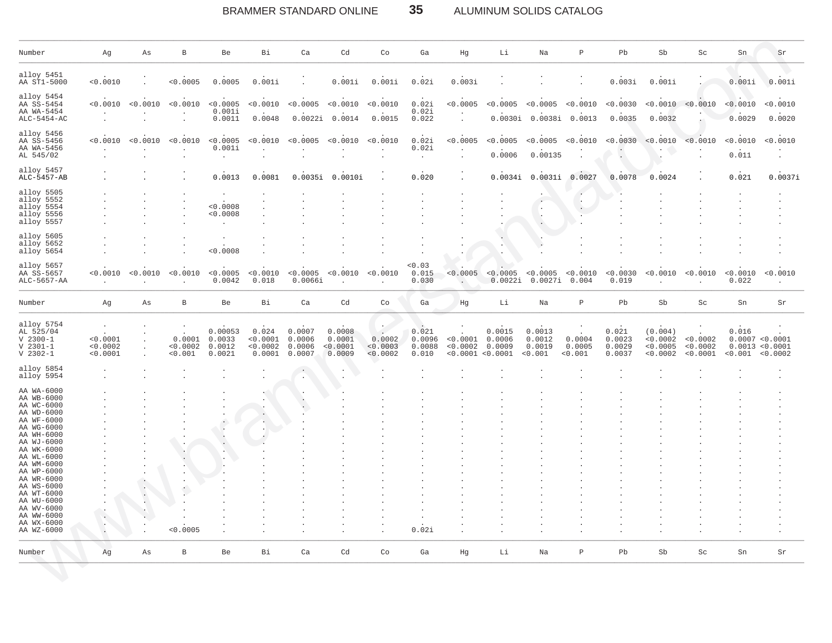#### 35 ALUMINUM SOLIDS CATALOG BRAMMER STANDARD ONLINE

| Number                                              | Αg                   | Αs                    | В                   | Be                 | Вi                  | Ca                  | Cd                  | Co                   | Ga                        | Hg                       | Li                               | Na                        | $\, {\bf P}$        | Pb                | ${\rm Sb}$                       | Sc                   | Sn                | Sr                                      |
|-----------------------------------------------------|----------------------|-----------------------|---------------------|--------------------|---------------------|---------------------|---------------------|----------------------|---------------------------|--------------------------|----------------------------------|---------------------------|---------------------|-------------------|----------------------------------|----------------------|-------------------|-----------------------------------------|
| alloy 5451<br>AA ST1-5000                           | < 0.0010             |                       | < 0.0005            | 0.0005             | 0.001i              |                     | 0.001i              | 0.001i               | 0.02i                     | 0.003i                   |                                  |                           |                     | 0.003i            | 0.001i                           |                      | 0.001i            | 0.001i                                  |
| alloy 5454<br>AA SS-5454<br>AA WA-5454              |                      | $< 0.0010$ $< 0.0010$ | < 0.0010            | < 0.0005<br>0.001i | < 0.0010            | < 0.0005 < 0.0010   |                     | < 0.0010             | 0.02i<br>0.02i            | < 0.0005                 | < 0.0005                         | < 0.0005                  | < 0.0010            | < 0.0030          |                                  | < 0.0010 < 0.0010    | < 0.0010          | < 0.0010                                |
| $ALC-5454-AC$                                       |                      |                       |                     | 0.0011             | 0.0048              |                     | 0.0022i 0.0014      | 0.0015               | 0.022                     |                          |                                  | 0.0030i 0.0038i 0.0013    |                     | 0.0035            | 0.0032                           |                      | 0.0029            | 0.0020                                  |
| alloy 5456<br>AA SS-5456<br>AA WA-5456<br>AL 545/02 | < 0.0010             | < 0.0010              | < 0.0010            | < 0.0005<br>0.001i | < 0.0010<br>$\cdot$ | < 0.0005 < 0.0010   |                     | < 0.0010             | 0.02i<br>0.02i<br>$\cdot$ | < 0.0005<br>$\cdot$      | < 0.0005<br>0.0006               | < 0.0005<br>0.00135       | < 0.0010<br>$\cdot$ | < 0.0030          | < 0.0010                         | < 0.0010             | < 0.0010<br>0.011 | < 0.0010                                |
| alloy 5457<br>ALC-5457-AB                           |                      |                       |                     | 0.0013             | 0.0081              | 0.0035i             | 0.0010i             |                      | 0.020                     |                          | 0.0034i                          | 0.0031i                   | 0.0027              | 0.0078            | 0.0024                           |                      | 0.021             | 0.0037i                                 |
| alloy 5505                                          |                      |                       |                     |                    |                     |                     |                     |                      |                           |                          |                                  |                           |                     |                   |                                  |                      |                   |                                         |
| alloy 5552                                          |                      |                       |                     |                    |                     |                     |                     |                      |                           |                          |                                  | $\cdot$                   | $\cdot$             |                   |                                  |                      |                   |                                         |
| alloy 5554<br>alloy 5556                            |                      |                       |                     | < 0.0008<br>0.0008 |                     |                     |                     |                      |                           |                          |                                  | $\cdot$                   | $\sim$              |                   |                                  |                      |                   |                                         |
| alloy 5557                                          |                      |                       |                     | $\cdot$            |                     |                     |                     |                      |                           |                          |                                  |                           |                     |                   |                                  |                      |                   |                                         |
| alloy 5605                                          |                      |                       |                     |                    |                     |                     |                     |                      |                           |                          |                                  |                           |                     |                   |                                  |                      |                   |                                         |
| alloy 5652                                          |                      |                       |                     |                    |                     |                     |                     |                      |                           |                          |                                  |                           |                     |                   |                                  |                      |                   |                                         |
| alloy 5654                                          |                      |                       |                     | < 0.0008           |                     |                     |                     |                      |                           |                          |                                  |                           |                     |                   |                                  |                      |                   |                                         |
| alloy 5657<br>AA SS-5657<br>ALC-5657-AA             | $\cdot$              | < 0.0010 < 0.0010     | < 0.0010            | < 0.0005<br>0.0042 | < 0.0010<br>0.018   | < 0.0005<br>0.0066i | < 0.0010<br>$\cdot$ | < 0.0010<br>$\cdot$  | 0.03<br>0.015<br>0.030    | $\overline{\phantom{a}}$ | $< 0.0005$ $< 0.0005$<br>0.0022i | < 0.0005<br>0.0027i 0.004 | < 0.0010            | < 0.0030<br>0.019 | < 0.0010<br>$\ddot{\phantom{a}}$ | < 0.0010<br>$\cdot$  | < 0.0010<br>0.022 | < 0.0010                                |
| Number                                              | Αg                   | Αs                    | $\, {\bf B}$        | Be                 | Вi                  | Ca                  | Cd                  | Co                   | Ga                        | Hg                       | Li                               | Na                        | $\, {\bf P}$        | Pb                | Sb                               | $\operatorname{Sc}$  | Sn                | Sr                                      |
|                                                     |                      |                       |                     |                    |                     |                     |                     |                      |                           |                          |                                  |                           |                     |                   |                                  |                      |                   |                                         |
| alloy 5754<br>AL 525/04                             |                      |                       |                     | 0.00053            | 0.024               | 0.0007              | 0.0008              |                      | 0.021                     |                          | 0.0015                           | 0.0013                    |                     | 0.021             | (0.004)                          |                      | 0.016             |                                         |
| $V 2300 - 1$                                        | < 0.0001             |                       | 0.0001              | 0.0033             | < 0.0001            | 0.0006              | 0.0001              | 0.0002               | 0.0096                    | < 0.0001                 | 0.0006                           | 0.0012                    | 0.0004              | 0.0023            | < 0.0002                         | < 0.0002             |                   | 0.0007 < 0.0001                         |
| $V 2301 - 1$<br>$V$ 2302-1                          | < 0.0002<br>< 0.0001 | $\cdot$               | < 0.0002<br>< 0.001 | 0.0012<br>0.0021   | < 0.0002<br>0.0001  | 0.0006<br>0.0007    | < 0.0001<br>0.0009  | < 0.0003<br>< 0.0002 | 0.0088<br>0.010           | < 0.0002                 | 0.0009<br>< 0.0001 < 0.0001      | 0.0019<br>< 0.001         | 0.0005<br>< 0.001   | 0.0029<br>0.0037  | < 0.0005<br>< 0.0002             | < 0.0002<br>< 0.0001 |                   | 0.0013 < 0.0001<br>$< 0.001$ $< 0.0002$ |
|                                                     |                      |                       |                     |                    |                     |                     |                     |                      |                           |                          |                                  |                           |                     |                   |                                  |                      |                   |                                         |
| alloy 5854<br>alloy 5954                            |                      |                       |                     |                    |                     |                     |                     |                      |                           |                          |                                  |                           |                     |                   |                                  |                      |                   |                                         |
|                                                     |                      |                       |                     |                    |                     |                     |                     |                      |                           |                          |                                  |                           |                     |                   |                                  |                      |                   |                                         |
| AA WA-6000<br>AA WB-6000                            |                      |                       |                     |                    |                     |                     |                     |                      |                           |                          |                                  |                           |                     |                   |                                  |                      |                   |                                         |
| AA WC-6000                                          |                      |                       |                     |                    |                     |                     |                     |                      |                           |                          |                                  |                           |                     |                   |                                  |                      |                   |                                         |
| AA WD-6000                                          |                      |                       |                     |                    |                     |                     |                     |                      |                           |                          |                                  |                           |                     |                   |                                  |                      |                   |                                         |
| AA WF-6000                                          |                      |                       |                     |                    |                     |                     |                     |                      |                           |                          |                                  |                           |                     |                   |                                  |                      |                   |                                         |
| AA WG-6000                                          |                      |                       |                     |                    |                     |                     |                     |                      |                           |                          |                                  |                           |                     |                   |                                  |                      |                   |                                         |
| AA WH-6000                                          |                      |                       |                     |                    |                     |                     |                     |                      |                           |                          |                                  |                           |                     |                   |                                  |                      |                   |                                         |
| AA WJ-6000                                          |                      |                       |                     |                    |                     |                     |                     |                      |                           |                          |                                  |                           |                     |                   |                                  |                      |                   |                                         |
| AA WK-6000<br>AA WL-6000                            |                      |                       |                     |                    |                     |                     |                     |                      |                           |                          |                                  |                           |                     |                   |                                  |                      |                   |                                         |
| AA WM-6000                                          |                      |                       |                     |                    |                     |                     |                     |                      |                           |                          |                                  |                           |                     |                   |                                  |                      |                   |                                         |
| AA WP-6000                                          |                      |                       |                     |                    |                     |                     |                     |                      |                           |                          |                                  |                           |                     |                   |                                  |                      |                   |                                         |
| AA WR-6000                                          |                      |                       |                     |                    |                     |                     |                     |                      |                           |                          |                                  |                           |                     |                   |                                  |                      |                   |                                         |
| AA WS-6000                                          |                      |                       |                     |                    |                     |                     |                     |                      |                           |                          |                                  |                           |                     |                   |                                  |                      |                   |                                         |
| AA WT-6000                                          |                      |                       |                     |                    |                     |                     |                     |                      |                           |                          |                                  |                           |                     |                   |                                  |                      |                   |                                         |
| AA WU-6000                                          |                      |                       |                     |                    |                     |                     |                     |                      |                           |                          |                                  |                           |                     |                   |                                  |                      |                   |                                         |
| AA WV-6000                                          |                      |                       |                     |                    |                     |                     |                     |                      |                           |                          |                                  |                           |                     |                   |                                  |                      |                   |                                         |
| AA WW-6000                                          | $\cdot$              |                       |                     |                    |                     |                     |                     |                      |                           |                          |                                  |                           |                     |                   |                                  |                      |                   |                                         |
| AA WX-6000<br>AA WZ-6000                            |                      |                       | < 0.0005            |                    |                     |                     |                     |                      | 0.02i                     |                          |                                  |                           |                     |                   |                                  |                      |                   |                                         |
|                                                     |                      |                       |                     |                    |                     |                     |                     |                      |                           |                          |                                  |                           |                     |                   |                                  |                      |                   |                                         |
| Number                                              | Ag                   | Αs                    | $\, {\bf B}$        | Be                 | Вi                  | Ca                  | Cd                  | Co                   | Ga                        | Hg                       | Li                               | Na                        | $\, {\bf P}$        | Pb                | Sb                               | Sc                   | ${\rm Sn}$        | Sr                                      |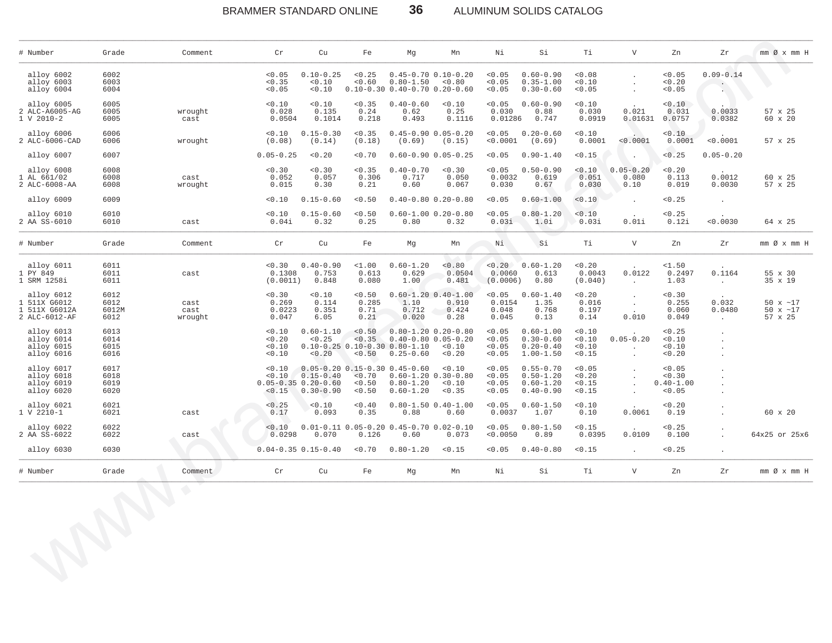### BRAMMER STANDARD ONLINE **36** ALUMINUM SOLIDS CATALOG

\_\_\_\_\_\_\_\_\_\_\_\_\_\_\_\_\_\_\_\_\_\_\_\_\_\_\_\_\_\_\_\_\_\_\_\_\_\_\_\_\_\_\_\_\_\_\_\_\_\_\_\_\_\_\_\_\_\_\_\_\_\_\_\_\_\_\_\_\_\_\_\_\_\_\_\_\_\_\_\_\_\_\_\_\_\_\_\_\_\_\_\_\_\_\_\_\_\_\_\_\_\_\_\_\_\_\_\_\_\_\_\_\_\_\_\_\_\_\_\_\_\_\_\_\_\_\_\_\_\_\_\_\_\_\_\_\_\_\_\_\_\_\_\_\_\_\_\_\_\_\_\_\_\_\_\_\_\_\_\_\_\_\_\_\_\_\_\_\_\_\_\_\_\_\_\_\_\_\_\_\_\_

| # Number                                                 | Grade                         | Comment                 | $\operatorname{Cr}$                  | Cu                                                                                                                | Fe                              | Mg                                                                                                                        | Mn                                  | Ni                                   | Si                                                               | Ti                                   | $\mathbf{V}$                       | Zn                                          | Zr                                          | $mm \oslash x$ $mm$ H                       |
|----------------------------------------------------------|-------------------------------|-------------------------|--------------------------------------|-------------------------------------------------------------------------------------------------------------------|---------------------------------|---------------------------------------------------------------------------------------------------------------------------|-------------------------------------|--------------------------------------|------------------------------------------------------------------|--------------------------------------|------------------------------------|---------------------------------------------|---------------------------------------------|---------------------------------------------|
| alloy 6002<br>alloy 6003<br>alloy 6004                   | 6002<br>6003<br>6004          |                         | < 0.05<br>< 0.35<br>< 0.05           | $0.10 - 0.25$<br>< 0.10<br>< 0.10                                                                                 | < 0.25<br>< 0.60                | $0.45 - 0.70$ $0.10 - 0.20$<br>$0.80 - 1.50 < 0.80$<br>$0.10 - 0.30$ $0.40 - 0.70$ $0.20 - 0.60$                          |                                     | < 0.05<br>< 0.05<br>< 0.05           | $0.60 - 0.90$<br>$0.35 - 1.00$<br>$0.30 - 0.60$                  | < 0.08<br>< 0.10<br>< 0.05           |                                    | < 0.05<br>< 0.20<br>< 0.05                  | $0.09 - 0.14$<br>$\sim$ 100 $\pm$           | O)                                          |
| alloy 6005<br>2 ALC-A6005-AG<br>$V$ 2010-2<br>1          | 6005<br>6005<br>6005          | wrought<br>cast         | < 0.10<br>0.028<br>0.0504            | < 0.10<br>0.135<br>0.1014                                                                                         | < 0.35<br>0.24<br>0.218         | $0.40 - 0.60$<br>0.62<br>0.493                                                                                            | < 0.10<br>0.25<br>0.1116            | < 0.05<br>0.030                      | $0.60 - 0.90$<br>0.88<br>0.01286 0.747                           | < 0.10<br>0.030<br>0.0919            | 0.021                              | < 0.10<br>0.031<br>0.01631 0.0757           | 0.0033<br>0.0382                            | 57 x 25<br>60 x 20                          |
| alloy 6006<br>2 ALC-6006-CAD                             | 6006<br>6006                  | wrought                 | < 0.10<br>(0.08)                     | $0.15 - 0.30$<br>(0.14)                                                                                           | < 0.35<br>(0.18)                | $0.45 - 0.90 0.05 - 0.20$<br>(0.69)                                                                                       | (0.15)                              | < 0.05                               | $0.20 - 0.60$<br>$< 0.0001$ (0.69)                               | < 0.10<br>0.0001                     | < 0.0001                           | < 0.10<br>0.0001                            | < 0.0001                                    | 57 x 25                                     |
| alloy 6007                                               | 6007                          |                         | $0.05 - 0.25$                        | < 0.20                                                                                                            | < 0.70                          | $0.60 - 0.90 0.05 - 0.25$                                                                                                 |                                     | < 0.05                               | $0.90 - 1.40$                                                    | < 0.15                               |                                    | < 0.25                                      | $0.05 - 0.20$                               |                                             |
| alloy 6008                                               | 6008                          |                         | < 0.30                               | < 0.30                                                                                                            | < 0.35                          | $0.40 - 0.70$                                                                                                             | < 0.30                              | < 0.05                               | $0.50 - 0.90$                                                    | < 0.10                               | $0.05 - 0.20$                      | < 0.20                                      |                                             |                                             |
| AL 661/02<br>2 ALC-6008-AA                               | 6008<br>6008                  | cast<br>wrought         | 0.052<br>0.015                       | 0.057<br>0.30                                                                                                     | 0.306<br>0.21                   | 0.717<br>0.60                                                                                                             | 0.050<br>0.067                      | 0.0032<br>0.030                      | 0.619<br>0.67                                                    | 0.051<br>0.030                       | 0.080<br>0.10                      | 0.113<br>0.019                              | 0.0012<br>0.0030                            | 60 x 25<br>57 x 25                          |
| alloy 6009                                               | 6009                          |                         | < 0.10                               | $0.15 - 0.60$                                                                                                     | < 0.50                          | $0.40 - 0.80$ $0.20 - 0.80$                                                                                               |                                     | < 0.05                               | $0.60 - 1.00$                                                    | < 0.10                               |                                    | < 0.25                                      | $\ddot{\phantom{a}}$                        |                                             |
| alloy 6010<br>2 AA SS-6010                               | 6010<br>6010                  | cast                    | < 0.10<br>0.04i                      | $0.15 - 0.60$<br>0.32                                                                                             | < 0.50<br>0.25                  | 0.80                                                                                                                      | $0.60 - 1.00 0.20 - 0.80$<br>0.32   | < 0.05<br>0.03i                      | $0.80 - 1.20$<br>1.0i                                            | 0.10<br>0.03i                        | 0.01i                              | < 0.25<br>0.12i                             | < 0.0030                                    | 64 x 25                                     |
| # Number                                                 | Grade                         | Comment                 | $\operatorname{Cr}$                  | Cu                                                                                                                | Fe                              | Mg                                                                                                                        | Mn                                  | Ni                                   | Si                                                               | Тi                                   | $\mathbf{V}$                       | Zn                                          | Ζr                                          | $mm \oslash x$ $mm$ H                       |
| alloy 6011<br>PY 849<br>SRM 1258i                        | 6011<br>6011<br>6011          | cast                    | 0.1308<br>(0.0011)                   | $0.30$ $0.40-0.90$<br>0.753<br>0.848                                                                              | $1.00$<br>0.613<br>0.080        | $0.60 - 1.20$<br>0.629<br>1.00                                                                                            | < 0.80<br>0.0504<br>0.481           |                                      | $< 0.20$ 0.60-1.20<br>$0.0060$ $0.613$<br>$(0.0006)$ 0.80        | < 0.20<br>0.0043<br>(0.040)          | 0.0122<br><b>Contract</b>          | $1.50$<br>0.2497<br>1.03                    | 0.1164<br><b>Contractor</b>                 | 55 x 30<br>35 x 19                          |
| alloy 6012<br>511X G6012<br>511X G6012A<br>2 ALC-6012-AF | 6012<br>6012<br>6012M<br>6012 | cast<br>cast<br>wrought | < 0.30<br>0.269<br>0.0223<br>0.047   | < 0.10<br>0.114<br>0.351<br>6.05                                                                                  | < 0.50<br>0.285<br>0.71<br>0.21 | $0.60 - 1.20$ $0.40 - 1.00$<br>1.10<br>0.712<br>0.020                                                                     | 0.910<br>0.424<br>0.28              | 0.0154<br>0.048<br>0.045             | $< 0.05$ 0.60-1.40<br>1.35<br>0.768<br>0.13                      | < 0.20<br>0.016<br>0.197<br>0.14     | $\sim$<br>$\sim 100$<br>0.010      | < 0.30<br>0.255<br>0.060<br>0.049           | 0.032<br>0.0480<br>$\sim 10^{-11}$          | 50 $x \sim 17$<br>50 $x \sim 17$<br>57 x 25 |
| alloy 6013<br>alloy 6014<br>alloy 6015<br>alloy 6016     | 6013<br>6014<br>6015<br>6016  |                         | < 0.10<br>< 0.20<br>< 0.10<br>< 0.10 | $0.60 - 1.10$<br>< 0.25<br>< 0.20                                                                                 |                                 | $< 0.50$ 0.80-1.20 0.20-0.80<br>$< 0.35$ 0.40-0.80 0.05-0.20<br>$0.10-0.25$ $0.10-0.30$ $0.80-1.10$<br>$< 0.50$ 0.25-0.60 | < 0.10<br>< 0.20                    | < 0.05<br>< 0.05<br>< 0.05<br>< 0.05 | $0.60 - 1.00$<br>$0.30 - 0.60$<br>$0.20 - 0.40$<br>$1.00 - 1.50$ | < 0.10<br>< 0.10<br>< 0.10<br>< 0.15 | $0.05 - 0.20$<br><b>Contractor</b> | < 0.25<br>< 0.10<br>< 0.10<br>< 0.20        | $\blacksquare$<br>$\blacksquare$<br>$\cdot$ |                                             |
| alloy 6017<br>alloy 6018<br>alloy 6019<br>alloy 6020     | 6017<br>6018<br>6019<br>6020  |                         |                                      | $0.10$ 0.05-0.20 0.15-0.30 0.45-0.60<br>$< 0.10$ $0.15 - 0.40$<br>$0.05 - 0.35 0.20 - 0.60$<br>$< 0.15$ 0.30-0.90 | < 0.50<br>< 0.50                | $< 0.70$ 0.60-1.20 0.30-0.80<br>$0.80 - 1.20$<br>$0.60 - 1.20$                                                            | < 0.10<br>< 0.10<br>< 0.35          | < 0.05<br>< 0.05<br>< 0.05<br>< 0.05 | $0.55 - 0.70$<br>$0.50 - 1.20$<br>$0.60 - 1.20$<br>$0.40 - 0.90$ | < 0.05<br>< 0.20<br>< 0.15<br>< 0.15 |                                    | < 0.05<br>< 0.30<br>$0.40 - 1.00$<br>< 0.05 |                                             |                                             |
| alloy 6021<br>$V 2210-1$                                 | 6021<br>6021                  | cast                    | < 0.25<br>0.17                       | < 0.10<br>0.093                                                                                                   | < 0.40<br>0.35                  | 0.88                                                                                                                      | $0.80 - 1.50$ $0.40 - 1.00$<br>0.60 |                                      | $< 0.05$ 0.60-1.50<br>$0.0037$ 1.07                              | < 0.10<br>0.10                       | 0.0061                             | < 0.20<br>0.19                              | $\blacksquare$                              | 60 x 20                                     |
| alloy 6022<br>2 AA SS-6022                               | 6022<br>6022                  | cast                    | 0.10<br>0.0298                       | $0.01-0.11$ $0.05-0.20$ $0.45-0.70$ $0.02-0.10$<br>0.070                                                          | 0.126                           | 0.60                                                                                                                      | 0.073                               | < 0.05<br>< 0.0050                   | $0.80 - 1.50$<br>0.89                                            | < 0.15<br>0.0395                     | 0.0109                             | < 0.25<br>0.100                             | $\mathbf{r}$                                | 64x25 or 25x6                               |
| alloy 6030                                               | 6030                          |                         |                                      | $0.04 - 0.35$ $0.15 - 0.40$                                                                                       | < 0.70                          | $0.80 - 1.20$                                                                                                             | < 0.15                              | < 0.05                               | $0.40 - 0.80$                                                    | < 0.15                               |                                    | < 0.25                                      | $\ddot{\phantom{a}}$                        |                                             |
| # Number                                                 | Grade                         | Comment                 | Cr                                   | Cu                                                                                                                | Fe                              | Mg                                                                                                                        | Mn                                  | Ni                                   | Si                                                               | Ti                                   | $\mathbf V$                        | Zn                                          | Zr                                          | $mm \oslash x$ $mm$ $H$                     |
|                                                          |                               | $\bigodot$              |                                      |                                                                                                                   |                                 |                                                                                                                           |                                     |                                      |                                                                  |                                      |                                    |                                             |                                             |                                             |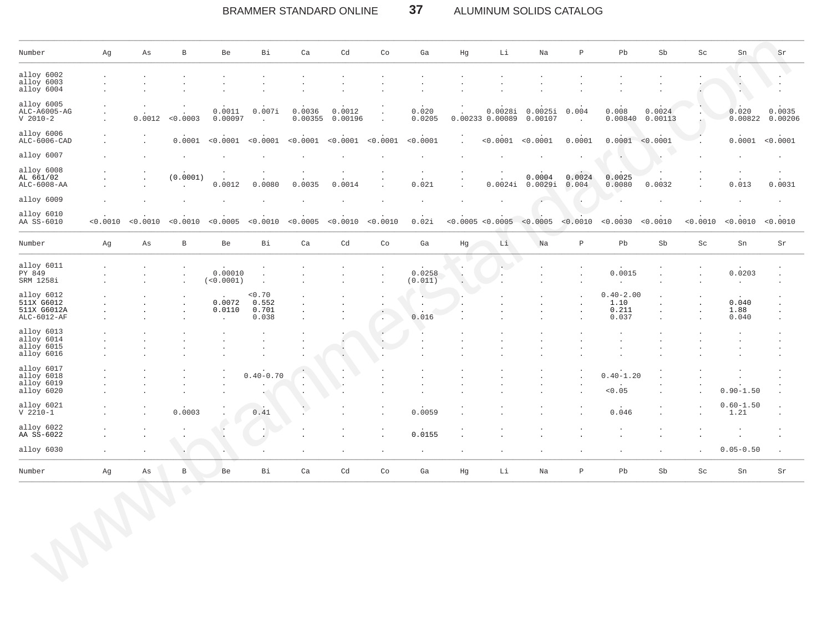#### BRAMMER STANDARD ONLINE 37 ALUMINUM SOLIDS CATALOG

| Number                                                 | Αg        | As       | $\, {\bf B}$        | Be                             | Вi                                | Ca                | Cd                | Co                         | Ga                                        | Hg                   | Li                             | Na                 | $\, {\bf p}$     | Pb                                      | Sb                | Sc                  | Sn                     | Sr                |
|--------------------------------------------------------|-----------|----------|---------------------|--------------------------------|-----------------------------------|-------------------|-------------------|----------------------------|-------------------------------------------|----------------------|--------------------------------|--------------------|------------------|-----------------------------------------|-------------------|---------------------|------------------------|-------------------|
| alloy 6002<br>alloy 6003<br>alloy 6004                 |           |          |                     |                                |                                   |                   |                   |                            |                                           |                      |                                |                    |                  |                                         |                   |                     |                        |                   |
| alloy 6005<br>ALC-A6005-AG<br>$V$ 2010-2               |           | 0.0012   | < 0.0003            | 0.0011<br>0.00097              | 0.007i                            | 0.0036<br>0.00355 | 0.0012<br>0.00196 | $\cdot$                    | 0.020<br>0.0205                           |                      | 0.0028i<br>0.00233 0.00089     | 0.0025i<br>0.00107 | 0.004            | 0.008<br>0.00840                        | 0.0024<br>0.00113 |                     | 0.020<br>0.00822       | 0.0035<br>0.00206 |
| alloy 6006<br>ALC-6006-CAD                             |           |          | 0.0001              | < 0.0001                       | < 0.0001                          | < 0.0001          | < 0.0001          | < 0.0001                   | < 0.0001                                  | $\ddot{\phantom{a}}$ | < 0.0001                       | < 0.0001           | 0.0001           | 0.0001                                  | < 0.0001          |                     | 0.0001 < 0.0001        |                   |
| alloy 6007                                             |           |          |                     |                                |                                   |                   |                   |                            |                                           |                      |                                |                    |                  |                                         |                   |                     |                        |                   |
| alloy 6008<br>AL 661/02<br>ALC-6008-AA                 |           |          | (0.0001)<br>$\cdot$ | 0.0012                         | 0.0080                            | 0.0035            | 0.0014            |                            | 0.021                                     |                      | 0.0024i                        | 0.0004<br>0.0029i  | 0.0024<br>0.004  | 0.0025<br>0.0080                        | 0.0032            |                     | 0.013                  | 0.0031            |
| alloy 6009                                             |           |          |                     |                                |                                   |                   |                   |                            |                                           |                      |                                |                    |                  |                                         |                   |                     |                        |                   |
| alloy 6010<br>AA SS-6010                               | < 0.0010  | < 0.0010 | < 0.0010            | < 0.0005                       | < 0.0010                          | < 0.0005          | < 0.0010          | < 0.0010                   | 0.02i                                     |                      | < 0.0005 < 0.0005              | < 0.0005           | < 0.0010         | < 0.0030                                | < 0.0010          | < 0.0010            | < 0.0010               | < 0.0010          |
| Number                                                 | Αg        | Αs       | $\, {\bf B}$        | Be                             | Bi                                | Ca                | Cd                | $\mathop{\rm Co}\nolimits$ | Ga                                        | Hg                   | Li                             | Na                 | $\, {\mathbb P}$ | Pb                                      | Sb                | $\operatorname{Sc}$ | Sn                     | Sr                |
| alloy 6011<br>PY 849<br>SRM 1258i                      |           |          | $\cdot$             | 0.00010<br>(<0.0001)           | $\cdot$                           |                   |                   | $\cdot$                    | 0.0258<br>(0.011)                         | Ċ                    | $\sim$<br>$\ddot{\phantom{a}}$ |                    |                  | 0.0015                                  |                   |                     | 0.0203<br>$\cdot$      |                   |
| alloy 6012<br>511X G6012<br>511X G6012A<br>ALC-6012-AF |           |          |                     | 0.0072<br>0.0110<br>$\epsilon$ | < 0.70<br>0.552<br>0.701<br>0.038 |                   |                   | ٠.                         | $\sim$<br>$\bullet$<br>$\bullet$<br>0.016 |                      |                                |                    |                  | $0.40 - 2.00$<br>1.10<br>0.211<br>0.037 |                   | $\cdot$             | 0.040<br>1.88<br>0.040 |                   |
| alloy 6013<br>alloy 6014<br>alloy 6015<br>alloy 6016   |           |          |                     |                                |                                   |                   |                   | $\cdot$                    |                                           |                      |                                |                    |                  |                                         |                   |                     |                        |                   |
| alloy 6017<br>alloy 6018<br>alloy 6019<br>alloy 6020   |           |          |                     | $\ddot{\phantom{1}}$           | $0.40 - 0.70$                     |                   |                   |                            |                                           |                      |                                |                    |                  | $0.40 - 1.20$<br>< 0.05                 |                   |                     | $0.90 - 1.50$          |                   |
| alloy 6021<br>$V 2210-1$                               |           |          | 0.0003              |                                | 0.41                              |                   |                   |                            | 0.0059                                    |                      |                                |                    |                  | 0.046                                   |                   |                     | $0.60 - 1.50$<br>1.21  |                   |
| alloy 6022<br>AA SS-6022                               |           |          |                     |                                |                                   |                   |                   |                            | 0.0155                                    |                      |                                |                    |                  |                                         |                   |                     |                        |                   |
| alloy 6030                                             | $\bullet$ |          |                     |                                |                                   |                   |                   |                            | $\cdot$                                   |                      |                                |                    |                  |                                         |                   |                     | $0.05 - 0.50$          | $\cdot$           |
| Number                                                 | Αg        | As       | $\, {\bf B}$        | Be                             | Вi                                | Ca                | Cd                | Co                         | Ga                                        | Hg                   | Li                             | Na                 | $\, {\bf p}$     | Pb                                      | Sb                | Sc                  | Sn                     | Sr                |
| <b>MARY</b>                                            |           |          | $\bigodot$          |                                |                                   |                   |                   |                            |                                           |                      |                                |                    |                  |                                         |                   |                     |                        |                   |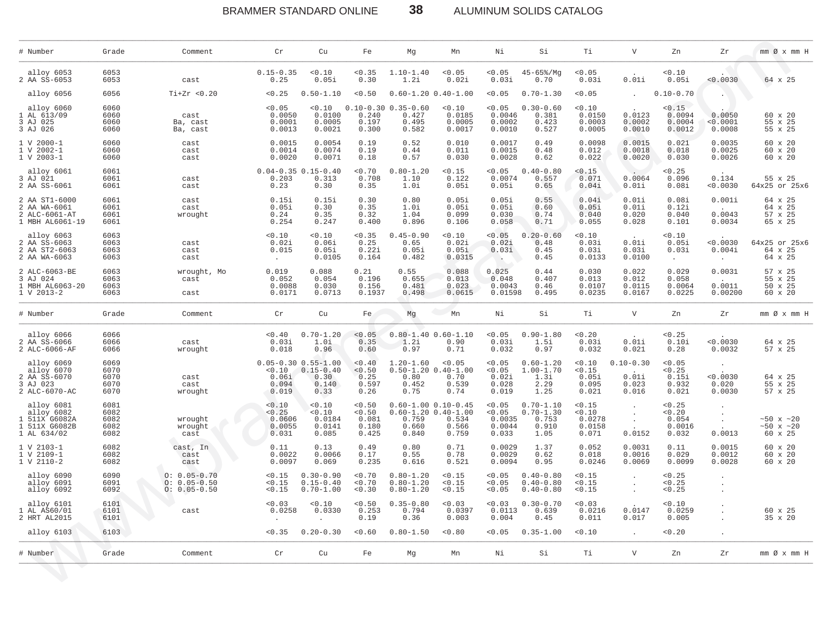38 BRAMMER STANDARD ONLINE ALUMINUM SOLIDS CATALOG

| alloy 6053<br>2 AA SS-6053                                                | 6053<br>6053                         |                                                          |                                                                |                                                 |                                             |                                                      |                                                                                   |                                               |                                                          |                                             |                                          |                                                |                                      |                                                 |
|---------------------------------------------------------------------------|--------------------------------------|----------------------------------------------------------|----------------------------------------------------------------|-------------------------------------------------|---------------------------------------------|------------------------------------------------------|-----------------------------------------------------------------------------------|-----------------------------------------------|----------------------------------------------------------|---------------------------------------------|------------------------------------------|------------------------------------------------|--------------------------------------|-------------------------------------------------|
|                                                                           |                                      | cast                                                     | $0.15 - 0.35$<br>0.25                                          | 0.10<br>0.05i                                   | < 0.35<br>0.30                              | $1.10 - 1.40$<br>1.2i                                | < 0.05<br>0.02i                                                                   | < 0.05<br>0.03i                               | $45 - 65\%$ /Mg<br>0.70                                  | < 0.05<br>0.03i                             | 0.01i                                    | 0.10<br>0.05i                                  | 0.0030                               | 64 x 25                                         |
| alloy 6056                                                                | 6056                                 | $Ti+Zr < 0.20$                                           | < 0.25                                                         | $0.50 - 1.10$                                   | < 0.50                                      |                                                      | $0.60 - 1.20$ $0.40 - 1.00$                                                       | < 0.05                                        | $0.70 - 1.30$                                            | < 0.05                                      |                                          | $0.10 - 0.70$                                  |                                      |                                                 |
| alloy 6060<br>1 AL 613/09<br>3 AJ 025<br>3 AJ 026                         | 6060<br>6060<br>6060<br>6060         | cast<br>Ba, cast<br>Ba, cast                             | < 0.05<br>0.0050<br>0.0001<br>0.0013                           | 0.10<br>0.0100<br>0.0005<br>0.0021              | 0.240<br>0.197<br>0.300                     | $0.10 - 0.30 0.35 - 0.60$<br>0.427<br>0.495<br>0.582 | < 0.10<br>0.0185<br>0.0005<br>0.0017                                              | < 0.05<br>0.0046<br>0.0002<br>0.0010          | $0.30 - 0.60$<br>0.381<br>0.423<br>0.527                 | 0.10<br>0.0150<br>0.0003<br>0.0005          | 0.0123<br>0.0002<br>0.0010               | < 0.15<br>0.0094<br>0.0004<br>0.0012           | 0.0050<br><0.0001<br>0.0008          | 60 x 20<br>55 x 25<br>55 x 25                   |
| 1 V 2000-1<br>1 V 2002-1<br>1 V 2003-1                                    | 6060<br>6060<br>6060                 | cast<br>cast<br>cast                                     | 0.0015<br>0.0014<br>0.0020                                     | 0.0054<br>0.0074<br>0.0071                      | 0.19<br>0.19<br>0.18                        | 0.52<br>0.44<br>0.57                                 | 0.010<br>0.011<br>0.030                                                           | 0.0017<br>0.0015<br>0.0028                    | 0.49<br>0.48<br>0.62                                     | 0.0098<br>0.012<br>0.022                    | 0.0015<br>0.0018<br>0.0020               | 0.021<br>0.018<br>0.030                        | 0.0035<br>0.0025<br>0.0026           | 60 x 20<br>60 x 20<br>60 x 20                   |
| alloy 6061<br>3 AJ 021<br>2 AA SS-6061                                    | 6061<br>6061<br>6061                 | cast<br>cast                                             | $0.04 - 0.35$<br>0.203<br>0.23                                 | $0.15 - 0.40$<br>0.313<br>0.30                  | < 0.70<br>0.708<br>0.35                     | $0.80 - 1.20$<br>1.10<br>1.0i                        | < 0.15<br>0.122<br>0.05i                                                          | < 0.05<br>0.0074<br>0.05i                     | $0.40 - 0.80$<br>0.557<br>0.65                           | < 0.15<br>0.071<br>0.04i                    | 0.0064<br>0.01i                          | < 0.25<br>0.096<br>0.08i                       | 0.134<br>0.0030                      | 55 x 25<br>64x25 or 25x6                        |
| 2 AA ST1-6000<br>2 AA WA-6061<br>2 ALC-6061-AT<br>1 MBH AL6061-19         | 6061<br>6061<br>6061<br>6061         | cast<br>cast<br>wrought                                  | 0.15i<br>0.05i<br>0.24<br>0.254                                | 0.15i<br>0.30<br>0.35<br>0.247                  | 0.30<br>0.35<br>0.32<br>0.400               | 0.80<br>1.0i<br>1.04<br>0.896                        | 0.05i<br>0.05i<br>0.099<br>0.106                                                  | 0.05i<br>0.05i<br>0.030<br>0.058              | 0.55<br>0.60<br>0.74<br>0.71                             | 0.04i<br>0.05i<br>0.040<br>0.055            | 0.01i<br>0.01i<br>0.020<br>0.028         | 0.08i<br>0.12i<br>0.040<br>0.101               | 0.001i<br>0.0043<br>0.0034           | 64 x 25<br>64 x 25<br>57 x 25<br>65 x 25        |
| alloy 6063<br>2 AA SS-6063<br>2 AA ST2-6063<br>2 AA WA-6063               | 6063<br>6063<br>6063<br>6063         | cast<br>cast<br>cast                                     | < 0.10<br>0.02i<br>0.015<br>$\cdot$                            | 0.10<br>0.06i<br>0.05i<br>0.0105                | < 0.35<br>0.25<br>0.22i<br>0.164            | $0.45 - 0.90$<br>0.65<br>0.05i<br>0.482              | 0.10<br>0.02i<br>0.05i<br>0.0315                                                  | < 0.05<br>0.02i<br>0.03i<br>- 20              | $0.20 - 0.60$<br>0.48<br>0.45<br>0.45                    | 0.10<br>0.03i<br>0.03i<br>0.0133            | 0.01i<br>0.03i<br>0.0100                 | 0.10<br>0.05i<br>0.03i<br>$\ddot{\phantom{a}}$ | 0.0030<br>0.004i<br>$\sim$           | 64x25 or 25x6<br>64 x 25<br>64 x 25             |
| 2 ALC-6063-BE<br>3 AJ 024<br>1 MBH AL6063-20<br>$1 \,$ V $\,2013-2$       | 6063<br>6063<br>6063<br>6063         | wrought, Mo<br>cast<br>cast                              | 0.019<br>0.052<br>0.0088<br>0.0171                             | 0.088<br>0.054<br>0.030<br>0.0713               | 0.21<br>0.196<br>0.156<br>0.1937            | 0.55<br>0.655<br>0.481<br>0.498                      | 0.088<br>0.013<br>0.023<br>0.0615                                                 | 0.025<br>0.048<br>0.0043<br>0.01598           | 0.44<br>0.407<br>0.46<br>0.495                           | 0.030<br>0.013<br>0.0107<br>0.0235          | 0.022<br>0.012<br>0.0115<br>0.0167       | 0.029<br>0.058<br>0.0064<br>0.0225             | 0.0031<br>0.0011<br>0.00200          | 57 x 25<br>55 x 25<br>50 x 25<br>$60 \times 20$ |
| # Number                                                                  | Grade                                | Comment                                                  | $\operatorname{Cr}$                                            | Cu                                              | Fe                                          | Mg                                                   | Mn                                                                                | Νi                                            | Si                                                       | Τi                                          | $\mathbf{V}$                             | Zn                                             | Zr                                   | $mm \oslash x$ $mm$ H                           |
| alloy 6066<br>2 AA SS-6066<br>2 ALC-6066-AF                               | 6066<br>6066<br>6066                 | cast<br>wrought                                          | < 0.40<br>0.03i<br>0.018                                       | $0.70 - 1.20$<br>1.0i<br>0.96                   | < 0.05<br>0.35<br>0.60                      | 1.2i<br>0.97                                         | $0.80 - 1.40 0.60 - 1.10$<br>0.90<br>0.71                                         | < 0.05<br>0.03i<br>0.032                      | $0.90 - 1.80$<br>1.5i<br>0.97                            | 0.20<br>0.03i<br>0.032                      | 0.01i<br>0.021                           | < 0.25<br>0.10i<br>0.28                        | 0.0030<br>0.0032                     | 64 x 25<br>57 x 25                              |
| alloy 6069<br>alloy 6070<br>2 AA SS-6070<br>3 AJ 023<br>2 ALC-6070-AC     | 6069<br>6070<br>6070<br>6070<br>6070 | cast<br>cast<br>wrought                                  | $0.05 - 0.30 0.55 - 1.00$<br>< 0.10<br>0.06i<br>0.094<br>0.019 | $0.15 - 0.40$<br>0.30<br>0.140<br>0.33          | < 0.40<br>< 0.50<br>0.25<br>0.597<br>0.26   | $1.20 - 1.60$<br>0.80<br>0.452<br>0.75               | < 0.05<br>$0.50 - 1.20 0.40 - 1.00$<br>0.70<br>0.539<br>0.74                      | < 0.05<br>< 0.05<br>0.02i<br>0.028<br>0.019   | $0.60 - 1.20$<br>$1.00 - 1.70$<br>1.3i<br>2.29<br>1.25   | 0.10<br>< 0.15<br>0.05i<br>0.095<br>0.021   | $0.10 - 0.30$<br>0.01i<br>0.023<br>0.016 | < 0.05<br>< 0.25<br>0.15i<br>0.932<br>0.021    | $\cdot$<br>0.0030<br>0.020<br>0.0030 | 64 x 25<br>55 x 25<br>57 x 25                   |
| alloy 6081<br>alloy 6082<br>1 511X G6082A<br>1 511X G6082B<br>1 AL 634/02 | 6081<br>6082<br>6082<br>6082<br>6082 | wrought<br>wrought<br>cast                               | < 0.10<br>< 0.25<br>0.0606<br>0.0055<br>0.031                  | 0.10<br>0.10<br>0.0184<br>0.0141<br>0.085       | < 0.50<br>< 0.50<br>0.081<br>0.180<br>0.425 | 0.759<br>0.660<br>0.840                              | $0.60 - 1.00 0.10 - 0.45$<br>$0.60 - 1.20 0.40 - 1.00$<br>0.534<br>0.566<br>0.759 | < 0.05<br>< 0.05<br>0.0035<br>0.0044<br>0.033 | $0.70 - 1.10$<br>$0.70 - 1.30$<br>0.753<br>0.910<br>1.05 | < 0.15<br>0.10<br>0.0278<br>0.0158<br>0.071 | $\cdot$<br>$\sim$<br>0.0152              | < 0.25<br>< 0.20<br>0.054<br>0.0016<br>0.032   | $\sim$<br>$\sim$<br>0.0013           | ~10x ~120<br>~10x ~120<br>60 x 25               |
| 1 V 2103-1<br>1 V 2109-1<br>1 V 2110-2                                    | 6082<br>6082<br>6082                 | cast, In<br>cast<br>cast                                 | 0.11<br>0.0022<br>0.0097                                       | 0.13<br>0.0066<br>0.069                         | 0.49<br>0.17<br>0.235                       | 0.80<br>0.55<br>0.616                                | 0.71<br>0.78<br>0.521                                                             | 0.0029<br>0.0029<br>0.0094                    | 1.37<br>0.62<br>0.95                                     | 0.052<br>0.018<br>0.0246                    | 0.0031<br>0.0016<br>0.0069               | 0.11<br>0.029<br>0.0099                        | 0.0015<br>0.0012<br>0.0028           | 60 x 20<br>60 x 20<br>60 x 20                   |
| alloy 6090<br>alloy 6091<br>alloy 6092                                    | 6090<br>6091<br>6092                 | $0: 0.05 - 0.70$<br>$0: 0.05 - 0.50$<br>$0: 0.05 - 0.50$ | < 0.15<br>< 0.15<br>< 0.15                                     | $0.30 - 0.90$<br>$0.15 - 0.40$<br>$0.70 - 1.00$ | < 0.70<br>< 0.70<br>0.30                    | $0.80 - 1.20$<br>$0.80 - 1.20$<br>$0.80 - 1.20$      | < 0.15<br>< 0.15<br>< 0.15                                                        | < 0.05<br>< 0.05<br>< 0.05                    | $0.40 - 0.80$<br>$0.40 - 0.80$<br>$0.40 - 0.80$          | < 0.15<br>< 0.15<br>< 0.15                  |                                          | < 0.25<br>< 0.25<br>< 0.25                     |                                      |                                                 |
| alloy 6101<br>1 AL AS60/01<br>2 HRT AL2015                                | 6101<br>6101<br>6101                 | cast                                                     | < 0.03<br>0.0258                                               | 0.10<br>0.0330                                  | < 0.50<br>0.253<br>0.19                     | $0.35 - 0.80$<br>0.794<br>0.36                       | 0.03<br>0.0397<br>0.003                                                           | < 0.03<br>0.0113<br>0.004                     | $0.30 - 0.70$<br>0.639<br>0.45                           | < 0.03<br>0.0216<br>0.011                   | 0.0147<br>0.017                          | 0.10<br>0.0259<br>0.005                        |                                      | 60 x 25<br>35 x 20                              |
| alloy 6103                                                                | 6103                                 |                                                          | < 0.35                                                         | $0.20 - 0.30$                                   | < 0.60                                      | $0.80 - 1.50$                                        | 0.80                                                                              | < 0.05                                        | $0.35 - 1.00$                                            | 0.10                                        |                                          | 0.20                                           |                                      |                                                 |
| # Number                                                                  | Grade                                | Comment                                                  | Cr                                                             | Cu                                              | Fe                                          | Мg                                                   | Mn                                                                                | Νi                                            | Si                                                       | Τi                                          | $\mathbf{V}$                             | Zn                                             | Ζr                                   | $mm \oslash x$ $mm$ H                           |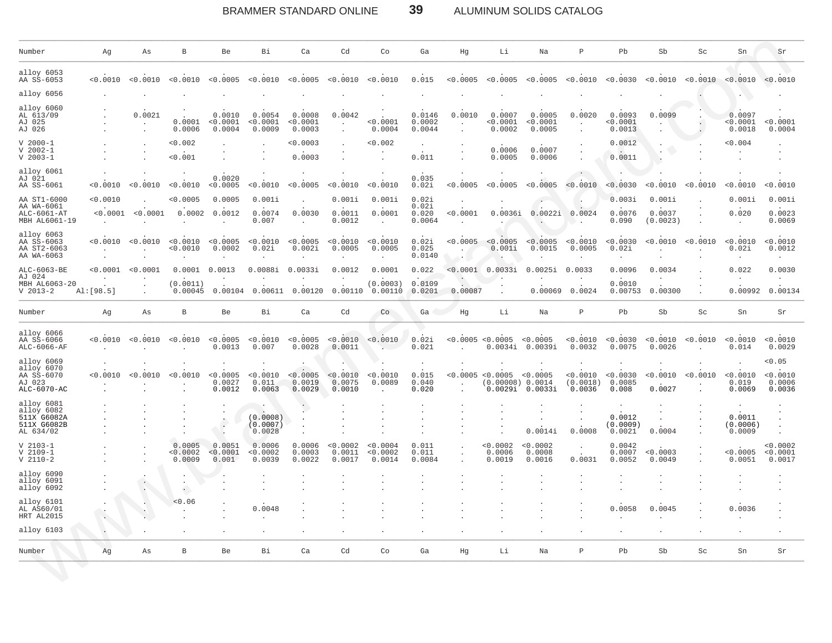#### BRAMMER STANDARD ONLINE 39 ALUMINUM SOLIDS CATALOG

| Number                                                              | Ag                   | As                 | B                                            | Be                           | Bi                             | Ca                              | Cd                                                     | Co                             | Ga                                | Hg                | Li                                         | Na                              | $\mathsf{P}$                   | Pb                           | Sb                           | Sc       | Sn                            | Sr                                     |
|---------------------------------------------------------------------|----------------------|--------------------|----------------------------------------------|------------------------------|--------------------------------|---------------------------------|--------------------------------------------------------|--------------------------------|-----------------------------------|-------------------|--------------------------------------------|---------------------------------|--------------------------------|------------------------------|------------------------------|----------|-------------------------------|----------------------------------------|
| alloy 6053<br>AA SS-6053                                            | < 0.0010             | < 0.0010           | < 0.0010                                     | < 0.0005                     | < 0.0010                       | < 0.0005                        | < 0.0010                                               | < 0.0010                       | 0.015                             | < 0.0005          | < 0.0005                                   | < 0.0005                        | < 0.0010                       | < 0.0030                     | < 0.0010                     | < 0.0010 | < 0.0010                      | < 0.0010                               |
| alloy 6056                                                          |                      |                    |                                              |                              |                                |                                 |                                                        |                                |                                   |                   |                                            |                                 |                                |                              |                              |          |                               |                                        |
| alloy 6060<br>AL 613/09<br>AJ 025<br>AJ 026                         |                      | 0.0021             | 0.0001<br>0.0006                             | 0.0010<br>< 0.0001<br>0.0004 | 0.0054<br>< 0.0001<br>0.0009   | 0.0008<br>< 0.0001<br>0.0003    | 0.0042<br>$\ddot{\phantom{a}}$<br>$\ddot{\phantom{a}}$ | < 0.0001<br>0.0004             | 0.0146<br>0.0002<br>0.0044        | 0.0010            | 0.0007<br>< 0.0001<br>0.0002               | 0.0005<br>< 0.0001<br>0.0005    | 0.0020<br>$\cdot$              | 0.0093<br>< 0.0001<br>0.0013 | 0.0099                       |          | 0.0097<br>< 0.0001<br>0.0018  | < 0.0001<br>0.0004                     |
| $V$ 2000-1<br>$V 2002 - 1$<br>$V$ 2003-1                            |                      |                    | < 0.002<br>< 0.001                           |                              |                                | < 0.0003<br>0.0003              |                                                        | < 0.002                        | $\sim$<br>0.011                   |                   | 0.0006<br>0.0005                           | 0.0007<br>0.0006                |                                | 0.0012<br>0.0011             | ÷                            |          | 0.004                         |                                        |
| alloy 6061<br>AJ 021<br>AA SS-6061                                  | < 0.0010             | < 0.0010           | < 0.0010                                     | 0.0020<br>< 0.0005           | < 0.0010                       | < 0.0005                        | < 0.0010                                               | < 0.0010                       | 0.035<br>0.02i                    | < 0.0005          | < 0.0005                                   | < 0.0005                        | < 0.0010                       | < 0.0030                     | 0.0010                       | < 0.0010 | < 0.0010                      | < 0.0010                               |
| AA ST1-6000<br>AA WA-6061<br>$ALC-6061-AT$<br>MBH AL6061-19         | < 0.0010<br>< 0.0001 | < 0.0001           | < 0.0005<br>0.0002                           | 0.0005<br>0.0012             | 0.001i<br>0.0074<br>0.007      | 0.0030                          | 0.001i<br>0.0011<br>0.0012                             | 0.001i<br>0.0001               | 0.02i<br>0.02i<br>0.020<br>0.0064 | < 0.0001          | 0.0036i                                    | 0.0022i                         | 0.0024                         | 0.003i<br>0.0076<br>0.090    | 0.001i<br>0.0037<br>(0.0023) |          | 0.001i<br>0.020               | 0.001i<br>0.0023<br>0.0069             |
| alloy 6063<br>AA SS-6063<br>AA ST2-6063<br>AA WA-6063               | < 0.0010<br>$\sim$   | < 0.0010<br>$\sim$ | < 0.0010<br>< 0.0010                         | < 0.0005<br>0.0002<br>$\sim$ | < 0.0010<br>0.02i<br>$\sim$    | < 0.0005<br>0.002i<br>$\lambda$ | < 0.0010<br>0.0005<br>$\sim$                           | < 0.0010<br>0.0005<br>$\sim$   | 0.02i<br>0.025<br>0.0140          | < 0.0005          | < 0.0005<br>0.001i<br>$\ddot{\phantom{a}}$ | < 0.0005<br>0.0015              | < 0.0010<br>0.0005             | < 0.0030<br>0.02i<br>$\sim$  | < 0.0010                     | < 0.0010 | < 0.0010<br>0.02i<br>$\cdot$  | < 0.0010<br>0.0012<br>$\sim$           |
| ALC-6063-BE<br>AJ 024                                               | < 0.0001             | < 0.0001           | 0.0001                                       | 0.0013                       | 0.0088i                        | 0.0033i                         | 0.0012                                                 | 0.0001                         | 0.022                             | < 0.0001          | 0.0033i                                    | 0.0025i                         | 0.0033                         | 0.0096                       | 0.0034                       |          | 0.022<br>$\ddot{\phantom{a}}$ | 0.0030<br>$\cdot$                      |
| MBH AL6063-20<br>$V$ 2013-2                                         | AI:[98.5]            | $\cdot$            | (0.0011<br>0.00045                           | 0.00104                      | 0.00611                        | 0.00120                         | 0.00110                                                | (0.0003)<br>0.00110            | 0.0109<br>0.0201                  | 0.00087           | $\cdot$<br>$\ddot{\phantom{a}}$            | 0.00069                         | 0.0024                         | 0.0010<br>0.00753            | 0.00300                      |          | 0.00992                       | 0.00134                                |
| Number                                                              | Αg                   | As                 | $\, {\bf B}$                                 | Be                           | Bi                             | Ca                              | Cd                                                     | Co                             | Ga                                | Hg                | Li                                         | Na                              | $\, {\bf p}$                   | Pb                           | Sb                           | Sc       | Sn                            | Sr                                     |
| alloy 6066<br>AA SS-6066<br>$ALC-6066-AF$                           | < 0.0010             | < 0.0010           | < 0.0010                                     | < 0.0005<br>0.0013           | < 0.0010<br>0.007              | < 0.0005<br>0.0028              | < 0.0010<br>0.0011                                     | < 0.0010                       | 0.02i<br>0.021                    |                   | < 0.0005 < 0.0005<br>0.0034i               | < 0.0005<br>0.0039i             | < 0.0010<br>0.0032             | < 0.0030<br>0.0075           | < 0.0010<br>0.0026           | < 0.0010 | < 0.0010<br>0.014             | < 0.0010<br>0.0029                     |
| alloy 6069<br>alloy 6070<br>AA SS-6070<br>AJ 023<br>ALC-6070-AC     | < 0.0010             | < 0.0010           | < 0.0010                                     | < 0.0005<br>0.0027<br>0.0012 | < 0.0010<br>0.011<br>0.0063    | < 0.0005<br>0.0019<br>0.0029    | < 0.0010<br>0.0075<br>0.0010                           | < 0.0010<br>0.0089             | 0.015<br>0.040<br>0.020           | $\mathbf{r}$      | < 0.0005 < 0.0005<br>(0.00008) 0.0014      | < 0.0005<br>$0.0029i$ $0.0033i$ | < 0.0010<br>(0.0018)<br>0.0036 | < 0.0030<br>0.0085<br>0.008  | < 0.0010<br>0.0027           | < 0.0010 | < 0.0010<br>0.019<br>0.0069   | < 0.05<br>< 0.0010<br>0.0006<br>0.0036 |
| alloy 6081<br>alloy 6082<br>511X G6082A<br>511X G6082B<br>AL 634/02 |                      |                    |                                              | $\bullet$<br>$\cdot$         | (0.0008)<br>(0.0007)<br>0.0028 |                                 |                                                        |                                |                                   |                   |                                            | 0.0014i                         | 0.0008                         | 0.0012<br>(0.0009)<br>0.0021 | 0.0004                       |          | 0.0011<br>(0.0006)<br>0.0009  |                                        |
| $V 2103 - 1$<br>$V$ 2109-1<br>$V$ 2110-2                            |                      |                    | 0.0005<br>< 0.0002<br>0.0009                 | 0.0051<br>< 0.0001<br>0.001  | 0.0006<br>0.0002<br>0.0039     | 0.0006<br>0.0003<br>0.0022      | < 0.0002<br>0.0011<br>0.0017                           | < 0.0004<br>< 0.0002<br>0.0014 | 0.011<br>0.011<br>0.0084          | $\cdot$<br>$\sim$ | < 0.0002<br>0.0006<br>0.0019               | < 0.0002<br>0.0008<br>0.0016    | 0.0031                         | 0.0042<br>0.0007<br>0.0052   | < 0.0003<br>0.0049           |          | < 0.0005<br>0.0051            | < 0.0002<br>< 0.0001<br>0.0017         |
| alloy 6090<br>alloy 6091<br>alloy 6092                              |                      | $\sim$             | $\cdot$<br>$\ddot{\phantom{1}}$<br>$\bullet$ |                              | ٠                              |                                 |                                                        |                                |                                   |                   |                                            |                                 |                                |                              |                              |          |                               |                                        |
| alloy 6101<br>AL AS60/01<br>HRT AL2015                              | ÷.                   |                    | < 0.06                                       |                              | 0.0048                         |                                 |                                                        |                                |                                   |                   |                                            |                                 |                                | 0.0058                       | 0.0045                       |          | 0.0036                        |                                        |
| alloy 6103                                                          | $\cdot$              |                    |                                              |                              |                                |                                 |                                                        |                                |                                   |                   |                                            |                                 |                                |                              |                              |          |                               |                                        |
| Number                                                              | Ag                   | Αs                 | B                                            | Be                           | Bi                             | Ca                              | Cd                                                     | Co                             | Ga                                | Hg                | Li                                         | Na                              | $\, {\bf p}$                   | Pb                           | Sb                           | Sc       | Sn                            | Sr                                     |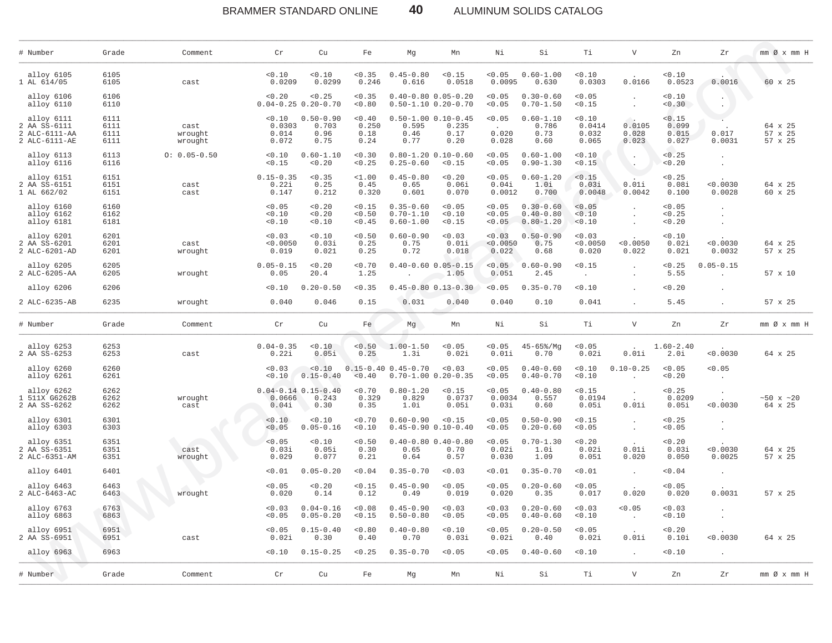#### BRAMMER STANDARD ONLINE 40 ALUMINUM SOLIDS CATALOG

| # Number                                                     | Grade                        | Comment                    | Cr                                 | Cu                                           | Fe                              | Mq                                              | Mn                                                         | Νi                          | Si                                              | Тi                                 | V                                            | Zn                                | Zr                               | $mm \oslash x$ $mm$ H         |
|--------------------------------------------------------------|------------------------------|----------------------------|------------------------------------|----------------------------------------------|---------------------------------|-------------------------------------------------|------------------------------------------------------------|-----------------------------|-------------------------------------------------|------------------------------------|----------------------------------------------|-----------------------------------|----------------------------------|-------------------------------|
| alloy 6105<br>1 AL 614/05                                    | 6105<br>6105                 | cast                       | < 0.10<br>0.0209                   | < 0.10<br>0.0299                             | < 0.35<br>0.246                 | $0.45 - 0.80$<br>0.616                          | < 0.15<br>0.0518                                           | < 0.05<br>0.0095            | $0.60 - 1.00$<br>0.630                          | < 0.10<br>0.0303                   | 0.0166                                       | < 0.10<br>0.0523                  | 0.0016                           | $60 \times 25$                |
| alloy 6106<br>alloy 6110                                     | 6106<br>6110                 |                            | < 0.20                             | < 0.25<br>$0.04 - 0.25$ 0.20-0.70            | < 0.35<br>< 0.80                |                                                 | $0.40 - 0.80$ $0.05 - 0.20$<br>$0.50 - 1.10$ $0.20 - 0.70$ | < 0.05<br>< 0.05            | $0.30 - 0.60$<br>$0.70 - 1.50$                  | < 0.05<br>< 0.15                   | $\cdot$<br>$\sim$                            | 0.10<br>0.30                      |                                  |                               |
| alloy 6111<br>2 AA SS-6111<br>2 ALC-6111-AA<br>2 ALC-6111-AE | 6111<br>6111<br>6111<br>6111 | cast<br>wrought<br>wrought | < 0.10<br>0.0303<br>0.014<br>0.072 | $0.50 - 0.90$<br>0.703<br>0.96<br>0.75       | < 0.40<br>0.250<br>0.18<br>0.24 | 0.595<br>0.46<br>0.77                           | $0.50 - 1.00 0.10 - 0.45$<br>0.235<br>0.17<br>0.20         | < 0.05<br>0.020<br>0.028    | $0.60 - 1.10$<br>0.786<br>0.73<br>0.60          | < 0.10<br>0.0414<br>0.032<br>0.065 | 0.0105<br>0.028<br>0.023                     | < 0.15<br>0.099<br>0.015<br>0.027 | 0.017<br>0.0031                  | 64 x 25<br>57 x 25<br>57 x 25 |
| alloy 6113<br>alloy 6116                                     | 6113<br>6116                 | $0: 0.05 - 0.50$           | 0.10<br>< 0.15                     | $0.60 - 1.10$<br>0.20                        | 0.30<br>< 0.25                  | $0.25 - 0.60$                                   | $0.80 - 1.20$ $0.10 - 0.60$<br>< 0.15                      | < 0.05<br>< 0.05            | $0.60 - 1.00$<br>$0.90 - 1.30$                  | 0.10<br>< 0.15                     | $\sim$<br>$\ddotsc$                          | < 0.25<br>0.20                    | $\cdot$<br>$\ddot{\phantom{a}}$  |                               |
| alloy 6151<br>2 AA SS-6151<br>1 AL 662/02                    | 6151<br>6151<br>6151         | cast<br>cast               | $0.15 - 0.35$<br>0.22i<br>0.147    | < 0.35<br>0.25<br>0.212                      | $1.00$<br>0.45<br>0.320         | $0.45 - 0.80$<br>0.65<br>0.601                  | < 0.20<br>0.06i<br>0.070                                   | < 0.05<br>0.04i<br>0.0012   | $0.60 - 1.20$<br>1.0i<br>0.700                  | < 0.15<br>0.03i<br>0.0048          | 0.01i<br>0.0042                              | < 0.25<br>0.08i<br>0.100          | < 0.0030<br>0.0028               | 64 x 25<br>60 x 25            |
| alloy 6160<br>alloy 6162<br>alloy 6181                       | 6160<br>6162<br>6181         |                            | < 0.05<br>< 0.10<br>0.10           | < 0.20<br>< 0.20<br>0.10                     | < 0.15<br>< 0.50<br>< 0.45      | $0.35 - 0.60$<br>$0.70 - 1.10$<br>$0.60 - 1.00$ | < 0.05<br>< 0.10<br>< 0.15                                 | < 0.05<br>< 0.05<br>< 0.05  | $0.30 - 0.60$<br>$0.40 - 0.80$<br>$0.80 - 1.20$ | < 0.05<br>< 0.10<br>< 0.10         | $\cdot$                                      | < 0.05<br>< 0.25<br>0.20          | $\blacksquare$                   |                               |
| alloy 6201<br>2 AA SS-6201<br>2 ALC-6201-AD                  | 6201<br>6201<br>6201         | cast<br>wrought            | < 0.03<br>< 0.0050<br>0.019        | 0.10<br>0.03i<br>0.021                       | < 0.50<br>0.25<br>0.25          | $0.60 - 0.90$<br>0.75<br>0.72                   | < 0.03<br>0.01i<br>0.018                                   | < 0.03<br>< 0.0050<br>0.022 | $0.50 - 0.90$<br>0.75<br>0.68                   | < 0.03<br>< 0.0050<br>0.020        | < 0.0050<br>0.022                            | 0.10<br>0.02i<br>0.021            | < 0.0030<br>0.0032               | 64 x 25<br>57 x 25            |
| alloy 6205<br>2 ALC-6205-AA                                  | 6205<br>6205                 | wrought                    | $0.05 - 0.15$<br>0.05              | 0.20<br>20.4                                 | < 0.70<br>1.25                  |                                                 | $0.40 - 0.60$ $0.05 - 0.15$<br>1.05                        | < 0.05<br>0.051             | $0.60 - 0.90$<br>2.45                           | < 0.15<br>$\mathbf{r}$             | $\ddot{\phantom{a}}$<br>$\ddot{\phantom{a}}$ | < 0.25<br>5.55                    | $0.05 - 0.15$                    | 57 x 10                       |
| alloy 6206                                                   | 6206                         |                            | < 0.10                             | $0.20 - 0.50$                                | < 0.35                          |                                                 | $0.45 - 0.80 0.13 - 0.30$                                  | < 0.05                      | $0.35 - 0.70$                                   | < 0.10                             |                                              | 0.20                              |                                  |                               |
| 2 ALC-6235-AB                                                | 6235                         | wrought                    | 0.040                              | 0.046                                        | 0.15                            | 0.031                                           | 0.040                                                      | 0.040                       | 0.10                                            | 0.041                              |                                              | 5.45                              |                                  | 57 x 25                       |
| # Number                                                     | Grade                        | Comment.                   | Cr                                 | Cu                                           | Fe                              | Mg                                              | Mn                                                         | Νi                          | Si                                              | Тi                                 | $\boldsymbol{\nabla}$                        | Zn                                | Zr                               | mm Ø x mm H                   |
| alloy 6253<br>2 AA SS-6253                                   | 6253<br>6253                 | cast                       | $0.04 - 0.35$<br>0.22i             | 0.10<br>0.05i                                | < 0.50<br>0.25                  | $1.00 - 1.50$<br>1.3i                           | < 0.05<br>0.02i                                            | < 0.05<br>0.01i             | $45 - 65%$ / Mq<br>0.70                         | < 0.05<br>0.02i                    | 0.01i                                        | $1.60 - 2.40$<br>2.0i             | < 0.0030                         | 64 x 25                       |
| alloy 6260<br>alloy 6261                                     | 6260<br>6261                 |                            | 0.03<br>< 0.10                     | < 0.10<br>$0.15 - 0.40$                      | < 0.40                          | $0.15 - 0.40$ $0.45 - 0.70$                     | 0.03<br>$0.70 - 1.00 0.20 - 0.35$                          | < 0.05<br>< 0.05            | $0.40 - 0.60$<br>$0.40 - 0.70$                  | < 0.10<br>< 0.10                   | $0.10 - 0.25$                                | < 0.05<br>< 0.20                  | < 0.05                           |                               |
| alloy 6262<br>1 511X G6262B<br>2 AA SS-6262                  | 6262<br>6262<br>6262         | wrought<br>cast            | 0.0666<br>0.04i                    | $0.04 - 0.14$ $0.15 - 0.40$<br>0.243<br>0.30 | < 0.70<br>0.329<br>0.35         | $0.80 - 1.20$<br>0.829<br>1.0i                  | < 0.15<br>0.0737<br>0.05i                                  | < 0.05<br>0.0034<br>0.03i   | $0.40 - 0.80$<br>0.557<br>0.60                  | < 0.15<br>0.0194<br>0.05i          | $\cdot$<br>0.01i                             | < 0.25<br>0.0209<br>0.05i         | $\ddot{\phantom{1}}$<br>< 0.0030 | $~50 \times ~20$<br>64 x 25   |
| alloy 6301<br>alloy 6303                                     | 6301<br>6303                 |                            | < 0.10<br>< 0.05                   | < 0.10<br>$0.05 - 0.16$                      | < 0.70<br>< 0.10                | $0.60 - 0.90$                                   | < 0.15<br>$0.45 - 0.90 0.10 - 0.40$                        | < 0.05<br>< 0.05            | $0.50 - 0.90$<br>$0.20 - 0.60$                  | < 0.15<br>< 0.05                   | $\cdot$<br>$\blacksquare$                    | < 0.25<br>< 0.05                  |                                  |                               |
| alloy 6351<br>2 AA SS-6351<br>2 ALC-6351-AM                  | 6351<br>6351<br>6351         | cast<br>wrought            | < 0.05<br>0.03i<br>0.029           | 0.10<br>0.05i<br>0.077                       | < 0.50<br>0.30<br>0.21          | 0.65<br>0.64                                    | $0.40 - 0.80$ $0.40 - 0.80$<br>0.70<br>0.57                | < 0.05<br>0.02i<br>0.030    | $0.70 - 1.30$<br>1.0i<br>1.09                   | < 0.20<br>0.02i<br>0.051           | 0.01i<br>0.020                               | < 0.20<br>0.03i<br>0.050          | < 0.0030<br>0.0025               | 64 x 25<br>57 x 25            |
| alloy 6401                                                   | 6401                         |                            | < 0.01                             | $0.05 - 0.20$                                | 0.04                            | $0.35 - 0.70$                                   | < 0.03                                                     | < 0.01                      | $0.35 - 0.70$                                   | < 0.01                             | $\blacksquare$                               | 0.04                              | $\ddot{\phantom{a}}$             |                               |
| alloy 6463<br>2 ALC-6463-AC                                  | 6463<br>6463                 | wrought                    | < 0.05<br>0.020                    | 0.20<br>0.14                                 | < 0.15<br>0.12                  | $0.45 - 0.90$<br>0.49                           | < 0.05<br>0.019                                            | < 0.05<br>0.020             | $0.20 - 0.60$<br>0.35                           | < 0.05<br>0.017                    | 0.020                                        | < 0.05<br>0.020                   | 0.0031                           | 57 x 25                       |
| alloy 6763<br>alloy 6863                                     | 6763<br>6863                 |                            | 0.03<br>< 0.05                     | $0.04 - 0.16$<br>$0.05 - 0.20$               | < 0.08<br>< 0.15                | $0.45 - 0.90$<br>$0.50 - 0.80$                  | < 0.03<br>< 0.05                                           | < 0.03<br>< 0.05            | $0.20 - 0.60$<br>$0.40 - 0.60$                  | < 0.03<br>< 0.10                   | < 0.05<br>$\cdot$                            | 0.03<br>0.10                      |                                  |                               |
| alloy 6951<br>2 AA SS-6951                                   | 6951<br>6951                 | cast                       | < 0.05<br>0.02i                    | $0.15 - 0.40$<br>0.30                        | < 0.80<br>0.40                  | $0.40 - 0.80$<br>0.70                           | < 0.10<br>0.03i                                            | < 0.05<br>0.02i             | $0.20 - 0.50$<br>0.40                           | < 0.05<br>0.02i                    | $\sim$<br>0.01i                              | < 0.20<br>0.10i                   | < 0.0030                         | 64 x 25                       |
| alloy 6963                                                   | 6963                         |                            | < 0.10                             | $0.15 - 0.25$                                | < 0.25                          | $0.35 - 0.70$                                   | < 0.05                                                     | < 0.05                      | $0.40 - 0.60$                                   | < 0.10                             | $\sim$                                       | < 0.10                            | $\blacksquare$                   |                               |
| # Number                                                     | Grade                        | Comment                    | $\operatorname{\sf Cr}$            | Cu                                           | Fe                              | Mg                                              | Mn                                                         | Νi                          | Si                                              | Тi                                 | $\boldsymbol{\nabla}$                        | Zn                                | Zr                               | $mm \oslash x$ $mm$ H         |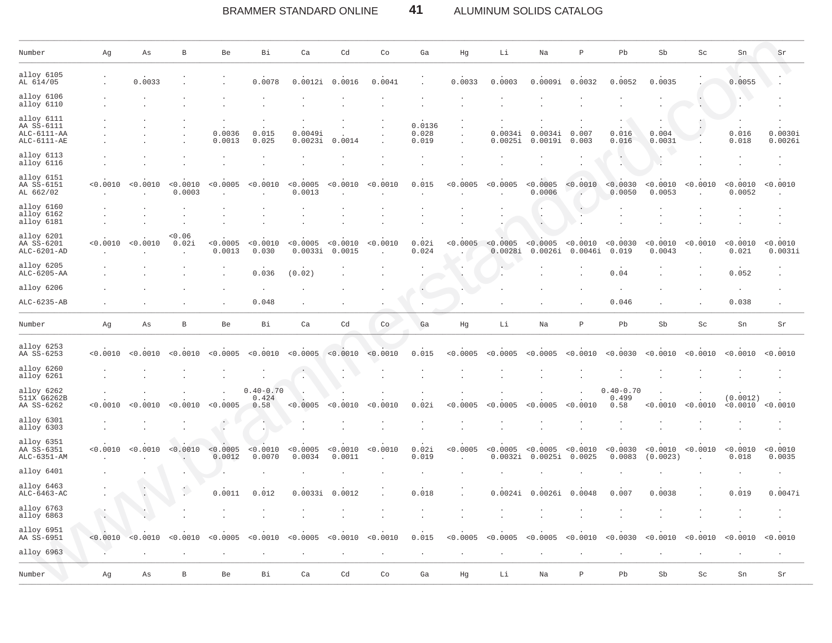#### BRAMMER STANDARD ONLINE 41 ALUMINUM SOLIDS CATALOG

| Number                                                     | Αg                      | As       | $\, {\bf B}$       | Be                   | Вi                             | Ca                  | Cd                 | Co       | Ga                       | Ηg       | Li                               | Na                  | $\, {\bf P}$        | Pb                             | Sb                   | Sc       | Sn                   | Sr                  |
|------------------------------------------------------------|-------------------------|----------|--------------------|----------------------|--------------------------------|---------------------|--------------------|----------|--------------------------|----------|----------------------------------|---------------------|---------------------|--------------------------------|----------------------|----------|----------------------|---------------------|
| alloy 6105<br>AL 614/05                                    |                         | 0.0033   |                    |                      | 0.0078                         | 0.0012i             | 0.0016             | 0.0041   |                          | 0.0033   | 0.0003                           | 0.0009i             | 0.0032              | 0.0052                         | 0.0035               |          | 0.0055               |                     |
| alloy 6106<br>alloy 6110                                   |                         |          |                    |                      |                                |                     |                    |          |                          |          |                                  |                     |                     |                                |                      |          |                      |                     |
| alloy 6111<br>AA SS-6111<br>$ALC-6111-AA$<br>$ALC-6111-AE$ |                         |          |                    | 0.0036<br>0.0013     | 0.015<br>0.025                 | 0.0049i<br>0.0023i  | 0.0014             |          | 0.0136<br>0.028<br>0.019 |          | 0.0034i<br>0.0025i               | 0.0034i<br>0.0019i  | 0.007<br>0.003      | 0.016<br>0.016                 | 0.004<br>0.0031      |          | 0.016<br>0.018       | 0.0030i<br>0.0026i  |
| alloy 6113<br>alloy 6116                                   |                         |          |                    |                      |                                |                     |                    |          |                          |          |                                  |                     |                     |                                |                      |          |                      |                     |
| alloy 6151<br>AA SS-6151<br>AL 662/02                      | < 0.0010                | < 0.0010 | < 0.0010<br>0.0003 | < 0.0005             | < 0.0010                       | < 0.0005<br>0.0013  | < 0.0010           | < 0.0010 | 0.015                    | < 0.0005 | < 0.0005                         | < 0.0005<br>0.0006  | < 0.0010            | < 0.0030<br>0.0050             | < 0.0010<br>0.0053   | < 0.0010 | < 0.0010<br>0.0052   | < 0.0010            |
| alloy 6160<br>alloy 6162<br>alloy 6181                     |                         |          |                    |                      |                                |                     |                    |          |                          |          |                                  |                     | $\,$ .              |                                |                      |          |                      |                     |
| alloy 6201<br>AA SS-6201<br>ALC-6201-AD                    | < 0.0010                | < 0.0010 | < 0.06<br>0.02i    | < 0.0005<br>0.0013   | < 0.0010<br>0.030              | < 0.0005<br>0.0033i | < 0.0010<br>0.0015 | < 0.0010 | 0.02i<br>0.024           | < 0.0005 | $< 0.0005$ $< 0.0005$<br>0.0028i | 0.0026i             | < 0.0010<br>0.0046i | < 0.0030<br>0.019              | < 0.0010<br>0.0043   | < 0.0010 | < 0.0010<br>0.021    | < 0.0010<br>0.0031i |
| alloy 6205<br>ALC-6205-AA                                  |                         |          |                    |                      | 0.036                          | (0.02)              |                    |          |                          |          |                                  |                     |                     | 0.04                           |                      |          | 0.052                |                     |
| alloy 6206                                                 |                         |          |                    |                      |                                |                     |                    |          |                          |          |                                  |                     |                     |                                |                      |          |                      |                     |
| ALC-6235-AB                                                |                         |          |                    |                      | 0.048                          |                     |                    |          |                          |          |                                  |                     |                     | 0.046                          |                      |          | 0.038                |                     |
| Number                                                     | Αg                      | As       | В                  | Be                   | Bi                             | Ca                  | Cd                 | Co       | Ga                       | Ηg       | Li                               | Na                  | $\mathbf P$         | Pb                             | Sb                   | Sc       | Sn                   | Sr                  |
| alloy 6253<br>AA SS-6253                                   | < 0.0010                | < 0.0010 | < 0.0010           | < 0.0005             | < 0.0010                       | < 0.0005            | < 0.0010           | < 0.0010 | 0.015                    | < 0.0005 | < 0.0005                         | < 0.0005            | < 0.0010            | < 0.0030                       | < 0.0010             | < 0.0010 | < 0.0010             | < 0.0010            |
| alloy 6260<br>alloy 6261                                   |                         |          |                    |                      |                                |                     |                    |          |                          |          |                                  |                     |                     |                                |                      |          |                      |                     |
| alloy 6262<br>511X G6262B<br>AA SS-6262                    | < 0.0010                | < 0.0010 | < 0.0010           | < 0.0005             | $0.40 - 0.70$<br>0.424<br>0.58 | < 0.0005            | 0.0010             | < 0.0010 | 0.02i                    | < 0.0005 | < 0.0005                         | < 0.0005            | < 0.0010            | $0.40 - 0.70$<br>0.499<br>0.58 | < 0.0010             | < 0.0010 | (0.0012)<br>< 0.0010 | < 0.0010            |
| alloy 6301<br>alloy 6303                                   |                         |          |                    | $\ddot{\phantom{0}}$ | ù.<br>$\bullet$                |                     |                    |          |                          |          |                                  |                     |                     |                                |                      |          |                      |                     |
| alloy 6351<br>AA SS-6351<br>$ALC-6351-AM$                  | < 0.0010                | < 0.0010 | < 0.0010           | < 0.0005<br>0.0012   | < 0.0010<br>0.0070             | < 0.0005<br>0.0034  | < 0.0010<br>0.0011 | < 0.0010 | 0.02i<br>0.019           | < 0.0005 | < 0.0005<br>0.0032i              | < 0.0005<br>0.0025i | < 0.0010<br>0.0025  | < 0.0030<br>0.0083             | < 0.0010<br>(0.0023) | < 0.0010 | < 0.0010<br>0.018    | < 0.0010<br>0.0035  |
| alloy 6401                                                 |                         |          |                    |                      |                                |                     |                    |          |                          |          |                                  |                     |                     |                                |                      |          |                      |                     |
| alloy 6463<br>ALC-6463-AC                                  |                         |          |                    | 0.0011               | 0.012                          | 0.0033i             | 0.0012             |          | 0.018                    |          | 0.0024i                          | 0.0026i             | 0.0048              | 0.007                          | 0.0038               |          | 0.019                | 0.0047i             |
| alloy 6763<br>alloy 6863                                   | $\langle \cdot \rangle$ |          |                    |                      |                                |                     |                    |          |                          |          |                                  |                     |                     |                                |                      |          |                      |                     |
| alloy 6951<br>AA SS-6951                                   | < 0.0010                | < 0.0010 | < 0.0010           | < 0.0005             | < 0.0010                       | < 0.0005            | < 0.0010           | < 0.0010 | 0.015                    | < 0.0005 | < 0.0005                         | < 0.0005            | < 0.0010            | 0.0030                         | < 0.0010             | 0.0010   | < 0.0010             | < 0.0010            |
| alloy 6963                                                 |                         |          |                    |                      |                                |                     |                    |          |                          |          |                                  |                     |                     |                                |                      |          |                      |                     |
| Number                                                     | Αg                      | Αs       | B                  | Be                   | Bi                             | Ca                  | Cd                 | Co       | $\mbox{\bf Ga}$          | Hg       | Li                               | Na                  | $\, {\bf p}$        | Pb                             | Sb                   | Sc       | Sn                   | Sr                  |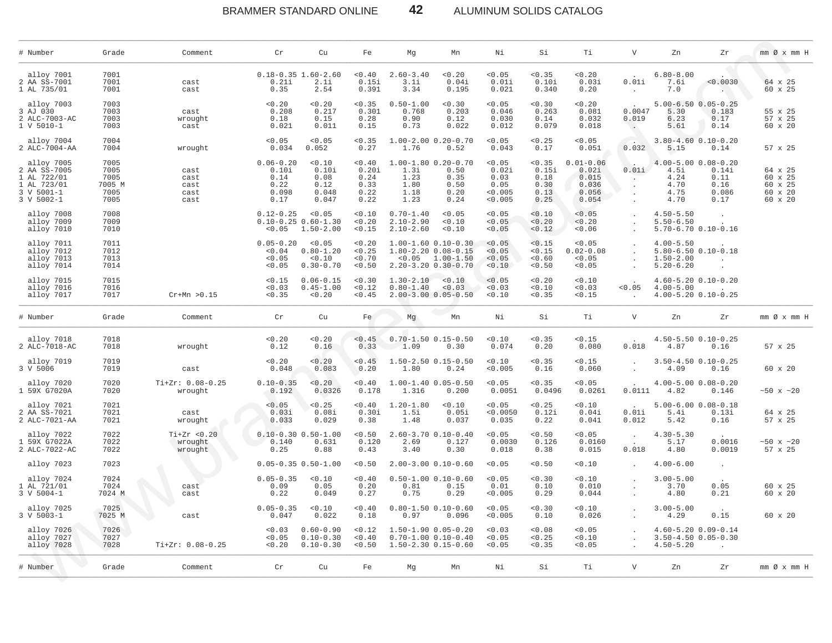BRAMMER STANDARD ONLINE 42 ALUMINUM SOLIDS CATALOG

| # Number                                                                             | Grade                                          | Comment                              | Cr                                                      | Cu                                                     | Fe                                            | Mq                                                                              | Mn                                                | Νi                                                    | Si                                            | Тi                                                         | $\mathbf{V}$                            | Zn                                                                             | Ζr                                     | $mm \oslash x$ $mm$ H                               |
|--------------------------------------------------------------------------------------|------------------------------------------------|--------------------------------------|---------------------------------------------------------|--------------------------------------------------------|-----------------------------------------------|---------------------------------------------------------------------------------|---------------------------------------------------|-------------------------------------------------------|-----------------------------------------------|------------------------------------------------------------|-----------------------------------------|--------------------------------------------------------------------------------|----------------------------------------|-----------------------------------------------------|
| alloy 7001<br>2 AA SS-7001<br>1 AL 735/01                                            | 7001<br>7001<br>7001                           | cast<br>cast                         | 0.21i<br>0.35                                           | $0.18 - 0.35$ 1.60-2.60<br>2.1i<br>2.54                | 0.40<br>0.15i<br>0.391                        | $2.60 - 3.40$<br>3.1i<br>3.34                                                   | 0.20<br>0.04i<br>0.195                            | < 0.05<br>0.01i<br>0.021                              | 0.35<br>0.10i<br>0.340                        | 0.20<br>0.03i<br>0.20                                      | 0.01i                                   | $6.80 - 8.00$<br>7.6i<br>7.0                                                   | < 0.0030<br>$\mathbb{R}^n$             | 64 x 25<br>60 x 25                                  |
| alloy 7003<br>3 AJ 030<br>2 ALC-7003-AC<br>1 V 5010-1                                | 7003<br>7003<br>7003<br>7003                   | cast<br>wrought<br>cast              | < 0.20<br>0.208<br>0.18<br>0.021                        | 0.20<br>0.217<br>0.15<br>0.011                         | < 0.35<br>0.301<br>0.28<br>0.15               | $0.50 - 1.00$<br>0.768<br>0.90<br>0.73                                          | < 0.30<br>0.203<br>0.12<br>0.022                  | < 0.05<br>0.046<br>0.030<br>0.012                     | 0.30<br>0.263<br>0.14<br>0.079                | < 0.20<br>0.081<br>0.032<br>0.018                          | 0.0047<br>0.019<br>$\cdot$              | $5.00 - 6.50$ 0.05-0.25<br>5.30<br>6.23<br>5.61                                | 0.183<br>0.17<br>0.14                  | 55 x 25<br>57 x 25<br>60 x 20                       |
| alloy 7004<br>2 ALC-7004-AA                                                          | 7004<br>7004                                   | wrought                              | < 0.05<br>0.034                                         | < 0.05<br>0.052                                        | < 0.35<br>0.27                                | $1.00 - 2.00 0.20 - 0.70$<br>1.76                                               | 0.52                                              | < 0.05<br>0.043                                       | < 0.25<br>0.17                                | < 0.05<br>0.051                                            | 0.032                                   | $3.80 - 4.60 0.10 - 0.20$<br>5.15                                              | 0.14                                   | 57 x 25                                             |
| alloy 7005<br>2 AA SS-7005<br>1 AL 722/01<br>1 AL 723/01<br>3 V 5001-1<br>3 V 5002-1 | 7005<br>7005<br>7005<br>7005 M<br>7005<br>7005 | cast<br>cast<br>cast<br>cast<br>cast | $0.06 - 0.20$<br>0.10i<br>0.14<br>0.22<br>0.098<br>0.17 | 0.10<br>0.10i<br>0.08<br>0.12<br>0.048<br>0.047        | 0.40<br>0.20i<br>0.24<br>0.33<br>0.22<br>0.22 | 1.00-1.80 0.20-0.70<br>1.3i<br>1.23<br>1.80<br>1.18<br>1.23                     | 0.50<br>0.35<br>0.50<br>0.20<br>0.24              | < 0.05<br>0.02i<br>0.03<br>0.05<br>< 0.005<br>< 0.005 | 0.35<br>0.15i<br>0.18<br>0.30<br>0.13<br>0.25 | $0.01 - 0.06$<br>0.02i<br>0.015<br>0.036<br>0.056<br>0.054 | 0.01i                                   | $4.00 - 5.00 0.08 - 0.20$<br>4.5i<br>4.24<br>4.70<br>4.75<br>4.70              | 0.14i<br>0.11<br>0.16<br>0.086<br>0.17 | 64 x 25<br>60 x 25<br>60 x 25<br>60 x 20<br>60 x 20 |
| alloy 7008<br>alloy 7009<br>alloy 7010                                               | 7008<br>7009<br>7010                           |                                      | $0.12 - 0.25$<br>< 0.05                                 | < 0.05<br>$0.10 - 0.25$ $0.60 - 1.30$<br>$1.50 - 2.00$ | 0.10<br>< 0.20<br>< 0.15                      | $0.70 - 1.40$<br>$2.10 - 2.90$<br>$2.10 - 2.60$                                 | < 0.05<br>< 0.10<br>< 0.10                        | < 0.05<br>< 0.05<br>< 0.05                            | 0.10<br>< 0.20<br>< 0.12                      | < 0.05<br>< 0.20<br>< 0.06                                 |                                         | $4.50 - 5.50$<br>$5.50 - 6.50$<br>$5.70 - 6.70$ 0.10-0.16                      | $\sim$                                 |                                                     |
| alloy 7011<br>alloy 7012<br>alloy 7013<br>alloy 7014                                 | 7011<br>7012<br>7013<br>7014                   |                                      | $0.05 - 0.20$<br>< 0.04<br>< 0.05<br>< 0.05             | < 0.05<br>$0.80 - 1.20$<br>< 0.10<br>$0.30 - 0.70$     | < 0.20<br>< 0.25<br>< 0.70<br>< 0.50          | $1.00 - 1.60 0.10 - 0.30$<br>1.80-2.20 0.08-0.15                                | $< 0.05$ 1.00-1.50<br>$2.20 - 3.20$ $0.30 - 0.70$ | < 0.05<br>< 0.05<br>< 0.05<br>< 0.10                  | < 0.15<br>< 0.15<br>0.60<br>< 0.50            | < 0.05<br>$0.02 - 0.08$<br>< 0.05<br>< 0.05                |                                         | $4.00 - 5.50$<br>$5.80 - 6.50$ $0.10 - 0.18$<br>$1.50 - 2.00$<br>$5.20 - 6.20$ |                                        |                                                     |
| alloy 7015<br>alloy 7016<br>alloy 7017                                               | 7015<br>7016<br>7017                           | $Cr+Mn > 0.15$                       | < 0.15<br>< 0.03<br>< 0.35                              | $0.06 - 0.15$<br>$0.45 - 1.00$<br>0.20                 | < 0.30<br>< 0.12<br>< 0.45                    | $1.30 - 2.10$<br>$0.80 - 1.40$<br>$2.00 - 3.00 0.05 - 0.50$                     | < 0.10<br>< 0.03                                  | < 0.05<br>< 0.03<br>0.10                              | < 0.20<br>< 0.10<br>< 0.35                    | < 0.10<br>0.03<br>< 0.15                                   | < 0.05<br>$\cdot$                       | $4.60 - 5.20$ $0.10 - 0.20$<br>$4.00 - 5.00$<br>$4.00 - 5.20$ $0.10 - 0.25$    |                                        |                                                     |
| # Number                                                                             | Grade                                          | Comment                              | $\operatorname{Cr}$                                     | Cu                                                     | Fe                                            | Mg                                                                              | Mn                                                | Νi                                                    | Si                                            | Тi                                                         | $\boldsymbol{\mathrm{V}}$               | Zn                                                                             | Zr                                     | mm Ø x mm H                                         |
| alloy 7018<br>2 ALC-7018-AC                                                          | 7018<br>7018                                   | wrought                              | < 0.20<br>0.12                                          | < 0.20<br>0.16                                         | < 0.45<br>0.33                                | $0.70 - 1.50 0.15 - 0.50$<br>1.09                                               | 0.30                                              | < 0.10<br>0.074                                       | < 0.35<br>0.20                                | < 0.15<br>0.080                                            | 0.018                                   | $4.50 - 5.50$ $0.10 - 0.25$<br>4.87                                            | 0.16                                   | 57 x 25                                             |
| alloy 7019<br>3 V 5006                                                               | 7019<br>7019                                   | cast                                 | < 0.20<br>0.048                                         | 0.20<br>0.083                                          | < 0.45<br>0.20                                | $1.50 - 2.50$ 0.15-0.50<br>1.80                                                 | 0.24                                              | < 0.10<br>< 0.005                                     | < 0.35<br>0.16                                | < 0.15<br>0.060                                            | $\cdot$                                 | $3.50 - 4.50$ 0.10-0.25<br>4.09                                                | 0.16                                   | 60 x 20                                             |
| alloy 7020<br>1 59X G7020A                                                           | 7020<br>7020                                   | $Ti+Zr: 0.08-0.25$<br>wrought        | $0.10 - 0.35$<br>0.192                                  | < 0.20<br>0.0326                                       | < 0.40<br>0.178                               | 1.00-1.40 0.05-0.50<br>1.316                                                    | 0.200                                             | $< 0.05$<br>0.0051                                    | 0.35<br>0.0496                                | < 0.05<br>0.0261                                           | 0.0111                                  | $4.00 - 5.00 0.08 - 0.20$<br>4.82                                              | 0.146                                  | ~10x ~120                                           |
| alloy 7021<br>2 AA SS-7021<br>2 ALC-7021-AA                                          | 7021<br>7021<br>7021                           | cast<br>wrought                      | < 0.05<br>0.03i<br>0.033                                | < 0.25<br>0.08i<br>0.029                               | < 0.40<br>0.30i<br>0.38                       | $1.20 - 1.80$<br>1.5i<br>1.48                                                   | < 0.10<br>0.05i<br>0.037                          | < 0.05<br>< 0.0050<br>0.035                           | < 0.25<br>0.12i<br>0.22                       | < 0.10<br>0.04i<br>0.041                                   | 0.01i<br>0.012                          | $5.00 - 6.00 0.08 - 0.18$<br>5.4i<br>5.42                                      | 0.13i<br>0.16                          | 64 x 25<br>57 x 25                                  |
| alloy 7022<br>1 59X G7022A<br>2 ALC-7022-AC                                          | 7022<br>7022<br>7022                           | $Ti+Zr < 0.20$<br>wrought<br>wrought | 0.140<br>0.25                                           | $0.10 - 0.30$ $0.50 - 1.00$<br>0.631<br>0.88           | < 0.50<br>0.120<br>0.43                       | 2.69<br>3.40                                                                    | $2.60 - 3.70$ $0.10 - 0.40$<br>0.127<br>0.30      | < 0.05<br>0.0030<br>0.018                             | 0.50<br>0.126<br>0.38                         | < 0.05<br>0.0160<br>0.015                                  | $\ddot{\phantom{a}}$<br>$\sim$<br>0.018 | $4.30 - 5.30$<br>5.17<br>4.80                                                  | 0.0016<br>0.0019                       | $~10 \times 20$<br>57 x 25                          |
| alloy 7023                                                                           | 7023                                           |                                      |                                                         | $0.05 - 0.35 0.50 - 1.00$                              | < 0.50                                        | $2.00 - 3.00 0.10 - 0.60$                                                       |                                                   | < 0.05                                                | < 0.50                                        | < 0.10                                                     |                                         | $4.00 - 6.00$                                                                  | $\ddot{\phantom{a}}$                   |                                                     |
| alloy 7024<br>1 AL 721/01<br>3 V 5004-1                                              | 7024<br>7024<br>7024 M                         | cast<br>cast                         | $0.05 - 0.35$<br>0.09<br>0.22                           | < 0.10<br>0.05<br>0.049                                | < 0.40<br>0.20<br>0.27                        | 0.81<br>0.75                                                                    | $0.50 - 1.00 0.10 - 0.60$<br>0.15<br>0.29         | < 0.05<br>0.01<br>< 0.005                             | < 0.30<br>0.10<br>0.29                        | < 0.10<br>0.010<br>0.044                                   |                                         | $3.00 - 5.00$<br>3.70<br>4.80                                                  | 0.05<br>0.21                           | 60 x 25<br>60 x 20                                  |
| alloy 7025<br>3 V 5003-1                                                             | 7025<br>7025 M                                 | cast                                 | $0.05 - 0.35$<br>0.047                                  | < 0.10<br>0.022                                        | $<\mbox{0}$ . $4\mbox{0}$<br>0.18             | 0.97                                                                            | $0.80 - 1.50 0.10 - 0.60$<br>0.096                | < 0.05<br>< 0.005                                     | 0.30<br>0.10                                  | < 0.10<br>0.026                                            |                                         | $3.00 - 5.00$<br>4.29                                                          | 0.15                                   | 60 x 20                                             |
| alloy 7026<br>alloy 7027<br>alloy 7028                                               | 7026<br>7027<br>7028                           | $Ti+Zr: 0.08-0.25$                   | < 0.03<br>< 0.05<br>< 0.20                              | $0.60 - 0.90$<br>$0.10 - 0.30$<br>$0.10 - 0.30$        | < 0.12<br>0.40<br>< 0.50                      | 1.50-1.90 0.05-0.20<br>$0.70 - 1.00 0.10 - 0.40$<br>$1.50 - 2.30$ $0.15 - 0.60$ |                                                   | < 0.03<br>< 0.05<br>< 0.05                            | < 0.08<br>< 0.25<br>0.35                      | < 0.05<br>< 0.10<br>< 0.05                                 |                                         | $4.60 - 5.20$ 0.09-0.14<br>$3.50 - 4.50$ 0.05-0.30<br>$4.50 - 5.20$            |                                        |                                                     |
| # Number                                                                             | Grade                                          | Comment                              | Cr                                                      | Cu                                                     | Fe                                            | Mq                                                                              | Mn                                                | Νi                                                    | Si                                            | Тi                                                         | $\mathbf{V}$                            | Zn                                                                             | Zr                                     | mm Ø x mm H                                         |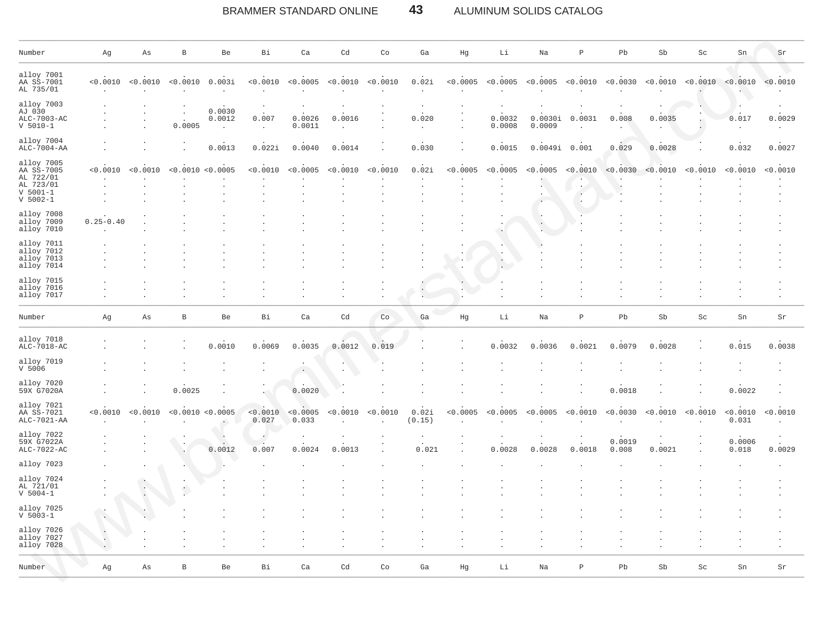#### BRAMMER STANDARD ONLINE 43 ALUMINUM SOLIDS CATALOG

| Number                                                                           | Αg            | As       | B            | Be                            | Вi                | Ca                | Cd       | Co       | Ga              | Hg       | Li               | Na                | $\, {\mathbb P}$ | Pb              | Sb       | Sc                  | Sn                | $\rm Sr$ |
|----------------------------------------------------------------------------------|---------------|----------|--------------|-------------------------------|-------------------|-------------------|----------|----------|-----------------|----------|------------------|-------------------|------------------|-----------------|----------|---------------------|-------------------|----------|
| alloy 7001<br>AA SS-7001<br>AL 735/01                                            | < 0.0010      | < 0.0010 | < 0.0010     | 0.003i                        | < 0.0010          | < 0.0005          | < 0.0010 | < 0.0010 | 0.02i           | < 0.0005 | < 0.0005         | < 0.0005          | < 0.0010         | < 0.0030        | < 0.0010 | < 0.0010            | < 0.0010          | < 0.0010 |
| alloy 7003<br>AJ 030<br>ALC-7003-AC<br>$V 5010-1$                                |               |          | 0.0005       | 0.0030<br>0.0012<br>$\lambda$ | 0.007             | 0.0026<br>0.0011  | 0.0016   |          | 0.020           |          | 0.0032<br>0.0008 | 0.0030i<br>0.0009 | 0.0031           | 0.008           | 0.0035   |                     | 0.017             | 0.0029   |
| alloy 7004<br>ALC-7004-AA                                                        |               |          |              | 0.0013                        | 0.022i            | 0.0040            | 0.0014   |          | 0.030           |          | 0.0015           | 0.0049i           | 0.001            | 0.029           | 0.0028   |                     | 0.032             | 0.0027   |
| alloy 7005<br>AA SS-7005<br>AL 722/01<br>AL 723/01<br>$V 5001-1$<br>$V 5002 - 1$ | < 0.0010      | < 0.0010 | $< 0$ .      | .0010 < 0.0005                | < 0.0010          | < 0.0005          | < 0.0010 | < 0.0010 | 0.02i           | < 0.0005 | < 0.0005         | < 0.0005          | < 0.0010         | < 0.0030        | < 0.0010 | < 0.0010            | < 0.0010          | < 0.0010 |
| alloy 7008<br>alloy 7009<br>alloy 7010                                           | $0.25 - 0.40$ |          |              |                               |                   |                   |          |          |                 |          |                  |                   |                  |                 |          |                     |                   |          |
| alloy 7011<br>alloy 7012<br>alloy 7013<br>alloy 7014                             |               |          |              |                               |                   |                   |          |          |                 |          |                  |                   |                  |                 |          |                     |                   |          |
| alloy 7015<br>alloy 7016<br>alloy 7017                                           |               |          |              |                               |                   |                   |          |          |                 |          |                  |                   |                  |                 |          |                     |                   |          |
| Number                                                                           | Αg            | As       | $\, {\bf B}$ | Be                            | Вi                | Ca                | Cd       | Co       | Ga              | Ηg       | Li               | Na                | $\, {\mathbb P}$ | Pb              | Sb       | $\operatorname{Sc}$ | Sn                | Sr       |
| alloy 7018<br>ALC-7018-AC                                                        |               |          |              | 0.0010                        | 0.0069            | 0.0035            | 0.0012   | 0.019    |                 |          | 0.0032           | 0.0036            | 0.0021           | 0.0079          | 0.0028   |                     | 0.015             | 0.0038   |
| alloy 7019<br>V <sub>5006</sub>                                                  |               |          |              |                               |                   |                   |          |          |                 |          |                  |                   |                  |                 |          |                     |                   |          |
| alloy 7020<br>59X G7020A                                                         |               |          | 0.0025       |                               |                   | 0.0020            |          |          |                 |          |                  |                   |                  | 0.0018          |          |                     | 0.0022            |          |
| alloy 7021<br>AA SS-7021<br>ALC-7021-AA                                          | < 0.0010      | < 0.0010 |              | < 0.0010 < 0.0005             | < 0.0010<br>0.027 | < 0.0005<br>0.033 | < 0.0010 | < 0.0010 | 0.02i<br>(0.15) | < 0.0005 | < 0.0005         | < 0.0005          | < 0.0010         | < 0.0030        | < 0.0010 | < 0.0010            | < 0.0010<br>0.031 | < 0.0010 |
| alloy 7022<br>59X G7022A<br>ALC-7022-AC                                          |               |          |              | 0.0012                        | 0.007             | 0.0024            | 0.0013   |          | 0.021           |          | 0.0028           | 0.0028            | 0.0018           | 0.0019<br>0.008 | 0.0021   |                     | 0.0006<br>0.018   | 0.0029   |
| alloy 7023                                                                       |               |          |              |                               |                   |                   |          |          |                 |          |                  |                   |                  |                 |          |                     |                   |          |
| alloy 7024<br>AL 721/01<br>$V 5004 - 1$                                          |               |          |              |                               |                   |                   |          |          |                 |          |                  |                   |                  |                 |          |                     |                   |          |
| alloy 7025<br>$V 5003 - 1$                                                       |               |          |              |                               |                   |                   |          |          |                 |          |                  |                   |                  |                 |          |                     |                   |          |
| alloy 7026<br>alloy 7027<br>alloy 7028                                           |               |          |              |                               |                   |                   |          |          |                 |          |                  |                   |                  |                 |          |                     |                   |          |
| Number                                                                           | Ag            | As       | $\, {\bf B}$ | Be                            | Вi                | Ca                | Cd       | Co       | Ga              | Hg       | Li               | Na                | Ρ                | Pb              | Sb       | Sc                  | ${\rm Sn}$        | Sr       |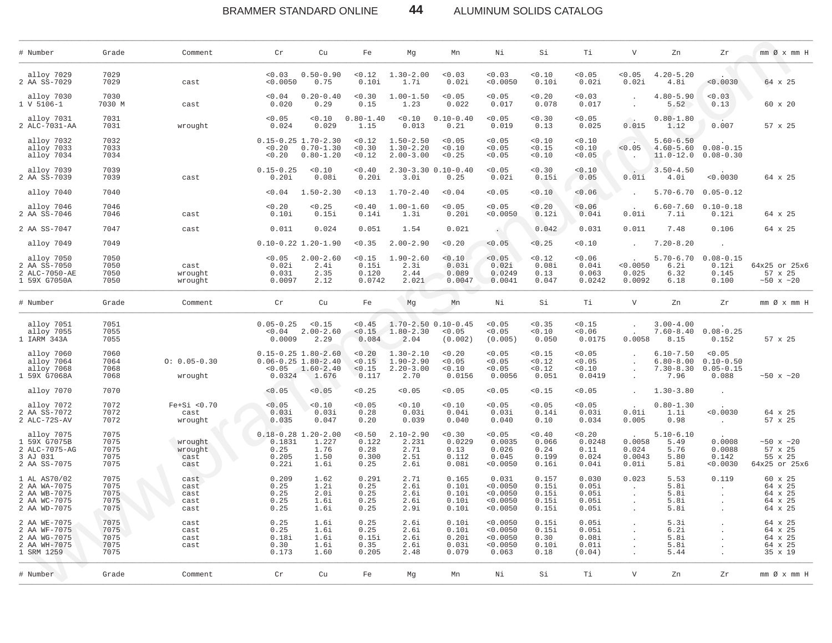#### BRAMMER STANDARD ONLINE 44 ALUMINUM SOLIDS CATALOG

| # Number                                                                     | Grade                                | Comment                              | Cr                                                | Cu                                                                           | Fe                                       | Mg                                                      | Mn                                               | Νi                                                    | Si                                        | Τi                                         | $\mathbf{V}$                                        | Zn                                                      | Zr                                                | mm Ø x mm H                                         |
|------------------------------------------------------------------------------|--------------------------------------|--------------------------------------|---------------------------------------------------|------------------------------------------------------------------------------|------------------------------------------|---------------------------------------------------------|--------------------------------------------------|-------------------------------------------------------|-------------------------------------------|--------------------------------------------|-----------------------------------------------------|---------------------------------------------------------|---------------------------------------------------|-----------------------------------------------------|
| alloy 7029<br>2 AA SS-7029                                                   | 7029<br>7029                         | cast                                 | < 0.03<br>< 0.0050                                | $0.50 - 0.90$<br>0.75                                                        | < 0.12<br>0.10i                          | $1.30 - 2.00$<br>1.7i                                   | < 0.03<br>0.02i                                  | < 0.03<br>< 0.0050                                    | 0.10<br>0.10i                             | < 0.05<br>0.02i                            | < 0.05<br>0.02i                                     | $4.20 - 5.20$<br>4.8i                                   | < 0.0030                                          | 64 x 25                                             |
| alloy 7030<br>1 V 5106-1                                                     | 7030<br>7030 M                       | cast                                 | 0.04<br>0.020                                     | $0.20 - 0.40$<br>0.29                                                        | < 0.30<br>0.15                           | $1.00 - 1.50$<br>1.23                                   | < 0.05<br>0.022                                  | < 0.05<br>0.017                                       | 0.20<br>0.078                             | 0.03<br>0.017                              | $\cdot$                                             | $4.80 - 5.90$<br>5.52                                   | 0.03<br>0.13                                      | 60 x 20                                             |
| alloy 7031<br>2 ALC-7031-AA                                                  | 7031<br>7031                         | wrought                              | < 0.05<br>0.024                                   | 0.10<br>0.029                                                                | $0.80 - 1.40$<br>1.15                    | < 0.10<br>0.013                                         | $0.10 - 0.40$<br>0.21                            | < 0.05<br>0.019                                       | 0.30<br>0.13                              | < 0.05<br>0.025                            | 0.015                                               | $0.80 - 1.80$<br>1.12                                   | 0.007                                             | 57 x 25                                             |
| alloy 7032<br>alloy 7033<br>alloy 7034                                       | 7032<br>7033<br>7034                 |                                      | < 0.20<br>< 0.20                                  | $0.15 - 0.25$ 1.70-2.30<br>$0.70 - 1.30$<br>$0.80 - 1.20$                    | < 0.12<br>< 0.30<br>< 0.12               | $1.50 - 2.50$<br>$1.30 - 2.20$<br>$2.00 - 3.00$         | < 0.05<br>< 0.10<br>< 0.25                       | < 0.05<br>< 0.05<br>< 0.05                            | < 0.10<br>< 0.15<br>< 0.10                | < 0.10<br>< 0.10<br>< 0.05                 | < 0.05<br>$\ddot{\phantom{a}}$                      | $5.60 - 6.50$<br>$4.60 - 5.60$<br>$11.0 - 12.0$         | $0.08 - 0.15$<br>$0.08 - 0.30$                    |                                                     |
| alloy 7039<br>2 AA SS-7039                                                   | 7039<br>7039                         | cast                                 | $0.15 - 0.25$<br>0.20i                            | < 0.10<br>0.08i                                                              | < 0.40<br>0.20i                          | 3.0i                                                    | $2.30 - 3.30$ $0.10 - 0.40$<br>0.25              | < 0.05<br>0.02i                                       | 0.30<br>0.15i                             | < 0.10<br>0.05                             | 0.01i                                               | $3.50 - 4.50$<br>4.0i                                   | < 0.0030                                          | 64 x 25                                             |
| alloy 7040                                                                   | 7040                                 |                                      | < 0.04                                            | $1.50 - 2.30$                                                                | < 0.13                                   | $1.70 - 2.40$                                           | < 0.04                                           | < 0.05                                                | 0.10                                      | < 0.06                                     |                                                     | $5.70 - 6.70$                                           | $0.05 - 0.12$                                     |                                                     |
| alloy 7046<br>2 AA SS-7046                                                   | 7046<br>7046                         | cast                                 | < 0.20<br>0.10i                                   | < 0.25<br>0.15i                                                              | < 0.40<br>0.14i                          | $1.00 - 1.60$<br>1.3i                                   | < 0.05<br>0.20i                                  | < 0.05<br>< 0.0050                                    | < 0.20<br>0.12i                           | < 0.06<br>0.04i                            | 0.01i                                               | $6.60 - 7.60$<br>7.1i                                   | $0.10 - 0.18$<br>0.12i                            | 64 x 25                                             |
| 2 AA SS-7047                                                                 | 7047                                 | cast                                 | 0.011                                             | 0.024                                                                        | 0.051                                    | 1.54                                                    | 0.021                                            | $\sim$                                                | 0.042                                     | 0.031                                      | 0.011                                               | 7.48                                                    | 0.106                                             | 64 x 25                                             |
| alloy 7049                                                                   | 7049                                 |                                      |                                                   | $0.10 - 0.22$ 1.20-1.90                                                      | 0.35                                     | $2.00 - 2.90$                                           | < 0.20                                           | < 0.05                                                | 0.25                                      | 0.10                                       |                                                     | $7.20 - 8.20$                                           | $\ddot{\phantom{a}}$                              |                                                     |
| alloy 7050<br>2 AA SS-7050<br>2 ALC-7050-AE<br>1 59X G7050A                  | 7050<br>7050<br>7050<br>7050         | cast<br>wrought<br>wrought           | 0.05<br>0.02i<br>0.031<br>0.0097                  | $2.00 - 2.60$<br>2.4i<br>2.35<br>2.12                                        | < 0.15<br>0.15i<br>0.120<br>0.0742       | $1.90 - 2.60$<br>2.3i<br>2.44<br>2.021                  | 0.10<br>0.03i<br>0.089<br>0.0047                 | < 0.05<br>0.02i<br>0.0249<br>0.0041                   | < 0.12<br>0.08i<br>0.13<br>0.047          | 0.06<br>0.04i<br>0.063<br>0.0242           | < 0.0050<br>0.025<br>0.0092                         | $5.70 - 6.70$<br>6.2i<br>6.32<br>6.18                   | $0.08 - 0.15$<br>0.12i<br>0.145<br>0.100          | 64x25 or 25x6<br>57 x 25<br>~10x ~120               |
| # Number                                                                     | Grade                                | Comment                              | $\operatorname{\sf Cr}$                           | Cu                                                                           | Fe                                       | Mg                                                      | Mn                                               | Νi                                                    | Si                                        | Τi                                         | $\mathbf{V}$                                        | Zn                                                      | Zr                                                |                                                     |
| alloy 7051<br>alloy 7055<br>1 IARM 343A                                      | 7051<br>7055<br>7055                 |                                      | $0.05 - 0.25$<br>0.04<br>0.0009                   | < 0.15<br>$2.00 - 2.60$<br>2.29                                              | < 0.45<br>< 0.15<br>0.084                | $1.80 - 2.30$<br>2.04                                   | $1.70 - 2.50$ $0.10 - 0.45$<br>< 0.05<br>(0.002) | < 0.05<br>< 0.05<br>(0.005)                           | < 0.35<br>0.10<br>0.050                   | < 0.15<br>< 0.06<br>0.0175                 | 0.0058                                              | $3.00 - 4.00$<br>$7.60 - 8.40$<br>8.15                  | $0.08 - 0.25$<br>0.152                            | 57 x 25                                             |
| alloy 7060<br>alloy 7064<br>alloy 7068<br>1 59X G7068A                       | 7060<br>7064<br>7068<br>7068         | $0: 0.05 - 0.30$<br>wrought          | < 0.05<br>0.0324                                  | $0.15 - 0.25$ 1.80-2.60<br>$0.06 - 0.25$ 1.80-2.40<br>$1.60 - 2.40$<br>1.676 | < 0.20<br>< 0.15<br>< 0.15<br>0.117      | $1.30 - 2.10$<br>$1.90 - 2.90$<br>$2.20 - 3.00$<br>2.70 | < 0.20<br>< 0.05<br>< 0.10<br>0.0156             | < 0.05<br>< 0.05<br>< 0.05<br>0.0056                  | < 0.15<br>< 0.12<br>< 0.12<br>0.051       | < 0.05<br>< 0.05<br>< 0.10<br>0.0419       | $\Delta$                                            | $6.10 - 7.50$<br>$6.80 - 8.00$<br>$7.30 - 8.30$<br>7.96 | < 0.05<br>$0.10 - 0.50$<br>$0.05 - 0.15$<br>0.088 | $~10 \times 20$                                     |
| alloy 7070                                                                   | 7070                                 |                                      | 0.05                                              | < 0.05                                                                       | < 0.25                                   | 0.05                                                    | < 0.05                                           | < 0.05                                                | < 0.15                                    | < 0.05                                     |                                                     | $1.30 - 3.80$                                           | $\ddot{\phantom{a}}$                              |                                                     |
| alloy 7072<br>2 AA SS-7072<br>2 ALC-72S-AV                                   | 7072<br>7072<br>7072                 | $Fe+Si < 0.70$<br>cast<br>wrought    | < 0.05<br>0.03i<br>0.035                          | < 0.10<br>0.03i<br>0.047                                                     | < 0.05<br>0.28<br>0.20                   | < 0.10<br>0.03i<br>0.039                                | < 0.10<br>0.04i<br>0.040                         | < 0.05<br>0.03i<br>0.040                              | < 0.05<br>0.14i<br>0.10                   | < 0.05<br>0.03i<br>0.034                   | 0.01i<br>0.005                                      | $0.80 - 1.30$<br>1.1i<br>0.98                           | < 0.0030<br>$\sim$                                | 64 x 25<br>57 x 25                                  |
| alloy 7075<br>1 59X G7075B<br>2 ALC-7075-AG<br>3 AJ 031<br>2 AA SS-7075      | 7075<br>7075<br>7075<br>7075<br>7075 | wrought<br>wrought<br>cast<br>cast   | $0.18 - 0.28$<br>0.1831<br>0.25<br>0.205<br>0.22i | $1.20 - 2.00$<br>1.227<br>1.76<br>1.50<br>1.6i                               | < 0.50<br>0.122<br>0.28<br>0.300<br>0.25 | $2.10 - 2.90$<br>2.231<br>2.71<br>2.51<br>2.6i          | < 0.30<br>0.0229<br>0.13<br>0.112<br>0.08i       | < 0.05<br>0.0035<br>0.026<br>0.045<br>< 0.0050        | 0.40<br>0.066<br>0.24<br>0.199<br>0.16i   | < 0.20<br>0.0248<br>0.11<br>0.024<br>0.04i | 0.0058<br>0.024<br>0.0043<br>0.01i                  | $5.10 - 6.10$<br>5.49<br>5.76<br>5.80<br>5.8i           | 0.0008<br>0.0088<br>0.142<br>< 0.0030             | ~10x ~120<br>57 x 25<br>55 x 25<br>64x25 or 25x6    |
| 1 AL AS70/02<br>2 AA WA-7075<br>2 AA WB-7075<br>2 AA WC-7075<br>2 AA WD-7075 | 7075<br>7075<br>7075<br>7075<br>7075 | cast<br>cast<br>cast<br>cast<br>cast | 0.209<br>0.25<br>0.25<br>0.25<br>0.25             | 1.62<br>1.2i<br>2.0i<br>1.6i<br>1.6i                                         | 0.291<br>0.25<br>0.25<br>0.25<br>0.25    | 2.71<br>2.6i<br>2.6i<br>2.6i<br>2.9i                    | 0.165<br>0.10i<br>0.10i<br>0.10i<br>0.10i        | 0.031<br>< 0.0050<br>< 0.0050<br>< 0.0050<br>< 0.0050 | 0.157<br>0.15i<br>0.15i<br>0.15i<br>0.15i | 0.030<br>0.05i<br>0.05i<br>0.05i<br>0.05i  | 0.023<br>$\cdot$<br>$\ddot{\phantom{a}}$<br>$\cdot$ | 5.53<br>5.8i<br>5.8i<br>5.8i<br>5.8i                    | 0.119                                             | 60 x 25<br>64 x 25<br>64 x 25<br>64 x 25<br>64 x 25 |
| 2 AA WE-7075<br>2 AA WF-7075<br>2 AA WG-7075<br>2 AA WH-7075<br>1 SRM 1259   | 7075<br>7075<br>7075<br>7075<br>7075 | cast<br>cast<br>cast<br>cast         | 0.25<br>0.25<br>0.18i<br>0.30<br>0.173            | 1.6i<br>1.6i<br>1.6i<br>1.6i<br>1.60                                         | 0.25<br>0.25<br>0.15i<br>0.35<br>0.205   | 2.6i<br>2.6i<br>2.6i<br>2.6i<br>2.48                    | 0.10i<br>0.10i<br>0.20i<br>0.03i<br>0.079        | < 0.0050<br>< 0.0050<br>< 0.0050<br>< 0.0050<br>0.063 | 0.15i<br>0.15i<br>0.30<br>0.10i<br>0.18   | 0.05i<br>0.05i<br>0.08i<br>0.01i<br>(0.04) |                                                     | 5.3i<br>6.2i<br>5.8i<br>5.8i<br>5.44                    | $\cdot$                                           | 64 x 25<br>64 x 25<br>64 x 25<br>64 x 25<br>35 x 19 |
| # Number                                                                     | Grade                                | Comment                              | $\operatorname{\sf Cr}$                           | Cu                                                                           | Fe                                       | Мg                                                      | Mn                                               | Νi                                                    | Si                                        | Тi                                         | $\mathbf{V}$                                        | Zn                                                      | Zr                                                | $mm$ Ø $x$ $mm$ H                                   |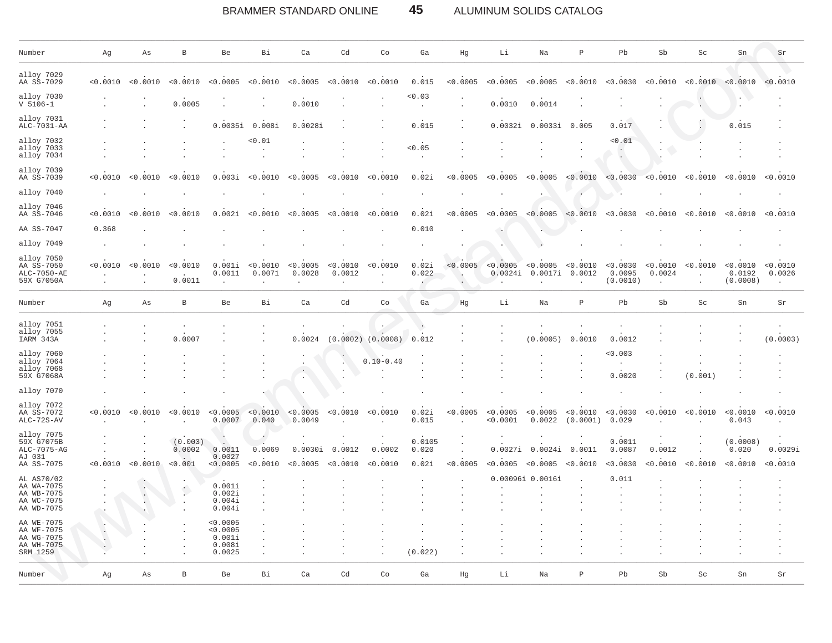BRAMMER STANDARD ONLINE 45 ALUMINUM SOLIDS CATALOG

| Number                                                             | Αg                   | As             | В                            | Be                                                 | Bi                 | Ca                  | Cd                                   | Co                               | Ga                       | Hg                               | Li                   | Na                               | $\mathbb P$                        | Pb                             | Sb                 | Sc                               | Sn                             | Sr                  |
|--------------------------------------------------------------------|----------------------|----------------|------------------------------|----------------------------------------------------|--------------------|---------------------|--------------------------------------|----------------------------------|--------------------------|----------------------------------|----------------------|----------------------------------|------------------------------------|--------------------------------|--------------------|----------------------------------|--------------------------------|---------------------|
| alloy 7029<br>AA SS-7029                                           | < 0.0010             | < 0.0010       | < 0.0010                     | < 0.0005                                           | < 0.0010           | < 0.0005            | < 0.0010                             | < 0.0010                         | 0.015                    | < 0.0005                         | < 0.0005             | < 0.0005                         | < 0.0010                           | < 0.0030                       | < 0.0010           | < 0.0010                         | < 0.0010                       | < 0.0010            |
| alloy 7030<br>$V 5106 - 1$                                         |                      | $\overline{a}$ | 0.0005                       |                                                    |                    | 0.0010              |                                      |                                  | 0.03<br>$\cdot$          | $\cdot$                          | 0.0010               | 0.0014                           |                                    |                                |                    |                                  |                                |                     |
| alloy 7031<br>ALC-7031-AA                                          |                      |                |                              | 0.0035i                                            | 0.008i             | 0.0028i             |                                      |                                  | 0.015                    |                                  | 0.0032i              | 0.0033i                          | 0.005                              | 0.017                          |                    |                                  | 0.015                          |                     |
| alloy 7032<br>alloy 7033<br>alloy 7034                             |                      |                |                              |                                                    | 0.01               |                     |                                      |                                  | < 0.05                   |                                  |                      |                                  |                                    | 0.01                           |                    |                                  |                                |                     |
| alloy 7039<br>AA SS-7039                                           | < 0.0010             | < 0.0010       | < 0.0010                     | 0.003i                                             | < 0.0010           | < 0.0005            | < 0.0010                             | < 0.0010                         | 0.02i                    | < 0.0005                         | < 0.0005             | < 0.0005                         | < 0.0010                           | < 0.0030                       | < 0.0010           | 0.0010                           | < 0.0010                       | < 0.0010            |
| alloy 7040                                                         |                      |                |                              |                                                    |                    |                     |                                      |                                  |                          |                                  |                      |                                  |                                    |                                |                    |                                  |                                |                     |
| alloy 7046<br>AA SS-7046                                           | < 0.0010             | < 0.0010       | < 0.0010                     | 0.002i                                             | < 0.0010           | < 0.0005            | < 0.0010                             | < 0.0010                         | 0.02i                    | < 0.0005                         | < 0.0005             | < 0.0005                         | < 0.0010                           | < 0.0030                       | < 0.0010           | < 0.0010                         | < 0.0010                       | < 0.0010            |
| AA SS-7047                                                         | 0.368                |                |                              |                                                    |                    |                     |                                      |                                  | 0.010                    |                                  |                      | v.                               |                                    |                                |                    |                                  |                                |                     |
| alloy 7049                                                         |                      |                |                              |                                                    |                    |                     |                                      |                                  |                          |                                  |                      |                                  |                                    |                                |                    |                                  |                                |                     |
| alloy 7050<br>AA SS-7050<br>ALC-7050-AE<br>59X G7050A              | < 0.0010             | < 0.0010       | < 0.0010<br>0.0011           | 0.001i<br>0.0011                                   | < 0.0010<br>0.0071 | < 0.0005<br>0.0028  | < 0.0010<br>0.0012<br>$\blacksquare$ | < 0.0010<br>$\ddot{\phantom{a}}$ | 0.02i<br>0.022           | < 0.0005<br>$\rightarrow$        | < 0.0005<br>0.0024i  | < 0.0005<br>0.0017i<br>$\lambda$ | < 0.0010<br>0.0012<br>$\mathbf{r}$ | < 0.0030<br>0.0095<br>(0.0010) | < 0.0010<br>0.0024 | < 0.0010<br>$\ddot{\phantom{a}}$ | < 0.0010<br>0.0192<br>(0.0008) | < 0.0010<br>0.0026  |
| Number                                                             | Ag                   | As             | В                            | Be                                                 | Bi                 | Ca                  | Cd                                   | Co                               | Ga                       | Hg                               | Li                   | Na                               | $\, {\bf P}$                       | Pb                             | Sb                 | Sc                               | Sn                             | Sr                  |
| alloy 7051<br>alloy 7055<br>IARM 343A                              |                      |                | 0.0007                       |                                                    |                    | 0.0024              |                                      | $(0.0002)$ $(0.0008)$            | 0.012                    |                                  |                      | (0.0005)                         | 0.0010                             | 0.0012                         |                    |                                  |                                | (0.0003)            |
| alloy 7060<br>alloy 7064<br>alloy 7068<br>59X G7068A               |                      |                |                              |                                                    |                    |                     |                                      | $0.10 - 0.40$                    |                          |                                  |                      |                                  |                                    | 0.003<br>0.0020                |                    | (0.001)                          |                                |                     |
| alloy 7070                                                         |                      |                |                              |                                                    |                    |                     |                                      |                                  |                          |                                  |                      |                                  |                                    |                                |                    |                                  |                                |                     |
| alloy 7072<br>AA SS-7072<br>ALC-72S-AV                             | <0.0010              | < 0.0010       | < 0.0010                     | < 0.0005<br>0.0007                                 | < 0.0010<br>0.040  | < 0.0005<br>0.0049  | < 0.0010                             | < 0.0010                         | 0.02i<br>0.015           | < 0.0005<br>$\ddot{\phantom{a}}$ | < 0.0005<br>< 0.0001 | < 0.0005<br>0.0022               | < 0.0010<br>(0.0001)               | < 0.0030<br>0.029              | < 0.0010           | < 0.0010                         | < 0.0010<br>0.043              | < 0.0010            |
| alloy 7075<br>59X G7075B<br>ALC-7075-AG<br>AJ 031<br>AA SS-7075    | < 0.0010             | < 0.0010       | (0.003)<br>0.0002<br>< 0.001 | 0.0011<br>0.0027<br>< 0.0005                       | 0.0069<br>< 0.0010 | 0.0030i<br>< 0.0005 | 0.0012<br>< 0.0010                   | 0.0002<br>< 0.0010               | 0.0105<br>0.020<br>0.02i | $\cdot$<br>< 0.0005              | < 0.0005             | 0.0027i 0.0024i<br>< 0.0005      | 0.0011<br>< 0.0010                 | 0.0011<br>0.0087<br>< 0.0030   | 0.0012<br>< 0.0010 | < 0.0010                         | (0.0008)<br>0.020<br>< 0.0010  | 0.0029i<br>< 0.0010 |
| AL AS70/02<br>AA WA-7075<br>AA WB-7075<br>AA WC-7075<br>AA WD-7075 |                      | $\bullet$ .    |                              | 0.001i<br>0.002i<br>0.004i<br>0.004i               |                    |                     |                                      |                                  |                          |                                  |                      | 0.00096i 0.0016i                 |                                    | 0.011                          |                    |                                  |                                |                     |
| AA WE-7075<br>AA WF-7075<br>AA WG-7075<br>AA WH-7075<br>SRM 1259   | $\cdot$<br>$\bullet$ |                |                              | < 0.0005<br>< 0.0005<br>0.001i<br>0.008i<br>0.0025 | $\cdot$            |                     |                                      |                                  | (0.022)                  |                                  |                      |                                  |                                    |                                |                    |                                  |                                |                     |
| Number                                                             | Αg                   | Αs             | $\, {\bf B}$                 | Be                                                 | Bi                 | Ca                  | Cd                                   | Co                               | Ga                       | Hg                               | Li                   | Na                               | $\, {\bf P}$                       | Pb                             | Sb                 | Sc                               | Sn                             | Sr                  |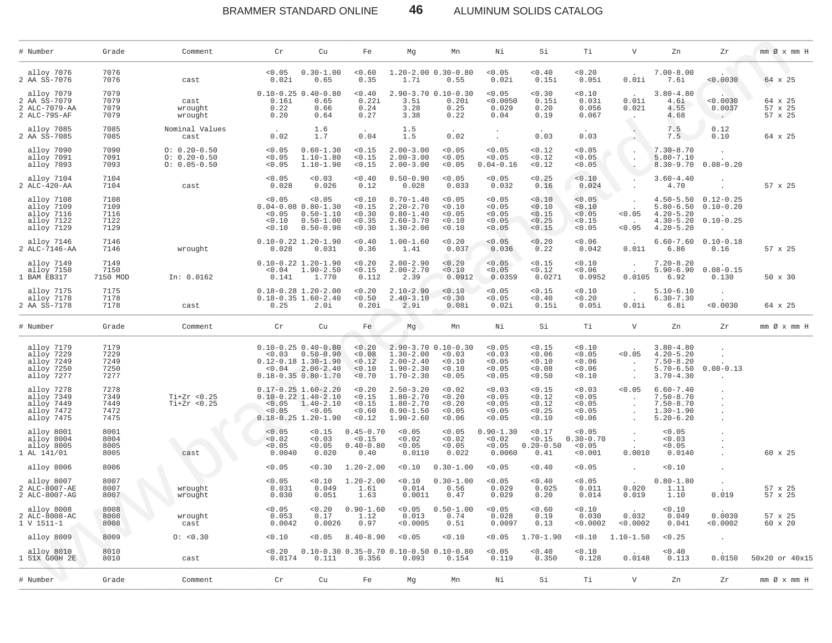### BRAMMER STANDARD ONLINE **46** ALUMINUM SOLIDS CATALOG

| # Number                                                           | Grade                                | Comment                                                  | Cr                                   | Cu                                                                                                                         | Fe                                               | Mg                                                                                | Mn                                                                | Νi                                             | Si                                             | Тi                                             | $\mathbf v$                              | Zn                                                                                | Ζr                                                        | $mm \oslash x$ $mm$ H         |
|--------------------------------------------------------------------|--------------------------------------|----------------------------------------------------------|--------------------------------------|----------------------------------------------------------------------------------------------------------------------------|--------------------------------------------------|-----------------------------------------------------------------------------------|-------------------------------------------------------------------|------------------------------------------------|------------------------------------------------|------------------------------------------------|------------------------------------------|-----------------------------------------------------------------------------------|-----------------------------------------------------------|-------------------------------|
| alloy 7076<br>2 AA SS-7076                                         | 7076<br>7076                         | cast                                                     | < 0.05<br>0.02i                      | $0.30 - 1.00$<br>0.65                                                                                                      | 0.60<br>0.35                                     | 1.7i                                                                              | $1.20 - 2.00$ $0.30 - 0.80$<br>0.55                               | < 0.05<br>0.02i                                | 0.40<br>0.15i                                  | 0.20<br>0.05i                                  | 0.01i                                    | $7.00 - 8.00$<br>7.6i                                                             | 0.0030                                                    | 64 x 25                       |
| alloy 7079<br>2 AA SS-7079<br>2 ALC-7079-AA<br>2 ALC-79S-AF        | 7079<br>7079<br>7079<br>7079         | cast<br>wrought<br>wrought                               | 0.16i<br>0.22<br>0.20                | $0.10 - 0.25$ 0.40-0.80<br>0.65<br>0.66<br>0.64                                                                            | 0.40<br>0.22i<br>0.24<br>0.27                    | 3.5i<br>3.28<br>3.38                                                              | $2.90 - 3.70$ 0.10-0.30<br>0.20i<br>0.25<br>0.22                  | < 0.05<br>< 0.0050<br>0.029<br>0.04            | 0.30<br>0.15i<br>0.20<br>0.19                  | 0.10<br>0.03i<br>0.056<br>0.067                | 0.01i<br>0.021                           | $3.80 - 4.80$<br>4.6i<br>4.55<br>4.68                                             | < 0.0030<br>0.0037<br>$\sim 100$                          | 64 x 25<br>57 x 25<br>57 x 25 |
| alloy 7085<br>2 AA SS-7085                                         | 7085<br>7085                         | Nominal Values<br>cast                                   | 0.02                                 | 1.6<br>1.7                                                                                                                 | 0.04                                             | 1.5<br>1.5                                                                        | 0.02                                                              | $\cdot$                                        | 0.03                                           | 0.03                                           |                                          | 7.5<br>7.5                                                                        | 0.12<br>0.10                                              | 64 x 25                       |
| alloy 7090<br>alloy 7091<br>alloy 7093                             | 7090<br>7091<br>7093                 | $0: 0.20 - 0.50$<br>$0: 0.20 - 0.50$<br>$0: 0.05 - 0.50$ | < 0.05<br>< 0.05<br>< 0.05           | $0.60 - 1.30$<br>$1.10 - 1.80$<br>$1.10 - 1.90$                                                                            | < 0.15<br>< 0.15<br>< 0.15                       | $2.00 - 3.00$<br>$2.00 - 3.00$<br>$2.00 - 3.00$                                   | < 0.05<br>< 0.05<br>< 0.05                                        | < 0.05<br>< 0.05<br>$0.04 - 0.16$              | 0.12<br>0.12<br>< 0.12                         | < 0.05<br>< 0.05<br>< 0.05                     |                                          | $7.30 - 8.70$<br>$5.80 - 7.10$<br>$8.30 - 9.70$                                   | $0.08 - 0.20$                                             |                               |
| alloy 7104<br>2 ALC-420-AA                                         | 7104<br>7104                         | cast                                                     | < 0.05<br>0.028                      | < 0.03<br>0.026                                                                                                            | < 0.40<br>0.12                                   | $0.50 - 0.90$<br>0.028                                                            | < 0.05<br>0.033                                                   | < 0.05<br>0.032                                | < 0.25<br>0.16                                 | < 0.10<br>0.024                                |                                          | $3.60 - 4.40$<br>4.70                                                             |                                                           | 57 x 25                       |
| alloy 7108<br>alloy 7109<br>alloy 7116<br>alloy 7122<br>alloy 7129 | 7108<br>7109<br>7116<br>7122<br>7129 |                                                          | < 0.05<br>< 0.05<br>< 0.10<br>< 0.10 | 0.05<br>$0.04 - 0.08$ $0.80 - 1.30$<br>$0.50 - 1.10$<br>$0.50 - 1.00$<br>$0.50 - 0.90$                                     | 0.10<br>< 0.15<br>< 0.30<br>< 0.35<br>0.30       | $0.70 - 1.40$<br>$2.20 - 2.70$<br>$0.80 - 1.40$<br>$2.60 - 3.70$<br>$1.30 - 2.00$ | < 0.05<br>0.10<br>< 0.05<br>0.10<br>< 0.10                        | < 0.05<br>< 0.05<br>< 0.05<br>< 0.05<br>< 0.05 | < 0.10<br>< 0.10<br>< 0.15<br>< 0.25<br>< 0.15 | < 0.05<br>< 0.10<br>< 0.05<br>< 0.15<br>< 0.05 | < 0.05<br>< 0.05                         | $4.50 - 5.50$<br>$5.80 - 6.50$<br>$4.20 - 5.20$<br>$4.30 - 5.20$<br>$4.20 - 5.20$ | $0.12 - 0.25$<br>$0.10 - 0.20$<br>$0.10 - 0.25$<br>$\sim$ |                               |
| alloy 7146<br>2 ALC-7146-AA                                        | 7146<br>7146                         | wrought                                                  | 0.028                                | $0.10 - 0.22$ 1.20-1.90<br>0.031                                                                                           | < 0.40<br>0.36                                   | $1.00 - 1.60$<br>1.41                                                             | 0.20<br>0.037                                                     | < 0.05<br>0.036                                | 0.20<br>0.22                                   | < 0.06<br>0.042                                | 0.011                                    | $6.60 - 7.60$<br>6.86                                                             | $0.10 - 0.18$<br>0.16                                     | 57 x 25                       |
| alloy 7149<br>alloy 7150<br>1 BAM EB317                            | 7149<br>7150<br>7150 MOD             | In: 0.0162                                               | < 0.04<br>0.141                      | $0.10 - 0.22$ 1.20-1.90<br>$1.90 - 2.50$<br>1.770                                                                          | 0.20<br>< 0.15<br>0.112                          | $2.00 - 2.90$<br>$2.00 - 2.70$<br>2.39                                            | < 0.20<br>0.10<br>0.0912                                          | < 0.05<br>< 0.05<br>0.0359                     | 0.15<br>0.12<br>0.0271                         | 0.10<br>0.06<br>0.0952                         | $\ddot{\phantom{a}}$<br>$\sim$<br>0.0105 | $7.20 - 8.20$<br>$5.90 - 6.90$<br>6.92                                            | $0.08 - 0.15$<br>0.130                                    | 50 x 30                       |
| alloy 7175<br>alloy 7178<br>2 AA SS-7178                           | 7175<br>7178<br>7178                 | cast                                                     | 0.25                                 | $0.18 - 0.28$ 1.20-2.00<br>$0.18 - 0.35$ 1.60-2.40<br>2.0i                                                                 | < 0.20<br>< 0.50<br>0.20i                        | $2.10 - 2.90$<br>$2.40 - 3.10$<br>2.9i                                            | < 0.10<br>0.30<br>0.08i                                           | < 0.05<br>< 0.05<br>0.02i                      | 0.15<br>0.40<br>0.15i                          | < 0.10<br>< 0.20<br>0.05i                      | 0.01i                                    | $5.10 - 6.10$<br>$6.30 - 7.30$<br>6.8i                                            | 0.0030                                                    | 64 x 25                       |
| # Number                                                           | Grade                                | Comment                                                  | Cr                                   | Cu                                                                                                                         | Fe                                               | Mg                                                                                | Mn                                                                | Νi                                             | Si                                             | Тi                                             | $\mathbf V$                              | Zn                                                                                | Zr                                                        | $mm \oslash x$ $mm$ H         |
| alloy 7179<br>alloy 7229<br>alloy 7249<br>alloy 7250<br>alloy 7277 | 7179<br>7229<br>7249<br>7250<br>7277 |                                                          | < 0.03                               | $0.10 - 0.25$ 0.40-0.80<br>$0.50 - 0.90$<br>$0.12 - 0.18$ 1.30-1.90<br>$< 0.04$ $2.00 - 2.40$<br>$0.18 - 0.35 0.80 - 1.70$ | < 0.20<br>< 0.08<br>< 0.12<br>0.10<br>< 0.70     | $1.30 - 2.00$<br>$2.00 - 2.40$<br>$1.90 - 2.30$<br>$1.70 - 2.30$                  | $2.90 - 3.70$ $0.10 - 0.30$<br>0.03<br>< 0.10<br>< 0.10<br>< 0.05 | < 0.05<br>0.03<br>< 0.05<br>< 0.05<br>< 0.05   | < 0.15<br>< 0.06<br>< 0.10<br>< 0.08<br>< 0.50 | < 0.10<br>< 0.05<br>0.06<br>0.06<br>0.10       | < 0.05<br>$\cdot$<br>$\bullet$<br>$\sim$ | $3.80 - 4.80$<br>$4.20 - 5.20$<br>$7.50 - 8.20$<br>$5.70 - 6.50$<br>$3.70 - 4.30$ | $0.08 - 0.13$                                             |                               |
| alloy 7278<br>alloy 7349<br>alloy 7449<br>alloy 7472<br>alloy 7475 | 7278<br>7349<br>7449<br>7472<br>7475 | $Ti+Zr < 0.25$<br>$Ti+Zr < 0.25$                         | < 0.05<br>< 0.05                     | $0.17 - 0.25$ 1.60-2.20<br>$0.10-0.22$ 1.40-2.10<br>$1.40 - 2.10$<br>< 0.05<br>$0.18 - 0.25$ 1.20-1.90                     | < 0.20<br>< 0.15<br>< 0.15<br>0.60<br>< 0.12     | $2.50 - 3.20$<br>$1.80 - 2.70$<br>$1.80 - 2.70$<br>$0.90 - 1.50$<br>$1.90 - 2.60$ | < 0.02<br>0.20<br>< 0.20<br>< 0.05<br>< 0.06                      | < 0.03<br>< 0.05<br>< 0.05<br>< 0.05<br>< 0.05 | < 0.15<br>< 0.12<br>< 0.12<br>< 0.25<br>0.10   | < 0.03<br>< 0.05<br>< 0.05<br>< 0.05<br>0.06   | 0.05                                     | $6.60 - 7.40$<br>$7.50 - 8.70$<br>$7.50 - 8.70$<br>$1.30 - 1.90$<br>$5.20 - 6.20$ |                                                           |                               |
| alloy 8001<br>alloy 8004<br>alloy 8005<br>1 AL 141/01              | 8001<br>8004<br>8005<br>8005         | cast                                                     | < 0.05<br>< 0.02<br>< 0.05<br>0.0040 | < 0.15<br>0.03<br>< 0.05<br>0.020                                                                                          | $0.45 - 0.70$<br>< 0.15<br>$0.40 - 0.80$<br>0.40 | < 0.05<br>0.02<br>< 0.05<br>0.0110                                                | < 0.05<br>0.02<br>0.05<br>0.022                                   | $0.90 - 1.30$<br>0.02<br>< 0.05<br>0.0060      | < 0.17<br>< 0.15<br>$0.20 - 0.50$<br>0.41      | < 0.05<br>$0.30 - 0.70$<br>< 0.05<br>< 0.001   | 0.0010                                   | < 0.05<br>0.03<br>< 0.05<br>0.0140                                                |                                                           | 60 x 25                       |
| alloy 8006                                                         | 8006                                 |                                                          | < 0.05                               | 0.30                                                                                                                       | $1.20 - 2.00$                                    | 0.10                                                                              | $0.30 - 1.00$                                                     | < 0.05                                         | < 0.40                                         | < 0.05                                         | $\sim$                                   | 0.10                                                                              |                                                           |                               |
| alloy 8007<br>2 ALC-8007-AE<br>2 ALC-8007-AG                       | 8007<br>8007<br>8007                 | wrought<br>wrought                                       | < 0.05<br>0.031<br>0.030             | 0.10<br>0.049<br>0.051                                                                                                     | $1.20 - 2.00$<br>1.61<br>1.63                    | < 0.10<br>0.014<br>0.0011                                                         | $0.30 - 1.00$<br>0.56<br>0.47                                     | < 0.05<br>0.029<br>0.029                       | 0.40<br>0.025<br>0.20                          | < 0.05<br>0.011<br>0.014                       | 0.020<br>0.019                           | $0.80 - 1.80$<br>1.11<br>1.10                                                     | 0.019                                                     | 57 x 25<br>57 x 25            |
| alloy 8008<br>2 ALC-8008-AC<br>1 V 1511-1                          | 8008<br>8008<br>8008                 | wrought<br>cast                                          | < 0.05<br>0.053<br>0.0042            | 0.20<br>0.17<br>0.0026                                                                                                     | $0.90 - 1.60$<br>1.12<br>0.97                    | < 0.05<br>0.013<br>< 0.0005                                                       | $0.50 - 1.00$<br>0.74<br>0.51                                     | < 0.05<br>0.028<br>0.0097                      | 0.60<br>0.19<br>0.13                           | < 0.10<br>0.030<br>< 0.0002                    | 0.032<br>< 0.0002                        | 0.10<br>0.049<br>0.041                                                            | 0.0039<br>0.0002                                          | 57 x 25<br>60 x 20            |
| alloy 8009                                                         | 8009                                 | 0: <0.30                                                 | < 0.10                               | < 0.05                                                                                                                     | $8.40 - 8.90$                                    | < 0.05                                                                            | 0.10                                                              | < 0.05                                         | 1.70-1.90                                      | < 0.10                                         | $1.10 - 1.50$                            | < 0.25                                                                            | $\sim$ 100 $\mu$                                          |                               |
| alloy 8010<br>1 51X GOOH 2E                                        | 8010<br>8010                         | cast                                                     | < 0.20<br>0.0174                     | 0.111                                                                                                                      | 0.356                                            | 0.093                                                                             | $0.10-0.30$ $0.35-0.70$ $0.10-0.50$ $0.10-0.80$<br>0.154          | < 0.05<br>0.119                                | < 0.40<br>0.350                                | 0.10<br>0.128                                  | 0.0148                                   | 0.40<br>0.113                                                                     | 0.0150                                                    | 50x20 or 40x15                |
| # Number                                                           | Grade                                | Comment                                                  | Cr                                   | Cu                                                                                                                         | Fe                                               | Mg                                                                                | Mn                                                                | Νi                                             | Si                                             | Тi                                             | V                                        | Zn                                                                                | Ζr                                                        | mm Ø x mm H                   |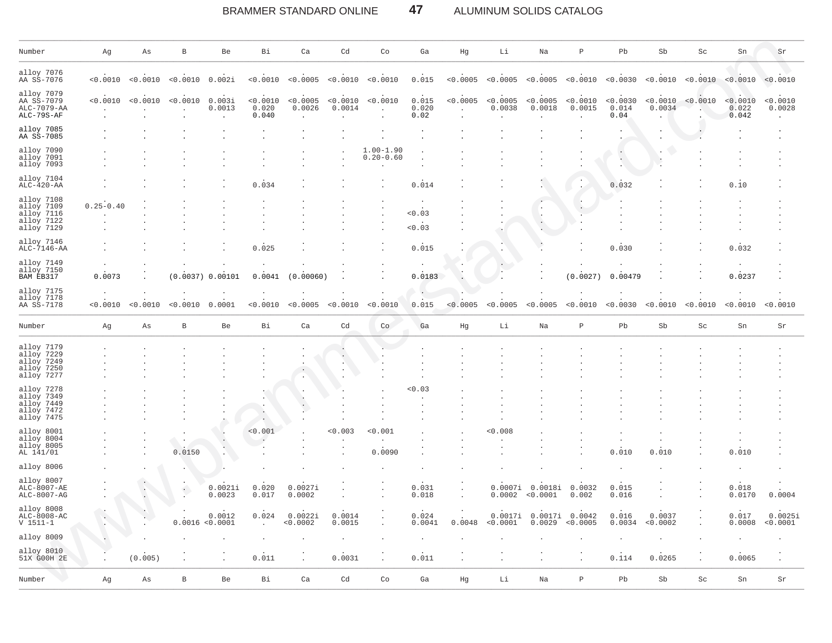BRAMMER STANDARD ONLINE 47 ALUMINUM SOLIDS CATALOG

| Number                                                                           | Αg            | Αs       | B            | Be                            | Bi                         | Ca                                         | Cd                 | Co                             | Ga                     | Hg                               | Li                                         | Na                                         | $\, {\bf P}$                  | Pb                        | Sb                 | Sc                  | Sn                         | Sr                  |
|----------------------------------------------------------------------------------|---------------|----------|--------------|-------------------------------|----------------------------|--------------------------------------------|--------------------|--------------------------------|------------------------|----------------------------------|--------------------------------------------|--------------------------------------------|-------------------------------|---------------------------|--------------------|---------------------|----------------------------|---------------------|
| alloy 7076<br>AA SS-7076                                                         | < 0.0010      | < 0.0010 | < 0.0010     | 0.002i                        | < 0.0010                   | < 0.0005                                   | < 0.0010           | < 0.0010                       | 0.015                  | < 0.0005                         | < 0.0005                                   | < 0.0005                                   | < 0.0010                      | < 0.0030                  | < 0.0010           | < 0.0010 < 0.0010   |                            | < 0.0010            |
| alloy 7079<br>AA SS-7079<br>ALC-7079-AA<br>$ALC-79S-AF$                          | < 0.0010      | < 0.0010 | < 0.0010     | 0.003i<br>0.0013<br>$\bullet$ | < 0.0010<br>0.020<br>0.040 | < 0.0005<br>0.0026<br>$\ddot{\phantom{a}}$ | < 0.0010<br>0.0014 | < 0.0010<br>$\cdot$            | 0.015<br>0.020<br>0.02 | < 0.0005<br>$\ddot{\phantom{0}}$ | < 0.0005<br>0.0038<br>$\ddot{\phantom{a}}$ | < 0.0005<br>0.0018<br>$\ddot{\phantom{0}}$ | < 0.0010<br>0.0015<br>$\cdot$ | < 0.0030<br>0.014<br>0.04 | < 0.0010<br>0.0034 | < 0.0010            | < 0.0010<br>0.022<br>0.042 | < 0.0010<br>0.0028  |
| alloy 7085<br>AA SS-7085                                                         |               |          |              |                               |                            |                                            |                    |                                |                        |                                  |                                            |                                            |                               |                           |                    |                     |                            |                     |
| alloy 7090<br>alloy 7091<br>alloy 7093                                           |               |          |              |                               |                            |                                            |                    | $1.00 - 1.90$<br>$0.20 - 0.60$ |                        |                                  |                                            |                                            |                               |                           |                    |                     |                            |                     |
| alloy 7104<br>ALC-420-AA                                                         |               |          |              |                               | 0.034                      |                                            |                    |                                | 0.014                  |                                  |                                            |                                            |                               | 0.032                     |                    |                     | 0.10                       |                     |
| alloy 7108<br>alloy 7109<br>alloy 7116<br>alloy 7122<br>alloy 7129<br>alloy 7146 | $0.25 - 0.40$ |          |              |                               |                            |                                            |                    |                                | < 0.03<br>< 0.03       |                                  |                                            |                                            | $\,$ .                        |                           |                    |                     |                            |                     |
| ALC-7146-AA<br>alloy 7149<br>alloy 7150<br>BAM EB317                             | 0.0073        |          | (0.0037)     | 00101<br>$\Omega$             | 0.025<br>0.0041            | (0)<br>. 00060                             |                    |                                | 0.015<br>0.0183        |                                  |                                            |                                            | (0.0027)                      | 0.030<br>0.00479          |                    |                     | 0.032<br>0.0237            |                     |
| alloy 7175<br>alloy 7178<br>AA SS-7178                                           | < 0.0010      | < 0.0010 | < 0.0010     | 0.0001                        | < 0.0010                   | < 0.0005                                   | 0.0010             | < 0<br>.0010                   | 0.015                  | < 0.0005                         | 0.0005                                     | < 0.0005                                   | < 0.0010                      | < 0.0030                  | < 0.0010           | < 0.0010            | < 0.0010                   | < 0.0010            |
| Number                                                                           | Αg            | Αs       | $\, {\bf B}$ | Be                            | Bi                         | Ca                                         | Cd                 | Co                             | Ga                     | Hg                               | Li                                         | Na                                         | $\, {\bf p}$                  | Pb                        | Sb                 | $\operatorname{Sc}$ | ${\rm Sn}$                 | Sr                  |
| alloy 7179<br>alloy 7229<br>alloy 7249<br>alloy 7250<br>alloy 7277               |               |          |              |                               |                            |                                            |                    |                                |                        |                                  |                                            |                                            |                               |                           |                    |                     |                            |                     |
| alloy 7278<br>alloy 7349<br>alloy 7449<br>alloy 7472<br>alloy 7475               |               |          |              |                               |                            |                                            |                    |                                | 0.03                   |                                  |                                            |                                            |                               |                           |                    |                     |                            |                     |
| alloy 8001<br>alloy 8004<br>alloy 8005<br>AL 141/01                              |               |          | 0.0150       |                               | < 0.001                    |                                            | 0.003              | < 0.001<br>0.0090              |                        |                                  | 0.008                                      |                                            |                               | 0.010                     | 0.010              |                     | 0.010                      |                     |
| alloy 8006                                                                       |               |          |              |                               |                            |                                            |                    |                                |                        |                                  |                                            |                                            |                               |                           |                    |                     |                            |                     |
| alloy 8007<br>ALC-8007-AE<br>ALC-8007-AG                                         |               |          | $\bullet$    | 0.0021i<br>0.0023             | 0.020<br>0.017             | 0.0027i<br>0.0002                          |                    |                                | 0.031<br>0.018         |                                  | 0.0007i<br>0.0002                          | 0.0018i<br>< 0.0001                        | 0.0032<br>0.002               | 0.015<br>0.016            |                    |                     | 0.018<br>0.0170            | 0.0004              |
| alloy 8008<br>ALC-8008-AC<br>$V 1511 - 1$                                        |               |          | 0.0016       | 0.0012<br>< 0.0001            | 0.024                      | 0.0022i<br>< 0.0002                        | 0.0014<br>0.0015   |                                | 0.024<br>0.0041        | 0.0048                           | 0.0017i<br>< 0.0001                        | 0.0017i<br>0.0029                          | 0.0042<br>< 0.0005            | 0.016<br>0.0034           | 0.0037<br>< 0.0002 |                     | 0.017<br>0.0008            | 0.0025i<br>< 0.0001 |
| alloy 8009                                                                       |               |          |              |                               |                            |                                            |                    |                                |                        |                                  |                                            |                                            |                               |                           |                    |                     |                            |                     |
| alloy 8010<br>51X G00H 2E                                                        |               | (0.005)  |              |                               | 0.011                      |                                            | 0.0031             |                                | 0.011                  |                                  | $\cdot$                                    |                                            |                               | 0.114                     | 0.0265             |                     | 0.0065                     |                     |
| Number                                                                           | Αg            | As       | $\, {\bf B}$ | Be                            | Bi                         | Ca                                         | Cd                 | Co                             | Ga                     | Hg                               | Li                                         | Na                                         | $\, {\bf p}$                  | Pb                        | Sb                 | $\operatorname{Sc}$ | ${\rm Sn}$                 | Sr                  |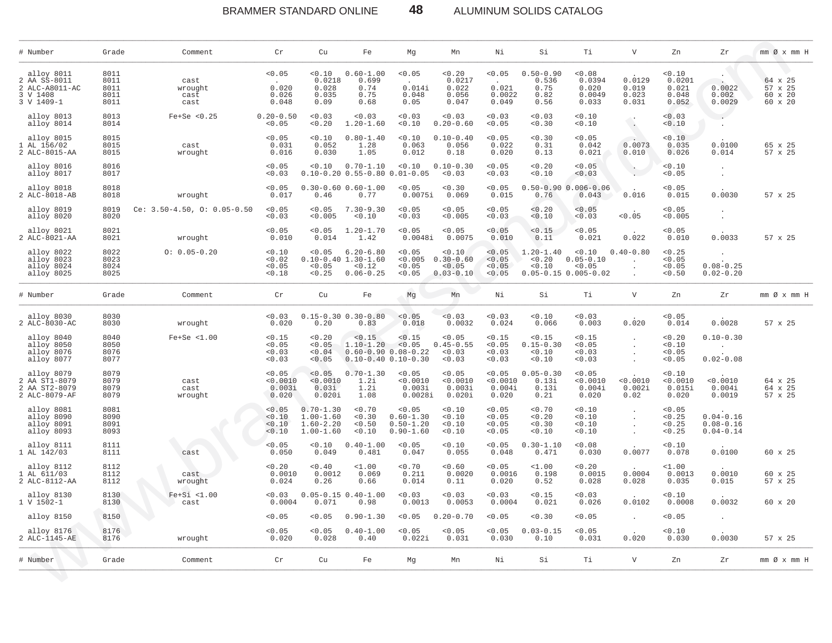BRAMMER STANDARD ONLINE 48 ALUMINUM SOLIDS CATALOG

| # Number                                                               | Grade                                | Comment                          | Cr                                    | Cu                                                               | Fe                                                                  | Mq                                                                         | Mn                                                 | Νi                                    | Si                                             | Тi                                                              | $\mathbf{V}$                      | Zn                                        | Zr                                                 | $mm \oslash x$ $mm$ H                    |
|------------------------------------------------------------------------|--------------------------------------|----------------------------------|---------------------------------------|------------------------------------------------------------------|---------------------------------------------------------------------|----------------------------------------------------------------------------|----------------------------------------------------|---------------------------------------|------------------------------------------------|-----------------------------------------------------------------|-----------------------------------|-------------------------------------------|----------------------------------------------------|------------------------------------------|
| alloy 8011<br>2 AA SS-8011<br>2 ALC-A8011-AC<br>3 V 1408<br>3 V 1409-1 | 8011<br>8011<br>8011<br>8011<br>8011 | cast<br>wrought<br>cast<br>cast  | < 0.05<br>0.020<br>0.026<br>0.048     | < 0.10<br>0.0218<br>0.028<br>0.035<br>0.09                       | $0.60 - 1.00$<br>0.699<br>0.74<br>0.75<br>0.68                      | < 0.05<br>0.014i<br>0.048<br>0.05                                          | 0.20<br>0.0217<br>0.022<br>0.056<br>0.047          | < 0.05<br>0.021<br>0.0022<br>0.049    | $0.50 - 0.90$<br>0.536<br>0.75<br>0.82<br>0.56 | < 0.08<br>0.0394<br>0.020<br>0.0049<br>0.033                    | 0.0129<br>0.019<br>0.023<br>0.031 | 0.10<br>0.0201<br>0.021<br>0.048<br>0.052 | 0.0022<br>0.002<br>0.0029                          | 64 x 25<br>57 x 25<br>60 x 20<br>60 x 20 |
| alloy 8013<br>alloy 8014                                               | 8013<br>8014                         | $Fe+Se < 0.25$                   | $0.20 - 0.50$<br>< 0.05               | < 0.03<br>< 0.20                                                 | < 0.03<br>$1.20 - 1.60$                                             | < 0.03<br>< 0.10                                                           | < 0.03<br>$0.20 - 0.60$                            | < 0.03<br>< 0.05                      | < 0.03<br>0.30                                 | < 0.10<br>0.10                                                  | $\mathcal{A}$<br>G.               | < 0.03<br>0.10                            | $\sim$ $\sim$<br>$\ddot{\phantom{a}}$              |                                          |
| alloy 8015<br>1 AL 156/02<br>2 ALC-8015-AA                             | 8015<br>8015<br>8015                 | cast<br>wrought                  | < 0.05<br>0.031<br>0.016              | < 0.10<br>0.052<br>0.030                                         | $0.80 - 1.40$<br>1.28<br>1.05                                       | 0.10<br>0.063<br>0.012                                                     | $0.10 - 0.40$<br>0.056<br>0.18                     | < 0.05<br>0.022<br>0.020              | 0.30<br>0.31<br>0.13                           | < 0.05<br>0.042<br>0.021                                        | 0.0073<br>0.010                   | 0.10<br>0.035<br>0.026                    | 0.0100<br>0.014                                    | 65 x 25<br>57 x 25                       |
| alloy 8016<br>alloy 8017                                               | 8016<br>8017                         |                                  | < 0.05<br>0.03                        | 0.10                                                             | $0.70 - 1.10$<br>$0.10-0.20$ $0.55-0.80$ $0.01-0.05$                | < 0.10                                                                     | $0.10 - 0.30$<br>< 0.03                            | < 0.05<br>0.03                        | 0.20<br>0.10                                   | 0.05<br>0.03                                                    | $\cdot$                           | 0.10<br>< 0.05                            | $\ddot{\phantom{a}}$<br>$\ddot{\phantom{a}}$       |                                          |
| alloy 8018<br>2 ALC-8018-AB                                            | 8018<br>8018                         | wrought                          | < 0.05<br>0.017                       | 0.46                                                             | $0.30 - 0.60 0.60 - 1.00$<br>0.77                                   | < 0.05<br>0.0075i                                                          | 0.30<br>0.069                                      | < 0.05<br>0.015                       | 0.76                                           | $0.50 - 0.90 0.006 - 0.06$<br>0.043                             | 0.016                             | < 0.05<br>0.015                           | 0.0030                                             | 57 x 25                                  |
| alloy 8019<br>alloy 8020                                               | 8019<br>8020                         | Ce: $3.50-4.50$ , O: $0.05-0.50$ | < 0.05<br>< 0.03                      | < 0.05<br>< 0.005                                                | $7.30 - 9.30$<br>< 0.10                                             | < 0.05<br>< 0.03                                                           | < 0.05<br>< 0.005                                  | < 0.05<br>< 0.03                      | < 0.20<br>< 0.10                               | < 0.05<br>< 0.03                                                | < 0.05                            | < 0.05<br>< 0.005                         |                                                    |                                          |
| alloy 8021<br>2 ALC-8021-AA                                            | 8021<br>8021                         | wrought                          | < 0.05<br>0.010                       | < 0.05<br>0.014                                                  | $1.20 - 1.70$<br>1.42                                               | < 0.05<br>0.0048i                                                          | < 0.05<br>0.0075                                   | < 0.05<br>0.010                       | < 0.15<br>0.11                                 | < 0.05<br>0.021                                                 | 0.022                             | < 0.05<br>0.010                           | 0.0033                                             | 57 x 25                                  |
| alloy 8022<br>alloy 8023<br>alloy 8024<br>alloy 8025                   | 8022<br>8023<br>8024<br>8025         | $0: 0.05 - 0.20$                 | 0.10<br>< 0.02<br>< 0.05<br>< 0.18    | < 0.05<br>< 0.05<br>< 0.25                                       | $6.20 - 6.80$<br>$0.10 - 0.40$ 1.30-1.60<br>< 0.12<br>$0.06 - 0.25$ | < 0.05<br>< 0.005<br>< 0.05<br>< 0.05                                      | < 0.10<br>$0.30 - 0.60$<br>< 0.05<br>$0.03 - 0.10$ | < 0.05<br>< 0.05<br>< 0.05<br>< 0.05  | $1.20 - 1.40$<br>< 0.20<br>0.10                | < 0.10<br>$0.05 - 0.10$<br>< 0.05<br>$0.05 - 0.15 0.005 - 0.02$ | $0.40 - 0.80$                     | < 0.25<br>< 0.05<br>< 0.05<br>< 0.50      | $0.08 - 0.25$<br>$0.02 - 0.20$                     |                                          |
| # Number                                                               | Grade                                | Comment                          | Cr                                    | Cu                                                               | Fe                                                                  | Mg                                                                         | Mn                                                 | Νi                                    | Si                                             | Тi                                                              | V                                 | Zn                                        | Ζr                                                 | mm Øx mm H                               |
| alloy 8030<br>2 ALC-8030-AC                                            | 8030<br>8030                         | wrought                          | < 0.03<br>0.020                       | 0.20                                                             | $0.15 - 0.30 0.30 - 0.80$<br>0.83                                   | < 0.05<br>0.018                                                            | < 0.03<br>0.0032                                   | 0.03<br>0.024                         | < 0.10<br>0.066                                | < 0.03<br>0.003                                                 | 0.020                             | < 0.05<br>0.014                           | 0.0028                                             | 57 x 25                                  |
| alloy 8040<br>alloy 8050<br>alloy 8076<br>alloy 8077                   | 8040<br>8050<br>8076<br>8077         | $Fe+Se < 1.00$                   | < 0.15<br>< 0.05<br>0.03<br>0.03      | < 0.20<br>< 0.05<br>< 0.04<br>< 0.05                             | < 0.15<br>$1.10 - 1.20$                                             | < 0.15<br>< 0.05<br>$0.60 - 0.90 0.08 - 0.22$<br>$0.10 - 0.40 0.10 - 0.30$ | < 0.05<br>$0.45 - 0.55$<br>< 0.03<br>< 0.03        | < 0.15<br>< 0.05<br>< 0.03<br>< 0.03  | < 0.15<br>$0.15 - 0.30$<br>< 0.10<br>0.10      | < 0.15<br>< 0.05<br>< 0.03<br>< 0.03                            |                                   | < 0.20<br>< 0.10<br>< 0.05<br>< 0.05      | $0.10 - 0.30$<br>$\sim$ 10 $\sim$<br>$0.02 - 0.08$ |                                          |
| alloy 8079<br>2 AA ST1-8079<br>2 AA ST2-8079<br>2 ALC-8079-AF          | 8079<br>8079<br>8079<br>8079         | cast<br>cast<br>wrought          | < 0.05<br>< 0.0010<br>0.003i<br>0.020 | < 0.05<br>< 0.0010<br>0.03i<br>0.020i                            | $0.70 - 1.30$<br>1.2i<br>1.2i<br>1.08                               | < 0.05<br>< 0.0010<br>0.003i<br>0.0028i                                    | < 0.05<br>< 0.0010<br>0.003i<br>$0.020$ i          | < 0.05<br>< 0.0010<br>0.004i<br>0.020 | $0.05 - 0.30$<br>0.13i<br>0.13i<br>0.21        | < 0.05<br>< 0.0010<br>0.004i<br>0.020                           | < 0.0010<br>0.002i<br>0.02        | 0.10<br>< 0.0010<br>0.015i<br>0.020       | < 0.0010<br>0.004i<br>0.0019                       | 64 x 25<br>64 x 25<br>57 x 25            |
| alloy 8081<br>alloy 8090<br>alloy 8091<br>alloy 8093                   | 8081<br>8090<br>8091<br>8093         |                                  | < 0.05<br>< 0.10<br>< 0.10<br>< 0.10  | $0.70 - 1.30$<br>$1.00 - 1.60$<br>$1.60 - 2.20$<br>$1.00 - 1.60$ | < 0.70<br>< 0.30<br>< 0.50<br>< 0.10                                | < 0.05<br>$0.60 - 1.30$<br>$0.50 - 1.20$<br>$0.90 - 1.60$                  | 0.10<br>< 0.10<br>< 0.10<br>0.10                   | < 0.05<br>< 0.05<br>< 0.05<br>< 0.05  | < 0.70<br>0.20<br>0.30<br>0.10                 | < 0.10<br>0.10<br>0.10<br>0.10                                  |                                   | < 0.05<br>< 0.25<br>< 0.25<br>< 0.25      | $0.04 - 0.16$<br>$0.08 - 0.16$<br>$0.04 - 0.14$    |                                          |
| alloy 8111<br>1 AL 142/03                                              | 8111<br>8111                         | cast                             | < 0.05<br>0.050                       | < 0.10<br>0.049                                                  | $0.40 - 1.00$<br>0.481                                              | < 0.05<br>0.047                                                            | < 0.10<br>0.055                                    | < 0.05<br>0.048                       | $0.30 - 1.10$<br>0.471                         | < 0.08<br>0.030                                                 | 0.0077                            | 0.10<br>0.078                             | 0.0100                                             | 60 x 25                                  |
| alloy 8112<br>1 AL 611/03<br>2 ALC-8112-AA                             | 8112<br>8112<br>8112                 | cast<br>wrought                  | < 0.20<br>0.0010<br>0.024             | 0.40<br>0.0012<br>0.26                                           | $1.00$<br>0.069<br>0.66                                             | < 0.70<br>0.211<br>0.014                                                   | < 0.60<br>0.0020<br>0.11                           | < 0.05<br>0.0016<br>0.020             | <1.00<br>0.198<br>0.52                         | < 0.20<br>0.0015<br>0.028                                       | 0.0004<br>0.028                   | $1.00$<br>0.0013<br>0.035                 | 0.0010<br>0.015                                    | 60 x 25<br>57 x 25                       |
| alloy 8130<br>1 V 1502-1                                               | 8130<br>8130                         | $Fe+Si < 1.00$<br>cast           | < 0.03<br>0.0004                      | 0.071                                                            | $0.05 - 0.15 0.40 - 1.00$<br>0.98                                   | < 0.03<br>0.0013                                                           | 0.03<br>0.0053                                     | < 0.03<br>0.0004                      | < 0.15<br>0.021                                | < 0.03<br>0.026                                                 | 0.0102                            | 0.10<br>0.0008                            | 0.0032                                             | $60 \times 20$                           |
| alloy 8150                                                             | 8150                                 |                                  | < 0.05                                | < 0.05                                                           | $0.90 - 1.30$                                                       | < 0.05                                                                     | $0.20 - 0.70$                                      | < 0.05                                | 0.30                                           | < 0.05                                                          |                                   | < 0.05                                    | $\cdot$                                            |                                          |
| alloy 8176<br>2 ALC-1145-AE                                            | 8176<br>8176                         | wrought                          | < 0.05<br>0.020                       | < 0.05<br>0.028                                                  | $0.40 - 1.00$<br>0.40                                               | < 0.05<br>0.022i                                                           | < 0.05<br>0.031                                    | < 0.05<br>0.030                       | $0.03 - 0.15$<br>0.10                          | < 0.05<br>0.031                                                 | 0.020                             | 0.10<br>0.030                             | 0.0030                                             | 57 x 25                                  |
| # Number                                                               | Grade                                | Comment                          | Cr                                    | Cu                                                               | Fe                                                                  | Mg                                                                         | Mn                                                 | Νi                                    | Si                                             | Тi                                                              | $\mathbf V$                       | Zn                                        | Zr                                                 | mm Øx mm H                               |

 $\sum_{i=1}^n$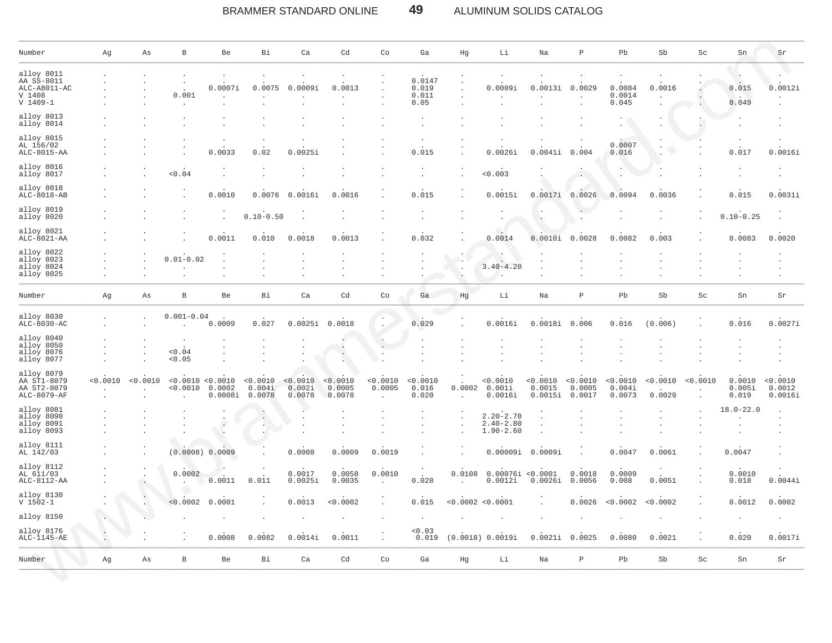#### BRAMMER STANDARD ONLINE 49 ALUMINUM SOLIDS CATALOG

| Number                                                             | Αg      | Αs       | $\, {\bf B}$                                  | Be                | Вi                           | Ca                           | Cd                           | Co                                 | Ga                               | Hg                             | Li                                              | Na                            | $\, {\bf P}$                 | Pb                           | Sb                 | Sc       | Sn                        | Sr                            |
|--------------------------------------------------------------------|---------|----------|-----------------------------------------------|-------------------|------------------------------|------------------------------|------------------------------|------------------------------------|----------------------------------|--------------------------------|-------------------------------------------------|-------------------------------|------------------------------|------------------------------|--------------------|----------|---------------------------|-------------------------------|
| alloy 8011<br>AA SS-8011<br>ALC-A8011-AC<br>V 1408<br>$V 1409 - 1$ |         |          | 0.001                                         | 0.0007i           | 0.0075                       | 0.0009i                      | 0.0013                       | $\cdot$                            | 0.0147<br>0.019<br>0.011<br>0.05 |                                | 0.0009i                                         | 0.0013i                       | 0.0029                       | 0.0084<br>0.0014<br>0.045    | 0.0016             | $\sim$   | 0.015<br>0.049            | 0.0012i                       |
| alloy 8013<br>alloy 8014                                           |         |          |                                               |                   |                              |                              |                              |                                    | $\cdot$                          |                                |                                                 |                               |                              |                              |                    |          |                           |                               |
| alloy 8015<br>AL 156/02<br>ALC-8015-AA                             |         |          |                                               | 0.0033            | 0.02                         | 0.0025i                      |                              |                                    | $\cdot$<br>0.015                 |                                | 0.0026i                                         | 0.0041i                       | 0.004                        | 0.0007<br>0.016              |                    |          | 0.017                     | 0.0016i                       |
| alloy 8016<br>alloy 8017                                           |         |          | 0.04                                          |                   |                              |                              |                              |                                    | $\ddot{\phantom{a}}$             | $\ddot{\phantom{a}}$           | 0.003                                           |                               |                              |                              |                    |          |                           |                               |
| alloy 8018<br>$ALC-8018-AB$                                        |         |          |                                               | 0.0010            | 0.0076                       | 0.0016i                      | 0.0016                       |                                    | 0.015                            |                                | 0.0015i                                         | 0.0017i                       | 0.0026                       | 0.0094                       | 0.0036             |          | 0.015                     | 0.0031i                       |
| alloy 8019<br>alloy 8020                                           |         |          |                                               | $\cdot$           | $0.10 - 0.50$                |                              |                              |                                    | $\cdot$                          |                                |                                                 |                               | $\ddot{\phantom{0}}$         |                              |                    |          | $0.10 - 0.25$             |                               |
| alloy 8021<br>ALC-8021-AA                                          |         |          |                                               | 0.0011            | 0.010                        | 0.0018                       | 0.0013                       |                                    | 0.032                            |                                | 0.0014                                          | 0.0010i                       | 0.0028                       | 0.0082                       | 0.003              |          | 0.0083                    | 0.0020                        |
| alloy 8022<br>alloy 8023<br>alloy 8024<br>alloy 8025               |         |          | $0.01 - 0.02$                                 |                   |                              |                              |                              |                                    |                                  | $\ddot{\phantom{1}}$<br>$\,$ . | - 11<br>$3.40 - 4.20$                           |                               |                              |                              |                    |          |                           |                               |
| Number                                                             | Αg      | Αs       | В                                             | Be                | Вi                           | Ca                           | Cd                           | Co                                 | Ga                               | Hg                             | Li                                              | Na                            | $\, {\bf P}$                 | Pb                           | Sb                 | Sc       | Sn                        | Sr                            |
| alloy 8030<br>$ALC-8030-AC$                                        |         |          | $0.001 - 0.04$                                | 0.0009            | 0.027                        | 0.0025i                      | 0.0018                       |                                    | 0.029                            |                                | 0.0016i                                         | 0.0018i                       | 0.006                        | 0.016                        | (0.006)            |          | 0.016                     | 0.0027i                       |
| alloy 8040<br>alloy 8050<br>alloy 8076<br>alloy 8077               |         |          | < 0.04<br>< 0.05                              |                   |                              |                              |                              |                                    |                                  |                                |                                                 |                               |                              |                              |                    |          |                           |                               |
| alloy 8079<br>AA ST1-8079<br>AA ST2-8079<br>ALC-8079-AF            | <0.0010 | < 0.0010 | < 0.0010 < 0.0010<br>< 0.0010<br>$\mathbf{r}$ | 0.0002<br>0.0008i | < 0.0010<br>0.004i<br>0.0078 | < 0.0010<br>0.002i<br>0.0078 | < 0.0010<br>0.0005<br>0.0078 | < 0.0010<br>0.0005<br>$\mathbf{r}$ | < 0.0010<br>0.016<br>0.020       | 0.0002                         | < 0.0010<br>0.001i<br>0.0016i                   | < 0.0010<br>0.0015<br>0.0015i | < 0.0010<br>0.0005<br>0.0017 | < 0.0010<br>0.004i<br>0.0073 | < 0.0010<br>0.0029 | < 0.0010 | 0.0010<br>0.005i<br>0.019 | < 0.0010<br>0.0012<br>0.0016i |
| alloy 8081<br>alloy 8090<br>alloy 8091<br>alloy 8093               |         |          |                                               |                   |                              |                              |                              |                                    | $\cdot$                          | $\cdot$                        | $2.20 - 2.70$<br>$2.40 - 2.80$<br>$1.90 - 2.60$ |                               |                              |                              |                    |          | $18.0 - 22.0$             |                               |
| alloy 8111<br>AL 142/03                                            |         |          | (0.0008) 0.0009                               |                   |                              | 0.0008                       | 0.0009                       | 0.0019                             |                                  |                                | 0.00009i                                        | 0.0009i                       |                              | 0.0047                       | 0.0061             |          | 0.0047                    |                               |
| alloy 8112<br>AL 611/03<br>ALC-8112-AA                             |         |          | 0.0002                                        | 0.0011            | 0.011                        | 0.0017<br>0.0025i            | 0.0058<br>0.0035             | 0.0010                             | 0.028                            | 0.0108                         | 0.00076i < 0.0001<br>0.0012i                    | 0.0026i                       | 0.0018<br>0.0056             | 0.0009<br>0.008              | $\cdot$<br>0.0051  |          | 0.0010<br>0.018           | 0.0044i                       |
| alloy 8130<br>$V 1502 - 1$                                         |         |          | < 0.0002                                      | 0.0001            |                              | 0.0013                       | < 0.0002                     |                                    | 0.015                            | < 0.0002 < 0.0001              |                                                 |                               | 0.0026                       | < 0.0002                     | < 0.0002           |          | 0.0012                    | 0.0002                        |
| alloy 8150                                                         |         |          |                                               |                   |                              |                              |                              |                                    |                                  |                                |                                                 |                               |                              |                              |                    |          |                           |                               |
| alloy 8176<br>$ALC-1145-AE$                                        |         |          |                                               | 0.0008            | 0.0082                       | 0.0014i                      | 0.0011                       | $\cdot$                            | < 0.03<br>0.019                  |                                | (0.0018) 0.0019i                                | 0.0021i                       | 0.0025                       | 0.0080                       | 0.0021             |          | 0.020                     | 0.0017i                       |
| Number                                                             | Αg      | Αs       | В                                             | Be                | Bi                           | Ca                           | Cd                           | Co                                 | Ga                               | Hg                             | Li                                              | Na                            | $\, {\bf P}$                 | Pb                           | Sb                 | Sc       | Sn                        | Sr                            |

30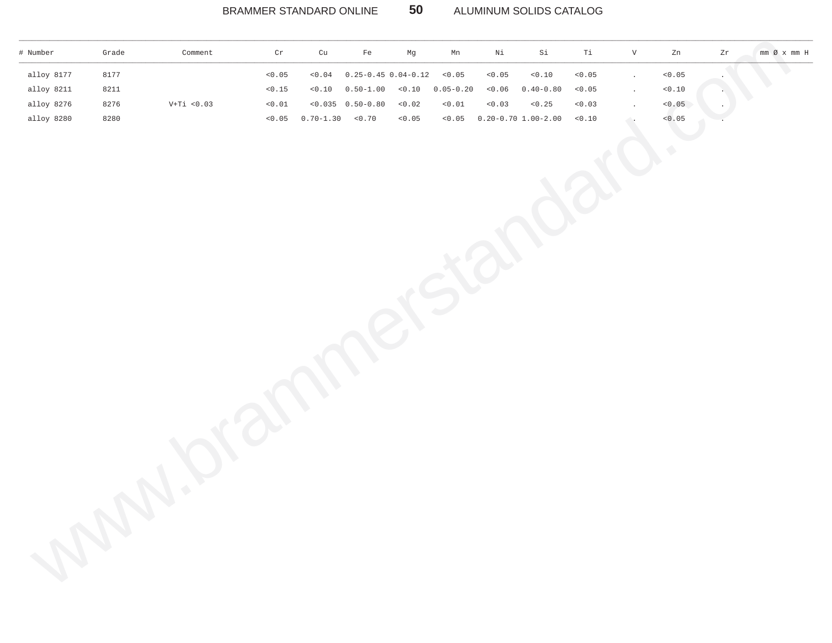### BRAMMER STANDARD ONLINE **50** ALUMINUM SOLIDS CATALOG

\_\_\_\_\_\_\_\_\_\_\_\_\_\_\_\_\_\_\_\_\_\_\_\_\_\_\_\_\_\_\_\_\_\_\_\_\_\_\_\_\_\_\_\_\_\_\_\_\_\_\_\_\_\_\_\_\_\_\_\_\_\_\_\_\_\_\_\_\_\_\_\_\_\_\_\_\_\_\_\_\_\_\_\_\_\_\_\_\_\_\_\_\_\_\_\_\_\_\_\_\_\_\_\_\_\_\_\_\_\_\_\_\_\_\_\_\_\_\_\_\_\_\_\_\_\_\_\_\_\_\_\_\_\_\_\_\_\_\_\_\_\_\_\_\_\_\_\_\_\_\_\_\_\_\_\_\_\_\_\_\_\_\_\_\_\_\_\_\_\_\_\_\_\_\_\_\_\_\_\_\_\_

| # Number   | Grade | Comment       | $\operatorname{\sf Cr}$ | ${\rm cu}$                         | $_{\rm Fe}$             | $_{\rm Mg}$    | Mn            | $\rm Ni$ | $\rm Si$                | $\mathtt{Ti}$ | $\mathbf{V}$         | ${\tt Zn}$                        | $\mathop{\rm Z}\nolimits\!mathop{\rm r}\nolimits$ |  |
|------------|-------|---------------|-------------------------|------------------------------------|-------------------------|----------------|---------------|----------|-------------------------|---------------|----------------------|-----------------------------------|---------------------------------------------------|--|
| alloy 8177 | 8177  |               | < 0.05                  | $<\mbox{0}$ . $\mbox{0}\,\mbox{4}$ | $0.25 - 0.45$ 0.04-0.12 |                | < 0.05        | < 0.05   | $<\!0$ . $10$           | $< 0.05$      | $\ddot{\phantom{a}}$ | 0.05                              |                                                   |  |
| alloy 8211 | 8211  |               | 15                      |                                    | $< 0.10$ $0.50 - 1.00$  | < 0.10         | $0.05 - 0.20$ |          | $< 0.06$ 0.40-0.80      | $<\!0$ . $05$ | $\overline{a}$       | $< 0$ . $\mathbf{1}\, \mathbf{0}$ |                                                   |  |
| alloy 8276 | 8276  | $V+Ti < 0.03$ | $<\!0$ . $0\,1$         |                                    | $< 0.035$ $0.50-0.80$   | < 0.02         | $<\!0$ . $01$ | $< 0.03$ | $<\!0$ . $25$           | < 0.03        | $\overline{a}$       | < 0.05                            |                                                   |  |
| alloy 8280 | 8280  |               | $< 0.05$                | $0.70 - 1.30$ < $0.70$             |                         | $< 0$ . $0\,5$ | < 0.05        |          | $0.20 - 0.70$ 1.00-2.00 | $< 0.10$      |                      | 10.05                             |                                                   |  |
|            |       |               |                         |                                    |                         |                |               |          |                         |               |                      |                                   |                                                   |  |
|            |       |               |                         |                                    |                         |                |               |          |                         |               |                      |                                   |                                                   |  |
|            |       |               |                         |                                    |                         |                |               |          |                         |               |                      |                                   |                                                   |  |
|            |       |               |                         |                                    |                         |                |               |          |                         |               |                      |                                   |                                                   |  |
|            |       |               |                         |                                    |                         |                |               |          |                         |               |                      |                                   |                                                   |  |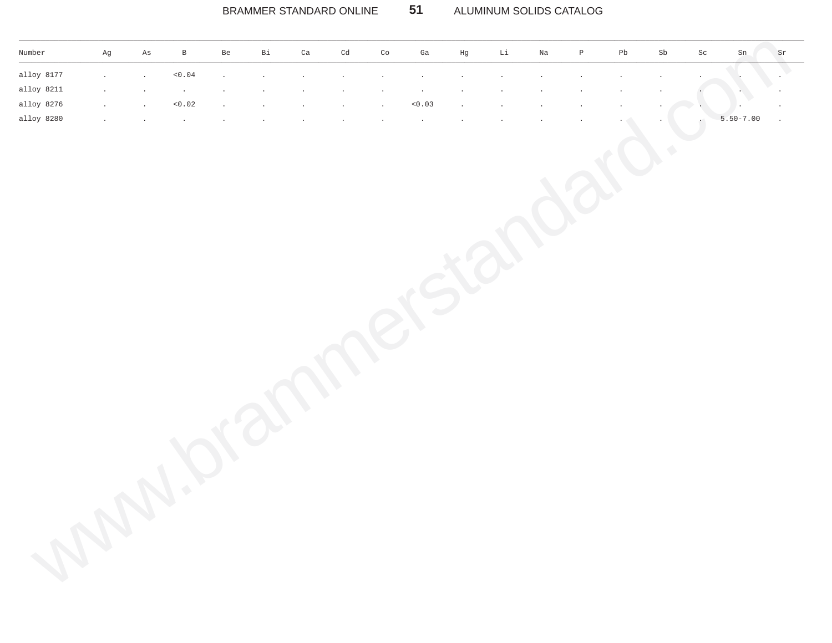#### $51$ BRAMMER STANDARD ONLINE ALUMINUM SOLIDS CATALOG

| Ag      | $\mathbf{B}$                                 | Be               |                                                                                        |                                                                                                           |                                            |                                                              | Ga           | Hg     | Li                                                                                                           |                                                                            |                                               |                                                        |               |    |              | Sr                  |
|---------|----------------------------------------------|------------------|----------------------------------------------------------------------------------------|-----------------------------------------------------------------------------------------------------------|--------------------------------------------|--------------------------------------------------------------|--------------|--------|--------------------------------------------------------------------------------------------------------------|----------------------------------------------------------------------------|-----------------------------------------------|--------------------------------------------------------|---------------|----|--------------|---------------------|
|         |                                              |                  |                                                                                        |                                                                                                           |                                            |                                                              | $\sim$       |        |                                                                                                              |                                                                            |                                               |                                                        | $\bullet$     |    |              |                     |
| $\cdot$ | $\cdot$                                      |                  |                                                                                        |                                                                                                           |                                            | $\cdot$                                                      | $\sim$       |        |                                                                                                              |                                                                            |                                               |                                                        | $\cdot$       |    |              |                     |
| $\sim$  |                                              |                  |                                                                                        |                                                                                                           |                                            | <b>Section</b>                                               |              |        |                                                                                                              |                                                                            |                                               |                                                        | $\sim$ $\sim$ |    |              | $\sim$              |
| $\cdot$ | $\sim$ $\sim$                                |                  |                                                                                        |                                                                                                           |                                            | $\cdot$                                                      | $\sim$       |        |                                                                                                              |                                                                            |                                               |                                                        |               |    |              | $\sim$              |
|         | As<br>$\sim$<br>$\cdot$<br>$\sim$<br>$\cdot$ | < 0.04<br>< 0.02 | <b>Contract Street</b><br><b>Contract Contract Contract</b><br>$\sim$<br>$\sim$ $\sim$ | Bi<br><b>Contractor</b><br><b>Contract Contract Contract</b><br>$\sim$ $\sim$<br><b>Contract Contract</b> | Ca<br>$\sim$<br>$\sim$<br>$\sim$<br>$\sim$ | Cd<br>$\sim$<br>$\sim$<br><b>Contract Contract</b><br>$\sim$ | Co<br>$\sim$ | < 0.03 | and the state of the<br><b>Contract Contract Contract</b><br>$\sim 100$<br><b>Contract Contract Contract</b> | <b>Contract Administration</b><br>$\sim$ $\sim$<br>$\sim$<br>$\sim$ $\sim$ | Na<br>$\sim$<br>$\cdot$<br>$\cdot$<br>$\cdot$ | $\mathbb{P}$<br>$\cdot$<br>$\sim$<br>$\cdot$<br>$\sim$ | Pb<br>$\sim$  | Sb | Sc<br>$\sim$ | Sn<br>$5.50 - 7.00$ |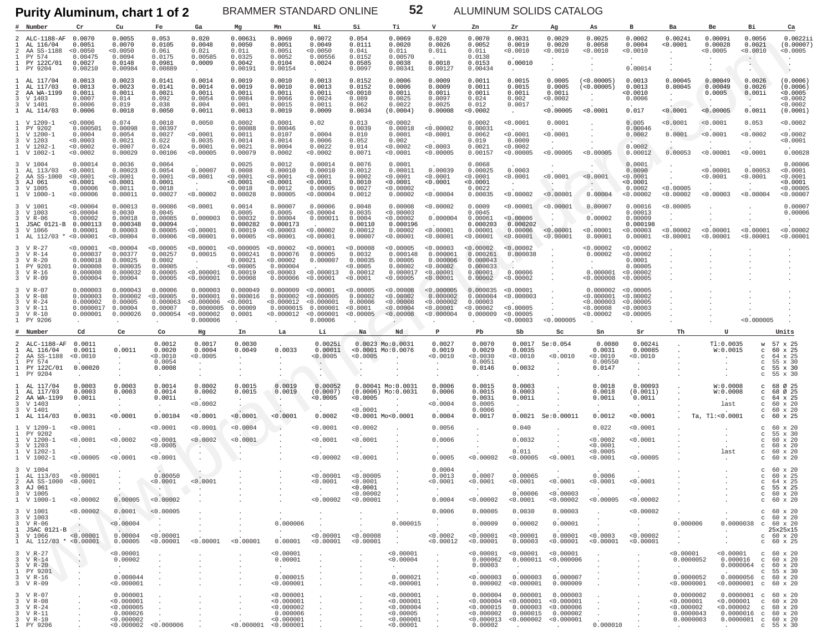**Purity Aluminum, chart 1 of 2**

BRAMMER STANDARD ONLINE **52** ALUMINUM SOLIDS CATALOG

|                           | Number                                                                                                            | Cr                                                                             | Cu                                                                                                          | Fe                                                                | Ga                                                                        | Mg                                                                            | Mn                                                                                | Ni                                                                 | Si                                                                  | Тi                                                                          | v                                                                           | Zn                                                                  | Zr                                                                                                                                                                    | Αg                                                  | As                                                           | в                                                                         | Ba                                                                                                                | Be                                                                           | Вi                                                                                                                                             | Ca                                                                              |
|---------------------------|-------------------------------------------------------------------------------------------------------------------|--------------------------------------------------------------------------------|-------------------------------------------------------------------------------------------------------------|-------------------------------------------------------------------|---------------------------------------------------------------------------|-------------------------------------------------------------------------------|-----------------------------------------------------------------------------------|--------------------------------------------------------------------|---------------------------------------------------------------------|-----------------------------------------------------------------------------|-----------------------------------------------------------------------------|---------------------------------------------------------------------|-----------------------------------------------------------------------------------------------------------------------------------------------------------------------|-----------------------------------------------------|--------------------------------------------------------------|---------------------------------------------------------------------------|-------------------------------------------------------------------------------------------------------------------|------------------------------------------------------------------------------|------------------------------------------------------------------------------------------------------------------------------------------------|---------------------------------------------------------------------------------|
| 1                         | ALC-1188-AF<br>AL 116/04<br>AA SS-1188<br>PY 574<br>PY 122C/01<br>1 PY 9204                                       | 0.0070<br>0.0051<br>< 0.0050<br>0.00475<br>0.0027<br>0.00210                   | 0.0055<br>0.0070<br>0.0050<br>0.0094<br>0.0148<br>0.00984                                                   | 0.053<br>0.0105<br>0.06i<br>0.0175<br>0.0981<br>0.00889           | 0.020<br>0.0048<br>0.02i<br>0.00585<br>0.0009                             | 0.0063i<br>0.0050<br>0.01i<br>0.0325<br>0.0042<br>0.00191                     | 0.0069<br>0.0051<br>0.005i<br>0.0052<br>0.0104<br>0.00154                         | 0.0072<br>0.0049<br>0.0050<br>0.00556<br>0.0024<br>$\sim$          | 0.054<br>0.0111<br>0.04i<br>0.0152<br>0.0585<br>0.0097              | 0.0069<br>0.0020<br>0.01i<br>0.00570<br>0.0038<br>0.00341                   | 0.020<br>0.0026<br>0.01i<br>0.0018<br>0.00127                               | 0.0070<br>0.0052<br>0.01i<br>0.0138<br>0.0153<br>0.00434            | 0.0031<br>0.0019<br>0.0010<br>0.00010                                                                                                                                 | 0.0029<br>0.0020<br>< 0.0010<br>$\cdot$             | 0.0025<br>0.0058<br>< 0.0010<br>$\cdot$                      | 0.0002<br>0.0004<br>0.0010<br>0.00014                                     | 0.0024i<br>0.0001<br>$\ddot{\phantom{1}}$                                                                         | 0.0009i<br>0.00028<br>< 0.0005<br>$\cdot$                                    | 0.0056<br>0.0021<br>0.0010<br>$\sim$                                                                                                           | 0.00221<br>(0.00007<br>0.0005                                                   |
| $\mathcal{L}$             | AL 117/04<br>AL 117/03<br>AA WA-1199<br>3 V 1403<br>3 V 1401<br>1 AL 114/03                                       | 0.0013<br>0.0013<br>0.001i<br>0.0007<br>0.0006<br>0.0006                       | 0.0023<br>0.0023<br>0.001i<br>0.014<br>0.019<br>0.0018                                                      | 0.0141<br>0.0141<br>0.002i<br>0.092<br>0.038<br>0.0050            | 0.0014<br>0.0014<br>0.001i<br>0.0054<br>0.004<br>0.0011                   | 0.0019<br>0.0019<br>0.001i<br>0.0084<br>0.001<br>0.0013                       | 0.0010<br>0.0010<br>0.001i<br>0.0066<br>0.0015<br>0.0019                          | 0.0013<br>0.0013<br>0.001i<br>0.0024<br>0.0011<br>0.0009           | 0.0152<br>0.0152<br>0.0010<br>0.089<br>0.062<br>0.0034              | 0.0006<br>0.0006<br>0.001i<br>0.0025<br>0.0022<br>(0.0004)                  | 0.0009<br>0.0009<br>0.001i<br>0.0097<br>0.0025<br>0.00008                   | 0.0011<br>0.0011<br>0.001i<br>0.024<br>0.012<br>0.0002              | 0.0015<br>0.0015<br>0.001i<br>0.002<br>0.0017<br>$\sim$                                                                                                               | 0.0005<br>0.0005<br>0.001i<br>< 0.0002<br>< 0.00005 | (<0.00005)<br>(<0.00005)<br>$\cdot$<br>$\cdot$<br>< 0.0001   | 0.0013<br>0.0013<br>0.0010<br>0.0006<br>0.017                             | 0.00045<br>0.00045<br>$\cdot$<br>$\cdot$<br>< 0.0001                                                              | 0.00049<br>0.00049<br>0.0005<br>< 0.00005                                    | 0.0026<br>0.0026<br>0.001i<br>$\ddot{\phantom{0}}$<br>0.0011                                                                                   | (0.0006)<br>(0.0006)<br>0.0005<br>< 0.0002<br>< 0.0002<br>(0.0001)              |
| -1.<br>-3                 | V 1209-1<br>PY 9202<br>V 1200-1<br>V 1203<br>V 1202-1<br>V 1002-1                                                 | 0.0006<br>0.000501<br>0.0004<br>< 0.0003<br>< 0.0002<br>< 0.0002               | 0.074<br>0.00098<br>0.0054<br>0.0021<br>0.0007<br>0.00029                                                   | 0.0018<br>0.00397<br>0.0027<br>0.022<br>0.024<br>0.00106          | 0.0050<br>< 0.0001<br>0.0035<br>0.0001<br>0.00005                         | 0.0002<br>0.00088<br>0.0011<br>0.0014<br>0.0021<br>0.00079                    | 0.0001<br>0.00046<br>0.0107<br>0.0014<br>0.0004<br>0.0002                         | 0.02<br>0.0004<br>0.0006<br>0.0022<br>0.0002                       | 0.013<br>0.0039<br>0.010<br>0.052<br>0.014<br>0.0071                | < 0.0002<br>0.00018<br>0.0001<br>0.002<br>< 0.0002<br>< 0.0001              | < 0.00002<br>< 0.0001<br>< 0.0003<br>< 0.00005                              | 0.0002<br>0.00031<br>0.0062<br>0.019<br>0.0021<br>0.00157           | < 0.0001<br>< 0.0001<br>0.0009<br>0.0002<br>< 0.00005                                                                                                                 | 0.0001<br>< 0.0001<br>< 0.00005                     | < 0.00005                                                    | 0.005<br>0.00046<br>0.0002<br>0.0002<br>0.00012                           | < 0.0001<br>0.0001<br>0.00053                                                                                     | < 0.0001<br>< 0.0001<br>< 0.00001                                            | 0.053<br>< 0.0002<br>< 0.0001                                                                                                                  | < 0.0002<br>< 0.0002<br>< 0.0001<br>0.00028                                     |
| 3<br>-2<br>3<br>3         | V 1004<br>AL 113/03<br>AA SS-1000<br>AJ 061<br>V 1005<br>1 V 1000-1                                               | 0.00014<br>< 0.0001<br>< 0.0001<br>< 0.0001<br>0.00006<br>< 0.00006            | 0.0036<br>0.00023<br>< 0.0001<br>< 0.0001<br>0.0011<br>0.00011                                              | 0.0064<br>0.0054<br>0.0001<br>0.0001<br>0.0018<br>0.00027         | 0.00007<br>< 0.0001<br>$\cdot$<br>< 0.00002                               | 0.0025<br>0.0008<br>< 0.0001<br>< 0.0001<br>0.0018<br>0.00028                 | 0.0012<br>0.00010<br>< 0.0001<br>< 0.0001<br>0.0012<br>0.00005                    | 0.00014<br>0.00010<br>< 0.0001<br>< 0.0001<br>0.00005<br>< 0.00004 | 0.0076<br>0.0012<br>0.0002<br>0.0010<br>0.0027<br>0.0012            | 0.0001<br>0.00011<br>< 0.0001<br>< 0.0001<br>< 0.00002<br>0.00002           | 0.00039<br>< 0.0001<br>< 0.0001<br>< 0.00004                                | 0.0068<br>0.00025<br>< 0.0001<br>< 0.0001<br>0.0022<br>0.00035      | 0.0003<br>0.0001<br>< 0.00002                                                                                                                                         | < 0.0001<br>< 0.00001                               | < 0.0001<br>$\sim$<br>0.00004                                | 0.0001<br>0.0090<br>0.0001<br>0.0001<br>0.0002<br>< 0.00002               | $\cdot$<br>$\sim$<br>< 0.00005<br>< 0.00002                                                                       | < 0.00001<br>< 0.0001<br>< 0.00003                                           | 0.00053<br>< 0.0001<br>< 0.00004                                                                                                               | 0.00006<br>0.0001<br>< 0.0001<br>0.0001<br>0.00005<br>< 0.00007                 |
|                           | V 1001<br>3 V 1003<br>3 V R-06<br>JSAC 0121-B 0.000113<br>V 1066<br>1 AL 112/03                                   | < 0.00004<br>< 0.00004<br>0.00002<br>0.00001<br>< 0.00001                      | 0.00013<br>0.0030<br>0.00018<br>0.000348<br>0.00003<br>0.00004                                              | 0.00086<br>0.0045<br>0.00085<br>0.00094<br>0.00005<br>0.00006     | 0.0001<br>0.000003<br>< 0.00001<br>< 0.00001                              | 0.0014<br>0.0005<br>0.00032<br>0.000282<br>0.00019<br>0.00005                 | 0.00007<br>0.0005<br>0.00004<br>0.000173<br>< 0.00003<br>< 0.00001                | 0.00006<br>< 0.00004<br>0.000011<br>< 0.00002<br>< 0.00001         | 0.0048<br>0.0035<br>0.0004<br>0.00110<br>0.00012<br>0.00007         | 0.00008<br>< 0.00003<br>< 0.00002<br>0.000196<br>0.00002<br>< 0.00001       | < 0.00002<br>0.000004<br>< 0.00001<br>< 0.00001                             | 0.0009<br>0.0045<br>0.00061<br>0.000203<br>0.00001<br>0.00001       | < 0.00001<br>< 0.00006<br>0.000202<br>0.00006<br>< 0.00001                                                                                                            | < 0.00001<br>< 0.00001<br>< 0.00001                 | 0.00007<br>0.00002<br>< 0.00001<br>0.00001                   | 0.00016<br>0.00013<br>0.00009<br>0.000198<br>0.00003<br>0.00001           | < 0.00005<br>0.00002<br>< 0.00001                                                                                 | < 0.00001<br>0.00001                                                         | < 0.00001<br>< 0.00001                                                                                                                         | 0.00007<br>0.00006<br>< 0.00002<br>0.00001                                      |
| -3.<br>3                  | V R-27<br>V R-14<br>V R-20<br>PY 9201<br>V R-16<br>3 V R-09                                                       | < 0.00001<br>0.000037<br>0.000018<br>0.000008<br>0.000008<br>0.000004          | < 0.00004<br>0.00377<br>0.00025<br>0.000035<br>0.000032<br>0.00004                                          | < 0.00005<br>0.00257<br>0.0002<br>0.00005<br>0.00005<br>0.00005   | < 0.00001<br>0.00015<br>$\ddot{\phantom{a}}$<br>< 0.000001<br>< 0.000001  | < 0.000005<br>0.000241<br>0.00021<br>< 0.00005<br>0.00019<br>0.00008          | < 0.00002<br>0.000076<br>< 0.00002<br>0.000004<br>< 0.00003<br>0.000006           | < 0.00001<br>0.00005<br>0.000007<br>< 0.000013<br>< 0.00001        | < 0.00008<br>0.0032<br>0.00035<br>0.0005<br>0.00012<br>< 0.0001     | < 0.00005<br>0.000148<br>0.00005<br>0.00002<br>0.000017<br>< 0.00005        | < 0.00003<br>0.000061<br>0.000006<br>< 0.00002<br>< 0.00001<br>< 0.00001    | < 0.00002<br>0.000261<br>0.000043<br>0.000033<br>0.00001<br>0.00002 | < 0.00002<br>0.000038<br>$\mathbf{A}$<br>0.00006<br>< 0.00002                                                                                                         |                                                     | < 0.00002<br>0.00002<br>$\sim$<br>0.000001<br>< 0.000008     | < 0.00002<br>< 0.00002<br>0.0001<br>0.00005<br>0.00002<br>< 0.00005       |                                                                                                                   |                                                                              |                                                                                                                                                |                                                                                 |
| 3                         | 3 V R-07<br>V R-08<br>3 V R-24<br>3 V R-11<br>3 V R-10<br>1 PY 9206                                               | 0.000003<br>0.000003<br>0.000002<br>$0.0000017$ 0.00004<br>0.000001<br>$\cdot$ | 0.000043<br>0.000002<br>0.00005<br>0.000026                                                                 | 0.00006<br>< 0.00005<br>0.000063<br>0.00007<br>0.000054           | 0.000003<br>0.000001<br>< 0.000006<br>0.0000005<br>< 0.000002<br>0.000006 | 0.000049<br>0.000016<br>< 0.0001<br>0.00009<br>0.0001<br>$\ddot{\phantom{a}}$ | 0.000009<br>0.000002<br>< 0.000012<br>0.0000015 0.000001<br>< 0.000012 < 0.000001 | < 0.00001<br>< 0.000005<br>< 0.000001<br>0.00006                   | < 0.00005<br>0.00002<br>0.00006<br>< 0.0001<br>< 0.00005            | < 0.00008<br>< 0.00002<br>< 0.00008<br>< 0.00004<br>< 0.00008               | < 0.000005<br>0.000002<br>< 0.000002<br>< 0.00001<br>< 0.000004             | 0.000035<br>0.000004<br>0.00003<br>< 0.00002<br>0.000009            | < 0.00001<br>< 0.000003<br>< 0.00005<br>< 0.00005<br>< 0.00003                                                                                                        | < 0.000005                                          | 0.000002<br>< 0.000001<br>< 0.000003<br>0.00008<br>< 0.00002 | < 0.00005<br>< 0.00002<br>< 0.00005<br>< 0.00003<br>< 0.00005             |                                                                                                                   |                                                                              | < 0.000005                                                                                                                                     |                                                                                 |
|                           | # Number                                                                                                          | Cd                                                                             | Ce                                                                                                          | Co                                                                | Hg                                                                        | In                                                                            | La                                                                                | Li                                                                 | Na                                                                  | Nd                                                                          | P                                                                           | Pb                                                                  | Sb                                                                                                                                                                    | Sc                                                  | Sn                                                           | Sr                                                                        | Th                                                                                                                | U                                                                            |                                                                                                                                                | Units                                                                           |
|                           | ALC-1188-AF<br>AL 116/04<br>AA SS-1188<br>PY 574<br>PY 122C/01<br>PY 9204                                         | 0.0011<br>0.0011<br>< 0.0010<br>0.00020                                        | 0.0011                                                                                                      | 0.0012<br>0.0020<br>0.0010<br>0.0054<br>0.0008                    | 0.0017<br>0.0004<br>0.0005                                                | 0.0030<br>0.0049                                                              | 0.0033                                                                            | 0.0025i<br>0.00011<br>0.0005                                       | <0.0005                                                             | $0.0023$ Mo: $0.0031$<br>$< 0.0001$ Mo: $0.0076$                            | 0.0027<br>0.0019<br>< 0.0010                                                | 0.0070<br>0.0029<br>0.0030<br>0.0051<br>0.0146<br>$\cdot$           | 0.0017<br>0.0035<br>0.0010<br>0.0032                                                                                                                                  | Se: 0.054<br>0.0010                                 | 0.0080<br>0.0031<br>< 0.0010<br>0.00550<br>0.0147            | 0.0024i<br>0.00085<br>0.0010<br>$\cdot$                                   |                                                                                                                   | T1:0.0035<br>W:0.0015<br>$\blacksquare$                                      | W<br>$\mathbf{C}$<br>C<br>$_{\rm C}$<br>$\mathbf{C}$<br>C                                                                                      | 57 x 25<br>60 x 25<br>64 x 25<br>55 x 30<br>55 x 30<br>55 x 30                  |
| $\mathcal{L}$<br>-3.<br>3 | AL 117/04<br>AL 117/03<br>AA WA-1199<br>V 1403<br>V 1401<br>1 AL 114/03                                           | 0.0003<br>0.0003<br>0.001i                                                     | 0.0003<br>0.0003<br>$\cdot$                                                                                 | 0.0014<br>0.0014<br>0.001i                                        | 0.0002<br>0.0002                                                          | 0.0015<br>0.0015                                                              | 0.0019<br>0.0019                                                                  | 0.00052                                                            | 0.00041 Mo:0.0031                                                   |                                                                             | 0.0006                                                                      | 0.0015                                                              | 0.0003                                                                                                                                                                |                                                     |                                                              |                                                                           |                                                                                                                   | W:0.0008                                                                     | $\mathbf{C}$                                                                                                                                   | 68 Ø 25<br>68 Ø 25                                                              |
|                           |                                                                                                                   | 0.0031                                                                         | $\ddot{\phantom{a}}$<br>0.0001                                                                              | $\sim$<br>0.00104                                                 | 0.0002<br>0.0001                                                          | $\blacksquare$<br>< 0.0001                                                    | $\cdot$<br><0.0001                                                                | (0.0007)<br>0.0005<br>0.0002                                       | 0.0005<br>0.0001                                                    | $(0.0006)$ Mo:0.0031<br>$\cdot$<br>$< 0.0001$ Mo $< 0.0001$                 | 0.0006<br>< 0.0004<br>0.0004                                                | 0.0015<br>0.003i<br>0.0005<br>0.0006<br>0.0017                      | 0.0003<br>0.001i<br>0.0021                                                                                                                                            | Se: 0.00011                                         | 0.0018<br>0.0018<br>0.001i<br>0.0012                         | 0.00093<br>(0.0011)<br>0.001i<br>$\cdot$<br>0.0001                        |                                                                                                                   | W:0.0008<br>last<br>Ta, Tl: < 0.0001                                         | $\mathbf{C}$<br>C<br>C<br>$_{\rm C}$<br>$\mathbf{C}$                                                                                           | 64 x 25<br>60 x 20<br>60 x 20<br>60 x 25                                        |
| -1.<br>-1.<br>3           | V 1209-1<br>PY 9202<br>$V$ 1200-1<br>V 1203<br>V 1202-1<br>1 V 1002-1                                             | < 0.0001<br>< 0.0001<br>$\sim$<br>< 0.00005                                    | < 0.0002<br>0.0001                                                                                          | 0.0001<br>< 0.0001<br>0.0005<br>0.0001                            | 0.0001<br>< 0.0002                                                        | 0.0004<br>< 0.0001                                                            |                                                                                   | 0.0001<br>0.0001<br>< 0.00002                                      | 0.0002<br>< 0.0001<br>< 0.0001                                      |                                                                             | 0.0056<br>0.0006<br>0.0005                                                  | < 0.00002                                                           | 0.040<br>0.0032<br>0.011<br>< 0.00005                                                                                                                                 | < 0.0001                                            | 0.022<br>< 0.0002<br>0.0001<br>< 0.0005<br>< 0.0001          | < 0.0001<br>< 0.0001<br>$\sim$<br>< 0.00005                               |                                                                                                                   | last                                                                         | $\circ$<br>$\mathbf{C}$<br>$_{\rm C}$<br>$_{\rm C}$<br>C                                                                                       | $c$ 60 x 20<br>55 x 30<br>$60 \times 20$<br>60 x 20<br>60 x 20<br>60 x 20       |
| -2<br>3                   | 3 V 1004<br>AL 113/03<br>AA SS-1000 <0.0001<br>AJ 061<br>3 V 1005<br>1 V 1000-1                                   | < 0.00001<br>< 0.00002                                                         | 0.00005                                                                                                     | 0.00050<br>0.0001<br>< 0.00002                                    | < 0.0001                                                                  |                                                                               |                                                                                   | < 0.00001<br>< 0.0001                                              | 0.00005<br>0.0001<br>0.0001<br>< 0.00002<br>$< 0.00002$ $< 0.00001$ |                                                                             | 0.0004<br>0.0013<br>0.0001<br>0.0004                                        | 0.0007<br>< 0.0001<br>< 0.00002                                     | 0.00065<br>< 0.0001<br>0.00006<br>< 0.0001                                                                                                                            | < 0.0001<br>< 0.00003<br>< 0.00002                  | 0.0006<br>< 0.0001<br>< 0.00005                              | < 0.0001<br>< 0.00002                                                     |                                                                                                                   |                                                                              | C<br>C<br>$\mathbf{C}$                                                                                                                         | 60 x 20<br>60 x 25<br>64 x 25<br>55 x 25<br>C 60 X 20<br>$c$ 60 x 20            |
|                           | 3 V 1001<br>3 V 1003<br>3 V R-06<br>$3 \text{ V R} - 06$<br>1 JSAC 0121-B<br>3 V 1066<br>1 AL $112/03$ * <0.00001 | < 0.00002<br><b>Contractor</b><br>< 0.00001                                    | 0.0001<br>< 0.00004<br><b>Service</b><br>0.00004<br>0.00005                                                 | < 0.00005<br>$\sim$ 100 $\pm$<br>$\sim$<br>< 0.00001<br>< 0.00001 | $\ddot{\phantom{0}}$<br>$\sim$<br>< 0.00001                               | $\sim$<br>< 0.00001                                                           | 0.000006<br>$\mathcal{F}_{\text{max}}$                                            | $0.00001$ <0.00001                                                 | $\sim$<br>$< 0.00001$ $< 0.00008$<br>< 0.00001                      | $\cdot$<br>0.000015<br><b>Contract</b><br>$\sim 100$<br>$\sim$              | 0.0006<br>$\sim$<br>$\sim 100$ km s $^{-1}$<br>< 0.0002<br>< 0.00012        | 0.00005<br>0.00009<br>< 0.00001<br>< 0.00001                        | 0.0030<br>0.00002<br>$\sim$<br>0.00003                                                                                                                                | 0.00003<br>0.00001<br>< 0.00001                     | $\sim$<br>$< 0.00001$ 0.00001 $< 0.0003$<br>< 0.00001        | < 0.00002<br><b>Contract</b><br><b>Contract</b><br>< 0.00002<br>< 0.00001 | 0.000006<br><b>Contract Contract</b><br><b>Contract Contract</b><br><b>Contract</b>                               | $\sim$ $-$<br><b>Contract Contract</b><br><b>Contract Contract</b><br>$\sim$ | 0.0000038 c 60 x 20                                                                                                                            | $c$ 60 $x$ 20<br>$c$ 60 x 20<br>25x25x15<br>$c$ 60 $x$ 20<br>$c$ 60 $\times$ 25 |
|                           | 3 V R-27<br>3 V R-14<br>3 V R-20<br>1 PY 9201<br>3 V R-16<br>3 V R-09                                             | $\sim$ $-$<br>$\sim$<br>$\ddot{\phantom{0}}$<br>$\sim$<br>$\sim$               | < 0.00001<br>0.00002<br>$\mathcal{A}(\mathcal{A})$ and $\mathcal{A}(\mathcal{A})$<br>0.000044<br>< 0.000001 | $\sim$                                                            |                                                                           |                                                                               | < 0.00001<br>0.00001<br><b>Service</b><br>0.000015<br>< 0.000001                  |                                                                    |                                                                     | < 0.00001<br>< 0.00004<br><b>Carl Corporation</b><br>0.000021<br>< 0.000001 | $\sim$<br>$\sim$<br>$\ddot{\phantom{0}}$<br>$\cdot$<br>$\sim$ $-$<br>$\sim$ | 0.00003                                                             | $< 0.00001$ $< 0.00001$ $< 0.00001$<br>$0.000062$ $0.000011$ <0.000006<br><b>Contract Contract</b><br>$<0.000003$ 0.000003 0.000007<br>$0.000002 < 0.000001$ 0.000009 | <b>Contract Contract</b>                            |                                                              | $\sim$<br>$\ddot{\phantom{0}}$<br>$\ddot{\phantom{a}}$                    | < 0.00001<br>0.0000052<br>$\mathcal{A}^{\mathcal{A}}$ and $\mathcal{A}^{\mathcal{A}}$<br>0.0000052<br>< 0.0000001 |                                                                              | $< 0.00001$ c 60 x 20<br>$0.000016$ c 60 x 20<br>$0.0000064$ c 60 x 20<br>$0.0000056$ $\frac{8}{50}$ $\frac{1}{20}$<br>$< 0.0000001$ c 60 x 20 | $C$ 55 $\times$ 30                                                              |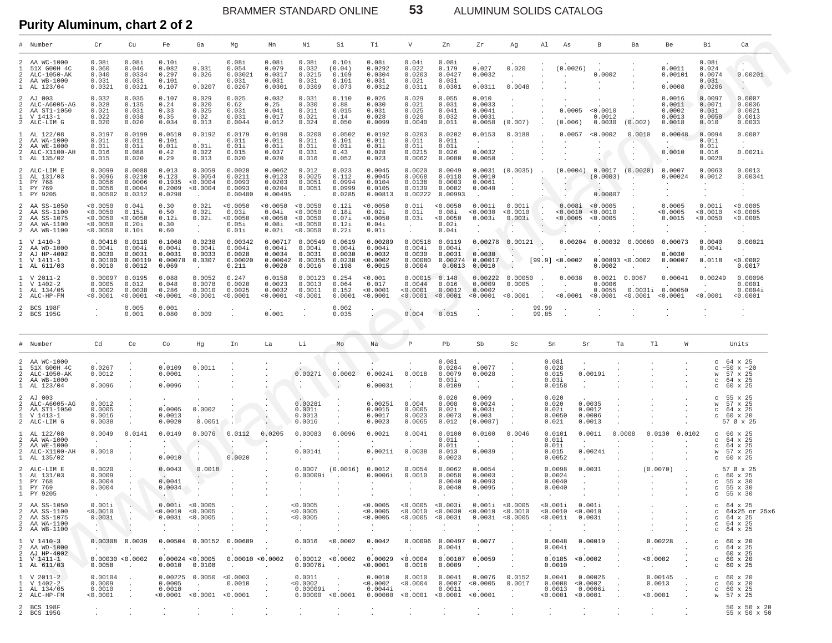BRAMMER STANDARD ONLINE 53 ALUMINUM SOLIDS CATALOG

Purity Aluminum, chart 2 of 2 **Exeting Contract 2** of 2

|                                             | Number                                                                                | Cr                                                                | Cu                                                            | Fe                                             | Ga                                                                                | Mg                                                                       | Mn                                               | Νi                                                       | Si                                            | Тi                                                                                  | V                                                       | Zn                                              | Zr                                                    | Αq                                      | Al                                          | As<br>B.                                                                                 |                                        | Ba                                                | <b>Be</b>                                                | - Bi                                                           | Ca                                                                |
|---------------------------------------------|---------------------------------------------------------------------------------------|-------------------------------------------------------------------|---------------------------------------------------------------|------------------------------------------------|-----------------------------------------------------------------------------------|--------------------------------------------------------------------------|--------------------------------------------------|----------------------------------------------------------|-----------------------------------------------|-------------------------------------------------------------------------------------|---------------------------------------------------------|-------------------------------------------------|-------------------------------------------------------|-----------------------------------------|---------------------------------------------|------------------------------------------------------------------------------------------|----------------------------------------|---------------------------------------------------|----------------------------------------------------------|----------------------------------------------------------------|-------------------------------------------------------------------|
| 2<br>$\mathcal{L}$<br>$\mathbf{1}$          | AA WC-1000<br>51X G00H 4C<br>ALC-1050-AK<br>AA WB-1000<br>AL 123/04                   | 0.08i<br>0.060<br>0.040<br>0.03i<br>0.0321                        | 0.08i<br>0.046<br>0.0334<br>0.03i<br>0.0321                   | 0.10i<br>0.082<br>0.297<br>0.10i<br>0.107      | 0.031<br>0.026<br>0.0207                                                          | 0.08i<br>0.054<br>0.0302i<br>0.03i<br>0.0267                             | 0.08i<br>0.079<br>0.0317<br>0.03i<br>0.0301      | 0.08i<br>0.032<br>0.0215<br>0.03i<br>0.0309              | 0.10i<br>(0.04)<br>0.169<br>0.10i<br>0.073    | 0.08i<br>0.0292<br>0.0304<br>0.03i<br>0.0312                                        | 0.04i<br>0.022<br>0.0203<br>0.02i<br>0.0311             | 0.08i<br>0.179<br>0.0427<br>0.03i<br>0.0301     | 0.027<br>0.0032<br>0.0311                             | 0.020<br>$\ddot{\phantom{a}}$<br>0.0048 |                                             | (0.0026)                                                                                 | 0.0002                                 |                                                   | 0.0011<br>0.0010i<br>0.0008                              | 0.08i<br>0.024<br>0.0074<br>0.03i<br>0.0206                    | $\sim$<br>0.0020i<br>$\ddot{\phantom{1}}$<br>$\cdot$              |
| 2<br>2<br>2<br>2                            | AJ 003<br>ALC-A6005-AG<br>AA ST1-1050<br>V 1413-1<br>ALC-LIM G                        | 0.032<br>0.028<br>0.02i<br>0.022<br>0.020                         | 0.035<br>0.135<br>0.03i<br>0.038<br>0.020                     | 0.107<br>0.24<br>0.33<br>0.35<br>0.034         | 0.029<br>0.020<br>0.025<br>0.02<br>0.013                                          | 0.025<br>0.62<br>0.03i<br>0.031<br>0.0044                                | 0.032<br>0.25<br>0.04i<br>0.017<br>0.012         | 0.031<br>0.030<br>0.01i<br>0.021<br>0.024                | 0.110<br>0.88<br>0.015<br>0.14<br>0.050       | 0.026<br>0.030<br>0.03i<br>0.028<br>0.0099                                          | 0.029<br>0.021<br>0.025<br>0.020<br>0.0040              | 0.055<br>0.031<br>0.04i<br>0.032<br>0.011       | 0.010<br>0.0033<br>0.004i<br>0.0031<br>0.0058         | (0.007)                                 |                                             | 0.0005<br>(0.006)                                                                        | < 0.0010<br>0.0012<br>0.0030           | (0.002)                                           | 0.0016<br>0.0011<br>0.0002<br>0.0013<br>0.0018           | 0.0097<br>0.007i<br>0.03i<br>0.0058<br>0.010                   | 0.0007<br>0.0036<br>0.002i<br>0.0013<br>0.0033                    |
| $\mathcal{L}$<br>2<br>2                     | AL 122/08<br>AA WA-1000<br>AA WE-1000<br>ALC-X1100-AH<br>AL 135/02                    | 0.0197<br>0.01i<br>0.01i<br>0.016<br>0.015                        | 0.0199<br>0.01i<br>0.01i<br>0.088<br>0.020                    | 0.0510<br>0.10i<br>0.01i<br>0.42<br>0.29       | 0.0192<br>0.01i<br>0.022<br>0.013                                                 | 0.0179<br>0.01i<br>0.01i<br>0.015<br>0.020                               | 0.0198<br>0.01i<br>0.01i<br>0.037<br>0.020       | 0.0200<br>0.01i<br>0.01i<br>0.031<br>0.016               | 0.0502<br>0.10i<br>0.01i<br>0.43<br>0.052     | 0.0192<br>0.01i<br>0.01i<br>0.028<br>0.023                                          | 0.0203<br>0.01i<br>0.01i<br>0.0215<br>0.0062            | 0.0202<br>0.01i<br>0.01i<br>0.026<br>0.0080     | 0.0153<br>$\sim$<br>0.0032<br>0.0050                  | 0.0188                                  |                                             | 0.0057<br>$\ddot{\phantom{a}}$<br>$\ddot{\phantom{a}}$                                   | < 0.0002<br>$\sim 10^{-11}$            | 0.0010<br>$\cdot$<br>$\cdot$                      | 0.00048<br>$\cdot$<br>0.0010<br>$\overline{\phantom{a}}$ | 0.0094<br>0.011<br>0.01i<br>0.016<br>0.0020                    | 0.0007<br>$\sim$<br>0.0021i<br>$\cdot$                            |
| 2<br>1<br>1.                                | ALC-LIM E<br>AL 131/03<br>PY 768<br>PY 769<br>PY 9205                                 | 0.0099<br>0.0096<br>0.0056<br>0.0056<br>$0.00502$ $0.0312$        | 0.0088<br>0.0210<br>0.0006<br>0.0004                          | 0.013<br>0.123<br>0.1935<br>0.2009<br>0.0298   | 0.0059<br>0.0054<br>< 0.0004<br>0.0004                                            | 0.0028<br>0.0211<br>0.0093<br>0.0093<br>0.00480                          | 0.0062<br>0.0123<br>0.0203<br>0.0204<br>0.00495  | 0.012<br>0.0025<br>0.0051<br>0.0051                      | 0.023<br>0.112<br>0.0994<br>0.0999<br>0.0285  | 0.0045<br>0.0045<br>0.0104<br>0.0105<br>0.00813                                     | 0.0020<br>0.0068<br>0.0138<br>0.0139<br>0.00222         | 0.0049<br>0.0118<br>0.0003<br>0.0002<br>0.00993 | 0.0031<br>0.0010<br>0.0061<br>0.0040                  | (0.0035)<br>$\cdot$                     |                                             | (0.0004) 0.0017<br>$\sim$<br>$\sim$<br>$\mathcal{L}$<br>$\sim$                           | (0.0003)<br>0.00007                    | (0.0020)<br>$\cdot$                               | 0.0007<br>0.00024<br>$\cdot$<br>$\cdot$                  | 0.0063<br>0.0012<br>$\cdot$<br>$\cdot$<br>$\ddot{\phantom{a}}$ | 0.0013<br>0.0034i<br>$\cdot$<br>$\cdot$                           |
| 2<br>2<br>2<br>$\mathcal{L}$                | AA SS-1050<br>AA SS-1100<br>AA SS-1075<br>AA WA-1100<br>AA WB-1100                    | < 0.0050<br>< 0.0050<br>< 0.0050 < 0.0050<br>< 0.0050<br>< 0.0050 | 0.04i<br>0.15i<br>0.20i<br>0.10i                              | 0.30<br>0.50<br>0.12i<br>0.30<br>0.60          | 0.02i<br>0.02i<br>0.02i<br>$\sim$ $-$                                             | < 0.0050<br>0.03i<br>< 0.0050<br>0.05i<br>0.01i                          | < 0.0050<br>0.04i<br>< 0.0050<br>0.08i<br>0.02i  | < 0.0050<br>< 0.0050<br>< 0.0050<br>< 0.0050<br>< 0.0050 | 0.12i<br>0.18i<br>0.07i<br>0.12i<br>0.22i     | < 0.0050<br>0.02i<br>0.0050<br>0.04i<br>0.01i                                       | 0.01i<br>0.01i<br>0.03i<br>$\sim$                       | < 0.0050<br>0.08i<br>< 0.0050<br>0.02i<br>0.04i | 0.001i<br>< 0.0030<br>0.003i                          | 0.001i<br>< 0.0010<br>0.003i<br>$\sim$  | $\sim$<br>$\sim$<br>$\sim$                  | 0.008i<br>< 0.0005<br>< 0.0010 < 0.0010<br>$< 0.0005$ $< 0.0005$<br>$\cdot$<br>$\bullet$ |                                        | $\cdot$                                           | 0.0005<br>< 0.0005<br>0.0015<br>$\ddot{\phantom{1}}$     | 0.001i<br>< 0.0010<br>0.0050<br>$\sim$                         | < 0.0005<br>< 0.0005<br>< 0.0005<br>$\sim$                        |
| 2<br>$\mathbf{1}$<br>$\mathbf{1}$           | V 1410-3<br>AA WD-1000<br>AJ HP-4002<br>V 1411-1<br>AL 611/03                         | 0.00418<br>0.004i<br>0.0030<br>0.0010                             | 0.0118<br>0.004i<br>0.0031<br>0.00100 0.00119<br>0.0012       | 0.1068<br>0.004i<br>0.0031<br>0.00078<br>0.069 | 0.0238<br>0.004i<br>0.0033<br>0.0307                                              | 0.00342<br>0.004i<br>0.0028<br>0.00020<br>0.211                          | 0.00717<br>0.004i<br>0.0034<br>0.00042<br>0.0020 | 0.00549<br>0.004i<br>0.0031<br>0.00355<br>0.0016         | 0.0619<br>0.004i<br>0.0030<br>0.0238<br>0.198 | 0.00289<br>0.004i<br>0.0032<br>0.0002<br>0.0015                                     | 0.00518<br>0.004i<br>0.0030<br>0.00080<br>0.0004        | 0.0119<br>0.004i<br>0.0031<br>0.00274<br>0.0013 | 0.00278<br>0.0030<br>0.00017<br>0.0010                | $0.00121$ .<br>$\cdot$                  | $.$ [99.9] <0.0002                          | $0.00204$ 0.00032 0.00060<br>$\sim$<br>$\sim$                                            | 0.00893 < 0.0002<br>0.0002             | $\cdot$                                           | 0.00073<br>0.0030<br>0.00007<br>$\sim$                   | 0.0040<br>0.004i<br>0.0118<br>$\sim$                           | 0.00021<br>$\sim$<br>< 0.0002<br>0.0017                           |
|                                             | V 2011-2<br>V 1402-2<br>AL 134/05<br>ALC-HP-FM                                        | $0.00097$ 0.0195<br>0.0005<br>0.0002<br>< 0.0001 < 0.0001         | 0.012<br>0.0038                                               | 0.088<br>0.048<br>0.286<br>< 0.0001            | 0.0052<br>0.0078<br>0.0010<br>< 0.0001                                            | 0.247<br>0.0020<br>0.0025<br>< 0.0001                                    | 0.0158<br>0.0023<br>0.0032<br>< 0.0001           | 0.00123<br>0.0013<br>0.0011<br>< 0.0001                  | 0.254<br>0.064<br>0.152<br>0.0001             | 0.001<br>0.017<br>< 0.0001<br>< 0.0001                                              | 0.00015<br>0.0044<br>< 0.0001<br>< 0.0001 < 0.0001      | 0.148<br>0.016<br>0.0012                        | 0.00222<br>0.0009<br>0.0002<br>< 0.0001               | 0.00050<br>0.0005<br>< 0.0001           | $\sim$                                      | 0.0038<br><b>Contract</b><br>< 0.0001                                                    | 0.0021<br>0.0006<br>0.0055<br>< 0.0001 | 0.0067<br>0.0031i 0.00050<br>< 0.0001 < 0.0001    | 0.00041                                                  | 0.00249<br>$\sim$<br>< 0.0001                                  | 0.00096<br>0.0001<br>0.0004i<br>< 0.0001                          |
| 2                                           | <b>BCS 198F</b><br>BCS 195G                                                           | $\cdot$                                                           | 0.005<br>0.001                                                | 0.001<br>0.080                                 | 0.009                                                                             |                                                                          | 0.001                                            |                                                          | 0.002<br>0.035                                |                                                                                     | 0.004                                                   | 0.015                                           |                                                       |                                         | 99.99<br>99.85                              |                                                                                          |                                        |                                                   |                                                          |                                                                |                                                                   |
|                                             | Number                                                                                | Cd                                                                | Ce                                                            | Co                                             | Ηg                                                                                | In                                                                       | La                                               | Li                                                       | Mo                                            | Na                                                                                  | $_{\rm P}$                                              | Pb                                              | Sb                                                    | Sc                                      | Sn                                          | Sr                                                                                       | Ta                                     | Tl                                                | W                                                        |                                                                | Units                                                             |
| 2<br>$\mathcal{L}$<br>$\mathcal{L}$         | AA WC-1000<br>51X G00H 4C<br>ALC-1050-AK<br>AA WB-1000<br>1 AL 123/04                 | 0.0267<br>0.0012<br>0.0096                                        |                                                               | 0.0109<br>0.0001<br>0.0096                     | 0.0011                                                                            |                                                                          |                                                  | 0.0027i<br>$\sim$                                        | 0.0002<br>$\ddot{\phantom{0}}$                | 0.0024i<br>0.0003i                                                                  | 0.0018                                                  | 0.08i<br>0.0204<br>0.0079<br>0.03i<br>0.0109    | 0.0077<br>0.0028                                      |                                         | 0.08i<br>0.028<br>0.015<br>0.03i<br>0.0158  | 0.0019i<br>$\cdot$                                                                       |                                        |                                                   |                                                          | $\mathbf{C}$<br>C<br>W<br>c<br>C                               | 64 x 25<br>~10x ~120<br>57 x 25<br>64 x 25<br>60 x 25             |
| 2<br>2<br>2<br>$\mathbf{1}$<br>2            | AJ 003<br>ALC-A6005-AG<br>AA ST1-1050<br>V 1413-1<br>ALC-LIM G                        | 0.0012<br>0.0005<br>0.0016<br>0.0038                              | $\ddot{\phantom{a}}$                                          | 0.0005<br>0.0013<br>0.0020                     | 0.0002<br>0.0051                                                                  |                                                                          |                                                  | 0.0028i<br>0.001i<br>0.0013<br>0.0016                    |                                               | 0.0025i<br>0.0015<br>0.0017<br>0.0023                                               | 0.004<br>0.0005<br>0.0023<br>0.0065                     | 0.020<br>0.008<br>0.02i<br>0.0073<br>0.012      | 0.009<br>0.0024<br>0.003i<br>0.003<br>(0.0087)        |                                         | 0.020<br>0.020<br>0.02i<br>0.0050<br>0.021  | 0.0035<br>0.0012<br>0.0006<br>0.0013                                                     |                                        |                                                   |                                                          | C<br>W<br>$\mathbf{C}$<br>$\mathbf{C}$                         | 55 x 25<br>57 x 25<br>64 x 25<br>60 x 20<br>57 Ø x 25             |
| -1.<br>$\mathcal{L}$<br>2<br>$\overline{a}$ | AL 122/08<br>AA WA-1000<br>AA WE-1000<br>ALC-X1100-AH<br>1 AL 135/02                  | 0.0049<br><b>Service</b><br>0.0010<br>$\sim$                      | 0.0141<br>$\cdot$<br>$\cdot$<br>$\cdot$                       | 0.0149<br>$\sim$ $ \sim$<br>$\sim$<br>0.0010   | 0.0076<br>$\overline{\phantom{a}}$                                                | 0.0112<br>0.0020                                                         | 0.0205                                           | 0.00083<br>$\cdot$<br>0.0014i<br>$\cdot$                 | 0.0096                                        | 0.0021<br><b>Service</b><br>0.0021i                                                 | 0.0041<br>$\sim$<br>0.0038<br>$\sim$                    | 0.0100<br>0.01i<br>0.01i<br>0.013<br>0.0023     | 0.0100<br>$\sim$<br>0.0039                            | 0.0046                                  | 0.0101<br>0.01i<br>0.01i<br>0.015<br>0.0052 | 0.0011<br>$\cdot$<br>0.0024i<br>$\ddot{\phantom{0}}$                                     | 0.0008                                 |                                                   | $0.0130$ $0.0102$                                        | c<br>$\mathbf C$<br>W                                          | $c$ 60 $x$ 25<br>64 x 25<br>64 x 25<br>57 x 25<br>$c$ 60 x 25     |
| $\overline{a}$<br>1.                        | ALC-LIM E<br>AL 131/03<br>PY 768<br>PY 769                                            | 0.0020<br>0.0009<br>0.0004<br>0.0004<br>$\cdot$                   |                                                               | 0.0043<br>0.0041<br>0.0034                     | 0.0018<br><b>Service</b>                                                          |                                                                          |                                                  | 0.0007<br>0.00009i<br>$\cdot$                            | (0.0016)                                      | 0.0012<br>0.0006i                                                                   | 0.0054<br>0.0010<br>$\cdot$                             | 0.0062<br>0.0058<br>0.0040<br>0.0040            | 0.0054<br>0.0003<br>0.0093<br>0.0095                  |                                         | 0.0098<br>0.0024<br>0.0040<br>0.0040        | 0.0031                                                                                   |                                        | (0.0070)                                          |                                                          | C<br>$\mathbf C$<br>$\mathbb C$<br>$\mathbf C$                 | 57 Ø x 25<br>60 x 25<br>55 x 30<br>55 x 30<br>55 x 30             |
|                                             | PY 9205                                                                               |                                                                   |                                                               |                                                |                                                                                   |                                                                          |                                                  |                                                          |                                               |                                                                                     |                                                         |                                                 |                                                       |                                         |                                             |                                                                                          |                                        |                                                   |                                                          |                                                                |                                                                   |
| $\mathfrak{D}$<br>2<br>2                    | 2 AA SS-1050<br>AA SS-1100<br>AA SS-1075<br>AA WA-1100<br>2 AA WB-1100                | 0.001i<br>0.0010<br>0.003i<br>$\sim$                              | $\cdot$                                                       | $< 0.0010$ $< 0.0005$                          | 0.001i < 0.0005<br>0.003i < 0.0005                                                |                                                                          |                                                  | < 0.0005<br>0.0005<br>0.0005<br>$\sim$<br>$\cdot$        |                                               | < 0.0005<br>0.0005<br>$\sim$                                                        | $< 0.0005$ $< 0.0005$ $< 0.003i$<br>< 0.0005<br>$\cdot$ | <0.003i                                         | $< 0.0010$ $< 0.0030$ $< 0.0010$ $< 0.0010$<br>0.003i | $0.001i$ <0.0005 <0.001i<br>< 0.0005    | < 0.001i<br>$\cdot$<br>$\cdot$              | 0.001i<br>< 0.0010 < 0.0010<br>0.003i<br>$\ddot{\phantom{a}}$                            |                                        |                                                   |                                                          | $\epsilon$<br>C<br>C<br>$\mathbf C$                            | 64 x 25<br>64x25 or 25x6<br>64 x 25<br>64 x 25<br>$c$ 64 x 25     |
|                                             | $1 \quad V \quad 1410-3$<br>2 AA WD-1000<br>2 AJ HP-4002<br>1 V 1411-1<br>1 AL 611/03 | <b>Contract Contract Contract</b><br>0.0058                       | 0.00308 0.0039<br>$\sim$<br>0.00030 < 0.0002<br>$\sim$ $\sim$ | $\sim$                                         | 0.00504 0.00152 0.00689<br>$\sim$<br>$0.0010$ $0.0108$                            | $\sim$<br>$0.00024 < 0.0005$ 0.00010 <0.0002<br><b>Contract Contract</b> | $\ddot{\phantom{1}}$<br><b>Contract Contract</b> | $0.0016$ < $0.0002$<br><b>Contractor</b><br>$0.00076$ i. | $\sim$                                        | 0.0042<br>$\sim$<br>$0.00012 < 0.0002$ 0.00029 <0.0004<br>< 0.0001                  | 0.00096<br>$\sim$<br>0.0018                             | 0.00497 0.0077<br>0.004i<br>0.0009              | $0.00107$ 0.0059<br>$\sim$ $\sim$                     | $\sim$                                  | 0.0048<br>0.004i<br>0.0010                  | 0.00019<br>$\sim$<br>0.0185 < 0.0002<br><b>Contract Contract Contract</b>                | $\ddot{\phantom{a}}$                   | $\sim$ 100 $\pm$<br>< 0.0002<br><b>Carl Corp.</b> | 0.00228<br>$\overline{a}$                                | $\mathbf{C}$<br>C                                              | 60 x 20<br>64 x 25<br>60 x 25<br>$c$ 60 x 20<br>$c$ 60 $x$ 25     |
| $\mathbf{1}$                                | 1 V 2011-2<br>$1 \quad V \quad 1402 - 2$<br>AL 134/05<br>2 ALC-HP-FM                  | $0.00104$ .<br>0.0009<br>0.0010<br>< 0.0001                       | $\sim$ $\sim$<br>$\sim$<br>$\sim$                             | 0.0005<br>0.0010                               | $0.00225$ 0.0050 <0.0003<br><b>Contractor</b><br>$< 0.0001$ $< 0.0001$ $< 0.0001$ | 0.0010                                                                   | $\sim$<br>$\sim$<br>$\sim$<br>$\sim$             | 0.0011<br>< 0.0002<br>$0.00009i$ .                       | <b>Contract Contract</b><br>$\sim 100$        | 0.0010<br>< 0.0002<br>0.0044i<br>$0.00000 < 0.0001$ 0.00000 <0.0001 <0.0001 <0.0001 | 0.0010<br>< 0.0004                                      | 0.0041<br>0.0011                                | 0.0076<br>0.0007 < 0.0005                             | 0.0152<br>0.0017<br>$\sim$<br>$\sim$    | 0.0013                                      | $0.0041$ $0.00026$<br>0.0008 < 0.0002<br>0.0006i<br>< 0.0001 < 0.0001                    | $\sim$<br>$\sim$                       | 0.0013<br>< 0.0001                                | 0.00145<br>$\overline{a}$                                |                                                                | $c$ 60 $x$ 20<br>$c$ 60 $x$ 20<br>$C = 60 \times 25$<br>w 57 x 25 |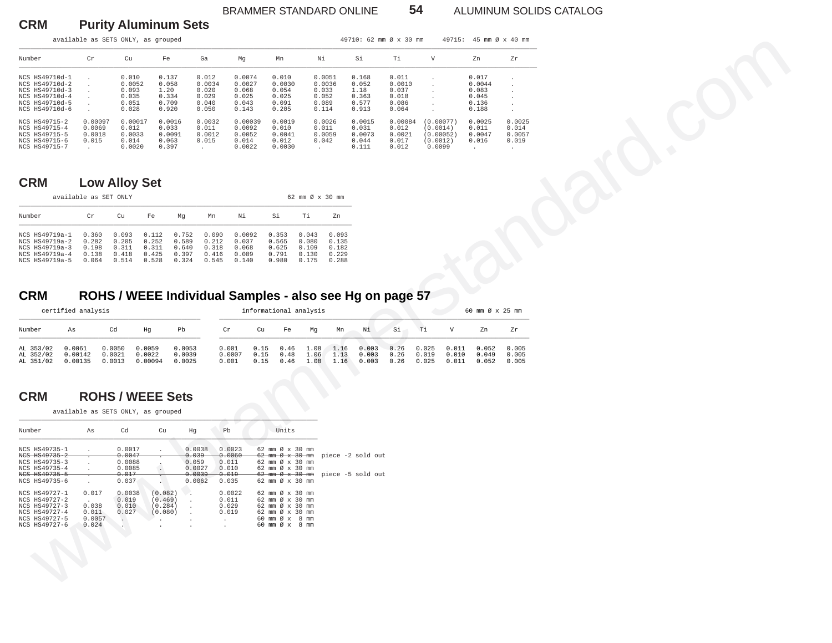#### BRAMMER STANDARD ONLINE **54** ALUMINUM SOLIDS CATALOG

**CRM Purity Aluminum Sets**

|                                                                                                          |                                                | available as SETS ONLY, as grouped                            |                                                   |                                                     |                                                                                |                    |                                                                                                              |                                                            |                                           | 49710: 62 mm Ø x 30 mm                            |                                                     |                                |                                             | 49715: 45 mm Ø x 40 mm                              |                                          |
|----------------------------------------------------------------------------------------------------------|------------------------------------------------|---------------------------------------------------------------|---------------------------------------------------|-----------------------------------------------------|--------------------------------------------------------------------------------|--------------------|--------------------------------------------------------------------------------------------------------------|------------------------------------------------------------|-------------------------------------------|---------------------------------------------------|-----------------------------------------------------|--------------------------------|---------------------------------------------|-----------------------------------------------------|------------------------------------------|
| Number                                                                                                   | Cr                                             | Cu                                                            | Fe                                                | Ga                                                  | Mg                                                                             |                    | Mn                                                                                                           | Νi                                                         |                                           | Si                                                | Ti                                                  | $\mathbf{V}$                   |                                             | Zn                                                  | ${\rm Zr}$                               |
| NCS HS49710d-1<br>NCS HS49710d-2<br>NCS HS49710d-3<br>NCS HS49710d-4<br>NCS HS49710d-5<br>NCS HS49710d-6 |                                                | 0.010<br>0.0052<br>0.093<br>0.035<br>0.051<br>0.028           | 0.137<br>0.058<br>1.20<br>0.334<br>0.709<br>0.920 | 0.012<br>0.0034<br>0.020<br>0.029<br>0.040<br>0.050 | 0.0074<br>0.0027<br>0.068<br>0.025<br>0.043<br>0.143                           |                    | 0.010<br>0.0030<br>0.054<br>0.025<br>0.091<br>0.205                                                          | 0.0051<br>0.0036<br>0.033<br>0.052<br>0.089<br>0.114       |                                           | 0.168<br>0.052<br>1.18<br>0.363<br>0.577<br>0.913 | 0.011<br>0.0010<br>0.037<br>0.018<br>0.086<br>0.064 |                                |                                             | 0.017<br>0.0044<br>0.083<br>0.045<br>0.136<br>0.188 |                                          |
| NCS HS49715-2<br>NCS HS49715-4<br>NCS HS49715-5<br>NCS HS49715-6<br>NCS HS49715-7                        | 0.00097<br>0.0069<br>0.0018<br>0.015<br>$\sim$ | 0.00017<br>0.012<br>0.0033<br>0.014<br>0.0020                 | 0.0016<br>0.033<br>0.0091<br>0.063<br>0.397       | 0.0032<br>0.011<br>0.0012<br>0.015<br>$\sim$        | 0.0092<br>0.0052<br>0.014<br>0.0022                                            | 0.00039            | 0.0019<br>0.010<br>0.0041<br>0.012<br>0.0030                                                                 | 0.0026<br>0.011<br>0.0059<br>0.042<br>$\ddot{\phantom{0}}$ |                                           | 0.0015<br>0.031<br>0.0073<br>0.044<br>0.111       | 0.00084<br>0.012<br>0.0021<br>0.017<br>0.012        | (0.0014)<br>(0.0012)<br>0.0099 | (0.00077)<br>(0.00052)                      | 0.0025<br>0.011<br>0.0047<br>0.016<br>$\sim$        | 0.0025<br>0.014<br>0.0057<br>0.019<br>n. |
| <b>CRM</b>                                                                                               |                                                | <b>Low Alloy Set</b>                                          |                                                   |                                                     |                                                                                |                    |                                                                                                              |                                                            |                                           |                                                   |                                                     |                                |                                             |                                                     |                                          |
|                                                                                                          | available as SET ONLY                          |                                                               |                                                   |                                                     |                                                                                |                    |                                                                                                              | 62 mm Ø x 30 mm                                            |                                           |                                                   |                                                     |                                |                                             |                                                     |                                          |
| Number                                                                                                   | Cr                                             | Cu                                                            | Fe                                                | Mg<br>Mn                                            | Νi                                                                             | Si                 |                                                                                                              | Тi                                                         | Zn                                        |                                                   |                                                     |                                |                                             |                                                     |                                          |
| NCS HS49719a-1<br>NCS HS49719a-2<br>NCS HS49719a-3<br>NCS HS49719a-4<br>NCS HS49719a-5                   | 0.360<br>0.282<br>0.198<br>0.138<br>0.064      | 0.093<br>0.205<br>0.311<br>0.418<br>0.514                     | 0.112<br>0.252<br>0.311<br>0.425<br>0.528         | 0.752<br>0.589<br>0.640<br>0.318<br>0.397<br>0.324  | 0.090<br>0.0092<br>0.212<br>0.037<br>0.068<br>0.089<br>0.416<br>0.545<br>0.140 |                    | 0.353<br>0.565<br>0.625<br>0.791<br>0.980                                                                    | 0.043<br>0.080<br>0.109<br>0.130<br>0.175                  | 0.093<br>0.135<br>0.182<br>0.229<br>0.288 |                                                   |                                                     |                                |                                             |                                                     |                                          |
| Number<br>As<br>AL 353/02<br>AL 352/02                                                                   | 0.0061<br>0.00142                              | Cd<br>0.0050<br>0.0021                                        | Hg<br>0.0059<br>0.0022                            | Pb<br>0.0053<br>0.0039                              | Cr<br>0.001<br>0.0007                                                          | Cu<br>0.15<br>0.15 | Fe<br>0.46<br>0.48                                                                                           | Mg<br>1.08<br>1.06                                         | Mn<br>1.16<br>1.13                        | Νi<br>0.003<br>0.003                              | Si<br>0.26<br>0.26                                  | тi<br>0.025<br>0.019           | $\boldsymbol{\mathrm{V}}$<br>0.011<br>0.010 | Zn<br>0.052<br>0.049                                | Zr<br>0.005<br>0.005                     |
| AL 351/02                                                                                                | 0.00135                                        | 0.0013                                                        | 0.00094                                           | 0.0025                                              | 0.001                                                                          | 0.15               | 0.46                                                                                                         | 1.08                                                       | 1.16                                      | 0.003                                             | 0.26                                                | 0.025                          | 0.011                                       | 0.052                                               | 0.005                                    |
| <b>CRM</b>                                                                                               |                                                | <b>ROHS / WEEE Sets</b><br>available as SETS ONLY, as grouped |                                                   |                                                     |                                                                                |                    |                                                                                                              |                                                            |                                           |                                                   |                                                     |                                |                                             |                                                     |                                          |
| Number                                                                                                   | As                                             | Cd                                                            | Cu                                                | Hg                                                  | $_{\rm Pb}$                                                                    |                    | Units                                                                                                        |                                                            |                                           |                                                   |                                                     |                                |                                             |                                                     |                                          |
| NCS HS49735-1<br>NCS HS49735-2<br>NCS HS49735-3                                                          |                                                | 0.0017<br>0.0047<br>0.0088                                    |                                                   | 0.0038<br>0.039<br>0.059                            | 0.0023<br>0.0060<br>0.011                                                      |                    | 62 mm Ø x 30 mm<br>$62$ mm $\varnothing$ x $30$ mm<br>62 mm Ø x 30 mm<br>62 mm Ø x 30 mm                     |                                                            |                                           | piece -2 sold out                                 |                                                     |                                |                                             |                                                     |                                          |
| NCS HS49735-4<br>NCS HS49735-5<br>NCS HS49735-6                                                          | $\ddot{\phantom{a}}$                           | 0.0085<br>0.017<br>0.037                                      | $\cdot$                                           | 0.0027<br>0.0039<br>0.0062                          | 0.010<br>0.019<br>0.035                                                        |                    | $62$ mm $\emptyset \times 30$ mm<br>62 mm Ø x 30 mm                                                          |                                                            |                                           | piece -5 sold out                                 |                                                     |                                |                                             |                                                     |                                          |
| NCS HS49727-1<br>NCS HS49727-2<br>NCS HS49727-3<br>NCS HS49727-4<br>NCS HS49727-5<br>NCS HS49727-6       | 0.017<br>0.038<br>0.011<br>0.0057<br>0.024     | 0.0038<br>0.019<br>0.010<br>0.027<br>$\langle \rangle$        | (0.082)<br>(0.469)<br>(0.284)<br>(0.080)          | $\cdot$<br>$\cdot$                                  | 0.0022<br>0.011<br>0.029<br>0.019                                              |                    | 62 mm Ø x 30 mm<br>62 mm Ø x 30 mm<br>62 mm Ø x 30 mm<br>62 mm Ø x 30 mm<br>60 mm Ø x 8 mm<br>60 mm Ø x 8 mm |                                                            |                                           |                                                   |                                                     |                                |                                             |                                                     |                                          |

## **CRM Low Alloy Set**

|                                                                                        | available as SET ONLY                     |                                           |                                           |                                           |                                           |                                            |                                           |                                           |                                           |  |  |  |  |  |
|----------------------------------------------------------------------------------------|-------------------------------------------|-------------------------------------------|-------------------------------------------|-------------------------------------------|-------------------------------------------|--------------------------------------------|-------------------------------------------|-------------------------------------------|-------------------------------------------|--|--|--|--|--|
| Number                                                                                 | Cr                                        | Cu                                        | Fe                                        | Ma                                        | Mn                                        | Νi                                         | Si                                        | Τi                                        | Zn                                        |  |  |  |  |  |
| NCS HS49719a-1<br>NCS HS49719a-2<br>NCS HS49719a-3<br>NCS HS49719a-4<br>NCS HS49719a-5 | 0.360<br>0.282<br>0.198<br>0.138<br>0.064 | 0.093<br>0.205<br>0.311<br>0.418<br>0.514 | 0.112<br>0.252<br>0.311<br>0.425<br>0.528 | 0.752<br>0.589<br>0.640<br>0.397<br>0.324 | 0.090<br>0.212<br>0.318<br>0.416<br>0.545 | 0.0092<br>0.037<br>0.068<br>0.089<br>0.140 | 0.353<br>0.565<br>0.625<br>0.791<br>0.980 | 0.043<br>0.080<br>0.109<br>0.130<br>0.175 | 0.093<br>0.135<br>0.182<br>0.229<br>0.288 |  |  |  |  |  |

## **CRM ROHS / WEEE Individual Samples - also see Hg on page 57**

|                                     | certified analysis           |                            |                             |                            |                          | informational analysis |                      |                      |                      |                         |                      | 60 mm Ø x 25 mm         |                         |                         |                         |
|-------------------------------------|------------------------------|----------------------------|-----------------------------|----------------------------|--------------------------|------------------------|----------------------|----------------------|----------------------|-------------------------|----------------------|-------------------------|-------------------------|-------------------------|-------------------------|
| Number                              | As                           | Cd                         | Hq                          | Pb                         | Cr                       | Cu                     | Fe                   | Ma                   | Mn                   | Ni                      | Si                   | Ti                      | V                       | Zn                      | Zr                      |
| AL 353/02<br>AL 352/02<br>AL 351/02 | 0.0061<br>0.00142<br>0.00135 | 0.0050<br>0.0021<br>0.0013 | 0.0059<br>0.0022<br>0.00094 | 0.0053<br>0.0039<br>0.0025 | 0.001<br>0.0007<br>0.001 | 0.15<br>0.15<br>0.15   | 0.46<br>0.48<br>0.46 | 1.08<br>1.06<br>1.08 | 1.16<br>1.13<br>1.16 | 0.003<br>0.003<br>0.003 | 0.26<br>0.26<br>0.26 | 0.025<br>0.019<br>0.025 | 0.011<br>0.010<br>0.011 | 0.052<br>0.049<br>0.052 | 0.005<br>0.005<br>0.005 |

#### **CRM ROHS / WEEE Sets**

| Number        | As           | Cd                   | Cu             | Hq           | Pb           | Units                            |                                                                   |
|---------------|--------------|----------------------|----------------|--------------|--------------|----------------------------------|-------------------------------------------------------------------|
| NCS HS49735-1 | $\mathbf{r}$ | 0.0017               | $\overline{a}$ | 0.0038       | 0.0023       | 62 mm $\varnothing$ x 30 mm      |                                                                   |
| NCS HS49735-2 |              | 0.0047               |                | 0.039        | 0.0060       |                                  | $62 \text{ mm}$ $\vartheta$ $x$ $30 \text{ mm}$ piece -2 sold out |
| NCS HS49735-3 |              | 0.0088               |                | 0.059        | 0.011        | $62$ mm $\emptyset \times 30$ mm |                                                                   |
| NCS HS49735-4 |              | 0.0085               | . .            | 0.0027       | 0.010        | 62 mm $\varnothing$ x 30 mm      |                                                                   |
| NCS HS49735-5 |              | 0.017                |                | 0.0039       | $0.019 -$    |                                  | $62 \text{ mm}$ $\emptyset$ x 30 mm piece -5 sold out             |
| NCS HS49735-6 |              | 0.037                |                | 0.0062       | 0.035        | 62 mm $\varnothing$ x 30 mm      |                                                                   |
| NCS HS49727-1 | 0.017        | 0.0038               | (0.082)        |              | 0.0022       | 62 mm $\varnothing$ x 30 mm      |                                                                   |
| NCS HS49727-2 | $\sim$       | 0.019                | (0.469)        | $\sim$       | 0.011        | 62 mm Ø x 30 mm                  |                                                                   |
| NCS HS49727-3 | 0.038        | 0.010                | (0.284)        | $\sim$       | 0.029        | 62 mm Ø x 30 mm                  |                                                                   |
| NCS HS49727-4 | 0.011        | 0.027                | (0.080)        | $\sim$       | 0.019        | 62 mm Ø x 30 mm                  |                                                                   |
| NCS HS49727-5 | 0.0057       | $\ddot{\phantom{a}}$ |                | $\mathbf{r}$ | $\mathbf{r}$ | 60 mm Ø x 8 mm                   |                                                                   |
| NCS HS49727-6 | 0.024        | v.                   |                |              |              | 60 mm Ø x<br>8 mm                |                                                                   |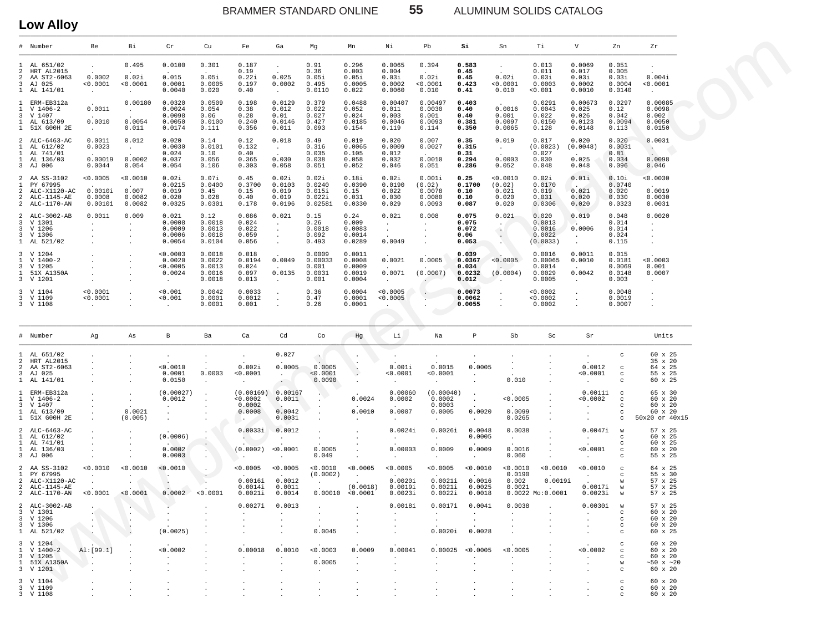BRAMMER STANDARD ONLINE 55 ALUMINUM SOLIDS CATALOG

**Low Alloy**

|                                          | --*********                                                                    |                                                 |                                           |                                                       |                                                |                                                           |                                                      |                                                            |                                                    |                                                                                |                                                                   |                                                                            |                                                                              |                                                     |                                                                    |                                                                       |                                                              |
|------------------------------------------|--------------------------------------------------------------------------------|-------------------------------------------------|-------------------------------------------|-------------------------------------------------------|------------------------------------------------|-----------------------------------------------------------|------------------------------------------------------|------------------------------------------------------------|----------------------------------------------------|--------------------------------------------------------------------------------|-------------------------------------------------------------------|----------------------------------------------------------------------------|------------------------------------------------------------------------------|-----------------------------------------------------|--------------------------------------------------------------------|-----------------------------------------------------------------------|--------------------------------------------------------------|
|                                          | # Number                                                                       | Be                                              | Вi                                        | Cr                                                    | Cu                                             | Fe                                                        | Ga                                                   | Mg                                                         | Mn                                                 | Νi                                                                             | Pb                                                                | Si                                                                         | Sn                                                                           | Тi                                                  | V                                                                  | Zn                                                                    | Zr                                                           |
| 2<br>2<br>3                              | AL 651/02<br>HRT AL2015<br>AA ST2-6063<br>AJ 025<br>1 AL 141/01                | $\blacksquare$<br>0.0002<br>< 0.0001<br>$\sim$  | 0.495<br>0.02i<br>0.0001<br>$\cdot$       | 0.0100<br>0.015<br>0.0001<br>0.0040                   | 0.301<br>0.05i<br>0.0005<br>0.020              | 0.187<br>0.19<br>0.22i<br>0.197<br>0.40                   | $\cdot$<br>0.025<br>0.0002<br>$\sim$                 | 0.91<br>0.36<br>0.05i<br>0.495<br>0.0110                   | 0.296<br>0.003<br>0.05i<br>0.0005<br>0.022         | 0.0065<br>0.004<br>0.03i<br>0.0002<br>0.0060                                   | 0.394<br>$\sim$<br>0.02i<br>< 0.0001<br>0.010                     | 0.583<br>0.45<br>0.45<br>0.423<br>0.41                                     | $\cdot$<br>0.02i<br>< 0.0001<br>0.010                                        | 0.013<br>0.011<br>0.03i<br>0.0003<br>< 0.001        | 0.0069<br>0.017<br>0.03i<br>0.0002<br>0.0010                       | 0.051<br>0.005<br>0.03i<br>0.0004<br>0.0140                           | $\cdot$<br>0.004i<br>< 0.0001<br>$\sim$ $-$                  |
| $\mathbf{1}$<br>1.                       | ERM-EB312a<br>V 1406-2<br>3 V 1407<br>1 AL 613/09<br>1 51X GOOH 2E             | 0.0011<br>0.0010<br>$\sim$ $-$                  | 0.00180<br>$\sim$<br>0.0054<br>0.011      | 0.0320<br>0.0024<br>0.0098<br>0.0050<br>0.0174        | 0.0509<br>0.054<br>0.06<br>0.0100<br>0.111     | 0.198<br>0.38<br>0.28<br>0.240<br>0.356                   | 0.0129<br>0.012<br>0.01<br>0.0146<br>0.011           | 0.379<br>0.022<br>0.027<br>0.427<br>0.093                  | 0.0488<br>0.052<br>0.024<br>0.0185<br>0.154        | 0.00407<br>0.011<br>0.003<br>0.0046<br>0.119                                   | 0.00497<br>0.0030<br>0.001<br>0.0093<br>0.114                     | 0.403<br>0.40<br>0.40<br>0.381<br>0.350                                    | 0.0016<br>0.001<br>0.0097<br>0.0065                                          | 0.0291<br>0.0043<br>0.022<br>0.0150<br>0.128        | 0.00673<br>0.025<br>0.026<br>0.0123<br>0.0148                      | 0.0297<br>0.12<br>0.042<br>0.0094<br>0.113                            | 0.00085<br>0.0098<br>0.002<br>0.0050<br>0.0150               |
| 1.<br>1<br>$\mathbf{1}$                  | 2 ALC-6463-AC<br>AL 612/02<br>AL 741/01<br>AL 136/03<br>3 AJ 006               | 0.0011<br>0.0023<br>0.00019<br>0.0044           | 0.012<br>$\sim$<br>0.0002<br>0.054        | 0.020<br>0.0030<br>0.024<br>0.037<br>0.054            | 0.14<br>0.0101<br>0.10<br>0.056<br>0.106       | 0.12<br>0.132<br>0.40<br>0.365<br>0.303                   | 0.018<br>$\sim$ $-$<br>0.030<br>0.058                | 0.49<br>0.316<br>0.035<br>0.038<br>0.051                   | 0.019<br>0.0065<br>0.105<br>0.058<br>0.052         | 0.020<br>0.0009<br>0.012<br>0.032<br>0.046                                     | 0.007<br>0.0027<br>0.0010<br>0.051                                | 0.35<br>0.315<br>0.31<br>0.294<br>0.286                                    | 0.019<br>$\sim$<br>0.0003<br>0.052                                           | 0.017<br>(0.0023)<br>0.027<br>0.030<br>0.048        | 0.020<br>(0.0048)<br>0.025<br>0.048                                | 0.020<br>0.0031<br>0.81<br>0.034<br>0.096                             | 0.0031<br>$\sim$<br>0.0098<br>0.046                          |
| $\overline{a}$<br>$\mathbf{1}$<br>2<br>2 | AA SS-3102<br>PY 67995<br>ALC-X1120-AC<br>ALC-1145-AE<br>2 ALC-1170-AN         | 0.0005<br>0.0010i<br>0.0008<br>0.0010i          | 0.0010<br>0.007<br>0.0082<br>0.0082       | 0.02i<br>0.0215<br>0.019<br>0.020<br>0.0325           | 0.07i<br>0.0400<br>0.45<br>0.028<br>0.0301     | 0.45<br>0.3700<br>0.15<br>0.40<br>0.178                   | 0.02i<br>0.0103<br>0.019<br>0.019<br>0.0196          | 0.02i<br>0.0240<br>0.015i<br>0.022i<br>0.0258i             | 0.18i<br>0.0390<br>0.15<br>0.031<br>0.0330         | 0.02i<br>0.0190<br>0.022<br>0.030<br>0.029                                     | 0.001i<br>(0.02)<br>0.0078<br>0.0080<br>0.0093                    | 0.25<br>0.1700<br>0.10<br>0.10<br>0.087                                    | < 0.0010<br>(0.02)<br>0.021<br>0.020<br>0.020                                | 0.02i<br>0.0170<br>0.019<br>0.031<br>0.0306         | 0.01i<br>$\sim$<br>0.021<br>0.020<br>0.020                         | 0.10i<br>0.0740<br>0.020<br>0.030<br>0.0323                           | 0.0030<br>0.0019<br>0.0030<br>0.0031                         |
| 3                                        | 2 ALC-3002-AB<br>V 1301<br>3 V 1206<br>3 V 1306<br>1 AL 521/02                 | 0.0011<br>$\ddot{\phantom{a}}$<br>$\cdot$       | 0.009<br>$\ddot{\phantom{a}}$             | 0.021<br>0.0008<br>0.0009<br>0.0006<br>0.0054         | 0.12<br>0.0018<br>0.0013<br>0.0018<br>0.0104   | 0.086<br>0.024<br>0.022<br>0.059<br>0.056                 | 0.021<br>$\sim$<br>$\sim$<br>$\sim$<br>$\bullet$     | 0.15<br>0.26<br>0.0018<br>0.092<br>0.493                   | 0.24<br>0.009<br>0.0083<br>0.0014<br>0.0289        | 0.021<br>$\sim$<br>$\ddot{\phantom{a}}$<br>0.0049                              | 0.008<br>$\cdot$<br>$\cdot$<br>$\cdot$<br>$\blacksquare$          | 0.075<br>0.075<br>0.072<br>0.06<br>0.053                                   | 0.021<br>$\sim$<br>$\mathcal{A}_{\mathcal{A}}$<br>$\bullet$                  | 0.020<br>0.0013<br>0.0016<br>0.0022<br>(0.0033)     | 0.019<br>$\mathcal{L}$<br>0.0006<br>$\sim$<br>$\ddot{\phantom{a}}$ | 0.048<br>0.014<br>0.014<br>0.024<br>0.115                             | 0.0020<br>$\cdot$                                            |
| 3                                        | 3 V 1204<br>1 V 1400-2<br>V 1205<br>1 51X A1350A<br>3 V 1201                   | $\cdot$<br>$\cdot$                              |                                           | 0.0003<br>0.0020<br>< 0.0005<br>0.0024<br>$\sim$      | 0.0018<br>0.0022<br>0.0013<br>0.0016<br>0.0018 | 0.018<br>0.0194<br>0.024<br>0.097<br>0.013                | 0.0049<br>0.0135<br>$\cdot$                          | 0.0009<br>0.00033<br>0.001<br>0.0031<br>0.001              | 0.0011<br>0.0008<br>0.0009<br>0.0019<br>0.0004     | 0.0021<br>0.0071<br>$\sim$                                                     | 0.0005<br>(0.0007)<br>$\ddot{\phantom{0}}$                        | 0.039<br>0.0367<br>0.034<br>0.0232<br>0.012                                | < 0.0005<br>(0.0004)                                                         | 0.0016<br>0.00065<br>0.0014<br>0.0029<br>0.0005     | 0.0011<br>0.0010<br>0.0042<br>$\cdot$                              | 0.015<br>0.0181<br>0.0069<br>0.0148<br>0.003                          | < 0.0003<br>0.001<br>0.0007<br>$\ddot{\phantom{a}}$          |
|                                          | 3 V 1104<br>3 V 1109<br>3 V 1108                                               | < 0.0001<br>0.0001<br>$\sim$                    |                                           | 0.001<br>0.001<br>$\ddot{\phantom{a}}$                | 0.0042<br>0.0001<br>0.0001                     | 0.0033<br>0.0012<br>0.001                                 | $\ddot{\phantom{a}}$<br>$\cdot$                      | 0.36<br>0.47<br>0.26                                       | 0.0004<br>0.0001<br>0.0001                         | < 0.0005<br>< 0.0005<br>$\ddot{\phantom{a}}$                                   |                                                                   | 0.0073<br>0.0062<br>0.0055                                                 |                                                                              | < 0.0002<br>< 0.0002<br>0.0002                      | $\cdot$<br>$\cdot$                                                 | 0.0048<br>0.0019<br>0.0007                                            |                                                              |
|                                          | # Number                                                                       | Ag                                              | As                                        | В                                                     | Ba                                             | Ca                                                        | Cd                                                   | Co                                                         | Hg                                                 | Li                                                                             | Na                                                                | $\, {\bf p}$                                                               | Sb                                                                           | Sc                                                  | Sr                                                                 |                                                                       | Units                                                        |
| 1.<br>2<br>$\overline{2}$<br>3           | AL 651/02<br>HRT AL2015<br>AA ST2-6063<br>AJ 025<br>1 AL 141/01                |                                                 |                                           | $\cdot$<br>0.0010<br>0.0001<br>0.0150                 | 0.0003<br>$\cdot$                              | $\sim$<br>0.002i<br>< 0.0001<br>$\bullet$                 | 0.027<br>0.0005<br>$\sim$<br>$\sim$                  | 0.0005<br>< 0.0001<br>0.0090                               | $\ddot{\phantom{a}}$                               | 0.001i<br>< 0.0001<br>$\sim$                                                   | 0.0015<br>< 0.0001<br>$\ddot{\phantom{0}}$                        | $\cdot$<br>0.0005<br>$\cdot$<br>$\cdot$                                    | $\mathbf{r}$<br>0.010                                                        |                                                     | $\cdot$<br>0.0012<br>< 0.0001<br>$\cdot$                           | C<br>$_{\rm c}$<br>$_{\rm c}$<br>c                                    | 60 x 25<br>35 x 20<br>64 x 25<br>55 x 25<br>60 x 25          |
| 1.                                       | 1 ERM-EB312a<br>V 1406-2<br>3 V 1407<br>1 AL 613/09<br>1 51X GOOH 2E           |                                                 | $\ddot{\phantom{a}}$<br>0.0021<br>(0.005) | (0.00027)<br>0.0012<br>$\cdot$<br>$\cdot$<br>$\cdot$  |                                                | (0.00169)<br>0.0002<br>0.0002<br>0.0008<br>$\sim$         | 0.00167<br>0.0011<br>0.0042<br>0.0031                |                                                            | 0.0024<br>0.0010                                   | 0.00060<br>0.0002<br>0.0007<br>$\cdot$                                         | (0.00040)<br>0.0002<br>0.0003<br>0.0005<br>$\ddot{\phantom{a}}$   | $\cdot$<br>$\sim$<br>0.0020<br>$\sim$                                      | 0.0005<br>0.0099<br>0.0265                                                   | $\cdot$                                             | 0.00111<br>< 0.0002<br>$\blacksquare$                              | $\mathbf C$<br>$_{\rm c}$<br>$_{\rm C}$<br>$\mathbf C$<br>$\mathbf C$ | 65 x 30<br>60 x 20<br>60 x 20<br>60 x 20<br>50x20 or 40x15   |
| 1.<br>$\mathbf{1}$<br>1.                 | 2 ALC-6463-AC<br>AL 612/02<br>AL 741/01<br>AL 136/03<br>3 AJ 006               |                                                 |                                           | (0.0006)<br>0.0002<br>0.0003                          | $\mathcal{L}_{\mathcal{A}}$                    | 0.0033i<br>$\sim$<br>(0.0002)<br>$\sim$                   | 0.0012<br>$\ddot{\phantom{a}}$<br>< 0.0001<br>$\sim$ | 0.0005<br>0.049                                            |                                                    | 0.0024i<br>0.00003<br>$\ddot{\phantom{a}}$                                     | 0.0026i<br>$\ddot{\phantom{a}}$<br>0.0009<br>$\ddot{\phantom{a}}$ | 0.0048<br>0.0005<br>0.0009<br>$\sim$                                       | 0.0038<br>$\sim$<br>0.0016<br>0.060                                          | $\cdot$                                             | 0.0047i<br>$\cdot$<br>0.0001<br>$\cdot$                            | W<br>$_{\rm c}$<br>$\mathbf C$<br>$\mathbf C$<br>C                    | 57 x 25<br>60 x 25<br>60 x 25<br>60 x 20<br>55 x 25          |
| $\overline{2}$<br>1.<br>2                | AA SS-3102<br>PY 67995<br>ALC-X1120-AC<br>2 ALC-1145-AE<br>2 ALC-1170-AN       | 0.0010<br>$\cdot$<br>< 0.0001                   | < 0.0010<br>< 0.0001                      | < 0.0010<br>. .<br>0.0002                             | $\cdot$<br>$\epsilon$<br>< 0.0001              | < 0.0005<br>0.0016i<br>0.0014i<br>0.0021i                 | < 0.0005<br>0.0012<br>0.0011<br>0.0014               | 0.0010<br>(0.0002)<br>$\ddot{\phantom{a}}$                 | < 0.0005<br>$\sim$<br>(0.0018)<br>0.00010 < 0.0001 | < 0.0005<br>0.0020i<br>0.0019i<br>0.0023i                                      | < 0.0005<br>0.0021i<br>0.0021i<br>0.0022i                         | 0.0010<br>0.0016<br>0.0025<br>0.0018                                       | < 0.0010<br>0.0190<br>0.002<br>0.0021                                        | < 0.0010<br>0.0019i<br>$\sim$<br>$0.0022$ Mo:0.0001 | 0.0010<br>$\cdot$<br>0.0017i<br>0.0023i                            | $\mathbf C$<br>C<br>W<br>W<br>W                                       | 64 x 25<br>55 x 30<br>57 x 25<br>57 x 25<br>57 x 25          |
|                                          | 2 ALC-3002-AB<br>3 V 1301<br>3 V 1206<br>3 V 1306<br>1 AL 521/02               |                                                 |                                           | $\sim$ $\sim$<br><b>Contract Contract</b><br>(0.0025) | $\sim$ 100 $\pm$                               | $\sim$<br>$\cdot$<br>$\sim$                               | 0.0027i 0.0013<br>$\sim$<br>$\overline{a}$           | $\sim$ $-$<br>0.0045                                       | <b>Contract Contract Contract</b>                  | 0.0018i<br><b>Contract Contract Contract</b><br>$\ddot{\phantom{a}}$<br>$\sim$ | <b>Contract Contract Contract</b><br>$\sim$                       | 0.0017i 0.0041<br><b>Contract Contract</b><br>$\sim$<br>$0.0020i$ $0.0028$ | 0.0038<br>$\sim$ $\sim$<br>$\mathbf{r}$<br><b>Contract Contract Contract</b> |                                                     | $0.0030i$ w<br><b>Carl Corporation</b>                             | $\mathbf{C}$<br>$\mathbf{C}$<br>$\mathbf{C}$<br>$\mathbf{C}$          | 57 x 25<br>60 x 20<br>60 x 20<br>60 x 20<br>60 x 25          |
|                                          | 3 V 1204<br>$1 \quad V \quad 1400 - 2$<br>3 V 1205<br>1 51X A1350A<br>3 V 1201 | AI:[99.1]<br><b>Contract Contract</b><br>$\sim$ |                                           | 0.0002<br><b>Contract Contract</b>                    | $\overline{a}$                                 | 0.00018<br>$\sim$<br>$\mathbf{r}$<br>$\ddot{\phantom{a}}$ | 0.0010<br>$\sim$                                     | < 0.0003<br><b>Contractor</b><br>0.0005<br>$\sim 10^{-10}$ | 0.0009<br>$\sim$<br>$\overline{a}$                 | 0.00041<br>$\sim$                                                              | $\sim$<br>$\sim$                                                  | 0.00025 < 0.0005<br>$\sim$ $\sim$<br>$\sim$                                | < 0.0005<br><b>Allen</b><br>$\ddot{\phantom{a}}$                             |                                                     | < 0.0002<br><b>Contractor</b><br>$\blacksquare$<br>$\overline{a}$  | $\mathbf{C}$<br>$\mathbf{C}$<br>$\mathbf{C}$<br>w<br>$\mathbf{C}$     | 60 x 20<br>60 x 20<br>60 x 20<br>$~50 \times ~20$<br>60 x 20 |
|                                          | 3 V 1104<br>3 V 1109<br>3 V 1108                                               |                                                 |                                           |                                                       |                                                |                                                           |                                                      |                                                            |                                                    |                                                                                |                                                                   |                                                                            |                                                                              |                                                     | $\blacksquare$                                                     | $\mathbf C$<br>$\mathbf{C}$<br>$\mathcal{C}$                          | 60 x 20<br>60 x 20<br>60 x 20                                |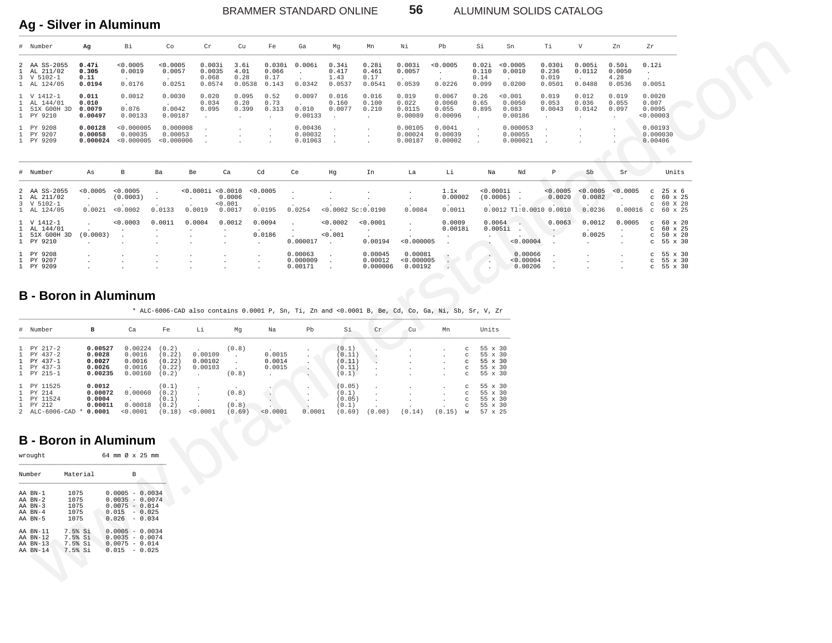BRAMMER STANDARD ONLINE **56** ALUMINUM SOLIDS CATALOG

## **Ag - Silver in Aluminum** \_\_\_\_\_\_\_\_\_\_\_\_\_\_\_\_\_\_\_\_\_\_\_\_\_\_\_\_\_\_\_\_\_\_\_\_\_\_\_\_\_\_\_\_\_\_\_\_\_\_\_\_\_\_\_\_\_\_\_\_\_\_\_\_\_\_\_\_\_\_\_\_\_\_\_\_\_\_\_\_\_\_\_\_\_\_\_\_\_\_\_\_\_\_\_\_\_\_\_\_\_\_\_\_\_\_\_\_\_\_\_\_\_\_\_\_\_\_\_\_\_\_\_\_\_\_\_\_\_\_\_\_\_\_\_\_\_\_\_\_\_\_\_\_\_\_\_\_\_\_\_\_\_\_\_\_\_\_\_\_\_\_\_\_\_\_\_\_\_\_\_\_\_\_

|                              | # Number                                                                                                                 | Αg                                                                                                                                 | Вi                                                                                                                                                                                                        | Co                                           | Cr                                        | Cu                                           | Fe                                   | Ga                                       | Mg                                               | Mn                                | Νi                                                                                                       | Pb                                                           | Si                                                  | Sn                                                           | Тi                                  | V                                          | Zn                                      | Zr                                                                                |  |
|------------------------------|--------------------------------------------------------------------------------------------------------------------------|------------------------------------------------------------------------------------------------------------------------------------|-----------------------------------------------------------------------------------------------------------------------------------------------------------------------------------------------------------|----------------------------------------------|-------------------------------------------|----------------------------------------------|--------------------------------------|------------------------------------------|--------------------------------------------------|-----------------------------------|----------------------------------------------------------------------------------------------------------|--------------------------------------------------------------|-----------------------------------------------------|--------------------------------------------------------------|-------------------------------------|--------------------------------------------|-----------------------------------------|-----------------------------------------------------------------------------------|--|
| 1                            | 2 AA SS-2055<br>AL 211/02<br>3 V 5102-1<br>1 AL 124/05                                                                   | 0.47i<br>0.305<br>0.11<br>0.0194                                                                                                   | < 0.0005<br>0.0019<br>0.0176                                                                                                                                                                              | < 0.0005<br>0.0057<br>0.0251                 | 0.003i<br>0.0035<br>0.068<br>0.0574       | 3.6i<br>4.01<br>0.28<br>0.0538               | 0.030i<br>0.066<br>0.17<br>0.143     | 0.006i<br>$\cdot$<br>0.0342              | 0.34i<br>0.417<br>1.43<br>0.0537                 | 0.28i<br>0.461<br>0.17<br>0.0541  | 0.003i<br>0.0057<br>0.0539                                                                               | < 0.0005<br>$\sim$<br>0.0226                                 | 0.02i<br>0.110<br>0.14<br>0.099                     | < 0.0005<br>0.0010<br>0.0200                                 | 0.030i<br>0.236<br>0.019<br>0.0501  | 0.005i<br>0.0112<br>0.0488                 | 0.50i<br>0.0050<br>4.28<br>0.0536       | 0.12i<br>$\sim$<br>0.0051                                                         |  |
| -1.<br>1                     | 1 V 1412-1<br>AL 144/01<br>51X GOOH 3D<br>1 PY 9210                                                                      | 0.011<br>0.010<br>0.0079<br>0.00497                                                                                                | 0.0012<br>$\sim$<br>0.076<br>0.00133                                                                                                                                                                      | 0.0030<br>$\sim$<br>0.0042<br>0.00187        | 0.020<br>0.034<br>0.095<br>$\sim$         | 0.095<br>0.20<br>0.399<br>$\sim$             | 0.52<br>0.73<br>0.313<br>$\sim$      | 0.0097<br>0.010<br>0.00133               | 0.016<br>0.160<br>0.0077<br>$\ddot{\phantom{0}}$ | 0.016<br>0.100<br>0.210<br>$\sim$ | 0.019<br>0.022<br>0.0115<br>0.00089                                                                      | 0.0067<br>0.0060<br>0.055<br>0.00096                         | 0.26<br>0.65<br>0.895<br>$\cdot$                    | 0.001<br>0.0050<br>0.083<br>0.00186                          | 0.019<br>0.053<br>0.0043<br>$\cdot$ | 0.012<br>0.036<br>0.0142<br>$\sim$         | 0.019<br>0.055<br>0.097<br>$\cdot$      | 0.0020<br>0.007<br>0.0095<br>< 0.00003                                            |  |
| 1                            | PY 9208<br>1 PY 9207<br>1 PY 9209                                                                                        | 0.00128<br>0.00058                                                                                                                 | < 0.000005<br>0.00035<br>$0.000024$ <0.000005                                                                                                                                                             | 0.000008<br>0.00053<br>< 0.000006            | $\cdot$<br>$\ddot{\phantom{1}}$           | $\cdot$<br>$\cdot$                           | $\cdot$                              | 0.00436<br>0.00032<br>0.01063            | $\cdot$<br>$\ddot{\phantom{a}}$                  | $\cdot$<br>$\cdot$<br>$\cdot$     | 0.00105<br>0.00024<br>0.00187                                                                            | 0.0041<br>0.00039<br>0.00002                                 | $\cdot$<br>$\blacksquare$<br>$\cdot$                | 0.000053<br>0.00055<br>0.000021                              | $\cdot$<br>$\cdot$<br>$\cdot$       | $\cdot$<br>$\cdot$                         |                                         | 0.00193<br>0.000030<br>0.00406                                                    |  |
|                              | # Number                                                                                                                 | As                                                                                                                                 | В                                                                                                                                                                                                         | Ba                                           | Be                                        | Ca                                           | Cd                                   | Ce                                       | Hg                                               | In                                | La                                                                                                       | Li                                                           | Na                                                  | Nd                                                           | P                                   | Sb                                         | Sr                                      | Units                                                                             |  |
| 1                            | 2 AA SS-2055<br>AL 211/02<br>3 V 5102-1<br>1 AL 124/05                                                                   | < 0.0005<br>$\sim$<br>0.0021                                                                                                       | < 0.0005<br>(0.0003)<br>< 0.0002                                                                                                                                                                          | $\cdot$<br>$\sim$<br>0.0133                  | < 0.0001i < 0.0010<br>$\cdot$<br>0.0019   | 0.0006<br>0.001<br>0.0017                    | < 0.0005<br>$\bullet$<br>0.0195      | 0.0254                                   | $\cdot$<br>$<0.0002$ Sc: $0.0190$                |                                   | $\cdot$<br>0.0084                                                                                        | 1.1x<br>0.00002<br>0.0011                                    | $0.0001i$<br>(0.0006)                               | $\ddot{\phantom{1}}$<br>$\cdot$<br>$0.0012$ Tl:0.0010 0.0010 | < 0.0005<br>0.0020                  | < 0.0005<br>0.0082<br>0.0236               | < 0.0005<br>$\cdot$<br>0.00016          | $\mathbf{C}$<br>25 x 6<br>60 x 25<br>$\mathbf{C}$<br>$C$ 60 X 20<br>$c$ 60 $x$ 25 |  |
| -1.<br>1                     | 1 V 1412-1<br>AL 144/01<br>51X GOOH 3D<br>1 PY 9210                                                                      | $\cdot$<br>(0.0003)<br>$\sim$                                                                                                      | < 0.0003<br>$\cdot$<br>$\cdot$<br>$\cdot$                                                                                                                                                                 | 0.0011<br>$\blacksquare$<br>$\cdot$          | 0.0004<br>$\cdot$<br>$\ddot{\phantom{a}}$ | 0.0012<br>$\cdot$<br>$\cdot$<br>$\cdot$      | 0.0094<br>0.0186<br>$\cdot$          | $\sim$<br>0.000017                       | < 0.0002<br>0.001<br>$\blacksquare$ .            | < 0.0001<br>$\sim$<br>0.00194     | $\cdot$<br>$\sim$<br>< 0.000005                                                                          | 0.0009<br>0.0018i<br>$\cdot$                                 | 0.0064                                              | $\rightarrow$<br>0.0051i<br>$\sim$<br>< 0.00004              | 0.0063<br>$\sim$ $\sim$<br>$\cdot$  | 0.0012<br>$\mathbf{r}$<br>0.0025<br>$\sim$ | 0.0005<br>$\cdot$<br>$\cdot$<br>$\cdot$ | $c$ 60 x 20<br>60 x 25<br>$\mathbf{C}$<br>$c$ 50 $\times$ 20<br>$c$ 55 $x$ 30     |  |
| $\mathbf{1}$                 | 1 PY 9208<br>PY 9207<br>1 PY 9209                                                                                        | $\ddot{\phantom{1}}$                                                                                                               | $\cdot$                                                                                                                                                                                                   | $\cdot$<br>$\blacksquare$                    | $\cdot$<br>$\cdot$                        | $\,$ .<br>$\blacksquare$                     | $\bullet$<br>$\bullet$<br>$\bullet$  | 0.00063<br>0.000009<br>0.00171           | $\cdot$<br>$\sim$<br>$\cdot$                     | 0.00045<br>0.00012<br>0.000006    | 0.00081<br>< 0.000005<br>0.00192                                                                         | $\cdot$<br>$\sim$<br>$\cdot$                                 | - 4<br>$\cdot$                                      | 0.00066<br>< 0.00004<br>0.00206                              | $\cdot$<br>$\cdot$                  | $\ddot{\phantom{1}}$<br>$\cdot$<br>$\cdot$ | $\cdot$<br>$\cdot$<br>$\cdot$           | $c$ 55 $x$ 30<br>55 x 30<br>$\mathbf{C}$<br>$c$ 55 $x$ 30                         |  |
|                              | # Number                                                                                                                 | <b>B</b> - Boron in Aluminum<br>в                                                                                                  | Ca                                                                                                                                                                                                        | Fe                                           | Li                                        | Mg                                           | Na                                   | Pb                                       | Si                                               | Cr                                | * ALC-6006-CAD also contains 0.0001 P, Sn, Ti, Zn and <0.0001 B, Be, Cd, Co, Ga, Ni, Sb, Sr, V, Zr<br>Cu | Mn                                                           | Units                                               |                                                              |                                     |                                            |                                         |                                                                                   |  |
| 1<br>1<br>$\mathbf{1}$       | PY 217-2<br>PY 437-2<br>PY 437-1<br>1 PY 437-3<br>1 PY 215-1                                                             | 0.00527<br>0.0028<br>0.0027<br>0.0026<br>0.00235                                                                                   | 0.00224<br>0.0016<br>0.0016<br>0.0016<br>0.00160                                                                                                                                                          | (0.2)<br>(0.22)<br>(0.22)<br>(0.22)<br>(0.2) | 0.00109<br>0.00102<br>0.00103<br>$\sim$   | (0.8)<br>$\sim$<br>$\sim$<br>$\sim$<br>(0.8) | 0.0015<br>0.0014<br>0.0015<br>$\sim$ | $\cdot$<br>$\cdot$<br>$\cdot$<br>$\cdot$ | (0.1)<br>(0.11)<br>(0.11)<br>(0.11)<br>(0.1)     |                                   |                                                                                                          | $_{\rm C}$<br>$_{\rm C}$<br>$_{\rm c}$<br>$_{\rm C}$<br>C    | 55 x 30<br>55 x 30<br>55 x 30<br>55 x 30<br>55 x 30 |                                                              |                                     |                                            |                                         |                                                                                   |  |
| $\mathbf{1}$<br>$\mathbf{1}$ | 1 PY 11525<br>PY 214<br>PY 11524<br>1 PY 212                                                                             | 0.0012<br>0.00072<br>0.0004<br>0.00011<br>2 ALC-6006-CAD * 0.0001                                                                  | 0.00060<br>0.00018<br>< 0.0001                                                                                                                                                                            | (0.1)<br>(0.2)<br>(0.1)<br>(0.2)<br>(0.18)   | $\cdot$<br>$\cdot$<br>< 0.0001            | (0.8)<br>$\overline{a}$<br>(0.8)<br>(0.69)   | $\sim$<br>$\sim$<br>< 0.0001         | $\cdot$<br>$\cdot$<br>0.0001             | (0.05)<br>(0.1)<br>(0.05)<br>(0.1)<br>(0.69)     | $\cdot$<br>(0.08)                 | (0.14)                                                                                                   | $_{\rm C}$<br>$_{\rm C}$<br>$\mathbb{C}$<br>C<br>(0.15)<br>W | 55 x 30<br>55 x 30<br>55 x 30<br>55 x 30<br>57 x 25 |                                                              |                                     |                                            |                                         |                                                                                   |  |
|                              | wrought<br>Number<br>AA BN-1<br>AA BN-2<br>AA BN-3<br>AA BN-4<br>AA BN-5<br>AA BN-11<br>AA BN-12<br>AA BN-13<br>AA BN-14 | <b>B</b> - Boron in Aluminum<br>Material<br>1075<br>1075<br>1075<br>1075<br>1075<br>7.5% Si<br>7.5% Si<br>7.5% Si<br>7.5% Si<br>s. | 64 mm Ø x 25 mm<br>в<br>$0.0005 - 0.0034$<br>$0.0035 - 0.0074$<br>$0.0075 - 0.014$<br>$0.015 - 0.025$<br>$0.026 - 0.034$<br>$0.0005 - 0.0034$<br>$0.0035 - 0.0074$<br>$0.0075 - 0.014$<br>$0.015 - 0.025$ |                                              |                                           |                                              |                                      |                                          |                                                  |                                   |                                                                                                          |                                                              |                                                     |                                                              |                                     |                                            |                                         |                                                                                   |  |

### **B - Boron in Aluminum**

| # Number       | в       | Ca       | Fe     | Li       | Mq     | Na           | Pb     | Si     | Cr     | Cu     | Mn     |               | Units          |
|----------------|---------|----------|--------|----------|--------|--------------|--------|--------|--------|--------|--------|---------------|----------------|
| 1 PY 217-2     | 0.00527 | 0.00224  | (0.2)  |          | (0.8)  |              |        | (0.1)  |        |        |        | C             | 55 x 30        |
| $1$ PY 437-2   | 0.0028  | 0.0016   | (0.22) | 0.00109  |        | 0.0015       |        | (0.11) |        |        |        | $\mathcal{C}$ | $55 \times 30$ |
| 1 PY 437-1     | 0.0027  | 0.0016   | (0.22) | 0.00102  |        | 0.0014       |        | (0.11) |        |        |        | C             | 55 x 30        |
| $1$ PY 437-3   | 0.0026  | 0.0016   | (0.22) | 0.00103  |        | 0.0015       |        | (0.11) |        |        |        | C             | 55 x 30        |
| 1 PY 215-1     | 0.00235 | 0.00160  | (0.2)  |          | (0.8)  | $\mathbf{r}$ |        | (0.1)  |        |        |        | $\circ$       | 55 x 30        |
| 1 PY 11525     | 0.0012  |          | (0.1)  |          |        |              |        | (0.05) |        |        |        | c             | 55 x 30        |
| 1 PY 214       | 0.00072 | 0.00060  | (0.2)  |          | (0.8)  |              |        | (0,1)  |        |        |        | $\mathcal{C}$ | 55 x 30        |
| 1 PY 11524     | 0.0004  |          | (0.1)  |          |        |              |        | (0.05) |        |        |        | c             | 55 x 30        |
| 1 PY 212       | 0.00011 | 0.00018  | (0.2)  |          | (0.8)  |              |        | (0.1)  |        |        |        | C             | 55 x 30        |
| 2 ALC-6006-CAD | 0.0001  | < 0.0001 | (0.18) | < 0.0001 | (0.69) | < 0.0001     | 0.0001 | (0.69) | (0.08) | (0.14) | (0.15) | W             | 57 x 25        |

# **B - Boron in Aluminum**

| wrought                                             |                                          | 64 mm Ø x 25 mm                                                                                  |          |  |
|-----------------------------------------------------|------------------------------------------|--------------------------------------------------------------------------------------------------|----------|--|
| Number                                              | Material                                 |                                                                                                  | <b>B</b> |  |
| AA RN-1<br>AA RN-2<br>AA BN-3<br>AA RN-4<br>AA RN-5 | 1075<br>1075<br>1075<br>1075<br>1075     | $0.0005 - 0.0034$<br>$0.0035 - 0.0074$<br>$0.0075 - 0.014$<br>$0.015 - 0.025$<br>$0.026 - 0.034$ |          |  |
| AA RN-11<br>AA RN-12<br>AA BN-13<br>AA RN-14        | 7.5% Si<br>7.5% Si<br>7.5% Si<br>7.5% Si | $0.0005 - 0.0034$<br>$0.0035 - 0.0074$<br>$0.0075 - 0.014$<br>$0.015 - 0.025$                    |          |  |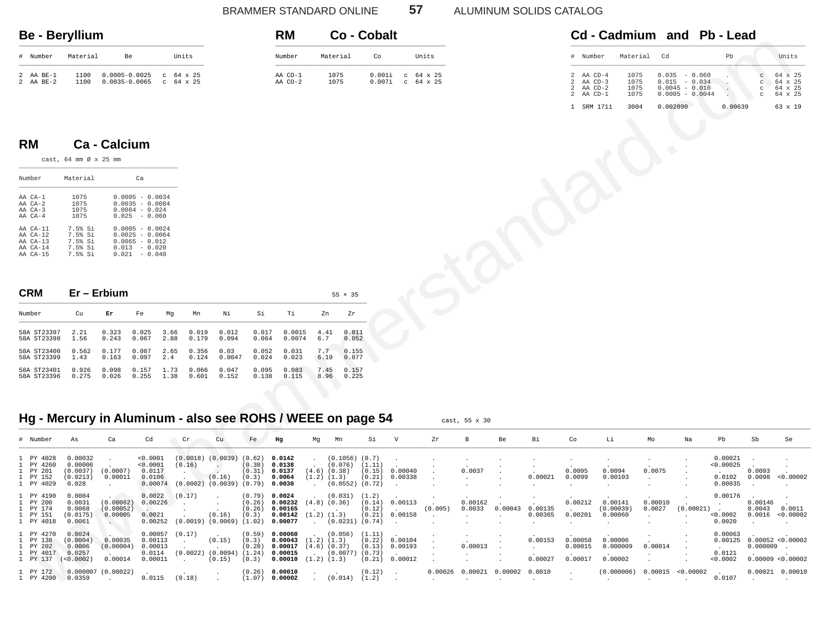#### BRAMMER STANDARD ONLINE 57 ALUMINUM SOLIDS CATALOG

#### **Be - Beryllium** \_\_\_\_\_\_\_\_\_\_\_\_\_\_\_\_\_\_\_\_\_\_\_\_\_\_\_\_\_\_\_\_\_\_\_\_\_\_\_\_\_\_\_\_\_\_\_\_\_

| $_{\rm \#}$    | Number  | Material | Be                |        | Units              |
|----------------|---------|----------|-------------------|--------|--------------------|
| 2              | AA BE-1 | 1100     | $0.0005 - 0.0025$ | $\sim$ | $C = 64 \times 25$ |
| $\overline{2}$ | AA BE-2 | 1100     | $0.0035 - 0.0065$ |        | $64 \times 25$     |

#### **RM Co - Cobalt** \_\_\_\_\_\_\_\_\_\_\_\_\_\_\_\_\_\_\_\_\_\_\_\_\_\_\_\_\_\_\_\_\_\_\_\_\_\_\_\_\_\_\_\_\_ Number Material Co Units \_\_\_\_\_\_\_\_\_\_\_\_\_\_\_\_\_\_\_\_\_\_\_\_\_\_\_\_\_\_\_\_\_\_\_\_\_\_\_\_\_\_\_\_\_ AA CO-1 1075 0.001i c 64 x 25 AA CO-2 1075 0.007i c 64 x 25

|  |                          | Cd - Cadmium and Pb - Lead |       |
|--|--------------------------|----------------------------|-------|
|  | # Number – Material – Cd | Þh                         | Units |

|  | number                                         | material Co                  |                                                                             | PD.     | UNIUS                                                                                                                        |
|--|------------------------------------------------|------------------------------|-----------------------------------------------------------------------------|---------|------------------------------------------------------------------------------------------------------------------------------|
|  | AA CD-4<br>AA CD-3<br>AA CD-2<br>$2$ AA $CD-1$ | 1075<br>1075<br>1075<br>1075 | $0.035 - 0.060$<br>$0.015 - 0.034$<br>$0.0045 - 0.010$<br>$0.0005 - 0.0044$ |         | $64 \times 25$<br>$\mathcal{C}$<br>$64 \times 25$<br>C<br>$64 \times 25$<br>$\mathcal{C}$<br>$64 \times 25$<br>$\mathcal{C}$ |
|  | SRM 1711                                       | 3004                         | 0.002090                                                                    | 0.00639 | 63 x 19                                                                                                                      |

### **RM Ca - Calcium**

| Number       | Material | Cа                |  |  |  |  |  |  |
|--------------|----------|-------------------|--|--|--|--|--|--|
| AA CA-1      | 1075     | $0.0005 - 0.0034$ |  |  |  |  |  |  |
| $AA$ $CA-2$  | 1075     | $0.0035 - 0.0084$ |  |  |  |  |  |  |
| $AA$ $CA-3$  | 1075     | $0.0084 - 0.024$  |  |  |  |  |  |  |
| $AA$ $CA-4$  | 1075     | $0.025 - 0.060$   |  |  |  |  |  |  |
| AA CA-11     | 7.5% Si  | $0.0005 - 0.0024$ |  |  |  |  |  |  |
| $AA$ $CA-12$ | 7.5% Si  | $0.0025 - 0.0064$ |  |  |  |  |  |  |
| $AA$ $CA-13$ | 7.5% Si  | $0.0065 - 0.012$  |  |  |  |  |  |  |
| $AA$ $CA-14$ | 7.5% Si  | $0.013 - 0.020$   |  |  |  |  |  |  |
| $AA$ $CA-15$ | 7.5% Si  | $0.021 - 0.040$   |  |  |  |  |  |  |

| CRM | <b>ium</b><br>-- | - - |
|-----|------------------|-----|
|     |                  |     |

| Number      | Cu    | Er    | Fe    | Ma   | Mn    | Νi     | Si    | тi     | 7n   | 7r    |
|-------------|-------|-------|-------|------|-------|--------|-------|--------|------|-------|
| 58A ST23397 | 2.21  | 0.323 | 0.025 | 3.66 | 0.019 | 0.012  | 0.017 | 0.0015 | 4.41 | 0.011 |
| 58A ST23398 | 1.56  | 0.243 | 0.067 | 2.88 | 0.179 | 0.094  | 0.064 | 0.0074 | 6.7  | 0.052 |
| 58A ST23400 | 0.562 | 0.177 | 0.087 | 2.65 | 0.356 | 0.03   | 0.052 | 0.031  | 7.7  | 0.155 |
| 58A ST23399 | 1.43  | 0.163 | 0.097 | 2.4  | 0.124 | 0.0047 | 0.024 | 0.023  | 6.19 | 0.077 |
| 58A ST23401 | 0.926 | 0.098 | 0.157 | 1.73 | 0.066 | 0.047  | 0.095 | 0.083  | 7.45 | 0.157 |
| 58A ST23396 | 0.275 | 0.026 | 0.255 | 1.38 | 0.601 | 0.152  | 0.138 | 0.115  | 8.96 | 0.225 |

## Hg - Mercury in Aluminum - also see ROHS / WEEE on page 54 cast, 55 x 30

|                                                                                    | <u>su jiilan</u>                                    |                                                  |                                                                                                  |              |                                                                            |                   |                                         |                                                     |                                                         |                                                                 |                                      |                                        |                                |                                          |         |                               |                                                                                         |                                            |                                |                                                                             |                                           |                                                        |                                                     |
|------------------------------------------------------------------------------------|-----------------------------------------------------|--------------------------------------------------|--------------------------------------------------------------------------------------------------|--------------|----------------------------------------------------------------------------|-------------------|-----------------------------------------|-----------------------------------------------------|---------------------------------------------------------|-----------------------------------------------------------------|--------------------------------------|----------------------------------------|--------------------------------|------------------------------------------|---------|-------------------------------|-----------------------------------------------------------------------------------------|--------------------------------------------|--------------------------------|-----------------------------------------------------------------------------|-------------------------------------------|--------------------------------------------------------|-----------------------------------------------------|
| # Number                                                                           | Material                                            | Be                                               |                                                                                                  |              | Units                                                                      |                   |                                         | Number                                              |                                                         | Material                                                        | Co                                   |                                        | Units                          |                                          |         |                               | # Number                                                                                | Material                                   | Cd                             |                                                                             | Pb                                        |                                                        | Units                                               |
| AA BE-1<br>AA BE-2                                                                 | 1100<br>1100                                        | $0.0005 - 0.0025$ c 64 x 25<br>$0.0035 - 0.0065$ |                                                                                                  |              | $c$ 64 x 25                                                                |                   |                                         | AA CO-1<br>AA CO-2                                  |                                                         | 1075<br>1075                                                    | 0.001i<br>$0.007$ i                  |                                        | $c$ 64 $x$ 25<br>$c$ 64 $x$ 25 |                                          |         |                               | 2<br>AA CD-4<br>AA CD-3<br>$\mathcal{L}$<br>AA CD-2<br>2<br>$2$ AA $CD-1$<br>1 SRM 1711 | 1075<br>1075<br>1075<br>1075<br>3004       | 0.002090                       | $0.035 - 0.060$<br>$0.015 - 0.034$<br>$0.0045 - 0.010$<br>$0.0005 - 0.0044$ | $\sim$<br>0.00639                         | $_{\rm C}$<br>$\mathbf{C}$<br>$\rm ^{c}$<br>$_{\rm C}$ | 64 x 25<br>64 x 25<br>64 x 25<br>64 x 25<br>63 x 19 |
| <b>RM</b>                                                                          | cast, 64 mm Ø x 25 mm                               | Ca - Calcium                                     |                                                                                                  |              |                                                                            |                   |                                         |                                                     |                                                         |                                                                 |                                      |                                        |                                |                                          |         |                               |                                                                                         |                                            |                                |                                                                             |                                           |                                                        |                                                     |
| Number                                                                             | Material                                            |                                                  | Ca                                                                                               |              |                                                                            |                   |                                         |                                                     |                                                         |                                                                 |                                      |                                        |                                |                                          |         |                               |                                                                                         |                                            |                                |                                                                             |                                           |                                                        |                                                     |
| AA CA-1<br>AA CA-2<br>AA CA-3<br>AA CA-4                                           | 1075<br>1075<br>1075<br>1075                        |                                                  | $0.0005 - 0.0034$<br>$0.0035 - 0.0084$<br>$0.0084 - 0.024$<br>$0.025 - 0.060$                    |              |                                                                            |                   |                                         |                                                     |                                                         |                                                                 |                                      |                                        |                                |                                          |         |                               |                                                                                         |                                            |                                |                                                                             |                                           |                                                        |                                                     |
| AA CA-11<br>AA CA-12<br>AA CA-13<br>AA CA-14<br>AA CA-15                           | 7.5% Si<br>7.5% Si<br>7.5% Si<br>7.5% Si<br>7.5% Si |                                                  | $0.0005 - 0.0024$<br>$0.0025 - 0.0064$<br>$0.0065 - 0.012$<br>$0.013 - 0.020$<br>$0.021 - 0.040$ |              |                                                                            |                   |                                         |                                                     |                                                         |                                                                 |                                      |                                        |                                |                                          |         |                               |                                                                                         |                                            |                                |                                                                             |                                           |                                                        |                                                     |
| <b>CRM</b>                                                                         | Er - Erbium                                         |                                                  |                                                                                                  |              |                                                                            |                   |                                         |                                                     |                                                         | $55 \times 35$                                                  |                                      |                                        |                                |                                          |         |                               |                                                                                         |                                            |                                |                                                                             |                                           |                                                        |                                                     |
| Number                                                                             | Cu                                                  | Er                                               | Fe                                                                                               | Mg           | Mn                                                                         | Ni                | Si                                      | Тi                                                  | Zn                                                      | Zr                                                              |                                      |                                        |                                |                                          |         |                               |                                                                                         |                                            |                                |                                                                             |                                           |                                                        |                                                     |
| 58A ST23397<br>58A ST23398                                                         | 2.21<br>1.56                                        | 0.323<br>0.243                                   | 0.025<br>0.067                                                                                   | 3.66<br>2.88 | 0.019<br>0.179                                                             | 0.012<br>0.094    | 0.017<br>0.064                          | 0.0015<br>0.0074                                    | 4.41<br>6.7                                             | 0.011<br>0.052                                                  |                                      |                                        |                                |                                          |         |                               |                                                                                         |                                            |                                |                                                                             |                                           |                                                        |                                                     |
| 58A ST23400<br>58A ST23399                                                         | 0.562<br>1.43                                       | 0.177<br>0.163                                   | 0.087<br>0.097                                                                                   | 2.65<br>2.4  | 0.356<br>0.124                                                             | 0.03<br>0.0047    | 0.052<br>0.024                          | 0.031<br>0.023                                      | 7.7<br>6.19                                             | 0.155<br>0.077                                                  |                                      |                                        |                                |                                          |         |                               |                                                                                         |                                            |                                |                                                                             |                                           |                                                        |                                                     |
| 58A ST23401<br>58A ST23396                                                         | 0.926<br>0.275                                      | 0.098<br>0.026                                   | 0.157<br>0.255                                                                                   | 1.73<br>1.38 | 0.066<br>0.601                                                             | 0.047<br>0.152    | 0.095<br>0.138                          | 0.083<br>0.115                                      | 7.45<br>8.96                                            | 0.157<br>0.225                                                  |                                      |                                        |                                |                                          |         |                               |                                                                                         |                                            |                                |                                                                             |                                           |                                                        |                                                     |
| Hg - Mercury in Aluminum - also see ROHS / WEEE on page 54                         |                                                     |                                                  |                                                                                                  |              |                                                                            |                   |                                         |                                                     |                                                         |                                                                 |                                      |                                        |                                | cast, 55 x 30                            |         |                               |                                                                                         |                                            |                                |                                                                             |                                           |                                                        |                                                     |
| # Number                                                                           | As                                                  | Ca                                               | Cd                                                                                               |              | $\operatorname{\sf Cr}$                                                    | cu                | Fe                                      | Hg                                                  | Mg                                                      | Mn                                                              | Si                                   | $\mathbf v$                            | ${\tt Zr}$                     | $\, {\bf B}$                             | Be      | Вi                            | Co                                                                                      | Li                                         | $_{\mathrm{Mo}}$               | Na                                                                          | $_{\rm Pb}$                               | Sb                                                     | Se                                                  |
| PY 4028<br>PY 4260<br>PY 201<br>PY 152<br>1 PY 4029                                | 0.00032<br>0.00006<br>(0.0037)<br>(0.0213)<br>0.028 | (0.0007)<br>0.00011<br>$\cdot$                   | < 0.0001<br>< 0.0001<br>0.0117<br>0.0106<br>0.00074                                              |              | $(0.0018)$ $(0.0039)$ $(0.62)$<br>(0.16)<br>$(0.0002)$ $(0.0039)$ $(0.79)$ | $\sim$<br>(0.16)  | (0.38)<br>(0.31)<br>(0.3)               | 0.0142<br>0.0138<br>0.0137<br>0.0064<br>0.0030      | $\sim$<br>$(4.6)$ $(0.38)$<br>$(1.2)$ $(1.3)$<br>$\sim$ | $(0.1056)$ $(0.7)$<br>$(0.076)$ $(1.11)$<br>$(0.0552)$ $(0.72)$ | (0.15)<br>(0.21)                     | 0.00040<br>0.00338<br>$\mathbf{r}$     |                                | 0.0037<br>$\ddot{\phantom{a}}$           |         | 0.00021                       | 0.0095<br>0.0099<br>$\cdot$                                                             | 0.0094<br>0.00103<br>$\cdot$               | 0.0075<br>$\ddot{\phantom{a}}$ |                                                                             | 0.00021<br>< 0.00025<br>0.0102<br>0.00035 | 0.0093<br>0.0098<br>$\ddot{\phantom{a}}$               | $\cdot$<br>< 0.00002<br>$\ddot{\phantom{a}}$        |
| $\mathbf{1}$<br>PY 4190<br>PY 200<br>$\mathbf{1}$<br>PY 174<br>PY 151<br>1 PY 4018 | 0.0084<br>0.0031<br>0.0068<br>(0.0175)<br>0.0061    | (0.00062)<br>(0.00052)<br>0.00005<br>$\sim$      | 0.0022<br>0.00226<br>0.0021<br>0.00252                                                           |              | (0.17)<br>$\ddot{\phantom{0}}$<br>$(0.0019)$ $(0.0069)$ $(1.02)$           | $\cdot$<br>(0.16) | $(0.79)$<br>$(0.26)$<br>(0.26)<br>(0.3) | 0.0024<br>0.00232<br>0.00165<br>0.00142<br>0.00077  | $(4.8)$ $(0.36)$<br>$(1.2)$ $(1.3)$                     | (0.031)<br>$(0.0231)$ $(0.74)$                                  | (1.2)<br>(0.14)<br>(0.12)<br>(0.21)  | 0.00113<br>$\sim$<br>0.00158<br>$\sim$ | (0.005)                        | 0.00162<br>0.0033                        | 0.00043 | 0.00135<br>0.00365<br>$\cdot$ | 0.00212<br>0.00201<br>$\cdot$                                                           | 0.00141<br>(0.00039)<br>0.00060<br>$\cdot$ | 0.00010<br>0.0027              | (0.00021)                                                                   | 0.00176<br>< 0.0002<br>0.0020             | 0.00146                                                | $0.0043$ $0.0011$<br>0.0016 < 0.00002               |
| PY 4270<br>-1.<br>PY 138<br>PY 202<br>1 PY 4017<br>1 PY 137 (<0.0002)              | 0.0024<br>(0.0004)<br>0.0006<br>0.0257              | 0.00035<br>(0.00004)<br>0.00014                  | 0.00057<br>0.00113<br>0.00013<br>0.0114<br>0.00011                                               |              | (0.17)<br>$\sim$<br>$(0.0022)$ $(0.0094)$ $(1.24)$<br>$\cdot$              | (0.15)<br>(0.15)  | (0.59)<br>(0.3)<br>(0.28)<br>(0.3)      | 0.00060<br>0.00043<br>0.00017<br>0.00015<br>0.00010 | $(1.2)$ $(1.3)$<br>$(4.6)$ $(0.37)$<br>$(1.2)$ $(1.3)$  | (0.056)<br>$(0.0077)$ $(0.73)$                                  | (1.11)<br>(0.22)<br>(0.13)<br>(0.21) | 0.00104<br>0.00193<br>0.00012          |                                | 0.00013                                  |         | 0.00153<br>0.00027            | 0.00058<br>0.00015<br>0.00017                                                           | 0.00006<br>0.000009<br>0.00002             | 0.00014                        |                                                                             | 0.00063<br>0.00125<br>0.0121<br>< 0.0002  | 0.000009                                               | 0.00052 < 0.00002<br>0.00009 < 0.00002              |
| 1 PY 172<br>1 PY 4200                                                              | 0.0359                                              | $0.000007$ (0.00022)                             | 0.0115                                                                                           |              | (0.18)                                                                     |                   | (0.26)<br>(1.07)                        | 0.00010<br>0.00002                                  |                                                         | $(0.014)$ $(1.2)$                                               | (0.12)                               | $\,$ .                                 | $\cdot$                        | $0.00026$ $0.00021$ $0.00002$<br>$\cdot$ | $\cdot$ | 0.0010<br>$\cdot$             | $\cdot$                                                                                 | (0.000006)<br>$\cdot$                      | 0.00015                        | < 0.00002                                                                   | 0.0107                                    | $\cdot$                                                | $0.00021$ $0.00010$                                 |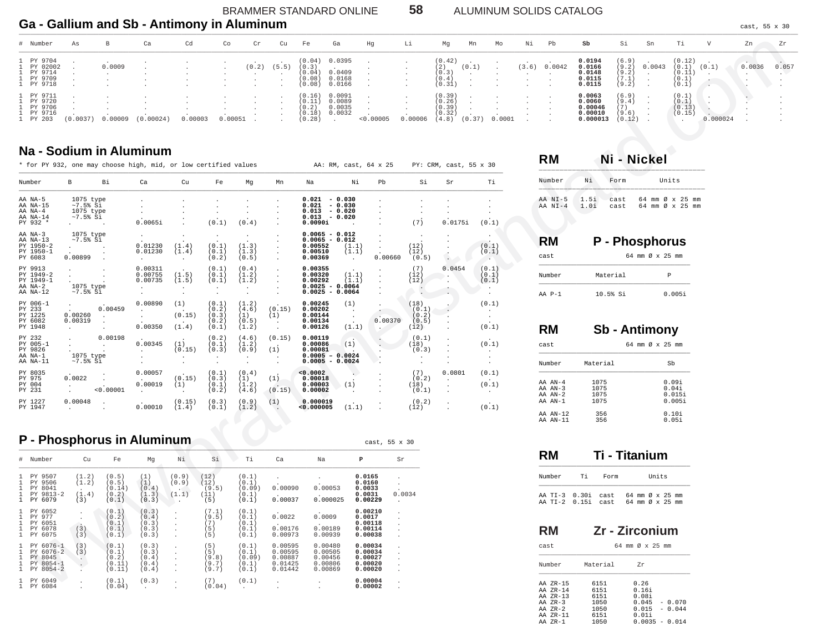BRAMMER STANDARD ONLINE Ga - Gallium and Sb - Antimony in Aluminum

58 ALUMINUM SOLIDS CATALOG

cast, 55 x 30

| # Number                                                   | As      | В      | Ca        | Cd      | Co      | Cr    | Cu    | Fe                                            | Ga                                                                                        | Ηg        | Li      | Mg                                            | Mn     | Mo     | Νi    | Pb     | sb                                                 | Si                                        | Sn     | Ti.                                         | V       | Zn     | Zr    |
|------------------------------------------------------------|---------|--------|-----------|---------|---------|-------|-------|-----------------------------------------------|-------------------------------------------------------------------------------------------|-----------|---------|-----------------------------------------------|--------|--------|-------|--------|----------------------------------------------------|-------------------------------------------|--------|---------------------------------------------|---------|--------|-------|
| PY 9704<br>PY 02002<br>1 PY 9714<br>1 PY 9709<br>1 PY 9718 |         | 0.0009 |           |         |         | (0.2) | (5.5) | (0.3)<br>(0.04)<br>(0.08)<br>(0.08)           | (0.04) 0.0395<br><b>Contract Contract Contract Contract</b><br>0.0409<br>0.0168<br>0.0166 |           |         | (0.42)<br>(2)<br>(0.3)<br>(0.4)<br>(0.31)     | (0.1)  |        | (3.6) | 0.0042 | 0.0194<br>0.0166<br>0.0148<br>0.0115<br>0.0115     | (6.9)<br>(9.2)<br>(9.2)<br>(7.1)<br>(9.2) | 0.0043 | (0.12)<br>(0.1)<br>(0.11)<br>(0.1)<br>(0.1) | (0.1)   | 0.0036 | 0.057 |
| PY 9711<br>PY 9720<br>PY 9706<br>1 PY 9716<br>1 PY 203     | 0.0037) |        | (0.00024) | 0.00003 | 0.00051 |       |       | (0.16)<br>(0.11)<br>(0.2)<br>(0.18)<br>(0.28) | 0.0091<br>0.0089<br>0.0035<br>0.0032                                                      | < 0.00005 | 0.00006 | (0.39)<br>(0.26)<br>(0.39)<br>(0.32)<br>(4.8) | (0.37) | 0.0001 |       |        | 0.0063<br>0.0060<br>0.00046<br>0.00010<br>0.000013 | (6.9)<br>(9.4)<br>[7]<br>(9.6)<br>(0.12)  |        | (0.1)<br>(0.1)<br>(0.13)<br>(0.15)          | ,000024 |        |       |

cast, 55 x 30

### Na - Sodium in Aluminum

| Na - Sodium in Aluminum<br>* for PY 932, one may choose high, mid, or low certified values<br>AA: RM, cast, 64 x 25<br>PY: CRM, cast, 55 x 30 |                                                                                    |           |                                                                  |                                                                |                                               |                                               |                                                    |                                                                         |                                      |         |                                              |         |                                                  | <b>RM</b>                        |
|-----------------------------------------------------------------------------------------------------------------------------------------------|------------------------------------------------------------------------------------|-----------|------------------------------------------------------------------|----------------------------------------------------------------|-----------------------------------------------|-----------------------------------------------|----------------------------------------------------|-------------------------------------------------------------------------|--------------------------------------|---------|----------------------------------------------|---------|--------------------------------------------------|----------------------------------|
| Number                                                                                                                                        | Вi<br>в                                                                            |           | Ca                                                               | Cu                                                             | Fe                                            | Mq                                            | Mn                                                 | Na                                                                      | Νi                                   | Pb      | Si                                           | Sr      | Ti                                               | Number                           |
| AA NA-5<br>AA NA-15<br>AA NA-4<br>AA NA-14<br>PY 932 *                                                                                        | 1075 type<br>$~1.5$ % Si<br>1075 type<br>$~1.5$ $~5$<br>$\sim$ $\sim$              |           | 0.0065i                                                          |                                                                | $\cdot$<br>(0.1)                              | (0.4)                                         |                                                    | 0.021<br>0.021<br>0.013<br>$0.013 - 0.020$<br>0.0090i                   | $-0.030$<br>$-0.030$<br>$-0.020$     |         | (7)                                          | 0.0175i | (0.1)                                            | AA NI-5<br>1<br>$AA$ $NI-4$<br>1 |
| AA NA-3<br>AA NA-13<br>PY 1950-2<br>PY 1950-1<br>PY 6083                                                                                      | 1075 type<br>$~1.5$ $~5$<br>0.00899                                                |           | 0.01230<br>0.01230<br>$\cdot$                                    | $\ddot{\phantom{a}}$<br>(1.4)<br>(1.4)<br>$\ddot{\phantom{0}}$ | $\cdot$<br>(0.1)<br>(0.1)<br>(0.2)            | $\cdot$<br>(1.3)<br>(1.3)<br>(0.5)            |                                                    | $0.0065 - 0.012$<br>$0.0065 - 0.012$<br>0.00552<br>0.00510<br>0.00369   | (1.1)<br>(1.1)<br>$\sim$             | 0.00660 | (12)<br>(12)<br>(0.5)                        |         | $\cdot$<br>(0.1)<br>(0.1)<br>$\sim$              | <b>RM</b><br>cast                |
| PY 9913<br>PY 1949-2<br>PY 1949-1<br>AA NA-2<br>AA NA-12                                                                                      | $\cdot$<br>1075 type<br>$~1.5$ $~5$                                                |           | 0.00311<br>0.00755<br>0.00735<br>$\cdot$<br>$\ddot{\phantom{a}}$ | (1.5)<br>(1.5)<br>$\ddot{\phantom{0}}$                         | (0.1)<br>(0.1)<br>(0.1)<br>$\cdot$<br>$\cdot$ | (0.4)<br>(1.2)<br>(1.2)<br>$\cdot$<br>$\cdot$ |                                                    | 0.00355<br>0.00320<br>0.00292<br>$0.0025 - 0.0064$<br>$0.0025 - 0.0064$ | (1.1)<br>(1.1)                       |         | (7)<br>(12)<br>(12)                          | 0.0454  | (0.1)<br>(0.1)<br>(0.1)<br>$\bullet$             | Number<br>$AA$ $P-1$             |
| PY 006-1<br>PY 233<br>PY 1225<br>PY 6082<br>PY 1948                                                                                           | $\ddot{\phantom{0}}$<br>0.00260<br>$\cdot$<br>0.00319<br>$\bullet$<br>$\mathbf{r}$ | 0.00459   | 0.00890<br>0.00350                                               | (1)<br>(0.15)<br>(1.4)                                         | (0.1)<br>(0.2)<br>(0.3)<br>(0.2)<br>(0.1)     | (1.2)<br>(4.6)<br>(1)<br>(0.5)<br>(1.2)       | (0.15)<br>(1)<br>$\bullet$<br>$\ddot{\phantom{a}}$ | 0.00245<br>0.00202<br>0.00144<br>0.00134<br>0.00126                     | (1)<br>$\ddot{\phantom{a}}$<br>(1.1) | 0.00370 | (18)<br>(0.1)<br>(0.2)<br>(0.5)<br>(12)      |         | (0,1)<br>$\sim$<br>$\ddot{\phantom{0}}$<br>(0.1) | <b>RM</b>                        |
| PY 232<br>PY 005-1<br>PY 9826<br>AA NA-1<br>AA NA-11                                                                                          | $\cdot$<br>1075 type<br>$~1.5%$ Si                                                 | 0.00198   | 0.00345                                                          | (1)<br>(0.15)                                                  | (0.2)<br>(0.1)<br>(0.3)<br>$\sim$             | (4.6)<br>(1.2)<br>(0.9)<br>$\cdot$<br>$\cdot$ | (0.15)<br>(1)<br>$\cdot$                           | 0.00119<br>0.00086<br>0.00081<br>$0.0005 - 0.0024$<br>$0.0005 - 0.0024$ | $\sim$<br>(1)                        |         | (0.1)<br>(18)<br>(0.3)<br>$\cdot$<br>$\cdot$ |         | (0.1)<br>$\cdot$                                 | cast<br>Number                   |
| PY 8035<br>PY 975<br>PY 004<br>PY 231                                                                                                         | $\cdot$<br>0.0022                                                                  | < 0.00001 | 0.00057<br>0.00019<br>$\cdot$                                    | $\ddot{\phantom{0}}$<br>(0.15)<br>(1)<br>$\ddot{\phantom{a}}$  | (0.1)<br>(0.3)<br>(0.1)<br>(0.2)              | (0.4)<br>(1)<br>(1.2)<br>(4.6)                | (1)<br>(0.15)                                      | < 0.0002<br>0.00018<br>0.00003<br>0.00002                               | (1)                                  |         | (7)<br>(0.2)<br>(18)<br>(0.1)                | 0.0801  | (0.1)<br>(0.1)<br>$\sim$                         | AA AN-4<br>AA AN-3<br>AA AN-2    |
| PY 1227<br>PY 1947                                                                                                                            | 0.00048<br>$\mathbf{r}$                                                            |           | 0.00010                                                          | (0.15)<br>(1.4)                                                | (0.3)<br>(0.1)                                | (0.9)<br>(1.2)                                | (1)<br>G.                                          | 0.000019<br>0.000005                                                    | (1.1)                                |         | (0.2)<br>(12)                                |         | $\sim$<br>(0.1)                                  | AA AN-1                          |

# P - Phosphorus in Aluminum

|                                              | # Number                                                        | Cu                             | Fe                                          | Mq                                        | Νi                                                           | Si                                   | Ti                                         | Ca                                                  | Na                                                  | P                                                   | Sr                                                                           |
|----------------------------------------------|-----------------------------------------------------------------|--------------------------------|---------------------------------------------|-------------------------------------------|--------------------------------------------------------------|--------------------------------------|--------------------------------------------|-----------------------------------------------------|-----------------------------------------------------|-----------------------------------------------------|------------------------------------------------------------------------------|
| $\mathbf{1}$<br>$\mathbf{1}$<br>$\mathbf{1}$ | 1 PY 9507<br>PY 9506<br>PY 8041<br>PY 9813-2<br>1 PY 6079       | (1.2)<br>(1.2)<br>(1.4)<br>(3) | (0.5)<br>(0.5)<br>(0.14)<br>(0.2)<br>(0.1)  | (1)<br>(1)<br>(0.4)<br>(1.3)<br>(0.3)     | (0.9)<br>(0.9)<br>(1.1)                                      | (12)<br>(12)<br>(9.5)<br>(11)<br>(5) | (0.1)<br>(0.1)<br>(0.09)<br>(0.1)<br>(0.1) | 0.00090<br>$\mathbf{r}$<br>0.00037                  | 0.00053<br>0.000025                                 | 0.0165<br>0.0160<br>0.0033<br>0.0031<br>0.00229     | $\cdot$<br>$\cdot$<br>0.0034<br>$\mathbf{r}$                                 |
| $\mathbf{1}$<br>$\mathbf{1}$<br>$\mathbf{1}$ | 1 PY 6052<br>PY 977<br>PY 6051<br>PY 6078<br>1 PY 6075          | $\sim$<br>(3)<br>(3)           | (0.1)<br>(0.2)<br>(0.1)<br>(0.1)<br>(0.1)   | (0.3)<br>(0.4)<br>(0.3)<br>(0.3)<br>(0.3) | $\mathbf{r}$<br>$\mathbf{r}$<br>$\mathbf{r}$<br>$\mathbf{r}$ | (7.1)<br>(9.5)<br>(7)<br>5)<br>5)    | (0.1)<br>(0.1)<br>(0.1)<br>(0.1)<br>(0.1)  | 0.0022<br>$\mathbf{r}$<br>0.00176<br>0.00973        | 0.0009<br>0.00189<br>0.00939                        | 0.00210<br>0.0017<br>0.00118<br>0.00114<br>0.00038  | $\mathbf{r}$<br>$\mathbf{r}$<br>$\mathbf{r}$<br>$\mathbf{r}$<br>$\mathbf{r}$ |
| $\mathbf{1}$<br>$\mathbf{1}$<br>$\mathbf{1}$ | 1 PY 6076-1<br>PY 6076-2<br>PY 8045<br>PY 8054-1<br>1 PY 8054-2 | (3)<br>(3)                     | (0.1)<br>(0.1)<br>(0.2)<br>(0.11)<br>(0.11) | (0.3)<br>(0.3)<br>(0.4)<br>(0.4)<br>(0.4) | $\mathbf{r}$<br>$\mathbf{r}$                                 | 5)<br>5)<br>9.8)<br>(9.7)<br>(9.7)   | (0.1)<br>(0.1)<br>(0.09)<br>(0.1)<br>(0,1) | 0.00595<br>0.00595<br>0.00887<br>0.01425<br>0.01442 | 0.00480<br>0.00505<br>0.00456<br>0.00806<br>0.00869 | 0.00034<br>0.00034<br>0.00027<br>0.00020<br>0.00020 | $\cdot$<br>$\mathbf{r}$<br>$\mathbf{r}$<br>$\mathbf{r}$<br>$\mathbf{r}$      |
|                                              | 1 PY 6049<br>1 PY 6084                                          |                                | (0.1)<br>(0.04)                             | (0.3)<br>$\mathbf{r}$                     | $\mathbf{r}$                                                 | (7)<br>(0.04)                        | (0.1)                                      |                                                     |                                                     | 0.00004<br>0.00002                                  | $\cdot$<br>$\mathbf{r}$                                                      |

| NЯ               |              | Ni - Nickel  |  |                                    |  |       |  |  |  |  |  |
|------------------|--------------|--------------|--|------------------------------------|--|-------|--|--|--|--|--|
| umber            | Ni           | Form         |  |                                    |  | Units |  |  |  |  |  |
| A NI-5<br>A NI-4 | 1.5i<br>1.0i | cast<br>cast |  | 64 mm Ø x 25 mm<br>64 mm Ø x 25 mm |  |       |  |  |  |  |  |

| RM         | P - Phosphorus |                 |
|------------|----------------|-----------------|
| cast       |                | 64 mm Ø x 25 mm |
| Number     | Material       | P               |
| $AA$ $P-1$ | $10.5%$ Si     | 0.0051          |

| RM                                               |                              | Sb - Antimony                      |
|--------------------------------------------------|------------------------------|------------------------------------|
| cast                                             |                              | 64 mm Ø x 25 mm                    |
| Number                                           | Material                     | Sb                                 |
| AA AN-4<br>$AA$ $AN-3$<br>$AA$ $AN-2$<br>AA AN-1 | 1075<br>1075<br>1075<br>1075 | 0.09i<br>0.041<br>0.0151<br>0.0051 |
| AA AN-12<br>AA AN-11                             | 356<br>356                   | 0.101<br>0.051                     |

|                                     |    | Ti - Titanium |                                    |       |  |  |
|-------------------------------------|----|---------------|------------------------------------|-------|--|--|
| Number                              | тi | Form          |                                    | Units |  |  |
| AA TT-3 0.301<br>AA TT-2 0.15i cast |    | cast.         | 64 mm Ø x 25 mm<br>64 mm Ø x 25 mm |       |  |  |

| RM                                                                                    |                                                      | Zr - Zirconium                  |                                                        |
|---------------------------------------------------------------------------------------|------------------------------------------------------|---------------------------------|--------------------------------------------------------|
| cast                                                                                  |                                                      | 64 mm Ø x 25 mm                 |                                                        |
| Number                                                                                | Material                                             | 7r                              |                                                        |
| AA ZR-15<br>AA ZR-14<br>AA ZR-13<br>$AA$ $ZR-3$<br>$AA$ $ZR-2$<br>AA ZR-11<br>AA 7R-1 | 6151<br>6151<br>6151<br>1050<br>1050<br>6151<br>1050 | 0.26<br>0.161<br>0.081<br>0.011 | $0.045 - 0.070$<br>$0.015 - 0.044$<br>$0.0035 - 0.014$ |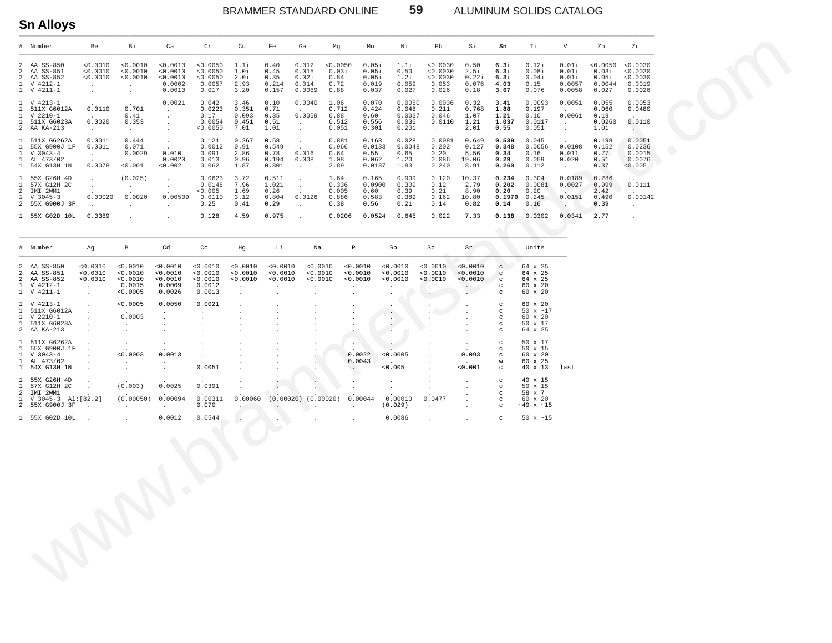BRAMMER STANDARD ONLINE

ALUMINUM SOLIDS CATALOG

50  $\times$  ~15

 $_{\rm C}$ 

 $\overline{a}$ 

59

 $0.0086$ 

# **Sn Alloys**

1 55X G02D 10L

 $0.0012$ 

 $0.0544$ 

|                                              | # Number                                                                                  | Be                                                            | Bi                                                                      | Ca                                                   | $\operatorname{Cr}$                                  | Cu                                      | Fe                                        | Ga                                                           | Mg                                        | Mn                                         | Νi                                          | Pb                                                 | Si                                         | Sn                                       | Τi                                                         | V                                                            | Zn                                            | Zr                                                   |
|----------------------------------------------|-------------------------------------------------------------------------------------------|---------------------------------------------------------------|-------------------------------------------------------------------------|------------------------------------------------------|------------------------------------------------------|-----------------------------------------|-------------------------------------------|--------------------------------------------------------------|-------------------------------------------|--------------------------------------------|---------------------------------------------|----------------------------------------------------|--------------------------------------------|------------------------------------------|------------------------------------------------------------|--------------------------------------------------------------|-----------------------------------------------|------------------------------------------------------|
| 2<br>2<br>2<br>$\mathbf{1}$                  | AA SS-850<br>AA SS-851<br>AA SS-852<br>V 4212-1<br>1 V 4211-1                             | < 0.0010<br>< 0.0010<br>< 0.0010<br>$\overline{a}$<br>$\cdot$ | < 0.0010<br>< 0.0010<br>< 0.0010<br>$\cdot$<br>$\overline{\phantom{a}}$ | < 0.0010<br>0.0010<br>< 0.0010<br>0.0002<br>0.0010   | < 0.0050<br>< 0.0050<br>< 0.0050<br>0.0057<br>0.017  | 1.1i<br>1.0i<br>2.0i<br>2.93<br>3.20    | 0.40<br>0.45<br>0.35<br>0.214<br>0.157    | 0.012<br>0.015<br>0.02i<br>0.014<br>0.0089                   | < 0.0050<br>0.03i<br>0.84<br>0.72<br>0.88 | 0.05i<br>0.05i<br>0.05i<br>0.019<br>0.037  | 1.1i<br>0.50<br>1.2i<br>0.059<br>0.027      | < 0.0030<br>< 0.0030<br>< 0.0030<br>0.053<br>0.026 | 0.50<br>2.5i<br>0.22i<br>0.076<br>0.18     | 6.3i<br>6.3i<br>6.3i<br>4.03<br>3.67     | 0.12i<br>0.08i<br>0.04i<br>0.15<br>0.076                   | 0.01i<br>0.01i<br>0.01i<br>0.0057<br>0.0058                  | < 0.0050<br>0.03i<br>0.05i<br>0.0044<br>0.027 | < 0.0030<br>< 0.0030<br>< 0.0030<br>0.0019<br>0.0026 |
| $\mathbf{1}$<br>$\mathbf{1}$<br>$\mathbf{1}$ | 1 V 4213-1<br>511X G6012A<br>V 2210-1<br>511X G6023A<br>2 AA KA-213                       | 0.0110<br>$\sim$<br>0.0020<br>$\sim$                          | 0.701<br>0.41<br>0.353<br>$\sim$                                        | 0.0021                                               | 0.042<br>0.0223<br>0.17<br>0.0054<br>0.0050          | 3.46<br>0.351<br>0.093<br>0.451<br>7.0i | 0.10<br>0.71<br>0.35<br>0.51<br>1.0i      | 0.0040<br>$\sim$<br>0.0059<br>$\cdot$<br>$\cdot$             | 1.06<br>0.712<br>0.88<br>0.512<br>0.05i   | 0.070<br>0.424<br>0.60<br>0.556<br>0.30i   | 0.0050<br>0.048<br>0.0037<br>0.036<br>0.20i | 0.0036<br>0.211<br>0.046<br>0.0110<br>$\sim$       | 0.32<br>0.768<br>1.07<br>1.21<br>2.0i      | 3.41<br>1.88<br>1.21<br>1.037<br>0.55    | 0.0093<br>0.197<br>0.10<br>0.0117<br>0.05i                 | 0.0051<br>$\sim$<br>0.0061<br>$\sim$                         | 0.055<br>0.060<br>0.19<br>0.0260<br>1.0i      | 0.0053<br>0.0480<br>0.0110<br>$\sim$                 |
| $\mathbf{1}$<br>$\mathbf{1}$                 | 1 511X G6262A<br>55X G900J 1F<br>$V$ 3043-4<br>1 AL 473/02<br>1 54X G13H 1N               | 0.0011<br>0.0011<br>$\mathbf{r} = \mathbf{r}$<br>0.0078       | 0.444<br>0.071<br>0.0029<br>0.001                                       | $\sim$<br>0.010<br>0.0020<br>0.002                   | 0.121<br>0.0012<br>0.091<br>0.013<br>0.062           | 0.267<br>0.91<br>2.86<br>0.96<br>1.87   | 0.58<br>0.549<br>0.78<br>0.194<br>0.801   | $\cdot$<br>0.016<br>0.008<br>$\sim$                          | 0.881<br>0.966<br>0.64<br>1.08<br>2.89    | 0.163<br>0.0133<br>0.55<br>0.062<br>0.0137 | 0.028<br>0.0048<br>0.65<br>1.20<br>1.83     | 0.0081<br>0.202<br>0.20<br>0.086<br>0.240          | 0.649<br>0.127<br>5.56<br>19.06<br>8.91    | 0.539<br>0.348<br>0.34<br>0.29<br>0.260  | 0.045<br>0.0056<br>0.16<br>0.059<br>0.112                  | 0.0108<br>0.011<br>0.020<br>$\mathcal{L}^{\pm}$              | 0.198<br>0.152<br>0.77<br>0.51<br>0.37        | 0.0051<br>0.0236<br>0.0015<br>0.0076<br>< 0.005      |
| $\mathbf{1}$<br>2<br>$\mathbf{1}$            | 1 55X G26H 4D<br>57X G12H 2C<br>IMI 2WM1<br>$V$ 3045-3<br>2 55X G900J 3F                  | $\epsilon$<br>0.00020                                         | (0.025)<br>$\cdot$<br>0.0020<br>$\ddot{\phantom{a}}$                    | $\cdot$<br>$\cdot$<br>0.00509                        | 0.0623<br>0.0148<br>< 0.005<br>0.0110<br>0.25        | 3.72<br>7.96<br>1.69<br>3.12<br>0.41    | 0.511<br>1.021<br>0.26<br>0.804<br>0.29   | $\cdot$<br>0.0126<br>$\cdot$                                 | 1.64<br>0.336<br>0.005<br>0.886<br>0.38   | 0.165<br>0.0900<br>0.60<br>0.583<br>0.56   | 0.909<br>0.309<br>0.39<br>0.389<br>0.21     | 0.120<br>0.12<br>0.21<br>0.162<br>0.14             | 10.37<br>2.79<br>8.90<br>10.80<br>0.82     | 0.234<br>0.202<br>0.20<br>0.1970<br>0.14 | 0.304<br>0.0081<br>0.20<br>0.245<br>0.16                   | 0.0189<br>0.0027<br>$\sim$<br>0.0151<br>$\ddot{\phantom{1}}$ | 0.286<br>0.999<br>2.42<br>0.490<br>0.39       | 0.0111<br>0.00142<br>$\sim$                          |
|                                              | 1 55X G02D 10L                                                                            | 0.0389                                                        |                                                                         |                                                      | 0.128                                                | 4.59                                    | 0.975                                     |                                                              | 0.0206                                    | 0.0524                                     | 0.645                                       | 0.022                                              | 7.33                                       | 0.138                                    | 0.0302                                                     | 0.0341                                                       | 2.77                                          | $\mathbf{r}$                                         |
|                                              | # Number                                                                                  | Ag                                                            | В                                                                       | Cd                                                   | Co                                                   | Hg                                      | Li                                        | Na                                                           | $\, {\mathbb P}$                          |                                            | Sb                                          | Sc                                                 | Sr                                         |                                          | Units                                                      |                                                              |                                               |                                                      |
| 2<br>2<br>$\mathbf{1}$                       | 2 AA SS-850<br>AA SS-851<br>AA SS-852<br>V 4212-1<br>1 V 4211-1                           | < 0.0010<br>0.0010<br>< 0.0010<br>$\cdot$<br>$\mathbb{Z}^2$   | < 0.0010<br>< 0.0010<br>< 0.0010<br>0.0015<br>< 0.0005                  | < 0.0010<br>< 0.0010<br>< 0.0010<br>0.0009<br>0.0026 | < 0.0010<br>< 0.0010<br>< 0.0010<br>0.0012<br>0.0013 | < 0.0010<br>< 0.0010<br>< 0.0010        | 0.0010<br>< 0.0010<br>< 0.0010<br>$\cdot$ | 0.0010<br>0.0010<br>< 0.0010                                 | $\cdot$<br>$\cdot$                        | < 0.0010<br>< 0.0010<br>0.0010             | < 0.0010<br>< 0.0010<br>< 0.0010            | < 0.0010<br>< 0.0010<br>< 0.0010<br>$\bullet$      | < 0.0010<br>< 0.0010<br>< 0.0010<br>$\sim$ | C<br>c<br>$\mathbf C$<br>c<br>C          | 64 x 25<br>64 x 25<br>64 x 25<br>60 x 20<br>60 x 20        |                                                              |                                               |                                                      |
| $\mathbf{1}$                                 | 1 V 4213-1<br>511X G6012A<br>$1 \quad V 2210-1$<br>1 511X G6023A<br>2 AA KA-213           |                                                               | < 0.0005<br>0.0003<br>$\overline{\phantom{a}}$<br>$\cdot$               | 0.0050                                               | 0.0021                                               |                                         |                                           |                                                              |                                           |                                            | $\ddot{\phantom{0}}$                        |                                                    |                                            | c<br>c<br>c<br>C<br>C                    | 60 x 20<br>50 $x \sim 17$<br>60 x 20<br>50 x 17<br>64 x 25 |                                                              |                                               |                                                      |
| 1<br>$\mathbf{1}$                            | 511X G6262A<br>55X G900J 1F<br>$1 \quad V \quad 3043 - 4$<br>1 AL 473/02<br>1 54X G13H 1N | $\blacksquare$<br>$\ddot{\phantom{a}}$                        | < 0.0003<br>$\cdot$                                                     | $\cdot$<br>0.0013<br>$\sim$                          | 0.0051                                               |                                         |                                           |                                                              | $\cdot$<br>$\sim$ $^{\circ}$              | 0.0022<br>0.0043                           | < 0.0005<br>< 0.005                         |                                                    | 0.093<br>< 0.001                           | C<br>C<br>c<br>W<br>C                    | 50 x 17<br>50 x 15<br>60 x 20<br>60 x 25<br>40 x 13        | last                                                         |                                               |                                                      |
| 2<br>$\mathbf{1}$                            | 1 55X G26H 4D<br>1 57X G12H 2C<br>IMI 2WM1<br>V 3045-3 Al: [82.2]<br>2 55X G900J 3F       |                                                               | (0.003)<br>$\sim$<br>(0.00050)<br>$\sim 100$                            | 0.0025<br>0.00094<br>$\mathbf{A}$ and $\mathbf{A}$   | 0.0391<br>0.00311<br>0.070                           | 0.00060<br>$\sim$                       | <b>Carl Corporation</b>                   | $(0.00020)$ $(0.00020)$<br><b>Contract Contract Contract</b> |                                           | 0.00044<br>$\sim$                          | 0.00010<br>(0.029)                          | 0.0477<br>$\cdot$                                  |                                            | с<br>C<br>C<br>C<br>C                    | 40 x 15<br>50 x 15<br>58 x 7<br>60 x 20<br>$~10 \times 15$ |                                                              |                                               |                                                      |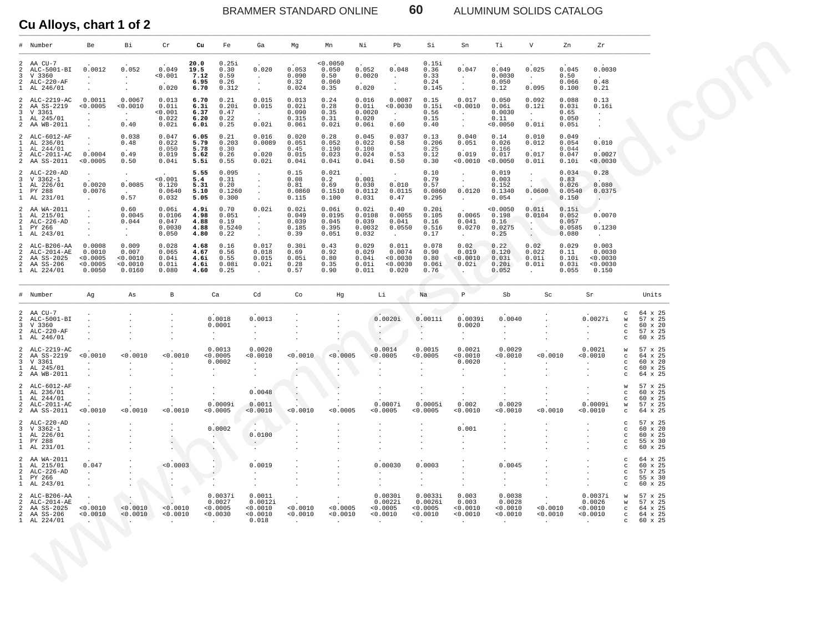BRAMMER STANDARD ONLINE **60** ALUMINUM SOLIDS CATALOG

**Cu Alloys, chart 1 of 2**

|                     | # Number                                                                   | Be                                                                   | Вi                                                           | Cr                                          | Cu                                                 | Fe                                                                  | Ga                                                                     | Mg                                                   | Mn                                                   | Νi                                          | Pb                                           | Si                                                              | Sn                                                                 | Тi                                                          | V                                                                                | Zn                                         | Ζr                                                                |                                                                  |                                                            |
|---------------------|----------------------------------------------------------------------------|----------------------------------------------------------------------|--------------------------------------------------------------|---------------------------------------------|----------------------------------------------------|---------------------------------------------------------------------|------------------------------------------------------------------------|------------------------------------------------------|------------------------------------------------------|---------------------------------------------|----------------------------------------------|-----------------------------------------------------------------|--------------------------------------------------------------------|-------------------------------------------------------------|----------------------------------------------------------------------------------|--------------------------------------------|-------------------------------------------------------------------|------------------------------------------------------------------|------------------------------------------------------------|
|                     | 2 AA $CU-7$<br>2 ALC-5001-BI<br>3 V 3360<br>2 ALC-220-AF<br>1 AL 246/01    | 0.0012<br>$\ddot{\phantom{0}}$                                       | 0.052<br>$\sim$<br>$\bullet$<br>$\bullet$                    | 0.049<br>< 0.001<br>0.020                   | 20.0<br>19.5<br>7.12<br>6.95<br>6.70               | 0.25i<br>0.30<br>0.59<br>0.26<br>0.312                              | 0.020<br>$\sim$ $-$<br>$\sim$<br>$\cdot$                               | 0.053<br>0.090<br>0.32<br>0.024                      | < 0.0050<br>0.050<br>0.50<br>0.060<br>0.35           | 0.052<br>0.0020<br>0.020                    | 0.048<br>$\cdot$<br>$\bullet$<br>$\cdot$     | 0.15i<br>0.36<br>0.33<br>0.24<br>0.145                          | 0.047<br>$\sim$<br>$\cdot$<br>$\bullet$                            | 0.049<br>0.0030<br>0.050<br>0.12                            | 0.025<br><b>Contract</b><br>0.095                                                | 0.045<br>0.50<br>0.066<br>0.100            | 0.0030<br>$\sim$<br>0.48<br>0.21                                  |                                                                  |                                                            |
| 1                   | 2 ALC-2219-AC<br>2 AA SS-2219<br>3 V 3361<br>AL 245/01<br>2 AA WB-2011     | 0.0011<br>< 0.0005<br>$\cdot$<br>$\ddot{\phantom{a}}$                | 0.0067<br>0.0010<br><b>Contract</b><br>0.40                  | 0.013<br>0.01i<br>< 0.001<br>0.022<br>0.02i | 6.70<br>6.3i<br>6.37<br>6.20<br>6.Oi               | 0.21<br>0.20i<br>0.47<br>0.22<br>0.25                               | 0.015<br>0.015<br>$\sim 10^{-11}$<br>0.02i                             | 0.013<br>0.02i<br>0.090<br>0.315<br>0.06i            | 0.24<br>0.28<br>0.35<br>0.31<br>0.02i                | 0.016<br>0.01i<br>0.0020<br>0.020<br>0.06i  | 0.0087<br>0.0030<br>$\sim$<br>0.60           | 0.15<br>0.15i<br>0.56<br>0.15<br>0.40                           | 0.017<br>< 0.0010<br>$\sim$<br>$\cdot$<br>$\sim$                   | 0.050<br>0.06i<br>0.0030<br>0.11<br>< 0.0050                | 0.092<br>0.12i<br>$\sim$<br>0.01i                                                | 0.088<br>0.03i<br>0.65<br>0.050<br>0.05i   | 0.13<br>0.16i<br>$\cdot$<br>$\cdot$<br>$\cdot$                    |                                                                  |                                                            |
| 1                   | 2 ALC-6012-AF<br>1 AL 236/01<br>AL 244/01<br>2 ALC-2011-AC<br>2 AA SS-2011 | $\bullet$<br>$\ddot{\phantom{a}}$<br>0.0004<br>0.0005                | 0.038<br>0.48<br>0.49<br>0.50                                | 0.047<br>0.022<br>0.050<br>0.019<br>0.04i   | 6.05<br>5.79<br>5.78<br>5.62<br>5.5i               | 0.21<br>0.203<br>0.30<br>0.26<br>0.55                               | 0.016<br>0.0089<br>0.020<br>0.02i                                      | 0.020<br>0.051<br>0.45<br>0.015<br>0.04i             | 0.28<br>0.052<br>0.190<br>0.023<br>0.04i             | 0.045<br>0.022<br>0.100<br>0.024<br>0.04i   | 0.037<br>0.58<br>0.53<br>0.50                | 0.13<br>0.206<br>0.25<br>0.12<br>0.30                           | 0.040<br>0.051<br>0.019<br>< 0.0010                                | 0.14<br>0.026<br>0.166<br>0.017<br>< 0.0050                 | 0.010<br>0.012<br>0.017<br>0.01i                                                 | 0.049<br>0.054<br>0.044<br>0.047<br>0.10i  | 0.010<br>0.0027<br>0.0030                                         |                                                                  |                                                            |
| $\mathbf{1}$        | 2 ALC-220-AD<br>3 V 3362-1<br>AL 226/01<br>1 PY 288<br>1 AL 231/01         | $\bullet$<br>0.0020<br>0.0076<br>$\ddot{\phantom{a}}$                | $\sim$<br>0.0085<br>0.57                                     | < 0.001<br>0.120<br>0.0640<br>0.032         | 5.55<br>5.4<br>5.31<br>5.10<br>5.05                | 0.095<br>0.31<br>0.20<br>0.1260<br>0.300                            | $\bullet$<br>$\bullet$<br>$\cdot$<br>$\ddot{\phantom{0}}$              | 0.15<br>0.08<br>0.81<br>0.0860<br>0.115              | 0.021<br>0.2<br>0.69<br>0.1510<br>0.100              | 0.001<br>0.030<br>0.0112<br>0.031           | $\cdot$<br>0.010<br>0.0115<br>0.47           | 0.10<br>0.79<br>0.57<br>0.0860<br>0.295                         | $\cdot$<br>$\sim$<br>0.0120<br>$\sim$                              | 0.019<br>0.003<br>0.152<br>0.1340<br>0.054                  | $\ddot{\phantom{0}}$<br><b>All Controllers</b><br>0.0600<br>$\sim 10^{-10}$      | 0.034<br>0.83<br>0.026<br>0.0540<br>0.150  | 0.28<br>$\sim$<br>0.080<br>0.0375<br>$\sim$                       |                                                                  |                                                            |
| 1<br>$\overline{a}$ | 2 AA WA-2011<br>AL 215/01<br>ALC-226-AD<br>1 PY 266<br>1 AL 243/01         | $\ddot{\phantom{a}}$<br>$\bullet$<br>$\sim$                          | 0.60<br>0.0045<br>0.044<br>$\sim$<br>$\sim$                  | 0.06i<br>0.0106<br>0.047<br>0.0030<br>0.050 | 4.9i<br>4.98<br>4.88<br>4.88<br>4.80               | 0.70<br>0.051<br>0.19<br>0.5240<br>0.22                             | 0.02i<br>$\cdot$<br>$\ddot{\phantom{1}}$<br>$\sim$<br>$\sim$           | 0.02i<br>0.049<br>0.039<br>0.185<br>0.39             | 0.06i<br>0.0195<br>0.045<br>0.395<br>0.051           | 0.02i<br>0.0108<br>0.039<br>0.0032<br>0.032 | 0.40<br>0.0055<br>0.041<br>0.0550<br>$\sim$  | 0.20i<br>0.105<br>0.16<br>0.516<br>0.17                         | 0.0065<br>0.041<br>0.0270<br>$\cdot$                               | < 0.0050<br>0.198<br>0.16<br>0.0275<br>0.25                 | 0.01i<br>0.0104<br>$\ddot{\phantom{0}}$<br>$\ddot{\phantom{1}}$<br>$\sim$ $\sim$ | 0.15i<br>0.052<br>0.057<br>0.0585<br>0.080 | 0.0070<br>0.1230<br>$\sim$                                        |                                                                  |                                                            |
| 2<br>2              | 2 ALC-B206-AA<br>ALC-2014-AE<br>AA SS-2025<br>2 AA SS-206<br>1 AL 224/01   | 0.0008<br>0.0010<br>0.0005<br>0.0005<br>0.0050                       | 0.009<br>0.007<br>0.0010<br>0.0010<br>0.0160                 | 0.028<br>0.065<br>0.04i<br>0.01i<br>0.080   | 4.68<br>4.67<br><b>4.6i</b><br><b>4.6i</b><br>4.60 | 0.16<br>0.56<br>0.55<br>0.08i<br>0.25                               | 0.017<br>0.018<br>0.015<br>0.02i<br>$\sim$                             | 0.30i<br>0.69<br>0.05i<br>0.28<br>0.57               | 0.43<br>0.92<br>0.80<br>0.35<br>0.90                 | 0.029<br>0.029<br>0.04i<br>0.01i<br>0.011   | 0.011<br>0.0074<br>0.0030<br>0.0030<br>0.020 | 0.078<br>0.90<br>0.80<br>0.06i<br>0.76                          | 0.02<br>0.019<br>< 0.0010<br>0.02i                                 | 0.22<br>0.120<br>0.03i<br>0.201<br>0.052                    | 0.02<br>0.022<br>0.01i<br>0.01i<br>$\sim$                                        | 0.029<br>0.11<br>0.10i<br>0.03i<br>0.055   | 0.003<br>0.0030<br>0.0030<br>0.0030<br>0.150                      |                                                                  |                                                            |
|                     | # Number                                                                   | Ag                                                                   | As                                                           | B                                           |                                                    | Ca                                                                  | Cd                                                                     | Co                                                   | Hg                                                   | Li                                          |                                              | Na                                                              | $\mathbb{P}$                                                       | Sb                                                          | Sc                                                                               |                                            | Sr                                                                |                                                                  | Units                                                      |
| 2                   | 2 AA $CU-7$<br>ALC-5001-BI<br>3 V 3360<br>2 ALC-220-AF<br>1 AL 246/01      |                                                                      |                                                              |                                             |                                                    | 0.0018<br>0.0001<br>$\bullet$<br>$\cdot$                            | 0.0013<br>$\ddot{\phantom{a}}$<br>$\cdot$                              |                                                      |                                                      | $\sim$<br>$\cdot$                           | 0.00201<br>$\sim$ $\sim$                     | 0.0011i<br>$\langle \cdot \rangle$<br>$\ddot{\phantom{1}}$      | 0.0039i<br>0.0020<br>$\cdot$<br>$\cdot$                            | 0.0040<br>$\ddot{\phantom{a}}$<br>$\bullet$<br>$\bullet$    |                                                                                  |                                            | 0.0027i<br>$\cdot$<br>$\bullet$                                   | $_{\rm c}$<br>W<br>$\mathbf C$<br>$\mathbf{C}$<br>C              | 64 x 25<br>57 x 25<br>60 x 20<br>57 x 25<br>60 x 25        |
| 2                   | 2 ALC-2219-AC<br>AA SS-2219<br>3 V 3361<br>1 AL 245/01<br>2 AA WB-2011     | 0.0010<br>$\bullet$                                                  | 0.0010                                                       | 0.0010                                      |                                                    | 0.0013<br><0.0005<br>0.0002<br>$\cdot$                              | 0.0020<br><0.0010<br>$\cdot$                                           | 0.0010                                               | < 0.0005<br>$\bullet$                                | $\ddot{\phantom{1}}$                        | 0.0014<br>< 0.0005                           | 0.0015<br>0.0005<br>$\cdot$                                     | 0.0021<br>0.0010<br>0.0020                                         | 0.0029<br>0.0010<br>$\sim$                                  | 0.0010<br>$\bullet$                                                              |                                            | 0.0021<br>0.0010<br>$\cdot$                                       | W<br>$_{\rm c}$<br>с<br>$_{\rm c}$<br>C                          | 57 x 25<br>64 x 25<br>60 x 20<br>60 x 25<br>64 x 25        |
| 1                   | 2 ALC-6012-AF<br>AL 236/01<br>1 AL 244/01<br>2 ALC-2011-AC<br>2 AA SS-2011 | <0.0010                                                              | < 0.0010                                                     | < 0.0010                                    |                                                    | 0.0009i<br>< 0.0005                                                 | 0.0048<br>$\ddot{\phantom{a}}$<br>0.0011<br>< 0.0010                   | < 0.0010                                             | < 0.0005                                             |                                             | 0.0007i<br>0.0005                            | 0.0005i<br>0.0005                                               | 0.002<br>0.0010                                                    | 0.0029<br>0.0010                                            | < 0.0010                                                                         |                                            | 0.0009i<br>0.0010                                                 | W<br>$\mathbf{C}$<br>$\mathbf C$<br>w<br>$\mathbf C$             | 57 x 25<br>60 x 25<br>60 x 25<br>57 x 25<br>64 x 25        |
|                     | 2 ALC-220-AD<br>3 V 3362-1<br>1 AL 226/01<br>1 PY 288<br>1 AL 231/01       | $\cdot$<br>$\ddot{\phantom{a}}$                                      |                                                              | $\ddot{\phantom{1}}$                        |                                                    | 0.0002<br>$\blacksquare$                                            | $\ddot{\phantom{0}}$<br>$\sim$<br>0.0100<br><b>Contract</b><br>$\cdot$ |                                                      |                                                      | $\cdot$<br>$\cdot$                          |                                              |                                                                 | 0.001<br>$\cdot$<br>$\cdot$<br>$\cdot$                             | $\cdot$<br>$\cdot$<br>$\cdot$                               |                                                                                  |                                            |                                                                   | C<br>C<br>C<br>$\mathbf C$<br>c                                  | 57 x 25<br>60 x 20<br>60 x 25<br>55 x 30<br>60 x 25        |
|                     | 2 AA WA-2011<br>1 AL 215/01<br>2 ALC-226-AD<br>1 PY 266<br>1 AL 243/01     | 0.047                                                                |                                                              | < 0.0003                                    |                                                    |                                                                     | 0.0019                                                                 |                                                      |                                                      |                                             | 0.00030                                      | 0.0003                                                          |                                                                    | 0.0045                                                      |                                                                                  |                                            |                                                                   | C<br>$\mathbf{C}$<br>$\mathbf C$<br>$\mathbf{C}$<br>$\mathbf{C}$ | 64 x 25<br>60 x 25<br>57 x 25<br>55 x 30<br>60 x 25        |
| $\mathcal{L}$       | 2 ALC-B206-AA<br>ALC-2014-AE<br>AA SS-2025<br>2 AA SS-206<br>1 AL 224/01   | $\ddot{\phantom{a}}$<br>< 0.0010<br>< 0.0010<br>$\ddot{\phantom{a}}$ | $\sim$<br>< 0.0010<br>$< 0.0010$ $< 0.0010$<br>$\sim$ $\sim$ | < 0.0010<br>$\sim$ $\sim$                   |                                                    | 0.0037i<br>0.0027<br>< 0.0005<br>0.0030<br><b>Contract Contract</b> | 0.0011<br>0.0012i<br>< 0.0010<br>< 0.0010<br>0.018                     | $\cdot$<br>< 0.0010<br>< 0.0010<br><b>Contractor</b> | $\cdot$<br>< 0.0005<br>< 0.0010<br><b>Contractor</b> | <b>Contractor</b>                           | 0.0030i<br>0.0022i<br>< 0.0005<br>< 0.0010   | 0.0033i<br>0.00261<br>< 0.0005<br>< 0.0010<br><b>Contractor</b> | 0.003<br>0.003<br>< 0.0010<br>< 0.0010<br><b>Contract Contract</b> | 0.0038<br>0.0028<br>0.0010<br>< 0.0010<br><b>Contractor</b> | $\cdot$<br>< 0.0010<br>< 0.0010<br><b>Contract Contract</b>                      |                                            | 0.0037i<br>0.0026<br>0.0010<br>0.0010<br><b>Contract Contract</b> | W<br>$\mathbf{C}$<br>$\mathbf{C}$<br>$\mathbf{C}$                | $57 \times 25$<br>57 x 25<br>64 x 25<br>64 x 25<br>60 x 25 |
|                     |                                                                            |                                                                      |                                                              |                                             |                                                    |                                                                     |                                                                        |                                                      |                                                      |                                             |                                              |                                                                 |                                                                    |                                                             |                                                                                  |                                            |                                                                   |                                                                  |                                                            |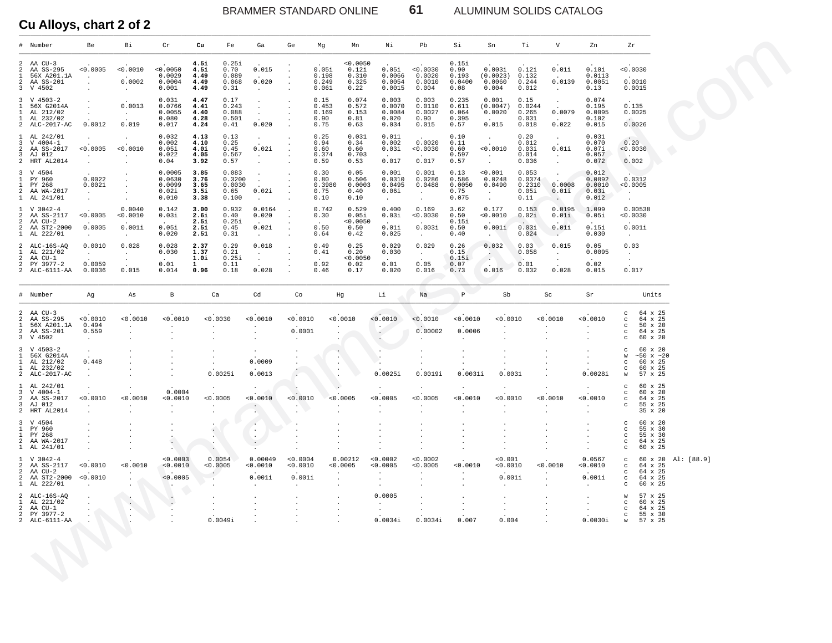BRAMMER STANDARD ONLINE 61 ALUMINUM SOLIDS CATALOG

| # Number                                                                                                                                           | Be                                                                  | Bi                                     | Cr                                               | Cu                                           | Fe<br>Ga                                                                                  | Ge                                         | Mn<br>Mg                                                                              | Νi                                                                                | Pb                                                                                   | Si                                       | Sn                                                 | Тi                                             | V                                                             | Zn                                          | Ζr                                                   |                                                             |            |
|----------------------------------------------------------------------------------------------------------------------------------------------------|---------------------------------------------------------------------|----------------------------------------|--------------------------------------------------|----------------------------------------------|-------------------------------------------------------------------------------------------|--------------------------------------------|---------------------------------------------------------------------------------------|-----------------------------------------------------------------------------------|--------------------------------------------------------------------------------------|------------------------------------------|----------------------------------------------------|------------------------------------------------|---------------------------------------------------------------|---------------------------------------------|------------------------------------------------------|-------------------------------------------------------------|------------|
| 2 AA $CU-3$<br>AA SS-295<br>56X A201.1A<br>AA SS-201<br>V 4502                                                                                     | < 0.0005<br>$\ddot{\phantom{a}}$<br>$\ddot{\phantom{a}}$<br>$\cdot$ | < 0.0010<br>$\sim$<br>0.0002<br>$\sim$ | < 0.0050<br>0.0029<br>0.0004<br>0.001            | 4.5i<br>4.5i<br>4.49<br>4.49<br>4.49         | 0.25i<br>0.70<br>0.015<br>0.089<br>0.068<br>0.020<br>0.31<br>$\sim$                       | $\cdot$                                    | 0.0050<br>0.05i<br>0.12i<br>0.198<br>0.310<br>0.249<br>0.325<br>0.061<br>0.22         | 0.05i<br>0.0066<br>0.0054<br>0.0015                                               | 0.0030<br>0.0020<br>0.0010<br>0.004                                                  | 0.15i<br>0.90<br>0.193<br>0.0400<br>0.08 | 0.003i<br>(0.0023)<br>0.0060<br>0.004              | 0.12i<br>0.132<br>0.244<br>0.012               | 0.01i<br>0.0139<br>$\sim$                                     | 0.10i<br>0.0113<br>0.0051<br>0.13           | < 0.0030                                             | 0.0010<br>0.0015                                            |            |
| $3 \tV 4503-2$<br>56X G2014A<br>AL 212/02<br>AL 232/02<br>2 ALC-2017-AC                                                                            | $\bullet$<br>$\ddot{\phantom{a}}$<br>$\bullet$<br>0.0012            | 0.0013<br>$\sim$<br>0.019              | 0.031<br>0.0766<br>0.0055<br>0.080<br>0.017      | 4.47<br>4.41<br>4.40<br>4.28<br>4.24         | 0.17<br>0.243<br>$\sim$<br>0.088<br>$\sim$<br>0.501<br>0.41<br>0.020                      |                                            | 0.074<br>0.15<br>0.453<br>0.572<br>0.153<br>0.169<br>0.90<br>0.81<br>0.75<br>0.63     | 0.003<br>0.0070<br>0.0084<br>0.020<br>0.034                                       | 0.003<br>0.0110<br>0.0027<br>0.90<br>0.015                                           | 0.235<br>0.611<br>0.064<br>0.395<br>0.57 | 0.001<br>(0.0047)<br>0.0020<br>0.015               | 0.15<br>0.0244<br>0.265<br>0.031<br>0.018      | $\sim$<br>0.0079<br>0.022                                     | 0.074<br>0.195<br>0.0095<br>0.102<br>0.015  | 0.135                                                | 0.0025<br>0.0026                                            |            |
| 1 AL 242/01<br>$V$ 4004-1<br>AA SS-2017<br>AJ 012<br>2 HRT AL2014                                                                                  | $\bullet$<br>< 0.0005<br>$\cdot$<br>$\Delta$                        | $\cdot$<br>0.0010                      | 0.032<br>0.002<br>0.05i<br>0.022<br>0.04         | 4.13<br>4.10<br>4.0i<br>4.05<br>3.92         | 0.13<br>$\sim$<br>0.25<br>0.02i<br>0.45<br>0.567<br>$\sim$<br>0.57                        |                                            | 0.25<br>0.031<br>0.94<br>0.34<br>0.60<br>0.60<br>0.374<br>0.703<br>0.53<br>0.59       | 0.011<br>0.002<br>0.03i<br>0.017                                                  | 0.0020<br>0.0030<br>0.017                                                            | 0.10<br>0.11<br>0.60<br>0.597<br>0.57    | $\sim$<br>< 0.0010<br>$\bullet$<br>$\sim$          | 0.20<br>0.012<br>0.03i<br>0.014<br>0.036       | $\sim$<br>0.01i<br>$\sim$                                     | 0.031<br>0.070<br>0.07i<br>0.057<br>0.072   | 0.20<br>< 0.0030<br>$\sim$<br>0.002                  |                                                             |            |
| 3 V 4504<br>1 PY 960<br>PY 268<br>AA WA-2017<br>1 AL 241/01                                                                                        | 0.0022<br>0.0021<br>$\sim$<br>$\Delta$                              | $\ddot{\phantom{a}}$                   | $0.0005$<br>$0.0630$<br>0.0099<br>0.02i<br>0.010 | 3.85<br>3.76<br>3.65<br>3.5i<br>3.38         | $0.083$<br>$0.3200$<br>$\ddot{\phantom{0}}$<br>0.0030<br>0.02i<br>0.65<br>0.100<br>$\sim$ |                                            | 0.30<br>$0.05$<br>$0.506$<br>0.80<br>0.3980<br>0.0003<br>0.75<br>0.40<br>0.10<br>0.10 | $\begin{smallmatrix} 0.001 0.0310 \end{smallmatrix}$<br>0.0495<br>0.06i<br>$\sim$ | $\begin{smallmatrix} 0.001 & 0.0286 \end{smallmatrix}$<br>0.0488<br>$\sim$<br>$\sim$ | 0.13<br>0.586<br>0.0050<br>0.75<br>0.075 | $^{<0.001}_{0.0248}$<br>0.0490<br>$\sim$<br>$\sim$ | $0.053$<br>$0.0374$<br>0.2310<br>0.05i<br>0.11 | $\cdot$<br>$\ddot{\phantom{a}}$<br>0.0008<br>0.01i<br>$\cdot$ | 0.012<br>0.0892<br>0.0010<br>0.03i<br>0.012 | < 0.0005<br>$\sim$                                   | 0.0312                                                      |            |
| 1 V 3042-4<br>AA SS-2117<br>AA CU-2<br>AA ST2-2000<br>1 AL 222/01                                                                                  | < 0.0005<br>0.0005<br>$\sim$                                        | 0.0040<br>0.0010<br>0.001i<br>$\sim$   | 0.142<br>0.03i<br>0.05i<br>0.020                 | 3.00<br><b>2.6i</b><br>2.5i<br>2.5i<br>2.51  | 0.932<br>0.0164<br>0.40<br>0.020<br>0.25i<br>0.02i<br>0.45<br>0.31<br>$\sim$              | $\cdot$                                    | 0.742<br>0.529<br>0.30<br>0.05i<br>0.0050<br>0.50<br>0.50<br>0.42<br>0.64             | 0.400<br>0.03i<br>0.01i<br>0.025                                                  | 0.169<br>0.0030<br>0.003i<br>$\blacksquare$                                          | 3.62<br>0.50<br>0.15i<br>0.50<br>0.40    | 0.177<br>< 0.0010<br>0.001i<br>$\cdot$             | 0.153<br>0.02i<br>0.03i<br>0.024               | 0.0195<br>0.01i<br>0.01i<br>$\sim$                            | 1.099<br>0.05i<br>0.15i<br>0.030            | < 0.0030<br>$\sim$                                   | 0.00538<br>0.001i                                           |            |
| 2 ALC-16S-AQ<br>AL 221/02<br>$\mathbf{1}$<br>AA CU-1<br>PY 3977-2<br>2 ALC-6111-AA                                                                 | 0.0010<br>$\sim$<br>0.0059<br>0.0036                                | 0.028<br>$\sim$<br>$\sim$<br>0.015     | 0.028<br>0.030<br>$\sim$<br>0.01<br>0.014        | 2.37<br>1.37<br>1.0i<br>$\mathbf{1}$<br>0.96 | 0.018<br>0.29<br>0.21<br>$\sim$<br>0.25i<br>$\bullet$<br>0.11<br>0.028<br>0.18            |                                            | 0.49<br>0.25<br>0.41<br>0.20<br>< 0.0050<br>0.92<br>0.02<br>0.46<br>0.17              | 0.029<br>0.030<br>$\sim$<br>0.01<br>0.020                                         | 0.029<br>$\sim$<br>0.05<br>0.016                                                     | 0.26<br>0.15<br>0.15i<br>0.07<br>0.73    | 0.032<br>A<br>$\ddot{\phantom{0}}$<br>0.016        | 0.03<br>0.058<br>$\sim$<br>0.01<br>0.032       | 0.015<br>$\cdot$<br>$\sim$<br>0.028                           | 0.05<br>0.0095<br>$\sim$<br>0.02<br>0.015   | 0.03<br>$\cdot$<br>$\cdot$<br>0.017                  |                                                             |            |
| # Number                                                                                                                                           | Ag                                                                  | As                                     | $\, {\bf B}$                                     | Ca                                           | Cd                                                                                        | Co                                         | Hg                                                                                    | Li                                                                                | Na                                                                                   | $\, {\mathbb P}$                         | Sb                                                 |                                                | Sc                                                            | Sr                                          |                                                      | Units                                                       |            |
| 2 AA $CU-3$<br>AA SS-295<br>56X A201.1A<br>$\begin{array}{ccc} 2 & \text{AA} & \text{SS-2} \\ 3 & \text{V} & \text{4502} \end{array}$<br>AA SS-201 | < 0.0010<br>0.494<br>0.559<br>$\sim$                                | < 0.0010<br>$\cdot$<br>$\cdot$         | < 0.0010<br>$\cdot$                              | < 0.0030                                     | < 0.0010<br>$\cdot$                                                                       | < 0.0010<br>0.0001<br>$\ddot{\phantom{1}}$ | 0.0010<br>$\cdot$                                                                     | 0.0010<br>$\epsilon$ .                                                            | < 0.0010<br>0.00002                                                                  | 0.0010<br>0.0006                         | 0.0010                                             |                                                | 0.0010                                                        | < 0.0010<br>$\cdot$                         | C<br>c<br>C<br>C<br>C                                | 64 x 25<br>64 x 25<br>50 x 20<br>64 x 25<br>60 x 20         |            |
| $3 \tV 4503-2$<br>56X G2014A<br>AL 212/02<br>AL 232/02<br>2 ALC-2017-AC                                                                            | $\ddot{\phantom{a}}$<br>0.448<br>$\bullet$<br>$\ddot{\phantom{a}}$  |                                        |                                                  | 0.0025i                                      | $\cdot$<br>0.0009<br>0.0013                                                               |                                            | $\cdot$<br>$\cdot$                                                                    | 0.0025i                                                                           | 0.0019i                                                                              | 0.0031i                                  | 0.0031                                             |                                                |                                                               | 0.0028i                                     | C<br>W<br>C<br>$\mathbf C$<br>W                      | 60 x 20<br>$~10 \times 20$<br>60 x 25<br>60 x 25<br>57 x 25 |            |
| 1 AL 242/01<br>$V 4004-1$<br>AA SS-2017<br>AJ 012<br>2 HRT AL2014                                                                                  | < 0.0010<br>$\bullet$                                               | < 0.0010<br>$\cdot$                    | 0.0004<br>0.0010<br>$\bullet$                    | $\cdot$<br>< 0.0005<br>$\cdot$               | $\cdot$<br>0.0010<br>$\cdot$<br>$\mathbf{e}_{\mathbf{A}}$                                 | 0.0010<br>$\bullet$                        | < 0.0005                                                                              | < 0.0005<br>$\bullet$                                                             | < 0.0005<br>$\cdot$                                                                  | 0.0010                                   | 0.0010                                             |                                                | 0.0010                                                        | $\cdot$<br>< 0.0010<br>$\cdot$<br>$\cdot$   | c<br>c<br>c<br>c                                     | 60 x 25<br>60 x 20<br>64 x 25<br>55 x 25<br>35 x 20         |            |
| 3 V 4504<br>1 PY 960<br>1 PY 268<br>2 AA WA-2017<br>1 AL 241/01                                                                                    | $\bullet$                                                           |                                        | $\blacksquare$<br>$\mathbf{a}_1$                 |                                              | $\sim$<br>$\cdot$                                                                         |                                            |                                                                                       |                                                                                   |                                                                                      |                                          |                                                    |                                                |                                                               |                                             | C<br>$\mathtt{C}$<br>$\mathtt{C}$<br>$_{\rm C}$<br>C | 60 x 20<br>55 x 30<br>55 x 30<br>64 x 25<br>60 x 25         |            |
| $V$ 3042-4<br>AA SS-2117<br>AA CU-2<br>2 AA ST2-2000<br>1 AL 222/01                                                                                | 0.0010<br>< 0.0010<br>$\cdot$                                       | 0.0010<br>$\blacksquare$<br>$\sim$     | < 0.0003<br>0.0010<br>< 0.0005<br>$\sim$         | 0.0054<br>0.0005<br>$\cdot$                  | 0.00049<br>0.0010<br>0.001i<br>$\sim$                                                     | 0.0004<br><0.0010<br>0.001i<br>$\sim$      | 0.00212<br><0.0005<br>$\cdot$<br>$\cdot$<br>$\sim$                                    | 0.0002<br>0.0005<br>$\cdot$<br>$\cdot$<br>$\bullet$                               | 0.0002<br>0.0005<br>$\cdot$<br>$\cdot$                                               | 0.0010                                   | 0.001<br>0.0010<br>0.001i<br>$\sim$                |                                                | 0.0010                                                        | 0.0567<br>0.0010<br>0.001i<br>$\cdot$       | $\mathbf{C}$<br>$\mathbf C$<br>$\mathbf C$<br>C<br>C | 60 x 20<br>64 x 25<br>64 x 25<br>64 x 25<br>60 x 25         | Al: [88.9] |
| ALC-16S-AQ<br>AL 221/02<br>AA CU-1<br>PY 3977-2                                                                                                    |                                                                     | $\epsilon$<br>$\bullet$<br>$\cdot$     |                                                  | 0.0049i                                      |                                                                                           |                                            | $\cdot$<br>$\cdot$                                                                    | 0.0005<br>$\bullet$<br>$\cdot$<br>0.0034i                                         | 0.0034i                                                                              | 0.007                                    | 0.004                                              |                                                |                                                               | 0.0030i                                     | W<br>C<br>C<br>$\mathbf C$<br>${\bf W}$              | 57 x 25<br>60 x 25<br>64 x 25<br>55 x 30<br>57 x 25         |            |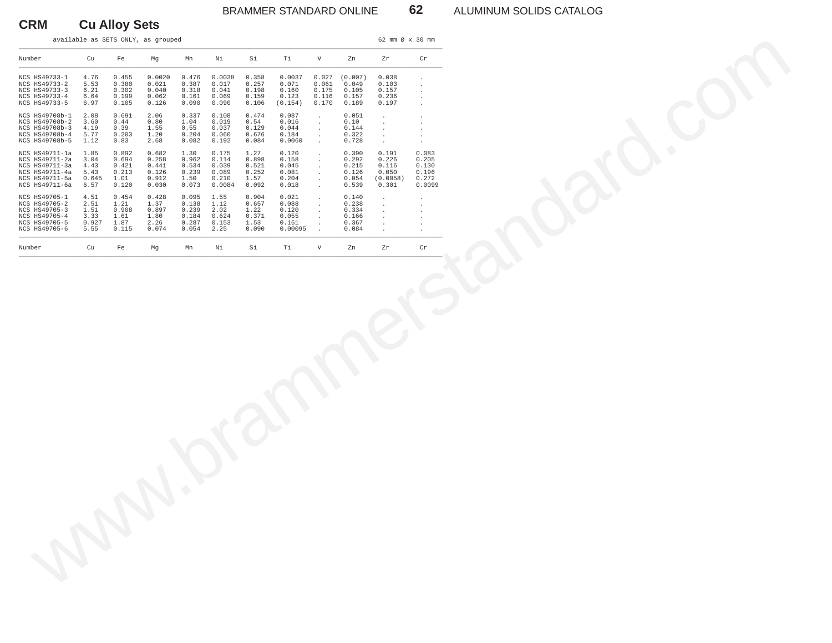## BRAMMER STANDARD ONLINE **62** ALUMINUM SOLIDS CATALOG

# **CRM Cu Alloy Sets**

|                                                                                        |                                      |                                        | available as SETS ONLY, as grouped   |                                         |                                           |                                          |                                            |                                                   |                                          | 62 mm Ø x 30 mm                                   |                                          |
|----------------------------------------------------------------------------------------|--------------------------------------|----------------------------------------|--------------------------------------|-----------------------------------------|-------------------------------------------|------------------------------------------|--------------------------------------------|---------------------------------------------------|------------------------------------------|---------------------------------------------------|------------------------------------------|
| Number                                                                                 | Cu                                   | Fe                                     | Mg                                   | Mn                                      | Νi                                        | Si                                       | Ti                                         | $\boldsymbol{\mathrm{V}}$                         | Zn                                       | Zr                                                | $\operatorname{Cr}$                      |
| NCS HS49733-1<br>NCS HS49733-2<br>NCS HS49733-3                                        | 4.76<br>5.53<br>6.21                 | 0.455<br>0.380<br>0.302<br>0.199       | 0.0020<br>0.021<br>0.040             | 0.476<br>0.387<br>0.318                 | 0.0038<br>0.017<br>0.041<br>0.069         | 0.358<br>0.257<br>0.198                  | 0.0037<br>0.071<br>0.160                   | 0.027<br>0.061<br>0.175                           | (0.007)<br>0.049<br>0.105                | 0.038<br>0.103<br>0.157<br>0.236                  | $\cdot$<br>$\cdot$                       |
| NCS HS49733-4<br>NCS HS49733-5                                                         | 6.64<br>6.97                         | 0.105                                  | 0.062<br>0.126                       | 0.161<br>0.090                          | 0.090                                     | 0.159<br>0.106                           | 0.123<br>(0.154)                           | 0.116<br>0.170                                    | 0.157<br>0.189                           | 0.197                                             | $\cdot$<br>$\overline{a}$                |
| NCS HS49708b-1<br>NCS HS49708b-2<br>NCS HS49708b-3<br>NCS HS49708b-4<br>NCS HS49708b-5 | 2.08<br>3.60<br>4.19<br>5.77<br>1.12 | 0.691<br>0.44<br>0.39<br>0.203<br>0.83 | 2.06<br>0.80<br>1.55<br>1.20<br>2.68 | 0.337<br>1.04<br>0.55<br>0.204<br>0.082 | 0.108<br>0.019<br>0.037<br>0.060<br>0.192 | 0.474<br>0.54<br>0.129<br>0.676<br>0.084 | 0.087<br>0.016<br>0.044<br>0.184<br>0.0060 | $\blacksquare$<br>$\cdot$<br>$\ddot{\phantom{a}}$ | 0.051<br>0.10<br>0.144<br>0.322<br>0.728 | $\cdot$<br>$\cdot$<br>$\sim$<br>$\sim$<br>$\cdot$ | $\cdot$<br>$\cdot$<br>$\cdot$<br>$\cdot$ |
| NCS HS49711-1a<br>NCS HS49711-2a                                                       | 1.85<br>3.04                         | 0.892<br>0.694                         | 0.682<br>0.258                       | 1.30<br>0.962                           | 0.175<br>0.114                            | 1.27<br>0.898                            | 0.120<br>0.158                             | $\cdot$<br>$\cdot$                                | 0.390<br>0.292                           | 0.191<br>0.226                                    | 0.083<br>0.205                           |
| NCS HS49711-3a<br>NCS HS49711-4a<br>NCS HS49711-5a                                     | 4.43<br>5.43<br>0.645                | 0.421<br>0.213<br>1.01                 | 0.441<br>0.126<br>0.912              | 0.534<br>0.239<br>1.50                  | 0.039<br>0.089<br>0.210                   | 0.521<br>0.252<br>1.57                   | 0.045<br>0.081<br>0.204                    | $\cdot$<br>$\cdot$                                | 0.215<br>0.126<br>0.054                  | 0.116<br>0.050<br>(0.0058)                        | 0.130<br>0.196<br>0.272                  |
| NCS HS49711-6a<br>NCS HS49705-1                                                        | 6.57<br>4.51                         | 0.120<br>0.454                         | 0.030<br>0.428                       | 0.073<br>0.095                          | 0.0084<br>1.55                            | 0.092<br>0.904                           | 0.018<br>0.021                             | $\cdot$<br>$\cdot$                                | 0.539<br>0.140                           | 0.301<br>$\cdot$                                  | 0.0099                                   |
| NCS HS49705-2<br>NCS HS49705-3<br>NCS HS49705-4                                        | 2.51<br>1.51<br>3.33                 | 1.21<br>0.908<br>1.61                  | 1.37<br>0.897<br>1.80                | 0.138<br>0.239<br>0.184                 | 1.12<br>2.02<br>0.624                     | 0.657<br>1.22<br>0.371                   | 0.088<br>0.120<br>0.055                    | $\cdot$<br>$\cdot$                                | 0.238<br>0.334<br>0.166                  | $\cdot$<br>$\cdot$                                | $\cdot$                                  |
| NCS HS49705-5<br>NCS HS49705-6                                                         | 0.927<br>5.55                        | 1.87<br>0.115                          | 2.26<br>0.074                        | 0.287<br>0.054                          | 0.153<br>2.25                             | 1.53<br>0.090                            | 0.161<br>0.00095                           |                                                   | 0.367<br>0.084                           | $\cdot$                                           |                                          |
| Number                                                                                 | Cu                                   | Fe                                     | Mg                                   | Mn                                      | $\rm Ni$                                  | Si                                       | Ti                                         | $\mathbf {V}$                                     | Zn                                       | Zr                                                | $\operatorname{\sf Cr}$                  |
|                                                                                        |                                      |                                        |                                      |                                         |                                           |                                          |                                            |                                                   |                                          |                                                   |                                          |
|                                                                                        |                                      |                                        |                                      |                                         |                                           |                                          |                                            |                                                   |                                          |                                                   |                                          |
|                                                                                        |                                      |                                        |                                      |                                         |                                           |                                          |                                            |                                                   |                                          |                                                   |                                          |
|                                                                                        |                                      |                                        |                                      |                                         |                                           |                                          |                                            |                                                   |                                          |                                                   |                                          |
|                                                                                        |                                      |                                        |                                      |                                         |                                           |                                          |                                            |                                                   |                                          |                                                   |                                          |
|                                                                                        |                                      |                                        |                                      |                                         |                                           |                                          |                                            |                                                   |                                          |                                                   |                                          |
|                                                                                        |                                      |                                        |                                      |                                         |                                           |                                          |                                            |                                                   |                                          |                                                   |                                          |
|                                                                                        |                                      |                                        |                                      |                                         |                                           |                                          |                                            |                                                   |                                          |                                                   |                                          |
|                                                                                        |                                      |                                        |                                      |                                         |                                           |                                          |                                            |                                                   |                                          |                                                   |                                          |
|                                                                                        |                                      |                                        |                                      |                                         |                                           |                                          |                                            |                                                   |                                          |                                                   |                                          |
|                                                                                        |                                      |                                        |                                      |                                         |                                           |                                          |                                            |                                                   |                                          |                                                   |                                          |
|                                                                                        |                                      |                                        |                                      |                                         |                                           |                                          |                                            |                                                   |                                          |                                                   |                                          |
|                                                                                        |                                      |                                        |                                      |                                         |                                           |                                          |                                            |                                                   |                                          |                                                   |                                          |
|                                                                                        |                                      |                                        |                                      |                                         |                                           |                                          |                                            |                                                   |                                          |                                                   |                                          |
|                                                                                        |                                      |                                        |                                      |                                         |                                           |                                          |                                            |                                                   |                                          |                                                   |                                          |
|                                                                                        |                                      |                                        |                                      |                                         |                                           |                                          |                                            |                                                   |                                          |                                                   |                                          |
|                                                                                        |                                      |                                        |                                      |                                         |                                           |                                          |                                            |                                                   |                                          |                                                   |                                          |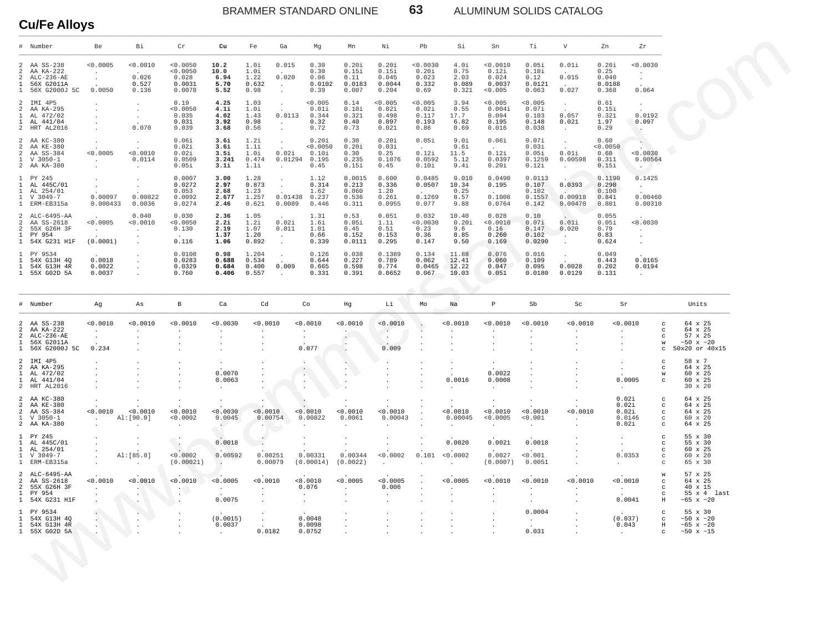BRAMMER STANDARD ONLINE

ALUMINUM SOLIDS CATALOG

# **Cu/Fe Alloys**

|                                                                     | Number                                                                  | Be                                                               | Βi                                                 | ${\rm Cr}$                                        | Cu                                                   | Fe                                          | Ga                                                                       | Mg                                                                | Mn                                                              | Νi                                                   | Pb                                          | Si                                         | Sn                                              | Τi                                          | $\boldsymbol{\nabla}$                       | Zn                                         | ${\rm Zr}$                                                                            |                                                                                    |
|---------------------------------------------------------------------|-------------------------------------------------------------------------|------------------------------------------------------------------|----------------------------------------------------|---------------------------------------------------|------------------------------------------------------|---------------------------------------------|--------------------------------------------------------------------------|-------------------------------------------------------------------|-----------------------------------------------------------------|------------------------------------------------------|---------------------------------------------|--------------------------------------------|-------------------------------------------------|---------------------------------------------|---------------------------------------------|--------------------------------------------|---------------------------------------------------------------------------------------|------------------------------------------------------------------------------------|
| 2<br>$\overline{2}$<br>2<br>$\mathbf{1}$<br>1                       | AA SS-238<br>AA KA-222<br>$AT-C-236-AR$<br>56X G2011A<br>56X G2000J 5C  | 0.0005<br>$\cdot$<br>0.0050                                      | < 0.0010<br>0.026<br>0.527<br>0.136                | < 0.0050<br>< 0.0050<br>0.028<br>0.0031<br>0.0078 | 10.2<br>10.0<br>6.94<br>5.70<br>5.52                 | 1.0i<br>1.0i<br>1.22<br>0.632<br>0.98       | 0.015<br>0.020<br>$\cdot$<br>$\ddot{\phantom{a}}$                        | 0.30<br>0.30<br>0.06<br>0.0102<br>0.39                            | 0.20i<br>0.15i<br>0.11<br>0.0183<br>0.007                       | 0.201<br>0.15i<br>0.045<br>0.0044<br>0.204           | < 0.0030<br>0.20i<br>0.023<br>0.332<br>0.69 | 4.0i<br>0.75<br>2.03<br>0.089<br>0.321     | < 0.0010<br>0.12i<br>0.024<br>0.0037<br>< 0.005 | 0.05i<br>0.10i<br>0.12<br>0.0121<br>0.063   | 0.01i<br>0.015<br>0.027                     | 0.20i<br>0.25<br>0.040<br>0.0188<br>0.368  | < 0.0030<br>$\ddot{\phantom{a}}$<br>$\cdot$<br>0.064                                  |                                                                                    |
| 2<br>2<br>$\mathbf{1}$<br>1<br>$\overline{c}$                       | IMI 4P5<br>AA KA-295<br>AL 472/02<br>AL 441/04<br>HRT AL2016            | $\cdot$<br>$\cdot$                                               | $\mathcal{L}$<br>$\ddot{\phantom{a}}$<br>0.070     | 0.19<br>< 0.0050<br>0.035<br>0.031<br>0.039       | 4.25<br>4.1i<br>4.02<br>3.92<br>3.68                 | 1.03<br>1.0i<br>1.43<br>0.98<br>0.56        | $\ddot{\phantom{a}}$<br>0.0113<br>$\blacksquare$<br>$\ddot{\phantom{a}}$ | < 0.005<br>0.011<br>0.344<br>0.32<br>0.72                         | 0.14<br>0.10i<br>0.321<br>0.40<br>0.73                          | < 0.005<br>0.021<br>0.498<br>0.097<br>0.021          | < 0.005<br>0.02i<br>0.117<br>0.193<br>0.86  | 3.94<br>0.55<br>17.7<br>6.82<br>0.69       | < 0.005<br>0.004i<br>0.094<br>0.195<br>0.016    | < 0.005<br>0.07i<br>0.103<br>0.148<br>0.038 | $\overline{a}$<br>0.057<br>0.021<br>$\cdot$ | 0.61<br>0.151<br>0.321<br>1.97<br>0.29     | $\mathbf{r}$<br>0.0192<br>0.097<br>- 11                                               |                                                                                    |
| 2<br>2<br>2<br>$\mathbf{1}$                                         | AA KC-380<br>AA KE-380<br>AA SS-384<br>$V$ 3050-1<br>2 AA KA-380        | $\cdot$<br>< 0.0005<br>$\sim 10^{-1}$                            | $\cdot$<br>< 0.0010<br>0.0114                      | 0.06i<br>0.02i<br>0.02i<br>0.0509<br>0.05i        | 3.6i<br>3.6i<br>3.5i<br>3.241<br>3.1i                | 1.2i<br>1.1i<br>1.Oi<br>0.474<br>1.1i       | 0.02i<br>0.01294                                                         | 0.20i<br>< 0.0050<br>$0.10$ i<br>0.195<br>0.45                    | 0.30<br>0.20i<br>0.30<br>0.235<br>0.15i                         | 0.20i<br>0.03i<br>0.25<br>0.1076<br>0.45             | 0.05i<br>0.12i<br>0.0592<br>0.10i           | 9.0i<br>9.6i<br>11.5<br>5.12<br>9.4i       | 0.06i<br>0.12i<br>0.0397<br>0.20i               | 0.07i<br>0.03i<br>0.05i<br>0.1259<br>0.12i  | $\cdot$<br>0.01i<br>0.00598                 | 0.60<br>< 0.0050<br>0.60<br>0.311<br>0.15i | 0.0030<br>0.00564                                                                     |                                                                                    |
| $\mathbf{1}$<br>$\mathbf{1}$<br>1<br>$\mathbf{1}$<br>$\overline{1}$ | PY 245<br>AL 445C/01<br>AL 254/01<br>V 3049-7<br>ERM-EB315a             | $\cdot$<br>$\cdot$<br>0.00097<br>0.000433                        | $\cdot$<br>0.00822<br>0.0036                       | 0.0007<br>0.0272<br>0.053<br>0.0092<br>0.0274     | 3.00<br>2.97<br>2.68<br>2.677<br>2.46                | 1.28<br>0.873<br>1.23<br>1.257<br>0.621     | $\sim$<br>0.01438<br>0.0089                                              | 1.12<br>0.314<br>1.62<br>0.237<br>0.446                           | 0.0015<br>0.213<br>0.060<br>0.536<br>0.311                      | 0.600<br>0.336<br>1.20<br>0.261<br>0.0955            | 0.0485<br>0.0507<br>0.1269<br>0.077         | 0.010<br>10.34<br>0.25<br>8.57<br>9.88     | 0.0490<br>0.195<br>0.1008<br>0.0764             | 0.0113<br>0.107<br>0.102<br>0.1557<br>0.142 | 0.0393<br>0.00918<br>0.00470                | 0.1190<br>0.290<br>0.100<br>0.841<br>0.801 | 0.1425<br>$\sim$ $-$<br>0.00460<br>0.00310                                            |                                                                                    |
| 2<br>2<br>2<br>1<br>1                                               | ALC-6495-AA<br>AA SS-2618<br>55X G26H 3F<br>PY 954<br>54X G231 H1F      | < 0.0005<br>$\sim 10^{-1}$<br>(0.0001)                           | 0.040<br>< 0.0010<br>$\cdot$<br>$\cdot$            | 0.030<br>< 0.0050<br>0.130<br>0.116               | 2.36<br>2.2i<br>2.19<br>1.37<br>1.06                 | 1.05<br>1.2i<br>1.07<br>1.20<br>0.892       | 0.02i<br>0.011<br>$\cdot$                                                | 1.31<br>1.6i<br>1.01<br>0.66<br>0.339                             | 0.53<br>0.05i<br>0.45<br>0.152<br>0.0111                        | 0.051<br>1.1i<br>0.51<br>0.153<br>0.295              | 0.032<br>< 0.0030<br>0.23<br>0.36<br>0.147  | 10.40<br>0.20i<br>9.6<br>8.85<br>9.50      | 0.028<br>< 0.0010<br>0.16<br>0.260<br>0.169     | 0.10<br>0.07i<br>0.147<br>0.102<br>0.0290   | 0.01i<br>0.020                              | 0.055<br>0.05i<br>0.79<br>0.83<br>0.624    | < 0.0030<br>$\sim$<br>$\cdot$<br>$\sim$                                               |                                                                                    |
| $\mathbf{1}$<br>$\mathbf{1}$<br>$\overline{1}$                      | PY 9534<br>54X G13H 4Q<br>54X G13H 4R<br>1 55X G02D 5A                  | 0.0018<br>0.0022<br>0.0037                                       |                                                    | 0.0108<br>0.0283<br>0.0329<br>0.760               | 0.98<br>0.688<br>0.684<br>0.406                      | 1.204<br>0.534<br>0.400<br>0.557            | 0.009<br>$\ddot{\phantom{0}}$                                            | 0.126<br>0.644<br>0.665<br>0.331                                  | 0.038<br>0.227<br>0.598<br>0.391                                | 0.1389<br>0.789<br>0.774<br>0.0652                   | 0.134<br>0.062<br>0.0465<br>0.067           | 11.88<br>12.41<br>12.22<br>10.03           | 0.076<br>0.060<br>0.047<br>0.051                | 0.016<br>0.109<br>0.095<br>0.0180           | 0.0028<br>0.0129                            | 0.049<br>0.443<br>0.202<br>0.131           | 0.0165<br>0.0194<br>$\sim$                                                            |                                                                                    |
|                                                                     | Number                                                                  | Ag                                                               | As                                                 | $_{\rm B}$                                        | Ca                                                   | Cd                                          |                                                                          | Co                                                                | Hg                                                              | Li                                                   | Mo                                          | Na                                         | P                                               | Sb                                          | Sc                                          | Sr                                         |                                                                                       | Units                                                                              |
| $\overline{2}$<br>$\overline{a}$<br>2<br>1                          | AA SS-238<br>AA KA-222<br>$ALC-236-AE$<br>56X G2011A<br>1 56X G2000J 5C | 0.0010<br>$\cdot$<br>$\cdot$<br>0.234                            | < 0.0010<br>$\cdot$<br>$\ddot{\phantom{a}}$        | < 0.0010<br>$\cdot$                               | 0.0030<br>$\cdot$<br>$\cdot$<br>$\ddot{\phantom{a}}$ | < 0.0010<br>$\cdot$                         |                                                                          | 0.0010<br>$\bullet$<br>$\cdot$<br>0.077                           | 0.0010<br>$\cdot$<br>$\cdot$<br>$\cdot$<br>$\ddot{\phantom{a}}$ | < 0.0010<br>$\ddot{\phantom{a}}$<br>$\cdot$<br>0.009 | $\cdot$                                     | < 0.0010<br>$\cdot$                        | < 0.0010<br>$\cdot$                             | < 0.0010                                    | < 0.0010                                    | < 0.0010                                   | $\mathcal{C}$<br>$_{\rm c}$<br>$\mathbf C$<br>$\ensuremath{\mathsf{W}}$<br>$_{\rm c}$ | 64 x 25<br>64 x 25<br>57 x 25<br>$\sim\!\!50\,$ x $\sim\!\!20\,$<br>50x20 or 40x15 |
| $\overline{\mathbf{2}}$<br>2<br>1<br>$\mathbf{1}$<br>2              | IMI 4P5<br>AA KA-295<br>AL 472/02<br>AT, 441/04<br>HRT AL2016           | $\cdot$<br>$\blacksquare$                                        |                                                    | $\cdot$                                           | $\ddot{\phantom{a}}$<br>0.0070<br>0.0063<br>$\sim$   |                                             |                                                                          | $\bullet$<br><b>Tax</b><br>$\mathcal{L}_{\mathcal{A}}$<br>$\cdot$ | $\blacksquare$<br>$\cdot$<br>$\sim$<br>$\blacksquare$           | $\mathbf{r}$<br>$\ddot{\phantom{a}}$                 |                                             | $\cdot$<br>0.0016<br>$\cdot$               | 0.0022<br>0.0008<br>$\cdot$                     | $\mathbf{r}$<br>$\cdot$                     | $\cdot$<br>$\ddot{\phantom{a}}$             | $\cdot$<br>$\sim$                          | $\mathbf C$<br>$_{\rm C}$<br>$\ensuremath{\mathsf{W}}$<br>0.0005<br>$\mathbf C$       | 58 x 7<br>64 x 25<br>60 x 25<br>60 x 25<br>30 x 20                                 |
| 2<br>2<br>$\mathfrak{D}$<br>$\mathbf{1}$                            | AA KC-380<br>AA KE-380<br>AA SS-384<br>$V$ 3050-1<br>2 AA KA-380        | 0.0010<br>$\ddot{\phantom{a}}$<br>$\blacksquare$                 | < 0.0010<br>Al: [90.0]<br>$\cdot$                  | < 0.0010<br>< 0.0002<br>$\cdot$                   | $\cdot$<br>0.0030<br>0.0045<br>$\sim$                | < 0.0010<br>0.00754<br>$\ddot{\phantom{a}}$ |                                                                          | < 0.0010<br>0.00822<br>$\sim$                                     | 0.0010<br>0.0061<br>$\ddot{\phantom{0}}$                        | < 0.0010<br>0.00043<br>$\cdot$                       | $\ddot{\phantom{a}}$                        | < 0.0010<br>0.00045<br>$\cdot$             | < 0.0010<br>< 0.0005<br>$\sim$                  | < 0.0010<br>< 0.001<br>$\cdot$              | < 0.0010<br>$\cdot$                         | 0.02i<br>0.02i<br>0.021<br>0.021           | $\mathtt{C}$<br>$_{\rm c}$<br>$\mathbf C$<br>0.0146<br>$_{\rm C}$<br>$\mathcal{C}$    | 64 x 25<br>64 x 25<br>64 x 25<br>60 x 20<br>64 x 25                                |
| $\mathbf{1}$<br>1<br>$\mathbf{1}$<br>1<br>$\mathbf{1}$              | PY 245<br>AL 445C/01<br>AL 254/01<br>$V$ 3049-7<br>ERM-EB315a           | $\cdot$<br>$\cdot$<br>$\cdot$<br>$\cdot$<br>$\ddot{\phantom{a}}$ | $\ddot{\phantom{a}}$<br>Al: [85.0]<br>$\mathbf{r}$ | $\bullet$<br>$\sim$<br>< 0.0002<br>(0.00021)      | 0.0018<br>0.00592<br>$\overline{\phantom{a}}$        | 0.00251<br>0.00079                          |                                                                          | 0.00331<br>(0.00014)                                              | $\ddot{\phantom{a}}$<br>$\cdot$<br>0.00344<br>(0.0022)          | $\cdot$<br>< 0.0002<br>$\ddot{\phantom{a}}$          | 0.101                                       | 0.0020<br>< 0.0002<br>$\ddot{\phantom{a}}$ | 0.0021<br>0.0027<br>(0.0007)                    | 0.0018<br>< 0.001<br>0.0051                 | $\ddot{\phantom{a}}$                        | $\cdot$<br>$\sim$<br>$\mathbf{r}$          | $\mathbf{C}$<br>$_{\rm c}$<br>$\mathbf C$<br>0.0353<br>$_{\rm c}$<br>$\mathbf{C}$     | 55 x 30<br>55 x 30<br>60 x 25<br>$60 \times 20$<br>65 x 30                         |
| $\overline{a}$<br>2<br>2<br>$\mathbf{1}$<br>$\mathbf{1}$            | ALC-6495-AA<br>AA SS-2618<br>55X G26H 3F<br>PY 954<br>54X G231 H1F      | < 0.0010<br>$\cdot$<br>$\cdot$                                   | < 0.0010<br>$\cdot$<br>$\sim$                      | < 0.0010<br>$\sim$ $\sim$<br>$\cdot$              | < 0.0005<br>$\sim 10^{-11}$<br>0.0075                | < 0.0010<br>$\cdot$<br>$\cdot$              |                                                                          | 0.0010<br>0.076<br>$\sim$                                         | < 0.0005<br>$\ddot{\phantom{a}}$<br>$\cdot$                     | < 0.0005<br>0.006<br>$\cdot$                         |                                             | 0.0005<br>$\cdot$                          | < 0.0010<br>$\ddot{\phantom{a}}$<br>$\cdot$     | < 0.0010<br>$\cdot$<br>$\cdot$              | < 0.0010<br>$\cdot$<br>$\cdot$              | < 0.0010<br>$\sim$                         | W<br>$\mathtt{C}$<br>$_{\rm c}$<br>$\mathbf C$<br>0.0041<br>$\, {\rm H}$              | 57 x 25<br>64 x 25<br>40 x 15<br>$55 \times 4$ last<br>$~55 \times ~20$            |
| $\mathbf{1}$<br>$\mathbf{1}$                                        | 1 PY 9534<br>54X G13H 40<br>54X G13H 4R<br>1 55X G02D 5A                | $\sim$<br>$\cdot$                                                | $\ddot{\phantom{1}}$                               | $\cdot$                                           | (0.0015)<br>0.0037<br>$\sim$                         | $\cdot$<br>0.0182                           |                                                                          | 0.0048<br>0.0098<br>0.0752                                        | $\cdot$<br>$\cdot$<br>$\ddot{\phantom{a}}$                      | $\cdot$                                              | $\blacksquare$                              | $\cdot$                                    |                                                 | 0.0004<br>$\sim$<br>0.031                   | $\cdot$                                     | (0.037)<br>0.043<br>$\cdot$                | $_{\rm c}$<br>$\mathtt{C}$<br>$\rm H$<br>$\mathtt{C}$                                 | 55 x 30<br>$~10 \times 20$<br>$~105 \times 20$<br>$~150 \times ~15$                |
|                                                                     |                                                                         |                                                                  |                                                    |                                                   |                                                      |                                             |                                                                          |                                                                   |                                                                 |                                                      |                                             |                                            |                                                 |                                             |                                             |                                            |                                                                                       |                                                                                    |

63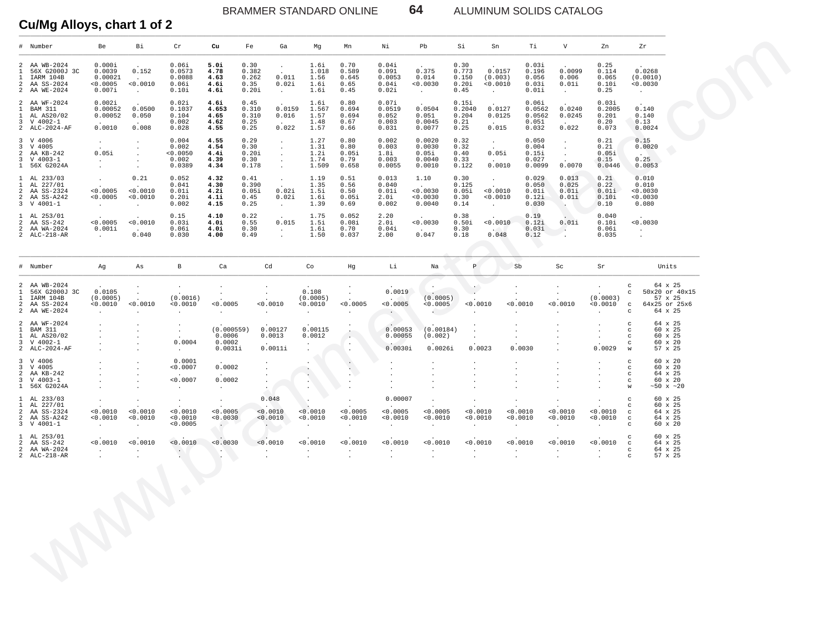BRAMMER STANDARD ONLINE **64** ALUMINUM SOLIDS CATALOG

#### **Cu/Mg Alloys, chart 1 of 2**

| Bi<br>Pb<br>Si<br>Тi<br>V<br># Number<br>Be<br>Cr<br>Cu<br>Fe<br>Ga<br>Mg<br>Mn<br>Νi<br>Sn<br>Zn<br>Zr<br>AA WB-2024<br>0.000i<br>0.06i<br>5.0i<br>0.30<br>0.70<br>0.04i<br>0.30<br>0.03i<br>0.25<br>$\overline{a}$<br>1.6i<br>$\sim$<br>$\sim$<br>$\sim$<br>$\sim$<br>0.375<br>0.0099<br>0.0268<br>$\mathbf{1}$<br>56X G2000J 3C<br>0.0039<br>0.152<br>0.0573<br>4.78<br>0.382<br>1.018<br>0.589<br>0.091<br>0.773<br>0.0157<br>0.196<br>0.114<br>0.011<br>IARM 104B<br>0.00021<br>0.0088<br>4.63<br>0.262<br>1.56<br>0.645<br>0.0053<br>0.014<br>0.150<br>(0.003)<br>0.056<br>0.006<br>0.065<br>(0.0010)<br>$\mathbf{1}$<br>$\sim$<br>< 0.0010<br>$\overline{a}$<br>AA SS-2024<br>< 0.0005<br>0.06i<br>4.6i<br>0.35<br>0.02i<br>1.6i<br>0.65<br>0.04i<br>< 0.0030<br>0.20i<br>0.0010<br>0.03i<br>0.01i<br>0.10i<br>0.0030<br>2 AA WE-2024<br>$0.007$ i<br>0.10i<br>4.6i<br>0.20i<br>1.6i<br>0.45<br>0.02i<br>0.45<br>0.01i<br>0.25<br>$\Delta \sim 100$<br>$\sim 100$<br>$\sim$ $-$<br>$\sim 10^{-11}$<br>$\sim$<br>$\sim 10^{-11}$<br>2 AA WF-2024<br>0.002i<br>0.02i<br>4.6i<br>0.45<br>0.80<br>0.07i<br>0.15i<br>0.06i<br>0.03i<br>1.6i<br>$\cdot$<br>0.0500<br>0.0159<br>1.567<br>0.0504<br>0.0127<br>$\mathbf{1}$<br><b>BAM 311</b><br>0.00052<br>0.1037<br>4.653<br>0.310<br>0.694<br>0.0519<br>0.2040<br>0.0562<br>0.0240<br>0.2005<br>0.140<br>AL AS20/02<br>0.00052<br>0.050<br>0.104<br>4.65<br>0.310<br>0.016<br>1.57<br>0.694<br>0.052<br>0.051<br>0.204<br>0.0125<br>0.0562<br>0.0245<br>0.201<br>0.140<br>$\mathbf{1}$<br>3 V 4002-1<br>0.002<br>4.62<br>0.25<br>1.48<br>0.67<br>0.003<br>0.0045<br>0.21<br>0.051<br>0.20<br>0.13<br>$\sim$ $\sim$<br>$\sim$<br>$\sim$<br>$\sim$<br>0.0010<br>0.008<br>0.022<br>0.015<br>0.022<br>2 ALC-2024-AF<br>0.028<br>4.55<br>0.25<br>1.57<br>0.66<br>0.031<br>0.0077<br>0.25<br>0.032<br>0.073<br>0.0024<br>3 V 4006<br>0.004<br>4.55<br>0.29<br>1.27<br>0.80<br>0.002<br>0.0020<br>0.32<br>0.050<br>0.21<br>0.15<br>$\sim$<br>$\cdot$<br>$\sim$<br>$\cdot$<br>0.21<br>$\overline{3}$<br>V 4005<br>0.002<br>4.54<br>0.30<br>1.31<br>0.80<br>0.003<br>0.0030<br>0.32<br>0.004<br>0.0020<br>$\sim$<br>$\sim$<br>$\cdot$<br>$\cdot$<br>0.05i<br>0.05i<br>AA KB-242<br>0.0050<br>4.4i<br>0.20i<br>1.2i<br>0.05i<br>1.8i<br>0.05i<br>0.40<br>0.15i<br>0.05i<br>2<br><b>CONTRACTOR</b><br>$\cdot$<br>$\sim$<br>$\overline{3}$<br>$V$ 4003-1<br>0.002<br>4.39<br>0.30<br>1.74<br>0.79<br>0.003<br>0.0040<br>0.33<br>0.027<br>0.15<br>0.25<br>$\sim 10^{-10}$<br>$\sim 100$<br>$\sim$<br>$\sim$<br>$\cdot$<br>0.0010<br>0.0070<br>1 56X G2024A<br>0.0389<br>4.34<br>0.178<br>1.509<br>0.658<br>0.0055<br>0.0010<br>0.122<br>0.0099<br>0.0446<br>0.0053<br>$\sim$<br>$\sim$<br>$\ddot{\phantom{1}}$<br>1 AL 233/03<br>0.21<br>0.052<br>4.32<br>0.41<br>1.19<br>0.51<br>0.013<br>1.10<br>0.30<br>0.029<br>0.013<br>0.21<br>0.010<br>$\sim$<br>$\sim$<br>$\sim$ $-$<br>AL 227/01<br>0.041<br>4.30<br>0.390<br>1.35<br>0.56<br>0.040<br>0.125<br>0.050<br>0.025<br>0.22<br>0.010<br>$\mathbf{1}$<br>$\sim$<br><b>Contractor</b><br>$\sim$ 100 $\sim$<br>$\sim$<br>$\sim$<br>< 0.0010<br>0.02i<br>< 0.0030<br>< 0.0010<br>2 AA SS-2324<br>< 0.0005<br>0.01i<br>4.2i<br>0.05i<br>1.5i<br>0.50<br>0.01i<br>0.05i<br>0.01i<br>0.01i<br>0.01i<br>0.0030<br>2 AA SS-A242<br>< 0.0005<br>< 0.0010<br>0.20i<br>4.1i<br>0.45<br>0.02i<br>1.6i<br>0.05i<br>2.0i<br>0.0030<br>0.30<br>0.0010<br>0.12i<br>0.01i<br>0.10i<br>0.0030<br>3 V 4001-1<br>0.002<br>4.15<br>0.25<br>1.39<br>0.69<br>0.002<br>0.0040<br>0.14<br>0.030<br>0.10<br>0.080<br><b>Contract</b><br>$\sim 10^{-11}$<br>$\sim 100$ km s $^{-1}$<br>$\sim$<br>a ka<br>V)<br>1 AL 253/01<br>0.15<br>4.10<br>0.22<br>1.75<br>0.052<br>2.20<br>0.38<br>0.19<br>0.040<br>$\sim$<br>< 0.0005<br>< 0.0010<br>0.015<br>0.0030<br>< 0.0010<br>AA SS-242<br>0.03i<br>4.0i<br>0.55<br>1.5i<br>0.08i<br>2.0i<br>0.50i<br>0.12i<br>0.01i<br>0.10i<br>0.0030<br>2<br>2<br>AA WA-2024<br>0.001i<br>0.06i<br>4.0i<br>0.30<br>1.6i<br>0.70<br>0.04i<br>0.30<br>0.03i<br>0.06i<br>$\sim 10^{-10}$<br><b>Contract of the State</b><br><b>Contract</b><br>$\sim$<br>$\sim$<br><b>Contract</b><br>2 ALC-218-AR<br>0.040<br>0.030<br>4.00<br>0.49<br>1.50<br>0.037<br>2.00<br>0.047<br>0.18<br>0.048<br>0.12<br>0.035<br><b>Carl Corp.</b><br>$\ddot{\phantom{a}}$<br>$\ddot{\phantom{1}}$<br>$\ddot{\phantom{a}}$<br>Cd<br>Li<br>$\mathbb{P}$<br>Sb<br># Number<br>Ag<br>As<br>B<br>Ca<br>Co<br>Hg<br>Na<br>Sc<br>Sr<br>Units<br>2 AA WB-2024<br>$_{\rm c}$<br>64 x 25<br>$\sim$<br>$\sim$<br>$\cdot$<br>$\sim$<br>$\cdot$<br>$\blacksquare$ .<br>$\ddot{\phantom{a}}$<br>$\cdot$<br>$\sim$<br>$\ddot{\phantom{a}}$<br>0.0019<br>56X G2000J 3C<br>0.0105<br>0.108<br>50x20 or 40x15<br>1<br>$\cdot$<br>c<br>$\sim$<br>$\cdot$<br>$\sim$<br>$\sim$<br>$\bullet$<br>IARM 104B<br>(0.0005)<br>(0.0016)<br>(0.0005)<br>(0.0005)<br>(0.0003)<br>$\mathbf{1}$<br><b>Contract Contract Street</b><br>$57 \times 25$<br>$\sim$<br>2 AA SS-2024<br>< 0.0010<br>< 0.0010<br>< 0.0010<br>< 0.0005<br>0.0010<br>< 0.0010<br>< 0.0005<br>< 0.0005<br>< 0.0005<br>< 0.0010<br>< 0.0010<br>< 0.0010<br>< 0.0010<br>64x25 or 25x6<br>$\mathbf C$<br>2 AA WE-2024<br>64 x 25<br>$\mathcal{L}_{\rm{max}}$<br>$_{\rm c}$<br>$\sim 10^{-1}$<br>$\sim$ $\sim$<br>$\sim$<br>$\sim$<br>$\sim$<br>$\cdot$<br>$\ddot{\phantom{a}}$<br>$\mathbf{r}$<br>$\sim$<br>$\mathbf{r}$<br>$\cdot$<br>$\sim$<br>2 AA WF-2024<br>64 x 25<br>$_{\rm c}$<br>$\cdot$<br>$\cdot$<br>$\cdot$<br>(0.000559)<br>0.00127<br>0.00115<br>$\mathbf{1}$<br>BAM 311<br>0.00053<br>(0.00184)<br>60 x 25<br>$_{\rm c}$<br>$\cdot$<br>$\sim$<br>$\ddot{\phantom{a}}$<br>$\ddot{\phantom{a}}$<br>AL AS20/02<br>0.0006<br>0.0013<br>0.0012<br>0.00055<br>(0.002)<br>60 x 25<br>$\mathbf{1}$<br>$_{\rm c}$<br>$\sim$ $\sim$<br>$\cdot$<br>$\ddot{\phantom{0}}$<br>$\sim$<br>3 V 4002-1<br>0.0004<br>0.0002<br>$60 \times 20$<br>$\mathbf C$<br>$\sim$<br>$\cdot$<br>$\cdot$<br>$\sim$<br>2 ALC-2024-AF<br>0.0031i<br>0.0011i<br>0.0030i<br>0.0026i<br>0.0023<br>0.0030<br>0.0029<br>57 x 25<br>W<br>$\sim$<br>$\cdot$<br>$\cdot$<br>$\cdot$<br>3 V 4006<br>0.0001<br>$60 \times 20$<br>$_{\rm c}$<br>$\cdot$<br>$\bullet$<br>$\cdot$<br>$\bullet$<br>$\cdot$<br>3 V 4005<br>< 0.0007<br>0.0002<br>$60 \times 20$<br>$_{\rm c}$<br>$\sim$<br>$\sim$<br>$\cdot$<br>$\ddot{\phantom{a}}$<br>$\cdot$<br>$\cdot$<br>2 AA KB-242<br>64 x 25<br>$_{\rm c}$<br>$\sim$<br>$\sim$<br>$\sim$<br>$\cdot$<br>$\cdot$<br>< 0.0007<br>0.0002<br>3 V 4003-1<br>$60 \times 20$<br>$_{\rm c}$<br>$\cdot$<br>$\ddot{\phantom{a}}$<br>$\cdot$<br>$\cdot$<br>1 56X G2024A<br>W<br>~10x ~120<br><b>Service</b><br>$\sim$<br>$\sim$ $\sim$<br>$\cdot$<br>$\cdot$<br>$\ddot{\phantom{a}}$<br>1 AL 233/03<br>0.048<br>0.00007<br>60 x 25<br>$\mathbf C$<br>$\cdot$<br>$\sim$<br>$\sim$<br>$\cdot$<br>$\cdot$<br>$\ddot{\phantom{a}}$<br>$\ddot{\phantom{a}}$<br>$\sim$<br>AL 227/01<br>60 x 25<br>$\mathbf{1}$<br>$\mathbf C$<br>2 AA SS-2324<br>< 0.0010<br>0.0010<br>< 0.0010<br>< 0.0005<br>< 0.0010<br>< 0.0010<br>< 0.0005<br>< 0.0005<br>< 0.0005<br>< 0.0010<br>< 0.0010<br>< 0.0010<br>< 0.0010<br>64 x 25<br>$_{\rm c}$<br>2 AA SS-A242<br>< 0.0010<br>< 0.0010<br>< 0.0010<br>< 0.0030<br>< 0.0010<br>< 0.0010<br>< 0.0010<br>< 0.0010<br>< 0.0010<br>< 0.0010<br>< 0.0010<br>< 0.0010<br>< 0.0010<br>64 x 25<br>$\mathbf C$<br>3 V 4001-1<br>< 0.0005<br>60 x 20<br>$\sim$ $\sim$<br>$\mathbf C$<br>$\sim$ $-$<br>$\sim$<br>$\sim$<br>$\sim$<br>$\sim$<br>$\sim$<br>$\sim$<br>$\ddot{\phantom{a}}$<br>$\sim$<br>$\ddot{\phantom{0}}$<br>$\ddot{\phantom{a}}$<br>1 AL 253/01<br>60 x 25<br>$\mathbf C$<br>< 0.0010<br>< 0.0010<br>< 0.0030<br>< 0.0010<br>< 0.0010<br>< 0.0010<br>< 0.0010<br>2 AA SS-242<br>< 0.0010<br>< 0.0010<br>< 0.0010<br>< 0.0010<br>< 0.0010<br>< 0.0010<br>64 x 25<br>$_{\rm c}$<br>2 AA WA-2024<br>64 x 25<br>$_{\rm c}$<br>$\sim$<br>$\sim 10^{-1}$<br>$\ddot{\phantom{a}}$<br>$\cdot$<br>$\sim$<br>$\cdot$<br>$\cdot$<br>$\ddot{\phantom{a}}$<br>$\cdot$<br>$\cdot$<br>$\cdot$<br>2 ALC-218-AR<br>57 x 25<br>$\mathbf C$<br>$\sim$<br>$\ddot{\phantom{a}}$<br>$\sim$<br>$\ddot{\phantom{a}}$<br>$\sim$<br>$\cdot$<br>$\cdot$<br>$\cdot$<br>$\cdot$<br>$\Delta$<br>$\ddot{\phantom{a}}$<br>$\cdot$<br>$\cdot$<br>$\bigodot$ |  |  |  |  |  |  |  |  |  |
|-------------------------------------------------------------------------------------------------------------------------------------------------------------------------------------------------------------------------------------------------------------------------------------------------------------------------------------------------------------------------------------------------------------------------------------------------------------------------------------------------------------------------------------------------------------------------------------------------------------------------------------------------------------------------------------------------------------------------------------------------------------------------------------------------------------------------------------------------------------------------------------------------------------------------------------------------------------------------------------------------------------------------------------------------------------------------------------------------------------------------------------------------------------------------------------------------------------------------------------------------------------------------------------------------------------------------------------------------------------------------------------------------------------------------------------------------------------------------------------------------------------------------------------------------------------------------------------------------------------------------------------------------------------------------------------------------------------------------------------------------------------------------------------------------------------------------------------------------------------------------------------------------------------------------------------------------------------------------------------------------------------------------------------------------------------------------------------------------------------------------------------------------------------------------------------------------------------------------------------------------------------------------------------------------------------------------------------------------------------------------------------------------------------------------------------------------------------------------------------------------------------------------------------------------------------------------------------------------------------------------------------------------------------------------------------------------------------------------------------------------------------------------------------------------------------------------------------------------------------------------------------------------------------------------------------------------------------------------------------------------------------------------------------------------------------------------------------------------------------------------------------------------------------------------------------------------------------------------------------------------------------------------------------------------------------------------------------------------------------------------------------------------------------------------------------------------------------------------------------------------------------------------------------------------------------------------------------------------------------------------------------------------------------------------------------------------------------------------------------------------------------------------------------------------------------------------------------------------------------------------------------------------------------------------------------------------------------------------------------------------------------------------------------------------------------------------------------------------------------------------------------------------------------------------------------------------------------------------------------------------------------------------------------------------------------------------------------------------------------------------------------------------------------------------------------------------------------------------------------------------------------------------------------------------------------------------------------------------------------------------------------------------------------------------------------------------------------------------------------------------------------------------------------------------------------------------------------------------------------------------------------------------------------------------------------------------------------------------------------------------------------------------------------------------------------------------------------------------------------------------------------------------------------------------------------------------------------------------------------------------------------------------------------------------------------------------------------------------------------------------------------------------------------------------------------------------------------------------------------------------------------------------------------------------------------------------------------------------------------------------------------------------------------------------------------------------------------------------------------------------------------------------------------------------------------------------------------------------------------------------------------------------------------------------------------------------------------------------------------------------------------------------------------------------------------------------------------------------------------------------------------------------------------------------------------------------------------------------------------------------------------------------------------------------------------------------------------------------------------------------------------------------------------------------------------------------------------------------------------------------------------------------------------------------------------------------------------------------------------------------------------------------------------------------------------------------------------------------------------------------------------------------------------------------------------------------------------------------------------------------------------------------------------------------------------------------------------------------------------------------------------------------------------------------------------------------------------------------------------------------------------------------------------------------------------------------------------------------------------------------------------------------------------------------------------------------------------------------------------------------------------------------------------------------------------------------------------------------------------------------------------------------------------------------------------------------------------------------------------------------------------------------------------------------------------------------------------------------------------------------------------------------------------------------------------------------------------------------------------------------------------------------------------------------------------------------------------------------------------------------------------------------------------------------------------------------------------------------------------------------------------------------------------------------------------------------------------------------------------------------------------------------------------------------------------------------------------------------------------|--|--|--|--|--|--|--|--|--|
|                                                                                                                                                                                                                                                                                                                                                                                                                                                                                                                                                                                                                                                                                                                                                                                                                                                                                                                                                                                                                                                                                                                                                                                                                                                                                                                                                                                                                                                                                                                                                                                                                                                                                                                                                                                                                                                                                                                                                                                                                                                                                                                                                                                                                                                                                                                                                                                                                                                                                                                                                                                                                                                                                                                                                                                                                                                                                                                                                                                                                                                                                                                                                                                                                                                                                                                                                                                                                                                                                                                                                                                                                                                                                                                                                                                                                                                                                                                                                                                                                                                                                                                                                                                                                                                                                                                                                                                                                                                                                                                                                                                                                                                                                                                                                                                                                                                                                                                                                                                                                                                                                                                                                                                                                                                                                                                                                                                                                                                                                                                                                                                                                                                                                                                                                                                                                                                                                                                                                                                                                                                                                                                                                                                                                                                                                                                                                                                                                                                                                                                                                                                                                                                                                                                                                                                                                                                                                                                                                                                                                                                                                                                                                                                                                                                                                                                                                                                                                                                                                                                                                                                                                                                                                                                                                                                                                                                                                                                                                                                                                                                                                                                                                                                                                                                                                                                                                             |  |  |  |  |  |  |  |  |  |
|                                                                                                                                                                                                                                                                                                                                                                                                                                                                                                                                                                                                                                                                                                                                                                                                                                                                                                                                                                                                                                                                                                                                                                                                                                                                                                                                                                                                                                                                                                                                                                                                                                                                                                                                                                                                                                                                                                                                                                                                                                                                                                                                                                                                                                                                                                                                                                                                                                                                                                                                                                                                                                                                                                                                                                                                                                                                                                                                                                                                                                                                                                                                                                                                                                                                                                                                                                                                                                                                                                                                                                                                                                                                                                                                                                                                                                                                                                                                                                                                                                                                                                                                                                                                                                                                                                                                                                                                                                                                                                                                                                                                                                                                                                                                                                                                                                                                                                                                                                                                                                                                                                                                                                                                                                                                                                                                                                                                                                                                                                                                                                                                                                                                                                                                                                                                                                                                                                                                                                                                                                                                                                                                                                                                                                                                                                                                                                                                                                                                                                                                                                                                                                                                                                                                                                                                                                                                                                                                                                                                                                                                                                                                                                                                                                                                                                                                                                                                                                                                                                                                                                                                                                                                                                                                                                                                                                                                                                                                                                                                                                                                                                                                                                                                                                                                                                                                                             |  |  |  |  |  |  |  |  |  |
|                                                                                                                                                                                                                                                                                                                                                                                                                                                                                                                                                                                                                                                                                                                                                                                                                                                                                                                                                                                                                                                                                                                                                                                                                                                                                                                                                                                                                                                                                                                                                                                                                                                                                                                                                                                                                                                                                                                                                                                                                                                                                                                                                                                                                                                                                                                                                                                                                                                                                                                                                                                                                                                                                                                                                                                                                                                                                                                                                                                                                                                                                                                                                                                                                                                                                                                                                                                                                                                                                                                                                                                                                                                                                                                                                                                                                                                                                                                                                                                                                                                                                                                                                                                                                                                                                                                                                                                                                                                                                                                                                                                                                                                                                                                                                                                                                                                                                                                                                                                                                                                                                                                                                                                                                                                                                                                                                                                                                                                                                                                                                                                                                                                                                                                                                                                                                                                                                                                                                                                                                                                                                                                                                                                                                                                                                                                                                                                                                                                                                                                                                                                                                                                                                                                                                                                                                                                                                                                                                                                                                                                                                                                                                                                                                                                                                                                                                                                                                                                                                                                                                                                                                                                                                                                                                                                                                                                                                                                                                                                                                                                                                                                                                                                                                                                                                                                                                             |  |  |  |  |  |  |  |  |  |
|                                                                                                                                                                                                                                                                                                                                                                                                                                                                                                                                                                                                                                                                                                                                                                                                                                                                                                                                                                                                                                                                                                                                                                                                                                                                                                                                                                                                                                                                                                                                                                                                                                                                                                                                                                                                                                                                                                                                                                                                                                                                                                                                                                                                                                                                                                                                                                                                                                                                                                                                                                                                                                                                                                                                                                                                                                                                                                                                                                                                                                                                                                                                                                                                                                                                                                                                                                                                                                                                                                                                                                                                                                                                                                                                                                                                                                                                                                                                                                                                                                                                                                                                                                                                                                                                                                                                                                                                                                                                                                                                                                                                                                                                                                                                                                                                                                                                                                                                                                                                                                                                                                                                                                                                                                                                                                                                                                                                                                                                                                                                                                                                                                                                                                                                                                                                                                                                                                                                                                                                                                                                                                                                                                                                                                                                                                                                                                                                                                                                                                                                                                                                                                                                                                                                                                                                                                                                                                                                                                                                                                                                                                                                                                                                                                                                                                                                                                                                                                                                                                                                                                                                                                                                                                                                                                                                                                                                                                                                                                                                                                                                                                                                                                                                                                                                                                                                                             |  |  |  |  |  |  |  |  |  |
|                                                                                                                                                                                                                                                                                                                                                                                                                                                                                                                                                                                                                                                                                                                                                                                                                                                                                                                                                                                                                                                                                                                                                                                                                                                                                                                                                                                                                                                                                                                                                                                                                                                                                                                                                                                                                                                                                                                                                                                                                                                                                                                                                                                                                                                                                                                                                                                                                                                                                                                                                                                                                                                                                                                                                                                                                                                                                                                                                                                                                                                                                                                                                                                                                                                                                                                                                                                                                                                                                                                                                                                                                                                                                                                                                                                                                                                                                                                                                                                                                                                                                                                                                                                                                                                                                                                                                                                                                                                                                                                                                                                                                                                                                                                                                                                                                                                                                                                                                                                                                                                                                                                                                                                                                                                                                                                                                                                                                                                                                                                                                                                                                                                                                                                                                                                                                                                                                                                                                                                                                                                                                                                                                                                                                                                                                                                                                                                                                                                                                                                                                                                                                                                                                                                                                                                                                                                                                                                                                                                                                                                                                                                                                                                                                                                                                                                                                                                                                                                                                                                                                                                                                                                                                                                                                                                                                                                                                                                                                                                                                                                                                                                                                                                                                                                                                                                                                             |  |  |  |  |  |  |  |  |  |
|                                                                                                                                                                                                                                                                                                                                                                                                                                                                                                                                                                                                                                                                                                                                                                                                                                                                                                                                                                                                                                                                                                                                                                                                                                                                                                                                                                                                                                                                                                                                                                                                                                                                                                                                                                                                                                                                                                                                                                                                                                                                                                                                                                                                                                                                                                                                                                                                                                                                                                                                                                                                                                                                                                                                                                                                                                                                                                                                                                                                                                                                                                                                                                                                                                                                                                                                                                                                                                                                                                                                                                                                                                                                                                                                                                                                                                                                                                                                                                                                                                                                                                                                                                                                                                                                                                                                                                                                                                                                                                                                                                                                                                                                                                                                                                                                                                                                                                                                                                                                                                                                                                                                                                                                                                                                                                                                                                                                                                                                                                                                                                                                                                                                                                                                                                                                                                                                                                                                                                                                                                                                                                                                                                                                                                                                                                                                                                                                                                                                                                                                                                                                                                                                                                                                                                                                                                                                                                                                                                                                                                                                                                                                                                                                                                                                                                                                                                                                                                                                                                                                                                                                                                                                                                                                                                                                                                                                                                                                                                                                                                                                                                                                                                                                                                                                                                                                                             |  |  |  |  |  |  |  |  |  |
|                                                                                                                                                                                                                                                                                                                                                                                                                                                                                                                                                                                                                                                                                                                                                                                                                                                                                                                                                                                                                                                                                                                                                                                                                                                                                                                                                                                                                                                                                                                                                                                                                                                                                                                                                                                                                                                                                                                                                                                                                                                                                                                                                                                                                                                                                                                                                                                                                                                                                                                                                                                                                                                                                                                                                                                                                                                                                                                                                                                                                                                                                                                                                                                                                                                                                                                                                                                                                                                                                                                                                                                                                                                                                                                                                                                                                                                                                                                                                                                                                                                                                                                                                                                                                                                                                                                                                                                                                                                                                                                                                                                                                                                                                                                                                                                                                                                                                                                                                                                                                                                                                                                                                                                                                                                                                                                                                                                                                                                                                                                                                                                                                                                                                                                                                                                                                                                                                                                                                                                                                                                                                                                                                                                                                                                                                                                                                                                                                                                                                                                                                                                                                                                                                                                                                                                                                                                                                                                                                                                                                                                                                                                                                                                                                                                                                                                                                                                                                                                                                                                                                                                                                                                                                                                                                                                                                                                                                                                                                                                                                                                                                                                                                                                                                                                                                                                                                             |  |  |  |  |  |  |  |  |  |
|                                                                                                                                                                                                                                                                                                                                                                                                                                                                                                                                                                                                                                                                                                                                                                                                                                                                                                                                                                                                                                                                                                                                                                                                                                                                                                                                                                                                                                                                                                                                                                                                                                                                                                                                                                                                                                                                                                                                                                                                                                                                                                                                                                                                                                                                                                                                                                                                                                                                                                                                                                                                                                                                                                                                                                                                                                                                                                                                                                                                                                                                                                                                                                                                                                                                                                                                                                                                                                                                                                                                                                                                                                                                                                                                                                                                                                                                                                                                                                                                                                                                                                                                                                                                                                                                                                                                                                                                                                                                                                                                                                                                                                                                                                                                                                                                                                                                                                                                                                                                                                                                                                                                                                                                                                                                                                                                                                                                                                                                                                                                                                                                                                                                                                                                                                                                                                                                                                                                                                                                                                                                                                                                                                                                                                                                                                                                                                                                                                                                                                                                                                                                                                                                                                                                                                                                                                                                                                                                                                                                                                                                                                                                                                                                                                                                                                                                                                                                                                                                                                                                                                                                                                                                                                                                                                                                                                                                                                                                                                                                                                                                                                                                                                                                                                                                                                                                                             |  |  |  |  |  |  |  |  |  |
|                                                                                                                                                                                                                                                                                                                                                                                                                                                                                                                                                                                                                                                                                                                                                                                                                                                                                                                                                                                                                                                                                                                                                                                                                                                                                                                                                                                                                                                                                                                                                                                                                                                                                                                                                                                                                                                                                                                                                                                                                                                                                                                                                                                                                                                                                                                                                                                                                                                                                                                                                                                                                                                                                                                                                                                                                                                                                                                                                                                                                                                                                                                                                                                                                                                                                                                                                                                                                                                                                                                                                                                                                                                                                                                                                                                                                                                                                                                                                                                                                                                                                                                                                                                                                                                                                                                                                                                                                                                                                                                                                                                                                                                                                                                                                                                                                                                                                                                                                                                                                                                                                                                                                                                                                                                                                                                                                                                                                                                                                                                                                                                                                                                                                                                                                                                                                                                                                                                                                                                                                                                                                                                                                                                                                                                                                                                                                                                                                                                                                                                                                                                                                                                                                                                                                                                                                                                                                                                                                                                                                                                                                                                                                                                                                                                                                                                                                                                                                                                                                                                                                                                                                                                                                                                                                                                                                                                                                                                                                                                                                                                                                                                                                                                                                                                                                                                                                             |  |  |  |  |  |  |  |  |  |
|                                                                                                                                                                                                                                                                                                                                                                                                                                                                                                                                                                                                                                                                                                                                                                                                                                                                                                                                                                                                                                                                                                                                                                                                                                                                                                                                                                                                                                                                                                                                                                                                                                                                                                                                                                                                                                                                                                                                                                                                                                                                                                                                                                                                                                                                                                                                                                                                                                                                                                                                                                                                                                                                                                                                                                                                                                                                                                                                                                                                                                                                                                                                                                                                                                                                                                                                                                                                                                                                                                                                                                                                                                                                                                                                                                                                                                                                                                                                                                                                                                                                                                                                                                                                                                                                                                                                                                                                                                                                                                                                                                                                                                                                                                                                                                                                                                                                                                                                                                                                                                                                                                                                                                                                                                                                                                                                                                                                                                                                                                                                                                                                                                                                                                                                                                                                                                                                                                                                                                                                                                                                                                                                                                                                                                                                                                                                                                                                                                                                                                                                                                                                                                                                                                                                                                                                                                                                                                                                                                                                                                                                                                                                                                                                                                                                                                                                                                                                                                                                                                                                                                                                                                                                                                                                                                                                                                                                                                                                                                                                                                                                                                                                                                                                                                                                                                                                                             |  |  |  |  |  |  |  |  |  |
|                                                                                                                                                                                                                                                                                                                                                                                                                                                                                                                                                                                                                                                                                                                                                                                                                                                                                                                                                                                                                                                                                                                                                                                                                                                                                                                                                                                                                                                                                                                                                                                                                                                                                                                                                                                                                                                                                                                                                                                                                                                                                                                                                                                                                                                                                                                                                                                                                                                                                                                                                                                                                                                                                                                                                                                                                                                                                                                                                                                                                                                                                                                                                                                                                                                                                                                                                                                                                                                                                                                                                                                                                                                                                                                                                                                                                                                                                                                                                                                                                                                                                                                                                                                                                                                                                                                                                                                                                                                                                                                                                                                                                                                                                                                                                                                                                                                                                                                                                                                                                                                                                                                                                                                                                                                                                                                                                                                                                                                                                                                                                                                                                                                                                                                                                                                                                                                                                                                                                                                                                                                                                                                                                                                                                                                                                                                                                                                                                                                                                                                                                                                                                                                                                                                                                                                                                                                                                                                                                                                                                                                                                                                                                                                                                                                                                                                                                                                                                                                                                                                                                                                                                                                                                                                                                                                                                                                                                                                                                                                                                                                                                                                                                                                                                                                                                                                                                             |  |  |  |  |  |  |  |  |  |
|                                                                                                                                                                                                                                                                                                                                                                                                                                                                                                                                                                                                                                                                                                                                                                                                                                                                                                                                                                                                                                                                                                                                                                                                                                                                                                                                                                                                                                                                                                                                                                                                                                                                                                                                                                                                                                                                                                                                                                                                                                                                                                                                                                                                                                                                                                                                                                                                                                                                                                                                                                                                                                                                                                                                                                                                                                                                                                                                                                                                                                                                                                                                                                                                                                                                                                                                                                                                                                                                                                                                                                                                                                                                                                                                                                                                                                                                                                                                                                                                                                                                                                                                                                                                                                                                                                                                                                                                                                                                                                                                                                                                                                                                                                                                                                                                                                                                                                                                                                                                                                                                                                                                                                                                                                                                                                                                                                                                                                                                                                                                                                                                                                                                                                                                                                                                                                                                                                                                                                                                                                                                                                                                                                                                                                                                                                                                                                                                                                                                                                                                                                                                                                                                                                                                                                                                                                                                                                                                                                                                                                                                                                                                                                                                                                                                                                                                                                                                                                                                                                                                                                                                                                                                                                                                                                                                                                                                                                                                                                                                                                                                                                                                                                                                                                                                                                                                                             |  |  |  |  |  |  |  |  |  |
|                                                                                                                                                                                                                                                                                                                                                                                                                                                                                                                                                                                                                                                                                                                                                                                                                                                                                                                                                                                                                                                                                                                                                                                                                                                                                                                                                                                                                                                                                                                                                                                                                                                                                                                                                                                                                                                                                                                                                                                                                                                                                                                                                                                                                                                                                                                                                                                                                                                                                                                                                                                                                                                                                                                                                                                                                                                                                                                                                                                                                                                                                                                                                                                                                                                                                                                                                                                                                                                                                                                                                                                                                                                                                                                                                                                                                                                                                                                                                                                                                                                                                                                                                                                                                                                                                                                                                                                                                                                                                                                                                                                                                                                                                                                                                                                                                                                                                                                                                                                                                                                                                                                                                                                                                                                                                                                                                                                                                                                                                                                                                                                                                                                                                                                                                                                                                                                                                                                                                                                                                                                                                                                                                                                                                                                                                                                                                                                                                                                                                                                                                                                                                                                                                                                                                                                                                                                                                                                                                                                                                                                                                                                                                                                                                                                                                                                                                                                                                                                                                                                                                                                                                                                                                                                                                                                                                                                                                                                                                                                                                                                                                                                                                                                                                                                                                                                                                             |  |  |  |  |  |  |  |  |  |
|                                                                                                                                                                                                                                                                                                                                                                                                                                                                                                                                                                                                                                                                                                                                                                                                                                                                                                                                                                                                                                                                                                                                                                                                                                                                                                                                                                                                                                                                                                                                                                                                                                                                                                                                                                                                                                                                                                                                                                                                                                                                                                                                                                                                                                                                                                                                                                                                                                                                                                                                                                                                                                                                                                                                                                                                                                                                                                                                                                                                                                                                                                                                                                                                                                                                                                                                                                                                                                                                                                                                                                                                                                                                                                                                                                                                                                                                                                                                                                                                                                                                                                                                                                                                                                                                                                                                                                                                                                                                                                                                                                                                                                                                                                                                                                                                                                                                                                                                                                                                                                                                                                                                                                                                                                                                                                                                                                                                                                                                                                                                                                                                                                                                                                                                                                                                                                                                                                                                                                                                                                                                                                                                                                                                                                                                                                                                                                                                                                                                                                                                                                                                                                                                                                                                                                                                                                                                                                                                                                                                                                                                                                                                                                                                                                                                                                                                                                                                                                                                                                                                                                                                                                                                                                                                                                                                                                                                                                                                                                                                                                                                                                                                                                                                                                                                                                                                                             |  |  |  |  |  |  |  |  |  |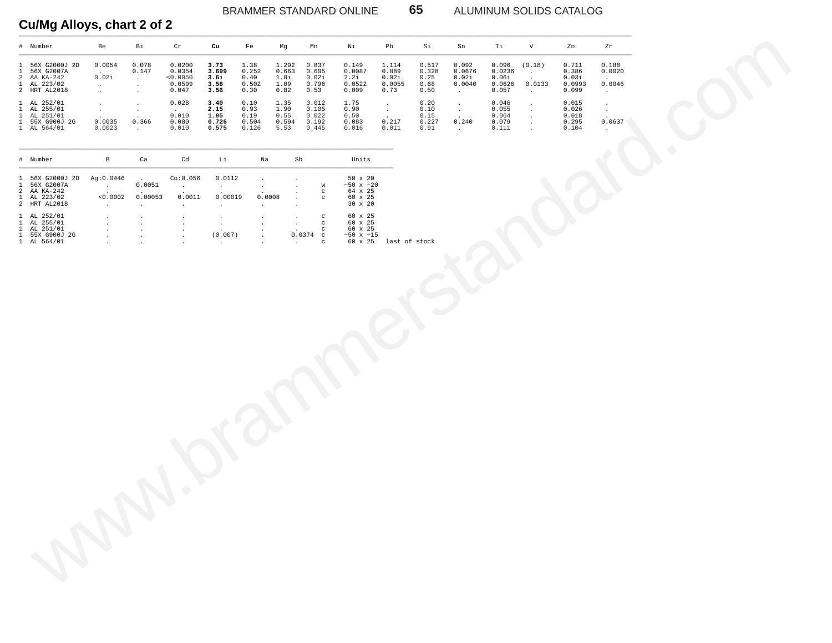## BRAMMER STANDARD ONLINE 65 ALUMINUM SOLIDS CATALOG

# Cu/Mg Alloys, chart 2 of 2

|              | # Number                                                                                                                        | Be                                               | Вi                                                    | Cr                                                                   | Cu                                                            | Fe                                      | Mg                                     | Mn                                                                 | Νi                                                                                                            | Pb                                            | Si                                     | Sn                                           | Ti                                          | V                                                                | Zn                                         | Zr                                                  |  |
|--------------|---------------------------------------------------------------------------------------------------------------------------------|--------------------------------------------------|-------------------------------------------------------|----------------------------------------------------------------------|---------------------------------------------------------------|-----------------------------------------|----------------------------------------|--------------------------------------------------------------------|---------------------------------------------------------------------------------------------------------------|-----------------------------------------------|----------------------------------------|----------------------------------------------|---------------------------------------------|------------------------------------------------------------------|--------------------------------------------|-----------------------------------------------------|--|
|              | 1 56X G2000J 2D<br>1 56X G2007A<br>2 AA KA-242<br>$\begin{tabular}{cc} 1 & AL & 223/02 \\ 2 & HRT & AL2018 \\ \end{tabular}$    | 0.0054<br>$\sim$<br>0.02i<br>$\sim$<br>$\sim$    | 0.078<br>0.147<br>$\sim$<br>$\cdot$<br>$\bullet$      | 0.0200<br>0.0354<br>< 0.0050<br>0.0599<br>0.047                      | 3.73<br>3.699<br>3.6i<br>3.58<br>3.56                         | 1.38<br>0.252<br>0.40<br>0.502<br>0.30  | 1.292<br>0.663<br>1.8i<br>1.09<br>0.82 | 0.837<br>0.605<br>0.02i<br>0.796<br>0.53                           | 0.149<br>0.0087<br>2.2i<br>0.0522<br>0.009                                                                    | 1.114<br>0.889<br>0.02i<br>0.0055<br>0.73     | 0.517<br>0.328<br>0.25<br>0.68<br>0.50 | 0.092<br>0.0676<br>0.02i<br>0.0040<br>$\sim$ | 0.096<br>0.0236<br>0.06i<br>0.0626<br>0.057 | (0.18)<br>$\sim$<br>$\ddot{\phantom{1}}$<br>0.0133<br>$\sim$     | 0.711<br>0.386<br>0.03i<br>0.0993<br>0.099 | 0.188<br>0.0020<br>0.0046<br>$\sim$                 |  |
| $\mathbf{1}$ | 1 AL 252/01<br>1 AL 255/01<br>AL 251/01<br>1 55X G900J 2G<br>1 AL 564/01                                                        | $\cdot$<br>$\sim$<br>$\cdot$<br>0.0035<br>0.0023 | $\cdot$<br>$\cdot$<br>0.366<br>$\sim$                 | 0.028<br>0.010<br>0.080<br>0.010                                     | 3.40<br>2.15<br>1.95<br>0.726<br>0.575                        | 0.10<br>0.93<br>0.19<br>0.504<br>0.126  | 1.35<br>1.90<br>0.55<br>0.594<br>5.53  | 0.012<br>0.105<br>0.022<br>0.192<br>0.445                          | 1.75<br>0.90<br>0.50<br>0.083<br>0.016                                                                        | $\sim$<br>$\sim$<br>$\cdot$<br>0.217<br>0.011 | 0.20<br>0.10<br>0.15<br>0.227<br>0.91  | $\cdot$<br>$\sim$<br>0.240<br>$\sim$         | 0.046<br>0.055<br>0.064<br>0.079<br>0.111   | $\cdot$<br>$\cdot$<br>$\cdot$<br>$\cdot$<br>$\ddot{\phantom{a}}$ | 0.015<br>0.026<br>0.018<br>0.295<br>0.104  | $\bullet$<br>$\star$<br>$\cdot$<br>0.0637<br>$\sim$ |  |
|              | # Number                                                                                                                        | $\, {\bf B}$                                     | Ca                                                    | Cd                                                                   | Li                                                            | Na                                      |                                        | Sb                                                                 | Units                                                                                                         |                                               |                                        |                                              |                                             |                                                                  |                                            |                                                     |  |
|              | 1 56X G2000J 2D<br>1 56X G2007A<br>2 AA KA-242<br>1 AL 223/02<br>2 HRT AL2018                                                   | Ag: 0.0446<br>$\sim$<br>< 0.0002<br>$\cdot$      | $\ddot{\phantom{a}}$<br>0.0051<br>0.00053<br>$\cdot$  | Co: 0.056<br>$\sim$<br>0.0011<br>$\sim$                              | 0.0112<br>$\sim$<br>$\ddot{\phantom{1}}$<br>0.00019<br>$\sim$ | $\cdot$<br>$\cdot$<br>0.0008<br>$\cdot$ |                                        | W<br>$_{\rm c}$<br>$_{\rm C}$                                      | 50 x 20<br>$~50$ x $~20$<br>64 x 25<br>60 x 25<br>30 x 20                                                     |                                               |                                        |                                              |                                             |                                                                  |                                            |                                                     |  |
|              | $\begin{array}{ccc} 1 & {\rm AL} & 252/01 \\ 1 & {\rm AL} & 255/01 \end{array}$<br>1 AL 251/01<br>1 55X G900J 2G<br>1 AL 564/01 | $\cdot$<br>$\cdot$<br>$\ddot{\phantom{1}}$       | $\bullet$<br>$\cdot$<br>$\cdot$<br>$\cdot$<br>$\cdot$ | $\bullet$<br>$\cdot$<br>$\bullet$<br>$\ddot{\phantom{a}}$<br>$\cdot$ | $\cdot$<br>$\sim$<br>(0.007)<br>$\sim$                        | $\cdot$                                 | $\cdot$<br>$\ddot{\phantom{a}}$        | $_{\rm C}$<br>$_{\rm c}$<br>$_{\rm c}$<br>$0.0374$ c<br>$_{\rm C}$ | $\begin{array}{c} 60 \text{ x } 25 \\ 60 \text{ x } 25 \end{array}$<br>$60 \times 25$<br>~50 x ~15<br>60 x 25 | last of stock                                 |                                        |                                              |                                             |                                                                  |                                            |                                                     |  |
|              |                                                                                                                                 |                                                  |                                                       |                                                                      |                                                               |                                         |                                        |                                                                    |                                                                                                               |                                               |                                        |                                              |                                             |                                                                  |                                            |                                                     |  |
|              |                                                                                                                                 |                                                  |                                                       |                                                                      |                                                               |                                         |                                        |                                                                    |                                                                                                               |                                               |                                        |                                              |                                             |                                                                  |                                            |                                                     |  |
|              |                                                                                                                                 |                                                  |                                                       |                                                                      |                                                               |                                         |                                        |                                                                    |                                                                                                               |                                               |                                        |                                              |                                             |                                                                  |                                            |                                                     |  |
|              |                                                                                                                                 |                                                  |                                                       |                                                                      |                                                               |                                         |                                        |                                                                    |                                                                                                               |                                               |                                        |                                              |                                             |                                                                  |                                            |                                                     |  |
|              |                                                                                                                                 |                                                  |                                                       |                                                                      |                                                               |                                         |                                        |                                                                    |                                                                                                               |                                               |                                        |                                              |                                             |                                                                  |                                            |                                                     |  |
|              | <b>AND</b>                                                                                                                      |                                                  |                                                       |                                                                      |                                                               |                                         |                                        |                                                                    |                                                                                                               |                                               |                                        |                                              |                                             |                                                                  |                                            |                                                     |  |
|              |                                                                                                                                 |                                                  |                                                       |                                                                      |                                                               |                                         |                                        |                                                                    |                                                                                                               |                                               |                                        |                                              |                                             |                                                                  |                                            |                                                     |  |

| # Number                                                    | B                           | Ca               | Cd                           | Li                                      | Na                   | Sb                    |                        | Units                                                           |               |
|-------------------------------------------------------------|-----------------------------|------------------|------------------------------|-----------------------------------------|----------------------|-----------------------|------------------------|-----------------------------------------------------------------|---------------|
| 1 56X G2000J 2D<br>1 56X G2007A<br>2 AA KA-242              | Ag:0.0446<br>$\overline{a}$ | 0.0051<br>$\sim$ | Co:0.056<br>$\sim$<br>$\sim$ | 0.0112<br>$\mathbf{r}$<br>$\cdot$       |                      |                       | W<br>$\mathbf{C}$      | $50 \times 20$<br>$~50 \times ~20$<br>64 x 25                   |               |
| 1 AL 223/02<br>2 HRT AL2018                                 | < 0.0002                    | 0.00053          | 0.0011                       | 0.00019<br>$\mathbf{r}$                 | 0.0008               | ٠                     | C.                     | $60 \times 25$<br>$30 \times 20$                                |               |
| 1 AL 252/01<br>1 AL 255/01<br>1 AL 251/01<br>1 55X G900J 2G | $\mathbf{r}$                |                  | $\mathbf{r}$<br>$\cdot$      | $\mathbf{r}$<br>$\mathbf{r}$<br>(0.007) | $\ddot{\phantom{a}}$ | $\cdot$<br>$0.0374$ c | c<br>c<br>$\mathbf{C}$ | $60 \times 25$<br>$60 \times 25$<br>60 x 25<br>$~50 \times ~15$ |               |
| 1 AL 564/01                                                 |                             | $\bullet$        |                              |                                         | $\cdot$              | ٠                     | C                      | $60 \times 25$                                                  | last of stock |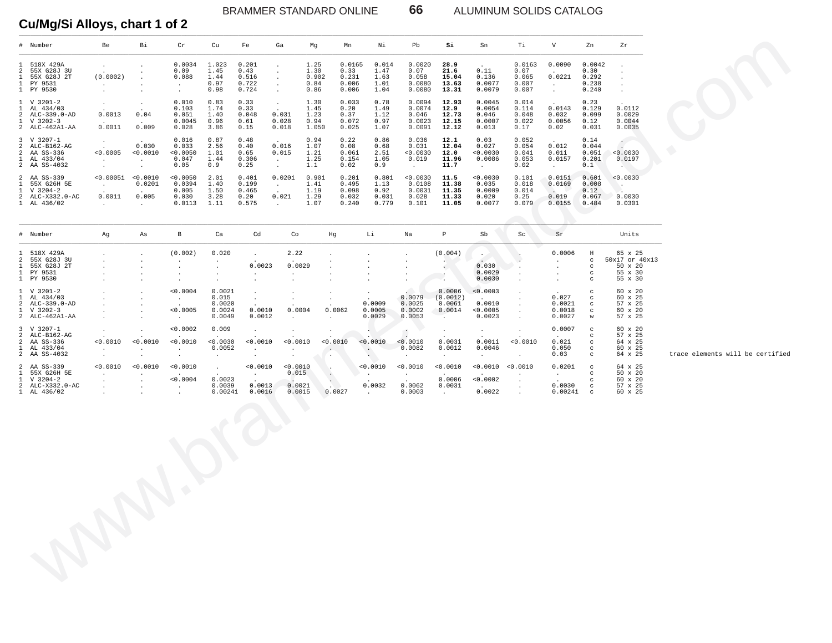BRAMMER STANDARD ONLINE **66** ALUMINUM SOLIDS CATALOG

**Cu/Mg/Si Alloys, chart 1 of 2**

|                                   | # Number                                                                                    | Be                                               | Bi                                                     | Cr                                                                | Cu                                                                          | Fe                                                   | Ga                                                                           | Mg                                                                | Νi<br>Mn                                                                                | Pb                                                         | Si                                                             | Sn                                                  | Тi                                                                     | V                                                     | Zn                                                                        | Ζr                                                                |                                  |
|-----------------------------------|---------------------------------------------------------------------------------------------|--------------------------------------------------|--------------------------------------------------------|-------------------------------------------------------------------|-----------------------------------------------------------------------------|------------------------------------------------------|------------------------------------------------------------------------------|-------------------------------------------------------------------|-----------------------------------------------------------------------------------------|------------------------------------------------------------|----------------------------------------------------------------|-----------------------------------------------------|------------------------------------------------------------------------|-------------------------------------------------------|---------------------------------------------------------------------------|-------------------------------------------------------------------|----------------------------------|
| 2<br>$\mathbf{1}$<br>$\mathbf{1}$ | 1 518X 429A<br>55X G28J 3U<br>55X G28J 2T<br>PY 9531<br>1 PY 9530                           | $\cdot$<br>(0.0002)<br>$\cdot$                   |                                                        | 0.0034<br>0.09<br>0.088<br>$\cdot$<br>$\ddot{\phantom{a}}$        | 1.023<br>1.45<br>1.44<br>0.97<br>0.98                                       | 0.201<br>0.43<br>0.516<br>0.722<br>0.724             | $\ddot{\phantom{a}}$<br>$\cdot$<br>$\cdot$<br>$\sim$<br>$\ddot{\phantom{a}}$ | 1.25<br>1.30<br>0.902<br>0.84<br>0.86                             | 0.0165<br>0.014<br>0.33<br>1.47<br>1.63<br>0.231<br>1.01<br>0.006<br>1.04<br>0.006      | 0.0020<br>0.07<br>0.058<br>0.0080<br>0.0080                | 28.9<br>21.6<br>15.04<br>13.63<br>13.31                        | 0.11<br>0.136<br>0.0077<br>0.0079                   | 0.0163<br>0.07<br>0.065<br>0.007<br>0.007                              | 0.0090<br>0.0221<br>$\sim$<br>$\sim$                  | 0.0042<br>0.30<br>0.292<br>0.238<br>0.240                                 | $\cdot$<br>$\cdot$<br>$\cdot$<br>$\cdot$                          |                                  |
| $\mathbf{1}$                      | 1 V 3201-2<br>AL 434/03<br>2 ALC-339.0-AD<br>$1 \quad V \quad 3202-3$<br>$2$ ALC-462A1-AA   | $\cdot$<br>0.0013<br>0.0011                      | $\cdot$<br>$\cdot$<br>0.04<br>$\cdot$<br>0.009         | 0.010<br>0.103<br>0.051<br>0.0045<br>0.028                        | 0.83<br>1.74<br>1.40<br>0.96<br>3.86                                        | 0.33<br>0.33<br>0.048<br>0.61<br>0.15                | $\sim$<br>$\ddot{\phantom{a}}$<br>0.031<br>0.028<br>0.018                    | 1.30<br>1.45<br>1.23<br>0.94<br>1.050                             | 0.033<br>0.78<br>0.20<br>1.49<br>0.37<br>1.12<br>0.072<br>0.97<br>0.025<br>1.07         | 0.0094<br>0.0074<br>0.046<br>0.0023<br>0.0091              | 12.93<br>12.9<br>12.73<br>12.15<br>12.12                       | 0.0045<br>0.0054<br>0.046<br>0.0007<br>0.013        | 0.014<br>0.114<br>0.048<br>0.022<br>0.17                               | 0.0143<br>0.032<br>0.0056<br>0.02                     | 0.23<br>0.129<br>0.099<br>0.12<br>0.031                                   | 0.0112<br>0.0029<br>0.0044<br>0.0035                              |                                  |
|                                   | 3 V 3207-1<br>2 ALC-B162-AG<br>2 AA SS-336<br>1 AL 433/04<br>2 AA SS-4032                   | $\cdot$<br>< 0.0005<br>$\sim$<br>$\cdot$         | 0.030<br>0.0010<br>$\cdot$<br>$\cdot$                  | 0.016<br>0.033<br>0.0050<br>0.047<br>0.05                         | 0.87<br>2.56<br>1.0i<br>1.44<br>0.9                                         | 0.48<br>0.40<br>0.65<br>0.306<br>0.25                | 0.016<br>0.015<br>$\sim$<br>$\sim$                                           | 0.94<br>1.07<br>1.2i<br>1.25<br>1.1                               | 0.22<br>0.86<br>0.08<br>0.68<br>2.5i<br>0.06i<br>1.05<br>0.154<br>0.02<br>0.9           | 0.036<br>0.031<br>0.0030<br>0.019<br>$\sim$                | 12.1<br>12.04<br>12.0<br>11.96<br>11.7                         | 0.03<br>0.027<br>0.0030<br>0.0086<br>$\sim$         | 0.052<br>0.054<br>0.04i<br>0.053<br>0.02                               | 0.012<br>0.01i<br>0.0157<br>$\sim$                    | 0.14<br>0.044<br>0.05i<br>0.201<br>0.1                                    | < 0.0030<br>0.0197<br>A.                                          |                                  |
| $\mathbf{1}$<br>$\mathbf{1}$      | 2 AA SS-339<br>55X G26H 5E<br>V 3204-2<br>2 ALC-X332.0-AC<br>1 AL 436/02                    | < 0.0005i < 0.0010<br>$\sim$<br>0.0011<br>$\sim$ | 0.0201<br>0.005<br>$\sim$                              | 0.0050<br>0.0394<br>0.005<br>0.030<br>0.0113                      | 2.0i<br>1.40<br>1.50<br>3.28<br>1.11                                        | 0.40i<br>0.199<br>0.465<br>0.20<br>0.575             | 0.020i<br>$\sim$<br>$\ddot{\phantom{a}}$<br>0.021<br>$\sim$                  | 0.90i<br>1.41<br>1.19<br>1.29<br>1.07                             | 0.80i<br>$0.20$ i<br>0.495<br>1.13<br>0.098<br>0.92<br>0.031<br>0.032<br>0.240<br>0.779 | 0.0030<br>0.0108<br>0.0031<br>0.028<br>0.101               | 11.5<br>11.38<br>11.35<br>11.33<br>11.05                       | 0.0030<br>0.035<br>0.0009<br>0.020<br>0.0077        | 0.10i<br>0.018<br>0.014<br>0.25<br>0.079<br>a n                        | 0.015i<br>0.0169<br><b>CALL TO</b><br>0.019<br>0.0155 | 0.60i<br>0.008<br>0.12<br>0.067<br>0.484                                  | < 0.0030<br>$\sim$<br>0.0030<br>0.0301                            |                                  |
|                                   | # Number                                                                                    | Ag                                               | As                                                     | B                                                                 | Ca                                                                          | Cd                                                   | Co                                                                           | Hg                                                                | Li                                                                                      | Na                                                         | Ρ                                                              | Sb                                                  | Sc                                                                     | Sr                                                    |                                                                           | Units                                                             |                                  |
| 2<br>$\mathbf{1}$                 | 1 518X 429A<br>55X G28J 3U<br>55X G28J 2T<br>1 PY 9531<br>1 PY 9530                         |                                                  | $\cdot$                                                | (0.002)<br>$\cdot$<br>$\cdot$<br>$\cdot$                          | 0.020                                                                       | $\cdot$<br>0.0023<br>$\cdot$<br>$\cdot$              | 2.22<br>0.0029<br>$\cdot$                                                    | $\cdot$<br>$\cdot$<br>$\cdot$                                     |                                                                                         |                                                            | (0.004)<br>$\sim$<br>$\ddot{\phantom{a}}$                      | $\sim$<br>0.030<br>0.0029<br>0.0030                 | $\cdot$<br>$\cdot$<br>$\ddot{\phantom{a}}$<br>$\cdot$                  | 0.0006<br>$\cdot$<br>$\cdot$<br>$\cdot$<br>$\cdot$    | Η<br>$\mathtt{C}$<br>$\mathtt{C}$<br>$\mathtt{C}$<br>$\mathtt{C}$         | 65 x 25<br>50x17 or 40x13<br>$50 \times 20$<br>55 x 30<br>55 x 30 |                                  |
|                                   | 1 V 3201-2<br>1 AL 434/03<br>2 ALC-339.0-AD<br>$1 \quad V \quad 3202-3$<br>$2$ ALC-462A1-AA | $\cdot$                                          | $\cdot$<br>$\cdot$                                     | 0.0004<br>$\sim$<br>< 0.0005<br>$\ddot{\phantom{0}}$              | 0.0021<br>0.015<br>0.0020<br>0.0024<br>0.0049                               | $\cdot$<br>$\cdot$<br>0.0010<br>0.0012               | $\cdot$<br>0.0004<br>$\ddot{\phantom{a}}$                                    | $\cdot$<br>$\cdot$<br>0.0062<br>$\ddot{\phantom{a}}$              | $\cdot$<br>$\sim$<br>0.0009<br>0.0005<br>0.0029                                         | 0.0079<br>0.0025<br>0.0002<br>0.0053                       | 0.0006<br>(0.0012)<br>0.0061<br>0.0014<br>$\ddot{\phantom{a}}$ | < 0.0003<br>0.0010<br>0.0005<br>0.0023              | $\cdot$<br>$\cdot$<br>$\cdot$<br>$\cdot$                               | 0.027<br>0.0021<br>0.0018<br>0.0027                   | $\mathtt{C}$<br>$\mathtt{C}$<br>$\mathtt{C}$<br>$\mathtt{C}$<br>W         | 60 x 20<br>60 x 25<br>57 x 25<br>60 x 20<br>57 x 25               |                                  |
|                                   | 3 V 3207-1<br>2 ALC-B162-AG<br>2 AA SS-336<br>1 AL 433/04<br>2 AA SS-4032                   | $\cdot$<br>< 0.0010<br>$\cdot$<br>$\cdot$        | $\cdot$<br>< 0.0010<br>$\ddot{\phantom{a}}$<br>$\cdot$ | 0.0002<br>< 0.0010<br>$\sim$<br>$\cdot$                           | 0.009<br>< 0.0030<br>0.0052<br>$\ddot{\phantom{a}}$                         | $\bullet$<br>< 0.0010<br>$\cdot$<br>$\cdot$          | $\cdot$<br>< 0.0010<br>$\ddot{\phantom{a}}$                                  | $\sim$<br>< 0.0010<br>$\ddot{\phantom{a}}$<br>. .                 | < 0.0010<br>$\sim$<br>$\sim$                                                            | $\ddot{\phantom{1}}$<br>< 0.0010<br>0.0082<br>$\mathbf{r}$ | $\cdot$<br>0.003i<br>0.0012<br>$\cdot$                         | $\cdot$<br>0.001i<br>0.0046<br>$\ddot{\phantom{a}}$ | $\cdot$<br>< 0.0010<br>$\cdot$                                         | 0.0007<br>0.02i<br>0.050<br>0.03                      | $\mathbf C$<br>$\mathbf C$<br>$\mathbf C$<br>$\mathtt{C}$<br>$\mathtt{C}$ | 60 x 20<br>57 x 25<br>64 x 25<br>60 x 25<br>64 x 25               | trace elements will be certified |
| $\mathbf{1}$<br>$\mathbf{1}$      | 2 AA SS-339<br>55X G26H 5E<br>V 3204-2<br>2 ALC-X332.0-AC<br>1 AL 436/02                    | 0.0010<br>$\cdot$<br>$\cdot$<br>$\cdot$          | < 0.0010<br>$\cdot$<br>$\cdot$<br>$\cdot$              | < 0.0010<br>$\sim$<br>< 0.0004<br>$\cdot$<br>$\ddot{\phantom{a}}$ | $\ddot{\phantom{a}}$<br>$\ddot{\phantom{a}}$<br>0.0023<br>0.0039<br>0.0024i | < 0.0010<br>$\ddot{\phantom{a}}$<br>0.0013<br>0.0016 | < 0.0010<br>0.015<br>0.0021<br>0.0015                                        | $\ddot{\phantom{1}}$<br>$\cdot$<br>$\sim$<br><b>ALC</b><br>0.0027 | 0.0010<br>$\ddot{\phantom{1}}$<br>0.0032<br>$\sim$                                      | < 0.0010<br>$\ddot{\phantom{a}}$<br>0.0062<br>0.0003       | < 0.0010<br>0.0006<br>0.0031<br>$\sim$                         | < 0.0002<br>0.0022                                  | < 0.0010 < 0.0010<br>$\cdot$<br>$\cdot$<br>$\blacksquare$ .<br>$\cdot$ | 0.020i<br>$\sim$<br>0.0030<br>0.0024i                 | $\mathbf C$<br>$\mathtt{C}$<br>$\mathbf C$<br>$\mathtt{C}$<br>$\mathbf C$ | 64 x 25<br>50 x 20<br>60 x 20<br>57 x 25<br>60 x 25               |                                  |
|                                   |                                                                                             |                                                  |                                                        |                                                                   |                                                                             |                                                      |                                                                              |                                                                   |                                                                                         |                                                            |                                                                |                                                     |                                                                        |                                                       |                                                                           |                                                                   |                                  |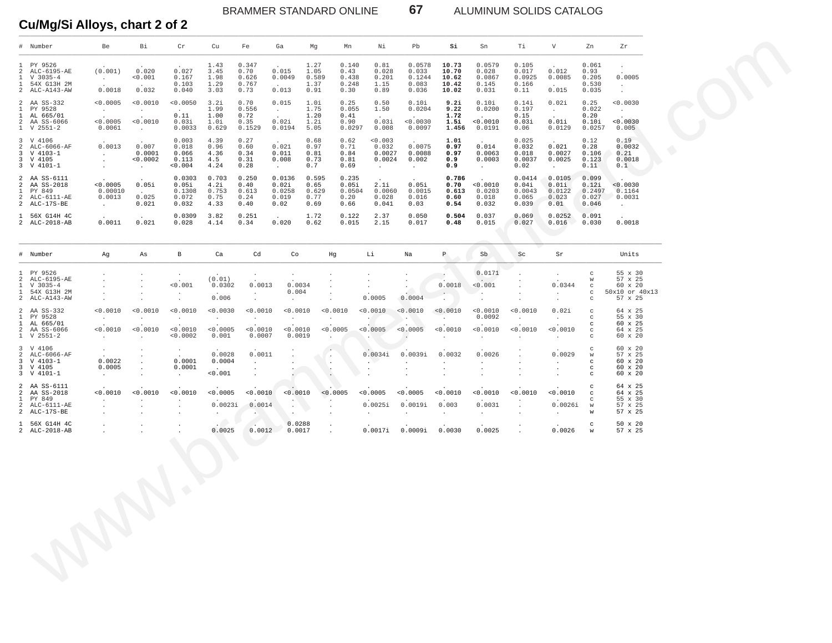BRAMMER STANDARD ONLINE 67 ALUMINUM SOLIDS CATALOG

**Cu/Mg/Si Alloys, chart 2 of 2**

| # Number<br>Be<br>Bi<br>Cr<br>Cu<br>Fe<br>Ga<br>Mg<br>Mn<br>Νi<br>Pb<br>Si<br>Sn<br>Ti<br>1 PY 9526<br>0.347<br>1.27<br>0.140<br>0.81<br>0.0578<br>10.73<br>0.0579<br>0.105<br>1.43<br>$\sim$<br>(0.001)<br>0.027<br>2<br>ALC-6195-AE<br>0.020<br>3.45<br>0.70<br>0.015<br>1.05<br>0.43<br>0.028<br>0.033<br>10.70<br>0.028<br>0.017<br>$\mathbf{1}$<br>$V$ 3035-4<br>< 0.001<br>0.167<br>1.98<br>0.626<br>0.0049<br>0.589<br>0.438<br>0.201<br>0.1244<br>10.62<br>0.0867<br>0.0925<br><b>Contract</b><br>54X G13H 2M<br>0.103<br>1.29<br>0.767<br>1.37<br>0.248<br>1.15<br>0.083<br>10.42<br>0.145<br>0.166<br>$\mathbf{1}$<br>$\sim$<br>$\sim$<br>$\sim$<br>0.0018<br>0.032<br>0.013<br>2 ALC-A143-AW<br>0.040<br>3.03<br>0.73<br>0.91<br>0.30<br>0.89<br>0.036<br>10.02<br>0.031<br>0.11<br>2 AA SS-332<br>< 0.0005<br>< 0.0010<br>< 0.0050<br>3.2i<br>0.70<br>0.015<br>1.0i<br>0.25<br>0.50<br>0.10i<br>9.2i<br>0.10i<br>0.14i<br>$\mathbf{1}$<br>PY 9528<br>1.99<br>0.556<br>1.75<br>0.055<br>1.50<br>0.0204<br>9.22<br>0.0200<br>0.197<br>$\sim 10^{-10}$<br>$\sim$<br><b>Contract</b><br>$\sim$<br>AL 665/01<br>0.11<br>1.00<br>0.72<br>1.20<br>0.41<br>1.72<br>0.15<br>$\mathbf{1}$<br>$\sim$<br>$\sim$<br>$\sim$<br>$\overline{a}$<br>$\sim$<br>$\sim$<br>< 0.0005<br>< 0.0010<br>0.02i<br>2 AA SS-6066<br>0.03i<br>1.0i<br>0.35<br>1.2i<br>0.90<br>0.03i<br>0.0030<br>1.5i<br>< 0.0010<br>0.03i<br>$1 \quad V 2551-2$<br>0.0061<br>0.0033<br>0.629<br>0.1529<br>0.0194<br>5.05<br>0.0297<br>0.008<br>0.0097<br>1.456<br>0.0191<br>0.06<br><b>Contract</b><br>3 V 4106<br>0.003<br>4.39<br>0.27<br>0.68<br>0.62<br>0.003<br>0.025<br>1.01<br>$\sim$<br>0.0013<br>0.0075<br>0.014<br>$\overline{2}$<br>ALC-6066-AF<br>0.007<br>0.018<br>0.96<br>0.60<br>0.021<br>0.97<br>0.71<br>0.032<br>0.97<br>0.032<br>3<br>V 4103-1<br>0.0001<br>0.066<br>4.36<br>0.34<br>0.011<br>0.81<br>0.84<br>0.0027<br>0.0088<br>0.97<br>0.0063<br>0.018<br>$\sim 10^{-11}$<br>3 V 4105<br>< 0.0002<br>0.113<br>4.5<br>0.31<br>0.008<br>0.73<br>0.81<br>0.0024<br>0.002<br>0.9<br>0.0003<br>0.0037<br>$\sim$<br>3 V 4101-1<br>< 0.004<br>4.24<br>0.28<br>0.7<br>0.69<br>0.9<br>0.02<br>$\sim$<br>$\sim 10^{-11}$<br>$\sim 10^{-1}$<br>$\sim$<br>$\sim$ $-$<br>$\sim$<br>2 AA SS-6111<br>0.0303<br>0.703<br>0.250<br>0.0136<br>0.595<br>0.235<br>0.786<br>0.0414<br>$\sim$<br>< 0.0005<br>0.05i<br>2<br>AA SS-2018<br>0.05i<br>4.2i<br>0.40<br>0.02i<br>0.65<br>0.05i<br>2.1i<br>0.05i<br>0.70<br>< 0.0010<br>0.04i<br>PY 849<br>0.00010<br>0.1308<br>0.753<br>0.613<br>0.0258<br>0.629<br>0.0504<br>0.0060<br>0.0015<br>0.613<br>0.0203<br>0.0043<br>$\mathbf{1}$<br>$\sim 10^{-11}$<br>ALC-6111-AE<br>0.0013<br>0.025<br>0.072<br>0.75<br>0.24<br>0.019<br>0.77<br>0.20<br>0.028<br>0.016<br>0.60<br>0.018<br>0.065<br>2<br>2 ALC-17S-BE<br>0.021<br>0.032<br>4.33<br>0.40<br>0.02<br>0.69<br>0.66<br>0.041<br>0.03<br>0.54<br>0.032<br>0.039<br>$\sim 10^{-11}$<br>1 56X G14H 4C<br>0.0309<br>3.82<br>0.251<br>1.72<br>0.122<br>2.37<br>0.050<br>0.504<br>0.037<br>0.069<br>$\sim$<br>0.0011<br>2 ALC-2018-AB<br>0.021<br>0.028<br>4.14<br>0.34<br>0.020<br>0.62<br>0.015<br>2.15<br>0.017<br>0.48<br>0.015<br>0.027 | V<br>$\sim$<br>0.012<br>0.0085<br><b>Contract Contract</b><br>0.015<br>0.02i<br>0.25<br><b>College</b><br>0.20<br>$\sim$<br>0.01i<br>0.0129<br>0.12<br>$\sim$<br>0.021<br>0.28<br>0.0027<br>0.0025<br>$\sim$ $-$<br>0.0105<br>0.01i<br>0.0122 | Zn<br>Zr<br>0.061<br>$\cdot$<br>0.93<br>0.205<br>0.0005<br>0.530<br>$\sim$<br>0.035<br>$\cdot$<br>< 0.0030<br>0.022<br>$\sim 10^{-11}$<br>< 0.0030<br>0.10i<br>0.0257<br>0.005<br>0.19<br>0.0032<br>0.106<br>0.21<br>0.123<br>0.0018<br>0.11<br>0.1 |
|-----------------------------------------------------------------------------------------------------------------------------------------------------------------------------------------------------------------------------------------------------------------------------------------------------------------------------------------------------------------------------------------------------------------------------------------------------------------------------------------------------------------------------------------------------------------------------------------------------------------------------------------------------------------------------------------------------------------------------------------------------------------------------------------------------------------------------------------------------------------------------------------------------------------------------------------------------------------------------------------------------------------------------------------------------------------------------------------------------------------------------------------------------------------------------------------------------------------------------------------------------------------------------------------------------------------------------------------------------------------------------------------------------------------------------------------------------------------------------------------------------------------------------------------------------------------------------------------------------------------------------------------------------------------------------------------------------------------------------------------------------------------------------------------------------------------------------------------------------------------------------------------------------------------------------------------------------------------------------------------------------------------------------------------------------------------------------------------------------------------------------------------------------------------------------------------------------------------------------------------------------------------------------------------------------------------------------------------------------------------------------------------------------------------------------------------------------------------------------------------------------------------------------------------------------------------------------------------------------------------------------------------------------------------------------------------------------------------------------------------------------------------------------------------------------------------------------------------------------------------------------------------------------------------------------------------------------------------------------------------------------------------------------------------------------------------------------------------------------------------------------------------------------------------------------------------------------------|-----------------------------------------------------------------------------------------------------------------------------------------------------------------------------------------------------------------------------------------------|-----------------------------------------------------------------------------------------------------------------------------------------------------------------------------------------------------------------------------------------------------|
|                                                                                                                                                                                                                                                                                                                                                                                                                                                                                                                                                                                                                                                                                                                                                                                                                                                                                                                                                                                                                                                                                                                                                                                                                                                                                                                                                                                                                                                                                                                                                                                                                                                                                                                                                                                                                                                                                                                                                                                                                                                                                                                                                                                                                                                                                                                                                                                                                                                                                                                                                                                                                                                                                                                                                                                                                                                                                                                                                                                                                                                                                                                                                                                                           |                                                                                                                                                                                                                                               |                                                                                                                                                                                                                                                     |
|                                                                                                                                                                                                                                                                                                                                                                                                                                                                                                                                                                                                                                                                                                                                                                                                                                                                                                                                                                                                                                                                                                                                                                                                                                                                                                                                                                                                                                                                                                                                                                                                                                                                                                                                                                                                                                                                                                                                                                                                                                                                                                                                                                                                                                                                                                                                                                                                                                                                                                                                                                                                                                                                                                                                                                                                                                                                                                                                                                                                                                                                                                                                                                                                           |                                                                                                                                                                                                                                               |                                                                                                                                                                                                                                                     |
|                                                                                                                                                                                                                                                                                                                                                                                                                                                                                                                                                                                                                                                                                                                                                                                                                                                                                                                                                                                                                                                                                                                                                                                                                                                                                                                                                                                                                                                                                                                                                                                                                                                                                                                                                                                                                                                                                                                                                                                                                                                                                                                                                                                                                                                                                                                                                                                                                                                                                                                                                                                                                                                                                                                                                                                                                                                                                                                                                                                                                                                                                                                                                                                                           |                                                                                                                                                                                                                                               |                                                                                                                                                                                                                                                     |
|                                                                                                                                                                                                                                                                                                                                                                                                                                                                                                                                                                                                                                                                                                                                                                                                                                                                                                                                                                                                                                                                                                                                                                                                                                                                                                                                                                                                                                                                                                                                                                                                                                                                                                                                                                                                                                                                                                                                                                                                                                                                                                                                                                                                                                                                                                                                                                                                                                                                                                                                                                                                                                                                                                                                                                                                                                                                                                                                                                                                                                                                                                                                                                                                           |                                                                                                                                                                                                                                               |                                                                                                                                                                                                                                                     |
|                                                                                                                                                                                                                                                                                                                                                                                                                                                                                                                                                                                                                                                                                                                                                                                                                                                                                                                                                                                                                                                                                                                                                                                                                                                                                                                                                                                                                                                                                                                                                                                                                                                                                                                                                                                                                                                                                                                                                                                                                                                                                                                                                                                                                                                                                                                                                                                                                                                                                                                                                                                                                                                                                                                                                                                                                                                                                                                                                                                                                                                                                                                                                                                                           | 0.023<br>0.01                                                                                                                                                                                                                                 | 0.099<br>0.12i<br>< 0.0030<br>0.2497<br>0.1164<br>0.027<br>0.0031<br>0.046<br>$\sim 10^{-11}$                                                                                                                                                       |
|                                                                                                                                                                                                                                                                                                                                                                                                                                                                                                                                                                                                                                                                                                                                                                                                                                                                                                                                                                                                                                                                                                                                                                                                                                                                                                                                                                                                                                                                                                                                                                                                                                                                                                                                                                                                                                                                                                                                                                                                                                                                                                                                                                                                                                                                                                                                                                                                                                                                                                                                                                                                                                                                                                                                                                                                                                                                                                                                                                                                                                                                                                                                                                                                           | 0.0252<br>0.016                                                                                                                                                                                                                               | 0.091<br>0.030<br>0.0018                                                                                                                                                                                                                            |
| $\mathbf{B}$<br>Ca<br>Cd<br>Co<br>Li<br>$\mathbb{P}$<br>Sb<br># Number<br>Ag<br>As<br>Hg<br>Na<br>Sc                                                                                                                                                                                                                                                                                                                                                                                                                                                                                                                                                                                                                                                                                                                                                                                                                                                                                                                                                                                                                                                                                                                                                                                                                                                                                                                                                                                                                                                                                                                                                                                                                                                                                                                                                                                                                                                                                                                                                                                                                                                                                                                                                                                                                                                                                                                                                                                                                                                                                                                                                                                                                                                                                                                                                                                                                                                                                                                                                                                                                                                                                                      | Sr                                                                                                                                                                                                                                            | Units                                                                                                                                                                                                                                               |
| 1 PY 9526<br>0.0171<br>$\cdot$<br>$\cdot$<br>$\cdot$<br>$\cdot$<br>$\cdot$<br>$\cdot$<br>2<br>ALC-6195-AE<br>(0.01)<br>$\ddot{\phantom{0}}$<br>$\overline{a}$<br>$\ddot{\phantom{a}}$<br>$\cdot$<br>$\sim$<br>< 0.001<br>0.0013<br>0.0034<br>0.0018<br>$\mathbf{1}$<br>$V$ 3035-4<br>0.0302<br>< 0.001<br>$\ddot{\phantom{0}}$<br>$\ddot{\phantom{a}}$<br>54X G13H 2M<br>0.004<br>$\mathbf{1}$<br>$\sim$<br>$\sim$<br>$\cdot$<br>$\ddot{\phantom{0}}$<br>$\cdot$<br>$\cdot$<br>$\cdot$<br>2 ALC-A143-AW<br>0.006<br>0.0005<br>0.0004<br>$\cdot$<br>$\sim$<br>$\ddot{\phantom{a}}$<br>$\ddot{\phantom{1}}$<br>$\sim$<br>$\ddot{\phantom{a}}$<br>$\cdot$<br>$\ddot{\phantom{a}}$                                                                                                                                                                                                                                                                                                                                                                                                                                                                                                                                                                                                                                                                                                                                                                                                                                                                                                                                                                                                                                                                                                                                                                                                                                                                                                                                                                                                                                                                                                                                                                                                                                                                                                                                                                                                                                                                                                                                                                                                                                                                                                                                                                                                                                                                                                                                                                                                                                                                                                                            | $\sim$<br>$\sim$<br>0.0344<br>$\cdot$<br>$\sim$                                                                                                                                                                                               | 55 x 30<br>$_{\rm C}$<br>57 x 25<br>W<br>$_{\rm C}$<br>60 x 20<br>50x10 or 40x13<br>$_{\rm C}$<br>57 x 25<br>$_{\rm C}$                                                                                                                             |
| < 0.0010<br>< 0.0010<br>2 AA SS-332<br>< 0.0010<br>< 0.0010<br>< 0.0030<br>< 0.0010<br>< 0.0010<br>< 0.0010<br>< 0.0010<br>< 0.0010<br>< 0.0010<br>< 0.0010<br>$\mathbf{1}$<br>PY 9528<br>0.0092<br>$\sim 10^{-11}$<br>$\cdot$<br>$\sim$<br>$\sim$<br>$\cdot$<br>$\cdot$<br>$\ddot{\phantom{a}}$<br>$\sim$<br>$\ddot{\phantom{a}}$<br>$\sim$<br>$\sim$<br>$\mathbf{1}$<br>AL 665/01<br>$\ddot{\phantom{a}}$<br>< 0.0010<br>< 0.0010<br>< 0.0010<br>< 0.0005<br>< 0.0010<br>< 0.0010<br>< 0.0005<br>< 0.0010<br>< 0.0010<br>< 0.0010<br>2 AA SS-6066<br>< 0.0005<br>< 0.0005<br>$1 \quad V 2551-2$<br>< 0.0002<br>0.001<br>0.0007<br>0.0019<br>$\sim 10^{-11}$<br>$\sim$<br>$\ddot{\phantom{a}}$<br>$\sim$                                                                                                                                                                                                                                                                                                                                                                                                                                                                                                                                                                                                                                                                                                                                                                                                                                                                                                                                                                                                                                                                                                                                                                                                                                                                                                                                                                                                                                                                                                                                                                                                                                                                                                                                                                                                                                                                                                                                                                                                                                                                                                                                                                                                                                                                                                                                                                                                                                                                                                 | 0.02i<br>$\sim$<br>$\sim$<br>< 0.0010<br>$\cdot$                                                                                                                                                                                              | 64 x 25<br>$_{\rm C}$<br>55 x 30<br>$_{\rm C}$<br>60 x 25<br>$\mathbf{C}$<br>64 x 25<br>$_{\rm C}$<br>60 x 20<br>$_{\rm C}$                                                                                                                         |
| 3 V 4106<br>$\cdot$<br>$\cdot$<br>$\cdot$<br>0.0028<br>0.0011<br>ALC-6066-AF<br>0.0034i<br>0.0039i<br>0.0032<br>0.0026<br>2<br>$\sim$<br>$\sim$<br>$\cdot$<br>$\cdot$<br>0.0022<br>3<br>V 4103-1<br>0.0001<br>0.0004<br>$\cdot$<br>$\cdot$<br>$\cdot$<br>$\cdot$<br>$\sim$ $\sim$<br>$\cdot$<br>3 V 4105<br>0.0005<br>0.0001<br>$\sim$<br>$\sim$<br>$\cdot$<br>$\cdot$<br>$\cdot$<br>< 0.001<br>3 V 4101-1<br>$\sim 10^{-10}$<br>$\sim$<br>$\ddot{\phantom{a}}$<br>$\sim$<br>$\ddot{\phantom{1}}$<br>$\cdot$<br>$\mathbf{r}$<br>$\mathbf{r}$                                                                                                                                                                                                                                                                                                                                                                                                                                                                                                                                                                                                                                                                                                                                                                                                                                                                                                                                                                                                                                                                                                                                                                                                                                                                                                                                                                                                                                                                                                                                                                                                                                                                                                                                                                                                                                                                                                                                                                                                                                                                                                                                                                                                                                                                                                                                                                                                                                                                                                                                                                                                                                                              | $\circ$<br>0.0029<br>$\cdot$<br>$\cdot$<br>$\sim$                                                                                                                                                                                             | $60 \times 20$<br>57 x 25<br>W<br>$60 \times 20$<br>$\mathbf{C}$<br>$60 \times 20$<br>$\mathbf{C}$<br>$60 \times 20$<br>$\mathbf{C}$                                                                                                                |
| 2 AA SS-6111<br>$\overline{2}$<br>AA SS-2018<br>< 0.0010<br>< 0.0010<br>< 0.0010<br>0.0005<br>< 0.0010<br>< 0.0010<br>< 0.0005<br>< 0.0005<br>< 0.0005<br>< 0.0010<br>< 0.0010<br>< 0.0010<br>PY 849<br>$\mathbf{1}$<br>$\sim$<br>$\ddot{\phantom{1}}$<br>ALC-6111-AE<br>0.0023i<br>0.0014<br>0.0025i<br>0.0019i<br>0.003<br>0.0031<br>2<br>$\sim$<br>$\cdot$<br>$\cdot$<br>$\cdot$<br>$\cdot$<br>$\cdot$<br>2 ALC-17S-BE<br>$\ddot{\phantom{a}}$<br>$\ddot{\phantom{a}}$<br>$\ddot{\phantom{a}}$<br>$\cdot$<br>$\cdot$<br>$\sim$<br>$\ddot{\phantom{a}}$                                                                                                                                                                                                                                                                                                                                                                                                                                                                                                                                                                                                                                                                                                                                                                                                                                                                                                                                                                                                                                                                                                                                                                                                                                                                                                                                                                                                                                                                                                                                                                                                                                                                                                                                                                                                                                                                                                                                                                                                                                                                                                                                                                                                                                                                                                                                                                                                                                                                                                                                                                                                                                                 | < 0.0010<br>$\sim$<br>0.0026i<br>$\cdot$                                                                                                                                                                                                      | 64 x 25<br>$\mathbf{C}$<br>64 x 25<br>$\mathbf{C}$<br>55 x 30<br>$_{\rm C}$<br>57 x 25<br>W<br>57 x 25<br>W                                                                                                                                         |
| 12<br>1 56X G14H 4C<br>0.0288<br>$\cdot$<br>0.0017i 0.0009i<br>0.0025<br>2 ALC-2018-AB<br>0.0025<br>0.0012<br>0.0017<br>0.0030<br>$\ddot{\phantom{a}}$<br>$\ddot{\phantom{a}}$<br>$\mathbf{r}$                                                                                                                                                                                                                                                                                                                                                                                                                                                                                                                                                                                                                                                                                                                                                                                                                                                                                                                                                                                                                                                                                                                                                                                                                                                                                                                                                                                                                                                                                                                                                                                                                                                                                                                                                                                                                                                                                                                                                                                                                                                                                                                                                                                                                                                                                                                                                                                                                                                                                                                                                                                                                                                                                                                                                                                                                                                                                                                                                                                                            | $\circ$<br>0.0026                                                                                                                                                                                                                             | $50 \times 20$<br>57 x 25<br>W                                                                                                                                                                                                                      |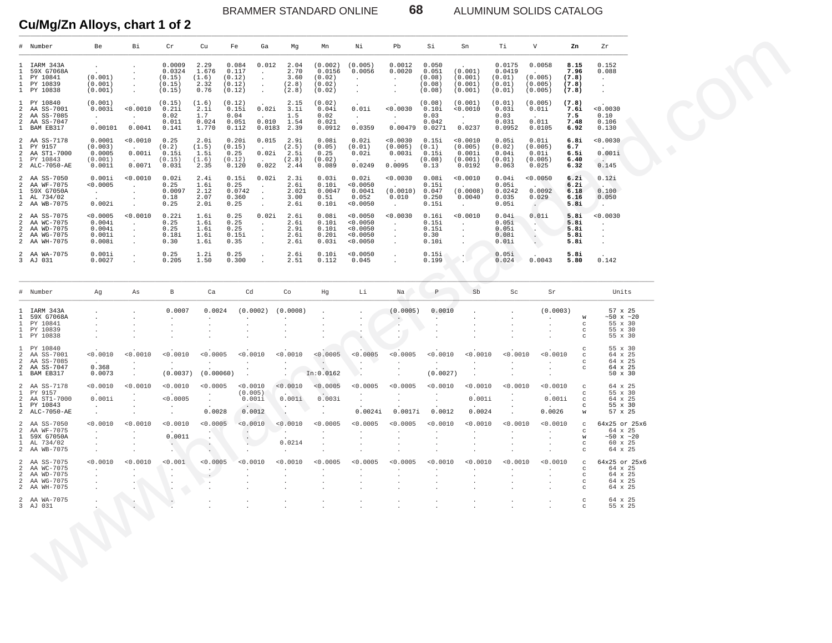BRAMMER STANDARD ONLINE **68** ALUMINUM SOLIDS CATALOG

|                                                                           | # Number                                                              | Be                                                             | Вi                                                 | $\operatorname{\sf Cr}$                        | Cu                                       | Fe<br>Ga                                                                                               | Mg                                         | Mn                                              | Νi                                               | Pb                                                           | Si                                           | Sn                                                | Тi                                             | V                                                             | Zn                                          | Zr                                                                |
|---------------------------------------------------------------------------|-----------------------------------------------------------------------|----------------------------------------------------------------|----------------------------------------------------|------------------------------------------------|------------------------------------------|--------------------------------------------------------------------------------------------------------|--------------------------------------------|-------------------------------------------------|--------------------------------------------------|--------------------------------------------------------------|----------------------------------------------|---------------------------------------------------|------------------------------------------------|---------------------------------------------------------------|---------------------------------------------|-------------------------------------------------------------------|
| 1.<br>1<br>1                                                              | 1 IARM 343A<br>59X G7068A<br>PY 10841<br>PY 10839<br>1 PY 10838       | $\sim$<br>(0.001)<br>(0.001)<br>(0.001)                        | $\cdot$<br>$\cdot$<br>$\cdot$<br>$\sim$<br>$\cdot$ | 0.0009<br>0.0324<br>(0.15)<br>(0.15)<br>(0.15) | 2.29<br>1.676<br>(1.6)<br>2.32<br>0.76   | 0.084<br>0.012<br>0.117<br>(0.12)<br>(0.12)<br>$\cdot$<br>(0.12)<br>$\sim$                             | 2.04<br>2.70<br>3.60<br>(2.8)<br>(2.8)     | (0.002)<br>0.0156<br>(0.02)<br>(0.02)<br>(0.02) | (0.005)<br>0.0056<br>$\cdot$<br>$\sim$<br>$\sim$ | 0.0012<br>0.0020<br>$\sim$<br>$\sim$<br>$\ddot{\phantom{a}}$ | 0.050<br>0.051<br>(0.08)<br>(0.08)<br>(0.08) | (0.001)<br>(0.001)<br>(0.001)<br>(0.001)          | 0.0175<br>0.0419<br>(0.01)<br>(0.01)<br>(0.01) | 0.0058<br>(0.005)<br>(0.005)<br>(0.005)                       | 8.15<br>7.96<br>(7.8)<br>(7.8)<br>(7.8)     | 0.152<br>0.088<br>$\cdot$<br>$\cdot$<br>$\blacksquare$            |
| 1.<br>2<br>$\overline{a}$<br>$\overline{a}$<br>$\mathbf{1}$               | PY 10840<br>AA SS-7001<br>AA SS-7085<br>AA SS-7047<br>BAM EB317       | (0.001)<br>0.003i<br>$\sim$<br>0.00101                         | 0.0010<br>$\cdot$<br>0.0041                        | (0.15)<br>0.21i<br>0.02<br>0.011<br>0.141      | (1.6)<br>2.1i<br>1.7<br>0.024<br>1.770   | (0.12)<br>0.15i<br>0.02i<br>0.04<br>0.010<br>0.051<br>0.112                                            | 2.15<br>3.1i<br>1.5<br>1.54<br>0.0183 2.39 | (0.02)<br>0.04i<br>0.02<br>0.021<br>0.0912      | 0.01i<br>$\sim$<br>0.0359                        | 0.0030<br>$\sim$<br>$0.00479$ 0.0271                         | (0.08)<br>0.10i<br>0.03<br>0.042             | (0.001)<br>0.0010<br>$\sim$<br>0.0237             | (0.01)<br>0.03i<br>0.03<br>0.031<br>0.0952     | (0.005)<br>0.01i<br>$\sim$<br>0.011<br>0.0105                 | (7.8)<br>7.6i<br>7.5<br>7.48<br>6.92        | 0.0030<br>0.10<br>0.106<br>0.130                                  |
| 1.<br>2<br>-1.                                                            | 2 AA SS-7178<br>PY 9157<br>AA ST1-7000<br>PY 10843<br>2 ALC-7050-AE   | 0.0001<br>(0.003)<br>0.0005<br>(0.001)<br>0.0011               | 0.0010<br>0.001i<br>$\sim$ $\sim$<br>0.0071        | 0.25<br>(0.2)<br>0.15i<br>(0.15)<br>0.031      | 2.0i<br>(1.5)<br>1.5i<br>(1.6)<br>2.35   | 0.20i<br>0.015<br>(0.15)<br>$\sim$<br>0.25<br>0.02i<br>(0.12)<br>$\sim$ $\sim$<br>0.022<br>0.120       | 2.9i<br>(2.5)<br>2.5i<br>(2.8)<br>2.44     | 0.08i<br>(0.05)<br>0.25<br>(0.02)<br>0.089      | 0.02i<br>(0.01)<br>0.02i<br>0.0249               | 0.0030<br>(0.005)<br>0.003i<br>$\sim$<br>0.0095              | 0.15i<br>(0.1)<br>0.15i<br>(0.08)<br>0.13    | 0.0010<br>(0.005)<br>0.001i<br>(0.001)<br>0.0192  | 0.05i<br>(0.02)<br>0.04i<br>(0.01)<br>0.063    | 0.01i<br>(0.005)<br>0.01i<br>(0.005)<br>0.025                 | 6.8i<br>6.7<br>6.5i<br>6.40<br>6.32         | < 0.0030<br>0.001i<br>$\sim$ $\sim$<br>0.145                      |
| 2<br>1.<br>$\mathbf{1}$                                                   | 2 AA SS-7050<br>AA WF-7075<br>59X G7050A<br>AL 734/02<br>2 AA WB-7075 | 0.001i<br>< 0.0005<br>$\sim$<br>$\ddot{\phantom{a}}$<br>0.002i | 0.0010<br>$\cdot$<br>$\cdot$<br>$\cdot$            | 0.02i<br>0.25<br>0.0097<br>0.18<br>0.25        | 2.4i<br>1.6i<br>2.12<br>2.07<br>2.0i     | 0.15i<br>0.02i<br>0.25<br>$\cdot$<br>0.0742<br>$\blacksquare$ .<br>0.360<br>$\cdot$<br>0.25<br>$\cdot$ | 2.3i<br>2.6i<br>2.021<br>3.00<br>2.6i      | 0.03i<br>0.10i<br>0.0047<br>0.51<br>0.10i       | 0.02i<br>0.0050<br>0.0041<br>0.052<br>0.0050     | 0.0030<br>(0.0010)<br>0.010<br>$\sim$                        | 0.08i<br>0.15i<br>0.047<br>0.250<br>0.15i    | 0.0010<br>(0.0008)<br>0.0040<br>$\sim$            | 0.04i<br>0.05i<br>0.0242<br>0.035<br>0.05i     | 0.0050<br>$\sim$<br>0.0092<br>0.029<br>$\sim$                 | 6.2i<br>6.2i<br>6.18<br>6.16<br>5.8i        | 0.12i<br>0.100<br>0.050<br>$\overline{a}$                         |
| $\overline{a}$<br>2<br>$\overline{a}$<br>$\overline{a}$<br>$\overline{a}$ | AA SS-7075<br>AA WC-7075<br>AA WD-7075<br>AA WG-7075<br>AA WH-7075    | < 0.0005<br>0.004i<br>0.004i<br>0.001i<br>0.008i               | 0.0010<br>$\cdot$<br>$\cdot$<br>$\sim$<br>$\cdot$  | 0.22i<br>0.25<br>0.25<br>0.18i<br>0.30         | 1.6i<br>1.6i<br>1.6i<br>1.6i<br>1.6i     | 0.25<br>0.02i<br>0.25<br>$\cdot$<br>0.25<br>0.15i<br>$\cdot$<br>0.35                                   | 2.6i<br>2.6i<br>2.9i<br>2.6i<br>2.6i       | 0.08i<br>0.10i<br>0.10i<br>0.20i<br>0.03i       | 0.0050<br>0.0050<br>0.0050<br>0.0050<br>0.0050   | < 0.0030<br>$\cdot$<br>$\sim$<br>$\sim$<br>$\cdot$           | 0.16i<br>0.15i<br>0.15i<br>0.30<br>0.10i     | 0.0010<br>$\sim$<br>$\cdot$<br>$\cdot$<br>$\cdot$ | 0.04i<br>0.05i<br>0.05i<br>0.08i<br>0.01i      | 0.01i<br>$\Delta \sim 10^4$<br>N.<br>$\cdot$<br>$\sim$ $\sim$ | 5.8i<br>5.8i<br>5.8i<br>5.8i<br>5.8i        | 0.0030<br>$\cdot$<br>$\cdot$<br>$\cdot$<br>$\cdot$                |
|                                                                           | 2 AA WA-7075<br>3 AJ 031                                              | 0.001i<br>0.0027                                               | $\cdot$                                            | 0.25<br>0.205                                  | 1.2i<br>1.50                             | 0.25<br>0.300                                                                                          | 2.6i<br>2.51                               | 0.10i<br>0.112                                  | 0.0050<br>0.045                                  |                                                              | 0.15i<br>0.199<br>a n                        | Ж.,                                               | 0.05i<br>0.024                                 | 0.0043                                                        | 5.8i<br>5.80                                | 0.142                                                             |
|                                                                           | # Number                                                              | Ag                                                             | As                                                 | В                                              | Ca                                       | Cd                                                                                                     | Co                                         | Hg                                              | Li                                               | Na                                                           | $\, {\mathbb P}$                             | Sb                                                | Sc                                             | Sr                                                            |                                             | Units                                                             |
| $\mathbf{1}$<br>1<br>$\mathbf{1}$                                         | IARM 343A<br>59X G7068A<br>PY 10841<br>PY 10839<br>1 PY 10838         |                                                                |                                                    | 0.0007                                         | 0.0024<br>$\cdot$<br>$\cdot$             | (0.0002)<br>$\cdot$                                                                                    | (0.0008)<br>$\cdot$                        |                                                 |                                                  | (0.0005)<br>$\cdot$<br>$\cdot$                               | 0.0010<br>$\cdot$                            |                                                   |                                                | (0.0003)<br>$\cdot$<br>$\cdot$                                | W<br>$_{\rm C}$<br>c<br>C                   | 57 x 25<br>$~10 \times 20$<br>55 x 30<br>55 x 30<br>55 x 30       |
| 1.<br>2<br>$\overline{a}$<br>$\overline{a}$<br>$\mathbf{1}$               | PY 10840<br>AA SS-7001<br>AA SS-7085<br>AA SS-7047<br>BAM EB317       | 0.0010<br>$\ddot{\phantom{a}}$<br>0.368<br>0.0073              | < 0.0010<br>$\cdot$                                | < 0.0010<br>(0.0037)                           | < 0.0005<br>$\cdot$<br>(0.00060)         | < 0.0010<br>$\cdot$<br>$\blacksquare$                                                                  | < 0.0010                                   | < 0.0005<br>$\sim$<br>In: 0.0162                | < 0.0005                                         | < 0.0005                                                     | < 0.0010<br>$\cdot$<br>(0.0027)              | < 0.0010<br>$\cdot$<br>$\bullet$                  | < 0.0010<br>$\cdot$                            | < 0.0010<br>$\cdot$<br>$\cdot$<br>$\cdot$                     | C<br>C<br>C<br>$\mathbf C$                  | 55 x 30<br>64 x 25<br>64 x 25<br>64 x 25<br>50 x 30               |
| 1.<br>2<br>$\mathbf{1}$                                                   | 2 AA SS-7178<br>PY 9157<br>AA ST1-7000<br>PY 10843<br>2 ALC-7050-AE   | 0.0010<br>0.001i<br>$\cdot$<br>$\cdot$                         | 0.0010<br>$\cdot$                                  | < 0.0010<br>< 0.0005                           | < 0.0005<br>$\cdot$<br>$\cdot$<br>0.0028 | < 0.0010<br>(0.005)<br>0.001i<br>0.0012                                                                | < 0.0010<br>0.001i<br>$\bullet$            | < 0.0005<br>$\sim$<br>0.003i                    | 0.0005<br>0.0024i                                | < 0.0005<br>0.0017i                                          | < 0.0010<br>0.0012                           | < 0.0010<br>0.001i<br>0.0024                      | < 0.0010                                       | < 0.0010<br>0.001i<br>0.0026                                  | $_{\rm C}$<br>c<br>C<br>c<br>W              | 64 x 25<br>55 x 30<br>64 x 25<br>55 x 30<br>57 x 25               |
| 2<br>-1.<br>$\mathbf{1}$                                                  | 2 AA SS-7050<br>AA WF-7075<br>59X G7050A<br>AL 734/02<br>2 AA WB-7075 | 0.0010<br>$\cdot$<br>$\sim$<br>$\cdot$                         | 0.0010                                             | < 0.0010<br>0.0011<br>$\sim$                   | < 0.0005<br>$\cdot$                      | < 0.0010<br>$\sim$<br>$\cdot$<br>$\sim$                                                                | < 0.0010<br>$\cdot$<br>0.0214              | < 0.0005<br>$\cdot$<br>$\cdot$                  | < 0.0005                                         | 0.0005                                                       | < 0.0010                                     | < 0.0010<br>$\cdot$<br>$\cdot$                    | < 0.0010<br>$\cdot$                            | 0.0010<br>$\cdot$                                             | $_{\rm C}$<br>C<br>W<br>c<br>C              | 64x25 or 25x6<br>64 x 25<br>$~10 \times 20$<br>60 x 25<br>64 x 25 |
| 2<br>2<br>2<br>2                                                          | AA SS-7075<br>AA WC-7075<br>AA WD-7075<br>AA WG-7075<br>2 AA WH-7075  | 0.0010<br>$\cdot$                                              | 0.0010<br>$\sim$ $\sim$                            | 0.001<br>$\cdot$<br>$\cdot$<br>$\cdot$         | 0.0005<br>$\cdot$<br>$\cdot$<br>$\cdot$  | 0.0010                                                                                                 | < 0.0010                                   | < 0.0005                                        | < 0.0005                                         | < 0.0005                                                     | < 0.0010                                     | 0.0010                                            | < 0.0010                                       | < 0.0010                                                      | $\mathbf C$<br>C<br>C<br>C<br>$\mathcal{C}$ | 64x25 or 25x6<br>64 x 25<br>64 x 25<br>64 x 25<br>64 x 25         |
|                                                                           | 2 AA WA-7075<br>3 AJ 031                                              |                                                                |                                                    |                                                |                                          |                                                                                                        |                                            |                                                 |                                                  |                                                              |                                              |                                                   |                                                |                                                               |                                             | 64 x 25<br>55 x 25                                                |
|                                                                           |                                                                       |                                                                |                                                    |                                                |                                          |                                                                                                        |                                            |                                                 |                                                  |                                                              |                                              |                                                   |                                                |                                                               |                                             |                                                                   |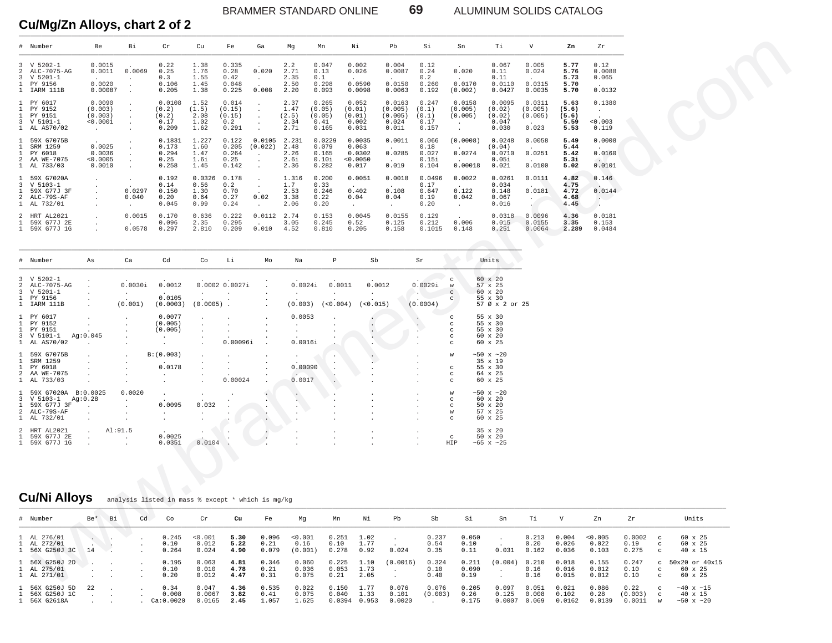BRAMMER STANDARD ONLINE 69 ALUMINUM SOLIDS CATALOG

Cu/Mg/Zn Alloys, chart 2 of 2

|              | # Number                                                                                    | Be                                                   | Вi                                      | Cr                                                 | Cu                                     | Fe                                        | Ga                                                   | Mg                                    | Mn                                         | Νi                                           | Pb                                             | Si                                       | Sn                                                            | Тi                                                          | $\mathbf v$                           | Zn                                     | Ζr                                        |                         |                                                                           |
|--------------|---------------------------------------------------------------------------------------------|------------------------------------------------------|-----------------------------------------|----------------------------------------------------|----------------------------------------|-------------------------------------------|------------------------------------------------------|---------------------------------------|--------------------------------------------|----------------------------------------------|------------------------------------------------|------------------------------------------|---------------------------------------------------------------|-------------------------------------------------------------|---------------------------------------|----------------------------------------|-------------------------------------------|-------------------------|---------------------------------------------------------------------------|
| 2<br>3       | 3 V 5202-1<br>ALC-7075-AG<br>V 5201-1<br>1 PY 9156<br>1 IARM 111B                           | 0.0015<br>0.0011<br>0.0020<br>0.00087                | 0.0069                                  | 0.22<br>0.25<br>0.3<br>0.106<br>0.205              | 1.38<br>1.76<br>1.55<br>1.45<br>1.38   | 0.335<br>0.28<br>0.42<br>0.048<br>0.225   | 0.020<br>$\sim$<br>0.008                             | 2.2<br>2.71<br>2.35<br>2.50<br>2.20   | 0.047<br>0.13<br>0.1<br>0.298<br>0.093     | 0.002<br>0.026<br>0.0590<br>0.0098           | 0.004<br>0.0087<br>0.0150<br>0.0063            | 0.12<br>0.24<br>0.2<br>0.260<br>0.192    | 0.020<br>0.0170<br>(0.002)                                    | 0.067<br>0.11<br>0.11<br>0.0110<br>0.0427                   | 0.005<br>0.024<br>0.0315<br>0.0035    | 5.77<br>5.76<br>5.73<br>5.70<br>5.70   | 0.12<br>0.0088<br>0.065<br>0.0132         |                         |                                                                           |
|              | 1 PY 6017<br>1 PY 9152<br>1 PY 9151<br>3 V 5101-1<br>1 AL AS70/02                           | 0.0090<br>(0.003)<br>(0.003)<br>0.0001<br>$\sim$ $-$ |                                         | 0.0108<br>(0.2)<br>(0.2)<br>0.17<br>0.209          | 1.52<br>(1.5)<br>2.08<br>1.02<br>1.62  | 0.014<br>(0.15)<br>(0.15)<br>0.2<br>0.291 | $\cdot$<br>$\ddot{\phantom{1}}$<br>$\bullet$         | 2.37<br>1.47<br>(2.5)<br>2.34<br>2.71 | 0.265<br>(0.05)<br>(0.05)<br>0.41<br>0.165 | 0.052<br>(0.01)<br>(0.01)<br>0.002<br>0.031  | 0.0163<br>(0.005)<br>(0.005)<br>0.024<br>0.011 | 0.247<br>(0.1)<br>(0.1)<br>0.17<br>0.157 | 0.0158<br>(0.005)<br>(0.005)<br>$\sim$<br>$\cdot$             | 0.0095<br>(0.02)<br>(0.02)<br>0.047<br>0.030                | 0.0311<br>(0.005)<br>(0.005)<br>0.023 | 5.63<br>(5.6)<br>(5.6)<br>5.59<br>5.53 | 0.1380<br>$\sim$ $\sim$<br>0.003<br>0.119 |                         |                                                                           |
| $\mathbf{1}$ | 1 59X G7075B<br>SRM 1259<br>1 PY 6018<br>2 AA WE-7075<br>1 AL 733/03                        | 0.0025<br>0.0036<br>< 0.0005<br>0.0010               | $\blacksquare$                          | 0.1831<br>0.173<br>0.294<br>0.25<br>0.258          | 1.227<br>1.60<br>1.47<br>1.6i<br>1.45  | 0.122<br>0.205<br>0.264<br>0.25<br>0.142  | 0.0105<br>(0.022)<br>$\cdot$<br>$\bullet$<br>$\cdot$ | 2.231<br>2.48<br>2.26<br>2.6i<br>2.36 | 0.0229<br>0.079<br>0.165<br>0.10i<br>0.282 | 0.0035<br>0.063<br>0.0302<br>0.0050<br>0.017 | 0.0011<br>0.0285<br>0.019                      | 0.066<br>0.18<br>0.027<br>0.15i<br>0.104 | (0.0008)<br>0.0274<br>0.00018                                 | 0.0248<br>(0.04)<br>0.0710<br>0.05i<br>0.021                | 0.0058<br>0.0251<br>0.0100            | 5.49<br>5.44<br>5.42<br>5.3i<br>5.02   | 0.0008<br>0.0160<br>$\sim$<br>0.0101      |                         |                                                                           |
| $\mathbf{1}$ | 1 59X G7020A<br>3 V 5103-1<br>59X G77J 3F<br>2 ALC-79S-AF<br>1 AL 732/01                    | $\bullet$<br>$\bullet$                               | 0.0297<br>0.040<br>$\ddot{\phantom{0}}$ | 0.192<br>0.14<br>0.150<br>0.20<br>0.045            | 0.0326<br>0.56<br>1.30<br>0.64<br>0.99 | 0.178<br>0.2<br>0.70<br>0.27<br>0.24      | $\sim$<br>0.02<br>$\sim$                             | 1.316<br>1.7<br>2.53<br>3.38<br>2.06  | 0.200<br>0.33<br>0.246<br>0.22<br>0.20     | 0.0051<br>0.402<br>0.04<br>$\sim$ $-$        | 0.0018<br>0.108<br>0.04<br>$\sim$              | 0.0496<br>0.17<br>0.647<br>0.19<br>0.20  | 0.0022<br>0.122<br>0.042<br>$\sim$                            | 0.0261<br>0.034<br>0.148<br>0.067<br>0.016                  | 0.0111<br>0.0181<br>$\cdot$           | 4.82<br>4.75<br>4.72<br>4.68<br>4.45   | 0.146<br>$\sim$<br>0.0144<br>$\sim$       |                         |                                                                           |
| $\mathbf{1}$ | 2 HRT AL2021<br>59X G77J 2E<br>1 59X G77J 1G                                                | $\cdot$<br>$\bullet$                                 | 0.0015<br>0.0578                        | 0.170<br>0.096<br>0.297                            | 0.636<br>2.35<br>2.810                 | 0.222<br>0.295<br>0.209                   | 0.0112<br>0.010                                      | 2.74<br>3.05<br>4.52                  | 0.153<br>0.245<br>0.810                    | 0.0045<br>0.52<br>0.205                      | 0.0155<br>0.125<br>0.158                       | 0.129<br>0.212<br>0.1015                 | 0.006<br>0.148                                                | 0.0318<br>0.015<br>0.251                                    | 0.0096<br>0.0155<br>0.0064            | 4.36<br>3.35<br>2.289                  | 0.0181<br>0.153<br>0.0484                 |                         |                                                                           |
|              | # Number                                                                                    | As                                                   | Ca                                      | Cd                                                 | Co                                     | Li                                        | Mo                                                   | Na                                    | $\, {\mathbb P}$                           | ${\rm Sb}$                                   |                                                | Sr                                       |                                                               | Units                                                       |                                       |                                        |                                           |                         |                                                                           |
| 2<br>3<br>1  | 3 V 5202-1<br>ALC-7075-AG<br>V 5201-1<br>PY 9156<br>1 IARM 111B                             |                                                      | 0.0030i<br>$\bullet$<br>(0.001)         | 0.0012<br>0.0105<br>(0.0003)                       | $\cdot$<br>(0.0005)                    | 0.0002 0.0027i                            |                                                      | 0.0024i<br>(0.003)                    | 0.0011<br>(< 0.004)                        | 0.0012<br>$\cdot$<br>(<0.015)                |                                                | 0.0029i<br><b>COLLANS</b><br>(0.0004)    | $\mathbf C$<br>W<br>$\rm ^{c}$<br>с                           | 60 x 20<br>57 x 25<br>60 x 20<br>55 x 30<br>57 Ø x 2 or 25  |                                       |                                        |                                           |                         |                                                                           |
|              | 1 PY 6017<br>1 PY 9152<br>1 PY 9151<br>3 V 5101-1<br>1 AL AS70/02                           | Ag: 0.045                                            |                                         | 0.0077<br>(0.005)<br>(0.005)<br>$\cdot$<br>$\cdot$ |                                        | 0.00096i                                  |                                                      | 0.0053<br>$\cdot$<br>0.0016i          |                                            | $\bullet$                                    |                                                | .<br>$\epsilon$                          | $\mathbf C$<br>c<br>$\mathbf C$<br>$\mathbf C$<br>$\mathbf C$ | 55 x 30<br>55 x 30<br>55 x 30<br>60 x 20<br>60 x 25         |                                       |                                        |                                           |                         |                                                                           |
| $\mathbf{1}$ | 1 59X G7075B<br>SRM 1259<br>1 PY 6018<br>2 AA WE-7075<br>1 AL 733/03                        |                                                      | $\bullet$                               | B: (0.003)<br>0.0178<br>$\cdot$                    |                                        | 0.00024                                   |                                                      | 0.00090<br>0.0017                     |                                            |                                              |                                                |                                          | W<br>c<br>c<br>C                                              | $~10 \times 20$<br>35 x 19<br>55 x 30<br>64 x 25<br>60 x 25 |                                       |                                        |                                           |                         |                                                                           |
|              | 1 59X G7020A B:0.0025<br>3 V 5103-1 Ag:0.28<br>1 59X G77J 3F<br>2 ALC-79S-AF<br>1 AL 732/01 | $\ddot{\phantom{1}}$<br>$\cdot$                      | 0.0020<br>$\cdot$<br>$\bullet$          | $\bullet$<br>0.0095<br>$\sim$<br>$\cdot$           | 0.032<br>$\cdot$                       |                                           | $\cdot$<br>$\cdot$                                   | $\mathcal{L}_{\mathcal{A}}$           |                                            |                                              |                                                |                                          | W<br>c<br>C<br>W<br>C                                         | $~50$ x $~20$<br>60 x 20<br>50 x 20<br>57 x 25<br>60 x 25   |                                       |                                        |                                           |                         |                                                                           |
|              | 2 HRT AL2021<br>1 59X G77J 2E<br>1 59X G77J 1G                                              | $\cdot$                                              | Al: 91.5<br>$\cdot$                     | 0.0025<br>0.0351                                   | 0.0104                                 |                                           |                                                      |                                       |                                            |                                              |                                                |                                          | $_{\rm c}$<br>HIP                                             | 35 x 20<br>50 x 20<br>$~105 \times 25$                      |                                       |                                        |                                           |                         |                                                                           |
|              | <b>Cu/Ni Alloys</b>                                                                         |                                                      |                                         | analysis listed in mass % except * which is mg/kg  |                                        |                                           |                                                      |                                       |                                            |                                              |                                                |                                          |                                                               |                                                             |                                       |                                        |                                           |                         |                                                                           |
|              | # Number                                                                                    | Be* Bi                                               | Cd                                      | Co                                                 | Cr                                     | Cu                                        | Fe                                                   | Mg                                    | Mn                                         | Νi                                           | Pb                                             | Sb                                       | Si                                                            | Sn                                                          | Тi                                    | V                                      | Zn                                        | Zr                      | Units                                                                     |
|              | 1 AL 276/01<br>1 AL 272/01<br>1 56X G250J 3C 14                                             | $\sim$ $-$<br>$\sim$<br>$\sim$ $\rightarrow$         |                                         | 0.245<br>0.10<br>0.264                             | < 0.001<br>0.012<br>0.024              | 5.30<br>5.22<br>4.90                      | 0.096<br>0.21<br>0.079                               | 0.001<br>0.16<br>(0.001)              | 0.251<br>0.10<br>0.278                     | 1.02<br>1.77<br>0.92                         | $\cdot$<br>0.024                               | 0.237<br>0.54<br>0.35                    | 0.050<br>0.10<br>0.11                                         | $\blacksquare$<br>0.031                                     | 0.213<br>0.20<br>0.162                | 0.004<br>0.026<br>0.036                | 0.005<br>0.022<br>0.103                   | 0.0002<br>0.19<br>0.275 | 60 x 25<br>$\mathbf{C}$<br>60 x 25<br>$_{\rm c}$<br>40 x 15<br>$_{\rm c}$ |
|              | 1 56X G250J 2D<br>1 AL 275/01<br>1 AL 271/01                                                | and the control of<br><b>Contract Contract</b>       |                                         | 0.195<br>0.10<br>0.20                              | 0.063<br>0.010<br>0.012                | 4.81<br>4.78<br>4.47                      | 0.346<br>0.21<br>0.31                                | 0.060<br>0.036<br>0.075               | 0.225<br>0.053<br>0.21                     | 1.10<br>1.73<br>2.05                         | (0.0016)<br>$\sim 10^{-1}$<br>$\cdot$          | 0.324<br>0.10<br>0.40                    | 0.211<br>0.090<br>0.19                                        | $(0.004)$ 0.210<br>$\sim$                                   | 0.16<br>0.16                          | 0.018<br>0.016<br>0.015                | 0.155<br>0.012<br>0.012                   | 0.247<br>0.10<br>0.10   | c 50x20 or 40x15<br>60 x 25<br>$\mathbf{C}$<br>60 x 25<br>$\mathbf{C}$    |
|              |                                                                                             |                                                      |                                         | 0.21                                               | 0.017                                  |                                           | 0.525                                                | 0.022                                 |                                            | 1.77                                         | 0.07c                                          | 0.07c                                    | 0.225                                                         | 0.007                                                       | 0.051                                 | 0.023                                  |                                           | 0.22                    |                                                                           |

|              | # Number     | As                   | Ca                   | Cd                   | Co                   | Li             | Mо           | Na                   | P                    | Sb       | Sr       |               | Units            |
|--------------|--------------|----------------------|----------------------|----------------------|----------------------|----------------|--------------|----------------------|----------------------|----------|----------|---------------|------------------|
| 3            | V 5202-1     | $\cdot$              |                      |                      |                      |                |              |                      |                      |          |          | C             | 60 x 20          |
|              | ALC-7075-AG  |                      | 0.0030i              | 0.0012               |                      | 0.0002 0.0027i |              | 0.0024i              | 0.0011               | 0.0012   | 0.0029i  | W             | 57 x 25          |
|              | $V5201-1$    |                      | $\sim$               | $\ddot{\phantom{1}}$ |                      |                |              | $\ddot{\phantom{0}}$ | ٠                    |          |          | C.            | 60 x 20          |
|              | PY 9156      | $\lambda$            |                      | 0.0105               |                      |                |              |                      |                      |          |          | C             | 55 x 30          |
| $\mathbf{1}$ | IARM 111B    | $\sim$               | (0.001)              | (0.0003)             | $(0.0005)$ .         |                | $\mathbf{r}$ | (0.003)              | (<0.004)             | (<0.015) | (0.0004) |               | 57 Ø x 2 or 25   |
|              | PY 6017      | $\ddot{\phantom{0}}$ |                      | 0.0077               | $\ddot{\phantom{0}}$ |                | $\cdot$      | 0.0053               | $\mathbf{r}$         |          |          | C             | 55 x 30          |
|              | PY 9152      | $\mathbf{r}$         | $\mathbf{r}$         | (0.005)              |                      |                |              |                      |                      |          |          | C.            | 55 x 30          |
|              | PY 9151      |                      |                      | (0.005)              |                      |                |              |                      |                      |          |          | $\mathcal{C}$ | 55 x 30          |
| 3            | $V 5101-1$   | Aq:0.045             | ×.                   | $\sim$ 100 $\sim$    | $\cdot$              |                |              |                      |                      |          |          | C.            | 60 x 20          |
|              | 1 AL AS70/02 | $\sim$ 100 $\pm$     | $\ddot{\phantom{0}}$ | $\ddot{\phantom{0}}$ | $\mathbf{r}$         | 0.00096i       |              | 0.0016i              |                      |          |          | C             | 60 x 25          |
|              | 59X G7075B   | $\mathbf{r}$         | $\sim$               | B: (0.003)           | $\ddot{\phantom{0}}$ |                |              |                      | $\bullet$            |          |          | w             | $~50$ x $~20$    |
|              | SRM 1259     | $\lambda$            | $\ddot{\phantom{0}}$ | $\ddot{\phantom{0}}$ |                      |                |              |                      |                      |          |          |               | $35 \times 19$   |
|              | PY 6018      |                      |                      | 0.0178               |                      |                |              | 0.00090              | $\ddot{\phantom{0}}$ |          |          | C             | 55 x 30          |
|              | AA WE-7075   |                      |                      |                      |                      |                |              |                      |                      |          |          | $\mathcal{C}$ | 64 x 25          |
|              | AL 733/03    |                      |                      |                      |                      | 0.00024        |              | 0.0017               |                      |          |          | C             | 60 x 25          |
|              | 59X G7020A   | B:0.0025             | 0.0020               | $\ddot{\phantom{a}}$ |                      |                |              |                      |                      |          |          | W             | $~50$ x $~20$    |
|              | $V5103-1$    | Aq:0.28              | $\ddot{\phantom{0}}$ | $\ddot{\phantom{a}}$ | $\ddot{\phantom{0}}$ |                |              |                      |                      |          |          | $\mathcal{C}$ | 60 x 20          |
|              | 59X G77J 3F  | $\sim$               |                      | 0.0095               | 0.032                |                |              |                      |                      |          |          | C             | 50 x 20          |
|              | ALC-79S-AF   | $\ddot{\phantom{a}}$ |                      |                      |                      |                |              |                      |                      |          |          | W             | 57 x 25          |
|              | 1 AL 732/01  | $\sim$               |                      | $\mathbf{r}$         |                      |                |              |                      |                      |          |          | C             | 60 x 25          |
|              | HRT AL2021   | $\sim$               | AI:91.5              | $\sim$               |                      |                |              |                      |                      |          |          |               | 35 x 20          |
|              | 59X G77J 2E  | $\ddot{\phantom{0}}$ | $\sim$               | 0.0025               |                      |                |              |                      |                      |          |          | C             | 50 x 20          |
|              | 59X G77J 1G  |                      |                      | 0.0351               | 0.0104               |                |              |                      |                      |          |          | HIP           | $~105 \times 25$ |

#### **Cu/Ni Alloys** analysis listed in mass % except \* which is mg/kg

| # Number                                         | Be* | - Bi | Cd | Co.                        | Cr                        | Cu                   | Fe                     | Mq                         | Mn                       | Νi                    | Pb                       | Sb                    | Si                     | Sn                       | Ti                      | v                        | Zn                        | Zr                        |                                        | Units                                         |
|--------------------------------------------------|-----|------|----|----------------------------|---------------------------|----------------------|------------------------|----------------------------|--------------------------|-----------------------|--------------------------|-----------------------|------------------------|--------------------------|-------------------------|--------------------------|---------------------------|---------------------------|----------------------------------------|-----------------------------------------------|
| 1 AL 276/01<br>1 AL 272/01<br>1 56X G250J 3C     | 14  |      |    | 0.245<br>0.10<br>0.264     | < 0.001<br>0.012<br>0.024 | 5.30<br>5.22<br>4.90 | 0.096<br>0.21<br>0.079 | < 0.001<br>0.16<br>(0.001) | 0.251<br>0.10<br>0.278   | 1.02<br>1.77<br>0.92  | 0.024                    | 0.237<br>0.54<br>0.35 | 0.050<br>0.10<br>0.11  | 0.031                    | 0.213<br>0.20<br>0.162  | 0.004<br>0.026<br>0.036  | < 0.005<br>0.022<br>0.103 | 0.0002<br>0.19<br>0.275   | $\sim$<br>$\mathbb{C}$<br>$\mathbb{C}$ | $60 \times 25$<br>60 x 25<br>$40 \times 15$   |
| 1 56X G250J 2D<br>1 AL 275/01<br>1 AL 271/01     |     |      |    | 0.195<br>0.10<br>0.20      | 0.063<br>0.010<br>0.012   | 4.81<br>4.78<br>4.47 | 0.346<br>0.21<br>0.31  | 0.060<br>0.036<br>0.075    | 0.225<br>0.053<br>0.21   | 1.10<br>1.73<br>2.05  | (0.0016)                 | 0.324<br>0.10<br>0.40 | 0.211<br>0.090<br>0.19 | (0.004)                  | 0.210<br>0.16<br>0.16   | 0.018<br>0.016<br>0.015  | 0.155<br>0.012<br>0.012   | 0.247<br>0.10<br>0.10     | $\mathbb{C}$<br>$\mathbf{C}$           | c 50x20 or 40x15<br>60 x 25<br>60 x 25        |
| 1 56X G250J 5D<br>1 56X G250J 1C<br>1 56X G2618A | 2.2 |      |    | 0.34<br>0.008<br>Ca:0.0020 | 0.047<br>0.0067<br>0.0165 | 4.36<br>3.82<br>2.45 | 0.535<br>0.41<br>1.057 | 0.022<br>0.075<br>1.625    | 0.150<br>0.040<br>0.0394 | 1.77<br>1.33<br>0.953 | 0.076<br>0.101<br>0.0020 | 0.076<br>(0.003)      | 0.205<br>0.26<br>0.175 | 0.097<br>0.125<br>0.0007 | 0.051<br>0.008<br>0.069 | 0.021<br>0.102<br>0.0162 | 0.086<br>0.28<br>0.0139   | 0.22<br>(0.003)<br>0.0011 | $\mathbf{C}$<br>$\sim$<br>w            | $~10 \times 15$<br>40 x 15<br>$~10 \times 20$ |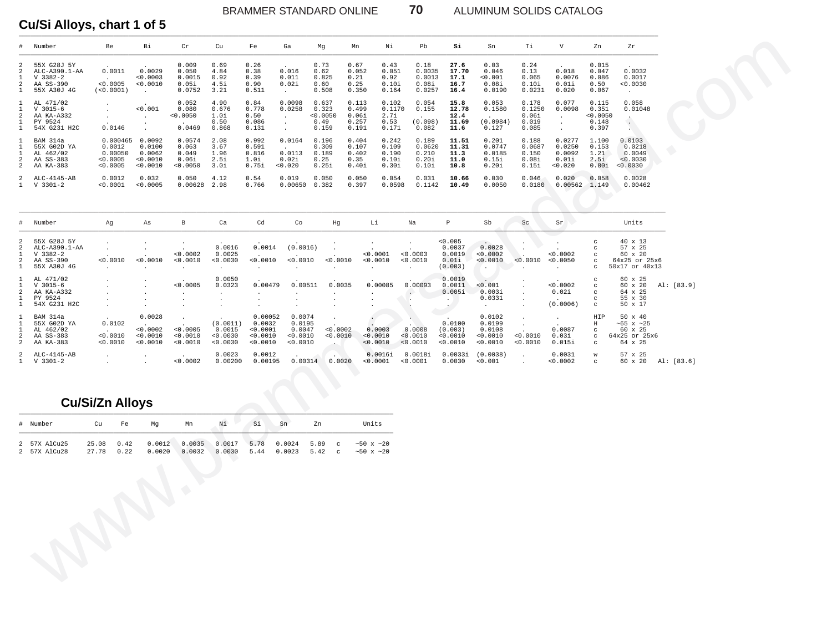### BRAMMER STANDARD ONLINE **70** ALUMINUM SOLIDS CATALOG

# Cu/Si Alloys, chart 1 of 5

| #                                                      | Number                                                                 | Be                                                  | Вi                                                 | Cr                                          | Cu                                                   | Fe                                                    | Ga                                                       | Mg                                        | Νi<br>Mn                                                                              | Pb                                             | Si                                            | Sn                                                             | Ti                                         | V                                                             | Zn                                         | Ζr                                                                                                         |            |  |
|--------------------------------------------------------|------------------------------------------------------------------------|-----------------------------------------------------|----------------------------------------------------|---------------------------------------------|------------------------------------------------------|-------------------------------------------------------|----------------------------------------------------------|-------------------------------------------|---------------------------------------------------------------------------------------|------------------------------------------------|-----------------------------------------------|----------------------------------------------------------------|--------------------------------------------|---------------------------------------------------------------|--------------------------------------------|------------------------------------------------------------------------------------------------------------|------------|--|
| 2<br>2<br>1<br>2<br>1                                  | 55X G28J 5Y<br>ALC-A390.1-AA<br>$V$ 3382-2<br>AA SS-390<br>55X A30J 4G | 0.0011<br>< 0.0005<br>(<0.0001)                     | 0.0029<br>0.0003<br>< 0.0010<br>$\sim$             | 0.009<br>0.050<br>0.0015<br>0.05i<br>0.0752 | 0.69<br>4.84<br>0.92<br>4.5i<br>3.21                 | 0.26<br>0.38<br>0.39<br>0.90<br>0.511                 | 0.016<br>0.011<br>0.02i<br>$\sim$                        | 0.73<br>0.62<br>0.825<br>0.60<br>0.508    | 0.67<br>0.43<br>0.052<br>0.051<br>0.21<br>0.92<br>0.25<br>0.10i<br>0.350<br>0.164     | 0.18<br>0.0035<br>0.0013<br>0.08i<br>0.0257    | 27.6<br>17.70<br>17.1<br>16.7<br>16.4         | 0.03<br>0.046<br>0.001<br>0.08i<br>0.0190                      | 0.24<br>0.13<br>0.065<br>0.10i<br>0.0231   | 0.018<br>0.0076<br>0.01i<br>0.020                             | 0.015<br>0.047<br>0.086<br>0.50<br>0.067   | 0.0032<br>0.0017<br>0.0030<br>$\sim$                                                                       |            |  |
| $\mathbf{1}$<br>1<br>2<br>1<br>$\mathbf{1}$            | AL 471/02<br>$V$ 3015-6<br>AA KA-A332<br>PY 9524<br>54X G231 H2C       | $\cdot$<br>0.0146                                   | < 0.001<br>$\cdot$<br>$\bullet$<br>$\cdot$         | 0.052<br>0.080<br>0.0050<br>0.0469          | 4.90<br>0.676<br>1.0i<br>0.50<br>0.868               | 0.84<br>0.778<br>0.50<br>0.086<br>0.131               | 0.0098<br>0.0258<br>$\sim$<br>$\bullet$<br>$\mathcal{L}$ | 0.637<br>0.323<br>0.0050<br>0.49<br>0.159 | 0.113<br>0.102<br>0.499<br>0.1170<br>0.06i<br>2.7i<br>0.53<br>0.257<br>0.171<br>0.191 | 0.054<br>0.155<br>(0.098)<br>0.082             | 15.8<br>12.78<br>12.4<br>11.69<br>11.6        | 0.053<br>0.1580<br>(0.0984)<br>0.127                           | 0.178<br>0.1250<br>0.06i<br>0.019<br>0.085 | 0.077<br>0.0098<br>$\cdot$<br>$\cdot$<br>$\ddot{\phantom{a}}$ | 0.115<br>0.351<br>0.0050<br>0.148<br>0.397 | 0.058<br>0.01048<br>$\overline{\phantom{a}}$<br>$\sim$ $^{-1}$<br>$\mathbf{A} \in \mathbb{R}^{n \times n}$ |            |  |
| 1<br>1<br>1<br>2<br>2                                  | BAM 314a<br>55X G02D YA<br>AL 462/02<br>AA SS-383<br>AA KA-383         | 0.000465<br>0.0012<br>0.00050<br>0.0005<br>< 0.0005 | 0.0092<br>0.0100<br>0.0062<br>< 0.0010<br>< 0.0010 | 0.0574<br>0.063<br>0.049<br>0.06i<br>0.0050 | 2.08<br>3.67<br>1.96<br>2.5i<br>3.Oi                 | 0.992<br>0.591<br>0.816<br>1.0i<br>0.75i              | 0.0164<br>0.0113<br>0.02i<br>< 0.020                     | 0.196<br>0.309<br>0.189<br>0.25<br>0.25i  | 0.404<br>0.242<br>0.107<br>0.109<br>0.402<br>0.190<br>0.10i<br>0.35<br>0.40i<br>0.30i | 0.189<br>0.0620<br>0.210<br>0.20i<br>0.10i     | 11.51<br>11.31<br>11.3<br>11.0<br>10.8        | 0.201<br>0.0747<br>0.0185<br>0.15i<br>0.20i                    | 0.188<br>0.0687<br>0.150<br>0.08i<br>0.15i | 0.0277<br>0.0250<br>0.0092<br>0.01i<br>0.020                  | 1.100<br>0.153<br>1.21<br>2.5i<br>0.80i    | 0.0103<br>0.0218<br>0.0049<br>< 0.0030<br>0.0030                                                           |            |  |
| 2<br>1                                                 | ALC-4145-AB<br>V 3301-2                                                | 0.0012<br>< 0.0001                                  | 0.032<br>0.0005                                    | 0.050<br>0.00628                            | 4.12<br>2.98                                         | 0.54<br>0.766                                         | 0.019<br>0.00650                                         | 0.050<br>0.382                            | 0.050<br>0.054<br>0.397<br>0.0598                                                     | 0.031<br>0.1142                                | 10.66<br>10.49                                | 0.030<br>0.0050                                                | 0.046<br>0.0180                            | 0.020<br>$0.00562 \quad 1.149$                                | 0.058                                      | 0.0028<br>0.00462                                                                                          |            |  |
| $^{\#}$                                                | Number                                                                 | Ag                                                  | As                                                 | $\, {\bf B}$                                | Ca                                                   | Cd                                                    | Co                                                       | Ηg                                        | Li                                                                                    | Na                                             | $\, {\mathbb P}$                              | Sb                                                             | Sc                                         | Sr                                                            |                                            | Units                                                                                                      |            |  |
| 2<br>2<br>1<br>2<br>$\mathbf{1}$                       | 55X G28J 5Y<br>ALC-A390.1-AA<br>$V$ 3382-2<br>AA SS-390<br>55X A30J 4G | 0.0010                                              | $\cdot$<br>$\cdot$<br>< 0.0010<br>$\cdot$          | < 0.0002<br>< 0.0010                        | 0.0016<br>0.0025<br>< 0.0030<br>$\ddot{\phantom{1}}$ | 0.0014<br>0.0010<br>$\cdot$                           | (0.0016)<br>< 0.0010                                     | < 0.0010                                  | $\cdot$<br>< 0.0001<br>0.0010<br>$\cdot$                                              | $\cdot$<br>< 0.0003<br>< 0.0010                | 0.005<br>0.0037<br>0.0019<br>0.01i<br>(0.003) | $\sim$<br>0.0028<br>0.0002<br>< 0.0010<br>$\ddot{\phantom{1}}$ | $\bullet$<br>< 0.0010                      | < 0.0002<br>< 0.0050                                          | C<br>C<br>C<br>C<br>C                      | 40 x 13<br>57 x 25<br>60 x 20<br>64x25 or 25x6<br>50x17 or 40x13                                           |            |  |
| $\mathbf{1}$<br>$\mathbf{1}$<br>2<br>1<br>$\mathbf{1}$ | AL 471/02<br>$V$ 3015-6<br>AA KA-A332<br>PY 9524<br>54X G231 H2C       |                                                     | $\cdot$<br>$\cdot$<br>$\cdot$<br>$\cdot$           | < 0.0005                                    | 0.0050<br>0.0323                                     | 0.00479<br>$\cdot$<br>$\cdot$                         | 0.00511                                                  | 0.0035                                    | 0.00085                                                                               | 0.00093<br>$\sim$<br>$\cdot$<br>$\blacksquare$ | 0.0019<br>0.0011<br>0.005i<br>$\sim 10^{-1}$  | < 0.001<br>0.003i<br>0.0331<br>$\cdot$                         | $\cdot$<br>$\cdot$                         | < 0.0002<br>0.02i<br>(0.0006)                                 | C<br>C<br>C<br>C<br>$_{\rm C}$             | 60 x 25<br>60 x 20<br>64 x 25<br>55 x 30<br>50 x 17                                                        | Al: [83.9] |  |
| 1<br>1<br>1<br>2<br>2                                  | BAM 314a<br>55X GO2D YA<br>AL 462/02<br>AA SS-383<br>AA KA-383         | 0.0102<br>< 0.0010<br>< 0.0010                      | 0.0028<br>< 0.0002<br>< 0.0010<br>< 0.0010         | $\cdot$<br>< 0.0005<br>< 0.0010<br>< 0.0010 | (0.0011)<br>0.0015<br>0.0030<br>0.0030               | 0.00052<br>0.0032<br>< 0.0001<br>0.0010<br>$< 0.0010$ | 0.0074<br>0.0195<br>0.0047<br>< 0.0010<br>< 0.0010       | < 0.0002<br>< 0.0010<br>$\cdot$           | 0.0003<br>< 0.0010<br>< 0.0010                                                        | 0.0008<br>< 0.0010<br>< 0.0010                 | 0.0100<br>(0.003)<br>0.0010<br>< 0.0010       | 0.0102<br>0.0199<br>0.0108<br>0.0010<br>0.0010                 | $\cdot$<br>$\cdot$<br>< 0.0010<br>0.0010   | $\cdot$<br>0.0087<br>0.03i<br>0.015i                          | HIP<br>$\rm H$<br>$_{\rm C}$<br>C<br>C     | 50 x 40<br>$~55 \times ~25$<br>60 x 25<br>64x25 or 25x6<br>64 x 25                                         |            |  |
| 2<br>1                                                 | ALC-4145-AB<br>V 3301-2                                                | $\bullet$                                           | $\bullet$<br>$\ddot{\phantom{a}}$                  | < 0.0002                                    | 0.0023<br>0.00200                                    | 0.0012<br>0.00195                                     | 0.00314                                                  | 0.0020                                    | 0.0016i<br>< 0.0001                                                                   | 0.0018i<br>0.0001                              | 0.0033i<br>0.0030                             | (0.0038)<br>< 0.001                                            | $\cdot$<br>$\ddot{\phantom{a}}$            | 0.0031<br>0.0002                                              | $\mathbf W$<br>C                           | 57 x 25<br>60 x 20                                                                                         | Al: [83.6] |  |
|                                                        |                                                                        | <b>Cu/Si/Zn Alloys</b>                              |                                                    |                                             |                                                      |                                                       |                                                          |                                           |                                                                                       |                                                |                                               |                                                                |                                            |                                                               |                                            |                                                                                                            |            |  |
|                                                        | # Number                                                               | cu<br>Fe                                            | Mg                                                 | Mn                                          | Νi                                                   | Si                                                    | Sn                                                       | Zn                                        | Units                                                                                 |                                                |                                               |                                                                |                                            |                                                               |                                            |                                                                                                            |            |  |
| 2                                                      | 2 57X AlCu25<br>57X AlCu28                                             | 25.08<br>0.42<br>0.22<br>27.78                      | 0.0012<br>0.0020                                   | 0.0035<br>0.0032<br>$\langle \rangle$       | 0.0017<br>0.0030                                     | 5.78<br>5.44                                          | 0.0024<br>0.0023                                         | 5.89<br>$\mathbf C$<br>5.42<br>$_{\rm c}$ | $~10 \times 20$<br>~10x ~120                                                          |                                                |                                               |                                                                |                                            |                                                               |                                            |                                                                                                            |            |  |
|                                                        |                                                                        |                                                     |                                                    |                                             |                                                      |                                                       |                                                          |                                           |                                                                                       |                                                |                                               |                                                                |                                            |                                                               |                                            |                                                                                                            |            |  |

# **Cu/Si/Zn Alloys**

| # Number                     | Cu                  | Fe   | Ma               | Mn     | Νi     | Si   | Sn     | Zn     | Units                                                                  |
|------------------------------|---------------------|------|------------------|--------|--------|------|--------|--------|------------------------------------------------------------------------|
| 2 57X AlCu25<br>2 57X AlCu28 | 25.08 0.42<br>27.78 | 0.22 | 0.0012<br>0.0020 | 0.0032 | 0.0030 | 5.44 | 0.0023 | 5.42 c | 0.0035 0.0017 5.78 0.0024 5.89 c ~50 x ~20<br>$\sim 50 \times \sim 20$ |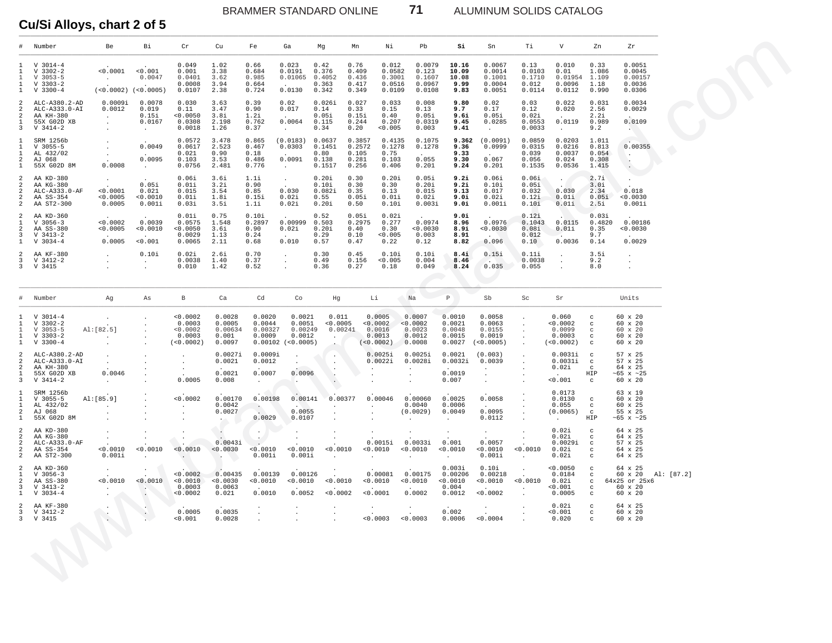BRAMMER STANDARD ONLINE

 $71$ 

ALUMINUM SOLIDS CATALOG

# Cu/Si Alloys, chart 2 of 5

|                                                                                | Number                                                                   | Re                                                    | Ri                                                              | Cr                                                    | Cu                                                           | Fe                                       | Ga                                                           | Ma                                                             | Mn                                          | Ni                                                  | Ph                                                                   | Si                                               | Sn                                                   | тi                                                                       | $\overline{V}$                                                    | Zn.                                                                         | 7.r                                                                                |
|--------------------------------------------------------------------------------|--------------------------------------------------------------------------|-------------------------------------------------------|-----------------------------------------------------------------|-------------------------------------------------------|--------------------------------------------------------------|------------------------------------------|--------------------------------------------------------------|----------------------------------------------------------------|---------------------------------------------|-----------------------------------------------------|----------------------------------------------------------------------|--------------------------------------------------|------------------------------------------------------|--------------------------------------------------------------------------|-------------------------------------------------------------------|-----------------------------------------------------------------------------|------------------------------------------------------------------------------------|
| $\mathbf{1}$<br>$\mathbf{1}$<br>$\mathbf{1}$<br>$\overline{1}$<br>$\mathbf{1}$ | $V$ 3014-4<br>$V$ 3302-2<br>$V$ 3053-5<br>$V$ 3303-2<br>$V$ 3300-4       | < 0.0001<br><b>Contractor</b>                         | < 0.001<br>0.0047<br>$\sim$<br>$(<0.0002)$ $(<0.0005)$          | 0.049<br>0.001<br>0.0401<br>0.0008<br>0.0107          | 1.02<br>3.38<br>3.62<br>3.94<br>2.38                         | 0.66<br>0.684<br>0.985<br>0.664<br>0.724 | 0.023<br>0.0191<br>0.01065<br>$\sim$<br>0.0130               | 0.42<br>0.376<br>0.4052<br>0.363<br>0.342                      | 0.76<br>0.409<br>0.436<br>0.417<br>0.349    | 0.012<br>0.0582<br>0.3001<br>0.0516<br>0.0109       | 0.0079<br>0.123<br>0.1607<br>0.0967<br>0.0108                        | 10.16<br>10.09<br>10.08<br>9.99<br>9.83          | 0.0067<br>0.0014<br>0.1001<br>0.0004<br>0.0051       | 0.13<br>0.0103<br>0.1710<br>0.012<br>0.0114                              | 0.010<br>0.01<br>0.01954<br>0.0096<br>0.0112                      | 0.33<br>1.086<br>1.109<br>1.18<br>0.990                                     | 0.0051<br>0.0045<br>0.00157<br>0.0036<br>0.0306                                    |
| 2<br>2<br>$\mathfrak{D}$<br>$\mathbf{1}$<br>3                                  | ALC-A380.2-AD<br>ALC-A333.0-AI<br>AA KH-380<br>55X G02D XB<br>$V_3414-2$ | 0.0009i<br>0.0012<br>$\sim$ $-$<br>$\sim$<br>$\sim$   | 0.0078<br>0.019<br>0.15i<br>0.0167<br>$\sim$ $-$                | 0.030<br>0.11<br>< 0.0050<br>0.0308<br>0.0018         | 3.63<br>3.47<br>3.8i<br>2.198<br>1.26                        | 0.39<br>0.90<br>1.2i<br>0.762<br>0.37    | 0.02<br>0.017<br>0.0064<br>$\sim$                            | 0.026i<br>0.14<br>0.05i<br>0.115<br>0.34                       | 0.027<br>0.33<br>0.15i<br>0.244<br>0.20     | 0.033<br>0.15<br>0.40<br>0.207<br>< 0.005           | 0.008<br>0.13<br>0.05i<br>0.0319<br>0.003                            | 9.80<br>9.7<br>9.6i<br>9.45<br>9.41              | 0.02<br>0.17<br>0.05i<br>0.0285<br>$\sim$            | 0.03<br>0.12<br>0.02i<br>0.0553<br>0.0033                                | 0.022<br>0.020<br>0.0119<br>$\sim$                                | 0.031<br>2.56<br>2.2i<br>0.989<br>9.2                                       | 0.0034<br>0.0029<br>0.0109<br><b>AND</b>                                           |
| $\mathbf{1}$<br>$\mathbf{1}$<br>$\mathbf{1}$<br>$\overline{c}$<br>$1\,$        | SRM 1256b<br>$V$ 3055-5<br>AL 432/02<br>AJ 068<br>55X G02D 8M            | <b>Contract</b><br><b>Contract</b><br>0.0008          | 0.0049<br><b>Contract</b><br>0.0095<br><b>Contract Contract</b> | 0.0572<br>0.0617<br>0.021<br>0.103<br>0.0756          | 3.478<br>2.523<br>0.90<br>3.53<br>2.481                      | 0.865<br>0.467<br>0.18<br>0.486<br>0.776 | (0.0183)<br>0.0303<br>$\sim$<br>0.0091<br>$\sim$             | 0.0637<br>0.1451<br>0.80<br>0.138<br>0.1517                    | 0.3857<br>0.2572<br>0.105<br>0.281<br>0.256 | 0.4135<br>0.1278<br>0.75<br>0.103<br>0.406          | 0.1075<br>0.1278<br>0.055<br>0.201                                   | 9.362<br>9.36<br>9.33<br>9.30<br>9.24            | (0.0091)<br>0.0999<br>0.067<br>0.201                 | 0.0859<br>0.0315<br>0.039<br>0.056<br>0.1535                             | 0.0203<br>0.0216<br>0.0037<br>0.024<br>0.0536                     | 1 0 1 1<br>0.813<br>0.054<br>0.308<br>1.415                                 | 0.00355<br><b>Carlos</b><br>$\sim$<br>$\sim$ $\sim$                                |
| $\mathfrak{D}$<br>$\mathcal{D}$<br>$\overline{a}$<br>2<br>$\mathfrak{D}$       | AA KD-380<br>AA KG-380<br>ALC-A333.0-AF<br>AA SS-354<br>AA ST2-300       | < 0.0001<br>< 0.0005<br>0.0005                        | 0.05i<br>0.021<br>< 0.0010<br>0.001i                            | 0.06i<br>0.01i<br>0.015<br>0.01i<br>0.03i             | 3.61<br>3.21<br>3.54<br>1.8i<br>3.5i                         | 1.11<br>0.90<br>0.85<br>0.15i<br>1.1i    | $\sim$<br>0.030<br>0.02i<br>0.02i                            | 0.20i<br>0.101<br>0.082i<br>0.55<br>0.20i                      | 0.30<br>0.30<br>0.35<br>0.05i<br>0.50       | 0.20i<br>0.30<br>0.13<br>0.01i<br>0.10i             | 0.05i<br>0.201<br>0.015<br>0.02i<br>0.003i                           | 9.2i<br>9.2i<br>9.13<br>9.0i<br>9.0i             | 0.06i<br>0.101<br>0.017<br>0.02i<br>0.001i           | 0.06i<br>0.05i<br>0.032<br>0.12i<br>0.10i                                | 0.030<br>0.01i<br>0.01i                                           | 2.7i<br>3.0i<br>2.34<br>0.05i<br>2.5i                                       | 0.018<br>< 0.0030<br>0.001i                                                        |
| 2<br>$\mathbf{1}$<br>$\mathfrak{D}$<br>$\overline{3}$<br>$\mathbf{1}$          | AA KD-360<br>$V$ 3056-3<br>AA SS-380<br>$V$ 3413-2<br>$V$ 3034-4         | 0.0002<br>< 0.0005<br>0.0005                          | 0.0039<br>0.0010<br>< 0.001                                     | 0.01i<br>0.0575<br>< 0.0050<br>0 0029<br>0.0065       | 0.75<br>1.548<br>3.61<br>1 1 3<br>2.11                       | 0.10i<br>0.2897<br>0.90<br>0.24<br>0.68  | 0.00999<br>0.02i<br>0.010                                    | 0.52<br>0.503<br>0.20i<br>0.29<br>0.57                         | 0.05i<br>0.2975<br>0.40<br>0.10<br>0.47     | 0.02i<br>0.277<br>0.30<br>< 0.005<br>0.22           | 0.0974<br>< 0.0030<br>0 0 0 3<br>0.12                                | 9.0i<br>8.96<br>8.9i<br>8.91<br>8.82             | 0.0976<br>0.0030<br>0.096                            | 0.12i<br>0.1043<br>0.08i<br>0.012<br>0.10                                | 0.0115<br>0.01i<br>0.0036                                         | 0.03i<br>0.4820<br>0.35<br>9 7<br>0.14                                      | 0.00186<br>< 0.0030<br>0.0029                                                      |
| $\mathfrak{D}$<br>$\overline{3}$                                               | AA KF-380<br>$V$ 3412-2<br>3 V 3415                                      | $\ddot{\phantom{a}}$<br>$\sim$<br>$\mathbf{r}$        | 0.10i<br>$\sim$<br>$\mathbf{r}$                                 | 0.02i<br>0.0038<br>0.010                              | 2.61<br>1.40<br>1.42                                         | 0.70<br>0.37<br>0.52                     | $\sim$<br>$\ddot{\phantom{a}}$                               | 0.30<br>0.49<br>0.36                                           | 0.45<br>0.156<br>0.27                       | 0.10i<br>< 0.005<br>0.18                            | 0.101<br>0.004<br>0.049                                              | 8.4i<br>8.46<br>8.24                             | 0.15i<br><b>Contract Contract</b><br>0.035           | 0.111<br>0.0038<br>0.055                                                 | $\sim$<br>$\sim$<br>$\sim$                                        | 3.5i<br>9.2<br>8.0                                                          | $\ddot{\phantom{a}}$<br>$\cdot$<br>$\mathbf{r}$                                    |
| $_{\rm \pm}$                                                                   | Number                                                                   | Ag                                                    | As                                                              | $\mathbb{B}$                                          | Ca                                                           | Cd                                       | Co                                                           | Hq                                                             | Li                                          |                                                     | Na                                                                   | P                                                | Sb                                                   | Sc                                                                       | Sr                                                                |                                                                             | Units                                                                              |
| 1<br>$\mathbf{1}$<br>$\mathbf{1}$<br>$\mathbf{1}$<br>$\mathbf{1}$              | $V$ 3014-4<br>$V$ 3302-2<br>$V$ 3053-5<br>$V$ 3303-2<br>$V$ 3300-4       | AI: [82.5]<br>$\sim 10^{-11}$<br>$\ddot{\phantom{a}}$ | $\ddot{\phantom{0}}$<br>$\Delta$<br>$\ddot{\phantom{a}}$        | < 0.0002<br>0.0003<br>< 0.0002<br>0.0003<br>(<0.0002) | 0.0028<br>0.0005<br>0.00634<br>0.001<br>0.0097               | 0.0020<br>0.0044<br>0.00327<br>0.0009    | 0.0021<br>0.0051<br>0.00249<br>0.0012<br>$0.00102$ (<0.0005) | 0.011<br>< 0.0005<br>0.00241<br>$\sim$<br>$\ddot{\phantom{1}}$ |                                             | 0 0005<br>< 0.0002<br>0.0016<br>0.0013<br>(<0.0002) | 0.0007<br>< 0.0002<br>0.0023<br>0.0012<br>0.0008                     | 0.0010<br>0.0021<br>0.0048<br>0.0015<br>0.0027   | 0 0058<br>0.0063<br>0.0155<br>0.0019<br>(< 0.0005)   | $\ddot{\phantom{a}}$<br>$\Delta$<br>$\mathbf{r}$                         | 0.060<br>< 0.0002<br>0.0099<br>0.0003<br>(50.0002)                | $_{\rm c}$<br>$_{\rm c}$<br>$\mathbf{C}$<br>$_{\rm c}$<br>$\mathcal{C}$     | 60 x 20<br>60 x 20<br>$60 \times 20$<br>60 x 20<br>60 x 20                         |
| $\mathfrak{D}$<br>2<br>2<br>1<br>$\overline{3}$                                | ALC-A380.2-AD<br>ALC-A333.0-AI<br>AA KH-380<br>55X G02D XB<br>$V$ 3414-2 | $\sim$<br>$\sim 10^{-11}$<br>0.0046<br>$\sim$ $\sim$  | $\Delta$<br>$\Delta$                                            | $\cdot$<br>$\sim$<br>$\sim$<br>0.0005                 | 0.0027i<br>0.0021<br>0.0021<br>0.008                         | 0.0009i<br>0.0012<br>0.0007<br>$\sim$    | $\sim$<br>0.0096<br>$\sim$                                   | $\cdot$<br>$\sim$<br>$\ddot{\phantom{1}}$<br>$\cdot$           | $\sim$                                      | 0.0025i<br>0.0022i                                  | 0.0025i<br>0.0028i<br>$\sim$<br>$\ddot{\phantom{a}}$<br>$\mathbf{r}$ | 0.0021<br>0.0032i<br>0.0019<br>0.007             | (0.003)<br>0.0039<br>$\sim$ $-$<br>$\cdot$<br>$\sim$ | $\ddot{\phantom{a}}$<br>$\ddot{\phantom{a}}$<br>$\cdot$                  | 0.0031i<br>0.0031i<br>0.02i<br>< 0.001                            | $\mathcal{C}$<br>$_{\rm c}$<br>$\mathbf{C}$<br>HIP<br>$_{\rm c}$            | 57 x 25<br>57 x 25<br>64 x 25<br>~65 $\times$ ~25<br>60 x 20                       |
| $\mathbf{1}$<br>$\mathbf{1}$<br>$\mathbf{1}$<br>$\overline{a}$<br>$\mathbf{1}$ | SRM 1256b<br>$V$ 3055-5<br>AL 432/02<br>AJ 068<br>55X G02D 8M            | AI: [85.9]<br>$\sim 10^{-11}$<br>$\sim$               |                                                                 | < 0.0002<br>$\sim$<br>$\sim$                          | 0.00170<br>0.0042<br>0.0027<br>$\sim$ 100 $\pm$              | 0.00198<br>$\sim$<br>0.0029              | 0.00141<br>$\sim$<br>0.0055<br>0.0107                        | 0.00377<br>$\sim$<br>$\sim$<br>$\sim$                          | $\sim$<br>$\sim$<br>$\sim$                  | 0.00046                                             | 0.00060<br>0.0040<br>(0.0029)<br>$\sim$                              | 0.0025<br>0.0006<br>0.0049<br>$\sim$             | 0.0058<br>$\sim$<br>0.0095<br>0.0112                 | $\cdot$<br>$\ddot{\phantom{a}}$<br>$\Delta$<br>$\mathbf{r}$              | 0.0173<br>0.0130<br>0.055<br>(0.0065)<br><b>Contract Contract</b> | $_{\rm c}$<br>$_{\rm c}$<br>$\alpha$<br>HIP                                 | 63 x 19<br>$60 \times 20$<br>60 x 25<br>55 x 25<br>$~105 \times 25$                |
| 2<br>$\overline{a}$<br>$\overline{a}$<br>$\overline{a}$<br>2                   | AA KD-380<br>AA KG-380<br>ALC-A333.0-AF<br>AA SS-354<br>AA ST2-300       | $\sim$<br>$\ddot{\phantom{0}}$<br>< 0.0010<br>0.001i  | $\sim$<br>< 0.0010<br>$\sim$                                    | $\ddot{\phantom{a}}$<br>< 0.0010<br>$\sim$ $\sim$     | $\mathcal{L}_{\mathcal{A}}$<br>0.0043i<br>< 0.0030<br>$\sim$ | $\sim$<br>$\sim$<br>< 0.0010<br>0.001i   | $\ddot{\phantom{a}}$<br>$\Box$<br>< 0.0010<br>0.001i         | $\ddot{\phantom{a}}$<br>$\sim$<br>< 0.0010<br>$\sim$           | $\sim$<br>$\sim$                            | 0.0015i<br>< 0.0010                                 | $\ddot{\phantom{a}}$<br>0.0033i<br>< 0.0010<br>$\ddot{\phantom{a}}$  | $\sim$<br>0.001<br>< 0.0010<br>$\sim$            | $\sim$<br>0.0057<br>< 0.0010<br>0.001i               | $\mathbf{r}$<br>$\ddot{\phantom{a}}$<br>< 0.0010<br>$\ddot{\phantom{a}}$ | 0.02i<br>0.02i<br>0.0029i<br>0.02i<br>0.02i                       | $\mathbf{C}$<br>$\mathcal{C}$<br>$_{\rm C}$<br>$\mathbf{C}$<br>$\mathbf{C}$ | 64 x 25<br>64 x 25<br>57 x 25<br>64 x 25<br>64 x 25                                |
| $\mathfrak{D}$<br>$\mathbf{1}$<br>$\mathfrak{D}$<br>3<br>$\mathbf{1}$          | AA KD-360<br>$V$ 3056-3<br>AA SS-380<br>$V$ 3413-2<br>$V$ 3034-4         | 0.0010<br><b>Contract Contract</b>                    | < 0.0010<br>$\sim$ $\sim$                                       | < 0.0002<br>< 0.0010<br>0.0003<br>< 0.0002            | 0.00435<br>< 0.0030<br>0.0063<br>0.021                       | 0.00139<br>< 0.0010<br>0.0010            | 0.00126<br>< 0.0010<br>0.0052                                | 0.0010<br>< 0.0002                                             |                                             | 0.00081<br>< 0.0010<br>< 0.0001                     | 0.00175<br>< 0.0010<br>0.0002                                        | 0.003i<br>0.00206<br>< 0.0010<br>0.004<br>0.0012 | 0.10i<br>0.00218<br>< 0.0010<br>$\sim$<br>< 0.0002   | < 0.0010<br>$\sim 10^{-11}$                                              | < 0.0050<br>0.0184<br>0.02i<br>< 0.001<br>0.0005                  | $\mathbf{C}$<br>$_{\rm c}$<br>$\mathbf{C}$<br>$\mathtt{C}$<br>$\mathbf{C}$  | $64 \times 25$<br>Al: [87.2]<br>60 x 20<br>$64x25$ or $25x6$<br>60 x 20<br>60 x 20 |
| $\overline{a}$<br>3<br>$\mathbf{R}$                                            | AA KF-380<br>V 3412-2<br>V 3415                                          | $\mathcal{M}_{\mathcal{A}}$                           | $\mathbb{R}$<br>$\sim$                                          | 0.0005<br>< 0.001                                     | 0.0035<br>0.0028                                             | $\sim$<br>$\mathbf{r}$                   | $\ddot{\phantom{0}}$                                         | $\cdot$<br>$\mathbf{r}$                                        |                                             | < 0.0003                                            | < 0.0003                                                             | 0.002<br>0.0006                                  | < 0.0004                                             | $\ddot{\phantom{a}}$                                                     | 0.02i<br>< 0.001<br>0.020                                         | $\mathbf{C}$<br>$\mathbf{C}$<br>$\mathbf{C}$                                | $64 \times 25$<br>60 x 20<br>$60 \times 20$                                        |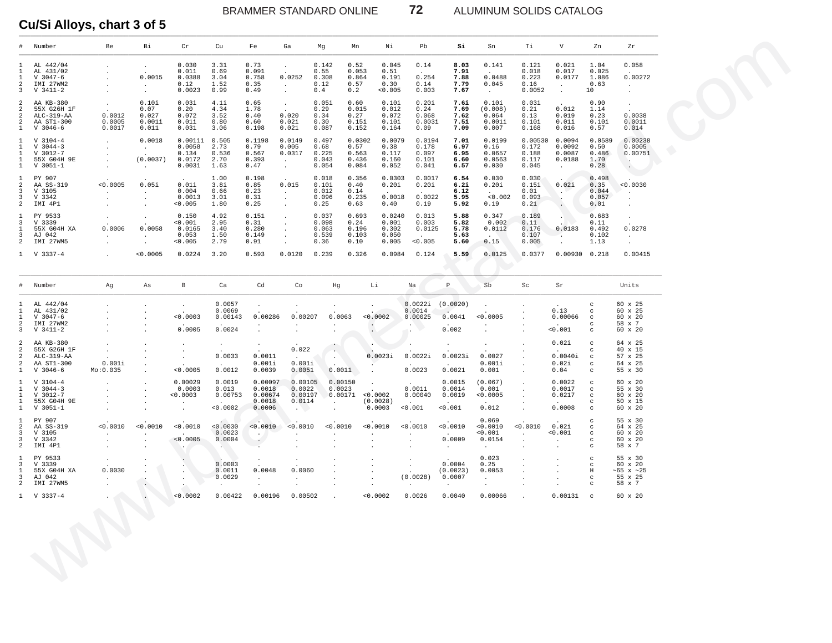## BRAMMER STANDARD ONLINE **72** ALUMINUM SOLIDS CATALOG

# Cu/Si Alloys, chart 3 of 5

|                                                                              | Number                                                              | Be                                         | Bi                                                  | Cr                                                       | Cu                                       | Fe                                                    | Ga                                                                    | Mg                                                | Mn                                        | Νi                                         | Pb                                         | Si                                     | Sn                                              | Тi                                            | V                                                          | Zn                                                                     | Zr                                                       |  |
|------------------------------------------------------------------------------|---------------------------------------------------------------------|--------------------------------------------|-----------------------------------------------------|----------------------------------------------------------|------------------------------------------|-------------------------------------------------------|-----------------------------------------------------------------------|---------------------------------------------------|-------------------------------------------|--------------------------------------------|--------------------------------------------|----------------------------------------|-------------------------------------------------|-----------------------------------------------|------------------------------------------------------------|------------------------------------------------------------------------|----------------------------------------------------------|--|
| 1<br>-1<br>1<br>$\overline{a}$<br>3                                          | AL 442/04<br>AL 431/02<br>V 3047-6<br>IMI 27WM2<br>V 3411-2         | $\cdot$                                    | $\sim$<br>0.0015<br>$\sim$<br>$\sim$                | 0.030<br>0.011<br>0.0388<br>0.12<br>0.0023               | 3.31<br>0.69<br>3.04<br>1.52<br>0.99     | 0.73<br>0.091<br>0.758<br>0.35<br>0.49                | $\bullet$<br>0.0252<br>$\sim$<br>$\sim$                               | 0.142<br>0.55<br>0.308<br>0.12<br>0.4             | 0.52<br>0.053<br>0.864<br>0.57<br>0.2     | 0.045<br>0.51<br>0.191<br>0.30<br>0.005    | 0.14<br>0.254<br>0.14<br>0.003             | 8.03<br>7.91<br>7.88<br>7.79<br>7.67   | 0.141<br>0.0488<br>0.045<br>$\sim$              | 0.121<br>0.018<br>0.223<br>0.16<br>0.0052     | 0.021<br>0.017<br>0.0177<br>$\sim$<br>$\ddot{\phantom{0}}$ | 1.04<br>0.025<br>1.086<br>0.63<br>10                                   | 0.058<br>0.00272<br>$\sim$<br>$\blacksquare$             |  |
| 2<br>2<br>2<br>2<br>$\mathbf{1}$                                             | AA KB-380<br>55X G26H 1F<br>ALC-319-AA<br>AA ST1-300<br>V 3046-6    | $\sim$<br>0.0012<br>0.0005<br>0.0017       | 0.10i<br>0.07<br>0.027<br>0.001i<br>0.011           | 0.03i<br>0.20<br>0.072<br>0.01i<br>0.031                 | 4.1i<br>4.34<br>3.52<br>0.80<br>3.06     | 0.65<br>1.78<br>0.40<br>0.60<br>0.198                 | $\sim$<br>0.020<br>0.02i<br>0.021                                     | 0.05i<br>0.29<br>0.34<br>0.30<br>0.087            | 0.60<br>0.015<br>0.27<br>0.15i<br>0.152   | 0.10i<br>0.012<br>0.072<br>0.10i<br>0.164  | 0.20i<br>0.24<br>0.068<br>0.003i<br>0.09   | 7.6i<br>7.69<br>7.62<br>7.5i<br>7.09   | 0.10i<br>(0.008)<br>0.064<br>0.001i<br>0.007    | 0.03i<br>0.21<br>0.13<br>0.10i<br>0.168       | 0.012<br>0.019<br>0.01i<br>0.016                           | 0.90<br>1.14<br>0.23<br>0.10i<br>0.57                                  | $\cdot$<br>0.0038<br>0.001i<br>0.014                     |  |
| $\mathbf{1}$<br>1<br>-1<br>-1<br>$\mathbf{1}$                                | $V$ 3104-4<br>$V$ 3044-3<br>$V$ 3012-7<br>55X G04H 9E<br>$V$ 3051-1 | $\bullet$<br>$\cdot$<br>$\cdot$            | 0.0018<br>$\sim$<br>(0.0037)<br>$\sim$              | $0.00111$ $0.505$<br>0.0058<br>0.134<br>0.0172<br>0.0031 | 2.73<br>0.536<br>2.70<br>1.63            | 0.1198<br>0.79<br>0.567<br>0.393<br>0.47              | 0.0149<br>0.005<br>0.0317<br>$\sim$<br>$\sim$                         | 0.497<br>0.68<br>0.225<br>0.043<br>0.054          | 0.0302<br>0.57<br>0.563<br>0.436<br>0.084 | 0.0079<br>0.38<br>0.117<br>0.160<br>0.052  | 0.0194<br>0.178<br>0.097<br>0.101<br>0.041 | 7.01<br>6.97<br>6.95<br>6.60<br>6.57   | 0.0199<br>0.16<br>0.0657<br>0.0563<br>0.030     | 0.172<br>0.188<br>0.117<br>0.045              | 0.00530 0.0094<br>0.0092<br>0.0087<br>0.0188<br>$\sim$     | 0.0589<br>0.50<br>0.486<br>1.70<br>0.28                                | 0.00238<br>0.0005<br>0.00751<br>$\sim$ $\sim$<br>$\cdot$ |  |
| $\mathbf{1}$<br>$\overline{a}$<br>3<br>$\overline{\mathbf{3}}$<br>2          | PY 907<br>AA SS-319<br>V 3105<br>V 3342<br>IMI 4P1                  | < 0.0005<br>$\sim$<br>$\bullet$<br>$\cdot$ | 0.05i<br>$\sim$<br>$\ddot{\phantom{1}}$<br>$\cdot$  | 0.01i<br>0.004<br>0.0013<br>0.005                        | 1.00<br>3.8i<br>0.66<br>3.01<br>1.80     | 0.198<br>0.85<br>0.23<br>0.31<br>0.25                 | 0.015<br>$\sim$<br>$\sim$<br>$\sim$                                   | 0.018<br>0.10i<br>0.012<br>0.096<br>0.25          | 0.356<br>0.40<br>0.14<br>0.235<br>0.63    | 0.0303<br>0.20i<br>0.0018<br>0.40          | 0.0017<br>0.20i<br>0.0022<br>0.19          | 6.54<br>6.2i<br>6.12<br>5.95<br>5.92   | 0.030<br>0.20i<br>< 0.002<br>0.19               | 0.030<br>0.15i<br>0.01<br>0.093<br>0.21       | 0.02i<br>است المعاني<br>$\sim$<br>$\cdot$                  | 0.498<br>0.35<br>0.044<br>0.057<br>0.01                                | < 0.0030<br>$\cdot$<br>$\cdot$                           |  |
| $\mathbf{1}$<br>3<br>-1<br>3<br>2                                            | PY 9533<br>V 3339<br>55X G04H XA<br>AJ 042<br>IMI 27WM5             | $\cdot$<br>0.0006<br>$\cdot$<br>$\cdot$    | $\ddot{\phantom{1}}$<br>0.0058<br>$\sim$<br>$\cdot$ | 0.150<br>0.001<br>0.0165<br>0.053<br>0.005               | 4.92<br>2.95<br>3.40<br>1.50<br>2.79     | 0.151<br>0.31<br>0.280<br>0.149<br>0.91               | $\cdot$<br>$\cdot$<br>$\sim$<br>$\bullet$<br>$\cdot$                  | 0.037<br>0.098<br>0.063<br>0.539<br>0.36          | 0.693<br>0.24<br>0.196<br>0.103<br>0.10   | 0.0240<br>0.001<br>0.302<br>0.050<br>0.005 | 0.013<br>0.003<br>0.0125<br>< 0.005        | 5.88<br>5.82<br>5.78<br>5.63<br>5.60   | 0.347<br>0.002<br>0.0112<br>0.15                | 0.189<br>0.11<br>0.176<br>0.107<br>0.005      | 0.0183<br>$\ddot{\phantom{1}}$                             | 0.683<br>0.11<br>0.492<br>0.102<br>1.13                                | $\blacksquare$<br>0.0278<br>$\sim$<br>$\cdot$            |  |
|                                                                              | $1 \tV 3337-4$                                                      |                                            | < 0.0005                                            | 0.0224                                                   | 3.20                                     | 0.593                                                 | 0.0120                                                                | 0.239                                             | 0.326                                     | 0.0984                                     | 0.124                                      | 5.59                                   | 0.0125                                          | 0.0377                                        | $0.00930$ $0.218$                                          |                                                                        | 0.00415                                                  |  |
| #                                                                            | Number                                                              | Ag                                         | As                                                  | $\, {\bf B}$                                             | Ca                                       | Cd                                                    | Co                                                                    | Hg                                                |                                           | Li                                         | Na                                         | $\, {\bf p} \,$                        | Sb                                              | Sc                                            | Sr                                                         |                                                                        | Units                                                    |  |
| $\mathbf{1}$<br>-1<br>1<br>2<br>$\overline{3}$                               | AL 442/04<br>AL 431/02<br>V 3047-6<br>IMI 27WM2<br>V 3411-2         |                                            | $\cdot$<br>$\bullet$                                | $\sim$<br>< 0.0003<br>0.0005                             | 0.0057<br>0.0069<br>0.00143<br>0.0024    | 0.00286<br>$\cdot$<br>$\cdot$                         | 0.00207                                                               | 0.0063                                            |                                           | 0.0002<br>$\sim$                           | 0.0022i<br>0.0014<br>0.00025<br>$\cdot$    | (0.0020)<br>0.0041<br>0.002            | $\cdot$<br>< 0.0005<br>$\cdot$                  | $\cdot$                                       | 0.13<br>0.00066<br>< 0.001                                 | c<br>$\mathbf C$<br>$\mathbf{C}$<br>$\mathbf C$<br>$\mathbf C$         | 60 x 25<br>60 x 25<br>60 x 20<br>58 x 7<br>60 x 20       |  |
| $\overline{a}$<br>2<br>2<br>2<br>$\mathbf{1}$                                | AA KB-380<br>55X G26H 1F<br>ALC-319-AA<br>AA ST1-300<br>V 3046-6    | 0.001i<br>Mo:0.035                         | $\cdot$<br>$\Delta$                                 | $\sim$<br>$\cdot$<br>$\ddot{\phantom{a}}$<br>< 0.0005    | $\ddot{\phantom{0}}$<br>0.0033<br>0.0012 | $\bullet$<br>0.0011<br>0.001i<br>0.0039               | 0.022<br>$\sim$<br>0.001i<br>0.0051                                   | $\mathcal{A}_{\mathcal{A}}$ .<br>$\sim$<br>0.0011 |                                           | 0.0023i                                    | 0.0022i<br>0.0023                          | $\cdot$<br>0.0023i<br>0.0021           | $\cdot$<br>0.0027<br>0.001i<br>0.001            | $\bullet$<br>$\cdot$<br>$\cdot$               | 0.02i<br>0.0040i<br>0.02i<br>0.04                          | $\mathbf{C}$<br>$_{\rm c}$<br>$\mathbf{C}$<br>$_{\rm C}$<br>$_{\rm C}$ | 64 x 25<br>40 x 15<br>57 x 25<br>64 x 25<br>55 x 30      |  |
| $\mathbf{1}$<br>$\mathbf{1}$<br>$\mathbf{1}$<br>$\mathbf{1}$<br>$\mathbf{1}$ | $V$ 3104-4<br>$V$ 3044-3<br>$V$ 3012-7<br>55X G04H 9E<br>V 3051-1   | $\cdot$                                    | $\cdot$<br>$\cdot$<br>$\ddot{\phantom{a}}$          | 0.00029<br>0.0003<br><0.0003<br>$\bullet$<br>$\cdot$     | 0.0019<br>0.013<br>0.00753<br>< 0.0002   | 0.00097<br>0.0018<br>0.00674<br>0.0018<br>0.0006      | 0.00105<br>0.0022<br>0.00197<br>0.0114<br>$\rightarrow$ $\rightarrow$ | 0.0023<br>$\sim$<br>$\cdot$                       | 0.00150<br>0.00171 < 0.0002               | (0.0028)<br>0.0003                         | 0.0011<br>0.00040<br>0.001                 | 0.0015<br>0.0014<br>0.0019<br>0.001    | (0.067)<br>0.001<br>0.0005<br>0.012             | $\bullet$<br>$\cdot$<br>$\bullet$             | 0.0022<br>0.0017<br>0.0217<br>0.0008                       | $_{\rm c}$<br>$_{\rm c}$<br>$_{\rm C}$<br>$\mathbf{C}$<br>$_{\rm c}$   | 60 x 20<br>55 x 30<br>60 x 20<br>50 x 15<br>60 x 20      |  |
| $\mathbf{1}$<br>$\overline{a}$<br>3<br>3<br>$\mathbf{2}$                     | PY 907<br>AA SS-319<br>V 3105<br>V 3342<br>IMI 4P1                  | 0.0010                                     | < 0.0010<br>$\cdot$                                 | < 0.0010<br>< 0.0005<br>$\sim$ $\sim$ $\sim$             | 0.0030<br>0.0023<br>0.0004<br><b>ALC</b> | < 0.0010<br>$\sim$<br>$\ddot{\phantom{0}}$<br>$\cdot$ | < 0.0010                                                              | 0.0010                                            |                                           | 0.0010                                     | 0.0010<br>$\cdot$<br>$\cdot$               | < 0.0010<br>0.0009<br>$\sim$           | 0.069<br>0.0010<br>< 0.001<br>0.0154<br>$\sim$  | < 0.0010<br>$\bullet$<br>$\bullet$<br>$\cdot$ | 0.02i<br>0.001<br>$\cdot$<br>$\cdot$                       | $_{\rm c}$<br>c<br>c<br>c<br>$_{\rm c}$                                | 55 x 30<br>64 x 25<br>60 x 20<br>60 x 20<br>58 x 7       |  |
| $\mathbf{1}$<br>3<br>$\mathbf{1}$<br>3<br>2                                  | PY 9533<br>V 3339<br>55X G04H XA<br>AJ 042<br>IMI 27WM5             | 0.0030<br>$\ddot{\phantom{0}}$             |                                                     | $\ddot{\phantom{0}}$                                     | 0.0003<br>0.0011<br>0.0029               | $\bullet$<br>0.0048<br>$\sim$<br>$\bullet$            | 0.0060<br>$\ddot{\phantom{0}}$                                        |                                                   |                                           |                                            | (0.0028)<br>$\ddot{\phantom{1}}$           | 0.0004<br>(0.0023)<br>0.0007<br>$\sim$ | 0.023<br>0.25<br>0.0053<br>$\ddot{\phantom{a}}$ |                                               | $\cdot$                                                    | $\mathbf C$<br>C<br>Η<br>$_{\rm c}$<br>C                               | 55 x 30<br>60 x 20<br>~65 x ~25<br>55 x 25<br>58 x 7     |  |
|                                                                              | $1 \quad V \quad 3337-4$                                            |                                            |                                                     | < 0.0002                                                 | 0.00422                                  | 0.00196                                               | 0.00502                                                               |                                                   |                                           | 0.0002                                     | 0.0026                                     | 0.0040                                 | 0.00066                                         |                                               | $0.00131$ c                                                |                                                                        | 60 x 20                                                  |  |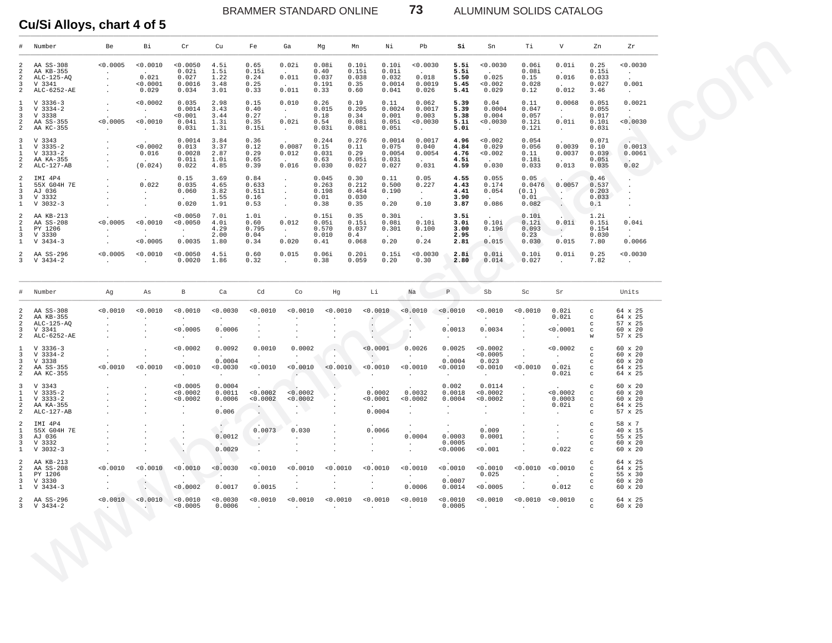BRAMMER STANDARD ONLINE **73** ALUMINUM SOLIDS CATALOG

| #                                                                                                    | Number                                                          | Be                                          | Вi                                                               | Cr                                                                                                                            | Cu                                   | Fe                                                   | Ga                                             | Mg                                       | Mn                                             | Νi                                               | Pb                                              | Si                                                                 | Sn                                                   | Тi                                       | V                                                                                          | Zn                                        | Zr                                                   |
|------------------------------------------------------------------------------------------------------|-----------------------------------------------------------------|---------------------------------------------|------------------------------------------------------------------|-------------------------------------------------------------------------------------------------------------------------------|--------------------------------------|------------------------------------------------------|------------------------------------------------|------------------------------------------|------------------------------------------------|--------------------------------------------------|-------------------------------------------------|--------------------------------------------------------------------|------------------------------------------------------|------------------------------------------|--------------------------------------------------------------------------------------------|-------------------------------------------|------------------------------------------------------|
| 2<br>2<br>2<br>3<br>$\overline{a}$                                                                   | AA SS-308<br>AA KB-355<br>$ALC-125-AQ$<br>V 3341<br>ALC-6252-AE | 0.0005<br>$\sim$<br>$\sim$<br>$\sim$        | < 0.0010<br><b>Contract Contract</b><br>0.021<br>0.0001<br>0.029 | < 0.0050<br>0.02i<br>0.027<br>0.0016<br>0.034                                                                                 | 4.5i<br>1.5i<br>1.22<br>3.48<br>3.01 | 0.65<br>0.15i<br>0.24<br>0.25<br>0.33                | 0.02i<br>0.011<br>$\sim$<br>0.011              | 0.08i<br>0.40<br>0.037<br>0.191<br>0.33  | 0.10i<br>0.15i<br>0.038<br>0.35<br>0.60        | 0.10i<br>0.01i<br>0.032<br>0.0014<br>0.041       | < 0.0030<br>$\sim$<br>0.018<br>0.0019<br>0.026  | 5.5i<br>5.5i<br>5.50<br>5.45<br>5.41                               | 0.0030<br>$\sim$ $\sim$<br>0.025<br>0.002<br>0.029   | 0.06i<br>0.08i<br>0.15<br>0.028<br>0.12  | 0.01i<br>$\sim$<br>0.016<br>$\sim 10^{-11}$<br>0.012                                       | 0.25<br>0.15i<br>0.033<br>0.027<br>3.46   | 0.0030<br>$\sim$<br>0.001<br>$\sim$                  |
| $\mathbf{1}$<br>3<br>3<br>2<br>$\overline{a}$                                                        | $V$ 3336-3<br>V 3334-2<br>V 3338<br>AA SS-355<br>AA KC-355      | $\sim$<br>0.0005<br>$\sim$                  | < 0.0002<br>$\sim$<br>$\sim$<br>< 0.0010<br>$\sim$ $-$           | 0.035<br>0.0014<br>0.001<br>0.04i<br>0.03i                                                                                    | 2.98<br>3.43<br>3.44<br>1.3i<br>1.3i | 0.15<br>0.40<br>0.27<br>0.35<br>0.15i                | 0.010<br>$\sim$<br>0.02i<br>$\sim$ $-$         | 0.26<br>0.015<br>0.18<br>0.54<br>0.03i   | 0.19<br>0.205<br>0.34<br>0.08i<br>0.08i        | 0.11<br>0.0024<br>0.001<br>0.05i<br>0.05i        | 0.062<br>0.0017<br>0.003<br>0.0030<br>$\sim$    | 5.39<br>5.39<br>5.38<br>5.1i<br>5.0i                               | 0.04<br>0.0004<br>0.004<br>0.0030<br>$\sim 10^{-11}$ | 0.11<br>0.047<br>0.057<br>0.12i<br>0.12i | 0.0068<br>$\sim$<br>$\ddot{\phantom{a}}$<br>0.01i<br>$\sim$                                | 0.051<br>0.055<br>0.017<br>0.10i<br>0.03i | 0.0021<br>$\sim 100$<br>0.0030<br>AND 1              |
| 3<br>$\mathbf{1}$<br>$\mathbf{1}$<br>2<br>$\overline{a}$                                             | V 3343<br>$V$ 3335-2<br>$V$ 3333-2<br>AA KA-355<br>$ALC-127-AB$ |                                             | 0.0002<br>0.016<br>(0.024)                                       | 0.0014<br>0.013<br>0.0028<br>0.01i<br>0.022                                                                                   | 3.84<br>3.37<br>2.87<br>1.0i<br>4.85 | 0.36<br>0.12<br>0.29<br>0.65<br>0.39                 | 0.0087<br>0.012<br>$\sim$<br>0.016             | 0.244<br>0.15<br>0.031<br>0.63<br>0.030  | 0.276<br>0.11<br>0.29<br>0.05i<br>0.027        | 0.0014<br>0.075<br>0.0054<br>0.03i<br>0.027      | 0.0017<br>0.040<br>0.0054<br>$\sim$<br>0.031    | 4.96<br>4.84<br>4.76<br>4.5i<br>4.59                               | < 0.002<br>0.029<br>0.002<br>0.030                   | 0.054<br>0.056<br>0.11<br>0.18i<br>0.033 | 0.0039<br>0.0037<br>$\sim$<br>0.013                                                        | 0.071<br>0.10<br>0.039<br>0.05i<br>0.035  | 0.0013<br>0.0061<br><b>Contract Contract</b><br>0.02 |
| 2<br>1<br>$\overline{\mathbf{3}}$<br>$\overline{\mathbf{3}}$<br>$\mathbf{1}$                         | IMI 4P4<br>55X G04H 7E<br>AJ 036<br>V 3332<br>$V$ 3032-3        |                                             | 0.022<br>$\sim$<br>$\sim$                                        | 0.15<br>0.035<br>0.060<br>$\sim$<br>0.020                                                                                     | 3.69<br>4.65<br>3.82<br>1.55<br>1.91 | 0.84<br>0.633<br>0.511<br>0.16<br>0.53               | $\sim$<br>$\sim$<br>$\sim$<br>$\sim$<br>$\sim$ | 0.045<br>0.263<br>0.198<br>0.01<br>0.38  | 0.30<br>0.212<br>0.464<br>0.030<br>0.35        | 0.11<br>0.500<br>0.190<br>$\sim$ $\sim$<br>0.20  | 0.05<br>0.227<br>$\sim$<br>0.10                 | 4.55<br>4.43<br>4.41<br>3.90<br>3.87                               | 0.055<br>0.174<br>0.054<br>0.086                     | 0.05<br>0.0476<br>(0.1)<br>0.01<br>0.082 | 0.0057<br>$\setminus \cdot \triangleright$<br>$\mathcal{A}_{\mathcal{A}}$<br>$\sim$ $\sim$ | 0.46<br>0.537<br>0.203<br>0.033<br>0.1    |                                                      |
| 2<br>2<br>$\mathbf{1}$<br>$\overline{3}$<br>$\mathbf{1}$                                             | AA KB-213<br>AA SS-208<br>PY 1206<br>V 3330<br>$V$ 3434-3       | 0.0005<br>$\ddot{\phantom{a}}$              | 0.0010<br>$\sim$<br>< 0.0005                                     | < 0.0050<br>0.0050<br>$\sim$<br>0.0035                                                                                        | 7.Oi<br>4.0i<br>4.29<br>2.00<br>1.80 | 1.0i<br>0.60<br>0.795<br>0.04<br>0.34                | 0.012<br>$\sim$ $-$<br>0.020                   | 0.15i<br>0.05i<br>0.570<br>0.010<br>0.41 | 0.35<br>0.15i<br>0.037<br>0.4<br>0.068         | 0.30i<br>0.08i<br>0.301<br>$\sim$ $\sim$<br>0.20 | 0.10i<br>0.100<br>$\sim$<br>0.24                | 3.5i<br>3.0i<br>3.00<br>2.95<br>2.81                               | 0.10i<br>0.196<br>0.015                              | 0.10i<br>0.12i<br>0.093<br>0.23<br>0.030 | 0.01i<br>$\sim$ $\sim$<br>0.015                                                            | 1.2i<br>0.15i<br>0.154<br>0.030<br>7.80   | 0.04i<br>$\sim$<br>0.0066                            |
| 2<br>3                                                                                               | AA SS-296<br>V 3434-2                                           | 0.0005<br>$\sim$ $-$                        | < 0.0010<br>$\ddot{\phantom{0}}$                                 | 0.0050<br>0.0020                                                                                                              | 4.5i<br>1.86                         | 0.60<br>0.32                                         | 0.015<br>$\sim$                                | 0.06i<br>0.38                            | 0.20i<br>0.059                                 | 0.15i<br>0.20                                    | 0.0030<br>0.30                                  | 2.8i<br>2.80                                                       | 0.01i<br>0.014                                       | 0.10i<br>0.027                           | 0.01i<br>$\ddot{\phantom{0}}$                                                              | 0.25<br>7.82                              | 0.0030<br>$\cdot$                                    |
| #                                                                                                    | Number                                                          | Ag                                          | As                                                               | В                                                                                                                             | Ca                                   | Cd                                                   | Co                                             | Hg                                       | Li                                             |                                                  | Na                                              | P                                                                  | Sb                                                   | Sc                                       | Sr                                                                                         |                                           | Units                                                |
| 2<br>2<br>$\overline{a}$<br>3<br>2                                                                   | AA SS-308<br>AA KB-355<br>$ALC-125-AQ$<br>V 3341<br>ALC-6252-AE | < 0.0010<br>$\cdot$<br>$\cdot$              | < 0.0010<br>$\cdot$<br>$\cdot$<br>$\cdot$<br>$\cdot$             | 0.0010<br>$\sim$<br>< 0.0005<br>$\sim$                                                                                        | 0.0030<br>$\sim$<br>0.0006<br>$\sim$ | < 0.0010<br>$\cdot$<br>$\cdot$<br>$\cdot$<br>$\cdot$ | < 0.0010<br>$\bullet$                          | < 0.0010                                 | 0.0010<br>$\bullet$<br>$\cdot$                 |                                                  | 0.0010<br>A.<br>$\mathcal{C}$<br>- 2<br>$\cdot$ | < 0.0010<br>$\ddot{\phantom{0}}$<br>0.0013<br>$\ddot{\phantom{a}}$ | 0.0010<br>$\cdot$<br>0.0034<br>$\cdot$               | 0.0010                                   | 0.02i<br>0.02i<br>< 0.0001<br>$\cdot$                                                      | C<br>c<br>c<br>$\mathbf C$<br>W           | 64 x 25<br>64 x 25<br>57 x 25<br>60 x 20<br>57 x 25  |
| <sup>1</sup><br>3<br>3<br>2<br>$\overline{a}$                                                        | $V$ 3336-3<br>$V$ 3334-2<br>V 3338<br>AA SS-355<br>AA KC-355    | $\cdot$<br>< 0.0010<br>$\ddot{\phantom{a}}$ | $\sim$<br>0.0010                                                 | < 0.0002<br>$\sim$<br>0.0010<br>$\cdot$                                                                                       | 0.0092<br>0.0004<br>0.0030<br>$\sim$ | 0.0010<br>$\sim$<br>< 0.0010<br>$\cdot$              | 0.0002<br>$\sim$<br>0.0010                     | $\sim$<br>0.0010                         | < 0.0001<br>$\cdot$ .<br>0.0010<br>$\cdot$     |                                                  | 0.0026<br>$\sim$<br>0.0010<br>$\sim$            | 0.0025<br>0.0004<br>0.0010<br>$\cdot$                              | 0.0002<br>0.0005<br>0.023<br>0.0010<br>$\sim$        | $\sim$<br>0.0010<br>$\cdot$              | < 0.0002<br>$\sim$<br>0.02i<br>0.02i                                                       | $_{\rm c}$<br>c<br>c<br>c<br>C            | 60 x 20<br>60 x 20<br>60 x 20<br>64 x 25<br>64 x 25  |
| $\overline{\mathbf{3}}$<br>$\mathbf{1}$<br>$\mathbf{1}$<br>2<br>$\overline{a}$                       | V 3343<br>V 3335-2<br>$V$ 3333-2<br>AA KA-355<br>ALC-127-AB     |                                             |                                                                  | 0.0005<br>< 0.0002<br>< 0.0002<br>$\cdot$                                                                                     | 0.0004<br>0.0011<br>0.0006<br>0.006  | < 0.0002<br>< 0.0002<br>$\sim$                       | 0.0002<br>< 0.0002<br>$\cdot$ $\triangledown$  | $\bullet$                                | 0.0002<br>0.0001<br>0.0004                     |                                                  | 0.0032<br>< 0.0002<br>$\cdot$<br>$\cdot$        | 0.002<br>0.0018<br>0.0004<br>$\cdot$                               | 0.0114<br>0.0002<br>0.0002<br>$\bullet$<br>$\cdot$   | $\cdot$<br>$\cdot$                       | < 0.0002<br>0.0003<br>0.02i<br>$\ddot{\phantom{a}}$                                        | c<br>$_{\rm c}$<br>$_{\rm c}$<br>c<br>c   | 60 x 20<br>60 x 20<br>60 x 20<br>64 x 25<br>57 x 25  |
| $\overline{a}$<br>$\mathbf{1}$<br>$\overline{\mathbf{3}}$<br>$\overline{\mathbf{3}}$<br>$\mathbf{1}$ | IMI 4P4<br>55X G04H 7E<br>AJ 036<br>V 3332<br>$V$ 3032-3        |                                             | $\cdot$                                                          | $\sim$<br>$\bullet$<br>$\sim$ $\sim$                                                                                          | $\epsilon$<br>0.0012<br>0.0029       | 0.0073<br>$\sim$ $\sim$<br>$\ddot{\phantom{a}}$      | 0.030<br>$\ddot{\phantom{a}}$<br>$\bullet$     | $\bullet$                                | 0.0066<br>$\cdot$<br>$\blacksquare$<br>$\cdot$ |                                                  | $\sim$<br>0.0004<br>$\sim$<br>$\cdot$           | $\sim$<br>0.0003<br>0.0005<br>0.0006                               | 0.009<br>0.0001<br>0.001                             |                                          | 0.022                                                                                      | c<br>c<br>C<br>c<br>c                     | 58 x 7<br>40 x 15<br>55 x 25<br>60 x 20<br>60 x 20   |
| 2<br>$\overline{a}$<br>$\mathbf{1}$<br>3<br>1                                                        | AA KB-213<br>AA SS-208<br>PY 1206<br>V 3330<br>$V_3434-3$       | < 0.0010                                    | < 0.0010<br>$\sim$                                               | < 0.0010<br>< 0.0002                                                                                                          | 0.0030<br>0.0017                     | 0.0010<br>0.0015                                     | < 0.0010                                       | < 0.0010                                 | < 0.0010                                       |                                                  | < 0.0010<br>$\sim$<br>0.0006                    | < 0.0010<br>0.0007<br>0.0014                                       | < 0.0010<br>0.025<br>< 0.0005                        | < 0.0010                                 | < 0.0010<br>$\sim$<br>0.012                                                                | c<br>c<br>c<br>c<br>C                     | 64 x 25<br>64 x 25<br>55 x 30<br>60 x 20<br>60 x 20  |
|                                                                                                      | 2 AA SS-296<br>3 V 3434-2                                       |                                             | a sa s                                                           | $0.0010$ $0.0010$ $0.0010$ $0.0010$ $0.0030$ $0.0010$ $0.0010$ $0.0010$ $0.0010$ $0.0010$ $0.0010$ $0.0010$ $0.0010$ $0.0010$ |                                      |                                                      |                                                |                                          |                                                |                                                  |                                                 |                                                                    |                                                      |                                          |                                                                                            | $\sim$ $\sim$<br>$\mathbf C$              | 64 x 25<br>60 x 20                                   |
|                                                                                                      |                                                                 |                                             |                                                                  |                                                                                                                               |                                      |                                                      |                                                |                                          |                                                |                                                  |                                                 |                                                                    |                                                      |                                          |                                                                                            |                                           |                                                      |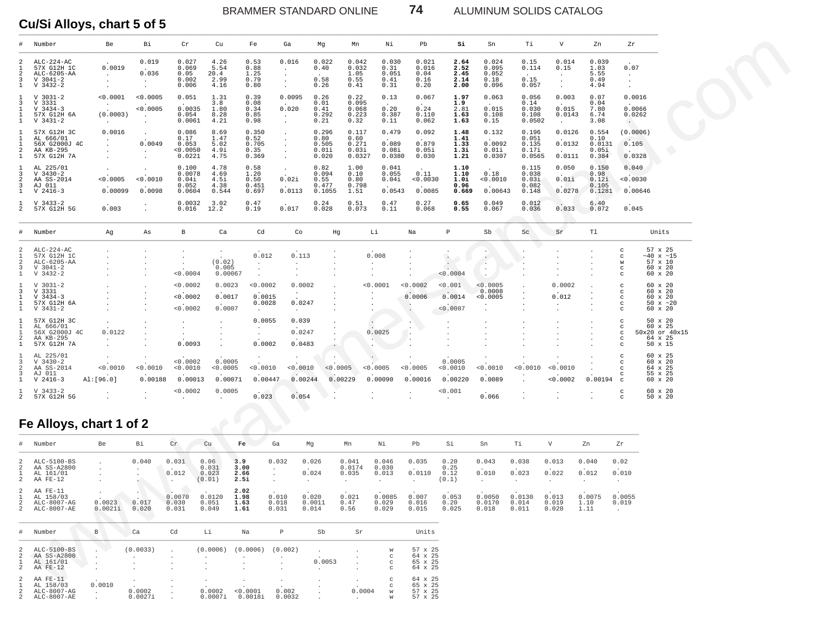BRAMMER STANDARD ONLINE **74** ALUMINUM SOLIDS CATALOG

**Cu/Si Alloys, chart 5 of 5** \_\_\_\_\_\_\_\_\_\_\_\_\_\_\_\_\_\_\_\_\_\_\_\_\_\_\_\_\_\_\_\_\_\_\_\_\_\_\_\_\_\_\_\_\_\_\_\_\_\_\_\_\_\_\_\_\_\_\_\_\_\_\_\_\_\_\_\_\_\_\_\_\_\_\_\_\_\_\_\_\_\_\_\_\_\_\_\_\_\_\_\_\_\_\_\_\_\_\_\_\_\_\_\_\_\_\_\_\_\_\_\_\_\_\_\_\_\_\_\_\_\_\_\_\_\_\_\_\_\_\_\_\_\_\_\_\_\_\_\_\_\_\_\_\_\_\_\_\_\_\_\_\_\_\_\_\_\_\_\_\_\_\_\_\_\_\_\_\_

|                                                                   | Number                                                                  | Be                                                    | Bi                                         | ${\rm Cr}$                                   | Cu                                    | Fe                                                                        | Ga                                                           | Mg                                       | Mn                                        | Νi                                              | Pb                                       | Si                                            | Sn                                       | Тi                                         | V                                             | Zn                                        | Zr                                                               |                                                             |  |
|-------------------------------------------------------------------|-------------------------------------------------------------------------|-------------------------------------------------------|--------------------------------------------|----------------------------------------------|---------------------------------------|---------------------------------------------------------------------------|--------------------------------------------------------------|------------------------------------------|-------------------------------------------|-------------------------------------------------|------------------------------------------|-----------------------------------------------|------------------------------------------|--------------------------------------------|-----------------------------------------------|-------------------------------------------|------------------------------------------------------------------|-------------------------------------------------------------|--|
|                                                                   | $AT.C-224-AC$<br>57X G12H 1C<br>ALC-6205-AA<br>$V$ 3041-2<br>$V$ 3432-2 | 0.0019<br>$\sim$<br>$\bullet$<br>$\ddot{\phantom{a}}$ | 0.019<br>0.036<br>$\sim$<br>$\sim$         | 0.027<br>0.069<br>0.05<br>0.002<br>0.006     | 4.26<br>5.54<br>20.4<br>2.99<br>4.16  | 0.53<br>0.88<br>1.25<br>0.79<br>0.80                                      | 0.016<br>$\ddot{\phantom{a}}$<br>$\cdot$<br>$\sim$<br>$\sim$ | 0.022<br>0.40<br>0.58<br>0.26            | 0.042<br>0.032<br>1.05<br>0.55<br>0.41    | 0.030<br>0.31<br>0.051<br>0.41<br>0.31          | 0.021<br>0.016<br>0.04<br>0.16<br>0.20   | 2.64<br>2.52<br>2.45<br>2.14<br>2.00          | 0.024<br>0.095<br>0.052<br>0.18<br>0.096 | 0.15<br>0.114<br>0.15<br>0.057             | 0.014<br>0.15<br>$\sim$<br>$\sim$<br>$\Delta$ | 0.039<br>1.03<br>5.55<br>0.49<br>4.94     | 0.07<br>$\sim$<br>$\cdot$<br>$\ddot{\phantom{a}}$                |                                                             |  |
| $\mathbf{1}$<br>3<br>$\mathbf{1}$<br>$\mathbf{1}$<br>$\mathbf{1}$ | $V$ 3031-2<br>V 3331<br>$V$ 3434-3<br>57X G12H 6A<br>$V$ 3431-2         | < 0.0001<br>$\sim$<br>(0.0003)<br>$\cdot$             | < 0.0005<br>< 0.0005                       | 0.051<br>0.0035<br>0.054<br>0.0061           | 1.31<br>3.8<br>1.80<br>8.28<br>4.21   | 0.39<br>0.08<br>0.34<br>0.85<br>0.98                                      | 0.0095<br>0.020<br>$\cdot$                                   | 0.26<br>0.01<br>0.41<br>0.292<br>0.21    | 0.22<br>0.095<br>0.068<br>0.223<br>0.32   | 0.13<br>0.20<br>0.387<br>0.11                   | 0.067<br>0.24<br>0.110<br>0.062          | 1.97<br>1.9<br>2.81<br>1.63<br>1.63           | 0.063<br>0.015<br>0.108<br>0.15          | 0.056<br>0.14<br>0.030<br>0.108<br>0.0502  | 0.003<br>0.015<br>0.0143<br>$\sim$            | 0.07<br>0.04<br>7.80<br>6.74<br>3.08      | 0.0016<br>0.0066<br>0.0262<br>$\cdot$                            |                                                             |  |
| $\mathbf{1}$<br>2<br>$\mathbf{1}$                                 | 57X G12H 3C<br>AL 666/01<br>56X G2000J 4C<br>AA KB-295<br>57X G12H 7A   | 0.0016<br>$\blacksquare$<br>$\cdot$                   | $\cdot$<br>0.0049<br>$\cdot$               | 0.086<br>0.17<br>0.053<br>< 0.0050<br>0.0221 | 8.69<br>1.47<br>5.02<br>4.9i<br>4.75  | 0.350<br>0.52<br>0.705<br>0.35<br>0.369                                   | $\cdot$<br>$\ddot{\phantom{a}}$<br>$\ddot{\phantom{a}}$      | 0.296<br>0.80<br>0.505<br>0.01i<br>0.020 | 0.117<br>0.60<br>0.271<br>0.03i<br>0.0327 | 0.479<br>0.089<br>0.08i<br>0.0380               | 0.092<br>0.879<br>0.05i<br>0.030         | 1.48<br>1.41<br>1.33<br>1.3i<br>1.21          | 0.132<br>0.0092<br>0.01i<br>0.0307       | 0.196<br>0.051<br>0.135<br>0.17i<br>0.0565 | 0.0126<br>0.0132<br>0.0111                    | 0.554<br>0.10<br>0.0131<br>0.05i<br>0.384 | (0.0006)<br>0.105<br>0.0328                                      |                                                             |  |
| 3<br>$\overline{a}$<br>3<br>1                                     | AL 225/01<br>$V$ 3430-2<br>AA SS-2014<br>AJ 011<br>$V$ 2416-3           | 0.0005<br>0.00099                                     | $\ddot{\phantom{1}}$<br>< 0.0010<br>0.0098 | 0.100<br>0.0078<br>0.041<br>0.052<br>0.0604  | 4.78<br>4.69<br>4.5i<br>4.38<br>0.544 | 0.58<br>1.20<br>0.50<br>0.451<br>0.697                                    | $\ddot{\phantom{a}}$<br>0.02i<br>0.0113                      | 0.82<br>0.094<br>0.55<br>0.477<br>0.1055 | 1.00<br>0.10<br>0.80<br>0.798<br>1.51     | 0.041<br>0.055<br>0.04i<br>0.0543               | 0.11<br>0.0030<br>0.0085                 | 1.10<br>1.10<br>1.0i<br>0.96<br>0.669         | 0.18<br>0.0010<br>0.00643                | 0.115<br>0.038<br>0.031<br>0.082<br>0.148  | 0.050<br>0.01i<br>0.0278                      | 0.150<br>0.98<br>0.12i<br>0.105<br>0.1281 | 0.040<br>0.0030<br>0.00646                                       |                                                             |  |
| 1<br>2                                                            | $V$ 3433-2<br>57X G12H 5G                                               | 0.003                                                 | $\cdot$                                    | 0.0032<br>0.016                              | 3.02<br>12.2                          | 0.47<br>0.19                                                              | 0.017                                                        | 0.24<br>0.028                            | 0.51<br>0.073                             | 0.47<br>0.11                                    | 0.27<br>0.068                            | 0.65<br>0.55                                  | 0.049<br>0.067                           | 0.012<br>0.036                             | 0.033                                         | 6.40<br>0.072                             | 0.045                                                            |                                                             |  |
| $_{\pm}$                                                          | Number                                                                  | Αg                                                    | As                                         | $\mathbf{B}$                                 | Ca                                    | Cd                                                                        | Co                                                           | Hg                                       |                                           | Li                                              | $_{\rm Na}$                              | $\, {\mathbb P}$                              | Sb                                       | Sc                                         | Sr                                            | T1                                        |                                                                  | Units                                                       |  |
| 3<br>-1.                                                          | $ALC-224-AC$<br>57X G12H 1C<br>ALC-6205-AA<br>$V$ 3041-2<br>$V$ 3432-2  | $\cdot$                                               |                                            | $\sim$<br>$\ddot{\phantom{a}}$<br>< 0.0004   | (0.02)<br>0.005<br>0.00067            | 0.012<br>$\Delta$<br>$\cdot$                                              | 0.113                                                        |                                          |                                           | 0.008                                           |                                          | $\langle \cdot \rangle$<br>$\sim$<br>< 0.0004 | ×.<br>۰.<br>$\cdot$                      |                                            |                                               |                                           | $\mathbf C$<br>$\rm ^{c}$<br>W<br>C<br>C                         | 57 x 25<br>$~10 \times 15$<br>57 x 10<br>60 x 20<br>60 x 20 |  |
| 3<br>1<br>$\mathbf{1}$<br>$\mathbf{1}$                            | $V$ 3031-2<br>V 3331<br>$V$ 3434-3<br>57X G12H 6A<br>$V$ 3431-2         |                                                       |                                            | < 0.0002<br>< 0.0002<br>< 0.0002             | 0.0023<br>0.0017<br>0.0007            | < 0.0002<br>0.0015<br>0.0028<br>$\cdot$                                   | 0.0002<br>0.0247<br>$\sim$                                   |                                          |                                           | < 0.0001                                        | < 0.0002<br>0.0006<br>$\sim$<br>$\cdot$  | < 0.001<br>0.0014<br>< 0.0007                 | 0.0005<br>0.0008<br>0.0005<br>$\cdot$    |                                            | 0.0002<br>0.012<br>$\cdot$                    |                                           | $\mathbf C$<br>c<br>$\mathbf C$<br>$\mathtt{C}$<br>$\mathtt{C}$  | 60 x 20<br>60 x 20<br>60 x 20<br>$50 \times ~20$<br>60 x 20 |  |
| $\mathbf{1}$<br>$\mathfrak{D}$<br>$\mathbf{1}$                    | 57X G12H 3C<br>AL 666/01<br>56X G2000J 4C<br>AA KB-295<br>57X G12H 7A   | 0.0122<br>$\sim$<br>$\cdot$                           |                                            | $\bullet$<br>$\sim$<br>0.0093                |                                       | 0.0055<br>$\ddot{\phantom{a}}$<br>$\cdot$<br>0.0002                       | 0.039<br>0.0247<br>0.0483                                    |                                          |                                           | 0.0025<br>$\sim$                                | $\sim$<br>$\sim$                         | $\cdot$<br>$\overline{a}$                     |                                          |                                            |                                               |                                           | $\mathbf{C}$<br>$\mathtt{C}$<br>C<br>$\mathbf C$<br>$\mathtt{C}$ | 50 x 20<br>60 x 25<br>50x20 or 40x15<br>64 x 25<br>50 x 15  |  |
| $\overline{\mathbf{3}}$<br>2<br>3<br>$\mathbf{1}$                 | AL 225/01<br>$V$ 3430-2<br>AA SS-2014<br>AJ 011<br>$V$ 2416-3           | 0.0010<br>AI:[96.0]                                   | 0.0010<br>0.00188                          | < 0.0002<br>< 0.0010<br>0.00013              | 0.0005<br>< 0.0005<br>0.00071         | $\cdot$<br>< 0.0010<br>0.00447                                            | 0.0010<br>0.00244                                            | < 0.0005                                 | 0.00229                                   | < 0.0005<br>0.00090                             | < 0.0005<br>0.00016                      | 0.0005<br>< 0.0010<br>0.00220                 | 0.0010<br>0.0089                         | < 0.0010                                   | < 0.0010<br>< 0.0002                          | 0.00194                                   | $\mathbf C$<br>$\mathtt{C}$<br>$\mathtt{C}$<br>c<br>$\mathbf C$  | 60 x 25<br>60 x 20<br>64 x 25<br>55 x 25<br>60 x 20         |  |
| 2                                                                 | $V$ 3433-2<br>57X G12H 5G                                               |                                                       |                                            | < 0.0002<br>$\ddot{\phantom{0}}$             | 0.0005<br>$\ddot{\phantom{1}}$        | 0.023                                                                     | 0.054                                                        |                                          |                                           |                                                 |                                          | 0.001<br>$\cdot$                              | 0.066                                    |                                            |                                               |                                           | $\mathbf C$<br>$\mathtt{C}$                                      | 60 x 20<br>50 x 20                                          |  |
|                                                                   | Fe Alloys, chart 1 of 2                                                 |                                                       |                                            |                                              |                                       |                                                                           |                                                              |                                          |                                           |                                                 |                                          |                                               |                                          |                                            |                                               |                                           |                                                                  |                                                             |  |
|                                                                   | Number                                                                  | Be                                                    | Bi                                         | $\operatorname{Cr}$                          | Cu                                    | Ga<br>Fe                                                                  |                                                              | Mg                                       | Mn                                        | Νi                                              | Pb                                       | Si                                            | Sn                                       | Тi                                         | $\boldsymbol{\nabla}$                         | Zn                                        | Zr                                                               |                                                             |  |
| $\mathfrak{D}$<br>2                                               | ALC-5100-BS<br>AA SS-A2800<br>AL 161/01<br>AA FE-12                     | $\cdot$                                               | 0.040<br>$\cdot$<br>×.                     | 0.031<br>0.012<br>$\cdot$                    | 0.06<br>0.031<br>0.023<br>(0.01)      | 3.9<br>3.00<br>$\cdot$<br>2.66<br>$\cdot$<br>2.5i<br>$\ddot{\phantom{a}}$ | 0.032<br>$\ddot{\phantom{a}}$                                | 0.026<br>0.024                           | 0.041<br>0.0174<br>0.035<br>$\sim$        | 0.046<br>0.030<br>0.013<br>$\ddot{\phantom{a}}$ | 0.035<br>0.0110<br>$\sim$                | 0.20<br>0.25<br>0.12<br>(0.1)                 | 0.043<br>0.010<br>$\sim$                 | 0.038<br>0.023<br>$\ddot{\phantom{0}}$     | 0.013<br>0.022<br>$\ddot{\phantom{1}}$        | 0.040<br>0.012<br>$\ddot{\phantom{0}}$    | 0.02<br>0.010<br>$\sim$                                          |                                                             |  |
| $\mathfrak{D}$<br>2<br>2                                          | AA FE-11<br>AL 158/03<br>ALC-8007-AG<br>ALC-8007-AE                     | 0.0023<br>0.0021i                                     | 0.017<br>0.020                             | 0.0070<br>0.030<br>0.031                     | 0.0120<br>0.051<br>0.049              | 2.02<br>1.98<br>1.63<br>1.61                                              | 0.010<br>0.018<br>0.031                                      | 0.020<br>0.0011<br>0.014                 | 0.021<br>0.47<br>0.56                     | 0.0085<br>0.029<br>0.029                        | 0.007<br>0.016<br>0.015                  | 0.053<br>0.20<br>0.025                        | 0.0050<br>0.0170<br>0.018                | 0.0130<br>0.014<br>0.011                   | 0.013<br>0.019<br>0.020                       | 0.0075<br>1.10<br>1.11                    | 0.0055<br>0.019<br>$\ddot{\phantom{0}}$                          |                                                             |  |
| $_{\rm \ddagger}$                                                 | Number                                                                  | $\, {\bf B}$                                          | $ca$                                       | Cd                                           | Li                                    | Na                                                                        | $\, {\bf P}$                                                 | Sb                                       | Sr                                        |                                                 | Units                                    |                                               |                                          |                                            |                                               |                                           |                                                                  |                                                             |  |
| $\overline{2}$<br>2                                               | ALC-5100-BS<br>AA SS-A2800<br>AL 161/01<br>AA FE-12                     |                                                       | (0.0033)<br>$\cdot$                        |                                              | (0.0006)<br>$\cdot$                   | (0.0006)                                                                  | (0.002)<br>$\cdot$                                           | 0.0053<br>$\cdot$                        |                                           | W<br>$_{\rm C}$<br>$_{\rm C}$<br>$_{\rm C}$     | 57 x 25<br>64 x 25<br>65 x 25<br>64 x 25 |                                               |                                          |                                            |                                               |                                           |                                                                  |                                                             |  |
| 2                                                                 | AA FE-11<br>AL 158/03                                                   | 0.0010                                                |                                            |                                              |                                       |                                                                           |                                                              |                                          |                                           | $_{\rm C}$                                      | 64 x 25<br>65 x 25                       |                                               |                                          |                                            |                                               |                                           |                                                                  |                                                             |  |

# **Fe Alloys, chart 1 of 2**

| $5.11$ $-2.11$ $-2$<br>Fe Alloys, chart 1 of 2            |                   |                |                          |                                  |                              | -----                   | .                        |                          |                          |                         |                               |                           |                          |                         |                        |                                       |
|-----------------------------------------------------------|-------------------|----------------|--------------------------|----------------------------------|------------------------------|-------------------------|--------------------------|--------------------------|--------------------------|-------------------------|-------------------------------|---------------------------|--------------------------|-------------------------|------------------------|---------------------------------------|
| # Number                                                  | Be                | Bi             | Cr                       | Cu                               | Fe                           | Ga                      | Mq                       | Mn                       | Νi                       | Pb                      | Si                            | Sn                        | Тi                       | V                       | Zn                     | Zr                                    |
| 2 ALC-5100-BS<br>2 AA SS-A2800<br>AL 161/01<br>2 AA FE-12 |                   | 0.040          | 0.031<br>0.012           | 0.06<br>0.031<br>0.023<br>(0.01) | 3.9<br>3.00<br>2.66<br>2.5i  | 0.032                   | 0.026<br>0.024           | 0.041<br>0.0174<br>0.035 | 0.046<br>0.030<br>0.013  | 0.035<br>0.0110         | 0.20<br>0.25<br>0.12<br>(0.1) | 0.043<br>0.010            | 0.038<br>0.023           | 0.013<br>0.022          | 0.040<br>0.012         | 0.02<br>$\ddot{\phantom{1}}$<br>0.010 |
| 2 AA FE-11<br>AL 158/03<br>ALC-8007-AG<br>2 ALC-8007-AE   | 0.0023<br>0.0021i | 0.017<br>0.020 | 0.0070<br>0.030<br>0.031 | 0.0120<br>0.051<br>0.049         | 2.02<br>1.98<br>1.63<br>1.61 | 0.010<br>0.018<br>0.031 | 0.020<br>0.0011<br>0.014 | 0.021<br>0.47<br>0.56    | 0.0085<br>0.029<br>0.029 | 0.007<br>0.016<br>0.015 | 0.053<br>0.20<br>0.025        | 0.0050<br>0.0170<br>0.018 | 0.0130<br>0.014<br>0.011 | 0.013<br>0.019<br>0.020 | 0.0075<br>1.10<br>1.11 | 0.0055<br>0.019                       |

| $^{\#}$      | Number                                              | B      | Ca                   | Cd      | Li                   | Na                  | P               | Sb     | Sr     |                    | Units                                    |
|--------------|-----------------------------------------------------|--------|----------------------|---------|----------------------|---------------------|-----------------|--------|--------|--------------------|------------------------------------------|
| 2.<br>2<br>2 | ALC-5100-BS<br>AA SS-A2800<br>AL 161/01<br>AA FE-12 |        | (0.0033)             | $\cdot$ | (0.0006)             | (0.0006)<br>. .     | (0.002)         | 0.0053 |        | W<br>c<br>C.<br>c  | 57 x 25<br>64 x 25<br>65 x 25<br>64 x 25 |
| 2<br>2       | AA FE-11<br>AL 158/03<br>ALC-8007-AG<br>ALC-8007-AE | 0.0010 | 0.0002<br>$0.0027$ i |         | 0.0002<br>$0.0007$ i | < 0.0001<br>0.0018i | 0.002<br>0.0032 |        | 0.0004 | C.<br>C.<br>W<br>W | 64 x 25<br>65 x 25<br>57 x 25<br>57 x 25 |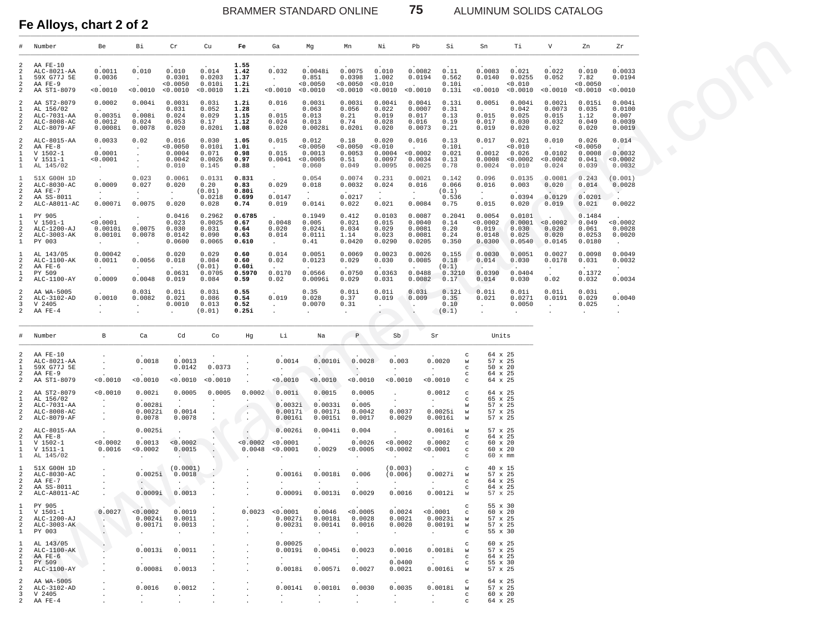75

ALUMINUM SOLIDS CATALOG

Fe Alloys, chart 2 of 2

| #                                                          | Number                                                                | Be                                                                         | Вi                                                                         | Cr                                           | Cu                                           | Fe                                      | Ga                                                                | Mg                                               | Mn                                                            | Νi                                                        | Pb                                                       | Si                                                                                                                | Sn                                                                | Тi                                             | V                                                       | Zn                                            | Zr                                                     |
|------------------------------------------------------------|-----------------------------------------------------------------------|----------------------------------------------------------------------------|----------------------------------------------------------------------------|----------------------------------------------|----------------------------------------------|-----------------------------------------|-------------------------------------------------------------------|--------------------------------------------------|---------------------------------------------------------------|-----------------------------------------------------------|----------------------------------------------------------|-------------------------------------------------------------------------------------------------------------------|-------------------------------------------------------------------|------------------------------------------------|---------------------------------------------------------|-----------------------------------------------|--------------------------------------------------------|
| 2<br>$\overline{2}$<br>$\mathbf{1}$<br>2<br>2              | AA FE-10<br>ALC-8021-AA<br>59X G77J 5E<br>AA FE-9<br>AA ST1-8079      | 0.0011<br>0.0036<br><b>Contract Contract</b><br>< 0.0010                   | 0.010<br>$\sim 10^{-11}$<br>$\mathbf{r}$<br>< 0.0010 < 0.0010              | 0.010<br>0.0301<br>< 0.0050                  | 0.014<br>0.0203<br>0.010i<br>< 0.0010        | 1.55<br>1.42<br>1.37<br>1.2i<br>1.2i    | 0.032<br>$\mathcal{A}^{\mathcal{A}}$ and<br>$\sim$<br>< 0.0010    | 0.0048i<br>0.851<br>0.0050<br>< 0.0010           | 0.0075<br>0.0398<br>< 0.0050<br>< 0.0010                      | 0.010<br>1.002<br>< 0.010<br>< 0.0010                     | 0.0082<br>0.0194<br>$\sim 10^{-11}$<br>< 0.0010          | 0.11<br>0.562<br>0.10i<br>0.13i                                                                                   | 0.0083<br>0.0140<br><b>Contract</b><br>< 0.0010                   | 0.021<br>0.0255<br>< 0.010<br>< 0.0010         | 0.022<br>0.052<br>$\sim$<br>< 0.0010                    | 0.010<br>7.82<br>< 0.0050<br>< 0.0010         | 0.0033<br>0.0194<br>0.0010                             |
| 2<br>$\mathbf{1}$<br>2<br>2<br>$\overline{2}$              | AA ST2-8079<br>AL 156/02<br>ALC-7031-AA<br>ALC-8008-AC<br>ALC-8079-AF | 0.0002<br><b>Contract Contract</b><br>0.0035i<br>0.0012<br>0.0008i         | 0.004i<br><b>Contract Contract</b><br>0.008i<br>0.024<br>0.0078            | 0.003i<br>0.031<br>0.024<br>0.053<br>0.020   | 0.03i<br>0.052<br>0.029<br>0.17<br>0.020i    | 1.2i<br>1.28<br>1.15<br>1.12<br>1.08    | 0.016<br>$\sim 10^{-1}$<br>0.015<br>0.024<br>0.020                | 0.003i<br>0.063<br>0.013<br>0.013<br>0.0028i     | 0.003i<br>0.056<br>0.21<br>0.74<br>0.020i                     | 0.004i<br>0.022<br>0.019<br>0.028<br>0.020                | 0.004i<br>0.0007<br>0.017<br>0.016<br>0.0073             | 0.13i<br>0.31<br>0.13<br>0.19<br>0.21                                                                             | 0.005i<br>$\sim 10^{-11}$<br>0.015<br>0.017<br>0.019              | 0.004i<br>0.042<br>0.025<br>0.030<br>0.020     | 0.002i<br>0.0073<br>0.015<br>0.032<br>0.02              | 0.015i<br>0.035<br>1.12<br>0.049<br>0.020     | 0.004i<br>0.0100<br>0.007<br>0.0039<br>0.0019          |
| 2<br>2<br>$\mathbf{1}$<br>$\mathbf{1}$<br>$\mathbf{1}$     | ALC-8015-AA<br>AA FE-8<br>$V 1502 - 1$<br>$V 1511-1$<br>AL 145/02     | 0.0033<br><b>Carl Corporation</b><br>0.0001<br>< 0.0001<br>$\sim 10^{-10}$ | 0.02<br>$\sim 10^{-1}$<br>$\sim$<br>$\cdot$<br>$\cdot$                     | 0.016<br>0.0050<br>0.0004<br>0.0042<br>0.010 | 0.030<br>0.010i<br>0.071<br>0.0026<br>0.145  | 1.05<br>1.0i<br>0.98<br>0.97<br>0.88    | 0.015<br><b>Carl Corporation</b><br>0.015<br>0.0041<br>$\sim 100$ | 0.012<br>< 0.0050<br>0.0013<br>< 0.0005<br>0.060 | 0.18<br>< 0.0050<br>0.0053<br>0.51<br>0.049                   | 0.020<br>< 0.010<br>0.0004<br>0.0097<br>0.0095            | 0.016<br>$\sim 10^{-10}$<br>< 0.0002<br>0.0034<br>0.0025 | 0.13<br>0.10i<br>0.021<br>0.13<br>0.78                                                                            | 0.017<br>$\sim 10^{-11}$<br>0.0012<br>0.0008<br>0.0024            | 0.021<br>< 0.010<br>0.026<br>< 0.0002<br>0.010 | 0.010<br>$\sim 10^{-11}$<br>0.0102<br>< 0.0002<br>0.024 | 0.026<br>< 0.0050<br>0.0008<br>0.041<br>0.039 | 0.014<br>and the state<br>0.0032<br>< 0.0002<br>0.0032 |
| 1<br>2<br>2                                                | 51X G00H 1D<br>ALC-8030-AC<br>AA FE-7                                 | 0.0009<br>$\sim 10^{-10}$                                                  | 0.023<br>0.027                                                             | 0.0061<br>0.020                              | 0.0131<br>0.20<br>(0.01)                     | 0.831<br>0.83<br>0.80i                  | 0.029<br><b>Service</b>                                           | 0.054<br>0.018                                   | 0.0074<br>0.0032                                              | 0.231<br>0.024<br>$\sim$ $-$                              | 0.0021<br>0.016<br>$\sim 10^{-1}$                        | 0.142<br>0.066<br>(0.1)                                                                                           | 0.096<br>0.016<br>$\sim$ $-$                                      | 0.0135<br>0.003                                | 0.0081<br>0.020<br>$\sim$                               | 0.243<br>0.014<br>$\sim$                      | (0.001)<br>0.0028<br>$\sim$                            |
| 2<br>2                                                     | AA SS-8011<br>ALC-A8011-AC                                            | 0.0007i                                                                    | $\langle \sigma_{\rm{eff}} \rangle$<br>0.0075                              | $\frac{1}{2}$ .<br>0.020                     | 0.0218<br>0.028                              | 0.699<br>0.74                           | 0.0147<br>0.019                                                   | $\mathbb{C}^{\times}$<br>0.014i                  | 0.0217<br>0.022                                               | $\sim$<br>0.021                                           | $\sim$<br>0.0084                                         | 0.536<br>0.75                                                                                                     | $\sim$<br>0.015                                                   | 0.0394<br>0.020                                | 0.0129<br>0.019                                         | 0.0201<br>0.021                               | 0.0022                                                 |
| 1<br>$\mathbf{1}$<br>2<br>2<br>$\mathbf{1}$                | PY 905<br>$V 1501-1$<br>ALC-1200-AJ<br>ALC-3003-AK<br>PY 003          | < 0.0001<br>0.0010i<br>0.0010i<br>$\sim$                                   | $\cdot$<br>$\mathbf{r}$<br>0.0075<br>0.0078<br>$\mathbf{z} = \mathbf{z}$ . | 0.0416<br>0.023<br>0.030<br>0.0142<br>0.0600 | 0.2962<br>0.0025<br>0.031<br>0.090<br>0.0065 | 0.6785<br>0.67<br>0.64<br>0.63<br>0.610 | 0.0048<br>0.020<br>0.014<br>$\Delta \sim 100$                     | 0.1949<br>0.005<br>0.024i<br>0.011i<br>0.41      | 0.412<br>0.021<br>0.034<br>1.14<br>0.0420                     | 0.0103<br>0.015<br>0.029<br>0.023<br>0.0290               | 0.0087<br>0.0040<br>0.0081<br>0.0081<br>0.0205           | 0.2041<br>0.14<br>0.20<br>0.24<br>0.350                                                                           | 0.0054<br>< 0.0002<br>0.019<br>0.0148<br>0.0300                   | 0.0101<br>0.0001<br>0.030<br>0.025<br>0.0540   | < 0.0002<br>0.020<br>0.020<br>0.0145                    | 0.1484<br>0.049<br>0.061<br>0.0253<br>0.0180  | < 0.0002<br>0.0028<br>0.0020<br>$\sim$                 |
| 1<br>2<br>2                                                | AL 143/05<br>ALC-1100-AK<br>AA FE-6                                   | 0.00042<br>0.0011                                                          | $\mathcal{L}^{\text{max}}$<br>0.0056                                       | 0.020<br>0.018<br>$\sim$                     | 0.029<br>0.084<br>(0.01)                     | 0.60<br>0.60<br>0.60i                   | 0.014<br>0.02                                                     | 0.0051<br>0.0123                                 | 0.0069<br>0.029                                               | 0.0023<br>0.030                                           | 0.0026<br>0.0085<br>$\sim$                               | 0.155<br>0.18<br>(0.1)                                                                                            | 0.0030<br>0.014<br>$\sim$                                         | 0.0051<br>0.030                                | 0.0027<br>0.0178                                        | 0.0098<br>0.031                               | 0.0049<br>0.0032                                       |
| $\mathbf{1}$<br>2                                          | PY 509<br>ALC-1100-AY                                                 | $\sim 10^{-10}$<br>0.0009                                                  | $\frac{1}{2}$ .<br>0.0048                                                  | 0.0631<br>0.019                              | 0.0705<br>0.084                              | 0.5970<br>0.59                          | 0.0170<br>0.02                                                    | 0.0566<br>0.0096i                                | 0.0750<br>0.029                                               | 0.0363<br>0.031                                           | 0.0488<br>0.0082                                         | 0.3210<br>0.17                                                                                                    | 0.0390<br>0.014                                                   | ۰.<br>0.0404<br>0.030                          | 0.02                                                    | 0.1372<br>0.032                               | $\sim$<br>0.0034                                       |
| 2<br>2<br>3<br>2                                           | AA WA-5005<br>ALC-3102-AD<br>V 2405<br>AA FE-4                        | 0.0010<br><b>Contract Contract</b>                                         | 0.03i<br>0.0082<br>$\sim$<br>$\cdot$                                       | 0.01i<br>0.021<br>0.0010<br>$\sim$           | 0.03i<br>0.086<br>0.013<br>(0.01)            | 0.55<br>0.54<br>0.52<br>0.25i           | 0.019<br>$\sim$<br>$\mathbf{r}$                                   | 0.35<br>0.028<br>0.0070<br>$\sim$                | 0.01i<br>0.37<br>0.31<br>$\ddot{\phantom{a}}$                 | 0.01i<br>0.019<br>$\sim$<br>$\sim$ 100 $\mu$              | 0.03i<br>0.009<br>$\sim$                                 | 0.12i<br>0.35<br>0.10<br>(0.1)                                                                                    | 0.01i<br>0.021<br>$\sim$<br>$\ddot{\phantom{a}}$                  | 0.01i<br>0.0271<br>0.0050<br>$\sim$            | 0.01i<br>0.0191<br>$\sim$<br>$\ddot{\phantom{a}}$       | 0.03i<br>0.029<br>0.025<br>$\sim$             | 0.0040<br><b>Contract</b>                              |
| $\#$                                                       | Number                                                                | $\mathbf{B}$                                                               | Ca                                                                         | Cd                                           | Co                                           | Hg                                      | Li                                                                | Na                                               | $\, {\mathbb P}$                                              | Sb                                                        | Sr                                                       |                                                                                                                   | Units                                                             |                                                |                                                         |                                               |                                                        |
| 2<br>2<br>$\mathbf{1}$<br>2<br>2                           | AA FE-10<br>ALC-8021-AA<br>59X G77J 5E<br>AA FE-9<br>AA ST1-8079      | < 0.0010                                                                   | 0.0018<br>$\sim 100$<br>< 0.0010                                           | 0.0013<br>0.0142<br>< 0.0010                 | 0.0373<br>< 0.0010                           |                                         | 0.0014<br>$\sim$<br>< 0.0010                                      | 0.0010i<br>< 0.0010                              | 0.0028<br>- 50<br>$\mathcal{L}$<br>0.0010                     | 0.003<br>$\sim$<br>0.0010                                 |                                                          | $_{\rm c}$<br>0.0020<br>W<br>$\mathbf{C}$<br>$\sim 10^{-11}$<br>C<br>0.0010<br>$\mathbf{C}$                       | 64 x 25<br>57 x 25<br>$50 \times 20$<br>64 x 25<br>64 x 25        |                                                |                                                         |                                               |                                                        |
| 2<br>$\mathbf{1}$                                          | AA ST2-8079<br>AL 156/02                                              | < 0.0010<br>$\sim$                                                         | 0.002i                                                                     | 0.0005<br><b>Contract</b>                    | 0.0005<br>$\sim$                             | 0.0002<br>$\sim$                        | 0.001i                                                            | 0.0015                                           | 0.0005<br>$\sim$                                              | $\cdot$<br>$\sim$                                         |                                                          | 0.0012<br>$_{\rm c}$<br>$\mathbf{C}$<br><b>Contract</b>                                                           | 64 x 25<br>65 x 25                                                |                                                |                                                         |                                               |                                                        |
| 2<br>2<br>2                                                | ALC-7031-AA<br>ALC-8008-AC<br>ALC-8079-AF                             | $\ddot{\phantom{0}}$<br>$\cdot$                                            | 0.0028i<br>0.0022i<br>0.0078                                               | 0.0014<br>0.0078                             |                                              | $\cdot$<br>$\langle \cdot \rangle$      | 0.0032i<br>0.0017i<br>0.0016i                                     | 0.0033i<br>0.0017i<br>0.0015i                    | 0.005<br>0.0042<br>0.0017                                     | 0.0037<br>0.0029                                          |                                                          | W<br>0.0025i<br>W<br>0.0016i<br>W                                                                                 | 57 x 25<br>57 x 25<br>57 x 25                                     |                                                |                                                         |                                               |                                                        |
| 2<br>2<br>$\mathbf{1}$<br>$\mathbf{1}$<br>$\mathbf{1}$     | ALC-8015-AA<br>AA FE-8<br>$V 1502 - 1$<br>$V 1511 - 1$<br>AL 145/02   | < 0.0002<br>0.0016<br>$\sim 10^{-11}$                                      | 0.0025i<br>0.0013<br>< 0.0002<br><b>Contract</b>                           | < 0.0002<br>0.0015                           | $\cdot$                                      | < 0.0002<br>0.0048                      | 0.0026i<br>< 0.0001<br>< 0.0001<br>$\sim$                         | 0.0041i<br>$\sim 100$<br>0.0029                  | 0.004<br>$\sim$<br>0.0026<br>< 0.0005<br>$\ddot{\phantom{a}}$ | 0.0002<br>< 0.0002<br>$\cdot$                             | $\sim$                                                   | 0.0016i<br>W<br>$\mathbf{C}$<br>$\sim 10^{-10}$<br>0.0002<br>$\mathbf{C}$<br>< 0.0001<br>$_{\rm c}$<br>$_{\rm C}$ | 57 x 25<br>64 x 25<br>60 x 20<br>60 x 20<br>$60 \times \text{mm}$ |                                                |                                                         |                                               |                                                        |
| 1<br>2<br>2<br>2<br>2                                      | 51X G00H 1D<br>ALC-8030-AC<br>AA FE-7<br>AA SS-8011<br>ALC-A8011-AC   |                                                                            | 0.0025i<br>0.0009i                                                         | (0.0001)<br>0.0018<br>$\sim$<br>0.0013       | $\cdot$                                      | $\sim$                                  | 0.0016i<br>$\sim 10^{-10}$<br>0.0009i                             | 0.0018i<br>$\sim$<br>0.0013i                     | 0.006<br>$\sim$ $-$<br>0.0029                                 | (0.003)<br>(0.006)<br>$\sim 10^{-10}$ m $^{-1}$<br>0.0016 |                                                          | $\mathbf{C}$<br>0.0027i<br>W<br>$_{\rm c}$<br><b>CALL COV</b><br>$\mathbf{C}$<br>0.0012i<br>W                     | 40 x 15<br>57 x 25<br>64 x 25<br>64 x 25<br>57 x 25               |                                                |                                                         |                                               |                                                        |
| 1<br>1<br>$\mathfrak{D}$<br>2<br>$\mathbf{1}$              | PY 905<br>$V 1501 - 1$<br>ALC-1200-AJ<br>ALC-3003-AK<br>PY 003        | 0.0027<br>ъ.<br>$\cdot$<br>$\cdot$                                         | < 0.0002<br>0.0024i<br>0.0017i<br>$\cdot$                                  | 0.0019<br>0.0011<br>0.0013                   |                                              | 0.0023<br>$\mathbf{r}$                  | < 0.0001<br>0.0027i<br>0.0023i<br>$\ddot{\phantom{a}}$            | 0.0046<br>0.0018i<br>0.0014i<br>$\cdot$          | < 0.0005<br>0.0028<br>0.0016<br>$\ddot{\phantom{a}}$          | 0.0024<br>0.0021<br>0.0020<br>$\ddot{\phantom{a}}$        | $\sim$                                                   | $\circ$<br>< 0.0001<br>$\mathbf{C}$<br>0.0023i<br>W<br>0.0019i<br>W<br>$\mathbf{C}$                               | 55 x 30<br>60 x 20<br>57 x 25<br>57 x 25<br>55 x 30               |                                                |                                                         |                                               |                                                        |
| 1<br>2<br>$\mathfrak{D}$<br>$\mathbf{1}$<br>$\mathfrak{D}$ | AL 143/05<br>ALC-1100-AK<br>AA FE-6<br>PY 509<br>ALC-1100-AY          |                                                                            | 0.0013i<br>$\cdot$<br>0.0008i                                              | 0.0011<br>$\ddot{\phantom{a}}$<br>0.0013     |                                              |                                         | 0.00025<br>0.0019i<br>$\cdot$<br>0.0018i                          | 0.0045i<br>$\cdot$<br>0.0057i                    | 0.0023<br>$\sim$<br>0.0027                                    | 0.0016<br>$\sim$<br>0.0400<br>0.0021                      | $\cdot$                                                  | $\mathbf C$<br>0.0018i<br>W<br>$_{\rm C}$<br>C<br>0.0016i<br>W                                                    | 60 x 25<br>57 x 25<br>64 x 25<br>55 x 30<br>57 x 25               |                                                |                                                         |                                               |                                                        |
| 2<br>2<br>3<br>$\mathfrak{D}$                              | AA WA-5005<br>ALC-3102-AD<br>V 2405<br>AA FE-4                        |                                                                            | 0.0016                                                                     | 0.0012<br>$\sim$                             |                                              |                                         | 0.0014i<br>$\sim$                                                 | 0.0010i                                          | 0.0030<br>$\ddot{\phantom{a}}$                                | 0.0035<br>$\mathbf{r}$                                    | $\sim$                                                   | $\circ$<br>0.0018i<br>W<br>$\mathbf{C}$<br>$\mathcal{C}$                                                          | 64 x 25<br>57 x 25<br>60 x 20<br>64 x 25                          |                                                |                                                         |                                               |                                                        |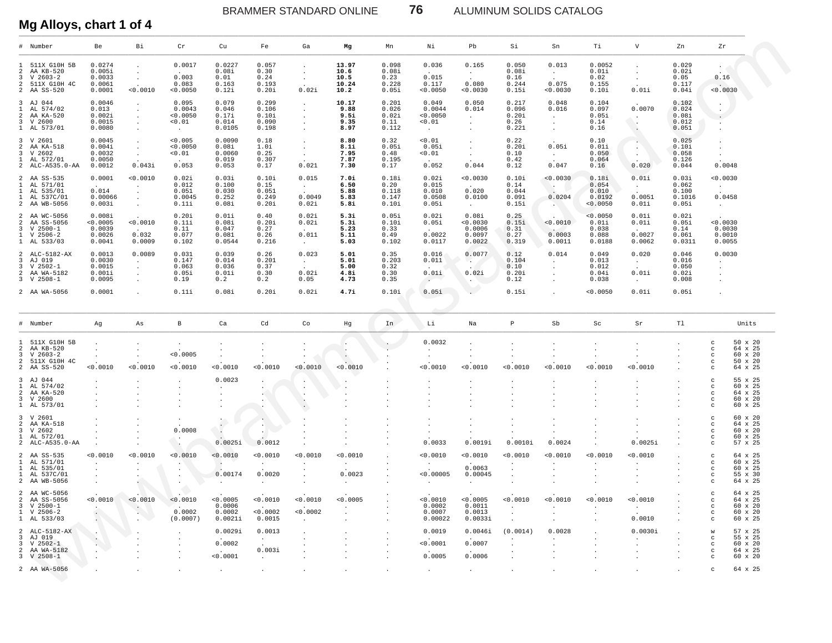BRAMMER STANDARD ONLINE **76** ALUMINUM SOLIDS CATALOG

# **Mg Alloys, chart 1 of 4**

| # Number                                                                                                                                                                                                                                                                                                              | Be                                                             | Вi                                                | Cr                                             | Cu                                          | Fe                                        | Ga                                                    | Mg                                     | Mn                                       | Νi                                                       | Pb                                                         | Si                                       | Sn                                                                                   | Тi                                            | V                                                                 | Zn                                         | Zr                                                                                                                               |
|-----------------------------------------------------------------------------------------------------------------------------------------------------------------------------------------------------------------------------------------------------------------------------------------------------------------------|----------------------------------------------------------------|---------------------------------------------------|------------------------------------------------|---------------------------------------------|-------------------------------------------|-------------------------------------------------------|----------------------------------------|------------------------------------------|----------------------------------------------------------|------------------------------------------------------------|------------------------------------------|--------------------------------------------------------------------------------------|-----------------------------------------------|-------------------------------------------------------------------|--------------------------------------------|----------------------------------------------------------------------------------------------------------------------------------|
| 1 511X G10H 5B<br>2 AA KB-520<br>$3 \tV 2603-2$<br>2 511X G10H 4C<br>2 AA SS-520                                                                                                                                                                                                                                      | 0.0274<br>0.005i<br>0.0033<br>0.0061<br>0.0001                 | $\cdot$<br>$\sim$<br>< 0.0010                     | 0.0017<br>0.003<br>0.083<br>< 0.0050           | 0.0227<br>0.08i<br>0.01<br>0.163<br>0.12i   | 0.057<br>0.30<br>0.24<br>0.193<br>0.20i   | $\bullet$<br>$\sim$<br>$\sim$<br>0.02i                | 13.97<br>10.6<br>10.5<br>10.24<br>10.2 | 0.098<br>0.08i<br>0.23<br>0.228<br>0.05i | 0.036<br>$\sim$<br>0.015<br>0.117<br>< 0.0050            | 0.165<br>$\sim$<br>$\sim$<br>0.080<br>0.0030               | 0.050<br>0.08i<br>0.16<br>0.244<br>0.15i | 0.013<br>$\sim$<br>$\sim$<br>0.075<br>0.0030                                         | 0.0052<br>0.01i<br>0.02<br>0.155<br>0.10i     | $\bullet$<br>$\sim$<br>$\sim$<br>0.01i                            | 0.029<br>0.02i<br>0.05<br>0.117<br>0.04i   | 0.16<br>$\sim$<br>0.0030                                                                                                         |
| 3 AJ 044<br>1 AL 574/02<br>2 AA KA-520<br>3 V 2600<br>1 AL 573/01                                                                                                                                                                                                                                                     | 0.0046<br>0.013<br>0.002i<br>0.0015<br>0.0080                  | $\sim$<br>$\cdot$<br>$\cdot$                      | 0.095<br>0.0043<br>0.0050<br>< 0.01<br>$\sim$  | 0.079<br>0.046<br>0.17i<br>0.014<br>0.0105  | 0.299<br>0.106<br>0.10i<br>0.090<br>0.198 | $\cdot$<br>$\bullet$                                  | 10.17<br>9.88<br>9.5i<br>9.35<br>8.97  | 0.201<br>0.026<br>0.02i<br>0.11<br>0.112 | 0.049<br>0.0044<br>< 0.0050<br>< 0.01<br>$\sim 10^{-11}$ | 0.050<br>0.014<br>$\sim$<br>$\sim$<br>$\ddot{\phantom{0}}$ | 0.217<br>0.096<br>0.20i<br>0.26<br>0.221 | 0.048<br>0.016<br>$\sim$<br>$\sim$<br>$\ddot{\phantom{0}}$                           | 0.104<br>0.097<br>0.05i<br>0.14<br>0.16       | 0.0070<br>$\sim$<br>$\sim$<br>$\cdot$                             | 0.102<br>0.024<br>0.08i<br>0.012<br>0.051  | $\cdot$<br>$\cdot$<br>$\bullet$<br>$\bullet$                                                                                     |
| 3 V 2601<br>2 AA KA-518<br>3 V 2602<br>1 AL 572/01<br>2 ALC-A535.0-AA                                                                                                                                                                                                                                                 | 0.0045<br>0.004i<br>0.0032<br>0.0050<br>0.0012                 | $\cdot$<br>$\sim$<br>$\sim$<br>0.043i             | 0.005<br>< 0.0050<br>< 0.01<br>$\sim$<br>0.053 | 0.0090<br>0.08i<br>0.0060<br>0.019<br>0.053 | 0.18<br>1.0i<br>0.25<br>0.307<br>0.17     | $\bullet$<br>$\cdot$<br>$\ddot{\phantom{0}}$<br>0.021 | 8.80<br>8.1i<br>7.95<br>7.87<br>7.30   | 0.32<br>0.05i<br>0.48<br>0.195<br>0.17   | 0.01<br>0.05i<br>< 0.01<br>$\sim$<br>0.052               | $\cdot$<br>$\cdot$<br>$\cdot$<br>0.044                     | 0.22<br>0.20i<br>0.10<br>0.42<br>0.12    | 0.05i<br>$\sim$<br>$\sim$<br>0.047                                                   | 0.10<br>0.01i<br>0.050<br>0.064<br>0.16       | $\mathcal{L}_{\text{max}}$<br>$\sim$<br>$\sim$<br>$\sim$<br>0.020 | 0.025<br>0.10i<br>0.058<br>0.126<br>0.044  | 0.0048                                                                                                                           |
| 2 AA SS-535<br>1 AL 571/01<br>1 AL 535/01<br>1 AL 537C/01<br>2 AA WB-5056                                                                                                                                                                                                                                             | 0.0001<br>$\Delta \sim 10^{-11}$<br>0.014<br>0.00066<br>0.003i | < 0.0010<br>$\sim$<br>$\cdot$<br>$\sim$<br>$\sim$ | 0.02i<br>0.012<br>0.051<br>0.0045<br>0.11i     | 0.03i<br>0.100<br>0.030<br>0.252<br>0.08i   | 0.10i<br>0.15<br>0.051<br>0.249<br>0.20i  | 0.015<br>$\sim$<br>0.0049<br>0.02i                    | 7.0i<br>6.50<br>5.88<br>5.83<br>5.8i   | 0.18i<br>0.20<br>0.118<br>0.147<br>0.10i | 0.02i<br>0.015<br>0.010<br>0.0508<br>0.05i               | 0.0030<br>$\sim$<br>0.020<br>0.0100<br>$\sim$              | 0.10i<br>0.14<br>0.044<br>0.091<br>0.15i | < 0.0030<br>$\sim$<br>$\sim$<br>0.0204<br><b>AND</b>                                 | 0.18i<br>0.054<br>0.010<br>0.0192<br>< 0.0050 | 0.01i<br>$\sim$<br>0.0051<br>0.01i                                | 0.03i<br>0.062<br>0.100<br>0.1016<br>0.05i | < 0.0030<br>$\sim$<br>0.0458<br>$\sim$ $\sim$                                                                                    |
| 2 AA WC-5056<br>2 AA SS-5056<br>$3 \tV 2500-1$<br>$1 \quad V 2506-2$<br>1 AL 533/03                                                                                                                                                                                                                                   | 0.008i<br>< 0.0005<br>0.0039<br>0.0026<br>0.0041               | < 0.0010<br>$\sim$<br>0.032<br>0.0009             | 0.20i<br>0.11i<br>0.11<br>0.077<br>0.102       | 0.01i<br>0.08i<br>0.047<br>0.081<br>0.0544  | 0.40<br>0.20i<br>0.27<br>0.26<br>0.216    | 0.02i<br>0.02i<br>0.011<br>$\sim 100$                 | 5.3i<br>5.3i<br>5.23<br>5.11<br>5.03   | 0.05i<br>0.10i<br>0.33<br>0.49<br>0.102  | 0.02i<br>0.05i<br>$\sim$<br>0.0022<br>0.0117             | 0.08i<br>0.0030<br>0.0006<br>0.0097<br>0.0022              | 0.25<br>0.15i<br>0.31<br>0.27<br>0.319   | $\sim$<br>< 0.0010<br><b>Contract Contract Contract Contract</b><br>0.0003<br>0.0011 | < 0.0050<br>0.01i<br>0.038<br>0.088<br>0.0188 | 0.01i<br>0.01i<br>$\sim$<br>0.0027<br>0.0062                      | 0.02i<br>0.05i<br>0.14<br>0.061<br>0.0311  | 0.0030<br>0.0030<br>0.0010<br>0.0055                                                                                             |
| 2 ALC-5182-AX<br>3 AJ 019<br>3 V 2502-1<br>2 AA WA-5182<br>$3 \tV 2508-1$                                                                                                                                                                                                                                             | 0.0013<br>0.0030<br>0.0015<br>0.001i<br>0.0095                 | 0.0089<br>$\sim$<br>$\cdot$<br>$\cdot$            | 0.031<br>0.147<br>0.063<br>0.05i<br>0.19       | 0.039<br>0.014<br>0.036<br>0.01i<br>0.2     | 0.26<br>0.201<br>0.37<br>0.30<br>0.2      | 0.023<br>$\sim$<br>0.02i<br>0.05                      | 5.01<br>5.01<br>5.00<br>4.8i<br>4.73   | 0.35<br>0.203<br>0.32<br>0.30<br>0.35    | 0.016<br>0.011<br>0.01i<br>$\sim$                        | 0.0077<br>$\mathcal{L}$<br>0.02i<br>$\sim$ 100 $\mu$       | 0.12<br>0.104<br>0.10<br>0.20i<br>0.12   | 0.014<br>$\sim$<br>$\blacksquare$<br>$\blacksquare$<br>$\ddot{\phantom{0}}$          | 0.049<br>0.013<br>0.012<br>0.04i<br>0.038     | 0.020<br>$\sim$ $-$<br>$\sim$<br>0.01i<br>$\sim$                  | 0.046<br>0.016<br>0.050<br>0.02i<br>0.008  | 0.0030<br>$\sim$<br>$\ddot{\phantom{0}}$                                                                                         |
| 2 AA WA-5056                                                                                                                                                                                                                                                                                                          | 0.0001                                                         | $\cdot$                                           | 0.11i                                          | 0.08i                                       | 0.20i                                     | 0.02i                                                 | 4.7i                                   | 0.10i                                    | 0.05i                                                    | D                                                          | 0.15i                                    | $\mathbf{r}$                                                                         | < 0.0050                                      | 0.01i                                                             | 0.05i                                      |                                                                                                                                  |
|                                                                                                                                                                                                                                                                                                                       |                                                                |                                                   |                                                |                                             |                                           |                                                       |                                        |                                          |                                                          |                                                            |                                          |                                                                                      |                                               |                                                                   |                                            |                                                                                                                                  |
| # Number                                                                                                                                                                                                                                                                                                              | Ag                                                             | As                                                | $\mathbf{B}$                                   | Ca                                          | Cd                                        | Co                                                    | Hg                                     | In                                       | Li                                                       | Na                                                         | $\, {\mathbb P}$                         | Sb                                                                                   | Sc                                            | Sr                                                                | T1                                         | Units                                                                                                                            |
| 1 511X G10H 5B<br>2 AA KB-520<br>$3 \quad V \quad 2603-2$<br>2 511X G10H 4C<br>2 AA SS-520                                                                                                                                                                                                                            | 0.0010                                                         | < 0.0010                                          | $\cdot$<br>< 0.0005<br>< 0.0010                | 0.0010                                      | < 0.0010                                  | < 0.0010                                              | < 0.0010                               |                                          | 0.0032<br>$\cdot$<br>$\bullet$<br>0.0010                 | 0.0010                                                     | < 0.0010                                 | < 0.0010                                                                             | < 0.0010                                      | < 0.0010                                                          |                                            | 50 x 20<br>$\mathtt{C}$<br>64 x 25<br>$\mathtt{C}$<br>60 x 20<br>$_{\rm c}$<br>50 x 20<br>$_{\rm c}$<br>64 x 25<br>$\mathbf{C}$  |
| 3 AJ 044<br>1 AL 574/02<br>2 AA KA-520<br>3 V 2600<br>1 AL 573/01                                                                                                                                                                                                                                                     |                                                                |                                                   |                                                | 0.0023<br>$\cdot$                           |                                           | $\bullet$                                             |                                        |                                          |                                                          |                                                            |                                          |                                                                                      |                                               |                                                                   |                                            | 55 x 25<br>$_{\rm c}$<br>60 x 25<br>$\mathtt{C}$<br>64 x 25<br>$_{\rm c}$<br>60 x 20<br>$_{\rm c}$<br>60 x 25<br>$\mathbf{C}$    |
| 3 V 2601<br>2 AA KA-518                                                                                                                                                                                                                                                                                               |                                                                |                                                   | 0.0008                                         | $\ddot{\cdot}$                              | $\cdot$<br>$\cdot$                        |                                                       |                                        |                                          |                                                          |                                                            |                                          |                                                                                      |                                               | 0.0025i                                                           |                                            | 60 x 20<br>$_{\rm c}$<br>64 x 25<br>$\mathtt{C}$<br>60 x 20<br>$_{\rm c}$<br>60 x 25<br>$_{\rm c}$<br>57 x 25<br>$\mathbf{C}$    |
|                                                                                                                                                                                                                                                                                                                       |                                                                |                                                   | - 14                                           | 0.0025i                                     | 0.0012                                    |                                                       |                                        |                                          | 0.0033                                                   | 0.0019i                                                    | 0.0010i                                  | 0.0024                                                                               |                                               |                                                                   |                                            |                                                                                                                                  |
|                                                                                                                                                                                                                                                                                                                       | < 0.0010                                                       | < 0.0010                                          | 0.0010                                         | < 0.0010<br>0.00174                         | 0.0010<br>$\cdot$<br>0.0020               | 0.0010                                                | 0.0010<br>$\cdot$<br>0.0023            |                                          | < 0.0010<br>< 0.00005                                    | < 0.0010<br>0.0063<br>0.00045<br>$\ddot{\phantom{a}}$      | < 0.0010<br>$\cdot$                      | 0.0010                                                                               | < 0.0010                                      | 0.0010                                                            |                                            | 64 x 25<br>$_{\rm c}$<br>60 x 25<br>$\mathtt{C}$<br>60 x 25<br>$_{\rm c}$<br>55 x 30<br>$_{\rm c}$<br>64 x 25<br>$\mathbf{C}$    |
|                                                                                                                                                                                                                                                                                                                       | < 0.0010                                                       | < 0.0010                                          | < 0.0010<br>0.0002<br>(0.0007)                 | < 0.0005<br>0.0006<br>0.0002<br>0.0021i     | 0.0010<br>0.0002<br>0.0015                | 0.0010<br>< 0.0002<br>$\ddot{\phantom{a}}$            | < 0.0005                               |                                          | 0.0010<br>0.0002<br>0.0007<br>0.00022                    | 0.0005<br>0.0011<br>0.0013<br>0.0033i                      | < 0.0010<br>$\cdot$                      | < 0.0010                                                                             | < 0.0010<br>$\cdot$                           | < 0.0010<br>$\sim$<br>0.0010                                      |                                            | 64 x 25<br>$_{\rm c}$<br>64 x 25<br>$\mathbf{C}$<br>60 x 20<br>$\mathtt{C}$<br>60 x 20<br>$\mathbf C$<br>60 x 25<br>$\mathbf{C}$ |
| 3 V 2602<br>1 AL 572/01<br>2 ALC-A535.0-AA<br>2 AA SS-535<br>1 AL 571/01<br>1 AL 535/01<br>1 AL 537C/01<br>2 AA WB-5056<br>2 AA WC-5056<br>2 AA SS-5056<br>$3 \tV 2500-1$<br>$1 \quad V 2506 - 2$<br>1 AL 533/03<br>2 ALC-5182-AX<br>3 AJ 019<br>$3 \quad V \quad 2502-1$<br>2 AA WA-5182<br>$3 \quad V \quad 2508-1$ |                                                                |                                                   |                                                | 0.0029i<br>0.0002<br>$\sim$<br>< 0.0001     | 0.0013<br>$\sim$<br>0.003i<br>$\sim$      |                                                       |                                        |                                          | 0.0019<br>< 0.0001<br>$\sim$<br>0.0005                   | 0.0046i<br>$\sim$<br>0.0007<br>$\sim$<br>0.0006            | (0.0014)<br>$\mathbf{r}$<br>$\cdot$      | 0.0028                                                                               |                                               | 0.0030i<br>$\cdot$                                                |                                            | 57 x 25<br>W<br>55 x 25<br>$\mathbf C$<br>60 x 20<br>$\mathbf{C}$<br>64 x 25<br>$\mathbf{C}$<br>60 x 20<br>$\mathbf{C}$          |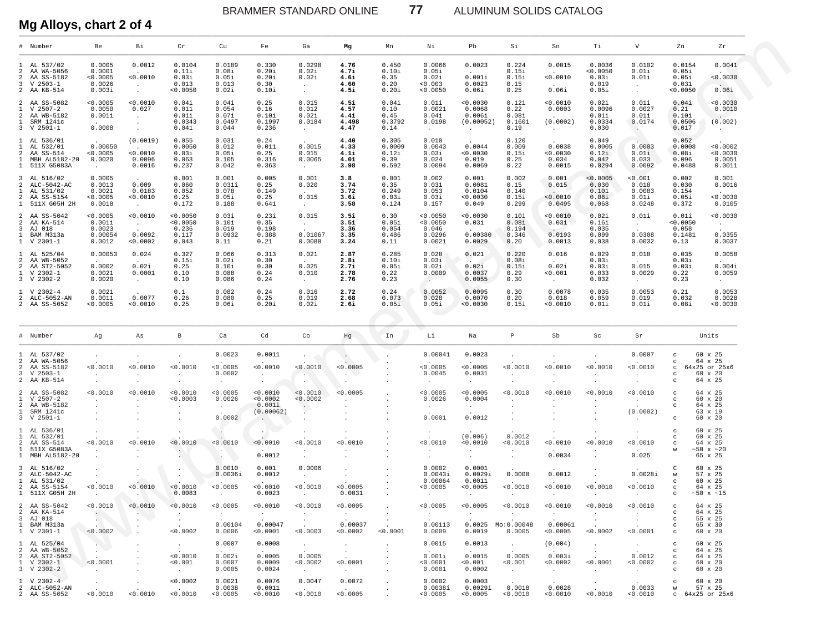ALUMINUM SOLIDS CATALOG

# Mg Alloys, chart 2 of 4

| # Number                                                                                       |                                             | Be                                                   | Вi                                                    | Cr                                                          | Cu                                                    | Fe                                                                    | Ga                                                     | Mg                                                       | Mn                                        | Νi                                                | Pb                                                      | Si                                                        | Sn                                              | Тi                                                        | V                                                      | Zn                                                                           | Zr                                                            |
|------------------------------------------------------------------------------------------------|---------------------------------------------|------------------------------------------------------|-------------------------------------------------------|-------------------------------------------------------------|-------------------------------------------------------|-----------------------------------------------------------------------|--------------------------------------------------------|----------------------------------------------------------|-------------------------------------------|---------------------------------------------------|---------------------------------------------------------|-----------------------------------------------------------|-------------------------------------------------|-----------------------------------------------------------|--------------------------------------------------------|------------------------------------------------------------------------------|---------------------------------------------------------------|
| 1 AL 537/02<br>2 AA WA-5056<br>2 AA SS-5182<br>$3 \quad V \quad 2503-1$<br>2 AA KB-514         |                                             | 0.0005<br>0.0001<br>< 0.0005<br>0.0026<br>0.003i     | 0.0012<br>< 0.0010<br>$\sim$<br>$\sim$                | 0.0104<br>0.11i<br>0.03i<br>0.013<br>0.0050                 | 0.0189<br>0.08i<br>0.05i<br>0.013<br>0.02i            | 0.330<br>0.20i<br>0.20i<br>0.30<br>0.10i                              | 0.0298<br>0.02i<br>0.02i<br>$\sim$ $-$<br>$\sim$       | 4.76<br>4.7i<br>4.6i<br>4.60<br>4.5i                     | 0.450<br>0.10i<br>0.35<br>0.20<br>0.20i   | 0.0066<br>0.05i<br>0.02i<br>0.003<br>0.0050       | 0.0023<br>0.001i<br>0.0023<br>0.06i                     | 0.224<br>0.15i<br>0.15i<br>0.15<br>0.25                   | 0.0015<br>0.0010<br>0.06i                       | 0.0036<br>< 0.0050<br>0.03i<br>0.019<br>0.05i             | 0.0102<br>0.01i<br>0.01i<br>$\sim$<br>$\sim$           | 0.0154<br>0.05i<br>0.05i<br>0.031<br>0.0050                                  | 0.0041<br>0.0030<br>0.06i                                     |
| 2 AA SS-5082<br>$\mathbf{1}$<br>V 2507-2<br>2 AA WB-5182<br>$\mathbf{1}$<br>$3 \tV 2501-1$     | SRM 1241c                                   | < 0.0005<br>0.0050<br>0.001i<br>0.0008               | < 0.0010<br>0.027<br>$\sim$<br>$\sim$<br>$\cdot$      | 0.04i<br>0.011<br>0.01i<br>0.0343<br>0.041                  | 0.04i<br>0.054<br>0.07i<br>0.0497<br>0.044            | 0.25<br>0.16<br>0.10i<br>0.1997<br>0.236                              | 0.015<br>0.012<br>0.02i<br>0.0184<br>$\sim$ $-$        | 4.5i<br>4.57<br>4.4i<br>4.498<br>4.47                    | 0.04i<br>0.10<br>0.45<br>0.3792<br>0.14   | 0.01i<br>0.0021<br>0.04i<br>0.0198<br>$\sim$      | < 0.0030<br>0.0068<br>0.006i<br>(0.00052)<br>$\sim$ $-$ | 0.12i<br>0.22<br>0.08i<br>0.1601<br>0.19                  | 0.0010<br>0.0003<br>(0.0002)<br>$\sim 10^{-11}$ | 0.02i<br>0.0096<br>0.01i<br>0.0334<br>0.030               | 0.01i<br>0.0027<br>0.01i<br>0.0174<br>$\sim$           | 0.04i<br>0.21<br>0.10i<br>0.0506<br>0.017                                    | 0.0030<br>0.0010<br>(0.002)<br>$\sim$                         |
| 1 AL 536/01<br>1<br>$\overline{a}$<br>AA SS-514<br>$\mathbf{1}$                                | AL 532/01<br>MBH AL5182-20<br>1 511X G5083A | 0.00050<br>< 0.0005<br>0.0020<br>$\sim$ 100 $\pm$    | (0.0019)<br>< 0.0010<br>0.0096<br>0.0016              | 0.055<br>0.0050<br>0.03i<br>0.063<br>0.237                  | 0.031<br>0.012<br>0.05i<br>0.105<br>0.042             | 0.24<br>0.011<br>0.25<br>0.316<br>0.363                               | 0.0015<br>0.015<br>0.0065<br><b>Contract</b>           | 4.40<br>4.33<br>4.1i<br>4.01<br>3.98                     | 0.305<br>0.0009<br>0.12i<br>0.39<br>0.592 | 0.010<br>0.0043<br>0.03i<br>0.024<br>0.0094       | 0.0044<br>0.0030<br>0.019<br>0.0069                     | 0.120<br>0.009<br>0.15i<br>0.25<br>0.22                   | 0.0038<br>0.0030<br>0.034<br>0.0015             | 0.049<br>0.0005<br>0.12i<br>0.042<br>0.0294               | 0.0003<br>0.01i<br>0.033<br>0.0092                     | 0.052<br>0.0008<br>0.08i<br>0.096<br>0.0488                                  | < 0.0002<br>0.0030<br>0.0051<br>0.0011                        |
| 3 AL 516/02<br>2 ALC-5042-AC<br>$\mathbf{1}$<br>2 AA SS-5154                                   | AL 531/02<br>1 511X G05H 2H                 | 0.0005<br>0.0013<br>0.0021<br>0.0005<br>0.0018       | 0.009<br>0.0183<br>0.0010<br>$\sim 10^{-11}$          | 0.001<br>0.060<br>0.052<br>0.25<br>0.172                    | 0.001<br>0.031i<br>0.078<br>0.05i<br>0.188            | 0.005<br>0.25<br>0.149<br>0.25<br>0.641                               | 0.001<br>0.020<br>0.015<br>$\sim 10^{-11}$             | 3.8<br>3.74<br>3.72<br>3.6i<br>3.58                      | 0.001<br>0.35<br>0.249<br>0.03i<br>0.124  | 0.002<br>0.031<br>0.053<br>0.03i<br>0.157         | 0.001<br>0.0081<br>0.0104<br>0.0030<br>0.049            | 0.002<br>0.15<br>0.140<br>0.15i<br>0.299                  | 0.001<br>0.015<br>$\sim$<br>< 0.0010<br>0.0495  | < 0.0005<br>0.030<br>0.101<br>0.08i<br>0.068              | 0.001<br>0.018<br>0.0083<br>0.01i<br>0.0248            | 0.002<br>0.030<br>0.154<br>0.05i<br>0.372                                    | 0.001<br>0.0016<br>< 0.0030<br>0.0105                         |
| 2 AA SS-5042<br>2 AA KA-514<br>3 AJ 018<br>$\mathbf{1}$<br>$1 \,$ V 2301-1                     | BAM M313a                                   | < 0.0005<br>0.001i<br>0.0023<br>0.00054<br>0.0012    | < 0.0010<br>$\sim$ $-$<br>0.0092<br>0.0002            | < 0.0050<br>0.0050<br>0.236<br>0.117<br>0.043               | 0.03i<br>0.10i<br>0.019<br>0.0932<br>0.11             | 0.23i<br>0.35<br>0.198<br>0.388<br>0.21                               | 0.015<br>$\sim$<br>0.01067<br>0.0088                   | 3.5i<br>3.5i<br>3.36<br>3.35<br>3.24                     | 0.30<br>0.05i<br>0.054<br>0.486<br>0.11   | < 0.0050<br>< 0.0050<br>0.046<br>0.0296<br>0.0021 | 0.0030<br>0.03i<br>0.00380<br>0.0029                    | 0.10i<br>0.08i<br>0.194<br>0.346<br>0.20                  | < 0.0010<br>0.03i<br>0.0193<br>0.0013           | 0.02i<br>0.16i<br>0.035<br>0.099<br>0.038                 | 0.01i<br>$\sim 10^{-11}$<br>0.0308<br>0.0032           | 0.01i<br>0.0050<br>0.058<br>0.1481<br>0.13                                   | < 0.0030<br>$\sim 10^{-11}$<br>0.0355<br>0.0037               |
| 1 AL 525/04<br>2 AA WB-5052<br>2 AA ST2-5052<br>$1 \quad V 2302-1$<br>$3 \quad V \quad 2302-2$ |                                             | 0.00053<br>0.0002<br>0.0021<br>0.0020                | 0.024<br>0.02i<br>0.0001<br><b>Contract Contract</b>  | 0.327<br>0.15i<br>0.25<br>0.10<br>0.10                      | 0.066<br>0.02i<br>0.10i<br>0.088<br>0.086             | 0.313<br>0.30<br>0.30<br>0.24<br>0.24                                 | 0.021<br>0.025<br>0.010<br>$\sim$ $-$                  | 2.87<br>2.8i<br>2.7i<br>2.78<br>2.76                     | 0.285<br>0.10i<br>0.05i<br>0.22<br>0.23   | 0.028<br>0.03i<br>0.02i<br>0.0009<br>$\sim$       | 0.021<br><b>College</b><br>0.02i<br>0.0037<br>0.0055    | 0.220<br>0.08i<br>0.15i<br>0.29<br>0.30                   | 0.016<br>0.02i<br>0.001<br>$\sim 10^{-11}$      | 0.029<br>0.03i<br>0.03i<br>0.033<br>0.032                 | 0.018<br>0.015<br>0.0029<br>$\sim 10^{-11}$            | 0.035<br>0.03i<br>0.03i<br>0.22<br>0.23                                      | 0.0058<br>0.004i<br>0.0059<br>$\sim$ $-$                      |
| 1 V 2302-4<br>2 ALC-5052-AN<br>2 AA SS-5052                                                    |                                             | 0.0021<br>0.0011<br>0.0005                           | 0.0077<br>0.0010                                      | 0.1<br>0.26<br>0.25                                         | 0.082<br>0.080<br>0.06i                               | 0.24<br>0.25<br>$0.20$ i                                              | 0.016<br>0.019<br>0.02i                                | 2.72<br>2.68<br>2.6i                                     | 0.24<br>0.073<br>0.05i                    | 0.0052<br>0.028<br>0.05i                          | 0.0095<br>0.0070<br>0.0030                              | 0.30<br>0.20<br>0.15i                                     | 0.0078<br>0.018<br>0.0010                       | 0.035<br>0.059<br>0.01i                                   | 0.0053<br>0.019<br>0.01i                               | 0.21<br>0.032<br>0.08i                                                       | 0.0053<br>0.0028<br>0.0030                                    |
| # Number                                                                                       |                                             | Ag                                                   | As                                                    | В                                                           | Ca                                                    | Cd                                                                    | Co                                                     | Hg                                                       | In                                        | Li                                                | Na                                                      | $\, {\mathbb P}$                                          | Sb                                              | Sc                                                        | Sr                                                     |                                                                              | Units                                                         |
| 1 AL 537/02<br>2 AA WA-5056<br>2 AA SS-5182<br>$3 \quad V \quad 2503-1$<br>2 AA KB-514         |                                             | $\cdot$<br>< 0.0010<br>$\cdot$<br>$\cdot$            | $\cdot$<br>< 0.0010<br>$\cdot$<br>$\cdot$             | $\cdot$<br>< 0.0010<br>$\cdot$<br>$\cdot$                   | 0.0023<br>< 0.0005<br>0.0002<br>$\sim$                | 0.0011<br>0.0010<br>$\sim$<br>$\cdot$                                 | $\bullet$<br>< 0.0010<br><b>ALC</b><br>$\cdot$         | 0.0005<br>$\cdot$                                        |                                           | 0.00041<br>0.0005<br>0.0045<br>$\sim$             | 0.0023<br>< 0.0005<br>0.0031<br>$\sim$                  | $\cdot$<br>< 0.0010<br>$\cdot$<br>$\cdot$                 | < 0.0010<br>$\cdot$                             | $\cdot$<br>< 0.0010<br>$\cdot$                            | 0.0007<br>< 0.0010<br>$\sim$<br>$\ddot{\phantom{0}}$   | $_{\rm C}$<br>$\mathbf{C}$<br>$\mathbf{C}$<br>$\mathbf{C}$<br>$\mathbf{C}$   | 60 x 25<br>64 x 25<br>64x25 or 25x6<br>60 x 20<br>64 x 25     |
| 2 AA SS-5082<br>$\mathbf{1}$<br>V 2507-2<br>2 AA WB-5182<br>$\mathbf{1}$<br>$3 \tV 2501-1$     | SRM 1241c                                   | < 0.0010<br>$\cdot$<br>$\cdot$<br>$\cdot$<br>$\cdot$ | < 0.0010                                              | < 0.0010<br>< 0.0003<br>$\cdot$<br>$\cdot$                  | < 0.0005<br>0.0026<br>$\sim$ $\sim$<br>0.0002         | < 0.0010<br>0.0002<br>0.001i<br>(0.00062)<br><b>Contract Contract</b> | < 0.0010<br>< 0.0002<br>P                              | 0.0005                                                   |                                           | < 0.0005<br>0.0026<br>$\sim$<br>0.0001            | < 0.0005<br>0.0004<br>$\sim$<br>0.0012                  | < 0.0010                                                  | < 0.0010                                        | < 0.0010                                                  | < 0.0010<br>$\sim$<br>(0.0002)<br>$\ddot{\phantom{0}}$ | $_{\rm C}$<br>$\mathbf C$<br>$\mathbf{C}$<br>$\mathbf C$                     | 64 x 25<br>60 x 20<br>64 x 25<br>63 x 19<br>60 x 20           |
| 1 AL 536/01<br>1<br>2 AA SS-514<br>$\mathbf{1}$                                                | AL 532/01<br>511X G5083A<br>1 MBH AL5182-20 | $\cdot$<br>0.0010<br>$\cdot$                         | $\cdot$<br>< 0.0010<br>$\cdot$                        | < 0.0010<br>$\cdot$                                         | $\sim$<br>< 0.0010<br>YN)                             | $\sim$<br>< 0.0010<br>0.0012                                          | 0.0010<br>$\ddot{\phantom{0}}$<br>$\bullet$            | 0.0010                                                   |                                           | < 0.0010                                          | (0.006)<br>0.0010<br>$\cdot$<br>$\cdot$                 | 0.0012<br>0.0010<br>$\cdot$<br>$\cdot$                    | < 0.0010<br>0.0034                              | < 0.0010<br>$\ddot{\phantom{1}}$<br>$\cdot$               | $\ddot{\phantom{1}}$<br>< 0.0010<br>0.025              | $\mathbf C$<br>$\mathbb C$<br>$\mathbb C$<br>W                               | 60 x 25<br>60 x 25<br>64 x 25<br>~10x ~120<br>65 x 25         |
| 3 AL 516/02<br>1 AL 531/02<br>2 AA SS-5154                                                     | 2 ALC-5042-AC<br>1 511X G05H 2H             | $\bullet$<br>$\cdot$<br>< 0.0010                     | $\cdot$<br>$\cdot$<br>< 0.0010                        | $\cdot$<br>$\cdot$<br>< 0.0010<br>0.0083                    | 0.0010<br>0.0036i<br>< 0.0005<br>$\ddot{\phantom{0}}$ | 0.001<br>0.0012<br>0.0010<br>0.0023                                   | 0.0006<br>$\sim$<br>< 0.0010<br>$\cdot$                | $\cdot$<br>0.0005<br>0.0031                              |                                           | 0.0002<br>0.0043i<br>0.00064<br>< 0.0005          | 0.0001<br>0.0029i<br>0.0011<br>0.0005<br>$\cdot$        | 0.0008<br>< 0.0010<br>$\cdot$                             | 0.0012<br>< 0.0010                              | $\cdot$<br>< 0.0010                                       | 0.0028i<br>< 0.0010<br>$\ddot{\phantom{0}}$            | C<br>W<br>$\mathbf{C}$<br>$\mathbb C$<br>$\mathbf{C}$                        | 60 x 25<br>57 x 25<br>60 x 25<br>64 x 25<br>$~150 \times ~15$ |
| 2 AA SS-5042<br>2 AA KA-514<br>3 AJ 018<br>1 BAM M313a<br>1 V 2301-1                           |                                             | < 0.0010<br>$\sim$<br><b>ANY</b><br>< 0.0002         | < 0.0010<br>$\cdot$<br>$\ddot{\phantom{a}}$           | < 0.0010<br>$\cdot$<br>$\sim$<br>< 0.0002                   | < 0.0005<br>$\sim$<br>0.00104<br>0.0006               | 0.0010<br>$\sim$<br>0.00047<br>0.0001                                 | 0.0010<br>$\sim$<br>$\cdot$<br>< 0.0003                | < 0.0005<br>$\sim$<br>0.00037<br>0.0002                  | $\cdot$<br>< 0.0001                       | < 0.0005<br>$\sim$<br>0.00113<br>0.0009           | 0.0005<br>$\cdot$<br>0.0025<br>0.0019                   | < 0.0010<br>Mo:0.00048<br>0.0005                          | < 0.0010<br>$\cdot$<br>0.00061<br>< 0.0005      | < 0.0010<br>$\cdot$<br>$\cdot$<br>< 0.0002                | < 0.0010<br>$\sim$<br>$\sim$<br>< 0.0001               | $\mathbf{C}$<br>$\mathbf{C}$<br>$\mathbf{C}$<br>$\mathbf{C}$                 | 64 x 25<br>64 x 25<br>55 x 25<br>65 x 30<br>60 x 20           |
| 1 AL 525/04<br>2 AA WB-5052<br>2 AA ST2-5052<br>1 V 2302-1<br>3 V 2302-2                       |                                             | $\sim$ $-$<br>$\sim$<br>< 0.0001<br>$\sim$ $-$       | $\cdot$<br>$\ddot{\phantom{a}}$<br>$\cdot$<br>$\cdot$ | <b>Contractor</b><br>< 0.0010<br>< 0.001<br><b>Contract</b> | 0.0007<br>0.002i<br>0.0007<br>0.0005                  | 0.0008<br>0.0005<br>0.0009<br>0.0024                                  | <b>Contract</b><br>0.0005<br>0.0002<br><b>Contract</b> | $\sim$<br><b>Contract Contract</b><br>< 0.0001<br>$\sim$ |                                           | 0.0015<br>0.001i<br>< 0.0001<br>0.0001            | 0.0013<br>0.0015<br>< 0.001<br>0.0002                   | $\sim$ 100 $\sim$<br>0.0005<br>< 0.001<br>$\sim 10^{-11}$ | (0.004)<br>0.003i<br>< 0.0002<br>$\sim$         | $\sim$ 100 $\pm$<br>$\sim 10^{-11}$<br>< 0.0001<br>$\sim$ | $\sim 100$<br>0.0012<br>0.0002<br>$\sim$               | $\mathbf{C}$<br>$\mathbf{C}$<br>$\mathbf{C}$<br>$\mathbf{C}$<br>$\mathbf{C}$ | 60 x 25<br>64 x 25<br>64 x 25<br>60 x 20<br>60 x 20           |
| 1 V 2302-4<br>2 ALC-5052-AN<br>2 AA SS-5052                                                    |                                             | $\sim$<br>< 0.0010                                   | $\cdot$<br>< 0.0010                                   | < 0.0002<br><b>Section</b><br>< 0.0010                      | 0.0021<br>0.0038<br>0.0005                            | 0.0076<br>0.0011<br>0.0010                                            | 0.0047<br>< 0.0010                                     | 0.0072<br>< 0.0005                                       | $\cdot$                                   | 0.0002<br>0.0038i<br>0.0005                       | 0.0003<br>0.0029i<br>0.0005                             | 0.0018<br>0.0010                                          | 0.0028<br>< 0.0010                              | $\cdot$<br>$\sim$<br>< 0.0010                             | 0.0033<br>< 0.0010                                     | $\mathbf{C}$<br>W                                                            | 60 x 20<br>57 x 25<br>c 64x25 or 25x6                         |

 $\boldsymbol{77}$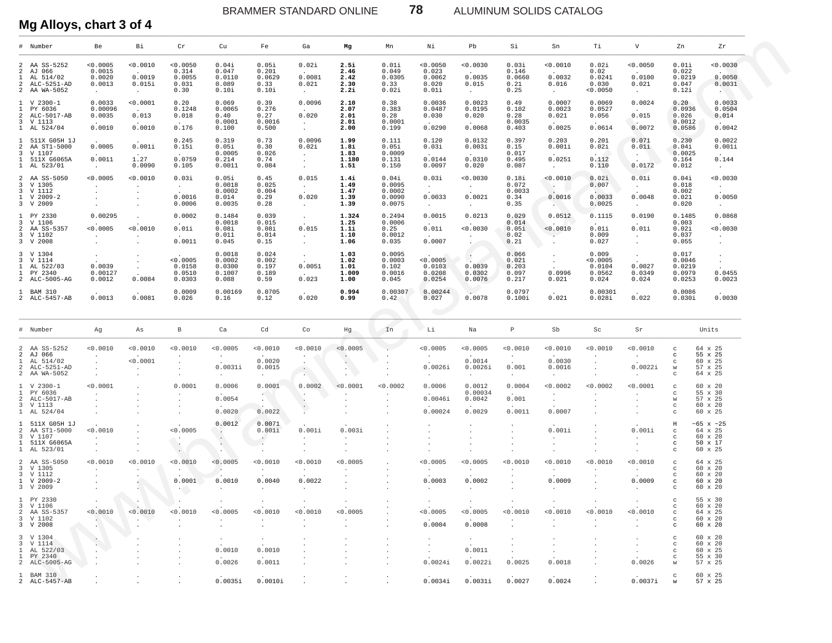ALUMINUM SOLIDS CATALOG

Mg Alloys, chart 3 of 4

| # Number                                                                                          | Be                                                                 | Вi                                                        | Cr                                                   | Cu                                            | Fe                                                             | Ga                                                | Mg                                    | Mn                                            | Νi                                           | Pb                                                     | Si                                        | Sn                                                      | Тi                                           | V                                                  | Zn                                               | Ζr                                                    |
|---------------------------------------------------------------------------------------------------|--------------------------------------------------------------------|-----------------------------------------------------------|------------------------------------------------------|-----------------------------------------------|----------------------------------------------------------------|---------------------------------------------------|---------------------------------------|-----------------------------------------------|----------------------------------------------|--------------------------------------------------------|-------------------------------------------|---------------------------------------------------------|----------------------------------------------|----------------------------------------------------|--------------------------------------------------|-------------------------------------------------------|
| 2 AA SS-5252<br>2 AJ 066<br>AL 514/02<br>1<br>2<br>ALC-5251-AD<br>2 AA WA-5052                    | 0.0005<br>0.0015<br>0.0020<br>0.0013<br>$\sim$                     | 0.0010<br>0.0019<br>0.015i<br>$\sim$ $-$                  | 0.0050<br>0.314<br>0.0055<br>0.031<br>0.30           | 0.04i<br>0.047<br>0.0110<br>0.089<br>0.10i    | 0.05i<br>0.201<br>0.0629<br>0.33<br>0.10i                      | 0.02i<br>0.0081<br>0.021<br><b>College</b>        | 2.5i<br>2.46<br>2.42<br>2.30<br>2.2i  | 0.01i<br>0.049<br>0.0305<br>0.33<br>0.02i     | 0.0050<br>0.023<br>0.0062<br>0.020<br>0.01i  | 0.0030<br>0.0035<br>0.015<br>$\sim$ $-$                | 0.03i<br>0.146<br>0.0660<br>0.21<br>0.25  | <0.0010<br>0.0032<br>0.016<br>$\sim$                    | 0.02i<br>0.02<br>0.0241<br>0.030<br>0.0050   | 0.0050<br>0.0100<br>0.021<br>$\sim$ $-$            | 0.01i<br>0.022<br>0.0219<br>0.047<br>0.12i       | 0.0030<br>0.0050<br>0.0031<br><b>SALE</b>             |
| $V$ 2300-1<br>$\mathbf{1}$<br>PY 6036<br>$\mathbf{1}$<br>2 ALC-5017-AB<br>3 V 1113<br>1 AL 524/04 | 0.0033<br>0.00096<br>0.0035<br>0.0010                              | < 0.0001<br>0.013<br>0.0010                               | 0.20<br>0.1248<br>0.018<br>0.176                     | 0.069<br>0.0065<br>0.40<br>0.0001<br>0.100    | 0.39<br>0.276<br>0.27<br>0.0016<br>0.500                       | 0.0096<br>0.020<br>$\sim$<br>$\sim$               | 2.10<br>2.07<br>2.01<br>2.01<br>2.00  | 0.38<br>0.383<br>0.28<br>0.0001<br>0.199      | 0.0036<br>0.0487<br>0.030<br>0.0290          | 0.0023<br>0.0195<br>0.020<br>0.0068                    | 0.49<br>0.102<br>0.28<br>0.0035<br>0.403  | 0.0007<br>0.0023<br>0.021<br>0.0025                     | 0.0069<br>0.0527<br>0.056<br>0.0614          | 0.0024<br>0.015<br>0.0072                          | 0.20<br>0.0936<br>0.026<br>0.0012<br>0.0586      | 0.0033<br>0.0504<br>0.014<br>0.0042                   |
| 1 511X G05H 1J<br>2 AA ST1-5000<br>3 V 1107<br>1 511X G6065A<br>1 AL 523/01                       | 0.0005<br>0.0011<br>$\sim 10^{-11}$                                | 0.001i<br>1.27<br>0.0090                                  | 0.245<br>0.15i<br>0.0759<br>0.105                    | 0.319<br>0.05i<br>0.0005<br>0.214<br>0.0011   | 0.73<br>0.30<br>0.026<br>0.74<br>0.084                         | 0.0096<br>0.02i<br>$\sim$ $-$<br>$\sim$<br>$\sim$ | 1.99<br>1.8i<br>1.83<br>1.180<br>1.51 | 0.111<br>0.05i<br>0.0009<br>0.131<br>0.150    | 0.120<br>0.03i<br>0.0144<br>0.0097           | 0.0132<br>0.003i<br>0.0310<br>0.020                    | 0.397<br>0.15<br>0.017<br>0.495<br>0.087  | 0.203<br>0.001i<br>0.0251<br>$\sim$ $-$                 | 0.201<br>0.02i<br>0.112<br>0.110             | 0.071<br>0.01i<br>$\sim$<br>0.0172                 | 0.230<br>0.04i<br>0.0025<br>0.164<br>0.012       | 0.0022<br>0.001i<br>0.144<br>$\sim$ $-$               |
| 2 AA SS-5050<br>3 V 1305<br>3 V 1112<br>1 V 2009-2<br>3 V 2009                                    | 0.0005<br>$\cdot$<br>$\bullet$<br>$\blacksquare$<br>$\blacksquare$ | 0.0010<br>$\cdot$<br>$\cdot$<br>$\blacksquare$<br>$\cdot$ | 0.03i<br>$\sim$ $-$<br>0.0016<br>0.0006              | 0.05i<br>0.0018<br>0.0002<br>0.014<br>0.0035  | 0.45<br>0.025<br>0.004<br>0.29<br>0.28                         | 0.015<br>$\sim$<br>0.020<br>$\sim$                | 1.4i<br>1.49<br>1.47<br>1.39<br>1.39  | 0.04i<br>0.0095<br>0.0002<br>0.0090<br>0.0075 | 0.03i<br>$\sim 10^{-11}$<br>0.0033<br>$\sim$ | 0.0030<br>$\sim 10^{-11}$<br>0.0021<br>$\sim$ $-$      | 0.18i<br>0.072<br>0.0033<br>0.34<br>0.35  | 0.0010<br><b>Section</b><br>0.0016<br><b>CONTRACTOR</b> | 0.02i<br>0.007<br>0.0033<br>0.0025           | 0.01i<br>$\sim$<br>0.0048<br>$\sim$                | 0.04i<br>0.018<br>0.002<br>0.021<br>0.020        | < 0.0030<br>$\sim$<br>0.0050<br>$\sim$                |
| 1 PY 2330<br>3 V 1106<br>2 AA SS-5357<br>3 V 1102<br>3 V 2008                                     | 0.00295<br>< 0.0005<br>$\cdot$<br>$\cdot$                          | $\cdot$<br>< 0.0010<br>$\cdot$                            | 0.0002<br>0.01i<br>0.0011                            | 0.1484<br>0.0018<br>0.08i<br>0.011<br>0.045   | 0.039<br>0.015<br>0.08i<br>0.014<br>0.15                       | $\sim$ $-$<br>0.015<br>$\sim$<br>$\sim$           | 1.324<br>1.25<br>1.1i<br>1.10<br>1.06 | 0.2494<br>0.0006<br>0.25<br>0.0012<br>0.035   | 0.0015<br>0.01i<br>0.0007                    | 0.0213<br>0.0030<br>$\sim$<br><b>Contract Contract</b> | 0.029<br>0.014<br>0.05i<br>0.02<br>0.21   | 0.0512<br>0.0010<br>$\cdot$<br>$\cdot$                  | 0.1115<br>0.01i<br>0.009<br>0.027            | 0.0190<br>0.01i<br>$\sim$<br>$\sim$                | 0.1485<br>0.003<br>0.02i<br>0.037<br>0.055       | 0.0868<br>0.0030<br>$\sim$<br>$\blacksquare$          |
| 3 V 1304<br>3 V 1114<br>AL 522/03<br>$\mathbf{1}$<br>1 PY 2340<br>2 ALC-5005-AG                   | $\bullet$<br>0.0039<br>0.00127<br>0.0012                           | $\bullet$<br>$\bullet$<br>0.0084                          | < 0.0005<br>0.0158<br>0.0510<br>0.0303               | 0.0018<br>0.0002<br>0.0300<br>0.1007<br>0.088 | 0.024<br>0.002<br>0.197<br>0.189<br>0.59                       | $\sim$ $-$<br>0.0051<br>0.023                     | 1.03<br>1.02<br>1.01<br>1.009<br>1.00 | 0.0095<br>0.0003<br>0.102<br>0.0016<br>0.045  | < 0.0005<br>0.0103<br>0.0208<br>0.0254       | <b>Contract</b><br>0.0039<br>0.0302<br>0.0076          | 0.066<br>0.021<br>0.203<br>0.097<br>0.217 | $\cdot$<br>$\sim$<br>0.0996<br>0.021                    | 0.009<br>0.0005<br>0.0104<br>0.0562<br>0.024 | $\sim$<br>0.0027<br>0.0349<br>0.024                | 0.017<br>0.0046<br>0.0219<br>0.0979<br>0.0253    | $\sim$<br>$\sim$<br>0.0455<br>0.0023                  |
| 1 BAM 310<br>2 ALC-5457-AB                                                                        | 0.0013                                                             | 0.0081                                                    | 0.0009<br>0.026                                      | 0.00169<br>0.16                               | 0.0705<br>0.12                                                 | 0.020                                             | 0.994<br>0.99                         | 0.00307<br>0.42                               | 0.00244<br>0.027                             | 0.0078                                                 | 0.0797<br>0.100i                          | 0.021                                                   | 0.00301<br>$0.028$ i                         | 0.022                                              | 0.0086<br>0.030i                                 | 0.0030                                                |
| # Number                                                                                          | Ag                                                                 | As                                                        | В                                                    | Ca                                            | Cd                                                             | Co                                                | Hg                                    | <b>Contract</b><br>In                         | Li                                           | Na                                                     | $\, {\mathbb P}$                          | Sb                                                      | Sc                                           | Sr                                                 |                                                  | Units                                                 |
| 2 AA SS-5252<br>2 AJ 066<br>1<br>AL 514/02<br>ALC-5251-AD<br>$\overline{a}$<br>2 AA WA-5052       | 0.0010<br>$\cdot$<br>$\cdot$<br>$\cdot$<br>$\sim$                  | 0.0010<br>< 0.0001<br>$\cdot$                             | 0.0010<br>$\cdot$<br>$\cdot$<br>$\cdot$<br>$\bullet$ | 0.0005<br>$\sim$<br>0.0031i<br>$\sim$         | 0.0010<br>0.0020<br>0.0015<br>$\sim$                           | 0.0010<br>$\sim$<br>$\sim$<br><b>AND</b>          | < 0.0005<br>$\sim$<br>$\sim$<br>ALC:  |                                               | 0.0005<br>$\sim$<br>0.0026i<br>$\sim$        | 0.0005<br>0.0014<br>0.0026i<br>$\sim$                  | < 0.0010<br>$\sim$<br>0.001<br>$\sim$     | <0.0010<br>0.0030<br>0.0016<br>$\sim$                   | 0.0010<br>$\cdot$<br>$\cdot$<br>$\cdot$      | 0.0010<br>$\sim$<br>0.0022i<br>$\sim$              | $_{\rm C}$<br>c<br>C<br>W<br>$_{\rm C}$          | 64 x 25<br>55 x 25<br>60 x 25<br>57 x 25<br>64 x 25   |
| $1 \quad V 2300 - 1$<br>$\mathbf{1}$<br>PY 6036<br>2 ALC-5017-AB<br>3 V 1113<br>1 AL 524/04       | 0.0001<br>$\cdot$<br>$\cdot$<br>$\cdot$<br>$\cdot$                 |                                                           | 0.0001<br>$\cdot$                                    | 0.0006<br>0.0054<br>0.0020                    | 0.0001<br>$\mathcal{L}(\mathcal{C})$ .<br><b>AND</b><br>0.0022 | 0.0002<br>$\cdot$<br>$\cdot$                      | < 0.0001                              | < 0.0002                                      | 0.0006<br>0.0046i<br>0.00024                 | 0.0012<br>0.00034<br>0.0042<br>0.0029                  | 0.0004<br>0.001<br>0.0011                 | < 0.0002<br>$\bullet$<br>$\cdot$<br>0.0007              | < 0.0002                                     | < 0.0001<br>$\ddot{\phantom{a}}$                   | $_{\rm C}$<br>C<br>W<br>$_{\rm C}$<br>C          | 60 x 20<br>55 x 30<br>57 x 25<br>60 x 20<br>60 x 25   |
| 1 511X G05H 1J<br>2 AA ST1-5000<br>3 V 1107<br>1 511X G6065A<br>1 AL 523/01                       | < 0.0010<br>$\cdot$<br>$\cdot$<br>$\cdot$                          |                                                           | < 0.0005<br>$\bullet$<br>$\mathcal{C}$ .<br>$\sim$   | 0.0012<br>$\cdot$<br>$\sim$<br>A.             | 0.0071<br>0.001i<br>$\ddot{\phantom{0}}$<br>$\sim$<br>$\cdot$  | 0.001i<br>$\sim$<br>$\bullet$                     | 0.003i<br>$\cdot$                     |                                               | $\cdot$                                      | $\cdot$                                                | $\cdot$<br>$\cdot$                        | 0.001i<br>$\bullet$                                     |                                              | 0.001i<br>$\ddot{\phantom{0}}$                     | Н<br>$_{\rm C}$<br>C<br>$_{\rm c}$<br>$_{\rm C}$ | ~65 x ~25<br>64 x 25<br>60 x 20<br>50 x 17<br>60 x 25 |
| 2 AA SS-5050<br>3 V 1305<br>3 V 1112<br>1 V 2009-2<br>3 V 2009                                    | 0.0010<br>$\cdot$<br>$\bullet$                                     | 0.0010<br>$\cdot$                                         | 0.0010<br>0.0001<br>$\overline{\mathcal{A}}$         | 0.0005<br>0.0010                              | 0.0010<br>$\cdot$<br>0.0040<br>$\cdot$                         | 0.0010<br>$\sim$<br>0.0022                        | < 0.0005                              |                                               | 0.0005<br>$\cdot$<br>0.0003                  | < 0.0005<br>$\cdot$<br>0.0002                          | < 0.0010                                  | <0.0010<br>$\cdot$<br>0.0009                            | 0.0010                                       | 0.0010<br>$\sim$<br>0.0009<br>$\ddot{\phantom{a}}$ | $_{\rm C}$<br>C<br>$_{\rm C}$<br>c<br>C          | 64 x 25<br>60 x 20<br>60 x 20<br>60 x 20<br>60 x 20   |
| 1 PY 2330<br>V 1106<br>2 AA SS-5357<br>3 V 1102<br>3 V 2008                                       | $\bullet$<br>0.0010<br>$\sim$                                      | < 0.0010                                                  | $\cdot$<br>< 0.0010                                  | $\cdot$<br>< 0.0005<br>$\cdot$                | $\cdot$<br>< 0.0010<br>$\cdot$                                 | $\cdot$<br>0.0010                                 | 0.0005                                |                                               | 0.0005<br>0.0004                             | $\cdot$<br>0.0005<br>0.0008                            | 0.0010<br>$\cdot$                         | 0.0010                                                  | 0.0010<br>$\cdot$                            | 0.0010<br>$\ddot{\phantom{a}}$                     | C<br>$_{\rm C}$<br>c<br>c                        | 55 x 30<br>60 x 20<br>64 x 25<br>60 x 20<br>60 x 20   |
| 3 V 1304<br>3 V 1114<br>AL 522/03<br>1<br>1 PY 2340<br>2 ALC-5005-AG                              | $\cdot$                                                            |                                                           |                                                      | $\sim$<br>0.0010<br>0.0026                    | $\cdot$<br>0.0010<br>0.0011                                    |                                                   |                                       |                                               | $\bullet$<br>$\sim$<br>$\sim$<br>0.0024i     | $\sim$<br>0.0011<br>0.0022i                            | $\cdot$<br>$\cdot$<br>0.0025              | $\cdot$<br>$\cdot$<br>0.0018                            |                                              | $\cdot$<br>$\cdot$<br>$\sim$<br>0.0026             | c<br>c<br>c<br>c<br>W                            | 60 x 20<br>60 x 20<br>60 x 25<br>55 x 30<br>57 x 25   |
| 1 BAM 310<br>2 ALC-5457-AB                                                                        |                                                                    |                                                           |                                                      | 0.0035i                                       | 0.0010i                                                        |                                                   |                                       |                                               | 0.0034i                                      | 0.0031i                                                | 0.0027                                    | 0.0024                                                  |                                              | 0.0037i                                            | c<br>W                                           | 60 x 25<br>57 x 25                                    |

78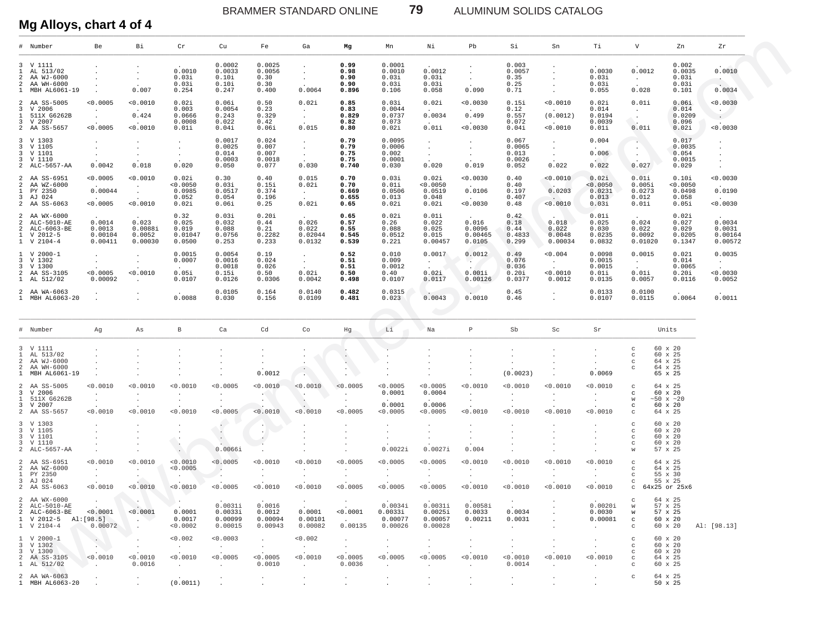ALUMINUM SOLIDS CATALOG

# Mg Alloys, chart 4 of 4

|        | # Number                                                                          | Be                                             | Вi                                                   | Cr                                                        | Cu                                                | Fe                                                                  | Ga                                                    | Mg                                         | Mn                                                    | Νi                                            | Pb                                                         | Si                                          | Sn                                                    | Тi                                                     | V                                                                   | Zn                                                          | Zr                                            |
|--------|-----------------------------------------------------------------------------------|------------------------------------------------|------------------------------------------------------|-----------------------------------------------------------|---------------------------------------------------|---------------------------------------------------------------------|-------------------------------------------------------|--------------------------------------------|-------------------------------------------------------|-----------------------------------------------|------------------------------------------------------------|---------------------------------------------|-------------------------------------------------------|--------------------------------------------------------|---------------------------------------------------------------------|-------------------------------------------------------------|-----------------------------------------------|
|        | 3 V 1111<br>1 AL 513/02<br>2 AA WJ-6000<br>2 AA WH-6000<br>1 MBH AL6061-19        | $\sim$                                         | $\blacksquare$<br>$\blacksquare$<br>0.007            | 0.0010<br>0.03i<br>0.03i<br>0.254                         | 0.0002<br>0.0033<br>0.10i<br>0.10i<br>0.247       | 0.0025<br>0.0056<br>0.30<br>0.30<br>0.400                           | $\bullet$<br>$\sim$<br>$\sim$<br>0.0064               | 0.99<br>0.98<br>0.90<br>0.90<br>0.896      | 0.0001<br>0.0010<br>0.03i<br>0.03i<br>0.106           | 0.0012<br>0.03i<br>0.03i<br>0.058             | $\cdot$<br>$\sim$<br>0.090                                 | 0.003<br>0.0057<br>0.35<br>0.25<br>0.71     | $\cdot$<br>$\cdot$<br>$\sim$<br>$\sim$                | 0.0030<br>0.03i<br>0.03i<br>0.055                      | 0.0012<br>$\sim$ $-$<br>0.028                                       | 0.002<br>0.0035<br>0.03i<br>0.03i<br>0.101                  | 0.0010<br>$\cdot$<br>0.0034                   |
|        | 2 AA SS-5005<br>3 V 2006<br>1 511X G6262B<br>3 V 2007<br>2 AA SS-5657             | < 0.0005<br>$\cdot$<br>$\sim$<br>0.0005        | 0.0010<br>0.424<br>0.0010                            | 0.02i<br>0.003<br>0.0666<br>0.0008<br>0.01i               | 0.06i<br>0.0054<br>0.243<br>0.022<br>0.04i        | 0.50<br>0.23<br>0.329<br>0.42<br>0.06i                              | 0.02i<br>$\sim$<br>$\sim$<br>0.015                    | 0.85<br>0.83<br>0.829<br>0.82<br>0.80      | 0.03i<br>0.0044<br>0.0737<br>0.073<br>0.02i           | 0.02i<br>0.0034<br>0.01i                      | 0.0030<br>0.499<br>< 0.0030                                | 0.15i<br>0.12<br>0.557<br>0.072<br>0.04i    | < 0.0010<br>(0.0012)<br>< 0.0010                      | 0.02i<br>0.014<br>0.0194<br>0.0039<br>0.01i            | 0.01i<br>$\sim$ $-$<br>Chill<br>0.01i                               | 0.06i<br>0.014<br>0.0209<br>0.096<br>0.02i                  | 0.0030<br>$\sim$<br>$\sim$<br>0.0030          |
|        | 3 V 1303<br>3 V 1105<br>3 V 1101<br>3 V 1110<br>2 ALC-5657-AA                     | $\bullet$<br>$\cdot$<br>$\sim$<br>0.0042       | $\cdot$<br>$\sim$<br>$\sim$<br>0.018                 | $\bullet$<br>$\bullet$<br>$\sim$<br>0.020                 | 0.0017<br>0.0025<br>0.014<br>0.0003<br>0.050      | 0.024<br>0.007<br>0.007<br>0.0018<br>0.077                          | $\sim$<br>$\sim$<br>$\sim$<br>0.030                   | 0.79<br>0.79<br>0.75<br>0.75<br>0.740      | 0.0095<br>0.0006<br>0.002<br>0.0001<br>0.030          | $\cdot$<br>$\sim$<br>$\sim$<br>0.020          | $\cdot$<br>$\sim$<br>$\sim$<br>0.019                       | 0.067<br>0.0065<br>0.013<br>0.0026<br>0.052 | $\sim$<br>$\sim$<br>$\sim$<br>0.022                   | 0.004<br>0.006<br>0.022                                | $\sim$<br>$\sim$<br>$\sim$<br>0.027                                 | 0.017<br>0.0035<br>0.054<br>0.0015<br>0.029                 | $\cdot$<br>$\bullet$<br>$\bullet$<br>$\cdot$  |
|        | 2 AA SS-6951<br>2 AA WZ-6000<br>1 PY 2350<br>3 AJ 024<br>2 AA SS-6063             | 0.0005<br>0.00044<br>0.0005                    | 0.0010<br>$\sim$<br>$\sim$<br>< 0.0010               | 0.02i<br>0.0050<br>0.0985<br>0.052<br>0.02i               | 0.30<br>0.03i<br>0.0517<br>0.054<br>0.06i         | 0.40<br>0.15i<br>0.374<br>0.196<br>0.25                             | 0.015<br>0.02i<br>$\sim 10^{-11}$<br>0.02i            | 0.70<br>0.70<br>0.669<br>0.655<br>0.65     | 0.03i<br>0.01i<br>0.0506<br>0.013<br>0.02i            | 0.02i<br>< 0.0050<br>0.0519<br>0.048<br>0.02i | 0.0030<br>0.0106<br>< 0.0030                               | 0.40<br>0.40<br>0.197<br>0.407<br>0.48      | < 0.0010<br>0.0203<br>< 0.0010                        | 0.02i<br>< 0.0050<br>0.0231<br>0.013<br>0.03i          | 0.01i<br>0.005i<br>0.0273<br>0.012<br>0.01i                         | 0.10i<br>0.0050<br>0.0498<br>0.058<br>0.05i                 | 0.0030<br>0.0190<br>0.0030                    |
|        | 2 AA WX-6000<br>2 ALC-5010-AE<br>2 ALC-6063-BE<br>1 V 2012-5<br>1 V 2104-4        | 0.0014<br>0.0013<br>0.00104<br>0.00411         | 0.023<br>0.0088i<br>0.0052<br>0.00030                | 0.32<br>0.025<br>0.019<br>0.01047<br>0.0500               | 0.03i<br>0.032<br>0.088<br>0.0756<br>0.253        | 0.20i<br>0.44<br>0.21<br>0.2282<br>0.233                            | 0.026<br>0.022<br>0.02044<br>0.0132                   | 0.65<br>0.57<br>0.55<br>0.545<br>0.539     | 0.02i<br>0.26<br>0.088<br>0.0512<br>0.221             | 0.01i<br>0.022<br>0.025<br>0.015<br>0.00457   | 0.016<br>0.0096<br>0.00465<br>0.0105                       | 0.42<br>0.18<br>0.44<br>0.4833<br>0.299     | 0.018<br>0.022<br>0.0048<br>0.00034                   | 0.01i<br>0.025<br>0.030<br>0.0235<br>0.0832            | 0.024<br>0.022<br>0.0092<br>0.01020                                 | 0.02i<br>0.027<br>0.029<br>0.0205<br>0.1347                 | 0.0034<br>0.0031<br>0.00164<br>0.00572        |
|        | $1 \quad V \quad 2000 - 1$<br>3 V 1302<br>3 V 1300<br>2 AA SS-3105<br>1 AL 512/02 | $\bullet$<br>$\sim$<br>0.0005<br>0.00092       | $\cdot$<br>$\sim$<br>< 0.0010<br>$\cdot$             | 0.0015<br>0.0007<br>0.05i<br>0.0107                       | 0.0054<br>0.0016<br>0.0018<br>0.15i<br>0.0126     | 0.19<br>0.024<br>0.026<br>0.50<br>0.0306                            | $\sim$<br>$\sim$<br>0.02i<br>0.0042                   | 0.52<br>0.51<br>0.51<br>0.50<br>0.498      | 0.010<br>0.009<br>0.0012<br>0.40<br>0.0107            | 0.0017<br>$\Delta \sim 10$<br>0.02i<br>0.0117 | 0.0012<br>$\mathcal{L}^{\mathcal{L}}$<br>0.001i<br>0.00126 | 0.49<br>0.076<br>0.036<br>0.20i<br>0.0377   | 0.004<br>$\sim 100$<br>< 0.0010<br>0.0012             | 0.0098<br>0.0015<br>0.0015<br>0.01i<br>0.0135          | 0.0015<br>$\sim 10^{-11}$<br>0.01i<br>0.0057                        | 0.021<br>0.014<br>0.0065<br>0.20i<br>0.0116                 | 0.0035<br><b>Contract</b><br>0.0030<br>0.0052 |
|        | 2 AA WA-6063<br>1 MBH AL6063-20                                                   | $\cdot$                                        |                                                      | 0.0088                                                    | 0.0105<br>0.030                                   | 0.164<br>0.156                                                      | 0.0140<br>0.0109                                      | 0.482<br>0.481                             | 0.0315<br>0.023                                       | 0.0043                                        | $\sim$<br>0.0010                                           | 0.45<br>0.46                                | $\sim$<br>$\cdot$                                     | 0.0133<br>0.0107                                       | 0.0100<br>0.0115                                                    | 0.0064                                                      | 0.0011                                        |
|        | # Number                                                                          | Ag                                             | As                                                   | В                                                         | Ca                                                | Cd                                                                  | Co                                                    | Hg                                         | Li                                                    | Na                                            | P                                                          | Sb                                          | $\operatorname{Sc}$                                   | Sr                                                     |                                                                     | Units                                                       |                                               |
|        | 3 V 1111                                                                          |                                                |                                                      |                                                           |                                                   |                                                                     |                                                       |                                            |                                                       |                                               |                                                            |                                             |                                                       |                                                        |                                                                     |                                                             |                                               |
|        | 1 AL 513/02<br>2 AA WJ-6000<br>2 AA WH-6000<br>1 MBH AL6061-19                    | $\ddot{\phantom{a}}$                           |                                                      |                                                           |                                                   | $\cdot$<br>$\cdot$<br>$\cdot$<br>0.0012                             | $\bullet$<br>$\cdot$<br>$\cdot$<br>$\sim$             | $\sim$<br>$\cdot$                          | $\cdot$<br>$\cdot$                                    | $\cdot$<br>$\cdot$                            | $\cdot$<br>$\cdot$<br>$\cdot$<br>$\cdot$                   | $\cdot$<br>(0.0023)                         | $\cdot$                                               | $\cdot$<br>$\cdot$<br>0.0069                           | $_{\rm C}$<br>$_{\rm C}$<br>$_{\rm C}$<br>$\mathbf{C}$              | 60 x 20<br>60 x 25<br>64 x 25<br>64 x 25<br>65 x 25         |                                               |
|        | 2 AA SS-5005<br>3 V 2006<br>1 511X G6262B<br>3 V 2007<br>2 AA SS-5657             | 0.0010<br>$\sim$<br>$\sim$<br>0.0010           | < 0.0010<br>$\cdot$<br>$\cdot$<br>0.0010             | < 0.0010<br>$\cdot$<br>$\sim$<br>< 0.0010                 | < 0.0005<br>$\bullet$<br>$\sim$<br>< 0.0005       | < 0.0010<br>$\mathbf{r} \in \mathcal{N}$<br>$\sim$ $\sim$<br>0.0010 | < 0.0010<br>$\sim$<br>- 40<br>< 0.0010                | < 0.0005<br>$\cdot$<br>$\cdot$<br>< 0.0005 | < 0.0005<br>0.0001<br>0.0001<br>< 0.0005              | < 0.0005<br>0.0004<br>0.0006<br>< 0.0005      | < 0.0010<br>$\sim$<br>$\sim$<br>< 0.0010                   | < 0.0010<br>$\sim$<br>$\sim$<br>< 0.0010    | < 0.0010<br>$\cdot$<br>$\sim$<br>< 0.0010             | < 0.0010<br>$\sim$<br>$\sim$<br>< 0.0010               | $_{\rm C}$<br>$\mathbf{C}$<br>W<br>$\mathbf{C}$<br>$\mathbf C$      | 64 x 25<br>60 x 20<br>$~10 \times 20$<br>60 x 20<br>64 x 25 |                                               |
|        | 3 V 1303<br>3 V 1105<br>3 V 1101<br>3 V 1110<br>2 ALC-5657-AA                     | $\ddot{\phantom{a}}$                           | $\cdot$<br>$\cdot$<br>$\cdot$                        | $\cdot$<br>$\cdot$<br>$\cdot$<br>$\mathcal{L}$<br>$\cdot$ | $\sim$<br>$\sim$<br>$\sim$<br>0.0066i             | $\sim$<br>$\sim$<br>$\ddot{\phantom{1}}$                            | $\cdot$                                               | $\cdot$                                    | $\cdot$<br>$\cdot$<br>0.0022i                         | $\bullet$<br>$\cdot$<br>$\bullet$<br>0.0027i  | $\cdot$<br>$\cdot$<br>0.004                                | $\cdot$                                     |                                                       | $\cdot$<br>$\cdot$                                     | $_{\rm C}$<br>$_{\rm C}$<br>$_{\rm C}$<br>$\mathbf{C}$<br>W         | 60 x 20<br>60 x 20<br>60 x 20<br>60 x 20<br>57 x 25         |                                               |
|        | 2 AA SS-6951<br>2 AA WZ-6000<br>1 PY 2350<br>3 AJ 024<br>2 AA SS-6063             | 0.0010<br>$\sim$<br>$\sim$ $\sim$<br>0.0010    | 0.0010<br>$\sim$<br>$\sim$<br>< 0.0010               | 0.0010<br>< 0.0005<br>$\sim$<br>< 0.0010                  | < 0.0005<br>- 4<br>$\sim$<br>< 0.0005             | < 0.0010<br>$\cdot$<br>$\sim$<br>< 0.0010                           | < 0.0010<br>$\cdot$<br>$\sim$<br>< 0.0010             | < 0.0005<br>$\cdot$<br>$\sim$<br>< 0.0005  | < 0.0005<br>$\cdot$<br>$\sim$<br>< 0.0005             | < 0.0005<br>$\sim$<br>$\sim$<br>< 0.0005      | 0.0010<br>$\cdot$<br>$\sim$<br>< 0.0010                    | < 0.0010<br>$\cdot$<br>$\sim$<br>< 0.0010   | < 0.0010<br>$\cdot$<br>$\sim$<br>< 0.0010             | < 0.0010<br>$\cdot$<br>$\cdot$<br>< 0.0010             | $_{\rm C}$<br>$\mathbf{C}$<br>$\,$ $\,$ $\,$<br>$\mathbf{C}$<br>C   | 64 x 25<br>64 x 25<br>55 x 30<br>55 x 25<br>64x25 or 25x6   |                                               |
|        | 2 AA WX-6000<br>2 ALC-5010-AR<br>2 ALC-6063-BE<br>1 V 2012-5<br>1 V 2104-4        | $\sim$<br>0.0001<br>AI:[98.5]<br>0.00072       | $\mathcal{L}_{\mathcal{A}}$ .<br>< 0.0001<br>$\cdot$ | $\cdot$<br>0.0001<br>0.0017<br>< 0.0002                   | 0.0031i<br>0.0033i<br>0.00099<br>0.00015          | 0.0016<br>0.0012<br>0.00094<br>0.00943                              | $\sim$<br>0.0001<br>0.00101<br>0.00082                | $\cdot$<br>< 0.0001<br>$\sim$<br>0.00135   | 0 00341<br>0.0033i<br>0.00077<br>0.00026              | 0.00311<br>0.0025i<br>0.00057<br>0.00028      | 0.0058i<br>0.0033<br>0.00211<br>$\ddot{\phantom{a}}$       | $\sim$<br>0.0034<br>0.0031<br>$\sim$        | $\cdot$                                               | 0.00201<br>0.0030<br>0.00081<br>$\ddot{\phantom{a}}$   | C<br>TAT<br>W<br>$_{\rm c}$<br>$\mathbf C$                          | 64 x 25<br>57 x 25<br>57 x 25<br>60 x 20<br>60 x 20         | Al: [98.13]                                   |
| 3<br>3 | $1 \,$ V 2000-1<br>V 1302<br>V 1300<br>2 AA SS-3105<br>1 AL 512/02                | $\sim$<br>$\cdot$<br>< 0.0010<br>and the state | $\cdot$<br>$\cdot$<br>< 0.0010<br>0.0016             | < 0.002<br><b>Contract</b><br>< 0.0010<br>$\sim$          | < 0.0003<br><b>Contract</b><br>< 0.0005<br>$\sim$ | $\sim$<br>$\sim$<br>< 0.0005<br>0.0010                              | < 0.002<br>$\sim 100$<br>$\sim$<br>< 0.0010<br>$\sim$ | $\cdot$<br>$\sim$<br>< 0.0005<br>0.0036    | $\cdot$<br>$\sim$<br>< 0.0005<br>$\ddot{\phantom{a}}$ | $\bullet$<br>$\sim$<br>< 0.0005<br>$\sim$     | $\cdot$<br>$\cdot$<br>< 0.0010<br>$\ddot{\phantom{a}}$     | $\bullet$<br>$\cdot$<br>< 0.0010<br>0.0014  | $\cdot$<br>$\ddot{\phantom{a}}$<br>< 0.0010<br>$\sim$ | $\cdot$<br>$\cdot$<br>< 0.0010<br>$\ddot{\phantom{a}}$ | $_{\rm C}$<br>$_{\rm C}$<br>$_{\rm C}$<br>$\mathbf C$<br>$_{\rm C}$ | 60 x 20<br>60 x 20<br>$60 \times 20$<br>64 x 25<br>60 x 25  |                                               |

79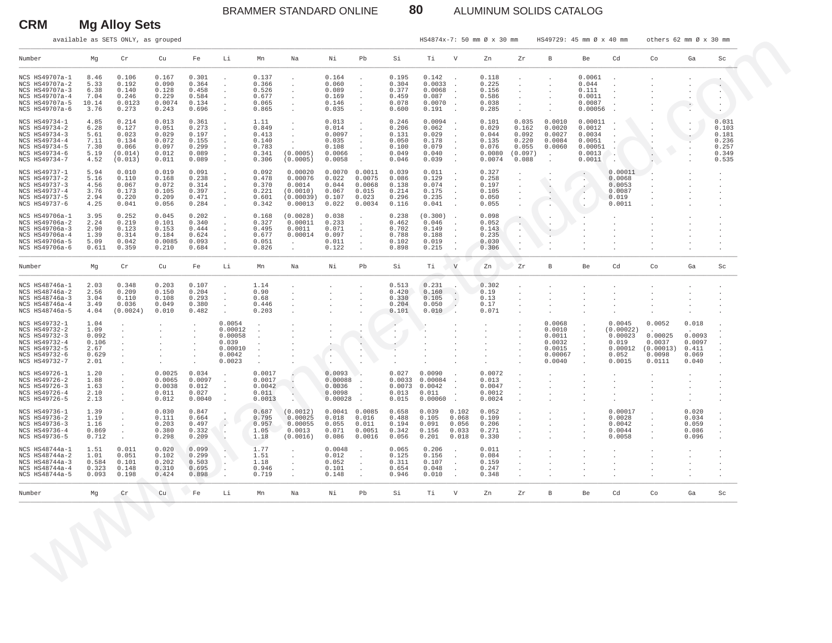### BRAMMER STANDARD ONLINE **80** ALUMINUM SOLIDS CATALOG

**CRM Mg Alloy Sets**

|                                                                                                                     |                                                         | available as SETS ONLY, as grouped                              |                                                             |                                                             |                                                                      |                                                            |                                                                        |                                                                |                                                                                                            |                                                             |                                                                 |                                                                                        | HS4874x-7: 50 mm Ø x 30 mm                                    |                                                               | HS49729: 45 mm Ø x 40 mm                                                         |                                                                         |                                                                       | others 62 mm Ø x 30 mm                                       |                                                      |                                                             |
|---------------------------------------------------------------------------------------------------------------------|---------------------------------------------------------|-----------------------------------------------------------------|-------------------------------------------------------------|-------------------------------------------------------------|----------------------------------------------------------------------|------------------------------------------------------------|------------------------------------------------------------------------|----------------------------------------------------------------|------------------------------------------------------------------------------------------------------------|-------------------------------------------------------------|-----------------------------------------------------------------|----------------------------------------------------------------------------------------|---------------------------------------------------------------|---------------------------------------------------------------|----------------------------------------------------------------------------------|-------------------------------------------------------------------------|-----------------------------------------------------------------------|--------------------------------------------------------------|------------------------------------------------------|-------------------------------------------------------------|
| Number                                                                                                              | Mg                                                      | Cr                                                              | Cu                                                          | Fe                                                          | Li                                                                   | Mn                                                         | Na                                                                     | Νi                                                             | Pb                                                                                                         | Si                                                          | Ti                                                              | $\mathbf V$                                                                            | Zn                                                            | Ζr                                                            | B                                                                                | Be                                                                      | Cd                                                                    | Co                                                           | Ga                                                   | Sc                                                          |
| NCS HS49707a-1<br>NCS HS49707a-2<br>NCS HS49707a-3<br>NCS HS49707a-4<br>NCS HS49707a-5<br>NCS HS49707a-6            | 8.46<br>5.33<br>6.38<br>7.04<br>10.14<br>3.76           | 0.106<br>0.192<br>0.140<br>0.246<br>0.0123<br>0.273             | 0.167<br>0.090<br>0.128<br>0.229<br>0.0074<br>0.243         | 0.301<br>0.364<br>0.458<br>0.584<br>0.134<br>0.696          | $\blacksquare$<br>$\cdot$<br>$\cdot$<br>$\cdot$                      | 0.137<br>0.366<br>0.526<br>0.677<br>0.065<br>0.865         | $\cdot$<br>$\cdot$<br>$\cdot$<br>$\cdot$<br>$\cdot$                    | 0.164<br>0.060<br>0.089<br>0.169<br>0.146<br>0.035             | $\cdot$                                                                                                    | 0.195<br>0.304<br>0.377<br>0.459<br>0.078<br>0.600          | 0.142<br>0.0033<br>0.0068<br>0.087<br>0.0070<br>0.191           | $\overline{\phantom{a}}$<br>$\ddot{\phantom{a}}$<br>$\overline{\phantom{a}}$<br>$\sim$ | 0.118<br>0.225<br>0.156<br>0.586<br>0.038<br>0.285            |                                                               |                                                                                  | 0.0061<br>0.044<br>0.111<br>0.0011<br>0.0087<br>0.00056                 |                                                                       |                                                              | $\cdot$                                              |                                                             |
| NCS HS49734-1<br>NCS HS49734-2<br>NCS HS49734-3<br>NCS HS49734-4<br>NCS HS49734-5<br>NCS HS49734-6<br>NCS HS49734-7 | 4.85<br>6.28<br>5.61<br>7.11<br>7.30<br>5.19<br>4.52    | 0.214<br>0.127<br>0.023<br>0.134<br>0.066<br>(0.014)<br>(0.013) | 0.013<br>0.051<br>0.029<br>0.072<br>0.097<br>0.012<br>0.011 | 0.361<br>0.273<br>0.197<br>0.155<br>0.299<br>0.089<br>0.089 | $\cdot$<br>$\cdot$<br>$\cdot$                                        | 1.11<br>0.849<br>0.413<br>0.140<br>0.783<br>0.341<br>0.306 | $\cdot$<br>$\cdot$<br>$\cdot$<br>$\cdot$<br>(0.0005)<br>(0.0005)       | 0.013<br>0.014<br>0.0097<br>0.035<br>0.108<br>0.0066<br>0.0058 | $\cdot$<br>$\ddot{\phantom{a}}$<br>$\Delta$<br>$\Delta$                                                    | 0.246<br>0.206<br>0.131<br>0.050<br>0.100<br>0.049<br>0.046 | 0.0094<br>0.062<br>0.029<br>0.178<br>0.079<br>0.040<br>0.039    | $\ddot{\phantom{1}}$<br>$\ddot{\phantom{a}}$<br>$\sim$<br>$\sim$<br>$\Delta$<br>$\sim$ | 0.101<br>0.029<br>0.044<br>0.135<br>0.076<br>0.0080<br>0.0074 | 0.035<br>0.162<br>0.092<br>0.220<br>0.055<br>(0.097)<br>0.088 | 0.0010<br>0.0020<br>0.0027<br>0.0084<br>0.0060<br>$\sim$<br>$\ddot{\phantom{1}}$ | 0.00011<br>0.0012<br>0.0034<br>0.0051<br>0.00051<br>0.0013<br>0.0011    | $\cdot$                                                               |                                                              | $\cdot$<br>$\cdot$<br>$\cdot$                        | 0.031<br>0.103<br>0.181<br>0.236<br>0.257<br>0.349<br>0.535 |
| NCS HS49737-1<br>NCS HS49737-2<br>NCS HS49737-3<br>NCS HS49737-4<br>NCS HS49737-5<br>NCS HS49737-6                  | 5.94<br>5.16<br>4.56<br>3.76<br>2.94<br>4.25            | 0.010<br>0.110<br>0.067<br>0.173<br>0.220<br>0.041              | 0.019<br>0.168<br>0.072<br>0.105<br>0.209<br>0.056          | 0.091<br>0.238<br>0.314<br>0.397<br>0.471<br>0.284          | $\cdot$<br>$\cdot$<br>$\cdot$<br>$\cdot$<br>$\cdot$                  | 0.092<br>0.478<br>0.370<br>0.221<br>0.601<br>0.342         | 0.00020<br>0.00076<br>0.0014<br>(0.0010)<br>(0.00039) 0.107<br>0.00013 | $0.0070$ $0.0011$<br>0.022<br>0.044<br>0.067<br>0.022          | 0.0075<br>0.0068<br>0.015<br>0.023<br>0.0034                                                               | 0.039<br>0.086<br>0.138<br>0.214<br>0.296<br>0.116          | 0.011<br>0.129<br>0.074<br>0.175<br>0.235<br>0.041              | $\ddot{\phantom{0}}$<br>$\ddot{\phantom{a}}$<br>$\Delta$<br>$\sim$                     | 0.327<br>0.258<br>0.197<br>0.105<br>0.050<br>0.055            |                                                               | ٠.<br>$\sim$<br>$\cdot$                                                          | $\sim$<br>$\cdot$ .<br>$\sim$<br>$\ddot{\phantom{a}}$<br>$\sim$<br>v.   | 0.00011<br>0.0068<br>0.0053<br>0.0087<br>0.019<br>0.0011              |                                                              |                                                      |                                                             |
| NCS HS49706a-1<br>NCS HS49706a-2<br>NCS HS49706a-3<br>NCS HS49706a-4<br>NCS HS49706a-5<br>NCS HS49706a-6            | 3.95<br>2.24<br>2.90<br>1.39<br>5.09<br>0.611           | 0.252<br>0.219<br>0.123<br>0.314<br>0.042<br>0.359              | 0.045<br>0.101<br>0.153<br>0.184<br>0.0085<br>0.210         | 0.202<br>0.340<br>0.444<br>0.624<br>0.093<br>0.684          | $\cdot$<br>$\cdot$<br>$\cdot$                                        | 0.168<br>0.327<br>0.495<br>0.677<br>0.051<br>0.826         | (0.0028)<br>0.00011<br>0.0011<br>0.00014<br>$\sim$                     | 0.038<br>0.233<br>0.071<br>0.097<br>0.011<br>0.122             | $\cdot$<br>$\cdot$<br>$\cdot$<br>$\cdot$                                                                   | 0.238<br>0.462<br>0.702<br>0.788<br>0.102<br>0.898          | (0.300)<br>0.046<br>0.149<br>0.188<br>0.019<br>0.215            | $\ddot{\phantom{1}}$<br>$\ddot{\phantom{a}}$<br>$\Delta$                               | 0.098<br>0.052<br>0.143<br>0.235<br>0.030<br>0.306            | $\sim$<br>$\cdot$                                             |                                                                                  |                                                                         |                                                                       |                                                              |                                                      |                                                             |
| Number                                                                                                              | Mg                                                      | $\operatorname{\sf Cr}$                                         | Cu                                                          | Fe                                                          | Li                                                                   | Mn                                                         | Na                                                                     | Νi                                                             | Pb                                                                                                         | Si                                                          | Тi                                                              | V                                                                                      | Zn                                                            | Zr                                                            | B                                                                                | Be                                                                      | Cd                                                                    | Co                                                           | Ga                                                   | Sc                                                          |
| NCS HS48746a-1<br>NCS HS48746a-2<br>NCS HS48746a-3<br>NCS HS48746a-4<br>NCS HS48746a-5                              | 2.03<br>2.56<br>3.04<br>3.49<br>4.04                    | 0.348<br>0.209<br>0.110<br>0.036<br>(0.0024)                    | 0.203<br>0.150<br>0.108<br>0.049<br>0.010                   | 0.107<br>0.204<br>0.293<br>0.380<br>0.482                   | $\cdot$<br>$\cdot$<br>$\cdot$<br>$\cdot$                             | 1.14<br>0.90<br>0.68<br>0.446<br>0.203                     | $\cdot$<br>$\cdot$                                                     |                                                                |                                                                                                            | 0.513<br>0.420<br>0.330<br>0.204<br>0.101                   | 0.231<br>0.160<br>0.105<br>0.050<br>0.010                       | $\sim$<br>$\sim$<br>$\overline{\phantom{a}}$<br>$\sim$ .                               | 0.302<br>0.19<br>0.13<br>0.17<br>0.071                        |                                                               |                                                                                  |                                                                         |                                                                       |                                                              |                                                      |                                                             |
| NCS HS49732-1<br>NCS HS49732-2<br>NCS HS49732-3<br>NCS HS49732-4<br>NCS HS49732-5<br>NCS HS49732-6<br>NCS HS49732-7 | 1.04<br>1.09<br>0.092<br>0.106<br>2.67<br>0.629<br>2.01 | $\cdot$                                                         |                                                             |                                                             | 0.0054<br>0.00012<br>0.00058<br>0.039<br>0.00010<br>0.0042<br>0.0023 | $\ddot{\phantom{a}}$                                       |                                                                        | $\bullet$                                                      | $\cdot$<br>$\sim$<br>$\cdot$                                                                               | $\blacksquare$<br>٠.<br>$\cdot$<br>$\overline{\phantom{a}}$ |                                                                 |                                                                                        |                                                               |                                                               | 0.0068<br>0.0010<br>0.0011<br>0.0032<br>0.0015<br>0.00067<br>0.0040              | $\sim$<br>$\sim$<br>$\cdot$<br>$\cdot$<br>$\cdot$<br>$\cdot$<br>$\cdot$ | 0.0045<br>(0.00022)<br>0.00023<br>0.019<br>0.00012<br>0.052<br>0.0015 | 0.0052<br>0.00025<br>0.0037<br>(0.00013)<br>0.0098<br>0.0111 | 0.018<br>0.0093<br>0.0097<br>0.411<br>0.069<br>0.040 |                                                             |
| NCS HS49726-1<br>NCS HS49726-2<br>NCS HS49726-3<br>NCS HS49726-4<br>NCS HS49726-5                                   | 1.20<br>1.88<br>1.63<br>2.10<br>2.13                    | $\cdot$<br>$\cdot$<br>$\cdot$<br>$\cdot$<br>$\cdot$             | 0.0025<br>0.0065<br>0.0038<br>0.011<br>0.012                | 0.034<br>0.0097<br>0.012<br>0.027<br>0.0040                 | $\overline{\phantom{a}}$<br>$\cdot$                                  | 0.0017<br>0.0017<br>0.0042<br>0.011<br>0.0013              | $\cdot$<br>×.                                                          | 0.0093<br>0.00088<br>0.0036<br>0.0098<br>0.00028               | O4<br>$\overline{\phantom{a}}$<br>$\ddot{\phantom{a}}$<br>$\ddot{\phantom{a}}$<br>$\overline{\phantom{a}}$ | 0.027<br>0.013<br>0.015                                     | 0.0090<br>0.0033 0.00084<br>$0.0073$ 0.0042<br>0.011<br>0.00060 | $\ddot{\phantom{1}}$<br>$\ddot{\phantom{a}}$<br>$\ddot{\phantom{a}}$                   | 0.0072<br>0.013<br>0.0047<br>0.0012<br>0.0024                 |                                                               |                                                                                  |                                                                         |                                                                       |                                                              |                                                      |                                                             |
| NCS HS49736-1<br>NCS HS49736-2<br>NCS HS49736-3<br>NCS HS49736-4<br>NCS HS49736-5                                   | 1.39<br>1.19<br>1.16<br>0.869<br>0.712                  | $\cdot$<br>$\cdot$<br>$\cdot$<br>$\cdot$                        | 0.030<br>0.111<br>0.203<br>0.380<br>0.298                   | 0.847<br>0.664<br>0.497<br>0.332<br>0.209                   | $\overline{\phantom{a}}$<br>$\ddot{\phantom{a}}$                     | 0.687<br>0.795<br>0.957<br>1.05<br>1.18                    | (0.0012)<br>0.00025<br>0.00055<br>0.0013<br>(0.0016)                   | $0.0041$ $0.0085$<br>0.018<br>0.055<br>0.071<br>0.086          | 0.016<br>0.011<br>0.0051<br>0.0016                                                                         | 0.658<br>0.488<br>0.194<br>0.342<br>0.056                   | 0.039<br>0.105<br>0.091<br>0.156<br>0.201                       | 0.102<br>0.068<br>0.056<br>0.033<br>0.018                                              | 0.052<br>0.109<br>0.206<br>0.271<br>0.330                     |                                                               |                                                                                  | $\cdot$<br>$\cdot$<br>$\cdot$                                           | 0.00017<br>0.0028<br>0.0042<br>0.0044<br>0.0058                       | $\cdot$<br>$\cdot$<br>$\cdot$                                | 0.020<br>0.034<br>0.059<br>0.086<br>0.096            |                                                             |
| NCS HS48744a-1<br>NCS HS48744a-2<br>NCS HS48744a-3<br>NCS HS48744a-4<br>NCS HS48744a-5                              | 1.51<br>1.01<br>0.584<br>0.323<br>0.093                 | 0.011<br>0.051<br>0.101<br>0.148<br>0.198                       | 0.020<br>0.102<br>0.202<br>0.310<br>0.424                   | 0.099<br>0.299<br>0.503<br>0.695<br>0.898                   | $\blacksquare$                                                       | 1.77<br>1.51<br>1.18<br>0.946<br>0.719                     | $\cdot$<br>$\sim$<br>$\cdot$<br>$\cdot$                                | 0.0048<br>0.012<br>0.052<br>0.101<br>0.148                     | $\cdot$<br>$\cdot$<br>$\cdot$                                                                              | 0.065<br>0.125<br>0.311<br>0.654<br>0.946                   | 0.206<br>0.156<br>0.107<br>0.048<br>0.010                       | $\sim$<br>$\sim$<br>$\cdot$                                                            | 0.011<br>0.084<br>0.159<br>0.247<br>0.348                     |                                                               |                                                                                  |                                                                         |                                                                       |                                                              |                                                      |                                                             |
| Number                                                                                                              | Mg                                                      | Cr                                                              | Cu                                                          | Fe                                                          | Li                                                                   | Mn                                                         | Na                                                                     | Νi                                                             | Pb                                                                                                         | Si                                                          | тi                                                              | V                                                                                      | Zn                                                            | Zr                                                            | $_{\rm B}$                                                                       | Be                                                                      | Cd                                                                    | Co                                                           | Ga                                                   | Sc                                                          |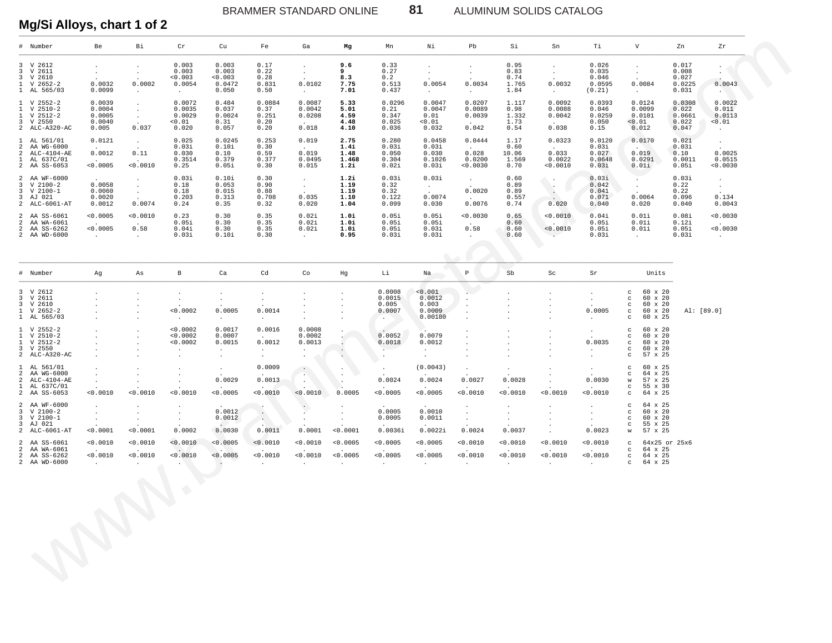ALUMINUM SOLIDS CATALOG

#### Mg/Si Alloys, chart 1 of 2

| 3 V 2612<br>3 V 2611<br>3 V 2610<br>$1 \quad V \quad 2652-2$                                    | $\cdot$                                                                      |                                                              |                                                              |                                                                                                     |                                                          |                                                                                                  |                                              |                                                                         |                                                 |                                                                                                                                  |                                           |                                                                                                 |                                                                              |                                                                                                                               |                                             |                                                          |  |
|-------------------------------------------------------------------------------------------------|------------------------------------------------------------------------------|--------------------------------------------------------------|--------------------------------------------------------------|-----------------------------------------------------------------------------------------------------|----------------------------------------------------------|--------------------------------------------------------------------------------------------------|----------------------------------------------|-------------------------------------------------------------------------|-------------------------------------------------|----------------------------------------------------------------------------------------------------------------------------------|-------------------------------------------|-------------------------------------------------------------------------------------------------|------------------------------------------------------------------------------|-------------------------------------------------------------------------------------------------------------------------------|---------------------------------------------|----------------------------------------------------------|--|
| 1 AL 565/03                                                                                     | $\sim$<br>0.0032<br>0.0099                                                   | $\cdot$<br>$\cdot$<br>0.0002<br>$\sim$                       | 0.003<br>0.003<br>0.003<br>0.0054<br>$\sim 100$ km s $^{-1}$ | 0.003<br>0.003<br>0.003<br>0.0472<br>0.050                                                          | 0.17<br>0.22<br>0.28<br>0.831<br>0.50                    | $\sim$<br>$\sim$<br>0.0102<br>$\sim 100$ km s $^{-1}$                                            | 9.6<br>9<br>8.3<br>7.75<br>7.01              | 0.33<br>0.27<br>0.2<br>0.513<br>0.437                                   | $\sim$<br>$\sim$<br>0.0054<br><b>Contract</b>   | $\blacksquare$<br>$\sim$<br>0.0034<br>$\sim 10^{-11}$                                                                            | 0.95<br>0.83<br>0.74<br>1.765<br>1.84     | $\sim$<br>$\sim$<br>0.0032<br><b>Carl Corporation</b>                                           | 0.026<br>0.035<br>0.046<br>0.0595<br>(0.21)                                  | $\sim$<br>$\sim$<br>0.0084<br><b>Carl Corp.</b>                                                                               | 0.017<br>0.008<br>0.027<br>0.0225<br>0.031  | $\cdot$<br>0.0043<br><b>SALE</b>                         |  |
| $1 \quad V 2552 - 2$<br>$1 \quad V 2510-2$<br>$1 \quad V 2512 - 2$<br>3 V 2550<br>2 ALC-A320-AC | 0.0039<br>0.0004<br>0.0005<br>0.0040<br>0.005                                | $\cdot$<br>$\sim$<br>$\sim$<br>0.037                         | 0.0072<br>0.0035<br>0.0029<br>< 0.01<br>0.020                | 0.484<br>0.037<br>0.0024<br>0.31<br>0.057                                                           | 0.0884<br>0.37<br>0.251<br>0.20<br>0.20                  | 0.0087<br>0.0042<br>0.0208<br>$\Delta \sim 100$<br>0.018                                         | 5.33<br>5.01<br>4.59<br>4.48<br>4.10         | 0.0296<br>0.21<br>0.347<br>0.025<br>0.036                               | 0.0047<br>0.0047<br>0.01<br>< 0.01<br>0.032     | 0.0207<br>0.0089<br>0.0039<br><b>Carl Corporation</b><br>0.042                                                                   | 1.117<br>0.98<br>1.332<br>1.73<br>0.54    | 0.0092<br>0.0088<br>0.0042<br><b>Contract Contract</b><br>0.038                                 | 0.0393<br>0.046<br>0.0259<br>0.050<br>0.15                                   | 0.0124<br>0.0099<br>0.0101<br>< 0.01<br>0.012                                                                                 | 0.0308<br>0.022<br>0.0661<br>0.022<br>0.047 | 0.0022<br>0.011<br>0.0113<br>< 0.01<br><b>Contract</b>   |  |
| 1 AL 561/01<br>2 AA WG-6000<br>2 ALC-4104-AE<br>1 AL 637C/01<br>2 AA SS-6053                    | 0.0121<br>0.0012<br><b>Allen Co</b><br>< 0.0005                              | $\sim 10^{-11}$<br>0.11<br>$\Delta \sim 10^{-11}$<br>0.0010  | 0.025<br>0.03i<br>0.030<br>0.3514<br>0.25                    | 0.0245<br>0.10i<br>0.10<br>0.379<br>0.05i                                                           | 0.253<br>0.30<br>0.59<br>0.377<br>0.30                   | 0.019<br>0.019<br>0.0495<br>0.015                                                                | 2.75<br>1.4i<br>1.48<br>1.468<br>1.2i        | 0.280<br>0.03i<br>0.050<br>0.304<br>0.02i                               | 0.0458<br>0.03i<br>0.030<br>0.1026<br>0.03i     | 0.0444<br>$\sim 10^{-10}$<br>0.028<br>0.0200<br>0.0030                                                                           | 1.17<br>0.60<br>10.06<br>1.569<br>0.70    | 0.0323<br><b>Contract Contract</b><br>0.033<br>0.0022<br>0.0010                                 | 0.0120<br>0.03i<br>0.027<br>0.0648<br>0.03i                                  | 0.0170<br><b>Contract Contract</b><br>0.019<br>0.0291<br>0.01i                                                                | 0.021<br>0.03i<br>0.10<br>0.0011<br>0.05i   | $\sim$ $-$<br>0.0025<br>0.0515<br>0.0030                 |  |
| 2 AA WF-6000<br>3 V 2100-2<br>3 V 2100-1<br>3 AJ 021<br>2 ALC-6061-AT                           | 0.0058<br>0.0060<br>0.0020<br>0.0012                                         | $\sim$<br>$\sim 10^{-11}$<br>$\sim 10^{-11}$<br>0.0074       | 0.03i<br>0.18<br>0.18<br>0.203<br>0.24                       | 0.10i<br>0.053<br>0.015<br>0.313<br>0.35                                                            | 0.30<br>0.90<br>0.88<br>0.708<br>0.32                    | $\sim$<br>$\sim$ $-$<br>0.035<br>0.020                                                           | 1.2i<br>1.19<br>1.19<br>1.10<br>1.04         | 0.03i<br>0.32<br>0.32<br>0.122<br>0.099                                 | 0.03i<br><b>Contract</b><br>0.0074<br>0.030     | <b>Contractor</b><br>$\mathcal{A}^{\mathcal{A}}$ and $\mathcal{A}^{\mathcal{A}}$<br>0.0020<br><b>Contract Contract</b><br>0.0076 | 0.60<br>0.89<br>0.89<br>0.557<br>0.74     | $\mathbb{R}^n$<br>$\mathcal{L}(\mathcal{A})$<br>$\sqrt{2}$<br><b>Contract Contract</b><br>0.020 | 0.03i<br>0.042<br>0.041<br>0.071<br>0.040                                    | $\sim$ $\sim$<br><b>Contract Contract</b><br>$\sim 10^{-11}$<br>0.0064<br>0.020                                               | 0.03i<br>0.22<br>0.22<br>0.096<br>0.040     | $\sim$ $-$<br>$\sim 10^{-11}$<br>0.134<br>0.0043         |  |
| 2 AA SS-6061<br>2 AA WA-6061<br>2 AA SS-6262<br>2 AA WD-6000                                    | < 0.0005<br><b>Contract Contract</b><br>< 0.0005<br><b>Contract Contract</b> | 0.0010<br><b>Carl Corporation</b><br>0.58<br>$\sim 10^{-11}$ | 0.23<br>0.05i<br>0.04i<br>0.03i                              | 0.30<br>0.30<br>0.30<br>0.10i                                                                       | 0.35<br>0.35<br>0.35<br>0.30                             | 0.02i<br>0.02i<br>0.02i<br>$\sim 100$ km s $^{-1}$                                               | 1.0i<br>1.0i<br>1.0i<br>0.95                 | 0.05i<br>0.05i<br>0.05i<br>0.03i                                        | 0.05i<br>0.05i<br>0.03i<br>0.03i                | 0.0030<br><b>Contractor</b><br>0.58<br>$\sim$                                                                                    | 0.65<br>0.60<br>0.60<br>0.60              | < 0.0010<br>$\sqrt{2}$ . The set of $\sqrt{2}$<br>< 0.0010<br>$\sim$                            | 0.04i<br>0.05i<br>0.05i<br>0.03i                                             | 0.01i<br>0.01i<br>0.01i<br><b>Carl Corporation</b>                                                                            | 0.08i<br>0.12i<br>0.05i<br>0.03i            | 0.0030<br><b>Contractor</b><br>0.0030<br>$\sim 10^{-11}$ |  |
|                                                                                                 |                                                                              |                                                              |                                                              |                                                                                                     |                                                          |                                                                                                  |                                              |                                                                         |                                                 |                                                                                                                                  |                                           |                                                                                                 |                                                                              |                                                                                                                               |                                             |                                                          |  |
| # Number                                                                                        | Ag                                                                           | As                                                           | $\, {\bf B}$                                                 | Ca                                                                                                  | Cd                                                       | Co                                                                                               | Hg                                           | Li                                                                      | Na                                              | $\, {\bf p}$                                                                                                                     | Sb                                        | Sc                                                                                              | Sr                                                                           | Units                                                                                                                         |                                             |                                                          |  |
| 3 V 2612<br>3 V 2611<br>3 V 2610<br>$1 \quad V \quad 2652-2$<br>1 AL 565/03                     |                                                                              |                                                              | $\cdot$<br>$\bullet$<br>< 0.0002<br>$\sim$                   | $\bullet$<br>$\sim$<br>0.0005<br>$\sim 10^{-11}$                                                    | $\cdot$<br>$\sim$<br>0.0014<br>$\sim$                    | $\cdot$<br>$\cdot$<br>$\bullet$                                                                  |                                              | 0.0008<br>0.0015<br>0.005<br>0.0007<br><b>CONTRACTOR</b>                | < 0.001<br>0.0012<br>0.003<br>0.0009<br>0.00180 | $\cdot$<br>$\cdot$<br>$\bullet$<br>$\cdot$                                                                                       | $\cdot$                                   |                                                                                                 | $\blacksquare$<br>$\sim$<br>0.0005<br>$\sim$                                 | 60 x 20<br>$\mathbf{C}$<br>60 x 20<br>$\circ$<br>60 x 20<br>$\circ$<br>60 x 20<br>$\circ$<br>60 x 25<br>$\circ$               |                                             | Al: [89.0]                                               |  |
| $1 \quad V 2552-2$<br>$1 \quad V 2510-2$<br>$1 \quad V 2512 - 2$<br>3 V 2550<br>2 ALC-A320-AC   |                                                                              |                                                              | < 0.0002<br>0.0002<br>0.0002<br>$\sim$<br>$\cdot$            | 0.0017<br>0.0007<br>0.0015<br>$\mathcal{A}^{\mathcal{A}}$ and $\mathcal{A}^{\mathcal{A}}$<br>$\sim$ | 0.0016<br>$\mathbf{L}$<br>0.0012<br>$\sim 100$<br>$\sim$ | 0.0008<br>0.0002<br>0.0013<br>$\mathbf{A} = \mathbf{0}$ , $\mathbf{0} = \mathbf{0}$<br>$\bullet$ | $\sim$                                       | $\mathcal{L}$<br>0.0052<br>0.0018<br>$\mathbf{r}_{\rm{max}}$<br>$\cdot$ | 0.0079<br>0.0012<br>$\sim 100$<br>$\cdot$       | $\bullet$<br>$\cdot$<br>$\cdot$<br>$\cdot$                                                                                       |                                           |                                                                                                 | $\sim$<br>0.0035<br>$\sim 10^{-11}$<br>$\sim$                                | 60 x 20<br>$\mathbf{C}$<br>$\circ$<br>60 x 20<br>60 x 20<br>$\mathbf{C}$<br>60 x 20<br>$\mathbf C$<br>57 x 25<br>$\mathbf{C}$ |                                             |                                                          |  |
| 1 AL 561/01<br>2 AA WG-6000<br>2 ALC-4104-AE<br>1 AL 637C/01<br>2 AA SS-6053                    | $\cdot$<br>$\bullet$<br>$\sim$<br>< 0.0010                                   | 0.0010                                                       | $\cdot$<br>$\cdot$<br>< 0.0010                               | $\sim 10^{-11}$<br>0.0029<br>< 0.0005                                                               | 0.0009<br>0.0013<br>< 0.0010                             | $\sim$ $\sim$<br>$\mathcal{L}_{\mathcal{A}}$ .<br>$\sim$<br>< 0.0010                             | $\cdot$<br>$\sim$<br>0.0005                  | $\sim$ $-$<br>0.0024<br>< 0.0005                                        | (0.0043)<br>0.0024<br>< 0.0005                  | $\cdot$<br>0.0027<br>< 0.0010                                                                                                    | $\cdot$<br>0.0028<br>< 0.0010             | < 0.0010                                                                                        | $\sim$<br>0.0030<br>< 0.0010                                                 | 60 x 25<br>$\mathbf{C}$<br>64 x 25<br>$\circ$<br>57 x 25<br>W<br>55 x 30<br>$\mathbf{C}$<br>64 x 25<br>$\mathbf{C}$           |                                             |                                                          |  |
| 2 AA WF-6000<br>$3 \tV 2100-2$<br>3 V 2100-1<br>3 AJ 021<br>2 ALC-6061-AT                       | $\cdot$<br>$\cdot$<br>$\sim$<br>< 0.0001                                     | $\cdot$<br>$\cdot$<br>0.0001                                 | $\cdot$<br>$\bullet$<br>$\sim$<br>0.0002                     | 0.0012<br>0.0012<br><b>Allen Controllers</b><br>0.0030                                              | $\ddot{\phantom{a}}$<br>$\Delta$ .<br>0.0011             | $\cdot$<br>$\bullet$<br>0.0001                                                                   | $\cdot$<br>< 0.0001                          | 0.0005<br>0.0005<br>0.0036i                                             | 0.0010<br>0.0011<br>0.0022i                     | $\cdot$<br>$\sim$<br>$\sim$<br>0.0024                                                                                            | $\cdot$<br>$\cdot$<br>$\bullet$<br>0.0037 | $\cdot$<br>$\bullet$                                                                            | $\sim$<br>$\sim$<br>$\sim$<br>0.0023                                         | 64 x 25<br>$\mathbf{C}$<br>60 x 20<br>$\mathbf{C}$<br>60 x 20<br>$\mathbf{C}$<br>55 x 25<br>$\mathbf{C}$<br>57 x 25<br>W      |                                             |                                                          |  |
| 2 AA SS-6061<br>2 AA WA-6061<br>2 AA SS-6262<br>2 AA WD-6000                                    | < 0.0010<br>< 0.0010<br><b>Contract Contract</b>                             | < 0.0010<br>< 0.0010<br><b>Contractor</b>                    | < 0.0010<br>$\sim$ $\sim$<br>< 0.0010<br><b>SALE</b>         | < 0.0005<br>< 0.0005<br><b>Contract</b>                                                             | < 0.0010<br>< 0.0010<br>$\ddot{\phantom{a}}$             | < 0.0010<br>< 0.0010<br>$\sim 10^{-11}$                                                          | < 0.0005<br>< 0.0005<br>$\ddot{\phantom{a}}$ | < 0.0005<br>< 0.0005<br>$\ddot{\phantom{a}}$                            | < 0.0005<br>< 0.0005<br>$\cdot$                 | < 0.0010<br>< 0.0010<br>$\sim$                                                                                                   | < 0.0010<br>< 0.0010<br>$\sim$            | < 0.0010<br>< 0.0010<br>$\ddot{\phantom{0}}$                                                    | < 0.0010<br><b>Contract Contract</b><br>< 0.0010<br><b>Contract Contract</b> | $\mathbf{C}$<br>$c = 64 \times 25$<br>$\mathbf{C}$<br>64 x 25<br>64 x 25<br>$\mathbf{C}$                                      | 64x25 or 25x6                               |                                                          |  |
|                                                                                                 |                                                                              |                                                              | $\triangle$                                                  |                                                                                                     |                                                          |                                                                                                  |                                              |                                                                         |                                                 |                                                                                                                                  |                                           |                                                                                                 |                                                                              |                                                                                                                               |                                             |                                                          |  |

81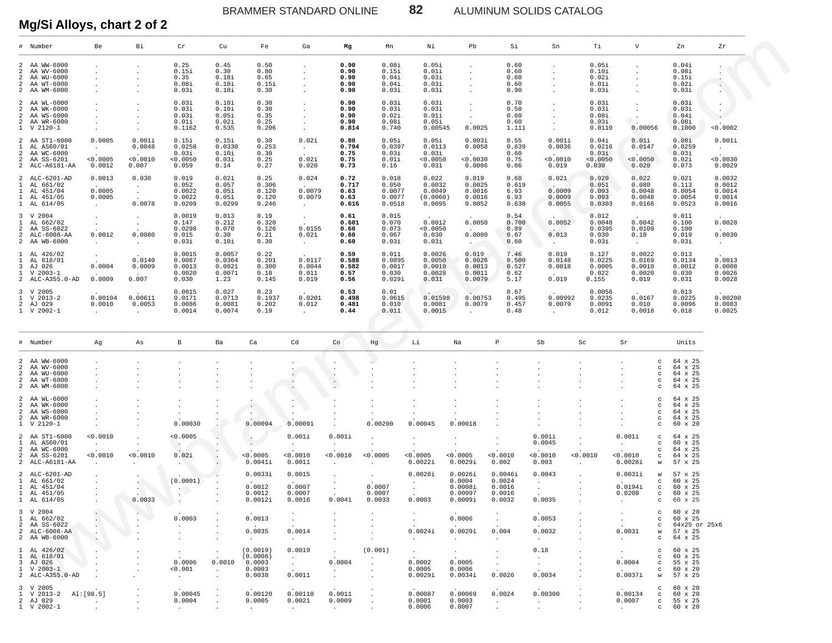BRAMMER STANDARD ONLINE **82** ALUMINUM SOLIDS CATALOG

| Mg/Si Alloys, chart 2 of 2                                                                                                                                                                           |                                                                  |                                       |                                                         |                                              |                                                    |                                      |                                        |                                               |                                                 |                                                    |                                                 |                                       |                                             |                                                 |                                                                                     |                                                     |                                                |
|------------------------------------------------------------------------------------------------------------------------------------------------------------------------------------------------------|------------------------------------------------------------------|---------------------------------------|---------------------------------------------------------|----------------------------------------------|----------------------------------------------------|--------------------------------------|----------------------------------------|-----------------------------------------------|-------------------------------------------------|----------------------------------------------------|-------------------------------------------------|---------------------------------------|---------------------------------------------|-------------------------------------------------|-------------------------------------------------------------------------------------|-----------------------------------------------------|------------------------------------------------|
| $\#$ Number                                                                                                                                                                                          | Be                                                               | Вi                                    | $\operatorname{\sf Cr}$                                 | Cu                                           | Fe                                                 | Ga                                   | Mg                                     | Mn                                            | Νi                                              | Pb                                                 | Si                                              | Sn                                    | Тi                                          | $\boldsymbol{\mathrm{V}}$                       | Zn                                                                                  |                                                     | Zr                                             |
| 2 AA WW-6000<br>AA WV-6000<br>2<br>AA WU-6000<br>AA WT-6000<br>2<br>2<br>2 AA WM-6000                                                                                                                |                                                                  |                                       | 0.25<br>0.15i<br>0.35<br>0.08i<br>0.03i                 | 0.45<br>0.30<br>0.18i<br>0.10i<br>0.10i      | 0.50<br>0.80<br>0.65<br>0.15i<br>0.30              |                                      | 0.90<br>0.90<br>0.90<br>0.90<br>0.90   | 0.08i<br>0.15i<br>0.04i<br>0.04i<br>0.03i     | 0.05i<br>0.01i<br>0.03i<br>0.03i<br>0.03i       |                                                    | 0.60<br>0.60<br>0.60<br>0.60<br>0.90            |                                       | 0.05i<br>0.10i<br>0.02i<br>0.01i<br>0.03i   |                                                 | 0.04i<br>0.08i<br>0.15i<br>0.02i<br>0.03i                                           | $\bullet$                                           | $\ddot{\phantom{0}}$                           |
| 2 AA WL-6000<br>AA WK-6000<br>2<br>AA WS-6000<br>2<br>AA WR-6000<br>$\overline{a}$<br>$1 \,$ V 2120-1                                                                                                |                                                                  |                                       | 0.03i<br>0.03i<br>0.03i<br>0.01i<br>0.1162              | 0.10i<br>0.10i<br>0.05i<br>0.02i<br>0.535    | 0.30<br>0.30<br>0.35<br>0.25<br>0.206              |                                      | 0.90<br>0.90<br>0.90<br>0.90<br>0.814  | 0.03i<br>0.03i<br>0.02i<br>0.08i<br>0.740     | 0.03i<br>0.03i<br>0.01i<br>0.05i<br>0.00545     | 0.0025                                             | 0.70<br>0.50<br>0.60<br>0.60<br>1.111           |                                       | 0.03i<br>0.03i<br>0.08i<br>0.03i<br>0.0110  | 0.00056                                         | 0.03i<br>0.03i<br>0.04i<br>0.08i                                                    | $\blacksquare$<br>$\bullet$<br>0.1000               | 0.0002                                         |
| 2 AA ST1-6000<br>AL AS60/01<br>$\mathbf{1}$<br>AA WC-6000<br>2<br>AA SS-6201<br>2<br>2 ALC-A6181-AA                                                                                                  | 0.0005<br>$\sim$<br>< 0.0005<br>0.0012                           | 0.001i<br>0.0048<br>< 0.0010<br>0.007 | 0.15i<br>0.0258<br>0.03i<br>0.0050<br>0.059             | 0.15i<br>0.0330<br>0.10i<br>0.03i<br>0.14    | 0.30<br>0.253<br>0.30<br>0.25<br>0.27              | 0.02i<br>$\sim$<br>0.02i<br>0.020    | 0.80<br>0.794<br>0.75<br>0.75<br>0.73  | 0.05i<br>0.0397<br>0.03i<br>0.01i<br>0.16     | 0.05i<br>0.0113<br>0.03i<br>0.0050<br>0.031     | 0.003i<br>0.0058<br>0.0030<br>0.0086               | 0.55<br>0.639<br>0.60<br>0.75<br>0.86           | 0.001i<br>0.0036<br>0.0010<br>0.019   | 0.04i<br>0.0216<br>0.03i<br>0.0050<br>0.030 | 0.01i<br>0.0147<br>< 0.0050<br>0.020            | 0.08i<br>0.03i<br>0.02i<br>0.073                                                    | 0.0259<br>$\sim$                                    | 0.001i<br>0.0030<br>0.0029                     |
| 2 ALC-6201-AD<br>AL 661/02<br>1<br>AL 451/04<br>1<br>AL 451/05<br>1<br>1 AL 614/05                                                                                                                   | 0.0013<br>0.0005<br>0.0005<br>$\sim$                             | 0.030<br>$\sim$<br>$\sim$<br>0.0078   | 0.019<br>0.052<br>0.0022<br>0.0022<br>0.0209            | 0.021<br>0.057<br>0.051<br>0.051<br>0.0299   | 0.25<br>0.306<br>0.120<br>0.120<br>0.246           | 0.024<br>0.0079<br>0.0079<br>$\sim$  | 0.72<br>0.717<br>0.63<br>0.63<br>0.616 | 0.018<br>0.050<br>0.0077<br>0.0077<br>0.0518  | 0.022<br>0.0032<br>0.0049<br>(0.0060)<br>0.0095 | 0.019<br>0.0025<br>0.0016<br>0.0016<br>0.0052      | 0.68<br>0.619<br>6.93<br>6.93<br>0.630          | 0.021<br>0.0009<br>0.0009<br>0.0055   | 0.020<br>0.051<br>0.093<br>0.093<br>0.0303  | 0.022<br>0.080<br>0.0048<br>0.0048<br>0.0166    | 0.021<br>0.113                                                                      | 0.0054<br>0.0054<br>0.0523                          | 0.0032<br>0.0012<br>0.0014<br>0.0014<br>0.0016 |
| 3 V 2004<br>AL 662/02<br>1<br>AA SS-6022<br>2<br>ALC-6008-AA<br>2<br>2 AA WB-6000                                                                                                                    | $\sim$<br>0.0012<br>$\cdot$                                      | $\blacksquare$<br>0.0080<br>$\cdot$   | 0.0019<br>0.147<br>0.0298<br>0.015<br>0.03i             | 0.013<br>0.212<br>0.070<br>0.30<br>0.10i     | 0.19<br>0.320<br>0.126<br>0.21<br>0.30             | $\sim$<br>0.0155<br>0.021<br>$\sim$  | 0.61<br>0.601<br>0.60<br>0.60<br>0.60  | $0.015$<br>$0.070$<br>0.073<br>0.067<br>0.03i | 0.0012<br>0.0050<br>0.030<br>0.03i              | 0.0050<br>0.0080<br>$\sim$ 100 $\mu$               | 0.54<br>0.700<br>0.89<br>0.67<br>0.60           | 0.0052<br>0.013<br>$\sim$             | 0.012<br>0.0048<br>0.0395<br>0.030<br>0.03i | 0.0042<br>0.0109<br>0.10<br>$\sim$              | 0.011<br>0.100<br>0.100<br>0.019<br>0.03i                                           |                                                     | 0.0028<br>0.0030<br>$\sim$ $-$                 |
| 1 AL 426/02<br>AL 618/01<br>1<br>AJ 026<br>3<br>$\begin{array}{ll} 1 & {\rm V} \ \ 2003\mbox{$\mbox{$-$}1$} \\ 2 & {\rm A}{\rm LC}\mbox{$\mbox{$-$}A355\mbox{$-$}0\mbox{$\mbox{$-$}AD$} \end{array}$ | $\cdot$<br>0.0004<br>0.0009                                      | 0.0140<br>0.0009<br>0.007             | 0.0015<br>0.0087<br>0.0013<br>0.0020<br>0.030           | 0.0057<br>0.0364<br>0.0021<br>0.0071<br>1.23 | 0.22<br>0.201<br>0.300<br>0.18<br>0.145            | 0.0117<br>0.0044<br>0.011<br>0.019   | 0.59<br>0.588<br>0.582<br>0.57<br>0.56 | 0.011<br>0.0895<br>0.0017<br>0.030<br>0.029i  | 0.0026<br>0.0050<br>0.0010<br>0.0028<br>0.031   | 0.019<br>0.0026<br>0.0013<br>0.0011<br>0.0079      | 7.46<br>0.500<br>0.527<br>0.62<br>5.17          | 0.019<br>0.0148<br>0.0018<br>0.019    | 0.127<br>0.0225<br>0.0005<br>0.022<br>0.155 | 0.0022<br>0.0169<br>0.0010<br>0.0020<br>0.019   | 0.031                                                                               | 0.013<br>0.0134<br>0.0012<br>0.030                  | 0.0013<br>0.0008<br>0.0026<br>0.0028           |
| 3 V 2005<br>$1 \quad V \quad 2013-2$<br>2 AJ 029<br>$1 \quad V \quad 2002 - 1$                                                                                                                       | 0.00104<br>0.0010<br>$\cdot$                                     | 0.00611<br>0.0053<br>$\cdot$          | 0.0015<br>0.0171<br>0.0086<br>0.0014                    | 0.027<br>0.0713<br>0.0081<br>0.0074          | 0.23<br>0.1937<br>0.202<br>0.19                    | 0.0201<br>0.012<br>$\sim$            | 0.53<br>0.498<br>0.481<br>0.44         | $0\,.\,01$<br>0.0615<br>0.010<br>0.011        | 0.01598<br>0.0081<br>0.0015                     | 0.00753<br>0.0079                                  | 0.67<br>0.495<br>0.457<br>0.48                  | 0.00992<br>0.0079<br>$\sim$           | 0.0056<br>0.0235<br>0.0091<br>0.012         | 0.0167<br>0.010<br>0.0018                       |                                                                                     | 0.013<br>0.0225<br>0.0096<br>0.018                  | 0.00200<br>0.0083<br>0.0025                    |
| # Number                                                                                                                                                                                             | Ag                                                               | As                                    | $_{\rm B}$                                              | Ba                                           | Ca                                                 | Cd                                   | Co                                     | Hg                                            | Li                                              | $_{\rm Na}$                                        | P                                               | Sb                                    | $\operatorname{Sc}$                         | Sr                                              |                                                                                     | Units                                               |                                                |
| 2 AA WW-6000<br>AA WV-6000<br>2<br>AA WU-6000<br>2<br>AA WT-6000<br>$\overline{a}$<br>2 AA WM-6000                                                                                                   |                                                                  |                                       |                                                         |                                              |                                                    |                                      | $\cdot$<br>$\cdot$<br>÷.               |                                               |                                                 |                                                    |                                                 |                                       |                                             |                                                 | c<br>c<br>$\mathtt{c}$<br>$_{\rm c}$<br>c                                           | 64 x 25<br>64 x 25<br>64 x 25<br>64 x 25<br>64 x 25 |                                                |
| 2 AA WL-6000<br>AA WK-6000<br>2<br>AA WS-6000<br>2<br>AA WR-6000<br>$\overline{a}$<br>$1 \,$ V 2120-1                                                                                                |                                                                  |                                       | 0.00030                                                 | $\cdot$                                      | $\cdot$<br>$\cdot$<br>0.00094                      | 0.00091                              |                                        | 0.00290                                       | 0.00045                                         | 0.00018                                            |                                                 |                                       |                                             |                                                 | c<br>c<br>c<br>$_{\rm c}$<br>$_{\rm c}$                                             | 64 x 25<br>64 x 25<br>64 x 25<br>64 x 25<br>60 x 20 |                                                |
| 2 AA ST1-6000<br>AL AS60/01<br>1<br>AA WC-6000<br>2<br>AA SS-6201<br>2<br>2 ALC-A6181-AA                                                                                                             | 0.0010<br>$\sim$<br>< 0.0010                                     | 0.0010                                | 0.0005<br>0.02i                                         |                                              | < 0.0005<br>0.0041i                                | 0.001i<br>< 0.0010<br>0.0011         | 0.001i<br>$\sim$<br>0.0010             | < 0.0005                                      | $\cdot$<br>< 0.0005<br>0.0022i                  | $\cdot$<br>< 0.0005<br>0.0029i                     | $\cdot$<br>< 0.0010<br>0.002                    | 0.001i<br>0.0045<br>< 0.0010<br>0.003 | $\blacksquare$<br>0.0010<br>$\cdot$         | 0.001i<br>< 0.0010<br>0.0028i                   | $\mathtt{c}$<br>$\mathtt{c}$<br>$\mathtt{C}$<br>$\mathbf C$<br>W                    | 64 x 25<br>60 x 25<br>64 x 25<br>64 x 25<br>57 x 25 |                                                |
| 2 ALC-6201-AD<br>1 AL 661/02<br>$1$ AL $451/04$<br>1 AL 451/05<br>1 AL 614/05                                                                                                                        |                                                                  | ÷.<br>0.0033                          | (0.0001)<br>- 12                                        | $\cdot$                                      | 0.0033i<br>0.0012<br>0.0012<br>0.0012i             | 0.0015<br>0.0007<br>0.0007<br>0.0016 | 0.0041                                 | 0.0007<br>0.0007<br>0.0033                    | 0.0028i<br>0.0003                               | 0.0026i<br>0.0004<br>0.0008i<br>0.00097<br>0.0009i | 0.0046i<br>0.0024<br>0.0016<br>0.0016<br>0.0032 | 0.0043<br>0.0035                      | $\bullet$                                   | 0.0031i<br>0.0194i<br>0.0208<br>$\sim$ $-$      | $\mathsf{W}$<br>$\mathtt{C}$<br>$_{\rm c}$<br>$\mathbf{C}$<br>$\mathbb{C}$          | 57 x 25<br>60 x 25<br>60 x 25<br>60 x 25<br>60 x 25 |                                                |
| 3 V 2004<br>1 AL 662/02<br>2 AA SS-6022<br>2 ALC-6008-AA<br>2 AA WB-6000                                                                                                                             | $\mathcal{L}_{\mathcal{A}}$<br>$\mathbf{H}$<br>$\sim$<br>$\cdot$ |                                       | 0.0003<br>$\sim$<br>$\overline{\phantom{a}}$<br>$\cdot$ | $\cdot$                                      | 0.0013<br>0.0035<br><b>Contract</b>                | $\cdot$<br>0.0014<br>$\sim$ $-$      |                                        |                                               | $\sim$<br>0.0024i<br>$\sim$ $\sim$              | 0.0006<br>0.0029i<br>$\sim 10^{-1}$                | $\sim$<br>0.004<br>$\sim$                       | 0.0053<br>0.0032<br>$\sim$ $-$        |                                             | $\cdot$<br>$\cdot$<br>0.0031<br>$\sim 10^{-11}$ | $c = 60 \times 20$<br>$c = 60 \times 25$<br>w 57 x 25<br>c $64 \times 25$           | c 64x25 or 25x6                                     |                                                |
| 1 AL 426/02<br>1 AL 618/01<br>3 AJ 026<br>$1 \quad V \quad 2003 - 1$<br>2 ALC-A355.0-AD                                                                                                              |                                                                  |                                       | $\cdot$<br>0.0006<br>< 0.001<br>$\sim$ $-$              | $\cdot$<br>0.0010<br>$\sim$<br>$\cdot$       | (0.0019)<br>(0.0006)<br>0.0003<br>0.0003<br>0.0038 | 0.0019<br>$\sim$<br>0.0011           | $\sim$<br>0.0004                       | (0.001)<br>$\blacksquare$                     | $\sim$<br>0.0002<br>0.0005<br>0.0029i           | $\sim$<br>0.0005<br>0.0006<br>0.0034i              | $\cdot$<br>$\cdot$<br>$\sim$<br>0.0026          | 0.18<br>$\sim$<br>$\sim$<br>0.0034    |                                             | $\sim$<br>0.0004<br>$\sim$ $\sim$<br>0.0037i    | $c = 60 \times 25$<br>$c = 60 \times 25$<br>$c$ 55 x 25<br>$c$ 60 x 20<br>w 57 x 25 |                                                     |                                                |
| 3 V 2005<br>1 V 2013-2 Al: [98.5]<br>2 AJ 029<br>1 V 2002-1                                                                                                                                          | $\sim$                                                           |                                       | 0.00045<br>0.0004<br><b>Contract</b>                    |                                              | 0.00120<br>0.0005<br><b>Contract Contract</b>      | 0.00110<br>0.0021<br>$\sim 10^{-11}$ | 0.0011<br>0.0009<br><b>CALL CO</b>     |                                               | 0.00087<br>0.0001<br>0.0006                     | 0.00069<br>0.0003<br>0.0007                        | 0.0024<br>$\sim$<br>$\cdot$                     | 0.00300<br>$\sim 10^{-11}$<br>$\cdot$ |                                             | 0.00134<br>0.0007<br><b>Contract</b>            | $c = 60 \times 20$<br>$c = 60 \times 20$<br>$c$ 55 x 25<br>$c = 60 \times 20$       |                                                     |                                                |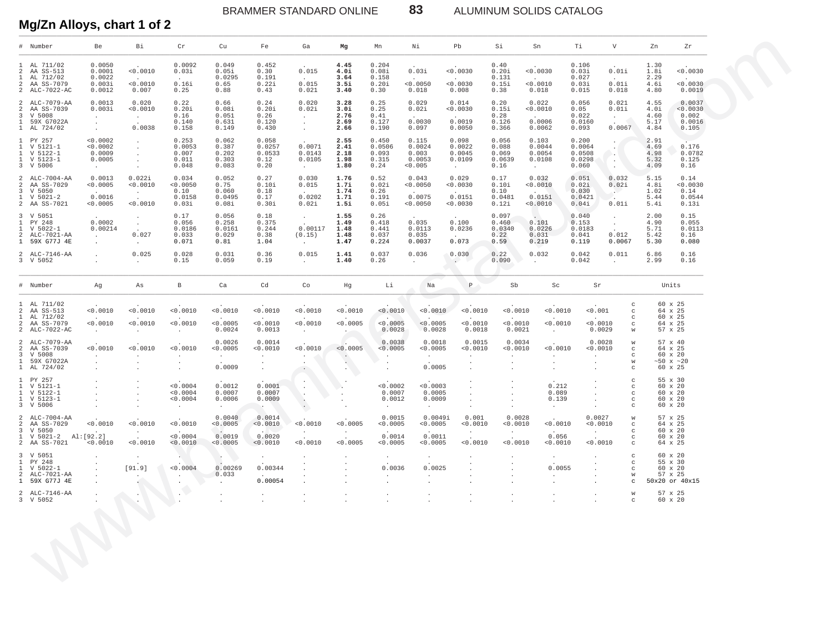ALUMINUM SOLIDS CATALOG

83

Mg/Zn Alloys, chart 1 of 2

|                                                | Number                                                                            | Be                                                         | Вi                                       | Cr                                           | Cu                                                 | Fe                                        | Ga                                              | Mg                                   | Mn                                        | Νi                                              | Pb                                                       | Si                                        | Sn                                                     | Тi                                           | V                                                                   | Zn                                   | Zr                                                                   |
|------------------------------------------------|-----------------------------------------------------------------------------------|------------------------------------------------------------|------------------------------------------|----------------------------------------------|----------------------------------------------------|-------------------------------------------|-------------------------------------------------|--------------------------------------|-------------------------------------------|-------------------------------------------------|----------------------------------------------------------|-------------------------------------------|--------------------------------------------------------|----------------------------------------------|---------------------------------------------------------------------|--------------------------------------|----------------------------------------------------------------------|
| $\mathbf{1}$                                   | 1 AL 711/02<br>2 AA SS-513<br>AL 712/02<br>2 AA SS-7079<br>2 ALC-7022-AC          | 0.0050<br>0.0001<br>0.0022<br>0.003i<br>0.0012             | 0.0010<br>< 0.0010<br>0.007              | 0.0092<br>0.03i<br>0.16i<br>0.25             | 0.049<br>0.05i<br>0.0295<br>0.65<br>0.88           | 0.452<br>0.30<br>0.191<br>0.22i<br>0.43   | 0.015<br>$\sim$<br>0.015<br>0.021               | 4.45<br>4.0i<br>3.64<br>3.5i<br>3.40 | 0.204<br>0.08i<br>0.158<br>0.20i<br>0.30  | $0.03i$<br>< 0.0050<br>0.018                    | 0.0030<br>< 0.0030<br>0.008                              | 0.40<br>0.20i<br>0.131<br>0.15i<br>0.38   | 0.0030<br>< 0.0010<br>0.018                            | 0.106<br>0.03i<br>0.027<br>0.03i<br>0.015    | 0.01i<br>$\cdot$<br>0.01i<br>0.018                                  | 1.30<br>1.8i<br>2.29<br>4.6i<br>4.80 | < 0.0030<br>0.0030<br>0.0019                                         |
| 2<br>3<br>$\mathbf{1}$                         | 2 ALC-7079-AA<br>AA SS-7039<br>V 5008<br>59X G7022A<br>1 AL 724/02                | 0.0013<br>0.003i                                           | 0.020<br>< 0.0010<br>$\sim$<br>0.0038    | 0.22<br>0.20i<br>0.16<br>0.140<br>0.158      | 0.66<br>0.08i<br>0.051<br>0.631<br>0.149           | 0.24<br>0.20i<br>0.26<br>0.120<br>0.430   | 0.020<br>0.02i<br>$\cdot$<br>$\cdot$            | 3.28<br>3.0i<br>2.76<br>2.69<br>2.66 | 0.25<br>0.25<br>0.41<br>0.127<br>0.190    | 0.029<br>0.02i<br>$\cdot$<br>0.0030<br>0.097    | 0.014<br>< 0.0030<br>$\sim$ $-$<br>0.0019<br>0.0050      | 0.20<br>0.15i<br>0.28<br>0.126<br>0.366   | 0.022<br>0.0010<br>$\sim$ $-$<br>0.0006<br>0.0062      | 0.056<br>0.05<br>0.022<br>0.0160<br>0.093    | 0.021<br>0.01i<br>0.0067                                            | 4.55<br>4.0i<br>4.60<br>5.17<br>4.84 | 0.0037<br>< 0.0030<br>0.002<br>0.0016<br>0.105                       |
| $\mathbf{1}$<br>$\mathbf{1}$<br>$\mathbf{1}$   | 1 PY 257<br>V 5121-1<br>V 5122-1<br>V 5123-1<br>3 V 5006                          | < 0.0002<br>< 0.0002<br>0.0009<br>0.0005<br>$\sim 10^{-1}$ | $\cdot$                                  | 0.253<br>0.0053<br>0.007<br>0.011<br>0.048   | 0.062<br>0.387<br>0.202<br>0.303<br>0.083          | 0.058<br>0.0257<br>0.0533<br>0.12<br>0.20 | 0.0071<br>0.0143<br>0.0105<br>$\sim$            | 2.55<br>2.41<br>2.18<br>1.98<br>1.80 | 0.450<br>0.0506<br>0.093<br>0.315<br>0.24 | 0.115<br>0.0024<br>0.003<br>0.0053<br>0.005     | 0.098<br>0.0022<br>0.0045<br>0.0109<br>$\sim$ $-$        | 0.056<br>0.088<br>0.069<br>0.0639<br>0.16 | 0.103<br>0.0044<br>0.0054<br>0.0108<br>$\sim 100$      | 0.200<br>0.0064<br>0.0508<br>0.0298<br>0.060 |                                                                     | 2.91<br>4.69<br>4.98<br>5.32<br>4.09 | 0.176<br>0.0782<br>0.125<br>0.16                                     |
| 2<br>3                                         | 2 ALC-7004-AA<br>AA SS-7029<br>V 5050<br>$1 \quad V \quad 5021-2$<br>2 AA SS-7021 | 0.0013<br>0.0005<br>0.0016<br>< 0.0005                     | 0.022i<br>< 0.0010<br>$\sim$<br>< 0.0010 | 0.034<br>< 0.0050<br>0.10<br>0.0158<br>0.03i | 0.052<br>0.75<br>0.060<br>0.0495<br>0.08i          | 0.27<br>0.10i<br>0.18<br>0.17<br>0.30i    | 0.030<br>0.015<br>$\sim$ $-$<br>0.0202<br>0.02i | 1.76<br>1.7i<br>1.74<br>1.71<br>1.5i | 0.52<br>0.02i<br>0.26<br>0.191<br>0.05i   | 0.043<br>< 0.0050<br>$\sim$<br>0.0075<br>0.0050 | 0.029<br>< 0.0030<br>$\sim 10^{-11}$<br>0.0151<br>0.0030 | 0.17<br>0.10i<br>0.10<br>0.0481<br>0.12i  | 0.032<br>0.0010<br><b>Contract</b><br>0.0151<br>0.0010 | 0.051<br>0.02i<br>0.030<br>0.0421<br>0.04i   | 0.032<br>0.02i<br>- 11<br>0.01i                                     | 5.15<br>4.8i<br>1.02<br>5.44<br>5.4i | 0.14<br>0.0030<br>0.14<br>0.0544<br>0.13i                            |
| $\mathbf{1}$<br>$\mathbf{1}$<br>$\overline{a}$ | 3 V 5051<br>PY 248<br>$V 5022 - 1$<br>ALC-7021-AA<br>1 59X G77J 4E                | 0.0002<br>0.00214<br>$\cdot$                               | $\sim$<br>0.027                          | 0.17<br>0.056<br>0.0186<br>0.033<br>0.071    | 0.056<br>0.258<br>0.0161<br>0.029<br>0.81          | 0.18<br>0.375<br>0.244<br>0.38<br>1.04    | $\sim$<br>0.00117<br>(0.15)<br>$\sim$           | 1.55<br>1.49<br>1.48<br>1.48<br>1.47 | 0.26<br>0.418<br>0.441<br>0.037<br>0.224  | 0.035<br>0.0113<br>0.035<br>0.0037              | 0.100<br>0.0236<br>$\sim$<br>0.073                       | 0.097<br>0.460<br>0.0340<br>0.22<br>0.59  | 0.101<br>0.0226<br>0.031<br>0.219                      | 0.040<br>0.153<br>0.0183<br>0.041<br>0.119   | 0.012<br>0.0067                                                     | 2.00<br>4.90<br>5.71<br>5.42<br>5.30 | 0.15<br>0.055<br>0.0113<br>0.16<br>0.080                             |
|                                                | 2 ALC-7146-AA<br>3 V 5052                                                         |                                                            | 0.025                                    | 0.028<br>0.15                                | 0.031<br>0.059                                     | 0.36<br>0.19                              | 0.015                                           | 1.41<br>1.40                         | 0.037<br>0.26                             | 0.036                                           | 0.030<br>$\cdot$ ) $\cdot$                               | 0.22<br>0.090                             | 0.032<br>$\ddot{\phantom{0}}$                          | 0.042<br>0.042                               | 0.011                                                               | 6.86<br>2.99                         | 0.16<br>0.16                                                         |
|                                                | # Number                                                                          | Ag                                                         | As                                       | В                                            | Ca                                                 | Cd                                        | Co                                              | Hg                                   | Li                                        | Na                                              | $\, {\mathbb P}$                                         | Sb                                        | Sc                                                     | Sr                                           |                                                                     |                                      | Units                                                                |
|                                                | 1 AL 711/02<br>2 AA SS-513<br>1 AL 712/02<br>2 AA SS-7079<br>2 ALC-7022-AC        | 0.0010<br>0.0010                                           | < 0.0010<br>< 0.0010                     | < 0.0010<br>< 0.0010                         | < 0.0010<br>< 0.0005<br>0.0024                     | < 0.0010<br>< 0.0010<br>0.0013            | < 0.0010<br>< 0.0010<br>$\cdot$                 | 0.0010<br>< 0.0005                   | < 0.0010<br>< 0.0005<br>0.0028            | 0.0010<br>< 0.0005<br>0.0028                    | < 0.0010<br>< 0.0010<br>0.0018                           | 0.0010<br>0.0010<br>0.0021                | 0.0010<br>0.0010<br>$\sim$                             | 0.001<br>< 0.0010<br>0.0029                  | $_{\rm C}$<br>$_{\rm C}$<br>$_{\rm C}$<br>$_{\rm C}$<br>W           |                                      | 60 x 25<br>64 x 25<br>60 x 25<br>64 x 25<br>57 x 25                  |
| 2<br>3<br>$\mathbf{1}$                         | 2 ALC-7079-AA<br>AA SS-7039<br>V 5008<br>59X G7022A<br>1 AL 724/02                | 0.0010                                                     | 0.0010                                   | < 0.0010                                     | 0.0026<br>< 0.0005<br>0.0009                       | 0.0014<br>0.0010                          | < 0.0010                                        | < 0.0005                             | 0.0038<br>< 0.0005                        | 0.0018<br>< 0.0005<br>0.0005                    | 0.0015<br>0.0010                                         | 0.0034<br>0.0010                          | 0.0010                                                 | 0.0028<br>0.0010                             | W<br>$_{\rm C}$<br>$_{\rm C}$<br>W<br>$\mathbf C$                   |                                      | $57~\rm{x}$ $40$<br>64 x 25<br>60 x 20<br>$~10 \times 20$<br>60 x 25 |
| $\mathbf{1}$<br>$\mathbf{1}$<br>$\mathbf{1}$   | 1 PY 257<br>V 5121-1<br>V 5122-1<br>V 5123-1<br>3 V 5006                          |                                                            |                                          | < 0.0004<br>< 0.0004<br>< 0.0004             | 0.0012<br>0.0007<br>0.0006                         | 0.0001<br>0.0007<br>0.0009                |                                                 |                                      | < 0.0002<br>0.0007<br>0.0012<br>$\sim$    | < 0.0003<br>0.0005<br>0.0009<br>$\sim$          |                                                          |                                           | 0.212<br>0.089<br>0.139<br>$\cdot$                     |                                              | $_{\rm C}$<br>$_{\rm C}$<br>$_{\rm C}$<br>$_{\rm C}$<br>$\mathbf C$ |                                      | 55 x 30<br>60 x 20<br>60 x 20<br>60 x 20<br>60 x 20                  |
| 2<br>3<br>$\mathbf{1}$                         | 2 ALC-7004-AA<br>AA SS-7029<br>V 5050<br>$V 5021-2$<br>2 AA SS-7021               | < 0.0010<br>Al: [92.2]<br>< 0.0010                         | < 0.0010<br>< 0.0010                     | < 0.0010<br>< 0.0004<br>< 0.0010             | 0.0040<br>< 0.0005<br>$\sim$<br>0.0019<br>< 0.0005 | 0.0014<br>< 0.0010<br>0.0020<br>< 0.0010  | < 0.0010<br>< 0.0010                            | < 0.0005<br>< 0.0005                 | 0.0015<br>0.0005<br>0.0014<br>< 0.0005    | 0.0049i<br>0.0005<br>0.0011<br>< 0.0005         | 0.001<br>0.0010<br>< 0.0010                              | 0.0028<br>0.0010<br>$\sim$<br>< 0.0010    | < 0.0010<br>0.056<br>0.0010                            | 0.0027<br>0.0010<br>< 0.0010                 | W<br>$_{\rm C}$<br>$_{\rm C}$<br>$_{\rm C}$<br>$_{\rm C}$           |                                      | 57 x 25<br>64 x 25<br>60 x 20<br>60 x 20<br>64 x 25                  |
| $\mathbf{1}$<br>$\mathbf{1}$<br>2              | 3 V 5051<br>PY 248<br>$V 5022 - 1$<br>ALC-7021-AA<br>1 59X G77J 4E                |                                                            | [91.9]                                   | < 0.0004                                     | 0.00269<br>0.033                                   | 0.00344<br>0.00054                        |                                                 |                                      | 0.0036                                    | 0.0025                                          |                                                          |                                           | 0.0055                                                 |                                              | $_{\rm C}$<br>$_{\rm C}$<br>$_{\rm C}$<br>W<br>C                    |                                      | 60 x 20<br>55 x 30<br>60 x 20<br>57 x 25<br>50x20 or 40x15           |
|                                                | 2 ALC-7146-AA<br>3 V 5052                                                         |                                                            |                                          |                                              |                                                    |                                           |                                                 |                                      |                                           |                                                 |                                                          |                                           |                                                        |                                              | W<br>$\mathbf C$                                                    |                                      | 57 x 25<br>60 x 20                                                   |
|                                                |                                                                                   |                                                            |                                          |                                              |                                                    |                                           |                                                 |                                      |                                           |                                                 |                                                          |                                           |                                                        |                                              |                                                                     |                                      |                                                                      |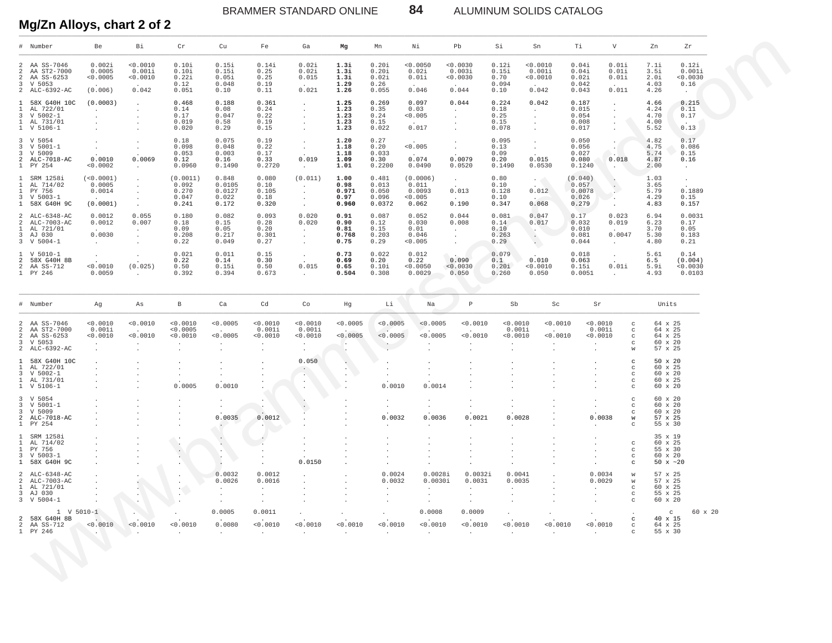ALUMINUM SOLIDS CATALOG

84

# Mg/Zn Alloys, chart 2 of 2

|                                                                                  | # Number                                                                    | <b>Be</b>                                             | Bi                                                      | Cr                                                      | $C_{11}$                                                     | $_{\rm Fe}$                                               | Ga                                                              | Mg                                     | Mn                                           | Νi                                                                   | Ph                                                                        | Si                                      | Sn                                                           | Τi                                                                            | $\overline{V}$                                                       | Zn                                                                | Zr                                              |
|----------------------------------------------------------------------------------|-----------------------------------------------------------------------------|-------------------------------------------------------|---------------------------------------------------------|---------------------------------------------------------|--------------------------------------------------------------|-----------------------------------------------------------|-----------------------------------------------------------------|----------------------------------------|----------------------------------------------|----------------------------------------------------------------------|---------------------------------------------------------------------------|-----------------------------------------|--------------------------------------------------------------|-------------------------------------------------------------------------------|----------------------------------------------------------------------|-------------------------------------------------------------------|-------------------------------------------------|
| 2<br>2<br>2<br>$\overline{3}$                                                    | AA SS-7046<br>AA ST2-7000<br>AA SS-6253<br>V 5053<br>2 ALC-6392-AC          | 0.002i<br>0.0005<br>< 0.0005<br>(0.006)               | < 0.0010<br>0.001i<br>0.0010<br>0.042                   | 0.10i<br>0.10i<br>0.22i<br>0.12<br>0.051                | 0.15i<br>0.15i<br>0.05i<br>0.048<br>0.10                     | 0.14i<br>0.25<br>0.25<br>0.19<br>0.11                     | 0.02i<br>0.02i<br>0.015<br>0.021                                | 1.3i<br>1.3i<br>1.3i<br>1.29<br>1.26   | 0.20i<br>0.20i<br>0.02i<br>0.26<br>0.055     | < 0.0050<br>0.02i<br>0.01i<br>0.046                                  | 0.0030<br>0.003i<br>0.0030<br>0.044                                       | 0.12i<br>0.15i<br>0.70<br>0.094<br>0.10 | < 0.0010<br>0.001i<br>0.0010<br>0.042                        | 0.04i<br>0.04i<br>0.02i<br>0.042<br>0.043                                     | 0.01i<br>0.01i<br>0.01i<br>0.011                                     | 7.1i<br>3.51<br>2.0i<br>4.03<br>4.26                              | 0.12i<br>0.001i<br>0.0030<br>0.16<br>$\cdot$    |
| $\mathbf{1}$<br>$\mathbf{1}$<br>3<br>1                                           | 58X G40H 10C<br>AL 722/01<br>$V 5002 - 1$<br>AL 731/01<br>1 V 5106-1        | (0.0003)<br>$\sim$<br>$\cdot$<br>$\ddot{\phantom{a}}$ | $\cdot$<br>$\cdot$<br>$\cdot$                           | 0.468<br>0.14<br>0.17<br>0.019<br>0.020                 | 0.188<br>0.08<br>0.047<br>0.58<br>0.29                       | 0.361<br>0.24<br>0.22<br>0.19<br>0.15                     | $\cdot$<br>$\cdot$<br>$\cdot$<br>$\cdot$<br>$\cdot$             | 1.25<br>1.23<br>1.23<br>1.23<br>1.23   | 0.269<br>0.35<br>0.24<br>0.15<br>0.022       | 0.097<br>0.03<br>< 0.005<br>0.017                                    | 0.044<br>$\cdot$<br>$\cdot$<br>$\cdot$                                    | 0.224<br>0.18<br>0.25<br>0.15<br>0.078  | 0.042<br>$\sim$<br>$\ddot{\phantom{a}}$<br>$\cdot$           | 0.187<br>$\cdot$<br>0.015<br>0.054<br>0.008<br>0.017                          | $\cdot$<br>$\ddot{\phantom{a}}$<br>$\cdot$                           | 4.66<br>4.24<br>4.70<br>4.00<br>5.52                              | 0.215<br>0.11<br>0.17<br>0.13                   |
| 3<br>3<br>3<br>2<br>$\mathbf{1}$                                                 | V 5054<br>$V 5001 - 1$<br>V 5009<br>ALC-7018-AC<br>PY 254                   | $\mathbf{r}$<br>$\cdot$<br>0.0010<br>< 0.0002         | $\cdot$<br>$\cdot$<br>0.0069<br>$\ddot{\phantom{a}}$    | 0.18<br>0.098<br>0.053<br>0.12<br>0.0960                | 0.075<br>0.048<br>0.003<br>0.16<br>0.1490                    | 0.19<br>0.22<br>0.17<br>0.33<br>0.2720                    | $\ddot{\phantom{1}}$<br>$\sim$<br>0.019<br>$\sim$               | 1.20<br>1.18<br>1.18<br>1.09<br>1.01   | 0.27<br>0.20<br>0.033<br>0.30<br>0.2200      | < 0.005<br>0.074<br>0.0490                                           | $\cdot$<br>$\ddot{\phantom{0}}$<br>0.0079<br>0.0520                       | 0.095<br>0.13<br>0.09<br>0.20<br>0.1490 | $\cdot$<br>$\sim$<br>0.015<br>0.0530                         | 0.050<br>$\cdot$<br>0.056<br>0.027<br>0.080<br>0.1240<br>$\ddot{\phantom{a}}$ | $\sim$<br>0.018                                                      | 4.82<br>4.75<br>5.74<br>4.87<br>2.00                              | 0.17<br>0.086<br>0.15<br>0.16<br>$\sim$         |
| $\mathbf{1}$<br>$\mathbf{1}$<br>$\mathbf{1}$                                     | SRM 1258i<br>AL 714/02<br>PY 756<br>3 V 5003-1<br>1 58X G40H 9C             | (<0.0001)<br>0.0005<br>0.0014<br>(0.0001)             | $\cdot$<br>$\cdot$<br>$\cdot$<br>$\cdot$<br>$\cdot$     | (0.0011)<br>0.092<br>0.270<br>0.047<br>0.241            | 0.848<br>0.0105<br>0.0127<br>0.022<br>0.172                  | 0.080<br>0.10<br>0.105<br>0.18<br>0.320                   | (0.011)<br>$\sim$<br>$\cdot$<br>$\ddot{\phantom{a}}$<br>$\cdot$ | 1.00<br>0.98<br>0.971<br>0.97<br>0.960 | 0.481<br>0.013<br>0.050<br>0.096<br>0.0372   | (0.0006)<br>0.011<br>0.0093<br>< 0.005<br>0.062                      | $\cdot$<br>0.013<br>$\sim$<br>0.190                                       | 0.80<br>0.10<br>0.128<br>0.10<br>0.347  | $\mathcal{F}(\mathcal{A})$<br>0.012<br>0.068                 | (0.040)<br>$\blacksquare$ .<br>0.057<br>0.0078<br>0.026<br>0.279              | $\cdot$<br>$\Delta$<br>۰.                                            | 1.03<br>3.65<br>5.79<br>4.29<br>4.83                              | $\ddot{\phantom{a}}$<br>0.1889<br>0.15<br>0.157 |
| $\mathfrak{D}$<br>2<br>$\mathbf{1}$<br>3                                         | $AT - C - 6348 - AC$<br>ALC-7003-AC<br>AL 721/01<br>AJ 030<br>3 V 5004-1    | 0.0012<br>0.0012<br>0.0030<br>$\sim$                  | 0.055<br>0.007<br>$\cdot$<br>$\cdot$<br>$\cdot$         | 0.180<br>0.18<br>0.09<br>0.208<br>0.22                  | 0.082<br>0.15<br>0.05<br>0.217<br>0.049                      | 0.093<br>0.28<br>0.20<br>0.301<br>0.27                    | 0.020<br>0.020<br>$\ddot{\phantom{a}}$<br>$\sim$<br>$\sim$      | 0.91<br>0.90<br>0.81<br>0.768<br>0.75  | 0.087<br>0.12<br>0.15<br>0.203<br>0.29       | 0 052<br>0.030<br>0.01<br>0.046<br>0.005                             | 0.044<br>0.008<br>$\cdot$<br>$\ddot{\phantom{a}}$<br>$\ddot{\phantom{a}}$ | 0.081<br>0.14<br>0.10<br>0.263<br>0.29  | 0.047<br>0.017<br>n e<br>$\cdot$<br>$\langle \cdots \rangle$ | 0.17<br>0.032<br>0.010<br>0.081<br>0.044<br>$\sim$                            | 0.023<br>0.019<br>0.0047                                             | 6.94<br>6.23<br>3.70<br>5.30<br>4.80                              | 0.0031<br>0.17<br>0.05<br>0.183<br>0.21         |
| $\mathbf{1}$<br>-2<br>2                                                          | $V 5010-1$<br>58X G40H 8B<br>AA SS-712<br>1 PY 246                          | $\sim$<br>< 0.0010<br>0.0059                          | $\mathbf{r}$<br>(0.025)                                 | 0.021<br>0.22<br>0.50<br>0.392                          | 0.011<br>0.14<br>0.15i<br>0.394                              | 0.15<br>0.30<br>0.50<br>0.673                             | $\cdot$<br>0.015<br>$\cdot$                                     | 0.73<br>0.69<br>0.65<br>0.504          | 0.022<br>0.20<br>0.10i<br>0.308              | 0.012<br>0.22<br>< 0.0050<br>0.0029                                  | 0.090<br>< 0.0030<br>0.050                                                | 0.079<br>0.1<br>0.20i<br>0.260          | 0.010<br>< 0.0010<br>0.050                                   | 0.018<br>0.063<br>0.15i<br>0.0051<br>$\cdot$                                  | $\cdot$<br>0.01i                                                     | 5.61<br>6.5<br>5.9i<br>4.93                                       | 0.14<br>(0.004)<br>0.0030<br>0.0103             |
| $\#$                                                                             | Number                                                                      | Ag                                                    | As                                                      | $\mathbf{B}$                                            | Ca                                                           | Cd                                                        | Co                                                              | Hg                                     | Li                                           | Na                                                                   | $\mathbb P$                                                               | Sb                                      | Sc                                                           | Sr                                                                            |                                                                      | Units                                                             |                                                 |
| 2<br>2<br>2<br>$\overline{3}$<br>2                                               | AA SS-7046<br>AA ST2-7000<br>AA SS-6253<br>V 5053<br>ALC-6392-AC            | < 0.0010<br>0.001i<br>< 0.0010<br>$\cdot$<br>$\sim$   | 0.0010<br>< 0.0010<br>$\ddot{\phantom{a}}$              | < 0.0010<br>< 0.0005<br>< 0.0010<br>$\cdot$<br>$\cdot$  | < 0.0005<br>< 0.0005<br>$\ddot{\phantom{a}}$<br>$\mathbf{r}$ | < 0.0010<br>0.001i<br>< 0.0010<br>$\cdot$<br>$\mathbf{r}$ | < 0.0010<br>0.0011<br>0.0010<br>$\cdot$<br>$\cdot$              | < 0.0005<br>< 0.0005<br>$\sim$         | < 0.0005<br>< 0.0005<br><b>Contract</b><br>÷ | < 0.0005<br>< 0.0005<br>$\ddot{\phantom{a}}$<br>$\ddot{\phantom{a}}$ | < 0.0010<br>< 0.0010                                                      | < 0.0010<br>0.001i<br>0.0010<br>$\cdot$ | < 0.0010<br>< 0.0010                                         | < 0.0010<br>0 001i<br>< 0.0010<br>$\cdot$                                     | $_{\rm C}$<br>$_{\rm c}$<br>$_{\rm C}$<br>$\mathbf C$<br>$\mathbf W$ | 64 x 25<br>64 x 25<br>64 x 25<br>$60 \times 20$<br>57 x 25        |                                                 |
| $\mathbf{1}$<br>$\mathbf{1}$<br>$\overline{3}$                                   | 58X G40H 10C<br>AL 722/01<br>$V 5002-1$<br>1 AL 731/01<br>1 V 5106-1        | $\cdot$                                               | $\ddot{\phantom{a}}$<br>$\ddot{\phantom{a}}$<br>$\cdot$ | $\ddot{\phantom{0}}$<br>$\cdot$<br>0.0005               | $\mathbf{r}$<br>$\cdot$<br>0.0010                            |                                                           | 0.050<br>$\cdot$<br>$\blacksquare$ .<br>$\cdot$                 | $\ddot{\phantom{a}}$<br>$\cdot$        | $\ddot{\phantom{a}}$<br>0.0010               | $\ddot{\phantom{a}}$<br>0.0014                                       |                                                                           | $\cdot$                                 | $\cdot$                                                      | $\cdot$<br>$\ddot{\phantom{a}}$<br>$\cdot$                                    | $_{\rm C}$<br>$\mathbf C$<br>$_{\rm c}$<br>$\rm ^c$<br>$_{\rm c}$    | 50 x 20<br>60 x 25<br>$60 \times 20$<br>60 x 25<br>$60 \times 20$ |                                                 |
| 3<br>3<br>$\overline{a}$                                                         | 3 V 5054<br>$V 5001 - 1$<br>V 5009<br>ALC-7018-AC<br>1 PY 254               | $\ddot{\phantom{a}}$                                  | $\cdot$                                                 | $\cdot$<br>$\ddot{\phantom{a}}$<br>$\ddot{\phantom{a}}$ | $\cdot$<br>0.0035<br>$\sim$                                  | $\lambda$<br>0.0012<br>$\cdot$                            | $\cdot$<br>$\ddot{\phantom{a}}$                                 |                                        | $\cdot$<br>0.0032<br>$\cdot$                 | $\cdot$<br>0.0036<br>$\ddot{\phantom{a}}$                            | $\cdot$<br>0.0021<br>$\sim$                                               | $\cdot$<br>0.0028<br>$\sim$             |                                                              | $\cdot$<br>0.0038<br>$\sim$                                                   | C<br>$\mathbf C$<br>$\mathbf C$<br>$\mathbf W$<br>$\mathbf C$        | $60 \times 20$<br>60 x 20<br>60 x 20<br>57 x 25<br>55 x 30        |                                                 |
| $\mathbf{1}$<br>$\overline{1}$<br>$\mathbf{1}$<br>$\overline{3}$<br>$\mathbf{1}$ | SRM 1258i<br>AL 714/02<br>PY 756<br>$V 5003 - 1$<br>58X G40H 9C             |                                                       | $\ddot{\phantom{a}}$                                    | $\blacksquare$ .<br>$\sim$                              | $\cdot$<br>¥.<br>$\ddot{\phantom{0}}$                        | $\cdot$                                                   | $\cdot$<br>$\cdot$<br>$\cdot$<br>0.0150                         | $\cdot$                                | $\cdot$<br>$\cdot$                           | $\cdot$<br>$\cdot$                                                   | $\cdot$                                                                   | $\cdot$<br>$\cdot$                      |                                                              | $\cdot$<br>$\ddot{\phantom{a}}$                                               | $_{\rm c}$<br>$_{\rm C}$<br>$\mathcal{C}$<br>$\mathbf C$             | 35 x 19<br>60 x 25<br>55 x 30<br>$60 \times 20$<br>50 $x \sim 20$ |                                                 |
| 2<br>3                                                                           | ALC-6348-AC<br>2 ALC-7003-AC<br>$1$ AL $721/01$<br>AJ 030<br>$3 \tV 5004-1$ |                                                       | $\Delta \tau$<br>$\cdot$                                | $\ddot{\phantom{a}}$<br>$\sim$<br>$\cdot$               | 0.0032<br>0.0026<br>$\sim$<br>$\cdot$                        | 0.0012<br>0.0016<br>$\cdot$<br>$\cdot$                    | $\ddot{\phantom{a}}$<br>$\cdot$<br>$\cdot$                      |                                        | 0.0024<br>0.0032<br>$\cdot$<br>$\cdot$       | 0.0028i<br>0.0030i<br>$\sim$<br>$\ddot{\phantom{1}}$                 | 0.0032i<br>0.0031<br>$\cdot$<br>$\cdot$                                   | 0.0041<br>0.0035<br>$\cdot$<br>$\cdot$  |                                                              | 0.0034<br>0.0029<br>$\bullet$<br>$\cdot$                                      | W<br>$\mathbf W$<br>$_{\rm c}$<br>$_{\rm C}$<br>$\rm ^{c}$           | 57 x 25<br>57 x 25<br>60 x 25<br>55 x 25<br>60 x 20               |                                                 |
|                                                                                  | $1 \, V 5010 - 1$<br>2 58X G40H 8B<br>2 AA SS-712<br>1 PY 246               | < 0.0010<br><b>Contract Contract Contract</b>         | < 0.0010<br>$\sim$ $\sim$                               | < 0.0010<br>$\cdot$                                     | 0.0005<br>0.0080<br>$\ddot{\phantom{a}}$                     | 0.0011<br>< 0.0010<br>$\ddot{\phantom{a}}$                | < 0.0010<br>$\ddot{\phantom{a}}$                                | < 0.0010                               | < 0.0010<br>$\ddot{\phantom{a}}$             | 0.0008<br>< 0.0010<br>$\ddot{\phantom{a}}$                           | 0.0009<br>< 0.0010<br>$\ddot{\phantom{a}}$                                | < 0.0010<br>$\cdot$                     | 0.0010                                                       | < 0.0010<br>$\cdot$                                                           | $_{\rm c}$<br>$\mathbf{C}$<br>$_{\rm C}$                             | $\mathcal{C}$<br>40 x 15<br>64 x 25<br>55 x 30                    | 60 x 20                                         |
|                                                                                  |                                                                             |                                                       |                                                         |                                                         |                                                              |                                                           |                                                                 |                                        |                                              |                                                                      |                                                                           |                                         |                                                              |                                                                               |                                                                      |                                                                   |                                                 |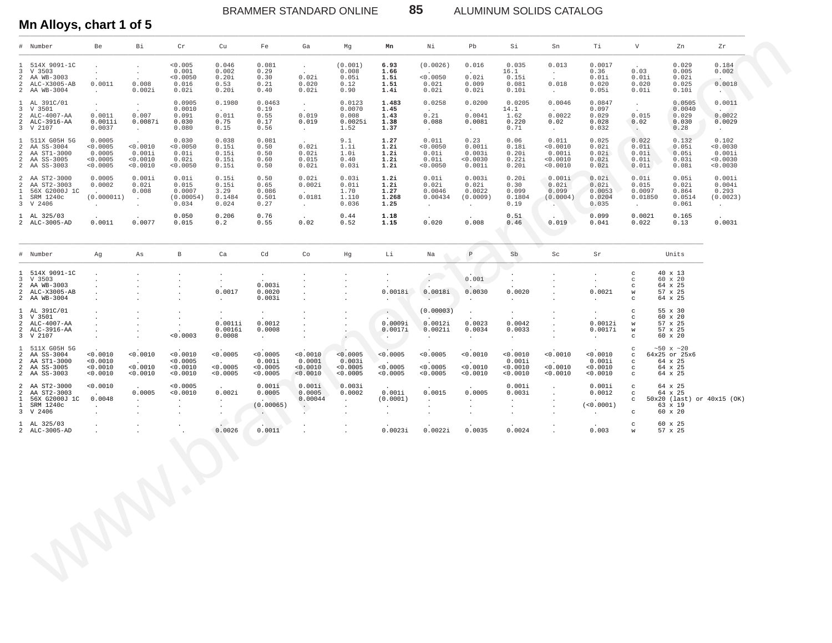BRAMMER STANDARD ONLINE 85 ALUMINUM SOLIDS CATALOG

#### **Mn Alloys, chart 1 of 5**

|                                | # Number                                                                               | Be                                                          | Bi                                                         | Cr                                              | Cu                                                                             | Fe                                                       | Ga                                                                     | Mg                                           | Mn                                                | Νi                                                            | Pb                                                               | Si                                                | Sn                                                             | Тi                                                 | V                                                                      | Zn                                                                     | Zr                                                                                 |
|--------------------------------|----------------------------------------------------------------------------------------|-------------------------------------------------------------|------------------------------------------------------------|-------------------------------------------------|--------------------------------------------------------------------------------|----------------------------------------------------------|------------------------------------------------------------------------|----------------------------------------------|---------------------------------------------------|---------------------------------------------------------------|------------------------------------------------------------------|---------------------------------------------------|----------------------------------------------------------------|----------------------------------------------------|------------------------------------------------------------------------|------------------------------------------------------------------------|------------------------------------------------------------------------------------|
|                                | 1 514X 9091-1C<br>3 V 3503<br>2 AA WB-3003                                             | $\cdot$                                                     | $\ddot{\phantom{a}}$<br>$\sim$                             | 0.005<br>0.001<br>< 0.0050                      | 0.046<br>0.002<br>0.20i                                                        | 0.081<br>0.29<br>0.30                                    | $\sim$<br>$\sim$<br>0.02i                                              | (0.001)<br>0.008<br>0.05i                    | 6.93<br>1.66<br>1.5i                              | (0.0026)<br>$\sim$<br>< 0.0050                                | 0.016<br>$\sim$<br>0.02i                                         | 0.035<br>16.1<br>0.15i                            | 0.013<br>$\sim$ $-$<br>$\sim$                                  | 0.0017<br>0.36<br>0.01i                            | $\sim$<br>0.03<br>0.01i                                                | 0.029<br>0.005<br>0.02i                                                | 0.184<br>0.002                                                                     |
|                                | 2 ALC-X3005-AB<br>2 AA WB-3004                                                         | 0.0011<br>$\sim$                                            | 0.008<br>0.002i                                            | 0.016<br>0.02i                                  | 0.53<br>0.20i                                                                  | 0.21<br>0.40                                             | 0.020<br>0.02i                                                         | 0.12<br>0.90                                 | 1.51<br>1.4i                                      | 0.021<br>0.02i                                                | 0.009<br>0.02i                                                   | 0.081<br>0.10i                                    | 0.018<br>$\sim 10^{-11}$                                       | 0.020<br>0.05i                                     | 0.020<br>0.01i                                                         | 0.025<br>0.10i                                                         | 0.0018<br><b>Contract</b>                                                          |
|                                | 1 AL 391C/01<br>3 V 3501<br>2 ALC-4007-AA<br>2 ALC-3916-AA<br>3 V 2107                 | $\cdot$<br>$\sim$<br>0.0011<br>0.0011i<br>0.0037            | $\sim$<br>$\sim$<br>0.007<br>$0.0087$ i<br><b>Service</b>  | 0.0905<br>0.0010<br>0.091<br>0.030<br>0.080     | 0.1980<br>$\Delta \sim 10^{-11}$<br>0.011<br>0.75<br>0.15                      | 0.0463<br>0.19<br>0.55<br>0.17<br>0.56                   | $\sim 10^{-1}$<br>$\sim 10^{-11}$<br>0.019<br>0.019<br>$\sim 10^{-11}$ | 0.0123<br>0.0070<br>0.008<br>0.0025i<br>1.52 | 1.483<br>1.45<br>1.43<br>1.38<br>1.37             | 0.0258<br>$\sim 10^{-11}$<br>0.21<br>0.088<br>$\sim 10^{-11}$ | 0.0200<br>$\sim 10^{-11}$<br>0.0041<br>0.0081<br>$\sim 10^{-11}$ | 0.0205<br>14.1<br>1.62<br>0.220<br>0.71           | 0.0046<br><b>Contract</b><br>0.0022<br>0.02<br><b>Contract</b> | 0.0847<br>0.097<br>0.029<br>0.028<br>0.032         | $\sim$ $-$<br>$\sim$<br>0.015<br>0.02<br>$\langle \cdot \rangle$       | 0.0505<br>0.0040<br>0.029<br>0.030<br>0.28                             | 0.0011<br><b>Contract Contract Contract</b><br>0.0022<br>0.0029<br>$\sim 10^{-11}$ |
| 2<br>$\overline{a}$            | 1 511X G05H 5G<br>AA SS-3004<br>AA ST1-3000<br>2 AA SS-3005<br>2 AA SS-3003            | 0.0005<br>< 0.0005<br>0.0005<br>< 0.0005<br>< 0.0005        | < 0.0010<br>0.001i<br>< 0.0010<br>< 0.0010                 | 0.030<br>< 0.0050<br>0.01i<br>0.02i<br>< 0.0050 | 0.038<br>0.15i<br>0.15i<br>0.15i<br>0.15i                                      | 0.081<br>0.50<br>0.50<br>0.60<br>0.50                    | 0.02i<br>0.02i<br>0.015<br>0.02i                                       | 9.1<br>1.1i<br>1.0i<br>0.40<br>0.03i         | 1.27<br>1.2i<br>1.2i<br>1.2i<br>1.2i              | 0.011<br>< 0.0050<br>0.01i<br>0.01i<br>< 0.0050               | 0.23<br>0.001i<br>0.003i<br>0.0030<br>0.001i                     | 0.06<br>0.18i<br>0.20i<br>0.22i<br>0.20i          | 0.011<br>< 0.0010<br>0.001i<br>0.0010<br>0.0010                | 0.025<br>0.02i<br>0.02i<br>0.02i<br>0.02i          | 0.022<br>0.01i<br>0.01i<br>0.01i<br>0.01i                              | 0.132<br>0.05i<br>0.05i<br>0.03i<br>0.08i                              | 0.102<br>0.0030<br>0.001i<br>0.0030<br>0.0030                                      |
| $\overline{a}$<br>$\mathbf{1}$ | 2 AA ST2-3000<br>AA ST2-3003<br>56X G2000J 1C<br>1 SRM 1240c<br>3 V 2406               | 0.0005<br>0.0002<br>$\sim$<br>(0.000011)<br>$\sim 10^{-11}$ | 0.001i<br>0.02i<br>0.008<br>$\sim$<br>$\ddot{\phantom{0}}$ | 0.01i<br>0.015<br>0.0007<br>(0.00054)<br>0.034  | 0.15i<br>0.15i<br>3.29<br>0.1484<br>0.024                                      | 0.50<br>0.65<br>0.086<br>0.501<br>0.27                   | 0.02i<br>0.002i<br>$\sim$<br>0.0181<br>$\sim$ $-$                      | 0.03i<br>0.01i<br>1.70<br>1.110<br>0.036     | 1.2i<br>1.2i<br>1.27<br>1.268<br>1.25             | 0.01i<br>0.02i<br>0.0046<br>0.00434<br>$\sim$ $-$             | 0.003i<br>0.02i<br>0.0022<br>(0.0009)<br>$\sim$                  | 0.20i<br>0.30<br>0.099<br>0.1804<br>0.19          | 0.0011<br>0.02i<br>0.099<br>(0.0004)<br><b>CONTRACTOR</b>      | 0.02i<br>0.02i<br>0.0053<br>0.0204<br>0.035        | 0.01i<br>0.015<br>0.0097<br>0.01850<br>$\sim 10^{-11}$                 | 0.05i<br>0.02i<br>0.864<br>0.0514<br>0.061                             | 0.001i<br>0.004i<br>0.293<br>(0.0023)<br>$\sim 10^{-11}$                           |
|                                | 1 AL 325/03<br>2 ALC-3005-AD                                                           | 0.0011                                                      | 0.0077                                                     | 0.050<br>0.015                                  | 0.206<br>0.2                                                                   | 0.76<br>0.55                                             | $\sim$<br>0.02                                                         | 0.44<br>0.52                                 | 1.18<br>1.15                                      | 0.020                                                         | 0.008                                                            | 0.51<br>0.46                                      | $\sim$<br>0.019                                                | 0.099<br>0.041                                     | 0.0021<br>0.022                                                        | 0.165<br>0.13                                                          | 0.0031                                                                             |
|                                | # Number                                                                               | Ag                                                          | As                                                         | B                                               | Ca                                                                             | Cd                                                       | Co                                                                     | Hg                                           | Li                                                | Na                                                            | $\,$ P                                                           | Sb                                                | Sc                                                             | Sr                                                 |                                                                        | Units                                                                  |                                                                                    |
|                                | 1 514X 9091-1C<br>3 V 3503<br>2 AA WB-3003<br>2 ALC-X3005-AB                           |                                                             |                                                            |                                                 | 0.0017                                                                         | $\cdot$<br>0.003i<br>0.0020                              |                                                                        |                                              | $\cdot$<br>0.0018i                                | 0.0018i                                                       | 0.001<br>0.0030                                                  | $\cdot$<br>$\cdot$<br>0.0020                      |                                                                | $\bullet$<br>$\blacksquare$<br>0.0021              | $_{\rm C}$<br>$_{\rm C}$<br>$_{\rm C}$<br>W                            | 40 x 13<br>60 x 20<br>64 x 25<br>57 x 25                               |                                                                                    |
|                                | 2 AA WB-3004<br>1 AL 391C/01<br>3 V 3501<br>2 ALC-4007-AA<br>2 ALC-3916-AA<br>3 V 2107 |                                                             |                                                            | < 0.0003                                        | $\cdot$<br>$\sim$<br>0.0011i<br>0.0016i<br>0.0008                              | 0.003i<br>$\sim$<br>0.0012<br>0.0008<br>$\sim 100$       |                                                                        | $\ddot{\phantom{0}}$                         | $\cdot$<br>0.0009i<br>0.0017i<br>$\cdot$          | $\sim$<br>(0.00003)<br>0.0012i<br>0.0021i<br>$\sim$           | $\sim$<br>$\ddot{\phantom{0}}$<br>0.0023<br>0.0034<br>$\sim$     | $\cdot$<br>$\sim$<br>0.0042<br>0.0033<br>$\sim$   | $\cdot$                                                        | $\cdot$<br>$\cdot$<br>0.0012i<br>0.0017i<br>$\sim$ | $_{\rm c}$<br>$_{\rm C}$<br>$_{\rm c}$<br>W<br>W<br>$_{\rm c}$         | 64 x 25<br>55 x 30<br>60 x 20<br>57 x 25<br>57 x 25<br>60 x 20         |                                                                                    |
|                                | 1 511X G05H 5G<br>2 AA SS-3004<br>2 AA ST1-3000<br>2 AA SS-3005<br>2 AA SS-3003        | < 0.0010<br>0.0010<br>0.0010<br>0.0010                      | < 0.0010<br>$\sim$ $\sim$<br>0.0010<br>0.0010              | < 0.0010<br>< 0.0005<br>< 0.0010<br>< 0.0010    | < 0.0005<br>$\sim 10^{-10}$<br>< 0.0005<br>< 0.0005                            | < 0.0005<br>0.001i<br>< 0.0005<br>< 0.0005               | < 0.0010<br>0.0001<br>< 0.0010<br>< 0.0010                             | < 0.0005<br>0.003i<br>< 0.0005<br>< 0.0005   | < 0.0005<br>$\sim$ $\sim$<br>< 0.0005<br>< 0.0005 | < 0.0005<br>$\sim$<br>< 0.0005<br>< 0.0005                    | < 0.0010<br>$\sim$<br>< 0.0010<br>0.0010                         | < 0.0010<br>0.001i<br>< 0.0010<br>< 0.0010        | 0.0010<br>$\sim$<br>< 0.0010<br>< 0.0010                       | < 0.0010<br>0.001i<br>0.0010<br>< 0.0010           | $_{\rm C}$<br>$_{\rm c}$<br>$\mathtt{C}$<br>$_{\rm C}$<br>$\mathtt{C}$ | ~10x ~120<br>64x25 or 25x6<br>64 x 25<br>64 x 25<br>64 x 25            |                                                                                    |
|                                | 2 AA ST2-3000<br>2 AA ST2-3003<br>1 56X G2000J 1C<br>1 SRM 1240c<br>3 V 2406           | 0.0010<br>$\sim$<br>0.0048<br>$\sim$<br>$\sim$              | 0.0005<br>$\ddot{\phantom{a}}$<br>$\cdot$                  | < 0.0005<br>< 0.0010<br>$\cdot$                 | 0.002i<br>$\ddot{\phantom{a}}$<br>$\ddot{\phantom{a}}$<br>$\ddot{\phantom{a}}$ | 0.001i<br>0.0005<br>$\sim$<br>(0.00065)<br>$\sim$ $\sim$ | 0.001i<br>0.0005<br>0.00044<br>$\langle \cdot \rangle$                 | 0.003i<br>0.0002<br>$\cdot$<br>$\cdot$       | 0.001i<br>(0.0001)<br>$\cdot$<br>$\cdot$          | 0.0015<br>$\sim$<br>$\bullet$<br>$\blacksquare$               | 0.0005<br>$\cdot$<br>$\cdot$<br>$\cdot$                          | 0.001i<br>0.003i<br>$\cdot$<br>$\cdot$<br>$\cdot$ | $\cdot$<br>$\cdot$                                             | 0.001i<br>0.0012<br>(<0.0001)<br>$\sim$            | $_{\rm C}$<br>$_{\rm C}$<br>$_{\rm C}$<br>$_{\rm C}$                   | 64 x 25<br>64 x 25<br>50x20 (last) or 40x15 (OK)<br>63 x 19<br>60 x 20 |                                                                                    |
|                                | 1 AL 325/03<br>2 ALC-3005-AD                                                           | $\cdot$                                                     |                                                            |                                                 | 0.0026                                                                         | 0.0011                                                   |                                                                        |                                              | 0.0023i                                           | 0.0022i                                                       | 0.0035                                                           | 0.0024                                            | $\cdot$                                                        | 0.003                                              | $_{\rm C}$<br>W                                                        | 60 x 25<br>57 x 25                                                     |                                                                                    |
|                                |                                                                                        |                                                             |                                                            | $\langle \rangle$                               |                                                                                |                                                          |                                                                        |                                              |                                                   |                                                               |                                                                  |                                                   |                                                                |                                                    |                                                                        |                                                                        |                                                                                    |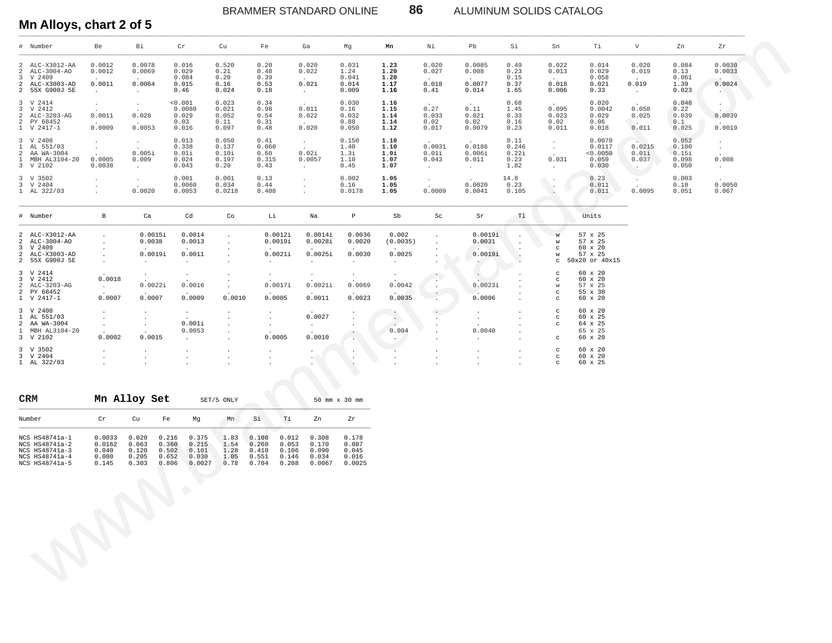BRAMMER STANDARD ONLINE **86** ALUMINUM SOLIDS CATALOG

### **Mn Alloys, chart 2 of 5**

| # Number                                                                                             | Be                                                            | Bi                                                          | Cr                                                                                      | Cu                                                  | Fe                                                                            | Ga                                                           | Mg                                         | Mn                                    | Νi                                           | Pb                                            | Si                                     | Sn                                                            | Тi                                                         | V                                                                 | Zn                                        | ${\tt Zr}$                               |
|------------------------------------------------------------------------------------------------------|---------------------------------------------------------------|-------------------------------------------------------------|-----------------------------------------------------------------------------------------|-----------------------------------------------------|-------------------------------------------------------------------------------|--------------------------------------------------------------|--------------------------------------------|---------------------------------------|----------------------------------------------|-----------------------------------------------|----------------------------------------|---------------------------------------------------------------|------------------------------------------------------------|-------------------------------------------------------------------|-------------------------------------------|------------------------------------------|
| 2 ALC-X3012-AA<br>$ALC-3004-AO$<br>2<br>V 2409<br>3<br>2 ALC-X3003-AD<br>2 55X G900J 5E              | 0.0012<br>0.0012<br>0.0011<br>$\sim$                          | 0.0078<br>0.0069<br>$\sim$<br>0.0064<br>$\sim$              | 0.016<br>0.029<br>0.084<br>0.015<br>0.46                                                | 0.520<br>0.21<br>0.20<br>0.16<br>0.024              | 0.20<br>0.48<br>0.39<br>0.53<br>0.18                                          | 0.020<br>0.022<br>$\sim$<br>0.021<br>$\sim$                  | 0.031<br>1.24<br>0.041<br>0.014<br>0.009   | 1.23<br>1.20<br>1.20<br>1.17<br>1.16  | 0.020<br>0.027<br>0.018<br>0.41              | 0.0085<br>0.008<br>0.0077<br>0.014            | 0.49<br>0.23<br>0.15<br>0.37<br>1.65   | 0.022<br>0.013<br>$\overline{a}$<br>0.018<br>0.006            | 0.014<br>0.029<br>0.058<br>0.021<br>0.33                   | 0.020<br>0.019<br>$\sim$<br>0.019<br>$\sim$                       | 0.084<br>0.13<br>0.061<br>1.39<br>0.023   | 0.0030<br>0.0033<br>0.0024<br><b>AND</b> |
| 3 V 2414<br>$3 -$<br>V 2412<br>$\overline{a}$<br>ALC-3203-AG<br>PY 68452<br>2<br>1 V 2417-1          | $\sim$<br>$\sim$<br>0.0011<br>$\sim 10^{-11}$<br>0.0009       | $\sim$<br>$\ddot{\phantom{a}}$<br>0.028<br>$\sim$<br>0.0053 | $\frac{0.001}{0.0080}$<br>0.029<br>0.03<br>0.016                                        | 0.023<br>0.021<br>0.052<br>0.11<br>0.097            | 0.34<br>0.98<br>0.54<br>0.31<br>0.48                                          | 0.011<br>0.022<br>$\sim$<br>0.020                            | 0.030<br>0.16<br>0.032<br>0.88<br>0.050    | 1.16<br>1.15<br>1.14<br>1.14<br>1.12  | 0.27<br>0.033<br>0.02<br>0.017               | 0.11<br>0.021<br>0.02<br>0.0079               | 0.68<br>1.45<br>0.33<br>0.16<br>0.23   | 0.095<br>0.023<br>0.02<br>0.011                               | 0.020<br>0.0042<br>0.029<br>0.06<br>0.018                  | 0.058<br>0.025<br><b>Contract</b><br>0.011                        | 0.048<br>0.22<br>0.039<br>0.1<br>0.025    | $\cdot$<br>0.0039<br>0.0019              |
| 3 V 2408<br>$\mathbf{1}$<br>AL 551/03<br>$\overline{a}$<br>AA WA-3004<br>1 MBH AL3104-20<br>3 V 2102 | $\cdot$<br>$\sim$<br>$\ddot{\phantom{a}}$<br>0.0005<br>0.0038 | $\sim$<br>$\ddot{\phantom{0}}$<br>0.005i<br>0.009<br>$\sim$ | 0.013<br>0.338<br>0.01i<br>0.024<br>0.043                                               | 0.050<br>0.137<br>0.10i<br>0.197<br>0.20            | 0.41<br>0.060<br>0.60<br>0.315<br>0.43                                        | $\sim$<br>$\sim$<br>0.02i<br>0.0057<br>$\sim$                | 0.150<br>1.40<br>1.3i<br>1.10<br>0.45      | 1.10<br>1.10<br>1.0i<br>1.07<br>1.07  | 0.0031<br>0.01i<br>0.043<br>$\sim$           | 0.0186<br>0.006i<br>0.011<br>$\sim$           | 0.11<br>0.246<br>0.22i<br>0.23<br>1.82 | $\sim$<br>$\sim$<br>$\overline{a}$<br>0.031<br>$\sim$         | 0.0070<br>0.0117<br>0.0050<br>0.059<br>0.030               | 0.0215<br>0.01i<br>0.037<br>$\mathcal{A} \rightarrow \mathcal{A}$ | 0.052<br>0.100<br>0.15i<br>0.098<br>0.050 | $\cdot$<br>$\sim$<br>0.008<br>$\sim$     |
| 3 V 3502<br>3 V 2404<br>1 AL 322/03                                                                  | $\cdot$<br>$\cdot$<br>$\bullet$                               | $\sim$<br>$\ddot{\phantom{a}}$<br>0.0020                    | 0.001<br>0.0060<br>0.0053                                                               | 0.001<br>0.034<br>0.0218                            | 0.13<br>0.44<br>0.408                                                         | $\cdot$<br>$\ddot{\phantom{a}}$<br>$\cdot$                   | 0.002<br>0.16<br>0.0178                    | 1.05<br>1.05<br>1.05                  | $\sim$<br>$\sim$<br>0.0009                   | 0.0020<br>0.0041                              | 14.8<br>0.23<br>0.105                  | $\Delta$                                                      | 0.23<br>0.011<br>0.011                                     | $\sim$<br>0.0095                                                  | 0.003<br>0.10<br>0.051                    | 0.0050<br>0.067                          |
| # Number                                                                                             | $\, {\bf B}$                                                  | Ca                                                          | $_{\rm Cd}$                                                                             | Co                                                  | Li                                                                            | Na                                                           | $\, {\bf p}$                               | Sb                                    | Sc                                           | Sr                                            | T1                                     |                                                               | Units                                                      |                                                                   |                                           |                                          |
| 2 ALC-X3012-AA<br>$\overline{a}$<br>ALC-3004-AO<br>3 V 2409<br>2 ALC-X3003-AD<br>2 55X G900J 5E      | $\cdot$<br>$\cdot$<br>$\cdot$<br>$\sim$                       | 0.0015i<br>0.0038<br>0.0019i<br>$\sim$                      | 0.0014<br>0.0013<br>0.0011<br>$\sim$                                                    | $\cdot$<br>$\cdot$<br>$\cdot$<br>$\cdot$            | 0.0012i<br>0.0019i<br>0.0021i<br>$\sim$                                       | 0.0014i<br>0.0028i<br>$\overline{a}$<br>0.0025i<br>$\bullet$ | 0.0036<br>0.0020<br>0.0030<br>$\sim$       | 0.002<br>(0.0035)<br>0.0025<br>$\sim$ | $\cdot$<br>$\cdot$                           | 0.0019i<br>0.0031<br>0.0019i<br>$\sim$ $\sim$ | Ò                                      | W<br>W<br>$_{\rm C}$<br>W<br>$\mathtt{C}$                     | 57 x 25<br>57 x 25<br>60 x 20<br>57 x 25<br>50x20 or 40x15 |                                                                   |                                           |                                          |
| 3 V 2414<br>3 V 2412<br>$\overline{a}$<br>ALC-3203-AG<br>$2 \frac{PV}{V} 68452$<br>1 V 2417-1        | 0.0018<br>$\sim$<br>0.0007                                    | $\sim$<br>0.0022i<br>0.0007                                 | $\cdot$<br>0.0016<br>0.0009                                                             | $\cdot$<br>$\cdot$<br>0.0010                        | $\cdot$<br>0.0017i<br>0.0005                                                  | $\cdot$<br>0.0021i<br>0.0011                                 | $\bullet$<br>0.0069<br>0.0023              | $\sim$<br>0.0042<br>0.0035            | $\cdot$<br>$\sim$<br>$\sim$<br>$\frac{1}{4}$ | $\dot{\cdot}$<br>0.0023i<br>0.0006            | $\cdot$                                | $_{\rm C}$<br>$_{\rm C}$<br>W<br>$\mathtt{C}$<br>$\mathtt{C}$ | 60 x 20<br>60 x 20<br>57 x 25<br>55 x 30<br>60 x 20        |                                                                   |                                           |                                          |
| 3 V 2408<br>AL 551/03<br>$\mathbf{1}$<br>2 AA WA-3004<br>1 MBH AL3104-20<br>3 V 2102                 | $\cdot$<br>$\cdot$<br>$\cdot$<br>0.0002                       | $\bullet$<br>$\bullet$<br>$\bullet$<br>0.0015               | $\sim$<br>0.001i<br>0.0053<br>$\sim$                                                    | $\cdot$<br>$\cdot$<br>$\cdot$<br>$\cdot$<br>$\cdot$ | $\cdot$<br>$\sim$<br>$\sim$<br>0.0005                                         | 0.0027<br>$\sim$<br>0.0010                                   | $\bullet$<br>$\cdot$<br>$\cdot$<br>$\sim$  | 0.004<br>$\cdot$                      | $\cdot$<br>$\cdot$<br>$\cdot$                | $\cdot$<br>0.0040<br>$\cdot$                  | $\sim$<br>$\bullet$                    | $_{\rm c}$<br>$\mathtt{C}$<br>$\mathtt{C}$<br>$\mathtt{C}$    | 60 x 20<br>60 x 25<br>64 x 25<br>65 x 25<br>60 x 20        |                                                                   |                                           |                                          |
| 3 V 3502<br>3 V 2404<br>1 AL 322/03                                                                  | $\cdot$<br>$\cdot$<br>$\cdot$                                 | $\cdot$<br>$\bullet$<br>$\ddot{\phantom{a}}$                | $\cdot$<br>$\cdot$<br>$\cdot$                                                           | $\bullet$<br>$\cdot$<br>$\cdot$                     | $\bullet$<br>$\cdot$<br>$\cdot$                                               | $\cdot$<br>$\bullet$ .<br>$\cdot$                            | $\sim$<br>$\cdot$                          | $\cdot$<br>$\sim$<br>$\cdot$          | $\cdot$<br>$\bullet$<br>$\cdot$              | $\cdot$<br>$\cdot$                            | $\cdot$                                | $_{\rm C}$<br>$\mathtt{C}$<br>$\mathtt{C}$                    | 60 x 20<br>60 x 20<br>60 x 25                              |                                                                   |                                           |                                          |
| CRM                                                                                                  |                                                               | Mn Alloy Set                                                |                                                                                         | SET/5 ONLY                                          |                                                                               |                                                              | 50 mm x 30 mm                              |                                       |                                              |                                               |                                        |                                                               |                                                            |                                                                   |                                           |                                          |
| Number                                                                                               | Cr                                                            | cu                                                          | Fe<br>Мg                                                                                | Mn                                                  | Si<br>Ti                                                                      | Zn                                                           | Zr                                         |                                       |                                              |                                               |                                        |                                                               |                                                            |                                                                   |                                           |                                          |
| NCS HS48741a-1<br>NCS HS48741a-2<br>NCS HS48741a-3<br>NCS HS48741a-4<br>NCS HS48741a-5               | 0.0033<br>0.0162<br>0.040<br>0.080<br>0.145                   | 0.020<br>0.063<br>0.120<br>0.205<br>0.303                   | 0.216<br>0.375<br>0.360<br>0.215<br>0.502<br>0.101<br>0.652<br>0.030<br>0.806<br>0.0027 | 1.83<br>1.54<br>1.28<br>1.05<br>0.78                | 0.108<br>0.260<br>0.053<br>0.410<br>0.106<br>0.551<br>0.146<br>0.704<br>0.208 | 0.012<br>0.308<br>0.170<br>0.090<br>0.034<br>0.0067          | 0.178<br>0.087<br>0.045<br>0.016<br>0.0025 |                                       |                                              |                                               |                                        |                                                               |                                                            |                                                                   |                                           |                                          |
|                                                                                                      | $\mathcal{L}$                                                 |                                                             | $\langle \rangle$                                                                       |                                                     |                                                                               |                                                              |                                            |                                       |                                              |                                               |                                        |                                                               |                                                            |                                                                   |                                           |                                          |

| <b>CRM</b>                                                                             |                                             | Mn Alloy Set                              |                                           |                                            | SET/5 ONLY                           |                                           |                                           |                                            | 50 mm x 30 mm                              |
|----------------------------------------------------------------------------------------|---------------------------------------------|-------------------------------------------|-------------------------------------------|--------------------------------------------|--------------------------------------|-------------------------------------------|-------------------------------------------|--------------------------------------------|--------------------------------------------|
| Number                                                                                 | Cr                                          | Cu                                        | Fe                                        | Mq                                         | Mn                                   | Si                                        | Тi                                        | Zn                                         | Zr                                         |
| NCS HS48741a-1<br>NCS HS48741a-2<br>NCS HS48741a-3<br>NCS HS48741a-4<br>NCS HS48741a-5 | 0.0033<br>0.0162<br>0.040<br>0.080<br>0.145 | 0.020<br>0.063<br>0.120<br>0.205<br>0.303 | 0.216<br>0.360<br>0.502<br>0.652<br>0.806 | 0.375<br>0.215<br>0.101<br>0.030<br>0.0027 | 1.83<br>1.54<br>1.28<br>1.05<br>0.78 | 0.108<br>0.260<br>0.410<br>0.551<br>0.704 | 0.012<br>0.053<br>0.106<br>0.146<br>0.208 | 0.308<br>0.170<br>0.090<br>0.034<br>0.0067 | 0.178<br>0.087<br>0.045<br>0.016<br>0.0025 |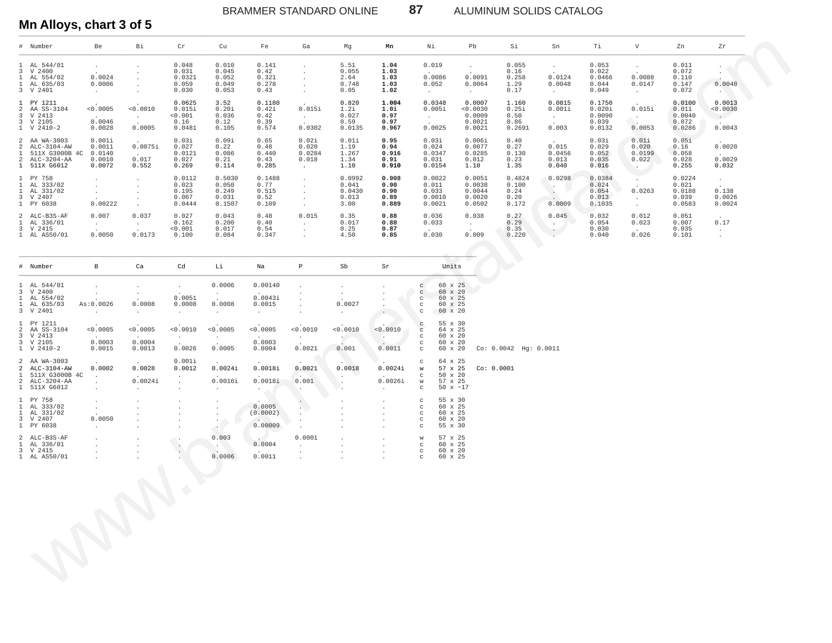ALUMINUM SOLIDS CATALOG

### Mn Alloys, chart 3 of 5

| # Number                                                                         | Be                                                                                      | Вi                                                                         | Cr                                            | Cu                                          | Fe                                       | Ga                                                                           | Mg                                         | Mn                                     | Νi                                             | Pb                                                           | Si                                       | Sn                                                            | Τi                                            | $\mathbf{V}$                                                                     | Zn                                           | Zr                                                   |
|----------------------------------------------------------------------------------|-----------------------------------------------------------------------------------------|----------------------------------------------------------------------------|-----------------------------------------------|---------------------------------------------|------------------------------------------|------------------------------------------------------------------------------|--------------------------------------------|----------------------------------------|------------------------------------------------|--------------------------------------------------------------|------------------------------------------|---------------------------------------------------------------|-----------------------------------------------|----------------------------------------------------------------------------------|----------------------------------------------|------------------------------------------------------|
| 1 AL 544/01<br>3 V 2400<br>1 AL 554/02<br>1 AL 635/03<br>3 V 2401                | $\cdot$<br>$\cdot$<br>0.0024<br>0.0006<br>$\sim$                                        | $\cdot$<br>$\cdot$<br>$\cdot$                                              | 0.048<br>0.031<br>0.0321<br>0.059<br>0.030    | 0.010<br>0.045<br>0.052<br>0.049<br>0.053   | 0.141<br>0.42<br>0.321<br>0.278<br>0.43  | $\mathbf{r}$<br>$\mathbf{r}$<br>$\mathbf{r}$<br>$\mathbf{r}$<br>$\mathbf{r}$ | 5.51<br>0.055<br>2.64<br>0.748<br>0.05     | 1.04<br>1.03<br>1.03<br>1.03<br>1.02   | 0.019<br>$\sim$<br>0.0086<br>0.052<br>$\sim$   | $\ddot{\phantom{0}}$<br>$\sim$<br>0.0091<br>0.0064<br>$\sim$ | 0.055<br>0.16<br>0.258<br>1.29<br>0.17   | $\ddot{\phantom{0}}$<br>$\cdot$<br>0.0124<br>0.0048<br>$\sim$ | 0.053<br>0.022<br>0.0466<br>0.044<br>0.049    | $\mathbf{r}$<br>0.0088<br>0.0147<br>$\sim$                                       | 0.011<br>0.072<br>0.110<br>0.147<br>0.072    | $\sim$<br>0.0048                                     |
| 1 PY 1211<br>2 AA SS-3104<br>3 V 2413<br>3 V 2105<br>$1 \quad V \quad 2410-2$    | $\sim$<br>< 0.0005<br><b>Service</b><br>0.0046<br>0.0028                                | $\cdot$<br>< 0.0010<br>$\cdot$<br>0.0005                                   | 0.0625<br>0.015i<br>< 0.001<br>0.16<br>0.0481 | 3.52<br>0.20i<br>0.036<br>0.12<br>0.105     | 0.1180<br>0.42i<br>0.42<br>0.39<br>0.574 | $\ddot{\phantom{0}}$<br>0.015i<br>$\sim$<br>$\sim$<br>0.0302                 | 0.820<br>1.2i<br>0.027<br>0.59<br>0.0135   | 1.004<br>1.0i<br>0.97<br>0.97<br>0.967 | 0.0348<br>0.005i<br>$\sim$<br>$\sim$<br>0.0025 | 0.0007<br>< 0.0030<br>0.0009<br>0.0021<br>0.0021             | 1.160<br>0.251<br>0.50<br>0.86<br>0.2691 | 0.0815<br>0.001i<br>$\cdot$<br>$\cdot$<br>0.003               | 0.1750<br>0.020i<br>0.0090<br>0.039<br>0.0132 | $\ddot{\phantom{0}}$<br>0.015i<br>0.0053                                         | 0.0100<br>0.01i<br>0.0040<br>0.072<br>0.0286 | 0.0013<br>< 0.0030<br>$\sim$ $-$<br>$\sim$<br>0.0043 |
| 2 AA WA-3003<br>2 ALC-3104-AW<br>511X G3000B 4C<br>2 ALC-3204-AA<br>1 511X G6012 | 0.001i<br>0.0011<br>0.0140<br>0.0010<br>0.0072                                          | $\sim$<br>0.0075i<br>$\sim$<br>0.017<br>0.552                              | 0.03i<br>0.027<br>0.0121<br>0.027<br>0.269    | 0.09i<br>0.22<br>0.086<br>0.21<br>0.114     | 0.65<br>0.48<br>0.440<br>0.43<br>0.285   | 0.02i<br>0.020<br>0.0284<br>0.018<br>$\sim$                                  | 0.01i<br>1.19<br>1.267<br>1.34<br>1.10     | 0.95<br>0.94<br>0.916<br>0.91<br>0.910 | 0.03i<br>0.024<br>0.0347<br>0.031<br>0.0154    | 0.006i<br>0.0077<br>0.0285<br>0.012<br>1.10                  | 0.40<br>0.27<br>0.130<br>0.23<br>1.35    | $\cdot$<br>0.015<br>0.0456<br>0.013<br>0.040                  | 0.03i<br>0.029<br>0.052<br>0.035<br>0.016     | 0.011<br>0.020<br>0.0199<br>0.022<br>$\sim$                                      | 0.05i<br>0.16<br>0.058<br>0.028<br>0.255     | $\sim$<br>0.0020<br>$\sim$<br>0.0029<br>0.032        |
| 1 PY 758<br>1 AL 333/02<br>1 AL 331/02<br>3 V 2407<br>1 PY 6038                  | $\ddot{\phantom{a}}$<br>$\mathbf{r}$<br>$\mathbf{r}$<br>$\ddot{\phantom{0}}$<br>0.00222 | $\cdot$<br>$\overline{\phantom{a}}$<br>$\overline{\phantom{a}}$<br>$\cdot$ | 0.0112<br>0.023<br>0.195<br>0.067<br>0.0444   | 0.5030<br>0.050<br>0.249<br>0.031<br>0.1507 | 0.1488<br>0.77<br>0.515<br>0.52<br>0.109 | $\sim$<br>$\mathbf{r}$<br>$\mathbf{r}$<br>$\mathbf{r}$<br>$\mathbf{r}$       | 0.0992<br>0.041<br>0.0430<br>0.013<br>3.00 | 0.908<br>0.90<br>0.90<br>0.89<br>0.889 | 0.0022<br>0.011<br>0.033<br>0.0010<br>0.0021   | 0.0051<br>0.0038<br>0.0044<br>0.0020<br>0.0502               | 0.4824<br>0.100<br>0.24<br>0.20<br>0.172 | 0.0298<br>$\mathcal{L}$<br>$\sim$<br>0.0009                   | 0.0384<br>0.024<br>0.054<br>0.013<br>0.1035   | $\ddot{\phantom{0}}$<br>$\mathbf{r}$<br>0.0263<br>$\ddot{\phantom{0}}$<br>$\sim$ | 0.0224<br>0.021<br>0.0188<br>0.039<br>0.0583 | $\sim$<br>$\sim$<br>0.138<br>0.0026<br>0.0024        |
| 2 ALC-B3S-AF<br>1 AL 336/01<br>3 V 2415<br>1 AL AS50/01                          | 0.007<br>$\sim$<br>$\sim$<br>0.0050                                                     | 0.037<br>$\sim$<br>$\cdot$<br>0.0173                                       | 0.027<br>0.162<br>< 0.001<br>0.100            | 0.043<br>0.200<br>0.017<br>0.084            | 0.48<br>0.40<br>0.54<br>0.347            | 0.015<br>$\ddot{\phantom{0}}$<br>$\mathbf{r}$                                | 0.35<br>0.017<br>0.25<br>4.50              | 0.88<br>0.88<br>0.87<br>0.85           | 0.036<br>0.033<br><b>Allen</b><br>0.030        | 0.038<br>$\cdot$<br>$\cdot$<br>0.009                         | 0.27<br>0.29<br>0.35<br>0.220            | 0.045                                                         | 0.032<br>0.054<br>0.030<br>0.040              | 0.012<br>0.023<br>$\sim$<br>0.026                                                | 0.051<br>0.007<br>0.035<br>0.101             | $\sim$<br>0.17<br>$\sim$<br>$\ddot{\phantom{0}}$     |
| # Number                                                                         | B                                                                                       | Ca                                                                         | Cd                                            | Li                                          | Na                                       | P                                                                            | Sb                                         | Sr                                     | Units                                          |                                                              |                                          |                                                               |                                               |                                                                                  |                                              |                                                      |

87

| # Number                                                                           | $\mathbf{B}$                                                                       | Ca                                                                                              | Cd                                                                                       | Li                                                                                  | Na                                                                                             | $\, {\bf p} \,$                                                              | Sb                                                                                      | Sr                                                                                           |                                               | Units                                                             |            |                           |
|------------------------------------------------------------------------------------|------------------------------------------------------------------------------------|-------------------------------------------------------------------------------------------------|------------------------------------------------------------------------------------------|-------------------------------------------------------------------------------------|------------------------------------------------------------------------------------------------|------------------------------------------------------------------------------|-----------------------------------------------------------------------------------------|----------------------------------------------------------------------------------------------|-----------------------------------------------|-------------------------------------------------------------------|------------|---------------------------|
| 1 AL 544/01<br>3 V 2400<br>1 AL 554/02<br>1 AL 635/03<br>3 V 2401                  | $\mathcal{L}^{\text{max}}$<br>$\sim$<br>As:0.0026<br>$\mathbf{z} = \mathbf{z}$ .   | $\ddot{\phantom{0}}$<br>$\sim$<br><b>Service</b><br>0.0008<br>$\Delta \sim 10^{-11}$            | $\sim$<br><b>Contract Contract</b><br>0.0051<br>0.0008<br><b>Contract</b>                | 0.0006<br>$\sim 10^{-11}$<br><b>Allen</b><br>0.0008<br>$\mathcal{L}^{\text{max}}$   | 0.00140<br><b>Contract Contract</b><br>0.0043i<br>0.0015<br><b>All Corporation</b>             | $\ddot{\phantom{0}}$                                                         | $\sim$<br>$\Delta \sim 100$<br>$\sim$ 100 $\pm$<br>0.0027<br>$\mathcal{L}^{\text{max}}$ |                                                                                              | $_{\rm C}$<br>C<br>C<br>C                     | 60 x 25<br>60 x 20<br>60 x 25<br>60 x 25<br>60 x 20               |            |                           |
| 1 PY 1211<br>2 AA SS-3104<br>3 V 2413<br>3 V 2105<br>$1 \quad V 2410-2$            | < 0.0005<br><b>Contractor</b><br>0.0003<br>0.0015                                  | < 0.0005<br><b>Service</b><br>0.0004<br>0.0013                                                  | $\sim$<br>< 0.0010<br><b>Carl Corporation</b><br>$\sim 10^{-10}$<br>0.0026               | < 0.0005<br>$\mathcal{L}^{\text{max}}$<br>$\mathcal{L}^{\text{max}}$<br>0.0005      | < 0.0005<br><b>Contract</b><br>0.0003<br>0.0004                                                | < 0.0010<br><b>Service</b><br><b>Contract</b><br>0.0021                      | < 0.0010<br>$\sim$<br>0.001                                                             | < 0.0010<br>$\sim$ $\sim$<br>$\mathbb{R}$<br>0.0011                                          | c<br>$\mathbf C$<br>C<br>c<br>$\mathbf{C}$    | 55 x 30<br>64 x 25<br>60 x 20<br>60 x 20<br>60 x 20               |            | $Co: 0.0042$ Hq: $0.0011$ |
| 2 AA WA-3003<br>2 ALC-3104-AW<br>1 511X G3000B 4C<br>2 ALC-3204-AA<br>1 511X G6012 | <b>Contractor</b><br>0.0002<br><b>Contract</b><br>$\mathbf{r}$<br>$\sim$ 100 $\pm$ | <b>Carl Corporation</b><br>0.0028<br><b>Carl Corporation</b><br>0.0024i<br><b>Allen Control</b> | 0.001i<br>0.0012<br>$\sim$<br>$\mathcal{L}^{\mathcal{L}}$<br>$\mathcal{L}_{\mathcal{A}}$ | <b>Carl Corporation</b><br>0.0024i<br><b>Contract Contract</b><br>0.0016i<br>$\sim$ | <b>Service</b><br>0.0018i<br><b>Carl Corporation</b><br>0.0018i<br>$\mathcal{C}_{\mathcal{A}}$ | $\mathcal{L}^{(1)}$<br>0.0021<br>$\sqrt{2}$<br>0.001                         | - A - N<br>0.0018<br>$\sim$ $\sim$<br>a contra                                          | 2. Contractor<br>0.0024i<br><b>Carl Corporation</b><br>0.0026i<br>$\mathcal{L}^{\text{max}}$ | c<br>W<br>C<br>W<br>C                         | 64 x 25<br>57 x 25<br>$50 \times 20$<br>57 x 25<br>50 $x \sim 17$ | Co: 0.0001 |                           |
| 1 PY 758<br>1 AL 333/02<br>1 AL 331/02<br>3 V 2407<br>1 PY 6038                    | $\ddot{\phantom{0}}$<br>$\sim$<br>$\sim$<br>0.0050<br>$\mathcal{L}^{\text{max}}$   | $\cdot$                                                                                         |                                                                                          |                                                                                     | $\sim$ 100 $\sim$<br>0.0005<br>(0.0002)<br>0.00009                                             | $\sim$                                                                       | $\ddot{\phantom{0}}$                                                                    | $\cdot$<br>$\ddot{\phantom{a}}$<br>$\mathbf{r}$                                              | C<br>c<br>c<br>$_{\rm C}$<br>C                | 55 x 30<br>60 x 25<br>60 x 25<br>60 x 20<br>55 x 30               |            |                           |
| 2 ALC-B3S-AF<br>1 AL 336/01<br>3 V 2415<br>1 AL AS50/01                            | $\mathbf{r}$<br>$\sim$<br>$\mathbf{r}$                                             |                                                                                                 |                                                                                          | 0.003<br>$\sim$ $\sim$ $\sim$<br>0.0006                                             | <b>Contract Contract Contract</b><br>0.0004<br><b>Carl Corporation</b><br>0.0011               | 0.0001<br>$\mathcal{L}^{\text{max}}$<br>$\ddot{\phantom{0}}$<br>$\mathbf{r}$ | ÷.<br>$\ddot{\phantom{a}}$<br>$\ddot{\phantom{a}}$<br>$\mathbf{r}$                      | $\ddot{\phantom{a}}$<br>$\cdot$<br>$\cdot$<br>$\sim$                                         | W<br>$_{\rm C}$<br>$_{\rm c}$<br>$\mathbf{C}$ | 57 x 25<br>60 x 25<br>60 x 20<br>60 x 25                          |            |                           |
|                                                                                    |                                                                                    |                                                                                                 |                                                                                          |                                                                                     |                                                                                                |                                                                              |                                                                                         |                                                                                              |                                               |                                                                   |            |                           |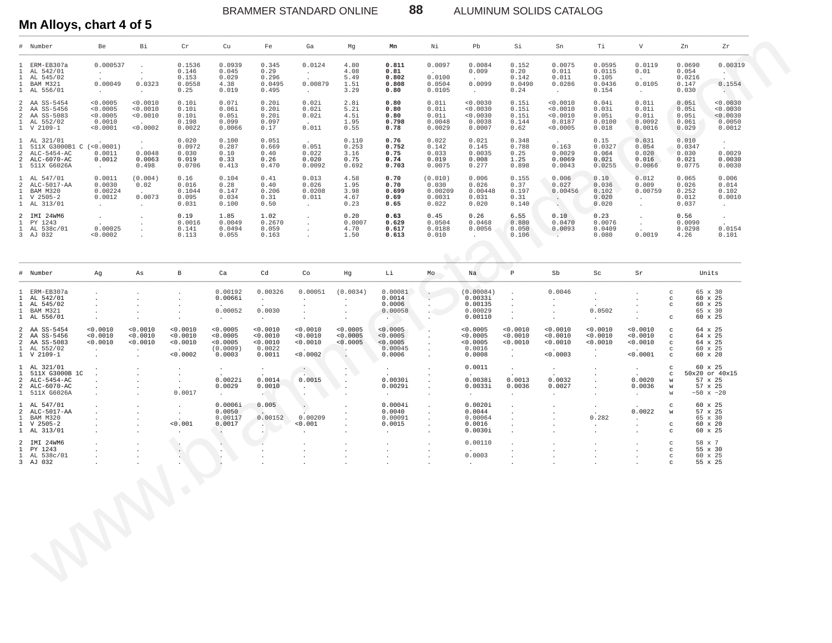BRAMMER STANDARD ONLINE **88** ALUMINUM SOLIDS CATALOG

#### **Mn Alloys, chart 4 of 5**

|              | # Number                                                                                   | Be                                                        | Bi                                                                   | Cr                                                              | Cu                                                     | Fe                                                       | Ga                                                                       | Mg                                                         | Mn                                                                 | Νi                                                               | Pb                                                                      | Si                                                                   | Sn                                                             | Тi                                                       | V                                                           |                                                                     | Zn<br>Zr                                                                                               |
|--------------|--------------------------------------------------------------------------------------------|-----------------------------------------------------------|----------------------------------------------------------------------|-----------------------------------------------------------------|--------------------------------------------------------|----------------------------------------------------------|--------------------------------------------------------------------------|------------------------------------------------------------|--------------------------------------------------------------------|------------------------------------------------------------------|-------------------------------------------------------------------------|----------------------------------------------------------------------|----------------------------------------------------------------|----------------------------------------------------------|-------------------------------------------------------------|---------------------------------------------------------------------|--------------------------------------------------------------------------------------------------------|
|              | 1 ERM-EB307a<br>1 AL 542/01<br>1 AL 545/02<br>1 BAM M321<br>1 AL 556/01                    | 0.000537<br><b>All Control</b><br>0.00049<br><b>Allen</b> | $\ddot{\phantom{0}}$<br>$\sim$<br>$\overline{a}$<br>0.0323<br>$\sim$ | 0.1536<br>0.146<br>0.153<br>0.0558<br>0.25                      | 0.0939<br>0.045<br>0.029<br>4.38<br>0.019              | 0.345<br>0.29<br>0.296<br>0.0495<br>0.495                | 0.0124<br><b>All Card</b><br>0.00879<br>$\sim 100$                       | 4.80<br>4.08<br>5.49<br>1.51<br>3.29                       | 0.811<br>0.81<br>0.802<br>0.808<br>0.80                            | 0.0097<br><b>Contract Contract</b><br>0.0100<br>0.0504<br>0.0105 | 0.0084<br>0.009<br><b>Carl Corporation</b><br>0.0099<br>$\sim 10^{-11}$ | 0.152<br>0.20<br>0.142<br>0.0490<br>0.24                             | 0.0075<br>0.011<br>0.011<br>0.0286<br>$\sim 10^{-11}$          | 0.0595<br>0.0115<br>0.105<br>0.0436<br>0.154             | 0.0119<br>0.01<br>$\sim$<br>0.0105<br>$\sim 10^{-11}$       |                                                                     | 0.0690<br>0.00319<br>0.054<br><b>AND</b><br>0.0216<br>0.147<br>0.1554<br>0.030                         |
| 2            | 2 AA SS-5454<br>AA SS-5456<br>2 AA SS-5083<br>1 AL 552/02<br>1 V 2109-1                    | < 0.0005<br>< 0.0005<br>< 0.0005<br>0.0010<br>< 0.0001    | < 0.0010<br>< 0.0010<br>< 0.0010<br>$\sim$ $\sim$<br>< 0.0002        | 0.10i<br>0.10i<br>0.10i<br>0.198<br>0.0022                      | 0.07i<br>0.06i<br>0.05i<br>0.099<br>0.0066             | 0.20i<br>0.20i<br>0.20i<br>0.097<br>0.17                 | 0.02i<br>0.02i<br>0.02i<br><b>Contract</b><br>0.011                      | 2.8i<br>5.2i<br>4.5i<br>1.95<br>0.55                       | 0.80<br>0.80<br>0.80<br>0.798<br>0.78                              | 0.01i<br>0.01i<br>0.01i<br>0.0048<br>0.0029                      | < 0.0030<br>< 0.0030<br>< 0.0030<br>0.0038<br>0.0007                    | 0.15i<br>0.15i<br>0.15i<br>0.144<br>0.62                             | < 0.0010<br>< 0.0010<br>< 0.0010<br>0.0187<br>< 0.0005         | 0.04i<br>0.03i<br>0.05i<br>0.0100<br>0.018               | 0.01i<br>0.01i<br>0.01i<br>0.0092<br>0.0016                 |                                                                     | 0.05i<br>< 0.0030<br>0.05i<br>< 0.0030<br>0.05i<br>< 0.0030<br>0.061<br>0.0050<br>0.029<br>0.0012      |
| $\mathbf{1}$ | 1 AL 321/01<br>511X G3000B1 C (<0.0001)<br>2 ALC-5454-AC<br>2 ALC-6070-AC<br>1 511X G6026A | 0.0011<br>0.0012<br>$\sim 10^{-11}$                       | $\sim$<br>$\sim 10^{-11}$<br>0.0048<br>0.0063<br>0.498               | 0.020<br>0.0972<br>0.030<br>0.019<br>0.0706                     | 0.100<br>0.287<br>0.10<br>0.33<br>0.413                | 0.051<br>0.669<br>0.40<br>0.26<br>0.470                  | 0.051<br>0.022<br>0.020<br>0.0092                                        | 0.110<br>0.253<br>3.16<br>0.75<br>0.692                    | 0.76<br>0.752<br>0.75<br>0.74<br>0.703                             | 0.022<br>0.142<br>0.033<br>0.019<br>0.0075                       | 0.021<br>0.145<br>0.0035<br>0.008<br>0.277                              | 0.348<br>0.788<br>0.25<br>1.25<br>0.898                              | 0.163<br>0.0029<br>0.0069<br>0.0043                            | 0.15<br>0.0327<br>0.064<br>0.021<br>0.0255               | 0.031<br>0.054<br>0.020<br>0.016<br>0.0066                  |                                                                     | 0.010<br>$\sim$<br>0.0347<br>$\sim 10^{-11}$<br>0.0029<br>0.030<br>0.021<br>0.0030<br>0.0775<br>0.0030 |
|              | 1 AL 547/01<br>2 ALC-5017-AA<br>1 BAM M320<br>$1 \quad V 2505 - 2$<br>1 AL 313/01          | 0.0011<br>0.0030<br>0.00224<br>0.0012<br>$\sim 100$       | (0.004)<br>0.02<br>$\sim$<br>0.0073<br>$\sim$                        | 0.16<br>0.016<br>0.1044<br>0.095<br>0.031                       | 0.104<br>0.28<br>0.147<br>0.034<br>0.100               | 0.41<br>0.40<br>0.206<br>0.31<br>0.50                    | 0.013<br>0.026<br>0.0208<br>0.011<br>$\sim 10^{-11}$                     | 4.58<br>1.95<br>3.98<br>4.67<br>0.23                       | 0.70<br>0.70<br>0.699<br>0.69<br>0.65                              | (0.010)<br>0.030<br>0.00209<br>0.0031<br>0.022                   | 0.006<br>0.026<br>0.00448<br>0.031<br>0.020                             | 0.155<br>0.37<br>0.197<br>0.31<br>0.140                              | 0.006<br>0.027<br>0.00456<br>$\sim 100$<br>$\sim$ $-$          | 0.10<br>0.036<br>0.102<br>0.020<br>0.020                 | 0.012<br>0.009<br>0.00759<br>$\sim$<br>$\ddot{\phantom{a}}$ |                                                                     | 0.065<br>0.006<br>0.026<br>0.014<br>0.252<br>0.102<br>0.012<br>0.0010<br>0.037<br>$\sim 10^{-11}$      |
|              | 2 IMI 24WM6<br>1 PY 1243<br>1 AL 538c/01<br>3 AJ 032                                       | $\sim 100$<br>$\sim$ 100 $\pm$<br>0.00025<br>< 0.0002     | $\cdot$<br>$\ddot{\phantom{a}}$<br>$\ddot{\phantom{a}}$<br>$\sim$    | 0.19<br>0.0016<br>0.141<br>0.113                                | 1.85<br>0.0049<br>0.0494<br>0.055                      | 1.02<br>0.2670<br>0.059<br>0.163                         | $\sim$<br>$\ddot{\phantom{a}}$<br>$\sim$<br>$\cdot$                      | 0.20<br>0.0007<br>4.70<br>1.50                             | 0.63<br>0.629<br>0.617<br>0.613                                    | 0.45<br>0.0504<br>0.0188<br>0.010                                | 0.26<br>0.0468<br>0.0056<br>$\sim$                                      | 6.55<br>0.880<br>0.050<br>0.106                                      | 0.10<br>0.0470<br>0.0093<br>$\sim$                             | 0.23<br>0.0076<br>0.0409<br>0.080                        | $\sim$<br>$\sim$<br>0.0019                                  |                                                                     | 0.56<br>$\ddot{\phantom{0}}$<br>0.0090<br>0.0298<br>0.0154<br>4.26<br>0.101                            |
|              | # Number                                                                                   | Ag                                                        | As                                                                   | $\mathbf B$                                                     | Ca                                                     | Cd                                                       | Co                                                                       | Hg                                                         | Li                                                                 | Mo                                                               | Na                                                                      | $\mathbb P$                                                          | Sb                                                             | Sc                                                       | Sr                                                          |                                                                     | Units                                                                                                  |
|              | 1 ERM-EB307a<br>1 AL 542/01<br>1 AL 545/02<br>1 BAM M321<br>1 AL 556/01                    |                                                           |                                                                      |                                                                 | 0.00192<br>0.0066i<br>0.00052<br>$\sim 100$            | 0.00326<br>$\sim$ 100 $\pm$<br>0.0030<br>$\sim 10^{-11}$ | 0.00051<br>$\sim$<br>$\cdot$<br>$\bullet$                                | (0.0034)<br>$\sim$<br>$\cdot$<br>$\cdot$<br>$\blacksquare$ | 0.00081<br>0.0014<br>0.0006<br>0.00058<br><b>Contract Contract</b> | $\sim$<br><b>Alberta Contractor</b><br>$\ddot{\phantom{0}}$      | (0.00084)<br>0.0033i<br>0.00135<br>0.00029<br>0.00110                   | $\ddot{\phantom{0}}$<br>$\ddot{\phantom{0}}$<br>$\ddot{\phantom{a}}$ | 0.0046<br>$\ddot{\phantom{a}}$<br>$\cdot$<br>$\cdot$<br>$\sim$ | $\cdot$<br>$\sim$<br>0.0502<br>$\sim$                    | $\ddot{\phantom{0}}$<br>$\mathbf{r}$                        | $_{\rm C}$<br>$_{\rm c}$<br>$_{\rm C}$<br>$\mathbf{C}$              | 65 x 30<br>60 x 25<br>60 x 25<br>65 x 30<br>60 x 25                                                    |
|              | 2 AA SS-5454<br>2 AA SS-5456<br>2 AA SS-5083<br>1 AL 552/02<br>1 V 2109-1                  | < 0.0010<br>0.0010<br>< 0.0010<br>$\sim$ $\sim$           | 0.0010<br>< 0.0010<br>< 0.0010<br>$\cdot$                            | < 0.0010<br>< 0.0010<br>< 0.0010<br><b>Contract</b><br>< 0.0002 | < 0.0005<br>< 0.0005<br>< 0.0005<br>(0.0009)<br>0.0003 | < 0.0010<br>< 0.0010<br>0.0010<br>0.0022<br>0.0011       | < 0.0010<br>< 0.0010<br>< 0.0010<br><b>Contract Contract</b><br>< 0.0002 | < 0.0005<br>< 0.0005<br>< 0.0005<br>- 3<br>$\cdot$         | < 0.0005<br>< 0.0005<br>< 0.0005<br>0.00045<br>0.0006              |                                                                  | < 0.0005<br>< 0.0005<br>< 0.0005<br>0.0016<br>0.0008                    | 0.0010<br>0.0010<br>< 0.0010<br>$\sim$ $-$<br>$\sim$                 | < 0.0010<br>< 0.0010<br>< 0.0010<br>$\sim$<br>< 0.0003         | < 0.0010<br>< 0.0010<br>< 0.0010<br>$\ddot{\phantom{0}}$ | < 0.0010<br>< 0.0010<br>< 0.0010<br>< 0.0001                | $_{\rm c}$<br>$\mathbf{C}$<br>$\circ$<br>$_{\rm C}$<br>$\mathbf{C}$ | 64 x 25<br>64 x 25<br>64 x 25<br>60 x 25<br>60 x 20                                                    |
|              | 1 AL 321/01<br>1 511X G3000B 1C<br>2 ALC-5454-AC<br>2 ALC-6070-AC<br>1 511X G6026A         |                                                           |                                                                      | $\bullet$<br>$\bullet$<br>0.0017                                | $\sim$<br>0.0022i<br>0.0029<br><b>All Card</b>         | 0.0014<br>0.0010<br>$\mathcal{L}^{\mathcal{N}}$ .        | 0.0015<br>$\ddot{\phantom{0}}$                                           | $\sim$                                                     | 0.0030i<br>0.0029i<br><b>Contract</b>                              | $\ddot{\phantom{a}}$                                             | 0.0011<br>0.0038i<br>0.0033i<br><b>Contract</b>                         | $\sim$<br>$\sim$<br>0.0013<br>0.0036<br>$\sim$                       | 0.0032<br>0.0027<br>$\cdot$                                    | $\cdot$<br>$\ddot{\phantom{0}}$<br>$\ddot{\phantom{0}}$  | 0.0020<br>0.0036<br>$\sim$                                  | $_{\rm c}$<br>$\mathbf{C}$<br>W<br>${\bf W}$<br>${\rm W}$           | 60 x 25<br>50x20 or 40x15<br>57 x 25<br>57 x 25<br>$~10x - 20$                                         |
|              | 1 AL 547/01<br>2 ALC-5017-AA<br>1 BAM M320<br>$1 \quad V 2505 - 2$<br>1 AL 313/01          |                                                           |                                                                      | $\cdot$<br>$\sim$<br>< 0.001                                    | 0.0006i<br>0.0050<br>0.00117<br>0.0017<br>$\sim$       | 0.005<br>and the state<br>0.00152<br>$\sim$              | 0.00209<br>< 0.001                                                       |                                                            | 0.0004i<br>0.0040<br>0.00091<br>0.0015<br>$\sim$                   |                                                                  | $0.0020$ i<br>0.0044<br>0.00064<br>0.0016<br>0.0030i                    | $\cdot$                                                              |                                                                | 0.282<br>$\cdot$                                         | 0.0022<br>$\sim$<br>$\ddot{\phantom{0}}$                    | $_{\rm c}$<br>W<br>$\mathbf{C}$<br>$_{\rm C}$                       | 60 x 25<br>57 x 25<br>65 x 30<br>60 x 20<br>60 x 25                                                    |
|              | 2 IMI 24WM6<br>1 PY 1243<br>1 AL 538c/01<br>3 AJ 032                                       | $\cdot$                                                   |                                                                      | $\cdot$                                                         |                                                        |                                                          |                                                                          |                                                            |                                                                    |                                                                  | 0.00110<br>0.0003<br>$\sim$                                             |                                                                      |                                                                |                                                          |                                                             | $_{\rm C}$<br>$\mathbf{C}$<br>$_{\rm C}$<br>$\mathbf{C}$            | 58 x 7<br>55 x 30<br>60 x 25<br>55 x 25                                                                |
|              |                                                                                            |                                                           |                                                                      | $\bigodot$                                                      |                                                        |                                                          |                                                                          |                                                            |                                                                    |                                                                  |                                                                         |                                                                      |                                                                |                                                          |                                                             |                                                                     |                                                                                                        |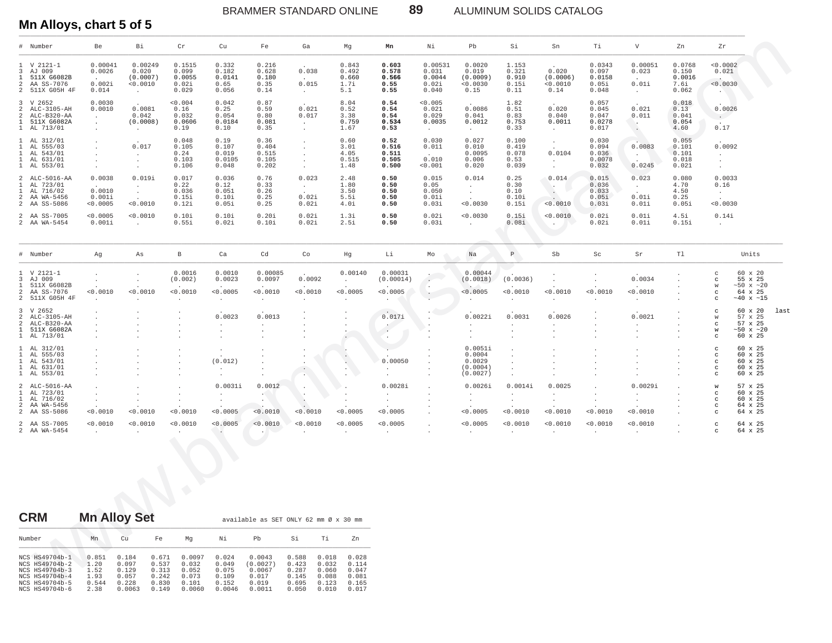ALUMINUM SOLIDS CATALOG

## Mn Alloys, chart 5 of 5

|                | # Number                                                                       | Be                                                                          | Bi                                                          | Cr                                          | Cu                                              | Fe                                       | Ga                                                                               | Mg                                                                   | Mn                                                     | Νi                                                     | Pb.                                                 | Si                                                     | Sn                                                                 | Τi                                                                               | $\mathbf V$                                                                                                                                                                                                                                                             | Zn                                                                | Zr                                                                    |                                                                              |      |
|----------------|--------------------------------------------------------------------------------|-----------------------------------------------------------------------------|-------------------------------------------------------------|---------------------------------------------|-------------------------------------------------|------------------------------------------|----------------------------------------------------------------------------------|----------------------------------------------------------------------|--------------------------------------------------------|--------------------------------------------------------|-----------------------------------------------------|--------------------------------------------------------|--------------------------------------------------------------------|----------------------------------------------------------------------------------|-------------------------------------------------------------------------------------------------------------------------------------------------------------------------------------------------------------------------------------------------------------------------|-------------------------------------------------------------------|-----------------------------------------------------------------------|------------------------------------------------------------------------------|------|
| $\overline{3}$ | $1 \,$ V 2121-1<br>AJ 009<br>1 511X G6082B<br>2 AA SS-7076<br>2 511X G05H 4F   | 0.00041<br>0.0026<br>$\Delta \sim 10^{-11}$<br>0.002i<br>0.014              | 0.00249<br>0.020<br>(0.0007)<br>< 0.0010<br>$\sim 10^{-11}$ | 0.1515<br>0.099<br>0.0055<br>0.02i<br>0.029 | 0.332<br>0.182<br>0.0141<br>0.65<br>0.056       | 0.216<br>0.628<br>0.180<br>0.35<br>0.14  | 0.038<br><b>Contract</b><br>0.015<br>$\sim 10^{-11}$                             | 0.843<br>0.492<br>0.660<br>1.7i<br>5.1                               | 0.603<br>0.578<br>0.566<br>0.55<br>0.55                | 0.00531<br>0.031<br>0.0044<br>0.02i<br>0.040           | 0.0020<br>0.019<br>(0.0009)<br>< 0.0030<br>0.15     | 1.153<br>0.321<br>0.910<br>0.15i<br>0.11               | 0.020<br>(0.0006)<br>< 0.0010<br>0.14                              | 0.0343<br>0.097<br>0.0158<br>0.05i<br>0.048                                      | 0.00051<br>0.023<br><b>Contract Contract</b><br>0.01i<br>$\sim 10^{-11}$                                                                                                                                                                                                | 0.0768<br>0.150<br>0.0016<br>7.6i<br>0.062                        | < 0.0002<br>0.021<br>< 0.0030<br><b>CONTRACTOR</b>                    |                                                                              |      |
|                | 3 V 2652<br>2 ALC-3105-AH<br>2 ALC-B320-AA<br>1 511X G6082A<br>1 AL 713/01     | 0.0030<br>0.0010<br>$\sim$<br>$\sim$<br>$\Box$                              | 0.0081<br>0.042<br>(0.0008)<br>$\sim 10^{-10}$              | < 0.004<br>0.16<br>0.032<br>0.0606<br>0.19  | 0.042<br>0.25<br>0.054<br>0.0184<br>0.10        | 0.87<br>0.59<br>0.80<br>0.081<br>0.35    | 0.021<br>0.017<br>$\sim 10^{-1}$<br>$\sim$                                       | 8.04<br>0.52<br>3.38<br>0.759<br>1.67                                | 0.54<br>0.54<br>0.54<br>0.534<br>0.53                  | < 0.005<br>0.021<br>0.029<br>0.0035<br>$\sim 10^{-11}$ | 0.0086<br>0.041<br>0.0012<br><b>Contract</b>        | 1.82<br>0.51<br>0.83<br>0.753<br>0.33                  | 0.020<br>0.040<br>0.0011<br><b>Contract</b>                        | 0.057<br>0.045<br>0.047<br>0.0278<br>0.017                                       | 0.021<br>0.011<br><b>Contract of the Contract of the Contract of the Contract of the Contract of the Contract of the Contract of the Contract of the Contract of the Contract of the Contract of the Contract of the Contract of the Contract of t</b><br>$\sim$ $\sim$ | 0.018<br>0.13<br>0.041<br>0.054<br>4.60                           | 0.0026<br>$\sim 10^{-1}$<br>0.17                                      |                                                                              |      |
|                | 1 AL 312/01<br>1 AL 555/03<br>1 AL 543/01<br>1 AL 631/01<br>1 AL 553/01        | $\cdot$<br>$\sim$<br>$\ddot{\phantom{a}}$<br>$\ddot{\phantom{a}}$<br>$\sim$ | 0.017<br>$\sim 10^{-11}$<br>$\sim$<br>$\sim$                | 0.048<br>0.105<br>0.24<br>0.103<br>0.106    | 0.19<br>0.107<br>0.019<br>0.0105<br>0.048       | 0.36<br>0.404<br>0.515<br>0.105<br>0.202 | $\sim$<br>$\sim$<br>$\ddot{\phantom{0}}$<br>$\cdot$<br>$\sim$                    | 0.60<br>3.01<br>4.05<br>0.515<br>1.48                                | 0.52<br>0.516<br>0.511<br>0.505<br>0.500               | 0.030<br>0.011<br>$\sim$<br>0.010<br>0.001             | 0.027<br>0.010<br>0.0095<br>0.006<br>0.020          | 0.100<br>0.419<br>0.078<br>0.53<br>0.039               | $\sim$<br>$\sim$<br>0.0104<br>$\sim 10^{-11}$<br>$\sim$            | 0.030<br>0.094<br>0.036<br>0.0078<br>0.032                                       | 0.0083<br><b>CALL</b><br>$\sim$<br>0.0245                                                                                                                                                                                                                               | 0.055<br>0.101<br>0.101<br>0.018<br>0.021                         | 0.0092<br>$\sim 10^{-10}$<br>$\sim$<br>$\sim$                         |                                                                              |      |
|                | 2 ALC-5016-AA<br>1 AL 723/01<br>1 AL 716/02<br>2 AA WA-5456<br>2 AA SS-5086    | 0.0038<br>0.0010<br>0.001i<br>< 0.0005                                      | 0.019i<br><b>Contract</b><br><b>Contract</b><br>< 0.0010    | 0.017<br>0.22<br>0.036<br>0.15i<br>0.12i    | 0.036<br>0.12<br>0.051<br>0.10i<br>0.05i        | 0.76<br>0.33<br>0.26<br>0.25<br>0.25     | 0.023<br>$\sim 10^{-11}$<br>0.02i<br>0.02i                                       | 2.48<br>1.80<br>3.50<br>5.5i<br>4.0i                                 | 0.50<br>0.50<br>0.50<br>0.50<br>0.50                   | 0.015<br>0.05<br>0.050<br>0.01i<br>0.03i               | 0.014<br>$\sim 10^{-11}$<br>$\sim 100$<br>< 0.0030  | 0.25<br>0.30<br>0.10<br>0.10i<br>0.15i                 | 0.014<br>$\mathcal{L}$<br><0.0010                                  | 0.015<br>0.036<br>0.033<br>0.05i<br>0.03i                                        | 0.023<br>$\sim 10^{-11}$<br>0.01i<br>0.01i                                                                                                                                                                                                                              | 0.080<br>4.70<br>4.50<br>0.25<br>0.05i                            | 0.0033<br>0.16<br><b>Contract</b><br>$< 0.0030$                       |                                                                              |      |
|                | 2 AA SS-7005<br>2 AA WA-5454                                                   | < 0.0005<br>0.001i                                                          | < 0.0010<br><b>Carl Corporation</b>                         | 0.10i<br>0.55i                              | 0.10i<br>0.02i                                  | 0.20i<br>0.10i                           | 0.02i<br>0.02i                                                                   | 1.3i<br>2.5i                                                         | 0.50<br>0.50                                           | 0.02i<br>0.03i                                         | < 0.0030<br><b>College</b>                          | 0.15i<br>0.08i                                         | < 0.0010<br>$\sim$ $\sim$                                          | 0.02i<br>0.02i                                                                   | 0.01i<br>0.01i                                                                                                                                                                                                                                                          | 4.5i<br>0.15i                                                     | 0.14i<br>$\sim$                                                       |                                                                              |      |
|                | # Number                                                                       | Ag                                                                          | As                                                          | $\mathbf{B}$                                | Ca                                              | Cd                                       | Co                                                                               | Hg                                                                   | Li                                                     | Mo                                                     | Na                                                  | $\, {\bf P} \,$                                        | Sb                                                                 | Sc                                                                               | Sr                                                                                                                                                                                                                                                                      | Tl                                                                |                                                                       | Units                                                                        |      |
|                | $1 \,$ V 2121-1<br>3 AJ 009<br>1 511X G6082B<br>2 AA SS-7076<br>2 511X G05H 4F | $\cdot$<br>$\sim$<br>< 0.0010<br>$\cdot$                                    | $\Delta$<br>$\sim$<br>< 0.0010<br>$\cdot$                   | 0.0016<br>(0.002)<br>< 0.0010<br>$\sim$     | 0.0010<br>0.0023<br>< 0.0005<br>$\sim 10^{-11}$ | 0.00085<br>0.0097<br>< 0.0010<br>$\sim$  | 0.0092<br>< 0.0010<br>$\sim$                                                     | 0.00140<br>$\sim$<br>< 0.0005<br>$\sim$                              | 0.00031<br>(0.00014)<br>< 0.0005<br>$\sim$             | ч.<br>$\mathcal{F}^{\mathcal{F}}$ .<br>$\sim$          | 0.00044<br>(0.0018)<br>< 0.0005<br>$\sim$           | (0.0036)<br>< 0.0010<br>$\ddot{\phantom{0}}$           | $\cdot$<br>$\sim$<br>< 0.0010<br>$\cdot$                           | $\sim$<br>< 0.0010<br>$\ddot{\phantom{a}}$                                       | 0.0034<br>< 0.0010<br>$\sim$                                                                                                                                                                                                                                            | $\cdot$<br>$\cdot$<br>$\cdot$<br>$\Delta$<br>$\ddot{\phantom{0}}$ | $_{\rm c}$<br>$_{\rm c}$<br>W<br>$_{\rm c}$<br>$\mathbf C$            | 60 x 20<br>55 x 25<br>$~50 \times ~20$<br>64 x 25<br>$\sim\!40$ x $\sim\!15$ |      |
|                | 3 V 2652<br>2 ALC-3105-AH<br>2 ALC-B320-AA<br>1 511X G6082A<br>1 AL 713/01     | $\ddot{\phantom{0}}$<br>$\ddot{\phantom{0}}$                                | $\cdot$                                                     | $\cdot$                                     | 0.0023<br>$\sim$<br>$\bullet$<br>$\cdot$        | 0.0013<br>$\cdot$<br>$\cdot$<br>$\cdot$  | $\cdot$<br>$\cdot$                                                               | $\sim$<br>$\cdot$                                                    | 0.017i<br>$\sim$ $-$<br>$\sim$                         | $\ddot{\phantom{a}}$                                   | 0.0022i<br>$\sim$<br>$\sim$<br>$\cdot$              | 0.0031<br>$\ddot{\phantom{0}}$<br>$\bullet$<br>$\cdot$ | 0.0026<br>$\cdot$<br>$\cdot$<br>$\cdot$                            | $\cdot$<br>$\cdot$<br>$\cdot$                                                    | 0.0021<br>$\cdot$<br>$\cdot$<br>$\cdot$                                                                                                                                                                                                                                 | $\cdot$<br>$\cdot$<br>$\cdot$<br>$\cdot$                          | $_{\rm c}$<br>W<br>$\mathbf C$<br>${\tt w}$<br>$_{\rm c}$             | 60 x 20<br>57 x 25<br>57 x 25<br>$~50 \times ~20$<br>60 x 25                 | last |
|                | 1 AL 312/01<br>1 AL 555/03<br>1 AL 543/01<br>1 AL 631/01<br>1 AL 553/01        |                                                                             |                                                             |                                             | $\Delta$<br>(0.012)<br>$\cdot$<br>$\bullet$     |                                          | $\bullet$<br>The Co                                                              | . .<br>$\langle \cdot \rangle$<br>$\epsilon$<br>$\ddot{\phantom{a}}$ | 0.00050<br>$\sim$<br>$\cdot$                           | $\cdot$<br>$\ddot{\phantom{1}}$                        | 0.0051i<br>0.0004<br>0.0029<br>(0.0004)<br>(0.0027) | $\cdot$<br>$\ddot{\phantom{a}}$                        |                                                                    |                                                                                  | $\cdot$                                                                                                                                                                                                                                                                 |                                                                   | $_{\rm c}$<br>$_{\rm c}$<br>$_{\rm c}$<br>$\mathbf{C}$<br>$\mathbf C$ | 60 x 25<br>60 x 25<br>60 x 25<br>60 x 25<br>60 x 25                          |      |
|                | 2 ALC-5016-AA<br>1 AL 723/01<br>1 AL 716/02<br>2 AA WA-5456<br>2 AA SS-5086    | $\ddot{\phantom{0}}$<br>$\sim$<br>0.0010                                    | $\cdot$<br>0.0010                                           | $\cdot$<br>$\cdot$<br>< 0.0010              | 0.0031i<br>$\sim$<br>$\sim$<br>< 0.0005         | 0.0012<br>$\sim$<br>$\sim$<br>0.0010     | $\ddot{\phantom{0}}$<br>$\ddot{\phantom{0}}$<br>$\ddot{\phantom{1}}$<br>< 0.0010 | $\ddot{\phantom{a}}$<br>$\cdot$<br>$\ddot{\phantom{0}}$<br>< 0.0005  | 0.0028i<br>$\ddot{\phantom{0}}$<br>$\cdot$<br>< 0.0005 | $\overline{\phantom{a}}$<br>$\cdot$<br>$\cdot$         | 0.0026i<br>$\sim$ $-$<br>$\cdot$<br>< 0.0005        | 0.0014i<br>$\sim$<br>$\ddot{\phantom{0}}$<br>< 0.0010  | 0.0025<br>$\ddot{\phantom{a}}$<br>$\ddot{\phantom{a}}$<br>< 0.0010 | $\ddot{\phantom{a}}$<br>$\ddot{\phantom{a}}$<br>$\ddot{\phantom{a}}$<br>< 0.0010 | 0.0029i<br>$\ddot{\phantom{0}}$<br>$\sim$<br>< 0.0010                                                                                                                                                                                                                   | $\cdot$<br>$\cdot$                                                | ${\tt W}$<br>$_{\rm c}$<br>$_{\rm c}$<br>$\mathbf C$<br>$\mathbf C$   | 57 x 25<br>60 x 25<br>60 x 25<br>64 x 25<br>64 x 25                          |      |
|                | 2 AA SS-7005<br>2 AA WA-5454                                                   | < 0.0010<br>$\sim$                                                          | < 0.0010<br>$\sim$                                          | < 0.0010<br>$\cdot$                         | < 0.0005<br>$\sim$                              | < 0.0010<br>$\cdot$ $\sim$               | 0.0010                                                                           | < 0.0005<br>$\sim$                                                   | < 0.0005<br>$\sim$                                     | $\cdot$                                                | < 0.0005<br>$\cdot$                                 | < 0.0010<br>$\sim$                                     | < 0.0010<br>$\cdot$                                                | < 0.0010<br>$\sim$                                                               | < 0.0010<br>$\sim$                                                                                                                                                                                                                                                      | $\cdot$                                                           | $_{\rm c}$<br>$\mathbf C$                                             | 64 x 25<br>64 x 25                                                           |      |
|                | <b>CDM</b>                                                                     | Mn Alloy Sot                                                                |                                                             | $\bigcirc$                                  |                                                 |                                          |                                                                                  |                                                                      |                                                        |                                                        |                                                     |                                                        |                                                                    |                                                                                  |                                                                                                                                                                                                                                                                         |                                                                   |                                                                       |                                                                              |      |

89

| <b>CRM</b>                                                                                               |                                                | <b>Mn Alloy Set</b>                                 |                                                    |                                                      |                                                     | available as SET ONLY 62 mm Ø x 30 mm                    |                                                    |                                                    |                                                    |
|----------------------------------------------------------------------------------------------------------|------------------------------------------------|-----------------------------------------------------|----------------------------------------------------|------------------------------------------------------|-----------------------------------------------------|----------------------------------------------------------|----------------------------------------------------|----------------------------------------------------|----------------------------------------------------|
| Number                                                                                                   | Mn                                             | Cu                                                  | Fe                                                 | Ma                                                   | Νi                                                  | Pb                                                       | Si                                                 | Τi                                                 | Zn                                                 |
| NCS HS49704b-1<br>NCS HS49704b-2<br>NCS HS49704b-3<br>NCS HS49704b-4<br>NCS HS49704b-5<br>NCS HS49704b-6 | 0.851<br>1.20<br>1.52<br>1.93<br>0.544<br>2.38 | 0.184<br>0.097<br>0.129<br>0.057<br>0.228<br>0.0063 | 0.671<br>0.537<br>0.313<br>0.242<br>0.830<br>0.149 | 0.0097<br>0.032<br>0.052<br>0.073<br>0.101<br>0.0060 | 0.024<br>0.049<br>0.075<br>0.109<br>0.152<br>0.0046 | 0.0043<br>(0.0027)<br>0.0067<br>0.017<br>0.019<br>0.0011 | 0.588<br>0.423<br>0.287<br>0.145<br>0.695<br>0.050 | 0.018<br>0.032<br>0.060<br>0.088<br>0.123<br>0.010 | 0.028<br>0.114<br>0.047<br>0.081<br>0.165<br>0.017 |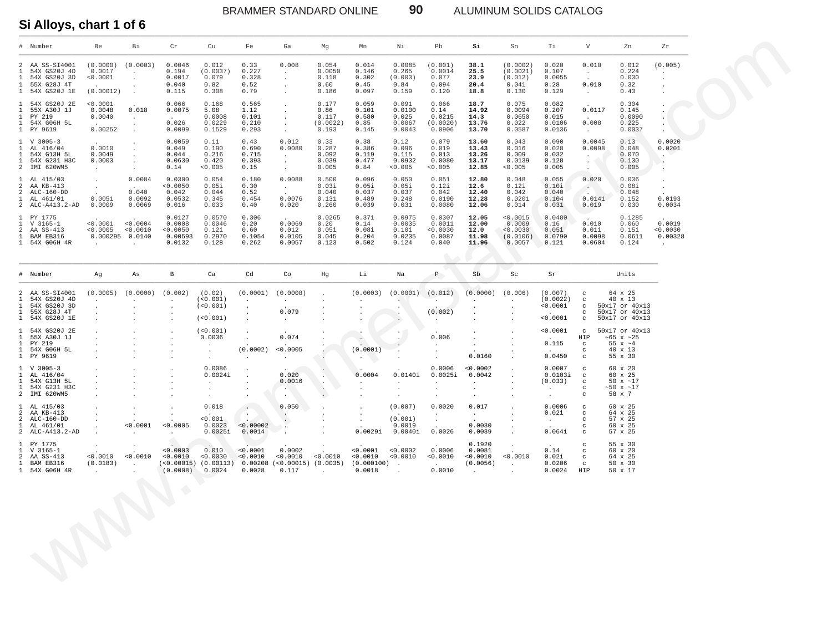$\ddotsc$ 

 $<0.00002$ 

 $0.0014$ 

 $\begin{array}{cccc} <0.0003 & 0.010 & <0.0001 & 0.0002 \\ <0.0010 & <0.0030 & <0.0010 & <0.0010 \\ (<0.00015) & (0.00113) & 0.00208 & (<0.00015 & <0.0010 \\ (<0.0008) & 0.0024 & 0.0028 & 0.117 \end{array} \tag{0.0035}$ 

 $\mathcal{L}_{\mathcal{A}}$ 

 $0.050$ 

. . .

 $\mathcal{L}$ 

÷.

 $\overline{a}$ 

 $\overline{a}$ 

 $\cdot$ 

 $\ddot{\phantom{a}}$ 

 $\overline{a}$ 

 $\sim$ 

 $0.0029i$ 

 $\begin{array}{c} .0001 \\ 0.0010 \end{array}$ 

 $0.0018$ 

 $(0.000100)$  .

 $0.018$ 

 $\frac{1}{0.001}$ 

0.0023

 $0.0025i$ 

 $\sim$ 

 $\sim$ 

 $\sim$ 

 $\cdot$ 

 $\ddot{\phantom{a}}$ 

 $\frac{1}{0.0010}$ 

 $0.0001$ 

 $\ddot{\phantom{a}}$ 

 $\sim$ 

 $< 0.0005$ 

 $\ddot{\phantom{a}}$ 

 $\ddot{\phantom{a}}$ 

 $\cdot$ 

 $\ddot{\phantom{a}}$ 

 $\ddot{\phantom{a}}$ 

 $\sim$ 

 $\begin{array}{c} .0010 \\ (0.0183) \end{array}$ 

ALUMINUM SOLIDS CATALOG

90

#### Si Alloys, chart 1 of 6

 $\mathbf{1}$ 

 $\overline{a}$ 

 $\overline{a}$ 

 $\,1\,$ 

 $\overline{a}$ 

 $\mathbf{1}$ 

 $\begin{smallmatrix}1\\2\\1\end{smallmatrix}$ 

AL 415/03

AA KB-413

 $ALC-160-DD$ 

AL 461/01

V 3165-1<br>AA SS-413<br>BAM EB316

1 54X G06H 4R

PY 1775

ALC-A413.2-AD

| $^{\#}$                                           | Number                                                                                     | Be                                                 | Bi                                            | Cr                                              | Cu                                                         | Fe                                       | Ga                                                                                             | Mg                                          | Mn                                        | Νi                                           | Pb                                              | Si                                        | Sn                                                   | Τi                                          | $\boldsymbol{\mathrm{V}}$                                           | Zn                                                                        | Zr                                           |
|---------------------------------------------------|--------------------------------------------------------------------------------------------|----------------------------------------------------|-----------------------------------------------|-------------------------------------------------|------------------------------------------------------------|------------------------------------------|------------------------------------------------------------------------------------------------|---------------------------------------------|-------------------------------------------|----------------------------------------------|-------------------------------------------------|-------------------------------------------|------------------------------------------------------|---------------------------------------------|---------------------------------------------------------------------|---------------------------------------------------------------------------|----------------------------------------------|
| $\mathbf{1}$<br>$\mathbf{1}$<br>$\mathbf{1}$      | 2 AA SS-SI4001<br>54X GS20J 4D<br>54X GS20J 3D<br>55X G28J 4T<br>1 54X GS20J 1E            | (0.0000)<br>0.0017<br>< 0.0001<br>(0.00012)        | (0.0003)<br>$\sim$                            | 0.0046<br>0.194<br>0.0017<br>0.040<br>0.115     | 0.012<br>(0.0037)<br>0.079<br>0.82<br>0.308                | 0.33<br>0.227<br>0.328<br>0.52<br>0.79   | 0.008                                                                                          | 0.054<br>0.0050<br>0.118<br>0.60<br>0.186   | 0.014<br>0.146<br>0.302<br>0.45<br>0.097  | 0.0085<br>0.265<br>(0.003)<br>0.84<br>0.159  | (0.001)<br>0.0014<br>0.077<br>0.094<br>0.120    | 38.1<br>25.5<br>23.9<br>20.4<br>18.8      | (0.0002)<br>(0.0021)<br>(0.012)<br>0.041<br>0.130    | 0.020<br>0.107<br>0.0055<br>0.28<br>0.129   | 0.010<br>0.010<br>$\sim$                                            | 0.012<br>0.224<br>0.030<br>0.32<br>0.43                                   | (0.005)<br>$\mathbf{r}$                      |
| $\mathbf{1}$<br>$\mathbf{1}$<br>$\mathbf{1}$<br>1 | 54X GS20J 2E<br>55X A30J 1J<br>PY 219<br>54X G06H 5L<br>1 PY 9619                          | < 0.0001<br>0.0048<br>0.0040<br>0.00252            | 0.018<br>$\bullet$<br>$\cdot$<br>$\mathbf{r}$ | 0.066<br>0.0075<br>$\sim$<br>0.026<br>0.0099    | 0.168<br>5.08<br>0.0008<br>0.0229<br>0.1529                | 0.565<br>1.12<br>0.101<br>0.210<br>0.293 | $\ddot{\phantom{0}}$<br>$\epsilon$                                                             | 0.177<br>0.86<br>0.117<br>(0.0022)<br>0.193 | 0.059<br>0.101<br>0.580<br>0.85<br>0.145  | 0.091<br>0.0100<br>0.025<br>0.0067<br>0.0043 | 0.066<br>0.14<br>0.0215<br>(0.0020)<br>0.0906   | 18.7<br>14.92<br>14.3<br>13.76<br>13.70   | 0.075<br>0.0094<br>0.0650<br>0.022<br>0.0587         | 0.082<br>0.207<br>0.015<br>0.0106<br>0.0136 | 0.0117<br>0.008<br>$\sim$                                           | 0.304<br>0.145<br>0.0090<br>0.225<br>0.0037                               | $\cdot$                                      |
| $\mathbf{1}$<br>$\mathbf{1}$<br>$\mathbf{1}$      | $1 \quad V \quad 3005 - 3$<br>AL 416/04<br>54X G13H 5L<br>54X G231 H3C<br>2 IMI 620WM5     | 0.0010<br>0.0049<br>0.0003<br>$\sim$               |                                               | 0.0059<br>0.049<br>0.044<br>0.0630<br>0.14      | 0.11<br>0.190<br>0.216<br>0.420<br>< 0.005                 | 0.43<br>0.690<br>0.715<br>0.393<br>0.15  | 0.012<br>0.0080<br>$\mathcal{L}_{\mathcal{A}}$<br>$\ddot{\phantom{a}}$<br>$\ddot{\phantom{a}}$ | 0.33<br>0.287<br>0.092<br>0.039<br>0.005    | 0.38<br>0.386<br>0.119<br>0.477<br>0.84   | 0.12<br>0.096<br>0.115<br>0.0932<br>< 0.005  | 0.079<br>0.019<br>0.013<br>0.0080<br>< 0.005    | 13.60<br>13.43<br>13.26<br>13.17<br>12.85 | 0.043<br>0.016<br>0.009<br>0.0139<br>< 0.005         | 0.090<br>0.028<br>0.032<br>0.128<br>0.005   | 0.0045<br>0.0098<br>$\bullet$                                       | 0.13<br>0.048<br>0.070<br>0.130<br>0.005                                  | 0.0020<br>0.0201<br>$\cdot$<br>٠.<br>$\cdot$ |
| $\mathbf{1}$                                      | 1 AL 415/03<br>2 AA KB-413<br>2 ALC-160-DD<br>AL 461/01<br>2 ALC-A413.2-AD                 | 0.0051<br>0.0009                                   | 0.0084<br>$\sim$<br>0.040<br>0.0092<br>0.0069 | 0.0300<br>< 0.0050<br>0.042<br>0.0532<br>0.016  | 0.054<br>0.05i<br>0.044<br>0.345<br>0.033                  | 0.180<br>0.30<br>0.52<br>0.454<br>0.40   | 0.0088<br>$\sim$<br>$\ddot{\phantom{a}}$<br>0.0076<br>0.020                                    | 0.500<br>0.03i<br>0.040<br>0.131<br>0.260   | 0.096<br>0.05i<br>0.037<br>0.489<br>0.039 | 0.050<br>0.051<br>0.037<br>0.248<br>0.031    | 0.051<br>0.12i<br>0.042<br>0.0190<br>0.0080     | 12.80<br>12.6<br>12.40<br>12.28<br>12.06  | 0.048<br>0.12i<br>0.042<br>0.0201<br>0.014           | 0.055<br>0.10i<br>0.040<br>0.104<br>0.031   | 0.020<br>$\mathbb{Z}^2$<br>0.0141<br>0.019                          | 0.036<br>0.08i<br>0.048<br>0.152<br>0.030                                 | $\mathbf{r}$<br>0.0193<br>0.0034             |
| $\mathbf{1}$<br>$\mathbf{1}$<br>2<br>$\mathbf{1}$ | PY 1775<br>$V$ 3165-1<br>AA SS-413<br>BAM EB316<br>1 54X G06H 4R                           | < 0.0001<br>< 0.0005<br>0.000295 0.0140<br>$\cdot$ | < 0.0004<br>< 0.0010                          | 0.0127<br>0.0008<br>0.0050<br>0.00593<br>0.0132 | 0.0570<br>0.0046<br>0.12i<br>0.2970<br>0.128               | 0.306<br>0.20<br>0.60<br>0.1054<br>0.262 | 0.0069<br>0.012<br>0.0105<br>0.0057                                                            | 0.0265<br>0.20<br>0.05i<br>0.045<br>0.123   | 0.371<br>0.14<br>0.08i<br>0.204<br>0.502  | 0.0975<br>0.0035<br>0.10i<br>0.0235<br>0.124 | 0.0307<br>0.0011<br>< 0.0030<br>0.0087<br>0.040 | 12.05<br>12.00<br>12.0<br>11.98<br>11.96  | < 0.0015<br>0.0009<br>< 0.0030<br>(0.0106)<br>0.0057 | 0.0480<br>0.16<br>0.05i<br>0.0790<br>0.121  | 0.010<br>0.01i<br>0.0098<br>0.0604                                  | 0.1285<br>0.060<br>0.15i<br>0.0611<br>0.124                               | 0.0019<br>0.0030<br>0.00328<br>$\cdot$       |
|                                                   | # Number                                                                                   | Ag                                                 | As                                            | $\, {\bf B}$                                    | Ca                                                         | Cd                                       | Co                                                                                             | Hg                                          | Li                                        | Na                                           | P                                               | S <sub>b</sub>                            | Sc                                                   | Sr                                          |                                                                     | Units                                                                     |                                              |
| $\mathbf{1}$<br>$\mathbf{1}$<br>$\mathbf{1}$      | 2 AA SS-SI4001<br>54X GS20J 4D<br>54X GS20J 3D<br>55X G28J 4T<br>1 54X GS20J 1E            | (0.0005)                                           | (0.0000)                                      | (0.002)                                         | (0.02)<br>(<0.001)<br>(<0.001)<br>$\mathbf{r}$<br>(<0.001) | (0.0001)<br>$\cdot$                      | (0.0008)<br>0.079<br>$\blacksquare$                                                            |                                             | (0.0003)                                  | (0.0001)<br>$\ddot{\phantom{0}}$             | (0.012)<br>(0.002)                              | (0.0000)                                  | (0.006)                                              | (0.007)<br>(0.0022)<br>0.0001<br>0.0001     | $_{\rm C}$<br>$\rm ^c$<br>$\rm ^c$<br>$\rm ^c$<br>$\mathtt{C}$      | 64 x 25<br>40 x 13<br>50x17 or 40x13<br>50x17 or 40x13<br>50x17 or 40x13  |                                              |
| $\mathbf{1}$<br>$\mathbf{1}$                      | 1 54X GS20J 2E<br>55X A30J 1J<br>PY 219<br>1 54X G06H 5L<br>1 PY 9619                      |                                                    |                                               | $\overline{a}$<br>$\cdot$                       | (<0.001)<br>0.0036<br>$\cdot$                              | (0.0002)                                 | 0.074<br>< 0.0005                                                                              |                                             | $\cdot$<br>(0.0001)                       |                                              | 0.006                                           | 0.0160                                    |                                                      | 0.0001<br>0.115<br>0.0450                   | $\mathtt{C}$<br>HIP<br>$\mathtt{C}$<br>$\mathtt{C}$<br>$\mathtt{C}$ | 50x17 or 40x13<br>$~105 \times 25$<br>55 $x \sim 4$<br>40 x 13<br>55 x 30 |                                              |
| $\mathbf{1}$                                      | $1 \quad V \quad 3005 - 3$<br>1 AL 416/04<br>1 54X G13H 5L<br>54X G231 H3C<br>2 IMI 620WM5 |                                                    |                                               |                                                 | 0.0086<br>0.0024i                                          |                                          | 0.020<br>0.0016<br><b>ALC</b><br>$\sim$ $\sim$                                                 |                                             | 0.0004                                    | 0.0140i                                      | 0.0006<br>0.0025i                               | < 0.0002<br>0.0042                        |                                                      | 0.0007<br>0.0103i<br>(0.033)                | $\mathtt{C}$<br>$_{\rm c}$<br>$\mathtt{C}$<br>$_{\rm C}$<br>C       | 60 x 20<br>60 x 25<br>50 $x \sim 17$<br>~17<br>58 x 7                     |                                              |

 $(0.007)$ 

 $(0.001)$ 

 $0.0019$ 

 $0.0040i$ 

 $\begin{array}{c} 0.0002 \\ 0.0010 \end{array}$ 

 $0.0020$ 

 $0.0026$ 

 $0.0006$ 

 $0.0010$ 

 $0.0010$ 

 $\langle \cdot \rangle$ 

 $\sim$ 

 $\sim$ 

 $0.017$ 

**Carlos** 

 $0.0030$ 

0.0039

0.1920

 $0.0081$ <br> $< 0.0010$ 

 $(0.0056)$ 

 $\sim$ 

 $\overline{\phantom{a}}$ 

 $\ddot{\phantom{a}}$ 

 $\ddot{\phantom{a}}$ 

 $0.0010$ 

 $\ddot{\phantom{a}}$ 

 $0.0006$ 

 $0.064i$ 

 $0.02i$ 

 $\sim 10^{-11}$ 

 $0.14$ 

 $0.02i$ 

 $0.0206$ 

 $0.0024$ 

 $_{\rm c}$ 

 $\ddot{c}$ 

 $\mathbf c$ 

 $\mathbf c$ 

 $_{\rm c}$ 

 $_{\rm C}$ 

 $_{\rm c}$ 

 $\frac{c}{c}$ 

HIP

60 x 25

 $\begin{array}{c} 64 \times 25 \\ 57 \times 25 \end{array}$ 

60 x 25

57 x 25

 $55 \times 30$ <br>  $60 \times 20$ <br>  $64 \times 25$ <br>  $50 \times 30$ 

50 x 17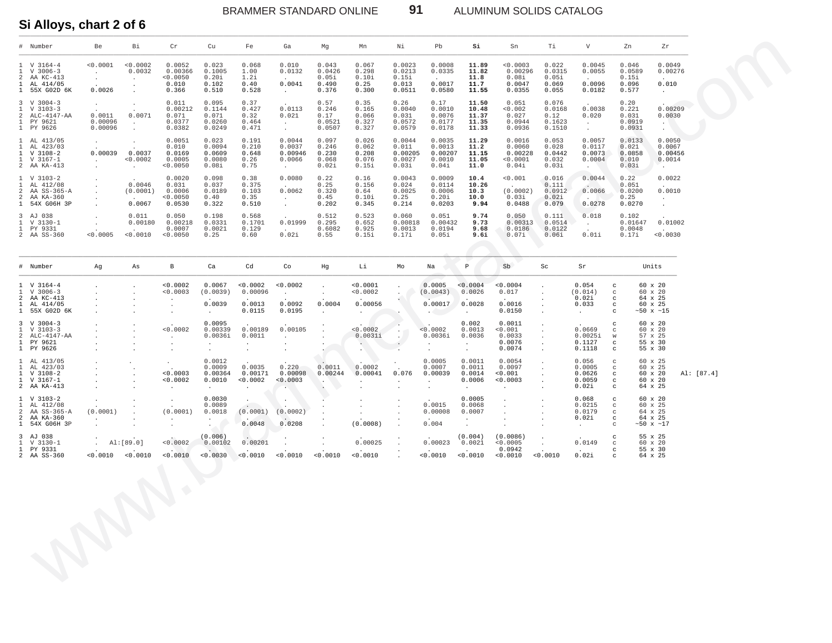ALUMINUM SOLIDS CATALOG

Si Alloys, chart 2 of 6

| # Number                                                                                 | Be                                                                 | Вi                                                                            | Cr                                              | Cu                                                     | Fe                                                  | Ga                                                          | Mg                                                    | Mn                                                    | Νi                                                          | Pb                                                             | Si                                                           | Sn                                                                                           | Ti.                                                                               | V                                                  | Zn                                          | Zr                                                            |            |
|------------------------------------------------------------------------------------------|--------------------------------------------------------------------|-------------------------------------------------------------------------------|-------------------------------------------------|--------------------------------------------------------|-----------------------------------------------------|-------------------------------------------------------------|-------------------------------------------------------|-------------------------------------------------------|-------------------------------------------------------------|----------------------------------------------------------------|--------------------------------------------------------------|----------------------------------------------------------------------------------------------|-----------------------------------------------------------------------------------|----------------------------------------------------|---------------------------------------------|---------------------------------------------------------------|------------|
| 1 V 3164-4<br>1 V 3006-3<br>2 AA KC-413<br>1 AL 414/05<br>1 55X G02D 6K                  | < 0.0001<br>$\sim$<br>$\cdot$<br>0.0026                            | < 0.0002<br>0.0032<br>$\sim$<br>$\blacksquare$ .<br>$\cdot$                   | 0.0052<br>0.00366<br>< 0.0050<br>0.010<br>0.366 | 0.023<br>0.1005<br>0.20i<br>0.102<br>0.510             | 0.068<br>1.00<br>1.2i<br>0.40<br>0.528              | 0.010<br>0.0132<br>0.0041<br>$\sim$                         | 0.043<br>0.0426<br>0.05i<br>0.490<br>0.376            | 0.067<br>0.298<br>0.10i<br>0.25<br>0.300              | 0.0023<br>0.0213<br>0.15i<br>0.013<br>0.0511                | 0.0008<br>0.0335<br>0.0017<br>0.0580                           | 11.89<br>11.82<br>11.8<br>11.7<br>11.55                      | < 0.0003<br>0.00296<br>0.08i<br>0.0047<br>0.0355                                             | 0.022<br>0.0315<br>0.05i<br>0.069<br>0.055                                        | 0.0045<br>0.0055<br>0.0096<br>0.0182               | 0.046<br>0.0589<br>0.15i<br>0.096<br>0.577  | 0.0049<br>0.00276<br>0.010<br>$\sim 10^{-11}$                 |            |
| $3 \tV 3004-3$<br>$1 \quad V \quad 3103-3$<br>2 ALC-4147-AA<br>1 PY 9621<br>1 PY 9626    | $\sim$<br>0.0011<br>0.00096<br>0.00096                             | $\sim$<br>0.0071<br>$\sim$<br>$\ddot{\phantom{a}}$                            | 0.011<br>0.00212<br>0.071<br>0.0377<br>0.0382   | 0.095<br>0.1144<br>0.071<br>0.0260<br>0.0249           | 0.37<br>0.427<br>0.32<br>0.464<br>0.471             | 0.0113<br>0.021<br>$\sim$<br>$\sim$                         | 0.57<br>0.246<br>0.17<br>0.0521<br>0.0507             | 0.35<br>0.165<br>0.066<br>0.327<br>0.327              | 0.26<br>0.0040<br>0.031<br>0.0572<br>0.0579                 | 0.17<br>0.0010<br>0.0076<br>0.0177<br>0.0178                   | 11.50<br>10.48<br>11.37<br>11.35<br>11.33                    | 0.051<br>< 0.002<br>0.027<br>0.0944<br>0.0936                                                | 0.076<br>0.0168<br>0.12<br>0.1623<br>0.1510                                       | 0.0038<br>0.020<br><b>Section</b><br>$\sim$        | 0.20<br>0.221<br>0.031<br>0.0919<br>0.0931  | 0.00209<br>0.0030<br>$\sim$ 10 $\pm$<br>$\blacksquare$        |            |
| 1 AL 413/05<br>1 AL 423/03<br>1 V 3108-2<br>1 V 3167-1<br>2 AA KA-413                    | $\sim$<br>$0.00039$ $0.0037$<br>$\sim$ $-$<br>$\sim$               | $\ddot{\phantom{1}}$<br>$\overline{a}$<br>< 0.0002<br>$\sim$                  | 0.0051<br>0.010<br>0.0169<br>0.0005<br>< 0.0050 | 0.023<br>0.0094<br>0.0609<br>0.0080<br>0.08i           | 0.191<br>0.210<br>0.648<br>0.26<br>0.75             | 0.0044<br>0.0037<br>0.00946<br>0.0066<br>$\sim 10^{-11}$    | 0.097<br>0.246<br>0.230<br>0.068<br>0.02i             | 0.026<br>0.062<br>0.208<br>0.076<br>0.15i             | 0.0044<br>0.011<br>0.00205<br>0.0027<br>0.03i               | 0.0035<br>0.0013<br>0.00207<br>0.0010<br>0.04i                 | 11.29<br>11.2<br>11.15<br>11.05<br>11.0                      | 0.0016<br>0.0060<br>0.00228<br>< 0.0001<br>0.04i                                             | 0.053<br>0.028<br>0.0442<br>0.032<br>0.03i                                        | 0.0057<br>0.0117<br>0.0073<br>0.0004<br>$\sim$     | 0.0133<br>0.021<br>0.0858<br>0.010<br>0.03i | 0.0050<br>0.0067<br>0.00456<br>0.0014<br>$\sim$ $-$           |            |
| $1 \quad V \quad 3103-2$<br>1 AL 412/08<br>2 AA SS-365-A<br>2 AA KA-360<br>1 54X G06H 3P | $\cdot$<br>$\cdot$<br>$\cdot$<br>$\cdot$<br>$\ddot{\phantom{0}}$   | 0.0046<br>(0.0001)<br>0.0067                                                  | 0.0020<br>0.031<br>0.0006<br>< 0.0050<br>0.0530 | 0.098<br>0.037<br>0.0189<br>0.40<br>0.322              | 0.38<br>0.375<br>0.103<br>0.35<br>0.510             | 0.0080<br>0.0062<br>$\sim$<br>$\sim$                        | 0.22<br>0.25<br>0.320<br>0.45<br>0.202                | 0.16<br>0.156<br>0.64<br>0.10i<br>0.345               | 0.0043<br>0.024<br>0.0025<br>0.25<br>0.214                  | 0.0009<br>0.0114<br>0.0006<br>0.20i<br>0.0203                  | 10.4<br>10.26<br>10.3<br>10.0<br>9.94                        | < 0.001<br>$\overline{a}$<br>(0.0002)<br>0.03i<br>0.0488                                     | 0.016<br>0.111<br>0.0912<br>0.02i<br>0.079                                        | 0.0044<br>0.0066<br><b>San Francisco</b><br>0.0278 | 0.22<br>0.051<br>0.0200<br>0.25<br>0.0270   | 0.0022<br>0.0010<br>$\sim$<br>$\cdot$                         |            |
| 3 AJ 038<br>1 V 3130-1<br>1 PY 9331<br>2 AA SS-360                                       | $\cdot$<br>$\sim$ $-$<br>$\sim$<br>< 0.0005                        | 0.011<br>0.00180<br>$\sim$<br>< 0.0010                                        | 0.050<br>0.00218<br>0.0007<br>< 0.0050          | 0.198<br>0.0331<br>0.0021<br>0.25                      | 0.568<br>0.1701<br>0.129<br>0.60                    | 0.01999<br>$\sim$<br>0.02i                                  | 0.512<br>0.295<br>0.6082<br>0.55                      | 0.523<br>0.652<br>0.925<br>0.15i                      | 0.060<br>0.00818<br>0.0013<br>0.17i                         | 0.051<br>0.00432<br>0.0194<br>0.05i                            | 9.74<br>9.73<br>9.68<br>9.6i                                 | 0.050<br>0.00313<br>0.0186<br>0.07i                                                          | 0.111<br>0.0514<br>0.0122<br>0.06i                                                | 0.018<br>$\sim$<br>$\overline{a}$<br>0.01i         | 0.102<br>0.01647<br>0.0048<br>0.17i         | 0.01002<br>0.0030                                             |            |
| # Number                                                                                 | Ag                                                                 | As                                                                            | В                                               | Ca                                                     | Cd                                                  | Co                                                          | Hg                                                    | Li                                                    | Мo                                                          | Na                                                             | P                                                            | Sb                                                                                           | Sc                                                                                | Sr                                                 |                                             | Units                                                         |            |
| 1 V 3164-4<br>1 V 3006-3<br>2 AA KC-413<br>1 AL 414/05<br>1 55X G02D 6K                  | $\cdot$<br>$\cdot$                                                 | $\cdot$<br>$\cdot$<br>$\cdot$<br>$\cdot$<br>$\ddot{\phantom{a}}$              | < 0.0002<br>< 0.0003<br>$\cdot$<br>$\cdot$      | 0.0067<br>(0.0039)<br>0.0039<br>$\sim$                 | < 0.0002<br>0.00096<br>0.0013<br>0.0115             | < 0.0002<br>$\sim$<br>0.0092<br>0.0195                      | $\sim$<br>$\ddot{\phantom{a}}$<br>0.0004<br>$\sim$    | < 0.0001<br>< 0.0002<br>0.00056<br>$\sim$             | $\cdot$<br>$\cdot$                                          | 0.0005<br>(0.0043)<br>0.00017<br><b>ARCHITECT</b>              | < 0.0004<br>0.0026<br>0.0028<br>$\sim$                       | < 0.0004<br>0.017<br>0.0016<br>0.0150                                                        | $\ddot{\phantom{a}}$<br>$\ddot{\phantom{a}}$<br>$\bullet$<br>$\bullet$<br>$\cdot$ | 0.054<br>(0.014)<br>0.02i<br>0.033<br>$\sim$ $-$   | C<br>C<br>$_{\rm C}$<br>$_{\rm C}$<br>C     | 60 x 20<br>60 x 20<br>64 x 25<br>60 x 25<br>$~150 \times ~15$ |            |
| $3 \tV} 3004-3$<br>$1 \quad V \quad 3103-3$<br>2 ALC-4147-AA<br>1 PY 9621<br>1 PY 9626   | $\cdot$<br>$\cdot$<br>$\ddot{\phantom{a}}$<br>$\ddot{\phantom{a}}$ | $\cdot$<br>$\cdot$<br>$\ddot{\phantom{a}}$<br>$\ddot{\phantom{a}}$            | < 0.0002<br>$\cdot$<br>$\cdot$<br>$\cdot$       | 0.0095<br>0.00339<br>0.0036i<br>$\cdot$<br>$\bullet$   | 0.00189<br>0.0011<br>$\sim$<br>$\ddot{\phantom{a}}$ | 0.00105<br>$\sim$<br>$\cdot$<br>$\cdot$                     | $\Delta$<br>$\Delta$<br>$\cdot$                       | < 0.0002<br>0.0031i<br>$\sim$<br>$\cdot$              | $\cdot$<br>$\sim$<br>$\blacksquare$<br>$\ddot{\phantom{1}}$ | < 0.0002<br>0.0036i<br>$\sim$<br>$\cdot$                       | 0.002<br>0.0013<br>0.0036<br>$\sim$<br>$\cdot$               | 0.0011<br>< 0.001<br>0.0033<br>0.0076<br>0.0074                                              | $\cdot$<br>$\ddot{\phantom{a}}$<br>$\sim$<br>$\bullet$<br>$\ddot{\phantom{a}}$    | 0.0669<br>0.0025i<br>0.1127<br>0.1118              | C<br>C<br>W<br>$_{\rm c}$<br>C              | 60 x 20<br>60 x 20<br>57 x 25<br>55 x 30<br>55 x 30           |            |
| 1 AL 413/05<br>1 AL 423/03<br>1 V 3108-2<br>1 V 3167-1<br>2 AA KA-413                    | $\cdot$<br>$\cdot$<br>$\ddot{\phantom{a}}$<br>$\ddot{\phantom{a}}$ | $\cdot$<br>$\cdot$<br>$\cdot$<br>$\ddot{\phantom{a}}$<br>$\ddot{\phantom{a}}$ | $\cdot$<br>< 0.0003<br>< 0.0002<br>$\cdot$      | 0.0012<br>0.0009<br>0.00364<br>0.0010<br>$\sim$        | 0.0035<br>0.00171<br>< 0.0002<br>$\sim$             | 0.220<br>0.00098<br>< 0.0003<br>$\mathbf{r}_{\mathrm{max}}$ | 0.0011<br>0.00244<br>N.<br>$\overline{\phantom{a}}$ . | 0.0002<br>0.00041<br>$\ddot{\phantom{a}}$<br>$\cdot$  | 0.076<br>$\cdot$                                            | 0.0005<br>0.0007<br>0.00039<br>$\ddot{\phantom{a}}$<br>$\cdot$ | 0.0011<br>0.0011<br>0.0014<br>0.0006<br>$\sim$               | 0.0054<br>0.0097<br>< 0.001<br>0.0003<br>$\ddot{\phantom{0}}$                                | $\cdot$<br>$\ddot{\phantom{a}}$<br>$\bullet$<br>$\cdot$<br>$\cdot$                | 0.056<br>0.0005<br>0.0626<br>0.0059<br>0.02i       | C<br>C<br>$_{\rm c}$<br>$_{\rm c}$<br>C     | 60 x 25<br>60 x 25<br>60 x 20<br>60 x 20<br>64 x 25           | Al: [87.4] |
| $1 \quad V \quad 3103-2$<br>1 AL 412/08<br>2 AA SS-365-A<br>2 AA KA-360<br>1 54X G06H 3P | $\ddot{\phantom{a}}$<br>(0.0001)<br>$\cdot$<br>$\cdot$             | $\ddot{\phantom{a}}$<br>$\cdot$                                               | $\cdot$<br>(0.0001)<br>$\cdot$                  | 0.0030<br>0.0089<br>0.0018<br>$\cdot$<br>$\sim$ $\sim$ | $\cdot$<br>(0.0001)<br>0.0048                       | $\bullet$<br>(0.0002)<br>0.0208                             | $\cdot$<br>$\cdot$<br>$\mathbf{r}$                    | $\cdot$<br>$\sim$<br>$\ddot{\phantom{0}}$<br>(0.0008) | $\cdot$<br>$\ddot{\phantom{1}}$                             | 0.0015<br>0.00008<br>0.004                                     | 0.0005<br>0.0068<br>0.0007<br>$\sim$<br>$\ddot{\phantom{0}}$ | $\ddot{\phantom{a}}$<br>$\ddot{\phantom{a}}$<br>$\ddot{\phantom{a}}$<br>$\ddot{\phantom{0}}$ | $\cdot$<br>$\cdot$<br>$\cdot$                                                     | 0.068<br>0.0215<br>0.0179<br>0.02i<br>$\sim$       | C<br>C<br>C<br>C<br>C                       | 60 x 20<br>60 x 25<br>64 x 25<br>64 x 25<br>$~50$ x $~17$     |            |
| 3 AJ 038<br>1 V 3130-1<br>1 PY 9331<br>2 AA SS-360                                       | $\sim$<br>$< 0.0010$ $< 0.0010$                                    | Al:[89.0]                                                                     | < 0.0002<br>< 0.0010                            | (0.006)<br>0.00102<br>< 0.0030                         | 0.00201<br>< 0.0010                                 | $\cdot$<br>< 0.0010                                         | < 0.0010                                              | 0.00025<br>< 0.0010                                   | $\cdot$                                                     | 0.00023<br>< 0.0010                                            | (0.004)<br>0.0021<br>< 0.0010                                | (0.0086)<br>< 0.0005<br>0.0942<br>0.0010                                                     | $\ddot{\phantom{0}}$<br>< 0.0010                                                  | 0.0149<br>0.02i                                    | c<br>C<br>$_{\rm c}$<br>C                   | 55 x 25<br>60 x 20<br>55 x 30<br>64 x 25                      |            |
|                                                                                          |                                                                    |                                                                               | $\langle \rangle$                               |                                                        |                                                     |                                                             |                                                       |                                                       |                                                             |                                                                |                                                              |                                                                                              |                                                                                   |                                                    |                                             |                                                               |            |

91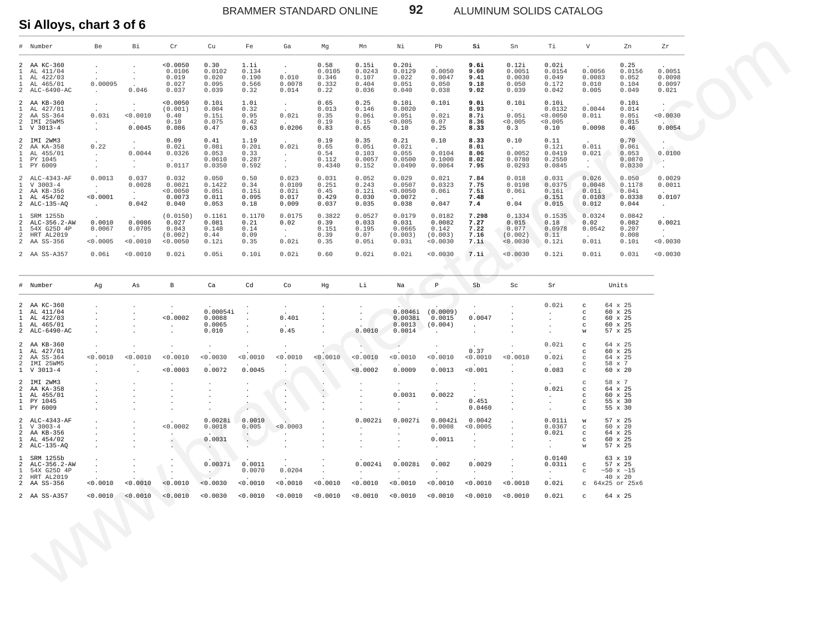BRAMMER STANDARD ONLINE **92** ALUMINUM SOLIDS CATALOG

**Si Alloys, chart 3 of 6**

| V<br># Number<br>Be<br>Bi<br>Cr<br>Cu<br>Fe<br>Ga<br>Mg<br>Mn<br>Νi<br>Pb<br>Si<br>Sn<br>Тi<br>Zn<br>Zr<br>< 0.0050<br>0.30<br>0.58<br>0.15i<br>0.20i<br>9.6i<br>0.12i<br>0.02i<br>0.25<br>2 AA KC-360<br>1.1i<br>$\sim$<br>$\bullet$<br>$\mathbf{1}$<br>AL 411/04<br>0.0106<br>0.0102<br>0.134<br>0.0105<br>0.0243<br>0.0129<br>0.0050<br>0.0051<br>0.0154<br>0.0056<br>0.0156<br>9.60<br>$\cdot$<br>$\sim$<br>$\cdot$<br>1 AL 422/03<br>0.019<br>0.020<br>0.190<br>0.010<br>0.346<br>0.107<br>0.022<br>0.0047<br>0.0030<br>0.049<br>0.0083<br>0.052<br>9.41<br>$\cdot$<br>1 AL 465/01<br>0.00095<br>0.027<br>0.095<br>0.566<br>0.0078<br>0.332<br>0.404<br>0.051<br>0.050<br>0.050<br>0.172<br>0.010<br>0.104<br>9.18<br>2 ALC-6490-AC<br>0.046<br>0.037<br>0.039<br>0.32<br>0.014<br>0.22<br>0.036<br>0.040<br>0.038<br>9.02<br>0.039<br>0.042<br>0.005<br>0.049<br>0.021<br>$\sim$<br>2 AA KB-360<br>< 0.0050<br>0.10i<br>1.0i<br>0.65<br>0.25<br>0.10i<br>0.10i<br>9.Oi<br>0.10i<br>0.10i<br>0.10i<br>$\sim$<br>$\sim$<br>$\cdot$<br>$\cdot$<br>$\mathbf{1}$<br>AL 427/01<br>(0.001)<br>0.004<br>0.32<br>0.013<br>0.146<br>0.0020<br>8.93<br>0.0132<br>0.0044<br>0.014<br>$\sim$<br>$\sim$<br>$\sim$<br>$\sim$<br>< 0.0010<br>0.02i<br>0.05i<br>2 AA SS-364<br>0.03i<br>0.40<br>0.15i<br>0.95<br>0.02i<br>0.35<br>0.06i<br>0.05i<br>8.7i<br>< 0.0050<br>0.01i<br>0.05i<br>2 IMI 25WM5<br>0.10<br>0.075<br>0.42<br>0.19<br>0.15<br>< 0.005<br>0.07<br>< 0.005<br>< 0.005<br>0.015<br>8.36<br>$\sim$<br>$\sim$<br>$\sim$<br>$\sim$<br>1 V 3013-4<br>0.0045<br>0.086<br>0.47<br>0.63<br>0.0206<br>0.83<br>0.65<br>0.10<br>0.25<br>0.3<br>0.10<br>0.0098<br>0.46<br>8.33<br>$\bullet$<br>2 IMI 2WM3<br>0.09<br>0.41<br>1.19<br>0.19<br>0.35<br>0.21<br>0.10<br>8.33<br>0.10<br>0.11<br>0.70<br>$\overline{a}$<br>$\cdot$<br>0.22<br>0.01i<br>$\overline{a}$<br>0.02i<br>0.08i<br>0.20i<br>0.02i<br>0.65<br>0.05i<br>0.02i<br>8.0i<br>0.12i<br>0.06i<br>AA KA-358<br>$\sim$<br>$\sim$<br>$\sim$<br>0.0104<br>0.0052<br>$\mathbf{1}$<br>AL 455/01<br>0.0044<br>0.0326<br>0.053<br>0.33<br>0.54<br>0.103<br>0.055<br>8.06<br>0.0419<br>0.021<br>0.053<br>$\sim$<br>$\sim$<br>1 PY 1045<br>0.0610<br>0.287<br>0.112<br>0.0057<br>0.0500<br>0.1000<br>0.0780<br>0.2550<br>0.0870<br>8.02<br>$\cdot$<br>$\cdot$<br>$\overline{a}$<br>$\sim$<br>$\sim$ 100 $\pm$<br>$\mathcal{L}$<br>0.0117<br>1 PY 6009<br>0.0350<br>0.592<br>0.4340<br>0.152<br>0.0490<br>0.0064<br>7.95<br>0.0293<br>0.0845<br>0.0330<br>$\cdot$<br>$\cdot$<br>$\sim$<br>$\cdot$<br>$\cdot$<br>2 ALC-4343-AF<br>0.0013<br>0.037<br>0.032<br>0.050<br>0.50<br>0.023<br>0.031<br>0.052<br>0.029<br>0.021<br>7.84<br>0.018<br>0.031<br>0.026<br>0.050<br>$1 \quad V \quad 3003-4$<br>0.0028<br>0.0021<br>0.1422<br>0.34<br>0.0109<br>0.251<br>0.243<br>0.0507<br>0.0323<br>7.75<br>0.0198<br>0.0375<br>0.0048<br>0.1178<br>$\sim$<br>2 AA KB-356<br>< 0.0050<br>0.05i<br>0.15i<br>0.02i<br>0.45<br>0.12i<br>< 0.0050<br>0.06i<br>7.5i<br>0.06i<br>0.16i<br>0.01i<br>0.04i<br>$\sim$<br>$\sim$<br>1 AL 454/02<br>< 0.0001<br>0.0073<br>0.011<br>0.095<br>0.017<br>0.429<br>0.030<br>0.0072<br>7.48<br>0.151<br>0.0103<br>0.0338<br>$\sim$<br>$\overline{a}$<br>$\sim$<br>0.047<br>2 ALC-135-AQ<br>0.042<br>0.040<br>0.053<br>0.18<br>0.009<br>0.037<br>0.035<br>0.038<br>0.04<br>0.015<br>0.012<br>0.044<br>7.4<br>$\sim$<br>$\sim$<br>1 SRM 1255b<br>(0.0150)<br>0.1161<br>0.1170<br>0.0175<br>0.3822<br>0.0527<br>0.0179<br>0.0182<br>7.298<br>0.1334<br>0.1535<br>0.0324<br>0.0842<br>0.0010<br>0.0086<br>ALC-356.2-AW<br>0.027<br>0.081<br>0.21<br>0.02<br>0.39<br>0.033<br>0.031<br>0.0082<br>7.27<br>0.015<br>0.18<br>0.02<br>0.082<br>2<br>$\mathbf{1}$<br>54X G25D 4P<br>0.0067<br>0.0705<br>0.043<br>0.148<br>0.14<br>0.151<br>0.195<br>0.0665<br>0.142<br>7.22<br>0.077<br>0.0978<br>0.0542<br>0.207<br>$\sim$ $-$<br>$\sim$<br>2 HRT AL2019<br>(0.002)<br>0.09<br>0.39<br>0.07<br>(0.003)<br>(0.003)<br>7.16<br>(0.002)<br>0.11<br>0.008<br>0.44<br>$\sim$<br>$\sim$<br>$\sim$<br>< 0.0005<br>< 0.0010<br>0.01i<br>2 AA SS-356<br>< 0.0050<br>0.12i<br>0.35<br>0.02i<br>0.35<br>0.05i<br>0.03i<br>< 0.0030<br>7.1i<br>< 0.0030<br>0.12i<br>0.10i<br>2 AA SS-A357<br>0.06i<br>0.0010<br>0.02i<br>0.05i<br>0.10i<br>0.02i<br>0.60<br>0.02i<br>0.02i<br>< 0.0030<br>7.1i<br>< 0.0030<br>0.12i<br>0.01i<br>0.03i<br># Number<br>$_{\rm B}$<br>Ca<br>Cd<br>$\mathbb{P}$<br>Units<br>Ag<br>As<br>Co<br>Hg<br>Li<br>Na<br>Sb<br>Sc<br>Sr<br>0.02i<br>2 AA KC-360<br>64 x 25<br>C<br>$\cdot$<br>60 x 25<br>$\mathbf{1}$<br>AL 411/04<br>0.00054i<br>0.0046i<br>(0.0009)<br>C<br>$\cdot$<br>$\cdot$<br>< 0.0002<br>0.401<br>1 AL 422/03<br>0.0088<br>0.0038i<br>0.0015<br>0.0047<br>60 x 25<br>$_{\rm c}$<br>$\cdot$<br>$\cdot$<br>$\cdot$<br>0.0065<br>(0.004)<br>60 x 25<br>1 AL 465/01<br>0.0013<br>C<br>$\sim$<br>$\sim$<br>$\cdot$<br>$\cdot$<br>$\cdot$<br>0.0010<br>2 ALC-6490-AC<br>0.010<br>0.45<br>0.0014<br>57 x 25<br>W<br>$\cdot$<br>$\cdot$<br>2 AA KB-360<br>0.02i<br>64 x 25<br>$_{\rm c}$<br>$\cdot$<br>$\cdot$<br>$\cdot$<br>$\cdot$<br>0.37<br>1 AL 427/01<br>60 x 25<br>$_{\rm c}$<br>< 0.0030<br>< 0.0010<br>AA SS-364<br>< 0.0010<br>0.0010<br>< 0.0010<br>< 0.0010<br>0.0010<br>< 0.0010<br>0.0010<br>< 0.0010<br>0.0010<br>< 0.0010<br>0.02i<br>$\overline{a}$<br>64 x 25<br>$_{\rm C}$<br>IMI 25WM5<br>$\overline{a}$<br>58 x 7<br>$_{\rm C}$<br>$\ddot{\phantom{a}}$<br>$\cdot$<br>$\cdot$<br>$\cdot$<br>0.0072<br>0.0013<br>< 0.0003<br>0.0045<br>< 0.0002<br>0.0009<br>0.001<br>0.083<br>60 x 20<br>1 V 3013-4<br>$_{\rm c}$<br>$\mathcal{L}_{\mathcal{A}}$<br>$\cdot$<br>$\cdot$<br>$\cdot$<br>58 x 7<br>2 IMI 2WM3<br>$_{\rm C}$<br>$\bullet$<br>$\bullet$<br>$\sim$<br>$\bullet$<br>$\bullet$<br>$\cdot$<br>0.02i<br>64 x 25<br>$\overline{a}$<br>AA KA-358<br>$_{\rm c}$<br>$\cdot$<br>$\cdot$<br>$\cdot$<br>$\sim$<br>$\cdot$<br>0.0031<br>0.0022<br>$\mathbf{1}$<br>AL 455/01<br>60 x 25<br>$_{\rm c}$<br>$\cdot$<br>$\cdot$<br>$\cdot$<br>0.451<br>1 PY 1045<br>55 x 30<br>$_{\rm c}$<br>$\cdot$<br>$\cdot$<br>$\cdot$<br>1 PY 6009<br>0.0460<br>55 x 30<br>C<br>$\cdot$<br>$\cdot$<br>$\ddot{\phantom{1}}$<br>$\cdot$<br>0.0042i<br>0.0028i<br>0.0022i<br>0.0027i<br>0.0042<br>0.011i<br>2 ALC-4343-AF<br>0.0010<br>57 x 25<br>W<br>0.0002<br>0.005<br>< 0.0005<br>0.0367<br>$V3003-4$<br>0.0018<br>0.0003<br>0.0008<br>$60 \times 20$<br>-1.<br>$_{\rm C}$<br>$\cdot$<br>$\cdot$<br>$\cdot$<br>2 AA KB-356<br>0.02i<br>64 x 25<br>$_{\rm c}$<br>$\cdot$<br>$\cdot$<br>$\cdot$<br>$\cdot$<br>0.0031<br>0.0011<br>1 AL 454/02<br>60 x 25<br>$\cdot$<br>$_{\rm c}$<br>$\cdot$<br>$\cdot$<br>$\bullet$<br>$\cdot$<br>$\bullet$<br>2 ALC-135-AQ<br>57 x 25<br>$\ddot{\phantom{1}}$<br>W<br>$\cdot$<br>$\cdot$<br>$\cdot$<br>$\cdot$<br>$\cdot$<br>$\cdot$<br>$\cdot$<br>$\cdot$<br>0.0140<br>SRM 1255b<br>63 x 19<br>$\mathbf{1}$<br>0.0037i<br>0.002<br>0.0029<br>0.0011<br>0.0024i<br>0.0028i<br>0.031i<br>2 ALC-356.2-AW<br>57 x 25<br>$_{\rm c}$<br>$\cdot$<br>$\cdot$<br>$\cdot$<br>$\ddot{\phantom{0}}$<br>$\bullet$<br>54X G25D 4P<br>0.0070<br>0.0204<br>$\mathbf{1}$<br>$~150 \times ~15$<br>C<br>$\cdot$<br>$\ddot{\phantom{a}}$<br>$\sim$ $-$<br>$\ddot{\phantom{a}}$<br>$\sim$<br>$\cdot$<br>$\sim$<br>$\cdot$<br>$\sim$<br>$\ddot{\phantom{0}}$ |              |  |  |  |  |  |  |  |         |                            |
|---------------------------------------------------------------------------------------------------------------------------------------------------------------------------------------------------------------------------------------------------------------------------------------------------------------------------------------------------------------------------------------------------------------------------------------------------------------------------------------------------------------------------------------------------------------------------------------------------------------------------------------------------------------------------------------------------------------------------------------------------------------------------------------------------------------------------------------------------------------------------------------------------------------------------------------------------------------------------------------------------------------------------------------------------------------------------------------------------------------------------------------------------------------------------------------------------------------------------------------------------------------------------------------------------------------------------------------------------------------------------------------------------------------------------------------------------------------------------------------------------------------------------------------------------------------------------------------------------------------------------------------------------------------------------------------------------------------------------------------------------------------------------------------------------------------------------------------------------------------------------------------------------------------------------------------------------------------------------------------------------------------------------------------------------------------------------------------------------------------------------------------------------------------------------------------------------------------------------------------------------------------------------------------------------------------------------------------------------------------------------------------------------------------------------------------------------------------------------------------------------------------------------------------------------------------------------------------------------------------------------------------------------------------------------------------------------------------------------------------------------------------------------------------------------------------------------------------------------------------------------------------------------------------------------------------------------------------------------------------------------------------------------------------------------------------------------------------------------------------------------------------------------------------------------------------------------------------------------------------------------------------------------------------------------------------------------------------------------------------------------------------------------------------------------------------------------------------------------------------------------------------------------------------------------------------------------------------------------------------------------------------------------------------------------------------------------------------------------------------------------------------------------------------------------------------------------------------------------------------------------------------------------------------------------------------------------------------------------------------------------------------------------------------------------------------------------------------------------------------------------------------------------------------------------------------------------------------------------------------------------------------------------------------------------------------------------------------------------------------------------------------------------------------------------------------------------------------------------------------------------------------------------------------------------------------------------------------------------------------------------------------------------------------------------------------------------------------------------------------------------------------------------------------------------------------------------------------------------------------------------------------------------------------------------------------------------------------------------------------------------------------------------------------------------------------------------------------------------------------------------------------------------------------------------------------------------------------------------------------------------------------------------------------------------------------------------------------------------------------------------------------------------------------------------------------------------------------------------------------------------------------------------------------------------------------------------------------------------------------------------------------------------------------------------------------------------------------------------------------------------------------------------------------------------------------------------------------------------------------------------------------------------------------------------------------------------------------------------------------------------------------------------------------------------------------------------------------------------------------------------------------------------------------------------------------------------------------------------------------------------------------------------------------------------------------------------------------------------------------------------------------------------------------------------------------------------------------------------------------------------------------------------------------------------------------------------------------------------------------------------------------------------------------------------------------------------------------------------------------------------------------------------------------------------------------------------------------------------------------------------------------------------------------------------------------------------------------------------------------------------------------------------------------------------------------------------------------------------------------------------------------------------------------------------------------------------------------------------------------------------------------------------------------------------------------------------------------------------------|--------------|--|--|--|--|--|--|--|---------|----------------------------|
|                                                                                                                                                                                                                                                                                                                                                                                                                                                                                                                                                                                                                                                                                                                                                                                                                                                                                                                                                                                                                                                                                                                                                                                                                                                                                                                                                                                                                                                                                                                                                                                                                                                                                                                                                                                                                                                                                                                                                                                                                                                                                                                                                                                                                                                                                                                                                                                                                                                                                                                                                                                                                                                                                                                                                                                                                                                                                                                                                                                                                                                                                                                                                                                                                                                                                                                                                                                                                                                                                                                                                                                                                                                                                                                                                                                                                                                                                                                                                                                                                                                                                                                                                                                                                                                                                                                                                                                                                                                                                                                                                                                                                                                                                                                                                                                                                                                                                                                                                                                                                                                                                                                                                                                                                                                                                                                                                                                                                                                                                                                                                                                                                                                                                                                                                                                                                                                                                                                                                                                                                                                                                                                                                                                                                                                                                                                                                                                                                                                                                                                                                                                                                                                                                                                                                                                                                                                                                                                                                                                                                                                                                                                                                                                                                                                                                                                                                         |              |  |  |  |  |  |  |  |         |                            |
|                                                                                                                                                                                                                                                                                                                                                                                                                                                                                                                                                                                                                                                                                                                                                                                                                                                                                                                                                                                                                                                                                                                                                                                                                                                                                                                                                                                                                                                                                                                                                                                                                                                                                                                                                                                                                                                                                                                                                                                                                                                                                                                                                                                                                                                                                                                                                                                                                                                                                                                                                                                                                                                                                                                                                                                                                                                                                                                                                                                                                                                                                                                                                                                                                                                                                                                                                                                                                                                                                                                                                                                                                                                                                                                                                                                                                                                                                                                                                                                                                                                                                                                                                                                                                                                                                                                                                                                                                                                                                                                                                                                                                                                                                                                                                                                                                                                                                                                                                                                                                                                                                                                                                                                                                                                                                                                                                                                                                                                                                                                                                                                                                                                                                                                                                                                                                                                                                                                                                                                                                                                                                                                                                                                                                                                                                                                                                                                                                                                                                                                                                                                                                                                                                                                                                                                                                                                                                                                                                                                                                                                                                                                                                                                                                                                                                                                                                         |              |  |  |  |  |  |  |  |         | 0.0051<br>0.0098<br>0.0097 |
|                                                                                                                                                                                                                                                                                                                                                                                                                                                                                                                                                                                                                                                                                                                                                                                                                                                                                                                                                                                                                                                                                                                                                                                                                                                                                                                                                                                                                                                                                                                                                                                                                                                                                                                                                                                                                                                                                                                                                                                                                                                                                                                                                                                                                                                                                                                                                                                                                                                                                                                                                                                                                                                                                                                                                                                                                                                                                                                                                                                                                                                                                                                                                                                                                                                                                                                                                                                                                                                                                                                                                                                                                                                                                                                                                                                                                                                                                                                                                                                                                                                                                                                                                                                                                                                                                                                                                                                                                                                                                                                                                                                                                                                                                                                                                                                                                                                                                                                                                                                                                                                                                                                                                                                                                                                                                                                                                                                                                                                                                                                                                                                                                                                                                                                                                                                                                                                                                                                                                                                                                                                                                                                                                                                                                                                                                                                                                                                                                                                                                                                                                                                                                                                                                                                                                                                                                                                                                                                                                                                                                                                                                                                                                                                                                                                                                                                                                         |              |  |  |  |  |  |  |  |         | < 0.0030<br>0.0054         |
|                                                                                                                                                                                                                                                                                                                                                                                                                                                                                                                                                                                                                                                                                                                                                                                                                                                                                                                                                                                                                                                                                                                                                                                                                                                                                                                                                                                                                                                                                                                                                                                                                                                                                                                                                                                                                                                                                                                                                                                                                                                                                                                                                                                                                                                                                                                                                                                                                                                                                                                                                                                                                                                                                                                                                                                                                                                                                                                                                                                                                                                                                                                                                                                                                                                                                                                                                                                                                                                                                                                                                                                                                                                                                                                                                                                                                                                                                                                                                                                                                                                                                                                                                                                                                                                                                                                                                                                                                                                                                                                                                                                                                                                                                                                                                                                                                                                                                                                                                                                                                                                                                                                                                                                                                                                                                                                                                                                                                                                                                                                                                                                                                                                                                                                                                                                                                                                                                                                                                                                                                                                                                                                                                                                                                                                                                                                                                                                                                                                                                                                                                                                                                                                                                                                                                                                                                                                                                                                                                                                                                                                                                                                                                                                                                                                                                                                                                         |              |  |  |  |  |  |  |  |         | 0.0100                     |
|                                                                                                                                                                                                                                                                                                                                                                                                                                                                                                                                                                                                                                                                                                                                                                                                                                                                                                                                                                                                                                                                                                                                                                                                                                                                                                                                                                                                                                                                                                                                                                                                                                                                                                                                                                                                                                                                                                                                                                                                                                                                                                                                                                                                                                                                                                                                                                                                                                                                                                                                                                                                                                                                                                                                                                                                                                                                                                                                                                                                                                                                                                                                                                                                                                                                                                                                                                                                                                                                                                                                                                                                                                                                                                                                                                                                                                                                                                                                                                                                                                                                                                                                                                                                                                                                                                                                                                                                                                                                                                                                                                                                                                                                                                                                                                                                                                                                                                                                                                                                                                                                                                                                                                                                                                                                                                                                                                                                                                                                                                                                                                                                                                                                                                                                                                                                                                                                                                                                                                                                                                                                                                                                                                                                                                                                                                                                                                                                                                                                                                                                                                                                                                                                                                                                                                                                                                                                                                                                                                                                                                                                                                                                                                                                                                                                                                                                                         |              |  |  |  |  |  |  |  |         | 0.0029<br>0.0011<br>0.0107 |
|                                                                                                                                                                                                                                                                                                                                                                                                                                                                                                                                                                                                                                                                                                                                                                                                                                                                                                                                                                                                                                                                                                                                                                                                                                                                                                                                                                                                                                                                                                                                                                                                                                                                                                                                                                                                                                                                                                                                                                                                                                                                                                                                                                                                                                                                                                                                                                                                                                                                                                                                                                                                                                                                                                                                                                                                                                                                                                                                                                                                                                                                                                                                                                                                                                                                                                                                                                                                                                                                                                                                                                                                                                                                                                                                                                                                                                                                                                                                                                                                                                                                                                                                                                                                                                                                                                                                                                                                                                                                                                                                                                                                                                                                                                                                                                                                                                                                                                                                                                                                                                                                                                                                                                                                                                                                                                                                                                                                                                                                                                                                                                                                                                                                                                                                                                                                                                                                                                                                                                                                                                                                                                                                                                                                                                                                                                                                                                                                                                                                                                                                                                                                                                                                                                                                                                                                                                                                                                                                                                                                                                                                                                                                                                                                                                                                                                                                                         |              |  |  |  |  |  |  |  |         | 0.0021<br>< 0.0030         |
|                                                                                                                                                                                                                                                                                                                                                                                                                                                                                                                                                                                                                                                                                                                                                                                                                                                                                                                                                                                                                                                                                                                                                                                                                                                                                                                                                                                                                                                                                                                                                                                                                                                                                                                                                                                                                                                                                                                                                                                                                                                                                                                                                                                                                                                                                                                                                                                                                                                                                                                                                                                                                                                                                                                                                                                                                                                                                                                                                                                                                                                                                                                                                                                                                                                                                                                                                                                                                                                                                                                                                                                                                                                                                                                                                                                                                                                                                                                                                                                                                                                                                                                                                                                                                                                                                                                                                                                                                                                                                                                                                                                                                                                                                                                                                                                                                                                                                                                                                                                                                                                                                                                                                                                                                                                                                                                                                                                                                                                                                                                                                                                                                                                                                                                                                                                                                                                                                                                                                                                                                                                                                                                                                                                                                                                                                                                                                                                                                                                                                                                                                                                                                                                                                                                                                                                                                                                                                                                                                                                                                                                                                                                                                                                                                                                                                                                                                         |              |  |  |  |  |  |  |  |         | < 0.0030                   |
|                                                                                                                                                                                                                                                                                                                                                                                                                                                                                                                                                                                                                                                                                                                                                                                                                                                                                                                                                                                                                                                                                                                                                                                                                                                                                                                                                                                                                                                                                                                                                                                                                                                                                                                                                                                                                                                                                                                                                                                                                                                                                                                                                                                                                                                                                                                                                                                                                                                                                                                                                                                                                                                                                                                                                                                                                                                                                                                                                                                                                                                                                                                                                                                                                                                                                                                                                                                                                                                                                                                                                                                                                                                                                                                                                                                                                                                                                                                                                                                                                                                                                                                                                                                                                                                                                                                                                                                                                                                                                                                                                                                                                                                                                                                                                                                                                                                                                                                                                                                                                                                                                                                                                                                                                                                                                                                                                                                                                                                                                                                                                                                                                                                                                                                                                                                                                                                                                                                                                                                                                                                                                                                                                                                                                                                                                                                                                                                                                                                                                                                                                                                                                                                                                                                                                                                                                                                                                                                                                                                                                                                                                                                                                                                                                                                                                                                                                         |              |  |  |  |  |  |  |  |         |                            |
|                                                                                                                                                                                                                                                                                                                                                                                                                                                                                                                                                                                                                                                                                                                                                                                                                                                                                                                                                                                                                                                                                                                                                                                                                                                                                                                                                                                                                                                                                                                                                                                                                                                                                                                                                                                                                                                                                                                                                                                                                                                                                                                                                                                                                                                                                                                                                                                                                                                                                                                                                                                                                                                                                                                                                                                                                                                                                                                                                                                                                                                                                                                                                                                                                                                                                                                                                                                                                                                                                                                                                                                                                                                                                                                                                                                                                                                                                                                                                                                                                                                                                                                                                                                                                                                                                                                                                                                                                                                                                                                                                                                                                                                                                                                                                                                                                                                                                                                                                                                                                                                                                                                                                                                                                                                                                                                                                                                                                                                                                                                                                                                                                                                                                                                                                                                                                                                                                                                                                                                                                                                                                                                                                                                                                                                                                                                                                                                                                                                                                                                                                                                                                                                                                                                                                                                                                                                                                                                                                                                                                                                                                                                                                                                                                                                                                                                                                         |              |  |  |  |  |  |  |  |         |                            |
|                                                                                                                                                                                                                                                                                                                                                                                                                                                                                                                                                                                                                                                                                                                                                                                                                                                                                                                                                                                                                                                                                                                                                                                                                                                                                                                                                                                                                                                                                                                                                                                                                                                                                                                                                                                                                                                                                                                                                                                                                                                                                                                                                                                                                                                                                                                                                                                                                                                                                                                                                                                                                                                                                                                                                                                                                                                                                                                                                                                                                                                                                                                                                                                                                                                                                                                                                                                                                                                                                                                                                                                                                                                                                                                                                                                                                                                                                                                                                                                                                                                                                                                                                                                                                                                                                                                                                                                                                                                                                                                                                                                                                                                                                                                                                                                                                                                                                                                                                                                                                                                                                                                                                                                                                                                                                                                                                                                                                                                                                                                                                                                                                                                                                                                                                                                                                                                                                                                                                                                                                                                                                                                                                                                                                                                                                                                                                                                                                                                                                                                                                                                                                                                                                                                                                                                                                                                                                                                                                                                                                                                                                                                                                                                                                                                                                                                                                         |              |  |  |  |  |  |  |  |         |                            |
|                                                                                                                                                                                                                                                                                                                                                                                                                                                                                                                                                                                                                                                                                                                                                                                                                                                                                                                                                                                                                                                                                                                                                                                                                                                                                                                                                                                                                                                                                                                                                                                                                                                                                                                                                                                                                                                                                                                                                                                                                                                                                                                                                                                                                                                                                                                                                                                                                                                                                                                                                                                                                                                                                                                                                                                                                                                                                                                                                                                                                                                                                                                                                                                                                                                                                                                                                                                                                                                                                                                                                                                                                                                                                                                                                                                                                                                                                                                                                                                                                                                                                                                                                                                                                                                                                                                                                                                                                                                                                                                                                                                                                                                                                                                                                                                                                                                                                                                                                                                                                                                                                                                                                                                                                                                                                                                                                                                                                                                                                                                                                                                                                                                                                                                                                                                                                                                                                                                                                                                                                                                                                                                                                                                                                                                                                                                                                                                                                                                                                                                                                                                                                                                                                                                                                                                                                                                                                                                                                                                                                                                                                                                                                                                                                                                                                                                                                         |              |  |  |  |  |  |  |  |         |                            |
|                                                                                                                                                                                                                                                                                                                                                                                                                                                                                                                                                                                                                                                                                                                                                                                                                                                                                                                                                                                                                                                                                                                                                                                                                                                                                                                                                                                                                                                                                                                                                                                                                                                                                                                                                                                                                                                                                                                                                                                                                                                                                                                                                                                                                                                                                                                                                                                                                                                                                                                                                                                                                                                                                                                                                                                                                                                                                                                                                                                                                                                                                                                                                                                                                                                                                                                                                                                                                                                                                                                                                                                                                                                                                                                                                                                                                                                                                                                                                                                                                                                                                                                                                                                                                                                                                                                                                                                                                                                                                                                                                                                                                                                                                                                                                                                                                                                                                                                                                                                                                                                                                                                                                                                                                                                                                                                                                                                                                                                                                                                                                                                                                                                                                                                                                                                                                                                                                                                                                                                                                                                                                                                                                                                                                                                                                                                                                                                                                                                                                                                                                                                                                                                                                                                                                                                                                                                                                                                                                                                                                                                                                                                                                                                                                                                                                                                                                         |              |  |  |  |  |  |  |  |         |                            |
| < 0.0010<br>< 0.0010<br>< 0.0010<br>< 0.0010<br>2 AA SS-356<br>< 0.0010<br>< 0.0010<br>< 0.0010<br>< 0.0030<br>0.0010<br>0.0010<br>0.0010<br>< 0.0010<br>0.02i<br>c 64x25 or 25x6                                                                                                                                                                                                                                                                                                                                                                                                                                                                                                                                                                                                                                                                                                                                                                                                                                                                                                                                                                                                                                                                                                                                                                                                                                                                                                                                                                                                                                                                                                                                                                                                                                                                                                                                                                                                                                                                                                                                                                                                                                                                                                                                                                                                                                                                                                                                                                                                                                                                                                                                                                                                                                                                                                                                                                                                                                                                                                                                                                                                                                                                                                                                                                                                                                                                                                                                                                                                                                                                                                                                                                                                                                                                                                                                                                                                                                                                                                                                                                                                                                                                                                                                                                                                                                                                                                                                                                                                                                                                                                                                                                                                                                                                                                                                                                                                                                                                                                                                                                                                                                                                                                                                                                                                                                                                                                                                                                                                                                                                                                                                                                                                                                                                                                                                                                                                                                                                                                                                                                                                                                                                                                                                                                                                                                                                                                                                                                                                                                                                                                                                                                                                                                                                                                                                                                                                                                                                                                                                                                                                                                                                                                                                                                       | 2 HRT AL2019 |  |  |  |  |  |  |  | 40 x 20 |                            |
| < 0.0010<br>< 0.0010<br>< 0.0010<br>0.0030<br>< 0.0010<br>< 0.0010<br>< 0.0010<br>< 0.0010<br>0.0010<br>0.0010<br>< 0.0010<br>0.0010<br>0.02i<br>2 AA SS-A357<br>64 x 25<br>$\mathbf C$                                                                                                                                                                                                                                                                                                                                                                                                                                                                                                                                                                                                                                                                                                                                                                                                                                                                                                                                                                                                                                                                                                                                                                                                                                                                                                                                                                                                                                                                                                                                                                                                                                                                                                                                                                                                                                                                                                                                                                                                                                                                                                                                                                                                                                                                                                                                                                                                                                                                                                                                                                                                                                                                                                                                                                                                                                                                                                                                                                                                                                                                                                                                                                                                                                                                                                                                                                                                                                                                                                                                                                                                                                                                                                                                                                                                                                                                                                                                                                                                                                                                                                                                                                                                                                                                                                                                                                                                                                                                                                                                                                                                                                                                                                                                                                                                                                                                                                                                                                                                                                                                                                                                                                                                                                                                                                                                                                                                                                                                                                                                                                                                                                                                                                                                                                                                                                                                                                                                                                                                                                                                                                                                                                                                                                                                                                                                                                                                                                                                                                                                                                                                                                                                                                                                                                                                                                                                                                                                                                                                                                                                                                                                                                 |              |  |  |  |  |  |  |  |         |                            |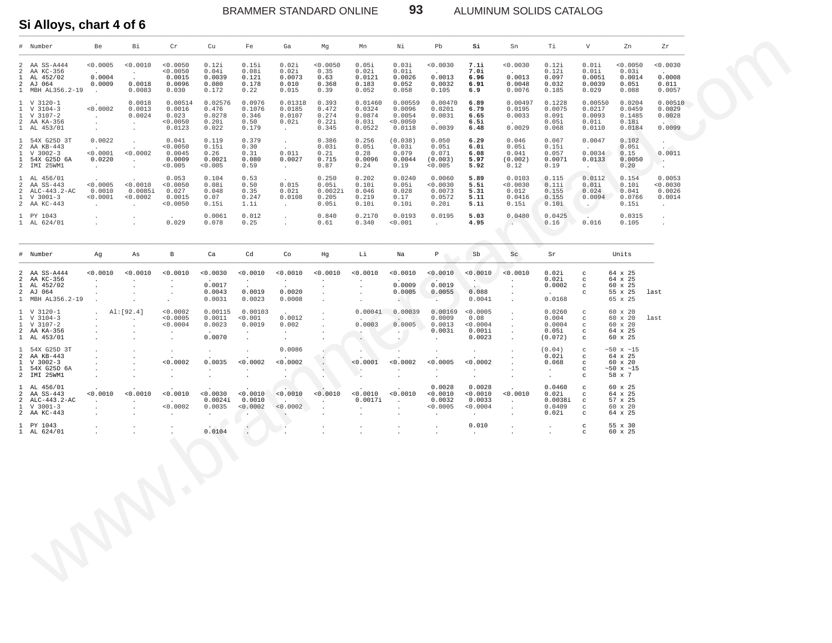BRAMMER STANDARD ONLINE **93** ALUMINUM SOLIDS CATALOG

**Si Alloys, chart 4 of 6** \_\_\_\_\_\_\_\_\_\_\_\_\_\_\_\_\_\_\_\_\_\_\_\_\_\_\_\_\_\_\_\_\_\_\_\_\_\_\_\_\_\_\_\_\_\_\_\_\_\_\_\_\_\_\_\_\_\_\_\_\_\_\_\_\_\_\_\_\_\_\_\_\_\_\_\_\_\_\_\_\_\_\_\_\_\_\_\_\_\_\_\_\_\_\_\_\_\_\_\_\_\_\_\_\_\_\_\_\_\_\_\_\_\_\_\_\_\_\_\_\_\_\_\_\_\_\_\_\_\_\_\_\_\_\_\_\_\_\_\_\_\_\_\_\_\_\_\_\_\_\_\_\_\_\_\_\_\_\_\_\_\_\_\_\_\_\_\_\_\_\_\_\_\_\_\_

|                                                                  | # Number                                                              | Be                                           | Bi                                               | $\operatorname{\sf Cr}$                                               | Cu                                                    | Fe                                                     | Ga                                                | Mg                                          | Mn                                             | Νi                                                       | Pb                                                               | Si                                                 | Sn                                                                                  | Тi                                                         | V                                                                          | Zn                                                                  | ${\tt Zr}$                                     |  |
|------------------------------------------------------------------|-----------------------------------------------------------------------|----------------------------------------------|--------------------------------------------------|-----------------------------------------------------------------------|-------------------------------------------------------|--------------------------------------------------------|---------------------------------------------------|---------------------------------------------|------------------------------------------------|----------------------------------------------------------|------------------------------------------------------------------|----------------------------------------------------|-------------------------------------------------------------------------------------|------------------------------------------------------------|----------------------------------------------------------------------------|---------------------------------------------------------------------|------------------------------------------------|--|
| 2<br>$\mathcal{L}$<br>$\mathbf{1}$<br>$\overline{2}$             | AA SS-A444<br>AA KC-356<br>AL 452/02<br>AJ 064<br>1 MBH AL356.2-19    | 0.0005<br>0.0004<br>0.0009<br>$\sim$ $\sim$  | < 0.0010<br>$\sim$<br>0.0018<br>0.0083           | < 0.0050<br>< 0.0050<br>0.0015<br>0.0096<br>0.030                     | 0.12i<br>0.04i<br>0.0039<br>0.080<br>0.172            | 0.15i<br>0.08i<br>0.121<br>0.178<br>0.22               | 0.02i<br>0.02i<br>0.0073<br>0.010<br>0.015        | < 0.0050<br>0.35<br>0.63<br>0.368<br>0.39   | 0.05i<br>0.02i<br>0.0121<br>0.183<br>0.052     | 0.03i<br>0.01i<br>0.0026<br>0.052<br>0.058               | 0.0030<br>0.0013<br>0.0032<br>0.105                              | 7.1i<br>7.Oi<br>6.96<br>6.91<br>6.9                | 0.0030<br>0.0013<br>0.0048<br>0.0076                                                | 0.12i<br>0.121<br>0.097<br>0.032<br>0.185                  | 0.01i<br>0.01i<br>0.0051<br>0.0039<br>0.029                                | 0.0050<br>0.03i<br>0.0014<br>0.051<br>0.088                         | 0.0030<br>0.0008<br>0.011<br>0.0057            |  |
| $\mathbf{1}$<br>$\overline{1}$<br>$\overline{a}$<br>$\mathbf{1}$ | 1 V 3120-1<br>$V$ 3104-3<br>$V$ 3107-2<br>AA KA-356<br>AL 453/01      | < 0.0002<br>$\sim$<br>$\cdot$<br>$\sim$      | 0.0018<br>0.0013<br>0.0024<br>$\cdot$<br>$\cdot$ | 0.00514<br>0.0016<br>0.023<br>< 0.0050<br>0.0123                      | 0.02576<br>0.476<br>0.0278<br>0.20i<br>0.022          | 0.0976<br>0.1076<br>0.346<br>0.50<br>0.179             | 0.01318<br>0.0185<br>0.0107<br>0.02i<br>$\sim$    | 0.393<br>0.472<br>0.274<br>0.22i<br>0.345   | 0.01460<br>0.0324<br>0.0874<br>0.03i<br>0.0522 | 0.00559<br>0.0096<br>0.0054<br>< 0.0050<br>0.0118        | 0.00470<br>0.0201<br>0.0031<br>0.0039                            | 6.89<br>6.79<br>6.65<br>6.5i<br>6.48               | 0.00497<br>0.0195<br>0.0033<br>0.0029                                               | 0.1228<br>0.0075<br>0.091<br>0.05i<br>0.068                | 0.00550<br>0.0217<br>0.0093<br>0.01i<br>0.0110                             | 0.0204<br>0.0459<br>0.1485<br>0.18i<br>0.0184                       | 0.00510<br>0.0029<br>0.0028<br>0.0099          |  |
| $\overline{1}$<br>2<br>$\mathbf{1}$<br>$\overline{1}$            | 54X G25D 3T<br>AA KB-443<br>$V$ 3002-3<br>54X G25D 6A<br>2 IMI 25WM1  | 0.0022<br>< 0.0001<br>0.0220<br>$\sim$       | $\mathbf{r}$<br>< 0.0002<br>$\cdot$              | 0.041<br>< 0.0050<br>0.0045<br>0.0009<br>< 0.005                      | 0.119<br>0.15i<br>0.26<br>0.0021<br>< 0.005           | 0.379<br>0.30<br>0.31<br>0.080<br>0.59                 | $\sim$<br>0.011<br>0.0027<br>$\sim$               | 0.386<br>0.03i<br>0.21<br>0.715<br>0.87     | 0.256<br>0.05i<br>0.28<br>0.0096<br>0.24       | (0.038)<br>0.03i<br>0.079<br>0.0044<br>0.19              | 0.050<br>0.05i<br>0.071<br>(0.003)<br>< 0.005                    | 6.29<br>6.0i<br>6.08<br>5.97<br>5.92               | 0.046<br>0.05i<br>0.041<br>(0.002)<br>0.12                                          | 0.067<br>0.15i<br>0.057<br>0.0071<br>0.19                  | 0.0047<br>0.0034<br>0.0133<br>$\ddot{\phantom{0}}$                         | 0.102<br>0.05i<br>0.15<br>0.0050<br>0.20                            | 0.0011<br>- 50<br>$\ddot{\phantom{a}}$         |  |
| 2<br>2<br>$\mathbf{1}$                                           | 1 AL 456/01<br>AA SS-443<br>ALC-443.2-AC<br>$V$ 3001-3<br>2 AA KC-443 | < 0.0005<br>0.0010<br>< 0.0001<br>$\cdot$    | < 0.0010<br>0.0085i<br>< 0.0002                  | 0.053<br>0.0050<br>0.027<br>0.0015<br>0.0050                          | 0.104<br>0.08i<br>0.048<br>0.07<br>0.15i              | 0.53<br>0.50<br>0.35<br>0.247<br>1.1i                  | 0.015<br>0.021<br>0.0108<br>$\sim$                | 0.250<br>0.05i<br>0.0022i<br>0.205<br>0.05i | 0.202<br>0.10i<br>0.046<br>0.219<br>0.10i      | 0.0240<br>0.05i<br>0.028<br>0.17<br>0.10i                | 0.0060<br>0.0030<br>0.0073<br>0.0572<br>0.20i                    | 5.89<br>5.5i<br>5.31<br>5.11<br>5.1i               | 0.0103<br>< 0.0030<br>0.012<br>0.0416<br>0.15i                                      | 0.115<br>0.11i<br>0.155<br>0.155<br>0.10i                  | 0.0112<br>0.01i<br>0.024<br>0.0094<br>$\sim$ $\sim$                        | 0.154<br>0.10i<br>0.041<br>0.0766<br>0.15i                          | 0.0053<br>0.0030<br>0.0026<br>0.0014<br>$\sim$ |  |
|                                                                  | 1 PY 1043<br>1 AL 624/01                                              | $\cdot$<br>$\cdot$                           | $\ddot{\phantom{a}}$                             | 0.029                                                                 | 0.0061<br>0.078                                       | 0.012<br>0.25                                          | $\sim$<br>$\ddot{\phantom{a}}$                    | 0.840<br>0.61                               | 0.2170<br>0.340                                | 0.0193<br>< 0.001                                        | 0.0195<br>$\ddot{\phantom{a}}$                                   | 5.03<br>4.95                                       | 0.0480<br>$\sim$                                                                    | 0.0425<br>0.16                                             | 0.016                                                                      | 0.0315<br>0.105                                                     | $\cdot$<br>$\cdot$                             |  |
|                                                                  | # Number                                                              | Aq                                           | As                                               | в                                                                     | Ca                                                    | Cd                                                     | Co                                                | Hg                                          | Li                                             | Na                                                       | $\mathbb{P}$                                                     | Sb                                                 | Sc                                                                                  | Sr                                                         |                                                                            | Units                                                               |                                                |  |
| 2<br>2<br>$\overline{1}$                                         | AA SS-A444<br>AA KC-356<br>AL 452/02<br>2 AJ 064<br>1 MBH AL356.2-19  | 0.0010<br>$\mathbf{r}$<br>$\cdot$<br>$\cdot$ | < 0.0010                                         | < 0.0010<br>$\cdot$<br>$\cdot$<br>$\cdot$                             | < 0.0030<br>0.0017<br>0.0043<br>0.0031                | < 0.0010<br>$\sim$<br>0.0019<br>0.0023                 | < 0.0010<br>$\sim$<br>0.0020<br>0.0008            | < 0.0010<br>$\mathbf{r}$<br>$\cdot$         | 0.0010<br>$\blacksquare$<br>$\cdot$            | 0.0010<br>0.0009<br>0.0005                               | < 0.0010<br>0.0019<br>0.0055                                     | < 0.0010<br><b>AND I</b><br>0.088<br>0.0041        | < 0.0010<br>$\mathbf{r}$<br>$\ddot{\phantom{0}}$<br>$\cdot$<br>$\ddot{\phantom{0}}$ | 0.02i<br>0.02i<br>0.0002<br>0.0168                         | $\mathbf C$<br>$\mathtt{C}$<br>$\mathbf C$<br>$\mathtt{C}$                 | 64 x 25<br>64 x 25<br>60 x 25<br>55 x 25<br>65 x 25                 | last                                           |  |
| $\mathbf{1}$<br>-1<br>$\overline{a}$                             | 1 V 3120-1<br>$V$ 3104-3<br>$V$ 3107-2<br>AA KA-356<br>1 AL 453/01    | $\ddot{\phantom{a}}$                         | Al: [92.4]<br>$\cdot$                            | < 0.0002<br>< 0.0005<br>$< 0.0004$<br>$\cdot$<br>$\ddot{\phantom{a}}$ | 0.00115<br>0.0011<br>0.0023<br>0.0070                 | 0.00103<br>< 0.001<br>0.0019<br>$\cdot$<br>$\Box$      | 0.0012<br>0.002<br>$\sim$<br>$\ddot{\phantom{a}}$ | $\mathbf{r}$                                | 0.00041<br>0.0003<br>$\blacksquare$            | 0.00039<br>0.0005<br>$\ddot{\phantom{0}}$                | 0.00169<br>0.0009<br>0.0013<br>0.003i<br>$\Delta$                | < 0.0005<br>0.08<br>0.0004<br>0.001i<br>0.0023     | $\cdot$<br>$\cdot$<br>$\cdot$<br>$\cdot$                                            | 0.0260<br>0.004<br>0.0004<br>0.05i<br>(0.072)              | $_{\rm C}$<br>$\mathbf{C}$<br>$_{\rm C}$<br>$\mathtt{C}$<br>$\mathbf C$    | 60 x 20<br>$60 \times 20$<br>60 x 20<br>64 x 25<br>60 x 25          | last                                           |  |
| $\mathbf{1}$<br>2<br>$\mathbf{1}$<br>$\overline{1}$              | 54X G25D 3T<br>AA KB-443<br>$V$ 3002-3<br>54X G25D 6A<br>2 IMI 25WM1  | $\mathbf{r}$                                 | $\ddot{\phantom{a}}$                             | $\cdot$<br>< 0.0002<br>$\cdot$<br>$\cdot$                             | 0.0035                                                | $\ddot{\phantom{0}}$<br>< 0.0002<br>$\cdot$<br>$\cdot$ | 0.0086<br>0.0002<br>$\cdot$<br>$\sim$ 100 $\pm$   | $\ddot{\phantom{a}}$                        | < 0.0001<br>$\sim$                             | < 0.0002                                                 | 0.0005<br>$\ddot{\phantom{1}}$                                   | $\cdot$<br>< 0.0002<br>$\cdot$<br>$\cdot$          |                                                                                     | (0.04)<br>0.02i<br>0.068<br>$\sim$<br>$\ddot{\phantom{a}}$ | $\mathbf C$<br>$\mathtt{C}$<br>$\mathbf{C}$<br>$\mathbf C$<br>$\mathtt{C}$ | $~150 \times ~15$<br>64 x 25<br>60 x 20<br>$~150$ x $~15$<br>58 x 7 |                                                |  |
| 1<br>$\overline{a}$<br>2<br>$\mathbf{1}$                         | AL 456/01<br>AA SS-443<br>ALC-443.2-AC<br>$V$ 3001-3<br>2 AA KC-443   | < 0.0010<br>$\cdot$<br>$\cdot$               | < 0.0010<br>$\cdot$                              | < 0.0010<br>< 0.0002<br>$\cdot$                                       | < 0.0030<br>0.0024i<br>0.0035<br>$\ddot{\phantom{a}}$ | < 0.0010<br>0.0010<br>< 0.0002<br>$\cdot$              | < 0.0010<br>< 0.0002<br>$\ddot{\phantom{1}}$      | < 0.0010                                    | < 0.0010<br>0.0017i<br>$\ddot{\phantom{a}}$    | < 0.0010<br>$\ddot{\phantom{a}}$<br>$\ddot{\phantom{a}}$ | 0.0028<br>< 0.0010<br>0.0032<br>< 0.0005<br>$\ddot{\phantom{a}}$ | 0.0028<br>< 0.0010<br>0.0033<br>< 0.0004<br>$\sim$ | < 0.0010<br>$\bullet$<br>$\cdot$<br>$\cdot$                                         | 0.0460<br>0.02i<br>0.0038i<br>0.0409<br>0.02i              | $\mathbf C$<br>$\mathbf C$<br>$_{\rm c}$<br>$\mathbf C$<br>$\mathtt{C}$    | 60 x 25<br>64 x 25<br>57 x 25<br>60 x 20<br>64 x 25                 |                                                |  |
|                                                                  | 1 PY 1043<br>1 AL 624/01                                              | $\cdot$                                      |                                                  | $\cdot$<br>$\cdot$                                                    | 0.0104                                                | $\mathcal{L}_{\mathcal{A}}$<br>$\cdot$                 | $\cdot$                                           | $\ddot{\phantom{a}}$                        | $\ddot{\phantom{0}}$                           | $\cdot$<br>$\ddot{\phantom{a}}$                          | $\Delta$<br>$\ddot{\phantom{a}}$                                 | 0.010<br>$\ddot{\phantom{a}}$                      | $\cdot$<br>$\ddot{\phantom{0}}$                                                     | $\cdot$                                                    | $\mathtt{C}$<br>$\mathbf C$                                                | 55 x 30<br>60 x 25                                                  |                                                |  |
|                                                                  |                                                                       |                                              |                                                  |                                                                       |                                                       |                                                        |                                                   |                                             |                                                |                                                          |                                                                  |                                                    |                                                                                     |                                                            |                                                                            |                                                                     |                                                |  |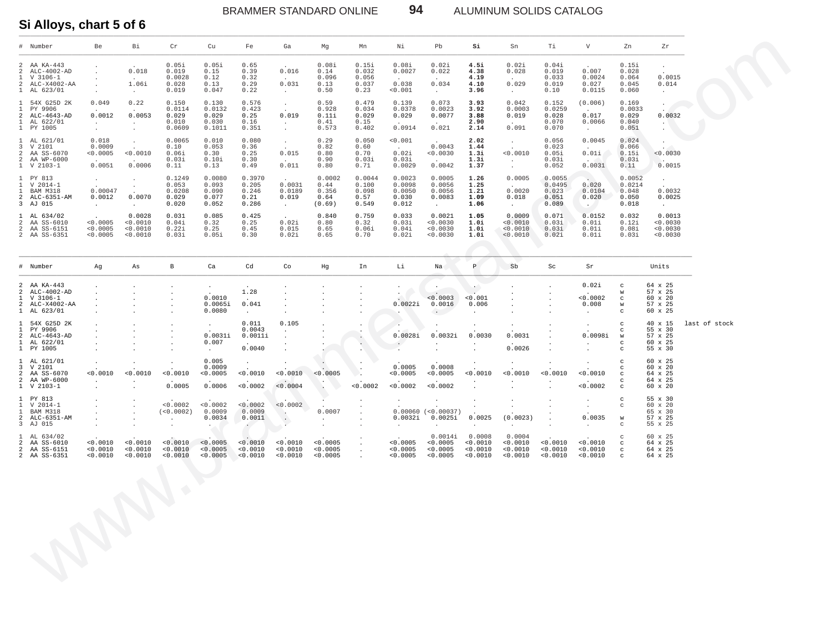BRAMMER STANDARD ONLINE **94** ALUMINUM SOLIDS CATALOG

#### **Si Alloys, chart 5 of 6** \_\_\_\_\_\_\_\_\_\_\_\_\_\_\_\_\_\_\_\_\_\_\_\_\_\_\_\_\_\_\_\_\_\_\_\_\_\_\_\_\_\_\_\_\_\_\_\_\_\_\_\_\_\_\_\_\_\_\_\_\_\_\_\_\_\_\_\_\_\_\_\_\_\_\_\_\_\_\_\_\_\_\_\_\_\_\_\_\_\_\_\_\_\_\_\_\_\_\_\_\_\_\_\_\_\_\_\_\_\_\_\_\_\_\_\_\_\_\_\_\_\_\_\_\_\_\_\_\_\_\_\_\_\_\_\_\_\_\_\_\_\_\_\_\_\_\_\_\_\_\_\_\_\_\_\_\_\_\_\_\_\_\_\_\_\_\_\_\_\_\_\_\_\_\_\_

| $\pm$                                                                          | Number                                                                  | Be                                         | Bi                                                | $\operatorname{Cr}$                         | Cu                                                   | Fe                                        | Ga                                                                 | Mg                                        | Mn                                                     | Νi                                           | Pb                                             | Si                                                  | Sn                                             | Τi                                          | V                                                    | Zn                                                                           | Zr                                                  |               |
|--------------------------------------------------------------------------------|-------------------------------------------------------------------------|--------------------------------------------|---------------------------------------------------|---------------------------------------------|------------------------------------------------------|-------------------------------------------|--------------------------------------------------------------------|-------------------------------------------|--------------------------------------------------------|----------------------------------------------|------------------------------------------------|-----------------------------------------------------|------------------------------------------------|---------------------------------------------|------------------------------------------------------|------------------------------------------------------------------------------|-----------------------------------------------------|---------------|
| $\mathfrak{D}$<br>2<br>1<br>$\mathcal{L}$<br>$\mathbf{1}$                      | AA KA-443<br>ALC-4002-AD<br>$V$ 3106-1<br>ALC-X4002-AA<br>AL 623/01     | $\cdot$<br>$\cdot$<br>$\ddot{\phantom{a}}$ | 0.018<br>1.06i<br>$\sim$                          | 0.05i<br>0.019<br>0.0028<br>0.028<br>0.019  | 0.05i<br>0.15<br>0.12<br>0.13<br>0.047               | 0.65<br>0.39<br>0.32<br>0.29<br>0.22      | 0.016<br>0.031<br>$\sim$ $-$                                       | 0.08i<br>0.14<br>0.096<br>0.13<br>0.50    | 0.15i<br>0.032<br>0.056<br>0.037<br>0.23               | 0.08i<br>0.0027<br>0.038<br>< 0.001          | 0.02i<br>0.022<br>0.034<br>$\sim$ $-$          | 4.5i<br>4.38<br>4.19<br>4.10<br>3.96                | 0.02i<br>0.028<br>0.029<br>$\sim$ $-$          | 0.04i<br>0.019<br>0.033<br>0.019<br>0.10    | 0.007<br>0.0024<br>0.027<br>0.0115                   | 0.15i<br>0.028<br>0.064<br>0.045<br>0.060                                    | $\cdot$<br>0.0015<br>0.014<br>$\sim$ $\sim$         |               |
| $\mathbf{1}$<br>$\mathbf{1}$<br>$\overline{a}$<br>$\mathbf{1}$<br>$\mathbf{1}$ | 54X G25D 2K<br>PY 9906<br>ALC-4643-AD<br>AL 622/01<br>PY 1005           | 0.049<br>0.0012<br>$\cdot$<br>$\sim$       | 0.22<br>0.0053<br>$\cdot$<br>$\cdot$              | 0.150<br>0.0114<br>0.029<br>0.010<br>0.0609 | 0.130<br>0.0132<br>0.029<br>0.030<br>0.1011          | 0.576<br>0.423<br>0.25<br>0.16<br>0.351   | $\sim$<br>0.019<br>$\sim$<br>$\sim$                                | 0.59<br>0.928<br>0.11i<br>0.41<br>0.573   | 0.479<br>0.034<br>0.029<br>0.15<br>0.402               | 0.139<br>0.0378<br>0.029<br>0.0914           | 0.073<br>0.0023<br>0.0077<br>0.021             | 3.93<br>3.92<br>3.88<br>2.90<br>2.14                | 0.042<br>0.0003<br>0.019<br>0.091              | 0.152<br>0.0259<br>0.028<br>0.070<br>0.070  | (0.006)<br>0.017<br>0.0066<br>$\sim$                 | 0.169<br>0.0033<br>0.029<br>0.040<br>0.051                                   | $\cdot$<br>0.0032<br>$\cdot$<br>$\blacksquare$      |               |
| $\mathbf{1}$<br>3<br>2<br>$\overline{a}$                                       | AL 621/01<br>V 2101<br>AA SS-6070<br>AA WP-6000<br>$1 \tV 2103-1$       | 0.018<br>0.0009<br>< 0.0005<br>0.0051      | $\ddot{\phantom{a}}$<br>< 0.0010<br>0.0006        | 0.0065<br>0.10<br>0.06i<br>0.03i<br>0.11    | 0.010<br>0.053<br>0.30<br>0.10i<br>0.13              | 0.080<br>0.36<br>0.25<br>0.30<br>0.49     | $\sim$<br>0.015<br>0.011                                           | 0.29<br>0.82<br>0.80<br>0.90<br>0.80      | 0.050<br>0.60<br>0.70<br>0.03i<br>0.71                 | 0.001<br>0.02i<br>0.03i<br>0.0029            | 0.0043<br>0.0030<br>0.0042                     | 2.02<br>1.44<br>1.3i<br>1.3i<br>1.37                | $\sim$<br>< 0.0010<br>$\sim$ $\sim$<br>$\cdot$ | 0.056<br>0.023<br>0.05i<br>0.03i<br>0.052   | 0.0045<br>$0.01i$<br>0.0031                          | 0.024<br>0.066<br>0.15i<br>0.03i<br>0.11                                     | $\cdot$<br>0.0030<br>0.0015                         |               |
| 1<br>1<br>2                                                                    | 1 PY 813<br>V 2014-1<br>BAM M318<br>ALC-6351-AM<br>3 AJ 015             | $\cdot$<br>0.00047<br>0.0012<br>$\sim$     | $\cdot$<br>0.0070<br>$\sim$                       | 0.1249<br>0.053<br>0.0208<br>0.029<br>0.020 | 0.0080<br>0.093<br>0.090<br>0.077<br>0.052           | 0.3970<br>0.205<br>0.246<br>0.21<br>0.286 | 0.0031<br>0.0189<br>0.019<br>$\sim$                                | 0.0002<br>0.44<br>0.356<br>0.64<br>(0.69) | 0.0044<br>0.100<br>0.098<br>0.57<br>0.549              | 0.0023<br>0.0098<br>0.0050<br>0.030<br>0.012 | 0.0005<br>0.0056<br>0.0056<br>0.0083<br>$\sim$ | 1.26<br>1.25<br>1.21<br>1.09<br>1.06                | 0.0005<br>0.0020<br>0.018<br>$\sim$            | 0.0055<br>0.0495<br>0.023<br>0.051<br>0.089 | 0.020<br>0.0104<br>0.020<br>$\sim$                   | 0.0052<br>0.0214<br>0.048<br>0.050<br>0.018                                  | $\cdot$<br>0.0032<br>0.0025<br>$\sim$               |               |
| $\mathbf{1}$<br>$\overline{a}$<br>2                                            | AL 634/02<br>AA SS-6010<br>AA SS-6151<br>2 AA SS-6351                   | < 0.0005<br>< 0.0005<br>< 0.0005           | 0.0028<br>< 0.0010<br>0.0010<br>< 0.0010          | 0.031<br>0.04i<br>0.22i<br>0.03i            | 0.085<br>0.32<br>0.25<br>0.05i                       | 0.425<br>0.25<br>0.45<br>0.30             | 0.02i<br>0.015<br>0.02i                                            | 0.840<br>0.80<br>0.65<br>0.65             | 0.759<br>0.32<br>0.06i<br>0.70                         | 0.033<br>0.03i<br>0.04i<br>0.02i             | 0.0021<br>< 0.0030<br>< 0.0030<br>< 0.0030     | 1.05<br>1.0i<br>1.0i<br>1.0i                        | 0.0009<br>< 0.0010<br>< 0.0010<br>< 0.0010     | 0.071<br>0.03i<br>0.03i<br>0.02i            | 0.0152<br>0.01i<br>0.01i<br>0.01i                    | 0.032<br>0.12i<br>0.08i<br>0.03i                                             | 0.0013<br>< 0.0030<br>0.0030<br>0.0030              |               |
|                                                                                | # Number                                                                | Ag                                         | As                                                | $\, {\bf B}$                                | Ca                                                   | $_{\rm cd}$                               | Co                                                                 | Hg                                        | In                                                     | Li                                           | Na                                             | $\, {\bf p} \,$                                     | Sb                                             | Sc                                          | Sr                                                   |                                                                              | Units                                               |               |
| 2<br>2<br>$\mathbf{1}$<br>$\overline{a}$<br>$\mathbf{1}$                       | AA KA-443<br>ALC-4002-AD<br>$V$ 3106-1<br>ALC-X4002-AA<br>AL 623/01     |                                            | $\cdot$                                           | $\cdot$<br>$\cdot$                          | 0.0010<br>0.0065i<br>0.0080                          | 1.28<br>0.041<br>$\ddot{\phantom{a}}$     | $\sim$<br>$\bullet$<br>$\ddot{\phantom{a}}$                        | $\ddot{\phantom{a}}$                      | $\ddot{\phantom{a}}$                                   | $\sim$<br>0.0022i                            | < 0.0003<br>0.0016<br>$\sim$ 100 $\pm$         | $\cdot$<br>< 0.001<br>0.006<br>$\ddot{\phantom{a}}$ | $\cdot$<br>$\ddot{\phantom{a}}$                | $\cdot$<br>$\cdot$<br>$\cdot$               | 0.02i<br>0.0002<br>0.008<br>$\cdot$                  | $\mathtt{C}$<br>W<br>$\mathbf{C}$<br>$\mathsf{W}$<br>$_{\rm C}$              | 64 x 25<br>57 x 25<br>60 x 20<br>57 x 25<br>60 x 25 |               |
| $\mathbf{1}$<br>$\mathbf{1}$<br>$\overline{a}$<br>$\mathbf{1}$<br>$\mathbf{1}$ | 54X G25D 2K<br>PY 9906<br>ALC-4643-AD<br>AL 622/01<br>PY 1005           | $\cdot$                                    | $\cdot$                                           | $\cdot$<br>$\cdot$                          | $\cdot$<br>0.0031i<br>0.007<br>$\bullet$             | 0.011<br>0.0043<br>0.0011i<br>0.0040      | 0.105<br>$\bullet$<br>$\ddot{\phantom{a}}$<br>$\ddot{\phantom{0}}$ |                                           | $\cdot$<br>¥.                                          | 0.0028i                                      | 0.0032i<br>$\ddot{\phantom{a}}$                | $\ddot{\phantom{a}}$<br>0.0030<br>$\sim$            | 0.0031<br>0.0026                               |                                             | $\mathbf{r}$<br>0.0098i<br>$\blacksquare$            | $\mathtt{C}$<br>$\mathtt{C}$<br>W<br>$\mathcal{C}$<br>$_{\rm C}$             | 40 x 15<br>55 x 30<br>57 x 25<br>60 x 25<br>55 x 30 | last of stock |
| 3<br>2<br>$\overline{a}$                                                       | 1 AL 621/01<br>V 2101<br>AA SS-6070<br>AA WP-6000<br>$1 \quad V 2103-1$ | < 0.0010<br>$\sim$                         | < 0.0010<br>$\cdot$                               | < 0.0010<br>0.0005                          | 0.005<br>0.0009<br>< 0.0005<br>0.0006                | $\cdot$<br>0.0010<br>< 0.0002             | < 0.0010<br>< 0.0004                                               | < 0.0005<br>$\ddot{\phantom{1}}$          | ٠.<br>0.0002                                           | 0.0005<br>0.0005<br>< 0.0002                 | 0.0008<br>< 0.0005<br>< 0.0002                 | < 0.0010<br>$\cdot$                                 | < 0.0010<br>$\cdot$                            | $< 0.0010$<br>$\cdot$                       | 0.0010<br>< 0.0002                                   | $\mathbf C$<br>$\mathtt{C}$<br>$\mathtt{C}$<br>$\mathtt{C}$<br>$\mathcal{C}$ | 60 x 25<br>60 x 20<br>64 x 25<br>64 x 25<br>60 x 20 |               |
| $\mathbf{1}$<br>$\mathbf{1}$<br>$\overline{a}$<br>3                            | 1 PY 813<br>V 2014-1<br>BAM M318<br>ALC-6351-AM<br>AJ 015               |                                            | $\overline{a}$<br>$\ddot{\phantom{0}}$<br>$\cdot$ | < 0.0002<br>(<0.0002)<br>$\cdot$<br>$\cdot$ | < 0.0002<br>0.0009<br>0.0034<br>$\ddot{\phantom{0}}$ | < 0.0002<br>0.0009<br>0.0011<br>$\sim$    | < 0.0002<br>$\rightarrow$<br>$\cdot$<br>×.                         | 0.0007<br>$\mathcal{L}$                   |                                                        | 0.0032i<br>$\cdot$                           | $0.00060$ (<0.00037)<br>$0.0025$ i             | $\cdot$<br>0.0025<br>$\ddot{\phantom{0}}$           | (0.0023)<br>$\ddot{\phantom{a}}$               |                                             | $\cdot$<br>$\cdot$<br>0.0035<br>$\ddot{\phantom{a}}$ | $_{\rm C}$<br>$_{\rm C}$<br>W<br>$\mathbf C$                                 | 55 x 30<br>60 x 20<br>65 x 30<br>57 x 25<br>55 x 25 |               |
| $\mathbf{1}$<br>$\overline{a}$<br>2                                            | AL 634/02<br>AA SS-6010<br>AA SS-6151<br>2 AA SS-6351                   | < 0.0010<br>< 0.0010<br>< 0.0010           | < 0.0010<br>0.0010<br>0.0010                      | < 0.0010<br>< 0.0010<br>< 0.0010            | < 0.0005<br>< 0.0005<br>< 0.0005                     | < 0.0010<br>0.0010<br>< 0.0010            | < 0.0010<br>0.0010<br>0.0010                                       | < 0.0005<br>< 0.0005<br>< 0.0005          | $\ddot{\phantom{1}}$<br>$\sim$<br>$\ddot{\phantom{a}}$ | < 0.0005<br>< 0.0005<br>< 0.0005             | 0.0014i<br>< 0.0005<br>< 0.0005<br>< 0.0005    | 0.0008<br>< 0.0010<br>0.0010<br>0.0010              | 0.0004<br>< 0.0010<br>0.0010<br>< 0.0010       | < 0.0010<br>< 0.0010<br>< 0.0010            | < 0.0010<br>0.0010<br>0.0010                         | $_{\rm C}$<br>$_{\rm c}$<br>$_{\rm c}$<br>$_{\rm c}$                         | 60 x 25<br>64 x 25<br>64 x 25<br>64 x 25            |               |
|                                                                                |                                                                         |                                            |                                                   |                                             |                                                      |                                           |                                                                    |                                           |                                                        |                                              |                                                |                                                     |                                                |                                             |                                                      |                                                                              |                                                     |               |
|                                                                                |                                                                         |                                            |                                                   |                                             |                                                      |                                           |                                                                    |                                           |                                                        |                                              |                                                |                                                     |                                                |                                             |                                                      |                                                                              |                                                     |               |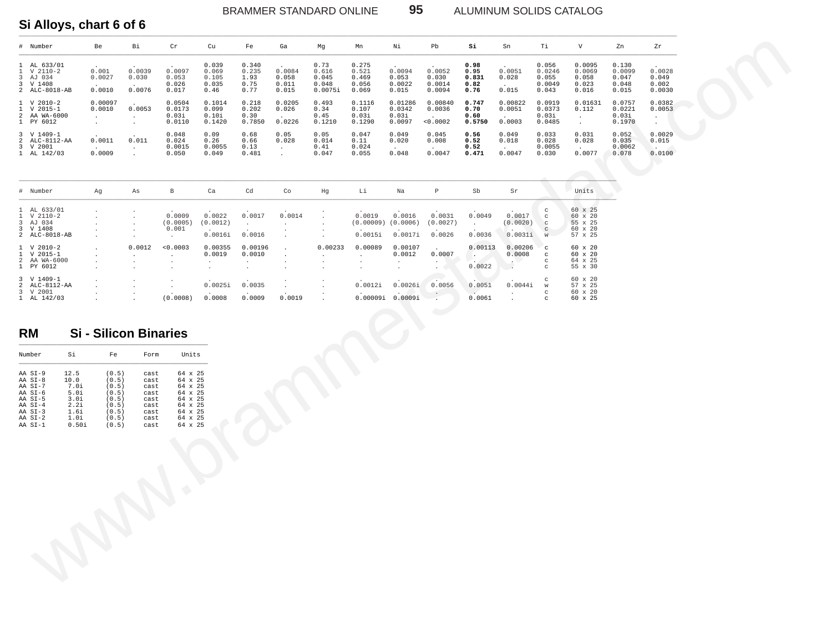ALUMINUM SOLIDS CATALOG

## Si Alloys, chart 6 of 6

| # Number                                                                         | Be                        | Вi                        | Cr                                  | Cu                                       | Fe                                     | Ga                                | Mg                                         | Mn                                        | Νi                                   | Pb.                                 | Si                                    | Sn                          | Τi                                          | V                                           | Zn                                         | Zr                                                 |
|----------------------------------------------------------------------------------|---------------------------|---------------------------|-------------------------------------|------------------------------------------|----------------------------------------|-----------------------------------|--------------------------------------------|-------------------------------------------|--------------------------------------|-------------------------------------|---------------------------------------|-----------------------------|---------------------------------------------|---------------------------------------------|--------------------------------------------|----------------------------------------------------|
| 1 AL 633/01<br>$1 \quad V \quad 2110-2$<br>3 AJ 034<br>3 V 1408<br>2 ALC-8018-AB | 0.001<br>0.0027<br>0.0010 | 0.0039<br>0.030<br>0.0076 | 0.0097<br>0.053<br>0.026<br>0.017   | 0.039<br>0.069<br>0.105<br>0.035<br>0.46 | 0.340<br>0.235<br>1.93<br>0.75<br>0.77 | 0.0084<br>0.058<br>0.011<br>0.015 | 0.73<br>0.616<br>0.045<br>0.048<br>0.0075i | 0.275<br>0.521<br>0.469<br>0.056<br>0.069 | 0.0094<br>0.053<br>0.0022<br>0.015   | 0.0052<br>0.030<br>0.0014<br>0.0094 | 0.98<br>0.95<br>0.831<br>0.82<br>0.76 | 0.0051<br>0.028<br>0.015    | 0.056<br>0.0246<br>0.055<br>0.0049<br>0.043 | 0.0095<br>0.0069<br>0.058<br>0.023<br>0.016 | 0.130<br>0.0099<br>0.047<br>0.048<br>0.015 | 0.0028<br>0.049<br>0.002<br>0.0030                 |
| $1 \quad V \quad 2010-2$<br>$1 \,$ V 2015-1<br>2 AA WA-6000<br>1 PY 6012         | 0.00097<br>0.0010         | 0.0053                    | 0.0504<br>0.0173<br>0.03i<br>0.0110 | 0.1014<br>0.099<br>0.10i<br>0.1420       | 0.218<br>0.202<br>0.30<br>0.7850       | 0.0205<br>0.026<br>0.0226         | 0.493<br>0.34<br>0.45<br>0.1210            | 0.1116<br>0.107<br>0.03i<br>0.1290        | 0.01286<br>0.0342<br>0.03i<br>0.0097 | 0.00840<br>0.0036<br>< 0.0002       | 0.747<br>0.70<br>0.60<br>0.5750       | 0.00822<br>0.0051<br>0.0003 | 0.0919<br>0.0373<br>0.03i<br>0.0485         | 0.01631<br>0.112                            | 0.0757<br>0.0221<br>0.03i<br>0.1970        | 0.0382<br>0.0053<br>$\ddot{\phantom{0}}$<br>$\sim$ |
| 3 V 1409-1<br>2 ALC-8112-AA<br>3 V 2001<br>1 AL 142/03                           | 0.0011<br>0.0009          | 0.011                     | 0.048<br>0.024<br>0.0015<br>0.050   | 0.09<br>0.26<br>0.0055<br>0.049          | 0.68<br>0.66<br>0.13<br>0.481          | 0.05<br>0.028                     | 0.05<br>0.014<br>0.41<br>0.047             | 0.047<br>0.11<br>0.024<br>0.055           | 0.049<br>0.020<br>0.048              | 0.045<br>0.008<br>0.0047            | 0.56<br>0.52<br>0.52<br>0.471         | 0.049<br>0.018<br>0.0047    | 0.033<br>0.028<br>0.0055<br>0.030           | 0.031<br>0.028<br>0.0077                    | 0.052<br>0.035<br>0.0062<br>0.078          | 0.0029<br>0.015<br>0.0100                          |

95

| # Number                                                                            | Aq | As     | B                           | Ca                            | Cd                | Co     | Hg                   | Li                                       | Na                            | P                            | Sb                | Sr                            |                                                           | Units                                                             |
|-------------------------------------------------------------------------------------|----|--------|-----------------------------|-------------------------------|-------------------|--------|----------------------|------------------------------------------|-------------------------------|------------------------------|-------------------|-------------------------------|-----------------------------------------------------------|-------------------------------------------------------------------|
| 1 AL 633/01<br>$1 \quad V \quad 2110-2$<br>3 AJ 034<br>3 V 1408<br>2 ALC-8018-AB    |    |        | 0.0009<br>(0.0005)<br>0.001 | 0.0022<br>(0.0012)<br>0.0016i | 0.0017<br>0.0016  | 0.0014 | $\sim$               | 0.0019<br>(0.00009)<br>$\sim$<br>0.0015i | 0.0016<br>(0.0006)<br>0.0017i | 0.0031<br>(0.0027)<br>0.0026 | 0.0049<br>0.0036  | 0.0017<br>(0.0020)<br>0.0031i | $\mathbf C$<br>$\mathbf{C}$<br>$\circ$<br>$_{\rm C}$<br>W | 60 x 25<br>60 x 20<br>55 x 25<br>$60 \times 20$<br>$57 \times 25$ |
| $1 \quad V \quad 2010-2$<br>$1 \quad V \quad 2015 - 1$<br>2 AA WA-6000<br>1 PY 6012 |    | 0.0012 | < 0.0003<br>$\cdot$         | 0.00355<br>0.0019<br>$\cdot$  | 0.00196<br>0.0010 | $\sim$ | 0.00233<br>$\sim$    | 0.00089                                  | 0.00107<br>0.0012             | 0.0007<br>$\sim$             | 0.00113<br>0.0022 | 0.00206<br>0.0008             | $\mathbb{C}$<br>$\mathbf{C}$<br>C.<br>c                   | $60 \times 20$<br>$60 \times 20$<br>64 x 25<br>55 x 30            |
| 3 V 1409-1<br>2 ALC-8112-AA<br>3 V 2001<br>1 AL 142/03                              |    |        | (0.0008)                    | 0.0025i<br>0.0008             | 0.0035<br>0.0009  | 0.0019 | $\ddot{\phantom{1}}$ | 0.0012i<br>0.00009i                      | 0.0026i<br>0.0009i            | 0.0056                       | 0.0051<br>0.0061  | 0.0044i                       | $\mathbf C$<br>W<br>C.<br>$\mathbf{C}$                    | $60 \times 20$<br>57 x 25<br>$60 \times 20$<br>60 x 25            |

#### Si - Silicon Binaries **RM**

| Number  | Si    | Fe    | Form | Units   |
|---------|-------|-------|------|---------|
| AA SI-9 | 12.5  | (0.5) | cast | 64 x 25 |
| AA SI-8 | 10.0  | (0.5) | cast | 64 x 25 |
| AA SI-7 | 7.Oi  | (0.5) | cast | 64 x 25 |
| AA SI-6 | 5.Oi  | (0.5) | cast | 64 x 25 |
| AA SI-5 | 3.0i  | (0.5) | cast | 64 x 25 |
| AA SI-4 | 2.2i  | (0.5) | cast | 64 x 25 |
| AA SI-3 | 1.6i  | (0.5) | cast | 64 x 25 |
| AA SI-2 | 1.0i  | (0.5) | cast | 64 x 25 |
| AA SI-1 | 0.50i | (0.5) | cast | 64 x 25 |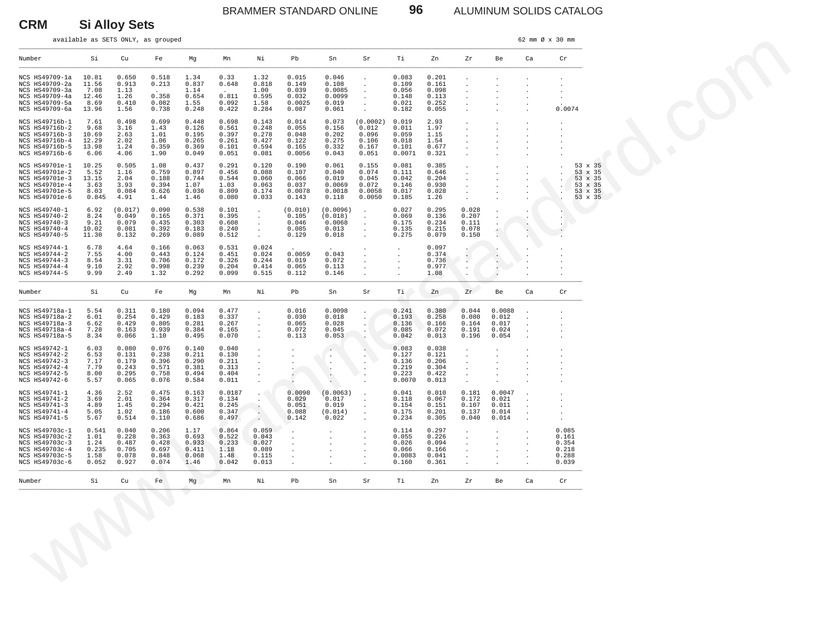BRAMMER STANDARD ONLINE **96** ALUMINUM SOLIDS CATALOG

available as SETS ONLY, as grouped  $\frac{62 \text{ mm}}{9 \times 30 \text{ mm}}}$   $\theta \times 30 \text{ mm}$ 

**CRM Si Alloy Sets**

| Number                                                                                                   |                                                  |                                                    |                                                    |                                                    |                                                    |                                                                               |                                                     |                                                      |                                                                        |                                                     |                                                    |                                                                 |                                                                      |                                 |                                                                                                                                      |
|----------------------------------------------------------------------------------------------------------|--------------------------------------------------|----------------------------------------------------|----------------------------------------------------|----------------------------------------------------|----------------------------------------------------|-------------------------------------------------------------------------------|-----------------------------------------------------|------------------------------------------------------|------------------------------------------------------------------------|-----------------------------------------------------|----------------------------------------------------|-----------------------------------------------------------------|----------------------------------------------------------------------|---------------------------------|--------------------------------------------------------------------------------------------------------------------------------------|
|                                                                                                          | Si                                               | Cu                                                 | Fe                                                 | Mg                                                 | Mn                                                 | Νi                                                                            | Pb                                                  | Sn                                                   | Sr                                                                     | Тi                                                  | Zn                                                 | Zr                                                              | Be                                                                   | Ca                              | Cr                                                                                                                                   |
| NCS HS49709-1a<br>NCS HS49709-2a<br>NCS HS49709-3a<br>NCS HS49709-4a<br>NCS HS49709-5a<br>NCS HS49709-6a | 10.81<br>11.56<br>7.08<br>12.46<br>8.69<br>13.96 | 0.650<br>0.913<br>1.13<br>1.26<br>0.410<br>1.56    | 0.518<br>0.213<br>0.358<br>0.082<br>0.738          | 1.34<br>0.837<br>1.14<br>0.654<br>1.55<br>0.248    | 0.33<br>0.648<br>0.811<br>0.092<br>0.422           | 1.32<br>0.818<br>1.00<br>0.595<br>1.58<br>0.284                               | 0.015<br>0.149<br>0.039<br>0.032<br>0.0025<br>0.087 | 0.046<br>0.108<br>0.0085<br>0.0099<br>0.019<br>0.061 | $\ddot{\phantom{1}}$<br>$\cdot$<br>$\cdot$<br>$\overline{\phantom{a}}$ | 0.083<br>0.109<br>0.056<br>0.148<br>0.021<br>0.182  | 0.201<br>0.161<br>0.098<br>0.113<br>0.252<br>0.055 | $\ddot{\phantom{a}}$<br>$\cdot$<br>$\ddot{\phantom{a}}$         | $\ddot{\phantom{a}}$                                                 |                                 | 0.0074                                                                                                                               |
| NCS HS49716b-1<br>NCS HS49716b-2<br>NCS HS49716b-3<br>NCS HS49716b-4<br>NCS HS49716b-5<br>NCS HS49716b-6 | 7.61<br>9.68<br>10.69<br>12.29<br>13.98<br>6.06  | 0.498<br>3.16<br>2.63<br>2.02<br>1.24<br>4.06      | 0.699<br>1.43<br>1.01<br>1.06<br>0.359<br>1.90     | 0.448<br>0.126<br>0.195<br>0.265<br>0.369<br>0.049 | 0.698<br>0.561<br>0.397<br>0.261<br>0.101<br>0.051 | 0.143<br>0.248<br>0.278<br>0.427<br>0.594<br>0.081                            | 0.014<br>0.055<br>0.048<br>0.122<br>0.165<br>0.0056 | 0.073<br>0.156<br>0.202<br>0.275<br>0.332<br>0.043   | (0.0002)<br>0.012<br>0.096<br>0.106<br>0.167<br>0.051                  | 0.019<br>0.011<br>0.059<br>0.018<br>0.101<br>0.0071 | 2.93<br>1.97<br>1.15<br>1.54<br>0.677<br>0.321     | $\cdot$<br>$\cdot$<br>$\ddot{\phantom{a}}$                      | $\cdot$<br>$\ddot{\phantom{a}}$                                      |                                 | $\cdot$                                                                                                                              |
| NCS HS49701e-1<br>NCS HS49701e-2<br>NCS HS49701e-3<br>NCS HS49701e-4<br>NCS HS49701e-5<br>NCS HS49701e-6 | 10.25<br>5.52<br>13.15<br>3.63<br>8.03<br>0.845  | 0.505<br>1.16<br>2.04<br>3.93<br>0.084<br>4.91     | 1.08<br>0.759<br>0.188<br>0.394<br>0.626<br>1.44   | 0.437<br>0.897<br>0.744<br>1.07<br>0.036<br>1.46   | 0.291<br>0.456<br>0.544<br>1.03<br>0.809<br>0.080  | 0.120<br>0.088<br>0.060<br>0.063<br>0.174<br>0.033                            | 0.190<br>0.107<br>0.066<br>0.037<br>0.0078<br>0.143 | 0.061<br>0.040<br>0.019<br>0.0069<br>0.0018<br>0.118 | 0.155<br>0.074<br>0.045<br>0.072<br>0.0058<br>0.0050                   | 0.081<br>0.111<br>0.042<br>0.146<br>0.017<br>0.185  | 0.385<br>0.646<br>0.204<br>0.930<br>0.028<br>1.26  | $\cdot$<br>$\cdot$<br>$\cdot$<br>$\ddot{\phantom{a}}$           | $\cdot$                                                              |                                 | 53 x 35<br>53 x 35<br>$\ddot{\phantom{0}}$<br>53 x 35<br>$\cdot$<br>53 x 35<br>53 x 35<br>$\ddot{\phantom{a}}$<br>53 x 35<br>$\cdot$ |
| NCS HS49740-1<br>NCS HS49740-2<br>NCS HS49740-3<br>NCS HS49740-4<br>NCS HS49740-5                        | 6.92<br>8.24<br>9.21<br>10.02<br>11.30           | (0.017)<br>0.049<br>0.079<br>0.081<br>0.132        | 0.090<br>0.165<br>0.435<br>0.392<br>0.269          | 0.538<br>0.371<br>0.303<br>0.183<br>0.089          | 0.101<br>0.395<br>0.608<br>0.240<br>0.512          | $\cdot$<br>$\ddot{\phantom{a}}$<br>$\sim$<br>$\cdot$<br>$\mathbf{r}$          | (0.010)<br>0.105<br>0.046<br>0.085<br>0.129         | (0.0096)<br>(0.018)<br>0.0068<br>0.013<br>0.018      | $\sim$<br>$\cdot$<br>$\cdot$<br>$\cdot$<br>$\ddot{\phantom{a}}$        | 0.027<br>0.069<br>0.175<br>0.135<br>0.275           | 0.295<br>0.136<br>0.234<br>0.215<br>0.079          | 0.028<br>0.207<br>0.111<br>0.078<br>0.150                       | $\cdot$<br>$\cdot$<br>v.                                             | $\cdot$<br>$\ddot{\phantom{0}}$ | $\cdot$                                                                                                                              |
| NCS HS49744-1<br>NCS HS49744-2<br>NCS HS49744-3<br>NCS HS49744-4<br>NCS HS49744-5                        | 6.78<br>7.55<br>8.54<br>9.10<br>9.99             | 4.64<br>4.00<br>3.31<br>2.92<br>2.49               | 0.166<br>0.443<br>0.706<br>0.998<br>1.32           | 0.063<br>0.124<br>0.172<br>0.239<br>0.292          | 0.531<br>0.451<br>0.326<br>0.204<br>0.099          | 0.024<br>0.024<br>0.244<br>0.414<br>0.515                                     | 0.0059<br>0.019<br>0.065<br>0.112                   | 0.043<br>0.072<br>0.113<br>0.146                     | $\blacksquare$                                                         | $\ddot{\phantom{a}}$<br>$\bullet$<br>$\bullet$      | 0.097<br>0.374<br>0.736<br>0.977<br>1.08           | $\bullet$<br>v.<br>$\cdot$                                      | $\cdot$<br>v.<br>$\cdot$                                             |                                 |                                                                                                                                      |
| Number                                                                                                   | Si                                               | Cu                                                 | Fe                                                 | Mg                                                 | Mn                                                 | Νi                                                                            | Pb                                                  | Sn                                                   | Sr                                                                     | Ti.                                                 | Zn                                                 | Zr                                                              | Be                                                                   | Ca                              | Cr                                                                                                                                   |
| NCS HS49718a-1<br>NCS HS49718a-2<br>NCS HS49718a-3<br>NCS HS49718a-4<br>NCS HS49718a-5                   | 5.54<br>6.01<br>6.62<br>7.28<br>8.34             | 0.311<br>0.254<br>0.429<br>0.163<br>0.066          | 0.180<br>0.429<br>0.805<br>0.939<br>1.10           | 0.094<br>0.183<br>0.281<br>0.384<br>0.495          | 0.477<br>0.337<br>0.267<br>0.165<br>0.070          | $\cdot$<br>$\cdot$<br>$\cdot$<br>$\ddot{\phantom{a}}$<br>$\cdot$              | 0.016<br>0.030<br>0.065<br>0.072<br>0.113           | 0.0098<br>0.018<br>0.028<br>0.045<br>0.053           | $\blacksquare$                                                         | 0.241<br>0.193<br>0.136<br>0.085<br>0.042           | 0.380<br>0.258<br>0.166<br>0.072<br>0.013          | 0.044<br>0.080<br>0.164<br>0.191<br>0.196                       | 0.0088<br>0.012<br>0.017<br>0.024<br>0.054                           | $\cdot$<br>$\cdot$<br>$\cdot$   |                                                                                                                                      |
| NCS HS49742-1<br>NCS HS49742-2<br>NCS HS49742-3<br>NCS HS49742-4<br>NCS HS49742-5<br>NCS HS49742-6       | 6.03<br>6.53<br>7.17<br>7.79<br>8.00<br>5.57     | 0.080<br>0.131<br>0.179<br>0.243<br>0.295<br>0.065 | 0.076<br>0.238<br>0.396<br>0.571<br>0.758<br>0.076 | 0.140<br>0.211<br>0.290<br>0.381<br>0.494<br>0.584 | 0.040<br>0.130<br>0.211<br>0.313<br>0.404<br>0.011 | $\ddot{\phantom{a}}$<br>$\cdot$<br>$\ddot{\phantom{a}}$<br>$\cdot$<br>$\cdot$ | $\cdot$<br>$\ddot{\phantom{a}}$                     | .,<br>$\cdot$<br>$\cdot$<br>$\cdot$<br>$\sim$        | $\cdot$                                                                | 0.083<br>0.127<br>0.136<br>0.219<br>0.223<br>0.0070 | 0.038<br>0.121<br>0.206<br>0.304<br>0.422<br>0.013 | $\cdot$<br>$\sim$<br>$\ddot{\phantom{a}}$<br>$\cdot$<br>$\cdot$ | $\cdot$<br>$\ddot{\phantom{a}}$<br>$\cdot$                           |                                 | $\cdot$                                                                                                                              |
| NCS HS49741-1<br>NCS HS49741-2<br>NCS HS49741-3<br>NCS HS49741-4<br>NCS HS49741-5                        | 4.36<br>3.69<br>4.89<br>5.05<br>5.67             | 2.52<br>2.01<br>1.45<br>1.02<br>0.514              | 0.475<br>0.364<br>0.294<br>0.186<br>0.110          | 0.163<br>0.317<br>0.421<br>0.600<br>0.686          | 0.0187<br>0.134<br>0.245<br>0.347<br>0.497         | $\cdot$<br>$\Delta$<br>$\cdot$<br>$\sim$<br>$\sim$                            | 0.0090<br>0.029<br>0.051<br>0.088<br>0.142          | (0.0063)<br>0.017<br>0.019<br>(0.014)<br>0.022       | $\ddot{\phantom{a}}$                                                   | 0.041<br>0.118<br>0.154<br>0.175<br>0.234           | 0.010<br>0.067<br>0.151<br>0.201<br>0.305          | 0.181<br>0.172<br>0.107<br>0.137<br>0.040                       | 0.0047<br>0.021<br>0.011<br>0.014<br>0.014                           | $\cdot$<br>$\cdot$              | $\blacksquare$<br>$\cdot$                                                                                                            |
| NCS HS49703c-1<br>NCS HS49703c-2<br>NCS HS49703c-3<br>NCS HS49703c-4<br>NCS HS49703c-5<br>NCS HS49703c-6 | 0.541<br>1.01<br>1.24<br>0.235<br>1.58<br>0.052  | 0.040<br>0.228<br>0.487<br>0.705<br>0.078<br>0.927 | 0.206<br>0.363<br>0.428<br>0.697<br>0.848<br>0.074 | 1.17<br>0.693<br>0.933<br>0.411<br>0.068<br>1.46   | 0.864<br>0.522<br>0.233<br>1.18<br>1.48<br>0.042   | 0.059<br>0.043<br>0.027<br>0.089<br>0.115<br>0.013                            | $\ddot{\phantom{a}}$<br>$\cdot$<br>$\cdot$          | $\cdot$<br>$\cdot$                                   |                                                                        | 0.114<br>0.055<br>0.026<br>0.066<br>0.0083<br>0.160 | 0.297<br>0.226<br>0.094<br>0.166<br>0.041<br>0.361 | $\cdot$<br>$\cdot$<br>$\cdot$                                   | $\ddot{\phantom{a}}$<br>$\ddot{\phantom{a}}$<br>$\ddot{\phantom{0}}$ |                                 | 0.085<br>0.161<br>0.354<br>0.218<br>0.288<br>0.039                                                                                   |
| Number                                                                                                   | Si                                               | Cu                                                 | Fe                                                 | Mg                                                 | Mn                                                 | Νi                                                                            | Pb                                                  | Sn                                                   | Sr                                                                     | Тi                                                  | Zn                                                 | ${\rm Zr}$                                                      | Be                                                                   | Ca                              | Cr                                                                                                                                   |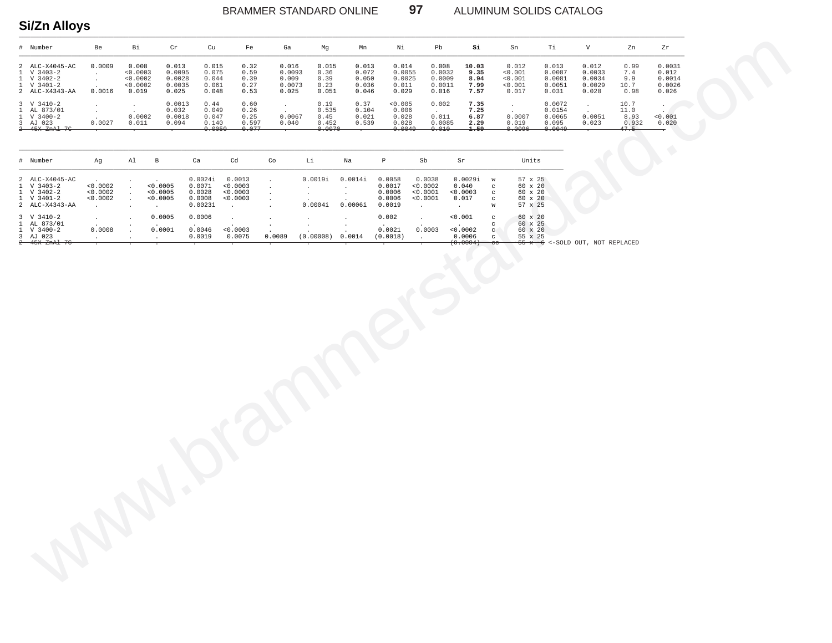ALUMINUM SOLIDS CATALOG

# Si/Zn Alloys

| # Number                                                                                                                   | Be               | Bi                                                 | Cr                                           | Cu                                        | Fe                                     | Ga                                          | Mg                                       | Mn                                        | Νi                                           | Pb                                           | Si                                    | Sn                                              | Тi                                            | V                                            | Zn                                    | Zr                                           |
|----------------------------------------------------------------------------------------------------------------------------|------------------|----------------------------------------------------|----------------------------------------------|-------------------------------------------|----------------------------------------|---------------------------------------------|------------------------------------------|-------------------------------------------|----------------------------------------------|----------------------------------------------|---------------------------------------|-------------------------------------------------|-----------------------------------------------|----------------------------------------------|---------------------------------------|----------------------------------------------|
| 2 ALC-X4045-AC<br>$1 \quad V \quad 3403 - 2$<br>$1 \quad V \quad 3402 - 2$<br>$1 \quad V \quad 3401 - 2$<br>2 ALC-X4343-AA | 0.0009<br>0.0016 | 0.008<br>< 0.0003<br>< 0.0002<br>< 0.0002<br>0.019 | 0.013<br>0.0095<br>0.0028<br>0.0035<br>0.025 | 0.015<br>0.075<br>0.044<br>0.061<br>0.048 | 0.32<br>0.59<br>0.39<br>0.27<br>0.53   | 0.016<br>0.0093<br>0.009<br>0.0073<br>0.025 | 0.015<br>0.36<br>0.39<br>0.23<br>0.051   | 0.013<br>0.072<br>0.050<br>0.036<br>0.046 | 0.014<br>0.0055<br>0.0025<br>0.011<br>0.029  | 0.008<br>0.0032<br>0.0009<br>0.0011<br>0.016 | 10.03<br>9.35<br>8.94<br>7.99<br>7.57 | 0.012<br>< 0.001<br>< 0.001<br>< 0.001<br>0.017 | 0.013<br>0.0087<br>0.0081<br>0.0051<br>0.031  | 0.012<br>0.0033<br>0.0034<br>0.0029<br>0.028 | 0.99<br>7.4<br>9.9<br>10.7<br>0.98    | 0.0031<br>0.012<br>0.0014<br>0.0026<br>0.026 |
| $3 \tV} 3410-2$<br>1 AL 873/01<br>$1 \quad V \quad 3400 - 2$<br>3 AJ 023<br>2 45X ZnAl 7C                                  | 0.0027           | 0.0002<br>0.011                                    | 0.0013<br>0.032<br>0.0018<br>0.094           | 0.44<br>0.049<br>0.047<br>0.140<br>0.0050 | 0.60<br>0.26<br>0.25<br>0.597<br>0.077 | 0.0067<br>0.040                             | 0.19<br>0.535<br>0.45<br>0.452<br>0.0070 | 0.37<br>0.104<br>0.021<br>0.539           | < 0.005<br>0.006<br>0.028<br>0.028<br>0.0049 | 0.002<br>0.011<br>0.0085<br>0.010            | 7.35<br>7.25<br>6.87<br>2.29<br>1.59  | 0.0007<br>0.019<br>0.0096                       | 0.0072<br>0.0154<br>0.0065<br>0.095<br>0.0049 | 0.0051<br>0.023                              | 10.7<br>11.0<br>8.93<br>0.932<br>47.5 | < 0.001<br>0.020                             |

 $97$ 

| # Number                                                                                                                   | Ag                               | Al | B                                | Ca                                               | Cd                                         | Co     | Li                 | Na                 | Р                                              | Sb                                         | Sr                                        |                                                        | Units                                                                                     |  |
|----------------------------------------------------------------------------------------------------------------------------|----------------------------------|----|----------------------------------|--------------------------------------------------|--------------------------------------------|--------|--------------------|--------------------|------------------------------------------------|--------------------------------------------|-------------------------------------------|--------------------------------------------------------|-------------------------------------------------------------------------------------------|--|
| 2 ALC-X4045-AC<br>$1 \quad V \quad 3403 - 2$<br>$1 \quad V \quad 3402 - 2$<br>$1 \quad V \quad 3401 - 2$<br>2 ALC-X4343-AA | < 0.0002<br>< 0.0002<br>< 0.0002 |    | < 0.0005<br>< 0.0005<br>< 0.0005 | 0.0024i<br>0.0071<br>0.0028<br>0.0008<br>0.0023i | 0.0013<br>< 0.0003<br>< 0.0003<br>< 0.0003 |        | 0.0019i<br>0.0004i | 0.0014i<br>0.0006i | 0.0058<br>0.0017<br>0.0006<br>0.0006<br>0.0019 | 0.0038<br>< 0.0002<br>< 0.0001<br>< 0.0001 | 0.0029i<br>0.040<br>< 0.0003<br>0.017     | $\mathbf{C}$<br>$\sim$<br>$\sim$<br>W                  | $57 \times 25$<br>$60 \times 20$<br>60 x 20<br>60 x 20<br>57 x 25                         |  |
| $3 \quad V \quad 3410-2$<br>1 AL 873/01<br>$1 \quad V \quad 3400 - 2$<br>3 AJ 023<br>2 45X ZnAl 7C                         | 0.0008                           |    | 0.0005<br>0.0001                 | 0.0006<br>0.0046<br>0.0019                       | < 0.0003<br>0.0075                         | 0.0089 | (0.00008)          | 0.0014             | 0.002<br>0.0021<br>(0.0018)                    | 0.0003                                     | < 0.001<br>< 0.0002<br>0.0006<br>(0.0004) | $\mathbb{C}$<br>$\mathbf{C}$<br>$\mathbf{C}$<br>$-$ ee | 60 x 20<br>60 x 25<br>60 x 20<br>55 x 25<br>$\sim$ 55 x $\sim$ 6 <-SOLD OUT. NOT REPLACED |  |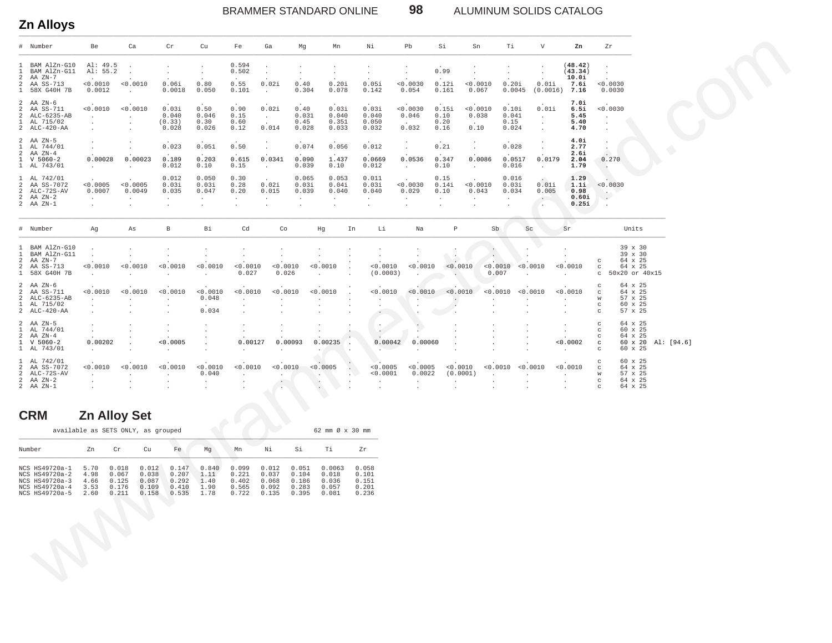**Zn Alloys** \_\_\_\_\_\_\_\_\_\_\_\_\_\_\_\_\_\_\_\_\_\_\_\_\_\_\_\_\_\_\_\_\_\_\_\_\_\_\_\_\_\_\_\_\_\_\_\_\_\_\_\_\_\_\_\_\_\_\_\_\_\_\_\_\_\_\_\_\_\_\_\_\_\_\_\_\_\_\_\_\_\_\_\_\_\_\_\_\_\_\_\_\_\_\_\_\_\_\_\_\_\_\_\_\_\_\_\_\_\_\_\_\_\_\_\_\_\_\_\_\_\_\_\_\_\_\_\_\_\_\_\_\_\_\_\_\_\_\_\_\_\_\_\_\_\_\_\_\_\_\_\_\_\_\_\_\_\_\_\_\_\_

### BRAMMER STANDARD ONLINE **98** ALUMINUM SOLIDS CATALOG

|                                                                         | # Number                                                                                       | Be                                                       | Ca                                                    |                                           | Cr                                                    | Cu                                                        | Fe                                                     | Ga                                          | Mg                                           | Mn                                                        | Νi                                           |                                                                           | Pb                                                          | Si                                         | Sn                          | Тi                                 |                                                  | $\mathbf{V}$                        | Zn                                                     | Zr                                                                  |                                                                |  |  |
|-------------------------------------------------------------------------|------------------------------------------------------------------------------------------------|----------------------------------------------------------|-------------------------------------------------------|-------------------------------------------|-------------------------------------------------------|-----------------------------------------------------------|--------------------------------------------------------|---------------------------------------------|----------------------------------------------|-----------------------------------------------------------|----------------------------------------------|---------------------------------------------------------------------------|-------------------------------------------------------------|--------------------------------------------|-----------------------------|------------------------------------|--------------------------------------------------|-------------------------------------|--------------------------------------------------------|---------------------------------------------------------------------|----------------------------------------------------------------|--|--|
| 1<br>$\overline{1}$<br>$\overline{2}$<br>$\overline{a}$<br>$\mathbf{1}$ | BAM AlZn-G10<br>BAM AlZn-G11<br>AA ZN-7<br>AA SS-713<br>58X G40H 7B                            | Al: 49.5<br>Al: 55.2<br>< 0.0010<br>0.0012               | $\sim$<br>0.0010<br>$\sim 10^{-1}$                    |                                           | 0.06i<br>0.0018                                       | $\cdot$<br>0.80<br>0.050                                  | 0.594<br>0.502<br>0.55<br>0.101                        | 0.02i<br>$\sim$                             | 0.40<br>0.304                                | 0.20i<br>0.078                                            | $\cdot$<br>$\sim$<br>0.05i<br>0.142          |                                                                           | 0.0030<br>0.054                                             | 0.99<br>0.12i<br>0.161                     | < 0.0010<br>0.067           | 0.20i                              | 0.0045                                           | $\cdot$<br>0.01i                    | (48.42)<br>(43.34)<br>10.0i<br>7.6i<br>$(0.0016)$ 7.16 | < 0.0030<br>0.0030                                                  |                                                                |  |  |
| $\mathcal{L}$<br>$\mathbf{1}$                                           | $2$ AA $2N-6$<br>2 AA SS-711<br>ALC-6235-AB<br>AL 715/02<br>$2 \quad \text{ALC-}420-\text{AA}$ | < 0.0010<br>$\sim$<br>$\ddot{\phantom{a}}$<br>$\cdot$    | < 0.0010<br>$\sim$<br>$\ddot{\phantom{a}}$<br>$\cdot$ |                                           | 0.03i<br>0.040<br>(0.33)<br>0.028                     | 0.50<br>0.046<br>0.30<br>0.026                            | 0.90<br>0.15<br>0.60<br>0.12                           | 0.02i<br>$\sim 10^{-11}$<br>0.014           | 0.40<br>0.031<br>0.45<br>0.028               | 0.03i<br>0.040<br>0.351<br>0.033                          | 0.03i<br>0.040<br>0.050<br>0.032             |                                                                           | < 0.0030<br>0.046<br>0.032                                  | 0.15i<br>0.10<br>0.20<br>0.16              | 0.0010<br>0.038<br>0.10     | 0.10i<br>0.041<br>0.15<br>0.024    |                                                  | 0.01i<br>$\sim$<br>$\sim$<br>$\sim$ | 7.0i<br>6.5i<br>5.45<br>5.40<br>4.70                   | < 0.0030<br>$\cdot$<br>$\ddot{\phantom{a}}$<br>$\ddot{\phantom{0}}$ |                                                                |  |  |
|                                                                         | $2$ AA $2N-5$<br>1 AL 744/01<br>$2$ AA $2N-4$<br>$1 \quad V \quad 5060-2$<br>1 AL 743/01       | $\cdot$<br>$\sim$<br>0.00028<br><b>Contract Contract</b> | $\sim$<br>0.00023<br>$\cdot$                          |                                           | 0.023<br>0.189<br>0.012                               | 0.051<br>0.203<br>0.10                                    | 0.50<br>0.615<br>0.15                                  | $\sim$<br>0.0341<br>$\sim$                  | 0.074<br>0.090<br>0.039                      | 0.056<br>1.437<br>0.10                                    | 0.012<br>0.012                               | 0.0669                                                                    | $\sim$<br>0.0536<br>$\sim$                                  | 0.21<br>0.347<br>0.10                      | $\sim$<br>0.0086<br>$\sim$  | 0.028<br>0.0517<br>0.016           |                                                  | $\sim$<br>0.0179<br>$\sim$          | 4.0i<br>2.77<br>2.6i<br>2.04<br>1.79                   | $\ddot{\phantom{a}}$<br>0.270                                       |                                                                |  |  |
| $\overline{2}$<br>$\overline{a}$                                        | 1 AL 742/01<br>AA SS-7072<br>ALC-72S-AV<br>$2$ AA $ZN-2$<br>$2$ AA $ZN-1$                      | < 0.0005<br>0.0007<br>$\sim$<br>$\ddot{\phantom{a}}$     | < 0.0005<br>0.0049<br>$\sim$<br>$\cdot$               |                                           | 0.012<br>0.03i<br>0.035<br>$\sim$<br>$\cdot$          | 0.050<br>0.03i<br>0.047<br>$\sim$<br>$\ddot{\phantom{a}}$ | 0.30<br>0.28<br>0.20<br>$\sim$<br>$\cdot$              | 0.02i<br>0.015<br>$\sim$                    | 0.065<br>0.03i<br>0.039<br>$\sim$<br>$\cdot$ | 0.053<br>0.04i<br>0.040<br>$\sim$<br>$\ddot{\phantom{a}}$ | 0.011<br>0.03i<br>0.040<br>$\sim$<br>$\cdot$ |                                                                           | < 0.0030<br>0.029<br>$\sim$<br>$\cdot$                      | 0.15<br>0.14i<br>0.10<br>$\sim$<br>$\cdot$ | < 0.0010<br>0.043<br>$\sim$ | 0.016<br>0.03i<br>0.034<br>$\cdot$ |                                                  | 0.011<br>0.005<br>$\sim$            | 1.29<br>1.1i<br>0.98<br>0.60i<br>0.25i                 | < 0.0030<br>$\sim$<br>$\ddot{\phantom{0}}$<br>$\ddot{\phantom{a}}$  |                                                                |  |  |
|                                                                         | # Number                                                                                       | Ag                                                       | As                                                    |                                           | $\, {\bf B}$                                          | Bi                                                        | Cd                                                     | Co                                          |                                              | Hg                                                        | In                                           | Li                                                                        | Na                                                          | $\mathbb P$                                |                             | Sb                                 | Sc                                               |                                     | Sr                                                     |                                                                     | Units                                                          |  |  |
| $\mathbf{1}$<br>$\mathbf{1}$<br>2<br>$\overline{a}$                     | BAM AlZn-G10<br>BAM AlZn-G11<br>AA ZN-7<br>AA SS-713<br>1 58X G40H 7B                          | $\sim$<br>< 0.0010<br>$\ddot{\phantom{a}}$               | $\sim$<br>< 0.0010                                    |                                           | < 0.0010<br>$\cdot$                                   | $\cdot$<br>< 0.0010<br>$\sim$                             | $\sim$<br>< 0.0010<br>0.027                            | < 0.0010<br>0.026                           |                                              | $< 0.0010$<br>$\ddot{\phantom{a}}$                        |                                              | $\cdot$<br>< 0.0010<br>(0.0003)                                           | < 0.0010<br>$\ddot{\phantom{a}}$                            | $\cdot$<br>$\sim$                          | < 0.0010                    | < 0.0010<br>0.007                  | $\mathbf{r}$<br>< 0.0010<br>$\ddot{\phantom{a}}$ |                                     | $\sim$<br>< 0.0010                                     | $_{\rm C}$<br>$\mathbf C$<br>$\mathbf{C}$                           | 39 x 30<br>39 x 30<br>64 x 25<br>64 x 25<br>50x20 or 40x15     |  |  |
| $\overline{a}$<br>$\overline{a}$                                        | $2$ AA $2N-6$<br>AA SS-711<br>ALC-6235-AB<br>1 AL 715/02<br>2 ALC-420-AA                       | < 0.0010<br>$\sim$<br>$\cdot$<br>$\ddot{\phantom{a}}$    | < 0.0010<br>$\sim$<br>$\cdot$<br>$\cdot$              |                                           | < 0.0010<br>$\sim$<br>$\cdot$<br>$\ddot{\phantom{0}}$ | < 0.0010<br>0.048<br>0.034                                | < 0.0010<br>$\ddot{\phantom{a}}$<br>$\cdot$<br>$\cdot$ | < 0.0010<br>$\sim$<br>$\ddot{\phantom{a}}$  |                                              | < 0.0010<br>$\cdot$                                       |                                              | < 0.0010<br>$\ddot{\phantom{a}}$<br>$\Delta$<br>$\sim 100$                | $< 0.0010$ $< 0.0010$<br>$\epsilon$<br>$\ddot{\phantom{1}}$ | $\cdot$<br>٠.                              |                             | $\sim$                             | < 0.0010 < 0.0010<br>$\cdot$                     |                                     | 0.0010<br>$\sim$<br>$\cdot$<br>$\ddot{\phantom{0}}$    | $\mathcal{C}$<br>W<br>$_{\rm c}$<br>$_{\rm C}$                      | 64 x 25<br>64 x 25<br>57 x 25<br>60 x 25<br>57 x 25            |  |  |
| 2                                                                       | $2$ AA $2N-5$<br>1 AL 744/01<br>AA ZN-4<br>$1 \quad V \quad 5060-2$<br>1 AL 743/01             | $\ddot{\phantom{a}}$<br>$\sim$<br>0.00202<br>$\sim$      | $\ddot{\phantom{a}}$<br>$\cdot$                       |                                           | $\sim$<br>$\sim$<br>< 0.0005<br>$\ddot{\phantom{a}}$  | $\ddot{\phantom{a}}$<br>$\cdot$<br>$\cdot$                | $\cdot$<br>$\ddot{\phantom{a}}$<br>0.00127             | $\ddot{\phantom{a}}$<br>$\Delta$<br>$\cdot$ | 0.00093                                      | $\blacksquare$<br>0.00235                                 |                                              | $\ddot{\phantom{a}}$<br>$\mathcal{L}_{\mathcal{A}}$<br>0.00042<br>$\cdot$ | ÷<br>0.00060<br>$\ddot{\phantom{a}}$                        | $\epsilon$                                 |                             |                                    | $\blacksquare$                                   |                                     | $\ddot{\phantom{a}}$<br>$\sim$<br>< 0.0002             | $\mathbf C$<br>$\circ$<br>$_{\rm C}$<br>$\mathbf C$<br>$_{\rm C}$   | 64 x 25<br>60 x 25<br>64 x 25<br>60 x 20 Al: [94.6]<br>60 x 25 |  |  |
| 2                                                                       | 1 AL 742/01<br>AA SS-7072<br>2 ALC-72S-AV<br>$2$ AA $ZN-2$<br>$2$ AA $ZN-1$                    | < 0.0010<br>$\sim 10^{-1}$<br>$\cdot$                    | < 0.0010<br>$\sim$<br>$\sim$                          |                                           | < 0.0010<br>$\sim$                                    | < 0.0010<br>0.040<br>$\sim$                               | < 0.0010<br>$\sim$                                     | < 0.0010<br>$\sim$                          |                                              | < 0.0005<br><b>Service</b>                                | $\sim$                                       | < 0.0005<br>< 0.0001<br>$\cdot$<br>$\overline{\phantom{a}}$               | < 0.0005<br>0.0022<br>$\sim$                                | $\sim$<br>$\sim$                           | < 0.0010<br>(0.0001)        | <b>Contract</b><br>$\sim$          | $< 0.0010$ $< 0.0010$<br>$\sim$                  |                                     | < 0.0010<br>$\sim 10^{-11}$<br>$\sim$                  | $\mathbf C$<br>$\mathbf{C}$<br>W<br>$_{\rm C}$<br>$\mathbf{C}$      | $60 \times 25$<br>64 x 25<br>57 x 25<br>64 x 25<br>64 x 25     |  |  |
|                                                                         | <b>CRM</b>                                                                                     | <b>Zn Alloy Set</b>                                      |                                                       |                                           |                                                       |                                                           |                                                        |                                             |                                              |                                                           |                                              |                                                                           |                                                             |                                            |                             |                                    |                                                  |                                     |                                                        |                                                                     |                                                                |  |  |
|                                                                         |                                                                                                | available as SETS ONLY, as grouped                       |                                                       |                                           |                                                       |                                                           |                                                        |                                             |                                              | 62 mm Ø x 30 mm                                           |                                              |                                                                           |                                                             |                                            |                             |                                    |                                                  |                                     |                                                        |                                                                     |                                                                |  |  |
|                                                                         | Number                                                                                         | 7n                                                       | Cr                                                    | Cu                                        | Fe                                                    | Mg                                                        | Mn                                                     | Νi                                          | Si                                           | Ti                                                        | Zr                                           |                                                                           |                                                             |                                            |                             |                                    |                                                  |                                     |                                                        |                                                                     |                                                                |  |  |
|                                                                         | NCS HS49720a-1<br>NCS HS49720a-2<br>NCS HS49720a-3<br>NCS HS49720a-4<br>NCS HS49720a-5         | 5.70<br>4.98<br>4.66<br>3.53<br>2.60                     | 0.018<br>0.067<br>0.125<br>0.176<br>0.211             | 0.012<br>0.038<br>0.087<br>0.109<br>0.158 | 0.147<br>0.207<br>0.292<br>0.410<br>0.535             | 0.840<br>1.11<br>1.40<br>1.90<br>1.78                     | 0.099<br>0.221<br>0.402<br>0.565<br>0.722              | 0.012<br>0.037<br>0.068<br>0.092<br>0.135   | 0.051<br>0.104<br>0.186<br>0.283<br>0.395    | 0.0063<br>0.018<br>0.036<br>0.057<br>0.081                | 0.058<br>0.101<br>0.151<br>0.201<br>0.236    |                                                                           |                                                             |                                            |                             |                                    |                                                  |                                     |                                                        |                                                                     |                                                                |  |  |
|                                                                         |                                                                                                |                                                          |                                                       |                                           |                                                       |                                                           |                                                        |                                             |                                              |                                                           |                                              |                                                                           |                                                             |                                            |                             |                                    |                                                  |                                     |                                                        |                                                                     |                                                                |  |  |

## **CRM Zn Alloy Set**

|                                                                                        |                                      |                                           | available as SETS ONLY, as grouped        |                                           |                                       |                                           |                                           |                                           | 62 mm Ø x 30 mm                            |                                           |
|----------------------------------------------------------------------------------------|--------------------------------------|-------------------------------------------|-------------------------------------------|-------------------------------------------|---------------------------------------|-------------------------------------------|-------------------------------------------|-------------------------------------------|--------------------------------------------|-------------------------------------------|
| Number                                                                                 | Zn                                   | Cr                                        | Cu                                        | Fe                                        | Mq                                    | Mn                                        | Νi                                        | Si                                        | Τi                                         | Zr                                        |
| NCS HS49720a-1<br>NCS HS49720a-2<br>NCS HS49720a-3<br>NCS HS49720a-4<br>NCS HS49720a-5 | 5.70<br>4.98<br>4.66<br>3.53<br>2.60 | 0.018<br>0.067<br>0.125<br>0.176<br>0.211 | 0.012<br>0.038<br>0.087<br>0.109<br>0.158 | 0.147<br>0.207<br>0.292<br>0.410<br>0.535 | 0.840<br>1.11<br>1.40<br>1.90<br>1.78 | 0.099<br>0.221<br>0.402<br>0.565<br>0.722 | 0.012<br>0.037<br>0.068<br>0.092<br>0.135 | 0.051<br>0.104<br>0.186<br>0.283<br>0.395 | 0.0063<br>0.018<br>0.036<br>0.057<br>0.081 | 0.058<br>0.101<br>0.151<br>0.201<br>0.236 |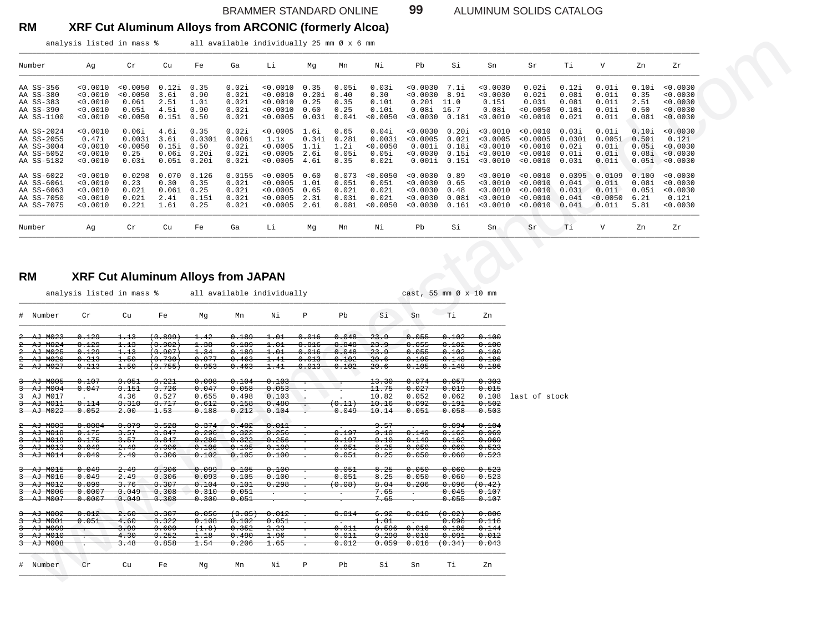BRAMMER STANDARD ONLINE **99** ALUMINUM SOLIDS CATALOG

### **RM XRF Cut Aluminum Alloys from ARCONIC (formerly Alcoa)**

analysis listed in mass % all available individually 25 mm Ø x 6 mm

| Number     | Ag       | $\operatorname{\sf Cr}$ | Cu    | Fe     | Ga     | Li       | Mg    | Mn    | Νi       | Pb       | Si    | Sn       | Sr       | Ti     | $\mathbf{V}$ | Zn    | zr       |
|------------|----------|-------------------------|-------|--------|--------|----------|-------|-------|----------|----------|-------|----------|----------|--------|--------------|-------|----------|
| AA SS-356  | < 0.0010 | 0.0050                  | 0.12i | 0.35   | 0.02i  | 0.0010   | 0.35  | 0.05i | 0.03i    | < 0.0030 | 7.1i  | < 0.0030 | 0.02i    | 0.12i  | 0.01i        | 0.10i | 0.0030   |
| AA SS-380  | < 0.0010 | 0.0050                  | 3.6i  | 0.90   | 0.02i  | 0.0010   | 0.20i | 0.40  | 0.30     | < 0.0030 | 8.9i  | < 0.0030 | 0.02i    | 0.08i  | 0.01i        | 0.35  | 0.0030   |
| AA SS-383  | < 0.0010 | 0.06i                   | 2.5i  | 1.0i   | 0.02i  | < 0.0010 | 0.25  | 0.35  | 0.10i    | 0.20i    | 11.0  | 0.15i    | 0.03i    | 0.08i  | 0.01i        | 2.5i  | < 0.0030 |
| AA SS-390  | 0.0010   | 0.05i                   | 4.5i  | 0.90   | 0.02i  | 0.0010   | 0.60  | 0.25  | 0.10i    | 0.08i    | 16.7  | 0.08i    | 0.0050   | 0.10i  | 0.01i        | 0.50  | < 0.0030 |
| AA SS-1100 | < 0.0010 | 0.0050                  | 0.15i | 0.50   | 0.02i  | 0.0005   | 0.03i | 0.04i | < 0.0050 | 0.0030   | 0.18i | < 0.0010 | < 0.0010 | 0.02i  | 0.01i        | 0.08i | < 0.0030 |
| AA SS-2024 | < 0.0010 | 0.06i                   | 4.6i  | 0.35   | 0.02i  | < 0.0005 | 1.6i  | 0.65  | 0.04i    | < 0.0030 | 0.20i | < 0.0010 | < 0.0010 | 0.03i  | 0.01i        | 0.10i | < 0.0030 |
| AA SS-2055 | 0.47i    | 0.003i                  | 3.6i  | 0.030i | 0.006i | 1.1x     | 0.34i | 0.28i | 0.003i   | < 0.0005 | 0.02i | < 0.0005 | < 0.0005 | 0.030i | 0.005i       | 0.50i | 0.12i    |
| AA SS-3004 | < 0.0010 | < 0.0050                | 0.15i | 0.50   | 0.02i  | < 0.0005 | 1.1i  | 1.2i  | < 0.0050 | 0.001i   | 0.18i | < 0.0010 | < 0.0010 | 0.02i  | 0.01i        | 0.05i | < 0.0030 |
| AA SS-5052 | 0.0010   | 0.25                    | 0.06i | 0.20i  | 0.02i  | 0.0005   | 2.6i  | 0.05i | 0.05i    | 0.0030   | 0.15i | < 0.0010 | 0.0010   | 0.01i  | 0.01i        | 0.08i | < 0.0030 |
| AA SS-5182 | 0.0010   | 0.03i                   | 0.05i | 0.20i  | 0.02i  | 0.0005   | 4.6i  | 0.35  | 0.02i    | 0.001i   | 0.15i | < 0.0010 | < 0.0010 | 0.03i  | 0.01i        | 0.05i | < 0.0030 |
| AA SS-6022 | 0.0010   | 0.0298                  | 0.070 | 0.126  | 0.0155 | 0.0005   | 0.60  | 0.073 | < 0.0050 | < 0.0030 | 0.89  | < 0.0010 | < 0.0010 | 0.0395 | 0.0109       | 0.100 | 0.0030   |
| AA SS-6061 | 0.0010   | 0.23                    | 0.30  | 0.35   | 0.02i  | 0.0005   | 1.0i  | 0.05i | 0.05i    | < 0.0030 | 0.65  | < 0.0010 | < 0.0010 | 0.04i  | 0.01i        | 0.08i | < 0.0030 |
| AA SS-6063 | < 0.0010 | 0.02i                   | 0.06i | 0.25   | 0.02i  | < 0.0005 | 0.65  | 0.02i | 0.02i    | < 0.0030 | 0.48  | < 0.0010 | < 0.0010 | 0.03i  | 0.01i        | 0.05i | < 0.0030 |
| AA SS-7050 | 0.0010   | 0.02i                   | 2.4i  | 0.15i  | 0.02i  | 0.0005   | 2.3i  | 0.03i | 0.02i    | < 0.0030 | 0.08i | < 0.0010 | < 0.0010 | 0.04i  | < 0.0050     | 6.2i  | 0.12i    |
| AA SS-7075 | < 0.0010 | 0.22i                   | 1.6i  | 0.25   | 0.02i  | < 0.0005 | 2.6i  | 0.08i | < 0.0050 | < 0.0030 | 0.16i | < 0.0010 | < 0.0010 | 0.04i  | 0.01i        | 5.8i  | < 0.0030 |
| Number     | Ag       | Cr                      | Cu    | Fe     | Ga     | Li       | Mq    | Mn    | Νi       | Pb       | Si    | Sn       | Sr       | Ti     | $\mathbf{V}$ | Zn    | Zr       |

### **RM XRF Cut Aluminum Alloys from JAPAN**

| analysis listed in mass %                                                                                                                    |                                                        |                                                    |                                           |                                          |                                            |                                                          |                                        |                                           |                                                 |                                                                                   |                                        |                                                          |                                                          |                                            |                                               |                                           |                                                       |
|----------------------------------------------------------------------------------------------------------------------------------------------|--------------------------------------------------------|----------------------------------------------------|-------------------------------------------|------------------------------------------|--------------------------------------------|----------------------------------------------------------|----------------------------------------|-------------------------------------------|-------------------------------------------------|-----------------------------------------------------------------------------------|----------------------------------------|----------------------------------------------------------|----------------------------------------------------------|--------------------------------------------|-----------------------------------------------|-------------------------------------------|-------------------------------------------------------|
| Number                                                                                                                                       | Αg                                                     | Cr                                                 | Cu                                        | Fe                                       | Ga                                         | Li                                                       | Мg                                     | Mn                                        | Νi                                              | Pb                                                                                | Si                                     | Sn                                                       | Sr                                                       | Тi                                         | V                                             | Zn                                        | Ζr                                                    |
| AA SS-356<br>AA SS-380<br>AA SS-383<br>AA SS-390<br>AA SS-1100                                                                               | < 0.0010<br>< 0.0010<br>< 0.0010<br>0.0010<br>< 0.0010 | < 0.0050<br>< 0.0050<br>0.06i<br>0.05i<br>< 0.0050 | 0.12i<br>3.6i<br>2.5i<br>4.5i<br>0.15i    | 0.35<br>0.90<br>1.0i<br>0.90<br>0.50     | 0.02i<br>0.02i<br>0.02i<br>0.02i<br>0.02i  | < 0.0010<br>< 0.0010<br>< 0.0010<br>0.0010<br>< 0.0005   | 0.35<br>0.20i<br>0.25<br>0.60<br>0.03i | 0.05i<br>0.40<br>0.35<br>0.25<br>0.04i    | 0.03i<br>0.30<br>0.10i<br>0.10i<br>< 0.0050     | $< 0.0030$ 7.1i<br>< 0.0030<br>$0.20i$ 11.0<br>$0.08i$ 16.7<br>$< 0.0030$ $0.18i$ | 8.9i                                   | < 0.0030<br>< 0.0030<br>0.15i<br>0.08i<br>< 0.0010       | 0.02i<br>0.02i<br>0.03i<br>0.0050<br>< 0.0010            | 0.12i<br>0.08i<br>0.08i<br>0.10i<br>0.02i  | 0.01i<br>0.01i<br>0.01i<br>0.01i<br>0.01i     | 0.10i<br>0.35<br>2.5i<br>0.50<br>0.08i    | < 0.0030<br>0.0030<br>0.0030<br>0.0030<br>< 0.0030    |
| AA SS-2024<br>AA SS-2055<br>AA SS-3004<br>AA SS-5052<br>AA SS-5182                                                                           | < 0.0010<br>0.47i<br>0.0010<br>< 0.0010<br>< 0.0010    | 0.06i<br>0.003i<br>< 0.0050<br>0.25<br>0.03i       | 4.6i<br>3.6i<br>0.15i<br>0.06i<br>0.05i   | 0.35<br>0.030i<br>0.50<br>0.20i<br>0.20i | 0.02i<br>0.006i<br>0.02i<br>0.02i<br>0.02i | < 0.0005<br>1.1x<br>< 0.0005<br>< 0.0005<br>< 0.0005     | 1.6i<br>0.34i<br>1.1i<br>2.6i<br>4.6i  | 0.65<br>0.28i<br>1.2i<br>0.05i<br>0.35    | 0.04i<br>0.003i<br>< 0.0050<br>0.05i<br>0.02i   | $< 0.0030$ $0.20i$<br>< 0.0005<br>0.001i<br>< 0.0030<br>0.001i                    | 0.02i<br>0.18i<br>0.15i<br>0.15i       | < 0.0010<br>< 0.0005<br>< 0.0010<br>0.0010<br>< 0.0010   | < 0.0010<br>< 0.0005<br>0.0010<br>< 0.0010<br>< 0.0010   | 0.03i<br>0.030i<br>0.02i<br>0.01i<br>0.03i | 0.01i<br>0.005i<br>0.01i<br>0.01i<br>0.01i    | 0.10i<br>0.50i<br>0.05i<br>0.08i<br>0.05i | < 0.0030<br>0.12i<br>< 0.0030<br>< 0.0030<br>< 0.0030 |
| AA SS-6022<br>AA SS-6061<br>AA SS-6063<br>AA SS-7050<br>AA SS-7075                                                                           | < 0.0010<br>< 0.0010<br>0.0010<br>< 0.0010<br>< 0.0010 | 0.0298<br>0.23<br>0.02i<br>0.02i<br>0.22i          | 0.070<br>0.30<br>0.06i<br>2.4i<br>1.6i    | 0.126<br>0.35<br>0.25<br>0.15i<br>0.25   | 0.0155<br>0.02i<br>0.02i<br>0.02i<br>0.02i | < 0.0005<br>< 0.0005<br>< 0.0005<br>< 0.0005<br>< 0.0005 | 0.60<br>1.Oi<br>0.65<br>2.3i<br>2.6i   | 0.073<br>0.05i<br>0.02i<br>0.03i<br>0.08i | < 0.0050<br>0.05i<br>0.02i<br>0.02i<br>< 0.0050 | < 0.0030<br>< 0.0030<br>< 0.0030<br>< 0.0030<br>< 0.0030                          | 0.89<br>0.65<br>0.48<br>0.08i<br>0.16i | < 0.0010<br>< 0.0010<br>< 0.0010<br>< 0.0010<br>< 0.0010 | < 0.0010<br>< 0.0010<br>< 0.0010<br>< 0.0010<br>< 0.0010 | 0.0395<br>0.04i<br>0.03i<br>0.04i<br>0.04i | 0.0109<br>0.01i<br>0.01i<br>< 0.0050<br>0.01i | 0.100<br>0.08i<br>0.05i<br>6.2i<br>5.8i   | < 0.0030<br>< 0.0030<br>< 0.0030<br>0.12i<br>0.0030   |
| Number                                                                                                                                       | Αg                                                     | Cr                                                 | Cu                                        | Fe                                       | Ga                                         | Li                                                       | Мg                                     | Mn                                        | Νi                                              | Pb                                                                                | Si                                     | Sn                                                       | Sr                                                       | Тi                                         | V                                             | Zn                                        | Zr                                                    |
| RM                                                                                                                                           | <b>XRF Cut Aluminum Alloys from JAPAN</b>              |                                                    |                                           |                                          |                                            |                                                          |                                        |                                           |                                                 |                                                                                   |                                        |                                                          |                                                          |                                            |                                               |                                           |                                                       |
|                                                                                                                                              | analysis listed in mass %                              |                                                    |                                           |                                          | all available individually                 |                                                          |                                        |                                           |                                                 | cast, 55 mm $\varnothing$ x 10 mm                                                 |                                        |                                                          |                                                          |                                            |                                               |                                           |                                                       |
|                                                                                                                                              | Cr                                                     | Cu                                                 | Fe                                        | Мg                                       | Mn                                         | Νi                                                       | Р                                      | Pb                                        | Si                                              | Sn                                                                                | Τi                                     | Zn                                                       |                                                          |                                            |                                               |                                           |                                                       |
| AJ M024                                                                                                                                      | 0.129<br>0.129                                         | 1.13<br>1.13                                       | (0.899)<br>(0.902)                        | 1.42<br>1.38                             | 0.189<br>0.189                             | 1.01<br>1.01                                             | 0.016<br>0.016                         | 0.048<br>0.048                            | 23.9<br>23.9                                    | 0.055<br>0.055                                                                    | $0.102 -$<br>0.102                     | $-0.100$<br>$-0.100$                                     |                                                          |                                            |                                               |                                           |                                                       |
| <del>AJ M025</del><br><del>- AJ - M026</del>                                                                                                 | 0.129<br>0.213                                         | 1.13<br>1.50                                       | $\scriptstyle(\,0 \,. \, 907)$<br>(0.730) | 1.34<br>0.977                            | 0.189<br>0.463                             | 1.01<br>1.41                                             | 0.016<br>0.013                         | 0.048<br>0.102                            | <del>23.9</del><br>20.6                         | 0.055<br>0.105                                                                    | 0.102<br>0.148                         | $-0.100$<br>$-0.186$                                     |                                                          |                                            |                                               |                                           |                                                       |
| # Number<br>$2 - AJ - MO23 -$<br>$\hat{z}$<br>÷<br>$^{2-}$<br>2 AJ M027                                                                      | 0.213                                                  | 1.50                                               | (0.755)                                   | 0.953                                    | 0.463                                      | 1.41                                                     | 0.013                                  | $-0.102$                                  | 20.6                                            | 0.105                                                                             | 0.148                                  | 0.186                                                    |                                                          |                                            |                                               |                                           |                                                       |
|                                                                                                                                              | 0.107                                                  | 0.051                                              | 0.221                                     | 0.098                                    | 0.104                                      | 0.103                                                    |                                        |                                           | 13.30                                           | $-0.074$                                                                          | 0.057                                  | 0.303                                                    |                                                          |                                            |                                               |                                           |                                                       |
| $AJ$ $M004$<br>AJ M017                                                                                                                       | 0.047                                                  | 0.151<br>4.36                                      | 0.726<br>0.527                            | 0.047<br>0.655                           | 0.058<br>0.498                             | 0.053<br>0.103                                           |                                        |                                           | 11.75<br>10.82                                  | 0.027<br>0.052                                                                    | 0.019<br>0.062                         | 0.015<br>0.108                                           | last of stock                                            |                                            |                                               |                                           |                                                       |
| 3 AJ M005<br>ᡱ<br>3<br>马<br><del>AJ M011</del>                                                                                               | 0.114                                                  | 0.310                                              | 0.717                                     | 0.612                                    | 0.158                                      | 0.480                                                    | $\cdot$                                | (0.11)                                    | 10.16                                           | 0.092                                                                             | 0.191                                  | 0.502                                                    |                                                          |                                            |                                               |                                           |                                                       |
| 3 AJ M022                                                                                                                                    | 0.052                                                  | 2.00                                               | 1.53                                      | 0.188                                    | 0.212                                      | 0.104                                                    |                                        | 0.049                                     | 10.14                                           | $-0.051$                                                                          | 0.058                                  | $-0.503$                                                 |                                                          |                                            |                                               |                                           |                                                       |
| <del>AJ M018</del>                                                                                                                           | 0.0084<br>0.175                                        | 0.079<br>3.57                                      | 0.528<br>0.847                            | 0.374<br>0.296                           | $-0.402$<br>0.322                          | 0.011<br>0.256                                           |                                        | 0.197                                     | 9.57<br>9.10                                    | 0.149                                                                             | 0.094<br>0.162                         | $-0.104$<br><del>0.969</del>                             |                                                          |                                            |                                               |                                           |                                                       |
| $2 - AJ - M003$<br>ᡱ<br><del>AJ M019</del><br>3                                                                                              | 0.175                                                  | 3.57                                               | 0.847                                     | 0.286                                    | 0.322                                      | 0.256                                                    |                                        | 0.197                                     | <del>9.10</del>                                 | <del>0.149</del>                                                                  | 0.162                                  | <del>0.969</del>                                         |                                                          |                                            |                                               |                                           |                                                       |
| ᡱ<br><del>- AJ - M013</del><br>3 AJ M014                                                                                                     | 0.049<br>0.049                                         | 2.49<br>2.49                                       | 0.306<br>0.306                            | 0.106<br>0.102                           | 0.105<br>0.105                             | 0.100<br>0.100                                           |                                        | 0.051<br>0.051                            | 8.25<br>8.25                                    | $-0.050$<br>$-0.050$                                                              | 0.060<br>0.060                         | 0.523<br>$-0.523$                                        |                                                          |                                            |                                               |                                           |                                                       |
|                                                                                                                                              | 0.049                                                  | 2.49                                               | 0.306                                     | 0.099                                    | 0.105                                      | 0.100                                                    |                                        | 0.051                                     | 8.25                                            | $-0.050$                                                                          | $0.060 -$                              | $-0.523$                                                 |                                                          |                                            |                                               |                                           |                                                       |
| AJ M016                                                                                                                                      | 0.049                                                  | 2.49                                               | 0.306                                     | 0.093                                    | 0.105                                      | 0.100                                                    |                                        | 0.051                                     | 8.25                                            | 0.050                                                                             | 0.060                                  | $-0.523$                                                 |                                                          |                                            |                                               |                                           |                                                       |
| <del>AJ M012</del>                                                                                                                           | <del>0.099</del>                                       | 3.76                                               | 0.307                                     | 0.104                                    | 0.101                                      | 0.298                                                    |                                        | (0.08)                                    | 8.04                                            | 0.206<br>$\overline{\cdot}$                                                       | $0.096$ $(0.42)$                       |                                                          |                                                          |                                            |                                               |                                           |                                                       |
|                                                                                                                                              | 0.0007<br>0.0007                                       | 0.049<br>0.049                                     | 0.308<br>0.308                            | 0.310<br>0.300                           | 0.051<br>0.051                             |                                                          |                                        |                                           | <del>7.65</del><br>7.65                         |                                                                                   | 0.045<br>0.055                         | $-0.107$<br>$-0.107$                                     |                                                          |                                            |                                               |                                           |                                                       |
|                                                                                                                                              | 0.012                                                  | 2.60                                               | 0.307                                     | 0.056                                    |                                            | (0.05) 0.012                                             |                                        | 0.014                                     | 6.92                                            | $-0.010$                                                                          | (0.02)                                 | 0.806                                                    |                                                          |                                            |                                               |                                           |                                                       |
| <del>-AJ M001</del>                                                                                                                          | 0.051                                                  | 4.60                                               | 0.322                                     | 0.108                                    | 0.102                                      | 0.051                                                    |                                        |                                           | 1.01                                            |                                                                                   | 0.096                                  | 0.116                                                    |                                                          |                                            |                                               |                                           |                                                       |
| 3 AJ M015<br>ᡱ<br>3<br><del>3 AJ M006</del><br><del>3 AJ M007</del><br>3 AJ M002<br>ᡱ<br><del>-AJ M009</del><br>3<br>ᡱ<br><del>AJ M010</del> |                                                        | <del>3.99</del><br>4.30                            | 0.600<br>0.252                            | (1.8)<br>1.18                            | 0.352<br>0.490                             | <del>2.23</del><br>1.96                                  |                                        | 0.011<br>0.011                            | $0.596$ –                                       | 0.016<br>$0.290$ $0.018$                                                          | 0.186<br>0.091                         | 0.144<br>0.012                                           |                                                          |                                            |                                               |                                           |                                                       |
| <del>3 AJ M008</del>                                                                                                                         |                                                        | 3.48                                               | 0.858                                     | 1.54                                     | 0.206                                      | <del>1.65</del>                                          |                                        | 0.012                                     |                                                 | $0.059 - 0.016$                                                                   | (0.34)                                 | 0.043                                                    |                                                          |                                            |                                               |                                           |                                                       |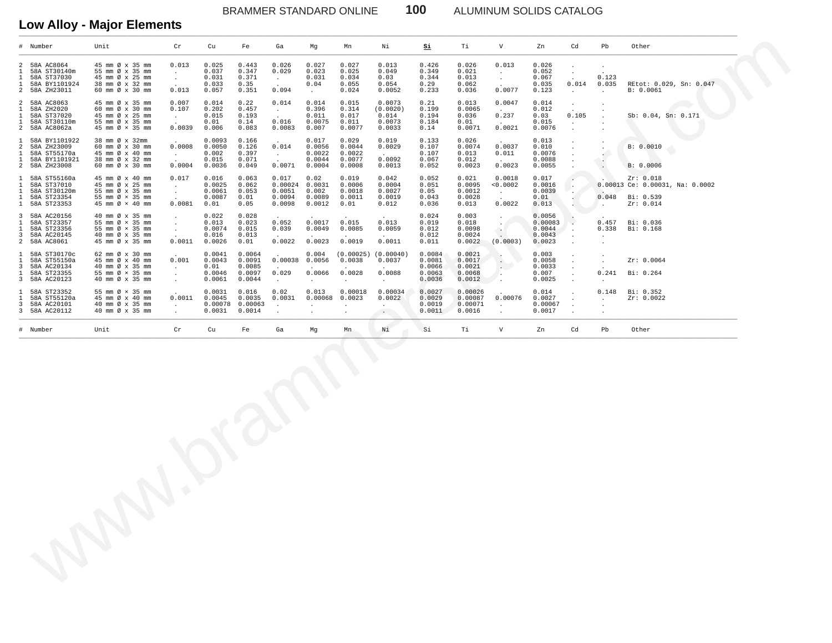BRAMMER STANDARD ONLINE **100** ALUMINUM SOLIDS CATALOG

## **Low Alloy - Major Elements**

|                                                                                  | # Number                                                                       | Unit                                                                                                         | $\operatorname{Cr}$                                 | cu                                           | Fe                                             | Ga                                                             | Mg                                               | Mn                                                    | Νi                                                    | Si                                             | Тi                                             | $\overline{V}$                                            | Zn                                              | Cd                                           | Pb                                               | Other                                                                  |
|----------------------------------------------------------------------------------|--------------------------------------------------------------------------------|--------------------------------------------------------------------------------------------------------------|-----------------------------------------------------|----------------------------------------------|------------------------------------------------|----------------------------------------------------------------|--------------------------------------------------|-------------------------------------------------------|-------------------------------------------------------|------------------------------------------------|------------------------------------------------|-----------------------------------------------------------|-------------------------------------------------|----------------------------------------------|--------------------------------------------------|------------------------------------------------------------------------|
| $\mathfrak{D}$<br>1<br>$\mathbf{1}$<br>1<br>$\overline{a}$                       | 58A AC8064<br>58A ST30140m<br>58A ST37030<br>58A BY1101924<br>58A ZH23011      | 45 mm Ø x 35 mm<br>55 mm Ø x 35 mm<br>45 mm Ø x 25 mm<br>38 mm Ø x 32 mm<br>60 mm Ø x 30 mm                  | 0.013<br>$\sim$<br>$\cdot$<br>0.013                 | 0.025<br>0.037<br>0.031<br>0.033<br>0.057    | 0.443<br>0.347<br>0.371<br>0.35<br>0.351       | 0.026<br>0.029<br>$\sim$<br>0.094                              | 0.027<br>0.023<br>0.031<br>0.04<br>$\sim$ $\sim$ | 0.027<br>0.025<br>0.034<br>0.055<br>0.024             | 0.013<br>0.049<br>0.03<br>0.054<br>0.0052             | 0.426<br>0.349<br>0.344<br>0.29<br>0.233       | 0.026<br>0.021<br>0.013<br>0.062<br>0.036      | 0.013<br>$\blacksquare$<br>$\ddot{\phantom{a}}$<br>0.0077 | 0.026<br>0.052<br>0.067<br>0.035<br>0.123       | $\cdot$<br>0.014<br>$\ddot{\phantom{a}}$     | 0.123<br>0.035<br>$\cdot$                        | REtot: 0.029, Sn: 0.047<br>B: 0.0061                                   |
| $\overline{a}$<br>$\mathbf{1}$<br>$\mathbf{1}$<br>$\mathbf{1}$<br>$\overline{a}$ | 58A AC8063<br>58A ZH2020<br>58A ST37020<br>58A ST30110m<br>58A AC8062a         | 45 mm Ø x 35 mm<br>60 mm Ø x 30 mm<br>45 mm Ø x 25 mm<br>55 mm Ø x 35 mm<br>45 mm $\varnothing \times 35$ mm | 0.007<br>0.107<br>$\sim$<br>0.0039                  | 0.014<br>0.202<br>0.015<br>0.01<br>0.006     | 0.22<br>0.457<br>0.193<br>0.14<br>0.083        | 0.014<br>$\sim$<br>0.016<br>0.0083                             | 0.014<br>0.396<br>0.011<br>0.0075<br>0.007       | 0.015<br>0.314<br>0.017<br>0.011<br>0.0077            | 0.0073<br>(0.0020)<br>0.014<br>0.0073<br>0.0033       | 0.21<br>0.199<br>0.194<br>0.184<br>0.14        | 0.013<br>0.0065<br>0.036<br>0.01<br>0.0071     | 0.0047<br>0.237<br>0.0021                                 | 0.014<br>0.012<br>0.03<br>0.015<br>0.0076       | $\cdot$<br>0.105<br>$\ddot{\phantom{a}}$     |                                                  | Sb: 0.04, Sn: 0.171                                                    |
| $\mathbf{1}$<br>$\overline{a}$<br>$\mathbf{1}$<br>$\mathbf{1}$                   | 58A BY1101922<br>58A ZH23009<br>58A ST55170a<br>58A BY1101921<br>2 58A ZH23008 | 38 mm Ø x 32mm<br>60 mm Ø x 30 mm<br>45 mm Ø x 40 mm<br>38 mm Ø x 32 mm<br>60 mm Ø x 30 mm                   | 0.0008<br>$\sim$<br>0.0004                          | 0.0093<br>0.0050<br>0.002<br>0.015<br>0.0036 | 0.166<br>0.126<br>0.397<br>0.071<br>0.049      | 0.014<br>$\sim$<br>0.0071                                      | 0.017<br>0.0056<br>0.0022<br>0.0044<br>0.0004    | 0.029<br>0.0044<br>0.0022<br>0.0077<br>0.0008         | 0.019<br>0.0029<br>0.0092<br>0.0013                   | 0.133<br>0.107<br>0.107<br>0.067<br>0.052      | 0.026<br>0.0074<br>0.013<br>0.012<br>0.0023    | 0.0037<br>0.011<br>0.0023                                 | 0.013<br>0.010<br>0.0076<br>0.0088<br>0.0055    |                                              | $\cdot$<br>£.<br>$\cdot$<br>$\ddot{\phantom{a}}$ | B: 0.0010<br>B: 0.0006                                                 |
| $\mathbf{1}$<br>$\mathbf{1}$<br>$\mathbf{1}$<br>$\mathbf{1}$                     | 58A ST55160a<br>58A ST37010<br>58A ST30120m<br>58A ST23354<br>1 58A ST23353    | 45 mm Ø x 40 mm<br>45 mm Ø x 25 mm<br>55 mm Ø x 35 mm<br>55 mm Ø × 35 mm<br>45 mm Ø × 40 mm                  | 0.017<br>$\blacksquare$<br>$\cdot$<br>0.0081        | 0.016<br>0.0025<br>0.0061<br>0.0087<br>0.01  | 0.063<br>0.062<br>0.053<br>0.01<br>0.05        | 0.017<br>$0.00024$ 0.0031<br>0.0051<br>0.0094<br>0.0098        | 0.02<br>0.002<br>0.0089<br>0.0012                | 0.019<br>0.0006<br>0.0018<br>0.0011<br>0.01           | 0.042<br>0.0004<br>0.0027<br>0.0019<br>0.012          | 0.052<br>0.051<br>0.05<br>0.043<br>0.036       | 0.021<br>0.0095<br>0.0012<br>0.0028<br>0.013   | 0.0018<br>< 0.0002<br>$\ddot{\phantom{a}}$<br>0.0022      | 0.017<br>0.0016<br>0.0039<br>0.01<br>0.013      | ۰.                                           | 0.048<br>$\sim$                                  | Zr: 0.018<br>0.00013 Ce: 0.00031, Na: 0.0002<br>Bi: 0.539<br>Zr: 0.014 |
| $\mathbf{3}$<br>$\mathbf{1}$<br>$\mathbf{1}$<br>3<br>$\overline{a}$              | 58A AC20156<br>58A ST23357<br>58A ST23356<br>58A AC20145<br>58A AC8061         | 40 mm Ø x 35 mm<br>55 mm Ø × 35 mm<br>55 mm Ø × 35 mm<br>40 mm Ø x 35 mm<br>45 mm Ø x 35 mm                  | $\cdot$<br>$\cdot$<br>$\cdot$<br>0.0011             | 0.022<br>0.013<br>0.0074<br>0.016<br>0.0026  | 0.028<br>0.023<br>0.015<br>0.013<br>0.01       | 0.052<br>0.039<br>0.0022                                       | 0.0017<br>0.0049<br>0.0023                       | 0.015<br>0.0085<br>0.0019                             | 0.013<br>0.0059<br>0.0011                             | 0.024<br>0.019<br>0.012<br>0.012<br>0.011      | 0.003<br>0.018<br>0.0098<br>0.0024<br>0.0022   | $\sim$ $\mu$<br>$\sim$<br>(0.0003)                        | 0.0056<br>0.00083<br>0.0044<br>0.0043<br>0.0023 | ×.                                           | 0.457<br>0.338<br>$\cdot$                        | Bi: 0.036<br>Bi: 0.168                                                 |
| $\mathbf{1}$<br>1<br>3<br>$\mathbf{1}$<br>$\overline{3}$                         | 58A ST30170c<br>58A ST55150a<br>58A AC20134<br>58A ST23355<br>58A AC20123      | 62 mm Ø x 30 mm<br>45 mm Ø x 40 mm<br>40 mm Ø x 35 mm<br>55 mm Ø × 35 mm<br>40 mm Ø x 35 mm                  | 0.001<br>$\sim$<br>$\Delta$<br>$\ddot{\phantom{a}}$ | 0.0041<br>0.0043<br>0.01<br>0.0046<br>0.0061 | 0.0064<br>0.0091<br>0.0085<br>0.0097<br>0.0044 | 0.00038<br>0.029<br>$\sim$                                     | 0.004<br>0.0056<br>0.0066<br>$\cdot$             | (0.00025)<br>0.0038<br>0.0028<br>$\ddot{\phantom{a}}$ | (0.00040)<br>0.0037<br>0.0088<br>$\ddot{\phantom{a}}$ | 0.0084<br>0.0081<br>0.0066<br>0.0063<br>0.0036 | 0.0021<br>0.0017<br>0.0021<br>0.0068<br>0.0012 | $\cdot$<br>$\cdot$ .                                      | 0.003<br>0.0058<br>0.0033<br>0.007<br>0.0025    | $\ddot{\phantom{a}}$<br>$\ddot{\phantom{a}}$ | $\cdot$<br>0.241<br>$\cdot$                      | Zr: 0.0064<br>Bi: 0.264                                                |
| $\mathbf{1}$<br>1<br>3<br>3                                                      | 58A ST23352<br>58A ST55120a<br>58A AC20101<br>58A AC20112                      | 55 mm Ø × 35 mm<br>45 mm Ø x 40 mm<br>40 mm Ø x 35 mm<br>40 mm Ø x 35 mm                                     | 0.0011<br>$\ddot{\phantom{a}}$<br>$\cdot$           | 0.0031<br>0.0045<br>0.00078<br>0.0031        | 0.016<br>0.0035<br>0.00063<br>0.0014           | 0.02<br>0.0031<br>$\ddot{\phantom{a}}$<br>$\ddot{\phantom{a}}$ | 0.013<br>0.00068<br>$\cdot$<br>$\cdot$           | 0.00018<br>0.0023<br>$\cdot$                          | 0.00034<br>0.0022<br>$\sim$ $\sim$                    | 0.0027<br>0.0029<br>0.0019<br>0.0011           | 0.00026<br>0.00087<br>0.00071<br>0.0016        | 0.00076<br>$\cdot$                                        | 0.014<br>0.0027<br>0.00067<br>0.0017            |                                              | 0.148<br>$\ddot{\phantom{a}}$<br>$\cdot$         | Bi: 0.352<br>Zr: 0.0022                                                |
|                                                                                  | # Number                                                                       | Unit                                                                                                         | ${\rm Cr}$                                          | Cu                                           | Fe                                             | Ga                                                             | Mg                                               | Mn                                                    | Ni                                                    | Si                                             | Тi                                             | $\mathbf V$                                               | Zn                                              | Cd                                           | Pb                                               | Other                                                                  |
|                                                                                  |                                                                                |                                                                                                              |                                                     |                                              |                                                |                                                                |                                                  |                                                       |                                                       |                                                |                                                |                                                           |                                                 |                                              |                                                  |                                                                        |
|                                                                                  |                                                                                |                                                                                                              |                                                     |                                              |                                                |                                                                |                                                  |                                                       |                                                       |                                                |                                                |                                                           |                                                 |                                              |                                                  |                                                                        |
|                                                                                  |                                                                                |                                                                                                              |                                                     |                                              |                                                |                                                                |                                                  |                                                       |                                                       |                                                |                                                |                                                           |                                                 |                                              |                                                  |                                                                        |

\_\_\_\_\_\_\_\_\_\_\_\_\_\_\_\_\_\_\_\_\_\_\_\_\_\_\_\_\_\_\_\_\_\_\_\_\_\_\_\_\_\_\_\_\_\_\_\_\_\_\_\_\_\_\_\_\_\_\_\_\_\_\_\_\_\_\_\_\_\_\_\_\_\_\_\_\_\_\_\_\_\_\_\_\_\_\_\_\_\_\_\_\_\_\_\_\_\_\_\_\_\_\_\_\_\_\_\_\_\_\_\_\_\_\_\_\_\_\_\_\_\_\_\_\_\_\_\_\_\_\_\_\_\_\_\_\_\_\_\_\_\_\_\_\_\_\_\_\_\_\_\_\_\_\_\_\_\_\_\_\_\_\_\_\_\_\_\_\_\_\_\_\_\_\_\_\_\_\_\_\_\_\_\_\_\_\_\_\_\_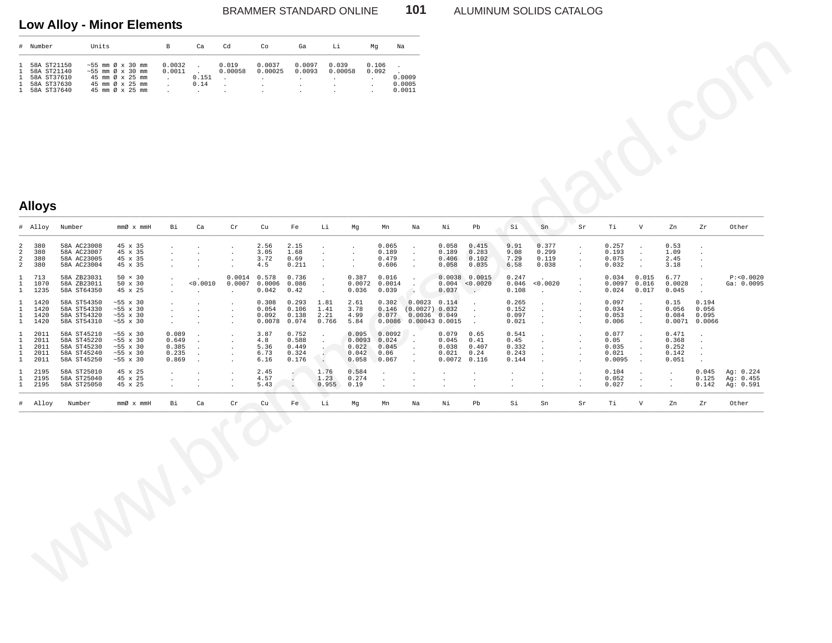### BRAMMER STANDARD ONLINE **101** ALUMINUM SOLIDS CATALOG

## **Low Alloy - Minor Elements** \_\_\_\_\_\_\_\_\_\_\_\_\_\_\_\_\_\_\_\_\_\_\_\_\_\_\_\_\_\_\_\_\_\_\_\_\_\_\_\_\_\_\_\_\_\_\_\_\_\_\_\_\_\_\_\_\_\_\_\_\_\_\_\_\_\_\_\_\_\_\_\_\_\_\_\_\_\_\_\_\_\_\_\_\_\_\_\_\_\_\_\_\_\_\_\_\_\_\_\_\_\_\_\_\_\_

| $\pm$                                                                        | Number                                                                  | Units                                                                                                                             | B                | Ca            | Cd               | Co                | Ga               | Li               | Ma             | Na                         |
|------------------------------------------------------------------------------|-------------------------------------------------------------------------|-----------------------------------------------------------------------------------------------------------------------------------|------------------|---------------|------------------|-------------------|------------------|------------------|----------------|----------------------------|
| $\mathbf{1}$<br>$\mathbf{1}$<br>$\mathbf{1}$<br>$\mathbf{1}$<br>$\mathbf{1}$ | 58A ST21150<br>58A ST21140<br>58A ST37610<br>58A ST37630<br>58A ST37640 | $\sim$ 55 mm $\varnothing$ x 30 mm<br>$\sim$ 55 mm $\varnothing$ x 30 mm<br>45 mm Ø x 25 mm<br>45 mm Ø x 25 mm<br>45 mm Ø x 25 mm | 0.0032<br>0.0011 | 0.151<br>0.14 | 0.019<br>0.00058 | 0.0037<br>0.00025 | 0.0097<br>0.0093 | 0.039<br>0.00058 | 0.106<br>0.092 | 0.0009<br>0.0005<br>0.0011 |

## **Alloys**

| #                                      | Number                                                                  | Units                                                                   |                                                                                                                                       | B                                                                             | Ca                                              | Cd                                                                          | Co                                                | Ga                                                                 | Li                                                                             |                                            | Mg<br>Na                                  |                                                                      |                                            |                                                     |                                          |                                  |                                                                    |                                           |                                                                   |                                           |                                                       |                                     |
|----------------------------------------|-------------------------------------------------------------------------|-------------------------------------------------------------------------|---------------------------------------------------------------------------------------------------------------------------------------|-------------------------------------------------------------------------------|-------------------------------------------------|-----------------------------------------------------------------------------|---------------------------------------------------|--------------------------------------------------------------------|--------------------------------------------------------------------------------|--------------------------------------------|-------------------------------------------|----------------------------------------------------------------------|--------------------------------------------|-----------------------------------------------------|------------------------------------------|----------------------------------|--------------------------------------------------------------------|-------------------------------------------|-------------------------------------------------------------------|-------------------------------------------|-------------------------------------------------------|-------------------------------------|
|                                        | 58A ST21150<br>58A ST21140<br>58A ST37610<br>58A ST37630<br>58A ST37640 |                                                                         | $~55$ mm $\varnothing$ x 30 mm<br>$~55$ mm $\varnothing$ x 30 mm<br>45 mm Ø x 25 mm<br>45 mm $\varnothing$ x 25 mm<br>45 mm Ø x 25 mm | 0.0032<br>0.0011<br>$\ddot{\phantom{a}}$<br>$\bullet$<br>$\ddot{\phantom{a}}$ | $\sim$<br>0.151<br>0.14<br>$\ddot{\phantom{a}}$ | 0.019<br>0.00058<br>$\ddot{\phantom{1}}$<br>$\cdot$<br>$\ddot{\phantom{a}}$ | 0.0037<br>0.00025<br>$\cdot$<br>$\cdot$<br>$\sim$ | 0.0097<br>0.0093<br>$\cdot$<br>$\cdot$<br>$\overline{\phantom{a}}$ | 0.039<br>0.00058<br>$\ddot{\phantom{a}}$<br>$\Delta$<br>$\ddot{\phantom{a}}$   | $\cdot$<br>$\cdot$<br>$\bullet$            | 0.106<br>$\cdot$<br>0.092                 | 0.0009<br>0.0005<br>0.0011                                           |                                            |                                                     |                                          |                                  |                                                                    |                                           |                                                                   |                                           |                                                       |                                     |
|                                        |                                                                         |                                                                         |                                                                                                                                       |                                                                               |                                                 |                                                                             |                                                   |                                                                    |                                                                                |                                            |                                           |                                                                      |                                            |                                                     |                                          |                                  |                                                                    |                                           |                                                                   |                                           |                                                       |                                     |
|                                        |                                                                         |                                                                         |                                                                                                                                       |                                                                               |                                                 |                                                                             |                                                   |                                                                    |                                                                                |                                            |                                           |                                                                      |                                            |                                                     |                                          |                                  |                                                                    |                                           |                                                                   |                                           |                                                       |                                     |
|                                        | <b>Alloys</b>                                                           |                                                                         |                                                                                                                                       |                                                                               |                                                 |                                                                             |                                                   |                                                                    |                                                                                |                                            |                                           |                                                                      |                                            |                                                     |                                          |                                  |                                                                    |                                           |                                                                   |                                           |                                                       |                                     |
|                                        | # Alloy                                                                 | Number                                                                  | $\mathfrak{mm}\hspace{-.025cm}\mathscr{D} \hspace{.1cm} \mathbf{x} \hspace{.1cm} \mathfrak{mm} \mathrm{H}$                            | Bi                                                                            | Ca                                              | $\operatorname{cr}$                                                         | cu                                                | Fe                                                                 | Li                                                                             | Mg                                         | Mn                                        | $_{\rm Na}$                                                          | Νi                                         | Pb                                                  | Si                                       | Sn                               | Sr                                                                 | Тi                                        | V                                                                 | Zn                                        | Zr                                                    | Other                               |
| 2<br>2<br>$\overline{\mathbf{c}}$<br>2 | 380<br>380<br>380<br>380                                                | 58A AC23008<br>58A AC23007<br>58A AC23005<br>58A AC23004                | 45 x 35<br>45 x 35<br>45 x 35<br>45 x 35                                                                                              | $\ddot{\phantom{a}}$                                                          | $\cdot$                                         | $\cdot$<br>$\cdot$                                                          | 2.56<br>3.05<br>3.72<br>4.5                       | 2.15<br>1.68<br>0.69<br>0.211                                      | $\cdot$                                                                        | $\cdot$<br>$\sim$                          | 0.065<br>0.189<br>0.479<br>0.606          | $\cdot$<br>$\mathcal{A}$<br>$\cdot$<br>$\ddot{\phantom{a}}$          | 0.058<br>0.189<br>0.406<br>0.058           | 0.415<br>0.283<br>0.102<br>0.035                    | 9.91<br>9.08<br>7.29<br>6.58             | 0.377<br>0.299<br>0.119<br>0.038 | $\ddot{\phantom{1}}$<br>$\sim$<br>$\ddot{\phantom{1}}$<br>$\Delta$ | 0.257<br>0.193<br>0.075<br>0.032          | $\ddot{\phantom{a}}$<br>$\sim$<br>$\cdot$<br>$\ddot{\phantom{a}}$ | 0.53<br>1.09<br>2.45<br>3.18              | $\cdot$<br>$\cdot$<br>$\cdot$<br>$\ddot{\phantom{a}}$ |                                     |
| 1<br>1<br>1                            | 713<br>1070<br>1235                                                     | 58A ZB23031<br>58A ZB23011<br>58A ST64350                               | $50 \times 30$<br>50 x 30<br>45 x 25                                                                                                  | $\cdot$<br>$\cdot$<br>$\cdot$                                                 | < 0.0010                                        | 0.0014<br>0.0007<br>$\cdot$                                                 | 0.578<br>0.0006<br>0.042                          | 0.736<br>0.086<br>0.42                                             | $\ddot{\phantom{a}}$<br>$\cdot$<br>$\blacksquare$                              | 0.387<br>0.0072<br>0.036                   | 0.016<br>0.0014<br>0.039                  | $\cdot$<br>$\ddot{\phantom{a}}$<br>$\blacksquare$                    | 0.004<br>0.037                             | $0.0038$ 0.0015<br>< 0.0020<br>$\ddot{\phantom{a}}$ | 0.247<br>0.046<br>0.108                  | < 0.0020<br>$\ddot{\phantom{a}}$ |                                                                    | 0.034<br>0.0097<br>0.024                  | 0.015<br>0.016<br>0.017                                           | 6.77<br>0.0028<br>0.045                   | $\blacksquare$<br>$\ddot{\phantom{a}}$                | P: < 0.0020<br>Ga: 0.0095           |
| 1<br>1                                 | 1420<br>1420<br>1420<br>1420                                            | 58A ST54350<br>58A ST54330<br>58A ST54320<br>58A ST54310                | $~55 \times 30$<br>$~55 \times 30$<br>$\sim 55$ x 30<br>$\sim\!55\,$ x $\,30$                                                         | $\cdot$<br>$\cdot$<br>$\ddot{\phantom{a}}$                                    |                                                 | $\cdot$<br>$\cdot$                                                          | 0.308<br>0.054<br>0.092<br>0.0078                 | 0.293<br>0.106<br>0.138<br>0.074                                   | 1.81<br>1.41<br>2.21<br>0.766                                                  | 2.61<br>3.78<br>4.99<br>5.84               | 0.302<br>0.146<br>0.077<br>0.0086         | $0.0023$ $0.114$<br>(0.0027) 0.032<br>0.0036 0.049<br>0.00043 0.0015 |                                            | $\sim$                                              | 0.265<br>0.152<br>0.097<br>0.021         | $\ddot{\phantom{a}}$<br>$\cdot$  |                                                                    | 0.097<br>0.034<br>0.053<br>0.006          | $\cdot$<br>$\cdot$<br>$\ddot{\phantom{a}}$<br>$\blacksquare$      | 0.15<br>0.056<br>0.084                    | 0.194<br>0.056<br>0.095<br>$0.0071$ 0.0066            |                                     |
|                                        | 2011<br>2011<br>2011<br>2011<br>2011                                    | 58A ST45210<br>58A ST45220<br>58A ST45230<br>58A ST45240<br>58A ST45250 | $~55 \times 30$<br>$~55 \times 30$<br>$\sim\!55\,$ x $\,30$<br>$~55 \times 30$<br>$\sim\!55\,$ x $\,30$                               | 0.089<br>0.649<br>0.385<br>0.235<br>0.869                                     | $\sim$                                          | $\cdot$<br>$\cdot$<br>$\cdot$                                               | 3.87<br>4.8<br>5.36<br>6.73<br>6.16               | 0.752<br>0.588<br>0.449<br>0.324<br>0.176                          | $\cdot$<br>$\cdot$<br>$\ddot{\phantom{0}}$<br>$\ddot{\phantom{0}}$<br><b>.</b> | 0.095<br>0.0093<br>0.022<br>0.042<br>0.058 | 0.0092<br>0.024<br>0.045<br>0.06<br>0.067 | $\cdot$<br>$\cdot$<br>$\cdot$<br>$\cdot$<br>$\ddot{\phantom{a}}$     | 0.079<br>0.045<br>0.038<br>0.021<br>0.0072 | 0.65<br>0.41<br>0.407<br>0.24<br>0.116              | 0.541<br>0.45<br>0.332<br>0.243<br>0.144 | $\cdot$                          |                                                                    | 0.077<br>0.05<br>0.035<br>0.021<br>0.0095 | $\cdot$<br>$\cdot$<br>$\cdot$<br>$\cdot$<br>$\ddot{\phantom{a}}$  | 0.471<br>0.368<br>0.252<br>0.142<br>0.051 | $\cdot$<br>$\cdot$<br>$\cdot$<br>$\cdot$<br>$\cdot$   |                                     |
| 1<br>1<br>1                            | 2195<br>2195<br>2195                                                    | 58A ST25010<br>58A ST25040<br>58A ST25050                               | 45 x 25<br>45 x 25<br>45 x 25                                                                                                         | $\cdot$<br>$\cdot$                                                            |                                                 | $\cdot$<br>$\cdot$                                                          | 2.45<br>4.57<br>5.43                              | $\Box$<br>$\Box$<br>$\cdot$                                        | 1.76<br>1.23<br>0.955                                                          | 0.584<br>0.274<br>0.19                     | $\cdot$<br>$\cdot$                        | $\cdot$<br>$\cdot$                                                   | $\cdot$<br>$\cdot$                         | $\cdot$<br>$\cdot$                                  | $\cdot$<br>$\cdot$                       | $\cdot$<br>$\ddot{\phantom{a}}$  |                                                                    | 0.104<br>0.052<br>0.027                   | $\cdot$<br>$\cdot$<br>$\cdot$                                     | $\cdot$<br>$\cdot$<br>$\cdot$             | 0.045<br>0.125<br>0.142                               | Ag: 0.224<br>Ag: 0.455<br>Ag: 0.591 |
| #                                      | Alloy                                                                   | Number                                                                  | $\mathfrak{mm}\text{\O}\hspace{2pt}\mathbb{X}\hspace{2pt} \mathfrak{mm}$ H $\hspace{1pt}\mathbb{H}$                                   | Bi                                                                            | $ca$                                            | ${\rm Cr}$                                                                  | Cu                                                | Fe                                                                 | Li                                                                             | Mg                                         | Mn                                        | Na                                                                   | Νi                                         | $_{\rm Pb}$                                         | Si                                       | ${\rm Sn}$                       | Sr                                                                 | Тi                                        | $\mathbf V$                                                       | Zn                                        | Zr                                                    | Other                               |
|                                        |                                                                         |                                                                         |                                                                                                                                       |                                                                               |                                                 |                                                                             |                                                   |                                                                    |                                                                                |                                            |                                           |                                                                      |                                            |                                                     |                                          |                                  |                                                                    |                                           |                                                                   |                                           |                                                       |                                     |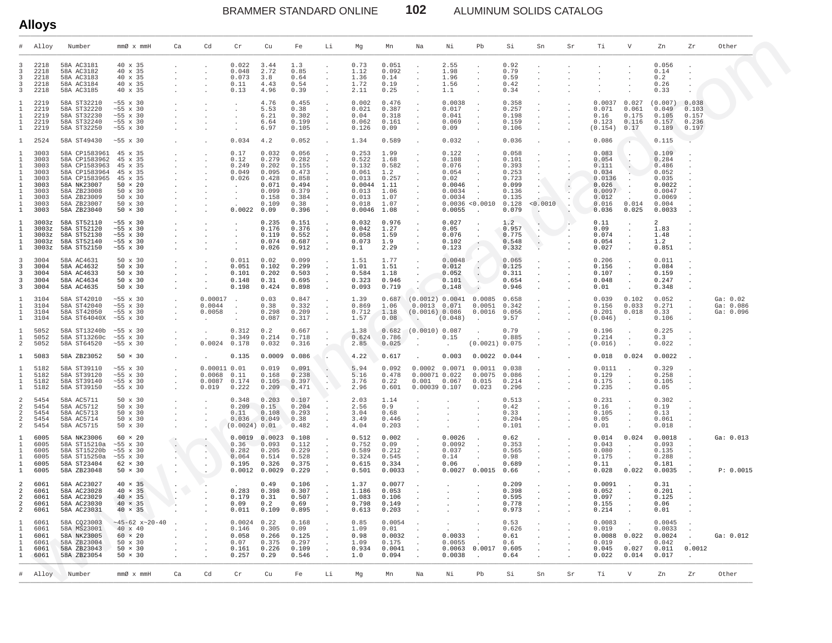BRAMMER STANDARD ONLINE **102** ALUMINUM SOLIDS CATALOG

|                                                                            | <b>Alloys</b>                                                                |                                                                                                                                                              |                                                                                                                          |                                                                     |                                                            |                                                                                        |                                                                                       |                                                                                       |                                                                                                                |                                                                                          |                                                                               |                                                            |                                                                                  |                                                           |                                                                                        |                                                                                          |                      |                                                                                          |                                                              |                                                                                            |                                           |                                    |
|----------------------------------------------------------------------------|------------------------------------------------------------------------------|--------------------------------------------------------------------------------------------------------------------------------------------------------------|--------------------------------------------------------------------------------------------------------------------------|---------------------------------------------------------------------|------------------------------------------------------------|----------------------------------------------------------------------------------------|---------------------------------------------------------------------------------------|---------------------------------------------------------------------------------------|----------------------------------------------------------------------------------------------------------------|------------------------------------------------------------------------------------------|-------------------------------------------------------------------------------|------------------------------------------------------------|----------------------------------------------------------------------------------|-----------------------------------------------------------|----------------------------------------------------------------------------------------|------------------------------------------------------------------------------------------|----------------------|------------------------------------------------------------------------------------------|--------------------------------------------------------------|--------------------------------------------------------------------------------------------|-------------------------------------------|------------------------------------|
|                                                                            | Alloy                                                                        | Number                                                                                                                                                       | $mmØ \times mmH$                                                                                                         | Ca                                                                  | Cd                                                         | Cr                                                                                     | Cu                                                                                    | Fe                                                                                    | Li                                                                                                             | Mg                                                                                       | Mn                                                                            | Na                                                         | Νi                                                                               | Pb                                                        | Si                                                                                     | Sn                                                                                       | Sr                   | Τi                                                                                       | V                                                            | Zn                                                                                         | Zr                                        | Other                              |
| 3<br>3<br>3<br>3<br>3                                                      | 2218<br>2218<br>2218<br>2218<br>2218                                         | 58A AC3181<br>58A AC3182<br>58A AC3183<br>58A AC3184<br>58A AC3185                                                                                           | 40 x 35<br>40 x 35<br>40 x 35<br>40 x 35<br>40 x 35                                                                      | $\cdot$                                                             |                                                            | 0.022<br>0.048<br>0.073<br>0.11<br>0.13                                                | 3.44<br>2.72<br>3.8<br>4.43<br>4.96                                                   | 1.3<br>0.85<br>0.64<br>0.54<br>0.39                                                   | $\ddot{\phantom{a}}$<br>$\cdot$<br>$\sim$<br>$\sim$<br>$\Delta$                                                | 0.73<br>1.12<br>1.36<br>1.72<br>2.11                                                     | 0.051<br>0.092<br>0.14<br>0.19<br>0.25                                        |                                                            | 2.55<br>1.98<br>1.96<br>1.56<br>1.1                                              | $\cdot$<br>$\cdot$                                        | 0.92<br>0.79<br>0.59<br>0.42<br>0.34                                                   | $\cdot$                                                                                  |                      |                                                                                          |                                                              | 0.056<br>0.14<br>0.2<br>0.26<br>0.33                                                       |                                           |                                    |
| 1<br>Т.<br>1                                                               | 2219<br>2219<br>2219<br>2219<br>2219                                         | 58A ST32210<br>58A ST32220<br>58A ST32230<br>58A ST32240<br>58A ST32250                                                                                      | $~55 \times 30$<br>$~55 \times 30$<br>$~55 \times 30$<br>$~55 \times 30$<br>$~55 \times 30$                              |                                                                     |                                                            | $\cdot$<br>$\cdot$<br>$\cdot$                                                          | 4.76<br>5.53<br>6.21<br>6.64<br>6.97                                                  | 0.455<br>0.38<br>0.302<br>0.199<br>0.105                                              | $\cdot$<br>$\sim$<br>$\sim$<br>$\cdot$                                                                         | 0.002<br>0.021<br>0.04<br>0.062<br>0.126                                                 | 0.476<br>0.387<br>0.318<br>0.161<br>0.09                                      | $\cdot$<br>$\cdot$                                         | 0.0038<br>0.017<br>0.041<br>0.069<br>0.09                                        |                                                           | 0.358<br>0.257<br>0.198<br>0.159<br>0.106                                              | $\cdot$<br>$\cdot$<br>$\cdot$<br>$\cdot$                                                 |                      | 0.0037<br>0.071<br>0.16<br>0.123<br>(0.154)                                              | 0.027<br>0.061<br>0.175<br>0.116<br>0.17                     | (0.007)<br>0.049<br>0.105<br>0.157<br>0.189                                                | 0.038<br>0.103<br>0.157<br>0.236<br>0.197 |                                    |
| 1                                                                          | 2524                                                                         | 58A ST49430                                                                                                                                                  | $~55 \times 30$                                                                                                          | $\ddot{\phantom{a}}$                                                |                                                            | 0.034                                                                                  | 4.2                                                                                   | 0.052                                                                                 | $\ddot{\phantom{0}}$                                                                                           | 1.34                                                                                     | 0.589                                                                         |                                                            | 0.032                                                                            |                                                           | 0.036                                                                                  | $\cdot$                                                                                  | $\ddot{\phantom{a}}$ | 0.086                                                                                    | $\sim$                                                       | 0.115                                                                                      |                                           |                                    |
| 1<br>1                                                                     | 3003<br>3003<br>3003<br>3003<br>3003<br>3003<br>3003<br>3003<br>3003<br>3003 | 58A CP1583961<br>58A CP1583962<br>58A CP1583963<br>58A CP1583964<br>58A CP1583965<br>58A NK23007<br>58A ZB23008<br>58A ZB23009<br>58A ZB23007<br>58A ZB23040 | 45 x 35<br>45 x 35<br>45 x 35<br>45 x 35<br>45 x 35<br>$50 \times 20$<br>50 x 30<br>50 x 30<br>50 x 30<br>$50 \times 30$ | <b>Contractor</b><br><b>Contractor</b><br><b>Contract</b><br>$\sim$ |                                                            | 0.17<br>0.12<br>0.249<br>0.049<br>0.026<br>$\sim$ $\sim$<br>$\sim$<br>$\sim$<br>0.0022 | 0.032<br>0.279<br>0.202<br>0.095<br>0.428<br>0.071<br>0.099<br>0.158<br>0.109<br>0.09 | 0.056<br>0.282<br>0.155<br>0.473<br>0.858<br>0.494<br>0.379<br>0.384<br>0.38<br>0.396 | $\ddot{\phantom{a}}$<br>$\sim$<br>$\sim$<br>$\sim$<br>$\sim$<br>$\sim$<br>$\sim$<br>$\sim$<br>$\sim$<br>$\sim$ | 0.253<br>0.522<br>0.132<br>0.061<br>0.013<br>0.0044<br>0.013<br>0.013<br>0.018<br>0.0046 | 1.99<br>1.68<br>0.582<br>1.2<br>0.257<br>1.11<br>1.06<br>1.07<br>1.07<br>1.08 |                                                            | 0.122<br>0.108<br>0.076<br>0.054<br>0.02<br>0.0046<br>0.0034<br>0.0034<br>0.0055 | 0.0036 < 0.0010<br>$\sim$                                 | 0.058<br>0.101<br>0.393<br>0.253<br>0.723<br>0.099<br>0.136<br>0.135<br>0.128<br>0.079 | $\cdot$<br>$\sim$<br>$\cdot$<br>$\sim$ $\sim$<br>$\sim$ $^{\circ}$<br>$\sim$<br>< 0.0010 |                      | 0.083<br>0.054<br>0.111<br>0.034<br>0.0136<br>0.026<br>0.0097<br>0.012<br>0.016<br>0.036 | $\cdot$<br>$\cdot$<br>0.014<br>0.025                         | 0.109<br>0.284<br>0.486<br>0.052<br>0.035<br>0.0022<br>0.0047<br>0.0069<br>0.004<br>0.0033 |                                           |                                    |
| 1<br>1                                                                     | 3003z<br>3003z<br>3003z<br>3003z<br>3003z                                    | 58A ST52110<br>58A ST52120<br>58A ST52130<br>58A ST52140<br>58A ST52150                                                                                      | $~55 \times 30$<br>$~55 \times 30$<br>$~55 \times 30$<br>$~55 \times 30$<br>$~55 \times 30$                              | $\ddot{\phantom{a}}$                                                |                                                            | $\cdot$<br>$\cdot$<br>$\ddot{\phantom{a}}$                                             | 0.235<br>0.176<br>0.119<br>0.074<br>0.026                                             | 0.151<br>0.376<br>0.552<br>0.687<br>0.912                                             | $\ddot{\phantom{a}}$<br>$\sim$<br>$\sim$<br>$\sim$<br>$\cdot$                                                  | 0.032<br>0.042<br>0.058<br>0.073<br>0.1                                                  | 0.976<br>1.27<br>1.59<br>1.9<br>2.29                                          | $\Delta$                                                   | 0.027<br>0.05<br>0.076<br>0.102<br>0.123                                         |                                                           | 1.2<br>0.957<br>0.775<br>0.548<br>0.332                                                |                                                                                          |                      | 0.11<br>0.09<br>0.074<br>0.054<br>0.027                                                  | $\cdot$<br>$\sim$<br>$\cdot$                                 | $\overline{2}$<br>1.83<br>1.48<br>1.2<br>0.851                                             |                                           |                                    |
| 3<br>3<br>3<br>3<br>3                                                      | 3004<br>3004<br>3004<br>3004<br>3004                                         | 58A AC4631<br>58A AC4632<br>58A AC4633<br>58A AC4634<br>58A AC4635                                                                                           | 50 x 30<br>50 x 30<br>50 x 30<br>50 x 30<br>50 x 30                                                                      | $\sim$<br>$\cdot$<br>$\sim$                                         |                                                            | 0.011<br>0.051<br>0.101<br>0.148<br>0.198                                              | 0.02<br>0.102<br>0.202<br>0.31<br>0.424                                               | 0.099<br>0.299<br>0.503<br>0.695<br>0.898                                             | $\ddot{\phantom{0}}$<br>$\ddot{\phantom{0}}$<br>$\sim$<br>$\sim$<br>$\sim$                                     | 1.51<br>1.01<br>0.584<br>0.323<br>0.093                                                  | 1.77<br>1.51<br>1.18<br>0.946<br>0.719                                        |                                                            | 0.0048<br>$0.012$<br>$0.052$<br>0.101<br>0.148                                   | $\sim$<br>$\ddot{\phantom{1}}$                            | 0.065<br>0.125<br>0.311<br>0.654<br>0.946                                              | $\cdot$<br>$\cdot$<br>$\cdot$                                                            |                      | 0.206<br>0.156<br>0.107<br>0.048<br>0.01                                                 | $\cdot$<br>$\cdot$<br>$\sim$<br>$\cdot$                      | 0.011<br>0.084<br>0.159<br>0.247<br>0.348                                                  |                                           |                                    |
| 1<br>1                                                                     | 3104<br>3104<br>3104<br>3104                                                 | 58A ST42010<br>58A ST42040<br>58A ST42050<br>58A ST64040X ~55 x 30                                                                                           | $~55 \times 30$<br>$~55 \times 30$<br>$~55 \times 30$                                                                    | $\cdot$<br>$\sim$<br>$\cdot$<br>$\sim$                              | 0.00017<br>0.0044<br>0.0058<br>$\cdot$                     | $\sim$<br>$\ddot{\phantom{0}}$<br>$\cdot$<br>$\cdot$                                   | 0.03<br>0.38<br>0.298<br>0.087                                                        | 0.847<br>0.332<br>0.209<br>0.317                                                      | $\sim$<br>$\sim$<br>$\sim$                                                                                     | 1.39<br>0.869<br>0.712<br>1.57                                                           | 0.687<br>1.06<br>1.18<br>0.08                                                 | (0.0012) 0.0041 0.0085<br>(0.0016) 0.086                   | $0.0013$ $0.071$<br>(0.048)                                                      | 0.0051<br>$0.0016$ $0.056$                                | 0.658<br>0.342<br>9.57                                                                 | $\blacksquare$ .<br>$\cdot$<br>$\cdot$                                                   | $\cdot$              | 0.039<br>0.156<br>0.201<br>(0.046)                                                       | 0.102<br>0.033<br>0.018                                      | 0.052<br>0.271<br>0.33<br>0.106                                                            | $\blacksquare$                            | Ga: 0.02<br>Ga: 0.086<br>Ga: 0.096 |
| 1<br>2                                                                     | 5052<br>5052<br>5052                                                         | 58A ST13240b ~55 x 30<br>58A ST13260c<br>58A ST64520                                                                                                         | $~10^{-5}$ x 30<br>$~55 \times 30$                                                                                       | $\cdot$<br>$\blacksquare$                                           | 0.0024                                                     | 0.312<br>0.349<br>0.178                                                                | 0.2<br>0.214<br>0.032                                                                 | 0.667<br>0.718<br>0.316                                                               |                                                                                                                | 1.38<br>0.624<br>2.85                                                                    | 0.682<br>0.786<br>0.025                                                       | (0.0010) 0.087<br>$\sim$<br>$\cdot$                        | 0.15                                                                             | (0.0021) 0.075                                            | 0.79<br>0.885                                                                          | $\cdot$<br>$\cdot$                                                                       |                      | 0.196<br>0.214<br>(0.016)                                                                | $\cdot$<br>$\cdot$<br>$\ddot{\phantom{a}}$                   | 0.225<br>0.3<br>0.022                                                                      |                                           |                                    |
| 1                                                                          | 5083                                                                         | 58A ZB23052                                                                                                                                                  | $50 \times 30$                                                                                                           | $\cdot$                                                             |                                                            | 0.135                                                                                  | 0.0009                                                                                | 0.086                                                                                 |                                                                                                                | 4.22                                                                                     | 0.617                                                                         |                                                            | 0.003                                                                            | $0.0022$ 0.044                                            |                                                                                        |                                                                                          |                      | 0.018                                                                                    | 0.024                                                        | 0.0022                                                                                     |                                           |                                    |
| 1<br>1<br>$\mathbf{1}$                                                     | 5182<br>5182<br>5182<br>5182                                                 | 58A ST39110<br>58A ST39120<br>58A ST39140<br>58A ST39150                                                                                                     | $~55 \times 30$<br>$~55 \times 30$<br>$~55 \times 30$<br>$~55 \times 30$                                                 | $\cdot$<br>$\sim$<br>$\sim$<br>$\sim$                               | 0.00011 0.01<br>$0.0068$ $0.11$<br>$0.0087$ 0.174<br>0.019 | 0.222                                                                                  | 0.019<br>0.168<br>0.105<br>0.209                                                      | 0.091<br>0.238<br>0.397<br>0.471                                                      | $\ddot{\phantom{0}}$<br>$\sim$ $\sim$                                                                          | 5.94<br>5.16<br>3.76<br>2.96                                                             | 0.092<br>0.478<br>0.22<br>0.601                                               | 0.001                                                      | $0.0002$ $0.0071$ $0.0011$<br>0.00071 0.022<br>0.067<br>0.00039 0.107            | 0.0075<br>0.015<br>0.023                                  | 0.038<br>0.086<br>0.214<br>0.296                                                       | $\cdot$<br>$\cdot$                                                                       |                      | 0.0111<br>0.129<br>0.175<br>0.235                                                        | $\cdot$<br>$\cdot$<br>$\sim$                                 | 0.329<br>0.258<br>0.105<br>0.05                                                            |                                           |                                    |
| 2<br>2<br>2<br>2<br>2                                                      | 5454<br>5454<br>5454<br>5454<br>5454                                         | 58A AC5711<br>58A AC5712<br>58A AC5713<br>58A AC5714<br>58A AC5715                                                                                           | $50 \times 30$<br>50 x 30<br>50 x 30<br>50 x 30<br>50 x 30                                                               | $\blacksquare$<br>$\sim$<br>$\sim$<br>$\sim$<br>$\sim$              |                                                            | 0.348<br>0.209<br>0.11<br>0.036<br>(0.0024) 0.01                                       | 0.203<br>0.15<br>0.108<br>0.049                                                       | 0.107<br>0.204<br>0.293<br>0.38<br>0.482                                              | $\cdot$<br>$\cdot$                                                                                             | 2.03<br>2.56<br>3.04<br>3.49<br>4.04                                                     | 1.14<br>0.9<br>0.68<br>0.446<br>0.203                                         | $\cdot$<br>$\Delta$                                        |                                                                                  |                                                           | 0.513<br>0.42<br>0.33<br>0.204<br>0.101                                                | $\cdot$<br>$\cdot$<br>$\ddot{\phantom{a}}$                                               |                      | 0.231<br>0.16<br>0.105<br>0.05<br>0.01                                                   | $\sim$<br>$\cdot$<br>$\sim$                                  | 0.302<br>0.19<br>0.13<br>0.061<br>0.018                                                    |                                           |                                    |
| 1<br>1<br>-1.<br>1                                                         | 6005<br>6005<br>6005<br>6005<br>6005<br>6005                                 | 58A NK23006<br>58A ST15210a<br>58A ST15220b<br>58A ST15250a<br>58A ST23404<br>58A ZB23048                                                                    | $60 \times 20$<br>$~55 \times 30$<br>$~55 \times 30$<br>$~55 \times 30$<br>$62 \times 30$<br>$50 \times 30$              |                                                                     |                                                            | 0.36<br>0.282<br>0.064<br>0.195                                                        | $0.0019$ $0.0023$ $0.108$<br>0.093<br>0.205<br>0.514<br>0.326<br>$0.0012$ 0.0029      | 0.112<br>0.229<br>0.528<br>0.375<br>0.229                                             | $\sim$<br>$\sim$<br>$\sim$                                                                                     | 0.512<br>0.752<br>0.589<br>0.324<br>0.615<br>0.501                                       | 0.002<br>0.09<br>0.212<br>0.545<br>0.334<br>0.0033                            | $\Delta$<br>$\cdot$ .<br>$\cdot$ .<br>$\ddot{\phantom{0}}$ | 0.0026<br>0.0092<br>0.037<br>0.14<br>0.06                                        | $\ddot{\phantom{a}}$<br>$\blacksquare$<br>$0.0027$ 0.0015 | 0.62<br>0.353<br>0.565<br>0.98<br>0.689<br>0.66                                        | $\cdot$<br>$\sim$<br>$\cdot$<br>$\sim$                                                   |                      | 0.014<br>0.043<br>0.080<br>0.175<br>0.11<br>0.028                                        | 0.024<br>$\ddot{\phantom{a}}$<br>$\cdot$<br>$\cdot$<br>0.022 | 0.0018<br>0.093<br>0.135<br>0.288<br>0.181<br>0.0035                                       | $\cdot$                                   | Ga: 0.013<br>P: 0.0015             |
| $\overline{a}$<br>2<br>2<br>2<br>$\overline{a}$                            | 6061<br>6061<br>6061<br>6061<br>6061                                         | 58A AC23027<br>58A AC23028<br>58A AC23029<br>58A AC23030<br>58A AC23031                                                                                      | $40 \times 35$<br>$40 \times 35$<br>$40 \times 35$<br>$40 \times 35$<br>$40 \times 35$                                   |                                                                     |                                                            | 0.283<br>0.179<br>0.09<br>0.011                                                        | 0.49<br>0.398<br>0.31<br>0.2<br>0.109                                                 | 0.106<br>0.307<br>0.507<br>0.69<br>0.895                                              | <b>Contract Contract</b>                                                                                       | 1.37<br>1.186<br>1.083<br>0.798<br>0.613                                                 | 0.0077<br>0.053<br>0.106<br>0.149<br>0.203                                    |                                                            | the company's company's company's company's                                      |                                                           | 0.209<br>0.398<br>0.595<br>0.778<br>0.973                                              | the committee of the com-                                                                |                      | 0.0091<br>0.052<br>0.097<br>0.155<br>0.214                                               |                                                              | 0.31<br>0.201<br>0.125<br>0.06<br>0.01                                                     |                                           |                                    |
| $\mathbf{1}$<br>-1.<br>1<br>$\mathbf{1}$<br>$\overline{1}$<br>$\mathbf{1}$ | 6061<br>6061<br>6061<br>6061<br>6061<br>6061                                 | 58A CQ23003<br>58A MS23001<br>58A NK23005<br>58A ZB23004<br>58A ZB23043<br>58A ZB23054                                                                       | $~145-62$ x $~20-40$<br>40 x 40<br>$60 \times 20$<br>$50 \times 30$<br>$50 \times 30$<br>$50 \times 30$                  | $\cdot$                                                             |                                                            | $0.0024$ 0.22<br>0.146<br>0.058<br>0.07<br>0.161<br>0.257                              | 0.305<br>0.266<br>0.375<br>0.226<br>0.29                                              | 0.168<br>0.09<br>0.125<br>0.297<br>0.109<br>0.546                                     | $\cdot$<br>$\cdot$<br>$\cdot$<br>$\cdot$<br>$\cdot$                                                            | 0.85<br>1.09<br>0.98<br>1.09<br>0.934<br>1.0                                             | 0.0054<br>0.01<br>0.0032<br>0.175<br>0.0041<br>0.094                          | $\Delta$<br>$\ddot{\phantom{0}}$                           | 0.0033<br>0.0055<br>0.0038                                                       | $0.0063$ 0.0017<br>$\sim$                                 | 0.53<br>0.626<br>0.61<br>0.6<br>0.605<br>0.64                                          |                                                                                          |                      | 0.0083<br>0.019<br>$0.0088$ $0.022$<br>0.019<br>0.045<br>0.022                           | $\ddot{\phantom{a}}$<br>0.027<br>0.014                       | 0.0045<br>0.0033<br>0.0024<br>0.042<br>0.011<br>0.017                                      | $\cdot$<br>0.0012<br>$\cdot$              | Ga: 0.012                          |
| #                                                                          | Alloy                                                                        | Number                                                                                                                                                       | $mm\emptyset \times mmH$                                                                                                 | Ca                                                                  | Cd                                                         | Cr                                                                                     | Cu                                                                                    | Fe                                                                                    | Li                                                                                                             | Mg                                                                                       | Mn                                                                            | Na                                                         | Νi                                                                               | Pb                                                        | Si                                                                                     | Sn                                                                                       | Sr                   | Тi                                                                                       | V                                                            | Zn                                                                                         | Ζr                                        | Other                              |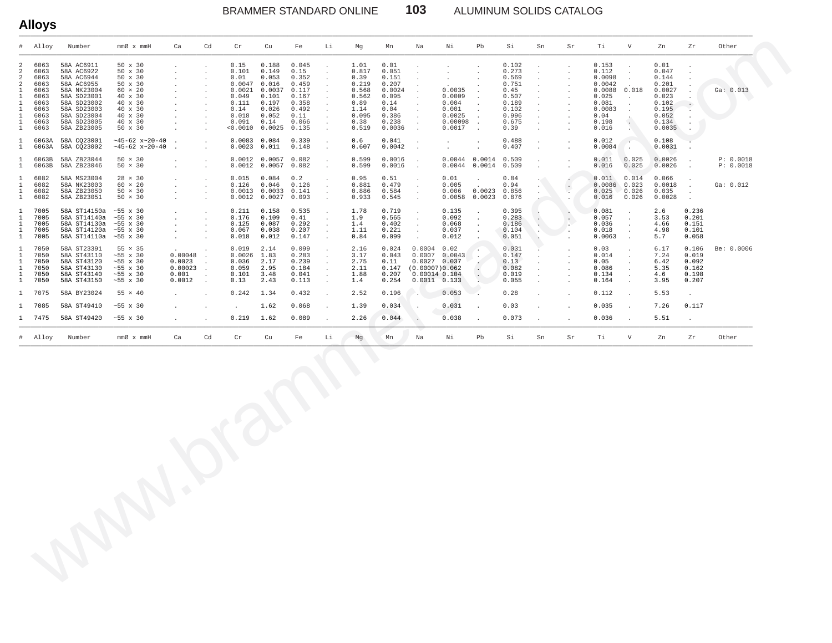ALUMINUM SOLIDS CATALOG

|              | Alloy                                                                                | Number                                                                                                                                                        | $mm\varnothing \times mmH$                                                                                                                               | Ca                                              | Cd                                           | $\operatorname{Cr}$                                                                               | Cu                                                                                               | Fe                                                                                            | Li                                   | Mg                                                                                         | Mn                                                                                             | Na                                                                                            | Νi                                                                          | Pb                                                                                                   | Si                                                                                            | Sn | Sr | Тi                                                                                                 | $\mathbf{V}$                     | Zn                                                                                               | Zr                                                 | Other                  |
|--------------|--------------------------------------------------------------------------------------|---------------------------------------------------------------------------------------------------------------------------------------------------------------|----------------------------------------------------------------------------------------------------------------------------------------------------------|-------------------------------------------------|----------------------------------------------|---------------------------------------------------------------------------------------------------|--------------------------------------------------------------------------------------------------|-----------------------------------------------------------------------------------------------|--------------------------------------|--------------------------------------------------------------------------------------------|------------------------------------------------------------------------------------------------|-----------------------------------------------------------------------------------------------|-----------------------------------------------------------------------------|------------------------------------------------------------------------------------------------------|-----------------------------------------------------------------------------------------------|----|----|----------------------------------------------------------------------------------------------------|----------------------------------|--------------------------------------------------------------------------------------------------|----------------------------------------------------|------------------------|
| 2<br>2<br>2  | 6063<br>6063<br>6063<br>6063<br>6063<br>6063<br>6063<br>6063<br>6063<br>6063<br>6063 | 58A AC6911<br>58A AC6922<br>58A AC6944<br>58A AC6955<br>58A NK23004<br>58A SD23001<br>58A SD23002<br>58A SD23003<br>58A SD23004<br>58A SD23005<br>58A ZB23005 | $50 \times 30$<br>50 x 30<br>$50 \times 30$<br>$50 \times 30$<br>$60 \times 20$<br>40 x 30<br>40 x 30<br>40 x 30<br>40 x 30<br>40 x 30<br>$50 \times 30$ |                                                 | $\mathbf{r}$<br>$\mathbf{r}$<br>$\mathbf{r}$ | 0.15<br>0.101<br>0.01<br>0.0047<br>0.0021<br>0.049<br>0.111<br>0.14<br>0.018<br>0.091<br>< 0.0010 | 0.188<br>0.149<br>0.053<br>0.016<br>0.0037<br>0.101<br>0.197<br>0.026<br>0.052<br>0.14<br>0.0025 | 0.045<br>0.15<br>0.352<br>0.459<br>0.117<br>0.167<br>0.358<br>0.492<br>0.11<br>0.066<br>0.135 |                                      | 1.01<br>0.817<br>0.39<br>0.219<br>0.568<br>0.562<br>0.89<br>1.14<br>0.095<br>0.38<br>0.519 | 0.01<br>0.051<br>0.151<br>0.207<br>0.0024<br>0.095<br>0.14<br>0.04<br>0.386<br>0.238<br>0.0036 |                                                                                               | $\sim$<br>0.0035<br>0.0009<br>0.004<br>0.001<br>0.0025<br>0.00098<br>0.0017 | $\overline{\phantom{a}}$<br>$\overline{\phantom{a}}$<br>$\overline{\phantom{a}}$<br>$\sim$<br>$\sim$ | 0.102<br>0.273<br>0.569<br>0.751<br>0.45<br>0.507<br>0.189<br>0.102<br>0.996<br>0.675<br>0.39 |    |    | 0.153<br>0.112<br>0.0098<br>0.0042<br>0.0088<br>0.025<br>0.081<br>0.0083<br>0.04<br>0.198<br>0.016 | $\ddot{\phantom{a}}$<br>0.018    | 0.01<br>0.047<br>0.144<br>0.201<br>0.0027<br>0.023<br>0.102<br>0.195<br>0.052<br>0.134<br>0.0035 |                                                    | Ga: 0.013              |
|              | 6063A<br>6063A                                                                       | 58A CO23001<br>58A CQ23002                                                                                                                                    | $~145 - 62$ x $~20 - 40$<br>$~145 - 62$ x $~20 - 40$                                                                                                     |                                                 | $\ddot{\phantom{0}}$                         | 0.0083<br>0.0023                                                                                  | 0.084<br>0.011                                                                                   | 0.339<br>0.148                                                                                | $\mathbf{r}$                         | 0.6<br>0.607                                                                               | 0.041<br>0.0042                                                                                | $\ddot{\phantom{1}}$<br>$\ddot{\phantom{a}}$                                                  | $\mathbf{r}$                                                                |                                                                                                      | 0.488<br>0.407                                                                                |    |    | 0.012<br>0.0084                                                                                    | $\sim$                           | 0.108<br>0.0031                                                                                  |                                                    |                        |
| $\mathbf{1}$ | 6063B<br>6063B                                                                       | 58A ZB23044<br>58A ZB23046                                                                                                                                    | $50 \times 30$<br>$50 \times 30$                                                                                                                         |                                                 | n.                                           | 0.0012<br>0.0012                                                                                  | 0.0057<br>0.0057                                                                                 | 0.082<br>0.082                                                                                | a.                                   | 0.599<br>0.599                                                                             | 0.0016<br>0.0016                                                                               | $\ddot{\phantom{a}}$                                                                          | $0.0044$ 0.0014<br>$0.0044$ 0.0014                                          |                                                                                                      | 0.509<br>0.509                                                                                |    |    | 0.011<br>0.016                                                                                     | 0.025<br>0.025                   | 0.0026<br>0.0026                                                                                 |                                                    | P: 0.0018<br>P: 0.0018 |
|              | 6082<br>6082<br>6082<br>6082                                                         | 58A MS23004<br>58A NK23003<br>58A ZB23050<br>58A ZB23051                                                                                                      | $28 \times 30$<br>$60 \times 20$<br>$50 \times 30$<br>$50 \times 30$                                                                                     |                                                 | $\mathbf{r}$<br>$\sim$<br>$\mathbf{r}$       | 0.015<br>0.126                                                                                    | 0.084<br>0.046<br>$0.0013$ $0.0033$ $0.141$<br>$0.0012$ $0.0027$ 0.093                           | 0.2<br>0.126                                                                                  | $\mathbf{r}$                         | 0.95<br>0.881<br>0.886<br>0.933                                                            | 0.51<br>0.479<br>0.584<br>0.545                                                                | $\sim$<br>$\overline{\phantom{a}}$                                                            | 0.01<br>0.005<br>0.006<br>0.0058                                            | 0.0023<br>0.0023                                                                                     | 0.84<br>0.94<br>0.856<br>0.876                                                                |    |    | 0.011<br>0.0086<br>0.025<br>0.016                                                                  | 0.014<br>0.023<br>0.026<br>0.026 | 0.066<br>0.0018<br>0.035<br>0.0028                                                               | $\overline{a}$                                     | Ga: 0.012              |
|              | 7005<br>7005<br>7005<br>7005<br>7005                                                 | 58A ST14150a<br>58A ST14140a<br>58A ST14130a<br>58A ST14120a<br>58A ST14110a                                                                                  | $~55 \times 30$<br>$~55 \times 30$<br>$~55 \times 30$<br>$~55 \times 30$<br>$~55 \times 30$                                                              | $\cdot$                                         | $\ddot{\phantom{a}}$<br>$\ddot{\phantom{a}}$ | 0.211<br>0.176<br>0.125<br>0.067<br>0.018                                                         | 0.158<br>0.109<br>0.087<br>0.038<br>0.012                                                        | 0.535<br>0.41<br>0.292<br>0.207<br>0.147                                                      |                                      | 1.78<br>1.9<br>1.4<br>1.11<br>0.84                                                         | 0.719<br>0.565<br>0.402<br>0.221<br>0.099                                                      | $\ddot{\phantom{a}}$<br>$\ddot{\phantom{a}}$                                                  | 0.135<br>0.092<br>0.068<br>0.037<br>0.012                                   |                                                                                                      | 0.395<br>0.283<br>0.186<br>0.104<br>0.051                                                     |    |    | 0.081<br>0.057<br>0.036<br>0.018<br>0.0063                                                         |                                  | 2.6<br>3.53<br>4.66<br>4.98<br>5.7                                                               | 0.236<br>0.201<br>0.151<br>0.101<br>0.058          |                        |
|              | 7050<br>7050<br>7050<br>7050<br>7050<br>7050                                         | 58A ST23391<br>58A ST43110<br>58A ST43120<br>58A ST43130<br>58A ST43140<br>58A ST43150                                                                        | $55 \times 35$<br>$~55 \times 30$<br>$~55 \times 30$<br>$~55 \times 30$<br>$~55 \times 30$<br>$~55 \times 30$                                            | 0.00048<br>0.0023<br>0.00023<br>0.001<br>0.0012 | $\ddot{\phantom{a}}$<br>$\ddot{\phantom{a}}$ | 0.019<br>0.0026<br>0.036<br>0.059<br>0.101<br>0.13                                                | 2.14<br>1.83<br>2.17<br>2.95<br>3.48<br>2.43                                                     | 0.099<br>0.283<br>0.239<br>0.184<br>0.041<br>0.113                                            | $\ddot{\phantom{a}}$<br>$\mathbf{r}$ | 2.16<br>3.17<br>2.75<br>2.11<br>1.88<br>1.4                                                | 0.024<br>0.043<br>0.11<br>0.147<br>0.207<br>0.254                                              | 0.0004<br>0.0007<br>$0.0027$ 0.037<br>(0.00007)0.062<br>$0.00014$ $0.104$<br>$0.0011 - 0.133$ | 0.02<br>0.0043                                                              |                                                                                                      | 0.031<br>0.147<br>0.13<br>0.082<br>0.019<br>0.055                                             |    |    | 0.03<br>0.014<br>0.05<br>0.086<br>0.134<br>0.164                                                   |                                  | 6.17<br>7.24<br>6.42<br>5.35<br>4.6<br>3.95                                                      | 0.106<br>0.019<br>0.092<br>0.162<br>0.198<br>0.207 | Be: 0.0006             |
|              | 7075                                                                                 | 58A BY23024                                                                                                                                                   | $55 \times 40$                                                                                                                                           |                                                 |                                              | 0.242                                                                                             | 1.34                                                                                             | 0.432                                                                                         |                                      | 2.52                                                                                       | 0.196                                                                                          |                                                                                               | 0.053                                                                       |                                                                                                      | 0.28                                                                                          |    |    | 0.112                                                                                              |                                  | 5.53                                                                                             |                                                    |                        |
|              | 1 7085                                                                               | 58A ST49410                                                                                                                                                   | $~55 \times 30$                                                                                                                                          |                                                 |                                              |                                                                                                   | 1.62                                                                                             | 0.068                                                                                         |                                      | 1.39                                                                                       | 0.034                                                                                          |                                                                                               | 0.031                                                                       |                                                                                                      | 0.03                                                                                          |    |    | 0.035                                                                                              |                                  | 7.26                                                                                             | 0.117                                              |                        |
|              | 1 7475                                                                               | 58A ST49420                                                                                                                                                   | $~55 \times 30$                                                                                                                                          |                                                 |                                              | 0.219                                                                                             | 1.62                                                                                             | 0.089                                                                                         |                                      | 2.26                                                                                       | 0.044                                                                                          |                                                                                               | 0.038                                                                       |                                                                                                      | 0.073                                                                                         |    |    | 0.036                                                                                              |                                  | 5.51                                                                                             | $\ddot{\phantom{a}}$                               |                        |
|              | # Alloy                                                                              | Number                                                                                                                                                        | $mmØ \times mmH$                                                                                                                                         | Ca                                              | Cd                                           | Cr                                                                                                | Cu                                                                                               | Fe                                                                                            | Li                                   | Mg                                                                                         | Mn                                                                                             | Na                                                                                            | Νi                                                                          | Pb                                                                                                   | Si                                                                                            | Sn | Sr | Ti                                                                                                 | V                                | Zn                                                                                               | Zr                                                 | Other                  |

103

**Alloys**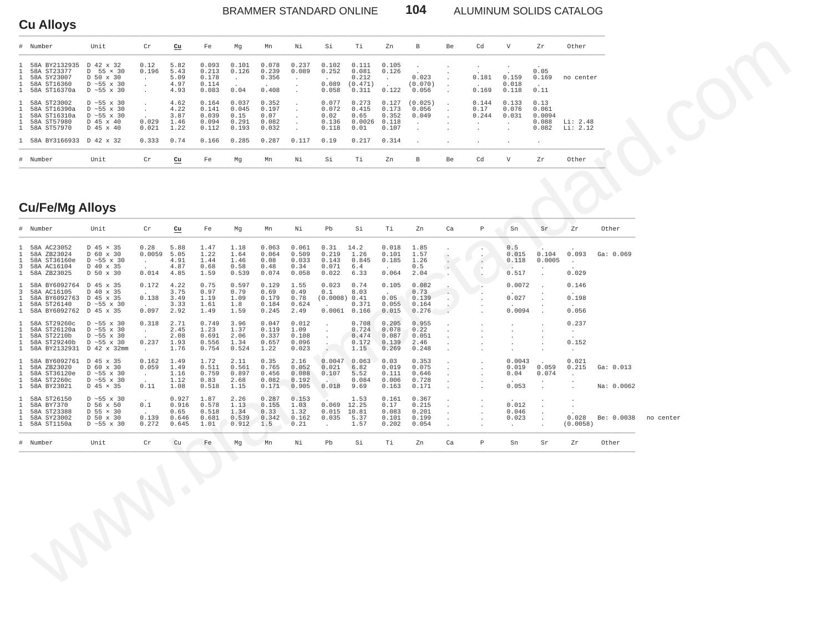## **Cu Alloys**

#### 104 BRAMMER STANDARD ONLINE

ALUMINUM SOLIDS CATALOG

| # Number                                                                                                         | Unit                                                                                              | Cr                      | cu                                           | Fe                                                 | Mq                                                | Mn                                                | Νi             | Si                                               | Τi                                                | Zn                                                 | B                         | Be | Cd                     | V                       | Zr                                                   | Other                |
|------------------------------------------------------------------------------------------------------------------|---------------------------------------------------------------------------------------------------|-------------------------|----------------------------------------------|----------------------------------------------------|---------------------------------------------------|---------------------------------------------------|----------------|--------------------------------------------------|---------------------------------------------------|----------------------------------------------------|---------------------------|----|------------------------|-------------------------|------------------------------------------------------|----------------------|
| 1 58A BY2132935<br>1 58A ST23377<br>1 58A SY23007<br>1 58A ST16360<br>1 58A ST16370a                             | D 42 x 32<br>$D$ 55 $\times$ 30<br>D 50 x 30<br>$D \sim 55 \times 30$<br>$D \sim 55 \times 30$    | 0.12<br>0.196           | 5.82<br>5.43<br>5.09<br>4.97<br>4.93         | 0.093<br>0.213<br>0.178<br>0.114<br>0.083          | 0.101<br>0.126<br>0.04                            | 0.078<br>0.239<br>0.356<br>0.408                  | 0.237<br>0.089 | 0.102<br>0.252<br>0.089<br>0.058                 | 0.111<br>0.081<br>0.212<br>(0.471)<br>0.311       | 0.105<br>0.126<br>0.122                            | 0.023<br>(0.070)<br>0.056 |    | 0.181<br>0.169         | 0.159<br>0.018<br>0.118 | 0.05<br>0.169<br>0.11                                | no center            |
| 1 58A ST23002<br>1 58A ST16390a<br>1 58A ST16310a<br>1 58A ST57980<br>1 58A ST57970<br>1 58A BY3166933 D 42 x 32 | $D \sim 55 \times 30$<br>$D \sim 55 \times 30$<br>$D \sim 55 \times 30$<br>D 45 x 40<br>D 45 x 40 | 0.029<br>0.021<br>0.333 | 4.62<br>4.22<br>3.87<br>1.46<br>1.22<br>0.74 | 0.164<br>0.141<br>0.039<br>0.094<br>0.112<br>0.166 | 0.037<br>0.045<br>0.15<br>0.291<br>0.193<br>0.285 | 0.352<br>0.197<br>0.07<br>0.082<br>0.032<br>0.287 | 0.117          | 0.077<br>0.072<br>0.02<br>0.136<br>0.118<br>0.19 | 0.273<br>0.415<br>0.65<br>0.0026<br>0.01<br>0.217 | 0.127<br>0.173<br>0.352<br>0.118<br>0.107<br>0.314 | (0.025)<br>0.056<br>0.049 |    | 0.144<br>0.17<br>0.244 | 0.133<br>0.076<br>0.031 | 0.13<br>0.061<br>0.0094<br>0.088<br>0.082<br>$\cdot$ | Li: 2.48<br>Li: 2.12 |
| # Number                                                                                                         | Unit                                                                                              | Cr                      | Cu                                           | Fe                                                 | Mq                                                | Mn                                                | Νi             | Si                                               | Тi                                                | Zn                                                 | B                         | Be | Cd                     | V                       | Zr                                                   | Other                |

## **Cu/Fe/Mg Alloys**

|              | # Number                                                                                | Unit                                                                                                            | $\operatorname{Cr}$                                       | cu                                       | Fe                                       | Mg                                     | Mn                                       | Νi                                       | Pb                                                          | Si                                       | Τi                                         | Zn                                        | Ca                                                                              | Р                                                                                        | Sn                                                    | Sr                                     | Zr                                                      | Other                   |           |
|--------------|-----------------------------------------------------------------------------------------|-----------------------------------------------------------------------------------------------------------------|-----------------------------------------------------------|------------------------------------------|------------------------------------------|----------------------------------------|------------------------------------------|------------------------------------------|-------------------------------------------------------------|------------------------------------------|--------------------------------------------|-------------------------------------------|---------------------------------------------------------------------------------|------------------------------------------------------------------------------------------|-------------------------------------------------------|----------------------------------------|---------------------------------------------------------|-------------------------|-----------|
| $\mathbf{1}$ | 1 58A AC23052<br>58A ZB23024<br>1 58A ST36160e<br>3 58A AC16104<br>1 58A ZB23025        | D 45 × 35<br>D 60 x 30<br>$D \sim 55 \times 30$<br>D 40 x 35<br>D 50 x 30                                       | 0.28<br>0.0059<br>$\sim$<br>$\ddot{\phantom{a}}$<br>0.014 | 5.88<br>5.05<br>4.91<br>4.87<br>4.85     | 1.47<br>1.22<br>1.44<br>0.68<br>1.59     | 1.18<br>1.64<br>1.46<br>0.58<br>0.539  | 0.063<br>0.064<br>0.08<br>0.48<br>0.074  | 0.061<br>0.509<br>0.033<br>0.34<br>0.058 | 0.31<br>0.219<br>0.143<br>0.071<br>0.022                    | 14.2<br>1.26<br>0.845<br>6.4<br>6.33     | 0.018<br>0.101<br>0.185<br>$\sim$<br>0.064 | 1.85<br>1.57<br>1.26<br>0.5<br>2.04       | È                                                                               | $\cdot$<br>$\cdot$<br>$\ddot{\phantom{a}}$<br>$\overline{\phantom{a}}$<br>$\blacksquare$ | 0.5<br>0.015<br>0.118<br>$\sim$<br>0.517              | 0.104<br>0.0005                        | 0.093<br>$\sim$<br>0.029                                | Ga: 0.069               |           |
|              | 1 58A BY6092764<br>3 58A AC16105<br>1 58A BY6092763<br>1 58A ST26140<br>1 58A BY6092762 | D 45 x 35<br>D 40 x 35<br>D 45 x 35<br>$D \sim 55 \times 30$<br>D 45 x 35                                       | 0.172<br>$\ddot{\phantom{a}}$<br>0.138<br>$\sim$<br>0.097 | 4.22<br>3.75<br>3.49<br>3.33<br>2.92     | 0.75<br>0.97<br>1.19<br>1.61<br>1.49     | 0.597<br>0.79<br>1.09<br>1.8<br>1.59   | 0.129<br>0.69<br>0.179<br>0.184<br>0.245 | 1.55<br>0.49<br>0.78<br>0.624<br>2.49    | 0.023<br>0.1<br>(0.0008) 0.41<br>$\sim$<br>$0.0061$ $0.166$ | 0.74<br>8.03<br>0.371                    | 0.105<br>$\sim$<br>0.05<br>0.055<br>0.015  | 0.082<br>0.73<br>0.139<br>0.164<br>0.276  | $\cdot$<br>$\cdot$<br>$\overline{a}$                                            | $\cdot$                                                                                  | 0.0072<br>0.027<br>0.0094                             | $\ddot{\phantom{a}}$<br>$\overline{a}$ | 0.146<br>0.198<br>0.056                                 |                         |           |
|              | 1 58A ST29260c<br>1 58A ST26120a<br>1 58A ST2210b<br>1 58A ST29240b<br>1 58A BY2132931  | $D \sim 55 \times 30$<br>$D \sim 55 \times 30$<br>$D \sim 55 \times 30$<br>$D \sim 55 \times 30$<br>D 42 x 32mm | 0.318<br>$\sim$<br>$\sim$<br>0.237<br>$\sim$              | 2.71<br>2.45<br>2.08<br>1.93<br>1.76     | 0.749<br>1.23<br>0.691<br>0.556<br>0.754 | 3.96<br>1.37<br>2.06<br>1.34<br>0.524  | 0.047<br>0.119<br>0.337<br>0.657<br>1.22 | 0.012<br>1.09<br>0.108<br>0.096<br>0.023 |                                                             | 0.708<br>0.724<br>0.474<br>0.172<br>1.15 | 0.205<br>0.078<br>0.087<br>0.139<br>0.269  | 0.955<br>0.22<br>0.051<br>2.46<br>0.248   | $\cdot$<br>$\ddot{\phantom{a}}$<br>$\ddot{\phantom{a}}$<br>$\ddot{\phantom{a}}$ |                                                                                          | $\cdot$                                               | $\cdot$<br>$\ddot{\phantom{1}}$        | 0.237<br>$\sim$<br>$\sim$<br>0.152<br>$\cdot$           |                         |           |
|              | 1 58A BY6092761<br>1 58A ZB23020<br>1 58A ST36120e<br>1 58A ST2260c<br>1 58A BY23021    | D 45 x 35<br>D 60 x 30<br>$D \sim 55 \times 30$<br>$D \sim 55$ x 30<br>$D$ 45 $\times$ 35                       | 0.162<br>0.059<br>$\sim$<br>$\ddot{\phantom{a}}$<br>0.11  | 1.49<br>1.49<br>1.16<br>1.12<br>1.08     | 1.72<br>0.511<br>0.759<br>0.83<br>0.518  | 2.11<br>0.561<br>0.897<br>2.68<br>1.15 | 0.35<br>0.765<br>0.456<br>0.082<br>0.171 | 2.16<br>0.052<br>0.088<br>0.192<br>0.905 | 0.0047<br>0.021<br>0.107<br>a Arrib<br>0.018                | 0.063<br>6.82<br>5.52<br>0.084<br>9.69   | 0.03<br>0.019<br>0.111<br>0.006<br>0.163   | 0.353<br>0.075<br>0.646<br>0.728<br>0.171 | $\cdot$<br>$\overline{\phantom{a}}$<br>$\overline{\phantom{a}}$<br>$\cdot$      |                                                                                          | 0.0043<br>0.019<br>0.04<br>0.053                      | 0.059<br>0.074<br>$\overline{a}$       | 0.021<br>0.215<br>$\mathcal{L}^{\pm}$<br>$\overline{a}$ | Ga: 0.013<br>Na: 0.0062 |           |
|              | 1 58A ST26150<br>1 58A BY7370<br>1 58A ST23388<br>1 58A SY23002<br>1 58A ST1150a        | $D \sim 55 \times 30$<br>D 56 x 50<br>$D$ 55 $\times$ 30<br>D 50 x 30<br>$D \sim 55 \times 30$                  | $\sim$<br>0.1<br>$\sim$<br>0.139<br>0.272                 | 0.927<br>0.916<br>0.65<br>0.646<br>0.645 | 1.87<br>0.578<br>0.518<br>0.681<br>1.01  | 2.26<br>1.13<br>1.34<br>0.539<br>0.912 | 0.287<br>0.155<br>0.33<br>0.342<br>1.5   | 0.153<br>1.03<br>1.32<br>0.162<br>0.21   | $0.069$ 12.25<br>0.015<br>0.035<br>$\ddot{\phantom{0}}$     | 1.53<br>10.81<br>5.37<br>1.57            | 0.161<br>0.17<br>0.083<br>0.101<br>0.202   | 0.367<br>0.215<br>0.201<br>0.199<br>0.054 | $\cdot$<br>$\ddot{\phantom{a}}$<br>$\overline{\phantom{a}}$<br>$\cdot$          | $\cdot$<br>$\ddot{\phantom{a}}$                                                          | 0.012<br>0.046<br>0.023<br>$\mathcal{L}^{\text{max}}$ | $\cdot$<br>$\cdot$                     | $\cdot$<br>$\cdot$<br>0.028<br>(0.0058)                 | Be: 0.0038              | no center |
|              | # Number                                                                                | Unit                                                                                                            | $\operatorname{Cr}$                                       | Cu                                       | Fe                                       | Mg                                     | Mn                                       | Νi                                       | Pb                                                          | Si                                       | Τi                                         | Zn                                        | Ca                                                                              | $\, {\mathbb P}$                                                                         | Sn                                                    | Sr                                     | Zr                                                      | Other                   |           |
|              |                                                                                         |                                                                                                                 |                                                           |                                          |                                          | O                                      |                                          |                                          |                                                             |                                          |                                            |                                           |                                                                                 |                                                                                          |                                                       |                                        |                                                         |                         |           |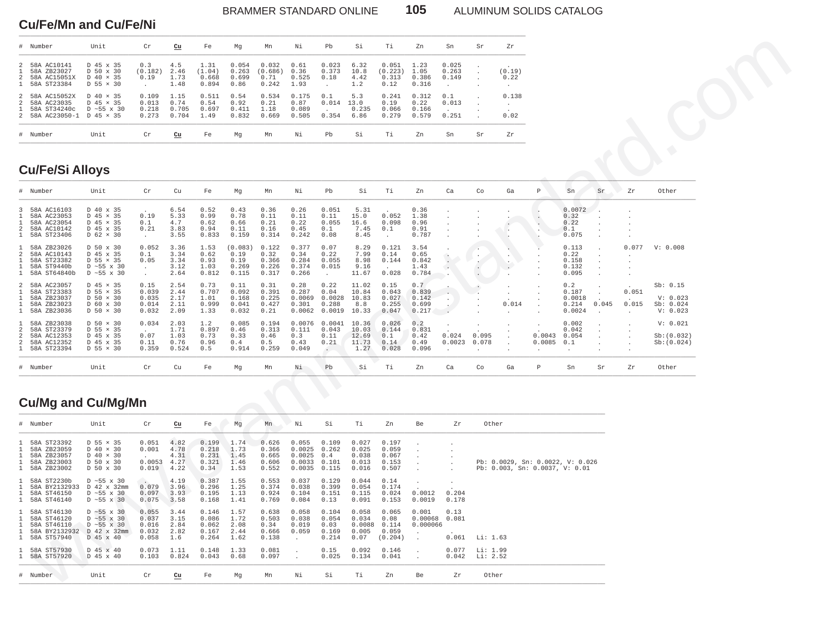#### BRAMMER STANDARD ONLINE **105** ALUMINUM SOLIDS CATALOG

#### **Cu/Fe/Mn and Cu/Fe/Ni** \_\_\_\_\_\_\_\_\_\_\_\_\_\_\_\_\_\_\_\_\_\_\_\_\_\_\_\_\_\_\_\_\_\_\_\_\_\_\_\_\_\_\_\_\_\_\_\_\_\_\_\_\_\_\_\_\_\_\_\_\_\_\_\_\_\_\_\_\_\_\_\_\_\_\_\_\_\_\_\_\_\_\_\_\_\_\_\_\_\_\_\_\_\_\_\_\_\_\_\_\_\_\_\_\_\_\_\_\_\_\_\_\_\_\_\_\_\_\_\_\_\_\_\_\_\_\_\_\_\_\_\_\_\_

| $\#$ | Number                                                       | Unit                                                                                       | Cr                               | Cu                             | Fe                               | Mq                              | Mn                                | Νi                              | Pb                     | Si                           | Тi                                | Zn                              | Sn                      | Sr | Zr                                |
|------|--------------------------------------------------------------|--------------------------------------------------------------------------------------------|----------------------------------|--------------------------------|----------------------------------|---------------------------------|-----------------------------------|---------------------------------|------------------------|------------------------------|-----------------------------------|---------------------------------|-------------------------|----|-----------------------------------|
|      | 58A AC10141<br>58A ZB23027<br>58A AC15051X<br>58A ST23384    | D 45 x 35<br>D 50 x 30<br>$D$ 40 $\times$ 35<br>$D$ 55 $\times$ 30                         | 0.3<br>(0.182)<br>0.19           | 4.5<br>2.46<br>1.73<br>1.48    | 1.31<br>(1.04)<br>0.668<br>0.894 | 0.054<br>0.263<br>0.699<br>0.86 | 0.032<br>(0.686)<br>0.71<br>0.242 | 0.61<br>0.36<br>0.525<br>1.93   | 0.023<br>0.373<br>0.18 | 6.32<br>10.8<br>4.42<br>1.2  | 0.051<br>(0.223)<br>0.313<br>0.12 | 1.23<br>1.05<br>0.386<br>0.316  | 0.025<br>0.263<br>0.149 |    | (0.19)<br>0.22<br>$\overline{a}$  |
|      | 58A AC15052X<br>58A AC23035<br>58A ST34240c<br>58A AC23050-1 | $D$ 40 $\times$ 35<br>$D$ 45 $\times$ 35<br>$D \approx 55 \times 30$<br>$D$ 45 $\times$ 35 | 0.109<br>0.013<br>0.218<br>0.273 | 1.15<br>0.74<br>0.705<br>0.704 | 0.511<br>0.54<br>0.697<br>1.49   | 0.54<br>0.92<br>0.411<br>0.832  | 0.534<br>0.21<br>1.18<br>0.669    | 0.175<br>0.87<br>0.089<br>0.505 | 0.1<br>0.014<br>0.354  | 5.3<br>13.0<br>0.235<br>6.86 | 0.241<br>0.19<br>0.066<br>0.279   | 0.312<br>0.22<br>0.166<br>0.579 | 0.1<br>0.013<br>0.251   |    | 0.138<br>$\sim$<br>$\sim$<br>0.02 |
|      | # Number                                                     | Unit                                                                                       | Cr                               | Cu                             | Fe                               | Mq                              | Mn                                | Νi                              | Pb                     | Si                           | Τi                                | Zn                              | Sn                      | Sr | Zr                                |

## **Cu/Fe/Si Alloys**

| Number<br>#                                                                                                  | Unit                                                                                                 | Cr                                          | cu                                    | Fe                                        | Ma                                        | Mn                                        | Νi                                            | Pb                                                      | Si                                        | Τi                                         | Zn                                      | Sn                                                  | Sr                                                            | Zr                       |                                                                    |                                           |                  |                |                                               |
|--------------------------------------------------------------------------------------------------------------|------------------------------------------------------------------------------------------------------|---------------------------------------------|---------------------------------------|-------------------------------------------|-------------------------------------------|-------------------------------------------|-----------------------------------------------|---------------------------------------------------------|-------------------------------------------|--------------------------------------------|-----------------------------------------|-----------------------------------------------------|---------------------------------------------------------------|--------------------------|--------------------------------------------------------------------|-------------------------------------------|------------------|----------------|-----------------------------------------------|
| 58A AC10141<br>58A ZB23027<br>58A AC15051X<br>$\overline{2}$<br>58A ST23384                                  | D 45 x 35<br>D 50 x 30<br>D 40 × 35<br>$D$ 55 $\times$ 30                                            | 0.3<br>(0.182)<br>0.19<br>$\cdot$           | 4.5<br>2.46<br>1.73<br>1.48           | 1.31<br>(1.04)<br>0.668<br>0.894          | 0.054<br>0.263<br>0.699<br>0.86           | 0.032<br>(0.686)<br>0.71<br>0.242         | 0.61<br>0.36<br>0.525<br>1.93                 | 0.023<br>0.373<br>0.18                                  | 6.32<br>10.8<br>4.42<br>1.2               | 0.051<br>(0.223)<br>0.313<br>0.12          | 1.23<br>1.05<br>0.386<br>0.316          | 0.025<br>0.263<br>0.149                             | $\cdot$<br>$\cdot$                                            | (0.19)<br>0.22           |                                                                    |                                           |                  |                |                                               |
| 58A AC15052X<br>$\overline{\mathcal{L}}$<br>58A AC23035<br>2<br>58A ST34240c<br>58A AC23050-1 D 45 x 35<br>2 | D 40 × 35<br>D 45 × 35<br>$D \sim 55 \times 30$                                                      | 0.109<br>0.013<br>0.218<br>0.273            | 1.15<br>0.74<br>0.705<br>0.704        | 0.511<br>0.54<br>0.697<br>1.49            | 0.54<br>0.92<br>0.411<br>0.832            | 0.534<br>0.21<br>1.18<br>0.669            | 0.175<br>0.87<br>0.089<br>0.505               | 0.1<br>0.014<br>0.354                                   | 5.3<br>13.0<br>0.235<br>6.86              | 0.241<br>0.19<br>0.066<br>0.279            | 0.312<br>0.22<br>0.166<br>0.579         | 0.1<br>0.013<br>0.251                               |                                                               | 0.138<br>$\cdot$<br>0.02 |                                                                    |                                           |                  |                |                                               |
| Number<br>#                                                                                                  | Unit                                                                                                 | $\operatorname{Cr}$                         | $cu$                                  | Fe                                        | Mg                                        | Mn                                        | Νi                                            | Pb                                                      | Si                                        | Τi                                         | Zn                                      | Sn                                                  | Sr                                                            | ${\rm Zr}$               |                                                                    |                                           |                  |                |                                               |
| <b>Cu/Fe/Si Alloys</b>                                                                                       |                                                                                                      |                                             |                                       |                                           |                                           |                                           |                                               |                                                         |                                           |                                            |                                         |                                                     |                                                               |                          |                                                                    |                                           |                  |                |                                               |
| Number                                                                                                       | Unit                                                                                                 | $\operatorname{Cr}$                         | Cu                                    | Fe                                        | Mg                                        | Mn                                        | Νi                                            | Pb                                                      | Si                                        | Тi                                         | Zn                                      | Ca                                                  | Co                                                            | Ga                       | $\, {\mathbb P}$                                                   | ${\rm Sn}$                                | Sr               | Zr             | Other                                         |
| 58A AC16103<br>58A AC23053<br>58A AC23054<br>58A AC10142<br>58A ST23406                                      | D 40 x 35<br>D 45 × 35<br>D 45 × 35<br>D 45 x 35<br>$D$ 62 $\times$ 30                               | 0.19<br>0.1<br>0.21<br>$\ddot{\phantom{a}}$ | 6.54<br>5.33<br>4.7<br>3.83<br>3.55   | 0.52<br>0.99<br>0.62<br>0.94<br>0.833     | 0.43<br>0.78<br>0.66<br>0.11<br>0.159     | 0.36<br>0.11<br>0.21<br>0.16<br>0.314     | 0.26<br>0.11<br>0.22<br>0.45<br>0.242         | 0.051<br>0.11<br>0.055<br>0.1<br>0.08                   | 5.31<br>15.0<br>16.6<br>7.45<br>8.45      | 0.052<br>0.098<br>0.1<br>$\cdot$           | 0.36<br>1.38<br>0.96<br>0.91<br>0.787   | $\cdot$                                             |                                                               | $\cdot$                  | $\cdot$                                                            | 0.0072<br>0.32<br>0.22<br>0.1<br>0.075    |                  |                |                                               |
| 58A ZB23026<br>58A AC10143<br>2<br>58A ST23382<br>58A ST9440b<br>58A ST64840b                                | D 50 x 30<br>D 45 x 35<br>D 55 × 35<br>$D \sim 55 \times 30$<br>$D \sim 55$ x 30                     | 0.052<br>0.1<br>0.05<br>$\sim$              | 3.36<br>3.34<br>3.34<br>3.12<br>2.64  | 1.53<br>0.62<br>0.93<br>1.03<br>0.812     | (0.083)<br>0.19<br>0.19<br>0.269<br>0.115 | 0.122<br>0.32<br>0.366<br>0.226<br>0.317  | 0.377<br>0.34<br>0.284<br>0.374<br>0.266      | 0.07<br>0.22<br>0.055<br>0.015                          | 8.29<br>7.99<br>8.98<br>9.16<br>11.67     | 0.121<br>0.14<br>0.144<br>0.028            | 3.54<br>0.65<br>0.842<br>1.43<br>0.784  | $\mathcal{L}$<br>$\cdot$                            | $\ddot{\phantom{a}}$<br>$\mathcal{L}$<br>$\ddot{\phantom{1}}$ |                          |                                                                    | 0.113<br>0.22<br>0.158<br>0.132<br>0.095  | $\cdot$          | 0.077          | V: 0.008                                      |
| $\mathfrak{D}$<br>58A AC23057<br>58A ST23383<br>58A ZB23037<br>58A ZB23023<br>58A ZB23036                    | D 45 × 35<br>D 55 × 35<br>$D$ 50 $\times$ 30<br>D 60 x 30<br>$D$ 50 $\times$ 30                      | 0.15<br>0.039<br>0.035<br>0.014<br>0.032    | 2.54<br>2.44<br>2.17<br>2.11<br>2.09  | 0.73<br>0.707<br>1.01<br>0.999<br>1.33    | 0.11<br>0.092<br>0.168<br>0.041<br>0.032  | 0.31<br>0.391<br>0.225<br>0.427<br>0.21   | 0.28<br>0.287<br>0.0069<br>0.301<br>0.0062    | 0.22<br>0.04<br>0.0028<br>0.288<br>0.0019               | 11.02<br>10.84<br>10.83<br>8.8<br>10.33   | 0.15<br>0.043<br>0.027<br>0.255<br>0.047   | 0.7<br>0.839<br>0.142<br>0.699<br>0.217 | $\sim$<br>$\cdot$<br>$\sim$<br>$\ddot{\phantom{a}}$ |                                                               | 0.014                    |                                                                    | 0.2<br>0.187<br>0.0018<br>0.214<br>0.0024 | $\cdot$<br>0.045 | 0.051<br>0.015 | Sb: 0.15<br>V: 0.023<br>Sb: 0.024<br>V: 0.023 |
| 58A ZB23038<br>58A ST23379<br>58A AC12353<br>58A AC12352<br>$\overline{2}$<br>58A ST23394                    | $D$ 50 $\times$ 30<br>D 55 × 35<br>D 45 x 35<br>D 45 x 35<br>$D$ 55 $\times$ 30                      | 0.034<br>0.07<br>0.11<br>0.359              | 2.03<br>1.71<br>1.03<br>0.76<br>0.524 | 1.2<br>0.897<br>0.73<br>0.96<br>0.5       | 0.085<br>0.46<br>0.33<br>0.4<br>0.914     | 0.194<br>0.313<br>0.46<br>0.5<br>0.259    | 0.0076<br>0.111<br>0.3<br>0.43<br>0.049       | 0.0041<br>0.043<br>0.11<br>0.21<br>$\ddot{\phantom{0}}$ | 10.36<br>10.03<br>12.69<br>11.73<br>1.27  | 0.026<br>0.144<br>0.1<br>0.14<br>0.028     | 0.2<br>0.831<br>0.42<br>0.49<br>0.096   | 0.024<br>0.0023<br>$\cdot$                          | 0.095<br>0.078<br>$\cdot$                                     |                          | 0.0043<br>0.0085<br>$\cdot$                                        | 0.002<br>0.042<br>0.054<br>0.1<br>$\cdot$ |                  |                | V: 0.021<br>Sb:(0.032)<br>Sb:(0.024)          |
| # Number                                                                                                     | Unit                                                                                                 | $\operatorname{Cr}$                         | Cu                                    | Fe                                        | Mg                                        | Mn                                        | Νi                                            | $_{\rm Pb}$                                             | Si                                        | Тi                                         | Zn                                      | Ca                                                  | $\mathbb{C} \circ$                                            | Ga                       | $\mathbb P$                                                        | ${\rm Sn}$                                | Sr               | Zr             | Other                                         |
| <b>Cu/Mg and Cu/Mg/Mn</b>                                                                                    |                                                                                                      |                                             |                                       |                                           |                                           |                                           |                                               |                                                         |                                           |                                            |                                         |                                                     |                                                               |                          |                                                                    |                                           |                  |                |                                               |
| Number<br>#                                                                                                  | Unit                                                                                                 | Cr                                          | $\underline{\mathrm{cu}}$             | Fe                                        | Mg                                        | Mn                                        | Νi                                            | Si                                                      | Тi                                        | Zn                                         | Be                                      | Zr                                                  | Other                                                         |                          |                                                                    |                                           |                  |                |                                               |
| 58A ST23392<br>58A ZB23059<br>58A ZB23057<br>58A ZB23003<br>58A ZB23002                                      | D 55 × 35<br>$D$ 40 $\times$ 30<br>D 40 × 30<br>D 50 x 30<br>D 50 x 30                               | 0.051<br>0.001<br>0.0053<br>0.019           | 4.82<br>4.78<br>4.31<br>4.27<br>4.22  | 0.199<br>0.218<br>0.231<br>0.321<br>0.34  | 1.74<br>1.73<br>1.45<br>1.46<br>1.53      | 0.626<br>0.366<br>0.665<br>0.606<br>0.552 | 0.055<br>0.0025<br>0.0025<br>0.0033<br>0.0035 | 0.109<br>0.262<br>0.4<br>0.101<br>0.115                 | 0.027<br>0.025<br>0.038<br>0.013<br>0.016 | 0.197<br>0.059<br>0.067<br>0.153<br>0.507  |                                         |                                                     |                                                               |                          | Pb: 0.0029, Sn: 0.0022, V: 0.026<br>Pb: 0.003, Sn: 0.0037, V: 0.01 |                                           |                  |                |                                               |
| 58A ST2230b<br>58A BY2132933<br>58A ST46150<br>58A ST46140                                                   | D ~55 x 30<br>D 42 x 32mm<br>$D \sim 55 \times 30$<br>$D \sim 55 \times 30$                          | 0.079<br>0.097<br>0.075                     | 4.19<br>3.96<br>3.93<br>3.58          | 0.387<br>0.296<br>0.195<br>0.168          | 1.55<br>1.25<br>1.13<br>1.41              | 0.553<br>0.374<br>0.924<br>0.769          | 0.037<br>0.038<br>0.104<br>0.084              | 0.129<br>0.399<br>0.151<br>0.13                         | 0.044<br>0.054<br>0.115<br>0.091          | 0.14<br>0.174<br>0.024<br>0.153            | 0.0012<br>0.0019                        | 0.204<br>0.178                                      |                                                               |                          |                                                                    |                                           |                  |                |                                               |
| 58A ST46130<br>58A ST46120<br>58A ST46110                                                                    | $D \sim 55 \times 30$<br>$D \sim 55 \times 30$<br>$D \sim 55 \times 30$<br>58A BY2132932 D 42 x 32mm | 0.055<br>0.037<br>0.016<br>0.032            | 3.44<br>3.15<br>2.84<br>2.82<br>1.6   | 0.146<br>0.086<br>0.062<br>0.167<br>0.264 | 1.57<br>1.72<br>2.08<br>2.44<br>1.62      | 0.638<br>0.503<br>0.34<br>0.666<br>0.138  | 0.058<br>0.038<br>0.019<br>0.059              | 0.104<br>0.054<br>0.03<br>0.169<br>0.214                | 0.058<br>0.034<br>0.0088<br>0.005<br>0.07 | 0.065<br>0.08<br>0.114<br>0.059<br>(0.204) | 0.001<br>0.00068<br>0.000066            | 0.13<br>0.081<br>0.061                              | Li: 1.63                                                      |                          |                                                                    |                                           |                  |                |                                               |
| 58A ST57940                                                                                                  | D 45 x 40                                                                                            | 0.058                                       |                                       |                                           |                                           |                                           |                                               |                                                         |                                           |                                            |                                         |                                                     |                                                               |                          |                                                                    |                                           |                  |                |                                               |
| 58A ST57930<br>58A ST57920                                                                                   | D 45 x 40<br>D 45 x 40                                                                               | 0.073<br>0.103                              | 1.11<br>0.824                         | 0.148<br>0.043                            | 1.33<br>0.68                              | 0.081<br>0.097                            | $\cdot$<br>$\ddot{\phantom{a}}$               | 0.15<br>0.025                                           | 0.092<br>0.134                            | 0.146<br>0.041                             | $\cdot$                                 | 0.077<br>0.042                                      | Li: 1.99<br>Li: 2.52                                          |                          |                                                                    |                                           |                  |                |                                               |

# **Cu/Mg and Cu/Mg/Mn**

| # Number                                                                    | Unit                                                                                                         | $\operatorname{Cr}$                         | $cu$                                 | Fe                                        | Mq                                   | Mn                                        | Νi                                               | Si                                       | Τi                                        | Zn                                         | Be                                     | Zr                               | Other                                                                      |
|-----------------------------------------------------------------------------|--------------------------------------------------------------------------------------------------------------|---------------------------------------------|--------------------------------------|-------------------------------------------|--------------------------------------|-------------------------------------------|--------------------------------------------------|------------------------------------------|-------------------------------------------|--------------------------------------------|----------------------------------------|----------------------------------|----------------------------------------------------------------------------|
| 58A ST23392<br>58A ZB23059<br>58A ZB23057<br>58A ZB23003<br>58A ZB23002     | $D$ 55 $\times$ 35<br>$D$ 40 $\times$ 30<br>$D$ 40 $\times$ 30<br>D 50 x 30<br>D 50 x 30                     | 0.051<br>0.001<br>$\sim$<br>0.0053<br>0.019 | 4.82<br>4.78<br>4.31<br>4.27<br>4.22 | 0.199<br>0.218<br>0.231<br>0.321<br>0.34  | 1.74<br>1.73<br>1.45<br>1.46<br>1.53 | 0.626<br>0.366<br>0.665<br>0.606<br>0.552 | 0.055<br>0.0025<br>0.0025<br>0.0033<br>0.0035    | 0.109<br>0.262<br>0.4<br>0.101<br>0.115  | 0.027<br>0.025<br>0.038<br>0.013<br>0.016 | 0.197<br>0.059<br>0.067<br>0.153<br>0.507  |                                        | $\cdot$<br>$\sim$                | Pb: $0.0029$ , Sn: $0.0022$ , V: $0.026$<br>Pb: 0.003, Sn: 0.0037, V: 0.01 |
| 58A ST2230b<br>58A BY2132933<br>58A ST46150<br>1 58A ST46140                | $D \sim 55 \times 30$<br>D 42 x 32mm<br>$D \sim 55 \times 30$<br>$D \sim 55 \times 30$                       | $\sim$<br>0.079<br>0.097<br>0.075           | 4.19<br>3.96<br>3.93<br>3.58         | 0.387<br>0.296<br>0.195<br>0.168          | 1.55<br>1.25<br>1.13<br>1.41         | 0.553<br>0.374<br>0.924<br>0.769          | 0.037<br>0.038<br>0.104<br>0.084                 | 0.129<br>0.399<br>0.151<br>0.13          | 0.044<br>0.054<br>0.115<br>0.091          | 0.14<br>0.174<br>0.024<br>0.153            | 0.0012<br>0.0019                       | $\sim$<br>0.204<br>0.178         |                                                                            |
| 58A ST46130<br>58A ST46120<br>58A ST46110<br>58A BY2132932<br>1 58A ST57940 | $D \sim 55 \times 30$<br>$D \sim 55 \times 30$<br>$D \sim 55 \times 30$<br>$D$ 42 $\times$ 32mm<br>D 45 x 40 | 0.055<br>0.037<br>0.016<br>0.032<br>0.058   | 3.44<br>3.15<br>2.84<br>2.82<br>1.6  | 0.146<br>0.086<br>0.062<br>0.167<br>0.264 | 1.57<br>1.72<br>2.08<br>2.44<br>1.62 | 0.638<br>0.503<br>0.34<br>0.666<br>0.138  | 0.058<br>0.038<br>0.019<br>0.059<br>$\mathbf{r}$ | 0.104<br>0.054<br>0.03<br>0.169<br>0.214 | 0.058<br>0.034<br>0.0088<br>0.005<br>0.07 | 0.065<br>0.08<br>0.114<br>0.059<br>(0.204) | 0.001<br>0.00068<br>0.000066<br>$\sim$ | 0.13<br>0.081<br>$\sim$<br>0.061 | Li: 1.63                                                                   |
| 58A ST57930<br>1 58A ST57920                                                | D 45 x 40<br>D 45 x 40                                                                                       | 0.073<br>0.103                              | 1.11<br>0.824                        | 0.148<br>0.043                            | 1.33<br>0.68                         | 0.081<br>0.097                            | $\ddot{\phantom{0}}$<br>$\lambda$                | 0.15<br>0.025                            | 0.092<br>0.134                            | 0.146<br>0.041                             |                                        | 0.077<br>0.042                   | Li: 1.99<br>Li: 2.52                                                       |
| # Number                                                                    | Unit                                                                                                         | Cr                                          | cu                                   | Fe                                        | Mg                                   | Mn                                        | Νi                                               | Si                                       | Тi                                        | Zn                                         | Be                                     | Zr                               | Other                                                                      |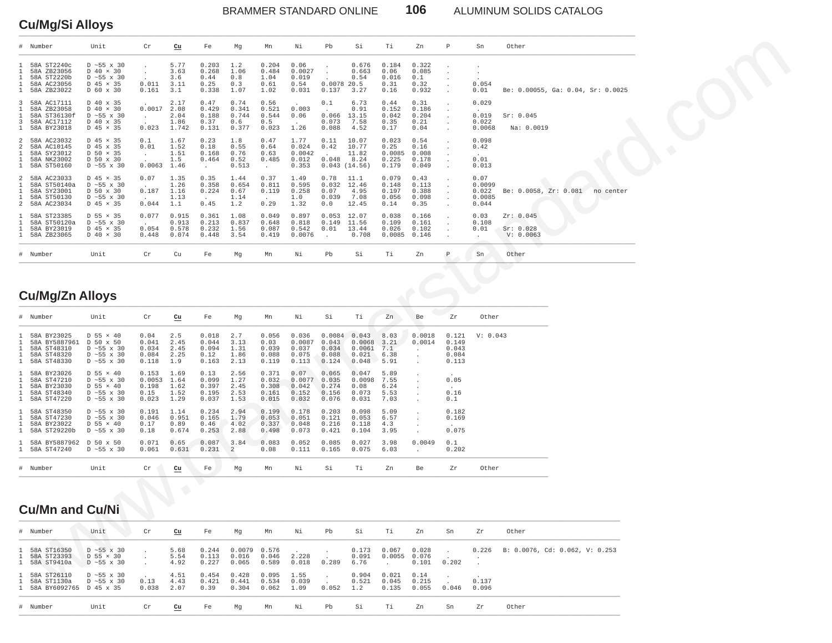BRAMMER STANDARD ONLINE **106** ALUMINUM SOLIDS CATALOG

## **Cu/Mg/Si Alloys**

| # Number                                                                                                                                  | Unit                                                                                                                | Cr                                         | $\underline{\mathrm{cu}}$             | Fe                                               | Mg                                     | Mn                                        | Νi                                         | Pb                                                                | Si                                                   | Тi                                        | Zn                                      | P                                         | Sn                                         | Other                               |                                   |
|-------------------------------------------------------------------------------------------------------------------------------------------|---------------------------------------------------------------------------------------------------------------------|--------------------------------------------|---------------------------------------|--------------------------------------------------|----------------------------------------|-------------------------------------------|--------------------------------------------|-------------------------------------------------------------------|------------------------------------------------------|-------------------------------------------|-----------------------------------------|-------------------------------------------|--------------------------------------------|-------------------------------------|-----------------------------------|
| 58A ST2240c<br>$\mathbf{1}$<br>58A ZB23056<br>$\mathbf{1}$<br>58A ST2220b<br>58A AC23056<br>1<br>1 58A ZB23022                            | $D \sim 55 \times 30$<br>$D$ 40 $\times$ 30<br>$D \sim 55 \times 30$<br>D 45 × 35<br>D 60 x 30                      | $\cdot$<br>$\sim$<br>0.011<br>0.161        | 5.77<br>3.63<br>3.6<br>3.11<br>3.1    | 0.203<br>0.268<br>0.44<br>0.25<br>0.338          | 1.2<br>1.06<br>0.8<br>0.3<br>1.07      | 0.204<br>0.484<br>1.04<br>0.61<br>1.02    | 0.06<br>0.0027<br>0.019<br>0.54<br>0.031   | $\cdot$<br>$\ddot{\phantom{a}}$<br>$\sim$<br>0.0078 20.5<br>0.137 | 0.676<br>0.663<br>0.54<br>3.27                       | 0.184<br>0.06<br>0.016<br>0.31<br>0.16    | 0.322<br>0.085<br>0.1<br>0.32<br>0.932  |                                           | 0.054<br>0.01                              |                                     | Be: 0.00055, Ga: 0.04, Sr: 0.0025 |
| 3 58A AC17111<br>$\mathbf{1}$<br>58A ZB23058<br>$\mathbf{1}$<br>58A ST36130f<br>3<br>58A AC17112<br>1 58A BY23018                         | D 40 x 35<br>$D$ 40 $\times$ 30<br>$D \sim 55 \times 30$<br>D 40 x 35<br>D 45 × 35                                  | 0.0017<br>$\cdot$<br>$\sim$<br>0.023       | 2.17<br>2.08<br>2.04<br>1.86<br>1.742 | 0.47<br>0.429<br>0.188<br>0.37<br>0.131          | 0.74<br>0.341<br>0.744<br>0.6<br>0.377 | 0.56<br>0.521<br>0.544<br>0.5<br>0.023    | 0.003<br>0.06<br>$\sim$<br>1.26            | 0.1<br>$\ddot{\phantom{a}}$<br>0.066<br>0.073<br>0.088            | 6.73<br>0.91<br>13.15<br>7.58<br>4.52                | 0.44<br>0.152<br>0.042<br>0.35<br>0.17    | 0.31<br>0.186<br>0.204<br>0.21<br>0.04  |                                           | 0.029<br>0.019<br>0.022<br>0.0068          | Sr: 0.045<br>Na: 0.0019             |                                   |
| 2 58A AC23032<br>2<br>58A AC10145<br>$\mathbf{1}$<br>58A SY23012<br>58A NK23002<br>$\mathbf{1}$<br>1 58A ST50160                          | D 45 × 35<br>D 45 x 35<br>D 50 × 35<br>D 50 x 30<br>$D \sim 55$ x 30                                                | 0.1<br>0.01<br>$\sim$<br>$\sim$<br>0.0063  | 1.67<br>1.52<br>1.51<br>1.5<br>1.46   | 0.23<br>0.18<br>0.168<br>0.464<br>$\cdot$        | 1.8<br>0.55<br>0.76<br>0.52<br>0.513   | 0.47<br>0.64<br>0.63<br>0.485<br>$\sim$   | 1.77<br>0.024<br>0.0042<br>0.012<br>0.353  | 0.11<br>0.42<br>$\ddot{\phantom{a}}$<br>0.048                     | 10.07<br>10.77<br>11.82<br>8.24<br>0.043(14.56)      | 0.023<br>0.25<br>0.0085<br>0.225<br>0.179 | 0.54<br>0.16<br>0.008<br>0.178<br>0.049 |                                           | 0.098<br>0.42<br>0.01<br>0.013             |                                     |                                   |
| 2 58A AC23033<br>$\mathbf{1}$<br>58A ST50140a<br>58A SY23001<br>1<br>58A ST50130<br>$\mathbf{1}$<br>2 58A AC23034                         | D 45 × 35<br>$D \sim 55 \times 30$<br>D 50 x 30<br>$D \sim 55 \times 30$<br>D 45 × 35                               | 0.07<br>$\sim$<br>0.187<br>$\sim$<br>0.044 | 1.35<br>1.26<br>1.16<br>1.13<br>1.1   | 0.35<br>0.358<br>0.224<br>$\overline{a}$<br>0.45 | 1.44<br>0.654<br>0.67<br>1.14<br>1.2   | 0.37<br>0.811<br>0.119<br>$\sim$<br>0.29  | 1.49<br>0.595<br>0.258<br>1.0<br>1.32      | 0.78<br>0.032<br>0.07<br>0.039<br>0.0                             | 11.1<br>12.46<br>4.95<br>7.08<br>12.45               | 0.079<br>0.148<br>0.197<br>0.056<br>0.14  | 0.43<br>0.113<br>0.388<br>0.098<br>0.35 |                                           | 0.07<br>0.0099<br>0.022<br>0.0085<br>0.044 |                                     | Be: 0.0058, Zr: 0.081 no center   |
| 1 58A ST23385<br>$\mathbf{1}$<br>58A ST50120a<br>58A BY23019<br>1<br>1 58A ZB23065                                                        | $D$ 55 $\times$ 35<br>$D \sim 55 \times 30$<br>D 45 × 35<br>$D$ 40 $\times$ 30                                      | 0.077<br>$\sim$<br>0.054<br>0.448          | 0.915<br>0.913<br>0.578<br>0.074      | 0.361<br>0.213<br>0.232<br>0.448                 | 1.08<br>0.837<br>1.56<br>3.54          | 0.049<br>0.648<br>0.087<br>0.419          | 0.897<br>0.818<br>0.542<br>0.0076          | 0.053<br>0.149<br>0.01<br>$\sim$                                  | 12.07<br>11.56<br>13.44<br>0.708                     | 0.038<br>0.109<br>0.026<br>0.0085         | 0.166<br>0.161<br>0.102<br>0.146        |                                           | 0.03<br>0.108<br>0.01<br>$\cdot$           | Zr: 0.045<br>Sr: 0.028<br>V: 0.0063 |                                   |
| # Number                                                                                                                                  | Unit                                                                                                                | $\operatorname{\sf Cr}$                    | Cu                                    | Fe                                               | Mg                                     | Mn                                        | Νi                                         | Pb                                                                | Si                                                   | Τi                                        | Zn                                      | $\mathbb P$                               | Sn                                         | Other                               |                                   |
| <b>Cu/Mg/Zn Alloys</b>                                                                                                                    |                                                                                                                     |                                            |                                       |                                                  |                                        |                                           |                                            |                                                                   |                                                      |                                           |                                         |                                           |                                            |                                     |                                   |
| # Number                                                                                                                                  | Unit                                                                                                                | $\operatorname{\sf Cr}$                    | $cu$                                  | Fe                                               | Mg                                     | Mn                                        | Νi                                         | Si                                                                | Тi                                                   | Zn                                        | Be                                      | Zr                                        | Other                                      |                                     |                                   |
| 58A BY23025<br>1<br>$\mathbf{1}$<br>58A BY5887961<br>58A ST48310<br>1<br>$\mathbf{1}$<br>58A ST48320<br>1 58A ST48330                     | $D$ 55 $\times$ 40<br>D 50 x 50<br>$D \sim 55 \times 30$<br>$D \sim 55 \times 30$<br>$D \sim 55$ x 30               | 0.04<br>0.041<br>0.034<br>0.084<br>0.118   | 2.5<br>2.45<br>2.45<br>2.25<br>1.9    | 0.018<br>0.044<br>0.094<br>0.12<br>0.163         | 2.7<br>3.13<br>1.31<br>1.86<br>2.13    | 0.056<br>0.03<br>0.039<br>0.088<br>0.119  | 0.036<br>0.0087<br>0.037<br>0.075<br>0.113 | 0.043<br>0.034<br>0.088<br>0.124                                  | $0.0084$ 0.043<br>0.0068<br>0.0061<br>0.021<br>0.048 | 8.03<br>3.21<br>7.1<br>6.38<br>5.91       | 0.0018<br>0.0014<br>$\cdot$             | 0.121<br>0.149<br>0.043<br>0.084<br>0.113 | V: 0.043                                   |                                     |                                   |
| 58A BY23026<br>$\mathbf{1}$<br>$\mathbf{1}$<br>58A ST47210<br>$\mathbf{1}$<br>58A BY23030<br>$\mathbf{1}$<br>58A ST48340<br>1 58A ST47220 | $D$ 55 $\times$ 40<br>$D \sim 55 \times 30$<br>$D$ 55 $\times$ 40<br>$D \sim 55 \times 30$<br>$D \sim 55 \times 30$ | 0.153<br>0.0053<br>0.198<br>0.15<br>0.023  | 1.69<br>1.64<br>1.62<br>1.52<br>1.29  | 0.13<br>0.099<br>0.397<br>0.195<br>0.037         | 2.56<br>1.27<br>2.45<br>2.53<br>1.53   | 0.371<br>0.032<br>0.308<br>0.161<br>0.015 | 0.07<br>0.0077<br>0.042<br>0.152<br>0.032  | 0.065<br>0.035<br>0.274<br>0.156<br>0.076                         | 0.047<br>0.0098<br>0.08<br>0.073<br>0.031            | 5.89<br>7.55<br>6.24<br>5.53<br>7.03      |                                         | 0.05<br>0.16<br>0.1                       |                                            |                                     |                                   |
| 58A ST48350<br>$\mathbf{1}$<br>$\mathbf{1}$<br>58A ST47230<br>$\mathbf{1}$<br>58A BY23022<br>1 58A ST29220b                               | $D \sim 55$ x 30<br>$D \sim 55 \times 30$<br>$D$ 55 $\times$ 40<br>$D \sim 55 \times 30$                            | 0.191<br>0.046<br>0.17<br>0.18             | 1.14<br>0.951<br>0.89<br>0.674        | 0.234<br>0.165<br>0.46<br>0.253                  | 2.94<br>1.79<br>4.02<br>2.88           | 0.199<br>0.053<br>0.337<br>0.498          | 0.178<br>0.051<br>0.048<br>0.073           | 0.203<br>0.121<br>0.216<br>0.421                                  | 0.098<br>0.053<br>0.118<br>0.104                     | 5.09<br>6.57<br>4.3<br>3.95               |                                         | 0.182<br>0.169<br>0.075                   |                                            |                                     |                                   |
| 1 58A BY5887962 D 50 x 50<br>1 58A ST47240                                                                                                | $D \sim 55 \times 30$                                                                                               | 0.071<br>0.061                             | 0.65<br>0.631                         | 0.087<br>0.231                                   | 3.84<br>$\overline{a}$                 | 0.083<br>0.08                             | 0.052<br>0.111                             | 0.085<br>0.165                                                    | 0.027<br>0.075                                       | 3.98<br>6.03                              | 0.0049<br>$\ddot{\phantom{a}}$          | 0.1<br>0.202                              |                                            |                                     |                                   |
| # Number                                                                                                                                  | Unit                                                                                                                | Cr                                         | cu                                    | Fe                                               | Mg                                     | Mn                                        | Νi                                         | Si                                                                | Тi                                                   | Zn                                        | Be                                      | Zr                                        | Other                                      |                                     |                                   |
| <b>Cu/Mn and Cu/Ni</b>                                                                                                                    |                                                                                                                     |                                            | $\bigodot$                            | O                                                |                                        |                                           |                                            |                                                                   |                                                      |                                           |                                         |                                           |                                            |                                     |                                   |
| # Number                                                                                                                                  | Unit                                                                                                                | Cr                                         | $cu$                                  | Fe                                               | Mg                                     | Mn                                        | Νi                                         | Pb                                                                | Si                                                   | Тi                                        | Zn                                      | Sn                                        | Ζr                                         | Other                               |                                   |
| 1 58A ST16350<br>$\mathbf{1}$<br>58A ST23393<br>1 58A ST9410a                                                                             | $D \sim 55 \times 30$<br>$D$ 55 $\times$ 30<br>D ~ 55 x 30                                                          |                                            | 5.68<br>5.54<br>4.92                  | 0.244<br>0.113<br>0.227                          | 0.0079<br>0.016<br>0.065               | 0.576<br>0.046<br>0.589                   | 2.228<br>0.018                             | $\cdot$<br>$\sim$<br>0.289                                        | 0.173<br>0.091<br>6.76                               | 0.067<br>0.0055<br>$\cdot$                | 0.028<br>0.076<br>0.101                 | 0.202                                     | 0.226                                      |                                     | B: 0.0076, Cd: 0.062, V: 0.253    |
| 58A ST26110<br>$\mathbf{1}$<br>$\mathbf{1}$<br>58A ST1130a                                                                                | $D \sim 55 \times 30$<br>$D \sim 55 \times 30$                                                                      | 0.13                                       | 4.51<br>4.43                          | 0.454<br>0.421                                   | 0.428<br>0.441                         | 0.095<br>0.534                            | 1.55<br>0.039                              |                                                                   | 0.904<br>0.521                                       | 0.021<br>0.045                            | 0.14<br>0.215                           |                                           | 0.137                                      |                                     |                                   |

## **Cu/Mg/Zn Alloys**

|                   | # Number                                                                  | Unit                                                                                                                | Cr                                        | cu                                   | Fe                                       | Mq                                   | Mn                                        | Νi                                         | Si                                         | Τi                                          | Zn                                   | Be                                                                                                   | Zr                                                        | Other    |
|-------------------|---------------------------------------------------------------------------|---------------------------------------------------------------------------------------------------------------------|-------------------------------------------|--------------------------------------|------------------------------------------|--------------------------------------|-------------------------------------------|--------------------------------------------|--------------------------------------------|---------------------------------------------|--------------------------------------|------------------------------------------------------------------------------------------------------|-----------------------------------------------------------|----------|
| 1<br>$\mathbf{1}$ | 58A BY23025<br>58A BY5887961<br>58A ST48310<br>58A ST48320<br>58A ST48330 | $D$ 55 $\times$ 40<br>D 50 x 50<br>$D \sim 55 \times 30$<br>$D \sim 55 \times 30$<br>$D \sim 55 \times 30$          | 0.04<br>0.041<br>0.034<br>0.084<br>0.118  | 2.5<br>2.45<br>2.45<br>2.25<br>1.9   | 0.018<br>0.044<br>0.094<br>0.12<br>0.163 | 2.7<br>3.13<br>1.31<br>1.86<br>2.13  | 0.056<br>0.03<br>0.039<br>0.088<br>0.119  | 0.036<br>0.0087<br>0.037<br>0.075<br>0.113 | 0.0084<br>0.043<br>0.034<br>0.088<br>0.124 | 0.043<br>0.0068<br>0.0061<br>0.021<br>0.048 | 8.03<br>3.21<br>7.1<br>6.38<br>5.91  | 0.0018<br>0.0014<br>$\sim$<br>$\mathcal{L}^{\mathcal{L}}$<br>$\mathbf{r}$                            | 0.121<br>0.149<br>0.043<br>0.084<br>0.113                 | V: 0.043 |
| $\mathbf{1}$<br>1 | 58A BY23026<br>58A ST47210<br>58A BY23030<br>58A ST48340<br>1 58A ST47220 | $D$ 55 $\times$ 40<br>$D \sim 55 \times 30$<br>$D$ 55 $\times$ 40<br>$D \sim 55 \times 30$<br>$D \sim 55 \times 30$ | 0.153<br>0.0053<br>0.198<br>0.15<br>0.023 | 1.69<br>1.64<br>1.62<br>1.52<br>1.29 | 0.13<br>0.099<br>0.397<br>0.195<br>0.037 | 2.56<br>1.27<br>2.45<br>2.53<br>1.53 | 0.371<br>0.032<br>0.308<br>0.161<br>0.015 | 0.07<br>0.0077<br>0.042<br>0.152<br>0.032  | 0.065<br>0.035<br>0.274<br>0.156<br>0.076  | 0.047<br>0.0098<br>0.08<br>0.073<br>0.031   | 5.89<br>7.55<br>6.24<br>5.53<br>7.03 | $\ddot{\phantom{a}}$<br>$\mathbf{r}$<br>$\ddot{\phantom{a}}$<br>$\ddot{\phantom{a}}$<br>$\mathbf{r}$ | <b>Contract Contract</b><br>0.05<br>$\sim$<br>0.16<br>0.1 |          |
| $\mathbf{1}$      | 58A ST48350<br>58A ST47230<br>58A BY23022<br>1 58A ST29220b               | $D \sim 55 \times 30$<br>$D \sim 55 \times 30$<br>$D$ 55 $\times$ 40<br>$D \sim 55 \times 30$                       | 0.191<br>0.046<br>0.17<br>0.18            | 1.14<br>0.951<br>0.89<br>0.674       | 0.234<br>0.165<br>0.46<br>0.253          | 2.94<br>1.79<br>4.02<br>2.88         | 0.199<br>0.053<br>0.337<br>0.498          | 0.178<br>0.051<br>0.048<br>0.073           | 0.203<br>0.121<br>0.216<br>0.421           | 0.098<br>0.053<br>0.118<br>0.104            | 5.09<br>6.57<br>4.3<br>3.95          | $\mathbf{r}$<br>$\mathbf{r}$<br>$\ddot{\phantom{a}}$<br>$\mathbf{r}$                                 | 0.182<br>0.169<br>$\sim$<br>0.075                         |          |
|                   | 1 58A BY5887962<br>1 58A ST47240                                          | D 50 x 50<br>$D \sim 55 \times 30$                                                                                  | 0.071<br>0.061                            | 0.65<br>0.631                        | 0.087<br>0.231                           | 3.84<br>$\overline{a}$               | 0.083<br>0.08                             | 0.052<br>0.111                             | 0.085<br>0.165                             | 0.027<br>0.075                              | 3.98<br>6.03                         | 0.0049<br><b>Service</b>                                                                             | 0.1<br>0.202                                              |          |
|                   | # Number                                                                  | Unit                                                                                                                | Cr                                        | cu                                   | Fe                                       | Mq                                   | Mn                                        | Νi                                         | Si                                         | Тi                                          | Zn                                   | Be                                                                                                   | Zr                                                        | Other    |

# **Cu/Mn and Cu/Ni**

| # Number                                                    | Unit                                                        | Cr                                        | Cu                   | Fe                      | Mq                                 | Mn                             | Ni             | Pb                                        | Si                     | Ti                                  | Zn                     | Sn    | Zr             | Other                                  |
|-------------------------------------------------------------|-------------------------------------------------------------|-------------------------------------------|----------------------|-------------------------|------------------------------------|--------------------------------|----------------|-------------------------------------------|------------------------|-------------------------------------|------------------------|-------|----------------|----------------------------------------|
| 1 58A ST16350<br>1 58A ST23393<br>1 58A ST9410a             | $D \sim 55 \times 30$<br>D 55 × 30<br>$D \sim 55 \times 30$ |                                           | 5.68<br>5.54<br>4.92 | 0.244<br>0.113<br>0.227 | $0.0079$ $0.576$<br>0.016<br>0.065 | 0.046<br>0.589                 | 2.228<br>0.018 | <b>Contract</b><br>0.289                  | 0.173<br>0.091<br>6.76 | $0.067$ 0.028 .<br>0.0055<br>$\sim$ | 0.076<br>0.101         | 0.202 |                | $0.226$ B: 0.0076, Cd: 0.062, V: 0.253 |
| 1 58A ST26110<br>1 58A ST1130a<br>1 58A BY6092765 D 45 x 35 | $D \sim 55 \times 30$<br>D ~55 x 30                         | <b>Contract Contract</b><br>0.13<br>0.038 | 4.51<br>4.43<br>2.07 | 0.454<br>0.421<br>0.39  | 0.428<br>0.441<br>0.304            | $0.095$ 1.55<br>0.534<br>0.062 | 0.039<br>1.09  | <b>College</b><br><b>Service</b><br>0.052 | 0.904<br>0.521<br>1.2  | 0.021<br>0.045<br>0.135             | 0.14<br>0.215<br>0.055 | 0.046 | 0.137<br>0.096 |                                        |
| # Number                                                    | Unit                                                        | Cr                                        | Cu                   | Fe                      | Mq                                 | Mn                             | Νi             | Pb                                        | Si                     | Ti                                  | Zn                     | Sn    | Zr             | Other                                  |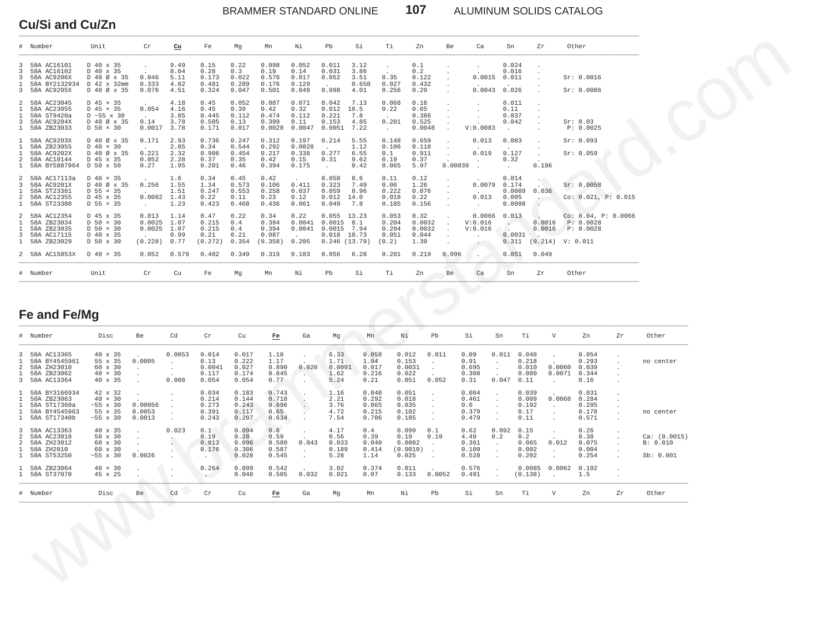BRAMMER STANDARD ONLINE **107** ALUMINUM SOLIDS CATALOG

### **Cu/Si and Cu/Zn**

| # Number                                                                                                                  | Unit                                                                                          | Cr                                             | $cu$                                            | Fe                                        | Mg                                        | Mn                                         | Νi                                          | Pb                                                                              | Si                                        | Тi                                          | Zn                                                                                          | Be                                         | Ca                                      | Sn                                                      | Zr                                                 |                                                           | Other                                         |          |                                       |
|---------------------------------------------------------------------------------------------------------------------------|-----------------------------------------------------------------------------------------------|------------------------------------------------|-------------------------------------------------|-------------------------------------------|-------------------------------------------|--------------------------------------------|---------------------------------------------|---------------------------------------------------------------------------------|-------------------------------------------|---------------------------------------------|---------------------------------------------------------------------------------------------|--------------------------------------------|-----------------------------------------|---------------------------------------------------------|----------------------------------------------------|-----------------------------------------------------------|-----------------------------------------------|----------|---------------------------------------|
| 58A AC16101<br>3<br>58A AC16102<br>3                                                                                      | D 40 x 35<br>D 40 x 35                                                                        |                                                | 9.49<br>8.04                                    | 0.15<br>0.28                              | 0.22<br>0.3                               | 0.098<br>0.19                              | 0.052<br>0.14                               | 0.011<br>0.031                                                                  | 3.12<br>3.86                              |                                             | $0.1\,$<br>0.2                                                                              |                                            | $\cdot$                                 | 0.024<br>0.016                                          |                                                    |                                                           |                                               |          |                                       |
| 58A AC9206X<br>3<br>58A BY2132934<br>1<br>3 58A AC9205X                                                                   | D 40 Ø x 35<br>D 42 x 32mm<br>D 40 Ø x 35                                                     | 0.046<br>0.333<br>0.076                        | 5.11<br>4.82<br>4.51                            | 0.173<br>0.481<br>0.324                   | 0.022<br>0.289<br>0.047                   | 0.576<br>0.176<br>0.501                    | 0.017<br>0.129<br>0.049                     | 0.052<br>$\sim$<br>0.098                                                        | 3.51<br>0.658<br>4.01                     | 0.35<br>0.027<br>0.256                      | 0.122<br>0.432<br>0.29                                                                      |                                            | 0.0015<br>0.0043                        | 0.011<br>0.026                                          |                                                    |                                                           | Sr: 0.0016<br>Sr: 0.0086                      |          |                                       |
| $\overline{a}$<br>58A AC23045<br>58A AC23055<br>1<br>58A ST9420a<br>1<br>58A AC9204X<br>3<br>1 58A ZB23033                | $D$ 45 $\times$ 35<br>D 45 × 35<br>$D \sim 55 \times 30$<br>D 40 Ø x 35<br>$D$ 50 $\times$ 30 | 0.054<br>$\sim$<br>0.14<br>0.0017              | 4.18<br>4.16<br>3.85<br>3.78<br>3.78            | 0.45<br>0.45<br>0.445<br>0.505<br>0.171   | 0.052<br>0.39<br>0.112<br>0.13<br>0.017   | 0.087<br>0.42<br>0.474<br>0.399<br>0.0028  | 0.071<br>0.32<br>0.112<br>0.11<br>0.0047    | 0.042<br>0.012<br>0.221<br>0.153<br>0.0051                                      | 7.13<br>18.5<br>7.8<br>4.85<br>7.22       | 0.068<br>0.22<br>$\sim$<br>0.201<br>$\cdot$ | 0.16<br>0.65<br>0.386<br>0.525<br>0.0048                                                    |                                            | V:0.0083                                | 0.011<br>0.11<br>0.037<br>0.042                         |                                                    |                                                           | Sr: 0.03<br>P: 0.0025                         |          |                                       |
| 58A AC9203X<br>$\mathbf{1}$<br>58A ZB23055<br>1<br>58A AC9202X<br>1<br>58A AC10144<br>2<br>1 58A BY5887964 D 50 x 50      | D 40 Ø x 35<br>$D$ 40 $\times$ 30<br>D 40 Ø x 35<br>D 45 x 35                                 | 0.171<br>0.221<br>0.052<br>0.27                | 2.93<br>2.85<br>2.32<br>2.28<br>1.95            | 0.736<br>0.34<br>0.906<br>0.37<br>0.201   | 0.247<br>0.544<br>0.454<br>0.35<br>0.46   | 0.312<br>0.292<br>0.217<br>0.42<br>0.394   | 0.197<br>0.0028<br>0.338<br>0.15<br>0.175   | 0.214<br>$\sim$<br>0.277<br>0.31<br>$\ddot{\phantom{a}}$                        | 5.55<br>1.12<br>6.55<br>9.62<br>0.42      | 0.148<br>0.106<br>0.1<br>0.19<br>0.065      | 0.659<br>0.118<br>0.911<br>0.37<br>5.97                                                     | $\cdot$<br>$\cdot$<br>0.00039              | 0.013<br>0.019                          | 0.083<br>0.127<br>0.32<br>$\ddot{\phantom{a}}$          |                                                    | 0.196                                                     | Sr: 0.093<br>Sr: 0.059                        |          |                                       |
| 58A AC17113a<br>2<br>3<br>58A AC9201X<br>58A ST23381<br>1<br>2<br>58A AC12355<br>1 58A ST23380                            | $D$ 40 $\times$ 35<br>D 40 Ø x 35<br>$D$ 55 $\times$ 35<br>D 45 x 35<br>$D$ 55 $\times$ 35    | 0.256<br>$\sim$<br>0.0082<br>$\sim$            | 1.6<br>1.55<br>1.51<br>1.43<br>1.23             | 0.34<br>1.34<br>0.247<br>0.22<br>0.423    | 0.45<br>0.573<br>0.553<br>0.11<br>0.468   | 0.42<br>0.106<br>0.258<br>0.23<br>0.436    | $\sim$<br>0.411<br>0.037<br>0.12<br>0.061   | 0.058<br>0.323<br>0.059<br>0.012<br>0.049                                       | 8.6<br>7.49<br>8.96<br>14.0<br>7.8        | 0.11<br>0.06<br>0.222<br>0.018<br>0.185     | 0.12<br>1.26<br>0.076<br>0.22<br>0.156                                                      | $\ddot{\phantom{a}}$<br>$\cdot$            | 0.0079<br>0.013<br>$\sim$               | 0.014<br>0.174<br>0.0089<br>0.005<br>0.0098             |                                                    | 0.036<br>$\mathcal{L}_{\text{max}}$                       | Sr: 0.0058<br>Co: 0.021, P: 0.015             |          |                                       |
| 58A AC12354<br>2<br>58A ZB23034<br>1<br>58A ZB23035<br>1<br>58A AC17115<br>3<br>1 58A ZB23029                             | D 45 x 35<br>$D$ 50 $\times$ 30<br>$D$ 50 $\times$ 30<br>D 40 x 35<br>D 50 x 30               | 0.013<br>0.0025<br>0.0025<br>$\sim$<br>(0.228) | 1.14<br>1.07<br>1.07<br>0.99<br>0.77            | 0.47<br>0.215<br>0.215<br>0.21<br>(0.272) | 0.22<br>0.4<br>0.4<br>0.21<br>0.354       | 0.34<br>0.394<br>0.394<br>0.087<br>(0.358) | 0.22<br>0.0041<br>0.0041<br>$\sim$<br>0.205 | $0.055$ 13.23<br>$0.0015$ 8.1<br>$0.0015$ 7.94<br>$0.018$ 10.73<br>0.246(13.79) |                                           | 0.053<br>0.204<br>0.204<br>0.051<br>(0.2)   | 0.32<br>0.0032<br>0.0032<br>0.044<br>1.39                                                   | $\ddot{\phantom{a}}$<br>$\sim$<br>$\Delta$ | 0.0066<br>V:0.016<br>V:0.016            | 0.013<br>$\ddot{\phantom{a}}$<br>. .<br>0.0031<br>0.311 |                                                    | 0.0016<br>0.0016<br>$(0.214)$ V: $0.011$                  | Co: 0.04, P: 0.0066<br>P: 0.0028<br>P: 0.0028 |          |                                       |
| 2 58A AC15053X                                                                                                            | D 40 × 35                                                                                     | 0.052                                          | 0.579                                           | 0.402                                     | 0.349                                     | 0.319                                      | 0.103                                       | 0.056                                                                           | 6.28                                      | 0.201                                       | 0.219                                                                                       | 0.096                                      |                                         | 0.051                                                   | 0.049                                              |                                                           |                                               |          |                                       |
| # Number                                                                                                                  | Unit                                                                                          | Cr                                             | Cu                                              | Fe                                        | Mg                                        | Mn                                         | Νi                                          | Pb                                                                              | Si                                        | Τi                                          | Zn                                                                                          | Be.                                        | Ca                                      | Sn                                                      | Zr                                                 |                                                           | Other                                         |          |                                       |
| Fe and Fe/Mg<br># Number                                                                                                  | Disc                                                                                          | Be                                             | Cd                                              | Cr                                        | Cu                                        | Fe                                         | Ga                                          | Mg                                                                              | Mn                                        | Νi                                          | Pb                                                                                          |                                            | Si                                      | Sn                                                      | Τi                                                 | V                                                         | Zn                                            | Zr       | Other                                 |
| 3<br>58A AC13365<br>58A BY4545961<br>1<br>2<br>58A ZH23010<br>$\mathbf{1}$<br>58A ZB23062<br>3 58A AC13364                | 40 x 35<br>55 x 35<br>60 x 30<br>$40 \times 30$<br>40 x 35                                    | 0.0005                                         | 0.0053<br>$\cdot$<br>$\cdot$<br>$\sim$<br>0.008 | 0.014<br>0.13<br>0.0041<br>0.117<br>0.054 | 0.017<br>0.222<br>0.027<br>0.174<br>0.054 | 1.18<br>1.17<br>0.890<br>0.845<br>0.77     | 0.020<br><b>Table</b>                       | 6.33<br>1.71<br>0.0091<br>1.62<br>5.24                                          | 0.058<br>1.04<br>0.017<br>0.216<br>0.21   | 0.022                                       | 0.012<br>0.011<br>0.153<br>$\cdot$<br>0.0031<br>$\cdot$<br>$\overline{a}$<br>0.052<br>0.051 |                                            | 0.09<br>0.91<br>0.695<br>0.308<br>0.31  | $\cdot$<br>$\cdot$<br>$\sim$<br>0.047                   | $0.011$ $0.048$<br>0.218<br>0.010<br>0.009<br>0.11 | 0.0060<br>0.0071<br>$\cdot$                               | 0.054<br>0.293<br>0.039<br>0.344<br>0.16      | $\Delta$ | no center                             |
| 58A BY3166934<br>$\mathbf{1}$<br>58A ZB23063<br>1<br>58A ST17360a<br>1<br>58A BY4545963<br>$\mathbf{1}$<br>1 58A ST17340b | 42 x 32<br>$40 \times 30$<br>$~55 \times 30$<br>55 x 35<br>$~55 \times 30$                    | 0.00056<br>0.0053<br>0.0013                    | $\cdot$<br>$\ddot{\phantom{a}}$                 | 0.034<br>0.214<br>0.273<br>0.391<br>0.243 | 0.183<br>0.144<br>0.243<br>0.117<br>0.207 | 0.743<br>0.718<br>0.696<br>0.65<br>0.634   | $\cdot$                                     | 1.16<br>2.21<br>3.76<br>4.72<br>7.54                                            | 0.048<br>0.292<br>0.865<br>0.215<br>0.706 | 0.051<br>0.018<br>0.035<br>0.102<br>0.185   | $\cdot$<br>$\cdot$<br>$\cdot$<br>$\cdot$<br>$\ddot{\phantom{0}}$                            |                                            | 0.084<br>0.461<br>0.6<br>0.379<br>0.479 | $\cdot$<br>$\cdot$<br>$\cdot$<br>$\ddot{\phantom{a}}$   | 0.039<br>0.009<br>0.192<br>0.17<br>0.11            | 0.0068<br>$\ddot{\phantom{0}}$<br>$\cdot$<br>$\mathbf{r}$ | 0.031<br>0.284<br>0.285<br>0.178<br>0.571     |          | no center                             |
| 58A AC13363<br>3                                                                                                          | 40 x 35                                                                                       |                                                | 0.023                                           | 0.1<br>0.19                               | 0.094<br>0.28<br>0.096                    | 0.6<br>0.59<br>0.580                       | 0.043                                       | 4.17<br>0.56<br>0.033                                                           | 0.4<br>0.39<br>0.040                      | 0.19                                        | 0.099<br>0.1<br>0.19<br>0.0082<br>$\sim$<br>(0.0010)<br>$\sim$                              |                                            | 0.62<br>4.49<br>0.361<br>0.109          | 0.092<br>0.2<br>$\cdot$<br>$\cdot$                      | 0.15<br>0.2<br>0.065<br>0.002                      | 0.012<br>$\cdot$                                          | 0.26<br>0.38<br>0.075<br>0.004                |          | Ca: (0.0015)<br>B: 0.010<br>Sb: 0.001 |
| 58A AC23018<br>2<br>2<br>58A ZH23012<br>58A ZH2010<br>$\mathbf{1}$<br>1 58A ST53250                                       | 50 x 30<br>60 x 30<br>60 x 30<br>$~55 \times 30$                                              | 0.0026                                         | $\ddot{\phantom{0}}$                            | 0.013<br>0.176<br>$\cdot$                 | 0.306<br>0.028                            | 0.587<br>0.545                             | $\sim$                                      | 0.189<br>5.28                                                                   | 0.414<br>1.14                             | 0.025                                       | $\cdot$                                                                                     |                                            | 0.528                                   | $\ddot{\phantom{a}}$                                    | 0.202                                              |                                                           | 0.254                                         |          |                                       |
| 1 58A ZB23064<br>1 58A ST37070                                                                                            | $40 \times 30$<br>45 x 25                                                                     |                                                | $\cdot$                                         | 0.264<br>$\sim$                           | 0.099<br>0.048                            | 0.542<br>0.505                             | 0.032                                       | 3.02<br>0.021                                                                   | 0.374<br>0.07                             | 0.011                                       | $\sim$<br>0.133<br>0.0052                                                                   |                                            | 0.576<br>0.491                          |                                                         | (0.138)                                            | $0.0085$ 0.0062                                           | 0.192<br>1.5                                  |          |                                       |
| # Number                                                                                                                  | Disc                                                                                          | Be                                             | Cd                                              | Cr                                        | Cu                                        | Fe                                         | Ga                                          | Mg                                                                              | Mn                                        | Νi                                          | Pb                                                                                          |                                            | Si                                      | Sn                                                      | Тi                                                 | V                                                         | Zn                                            | Zr       | Other                                 |

# **Fe and Fe/Mg**

| # Number                                                                          | Disc                                                                       | Be                          | Cd                        | Cr                                        | Cu                                        | Fe                                       | Ga    | Mq                                     | Mn                                        | Νi                                           | Pb                    | Si                                      | Sn                   | Ti                                       | V                         | Zn                                        | Zr                   | Other                                 |
|-----------------------------------------------------------------------------------|----------------------------------------------------------------------------|-----------------------------|---------------------------|-------------------------------------------|-------------------------------------------|------------------------------------------|-------|----------------------------------------|-------------------------------------------|----------------------------------------------|-----------------------|-----------------------------------------|----------------------|------------------------------------------|---------------------------|-------------------------------------------|----------------------|---------------------------------------|
| 3 58A AC13365<br>58A BY4545961<br>2 58A ZH23010<br>58A ZB23062<br>3 58A AC13364   | 40 x 35<br>55 x 35<br>60 x 30<br>$40 \times 30$<br>40 x 35                 | 0.0005                      | 0.0053<br>$\sim$<br>0.008 | 0.014<br>0.13<br>0.0041<br>0.117<br>0.054 | 0.017<br>0.222<br>0.027<br>0.174<br>0.054 | 1.18<br>1.17<br>0.890<br>0.845<br>0.77   | 0.020 | 6.33<br>1.71<br>0.0091<br>1.62<br>5.24 | 0.058<br>1.04<br>0.017<br>0.216<br>0.21   | 0.012<br>0.153<br>0.0031<br>0.022<br>0.051   | 0.011<br>0.052        | 0.09<br>0.91<br>0.695<br>0.308<br>0.31  | 0.011<br>0.047       | 0.048<br>0.218<br>0.010<br>0.009<br>0.11 | 0.0060<br>0.0071          | 0.054<br>0.293<br>0.039<br>0.344<br>0.16  | $\ddot{\phantom{a}}$ | no center                             |
| 1 58A BY3166934<br>58A ZB23063<br>58A ST17360a<br>58A BY4545963<br>1 58A ST17340b | 42 x 32<br>$40 \times 30$<br>$~55 \times 30$<br>55 x 35<br>$~55 \times 30$ | 0.00056<br>0.0053<br>0.0013 |                           | 0.034<br>0.214<br>0.273<br>0.391<br>0.243 | 0.183<br>0.144<br>0.243<br>0.117<br>0.207 | 0.743<br>0.718<br>0.696<br>0.65<br>0.634 |       | 1.16<br>2.21<br>3.76<br>4.72<br>7.54   | 0.048<br>0.292<br>0.865<br>0.215<br>0.706 | 0.051<br>0.018<br>0.035<br>0.102<br>0.185    |                       | 0.084<br>0.461<br>0.6<br>0.379<br>0.479 | $\ddot{\phantom{a}}$ | 0.039<br>0.009<br>0.192<br>0.17<br>0.11  | 0.0068                    | 0.031<br>0.284<br>0.285<br>0.178<br>0.571 |                      | no center                             |
| 3 58A AC13363<br>2 58A AC23018<br>2 58A ZH23012<br>1 58A ZH2010<br>1 58A ST53250  | 40 x 35<br>$50 \times 30$<br>60 x 30<br>60 x 30<br>$~55 \times 30$         | 0.0026                      | 0.023                     | 0.1<br>0.19<br>0.013<br>0.176             | 0.094<br>0.28<br>0.096<br>0.306<br>0.028  | 0.6<br>0.59<br>0.580<br>0.587<br>0.545   | 0.043 | 4.17<br>0.56<br>0.033<br>0.189<br>5.28 | 0.4<br>0.39<br>0.040<br>0.414<br>1.14     | 0.099<br>0.19<br>0.0082<br>(0.0010)<br>0.025 | 0.1<br>0.19<br>$\sim$ | 0.62<br>4.49<br>0.361<br>0.109<br>0.528 | 0.092<br>0.2         | 0.15<br>0.2<br>0.065<br>0.002<br>0.202   | 0.012                     | 0.26<br>0.38<br>0.075<br>0.004<br>0.254   |                      | Ca: (0.0015)<br>B: 0.010<br>Sb: 0.001 |
| 1 58A ZB23064<br>1 58A ST37070                                                    | $40 \times 30$<br>45 x 25                                                  |                             | $\mathbf{r}$              | 0.264<br>$\sim$                           | 0.099<br>0.048                            | 0.542<br>0.505                           | 0.032 | 3.02<br>0.021                          | 0.374<br>0.07                             | 0.011<br>0.133                               | 0.0052                | 0.576<br>0.491                          | $\ddot{\phantom{a}}$ | (0.138)                                  | $0.0085$ 0.0062<br>$\sim$ | 0.192<br>1.5                              |                      |                                       |
| # Number                                                                          | Disc                                                                       | Be                          | Cd                        | Cr                                        | Cu                                        | Fe                                       | Ga    | Mg                                     | Mn                                        | Νi                                           | Pb                    | Si                                      | Sn                   | Ti                                       | V                         | Zn                                        | Zr                   | Other                                 |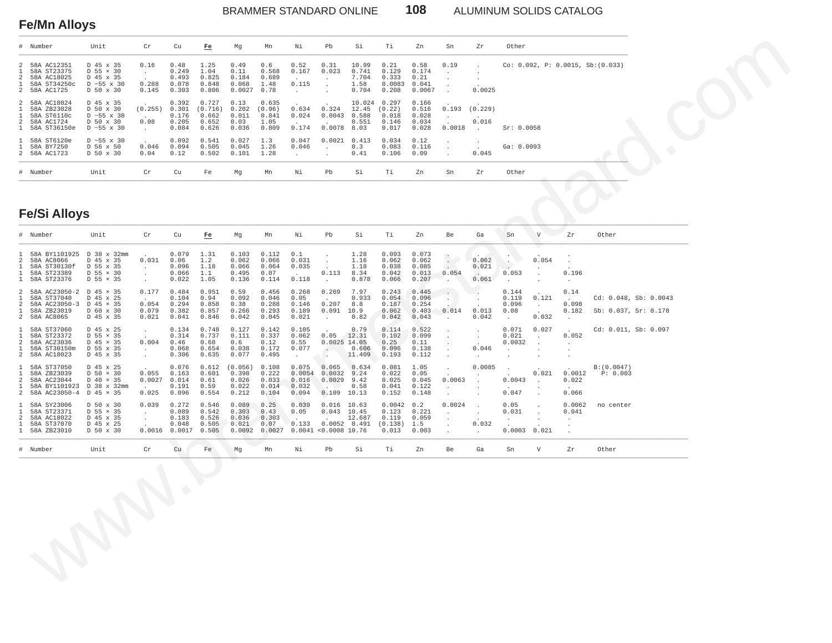### BRAMMER STANDARD ONLINE **108** ALUMINUM SOLIDS CATALOG

#### **Fe/Mn Alloys** \_\_\_\_\_\_\_\_\_\_\_\_\_\_\_\_\_\_\_\_\_\_\_\_\_\_\_\_\_\_\_\_\_\_\_\_\_\_\_\_\_\_\_\_\_\_\_\_\_\_\_\_\_\_\_\_\_\_\_\_\_\_\_\_\_\_\_\_\_\_\_\_\_\_\_\_\_\_\_\_\_\_\_\_\_\_\_\_\_\_\_\_\_\_\_\_\_\_\_\_\_\_\_\_\_\_\_\_\_\_\_\_\_\_\_\_\_\_\_\_\_\_\_\_\_\_\_\_\_\_\_\_\_\_\_\_\_\_\_\_\_\_\_\_\_\_\_\_\_\_\_\_\_\_\_\_\_\_\_\_\_

| # Number                                                                        | Unit                                                                                  | Cr                                                    | Cu                                        | Fe                                          | Mq                                       | Mn                                        | Νi                                | Pb                        | Si                                        | Ti                                         | 7.n                                       | Sn     | 7r                                                     | Other                                |
|---------------------------------------------------------------------------------|---------------------------------------------------------------------------------------|-------------------------------------------------------|-------------------------------------------|---------------------------------------------|------------------------------------------|-------------------------------------------|-----------------------------------|---------------------------|-------------------------------------------|--------------------------------------------|-------------------------------------------|--------|--------------------------------------------------------|--------------------------------------|
| 2 58A AC12351<br>1 58A ST23375<br>2 58A AC18025<br>58A ST34250c<br>2 58A AC1725 | D 45 x 35<br>$D$ 55 $\times$ 30<br>D 45 x 35<br>$D \sim 55 \times 30$<br>D 50 x 30    | 0.16<br>$\sim$<br>$\sim$<br>0.288<br>0.145            | 0.48<br>0.249<br>0.493<br>0.078<br>0.303  | 1.25<br>1.04<br>0.825<br>0.848<br>0.806     | 0.49<br>0.11<br>0.184<br>0.068<br>0.0027 | 0.6<br>0.568<br>0.689<br>1.48<br>0.78     | 0.52<br>0.167<br>0.115            | 0.31<br>0.023             | 10.99<br>0.741<br>7.704<br>1.58<br>0.704  | 0.21<br>0.129<br>0.333<br>0.0083<br>0.208  | 0.58<br>0.174<br>0.21<br>0.041<br>0.0067  | 0.19   | 0.0025                                                 | . $Co: 0.092, P: 0.0015, Sb:(0.033)$ |
| 2 58A AC18024<br>58A ZB23028<br>58A ST6110c<br>2 58A AC1724<br>1 58A ST36150e   | D 45 x 35<br>D 50 x 30<br>$D \sim 55 \times 30$<br>D 50 x 30<br>$D \sim 55 \times 30$ | $\sim$<br>(0.255)<br><b>Service</b><br>0.08<br>$\sim$ | 0.392<br>0.301<br>0.176<br>0.205<br>0.084 | 0.727<br>(0.716)<br>0.662<br>0.652<br>0.626 | 0.13<br>0.202<br>0.011<br>0.03<br>0.036  | 0.635<br>(0.96)<br>0.841<br>1.05<br>0.809 | $\sim$<br>0.634<br>0.024<br>0.174 | 0.324<br>0.0043<br>0.0078 | 10.024<br>12.45<br>0.588<br>0.551<br>8.03 | 0.297<br>(0.22)<br>0.018<br>0.146<br>0.017 | 0.166<br>0.516<br>0.028<br>0.034<br>0.028 | 0.0018 | $0.193$ $(0.229)$<br>0.016<br><b>Contract Contract</b> | Sr: 0.0058                           |
| 1 58A ST6120e<br>58A BY7250<br>2 58A AC1723                                     | $D \sim 55 \times 30$<br>D 56 x 50<br>D 50 x 30                                       | $\sim$<br>0.046<br>0.04                               | 0.092<br>0.094<br>0.12                    | 0.541<br>0.505<br>0.502                     | 0.027<br>0.045<br>0.101                  | 1.3<br>1.26<br>1.28                       | 0.047<br>0.046                    | 0.0021<br>$\sim$          | 0.413<br>0.3<br>0.41                      | 0.034<br>0.083<br>0.106                    | 0.12<br>0.116<br>0.09                     |        | 0.045                                                  | Ga: 0.0093                           |
| # Number                                                                        | Unit                                                                                  | Cr                                                    | Cu                                        | Fe                                          | Mq                                       | Mn                                        | Νi                                | Pb                        | Si                                        | Ti.                                        | Zn                                        | Sn     | Zr                                                     | Other                                |

# **Fe/Si Alloys**

|                                                              | Number                                                                                              | Unit                                                                               | Cr                                                 | Cu                                         | Fe                                          | Mg                                          | Mn                                               | Νi                                         | Pb                                                       | Si                                        | Τi                                                 | Zn                                        | Sn                                                    | Zr                                        | Other                               |                                                 |                                                  |                                  |                       |  |  |
|--------------------------------------------------------------|-----------------------------------------------------------------------------------------------------|------------------------------------------------------------------------------------|----------------------------------------------------|--------------------------------------------|---------------------------------------------|---------------------------------------------|--------------------------------------------------|--------------------------------------------|----------------------------------------------------------|-------------------------------------------|----------------------------------------------------|-------------------------------------------|-------------------------------------------------------|-------------------------------------------|-------------------------------------|-------------------------------------------------|--------------------------------------------------|----------------------------------|-----------------------|--|--|
| 2<br>-1<br>2<br>1.<br>2                                      | 58A AC12351<br>58A ST23375<br>58A AC18025<br>58A ST34250c<br>58A AC1725                             | D 45 x 35<br>$D$ 55 $\times$ 30<br>D 45 x 35<br>$D \sim 55 \times 30$<br>D 50 x 30 | 0.16<br>$\sim$<br>0.288<br>0.145                   | 0.48<br>0.249<br>0.493<br>0.078<br>0.303   | 1.25<br>1.04<br>0.825<br>0.848<br>0.806     | 0.49<br>0.11<br>0.184<br>0.068<br>0.0027    | 0.6<br>0.568<br>0.689<br>1.48<br>0.78            | 0.52<br>0.167<br>0.115<br>$\sim$           | 0.31<br>0.023<br>$\cdot$<br>$\sim$                       | 10.99<br>0.741<br>7.704<br>1.58<br>0.704  | 0.21<br>0.129<br>0.333<br>0.0083<br>0.208          | 0.58<br>0.174<br>0.21<br>0.041<br>0.0067  | 0.19                                                  | $\ddot{\phantom{a}}$<br>$\cdot$<br>0.0025 |                                     |                                                 |                                                  | Co: 0.092, P: 0.0015, Sb:(0.033) |                       |  |  |
| $\overline{a}$<br>$\mathbf{1}$<br>1.<br>2<br>1.              | 58A AC18024<br>58A ZB23028<br>58A ST6110c<br>58A AC1724<br>58A ST36150e                             | D 45 x 35<br>D 50 x 30<br>D ~55 x 30<br>D 50 x 30<br>$D \sim 55 \times 30$         | (0.255)<br>0.08<br>$\sim$                          | 0.392<br>0.301<br>0.176<br>0.205<br>0.084  | 0.727<br>(0.716)<br>0.662<br>0.652<br>0.626 | 0.13<br>0.202<br>0.011<br>0.03<br>0.036     | 0.635<br>(0.96)<br>0.841<br>1.05<br>0.809        | 0.634<br>0.024<br>0.174                    | 0.324<br>0.0043<br>0.0078                                | 10.024<br>12.45<br>0.588<br>0.551<br>8.03 | 0.297<br>(0.22)<br>0.018<br>0.146<br>0.017         | 0.166<br>0.516<br>0.028<br>0.034<br>0.028 | 0.193<br>$\sim$<br>0.0018                             | (0.229)<br>0.016<br>$\sim$                | Sr: 0.0058                          |                                                 |                                                  |                                  |                       |  |  |
| $\mathbf{1}$<br>1<br>$\overline{a}$                          | 58A ST6120e<br>58A BY7250<br>58A AC1723                                                             | $D \sim 55 \times 30$<br>D 56 x 50<br>D 50 x 30                                    | 0.046<br>0.04                                      | 0.092<br>0.094<br>0.12                     | 0.541<br>0.505<br>0.502                     | 0.027<br>0.045<br>0.101                     | 1.3<br>1.26<br>1.28                              | 0.047<br>0.046<br>$\cdot$                  | 0.0021<br>$\cdot$                                        | 0.413<br>0.3<br>0.41                      | 0.034<br>0.083<br>0.106                            | 0.12<br>0.116<br>0.09                     | $\cdot$<br>$\ddot{\phantom{a}}$                       | 0.045                                     | Ga: 0.0093                          |                                                 |                                                  |                                  |                       |  |  |
|                                                              | # Number                                                                                            | Unit                                                                               | Cr                                                 | ${\rm Cu}$                                 | Fe                                          | Mg                                          | Mn                                               | Νi                                         | Pb                                                       | Si                                        | Тi                                                 | Zn                                        | Sn                                                    | Zr                                        | Other                               |                                                 |                                                  |                                  |                       |  |  |
|                                                              | <b>Fe/Si Alloys</b>                                                                                 |                                                                                    |                                                    |                                            |                                             |                                             |                                                  |                                            |                                                          |                                           |                                                    |                                           |                                                       |                                           |                                     |                                                 |                                                  |                                  |                       |  |  |
|                                                              | # Number                                                                                            | Unit                                                                               | Cr                                                 | ${\rm Cu}$                                 | Fe                                          | Mg                                          | Mn                                               | Νi                                         | Pb                                                       | Si                                        | Τi                                                 | Zn                                        | Be                                                    | Ga                                        | Sn                                  | $\mathbf {V}$                                   | Zr                                               | Other                            |                       |  |  |
| 2<br>$\mathbf{1}$                                            | 58A BY1101925 D 38 x 32mm<br>58A AC8066<br>58A ST30130f<br>58A ST23389<br>58A ST23376               | D 45 x 35<br>D 55 x 35<br>$D$ 55 $\times$ 30<br>D 55 × 35                          | 0.031<br>$\sim$<br>$\sim$<br>$\sim$                | 0.079<br>0.06<br>0.096<br>0.066<br>0.022   | 1.31<br>1.2<br>1.18<br>1.1<br>1.05          | 0.103<br>0.062<br>0.066<br>0.495<br>0.136   | 0.112<br>0.066<br>0.064<br>0.07<br>0.114         | 0.1<br>0.031<br>0.035<br>0.118             | $\cdot$<br>0.113<br>$\cdot$                              | 1.28<br>1.16<br>1.18<br>8.34<br>0.878     | 0.093<br>0.062<br>0.038<br>0.042<br>0.066          | 0.073<br>0.062<br>0.085<br>0.013<br>0.207 | $\left\langle \cdot \right\rangle$<br>0.054<br>$\sim$ | 0.062<br>0.021<br>0.061                   | 0.053<br>$\ddot{\phantom{a}}$       | 0.054                                           | 0.196<br>$\ddot{\phantom{a}}$                    |                                  |                       |  |  |
| $\overline{a}$<br>2<br>$\mathbf{1}$                          | 58A AC23050-2 D 45 x 35<br>58A ST37040<br>58A AC23050-3<br>58A ZB23019<br>2 58A AC8065              | D 45 x 25<br>D 45 × 35<br>D 60 x 30<br>D 45 x 35                                   | 0.177<br>0.054<br>0.079<br>0.021                   | 0.484<br>0.104<br>0.294<br>0.382<br>0.041  | 0.951<br>0.94<br>0.858<br>0.857<br>0.846    | 0.59<br>0.092<br>0.38<br>0.266<br>0.042     | 0.456<br>0.046<br>0.288<br>0.293<br>0.045        | 0.268<br>0.05<br>0.146<br>0.189<br>0.021   | 0.269<br>0.207<br>$0.091$ 10.9<br>$\sim$                 | 7.97<br>0.933<br>8.8<br>0.82              | 0.243<br>0.054<br>0.187<br>0.062<br>0.042          | 0.445<br>0.096<br>0.254<br>0.403<br>0.043 | $\sim$<br>$\sim$<br>0.014                             | $\cdot$<br>0.013<br>0.042                 | 0.144<br>0.119<br>0.096<br>0.08     | 0.121<br>$\sim$<br>0.032                        | 0.14<br>0.098<br>0.182<br>$\cdot$                | Sb: 0.037, Sr: 0.178             | Cd: 0.048, Sb: 0.0043 |  |  |
| $\mathbf{1}$<br>$\mathbf{1}$<br>2<br>$\mathbf{1}$<br>$2^{1}$ | 58A ST37060<br>58A ST23372<br>58A AC23036<br>58A ST30150m<br>58A AC18023                            | D 45 x 25<br>$D$ 55 $\times$ 35<br>D 45 × 35<br>D 55 x 35<br>D 45 x 35             | $\cdot$<br>0.004<br>$\sim$<br>$\cdot$              | 0.134<br>0.314<br>0.46<br>0.068<br>0.306   | 0.748<br>0.737<br>0.68<br>0.654<br>0.635    | 0.127<br>0.111<br>0.6<br>0.038<br>0.077     | 0.142<br>0.337<br>0.12<br>0.172<br>0.495         | 0.105<br>0.062<br>0.55<br>0.077<br>$\sim$  | 0.05<br>$0.0025$ 14.05<br>$\ddot{\phantom{a}}$<br>$\sim$ | 0.79<br>12.31<br>0.606<br>11.409          | 0.114<br>0.102<br>0.25<br>0.096<br>0.193           | 0.522<br>0.099<br>0.11<br>0.138<br>0.112  | $\cdot$<br>$\ddot{\phantom{1}}$                       | $\cdot$<br>$\cdot$<br>0.046<br>$\cdot$    | 0.071<br>0.021<br>0.0032<br>$\cdot$ | 0.027<br>$\blacksquare$<br>$\ddot{\phantom{a}}$ | 0.052<br>$\ddot{\phantom{a}}$                    | Cd: 0.011, Sb: 0.097             |                       |  |  |
| $\mathbf{1}$<br>1<br>2<br>$\mathbf{1}$                       | 58A ST37050<br>58A ZB23039<br>58A AC23044<br>58A BY1101923 D 38 x 32mm<br>2 58A AC23050-4 D 45 x 35 | D 45 x 25<br>$D$ 50 $\times$ 30<br>$D$ 40 $\times$ 35                              | 0.055<br>0.0027<br>0.025                           | 0.076<br>0.163<br>0.014<br>0.191<br>0.096  | 0.612<br>0.601<br>0.61<br>0.59<br>0.554     | (0.056)<br>0.398<br>0.026<br>0.022<br>0.212 | 0.108<br>0.222<br>0.033<br>0.014<br>0.104        | 0.075<br>0.0054<br>0.016<br>0.032<br>0.094 | 0.065<br>0.0032<br>0.0029<br>$0.109$ 10.13               | 0.634<br>9.24<br>9.42<br>0.58             | 0.081<br>0.022<br>0.025<br>0.041<br>0.152          | 1.05<br>0.05<br>0.045<br>0.122<br>0.148   | $\sim$<br>0.0063                                      | 0.0085<br>$\cdot$                         | $\cdot$<br>0.0043<br>0.047          | 0.021                                           | 0.0012<br>0.022<br>0.066                         | B: (0.0047)<br>P: 0.003          |                       |  |  |
| 1<br>$\mathcal{L}$                                           | 58A SY23006<br>58A ST23371<br>58A AC18022<br>58A ST37070<br>1 58A ZB23010                           | D 50 x 30<br>D 55 × 35<br>D 45 x 35<br>D 45 x 25<br>D 50 x 30                      | 0.039<br>$\ddot{\phantom{a}}$<br>$\cdot$<br>0.0016 | 0.272<br>0.089<br>0.183<br>0.048<br>0.0017 | 0.546<br>0.542<br>0.526<br>0.505<br>0.505   | 0.089<br>0.303<br>0.036<br>0.021            | 0.25<br>0.43<br>0.303<br>0.07<br>$0.0092$ 0.0027 | 0.039<br>0.05<br>0.133                     | $0.016$ 10.63<br>0.043<br>$0.0041$ <0.0008 10.76         | 10.45<br>12.687<br>0.0052 0.491           | $0.0042$ 0.2<br>0.123<br>0.119<br>(0.138)<br>0.013 | 0.221<br>0.059<br>1.5<br>0.003            | 0.0024<br>$\cdot$                                     | $\cdot$<br>0.032                          | 0.05<br>0.031<br>$\cdot$<br>0.0003  | $\ddot{\phantom{a}}$<br>0.021                   | 0.0062<br>0.041<br>$\cdot$<br>$\cdot$<br>$\cdot$ | no center                        |                       |  |  |
|                                                              | # Number                                                                                            | Unit                                                                               | ${\rm Cr}$                                         | ${\rm Cu}$                                 | Fe                                          | Mg                                          | Mn                                               | Νi                                         | Pb                                                       | Si                                        | Τi                                                 | Zn                                        | Be                                                    | Ga                                        | Sn                                  | $\boldsymbol{\mathrm{V}}$                       | Zr                                               | Other                            |                       |  |  |
|                                                              |                                                                                                     |                                                                                    |                                                    |                                            |                                             |                                             |                                                  |                                            |                                                          |                                           |                                                    |                                           |                                                       |                                           |                                     |                                                 |                                                  |                                  |                       |  |  |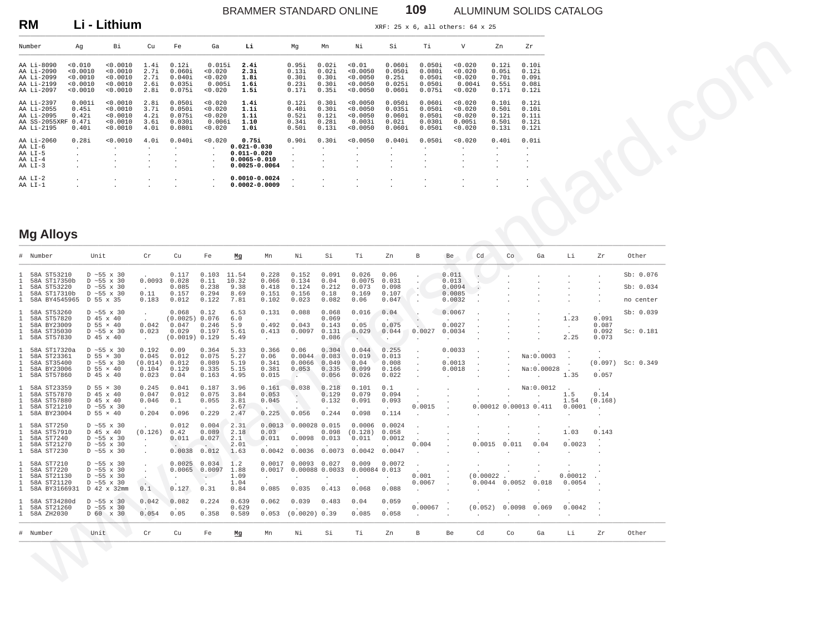## BRAMMER STANDARD ONLINE **109** ALUMINUM SOLIDS CATALOG

**RM** Li - Lithium **XRF: 25 x 6, all others: 64 x 25** 

| Number        | Aq                   | Bi           | Cu      | Fe      | Ga      | Li                | Mq        | Mn             | Νi       | Si                   | Ti      | V       | Zn      | Zr        |
|---------------|----------------------|--------------|---------|---------|---------|-------------------|-----------|----------------|----------|----------------------|---------|---------|---------|-----------|
| AA Li-8090    | < 0.010              | < 0.0010     | 1.4i    | 0.12i   | 0.015i  | 2.4i              | 0.95i     | 0.02i          | < 0.01   | 0.060i               | 0.050i  | < 0.020 | 0.12i   | 0.10i     |
| AA Li-2090    | < 0.0010             | < 0.0010     | 2.7i    | 0.060i  | < 0.020 | 2.3i              | 0.13i     | 0.02i          | < 0.0050 | 0.050i               | 0.080i  | < 0.020 | 0.05i   | 0.12i     |
| AA Li-2099    | < 0.0010             | < 0.0010     | 2.7i    | 0.040i  | < 0.020 | 1.8i              | 0.30i     | 0.30i          | < 0.0050 | 0.25i                | 0.050i  | < 0.020 | 0.701   | 0.09i     |
| AA Li-2199    | < 0.0010             | < 0.0010     | 2.6i    | 0.035i  | 0.005i  | 1.6i              | 0.23i     | 0.30i          | < 0.0050 | 0.025i               | 0.050i  | 0.004i  | 0.551   | 0.08i     |
| AA Li-2097    | < 0.0010             | < 0.0010     | 2.8i    | 0.075i  | < 0.020 | 1.5i              | 0.17i     | 0.35i          | < 0.0050 | 0.060i               | 0.0751  | < 0.020 | 0.17i   | 0.12i     |
| AA Li-2397    | 0.001i               | < 0.0010     | 2.8i    | 0.050i  | < 0.020 | 1.4i              | 0.12i     | 0.30i          | < 0.0050 | 0.050i               | 0.060i  | < 0.020 | 0.10i   | 0.12i     |
| AA Li-2055    | 0.45i                | < 0.0010     | 3.7i    | 0.050i  | < 0.020 | 1.1i              | 0.40i     | 0.30i          | < 0.0050 | 0.035i               | 0.050i  | < 0.020 | 0.50i   | 0.10i     |
| AA Li-2095    | 0.42i                | < 0.0010     | 4.2i    | 0.075i  | < 0.020 | 1.1i              | 0.52i     | 0.12i          | < 0.0050 | 0.060i               | 0.050i  | < 0.020 | 0.12i   | 0.11i     |
| AA SS-2055XRF | 0.47i                | < 0.0010     | 3.6i    | 0.030i  | 0.006i  | 1.10              | 0.34i     | 0.28i          | 0.003i   | 0.02i                | 0.030i  | 0.005i  | 0.50i   | 0.12i     |
| AA Li-2195    | 0.40i                | < 0.0010     | 4.Oi    | 0.080i  | 0.020   | 1.0i              | 0.50i     | 0.13i          | < 0.0050 | 0.060i               | 0.050i  | < 0.020 | 0.13i   | 0.12i     |
| AA Li-2060    | 0.28i                | < 0.0010     | 4.Oi    | 0.040i  | < 0.020 | 0.75i             | 0.90i     | 0.30i          | < 0.0050 | 0.040i               | 0.050i  | < 0.020 | 0.40i   | 0.01i     |
| AA LI-6       | $\sim$               | $\cdot$      | $\cdot$ | $\cdot$ | $\cdot$ | $0.021 - 0.030$   | $\cdot$   | $\blacksquare$ | $\cdot$  | $\bullet$            | $\cdot$ |         | $\cdot$ | . .       |
| AA LI-5       | $\ddot{\phantom{0}}$ | $\mathbf{r}$ | $\cdot$ | $\cdot$ | $\cdot$ | $0.011 - 0.020$   | $\lambda$ |                | $\cdot$  | $\bullet$            |         |         | $\cdot$ |           |
| AA LI-4       | $\cdot$              | $\cdot$      | $\cdot$ | $\cdot$ | $\cdot$ | $0.0065 - 0.010$  |           | $\blacksquare$ | $\cdot$  | $\bullet$            | $\cdot$ | $\cdot$ | $\cdot$ | $\cdot$   |
| AA LI-3       | $\cdot$              |              | $\cdot$ | $\cdot$ | $\cdot$ | $0.0025 - 0.0064$ |           |                |          | $\ddot{\phantom{0}}$ |         |         | $\cdot$ | $\bullet$ |
| AA LI-2       | $\cdot$              | $\cdot$      | $\cdot$ | $\cdot$ | $\cdot$ | $0.0010 - 0.0024$ |           | $\blacksquare$ | $\cdot$  | $\ddot{\phantom{0}}$ | $\cdot$ | $\cdot$ | $\cdot$ |           |
| AA LI-1       |                      |              | $\cdot$ | $\cdot$ | $\cdot$ | $0.0002 - 0.0009$ |           |                |          | $\cdot$              | $\cdot$ |         | $\cdot$ | $\bullet$ |

### **Mg Alloys** \_\_\_\_\_\_\_\_\_\_\_\_\_\_\_\_\_\_\_\_\_\_\_\_\_\_\_\_\_\_\_\_\_\_\_\_\_\_\_\_\_\_\_\_\_\_\_\_\_\_\_\_\_\_\_\_\_\_\_\_\_\_\_\_\_\_\_\_\_\_\_\_\_\_\_\_\_\_\_\_\_\_\_\_\_\_\_\_\_\_\_\_\_\_\_\_\_\_\_\_\_\_\_\_\_\_\_\_\_\_\_\_\_\_\_\_\_\_\_\_\_\_\_\_\_\_\_\_\_\_\_\_\_\_\_\_\_\_\_\_\_\_\_\_\_\_\_\_\_\_\_\_\_\_\_\_\_\_\_\_\_\_\_\_\_\_\_\_\_\_\_

|                                                                    | Number                                                                                | Ag                                              | Bi                                                                                                              | Cu                                                             | Fe                                                          | Ga                                           | Li                                                                                   |                                                 | Mg                                                        | Mn                                        | Νi                                                 | Si                                               | Тi                                                      | $\mathbf v$                                    |                                                     | Zn                                        | Zr                                        |                                      |                                  |                                     |  |
|--------------------------------------------------------------------|---------------------------------------------------------------------------------------|-------------------------------------------------|-----------------------------------------------------------------------------------------------------------------|----------------------------------------------------------------|-------------------------------------------------------------|----------------------------------------------|--------------------------------------------------------------------------------------|-------------------------------------------------|-----------------------------------------------------------|-------------------------------------------|----------------------------------------------------|--------------------------------------------------|---------------------------------------------------------|------------------------------------------------|-----------------------------------------------------|-------------------------------------------|-------------------------------------------|--------------------------------------|----------------------------------|-------------------------------------|--|
|                                                                    | AA Li-8090<br>AA Li-2090<br>AA Li-2099<br>AA Li-2199<br>AA Li-2097                    | 0.010<br>0.0010<br>< 0.0010<br>0.0010<br>0.0010 | < 0.0010<br>0.0010<br>< 0.0010<br>0.0010<br>0.0010                                                              | 1.4i<br>2.7i<br>2.7i<br>2.6i<br>2.8i                           | 0.12i<br>0.060i<br>0.040i<br>0.035i<br>0.075i               | 0.015i<br>0.020<br>0.020<br>0.005i<br>0.020  | 2.4i<br>2.3i<br>1.8i<br>1.6i<br>1.5i                                                 |                                                 | 0.95i<br>0.13i<br>0.30i<br>0.231<br>0.17i                 | 0.02i<br>0.02i<br>0.30i<br>0.30i<br>0.35i | < 0.01<br>0.0050<br>0.0050<br>0.0050<br>0.0050     | 0.060i<br>0.050i<br>0.25i<br>$0.025$ i<br>0.060i | 0.050i<br>0.080i<br>0.050i<br>0.0501<br>0.075i          | < 0.020<br>0.020<br>0.020<br>0.004i<br>0.020   |                                                     | 0.12i<br>0.05i<br>0.70i<br>0.55i<br>0.17i | 0.10i<br>0.12i<br>0.09i<br>0.08i<br>0.12i |                                      |                                  |                                     |  |
|                                                                    | AA Li-2397<br>AA Li-2055<br>AA Li-2095<br>AA SS-2055XRF 0.47i<br>AA Li-2195           | 0.001i<br>0.45i<br>0.42i<br>0.40i               | < 0.0010<br>< 0.0010<br>0.0010<br>0.0010<br>0.0010                                                              | 2.8i<br>3.7i<br>4.2i<br>3.6i<br>4.0i                           | 0.050i<br>0.050i<br>0.075i<br>0.030i<br>0.080i              | 0.020<br>< 0.020<br>0.020<br>0.006i<br>0.020 | 1.4i<br>1.1i<br>1.1i<br>1.10<br>1.0i                                                 |                                                 | 0.12i<br>0.40i<br>0.52i<br>0.34i<br>0.50i                 | 0.30i<br>0.30i<br>0.12i<br>0.28i<br>0.13i | < 0.0050<br>< 0.0050<br>0.0050<br>0.003i<br>0.0050 | 0.050i<br>0.035i<br>0.060i<br>0.02i<br>0.060i    | 0.060i<br>0.050i<br>0.050i<br>0.030i<br>0.050i          | < 0.020<br>< 0.020<br>0.020<br>0.005i<br>0.020 |                                                     | 0.10i<br>0.50i<br>0.12i<br>0.50i<br>0.13i | 0.12i<br>0.10i<br>0.11i<br>0.12i<br>0.12i |                                      |                                  |                                     |  |
|                                                                    | AA Li-2060<br>AA LI-6<br>AA LI-5<br>AA LI-4<br>AA LI-3                                | 0.28i<br>$\cdot$                                | < 0.0010                                                                                                        | 4.0i                                                           | 0.040i<br>$\cdot$                                           | 0.020<br>$\cdot$                             | 0.75i<br>$0.021 - 0.030$<br>$0.011 - 0.020$<br>$0.0065 - 0.010$<br>$0.0025 - 0.0064$ |                                                 | 0.90i                                                     | 0.30i                                     | < 0.0050                                           | 0.040i                                           | 0.050i                                                  | < 0.020<br>$\cdot$<br>$\cdot$                  |                                                     | 0.40i<br>$\cdot$                          | 0.01i<br>$\cdot$                          |                                      |                                  |                                     |  |
|                                                                    | $AA$ $LI-2$<br>AA LI-1                                                                |                                                 |                                                                                                                 |                                                                |                                                             |                                              | $0.0010 - 0.0024$<br>$0.0002 - 0.0009$                                               |                                                 |                                                           |                                           |                                                    |                                                  |                                                         |                                                |                                                     |                                           |                                           |                                      |                                  |                                     |  |
|                                                                    | <b>Mg Alloys</b>                                                                      |                                                 |                                                                                                                 |                                                                |                                                             |                                              |                                                                                      |                                                 |                                                           |                                           |                                                    |                                                  |                                                         |                                                |                                                     |                                           |                                           |                                      |                                  |                                     |  |
|                                                                    | # Number                                                                              | Unit                                            |                                                                                                                 | $\operatorname{Cr}$                                            | Cu                                                          | Fe                                           | $\underline{\mathbf{M}}\underline{\mathbf{g}}$                                       | Mn                                              | Νi                                                        | Si                                        | Τi                                                 | Zn                                               | $_{\rm B}$                                              | Be                                             | Cd                                                  | Co                                        | Ga                                        | Li                                   | Zr                               | Other                               |  |
| 1                                                                  | 58A ST53210<br>58A ST17350b<br>58A ST53220<br>58A ST17310b<br>58A BY4545965 D 55 x 35 |                                                 | D $\sim$ 55 x 30<br>$D \sim 55$ x 30<br>$D \sim 55 \times 30$<br>$D \sim 55 \times 30$                          | 0.0093<br>0.11<br>0.183                                        | 0.117<br>0.028<br>0.085<br>0.157<br>0.012                   | 0.103<br>0.11<br>0.238<br>0.294<br>0.122     | 11.54<br>10.32<br>9.38<br>8.69<br>7.81                                               | 0.228<br>0.066<br>0.418<br>0.151<br>0.102       | 0.152<br>0.134<br>0.124<br>0.156<br>0.023                 | 0.091<br>0.04<br>0.212<br>0.18<br>0.082   | 0.026<br>0.0075<br>0.073<br>0.169<br>0.06          | 0.06<br>0.031<br>0.098<br>0.107<br>0.047         | $\Delta$<br>$\ddot{\phantom{a}}$                        | 0.011<br>0.013<br>0.0094<br>0.0085<br>0.0032   | $\ddot{\phantom{a}}$                                |                                           |                                           |                                      |                                  | Sb: 0.076<br>Sb: 0.034<br>no center |  |
| 1                                                                  | 58A ST53260<br>58A ST57820<br>58A BY23009<br>58A ST35030<br>58A ST57830               |                                                 | $D \sim 55 \times 30$<br>D 45 x 40<br>$D$ 55 $\times$ 40<br>$D \sim 55$ x 30<br>D 45 x 40                       | $\ddot{\phantom{a}}$<br>0.042<br>0.023<br>$\ddot{\phantom{a}}$ | 0.068<br>(0.0025) 0.076<br>0.047<br>0.029<br>(0.0019) 0.129 | 0.12<br>0.246<br>0.197                       | 6.53<br>6.0<br>5.9<br>5.61<br>5.49                                                   | 0.131<br>0.492<br>0.413<br>$\ddot{\phantom{a}}$ | 0.088<br>0.043<br>0.0097<br>$\cdot$                       | 0.068<br>0.069<br>0.143<br>0.131<br>0.086 | 0.016<br>0.05<br>0.029                             | 0.04<br>0.075<br>0.044<br>$\ddot{\phantom{a}}$   | $\cdot$<br>0.0027<br>$\ddot{\phantom{a}}$               | 0.0067<br>0.0027<br>0.0034                     |                                                     |                                           |                                           | 1.23<br>$\ddot{\phantom{a}}$<br>2.25 | 0.091<br>0.087<br>0.092<br>0.073 | Sb: 0.039<br>Sc: 0.181              |  |
| $\mathbf{1}$<br>1<br>1<br>1.                                       | 58A ST17320a<br>58A ST23361<br>58A ST35400<br>58A BY23006<br>1 58A ST57860            |                                                 | $D \sim 55$ x 30<br>D 55 × 30<br>D $\sim$ 55 x 30<br>$D$ 55 $\times$ 40<br>D 45 x 40                            | 0.192<br>0.045<br>(0.014)<br>0.104<br>0.023                    | 0.09<br>0.012<br>0.012<br>0.129<br>0.04                     | 0.364<br>0.075<br>0.089<br>0.335<br>0.163    | 5.33<br>5.27<br>5.19<br>5.15<br>4.95                                                 | 0.366<br>0.06<br>0.341<br>0.381<br>0.015        | 0.06<br>0.0044<br>0.0066<br>0.053<br>$\sim$               | 0.304<br>0.083<br>0.049<br>0.335<br>0.056 | 0.044<br>0.019<br>0.04<br>0.099<br>0.026           | 0.255<br>0.013<br>0.008<br>0.166<br>0.022        | $\ddot{\phantom{a}}$<br>$\ddot{\phantom{a}}$<br>$\cdot$ | 0.0033<br>0.0013<br>0.0018                     |                                                     |                                           | Na: 0.0003<br>Na:0.00028                  | 1.35                                 | (0.097)<br>0.057                 | Sc: 0.349                           |  |
| $\mathbf{1}$<br>1<br>1<br>$\mathbf{1}$<br>$\mathbf{1}$             | 58A ST23359<br>58A ST57870<br>58A ST57880<br>58A ST21210<br>58A BY23004               |                                                 | D 55 × 30<br>D 45 x 40<br>D 45 x 40<br>$D \sim 55 \times 30$<br>D 55 × 40                                       | 0.245<br>0.047<br>0.046<br>0.204                               | 0.041<br>0.012<br>0.1<br>0.096                              | 0.187<br>0.075<br>0.055<br>0.229             | 3.96<br>3.84<br>3.81<br>2.67<br>2.47                                                 | 0.161<br>0.053<br>0.045<br>0.225                | 0.038<br>$\sim$ $^{-1}$<br>$\Delta \sim 10$<br>0.056      | 0.218<br>0.129<br>0.132<br>0.244          | 0.101<br>0.079<br>0.091<br>0.098                   | 0.1<br>0.094<br>0.093<br>0.114                   | 0.0015                                                  |                                                |                                                     |                                           | Na:0.0012<br>0.00012 0.00013 0.411        | 1.5<br>1.54<br>0.0001<br>$\sim$      | 0.14<br>(0.168)<br>$\sim$        |                                     |  |
| $\mathbf{1}$<br>$\mathbf{1}$<br>1.<br>$\mathbf{1}$<br>$\mathbf{1}$ | 58A ST7250<br>58A ST57910<br>58A ST7240<br>58A ST21270<br>58A ST7230                  |                                                 | $D \sim 55$ x 30<br>D 45 x 40<br>D ~55 x 30<br>$D \sim 55$ x 30<br>$D \sim 55$ x 30                             | (0.126)<br>$\sim$<br>$\cdot$<br>$\cdot$                        | 0.012<br>0.42<br>0.011<br>0.0038                            | 0.004<br>0.089<br>0.027<br>0.012             | 2.31<br>2.18<br>2.1<br>2.01<br>1.63                                                  | 0.0013<br>0.03<br>0.011                         | $0.00028$ 0.015<br>$0.0098$ 0.013<br>0.0042 0.0036 0.0073 | 0.098                                     | 0.0006<br>(0.128)<br>0.011<br>$0.0042$ 0.0047      | 0.0024<br>0.058<br>0.0012                        | 0.004                                                   |                                                | $\cdot$<br>$\ddot{\phantom{a}}$<br>$0.0015$ $0.011$ |                                           | 0.04                                      | 1.03<br>0.0023                       | 0.143                            |                                     |  |
| 1<br>1.<br>$\mathbf{1}$<br>1<br>$\mathbf{1}$                       | 58A ST7210<br>58A ST7220<br>58A ST21130<br>58A ST21120<br>58A BY3166931               |                                                 | $D \sim 55 \times 30$<br>$D \sim 55 \times 30$<br>$D \sim 55 \times 30$<br>$D \sim 55 \times 30$<br>D 42 x 32mm | $\sim$<br>$\cdot$<br>0.1                                       | 0.0025<br>0.0065<br>$\cdot$<br>0.127                        | 0.034<br>0.0097<br>$\sim$<br>0.31            | 1.2<br>1.88<br>1.09<br>1.04<br>0.84                                                  | 0.0017<br>$\ddot{\phantom{a}}$<br>0.085         | $0.0017$ 0.0093 0.027<br>0.00088 0.0033<br>0.035          | 0.413                                     | 0.009<br>0.00084 0.013<br>0.068                    | 0.0072<br>$\cdot$<br>0.088                       | 0.001<br>0.0067                                         |                                                | (0.00022)                                           |                                           | $0.0044$ 0.0052 0.018                     | 0.00012<br>0.0054                    |                                  |                                     |  |
| 1<br>1<br>$\mathbf{1}$                                             | 58A ST34280d<br>58A ST21260<br>58A ZH2030                                             |                                                 | $D \sim 55$ x 30<br>$D \sim 55 \times 30$<br>D 60 x 30                                                          | 0.042<br>0.054                                                 | 0.082<br>0.05                                               | 0.224<br>0.358                               | 0.639<br>0.629<br>0.589                                                              | 0.062<br>0.053                                  | 0.039<br>(0.0020) 0.39                                    | 0.483                                     | 0.04<br>0.085                                      | 0.059<br>0.058                                   | 0.00067<br>$\Delta$                                     |                                                | (0.052)<br>$\cdot$                                  | 0.0098                                    | 0.069                                     | 0.0042<br>$\cdot$                    | $\cdot$                          |                                     |  |
|                                                                    | # Number                                                                              | Unit                                            |                                                                                                                 | $\operatorname{Cr}$                                            | Cu                                                          | Fe                                           | $\underline{\mathbf{M}}\underline{\mathbf{g}}$                                       | Mn                                              | Νi                                                        | Si                                        | Тi                                                 | Zn                                               | $_{\rm B}$                                              | Be                                             | Cd                                                  | Co                                        | Ga                                        | Li                                   | Zr                               | Other                               |  |
|                                                                    |                                                                                       |                                                 | s.                                                                                                              |                                                                |                                                             |                                              |                                                                                      |                                                 |                                                           |                                           |                                                    |                                                  |                                                         |                                                |                                                     |                                           |                                           |                                      |                                  |                                     |  |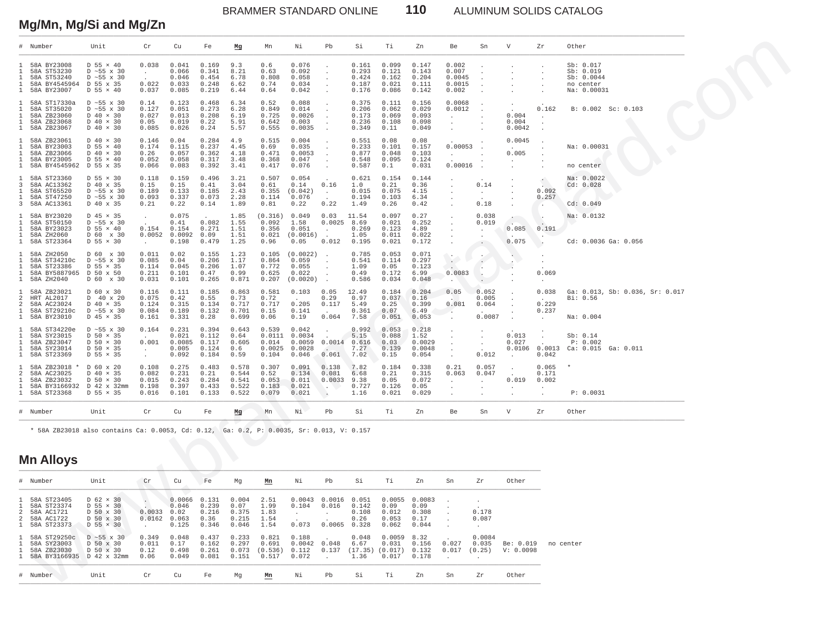BRAMMER STANDARD ONLINE **110** ALUMINUM SOLIDS CATALOG

# **Mg/Mn, Mg/Si and Mg/Zn**

|                                                              | Number                                                                                | Unit                                                                                                        | Cr                                                 | Cu                                         | Fe                                        | Mg                                        | Mn                                         | Νi                                                      | Pb                                   | Si                                                | Τi                                        | Zn                                         | Be                                                | Sn                                     | V                                      | Zr                                | Other                                                            |  |
|--------------------------------------------------------------|---------------------------------------------------------------------------------------|-------------------------------------------------------------------------------------------------------------|----------------------------------------------------|--------------------------------------------|-------------------------------------------|-------------------------------------------|--------------------------------------------|---------------------------------------------------------|--------------------------------------|---------------------------------------------------|-------------------------------------------|--------------------------------------------|---------------------------------------------------|----------------------------------------|----------------------------------------|-----------------------------------|------------------------------------------------------------------|--|
| -1.                                                          | 58A BY23008<br>58A ST53230<br>58A ST53240<br>58A BY4545964 D 55 x 35<br>58A BY23007   | $D$ 55 $\times$ 40<br>$D \sim 55$ x 30<br>$D \sim 55$ x 30<br>$D$ 55 $\times$ 40                            | 0.038<br>$\bullet$<br>0.022<br>0.037               | 0.041<br>0.066<br>0.046<br>0.033<br>0.085  | 0.169<br>0.341<br>0.454<br>0.248<br>0.219 | 9.3<br>8.21<br>6.78<br>6.62<br>6.44       | 0.6<br>0.63<br>0.808<br>0.74<br>0.64       | 0.076<br>0.092<br>0.058<br>0.034<br>0.042               | $\cdot$                              | 0.161<br>0.293<br>0.424<br>0.187<br>0.176         | 0.099<br>0.121<br>0.162<br>0.021<br>0.086 | 0.147<br>0.143<br>0.204<br>0.111<br>0.142  | 0.002<br>0.007<br>0.0045<br>0.0015<br>0.002       |                                        |                                        |                                   | Sb: 0.017<br>Sb: 0.019<br>Sb: 0.0044<br>no center<br>Na: 0.00031 |  |
| $\mathbf{1}$<br>$\mathbf{1}$<br>$\mathbf{1}$<br>$\mathbf{1}$ | 58A ST17330a<br>58A ST35020<br>58A ZB23060<br>58A ZB23068<br>58A ZB23067              | $D \sim 55 \times 30$<br>$D \sim 55$ x 30<br>$D$ 40 $\times$ 30<br>$D$ 40 $\times$ 30<br>$D$ 40 $\times$ 30 | 0.14<br>0.127<br>0.027<br>0.05<br>0.085            | 0.123<br>0.051<br>0.013<br>0.019<br>0.026  | 0.468<br>0.273<br>0.208<br>0.22<br>0.24   | 6.34<br>6.28<br>6.19<br>5.91<br>5.57      | 0.52<br>0.849<br>0.725<br>0.642<br>0.555   | 0.088<br>0.014<br>0.0026<br>0.003<br>0.0035             | $\cdot$                              | 0.375<br>0.206<br>0.173<br>0.236<br>0.349         | 0.111<br>0.062<br>0.069<br>0.108<br>0.11  | 0.156<br>0.029<br>0.093<br>0.098<br>0.049  | 0.0068<br>0.0012<br>$\cdot$<br>$\cdot$<br>$\cdot$ |                                        | 0.004<br>0.004<br>0.0042               | 0.162                             | B: 0.002 Sc: 0.103                                               |  |
| 1<br>$\mathbf{1}$<br>$\mathbf{1}$<br>$\mathbf{1}$            | 58A ZB23061<br>58A BY23003<br>58A ZB23066<br>58A BY23005<br>1 58A BY4545962 D 55 x 35 | $D$ 40 $\times$ 30<br>D 55 × 40<br>$D$ 40 $\times$ 30<br>$D$ 55 $\times$ 40                                 | 0.146<br>0.174<br>0.26<br>0.052<br>0.066           | 0.04<br>0.115<br>0.057<br>0.058<br>0.083   | 0.284<br>0.237<br>0.362<br>0.317<br>0.392 | 4.9<br>4.45<br>4.18<br>3.48<br>3.41       | 0.515<br>0.69<br>0.471<br>0.368<br>0.417   | 0.004<br>0.035<br>0.0053<br>0.047<br>0.076              | $\cdot$<br>$\cdot$                   | 0.551<br>0.233<br>0.877<br>0.548<br>0.587         | 0.08<br>0.101<br>0.048<br>0.095<br>0.1    | 0.08<br>0.157<br>0.103<br>0.124<br>0.031   | 0.00053<br>$\cdot$<br>0.00016                     |                                        | 0.0045<br>0.005                        |                                   | Na: 0.00031<br>no center                                         |  |
| 3<br>1<br>$\mathbf{1}$<br>3                                  | 58A ST23360<br>58A AC13362<br>58A ST65520<br>58A ST47250<br>58A AC13361               | D 55 × 30<br>D 40 x 35<br>D ~55 x 30<br>$D \sim 55 \times 30$<br>D 40 x 35                                  | 0.118<br>0.15<br>0.189<br>0.093<br>0.21            | 0.159<br>0.15<br>0.133<br>0.337<br>0.22    | 0.496<br>0.41<br>0.185<br>0.073<br>0.14   | 3.21<br>3.04<br>2.43<br>2.28<br>1.89      | 0.507<br>0.61<br>0.355<br>0.114<br>0.81    | 0.054<br>0.14<br>(0.042)<br>0.076<br>0.22               | 0.16<br>$\cdot$<br>0.22              | 0.621<br>1.0<br>0.015<br>0.194<br>1.49            | 0.154<br>0.21<br>0.075<br>0.103<br>0.26   | 0.144<br>0.36<br>4.15<br>6.34<br>0.42      |                                                   | 0.14<br>$\cdot$<br>0.18                |                                        | 0.092<br>0.257                    | Na: 0.0022<br>Cd: 0.028<br>Cd: 0.049                             |  |
| $\mathbf{1}$<br>-1.<br>$\mathbf{1}$                          | 58A BY23020<br>58A ST50150<br>58A BY23023<br>58A ZH2060<br>58A ST23364                | D 45 × 35<br>$D \sim 55$ x 30<br>$D$ 55 $\times$ 40<br>D 60 x 30<br>D 55 × 30                               | $\ddot{\phantom{1}}$<br>0.154<br>0.0052            | 0.075<br>0.41<br>0.154<br>0.0092<br>0.198  | 0.082<br>0.271<br>0.09<br>0.479           | 1.85<br>1.55<br>1.51<br>1.51<br>1.25      | (0.316)<br>0.092<br>0.356<br>0.021<br>0.96 | 0.049<br>1.58<br>0.051<br>(0.0016)<br>0.05              | 0.03<br>$0.0025$ 8.69<br>0.012       | 11.54<br>0.269<br>1.05<br>0.195                   | 0.097<br>0.021<br>0.123<br>0.011<br>0.021 | 0.27<br>0.252<br>4.89<br>0.022<br>0.172    |                                                   | 0.038<br>0.019<br>$\cdot$<br>$\cdot$   | $\sim$<br>0.085<br>0.075               | 0.191                             | Na: 0.0132<br>Cd: 0.0036 Ga: 0.056                               |  |
| 1<br>1<br>-1.<br>$\mathbf{1}$                                | 58A ZH2050<br>58A ST34210c<br>58A ST23386<br>58A BY5887965<br>58A ZH2040              | D 60 x 30<br>D ~55 x 30<br>D 55 × 35<br>D 50 x 50<br>D 60 x 30                                              | 0.011<br>0.085<br>0.114<br>0.211<br>0.031          | 0.02<br>0.04<br>0.045<br>0.101<br>0.101    | 0.155<br>0.206<br>0.206<br>0.47<br>0.265  | 1.23<br>1.17<br>1.07<br>0.99<br>0.871     | 0.105<br>0.864<br>0.772<br>0.625<br>0.207  | (0.0022)<br>0.059<br>0.055<br>0.022<br>(0.0020)         | $\sim$<br>$\sim$                     | 0.785<br>0.541<br>1.09<br>0.49<br>0.586           | 0.053<br>0.114<br>0.05<br>0.172<br>0.034  | 0.071<br>0.297<br>0.123<br>6.99<br>0.048   | $\sim$<br>$\sim$<br>0.0083<br>$\overline{a}$      | $\epsilon$<br>$\overline{\phantom{a}}$ |                                        | 0.069                             |                                                                  |  |
| 1<br>$\overline{a}$<br>2<br>$\mathbf{1}$                     | 58A ZB23021<br>HRT AL2017<br>58A AC23024<br>58A ST29210c<br>58A BY23010               | D 60 x 30<br>D 40 x 20<br>D 40 × 35<br>$D \sim 55 \times 30$<br>D 45 × 35                                   | 0.116<br>0.075<br>0.124<br>0.084<br>0.161          | 0.111<br>0.42<br>0.315<br>0.189<br>0.331   | 0.185<br>0.55<br>0.134<br>0.132<br>0.28   | 0.863<br>0.73<br>0.717<br>0.701<br>0.699  | 0.581<br>0.72<br>0.717<br>0.15<br>0.06     | 0.103<br>0.205<br>0.141<br>0.19                         | 0.05<br>0.29<br>0.117<br>0.064       | 12.49<br>0.97<br>5.49<br>0.361<br>7.58            | 0.184<br>0.037<br>0.25<br>0.07<br>0.051   | 0.204<br>0.16<br>0.399<br>6.49<br>0.053    | 0.05<br>0.081<br>$\sim$                           | 0.052<br>0.005<br>0.064<br>0.0087      |                                        | 0.038<br>0.229<br>0.237           | Ga: 0.013, Sb: 0.036, Sr: 0.017<br>Bi: 0.56<br>Na: 0.004         |  |
| -1.<br>1<br>1<br>$\mathbf{1}$<br>$\mathbf{1}$                | 58A ST34220e<br>58A SY23015<br>58A ZB23047<br>58A SY23014<br>58A ST23369              | $D \sim 55 \times 30$<br>$D$ 50 $\times$ 35<br>$D$ 50 $\times$ 30<br>$D$ 50 $\times$ 35<br>D 55 × 35        | 0.164<br>0.001<br>$\sim$<br>$\cdot$                | 0.231<br>0.021<br>0.0085<br>0.005<br>0.092 | 0.394<br>0.112<br>0.117<br>0.124<br>0.184 | 0.643<br>0.64<br>0.605<br>0.6<br>0.59     | 0.539<br>0.014<br>0.0025<br>0.104          | 0.042<br>$0.0111$ $0.0034$<br>0.0059<br>0.0028<br>0.046 | 0.061                                | 0.992<br>5.15<br>$0.0014$ 0.616<br>7.27<br>7.02   | 0.053<br>0.088<br>0.03<br>0.139<br>0.15   | 0.218<br>1.52<br>0.0029<br>0.0048<br>0.054 | $\cdot$                                           | $\cdot$<br>$\cdot$<br>0.012            | 0.013<br>0.027<br>$\ddot{\phantom{a}}$ | $0.0106$ 0.0013<br>0.042          | Sb: 0.14<br>P: 0.002<br>Ca: 0.015 Ga: 0.011                      |  |
| $\mathcal{L}$<br>1                                           | 58A ZB23018 *<br>58A AC23025<br>58A ZB23032<br>58A BY3166932<br>58A ST23368           | D 60 x 20<br>D 40 × 35<br>$D$ 50 $\times$ 30<br>D 42 x 32mm<br>$D$ 55 $\times$ 35                           | 0.108<br>0.082<br>0.015<br>0.198<br>0.016          | 0.275<br>0.231<br>0.243<br>0.397<br>0.101  | 0.483<br>0.21<br>0.284<br>0.433<br>0.133  | 0.578<br>0.544<br>0.541<br>0.522<br>0.522 | 0.307<br>0.52<br>0.053<br>0.183<br>0.079   | 0.091<br>0.134<br>0.011<br>0.021<br>0.021               | 0.138<br>0.081<br>0.0033<br>$\Delta$ | 7.82<br>6.68<br>9.38<br>0.727<br>1.16             | 0.184<br>0.21<br>0.05<br>0.126<br>0.021   | 0.338<br>0.315<br>0.072<br>0.05<br>0.029   | 0.21<br>0.063<br>$\cdot$<br>$\cdot$               | 0.057<br>0.047<br>$\ddot{\phantom{0}}$ | $\mathbf{r}$<br>0.019                  | 0.065<br>0.171<br>0.002<br>$\sim$ | P: 0.0031                                                        |  |
|                                                              | # Number                                                                              | Unit                                                                                                        | ${\rm Cr}$                                         | Cu                                         | Fe                                        | Mg                                        | Mn                                         | Νi                                                      | Pb                                   | Si                                                | Тi                                        | Zn                                         | Be                                                | Sn                                     | $\boldsymbol{\nabla}$                  | Zr                                | Other                                                            |  |
|                                                              | <b>Mn Alloys</b>                                                                      | * 58A ZB23018 also contains Ca: 0.0053, Cd: 0.12, Ga: 0.2, P: 0.0035, Sr: 0.013, V: 0.157                   |                                                    |                                            |                                           |                                           |                                            |                                                         |                                      |                                                   |                                           |                                            |                                                   |                                        |                                        |                                   |                                                                  |  |
|                                                              | # Number                                                                              | Unit                                                                                                        | Cr                                                 | Cu                                         | Fe                                        | Mg                                        | Mn                                         | Νi                                                      | Pb                                   | Si                                                | Тi                                        | Zn                                         | Sn                                                | Zr                                     | Other                                  |                                   |                                                                  |  |
| 2<br>$\mathfrak{D}$<br>$\mathbf{1}$                          | 58A ST23405<br>58A ST23374<br>58A AC1721<br>58A AC1722<br>58A ST23373                 | $D$ 62 $\times$ 30<br>D 55 × 30<br>D 50 x 30<br>D 50 x 30<br>D 55 × 30                                      | $\sim$<br>0.0033<br>0.0162<br>$\ddot{\phantom{a}}$ | 0.0066<br>0.046<br>0.02<br>0.063<br>0.125  | 0.131<br>0.239<br>0.216<br>0.36<br>0.346  | 0.004<br>0.07<br>0.375<br>0.215<br>0.046  | 2.51<br>1.99<br>1.83<br>1.54<br>1.54       | 0.0043<br>0.104<br>$\ddot{\phantom{1}}$<br>0.073        | 0.0016<br>0.016<br>$\cdot$           | 0.051<br>0.142<br>0.108<br>0.26<br>$0.0065$ 0.328 | 0.0055<br>0.09<br>0.012<br>0.053<br>0.062 | 0.0083<br>0.09<br>0.308<br>0.17<br>0.044   |                                                   | 0.178<br>0.087<br>$\cdot$              |                                        |                                   |                                                                  |  |
| 1                                                            | 58A ST29250c<br>58A SY23003<br>58A ZB23030<br>58A BY3166935 D 42 x 32mm               | $D \sim 55 \times 30$<br>D 50 x 30<br>D 50 x 30                                                             | 0.349<br>0.011<br>0.12<br>0.06                     | 0.048<br>0.17<br>0.498<br>0.049            | 0.437<br>0.162<br>0.261<br>0.081          | 0.233<br>0.297<br>0.073<br>0.151          | 0.821<br>0.691<br>(0.536)<br>0.517         | 0.188<br>0.0042 0.048<br>0.112<br>0.072                 | 0.137<br>$\cdot$                     | 0.048<br>6.67<br>(17.35)<br>1.36                  | 0.0059<br>0.031<br>(0.017)<br>0.017       | 8.32<br>0.156<br>0.132<br>0.178            | 0.027<br>0.017                                    | 0.0084<br>0.035<br>(0.25)              | Be: 0.019<br>V: 0.0098                 |                                   | no center                                                        |  |
|                                                              | # Number                                                                              | Unit                                                                                                        | Cr                                                 | Cu                                         | Fe                                        | Mg                                        | Mn                                         | Νi                                                      | $_{\rm Pb}$                          | Si                                                | Τi                                        | Zn                                         | Sn                                                | Zr                                     | Other                                  |                                   |                                                                  |  |

### **Mn Alloys** \_\_\_\_\_\_\_\_\_\_\_\_\_\_\_\_\_\_\_\_\_\_\_\_\_\_\_\_\_\_\_\_\_\_\_\_\_\_\_\_\_\_\_\_\_\_\_\_\_\_\_\_\_\_\_\_\_\_\_\_\_\_\_\_\_\_\_\_\_\_\_\_\_\_\_\_\_\_\_\_\_\_\_\_\_\_\_\_\_\_\_\_\_\_\_\_\_\_\_\_\_\_\_\_\_\_\_\_\_\_\_\_\_\_\_\_\_\_\_\_\_\_\_\_\_\_\_\_\_\_\_\_\_\_\_\_\_\_

| # Number                                                                        | Unit                                                                                     | Cr                                | Cu                                        | Fe                                       | Mq                                       | Mn                                   | Νi                                | Pb                       | Si                                       | Тi                                        | Zn                                       | Sn             | Zr                        | Other                  |           |
|---------------------------------------------------------------------------------|------------------------------------------------------------------------------------------|-----------------------------------|-------------------------------------------|------------------------------------------|------------------------------------------|--------------------------------------|-----------------------------------|--------------------------|------------------------------------------|-------------------------------------------|------------------------------------------|----------------|---------------------------|------------------------|-----------|
| 1 58A ST23405<br>1 58A ST23374<br>2 58A AC1721<br>2 58A AC1722<br>1 58A ST23373 | $D$ 62 $\times$ 30<br>$D$ 55 $\times$ 30<br>D 50 x 30<br>D 50 x 30<br>$D$ 55 $\times$ 30 | $\sim$<br>. .<br>0.0033<br>0.0162 | 0.0066<br>0.046<br>0.02<br>0.063<br>0.125 | 0.131<br>0.239<br>0.216<br>0.36<br>0.346 | 0.004<br>0.07<br>0.375<br>0.215<br>0.046 | 2.51<br>1.99<br>1.83<br>1.54<br>1.54 | 0.0043<br>0.104<br>0.073          | .0016<br>0.016<br>0.0065 | 0.051<br>0.142<br>0.108<br>0.26<br>0.328 | 0.0055<br>0.09<br>0.012<br>0.053<br>0.062 | 0.0083<br>0.09<br>0.308<br>0.17<br>0.044 |                | 0.178<br>0.087            |                        |           |
| 1 58A ST29250c<br>1 58A SY23003<br>1 58A ZB23030<br>1 58A BY3166935             | $D \sim 55 \times 30$<br>D 50 x 30<br>D 50 x 30<br>D 42 x 32mm                           | 0.349<br>0.011<br>0.12<br>0.06    | 0.048<br>0.17<br>0.498<br>0.049           | 0.437<br>0.162<br>0.261<br>0.081         | 0.233<br>0.297<br>0.073<br>0.151         | 0.821<br>0.691<br>(0.536)<br>0.517   | 0.188<br>0.0042<br>0.112<br>0.072 | 0.048<br>0.137           | 0.048<br>6.67<br>(17.35)<br>1.36         | 0.0059<br>0.031<br>(0.017)<br>0.017       | 8.32<br>0.156<br>0.132<br>0.178          | 0.027<br>0.017 | 0.0084<br>0.035<br>(0.25) | Be: 0.019<br>V: 0.0098 | no center |
| # Number                                                                        | Unit                                                                                     | Cr                                | Cu                                        | Fe                                       | Mq                                       | Mn                                   | Νi                                | Pb                       | Si                                       | Ti                                        | Zn                                       | Sn             | Zr                        | Other                  |           |